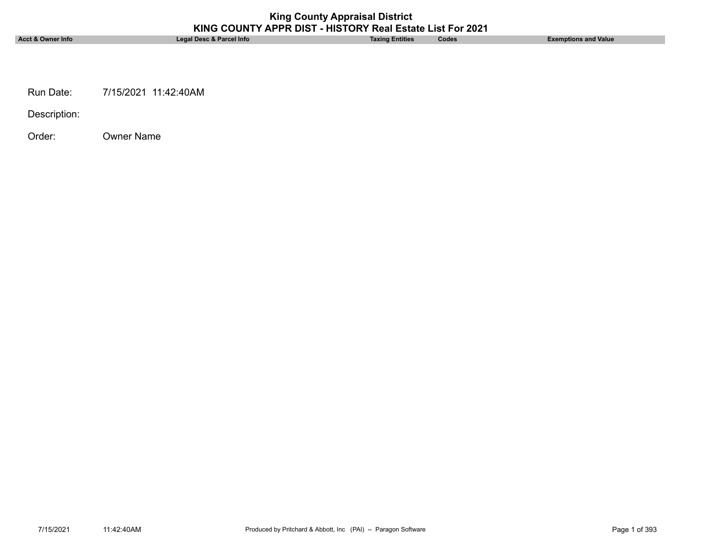| <b>King County Appraisal District</b><br>KING COUNTY APPR DIST - HISTORY Real Estate List For 2021 |                          |                        |       |                             |  |
|----------------------------------------------------------------------------------------------------|--------------------------|------------------------|-------|-----------------------------|--|
| Acct & Owner Info                                                                                  | Legal Desc & Parcel Info | <b>Taxing Entities</b> | Codes | <b>Exemptions and Value</b> |  |
|                                                                                                    |                          |                        |       |                             |  |
|                                                                                                    |                          |                        |       |                             |  |
|                                                                                                    |                          |                        |       |                             |  |
| Run Date:                                                                                          | 7/15/2021 11:42:40AM     |                        |       |                             |  |
| Description:                                                                                       |                          |                        |       |                             |  |
|                                                                                                    |                          |                        |       |                             |  |
| Order:                                                                                             | <b>Owner Name</b>        |                        |       |                             |  |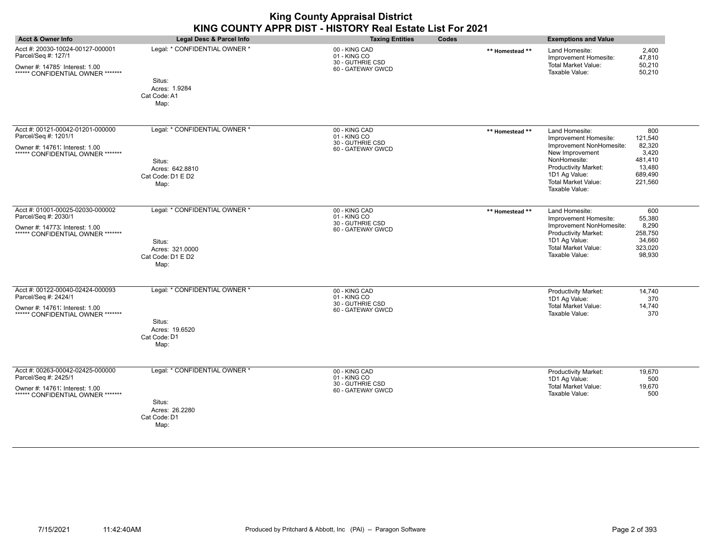|                                                                                                                                 |                                                                                         | <b>King County Appraisal District</b><br>KING COUNTY APPR DIST - HISTORY Real Estate List For 2021 |                 |                                                                                                                                                                                                                                                                                 |
|---------------------------------------------------------------------------------------------------------------------------------|-----------------------------------------------------------------------------------------|----------------------------------------------------------------------------------------------------|-----------------|---------------------------------------------------------------------------------------------------------------------------------------------------------------------------------------------------------------------------------------------------------------------------------|
| <b>Acct &amp; Owner Info</b>                                                                                                    | <b>Legal Desc &amp; Parcel Info</b>                                                     | <b>Taxing Entities</b>                                                                             | Codes           | <b>Exemptions and Value</b>                                                                                                                                                                                                                                                     |
| Acct #: 20030-10024-00127-000001<br>Parcel/Seq #: 127/1<br>Owner #: 14785' Interest: 1.00<br>****** CONFIDENTIAL OWNER *******  | Legal: * CONFIDENTIAL OWNER *<br>Situs:<br>Acres: 1.9284<br>Cat Code: A1<br>Map:        | 00 - KING CAD<br>01 - KING CO<br>30 - GUTHRIE CSD<br>60 - GATEWAY GWCD                             | ** Homestead ** | 2,400<br>Land Homesite:<br>47,810<br>Improvement Homesite:<br><b>Total Market Value:</b><br>50,210<br>Taxable Value:<br>50,210                                                                                                                                                  |
| Acct #: 00121-00042-01201-000000<br>Parcel/Seq #: 1201/1<br>Owner #: 14761; Interest: 1.00<br>****** CONFIDENTIAL OWNER ******* | Legal: * CONFIDENTIAL OWNER *<br>Situs:<br>Acres: 642.8810<br>Cat Code: D1 E D2<br>Map: | 00 - KING CAD<br>01 - KING CO<br>30 - GUTHRIE CSD<br>60 - GATEWAY GWCD                             | ** Homestead ** | Land Homesite:<br>800<br>Improvement Homesite:<br>121,540<br>Improvement NonHomesite:<br>82,320<br>New Improvement<br>3,420<br>NonHomesite:<br>481,410<br>13,480<br>Productivity Market:<br>1D1 Ag Value:<br>689,490<br><b>Total Market Value:</b><br>221,560<br>Taxable Value: |
| Acct #: 01001-00025-02030-000002<br>Parcel/Seq #: 2030/1<br>Owner #: 14773; Interest: 1.00<br>****** CONFIDENTIAL OWNER ******* | Legal: * CONFIDENTIAL OWNER *<br>Situs:<br>Acres: 321.0000<br>Cat Code: D1 E D2<br>Map: | 00 - KING CAD<br>01 - KING CO<br>30 - GUTHRIE CSD<br>60 - GATEWAY GWCD                             | ** Homestead ** | 600<br>Land Homesite:<br>55,380<br>Improvement Homesite:<br>Improvement NonHomesite:<br>8,290<br>258,750<br><b>Productivity Market:</b><br>1D1 Ag Value:<br>34,660<br><b>Total Market Value:</b><br>323,020<br>Taxable Value:<br>98,930                                         |
| Acct #: 00122-00040-02424-000093<br>Parcel/Seq #: 2424/1<br>Owner #: 14761; Interest: 1.00<br>****** CONFIDENTIAL OWNER ******* | Legal: * CONFIDENTIAL OWNER *<br>Situs:<br>Acres: 19.6520<br>Cat Code: D1<br>Map:       | 00 - KING CAD<br>01 - KING CO<br>30 - GUTHRIE CSD<br>60 - GATEWAY GWCD                             |                 | <b>Productivity Market:</b><br>14,740<br>1D1 Ag Value:<br>370<br><b>Total Market Value:</b><br>14,740<br>Taxable Value:<br>370                                                                                                                                                  |
| Acct #: 00263-00042-02425-000000<br>Parcel/Seq #: 2425/1<br>Owner #: 14761; Interest: 1.00<br>****** CONFIDENTIAL OWNER ******* | Legal: * CONFIDENTIAL OWNER *<br>Situs:<br>Acres: 26.2280<br>Cat Code: D1<br>Map:       | 00 - KING CAD<br>01 - KING CO<br>30 - GUTHRIE CSD<br>60 - GATEWAY GWCD                             |                 | <b>Productivity Market:</b><br>19.670<br>1D1 Ag Value:<br>500<br><b>Total Market Value:</b><br>19,670<br>Taxable Value:<br>500                                                                                                                                                  |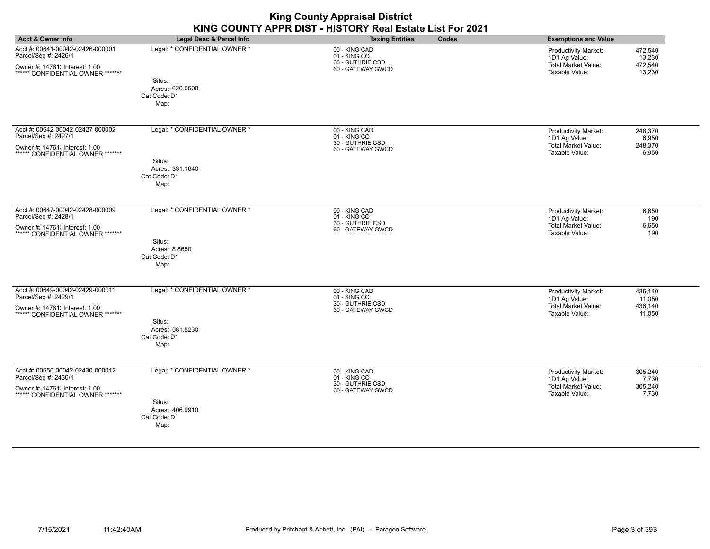|                                                                                                                                 |                                                                                    | <b>King County Appraisal District</b><br>KING COUNTY APPR DIST - HISTORY Real Estate List For 2021 |                                                                                                                                 |
|---------------------------------------------------------------------------------------------------------------------------------|------------------------------------------------------------------------------------|----------------------------------------------------------------------------------------------------|---------------------------------------------------------------------------------------------------------------------------------|
| <b>Acct &amp; Owner Info</b>                                                                                                    | <b>Legal Desc &amp; Parcel Info</b>                                                | Codes<br><b>Taxing Entities</b>                                                                    | <b>Exemptions and Value</b>                                                                                                     |
| Acct #: 00641-00042-02426-000001<br>Parcel/Seq #: 2426/1<br>Owner #: 14761. Interest: 1.00<br>****** CONFIDENTIAL OWNER ******* | Legal: * CONFIDENTIAL OWNER *<br>Situs:<br>Acres: 630.0500                         | 00 - KING CAD<br>01 - KING CO<br>30 - GUTHRIE CSD<br>60 - GATEWAY GWCD                             | Productivity Market:<br>472,540<br>1D1 Ag Value:<br>13,230<br><b>Total Market Value:</b><br>472,540<br>Taxable Value:<br>13,230 |
|                                                                                                                                 | Cat Code: D1<br>Map:                                                               |                                                                                                    |                                                                                                                                 |
| Acct #: 00642-00042-02427-000002<br>Parcel/Seq #: 2427/1<br>Owner #: 14761. Interest: 1.00                                      | Legal: * CONFIDENTIAL OWNER *                                                      | 00 - KING CAD<br>01 - KING CO<br>30 - GUTHRIE CSD                                                  | Productivity Market:<br>248,370<br>1D1 Ag Value:<br>6,950<br><b>Total Market Value:</b><br>248,370                              |
| ****** CONFIDENTIAL OWNER *******                                                                                               | Situs:<br>Acres: 331.1640<br>Cat Code: D1<br>Map:                                  | 60 - GATEWAY GWCD                                                                                  | Taxable Value:<br>6,950                                                                                                         |
| Acct #: 00647-00042-02428-000009<br>Parcel/Seq #: 2428/1<br>Owner #: 14761; Interest: 1.00<br>****** CONFIDENTIAL OWNER ******* | Legal: * CONFIDENTIAL OWNER *<br>Situs:<br>Acres: 8.8650<br>Cat Code: D1<br>Map:   | 00 - KING CAD<br>01 - KING CO<br>30 - GUTHRIE CSD<br>60 - GATEWAY GWCD                             | Productivity Market:<br>6,650<br>1D1 Ag Value:<br>190<br><b>Total Market Value:</b><br>6,650<br>Taxable Value:<br>190           |
| Acct #: 00649-00042-02429-000011<br>Parcel/Seq #: 2429/1<br>Owner #: 14761. Interest: 1.00<br>****** CONFIDENTIAL OWNER ******* | Legal: * CONFIDENTIAL OWNER *<br>Situs:<br>Acres: 581.5230<br>Cat Code: D1<br>Map: | 00 - KING CAD<br>01 - KING CO<br>30 - GUTHRIE CSD<br>60 - GATEWAY GWCD                             | Productivity Market:<br>436,140<br>1D1 Ag Value:<br>11,050<br><b>Total Market Value:</b><br>436,140<br>Taxable Value:<br>11,050 |
| Acct #: 00650-00042-02430-000012<br>Parcel/Seq #: 2430/1<br>Owner #: 14761; Interest: 1.00<br>****** CONFIDENTIAL OWNER ******* | Legal: * CONFIDENTIAL OWNER *<br>Situs:<br>Acres: 406.9910<br>Cat Code: D1<br>Map: | 00 - KING CAD<br>01 - KING CO<br>30 - GUTHRIE CSD<br>60 - GATEWAY GWCD                             | Productivity Market:<br>305,240<br>1D1 Ag Value:<br>7,730<br>Total Market Value:<br>305,240<br>Taxable Value:<br>7,730          |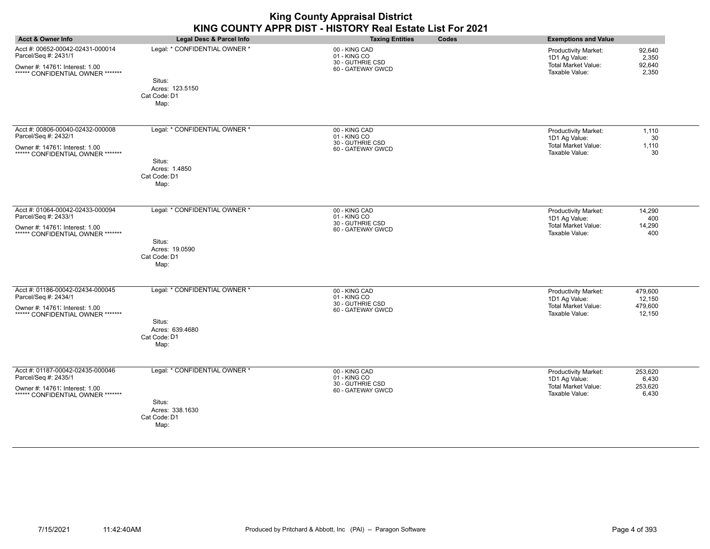|                                                                                                                                 |                                                                                    | <b>King County Appraisal District</b><br>KING COUNTY APPR DIST - HISTORY Real Estate List For 2021 |                                                                                                                                 |
|---------------------------------------------------------------------------------------------------------------------------------|------------------------------------------------------------------------------------|----------------------------------------------------------------------------------------------------|---------------------------------------------------------------------------------------------------------------------------------|
| <b>Acct &amp; Owner Info</b>                                                                                                    | <b>Legal Desc &amp; Parcel Info</b>                                                | Codes<br><b>Taxing Entities</b>                                                                    | <b>Exemptions and Value</b>                                                                                                     |
| Acct #: 00652-00042-02431-000014<br>Parcel/Seq #: 2431/1<br>Owner #: 14761; Interest: 1.00<br>****** CONFIDENTIAL OWNER ******* | Legal: * CONFIDENTIAL OWNER *<br>Situs:                                            | 00 - KING CAD<br>01 - KING CO<br>30 - GUTHRIE CSD<br>60 - GATEWAY GWCD                             | Productivity Market:<br>92,640<br>1D1 Ag Value:<br>2,350<br><b>Total Market Value:</b><br>92,640<br>Taxable Value:<br>2,350     |
|                                                                                                                                 | Acres: 123.5150<br>Cat Code: D1<br>Map:                                            |                                                                                                    |                                                                                                                                 |
| Acct #: 00806-00040-02432-000008<br>Parcel/Seq #: 2432/1                                                                        | Legal: * CONFIDENTIAL OWNER *                                                      | 00 - KING CAD<br>01 - KING CO<br>30 - GUTHRIE CSD                                                  | Productivity Market:<br>1,110<br>1D1 Ag Value:<br>30<br><b>Total Market Value:</b><br>1,110                                     |
| Owner #: 14761; Interest: 1.00<br>****** CONFIDENTIAL OWNER *******                                                             | Situs:<br>Acres: 1.4850<br>Cat Code: D1<br>Map:                                    | 60 - GATEWAY GWCD                                                                                  | Taxable Value:<br>30                                                                                                            |
| Acct #: 01064-00042-02433-000094<br>Parcel/Seq #: 2433/1<br>Owner #: 14761. Interest: 1.00<br>****** CONFIDENTIAL OWNER ******* | Legal: * CONFIDENTIAL OWNER *<br>Situs:<br>Acres: 19.0590<br>Cat Code: D1<br>Map:  | 00 - KING CAD<br>01 - KING CO<br>30 - GUTHRIE CSD<br>60 - GATEWAY GWCD                             | Productivity Market:<br>14,290<br>1D1 Ag Value:<br>400<br><b>Total Market Value:</b><br>14,290<br>Taxable Value:<br>400         |
| Acct #: 01186-00042-02434-000045<br>Parcel/Seq #: 2434/1<br>Owner #: 14761. Interest: 1.00<br>****** CONFIDENTIAL OWNER ******* | Legal: * CONFIDENTIAL OWNER *<br>Situs:<br>Acres: 639.4680<br>Cat Code: D1<br>Map: | 00 - KING CAD<br>01 - KING CO<br>30 - GUTHRIE CSD<br>60 - GATEWAY GWCD                             | Productivity Market:<br>479,600<br>1D1 Ag Value:<br>12,150<br><b>Total Market Value:</b><br>479,600<br>Taxable Value:<br>12,150 |
| Acct #: 01187-00042-02435-000046<br>Parcel/Seq #: 2435/1<br>Owner #: 14761. Interest: 1.00<br>****** CONFIDENTIAL OWNER ******* | Legal: * CONFIDENTIAL OWNER *<br>Situs:<br>Acres: 338.1630<br>Cat Code: D1<br>Map: | 00 - KING CAD<br>01 - KING CO<br>30 - GUTHRIE CSD<br>60 - GATEWAY GWCD                             | 253,620<br>Productivity Market:<br>1D1 Ag Value:<br>6,430<br><b>Total Market Value:</b><br>253,620<br>Taxable Value:<br>6,430   |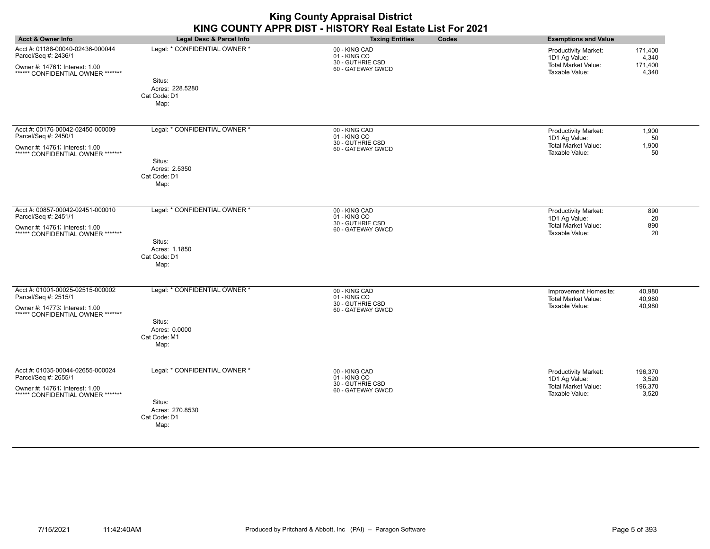|                                                                                                                                 |                                                                                          | <b>King County Appraisal District</b><br>KING COUNTY APPR DIST - HISTORY Real Estate List For 2021 |                                                                                                                               |
|---------------------------------------------------------------------------------------------------------------------------------|------------------------------------------------------------------------------------------|----------------------------------------------------------------------------------------------------|-------------------------------------------------------------------------------------------------------------------------------|
| <b>Acct &amp; Owner Info</b>                                                                                                    | <b>Legal Desc &amp; Parcel Info</b>                                                      | Codes<br><b>Taxing Entities</b>                                                                    | <b>Exemptions and Value</b>                                                                                                   |
| Acct #: 01188-00040-02436-000044<br>Parcel/Seq #: 2436/1<br>Owner #: 14761; Interest: 1.00<br>****** CONFIDENTIAL OWNER ******* | Legal: * CONFIDENTIAL OWNER *<br>Situs:<br>Acres: 228.5280<br>Cat Code: D1               | 00 - KING CAD<br>01 - KING CO<br>30 - GUTHRIE CSD<br>60 - GATEWAY GWCD                             | Productivity Market:<br>171,400<br>1D1 Ag Value:<br>4,340<br><b>Total Market Value:</b><br>171,400<br>Taxable Value:<br>4,340 |
| Acct #: 00176-00042-02450-000009<br>Parcel/Seq #: 2450/1<br>Owner #: 14761; Interest: 1.00<br>****** CONFIDENTIAL OWNER ******* | Map:<br>Legal: * CONFIDENTIAL OWNER *<br>Situs:<br>Acres: 2.5350<br>Cat Code: D1         | 00 - KING CAD<br>01 - KING CO<br>30 - GUTHRIE CSD<br>60 - GATEWAY GWCD                             | Productivity Market:<br>1,900<br>1D1 Ag Value:<br>50<br><b>Total Market Value:</b><br>1,900<br>Taxable Value:<br>50           |
| Acct #: 00857-00042-02451-000010<br>Parcel/Seq #: 2451/1<br>Owner #: 14761. Interest: 1.00<br>****** CONFIDENTIAL OWNER ******* | Map:<br>Legal: * CONFIDENTIAL OWNER *<br>Situs:<br>Acres: 1.1850<br>Cat Code: D1<br>Map: | 00 - KING CAD<br>01 - KING CO<br>30 - GUTHRIE CSD<br>60 - GATEWAY GWCD                             | Productivity Market:<br>890<br>1D1 Ag Value:<br>20<br><b>Total Market Value:</b><br>890<br>Taxable Value:<br>20               |
| Acct #: 01001-00025-02515-000002<br>Parcel/Seq #: 2515/1<br>Owner #: 14773; Interest: 1.00<br>****** CONFIDENTIAL OWNER ******* | Legal: * CONFIDENTIAL OWNER *<br>Situs:<br>Acres: 0.0000<br>Cat Code: M1<br>Map:         | 00 - KING CAD<br>01 - KING CO<br>30 - GUTHRIE CSD<br>60 - GATEWAY GWCD                             | 40,980<br>Improvement Homesite:<br><b>Total Market Value:</b><br>40,980<br>Taxable Value:<br>40,980                           |
| Acct #: 01035-00044-02655-000024<br>Parcel/Seq #: 2655/1<br>Owner #: 14761. Interest: 1.00<br>****** CONFIDENTIAL OWNER ******* | Legal: * CONFIDENTIAL OWNER *<br>Situs:<br>Acres: 270.8530<br>Cat Code: D1<br>Map:       | 00 - KING CAD<br>01 - KING CO<br>30 - GUTHRIE CSD<br>60 - GATEWAY GWCD                             | 196,370<br>Productivity Market:<br>1D1 Ag Value:<br>3,520<br><b>Total Market Value:</b><br>196,370<br>Taxable Value:<br>3,520 |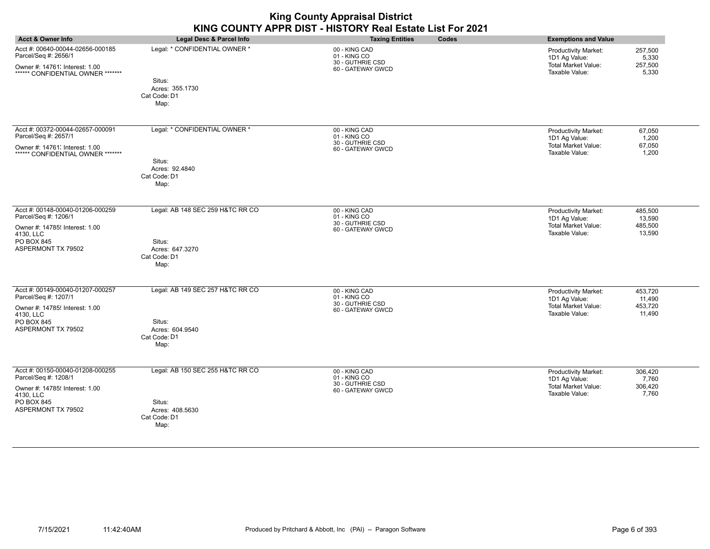|                                                                                                                                                    |                                                                                       | <b>King County Appraisal District</b><br>KING COUNTY APPR DIST - HISTORY Real Estate List For 2021 |                                                                                              |                                        |
|----------------------------------------------------------------------------------------------------------------------------------------------------|---------------------------------------------------------------------------------------|----------------------------------------------------------------------------------------------------|----------------------------------------------------------------------------------------------|----------------------------------------|
| <b>Acct &amp; Owner Info</b>                                                                                                                       | <b>Legal Desc &amp; Parcel Info</b>                                                   | Codes<br><b>Taxing Entities</b>                                                                    | <b>Exemptions and Value</b>                                                                  |                                        |
| Acct #: 00640-00044-02656-000185<br>Parcel/Seq #: 2656/1<br>Owner #: 14761; Interest: 1.00<br>****** CONFIDENTIAL OWNER *******                    | Legal: * CONFIDENTIAL OWNER *<br>Situs:<br>Acres: 355.1730<br>Cat Code: D1<br>Map:    | 00 - KING CAD<br>01 - KING CO<br>30 - GUTHRIE CSD<br>60 - GATEWAY GWCD                             | <b>Productivity Market:</b><br>1D1 Ag Value:<br><b>Total Market Value:</b><br>Taxable Value: | 257,500<br>5,330<br>257,500<br>5,330   |
| Acct #: 00372-00044-02657-000091<br>Parcel/Seq #: 2657/1<br>Owner #: 14761; Interest: 1.00<br>****** CONFIDENTIAL OWNER *******                    | Legal: * CONFIDENTIAL OWNER *<br>Situs:<br>Acres: 92.4840<br>Cat Code: D1<br>Map:     | 00 - KING CAD<br>01 - KING CO<br>30 - GUTHRIE CSD<br>60 - GATEWAY GWCD                             | Productivity Market:<br>1D1 Ag Value:<br><b>Total Market Value:</b><br>Taxable Value:        | 67,050<br>1,200<br>67,050<br>1,200     |
| Acct #: 00148-00040-01206-000259<br>Parcel/Seq #: 1206/1<br>Owner #: 14785! Interest: 1.00<br>4130, LLC<br>PO BOX 845<br>ASPERMONT TX 79502        | Legal: AB 148 SEC 259 H&TC RR CO<br>Situs:<br>Acres: 647.3270<br>Cat Code: D1<br>Map: | 00 - KING CAD<br>01 - KING CO<br>30 - GUTHRIE CSD<br>60 - GATEWAY GWCD                             | <b>Productivity Market:</b><br>1D1 Ag Value:<br><b>Total Market Value:</b><br>Taxable Value: | 485,500<br>13,590<br>485,500<br>13,590 |
| Acct #: 00149-00040-01207-000257<br>Parcel/Seq #: 1207/1<br>Owner #: 14785! Interest: 1.00<br>4130, LLC<br>PO BOX 845<br><b>ASPERMONT TX 79502</b> | Legal: AB 149 SEC 257 H&TC RR CO<br>Situs:<br>Acres: 604.9540<br>Cat Code: D1<br>Map: | 00 - KING CAD<br>01 - KING CO<br>30 - GUTHRIE CSD<br>60 - GATEWAY GWCD                             | <b>Productivity Market:</b><br>1D1 Ag Value:<br>Total Market Value:<br>Taxable Value:        | 453,720<br>11,490<br>453,720<br>11,490 |
| Acct #: 00150-00040-01208-000255<br>Parcel/Seq #: 1208/1<br>Owner #: 14785! Interest: 1.00<br>4130, LLC<br>PO BOX 845<br><b>ASPERMONT TX 79502</b> | Legal: AB 150 SEC 255 H&TC RR CO<br>Situs:<br>Acres: 408.5630<br>Cat Code: D1<br>Map: | 00 - KING CAD<br>01 - KING CO<br>30 - GUTHRIE CSD<br>60 - GATEWAY GWCD                             | <b>Productivity Market:</b><br>1D1 Ag Value:<br><b>Total Market Value:</b><br>Taxable Value: | 306,420<br>7,760<br>306,420<br>7,760   |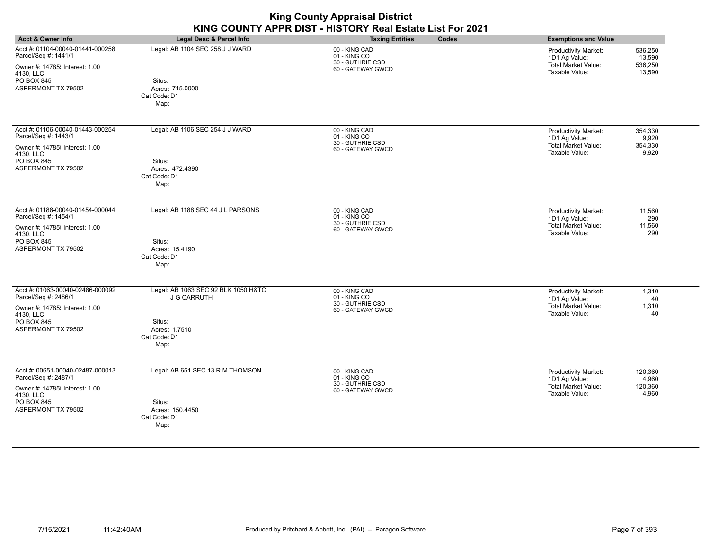| <b>King County Appraisal District</b><br>KING COUNTY APPR DIST - HISTORY Real Estate List For 2021                                                 |                                                                                                              |                                                                        |                                                                                                                                        |
|----------------------------------------------------------------------------------------------------------------------------------------------------|--------------------------------------------------------------------------------------------------------------|------------------------------------------------------------------------|----------------------------------------------------------------------------------------------------------------------------------------|
| <b>Acct &amp; Owner Info</b>                                                                                                                       | <b>Legal Desc &amp; Parcel Info</b>                                                                          | Codes<br><b>Taxing Entities</b>                                        | <b>Exemptions and Value</b>                                                                                                            |
| Acct #: 01104-00040-01441-000258<br>Parcel/Seq #: 1441/1<br>Owner #: 14785! Interest: 1.00<br>4130, LLC<br>PO BOX 845<br>ASPERMONT TX 79502        | Legal: AB 1104 SEC 258 J J WARD<br>Situs:<br>Acres: 715.0000<br>Cat Code: D1<br>Map:                         | 00 - KING CAD<br>01 - KING CO<br>30 - GUTHRIE CSD<br>60 - GATEWAY GWCD | 536,250<br><b>Productivity Market:</b><br>13,590<br>1D1 Ag Value:<br><b>Total Market Value:</b><br>536,250<br>Taxable Value:<br>13,590 |
| Acct #: 01106-00040-01443-000254<br>Parcel/Seq #: 1443/1<br>Owner #: 14785! Interest: 1.00<br>4130, LLC<br>PO BOX 845<br><b>ASPERMONT TX 79502</b> | Legal: AB 1106 SEC 254 J J WARD<br>Situs:<br>Acres: 472.4390<br>Cat Code: D1<br>Map:                         | 00 - KING CAD<br>01 - KING CO<br>30 - GUTHRIE CSD<br>60 - GATEWAY GWCD | Productivity Market:<br>354,330<br>1D1 Ag Value:<br>9,920<br>Total Market Value:<br>354,330<br>Taxable Value:<br>9,920                 |
| Acct #: 01188-00040-01454-000044<br>Parcel/Seq #: 1454/1<br>Owner #: 14785! Interest: 1.00<br>4130, LLC<br>PO BOX 845<br>ASPERMONT TX 79502        | Legal: AB 1188 SEC 44 J L PARSONS<br>Situs:<br>Acres: 15.4190<br>Cat Code: D1<br>Map:                        | 00 - KING CAD<br>01 - KING CO<br>30 - GUTHRIE CSD<br>60 - GATEWAY GWCD | Productivity Market:<br>11,560<br>290<br>1D1 Ag Value:<br><b>Total Market Value:</b><br>11,560<br>Taxable Value:<br>290                |
| Acct #: 01063-00040-02486-000092<br>Parcel/Seq #: 2486/1<br>Owner #: 14785! Interest: 1.00<br>4130. LLC<br>PO BOX 845<br>ASPERMONT TX 79502        | Legal: AB 1063 SEC 92 BLK 1050 H&TC<br><b>J G CARRUTH</b><br>Situs:<br>Acres: 1.7510<br>Cat Code: D1<br>Map: | 00 - KING CAD<br>01 - KING CO<br>30 - GUTHRIE CSD<br>60 - GATEWAY GWCD | Productivity Market:<br>1,310<br>1D1 Ag Value:<br>40<br><b>Total Market Value:</b><br>1,310<br>Taxable Value:<br>40                    |
| Acct #: 00651-00040-02487-000013<br>Parcel/Seq #: 2487/1<br>Owner #: 14785{ Interest: 1.00<br>4130, LLC<br>PO BOX 845<br>ASPERMONT TX 79502        | Legal: AB 651 SEC 13 R M THOMSON<br>Situs:<br>Acres: 150.4450<br>Cat Code: D1<br>Map:                        | 00 - KING CAD<br>01 - KING CO<br>30 - GUTHRIE CSD<br>60 - GATEWAY GWCD | <b>Productivity Market:</b><br>120,360<br>1D1 Ag Value:<br>4,960<br><b>Total Market Value:</b><br>120,360<br>Taxable Value:<br>4,960   |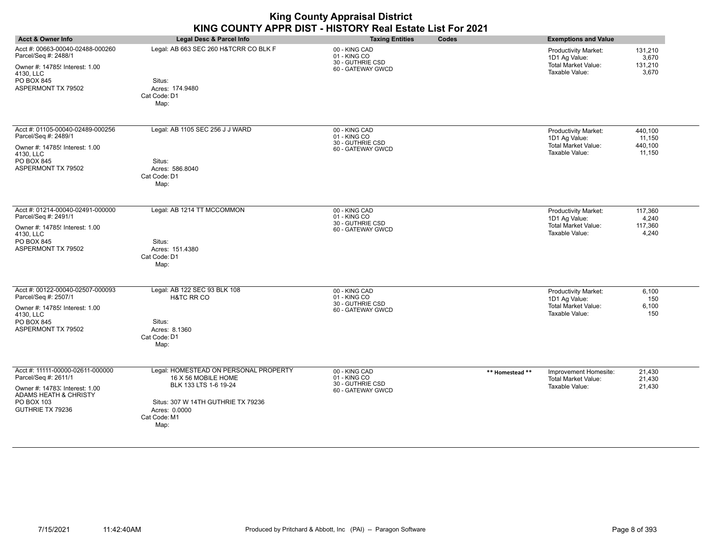| <b>Acct &amp; Owner Info</b>                                                                                                                          | Legal Desc & Parcel Info                                                                                                                                             | <b>Taxing Entities</b><br>Codes                                                           | <b>Exemptions and Value</b>                                                                                                          |
|-------------------------------------------------------------------------------------------------------------------------------------------------------|----------------------------------------------------------------------------------------------------------------------------------------------------------------------|-------------------------------------------------------------------------------------------|--------------------------------------------------------------------------------------------------------------------------------------|
| Acct #: 00663-00040-02488-000260<br>Parcel/Seq #: 2488/1<br>Owner #: 14785! Interest: 1.00<br>4130, LLC<br>PO BOX 845<br>ASPERMONT TX 79502           | Legal: AB 663 SEC 260 H&TCRR CO BLK F<br>Situs:<br>Acres: 174.9480<br>Cat Code: D1<br>Map:                                                                           | 00 - KING CAD<br>01 - KING CO<br>30 - GUTHRIE CSD<br>60 - GATEWAY GWCD                    | <b>Productivity Market:</b><br>131,210<br>3,670<br>1D1 Ag Value:<br><b>Total Market Value:</b><br>131,210<br>Taxable Value:<br>3,670 |
| Acct #: 01105-00040-02489-000256<br>Parcel/Seq #: 2489/1<br>Owner #: 14785! Interest: 1.00<br>4130, LLC<br>PO BOX 845<br>ASPERMONT TX 79502           | Legal: AB 1105 SEC 256 J J WARD<br>Situs:<br>Acres: 586.8040<br>Cat Code: D1<br>Map:                                                                                 | 00 - KING CAD<br>01 - KING CO<br>30 - GUTHRIE CSD<br>60 - GATEWAY GWCD                    | Productivity Market:<br>440,100<br>1D1 Ag Value:<br>11,150<br><b>Total Market Value:</b><br>440,100<br>Taxable Value:<br>11,150      |
| Acct #: 01214-00040-02491-000000<br>Parcel/Seq #: 2491/1<br>Owner #: 14785! Interest: 1.00<br>4130, LLC<br>PO BOX 845<br><b>ASPERMONT TX 79502</b>    | Legal: AB 1214 TT MCCOMMON<br>Situs:<br>Acres: 151.4380<br>Cat Code: D1<br>Map:                                                                                      | 00 - KING CAD<br>01 - KING CO<br>30 - GUTHRIE CSD<br>60 - GATEWAY GWCD                    | 117,360<br>Productivity Market:<br>1D1 Ag Value:<br>4,240<br><b>Total Market Value:</b><br>117,360<br>Taxable Value:<br>4,240        |
| Acct #: 00122-00040-02507-000093<br>Parcel/Seq #: 2507/1<br>Owner #: 14785! Interest: 1.00<br>4130. LLC<br>PO BOX 845<br>ASPERMONT TX 79502           | Legal: AB 122 SEC 93 BLK 108<br>H&TC RR CO<br>Situs:<br>Acres: 8.1360<br>Cat Code: D1<br>Map:                                                                        | 00 - KING CAD<br>01 - KING CO<br>30 - GUTHRIE CSD<br>60 - GATEWAY GWCD                    | <b>Productivity Market:</b><br>6,100<br>1D1 Ag Value:<br>150<br>Total Market Value:<br>6,100<br>Taxable Value:<br>150                |
| Acct #: 11111-00000-02611-000000<br>Parcel/Seq #: 2611/1<br>Owner #: 14783; Interest: 1.00<br>ADAMS HEATH & CHRISTY<br>PO BOX 103<br>GUTHRIE TX 79236 | Legal: HOMESTEAD ON PERSONAL PROPERTY<br>16 X 56 MOBILE HOME<br>BLK 133 LTS 1-6 19-24<br>Situs: 307 W 14TH GUTHRIE TX 79236<br>Acres: 0.0000<br>Cat Code: M1<br>Map: | 00 - KING CAD<br>** Homestead **<br>01 - KING CO<br>30 - GUTHRIE CSD<br>60 - GATEWAY GWCD | Improvement Homesite:<br>21,430<br><b>Total Market Value:</b><br>21,430<br>Taxable Value:<br>21,430                                  |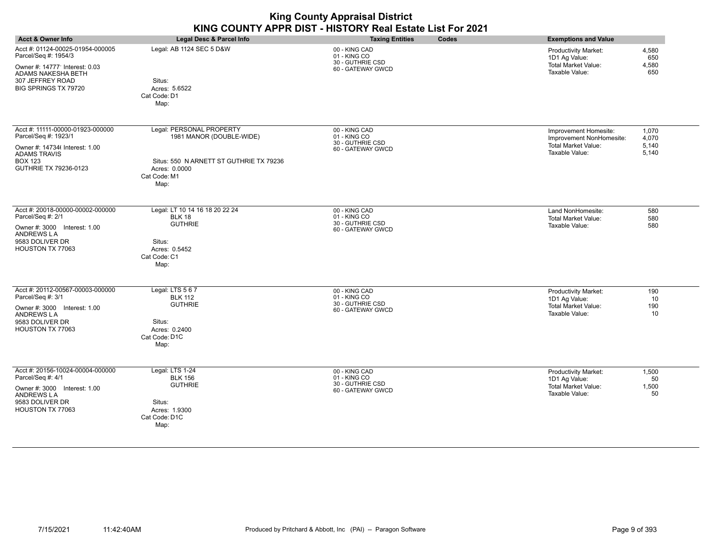| <b>Acct &amp; Owner Info</b>                                                                                                                                        | Legal Desc & Parcel Info                                                                                                                 | <b>Taxing Entities</b><br>Codes                                        | <b>Exemptions and Value</b>                                                                                                           |
|---------------------------------------------------------------------------------------------------------------------------------------------------------------------|------------------------------------------------------------------------------------------------------------------------------------------|------------------------------------------------------------------------|---------------------------------------------------------------------------------------------------------------------------------------|
| Acct #: 01124-00025-01954-000005<br>Parcel/Seq #: 1954/3<br>Owner #: 14777' Interest: 0.03<br>ADAMS NAKESHA BETH<br>307 JEFFREY ROAD<br><b>BIG SPRINGS TX 79720</b> | Legal: AB 1124 SEC 5 D&W<br>Situs:<br>Acres: 5.6522<br>Cat Code: D1<br>Map:                                                              | 00 - KING CAD<br>01 - KING CO<br>30 - GUTHRIE CSD<br>60 - GATEWAY GWCD | 4,580<br><b>Productivity Market:</b><br>1D1 Ag Value:<br>650<br><b>Total Market Value:</b><br>4,580<br>Taxable Value:<br>650          |
| Acct #: 11111-00000-01923-000000<br>Parcel/Seq #: 1923/1<br>Owner #: 14734(Interest: 1.00<br><b>ADAMS TRAVIS</b><br><b>BOX 123</b><br>GUTHRIE TX 79236-0123         | Legal: PERSONAL PROPERTY<br>1981 MANOR (DOUBLE-WIDE)<br>Situs: 550 N ARNETT ST GUTHRIE TX 79236<br>Acres: 0.0000<br>Cat Code: M1<br>Map: | 00 - KING CAD<br>01 - KING CO<br>30 - GUTHRIE CSD<br>60 - GATEWAY GWCD | Improvement Homesite:<br>1,070<br>4,070<br>Improvement NonHomesite:<br><b>Total Market Value:</b><br>5,140<br>Taxable Value:<br>5,140 |
| Acct #: 20018-00000-00002-000000<br>Parcel/Seq #: 2/1<br>Owner #: 3000 Interest: 1.00<br>ANDREWS LA<br>9583 DOLIVER DR<br>HOUSTON TX 77063                          | Legal: LT 10 14 16 18 20 22 24<br><b>BLK 18</b><br><b>GUTHRIE</b><br>Situs:<br>Acres: 0.5452<br>Cat Code: C1<br>Map:                     | 00 - KING CAD<br>01 - KING CO<br>30 - GUTHRIE CSD<br>60 - GATEWAY GWCD | Land NonHomesite:<br>580<br>580<br><b>Total Market Value:</b><br>Taxable Value:<br>580                                                |
| Acct #: 20112-00567-00003-000000<br>Parcel/Seq #: 3/1<br>Owner #: 3000 Interest: 1.00<br>ANDREWS L A<br>9583 DOLIVER DR<br>HOUSTON TX 77063                         | Legal: LTS 5 6 7<br><b>BLK 112</b><br><b>GUTHRIE</b><br>Situs:<br>Acres: 0.2400<br>Cat Code: D1C<br>Map:                                 | 00 - KING CAD<br>01 - KING CO<br>30 - GUTHRIE CSD<br>60 - GATEWAY GWCD | <b>Productivity Market:</b><br>190<br>1D1 Ag Value:<br>10<br>Total Market Value:<br>190<br>Taxable Value:<br>10                       |
| Acct #: 20156-10024-00004-000000<br>Parcel/Seq #: 4/1<br>Owner #: 3000 Interest: 1.00<br><b>ANDREWS LA</b><br>9583 DOLIVER DR<br>HOUSTON TX 77063                   | Legal: LTS 1-24<br><b>BLK 156</b><br><b>GUTHRIE</b><br>Situs:<br>Acres: 1.9300<br>Cat Code: D1C<br>Map:                                  | 00 - KING CAD<br>01 - KING CO<br>30 - GUTHRIE CSD<br>60 - GATEWAY GWCD | <b>Productivity Market:</b><br>1,500<br>1D1 Ag Value:<br>50<br><b>Total Market Value:</b><br>1,500<br>50<br>Taxable Value:            |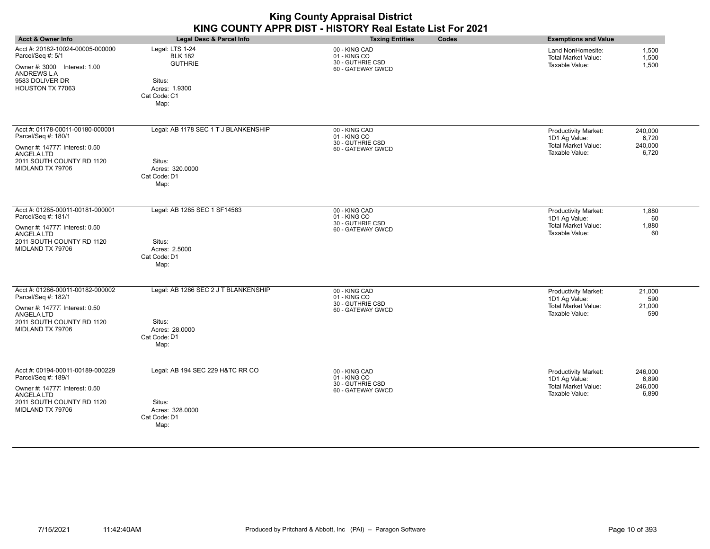|                                                                                                                                                          |                                                                                                        | <b>King County Appraisal District</b><br>KING COUNTY APPR DIST - HISTORY Real Estate List For 2021 |                                                                                                                                      |
|----------------------------------------------------------------------------------------------------------------------------------------------------------|--------------------------------------------------------------------------------------------------------|----------------------------------------------------------------------------------------------------|--------------------------------------------------------------------------------------------------------------------------------------|
| <b>Acct &amp; Owner Info</b>                                                                                                                             | Legal Desc & Parcel Info                                                                               | <b>Taxing Entities</b><br>Codes                                                                    | <b>Exemptions and Value</b>                                                                                                          |
| Acct #: 20182-10024-00005-000000<br>Parcel/Seq #: 5/1<br>Owner #: 3000 Interest: 1.00<br>ANDREWS LA<br>9583 DOLIVER DR<br>HOUSTON TX 77063               | Legal: LTS 1-24<br><b>BLK 182</b><br><b>GUTHRIE</b><br>Situs:<br>Acres: 1.9300<br>Cat Code: C1<br>Map: | 00 - KING CAD<br>01 - KING CO<br>30 - GUTHRIE CSD<br>60 - GATEWAY GWCD                             | 1,500<br>Land NonHomesite:<br><b>Total Market Value:</b><br>1,500<br>Taxable Value:<br>1,500                                         |
| Acct #: 01178-00011-00180-000001<br>Parcel/Seq #: 180/1<br>Owner #: 14777 Interest: 0.50<br>ANGELA LTD<br>2011 SOUTH COUNTY RD 1120<br>MIDLAND TX 79706  | Legal: AB 1178 SEC 1 T J BLANKENSHIP<br>Situs:<br>Acres: 320,0000<br>Cat Code: D1<br>Map:              | 00 - KING CAD<br>01 - KING CO<br>30 - GUTHRIE CSD<br>60 - GATEWAY GWCD                             | <b>Productivity Market:</b><br>240,000<br>1D1 Ag Value:<br>6,720<br>Total Market Value:<br>240,000<br>Taxable Value:<br>6,720        |
| Acct #: 01285-00011-00181-000001<br>Parcel/Seq #: 181/1<br>Owner #: 14777, Interest: 0.50<br>ANGELA LTD<br>2011 SOUTH COUNTY RD 1120<br>MIDLAND TX 79706 | Legal: AB 1285 SEC 1 SF14583<br>Situs:<br>Acres: 2.5000<br>Cat Code: D1<br>Map:                        | 00 - KING CAD<br>01 - KING CO<br>30 - GUTHRIE CSD<br>60 - GATEWAY GWCD                             | Productivity Market:<br>1,880<br>1D1 Ag Value:<br>60<br><b>Total Market Value:</b><br>1,880<br>Taxable Value:<br>60                  |
| Acct #: 01286-00011-00182-000002<br>Parcel/Seq #: 182/1<br>Owner #: 14777, Interest: 0.50<br>ANGELA LTD<br>2011 SOUTH COUNTY RD 1120<br>MIDLAND TX 79706 | Legal: AB 1286 SEC 2 J T BLANKENSHIP<br>Situs:<br>Acres: 28,0000<br>Cat Code: D1<br>Map:               | 00 - KING CAD<br>01 - KING CO<br>30 - GUTHRIE CSD<br>60 - GATEWAY GWCD                             | 21,000<br><b>Productivity Market:</b><br>590<br>1D1 Ag Value:<br>Total Market Value:<br>21,000<br>Taxable Value:<br>590              |
| Acct #: 00194-00011-00189-000229<br>Parcel/Seq #: 189/1<br>Owner #: 14777, Interest: 0.50<br>ANGELA LTD<br>2011 SOUTH COUNTY RD 1120<br>MIDLAND TX 79706 | Legal: AB 194 SEC 229 H&TC RR CO<br>Situs:<br>Acres: 328.0000<br>Cat Code: D1<br>Map:                  | 00 - KING CAD<br>01 - KING CO<br>30 - GUTHRIE CSD<br>60 - GATEWAY GWCD                             | <b>Productivity Market:</b><br>246,000<br>1D1 Ag Value:<br>6,890<br><b>Total Market Value:</b><br>246,000<br>Taxable Value:<br>6,890 |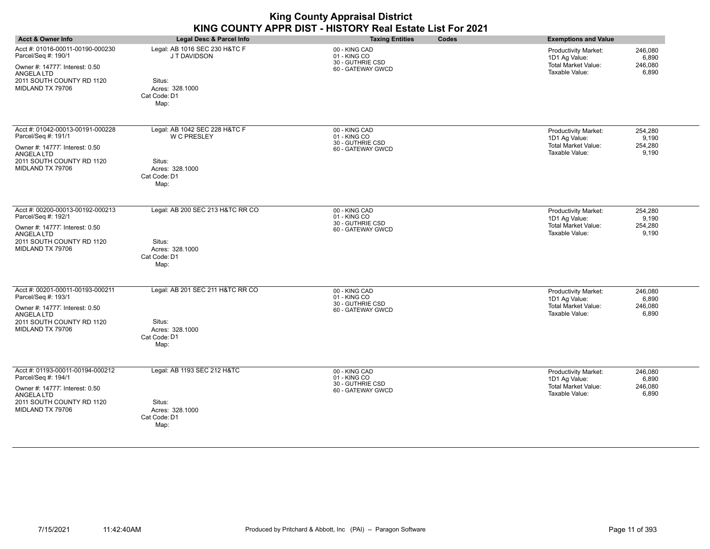|                                                                                                                                                                 |                                                                                                          | <b>King County Appraisal District</b><br>KING COUNTY APPR DIST - HISTORY Real Estate List For 2021 |                                                                                                                                      |
|-----------------------------------------------------------------------------------------------------------------------------------------------------------------|----------------------------------------------------------------------------------------------------------|----------------------------------------------------------------------------------------------------|--------------------------------------------------------------------------------------------------------------------------------------|
| <b>Acct &amp; Owner Info</b>                                                                                                                                    | <b>Legal Desc &amp; Parcel Info</b>                                                                      | Codes<br><b>Taxing Entities</b>                                                                    | <b>Exemptions and Value</b>                                                                                                          |
| Acct #: 01016-00011-00190-000230<br>Parcel/Seq #: 190/1<br>Owner #: 14777, Interest: 0.50<br>ANGELA LTD<br>2011 SOUTH COUNTY RD 1120<br>MIDLAND TX 79706        | Legal: AB 1016 SEC 230 H&TC F<br>J T DAVIDSON<br>Situs:<br>Acres: 328.1000<br>Cat Code: D1<br>Map:       | 00 - KING CAD<br>01 - KING CO<br>30 - GUTHRIE CSD<br>60 - GATEWAY GWCD                             | <b>Productivity Market:</b><br>246,080<br>1D1 Ag Value:<br>6,890<br><b>Total Market Value:</b><br>246,080<br>Taxable Value:<br>6,890 |
| Acct #: 01042-00013-00191-000228<br>Parcel/Seq #: 191/1<br>Owner #: 14777, Interest: 0.50<br><b>ANGELA LTD</b><br>2011 SOUTH COUNTY RD 1120<br>MIDLAND TX 79706 | Legal: AB 1042 SEC 228 H&TC F<br><b>W C PRESLEY</b><br>Situs:<br>Acres: 328.1000<br>Cat Code: D1<br>Map: | 00 - KING CAD<br>01 - KING CO<br>30 - GUTHRIE CSD<br>60 - GATEWAY GWCD                             | Productivity Market:<br>254,280<br>1D1 Ag Value:<br>9,190<br><b>Total Market Value:</b><br>254,280<br>Taxable Value:<br>9,190        |
| Acct #: 00200-00013-00192-000213<br>Parcel/Seq #: 192/1<br>Owner #: 14777 Interest: 0.50<br>ANGELA LTD<br>2011 SOUTH COUNTY RD 1120<br>MIDLAND TX 79706         | Legal: AB 200 SEC 213 H&TC RR CO<br>Situs:<br>Acres: 328.1000<br>Cat Code: D1<br>Map:                    | 00 - KING CAD<br>01 - KING CO<br>30 - GUTHRIE CSD<br>60 - GATEWAY GWCD                             | <b>Productivity Market:</b><br>254,280<br>1D1 Ag Value:<br>9.190<br><b>Total Market Value:</b><br>254,280<br>Taxable Value:<br>9.190 |
| Acct #: 00201-00011-00193-000211<br>Parcel/Seq #: 193/1<br>Owner #: 14777, Interest: 0.50<br>ANGELA LTD<br>2011 SOUTH COUNTY RD 1120<br>MIDLAND TX 79706        | Legal: AB 201 SEC 211 H&TC RR CO<br>Situs:<br>Acres: 328.1000<br>Cat Code: D1<br>Map:                    | 00 - KING CAD<br>01 - KING CO<br>30 - GUTHRIE CSD<br>60 - GATEWAY GWCD                             | <b>Productivity Market:</b><br>246,080<br>1D1 Ag Value:<br>6.890<br>Total Market Value:<br>246,080<br>Taxable Value:<br>6,890        |
| Acct #: 01193-00011-00194-000212<br>Parcel/Seq #: 194/1<br>Owner #: 14777 Interest: 0.50<br>ANGELA LTD<br>2011 SOUTH COUNTY RD 1120<br>MIDLAND TX 79706         | Legal: AB 1193 SEC 212 H&TC<br>Situs:<br>Acres: 328.1000<br>Cat Code: D1<br>Map:                         | 00 - KING CAD<br>01 - KING CO<br>30 - GUTHRIE CSD<br>60 - GATEWAY GWCD                             | <b>Productivity Market:</b><br>246,080<br>1D1 Ag Value:<br>6,890<br><b>Total Market Value:</b><br>246,080<br>Taxable Value:<br>6,890 |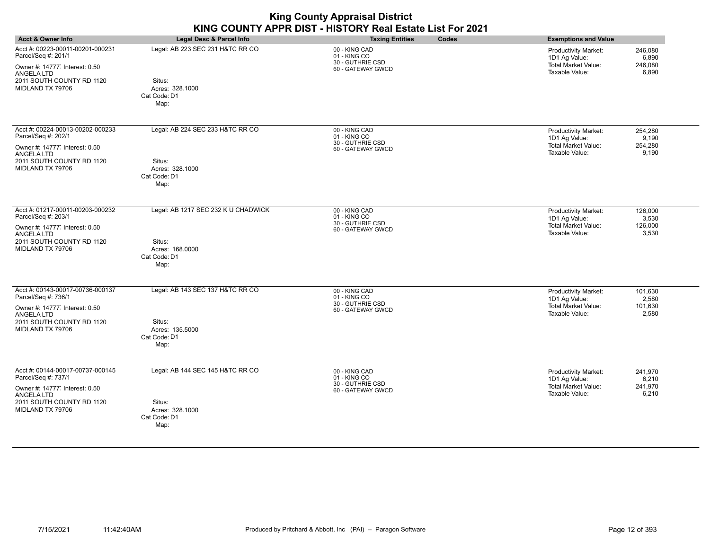| <b>Acct &amp; Owner Info</b>                                                                                                                                    | Legal Desc & Parcel Info                                                                 | <b>Taxing Entities</b><br>Codes                                        | <b>Exemptions and Value</b>                                                                                                          |
|-----------------------------------------------------------------------------------------------------------------------------------------------------------------|------------------------------------------------------------------------------------------|------------------------------------------------------------------------|--------------------------------------------------------------------------------------------------------------------------------------|
| Acct #: 00223-00011-00201-000231<br>Parcel/Seq #: 201/1<br>Owner #: 14777 Interest: 0.50<br>ANGELA LTD<br>2011 SOUTH COUNTY RD 1120<br>MIDLAND TX 79706         | Legal: AB 223 SEC 231 H&TC RR CO<br>Situs:<br>Acres: 328.1000<br>Cat Code: D1<br>Map:    | 00 - KING CAD<br>01 - KING CO<br>30 - GUTHRIE CSD<br>60 - GATEWAY GWCD | 246,080<br><b>Productivity Market:</b><br>1D1 Ag Value:<br>6,890<br><b>Total Market Value:</b><br>246,080<br>Taxable Value:<br>6,890 |
| Acct #: 00224-00013-00202-000233<br>Parcel/Seq #: 202/1<br>Owner #: 14777 Interest: 0.50<br>ANGELA LTD<br>2011 SOUTH COUNTY RD 1120<br>MIDLAND TX 79706         | Legal: AB 224 SEC 233 H&TC RR CO<br>Situs:<br>Acres: 328.1000<br>Cat Code: D1<br>Map:    | 00 - KING CAD<br>01 - KING CO<br>30 - GUTHRIE CSD<br>60 - GATEWAY GWCD | Productivity Market:<br>254,280<br>1D1 Ag Value:<br>9,190<br>Total Market Value:<br>254,280<br>Taxable Value:<br>9,190               |
| Acct #: 01217-00011-00203-000232<br>Parcel/Seq #: 203/1<br>Owner #: 14777 Interest: 0.50<br><b>ANGELA LTD</b><br>2011 SOUTH COUNTY RD 1120<br>MIDLAND TX 79706  | Legal: AB 1217 SEC 232 K U CHADWICK<br>Situs:<br>Acres: 168.0000<br>Cat Code: D1<br>Map: | 00 - KING CAD<br>01 - KING CO<br>30 - GUTHRIE CSD<br>60 - GATEWAY GWCD | 126,000<br>Productivity Market:<br>1D1 Ag Value:<br>3,530<br>Total Market Value:<br>126,000<br>Taxable Value:<br>3,530               |
| Acct #: 00143-00017-00736-000137<br>Parcel/Seq #: 736/1<br>Owner #: 14777, Interest: 0.50<br><b>ANGELA LTD</b><br>2011 SOUTH COUNTY RD 1120<br>MIDLAND TX 79706 | Legal: AB 143 SEC 137 H&TC RR CO<br>Situs:<br>Acres: 135.5000<br>Cat Code: D1<br>Map:    | 00 - KING CAD<br>01 - KING CO<br>30 - GUTHRIE CSD<br>60 - GATEWAY GWCD | <b>Productivity Market:</b><br>101,630<br>1D1 Ag Value:<br>2,580<br>Total Market Value:<br>101,630<br>Taxable Value:<br>2,580        |
| Acct #: 00144-00017-00737-000145<br>Parcel/Seq #: 737/1<br>Owner #: 14777 Interest: 0.50<br>ANGELA LTD<br>2011 SOUTH COUNTY RD 1120<br>MIDLAND TX 79706         | Legal: AB 144 SEC 145 H&TC RR CO<br>Situs:<br>Acres: 328.1000<br>Cat Code: D1<br>Map:    | 00 - KING CAD<br>01 - KING CO<br>30 - GUTHRIE CSD<br>60 - GATEWAY GWCD | Productivity Market:<br>241,970<br>1D1 Ag Value:<br>6,210<br><b>Total Market Value:</b><br>241,970<br>Taxable Value:<br>6,210        |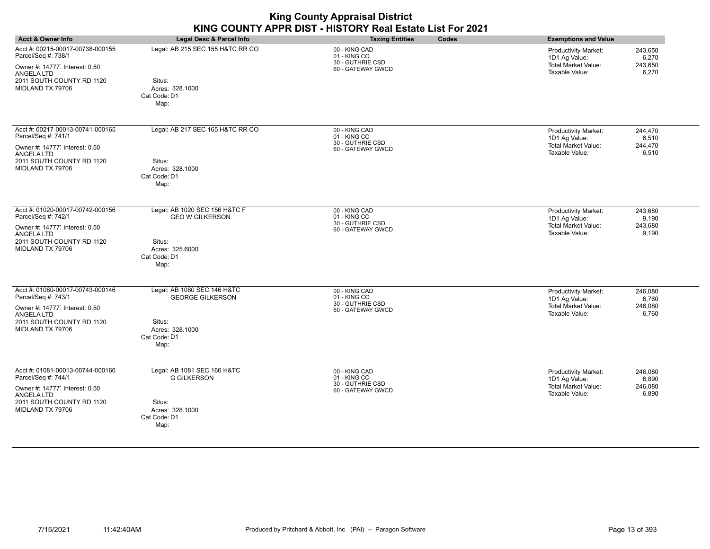| <b>Acct &amp; Owner Info</b>                                                                                                                             | Legal Desc & Parcel Info                                                                                     | <b>Taxing Entities</b><br>Codes                                        | <b>Exemptions and Value</b>                                                                                                   |
|----------------------------------------------------------------------------------------------------------------------------------------------------------|--------------------------------------------------------------------------------------------------------------|------------------------------------------------------------------------|-------------------------------------------------------------------------------------------------------------------------------|
| Acct #: 00215-00017-00738-000155<br>Parcel/Seq #: 738/1<br>Owner #: 14777 Interest: 0.50<br>ANGELA LTD<br>2011 SOUTH COUNTY RD 1120<br>MIDLAND TX 79706  | Legal: AB 215 SEC 155 H&TC RR CO<br>Situs:<br>Acres: 328.1000<br>Cat Code: D1<br>Map:                        | 00 - KING CAD<br>01 - KING CO<br>30 - GUTHRIE CSD<br>60 - GATEWAY GWCD | Productivity Market:<br>243,650<br>1D1 Ag Value:<br>6,270<br><b>Total Market Value:</b><br>243,650<br>Taxable Value:<br>6,270 |
| Acct #: 00217-00013-00741-000165<br>Parcel/Seq #: 741/1<br>Owner #: 14777, Interest: 0.50<br>ANGELA LTD<br>2011 SOUTH COUNTY RD 1120<br>MIDLAND TX 79706 | Legal: AB 217 SEC 165 H&TC RR CO<br>Situs:<br>Acres: 328.1000<br>Cat Code: D1<br>Map:                        | 00 - KING CAD<br>01 - KING CO<br>30 - GUTHRIE CSD<br>60 - GATEWAY GWCD | 244,470<br><b>Productivity Market:</b><br>1D1 Ag Value:<br>6,510<br>Total Market Value:<br>244,470<br>Taxable Value:<br>6,510 |
| Acct #: 01020-00017-00742-000156<br>Parcel/Seq #: 742/1<br>Owner #: 14777, Interest: 0.50<br>ANGELA LTD<br>2011 SOUTH COUNTY RD 1120<br>MIDLAND TX 79706 | Legal: AB 1020 SEC 156 H&TC F<br><b>GEO W GILKERSON</b><br>Situs:<br>Acres: 325,6000<br>Cat Code: D1<br>Map: | 00 - KING CAD<br>01 - KING CO<br>30 - GUTHRIE CSD<br>60 - GATEWAY GWCD | Productivity Market:<br>243,680<br>1D1 Ag Value:<br>9,190<br><b>Total Market Value:</b><br>243,680<br>Taxable Value:<br>9,190 |
| Acct #: 01080-00017-00743-000146<br>Parcel/Seq #: 743/1<br>Owner #: 14777 Interest: 0.50<br>ANGELA LTD<br>2011 SOUTH COUNTY RD 1120<br>MIDLAND TX 79706  | Legal: AB 1080 SEC 146 H&TC<br><b>GEORGE GILKERSON</b><br>Situs:<br>Acres: 328.1000<br>Cat Code: D1<br>Map:  | 00 - KING CAD<br>01 - KING CO<br>30 - GUTHRIE CSD<br>60 - GATEWAY GWCD | Productivity Market:<br>246,080<br>1D1 Ag Value:<br>6,760<br><b>Total Market Value:</b><br>246,080<br>Taxable Value:<br>6,760 |
| Acct #: 01081-00013-00744-000166<br>Parcel/Seq #: 744/1<br>Owner #: 14777 Interest: 0.50<br>ANGELA LTD<br>2011 SOUTH COUNTY RD 1120<br>MIDLAND TX 79706  | Legal: AB 1081 SEC 166 H&TC<br><b>G GILKERSON</b><br>Situs:<br>Acres: 328.1000<br>Cat Code: D1<br>Map:       | 00 - KING CAD<br>01 - KING CO<br>30 - GUTHRIE CSD<br>60 - GATEWAY GWCD | 246,080<br><b>Productivity Market:</b><br>1D1 Ag Value:<br>6,890<br>Total Market Value:<br>246,080<br>Taxable Value:<br>6,890 |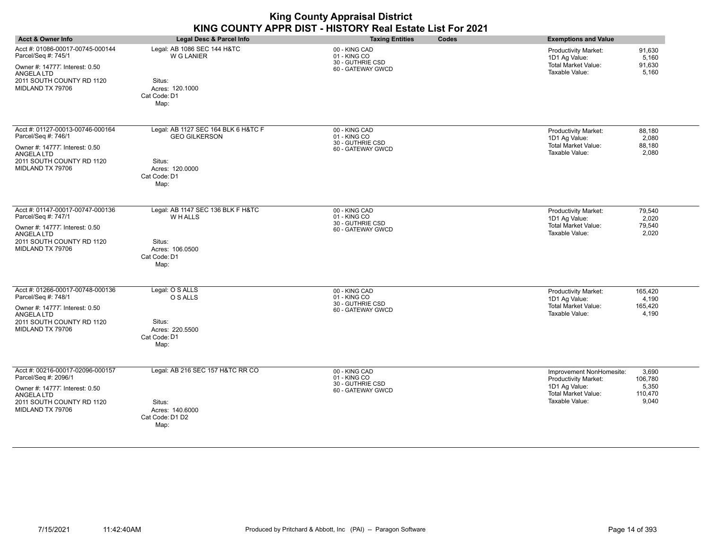| <b>Acct &amp; Owner Info</b>                                                                                                                                   | <b>Legal Desc &amp; Parcel Info</b>                                                                              | <b>Taxing Entities</b><br>Codes                                        | <b>Exemptions and Value</b>                                                                                                                                               |
|----------------------------------------------------------------------------------------------------------------------------------------------------------------|------------------------------------------------------------------------------------------------------------------|------------------------------------------------------------------------|---------------------------------------------------------------------------------------------------------------------------------------------------------------------------|
| Acct #: 01086-00017-00745-000144<br>Parcel/Seq #: 745/1<br>Owner #: 14777 Interest: 0.50<br>ANGELA LTD<br>2011 SOUTH COUNTY RD 1120<br>MIDLAND TX 79706        | Legal: AB 1086 SEC 144 H&TC<br><b>W G LANIER</b><br>Situs:<br>Acres: 120.1000<br>Cat Code: D1<br>Map:            | 00 - KING CAD<br>01 - KING CO<br>30 - GUTHRIE CSD<br>60 - GATEWAY GWCD | Productivity Market:<br>91,630<br>1D1 Ag Value:<br>5,160<br><b>Total Market Value:</b><br>91,630<br>Taxable Value:<br>5,160                                               |
| Acct #: 01127-00013-00746-000164<br>Parcel/Seq #: 746/1<br>Owner #: 14777 Interest: 0.50<br>ANGELA LTD<br>2011 SOUTH COUNTY RD 1120<br>MIDLAND TX 79706        | Legal: AB 1127 SEC 164 BLK 6 H&TC F<br><b>GEO GILKERSON</b><br>Situs:<br>Acres: 120.0000<br>Cat Code: D1<br>Map: | 00 - KING CAD<br>01 - KING CO<br>30 - GUTHRIE CSD<br>60 - GATEWAY GWCD | Productivity Market:<br>88,180<br>1D1 Ag Value:<br>2,080<br><b>Total Market Value:</b><br>88,180<br>Taxable Value:<br>2,080                                               |
| Acct #: 01147-00017-00747-000136<br>Parcel/Seq #: 747/1<br>Owner #: 14777 Interest: 0.50<br>ANGELA LTD<br>2011 SOUTH COUNTY RD 1120<br>MIDLAND TX 79706        | Legal: AB 1147 SEC 136 BLK F H&TC<br>W H ALLS<br>Situs:<br>Acres: 106.0500<br>Cat Code: D1<br>Map:               | 00 - KING CAD<br>01 - KING CO<br>30 - GUTHRIE CSD<br>60 - GATEWAY GWCD | Productivity Market:<br>79,540<br>1D1 Ag Value:<br>2,020<br><b>Total Market Value:</b><br>79,540<br>Taxable Value:<br>2,020                                               |
| Acct #: 01266-00017-00748-000136<br>Parcel/Seq #: 748/1<br>Owner #: 14777 Interest: 0.50<br><b>ANGELA LTD</b><br>2011 SOUTH COUNTY RD 1120<br>MIDLAND TX 79706 | Legal: O S ALLS<br>O S ALLS<br>Situs:<br>Acres: 220.5500<br>Cat Code: D1<br>Map:                                 | 00 - KING CAD<br>01 - KING CO<br>30 - GUTHRIE CSD<br>60 - GATEWAY GWCD | Productivity Market:<br>165.420<br>1D1 Ag Value:<br>4,190<br><b>Total Market Value:</b><br>165,420<br>Taxable Value:<br>4,190                                             |
| Acct #: 00216-00017-02096-000157<br>Parcel/Seq #: 2096/1<br>Owner #: 14777 Interest: 0.50<br>ANGELA LTD<br>2011 SOUTH COUNTY RD 1120<br>MIDLAND TX 79706       | Legal: AB 216 SEC 157 H&TC RR CO<br>Situs:<br>Acres: 140.6000<br>Cat Code: D1 D2<br>Map:                         | 00 - KING CAD<br>01 - KING CO<br>30 - GUTHRIE CSD<br>60 - GATEWAY GWCD | Improvement NonHomesite:<br>3,690<br><b>Productivity Market:</b><br>106,780<br>1D1 Ag Value:<br>5,350<br><b>Total Market Value:</b><br>110,470<br>Taxable Value:<br>9,040 |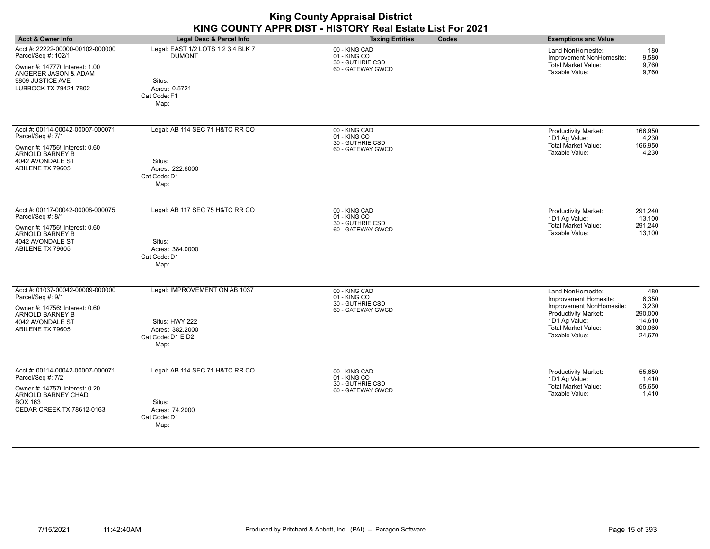| <b>King County Appraisal District</b><br>KING COUNTY APPR DIST - HISTORY Real Estate List For 2021                                                             |                                                                                                        |                                                                        |       |                                                                                                                                                                 |                                                                 |
|----------------------------------------------------------------------------------------------------------------------------------------------------------------|--------------------------------------------------------------------------------------------------------|------------------------------------------------------------------------|-------|-----------------------------------------------------------------------------------------------------------------------------------------------------------------|-----------------------------------------------------------------|
| <b>Acct &amp; Owner Info</b>                                                                                                                                   | Legal Desc & Parcel Info                                                                               | <b>Taxing Entities</b>                                                 | Codes | <b>Exemptions and Value</b>                                                                                                                                     |                                                                 |
| Acct #: 22222-00000-00102-000000<br>Parcel/Seq #: 102/1<br>Owner #: 14777( Interest: 1.00<br>ANGERER JASON & ADAM<br>9809 JUSTICE AVE<br>LUBBOCK TX 79424-7802 | Legal: EAST 1/2 LOTS 1 2 3 4 BLK 7<br><b>DUMONT</b><br>Situs:<br>Acres: 0.5721<br>Cat Code: F1<br>Map: | 00 - KING CAD<br>01 - KING CO<br>30 - GUTHRIE CSD<br>60 - GATEWAY GWCD |       | Land NonHomesite:<br>Improvement NonHomesite:<br>Total Market Value:<br>Taxable Value:                                                                          | 180<br>9,580<br>9,760<br>9,760                                  |
| Acct #: 00114-00042-00007-000071<br>Parcel/Seq #: 7/1<br>Owner #: 14756! Interest: 0.60<br>ARNOLD BARNEY B<br>4042 AVONDALE ST<br>ABILENE TX 79605             | Legal: AB 114 SEC 71 H&TC RR CO<br>Situs:<br>Acres: 222,6000<br>Cat Code: D1<br>Map:                   | 00 - KING CAD<br>01 - KING CO<br>30 - GUTHRIE CSD<br>60 - GATEWAY GWCD |       | <b>Productivity Market:</b><br>1D1 Ag Value:<br>Total Market Value:<br>Taxable Value:                                                                           | 166,950<br>4,230<br>166,950<br>4,230                            |
| Acct #: 00117-00042-00008-000075<br>Parcel/Seq #: 8/1<br>Owner #: 14756! Interest: 0.60<br>ARNOLD BARNEY B<br>4042 AVONDALE ST<br>ABILENE TX 79605             | Legal: AB 117 SEC 75 H&TC RR CO<br>Situs:<br>Acres: 384.0000<br>Cat Code: D1<br>Map:                   | 00 - KING CAD<br>01 - KING CO<br>30 - GUTHRIE CSD<br>60 - GATEWAY GWCD |       | <b>Productivity Market:</b><br>1D1 Ag Value:<br>Total Market Value:<br>Taxable Value:                                                                           | 291,240<br>13,100<br>291,240<br>13,100                          |
| Acct #: 01037-00042-00009-000000<br>Parcel/Seq #: 9/1<br>Owner #: 14756! Interest: 0.60<br>ARNOLD BARNEY B<br>4042 AVONDALE ST<br>ABILENE TX 79605             | Legal: IMPROVEMENT ON AB 1037<br>Situs: HWY 222<br>Acres: 382.2000<br>Cat Code: D1 E D2<br>Map:        | 00 - KING CAD<br>01 - KING CO<br>30 - GUTHRIE CSD<br>60 - GATEWAY GWCD |       | Land NonHomesite:<br>Improvement Homesite:<br>Improvement NonHomesite:<br><b>Productivity Market:</b><br>1D1 Ag Value:<br>Total Market Value:<br>Taxable Value: | 480<br>6,350<br>3,230<br>290,000<br>14,610<br>300,060<br>24,670 |
| Acct #: 00114-00042-00007-000071<br>Parcel/Seq #: 7/2<br>Owner #: 14757( Interest: 0.20<br>ARNOLD BARNEY CHAD<br>BOX 163<br>CEDAR CREEK TX 78612-0163          | Legal: AB 114 SEC 71 H&TC RR CO<br>Situs:<br>Acres: 74.2000<br>Cat Code: D1<br>Map:                    | 00 - KING CAD<br>01 - KING CO<br>30 - GUTHRIE CSD<br>60 - GATEWAY GWCD |       | <b>Productivity Market:</b><br>1D1 Ag Value:<br>Total Market Value:<br>Taxable Value:                                                                           | 55,650<br>1,410<br>55,650<br>1,410                              |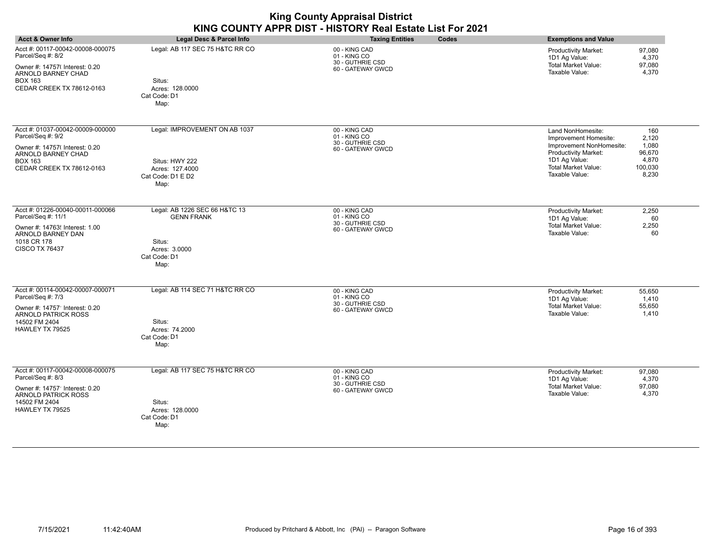| <b>Acct &amp; Owner Info</b>                                                                                                                                 | Legal Desc & Parcel Info                                                                              | <b>Taxing Entities</b><br>Codes                                        | <b>Exemptions and Value</b>                                                                                                                                                                                                     |
|--------------------------------------------------------------------------------------------------------------------------------------------------------------|-------------------------------------------------------------------------------------------------------|------------------------------------------------------------------------|---------------------------------------------------------------------------------------------------------------------------------------------------------------------------------------------------------------------------------|
| Acct #: 00117-00042-00008-000075<br>Parcel/Seq #: 8/2<br>Owner #: 14757( Interest: 0.20<br>ARNOLD BARNEY CHAD<br><b>BOX 163</b><br>CEDAR CREEK TX 78612-0163 | Legal: AB 117 SEC 75 H&TC RR CO<br>Situs:<br>Acres: 128,0000<br>Cat Code: D1<br>Map:                  | 00 - KING CAD<br>01 - KING CO<br>30 - GUTHRIE CSD<br>60 - GATEWAY GWCD | 97,080<br>Productivity Market:<br>1D1 Ag Value:<br>4,370<br><b>Total Market Value:</b><br>97,080<br>Taxable Value:<br>4,370                                                                                                     |
| Acct #: 01037-00042-00009-000000<br>Parcel/Seq #: 9/2<br>Owner #: 14757( Interest: 0.20<br>ARNOLD BARNEY CHAD<br><b>BOX 163</b><br>CEDAR CREEK TX 78612-0163 | Legal: IMPROVEMENT ON AB 1037<br>Situs: HWY 222<br>Acres: 127.4000<br>Cat Code: D1 E D2<br>Map:       | 00 - KING CAD<br>01 - KING CO<br>30 - GUTHRIE CSD<br>60 - GATEWAY GWCD | Land NonHomesite:<br>160<br>Improvement Homesite:<br>2,120<br>Improvement NonHomesite:<br>1,080<br>Productivity Market:<br>96,670<br>1D1 Ag Value:<br>4,870<br><b>Total Market Value:</b><br>100,030<br>Taxable Value:<br>8,230 |
| Acct #: 01226-00040-00011-000066<br>Parcel/Seq #: 11/1<br>Owner #: 14763! Interest: 1.00<br>ARNOLD BARNEY DAN<br>1018 CR 178<br><b>CISCO TX 76437</b>        | Legal: AB 1226 SEC 66 H&TC 13<br><b>GENN FRANK</b><br>Situs:<br>Acres: 3.0000<br>Cat Code: D1<br>Map: | 00 - KING CAD<br>01 - KING CO<br>30 - GUTHRIE CSD<br>60 - GATEWAY GWCD | 2,250<br>Productivity Market:<br>1D1 Ag Value:<br>60<br><b>Total Market Value:</b><br>2,250<br>Taxable Value:<br>60                                                                                                             |
| Acct #: 00114-00042-00007-000071<br>Parcel/Seq #: 7/3<br>Owner #: 14757' Interest: 0.20<br><b>ARNOLD PATRICK ROSS</b><br>14502 FM 2404<br>HAWLEY TX 79525    | Legal: AB 114 SEC 71 H&TC RR CO<br>Situs:<br>Acres: 74.2000<br>Cat Code: D1<br>Map:                   | 00 - KING CAD<br>01 - KING CO<br>30 - GUTHRIE CSD<br>60 - GATEWAY GWCD | Productivity Market:<br>55,650<br>1D1 Ag Value:<br>1,410<br><b>Total Market Value:</b><br>55,650<br>Taxable Value:<br>1,410                                                                                                     |
| Acct #: 00117-00042-00008-000075<br>Parcel/Seq #: 8/3<br>Owner #: 14757' Interest: 0.20<br><b>ARNOLD PATRICK ROSS</b><br>14502 FM 2404<br>HAWLEY TX 79525    | Legal: AB 117 SEC 75 H&TC RR CO<br>Situs:<br>Acres: 128.0000<br>Cat Code: D1<br>Map:                  | 00 - KING CAD<br>01 - KING CO<br>30 - GUTHRIE CSD<br>60 - GATEWAY GWCD | 97,080<br>Productivity Market:<br>1D1 Ag Value:<br>4,370<br>97,080<br><b>Total Market Value:</b><br>Taxable Value:<br>4,370                                                                                                     |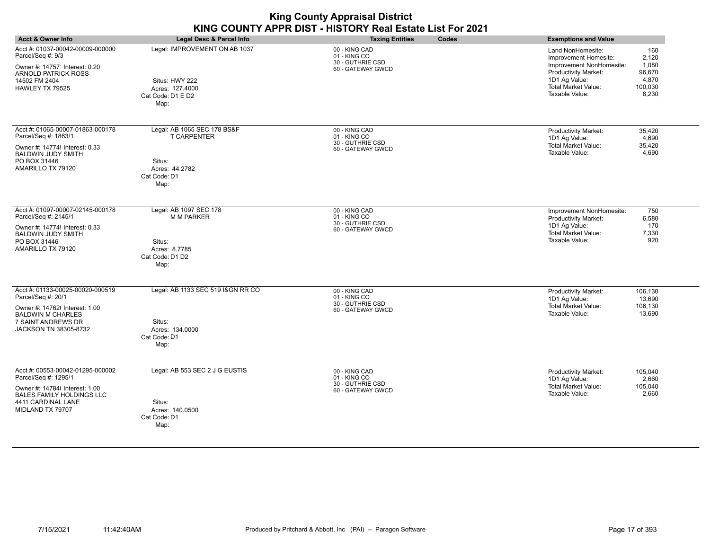| <b>Acct &amp; Owner Info</b>                                                                                                                                             | <b>Legal Desc &amp; Parcel Info</b>                                                                   | Codes<br><b>Taxing Entities</b>                                        | <b>Exemptions and Value</b>                                                                                                                                                                                                     |
|--------------------------------------------------------------------------------------------------------------------------------------------------------------------------|-------------------------------------------------------------------------------------------------------|------------------------------------------------------------------------|---------------------------------------------------------------------------------------------------------------------------------------------------------------------------------------------------------------------------------|
| Acct #: 01037-00042-00009-000000<br>Parcel/Seq #: 9/3<br>Owner #: 14757' Interest: 0.20<br><b>ARNOLD PATRICK ROSS</b><br>14502 FM 2404<br>HAWLEY TX 79525                | Legal: IMPROVEMENT ON AB 1037<br>Situs: HWY 222<br>Acres: 127.4000<br>Cat Code: D1 E D2<br>Map:       | 00 - KING CAD<br>01 - KING CO<br>30 - GUTHRIE CSD<br>60 - GATEWAY GWCD | 160<br>Land NonHomesite:<br>2,120<br>Improvement Homesite:<br>Improvement NonHomesite:<br>1,080<br>Productivity Market:<br>96,670<br>1D1 Ag Value:<br>4,870<br><b>Total Market Value:</b><br>100,030<br>Taxable Value:<br>8,230 |
| Acct #: 01065-00007-01863-000178<br>Parcel/Seq #: 1863/1<br>Owner #: 14774! Interest: 0.33<br><b>BALDWIN JUDY SMITH</b><br>PO BOX 31446<br>AMARILLO TX 79120             | Legal: AB 1065 SEC 178 BS&F<br><b>T CARPENTER</b><br>Situs:<br>Acres: 44.2782<br>Cat Code: D1<br>Map: | 00 - KING CAD<br>01 - KING CO<br>30 - GUTHRIE CSD<br>60 - GATEWAY GWCD | Productivity Market:<br>35,420<br>4,690<br>1D1 Ag Value:<br><b>Total Market Value:</b><br>35,420<br>Taxable Value:<br>4,690                                                                                                     |
| Acct #: 01097-00007-02145-000178<br>Parcel/Seq #: 2145/1<br>Owner #: 14774! Interest: 0.33<br><b>BALDWIN JUDY SMITH</b><br>PO BOX 31446<br>AMARILLO TX 79120             | Legal: AB 1097 SEC 178<br><b>M M PARKER</b><br>Situs:<br>Acres: 8.7785<br>Cat Code: D1 D2<br>Map:     | 00 - KING CAD<br>01 - KING CO<br>30 - GUTHRIE CSD<br>60 - GATEWAY GWCD | 750<br>Improvement NonHomesite:<br>Productivity Market:<br>6,580<br>1D1 Ag Value:<br>170<br><b>Total Market Value:</b><br>7,330<br>Taxable Value:<br>920                                                                        |
| Acct #: 01133-00025-00020-000519<br>Parcel/Seq #: 20/1<br>Owner #: 14762( Interest: 1.00<br><b>BALDWIN M CHARLES</b><br>7 SAINT ANDREWS DR<br>JACKSON TN 38305-8732      | Legal: AB 1133 SEC 519 I&GN RR CO<br>Situs:<br>Acres: 134.0000<br>Cat Code: D1<br>Map:                | 00 - KING CAD<br>01 - KING CO<br>30 - GUTHRIE CSD<br>60 - GATEWAY GWCD | Productivity Market:<br>106,130<br>1D1 Ag Value:<br>13,690<br><b>Total Market Value:</b><br>106,130<br>Taxable Value:<br>13,690                                                                                                 |
| Acct #: 00553-00042-01295-000002<br>Parcel/Seq #: 1295/1<br>Owner #: 147848 Interest: 1.00<br><b>BALES FAMILY HOLDINGS LLC</b><br>4411 CARDINAL LANE<br>MIDLAND TX 79707 | Legal: AB 553 SEC 2 J G EUSTIS<br>Situs:<br>Acres: 140.0500<br>Cat Code: D1<br>Map:                   | 00 - KING CAD<br>01 - KING CO<br>30 - GUTHRIE CSD<br>60 - GATEWAY GWCD | Productivity Market:<br>105.040<br>1D1 Ag Value:<br>2,660<br><b>Total Market Value:</b><br>105,040<br>Taxable Value:<br>2,660                                                                                                   |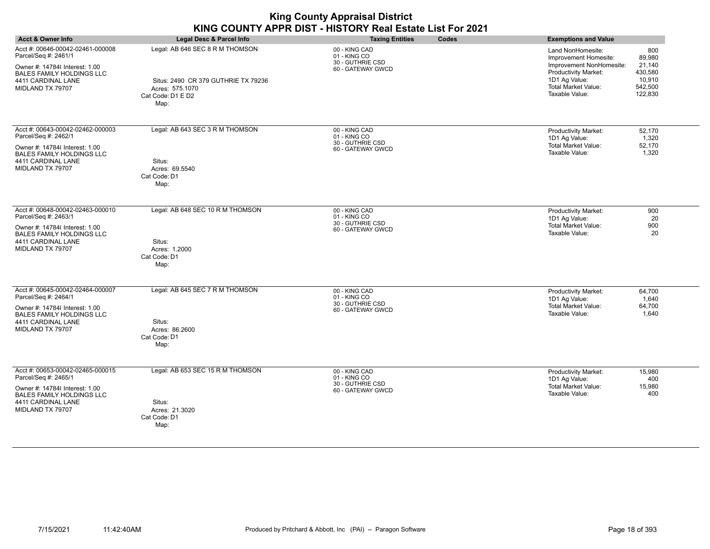| <b>Acct &amp; Owner Info</b>                                                                                                                                             | Legal Desc & Parcel Info                                                                                               | <b>Taxing Entities</b><br>Codes                                        | <b>Exemptions and Value</b>                                                                                                                                                                                                           |
|--------------------------------------------------------------------------------------------------------------------------------------------------------------------------|------------------------------------------------------------------------------------------------------------------------|------------------------------------------------------------------------|---------------------------------------------------------------------------------------------------------------------------------------------------------------------------------------------------------------------------------------|
| Acct #: 00646-00042-02461-000008<br>Parcel/Seq #: 2461/1<br>Owner #: 14784 Interest: 1.00<br><b>BALES FAMILY HOLDINGS LLC</b><br>4411 CARDINAL LANE<br>MIDLAND TX 79707  | Legal: AB 646 SEC 8 R M THOMSON<br>Situs: 2490 CR 379 GUTHRIE TX 79236<br>Acres: 575.1070<br>Cat Code: D1 E D2<br>Map: | 00 - KING CAD<br>01 - KING CO<br>30 - GUTHRIE CSD<br>60 - GATEWAY GWCD | 800<br>Land NonHomesite:<br>Improvement Homesite:<br>89,980<br>Improvement NonHomesite:<br>21,140<br>Productivity Market:<br>430,580<br>1D1 Ag Value:<br>10,910<br><b>Total Market Value:</b><br>542,500<br>Taxable Value:<br>122,830 |
| Acct #: 00643-00042-02462-000003<br>Parcel/Seq #: 2462/1<br>Owner #: 147848 Interest: 1.00<br><b>BALES FAMILY HOLDINGS LLC</b><br>4411 CARDINAL LANE<br>MIDLAND TX 79707 | Legal: AB 643 SEC 3 R M THOMSON<br>Situs:<br>Acres: 69.5540<br>Cat Code: D1<br>Map:                                    | 00 - KING CAD<br>01 - KING CO<br>30 - GUTHRIE CSD<br>60 - GATEWAY GWCD | Productivity Market:<br>52,170<br>1,320<br>1D1 Ag Value:<br><b>Total Market Value:</b><br>52,170<br>Taxable Value:<br>1,320                                                                                                           |
| Acct #: 00648-00042-02463-000010<br>Parcel/Seq #: 2463/1<br>Owner #: 147848 Interest: 1.00<br><b>BALES FAMILY HOLDINGS LLC</b><br>4411 CARDINAL LANE<br>MIDLAND TX 79707 | Legal: AB 648 SEC 10 R M THOMSON<br>Situs:<br>Acres: 1.2000<br>Cat Code: D1<br>Map:                                    | 00 - KING CAD<br>01 - KING CO<br>30 - GUTHRIE CSD<br>60 - GATEWAY GWCD | 900<br>Productivity Market:<br>1D1 Ag Value:<br>20<br><b>Total Market Value:</b><br>900<br>Taxable Value:<br>20                                                                                                                       |
| Acct #: 00645-00042-02464-000007<br>Parcel/Seq #: 2464/1<br>Owner #: 147848 Interest: 1.00<br><b>BALES FAMILY HOLDINGS LLC</b><br>4411 CARDINAL LANE<br>MIDLAND TX 79707 | Legal: AB 645 SEC 7 R M THOMSON<br>Situs:<br>Acres: 86.2600<br>Cat Code: D1<br>Map:                                    | 00 - KING CAD<br>01 - KING CO<br>30 - GUTHRIE CSD<br>60 - GATEWAY GWCD | Productivity Market:<br>64,700<br>1D1 Ag Value:<br>1,640<br><b>Total Market Value:</b><br>64,700<br>Taxable Value:<br>1,640                                                                                                           |
| Acct #: 00653-00042-02465-000015<br>Parcel/Seq #: 2465/1<br>Owner #: 147848 Interest: 1.00<br><b>BALES FAMILY HOLDINGS LLC</b><br>4411 CARDINAL LANE<br>MIDLAND TX 79707 | Legal: AB 653 SEC 15 R M THOMSON<br>Situs:<br>Acres: 21.3020<br>Cat Code: D1<br>Map:                                   | 00 - KING CAD<br>01 - KING CO<br>30 - GUTHRIE CSD<br>60 - GATEWAY GWCD | 15,980<br><b>Productivity Market:</b><br>1D1 Ag Value:<br>400<br><b>Total Market Value:</b><br>15,980<br>Taxable Value:<br>400                                                                                                        |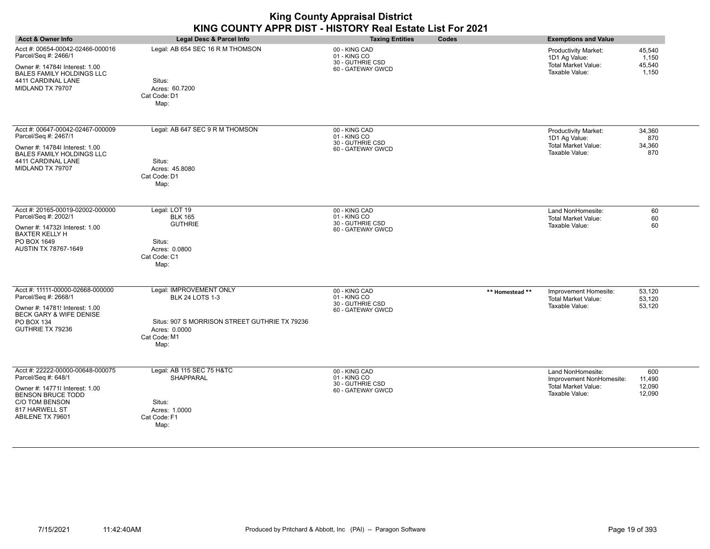| <b>Acct &amp; Owner Info</b>                                                                                                                                                  | Legal Desc & Parcel Info                                                                                                                    | <b>Taxing Entities</b>                                                 | Codes           | <b>Exemptions and Value</b>                                                                   |                                    |
|-------------------------------------------------------------------------------------------------------------------------------------------------------------------------------|---------------------------------------------------------------------------------------------------------------------------------------------|------------------------------------------------------------------------|-----------------|-----------------------------------------------------------------------------------------------|------------------------------------|
| Acct #: 00654-00042-02466-000016<br>Parcel/Seq #: 2466/1<br>Owner #: 147848 Interest: 1.00<br><b>BALES FAMILY HOLDINGS LLC</b><br>4411 CARDINAL LANE<br>MIDLAND TX 79707      | Legal: AB 654 SEC 16 R M THOMSON<br>Situs:<br>Acres: 60.7200<br>Cat Code: D1<br>Map:                                                        | 00 - KING CAD<br>01 - KING CO<br>30 - GUTHRIE CSD<br>60 - GATEWAY GWCD |                 | <b>Productivity Market:</b><br>1D1 Ag Value:<br><b>Total Market Value:</b><br>Taxable Value:  | 45,540<br>1,150<br>45,540<br>1,150 |
| Acct #: 00647-00042-02467-000009<br>Parcel/Seq #: 2467/1<br>Owner #: 147848 Interest: 1.00<br><b>BALES FAMILY HOLDINGS LLC</b><br>4411 CARDINAL LANE<br>MIDLAND TX 79707      | Legal: AB 647 SEC 9 R M THOMSON<br>Situs:<br>Acres: 45.8080<br>Cat Code: D1<br>Map:                                                         | 00 - KING CAD<br>01 - KING CO<br>30 - GUTHRIE CSD<br>60 - GATEWAY GWCD |                 | <b>Productivity Market:</b><br>1D1 Ag Value:<br><b>Total Market Value:</b><br>Taxable Value:  | 34,360<br>870<br>34,360<br>870     |
| Acct #: 20165-00019-02002-000000<br>Parcel/Seq #: 2002/1<br>Owner #: 147328 Interest: 1.00<br><b>BAXTER KELLY H</b><br>PO BOX 1649<br>AUSTIN TX 78767-1649                    | Legal: LOT 19<br><b>BLK 165</b><br><b>GUTHRIE</b><br>Situs:<br>Acres: 0.0800<br>Cat Code: C1<br>Map:                                        | 00 - KING CAD<br>01 - KING CO<br>30 - GUTHRIE CSD<br>60 - GATEWAY GWCD |                 | Land NonHomesite:<br><b>Total Market Value:</b><br>Taxable Value:                             | 60<br>60<br>60                     |
| Acct #: 11111-00000-02668-000000<br>Parcel/Seq #: 2668/1<br>Owner #: 14781! Interest: 1.00<br>BECK GARY & WIFE DENISE<br>PO BOX 134<br>GUTHRIE TX 79236                       | Legal: IMPROVEMENT ONLY<br><b>BLK 24 LOTS 1-3</b><br>Situs: 907 S MORRISON STREET GUTHRIE TX 79236<br>Acres: 0.0000<br>Cat Code: M1<br>Map: | 00 - KING CAD<br>01 - KING CO<br>30 - GUTHRIE CSD<br>60 - GATEWAY GWCD | ** Homestead ** | Improvement Homesite:<br><b>Total Market Value:</b><br>Taxable Value:                         | 53,120<br>53,120<br>53,120         |
| Acct #: 22222-00000-00648-000075<br>Parcel/Seq #: 648/1<br>Owner #: 147718 Interest: 1.00<br><b>BENSON BRUCE TODD</b><br>C/O TOM BENSON<br>817 HARWELL ST<br>ABILENE TX 79601 | Legal: AB 115 SEC 75 H&TC<br>SHAPPARAL<br>Situs:<br>Acres: 1.0000<br>Cat Code: F1<br>Map:                                                   | 00 - KING CAD<br>01 - KING CO<br>30 - GUTHRIE CSD<br>60 - GATEWAY GWCD |                 | Land NonHomesite:<br>Improvement NonHomesite:<br><b>Total Market Value:</b><br>Taxable Value: | 600<br>11,490<br>12,090<br>12,090  |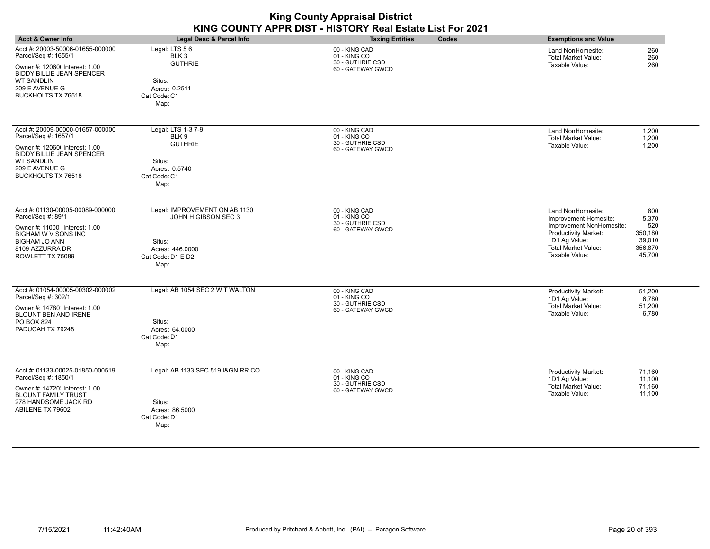|                                                                                                                                                                                                    |                                                                                                                | <b>King County Appraisal District</b><br>KING COUNTY APPR DIST - HISTORY Real Estate List For 2021 |                                                                                                                                                                                                                                  |
|----------------------------------------------------------------------------------------------------------------------------------------------------------------------------------------------------|----------------------------------------------------------------------------------------------------------------|----------------------------------------------------------------------------------------------------|----------------------------------------------------------------------------------------------------------------------------------------------------------------------------------------------------------------------------------|
| <b>Acct &amp; Owner Info</b>                                                                                                                                                                       | <b>Legal Desc &amp; Parcel Info</b>                                                                            | <b>Taxing Entities</b><br>Codes                                                                    | <b>Exemptions and Value</b>                                                                                                                                                                                                      |
| Acct #: 20003-50006-01655-000000<br>Parcel/Seq #: 1655/1<br>Owner #: 12060( Interest: 1.00<br><b>BIDDY BILLIE JEAN SPENCER</b><br><b>WT SANDLIN</b><br>209 E AVENUE G<br><b>BUCKHOLTS TX 76518</b> | Legal: LTS 56<br>BLK <sub>3</sub><br><b>GUTHRIE</b><br>Situs:<br>Acres: 0.2511<br>Cat Code: C1<br>Map:         | 00 - KING CAD<br>01 - KING CO<br>30 - GUTHRIE CSD<br>60 - GATEWAY GWCD                             | Land NonHomesite:<br>260<br><b>Total Market Value:</b><br>260<br>260<br>Taxable Value:                                                                                                                                           |
| Acct #: 20009-00000-01657-000000<br>Parcel/Seq #: 1657/1<br>Owner #: 12060(Interest: 1.00<br><b>BIDDY BILLIE JEAN SPENCER</b><br><b>WT SANDLIN</b><br>209 E AVENUE G<br><b>BUCKHOLTS TX 76518</b>  | Legal: LTS 1-3 7-9<br>BLK 9<br><b>GUTHRIE</b><br>Situs:<br>Acres: 0.5740<br>Cat Code: C1<br>Map:               | 00 - KING CAD<br>01 - KING CO<br>30 - GUTHRIE CSD<br>60 - GATEWAY GWCD                             | Land NonHomesite:<br>1,200<br><b>Total Market Value:</b><br>1,200<br>Taxable Value:<br>1,200                                                                                                                                     |
| Acct #: 01130-00005-00089-000000<br>Parcel/Seq #: 89/1<br>Owner #: 11000 Interest: 1.00<br>BIGHAM W V SONS INC<br><b>BIGHAM JO ANN</b><br>8109 AZZURRA DR<br>ROWLETT TX 75089                      | Legal: IMPROVEMENT ON AB 1130<br>JOHN H GIBSON SEC 3<br>Situs:<br>Acres: 446.0000<br>Cat Code: D1 E D2<br>Map: | 00 - KING CAD<br>01 - KING CO<br>30 - GUTHRIE CSD<br>60 - GATEWAY GWCD                             | Land NonHomesite:<br>800<br>5,370<br>Improvement Homesite:<br>520<br>Improvement NonHomesite:<br>Productivity Market:<br>350,180<br>1D1 Ag Value:<br>39,010<br><b>Total Market Value:</b><br>356,870<br>Taxable Value:<br>45,700 |
| Acct #: 01054-00005-00302-000002<br>Parcel/Seq #: 302/1<br>Owner #: 14780' Interest: 1.00<br>BLOUNT BEN AND IRENE<br>PO BOX 824<br>PADUCAH TX 79248                                                | Legal: AB 1054 SEC 2 W T WALTON<br>Situs:<br>Acres: 64.0000<br>Cat Code: D1<br>Map:                            | 00 - KING CAD<br>01 - KING CO<br>30 - GUTHRIE CSD<br>60 - GATEWAY GWCD                             | Productivity Market:<br>51,200<br>1D1 Ag Value:<br>6,780<br><b>Total Market Value:</b><br>51,200<br>Taxable Value:<br>6,780                                                                                                      |
| Acct #: 01133-00025-01850-000519<br>Parcel/Seq #: 1850/1<br>Owner #: 14720; Interest: 1.00<br><b>BLOUNT FAMILY TRUST</b><br>278 HANDSOME JACK RD<br>ABILENE TX 79602                               | Legal: AB 1133 SEC 519 I&GN RR CO<br>Situs:<br>Acres: 86.5000<br>Cat Code: D1<br>Map:                          | 00 - KING CAD<br>01 - KING CO<br>30 - GUTHRIE CSD<br>60 - GATEWAY GWCD                             | Productivity Market:<br>71,160<br>1D1 Ag Value:<br>11,100<br><b>Total Market Value:</b><br>71,160<br>Taxable Value:<br>11,100                                                                                                    |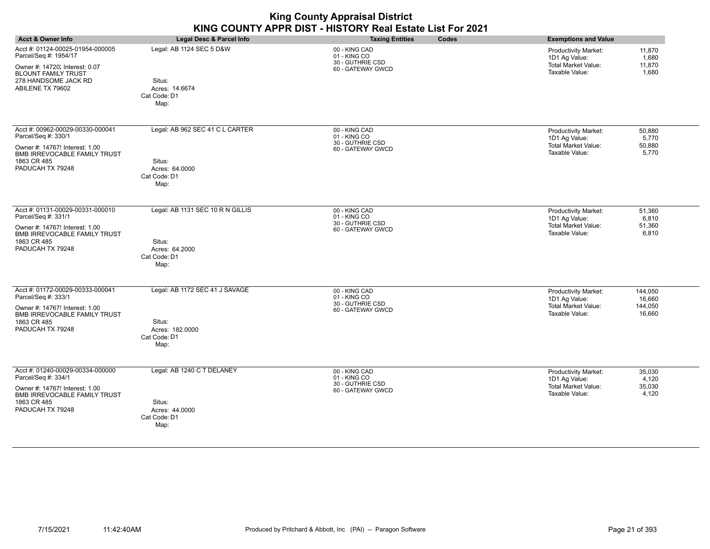|                                                                                                                                                                       |                                                                                      | <b>King County Appraisal District</b><br>KING COUNTY APPR DIST - HISTORY Real Estate List For 2021 |                                                                                                                                    |
|-----------------------------------------------------------------------------------------------------------------------------------------------------------------------|--------------------------------------------------------------------------------------|----------------------------------------------------------------------------------------------------|------------------------------------------------------------------------------------------------------------------------------------|
| <b>Acct &amp; Owner Info</b>                                                                                                                                          | Legal Desc & Parcel Info                                                             | <b>Taxing Entities</b><br>Codes                                                                    | <b>Exemptions and Value</b>                                                                                                        |
| Acct #: 01124-00025-01954-000005<br>Parcel/Seq #: 1954/17<br>Owner #: 14720; Interest: 0.07<br><b>BLOUNT FAMILY TRUST</b><br>278 HANDSOME JACK RD<br>ABILENE TX 79602 | Legal: AB 1124 SEC 5 D&W<br>Situs:<br>Acres: 14.6674<br>Cat Code: D1<br>Map:         | 00 - KING CAD<br>01 - KING CO<br>30 - GUTHRIE CSD<br>60 - GATEWAY GWCD                             | <b>Productivity Market:</b><br>11,870<br>1D1 Ag Value:<br>1.680<br><b>Total Market Value:</b><br>11,870<br>Taxable Value:<br>1,680 |
| Acct #: 00962-00029-00330-000041<br>Parcel/Seq #: 330/1<br>Owner #: 14767! Interest: 1.00<br>BMB IRREVOCABLE FAMILY TRUST<br>1863 CR 485<br>PADUCAH TX 79248          | Legal: AB 962 SEC 41 C L CARTER<br>Situs:<br>Acres: 64,0000<br>Cat Code: D1<br>Map:  | 00 - KING CAD<br>01 - KING CO<br>30 - GUTHRIE CSD<br>60 - GATEWAY GWCD                             | Productivity Market:<br>50,880<br>1D1 Ag Value:<br>5,770<br><b>Total Market Value:</b><br>50,880<br>Taxable Value:<br>5,770        |
| Acct #: 01131-00029-00331-000010<br>Parcel/Seq #: 331/1<br>Owner #: 14767! Interest: 1.00<br>BMB IRREVOCABLE FAMILY TRUST<br>1863 CR 485<br>PADUCAH TX 79248          | Legal: AB 1131 SEC 10 R N GILLIS<br>Situs:<br>Acres: 64.2000<br>Cat Code: D1<br>Map: | 00 - KING CAD<br>01 - KING CO<br>30 - GUTHRIE CSD<br>60 - GATEWAY GWCD                             | <b>Productivity Market:</b><br>51,360<br>1D1 Ag Value:<br>6,810<br><b>Total Market Value:</b><br>51,360<br>Taxable Value:<br>6,810 |
| Acct #: 01172-00029-00333-000041<br>Parcel/Seq #: 333/1<br>Owner #: 14767! Interest: 1.00<br><b>BMB IRREVOCABLE FAMILY TRUST</b><br>1863 CR 485<br>PADUCAH TX 79248   | Legal: AB 1172 SEC 41 J SAVAGE<br>Situs:<br>Acres: 182,0000<br>Cat Code: D1<br>Map:  | 00 - KING CAD<br>01 - KING CO<br>30 - GUTHRIE CSD<br>60 - GATEWAY GWCD                             | Productivity Market:<br>144,050<br>1D1 Ag Value:<br>16.660<br><b>Total Market Value:</b><br>144,050<br>Taxable Value:<br>16,660    |
| Acct #: 01240-00029-00334-000000<br>Parcel/Seq #: 334/1<br>Owner #: 14767! Interest: 1.00<br>BMB IRREVOCABLE FAMILY TRUST<br>1863 CR 485<br>PADUCAH TX 79248          | Legal: AB 1240 C T DELANEY<br>Situs:<br>Acres: 44.0000<br>Cat Code: D1<br>Map:       | 00 - KING CAD<br>01 - KING CO<br>30 - GUTHRIE CSD<br>60 - GATEWAY GWCD                             | <b>Productivity Market:</b><br>35,030<br>1D1 Ag Value:<br>4,120<br><b>Total Market Value:</b><br>35,030<br>Taxable Value:<br>4,120 |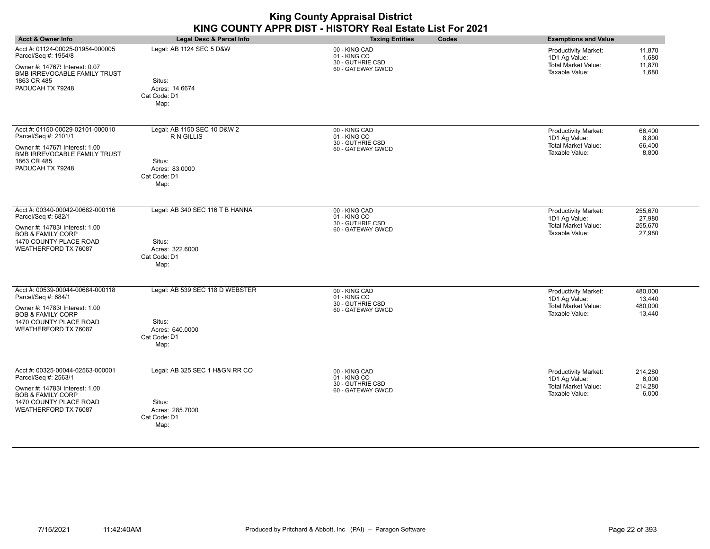|                                                                                                                                                                              |                                                                                               | $\ldots$ $\ldots$ $\ldots$ $\ldots$ $\ldots$ $\ldots$ $\ldots$<br>KING COUNTY APPR DIST - HISTORY Real Estate List For 2021 |                                                                                                                                        |
|------------------------------------------------------------------------------------------------------------------------------------------------------------------------------|-----------------------------------------------------------------------------------------------|-----------------------------------------------------------------------------------------------------------------------------|----------------------------------------------------------------------------------------------------------------------------------------|
| <b>Acct &amp; Owner Info</b>                                                                                                                                                 | Legal Desc & Parcel Info                                                                      | Codes<br><b>Taxing Entities</b>                                                                                             | <b>Exemptions and Value</b>                                                                                                            |
| Acct #: 01124-00025-01954-000005<br>Parcel/Seq #: 1954/8<br>Owner #: 14767! Interest: 0.07<br>BMB IRREVOCABLE FAMILY TRUST<br>1863 CR 485<br>PADUCAH TX 79248                | Legal: AB 1124 SEC 5 D&W<br>Situs:<br>Acres: 14.6674<br>Cat Code: D1<br>Map:                  | 00 - KING CAD<br>01 - KING CO<br>30 - GUTHRIE CSD<br>60 - GATEWAY GWCD                                                      | Productivity Market:<br>11,870<br>1,680<br>1D1 Ag Value:<br><b>Total Market Value:</b><br>11,870<br>Taxable Value:<br>1,680            |
| Acct #: 01150-00029-02101-000010<br>Parcel/Seq #: 2101/1<br>Owner #: 14767! Interest: 1.00<br>BMB IRREVOCABLE FAMILY TRUST<br>1863 CR 485<br>PADUCAH TX 79248                | Legal: AB 1150 SEC 10 D&W 2<br>R N GILLIS<br>Situs:<br>Acres: 83,0000<br>Cat Code: D1<br>Map: | 00 - KING CAD<br>01 - KING CO<br>30 - GUTHRIE CSD<br>60 - GATEWAY GWCD                                                      | <b>Productivity Market:</b><br>66,400<br>1D1 Ag Value:<br>8,800<br><b>Total Market Value:</b><br>66,400<br>Taxable Value:<br>8,800     |
| Acct #: 00340-00042-00682-000116<br>Parcel/Seq #: 682/1<br>Owner #: 14783( Interest: 1.00<br><b>BOB &amp; FAMILY CORP</b><br>1470 COUNTY PLACE ROAD<br>WEATHERFORD TX 76087  | Legal: AB 340 SEC 116 T B HANNA<br>Situs:<br>Acres: 322.6000<br>Cat Code: D1<br>Map:          | 00 - KING CAD<br>01 - KING CO<br>30 - GUTHRIE CSD<br>60 - GATEWAY GWCD                                                      | <b>Productivity Market:</b><br>255,670<br>1D1 Ag Value:<br>27,980<br><b>Total Market Value:</b><br>255,670<br>27,980<br>Taxable Value: |
| Acct #: 00539-00044-00684-000118<br>Parcel/Seq #: 684/1<br>Owner #: 14783( Interest: 1.00<br><b>BOB &amp; FAMILY CORP</b><br>1470 COUNTY PLACE ROAD<br>WEATHERFORD TX 76087  | Legal: AB 539 SEC 118 D WEBSTER<br>Situs:<br>Acres: 640.0000<br>Cat Code: D1<br>Map:          | 00 - KING CAD<br>01 - KING CO<br>30 - GUTHRIE CSD<br>60 - GATEWAY GWCD                                                      | <b>Productivity Market:</b><br>480,000<br>1D1 Ag Value:<br>13,440<br><b>Total Market Value:</b><br>480,000<br>Taxable Value:<br>13,440 |
| Acct #: 00325-00044-02563-000001<br>Parcel/Seq #: 2563/1<br>Owner #: 14783( Interest: 1.00<br><b>BOB &amp; FAMILY CORP</b><br>1470 COUNTY PLACE ROAD<br>WEATHERFORD TX 76087 | Legal: AB 325 SEC 1 H&GN RR CO<br>Situs:<br>Acres: 285.7000<br>Cat Code: D1<br>Map:           | 00 - KING CAD<br>01 - KING CO<br>30 - GUTHRIE CSD<br>60 - GATEWAY GWCD                                                      | <b>Productivity Market:</b><br>214,280<br>1D1 Ag Value:<br>6,000<br><b>Total Market Value:</b><br>214,280<br>Taxable Value:<br>6,000   |

# **King County Appraisal District**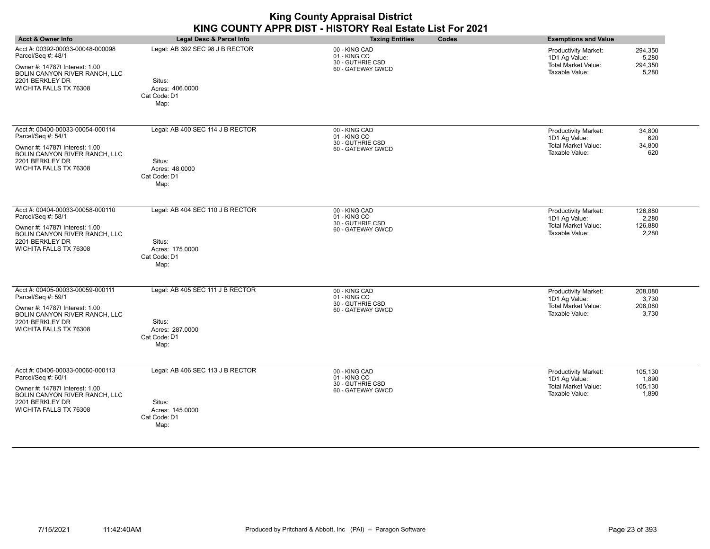|                                                                                                                                                                               |                                                                                       | <b>King County Appraisal District</b><br>KING COUNTY APPR DIST - HISTORY Real Estate List For 2021 |       |                                                                                              |                                      |
|-------------------------------------------------------------------------------------------------------------------------------------------------------------------------------|---------------------------------------------------------------------------------------|----------------------------------------------------------------------------------------------------|-------|----------------------------------------------------------------------------------------------|--------------------------------------|
| <b>Acct &amp; Owner Info</b>                                                                                                                                                  | <b>Legal Desc &amp; Parcel Info</b>                                                   | <b>Taxing Entities</b>                                                                             | Codes | <b>Exemptions and Value</b>                                                                  |                                      |
| Acct #: 00392-00033-00048-000098<br>Parcel/Seq #: 48/1<br>Owner #: 14787( Interest: 1.00<br>BOLIN CANYON RIVER RANCH. LLC<br>2201 BERKLEY DR<br>WICHITA FALLS TX 76308        | Legal: AB 392 SEC 98 J B RECTOR<br>Situs:<br>Acres: 406.0000<br>Cat Code: D1<br>Map:  | 00 - KING CAD<br>01 - KING CO<br>30 - GUTHRIE CSD<br>60 - GATEWAY GWCD                             |       | <b>Productivity Market:</b><br>1D1 Ag Value:<br><b>Total Market Value:</b><br>Taxable Value: | 294,350<br>5.280<br>294.350<br>5,280 |
| Acct #: 00400-00033-00054-000114<br>Parcel/Seq #: 54/1<br>Owner #: 14787( Interest: 1.00<br>BOLIN CANYON RIVER RANCH, LLC<br>2201 BERKLEY DR<br>WICHITA FALLS TX 76308        | Legal: AB 400 SEC 114 J B RECTOR<br>Situs:<br>Acres: 48.0000<br>Cat Code: D1<br>Map:  | 00 - KING CAD<br>01 - KING CO<br>30 - GUTHRIE CSD<br>60 - GATEWAY GWCD                             |       | Productivity Market:<br>1D1 Ag Value:<br><b>Total Market Value:</b><br>Taxable Value:        | 34,800<br>620<br>34,800<br>620       |
| Acct #: 00404-00033-00058-000110<br>Parcel/Seq #: 58/1<br>Owner #: 14787( Interest: 1.00<br>BOLIN CANYON RIVER RANCH, LLC<br>2201 BERKLEY DR<br>WICHITA FALLS TX 76308        | Legal: AB 404 SEC 110 J B RECTOR<br>Situs:<br>Acres: 175.0000<br>Cat Code: D1<br>Map: | 00 - KING CAD<br>01 - KING CO<br>30 - GUTHRIE CSD<br>60 - GATEWAY GWCD                             |       | <b>Productivity Market:</b><br>1D1 Ag Value:<br><b>Total Market Value:</b><br>Taxable Value: | 126,880<br>2,280<br>126,880<br>2,280 |
| Acct #: 00405-00033-00059-000111<br>Parcel/Seq #: 59/1<br>Owner #: 14787( Interest: 1.00<br><b>BOLIN CANYON RIVER RANCH, LLC</b><br>2201 BERKLEY DR<br>WICHITA FALLS TX 76308 | Legal: AB 405 SEC 111 J B RECTOR<br>Situs:<br>Acres: 287,0000<br>Cat Code: D1<br>Map: | 00 - KING CAD<br>01 - KING CO<br>30 - GUTHRIE CSD<br>60 - GATEWAY GWCD                             |       | Productivity Market:<br>1D1 Ag Value:<br><b>Total Market Value:</b><br>Taxable Value:        | 208,080<br>3.730<br>208,080<br>3,730 |
| Acct #: 00406-00033-00060-000113<br>Parcel/Seq #: 60/1<br>Owner #: 14787( Interest: 1.00<br>BOLIN CANYON RIVER RANCH, LLC<br>2201 BERKLEY DR<br>WICHITA FALLS TX 76308        | Legal: AB 406 SEC 113 J B RECTOR<br>Situs:<br>Acres: 145.0000<br>Cat Code: D1<br>Map: | 00 - KING CAD<br>01 - KING CO<br>30 - GUTHRIE CSD<br>60 - GATEWAY GWCD                             |       | Productivity Market:<br>1D1 Ag Value:<br><b>Total Market Value:</b><br>Taxable Value:        | 105,130<br>1,890<br>105,130<br>1.890 |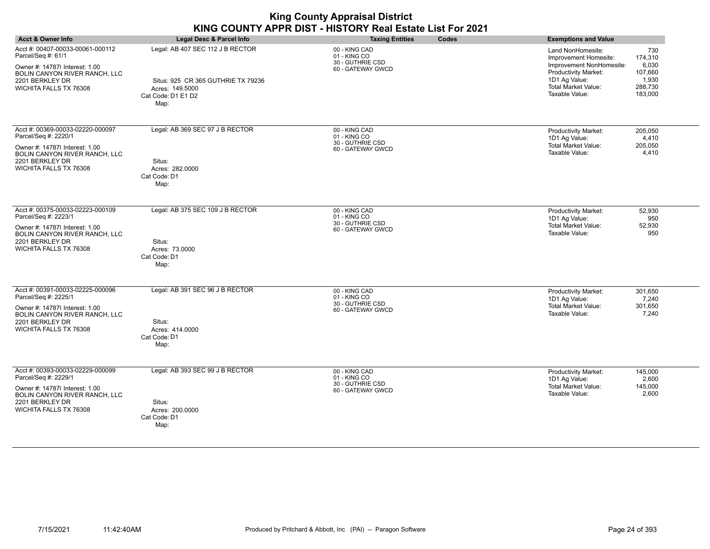| <b>Acct &amp; Owner Info</b>                                                                                                                                                    | Legal Desc & Parcel Info                                                                                                | <b>Taxing Entities</b><br>Codes                                        | <b>Exemptions and Value</b>                                                                                                                                                                                                          |
|---------------------------------------------------------------------------------------------------------------------------------------------------------------------------------|-------------------------------------------------------------------------------------------------------------------------|------------------------------------------------------------------------|--------------------------------------------------------------------------------------------------------------------------------------------------------------------------------------------------------------------------------------|
| Acct #: 00407-00033-00061-000112<br>Parcel/Seq #: 61/1<br>Owner #: 14787( Interest: 1.00<br>BOLIN CANYON RIVER RANCH, LLC<br>2201 BERKLEY DR<br>WICHITA FALLS TX 76308          | Legal: AB 407 SEC 112 J B RECTOR<br>Situs: 925 CR 365 GUTHRIE TX 79236<br>Acres: 149.5000<br>Cat Code: D1 E1 D2<br>Map: | 00 - KING CAD<br>01 - KING CO<br>30 - GUTHRIE CSD<br>60 - GATEWAY GWCD | 730<br>Land NonHomesite:<br>174,310<br>Improvement Homesite:<br>Improvement NonHomesite:<br>6,030<br>Productivity Market:<br>107,660<br>1D1 Ag Value:<br>1,930<br><b>Total Market Value:</b><br>288,730<br>Taxable Value:<br>183,000 |
| Acct #: 00369-00033-02220-000097<br>Parcel/Seq #: 2220/1<br>Owner #: 14787( Interest: 1.00<br><b>BOLIN CANYON RIVER RANCH. LLC</b><br>2201 BERKLEY DR<br>WICHITA FALLS TX 76308 | Legal: AB 369 SEC 97 J B RECTOR<br>Situs:<br>Acres: 282.0000<br>Cat Code: D1<br>Map:                                    | 00 - KING CAD<br>01 - KING CO<br>30 - GUTHRIE CSD<br>60 - GATEWAY GWCD | Productivity Market:<br>205,050<br>1D1 Ag Value:<br>4,410<br><b>Total Market Value:</b><br>205,050<br>Taxable Value:<br>4,410                                                                                                        |
| Acct #: 00375-00033-02223-000109<br>Parcel/Seq #: 2223/1<br>Owner #: 14787( Interest: 1.00<br>BOLIN CANYON RIVER RANCH, LLC<br>2201 BERKLEY DR<br>WICHITA FALLS TX 76308        | Legal: AB 375 SEC 109 J B RECTOR<br>Situs:<br>Acres: 73.0000<br>Cat Code: D1<br>Map:                                    | 00 - KING CAD<br>01 - KING CO<br>30 - GUTHRIE CSD<br>60 - GATEWAY GWCD | 52,930<br>Productivity Market:<br>1D1 Ag Value:<br>950<br><b>Total Market Value:</b><br>52,930<br>Taxable Value:<br>950                                                                                                              |
| Acct #: 00391-00033-02225-000096<br>Parcel/Seq #: 2225/1<br>Owner #: 14787( Interest: 1.00<br>BOLIN CANYON RIVER RANCH, LLC<br>2201 BERKLEY DR<br>WICHITA FALLS TX 76308        | Legal: AB 391 SEC 96 J B RECTOR<br>Situs:<br>Acres: 414.0000<br>Cat Code: D1<br>Map:                                    | 00 - KING CAD<br>01 - KING CO<br>30 - GUTHRIE CSD<br>60 - GATEWAY GWCD | Productivity Market:<br>301.650<br>1D1 Ag Value:<br>7,240<br><b>Total Market Value:</b><br>301,650<br>Taxable Value:<br>7,240                                                                                                        |
| Acct #: 00393-00033-02229-000099<br>Parcel/Seq #: 2229/1<br>Owner #: 14787( Interest: 1.00<br>BOLIN CANYON RIVER RANCH, LLC<br>2201 BERKLEY DR<br>WICHITA FALLS TX 76308        | Legal: AB 393 SEC 99 J B RECTOR<br>Situs:<br>Acres: 200,0000<br>Cat Code: D1<br>Map:                                    | 00 - KING CAD<br>01 - KING CO<br>30 - GUTHRIE CSD<br>60 - GATEWAY GWCD | 145,000<br><b>Productivity Market:</b><br>1D1 Ag Value:<br>2,600<br><b>Total Market Value:</b><br>145,000<br>Taxable Value:<br>2,600                                                                                                 |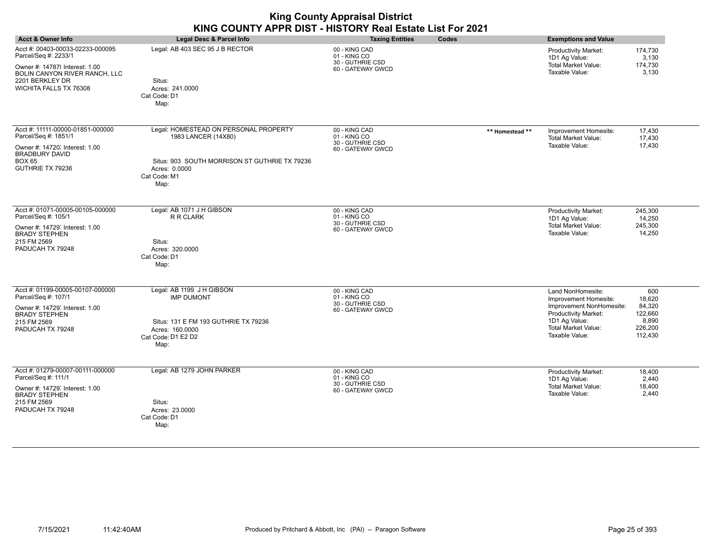| <b>Acct &amp; Owner Info</b>                                                                                                                                            | Legal Desc & Parcel Info                                                                                                                               | <b>Taxing Entities</b>                                                 | Codes           | <b>Exemptions and Value</b>                                                                                                                                     |                                                                   |
|-------------------------------------------------------------------------------------------------------------------------------------------------------------------------|--------------------------------------------------------------------------------------------------------------------------------------------------------|------------------------------------------------------------------------|-----------------|-----------------------------------------------------------------------------------------------------------------------------------------------------------------|-------------------------------------------------------------------|
| Acct #: 00403-00033-02233-000095<br>Parcel/Seq #: 2233/1<br>Owner #: 14787(Interest: 1.00<br>BOLIN CANYON RIVER RANCH, LLC<br>2201 BERKLEY DR<br>WICHITA FALLS TX 76308 | Legal: AB 403 SEC 95 J B RECTOR<br>Situs:<br>Acres: 241.0000<br>Cat Code: D1<br>Map:                                                                   | 00 - KING CAD<br>01 - KING CO<br>30 - GUTHRIE CSD<br>60 - GATEWAY GWCD |                 | <b>Productivity Market:</b><br>1D1 Ag Value:<br><b>Total Market Value:</b><br>Taxable Value:                                                                    | 174,730<br>3,130<br>174,730<br>3,130                              |
| Acct #: 11111-00000-01851-000000<br>Parcel/Seq #: 1851/1<br>Owner #: 14720; Interest: 1.00<br><b>BRADBURY DAVID</b><br><b>BOX 65</b><br>GUTHRIE TX 79236                | Legal: HOMESTEAD ON PERSONAL PROPERTY<br>1983 LANCER (14X80)<br>Situs: 903 SOUTH MORRISON ST GUTHRIE TX 79236<br>Acres: 0.0000<br>Cat Code: M1<br>Map: | 00 - KING CAD<br>01 - KING CO<br>30 - GUTHRIE CSD<br>60 - GATEWAY GWCD | ** Homestead ** | Improvement Homesite:<br><b>Total Market Value:</b><br>Taxable Value:                                                                                           | 17,430<br>17,430<br>17,430                                        |
| Acct #: 01071-00005-00105-000000<br>Parcel/Seq #: 105/1<br>Owner #: 14729 Interest: 1.00<br><b>BRADY STEPHEN</b><br>215 FM 2569<br>PADUCAH TX 79248                     | Legal: AB 1071 J H GIBSON<br>R R CLARK<br>Situs:<br>Acres: 320.0000<br>Cat Code: D1<br>Map:                                                            | 00 - KING CAD<br>01 - KING CO<br>30 - GUTHRIE CSD<br>60 - GATEWAY GWCD |                 | Productivity Market:<br>1D1 Ag Value:<br><b>Total Market Value:</b><br>Taxable Value:                                                                           | 245,300<br>14,250<br>245,300<br>14,250                            |
| Acct #: 01199-00005-00107-000000<br>Parcel/Seq #: 107/1<br>Owner #: 14729 Interest: 1.00<br><b>BRADY STEPHEN</b><br>215 FM 2569<br>PADUCAH TX 79248                     | Legal: AB 1199 J H GIBSON<br><b>IMP DUMONT</b><br>Situs: 131 E FM 193 GUTHRIE TX 79236<br>Acres: 160.0000<br>Cat Code: D1 E2 D2<br>Map:                | 00 - KING CAD<br>01 - KING CO<br>30 - GUTHRIE CSD<br>60 - GATEWAY GWCD |                 | Land NonHomesite:<br>Improvement Homesite:<br>Improvement NonHomesite:<br>Productivity Market:<br>1D1 Ag Value:<br><b>Total Market Value:</b><br>Taxable Value: | 600<br>18,620<br>84,320<br>122,660<br>8,890<br>226,200<br>112,430 |
| Acct #: 01279-00007-00111-000000<br>Parcel/Seq #: 111/1<br>Owner #: 14729, Interest: 1.00<br><b>BRADY STEPHEN</b><br>215 FM 2569<br>PADUCAH TX 79248                    | Legal: AB 1279 JOHN PARKER<br>Situs:<br>Acres: 23.0000<br>Cat Code: D1<br>Map:                                                                         | 00 - KING CAD<br>01 - KING CO<br>30 - GUTHRIE CSD<br>60 - GATEWAY GWCD |                 | Productivity Market:<br>1D1 Ag Value:<br><b>Total Market Value:</b><br>Taxable Value:                                                                           | 18,400<br>2,440<br>18,400<br>2,440                                |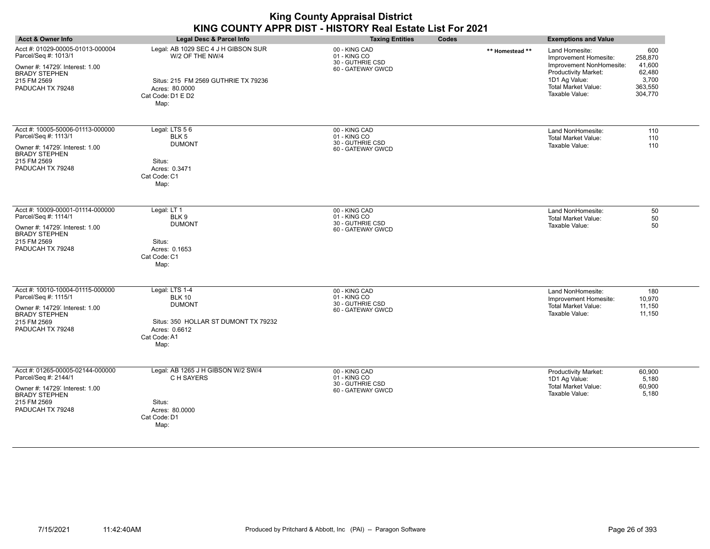| <b>Acct &amp; Owner Info</b>                                                                                                                          | Legal Desc & Parcel Info                                                                                                                     | <b>Taxing Entities</b>                                                 | Codes           | <b>Exemptions and Value</b>                                                                                                                           |                                                                   |
|-------------------------------------------------------------------------------------------------------------------------------------------------------|----------------------------------------------------------------------------------------------------------------------------------------------|------------------------------------------------------------------------|-----------------|-------------------------------------------------------------------------------------------------------------------------------------------------------|-------------------------------------------------------------------|
| Acct #: 01029-00005-01013-000004<br>Parcel/Seq #: 1013/1<br>Owner #: 14729, Interest: 1.00<br><b>BRADY STEPHEN</b><br>215 FM 2569<br>PADUCAH TX 79248 | Legal: AB 1029 SEC 4 J H GIBSON SUR<br>W/2 OF THE NW/4<br>Situs: 215 FM 2569 GUTHRIE TX 79236<br>Acres: 80,0000<br>Cat Code: D1 E D2<br>Map: | 00 - KING CAD<br>01 - KING CO<br>30 - GUTHRIE CSD<br>60 - GATEWAY GWCD | ** Homestead ** | Land Homesite:<br>Improvement Homesite:<br>Improvement NonHomesite:<br>Productivity Market:<br>1D1 Ag Value:<br>Total Market Value:<br>Taxable Value: | 600<br>258,870<br>41,600<br>62,480<br>3,700<br>363,550<br>304,770 |
| Acct #: 10005-50006-01113-000000<br>Parcel/Seq #: 1113/1<br>Owner #: 14729: Interest: 1.00<br><b>BRADY STEPHEN</b><br>215 FM 2569<br>PADUCAH TX 79248 | Legal: LTS 56<br>BLK <sub>5</sub><br><b>DUMONT</b><br>Situs:<br>Acres: 0.3471<br>Cat Code: C1<br>Map:                                        | 00 - KING CAD<br>01 - KING CO<br>30 - GUTHRIE CSD<br>60 - GATEWAY GWCD |                 | Land NonHomesite:<br><b>Total Market Value:</b><br>Taxable Value:                                                                                     | 110<br>110<br>110                                                 |
| Acct #: 10009-00001-01114-000000<br>Parcel/Seq #: 1114/1<br>Owner #: 14729: Interest: 1.00<br><b>BRADY STEPHEN</b><br>215 FM 2569<br>PADUCAH TX 79248 | Legal: LT 1<br>BLK <sub>9</sub><br><b>DUMONT</b><br>Situs:<br>Acres: 0.1653<br>Cat Code: C1<br>Map:                                          | 00 - KING CAD<br>01 - KING CO<br>30 - GUTHRIE CSD<br>60 - GATEWAY GWCD |                 | Land NonHomesite:<br><b>Total Market Value:</b><br>Taxable Value:                                                                                     | 50<br>50<br>50                                                    |
| Acct #: 10010-10004-01115-000000<br>Parcel/Seq #: 1115/1<br>Owner #: 14729, Interest: 1.00<br><b>BRADY STEPHEN</b><br>215 FM 2569<br>PADUCAH TX 79248 | Legal: LTS 1-4<br><b>BLK 10</b><br><b>DUMONT</b><br>Situs: 350 HOLLAR ST DUMONT TX 79232<br>Acres: 0.6612<br>Cat Code: A1<br>Map:            | 00 - KING CAD<br>01 - KING CO<br>30 - GUTHRIE CSD<br>60 - GATEWAY GWCD |                 | Land NonHomesite:<br>Improvement Homesite:<br><b>Total Market Value:</b><br>Taxable Value:                                                            | 180<br>10,970<br>11,150<br>11,150                                 |
| Acct #: 01265-00005-02144-000000<br>Parcel/Seq #: 2144/1<br>Owner #: 14729, Interest: 1.00<br><b>BRADY STEPHEN</b><br>215 FM 2569<br>PADUCAH TX 79248 | Legal: AB 1265 J H GIBSON W/2 SW/4<br>C H SAYERS<br>Situs:<br>Acres: 80.0000<br>Cat Code: D1<br>Map:                                         | 00 - KING CAD<br>01 - KING CO<br>30 - GUTHRIE CSD<br>60 - GATEWAY GWCD |                 | <b>Productivity Market:</b><br>1D1 Ag Value:<br><b>Total Market Value:</b><br>Taxable Value:                                                          | 60,900<br>5,180<br>60,900<br>5,180                                |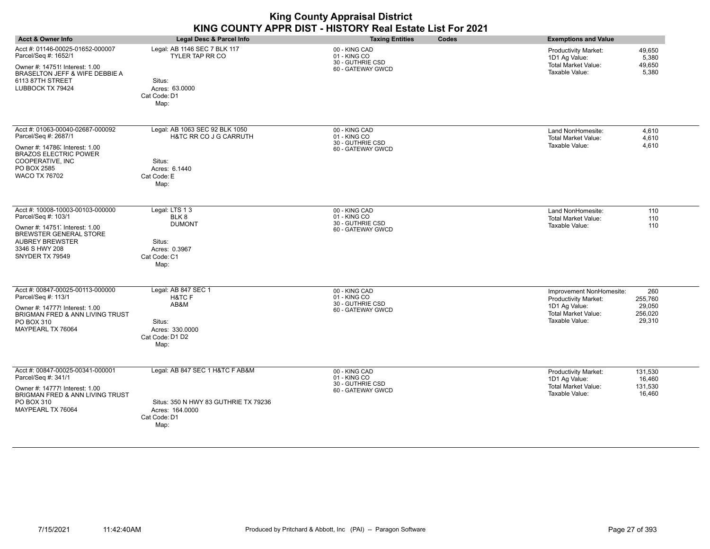| <b>King County Appraisal District</b><br>KING COUNTY APPR DIST - HISTORY Real Estate List For 2021                                                                                        |                                                                                                                    |                                                                        |                                                                                                                                                                    |  |
|-------------------------------------------------------------------------------------------------------------------------------------------------------------------------------------------|--------------------------------------------------------------------------------------------------------------------|------------------------------------------------------------------------|--------------------------------------------------------------------------------------------------------------------------------------------------------------------|--|
| <b>Acct &amp; Owner Info</b>                                                                                                                                                              | Legal Desc & Parcel Info                                                                                           | <b>Taxing Entities</b><br>Codes                                        | <b>Exemptions and Value</b>                                                                                                                                        |  |
| Acct #: 01146-00025-01652-000007<br>Parcel/Seq #: 1652/1<br>Owner #: 14751! Interest: 1.00<br>BRASELTON JEFF & WIFE DEBBIE A<br>6113 87TH STREET<br>LUBBOCK TX 79424                      | Legal: AB 1146 SEC 7 BLK 117<br>TYLER TAP RR CO<br>Situs:<br>Acres: 63.0000<br>Cat Code: D1<br>Map:                | 00 - KING CAD<br>01 - KING CO<br>30 - GUTHRIE CSD<br>60 - GATEWAY GWCD | <b>Productivity Market:</b><br>49,650<br>1D1 Ag Value:<br>5,380<br><b>Total Market Value:</b><br>49,650<br>Taxable Value:<br>5,380                                 |  |
| Acct #: 01063-00040-02687-000092<br>Parcel/Seq #: 2687/1<br>Owner #: 14786; Interest: 1.00<br><b>BRAZOS ELECTRIC POWER</b><br>COOPERATIVE, INC<br>PO BOX 2585<br><b>WACO TX 76702</b>     | Legal: AB 1063 SEC 92 BLK 1050<br>H&TC RR CO J G CARRUTH<br>Situs:<br>Acres: 6.1440<br>Cat Code: E<br>Map:         | 00 - KING CAD<br>01 - KING CO<br>30 - GUTHRIE CSD<br>60 - GATEWAY GWCD | Land NonHomesite:<br>4,610<br><b>Total Market Value:</b><br>4.610<br>Taxable Value:<br>4,610                                                                       |  |
| Acct #: 10008-10003-00103-000000<br>Parcel/Seq #: 103/1<br>Owner #: 14751, Interest: 1.00<br><b>BREWSTER GENERAL STORE</b><br><b>AUBREY BREWSTER</b><br>3346 S HWY 208<br>SNYDER TX 79549 | Legal: LTS 13<br>BLK 8<br><b>DUMONT</b><br>Situs:<br>Acres: 0.3967<br>Cat Code: C1<br>Map:                         | 00 - KING CAD<br>01 - KING CO<br>30 - GUTHRIE CSD<br>60 - GATEWAY GWCD | Land NonHomesite:<br>110<br>110<br>Total Market Value:<br>Taxable Value:<br>110                                                                                    |  |
| Acct #: 00847-00025-00113-000000<br>Parcel/Seq #: 113/1<br>Owner #: 14777! Interest: 1.00<br>BRIGMAN FRED & ANN LIVING TRUST<br>PO BOX 310<br>MAYPEARL TX 76064                           | Legal: AB 847 SEC 1<br>H&TC F<br>AB&M<br>Situs:<br>Acres: 330,0000<br>Cat Code: D1 D2<br>Map:                      | 00 - KING CAD<br>01 - KING CO<br>30 - GUTHRIE CSD<br>60 - GATEWAY GWCD | Improvement NonHomesite:<br>260<br>Productivity Market:<br>255,760<br>1D1 Ag Value:<br>29,050<br><b>Total Market Value:</b><br>256,020<br>Taxable Value:<br>29,310 |  |
| Acct #: 00847-00025-00341-000001<br>Parcel/Seq #: 341/1<br>Owner #: 14777! Interest: 1.00<br>BRIGMAN FRED & ANN LIVING TRUST<br>PO BOX 310<br>MAYPEARL TX 76064                           | Legal: AB 847 SEC 1 H&TC F AB&M<br>Situs: 350 N HWY 83 GUTHRIE TX 79236<br>Acres: 164.0000<br>Cat Code: D1<br>Map: | 00 - KING CAD<br>01 - KING CO<br>30 - GUTHRIE CSD<br>60 - GATEWAY GWCD | Productivity Market:<br>131,530<br>1D1 Ag Value:<br>16,460<br><b>Total Market Value:</b><br>131,530<br>Taxable Value:<br>16,460                                    |  |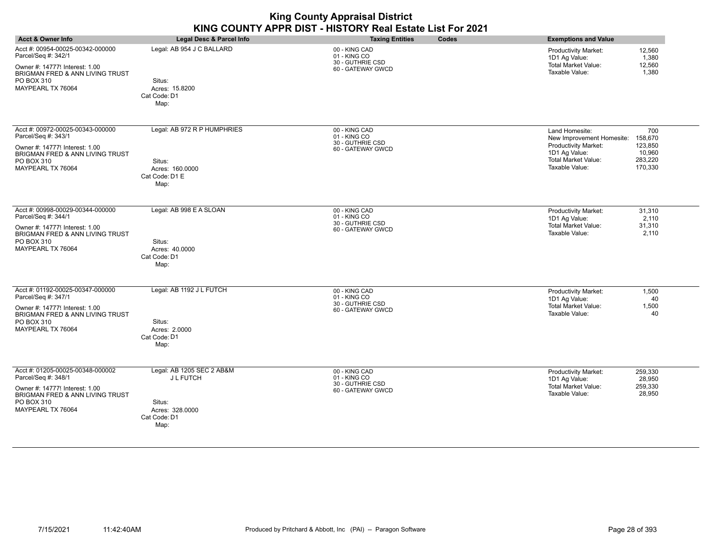| <b>King County Appraisal District</b><br>KING COUNTY APPR DIST - HISTORY Real Estate List For 2021                                                              |                                                                                                  |                                                                        |       |                                                                                                                                      |                                                           |
|-----------------------------------------------------------------------------------------------------------------------------------------------------------------|--------------------------------------------------------------------------------------------------|------------------------------------------------------------------------|-------|--------------------------------------------------------------------------------------------------------------------------------------|-----------------------------------------------------------|
| <b>Acct &amp; Owner Info</b>                                                                                                                                    | Legal Desc & Parcel Info                                                                         | <b>Taxing Entities</b>                                                 | Codes | <b>Exemptions and Value</b>                                                                                                          |                                                           |
| Acct #: 00954-00025-00342-000000<br>Parcel/Seq #: 342/1<br>Owner #: 14777! Interest: 1.00<br>BRIGMAN FRED & ANN LIVING TRUST<br>PO BOX 310<br>MAYPEARL TX 76064 | Legal: AB 954 J C BALLARD<br>Situs:<br>Acres: 15.8200<br>Cat Code: D1<br>Map:                    | 00 - KING CAD<br>01 - KING CO<br>30 - GUTHRIE CSD<br>60 - GATEWAY GWCD |       | <b>Productivity Market:</b><br>1D1 Ag Value:<br><b>Total Market Value:</b><br>Taxable Value:                                         | 12,560<br>1.380<br>12,560<br>1,380                        |
| Acct #: 00972-00025-00343-000000<br>Parcel/Seq #: 343/1<br>Owner #: 14777! Interest: 1.00<br>BRIGMAN FRED & ANN LIVING TRUST<br>PO BOX 310<br>MAYPEARL TX 76064 | Legal: AB 972 R P HUMPHRIES<br>Situs:<br>Acres: 160,0000<br>Cat Code: D1 E<br>Map:               | 00 - KING CAD<br>01 - KING CO<br>30 - GUTHRIE CSD<br>60 - GATEWAY GWCD |       | Land Homesite:<br>New Improvement Homesite:<br>Productivity Market:<br>1D1 Ag Value:<br><b>Total Market Value:</b><br>Taxable Value: | 700<br>158,670<br>123,850<br>10,960<br>283,220<br>170,330 |
| Acct #: 00998-00029-00344-000000<br>Parcel/Seq #: 344/1<br>Owner #: 147779 Interest: 1.00<br>BRIGMAN FRED & ANN LIVING TRUST<br>PO BOX 310<br>MAYPEARL TX 76064 | Legal: AB 998 E A SLOAN<br>Situs:<br>Acres: 40.0000<br>Cat Code: D1<br>Map:                      | 00 - KING CAD<br>01 - KING CO<br>30 - GUTHRIE CSD<br>60 - GATEWAY GWCD |       | <b>Productivity Market:</b><br>1D1 Ag Value:<br><b>Total Market Value:</b><br>Taxable Value:                                         | 31,310<br>2,110<br>31,310<br>2,110                        |
| Acct #: 01192-00025-00347-000000<br>Parcel/Seq #: 347/1<br>Owner #: 14777! Interest: 1.00<br>BRIGMAN FRED & ANN LIVING TRUST<br>PO BOX 310<br>MAYPEARL TX 76064 | Legal: AB 1192 J L FUTCH<br>Situs:<br>Acres: 2.0000<br>Cat Code: D1<br>Map:                      | 00 - KING CAD<br>01 - KING CO<br>30 - GUTHRIE CSD<br>60 - GATEWAY GWCD |       | Productivity Market:<br>1D1 Ag Value:<br><b>Total Market Value:</b><br>Taxable Value:                                                | 1,500<br>40<br>1,500<br>40                                |
| Acct #: 01205-00025-00348-000002<br>Parcel/Seq #: 348/1<br>Owner #: 14777! Interest: 1.00<br>BRIGMAN FRED & ANN LIVING TRUST<br>PO BOX 310<br>MAYPEARL TX 76064 | Legal: AB 1205 SEC 2 AB&M<br><b>JLFUTCH</b><br>Situs:<br>Acres: 328.0000<br>Cat Code: D1<br>Map: | 00 - KING CAD<br>01 - KING CO<br>30 - GUTHRIE CSD<br>60 - GATEWAY GWCD |       | Productivity Market:<br>1D1 Ag Value:<br><b>Total Market Value:</b><br>Taxable Value:                                                | 259,330<br>28,950<br>259,330<br>28.950                    |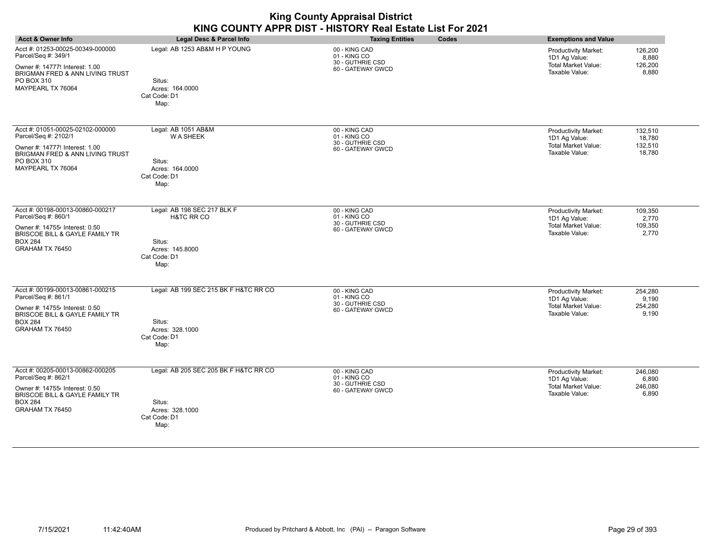| <b>King County Appraisal District</b><br>KING COUNTY APPR DIST - HISTORY Real Estate List For 2021                                                                          |                                                                                                           |                                                                        |                                                                                                                                      |  |
|-----------------------------------------------------------------------------------------------------------------------------------------------------------------------------|-----------------------------------------------------------------------------------------------------------|------------------------------------------------------------------------|--------------------------------------------------------------------------------------------------------------------------------------|--|
| <b>Acct &amp; Owner Info</b>                                                                                                                                                | Legal Desc & Parcel Info                                                                                  | Codes<br><b>Taxing Entities</b>                                        | <b>Exemptions and Value</b>                                                                                                          |  |
| Acct #: 01253-00025-00349-000000<br>Parcel/Seq #: 349/1<br>Owner #: 14777! Interest: 1.00<br>BRIGMAN FRED & ANN LIVING TRUST<br>PO BOX 310<br>MAYPEARL TX 76064             | Legal: AB 1253 AB&M H P YOUNG<br>Situs:<br>Acres: 164,0000<br>Cat Code: D1<br>Map:                        | 00 - KING CAD<br>01 - KING CO<br>30 - GUTHRIE CSD<br>60 - GATEWAY GWCD | <b>Productivity Market:</b><br>126,200<br>1D1 Ag Value:<br>8,880<br><b>Total Market Value:</b><br>126,200<br>Taxable Value:<br>8,880 |  |
| Acct #: 01051-00025-02102-000000<br>Parcel/Seq #: 2102/1<br>Owner #: 14777! Interest: 1.00<br>BRIGMAN FRED & ANN LIVING TRUST<br>PO BOX 310<br>MAYPEARL TX 76064            | Legal: AB 1051 AB&M<br><b>WA SHEEK</b><br>Situs:<br>Acres: 164.0000<br>Cat Code: D1<br>Map:               | 00 - KING CAD<br>01 - KING CO<br>30 - GUTHRIE CSD<br>60 - GATEWAY GWCD | Productivity Market:<br>132,510<br>1D1 Ag Value:<br>18,780<br><b>Total Market Value:</b><br>132,510<br>Taxable Value:<br>18,780      |  |
| Acct #: 00198-00013-00860-000217<br>Parcel/Seq #: 860/1<br>Owner #: 147554 Interest: 0.50<br><b>BRISCOE BILL &amp; GAYLE FAMILY TR</b><br><b>BOX 284</b><br>GRAHAM TX 76450 | Legal: AB 198 SEC 217 BLK F<br><b>H&amp;TC RR CO</b><br>Situs:<br>Acres: 145.8000<br>Cat Code: D1<br>Map: | 00 - KING CAD<br>01 - KING CO<br>30 - GUTHRIE CSD<br>60 - GATEWAY GWCD | Productivity Market:<br>109,350<br>2,770<br>1D1 Ag Value:<br>Total Market Value:<br>109,350<br>Taxable Value:<br>2,770               |  |
| Acct #: 00199-00013-00861-000215<br>Parcel/Seq #: 861/1<br>Owner #: 147554 Interest: 0.50<br><b>BRISCOE BILL &amp; GAYLE FAMILY TR</b><br><b>BOX 284</b><br>GRAHAM TX 76450 | Legal: AB 199 SEC 215 BK F H&TC RR CO<br>Situs:<br>Acres: 328.1000<br>Cat Code: D1<br>Map:                | 00 - KING CAD<br>01 - KING CO<br>30 - GUTHRIE CSD<br>60 - GATEWAY GWCD | 254,280<br>Productivity Market:<br>1D1 Ag Value:<br>9,190<br><b>Total Market Value:</b><br>254,280<br>Taxable Value:<br>9,190        |  |
| Acct #: 00205-00013-00862-000205<br>Parcel/Seq #: 862/1<br>Owner #: 147554 Interest: 0.50<br>BRISCOE BILL & GAYLE FAMILY TR<br><b>BOX 284</b><br>GRAHAM TX 76450            | Legal: AB 205 SEC 205 BK F H&TC RR CO<br>Situs:<br>Acres: 328.1000<br>Cat Code: D1<br>Map:                | 00 - KING CAD<br>01 - KING CO<br>30 - GUTHRIE CSD<br>60 - GATEWAY GWCD | Productivity Market:<br>246.080<br>6,890<br>1D1 Ag Value:<br><b>Total Market Value:</b><br>246,080<br>Taxable Value:<br>6,890        |  |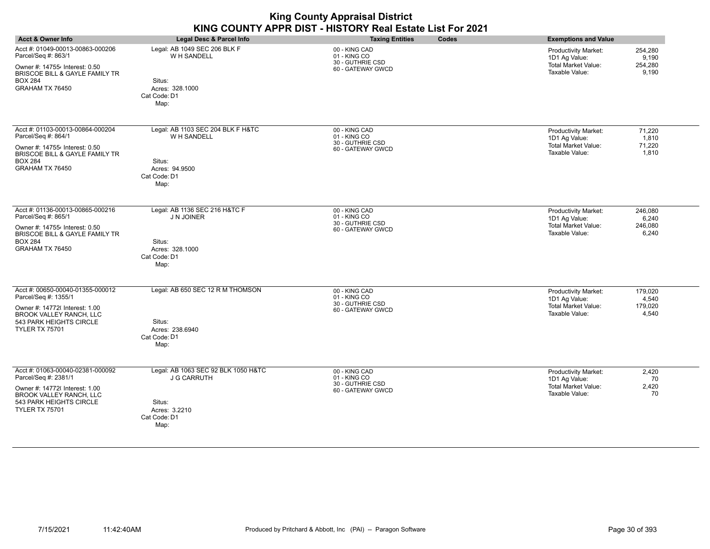| <b>King County Appraisal District</b><br>KING COUNTY APPR DIST - HISTORY Real Estate List For 2021                                                                               |                                                                                                              |                                                                        |                                                                                                                                      |  |
|----------------------------------------------------------------------------------------------------------------------------------------------------------------------------------|--------------------------------------------------------------------------------------------------------------|------------------------------------------------------------------------|--------------------------------------------------------------------------------------------------------------------------------------|--|
| <b>Acct &amp; Owner Info</b>                                                                                                                                                     | Legal Desc & Parcel Info                                                                                     | Codes<br><b>Taxing Entities</b>                                        | <b>Exemptions and Value</b>                                                                                                          |  |
| Acct #: 01049-00013-00863-000206<br>Parcel/Seq #: 863/1<br>Owner #: 147554 Interest: 0.50<br><b>BRISCOE BILL &amp; GAYLE FAMILY TR</b><br><b>BOX 284</b><br>GRAHAM TX 76450      | Legal: AB 1049 SEC 206 BLK F<br>W H SANDELL<br>Situs:<br>Acres: 328.1000<br>Cat Code: D1<br>Map:             | 00 - KING CAD<br>01 - KING CO<br>30 - GUTHRIE CSD<br>60 - GATEWAY GWCD | 254,280<br><b>Productivity Market:</b><br>1D1 Ag Value:<br>9,190<br><b>Total Market Value:</b><br>254,280<br>Taxable Value:<br>9,190 |  |
| Acct #: 01103-00013-00864-000204<br>Parcel/Seq #: 864/1<br>Owner #: 147554 Interest: 0.50<br>BRISCOE BILL & GAYLE FAMILY TR<br><b>BOX 284</b><br>GRAHAM TX 76450                 | Legal: AB 1103 SEC 204 BLK F H&TC<br>W H SANDELL<br>Situs:<br>Acres: 94.9500<br>Cat Code: D1<br>Map:         | 00 - KING CAD<br>01 - KING CO<br>30 - GUTHRIE CSD<br>60 - GATEWAY GWCD | <b>Productivity Market:</b><br>71,220<br>1D1 Ag Value:<br>1,810<br>Total Market Value:<br>71,220<br>Taxable Value:<br>1,810          |  |
| Acct #: 01136-00013-00865-000216<br>Parcel/Seq #: 865/1<br>Owner #: 147554 Interest: 0.50<br><b>BRISCOE BILL &amp; GAYLE FAMILY TR</b><br><b>BOX 284</b><br>GRAHAM TX 76450      | Legal: AB 1136 SEC 216 H&TC F<br>J N JOINER<br>Situs:<br>Acres: 328.1000<br>Cat Code: D1<br>Map:             | 00 - KING CAD<br>01 - KING CO<br>30 - GUTHRIE CSD<br>60 - GATEWAY GWCD | <b>Productivity Market:</b><br>246,080<br>1D1 Ag Value:<br>6.240<br><b>Total Market Value:</b><br>246.080<br>Taxable Value:<br>6,240 |  |
| Acct #: 00650-00040-01355-000012<br>Parcel/Seq #: 1355/1<br>Owner #: 14772( Interest: 1.00<br><b>BROOK VALLEY RANCH, LLC</b><br>543 PARK HEIGHTS CIRCLE<br><b>TYLER TX 75701</b> | Legal: AB 650 SEC 12 R M THOMSON<br>Situs:<br>Acres: 238.6940<br>Cat Code: D1<br>Map:                        | 00 - KING CAD<br>01 - KING CO<br>30 - GUTHRIE CSD<br>60 - GATEWAY GWCD | Productivity Market:<br>179,020<br>1D1 Ag Value:<br>4,540<br>Total Market Value:<br>179,020<br>Taxable Value:<br>4,540               |  |
| Acct #: 01063-00040-02381-000092<br>Parcel/Seq #: 2381/1<br>Owner #: 14772( Interest: 1.00<br>BROOK VALLEY RANCH, LLC<br>543 PARK HEIGHTS CIRCLE<br><b>TYLER TX 75701</b>        | Legal: AB 1063 SEC 92 BLK 1050 H&TC<br><b>J G CARRUTH</b><br>Situs:<br>Acres: 3.2210<br>Cat Code: D1<br>Map: | 00 - KING CAD<br>01 - KING CO<br>30 - GUTHRIE CSD<br>60 - GATEWAY GWCD | <b>Productivity Market:</b><br>2,420<br>1D1 Ag Value:<br>70<br><b>Total Market Value:</b><br>2,420<br>Taxable Value:<br>70           |  |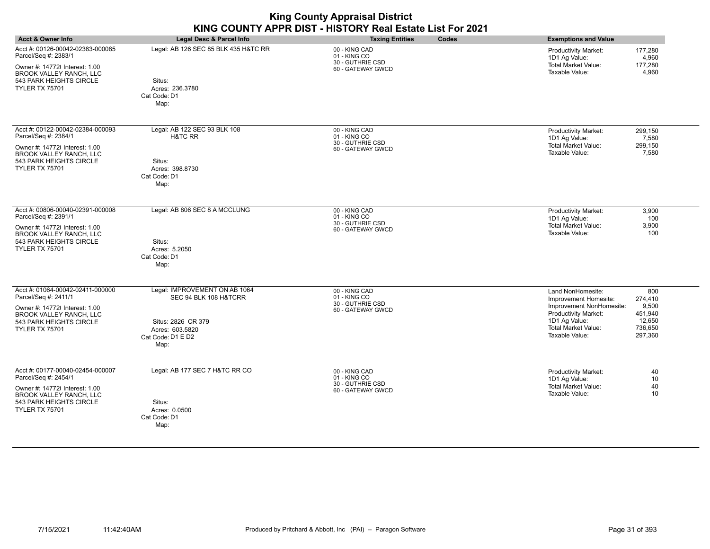| <b>Acct &amp; Owner Info</b>                                                                                                                                                     | Legal Desc & Parcel Info                                                                                                     | Codes<br><b>Taxing Entities</b>                                        | <b>Exemptions and Value</b>                                                                                                                                                                                                           |
|----------------------------------------------------------------------------------------------------------------------------------------------------------------------------------|------------------------------------------------------------------------------------------------------------------------------|------------------------------------------------------------------------|---------------------------------------------------------------------------------------------------------------------------------------------------------------------------------------------------------------------------------------|
| Acct #: 00126-00042-02383-000085<br>Parcel/Seq #: 2383/1<br>Owner #: 14772( Interest: 1.00<br>BROOK VALLEY RANCH, LLC<br>543 PARK HEIGHTS CIRCLE<br><b>TYLER TX 75701</b>        | Legal: AB 126 SEC 85 BLK 435 H&TC RR<br>Situs:<br>Acres: 236.3780<br>Cat Code: D1<br>Map:                                    | 00 - KING CAD<br>01 - KING CO<br>30 - GUTHRIE CSD<br>60 - GATEWAY GWCD | 177,280<br>Productivity Market:<br>1D1 Ag Value:<br>4,960<br><b>Total Market Value:</b><br>177,280<br>Taxable Value:<br>4,960                                                                                                         |
| Acct #: 00122-00042-02384-000093<br>Parcel/Seq #: 2384/1<br>Owner #: 14772( Interest: 1.00<br><b>BROOK VALLEY RANCH. LLC</b><br>543 PARK HEIGHTS CIRCLE<br><b>TYLER TX 75701</b> | Legal: AB 122 SEC 93 BLK 108<br><b>H&amp;TC RR</b><br>Situs:<br>Acres: 398.8730<br>Cat Code: D1<br>Map:                      | 00 - KING CAD<br>01 - KING CO<br>30 - GUTHRIE CSD<br>60 - GATEWAY GWCD | Productivity Market:<br>299,150<br>7,580<br>1D1 Ag Value:<br>Total Market Value:<br>299,150<br>Taxable Value:<br>7,580                                                                                                                |
| Acct #: 00806-00040-02391-000008<br>Parcel/Seq #: 2391/1<br>Owner #: 14772(Interest: 1.00<br>BROOK VALLEY RANCH, LLC<br>543 PARK HEIGHTS CIRCLE<br><b>TYLER TX 75701</b>         | Legal: AB 806 SEC 8 A MCCLUNG<br>Situs:<br>Acres: 5.2050<br>Cat Code: D1<br>Map:                                             | 00 - KING CAD<br>01 - KING CO<br>30 - GUTHRIE CSD<br>60 - GATEWAY GWCD | Productivity Market:<br>3,900<br>1D1 Ag Value:<br>100<br>Total Market Value:<br>3,900<br>Taxable Value:<br>100                                                                                                                        |
| Acct #: 01064-00042-02411-000000<br>Parcel/Seq #: 2411/1<br>Owner #: 14772( Interest: 1.00<br>BROOK VALLEY RANCH, LLC<br>543 PARK HEIGHTS CIRCLE<br><b>TYLER TX 75701</b>        | Legal: IMPROVEMENT ON AB 1064<br>SEC 94 BLK 108 H&TCRR<br>Situs: 2826 CR 379<br>Acres: 603.5820<br>Cat Code: D1 E D2<br>Map: | 00 - KING CAD<br>01 - KING CO<br>30 - GUTHRIE CSD<br>60 - GATEWAY GWCD | 800<br>Land NonHomesite:<br>Improvement Homesite:<br>274,410<br>Improvement NonHomesite:<br>9,500<br>Productivity Market:<br>451,940<br>1D1 Ag Value:<br>12,650<br><b>Total Market Value:</b><br>736,650<br>Taxable Value:<br>297,360 |
| Acct #: 00177-00040-02454-000007<br>Parcel/Seq #: 2454/1<br>Owner #: 14772( Interest: 1.00<br><b>BROOK VALLEY RANCH, LLC</b><br>543 PARK HEIGHTS CIRCLE<br><b>TYLER TX 75701</b> | Legal: AB 177 SEC 7 H&TC RR CO<br>Situs:<br>Acres: 0.0500<br>Cat Code: D1<br>Map:                                            | 00 - KING CAD<br>01 - KING CO<br>30 - GUTHRIE CSD<br>60 - GATEWAY GWCD | Productivity Market:<br>40<br>1D1 Ag Value:<br>10<br><b>Total Market Value:</b><br>40<br>10<br>Taxable Value:                                                                                                                         |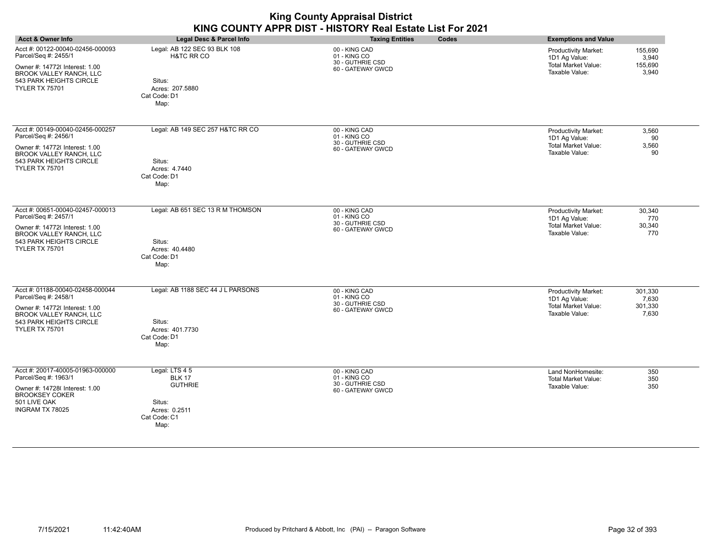| <b>King County Appraisal District</b><br>KING COUNTY APPR DIST - HISTORY Real Estate List For 2021                                                                        |                                                                                                     |                                                                        |                                                                                                                                      |  |
|---------------------------------------------------------------------------------------------------------------------------------------------------------------------------|-----------------------------------------------------------------------------------------------------|------------------------------------------------------------------------|--------------------------------------------------------------------------------------------------------------------------------------|--|
| <b>Acct &amp; Owner Info</b>                                                                                                                                              | <b>Legal Desc &amp; Parcel Info</b>                                                                 | Codes<br><b>Taxing Entities</b>                                        | <b>Exemptions and Value</b>                                                                                                          |  |
| Acct #: 00122-00040-02456-000093<br>Parcel/Seq #: 2455/1<br>Owner #: 14772(Interest: 1.00<br>BROOK VALLEY RANCH, LLC<br>543 PARK HEIGHTS CIRCLE<br><b>TYLER TX 75701</b>  | Legal: AB 122 SEC 93 BLK 108<br>H&TC RR CO<br>Situs:<br>Acres: 207.5880<br>Cat Code: D1<br>Map:     | 00 - KING CAD<br>01 - KING CO<br>30 - GUTHRIE CSD<br>60 - GATEWAY GWCD | <b>Productivity Market:</b><br>155,690<br>1D1 Ag Value:<br>3.940<br><b>Total Market Value:</b><br>155,690<br>Taxable Value:<br>3.940 |  |
| Acct #: 00149-00040-02456-000257<br>Parcel/Seq #: 2456/1<br>Owner #: 14772(Interest: 1.00<br>BROOK VALLEY RANCH, LLC<br>543 PARK HEIGHTS CIRCLE<br><b>TYLER TX 75701</b>  | Legal: AB 149 SEC 257 H&TC RR CO<br>Situs:<br>Acres: 4.7440<br>Cat Code: D1<br>Map:                 | 00 - KING CAD<br>01 - KING CO<br>30 - GUTHRIE CSD<br>60 - GATEWAY GWCD | 3,560<br><b>Productivity Market:</b><br>1D1 Ag Value:<br>90<br><b>Total Market Value:</b><br>3,560<br>Taxable Value:<br>90           |  |
| Acct #: 00651-00040-02457-000013<br>Parcel/Seq #: 2457/1<br>Owner #: 14772(Interest: 1.00<br>BROOK VALLEY RANCH, LLC<br>543 PARK HEIGHTS CIRCLE<br><b>TYLER TX 75701</b>  | Legal: AB 651 SEC 13 R M THOMSON<br>Situs:<br>Acres: 40.4480<br>Cat Code: D1<br>Map:                | 00 - KING CAD<br>01 - KING CO<br>30 - GUTHRIE CSD<br>60 - GATEWAY GWCD | 30,340<br><b>Productivity Market:</b><br>1D1 Ag Value:<br>770<br><b>Total Market Value:</b><br>30,340<br>Taxable Value:<br>770       |  |
| Acct #: 01188-00040-02458-000044<br>Parcel/Seq #: 2458/1<br>Owner #: 14772( Interest: 1.00<br>BROOK VALLEY RANCH, LLC<br>543 PARK HEIGHTS CIRCLE<br><b>TYLER TX 75701</b> | Legal: AB 1188 SEC 44 J L PARSONS<br>Situs:<br>Acres: 401.7730<br>Cat Code: D1<br>Map:              | 00 - KING CAD<br>01 - KING CO<br>30 - GUTHRIE CSD<br>60 - GATEWAY GWCD | Productivity Market:<br>301,330<br>1D1 Ag Value:<br>7,630<br><b>Total Market Value:</b><br>301,330<br>Taxable Value:<br>7,630        |  |
| Acct #: 20017-40005-01963-000000<br>Parcel/Seq #: 1963/1<br>Owner #: 14728( Interest: 1.00<br><b>BROOKSEY COKER</b><br>501 LIVE OAK<br>INGRAM TX 78025                    | Legal: LTS 45<br><b>BLK 17</b><br><b>GUTHRIE</b><br>Situs:<br>Acres: 0.2511<br>Cat Code: C1<br>Map: | 00 - KING CAD<br>01 - KING CO<br>30 - GUTHRIE CSD<br>60 - GATEWAY GWCD | 350<br>Land NonHomesite:<br>350<br>Total Market Value:<br>Taxable Value:<br>350                                                      |  |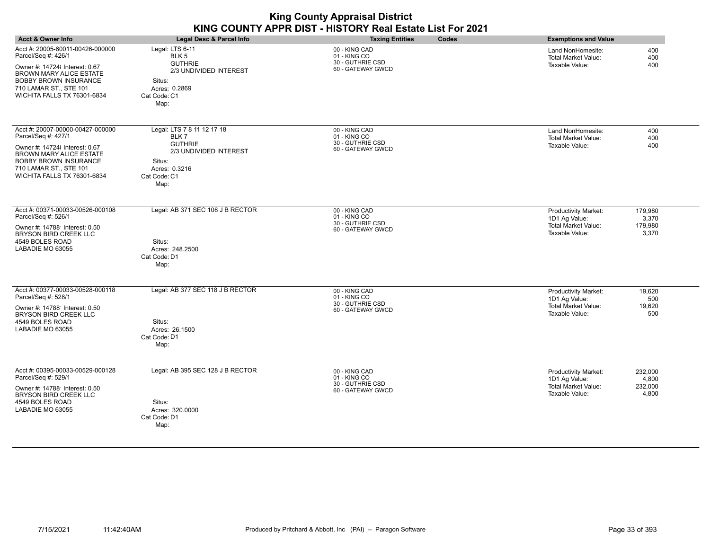| <b>King County Appraisal District</b><br>KING COUNTY APPR DIST - HISTORY Real Estate List For 2021                                                                                                                   |                                                                                                                                    |                                                                        |       |                                                                                       |                                      |
|----------------------------------------------------------------------------------------------------------------------------------------------------------------------------------------------------------------------|------------------------------------------------------------------------------------------------------------------------------------|------------------------------------------------------------------------|-------|---------------------------------------------------------------------------------------|--------------------------------------|
| <b>Acct &amp; Owner Info</b>                                                                                                                                                                                         | <b>Legal Desc &amp; Parcel Info</b>                                                                                                | <b>Taxing Entities</b>                                                 | Codes | <b>Exemptions and Value</b>                                                           |                                      |
| Acct #: 20005-60011-00426-000000<br>Parcel/Seq #: 426/1<br>Owner #: 147248 Interest: 0.67<br><b>BROWN MARY ALICE ESTATE</b><br><b>BOBBY BROWN INSURANCE</b><br>710 LAMAR ST., STE 101<br>WICHITA FALLS TX 76301-6834 | Legal: LTS 6-11<br>BLK <sub>5</sub><br><b>GUTHRIE</b><br>2/3 UNDIVIDED INTEREST<br>Situs:<br>Acres: 0.2869<br>Cat Code: C1<br>Map: | 00 - KING CAD<br>01 - KING CO<br>30 - GUTHRIE CSD<br>60 - GATEWAY GWCD |       | Land NonHomesite:<br><b>Total Market Value:</b><br>Taxable Value:                     | 400<br>400<br>400                    |
| Acct #: 20007-00000-00427-000000<br>Parcel/Seq #: 427/1<br>Owner #: 147248 Interest: 0.67<br><b>BROWN MARY ALICE ESTATE</b><br><b>BOBBY BROWN INSURANCE</b><br>710 LAMAR ST., STE 101<br>WICHITA FALLS TX 76301-6834 | Legal: LTS 7 8 11 12 17 18<br>BLK7<br><b>GUTHRIE</b><br>2/3 UNDIVIDED INTEREST<br>Situs:<br>Acres: 0.3216<br>Cat Code: C1<br>Map:  | 00 - KING CAD<br>01 - KING CO<br>30 - GUTHRIE CSD<br>60 - GATEWAY GWCD |       | Land NonHomesite:<br><b>Total Market Value:</b><br>Taxable Value:                     | 400<br>400<br>400                    |
| Acct #: 00371-00033-00526-000108<br>Parcel/Seq #: 526/1<br>Owner #: 14788 Interest: 0.50<br><b>BRYSON BIRD CREEK LLC</b><br>4549 BOLES ROAD<br>LABADIE MO 63055                                                      | Legal: AB 371 SEC 108 J B RECTOR<br>Situs:<br>Acres: 248.2500<br>Cat Code: D1<br>Map:                                              | 00 - KING CAD<br>01 - KING CO<br>30 - GUTHRIE CSD<br>60 - GATEWAY GWCD |       | Productivity Market:<br>1D1 Ag Value:<br><b>Total Market Value:</b><br>Taxable Value: | 179,980<br>3,370<br>179,980<br>3,370 |
| Acct #: 00377-00033-00528-000118<br>Parcel/Seq #: 528/1<br>Owner #: 14788 Interest: 0.50<br>BRYSON BIRD CREEK LLC<br>4549 BOLES ROAD<br>LABADIE MO 63055                                                             | Legal: AB 377 SEC 118 J B RECTOR<br>Situs:<br>Acres: 26.1500<br>Cat Code: D1<br>Map:                                               | 00 - KING CAD<br>01 - KING CO<br>30 - GUTHRIE CSD<br>60 - GATEWAY GWCD |       | Productivity Market:<br>1D1 Ag Value:<br>Total Market Value:<br>Taxable Value:        | 19,620<br>500<br>19,620<br>500       |
| Acct #: 00395-00033-00529-000128<br>Parcel/Seq #: 529/1<br>Owner #: 14788' Interest: 0.50<br><b>BRYSON BIRD CREEK LLC</b><br>4549 BOLES ROAD<br>LABADIE MO 63055                                                     | Legal: AB 395 SEC 128 J B RECTOR<br>Situs:<br>Acres: 320.0000<br>Cat Code: D1<br>Map:                                              | 00 - KING CAD<br>01 - KING CO<br>30 - GUTHRIE CSD<br>60 - GATEWAY GWCD |       | Productivity Market:<br>1D1 Ag Value:<br><b>Total Market Value:</b><br>Taxable Value: | 232,000<br>4,800<br>232,000<br>4,800 |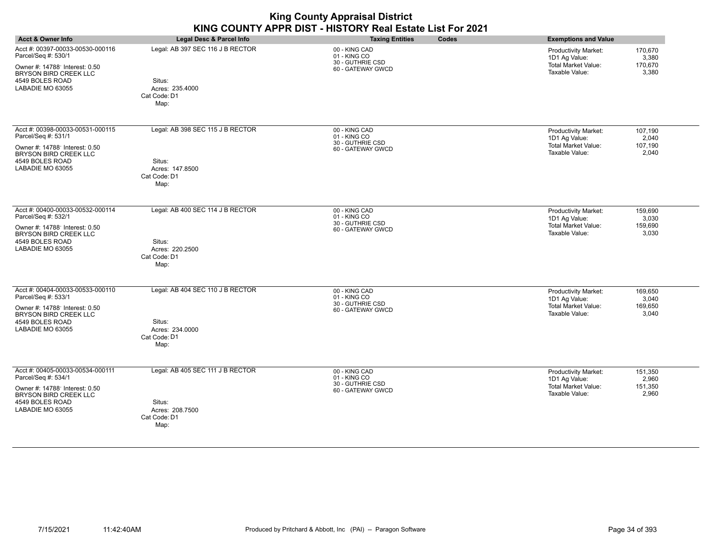| <b>King County Appraisal District</b><br>KING COUNTY APPR DIST - HISTORY Real Estate List For 2021                                                               |                                                                                       |                                                                        |                                                                                                                                      |  |
|------------------------------------------------------------------------------------------------------------------------------------------------------------------|---------------------------------------------------------------------------------------|------------------------------------------------------------------------|--------------------------------------------------------------------------------------------------------------------------------------|--|
| Acct & Owner Info                                                                                                                                                | <b>Legal Desc &amp; Parcel Info</b>                                                   | <b>Taxing Entities</b><br>Codes                                        | <b>Exemptions and Value</b>                                                                                                          |  |
| Acct #: 00397-00033-00530-000116<br>Parcel/Seq #: 530/1<br>Owner #: 14788 Interest: 0.50<br>BRYSON BIRD CREEK LLC<br>4549 BOLES ROAD<br>LABADIE MO 63055         | Legal: AB 397 SEC 116 J B RECTOR<br>Situs:<br>Acres: 235.4000<br>Cat Code: D1<br>Map: | 00 - KING CAD<br>01 - KING CO<br>30 - GUTHRIE CSD<br>60 - GATEWAY GWCD | Productivity Market:<br>170,670<br>1D1 Ag Value:<br>3,380<br><b>Total Market Value:</b><br>170.670<br>Taxable Value:<br>3,380        |  |
| Acct #: 00398-00033-00531-000115<br>Parcel/Seq #: 531/1<br>Owner #: 14788' Interest: 0.50<br>BRYSON BIRD CREEK LLC<br>4549 BOLES ROAD<br>LABADIE MO 63055        | Legal: AB 398 SEC 115 J B RECTOR<br>Situs:<br>Acres: 147.8500<br>Cat Code: D1<br>Map: | 00 - KING CAD<br>01 - KING CO<br>30 - GUTHRIE CSD<br>60 - GATEWAY GWCD | <b>Productivity Market:</b><br>107,190<br>2,040<br>1D1 Ag Value:<br>Total Market Value:<br>107,190<br>Taxable Value:<br>2,040        |  |
| Acct #: 00400-00033-00532-000114<br>Parcel/Seq #: 532/1<br>Owner #: 14788' Interest: 0.50<br>BRYSON BIRD CREEK LLC<br>4549 BOLES ROAD<br>LABADIE MO 63055        | Legal: AB 400 SEC 114 J B RECTOR<br>Situs:<br>Acres: 220.2500<br>Cat Code: D1<br>Map: | 00 - KING CAD<br>01 - KING CO<br>30 - GUTHRIE CSD<br>60 - GATEWAY GWCD | 159,690<br><b>Productivity Market:</b><br>1D1 Ag Value:<br>3,030<br><b>Total Market Value:</b><br>159,690<br>Taxable Value:<br>3,030 |  |
| Acct #: 00404-00033-00533-000110<br>Parcel/Seq #: 533/1<br>Owner #: 14788' Interest: 0.50<br><b>BRYSON BIRD CREEK LLC</b><br>4549 BOLES ROAD<br>LABADIE MO 63055 | Legal: AB 404 SEC 110 J B RECTOR<br>Situs:<br>Acres: 234.0000<br>Cat Code: D1<br>Map: | 00 - KING CAD<br>01 - KING CO<br>30 - GUTHRIE CSD<br>60 - GATEWAY GWCD | Productivity Market:<br>169,650<br>1D1 Ag Value:<br>3,040<br><b>Total Market Value:</b><br>169,650<br>Taxable Value:<br>3,040        |  |
| Acct #: 00405-00033-00534-000111<br>Parcel/Seq #: 534/1<br>Owner #: 14788 Interest: 0.50<br><b>BRYSON BIRD CREEK LLC</b><br>4549 BOLES ROAD<br>LABADIE MO 63055  | Legal: AB 405 SEC 111 J B RECTOR<br>Situs:<br>Acres: 208.7500<br>Cat Code: D1<br>Map: | 00 - KING CAD<br>01 - KING CO<br>30 - GUTHRIE CSD<br>60 - GATEWAY GWCD | Productivity Market:<br>151,350<br>2,960<br>1D1 Ag Value:<br><b>Total Market Value:</b><br>151,350<br>Taxable Value:<br>2,960        |  |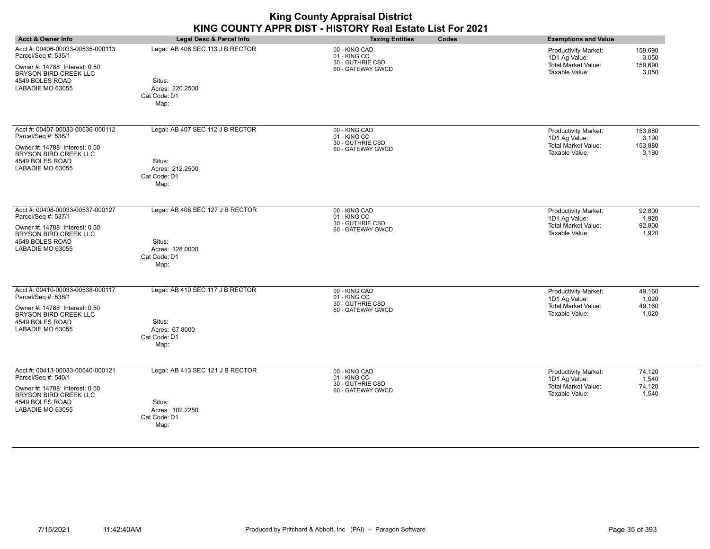| <b>King County Appraisal District</b><br>KING COUNTY APPR DIST - HISTORY Real Estate List For 2021                                                               |                                                                                       |                                                                        |       |                                                                                              |                                      |
|------------------------------------------------------------------------------------------------------------------------------------------------------------------|---------------------------------------------------------------------------------------|------------------------------------------------------------------------|-------|----------------------------------------------------------------------------------------------|--------------------------------------|
| <b>Acct &amp; Owner Info</b>                                                                                                                                     | Legal Desc & Parcel Info                                                              | <b>Taxing Entities</b>                                                 | Codes | <b>Exemptions and Value</b>                                                                  |                                      |
| Acct #: 00406-00033-00535-000113<br>Parcel/Seq #: 535/1<br>Owner #: 14788' Interest: 0.50<br><b>BRYSON BIRD CREEK LLC</b><br>4549 BOLES ROAD<br>LABADIE MO 63055 | Legal: AB 406 SEC 113 J B RECTOR<br>Situs:<br>Acres: 220.2500<br>Cat Code: D1<br>Map: | 00 - KING CAD<br>01 - KING CO<br>30 - GUTHRIE CSD<br>60 - GATEWAY GWCD |       | <b>Productivity Market:</b><br>1D1 Ag Value:<br><b>Total Market Value:</b><br>Taxable Value: | 159,690<br>3.050<br>159.690<br>3,050 |
| Acct #: 00407-00033-00536-000112<br>Parcel/Seq #: 536/1<br>Owner #: 14788' Interest: 0.50<br>BRYSON BIRD CREEK LLC<br>4549 BOLES ROAD<br>LABADIE MO 63055        | Legal: AB 407 SEC 112 J B RECTOR<br>Situs:<br>Acres: 212.2500<br>Cat Code: D1<br>Map: | 00 - KING CAD<br>01 - KING CO<br>30 - GUTHRIE CSD<br>60 - GATEWAY GWCD |       | <b>Productivity Market:</b><br>1D1 Ag Value:<br><b>Total Market Value:</b><br>Taxable Value: | 153,880<br>3,190<br>153,880<br>3,190 |
| Acct #: 00408-00033-00537-000127<br>Parcel/Seq #: 537/1<br>Owner #: 14788 Interest: 0.50<br><b>BRYSON BIRD CREEK LLC</b><br>4549 BOLES ROAD<br>LABADIE MO 63055  | Legal: AB 408 SEC 127 J B RECTOR<br>Situs:<br>Acres: 128,0000<br>Cat Code: D1<br>Map: | 00 - KING CAD<br>01 - KING CO<br>30 - GUTHRIE CSD<br>60 - GATEWAY GWCD |       | Productivity Market:<br>1D1 Ag Value:<br><b>Total Market Value:</b><br>Taxable Value:        | 92,800<br>1,920<br>92,800<br>1,920   |
| Acct #: 00410-00033-00538-000117<br>Parcel/Seq #: 538/1<br>Owner #: 14788' Interest: 0.50<br>BRYSON BIRD CREEK LLC<br>4549 BOLES ROAD<br>LABADIE MO 63055        | Legal: AB 410 SEC 117 J B RECTOR<br>Situs:<br>Acres: 67.8000<br>Cat Code: D1<br>Map:  | 00 - KING CAD<br>01 - KING CO<br>30 - GUTHRIE CSD<br>60 - GATEWAY GWCD |       | Productivity Market:<br>1D1 Ag Value:<br>Total Market Value:<br>Taxable Value:               | 49,160<br>1,020<br>49,160<br>1,020   |
| Acct #: 00413-00033-00540-000121<br>Parcel/Seq #: 540/1<br>Owner #: 14788' Interest: 0.50<br><b>BRYSON BIRD CREEK LLC</b><br>4549 BOLES ROAD<br>LABADIE MO 63055 | Legal: AB 413 SEC 121 J B RECTOR<br>Situs:<br>Acres: 102.2250<br>Cat Code: D1<br>Map: | 00 - KING CAD<br>01 - KING CO<br>30 - GUTHRIE CSD<br>60 - GATEWAY GWCD |       | <b>Productivity Market:</b><br>1D1 Ag Value:<br><b>Total Market Value:</b><br>Taxable Value: | 74,120<br>1,540<br>74,120<br>1,540   |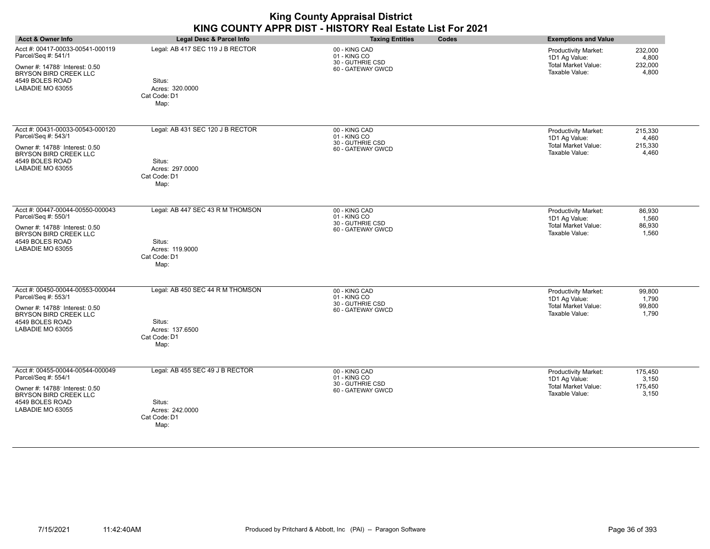| <b>King County Appraisal District</b><br>KING COUNTY APPR DIST - HISTORY Real Estate List For 2021                                                               |                                                                                       |                                                                        |                                                                                                                               |  |
|------------------------------------------------------------------------------------------------------------------------------------------------------------------|---------------------------------------------------------------------------------------|------------------------------------------------------------------------|-------------------------------------------------------------------------------------------------------------------------------|--|
| Acct & Owner Info                                                                                                                                                | <b>Legal Desc &amp; Parcel Info</b>                                                   | <b>Taxing Entities</b><br>Codes                                        | <b>Exemptions and Value</b>                                                                                                   |  |
| Acct #: 00417-00033-00541-000119<br>Parcel/Seq #: 541/1<br>Owner #: 14788' Interest: 0.50<br><b>BRYSON BIRD CREEK LLC</b><br>4549 BOLES ROAD<br>LABADIE MO 63055 | Legal: AB 417 SEC 119 J B RECTOR<br>Situs:<br>Acres: 320.0000<br>Cat Code: D1<br>Map: | 00 - KING CAD<br>01 - KING CO<br>30 - GUTHRIE CSD<br>60 - GATEWAY GWCD | 232,000<br>Productivity Market:<br>1D1 Ag Value:<br>4,800<br><b>Total Market Value:</b><br>232,000<br>Taxable Value:<br>4,800 |  |
| Acct #: 00431-00033-00543-000120<br>Parcel/Seq #: 543/1<br>Owner #: 14788' Interest: 0.50<br>BRYSON BIRD CREEK LLC<br>4549 BOLES ROAD<br>LABADIE MO 63055        | Legal: AB 431 SEC 120 J B RECTOR<br>Situs:<br>Acres: 297.0000<br>Cat Code: D1<br>Map: | 00 - KING CAD<br>01 - KING CO<br>30 - GUTHRIE CSD<br>60 - GATEWAY GWCD | Productivity Market:<br>215,330<br>1D1 Ag Value:<br>4,460<br>Total Market Value:<br>215,330<br>Taxable Value:<br>4,460        |  |
| Acct #: 00447-00044-00550-000043<br>Parcel/Seq #: 550/1<br>Owner #: 14788' Interest: 0.50<br><b>BRYSON BIRD CREEK LLC</b><br>4549 BOLES ROAD<br>LABADIE MO 63055 | Legal: AB 447 SEC 43 R M THOMSON<br>Situs:<br>Acres: 119,9000<br>Cat Code: D1<br>Map: | 00 - KING CAD<br>01 - KING CO<br>30 - GUTHRIE CSD<br>60 - GATEWAY GWCD | Productivity Market:<br>86,930<br>1D1 Ag Value:<br>1,560<br><b>Total Market Value:</b><br>86,930<br>Taxable Value:<br>1,560   |  |
| Acct #: 00450-00044-00553-000044<br>Parcel/Seq #: 553/1<br>Owner #: 14788' Interest: 0.50<br><b>BRYSON BIRD CREEK LLC</b><br>4549 BOLES ROAD<br>LABADIE MO 63055 | Legal: AB 450 SEC 44 R M THOMSON<br>Situs:<br>Acres: 137.6500<br>Cat Code: D1<br>Map: | 00 - KING CAD<br>01 - KING CO<br>30 - GUTHRIE CSD<br>60 - GATEWAY GWCD | Productivity Market:<br>99,800<br>1D1 Ag Value:<br>1,790<br>Total Market Value:<br>99,800<br>Taxable Value:<br>1,790          |  |
| Acct #: 00455-00044-00544-000049<br>Parcel/Seq #: 554/1<br>Owner #: 14788' Interest: 0.50<br>BRYSON BIRD CREEK LLC<br>4549 BOLES ROAD<br>LABADIE MO 63055        | Legal: AB 455 SEC 49 J B RECTOR<br>Situs:<br>Acres: 242.0000<br>Cat Code: D1<br>Map:  | 00 - KING CAD<br>01 - KING CO<br>30 - GUTHRIE CSD<br>60 - GATEWAY GWCD | Productivity Market:<br>175,450<br>1D1 Ag Value:<br>3,150<br><b>Total Market Value:</b><br>175,450<br>Taxable Value:<br>3,150 |  |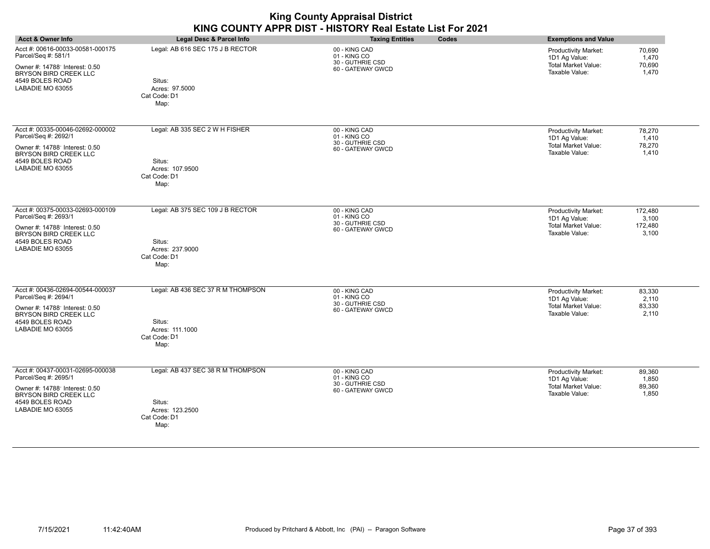| <b>King County Appraisal District</b><br>KING COUNTY APPR DIST - HISTORY Real Estate List For 2021                                                                |                                                                                        |                                                                        |       |                                                                                              |                                      |  |
|-------------------------------------------------------------------------------------------------------------------------------------------------------------------|----------------------------------------------------------------------------------------|------------------------------------------------------------------------|-------|----------------------------------------------------------------------------------------------|--------------------------------------|--|
| Acct & Owner Info                                                                                                                                                 | Legal Desc & Parcel Info                                                               | <b>Taxing Entities</b>                                                 | Codes | <b>Exemptions and Value</b>                                                                  |                                      |  |
| Acct #: 00616-00033-00581-000175<br>Parcel/Seq #: 581/1<br>Owner #: 14788' Interest: 0.50<br><b>BRYSON BIRD CREEK LLC</b><br>4549 BOLES ROAD<br>LABADIE MO 63055  | Legal: AB 616 SEC 175 J B RECTOR<br>Situs:<br>Acres: 97.5000<br>Cat Code: D1<br>Map:   | 00 - KING CAD<br>01 - KING CO<br>30 - GUTHRIE CSD<br>60 - GATEWAY GWCD |       | <b>Productivity Market:</b><br>1D1 Ag Value:<br><b>Total Market Value:</b><br>Taxable Value: | 70,690<br>1.470<br>70,690<br>1,470   |  |
| Acct #: 00335-00046-02692-000002<br>Parcel/Seq #: 2692/1<br>Owner #: 14788' Interest: 0.50<br>BRYSON BIRD CREEK LLC<br>4549 BOLES ROAD<br>LABADIE MO 63055        | Legal: AB 335 SEC 2 W H FISHER<br>Situs:<br>Acres: 107.9500<br>Cat Code: D1<br>Map:    | 00 - KING CAD<br>01 - KING CO<br>30 - GUTHRIE CSD<br>60 - GATEWAY GWCD |       | Productivity Market:<br>1D1 Ag Value:<br><b>Total Market Value:</b><br>Taxable Value:        | 78,270<br>1,410<br>78,270<br>1,410   |  |
| Acct #: 00375-00033-02693-000109<br>Parcel/Seq #: 2693/1<br>Owner #: 14788' Interest: 0.50<br>BRYSON BIRD CREEK LLC<br>4549 BOLES ROAD<br>LABADIE MO 63055        | Legal: AB 375 SEC 109 J B RECTOR<br>Situs:<br>Acres: 237.9000<br>Cat Code: D1<br>Map:  | 00 - KING CAD<br>01 - KING CO<br>30 - GUTHRIE CSD<br>60 - GATEWAY GWCD |       | <b>Productivity Market:</b><br>1D1 Ag Value:<br><b>Total Market Value:</b><br>Taxable Value: | 172,480<br>3,100<br>172,480<br>3,100 |  |
| Acct #: 00436-02694-00544-000037<br>Parcel/Seq #: 2694/1<br>Owner #: 14788' Interest: 0.50<br><b>BRYSON BIRD CREEK LLC</b><br>4549 BOLES ROAD<br>LABADIE MO 63055 | Legal: AB 436 SEC 37 R M THOMPSON<br>Situs:<br>Acres: 111.1000<br>Cat Code: D1<br>Map: | 00 - KING CAD<br>01 - KING CO<br>30 - GUTHRIE CSD<br>60 - GATEWAY GWCD |       | Productivity Market:<br>1D1 Ag Value:<br><b>Total Market Value:</b><br>Taxable Value:        | 83,330<br>2.110<br>83,330<br>2,110   |  |
| Acct #: 00437-00031-02695-000038<br>Parcel/Seq #: 2695/1<br>Owner #: 14788' Interest: 0.50<br>BRYSON BIRD CREEK LLC<br>4549 BOLES ROAD<br>LABADIE MO 63055        | Legal: AB 437 SEC 38 R M THOMPSON<br>Situs:<br>Acres: 123.2500<br>Cat Code: D1<br>Map: | 00 - KING CAD<br>01 - KING CO<br>30 - GUTHRIE CSD<br>60 - GATEWAY GWCD |       | Productivity Market:<br>1D1 Ag Value:<br><b>Total Market Value:</b><br>Taxable Value:        | 89,360<br>1,850<br>89,360<br>1.850   |  |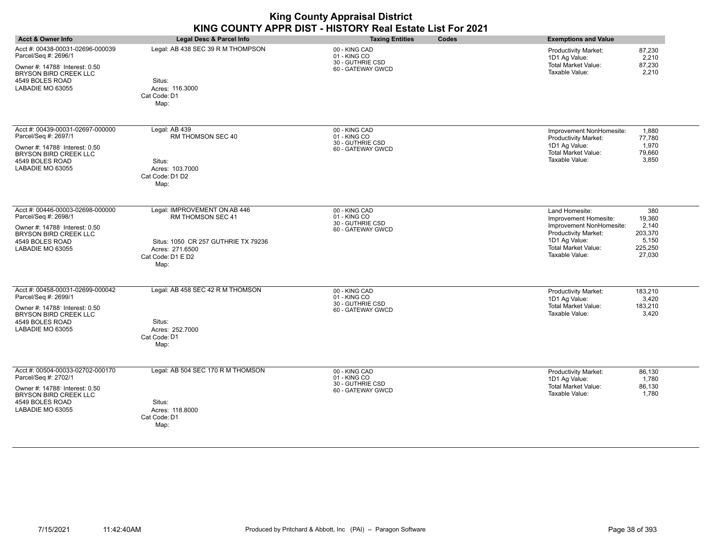| <b>Acct &amp; Owner Info</b>                                                                                                                                      | Legal Desc & Parcel Info                                                                                                                 | <b>Taxing Entities</b><br>Codes                                        | <b>Exemptions and Value</b>                                                                                                                                                                                                     |
|-------------------------------------------------------------------------------------------------------------------------------------------------------------------|------------------------------------------------------------------------------------------------------------------------------------------|------------------------------------------------------------------------|---------------------------------------------------------------------------------------------------------------------------------------------------------------------------------------------------------------------------------|
| Acct #: 00438-00031-02696-000039<br>Parcel/Seq #: 2696/1<br>Owner #: 14788' Interest: 0.50<br>BRYSON BIRD CREEK LLC<br>4549 BOLES ROAD<br>LABADIE MO 63055        | Legal: AB 438 SEC 39 R M THOMPSON<br>Situs:<br>Acres: 116.3000<br>Cat Code: D1<br>Map:                                                   | 00 - KING CAD<br>01 - KING CO<br>30 - GUTHRIE CSD<br>60 - GATEWAY GWCD | <b>Productivity Market:</b><br>87,230<br>2,210<br>1D1 Ag Value:<br><b>Total Market Value:</b><br>87,230<br>Taxable Value:<br>2,210                                                                                              |
| Acct #: 00439-00031-02697-000000<br>Parcel/Seq #: 2697/1<br>Owner #: 14788' Interest: 0.50<br>BRYSON BIRD CREEK LLC<br>4549 BOLES ROAD<br>LABADIE MO 63055        | Legal: AB 439<br>RM THOMSON SEC 40<br>Situs:<br>Acres: 103.7000<br>Cat Code: D1 D2<br>Map:                                               | 00 - KING CAD<br>01 - KING CO<br>30 - GUTHRIE CSD<br>60 - GATEWAY GWCD | Improvement NonHomesite:<br>1,880<br>Productivity Market:<br>77,780<br>1D1 Ag Value:<br>1,970<br><b>Total Market Value:</b><br>79,660<br>Taxable Value:<br>3,850                                                                |
| Acct #: 00446-00003-02698-000000<br>Parcel/Seq #: 2698/1<br>Owner #: 14788' Interest: 0.50<br><b>BRYSON BIRD CREEK LLC</b><br>4549 BOLES ROAD<br>LABADIE MO 63055 | Legal: IMPROVEMENT ON AB 446<br>RM THOMSON SEC 41<br>Situs: 1050 CR 257 GUTHRIE TX 79236<br>Acres: 271.6500<br>Cat Code: D1 E D2<br>Map: | 00 - KING CAD<br>01 - KING CO<br>30 - GUTHRIE CSD<br>60 - GATEWAY GWCD | Land Homesite:<br>380<br>Improvement Homesite:<br>19,360<br>Improvement NonHomesite:<br>2,140<br>Productivity Market:<br>203,370<br>1D1 Ag Value:<br>5,150<br><b>Total Market Value:</b><br>225,250<br>Taxable Value:<br>27,030 |
| Acct #: 00458-00031-02699-000042<br>Parcel/Seq #: 2699/1<br>Owner #: 14788' Interest: 0.50<br><b>BRYSON BIRD CREEK LLC</b><br>4549 BOLES ROAD<br>LABADIE MO 63055 | Legal: AB 458 SEC 42 R M THOMSON<br>Situs:<br>Acres: 252.7000<br>Cat Code: D1<br>Map:                                                    | 00 - KING CAD<br>01 - KING CO<br>30 - GUTHRIE CSD<br>60 - GATEWAY GWCD | 183,210<br>Productivity Market:<br>1D1 Ag Value:<br>3,420<br><b>Total Market Value:</b><br>183,210<br>Taxable Value:<br>3,420                                                                                                   |
| Acct #: 00504-00033-02702-000170<br>Parcel/Seq #: 2702/1<br>Owner #: 14788' Interest: 0.50<br><b>BRYSON BIRD CREEK LLC</b><br>4549 BOLES ROAD<br>LABADIE MO 63055 | Legal: AB 504 SEC 170 R M THOMSON<br>Situs:<br>Acres: 118,8000<br>Cat Code: D1<br>Map:                                                   | 00 - KING CAD<br>01 - KING CO<br>30 - GUTHRIE CSD<br>60 - GATEWAY GWCD | Productivity Market:<br>86,130<br>1D1 Ag Value:<br>1,780<br><b>Total Market Value:</b><br>86,130<br>Taxable Value:<br>1,780                                                                                                     |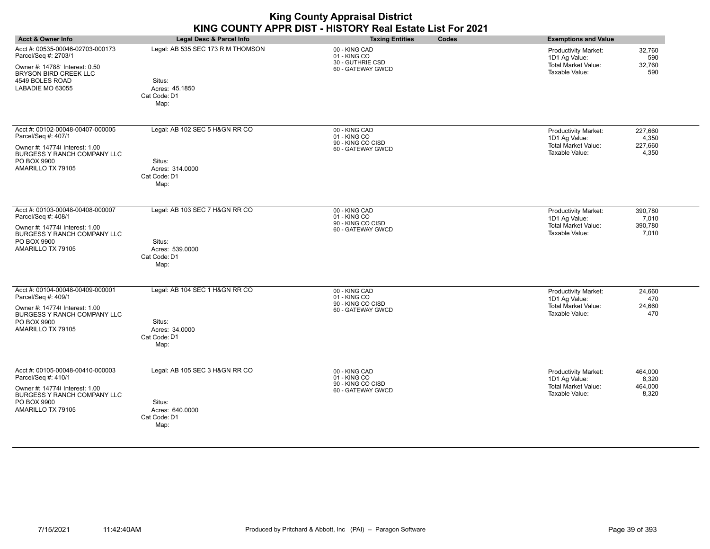| <b>Acct &amp; Owner Info</b>                                                                                                                                 | Legal Desc & Parcel Info                                                              | <b>Taxing Entities</b><br>Codes                                         | <b>Exemptions and Value</b>                                                                                                          |
|--------------------------------------------------------------------------------------------------------------------------------------------------------------|---------------------------------------------------------------------------------------|-------------------------------------------------------------------------|--------------------------------------------------------------------------------------------------------------------------------------|
| Acct #: 00535-00046-02703-000173<br>Parcel/Seq #: 2703/1<br>Owner #: 14788' Interest: 0.50<br>BRYSON BIRD CREEK LLC<br>4549 BOLES ROAD<br>LABADIE MO 63055   | Legal: AB 535 SEC 173 R M THOMSON<br>Situs:<br>Acres: 45.1850<br>Cat Code: D1<br>Map: | 00 - KING CAD<br>01 - KING CO<br>30 - GUTHRIE CSD<br>60 - GATEWAY GWCD  | <b>Productivity Market:</b><br>32,760<br>590<br>1D1 Ag Value:<br>Total Market Value:<br>32,760<br>Taxable Value:<br>590              |
| Acct #: 00102-00048-00407-000005<br>Parcel/Seq #: 407/1<br>Owner #: 14774( Interest: 1.00<br>BURGESS Y RANCH COMPANY LLC<br>PO BOX 9900<br>AMARILLO TX 79105 | Legal: AB 102 SEC 5 H&GN RR CO<br>Situs:<br>Acres: 314.0000<br>Cat Code: D1<br>Map:   | 00 - KING CAD<br>01 - KING CO<br>90 - KING CO CISD<br>60 - GATEWAY GWCD | 227,660<br><b>Productivity Market:</b><br>4,350<br>1D1 Ag Value:<br><b>Total Market Value:</b><br>227,660<br>Taxable Value:<br>4,350 |
| Acct #: 00103-00048-00408-000007<br>Parcel/Seq #: 408/1<br>Owner #: 14774( Interest: 1.00<br>BURGESS Y RANCH COMPANY LLC<br>PO BOX 9900<br>AMARILLO TX 79105 | Legal: AB 103 SEC 7 H&GN RR CO<br>Situs:<br>Acres: 539.0000<br>Cat Code: D1<br>Map:   | 00 - KING CAD<br>01 - KING CO<br>90 - KING CO CISD<br>60 - GATEWAY GWCD | 390,780<br><b>Productivity Market:</b><br>1D1 Ag Value:<br>7,010<br><b>Total Market Value:</b><br>390,780<br>Taxable Value:<br>7,010 |
| Acct #: 00104-00048-00409-000001<br>Parcel/Seq #: 409/1<br>Owner #: 14774( Interest: 1.00<br>BURGESS Y RANCH COMPANY LLC<br>PO BOX 9900<br>AMARILLO TX 79105 | Legal: AB 104 SEC 1 H&GN RR CO<br>Situs:<br>Acres: 34.0000<br>Cat Code: D1<br>Map:    | 00 - KING CAD<br>01 - KING CO<br>90 - KING CO CISD<br>60 - GATEWAY GWCD | Productivity Market:<br>24,660<br>1D1 Ag Value:<br>470<br><b>Total Market Value:</b><br>24,660<br>Taxable Value:<br>470              |
| Acct #: 00105-00048-00410-000003<br>Parcel/Seq #: 410/1<br>Owner #: 14774( Interest: 1.00<br>BURGESS Y RANCH COMPANY LLC<br>PO BOX 9900<br>AMARILLO TX 79105 | Legal: AB 105 SEC 3 H&GN RR CO<br>Situs:<br>Acres: 640.0000<br>Cat Code: D1<br>Map:   | 00 - KING CAD<br>01 - KING CO<br>90 - KING CO CISD<br>60 - GATEWAY GWCD | <b>Productivity Market:</b><br>464,000<br>1D1 Ag Value:<br>8,320<br><b>Total Market Value:</b><br>464,000<br>Taxable Value:<br>8,320 |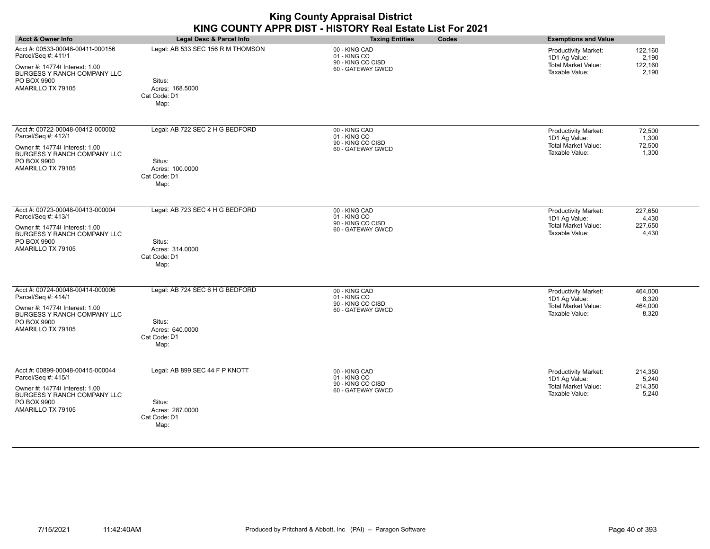| <b>Acct &amp; Owner Info</b>                                                                                                                                 | Legal Desc & Parcel Info                                                               | <b>Taxing Entities</b><br>Codes                                         | <b>Exemptions and Value</b>                                                                                                          |
|--------------------------------------------------------------------------------------------------------------------------------------------------------------|----------------------------------------------------------------------------------------|-------------------------------------------------------------------------|--------------------------------------------------------------------------------------------------------------------------------------|
| Acct #: 00533-00048-00411-000156<br>Parcel/Seq #: 411/1<br>Owner #: 14774( Interest: 1.00<br>BURGESS Y RANCH COMPANY LLC<br>PO BOX 9900<br>AMARILLO TX 79105 | Legal: AB 533 SEC 156 R M THOMSON<br>Situs:<br>Acres: 168.5000<br>Cat Code: D1<br>Map: | 00 - KING CAD<br>01 - KING CO<br>90 - KING CO CISD<br>60 - GATEWAY GWCD | 122,160<br>Productivity Market:<br>1D1 Ag Value:<br>2,190<br><b>Total Market Value:</b><br>122,160<br>Taxable Value:<br>2,190        |
| Acct #: 00722-00048-00412-000002<br>Parcel/Seq #: 412/1<br>Owner #: 14774( Interest: 1.00<br>BURGESS Y RANCH COMPANY LLC<br>PO BOX 9900<br>AMARILLO TX 79105 | Legal: AB 722 SEC 2 H G BEDFORD<br>Situs:<br>Acres: 100.0000<br>Cat Code: D1<br>Map:   | 00 - KING CAD<br>01 - KING CO<br>90 - KING CO CISD<br>60 - GATEWAY GWCD | Productivity Market:<br>72,500<br>1D1 Ag Value:<br>1,300<br>Total Market Value:<br>72,500<br>Taxable Value:<br>1,300                 |
| Acct #: 00723-00048-00413-000004<br>Parcel/Seq #: 413/1<br>Owner #: 14774( Interest: 1.00<br>BURGESS Y RANCH COMPANY LLC<br>PO BOX 9900<br>AMARILLO TX 79105 | Legal: AB 723 SEC 4 H G BEDFORD<br>Situs:<br>Acres: 314.0000<br>Cat Code: D1<br>Map:   | 00 - KING CAD<br>01 - KING CO<br>90 - KING CO CISD<br>60 - GATEWAY GWCD | 227,650<br>Productivity Market:<br>1D1 Ag Value:<br>4,430<br>Total Market Value:<br>227,650<br>Taxable Value:<br>4,430               |
| Acct #: 00724-00048-00414-000006<br>Parcel/Seq #: 414/1<br>Owner #: 14774( Interest: 1.00<br>BURGESS Y RANCH COMPANY LLC<br>PO BOX 9900<br>AMARILLO TX 79105 | Legal: AB 724 SEC 6 H G BEDFORD<br>Situs:<br>Acres: 640.0000<br>Cat Code: D1<br>Map:   | 00 - KING CAD<br>01 - KING CO<br>90 - KING CO CISD<br>60 - GATEWAY GWCD | Productivity Market:<br>464,000<br>1D1 Ag Value:<br>8,320<br><b>Total Market Value:</b><br>464,000<br>Taxable Value:<br>8,320        |
| Acct #: 00899-00048-00415-000044<br>Parcel/Seq #: 415/1<br>Owner #: 14774( Interest: 1.00<br>BURGESS Y RANCH COMPANY LLC<br>PO BOX 9900<br>AMARILLO TX 79105 | Legal: AB 899 SEC 44 F P KNOTT<br>Situs:<br>Acres: 287,0000<br>Cat Code: D1<br>Map:    | 00 - KING CAD<br>01 - KING CO<br>90 - KING CO CISD<br>60 - GATEWAY GWCD | 214,350<br><b>Productivity Market:</b><br>1D1 Ag Value:<br>5,240<br><b>Total Market Value:</b><br>214,350<br>5,240<br>Taxable Value: |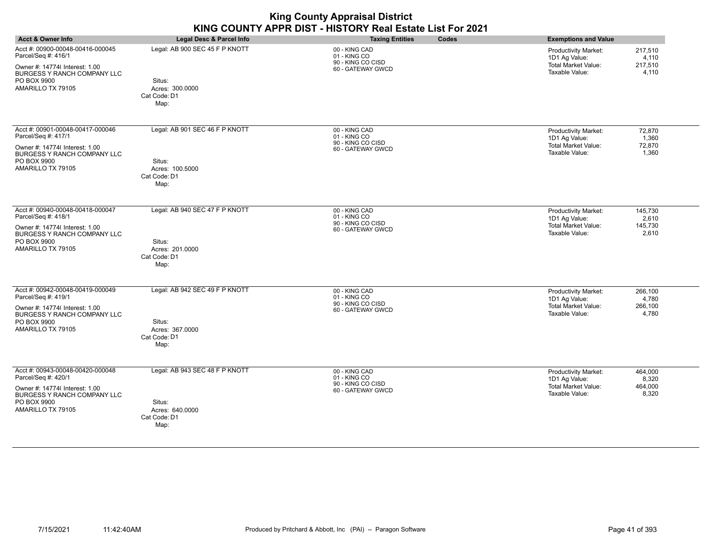|                                                                                                                                                                     |                                                                                     | <b>King County Appraisal District</b><br>KING COUNTY APPR DIST - HISTORY Real Estate List For 2021 |                                                                                                                                      |
|---------------------------------------------------------------------------------------------------------------------------------------------------------------------|-------------------------------------------------------------------------------------|----------------------------------------------------------------------------------------------------|--------------------------------------------------------------------------------------------------------------------------------------|
| <b>Acct &amp; Owner Info</b>                                                                                                                                        | <b>Legal Desc &amp; Parcel Info</b>                                                 | Codes<br><b>Taxing Entities</b>                                                                    | <b>Exemptions and Value</b>                                                                                                          |
| Acct #: 00900-00048-00416-000045<br>Parcel/Seq #: 416/1<br>Owner #: 14774( Interest: 1.00<br>BURGESS Y RANCH COMPANY LLC<br>PO BOX 9900<br>AMARILLO TX 79105        | Legal: AB 900 SEC 45 F P KNOTT<br>Situs:<br>Acres: 300.0000<br>Cat Code: D1<br>Map: | 00 - KING CAD<br>01 - KING CO<br>90 - KING CO CISD<br>60 - GATEWAY GWCD                            | <b>Productivity Market:</b><br>217,510<br>1D1 Ag Value:<br>4.110<br><b>Total Market Value:</b><br>217,510<br>Taxable Value:<br>4.110 |
| Acct #: 00901-00048-00417-000046<br>Parcel/Seq #: 417/1<br>Owner #: 14774( Interest: 1.00<br><b>BURGESS Y RANCH COMPANY LLC</b><br>PO BOX 9900<br>AMARILLO TX 79105 | Legal: AB 901 SEC 46 F P KNOTT<br>Situs:<br>Acres: 100.5000<br>Cat Code: D1<br>Map: | 00 - KING CAD<br>01 - KING CO<br>90 - KING CO CISD<br>60 - GATEWAY GWCD                            | <b>Productivity Market:</b><br>72,870<br>1D1 Ag Value:<br>1,360<br><b>Total Market Value:</b><br>72,870<br>Taxable Value:<br>1,360   |
| Acct #: 00940-00048-00418-000047<br>Parcel/Seq #: 418/1<br>Owner #: 14774(Interest: 1.00<br>BURGESS Y RANCH COMPANY LLC<br>PO BOX 9900<br>AMARILLO TX 79105         | Legal: AB 940 SEC 47 F P KNOTT<br>Situs:<br>Acres: 201.0000<br>Cat Code: D1<br>Map: | 00 - KING CAD<br>01 - KING CO<br>90 - KING CO CISD<br>60 - GATEWAY GWCD                            | <b>Productivity Market:</b><br>145,730<br>1D1 Ag Value:<br>2,610<br><b>Total Market Value:</b><br>145,730<br>Taxable Value:<br>2,610 |
| Acct #: 00942-00048-00419-000049<br>Parcel/Seq #: 419/1<br>Owner #: 14774( Interest: 1.00<br>BURGESS Y RANCH COMPANY LLC<br>PO BOX 9900<br>AMARILLO TX 79105        | Legal: AB 942 SEC 49 F P KNOTT<br>Situs:<br>Acres: 367.0000<br>Cat Code: D1<br>Map: | 00 - KING CAD<br>01 - KING CO<br>90 - KING CO CISD<br>60 - GATEWAY GWCD                            | <b>Productivity Market:</b><br>266,100<br>1D1 Ag Value:<br>4,780<br><b>Total Market Value:</b><br>266,100<br>Taxable Value:<br>4,780 |
| Acct #: 00943-00048-00420-000048<br>Parcel/Seq #: 420/1<br>Owner #: 14774( Interest: 1.00<br>BURGESS Y RANCH COMPANY LLC<br>PO BOX 9900<br>AMARILLO TX 79105        | Legal: AB 943 SEC 48 F P KNOTT<br>Situs:<br>Acres: 640.0000<br>Cat Code: D1<br>Map: | 00 - KING CAD<br>01 - KING CO<br>90 - KING CO CISD<br>60 - GATEWAY GWCD                            | <b>Productivity Market:</b><br>464,000<br>1D1 Ag Value:<br>8,320<br><b>Total Market Value:</b><br>464,000<br>Taxable Value:<br>8,320 |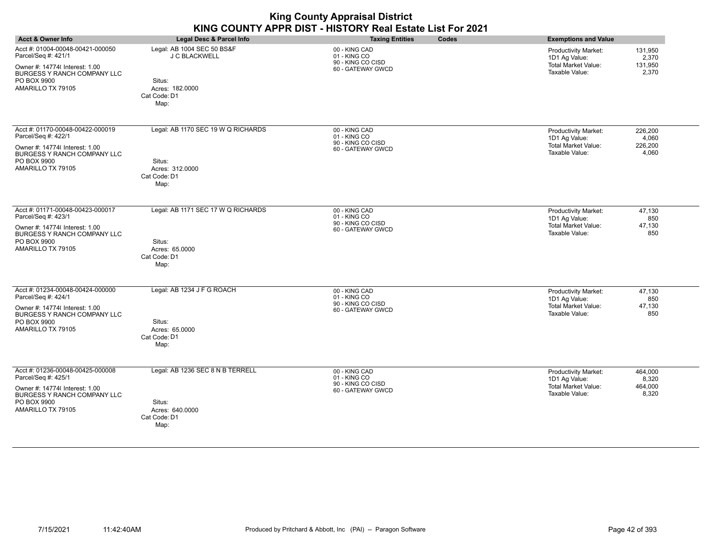| <b>King County Appraisal District</b><br>KING COUNTY APPR DIST - HISTORY Real Estate List For 2021                                                                  |                                                                                                  |                                                                         |                                                                                                                                      |  |  |  |
|---------------------------------------------------------------------------------------------------------------------------------------------------------------------|--------------------------------------------------------------------------------------------------|-------------------------------------------------------------------------|--------------------------------------------------------------------------------------------------------------------------------------|--|--|--|
| <b>Acct &amp; Owner Info</b>                                                                                                                                        | Legal Desc & Parcel Info                                                                         | <b>Taxing Entities</b><br>Codes                                         | <b>Exemptions and Value</b>                                                                                                          |  |  |  |
| Acct #: 01004-00048-00421-000050<br>Parcel/Seq #: 421/1<br>Owner #: 14774( Interest: 1.00<br>BURGESS Y RANCH COMPANY LLC<br>PO BOX 9900<br>AMARILLO TX 79105        | Legal: AB 1004 SEC 50 BS&F<br>J C BLACKWELL<br>Situs:<br>Acres: 182,0000<br>Cat Code: D1<br>Map: | 00 - KING CAD<br>01 - KING CO<br>90 - KING CO CISD<br>60 - GATEWAY GWCD | <b>Productivity Market:</b><br>131,950<br>1D1 Ag Value:<br>2,370<br><b>Total Market Value:</b><br>131,950<br>Taxable Value:<br>2,370 |  |  |  |
| Acct #: 01170-00048-00422-000019<br>Parcel/Seq #: 422/1<br>Owner #: 14774( Interest: 1.00<br>BURGESS Y RANCH COMPANY LLC<br>PO BOX 9900<br>AMARILLO TX 79105        | Legal: AB 1170 SEC 19 W Q RICHARDS<br>Situs:<br>Acres: 312,0000<br>Cat Code: D1<br>Map:          | 00 - KING CAD<br>01 - KING CO<br>90 - KING CO CISD<br>60 - GATEWAY GWCD | 226,200<br>Productivity Market:<br>1D1 Ag Value:<br>4,060<br><b>Total Market Value:</b><br>226,200<br>Taxable Value:<br>4,060        |  |  |  |
| Acct #: 01171-00048-00423-000017<br>Parcel/Seq #: 423/1<br>Owner #: 14774( Interest: 1.00<br>BURGESS Y RANCH COMPANY LLC<br>PO BOX 9900<br>AMARILLO TX 79105        | Legal: AB 1171 SEC 17 W Q RICHARDS<br>Situs:<br>Acres: 65,0000<br>Cat Code: D1<br>Map:           | 00 - KING CAD<br>01 - KING CO<br>90 - KING CO CISD<br>60 - GATEWAY GWCD | <b>Productivity Market:</b><br>47,130<br>1D1 Ag Value:<br>850<br><b>Total Market Value:</b><br>47,130<br>Taxable Value:<br>850       |  |  |  |
| Acct #: 01234-00048-00424-000000<br>Parcel/Seq #: 424/1<br>Owner #: 14774( Interest: 1.00<br><b>BURGESS Y RANCH COMPANY LLC</b><br>PO BOX 9900<br>AMARILLO TX 79105 | Legal: AB 1234 J F G ROACH<br>Situs:<br>Acres: 65.0000<br>Cat Code: D1<br>Map:                   | 00 - KING CAD<br>01 - KING CO<br>90 - KING CO CISD<br>60 - GATEWAY GWCD | <b>Productivity Market:</b><br>47,130<br>1D1 Ag Value:<br>850<br><b>Total Market Value:</b><br>47,130<br>Taxable Value:<br>850       |  |  |  |
| Acct #: 01236-00048-00425-000008<br>Parcel/Seq #: 425/1<br>Owner #: 14774( Interest: 1.00<br><b>BURGESS Y RANCH COMPANY LLC</b><br>PO BOX 9900<br>AMARILLO TX 79105 | Legal: AB 1236 SEC 8 N B TERRELL<br>Situs:<br>Acres: 640.0000<br>Cat Code: D1<br>Map:            | 00 - KING CAD<br>01 - KING CO<br>90 - KING CO CISD<br>60 - GATEWAY GWCD | <b>Productivity Market:</b><br>464,000<br>1D1 Ag Value:<br>8.320<br><b>Total Market Value:</b><br>464,000<br>Taxable Value:<br>8,320 |  |  |  |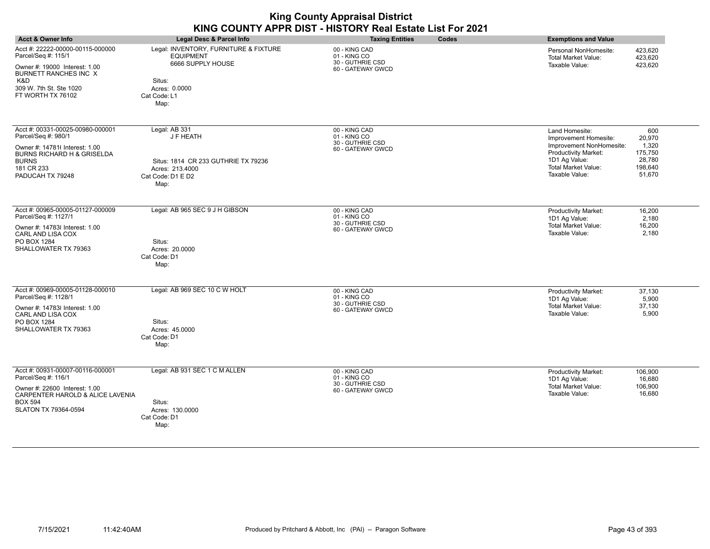| <b>Acct &amp; Owner Info</b>                                                                                                                                                         | <b>Legal Desc &amp; Parcel Info</b>                                                                                               | <b>Taxing Entities</b>                                                 | Codes | <b>Exemptions and Value</b>                                                                                                                                  |                                                                  |
|--------------------------------------------------------------------------------------------------------------------------------------------------------------------------------------|-----------------------------------------------------------------------------------------------------------------------------------|------------------------------------------------------------------------|-------|--------------------------------------------------------------------------------------------------------------------------------------------------------------|------------------------------------------------------------------|
| Acct #: 22222-00000-00115-000000<br>Parcel/Seq #: 115/1<br>Owner #: 19000 Interest: 1.00<br>BURNETT RANCHES INC X<br>K&D<br>309 W. 7th St. Ste 1020<br>FT WORTH TX 76102             | Legal: INVENTORY, FURNITURE & FIXTURE<br><b>EQUIPMENT</b><br>6666 SUPPLY HOUSE<br>Situs:<br>Acres: 0.0000<br>Cat Code: L1<br>Map: | 00 - KING CAD<br>01 - KING CO<br>30 - GUTHRIE CSD<br>60 - GATEWAY GWCD |       | Personal NonHomesite:<br><b>Total Market Value:</b><br>Taxable Value:                                                                                        | 423,620<br>423,620<br>423,620                                    |
| Acct #: 00331-00025-00980-000001<br>Parcel/Seq #: 980/1<br>Owner #: 14781( Interest: 1.00<br><b>BURNS RICHARD H &amp; GRISELDA</b><br><b>BURNS</b><br>181 CR 233<br>PADUCAH TX 79248 | Legal: AB 331<br>J F HEATH<br>Situs: 1814 CR 233 GUTHRIE TX 79236<br>Acres: 213.4000<br>Cat Code: D1 E D2<br>Map:                 | 00 - KING CAD<br>01 - KING CO<br>30 - GUTHRIE CSD<br>60 - GATEWAY GWCD |       | Land Homesite:<br>Improvement Homesite:<br>Improvement NonHomesite:<br>Productivity Market:<br>1D1 Ag Value:<br><b>Total Market Value:</b><br>Taxable Value: | 600<br>20,970<br>1,320<br>175,750<br>28,780<br>198,640<br>51,670 |
| Acct #: 00965-00005-01127-000009<br>Parcel/Seq #: 1127/1<br>Owner #: 14783 Interest: 1.00<br><b>CARL AND LISA COX</b><br>PO BOX 1284<br>SHALLOWATER TX 79363                         | Legal: AB 965 SEC 9 J H GIBSON<br>Situs:<br>Acres: 20.0000<br>Cat Code: D1<br>Map:                                                | 00 - KING CAD<br>01 - KING CO<br>30 - GUTHRIE CSD<br>60 - GATEWAY GWCD |       | Productivity Market:<br>1D1 Ag Value:<br><b>Total Market Value:</b><br>Taxable Value:                                                                        | 16,200<br>2,180<br>16,200<br>2,180                               |
| Acct #: 00969-00005-01128-000010<br>Parcel/Seq #: 1128/1<br>Owner #: 147838 Interest: 1.00<br><b>CARL AND LISA COX</b><br>PO BOX 1284<br>SHALLOWATER TX 79363                        | Legal: AB 969 SEC 10 C W HOLT<br>Situs:<br>Acres: 45.0000<br>Cat Code: D1<br>Map:                                                 | 00 - KING CAD<br>01 - KING CO<br>30 - GUTHRIE CSD<br>60 - GATEWAY GWCD |       | Productivity Market:<br>1D1 Ag Value:<br><b>Total Market Value:</b><br>Taxable Value:                                                                        | 37,130<br>5,900<br>37,130<br>5,900                               |
| Acct #: 00931-00007-00116-000001<br>Parcel/Seq #: 116/1<br>Owner #: 22600 Interest: 1.00<br>CARPENTER HAROLD & ALICE LAVENIA<br><b>BOX 594</b><br>SLATON TX 79364-0594               | Legal: AB 931 SEC 1 C M ALLEN<br>Situs:<br>Acres: 130.0000<br>Cat Code: D1<br>Map:                                                | 00 - KING CAD<br>01 - KING CO<br>30 - GUTHRIE CSD<br>60 - GATEWAY GWCD |       | Productivity Market:<br>1D1 Ag Value:<br><b>Total Market Value:</b><br>Taxable Value:                                                                        | 106,900<br>16,680<br>106.900<br>16,680                           |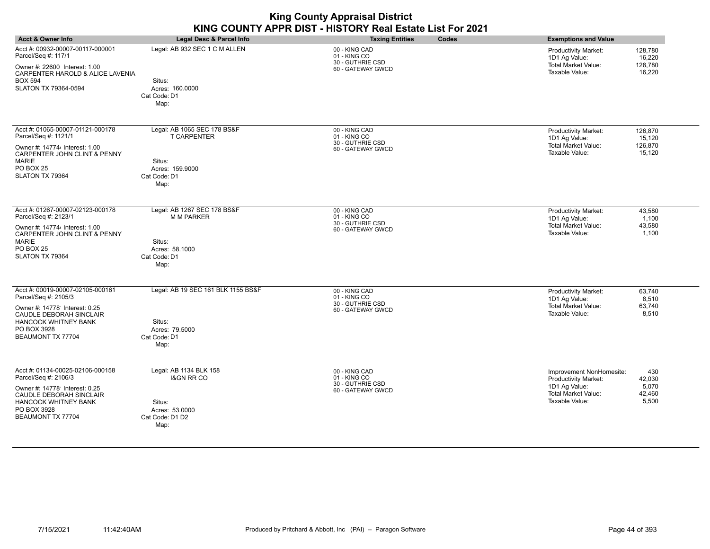| <b>King County Appraisal District</b><br>KING COUNTY APPR DIST - HISTORY Real Estate List For 2021                                                                                           |                                                                                                        |                                                                        |       |                                                                                                                   |                                           |
|----------------------------------------------------------------------------------------------------------------------------------------------------------------------------------------------|--------------------------------------------------------------------------------------------------------|------------------------------------------------------------------------|-------|-------------------------------------------------------------------------------------------------------------------|-------------------------------------------|
| <b>Acct &amp; Owner Info</b>                                                                                                                                                                 | Legal Desc & Parcel Info                                                                               | <b>Taxing Entities</b>                                                 | Codes | <b>Exemptions and Value</b>                                                                                       |                                           |
| Acct #: 00932-00007-00117-000001<br>Parcel/Seq #: 117/1<br>Owner #: 22600 Interest: 1.00<br>CARPENTER HAROLD & ALICE LAVENIA<br><b>BOX 594</b><br>SLATON TX 79364-0594                       | Legal: AB 932 SEC 1 C M ALLEN<br>Situs:<br>Acres: 160,0000<br>Cat Code: D1<br>Map:                     | 00 - KING CAD<br>01 - KING CO<br>30 - GUTHRIE CSD<br>60 - GATEWAY GWCD |       | <b>Productivity Market:</b><br>1D1 Ag Value:<br><b>Total Market Value:</b><br>Taxable Value:                      | 128,780<br>16,220<br>128,780<br>16,220    |
| Acct #: 01065-00007-01121-000178<br>Parcel/Seq #: 1121/1<br>Owner #: 147744 Interest: 1.00<br><b>CARPENTER JOHN CLINT &amp; PENNY</b><br><b>MARIE</b><br><b>PO BOX 25</b><br>SLATON TX 79364 | Legal: AB 1065 SEC 178 BS&F<br><b>T CARPENTER</b><br>Situs:<br>Acres: 159,9000<br>Cat Code: D1<br>Map: | 00 - KING CAD<br>01 - KING CO<br>30 - GUTHRIE CSD<br>60 - GATEWAY GWCD |       | <b>Productivity Market:</b><br>1D1 Ag Value:<br><b>Total Market Value:</b><br>Taxable Value:                      | 126,870<br>15,120<br>126,870<br>15,120    |
| Acct #: 01267-00007-02123-000178<br>Parcel/Seq #: 2123/1<br>Owner #: 147744 Interest: 1.00<br><b>CARPENTER JOHN CLINT &amp; PENNY</b><br><b>MARIE</b><br><b>PO BOX 25</b><br>SLATON TX 79364 | Legal: AB 1267 SEC 178 BS&F<br><b>M M PARKER</b><br>Situs:<br>Acres: 58.1000<br>Cat Code: D1<br>Map:   | 00 - KING CAD<br>01 - KING CO<br>30 - GUTHRIE CSD<br>60 - GATEWAY GWCD |       | <b>Productivity Market:</b><br>1D1 Ag Value:<br><b>Total Market Value:</b><br>Taxable Value:                      | 43,580<br>1,100<br>43.580<br>1,100        |
| Acct #: 00019-00007-02105-000161<br>Parcel/Seq #: 2105/3<br>Owner #: 14778' Interest: 0.25<br>CAUDLE DEBORAH SINCLAIR<br><b>HANCOCK WHITNEY BANK</b><br>PO BOX 3928<br>BEAUMONT TX 77704     | Legal: AB 19 SEC 161 BLK 1155 BS&F<br>Situs:<br>Acres: 79.5000<br>Cat Code: D1<br>Map:                 | 00 - KING CAD<br>01 - KING CO<br>30 - GUTHRIE CSD<br>60 - GATEWAY GWCD |       | Productivity Market:<br>1D1 Ag Value:<br>Total Market Value:<br>Taxable Value:                                    | 63,740<br>8,510<br>63,740<br>8,510        |
| Acct #: 01134-00025-02106-000158<br>Parcel/Seq #: 2106/3<br>Owner #: 14778' Interest: 0.25<br>CAUDLE DEBORAH SINCLAIR<br><b>HANCOCK WHITNEY BANK</b><br>PO BOX 3928<br>BEAUMONT TX 77704     | Legal: AB 1134 BLK 158<br><b>I&amp;GN RR CO</b><br>Situs:<br>Acres: 53.0000<br>Cat Code: D1 D2<br>Map: | 00 - KING CAD<br>01 - KING CO<br>30 - GUTHRIE CSD<br>60 - GATEWAY GWCD |       | Improvement NonHomesite:<br>Productivity Market:<br>1D1 Ag Value:<br><b>Total Market Value:</b><br>Taxable Value: | 430<br>42,030<br>5,070<br>42,460<br>5,500 |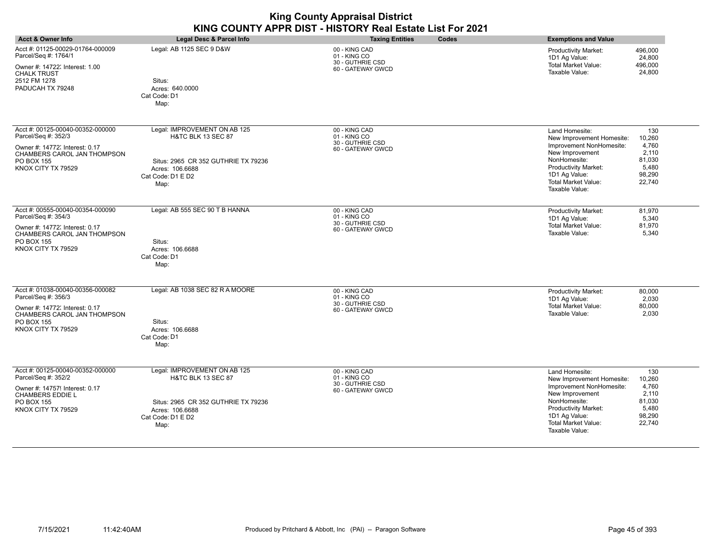| <b>Acct &amp; Owner Info</b>                                                                                     | Legal Desc & Parcel Info                                                            | Codes<br><b>Taxing Entities</b>                                        | <b>Exemptions and Value</b>                                                                                                                                                                                          |
|------------------------------------------------------------------------------------------------------------------|-------------------------------------------------------------------------------------|------------------------------------------------------------------------|----------------------------------------------------------------------------------------------------------------------------------------------------------------------------------------------------------------------|
| Acct #: 01125-00029-01764-000009<br>Parcel/Seq #: 1764/1<br>Owner #: 14722; Interest: 1.00<br><b>CHALK TRUST</b> | Legal: AB 1125 SEC 9 D&W                                                            | 00 - KING CAD<br>01 - KING CO<br>30 - GUTHRIE CSD<br>60 - GATEWAY GWCD | Productivity Market:<br>496,000<br>1D1 Ag Value:<br>24,800<br><b>Total Market Value:</b><br>496,000<br>Taxable Value:<br>24,800                                                                                      |
| 2512 FM 1278<br>PADUCAH TX 79248                                                                                 | Situs:<br>Acres: 640.0000<br>Cat Code: D1<br>Map:                                   |                                                                        |                                                                                                                                                                                                                      |
| Acct #: 00125-00040-00352-000000<br>Parcel/Seq #: 352/3                                                          | Legal: IMPROVEMENT ON AB 125<br><b>H&amp;TC BLK 13 SEC 87</b>                       | 00 - KING CAD<br>01 - KING CO<br>30 - GUTHRIE CSD                      | Land Homesite:<br>130<br>10,260<br>New Improvement Homesite:                                                                                                                                                         |
| Owner #: 14772; Interest: 0.17<br>CHAMBERS CAROL JAN THOMPSON<br>PO BOX 155<br>KNOX CITY TX 79529                | Situs: 2965 CR 352 GUTHRIE TX 79236<br>Acres: 106.6688<br>Cat Code: D1 E D2<br>Map: | 60 - GATEWAY GWCD                                                      | 4,760<br>Improvement NonHomesite:<br>2,110<br>New Improvement<br>NonHomesite:<br>81,030<br>5,480<br><b>Productivity Market:</b><br>98,290<br>1D1 Ag Value:<br>22,740<br><b>Total Market Value:</b><br>Taxable Value: |
| Acct #: 00555-00040-00354-000090<br>Parcel/Seq #: 354/3                                                          | Legal: AB 555 SEC 90 T B HANNA                                                      | 00 - KING CAD<br>01 - KING CO                                          | 81,970<br><b>Productivity Market:</b><br>1D1 Ag Value:<br>5,340                                                                                                                                                      |
| Owner #: 14772; Interest: 0.17<br>CHAMBERS CAROL JAN THOMPSON<br>PO BOX 155<br>KNOX CITY TX 79529                | Situs:<br>Acres: 106.6688<br>Cat Code: D1<br>Map:                                   | 30 - GUTHRIE CSD<br>60 - GATEWAY GWCD                                  | <b>Total Market Value:</b><br>81,970<br>Taxable Value:<br>5,340                                                                                                                                                      |
| Acct #: 01038-00040-00356-000082<br>Parcel/Seq #: 356/3<br>Owner #: 14772; Interest: 0.17                        | Legal: AB 1038 SEC 82 R A MOORE                                                     | 00 - KING CAD<br>01 - KING CO<br>30 - GUTHRIE CSD<br>60 - GATEWAY GWCD | <b>Productivity Market:</b><br>80,000<br>2,030<br>1D1 Ag Value:<br><b>Total Market Value:</b><br>80,000                                                                                                              |
| CHAMBERS CAROL JAN THOMPSON<br>PO BOX 155<br>KNOX CITY TX 79529                                                  | Situs:<br>Acres: 106.6688<br>Cat Code: D1<br>Map:                                   |                                                                        | Taxable Value:<br>2,030                                                                                                                                                                                              |
| Acct #: 00125-00040-00352-000000<br>Parcel/Seq #: 352/2                                                          | Legal: IMPROVEMENT ON AB 125<br><b>H&amp;TC BLK 13 SEC 87</b>                       | 00 - KING CAD<br>01 - KING CO                                          | Land Homesite:<br>130<br>New Improvement Homesite:<br>10,260                                                                                                                                                         |
| Owner #: 14757! Interest: 0.17<br>CHAMBERS EDDIE L                                                               |                                                                                     | 30 - GUTHRIE CSD<br>60 - GATEWAY GWCD                                  | 4,760<br>Improvement NonHomesite:<br>New Improvement<br>2,110                                                                                                                                                        |
| PO BOX 155<br>KNOX CITY TX 79529                                                                                 | Situs: 2965 CR 352 GUTHRIE TX 79236<br>Acres: 106.6688<br>Cat Code: D1 E D2<br>Map: |                                                                        | NonHomesite:<br>81,030<br><b>Productivity Market:</b><br>5,480<br>1D1 Ag Value:<br>98,290<br><b>Total Market Value:</b><br>22,740<br>Taxable Value:                                                                  |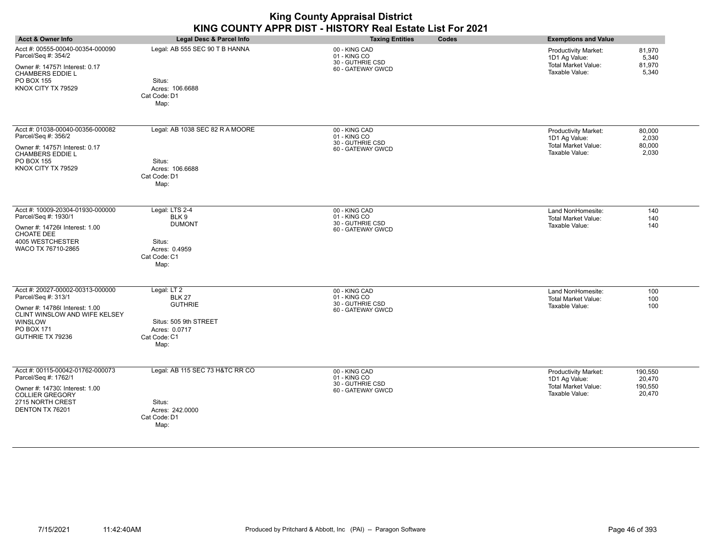| <b>Acct &amp; Owner Info</b>                                                                                                                                                   | Legal Desc & Parcel Info                                                                                         | <b>Taxing Entities</b><br>Codes                                        | <b>Exemptions and Value</b>                                                                                                        |
|--------------------------------------------------------------------------------------------------------------------------------------------------------------------------------|------------------------------------------------------------------------------------------------------------------|------------------------------------------------------------------------|------------------------------------------------------------------------------------------------------------------------------------|
| Acct #: 00555-00040-00354-000090<br>Parcel/Seq #: 354/2<br>Owner #: 14757! Interest: 0.17<br><b>CHAMBERS EDDIE L</b><br>PO BOX 155<br>KNOX CITY TX 79529                       | Legal: AB 555 SEC 90 T B HANNA<br>Situs:<br>Acres: 106.6688<br>Cat Code: D1<br>Map:                              | 00 - KING CAD<br>01 - KING CO<br>30 - GUTHRIE CSD<br>60 - GATEWAY GWCD | <b>Productivity Market:</b><br>81,970<br>1D1 Ag Value:<br>5,340<br><b>Total Market Value:</b><br>81,970<br>Taxable Value:<br>5,340 |
| Acct #: 01038-00040-00356-000082<br>Parcel/Seq #: 356/2<br>Owner #: 14757! Interest: 0.17<br><b>CHAMBERS EDDIE L</b><br>PO BOX 155<br>KNOX CITY TX 79529                       | Legal: AB 1038 SEC 82 R A MOORE<br>Situs:<br>Acres: 106.6688<br>Cat Code: D1<br>Map:                             | 00 - KING CAD<br>01 - KING CO<br>30 - GUTHRIE CSD<br>60 - GATEWAY GWCD | Productivity Market:<br>80,000<br>1D1 Ag Value:<br>2,030<br>80,000<br><b>Total Market Value:</b><br>Taxable Value:<br>2,030        |
| Acct #: 10009-20304-01930-000000<br>Parcel/Seq #: 1930/1<br>Owner #: 14726( Interest: 1.00<br>CHOATE DEE<br>4005 WESTCHESTER<br>WACO TX 76710-2865                             | Legal: LTS 2-4<br>BLK 9<br><b>DUMONT</b><br>Situs:<br>Acres: 0.4959<br>Cat Code: C1<br>Map:                      | 00 - KING CAD<br>01 - KING CO<br>30 - GUTHRIE CSD<br>60 - GATEWAY GWCD | Land NonHomesite:<br>140<br><b>Total Market Value:</b><br>140<br>140<br>Taxable Value:                                             |
| Acct #: 20027-00002-00313-000000<br>Parcel/Seq #: 313/1<br>Owner #: 14786( Interest: 1.00<br>CLINT WINSLOW AND WIFE KELSEY<br><b>WINSLOW</b><br>PO BOX 171<br>GUTHRIE TX 79236 | Legal: LT 2<br><b>BLK 27</b><br><b>GUTHRIE</b><br>Situs: 505 9th STREET<br>Acres: 0.0717<br>Cat Code: C1<br>Map: | 00 - KING CAD<br>01 - KING CO<br>30 - GUTHRIE CSD<br>60 - GATEWAY GWCD | Land NonHomesite:<br>100<br><b>Total Market Value:</b><br>100<br>Taxable Value:<br>100                                             |
| Acct #: 00115-00042-01762-000073<br>Parcel/Seq #: 1762/1<br>Owner #: 14730; Interest: 1.00<br><b>COLLIER GREGORY</b><br>2715 NORTH CREST<br>DENTON TX 76201                    | Legal: AB 115 SEC 73 H&TC RR CO<br>Situs:<br>Acres: 242.0000<br>Cat Code: D1<br>Map:                             | 00 - KING CAD<br>01 - KING CO<br>30 - GUTHRIE CSD<br>60 - GATEWAY GWCD | Productivity Market:<br>190,550<br>1D1 Ag Value:<br>20,470<br><b>Total Market Value:</b><br>190,550<br>Taxable Value:<br>20,470    |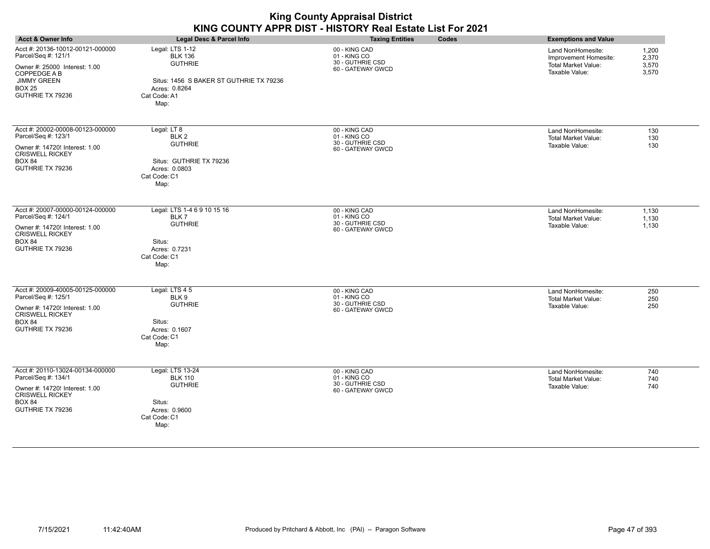| <b>Acct &amp; Owner Info</b>                                                                                                                                        | <b>Legal Desc &amp; Parcel Info</b>                                                                                                     | <b>Taxing Entities</b><br>Codes                                        | <b>Exemptions and Value</b>                                                                                                    |
|---------------------------------------------------------------------------------------------------------------------------------------------------------------------|-----------------------------------------------------------------------------------------------------------------------------------------|------------------------------------------------------------------------|--------------------------------------------------------------------------------------------------------------------------------|
| Acct #: 20136-10012-00121-000000<br>Parcel/Seq #: 121/1<br>Owner #: 25000 Interest: 1.00<br>COPPEDGE A B<br><b>JIMMY GREEN</b><br><b>BOX 25</b><br>GUTHRIE TX 79236 | Legal: LTS 1-12<br><b>BLK 136</b><br><b>GUTHRIE</b><br>Situs: 1456 S BAKER ST GUTHRIE TX 79236<br>Acres: 0.8264<br>Cat Code: A1<br>Map: | 00 - KING CAD<br>01 - KING CO<br>30 - GUTHRIE CSD<br>60 - GATEWAY GWCD | Land NonHomesite:<br>1,200<br>2,370<br>Improvement Homesite:<br>3,570<br><b>Total Market Value:</b><br>Taxable Value:<br>3,570 |
| Acct #: 20002-00008-00123-000000<br>Parcel/Seq #: 123/1<br>Owner #: 14720! Interest: 1.00<br><b>CRISWELL RICKEY</b><br><b>BOX 84</b><br>GUTHRIE TX 79236            | Legal: LT 8<br>BLK <sub>2</sub><br><b>GUTHRIE</b><br>Situs: GUTHRIE TX 79236<br>Acres: 0.0803<br>Cat Code: C1<br>Map:                   | 00 - KING CAD<br>01 - KING CO<br>30 - GUTHRIE CSD<br>60 - GATEWAY GWCD | Land NonHomesite:<br>130<br>130<br>Total Market Value:<br>Taxable Value:<br>130                                                |
| Acct #: 20007-00000-00124-000000<br>Parcel/Seq #: 124/1<br>Owner #: 14720! Interest: 1.00<br><b>CRISWELL RICKEY</b><br><b>BOX 84</b><br>GUTHRIE TX 79236            | Legal: LTS 1-4 6 9 10 15 16<br>BLK 7<br><b>GUTHRIE</b><br>Situs:<br>Acres: 0.7231<br>Cat Code: C1<br>Map:                               | 00 - KING CAD<br>01 - KING CO<br>30 - GUTHRIE CSD<br>60 - GATEWAY GWCD | Land NonHomesite:<br>1,130<br>Total Market Value:<br>1,130<br>Taxable Value:<br>1,130                                          |
| Acct #: 20009-40005-00125-000000<br>Parcel/Seq #: 125/1<br>Owner #: 14720{ Interest: 1.00<br><b>CRISWELL RICKEY</b><br><b>BOX 84</b><br>GUTHRIE TX 79236            | Legal: LTS 4 5<br>BLK 9<br><b>GUTHRIE</b><br>Situs:<br>Acres: 0.1607<br>Cat Code: C1<br>Map:                                            | 00 - KING CAD<br>01 - KING CO<br>30 - GUTHRIE CSD<br>60 - GATEWAY GWCD | 250<br>Land NonHomesite:<br>250<br>Total Market Value:<br>Taxable Value:<br>250                                                |
| Acct #: 20110-13024-00134-000000<br>Parcel/Seq #: 134/1<br>Owner #: 14720! Interest: 1.00<br><b>CRISWELL RICKEY</b><br><b>BOX 84</b><br>GUTHRIE TX 79236            | Legal: LTS 13-24<br><b>BLK 110</b><br><b>GUTHRIE</b><br>Situs:<br>Acres: 0.9600<br>Cat Code: C1<br>Map:                                 | 00 - KING CAD<br>01 - KING CO<br>30 - GUTHRIE CSD<br>60 - GATEWAY GWCD | Land NonHomesite:<br>740<br><b>Total Market Value:</b><br>740<br>Taxable Value:<br>740                                         |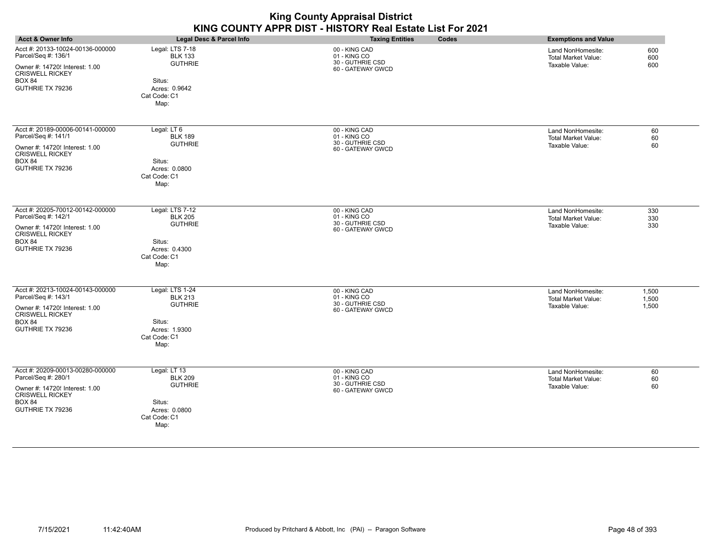|                                                                                                                                                          |                                                                                                        | <b>King County Appraisal District</b><br>KING COUNTY APPR DIST - HISTORY Real Estate List For 2021 |                                                                   |                         |
|----------------------------------------------------------------------------------------------------------------------------------------------------------|--------------------------------------------------------------------------------------------------------|----------------------------------------------------------------------------------------------------|-------------------------------------------------------------------|-------------------------|
| <b>Acct &amp; Owner Info</b>                                                                                                                             | Legal Desc & Parcel Info                                                                               | <b>Taxing Entities</b><br>Codes                                                                    | <b>Exemptions and Value</b>                                       |                         |
| Acct #: 20133-10024-00136-000000<br>Parcel/Seq #: 136/1<br>Owner #: 14720{ Interest: 1.00<br><b>CRISWELL RICKEY</b><br><b>BOX 84</b><br>GUTHRIE TX 79236 | Legal: LTS 7-18<br><b>BLK 133</b><br><b>GUTHRIE</b><br>Situs:<br>Acres: 0.9642<br>Cat Code: C1<br>Map: | 00 - KING CAD<br>01 - KING CO<br>30 - GUTHRIE CSD<br>60 - GATEWAY GWCD                             | Land NonHomesite:<br><b>Total Market Value:</b><br>Taxable Value: | 600<br>600<br>600       |
| Acct #: 20189-00006-00141-000000<br>Parcel/Seq #: 141/1<br>Owner #: 14720{ Interest: 1.00<br><b>CRISWELL RICKEY</b><br><b>BOX 84</b><br>GUTHRIE TX 79236 | Legal: LT 6<br><b>BLK 189</b><br><b>GUTHRIE</b><br>Situs:<br>Acres: 0.0800<br>Cat Code: C1<br>Map:     | 00 - KING CAD<br>01 - KING CO<br>30 - GUTHRIE CSD<br>60 - GATEWAY GWCD                             | Land NonHomesite:<br>Total Market Value:<br>Taxable Value:        | 60<br>60<br>60          |
| Acct #: 20205-70012-00142-000000<br>Parcel/Seq #: 142/1<br>Owner #: 14720{ Interest: 1.00<br><b>CRISWELL RICKEY</b><br><b>BOX 84</b><br>GUTHRIE TX 79236 | Legal: LTS 7-12<br><b>BLK 205</b><br><b>GUTHRIE</b><br>Situs:<br>Acres: 0.4300<br>Cat Code: C1<br>Map: | 00 - KING CAD<br>01 - KING CO<br>30 - GUTHRIE CSD<br>60 - GATEWAY GWCD                             | Land NonHomesite:<br><b>Total Market Value:</b><br>Taxable Value: | 330<br>330<br>330       |
| Acct #: 20213-10024-00143-000000<br>Parcel/Seq #: 143/1<br>Owner #: 14720! Interest: 1.00<br><b>CRISWELL RICKEY</b><br><b>BOX 84</b><br>GUTHRIE TX 79236 | Legal: LTS 1-24<br><b>BLK 213</b><br><b>GUTHRIE</b><br>Situs:<br>Acres: 1.9300<br>Cat Code: C1<br>Map: | 00 - KING CAD<br>01 - KING CO<br>30 - GUTHRIE CSD<br>60 - GATEWAY GWCD                             | Land NonHomesite:<br><b>Total Market Value:</b><br>Taxable Value: | 1,500<br>1,500<br>1,500 |
| Acct #: 20209-00013-00280-000000<br>Parcel/Seq #: 280/1<br>Owner #: 14720! Interest: 1.00<br><b>CRISWELL RICKEY</b><br><b>BOX 84</b><br>GUTHRIE TX 79236 | Legal: LT 13<br><b>BLK 209</b><br><b>GUTHRIE</b><br>Situs:<br>Acres: 0.0800<br>Cat Code: C1<br>Map:    | 00 - KING CAD<br>01 - KING CO<br>30 - GUTHRIE CSD<br>60 - GATEWAY GWCD                             | Land NonHomesite:<br>Total Market Value:<br>Taxable Value:        | 60<br>60<br>60          |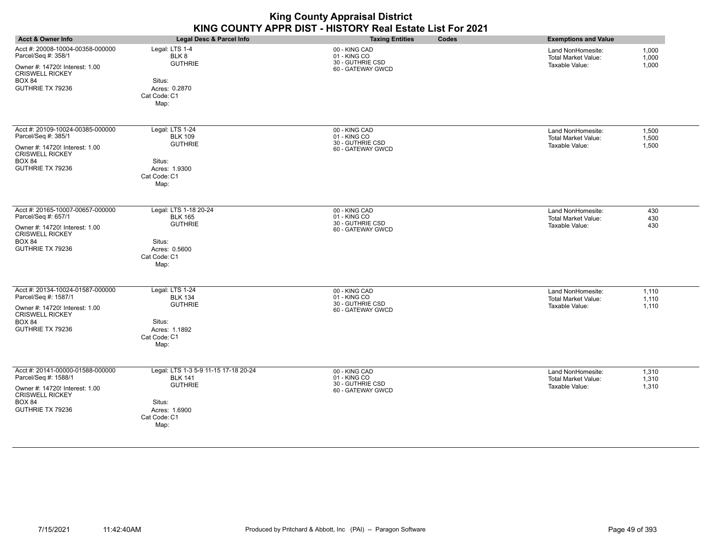| <b>King County Appraisal District</b><br>KING COUNTY APPR DIST - HISTORY Real Estate List For 2021                                                        |                                                                                                                     |                                                                        |       |                                                                   |                         |
|-----------------------------------------------------------------------------------------------------------------------------------------------------------|---------------------------------------------------------------------------------------------------------------------|------------------------------------------------------------------------|-------|-------------------------------------------------------------------|-------------------------|
| <b>Acct &amp; Owner Info</b>                                                                                                                              | <b>Legal Desc &amp; Parcel Info</b>                                                                                 | <b>Taxing Entities</b>                                                 | Codes | <b>Exemptions and Value</b>                                       |                         |
| Acct #: 20008-10004-00358-000000<br>Parcel/Seq #: 358/1<br>Owner #: 14720! Interest: 1.00<br><b>CRISWELL RICKEY</b><br><b>BOX 84</b><br>GUTHRIE TX 79236  | Legal: LTS 1-4<br>BLK8<br><b>GUTHRIE</b><br>Situs:<br>Acres: 0.2870<br>Cat Code: C1<br>Map:                         | 00 - KING CAD<br>01 - KING CO<br>30 - GUTHRIE CSD<br>60 - GATEWAY GWCD |       | Land NonHomesite:<br>Total Market Value:<br>Taxable Value:        | 1,000<br>1,000<br>1,000 |
| Acct #: 20109-10024-00385-000000<br>Parcel/Seq #: 385/1<br>Owner #: 14720! Interest: 1.00<br><b>CRISWELL RICKEY</b><br><b>BOX 84</b><br>GUTHRIE TX 79236  | Legal: LTS 1-24<br><b>BLK 109</b><br><b>GUTHRIE</b><br>Situs:<br>Acres: 1.9300<br>Cat Code: C1<br>Map:              | 00 - KING CAD<br>01 - KING CO<br>30 - GUTHRIE CSD<br>60 - GATEWAY GWCD |       | Land NonHomesite:<br><b>Total Market Value:</b><br>Taxable Value: | 1,500<br>1,500<br>1,500 |
| Acct #: 20165-10007-00657-000000<br>Parcel/Seq #: 657/1<br>Owner #: 14720! Interest: 1.00<br><b>CRISWELL RICKEY</b><br><b>BOX 84</b><br>GUTHRIE TX 79236  | Legal: LTS 1-18 20-24<br><b>BLK 165</b><br><b>GUTHRIE</b><br>Situs:<br>Acres: 0.5600<br>Cat Code: C1<br>Map:        | 00 - KING CAD<br>01 - KING CO<br>30 - GUTHRIE CSD<br>60 - GATEWAY GWCD |       | Land NonHomesite:<br><b>Total Market Value:</b><br>Taxable Value: | 430<br>430<br>430       |
| Acct #: 20134-10024-01587-000000<br>Parcel/Seq #: 1587/1<br>Owner #: 14720! Interest: 1.00<br><b>CRISWELL RICKEY</b><br><b>BOX 84</b><br>GUTHRIE TX 79236 | Legal: LTS 1-24<br><b>BLK 134</b><br><b>GUTHRIE</b><br>Situs:<br>Acres: 1.1892<br>Cat Code: C1<br>Map:              | 00 - KING CAD<br>01 - KING CO<br>30 - GUTHRIE CSD<br>60 - GATEWAY GWCD |       | Land NonHomesite:<br><b>Total Market Value:</b><br>Taxable Value: | 1,110<br>1,110<br>1,110 |
| Acct #: 20141-00000-01588-000000<br>Parcel/Seq #: 1588/1<br>Owner #: 14720! Interest: 1.00<br><b>CRISWELL RICKEY</b><br><b>BOX 84</b><br>GUTHRIE TX 79236 | Legal: LTS 1-3 5-9 11-15 17-18 20-24<br><b>BLK 141</b><br><b>GUTHRIE</b><br>Situs:<br>Acres: 1.6900<br>Cat Code: C1 | 00 - KING CAD<br>01 - KING CO<br>30 - GUTHRIE CSD<br>60 - GATEWAY GWCD |       | Land NonHomesite:<br><b>Total Market Value:</b><br>Taxable Value: | 1,310<br>1,310<br>1,310 |

Map: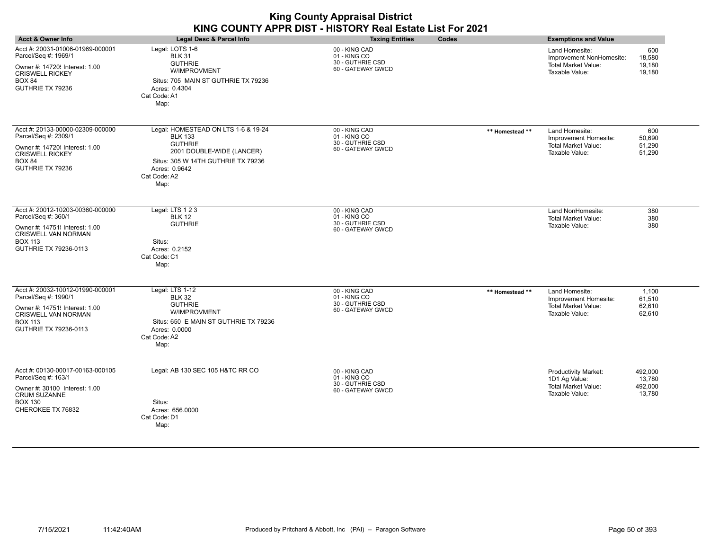| <b>Acct &amp; Owner Info</b>                                                                                                                                        | <b>Legal Desc &amp; Parcel Info</b>                                                                                                                                                 | <b>Taxing Entities</b><br>Codes                                        |                 | <b>Exemptions and Value</b>                                                                |                                        |
|---------------------------------------------------------------------------------------------------------------------------------------------------------------------|-------------------------------------------------------------------------------------------------------------------------------------------------------------------------------------|------------------------------------------------------------------------|-----------------|--------------------------------------------------------------------------------------------|----------------------------------------|
| Acct #: 20031-01006-01969-000001<br>Parcel/Seq #: 1969/1<br>Owner #: 14720{ Interest: 1.00<br><b>CRISWELL RICKEY</b><br><b>BOX 84</b><br>GUTHRIE TX 79236           | Legal: LOTS 1-6<br><b>BLK 31</b><br><b>GUTHRIE</b><br>W/IMPROVMENT<br>Situs: 705 MAIN ST GUTHRIE TX 79236<br>Acres: 0.4304<br>Cat Code: A1<br>Map:                                  | 00 - KING CAD<br>01 - KING CO<br>30 - GUTHRIE CSD<br>60 - GATEWAY GWCD |                 | Land Homesite:<br>Improvement NonHomesite:<br><b>Total Market Value:</b><br>Taxable Value: | 600<br>18.580<br>19,180<br>19,180      |
| Acct #: 20133-00000-02309-000000<br>Parcel/Seq #: 2309/1<br>Owner #: 14720! Interest: 1.00<br><b>CRISWELL RICKEY</b><br><b>BOX 84</b><br>GUTHRIE TX 79236           | Legal: HOMESTEAD ON LTS 1-6 & 19-24<br><b>BLK 133</b><br><b>GUTHRIE</b><br>2001 DOUBLE-WIDE (LANCER)<br>Situs: 305 W 14TH GUTHRIE TX 79236<br>Acres: 0.9642<br>Cat Code: A2<br>Map: | 00 - KING CAD<br>01 - KING CO<br>30 - GUTHRIE CSD<br>60 - GATEWAY GWCD | ** Homestead ** | Land Homesite:<br>Improvement Homesite:<br><b>Total Market Value:</b><br>Taxable Value:    | 600<br>50,690<br>51,290<br>51,290      |
| Acct #: 20012-10203-00360-000000<br>Parcel/Seq #: 360/1<br>Owner #: 14751! Interest: 1.00<br>CRISWELL VAN NORMAN<br><b>BOX 113</b><br>GUTHRIE TX 79236-0113         | Legal: LTS 1 2 3<br><b>BLK 12</b><br><b>GUTHRIE</b><br>Situs:<br>Acres: 0.2152<br>Cat Code: C1<br>Map:                                                                              | 00 - KING CAD<br>01 - KING CO<br>30 - GUTHRIE CSD<br>60 - GATEWAY GWCD |                 | Land NonHomesite:<br><b>Total Market Value:</b><br>Taxable Value:                          | 380<br>380<br>380                      |
| Acct #: 20032-10012-01990-000001<br>Parcel/Seq #: 1990/1<br>Owner #: 14751! Interest: 1.00<br><b>CRISWELL VAN NORMAN</b><br><b>BOX 113</b><br>GUTHRIE TX 79236-0113 | Legal: LTS 1-12<br><b>BLK 32</b><br><b>GUTHRIE</b><br>W/IMPROVMENT<br>Situs: 650 E MAIN ST GUTHRIE TX 79236<br>Acres: 0.0000<br>Cat Code: A2<br>Map:                                | 00 - KING CAD<br>01 - KING CO<br>30 - GUTHRIE CSD<br>60 - GATEWAY GWCD | ** Homestead ** | Land Homesite:<br>Improvement Homesite:<br>Total Market Value:<br>Taxable Value:           | 1,100<br>61,510<br>62,610<br>62,610    |
| Acct #: 00130-00017-00163-000105<br>Parcel/Seq #: 163/1<br>Owner #: 30100 Interest: 1.00<br><b>CRUM SUZANNE</b><br><b>BOX 130</b><br>CHEROKEE TX 76832              | Legal: AB 130 SEC 105 H&TC RR CO<br>Situs:<br>Acres: 656.0000<br>Cat Code: D1<br>Map:                                                                                               | 00 - KING CAD<br>01 - KING CO<br>30 - GUTHRIE CSD<br>60 - GATEWAY GWCD |                 | <b>Productivity Market:</b><br>1D1 Ag Value:<br>Total Market Value:<br>Taxable Value:      | 492,000<br>13,780<br>492,000<br>13,780 |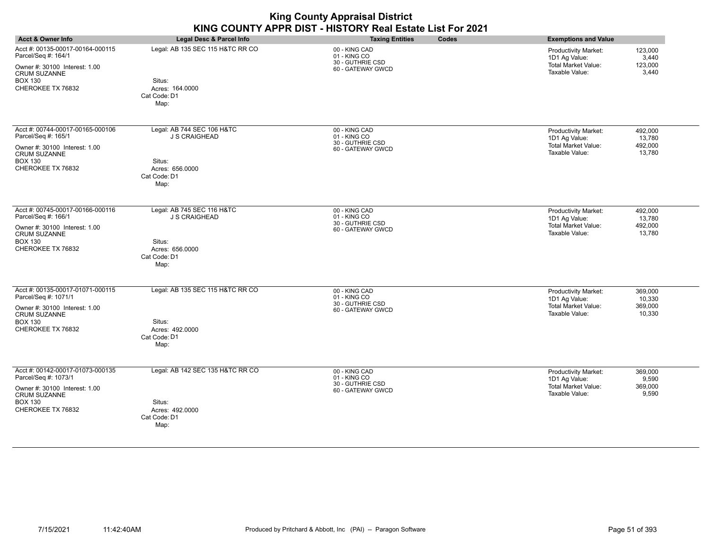| <b>Acct &amp; Owner Info</b>                                                                                                                            | Legal Desc & Parcel Info                                                                         | <b>Taxing Entities</b><br>Codes                                        | <b>Exemptions and Value</b>                                                                                                          |
|---------------------------------------------------------------------------------------------------------------------------------------------------------|--------------------------------------------------------------------------------------------------|------------------------------------------------------------------------|--------------------------------------------------------------------------------------------------------------------------------------|
| Acct #: 00135-00017-00164-000115<br>Parcel/Seq #: 164/1<br>Owner #: 30100 Interest: 1.00<br><b>CRUM SUZANNE</b><br><b>BOX 130</b><br>CHEROKEE TX 76832  | Legal: AB 135 SEC 115 H&TC RR CO<br>Situs:<br>Acres: 164,0000<br>Cat Code: D1<br>Map:            | 00 - KING CAD<br>01 - KING CO<br>30 - GUTHRIE CSD<br>60 - GATEWAY GWCD | 123,000<br><b>Productivity Market:</b><br>1D1 Ag Value:<br>3,440<br><b>Total Market Value:</b><br>123,000<br>Taxable Value:<br>3,440 |
| Acct #: 00744-00017-00165-000106<br>Parcel/Seq #: 165/1<br>Owner #: 30100 Interest: 1.00<br><b>CRUM SUZANNE</b><br><b>BOX 130</b><br>CHEROKEE TX 76832  | Legal: AB 744 SEC 106 H&TC<br>J S CRAIGHEAD<br>Situs:<br>Acres: 656,0000<br>Cat Code: D1<br>Map: | 00 - KING CAD<br>01 - KING CO<br>30 - GUTHRIE CSD<br>60 - GATEWAY GWCD | Productivity Market:<br>492,000<br>1D1 Ag Value:<br>13,780<br><b>Total Market Value:</b><br>492,000<br>Taxable Value:<br>13,780      |
| Acct #: 00745-00017-00166-000116<br>Parcel/Seq #: 166/1<br>Owner #: 30100 Interest: 1.00<br><b>CRUM SUZANNE</b><br><b>BOX 130</b><br>CHEROKEE TX 76832  | Legal: AB 745 SEC 116 H&TC<br>J S CRAIGHEAD<br>Situs:<br>Acres: 656.0000<br>Cat Code: D1<br>Map: | 00 - KING CAD<br>01 - KING CO<br>30 - GUTHRIE CSD<br>60 - GATEWAY GWCD | Productivity Market:<br>492,000<br>1D1 Ag Value:<br>13,780<br><b>Total Market Value:</b><br>492,000<br>Taxable Value:<br>13,780      |
| Acct #: 00135-00017-01071-000115<br>Parcel/Seq #: 1071/1<br>Owner #: 30100 Interest: 1.00<br><b>CRUM SUZANNE</b><br><b>BOX 130</b><br>CHEROKEE TX 76832 | Legal: AB 135 SEC 115 H&TC RR CO<br>Situs:<br>Acres: 492.0000<br>Cat Code: D1<br>Map:            | 00 - KING CAD<br>01 - KING CO<br>30 - GUTHRIE CSD<br>60 - GATEWAY GWCD | 369,000<br>Productivity Market:<br>1D1 Ag Value:<br>10,330<br><b>Total Market Value:</b><br>369,000<br>Taxable Value:<br>10,330      |
| Acct #: 00142-00017-01073-000135<br>Parcel/Seq #: 1073/1<br>Owner #: 30100 Interest: 1.00<br><b>CRUM SUZANNE</b><br><b>BOX 130</b><br>CHEROKEE TX 76832 | Legal: AB 142 SEC 135 H&TC RR CO<br>Situs:<br>Acres: 492.0000<br>Cat Code: D1<br>Map:            | 00 - KING CAD<br>01 - KING CO<br>30 - GUTHRIE CSD<br>60 - GATEWAY GWCD | Productivity Market:<br>369,000<br>1D1 Ag Value:<br>9,590<br><b>Total Market Value:</b><br>369,000<br>Taxable Value:<br>9,590        |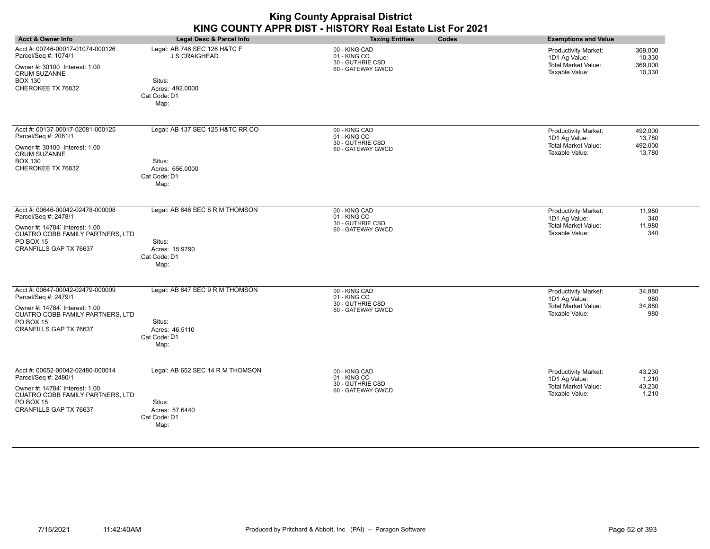|                                                                                                                                                                                           |                                                                                                           | <b>King County Appraisal District</b><br>KING COUNTY APPR DIST - HISTORY Real Estate List For 2021 |                                                                                                                                        |
|-------------------------------------------------------------------------------------------------------------------------------------------------------------------------------------------|-----------------------------------------------------------------------------------------------------------|----------------------------------------------------------------------------------------------------|----------------------------------------------------------------------------------------------------------------------------------------|
| <b>Acct &amp; Owner Info</b>                                                                                                                                                              | Legal Desc & Parcel Info                                                                                  | <b>Taxing Entities</b><br>Codes                                                                    | <b>Exemptions and Value</b>                                                                                                            |
| Acct #: 00746-00017-01074-000126<br>Parcel/Seq #: 1074/1<br>Owner #: 30100 Interest: 1.00<br><b>CRUM SUZANNE</b><br><b>BOX 130</b><br>CHEROKEE TX 76832                                   | Legal: AB 746 SEC 126 H&TC F<br><b>J S CRAIGHEAD</b><br>Situs:<br>Acres: 492.0000<br>Cat Code: D1<br>Map: | 00 - KING CAD<br>01 - KING CO<br>30 - GUTHRIE CSD<br>60 - GATEWAY GWCD                             | <b>Productivity Market:</b><br>369,000<br>1D1 Ag Value:<br>10.330<br><b>Total Market Value:</b><br>369.000<br>Taxable Value:<br>10,330 |
| Acct #: 00137-00017-02081-000125<br>Parcel/Seq #: 2081/1<br>Owner #: 30100 Interest: 1.00<br><b>CRUM SUZANNE</b><br><b>BOX 130</b><br>CHEROKEE TX 76832                                   | Legal: AB 137 SEC 125 H&TC RR CO<br>Situs:<br>Acres: 656,0000<br>Cat Code: D1<br>Map:                     | 00 - KING CAD<br>01 - KING CO<br>30 - GUTHRIE CSD<br>60 - GATEWAY GWCD                             | 492,000<br>Productivity Market:<br>1D1 Ag Value:<br>13,780<br><b>Total Market Value:</b><br>492,000<br>Taxable Value:<br>13,780        |
| Acct #: 00646-00042-02478-000008<br>Parcel/Seq #: 2478/1<br>Owner #: 14784 Interest: 1.00<br><b>CUATRO COBB FAMILY PARTNERS. LTD</b><br><b>PO BOX 15</b><br>CRANFILLS GAP TX 76637        | Legal: AB 646 SEC 8 R M THOMSON<br>Situs:<br>Acres: 15.9790<br>Cat Code: D1<br>Map:                       | 00 - KING CAD<br>01 - KING CO<br>30 - GUTHRIE CSD<br>60 - GATEWAY GWCD                             | 11,980<br><b>Productivity Market:</b><br>1D1 Ag Value:<br>340<br><b>Total Market Value:</b><br>11.980<br>Taxable Value:<br>340         |
| Acct #: 00647-00042-02479-000009<br>Parcel/Seq #: 2479/1<br>Owner #: 14784 Interest: 1.00<br><b>CUATRO COBB FAMILY PARTNERS, LTD</b><br><b>PO BOX 15</b><br><b>CRANFILLS GAP TX 76637</b> | Legal: AB 647 SEC 9 R M THOMSON<br>Situs:<br>Acres: 46.5110<br>Cat Code: D1<br>Map:                       | 00 - KING CAD<br>01 - KING CO<br>30 - GUTHRIE CSD<br>60 - GATEWAY GWCD                             | Productivity Market:<br>34,880<br>1D1 Ag Value:<br>980<br><b>Total Market Value:</b><br>34,880<br>Taxable Value:<br>980                |
| Acct #: 00652-00042-02480-000014<br>Parcel/Seq #: 2480/1<br>Owner #: 14784, Interest: 1.00<br>CUATRO COBB FAMILY PARTNERS, LTD<br><b>PO BOX 15</b><br>CRANFILLS GAP TX 76637              | Legal: AB 652 SEC 14 R M THOMSON<br>Situs:<br>Acres: 57.6440<br>Cat Code: D1<br>Map:                      | 00 - KING CAD<br>01 - KING CO<br>30 - GUTHRIE CSD<br>60 - GATEWAY GWCD                             | <b>Productivity Market:</b><br>43,230<br>1D1 Ag Value:<br>1,210<br><b>Total Market Value:</b><br>43,230<br>Taxable Value:<br>1,210     |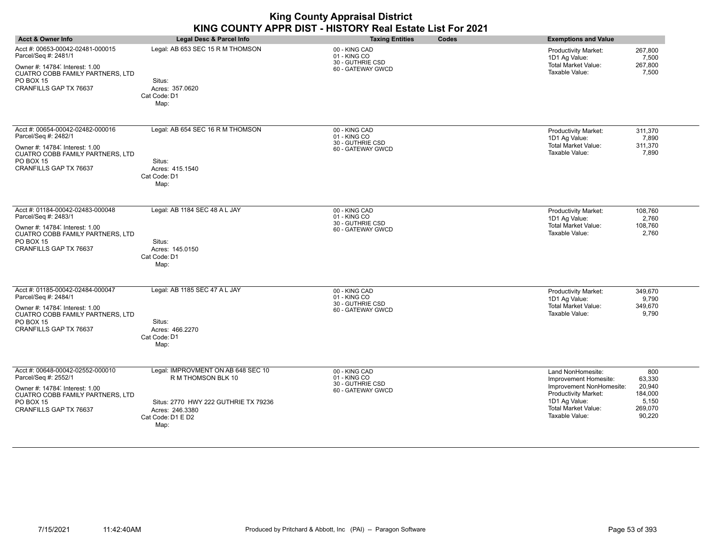| <b>Acct &amp; Owner Info</b>                                                                                                                                                        | <b>Legal Desc &amp; Parcel Info</b>                                                                                                              | Codes<br><b>Taxing Entities</b>                                        | <b>Exemptions and Value</b>                                                                                                                                                                                                  |
|-------------------------------------------------------------------------------------------------------------------------------------------------------------------------------------|--------------------------------------------------------------------------------------------------------------------------------------------------|------------------------------------------------------------------------|------------------------------------------------------------------------------------------------------------------------------------------------------------------------------------------------------------------------------|
| Acct #: 00653-00042-02481-000015<br>Parcel/Seq #: 2481/1<br>Owner #: 14784, Interest: 1.00<br>CUATRO COBB FAMILY PARTNERS, LTD<br><b>PO BOX 15</b><br><b>CRANFILLS GAP TX 76637</b> | Legal: AB 653 SEC 15 R M THOMSON<br>Situs:<br>Acres: 357.0620<br>Cat Code: D1<br>Map:                                                            | 00 - KING CAD<br>01 - KING CO<br>30 - GUTHRIE CSD<br>60 - GATEWAY GWCD | 267,800<br><b>Productivity Market:</b><br>1D1 Ag Value:<br>7,500<br><b>Total Market Value:</b><br>267,800<br>Taxable Value:<br>7,500                                                                                         |
| Acct #: 00654-00042-02482-000016<br>Parcel/Seq #: 2482/1<br>Owner #: 14784 Interest: 1.00<br><b>CUATRO COBB FAMILY PARTNERS. LTD</b><br><b>PO BOX 15</b><br>CRANFILLS GAP TX 76637  | Legal: AB 654 SEC 16 R M THOMSON<br>Situs:<br>Acres: 415.1540<br>Cat Code: D1<br>Map:                                                            | 00 - KING CAD<br>01 - KING CO<br>30 - GUTHRIE CSD<br>60 - GATEWAY GWCD | Productivity Market:<br>311,370<br>1D1 Ag Value:<br>7,890<br><b>Total Market Value:</b><br>311,370<br>Taxable Value:<br>7,890                                                                                                |
| Acct #: 01184-00042-02483-000048<br>Parcel/Seq #: 2483/1<br>Owner #: 14784 Interest: 1.00<br>CUATRO COBB FAMILY PARTNERS, LTD<br><b>PO BOX 15</b><br>CRANFILLS GAP TX 76637         | Legal: AB 1184 SEC 48 A L JAY<br>Situs:<br>Acres: 145.0150<br>Cat Code: D1<br>Map:                                                               | 00 - KING CAD<br>01 - KING CO<br>30 - GUTHRIE CSD<br>60 - GATEWAY GWCD | 108,760<br><b>Productivity Market:</b><br>1D1 Ag Value:<br>2,760<br><b>Total Market Value:</b><br>108,760<br>Taxable Value:<br>2,760                                                                                         |
| Acct #: 01185-00042-02484-000047<br>Parcel/Seq #: 2484/1<br>Owner #: 14784, Interest: 1.00<br>CUATRO COBB FAMILY PARTNERS, LTD<br><b>PO BOX 15</b><br>CRANFILLS GAP TX 76637        | Legal: AB 1185 SEC 47 A L JAY<br>Situs:<br>Acres: 466.2270<br>Cat Code: D1<br>Map:                                                               | 00 - KING CAD<br>01 - KING CO<br>30 - GUTHRIE CSD<br>60 - GATEWAY GWCD | Productivity Market:<br>349,670<br>1D1 Ag Value:<br>9,790<br><b>Total Market Value:</b><br>349,670<br>Taxable Value:<br>9,790                                                                                                |
| Acct #: 00648-00042-02552-000010<br>Parcel/Seq #: 2552/1<br>Owner #: 14784 Interest: 1.00<br>CUATRO COBB FAMILY PARTNERS, LTD<br><b>PO BOX 15</b><br>CRANFILLS GAP TX 76637         | Legal: IMPROVMENT ON AB 648 SEC 10<br>R M THOMSON BLK 10<br>Situs: 2770 HWY 222 GUTHRIE TX 79236<br>Acres: 246.3380<br>Cat Code: D1 E D2<br>Map: | 00 - KING CAD<br>01 - KING CO<br>30 - GUTHRIE CSD<br>60 - GATEWAY GWCD | Land NonHomesite:<br>800<br>Improvement Homesite:<br>63,330<br>20.940<br>Improvement NonHomesite:<br>Productivity Market:<br>184,000<br>1D1 Ag Value:<br>5,150<br>Total Market Value:<br>269,070<br>Taxable Value:<br>90,220 |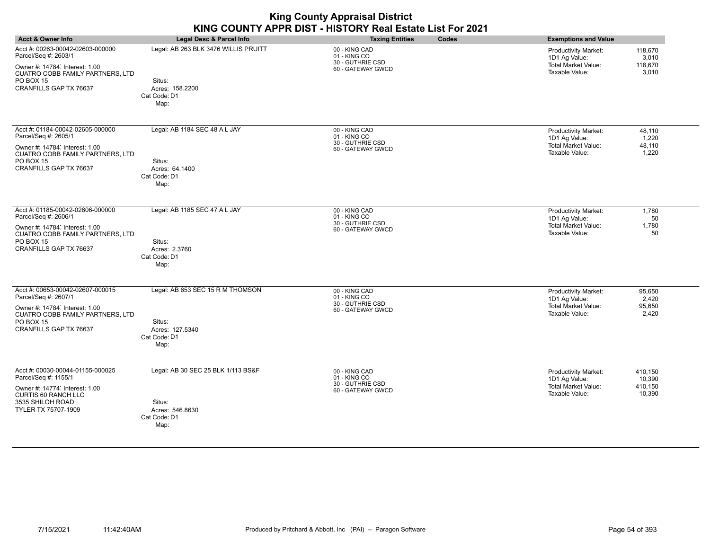| <b>Acct &amp; Owner Info</b>                                                                                                                                                       | <b>Legal Desc &amp; Parcel Info</b>                                                       | <b>Taxing Entities</b>                                                 | Codes | <b>Exemptions and Value</b>                                                                  |                                        |
|------------------------------------------------------------------------------------------------------------------------------------------------------------------------------------|-------------------------------------------------------------------------------------------|------------------------------------------------------------------------|-------|----------------------------------------------------------------------------------------------|----------------------------------------|
| Acct #: 00263-00042-02603-000000<br>Parcel/Seq #: 2603/1<br>Owner #: 14784 Interest: 1.00<br><b>CUATRO COBB FAMILY PARTNERS, LTD</b><br><b>PO BOX 15</b><br>CRANFILLS GAP TX 76637 | Legal: AB 263 BLK 3476 WILLIS PRUITT<br>Situs:<br>Acres: 158.2200<br>Cat Code: D1<br>Map: | 00 - KING CAD<br>01 - KING CO<br>30 - GUTHRIE CSD<br>60 - GATEWAY GWCD |       | <b>Productivity Market:</b><br>1D1 Ag Value:<br><b>Total Market Value:</b><br>Taxable Value: | 118,670<br>3,010<br>118,670<br>3,010   |
| Acct #: 01184-00042-02605-000000<br>Parcel/Seq #: 2605/1<br>Owner #: 14784 Interest: 1.00<br>CUATRO COBB FAMILY PARTNERS, LTD<br><b>PO BOX 15</b><br>CRANFILLS GAP TX 76637        | Legal: AB 1184 SEC 48 A L JAY<br>Situs:<br>Acres: 64.1400<br>Cat Code: D1<br>Map:         | 00 - KING CAD<br>01 - KING CO<br>30 - GUTHRIE CSD<br>60 - GATEWAY GWCD |       | Productivity Market:<br>1D1 Ag Value:<br><b>Total Market Value:</b><br>Taxable Value:        | 48,110<br>1,220<br>48,110<br>1,220     |
| Acct #: 01185-00042-02606-000000<br>Parcel/Seq #: 2606/1<br>Owner #: 14784 Interest: 1.00<br>CUATRO COBB FAMILY PARTNERS, LTD<br><b>PO BOX 15</b><br>CRANFILLS GAP TX 76637        | Legal: AB 1185 SEC 47 A L JAY<br>Situs:<br>Acres: 2.3760<br>Cat Code: D1<br>Map:          | 00 - KING CAD<br>01 - KING CO<br>30 - GUTHRIE CSD<br>60 - GATEWAY GWCD |       | Productivity Market:<br>1D1 Ag Value:<br><b>Total Market Value:</b><br>Taxable Value:        | 1,780<br>50<br>1,780<br>50             |
| Acct #: 00653-00042-02607-000015<br>Parcel/Seq #: 2607/1<br>Owner #: 14784 Interest: 1.00<br><b>CUATRO COBB FAMILY PARTNERS. LTD</b><br><b>PO BOX 15</b><br>CRANFILLS GAP TX 76637 | Legal: AB 653 SEC 15 R M THOMSON<br>Situs:<br>Acres: 127,5340<br>Cat Code: D1<br>Map:     | 00 - KING CAD<br>01 - KING CO<br>30 - GUTHRIE CSD<br>60 - GATEWAY GWCD |       | Productivity Market:<br>1D1 Ag Value:<br><b>Total Market Value:</b><br>Taxable Value:        | 95.650<br>2,420<br>95,650<br>2,420     |
| Acct #: 00030-00044-01155-000025<br>Parcel/Seq #: 1155/1<br>Owner #: 14774, Interest: 1.00<br>CURTIS 60 RANCH LLC<br>3535 SHILOH ROAD<br>TYLER TX 75707-1909                       | Legal: AB 30 SEC 25 BLK 1/113 BS&F<br>Situs:<br>Acres: 546.8630<br>Cat Code: D1<br>Map:   | 00 - KING CAD<br>01 - KING CO<br>30 - GUTHRIE CSD<br>60 - GATEWAY GWCD |       | Productivity Market:<br>1D1 Ag Value:<br><b>Total Market Value:</b><br>Taxable Value:        | 410,150<br>10,390<br>410,150<br>10,390 |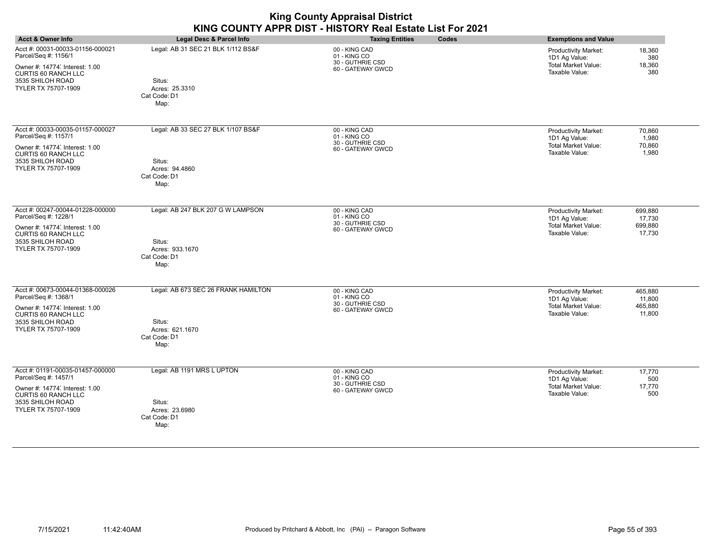|                                                                                                                                                                     |                                                                                          | <b>King County Appraisal District</b><br>KING COUNTY APPR DIST - HISTORY Real Estate List For 2021 |       |                                                                                       |                                        |
|---------------------------------------------------------------------------------------------------------------------------------------------------------------------|------------------------------------------------------------------------------------------|----------------------------------------------------------------------------------------------------|-------|---------------------------------------------------------------------------------------|----------------------------------------|
| <b>Acct &amp; Owner Info</b>                                                                                                                                        | <b>Legal Desc &amp; Parcel Info</b>                                                      | <b>Taxing Entities</b>                                                                             | Codes | <b>Exemptions and Value</b>                                                           |                                        |
| Acct #: 00031-00033-01156-000021<br>Parcel/Seq #: 1156/1<br>Owner #: 14774, Interest: 1.00<br><b>CURTIS 60 RANCH LLC</b><br>3535 SHILOH ROAD<br>TYLER TX 75707-1909 | Legal: AB 31 SEC 21 BLK 1/112 BS&F<br>Situs:<br>Acres: 25.3310<br>Cat Code: D1<br>Map:   | 00 - KING CAD<br>01 - KING CO<br>30 - GUTHRIE CSD<br>60 - GATEWAY GWCD                             |       | Productivity Market:<br>1D1 Ag Value:<br><b>Total Market Value:</b><br>Taxable Value: | 18,360<br>380<br>18,360<br>380         |
| Acct #: 00033-00035-01157-000027<br>Parcel/Seq #: 1157/1<br>Owner #: 14774, Interest: 1.00<br>CURTIS 60 RANCH LLC<br>3535 SHILOH ROAD                               | Legal: AB 33 SEC 27 BLK 1/107 BS&F<br>Situs:                                             | 00 - KING CAD<br>01 - KING CO<br>30 - GUTHRIE CSD<br>60 - GATEWAY GWCD                             |       | Productivity Market:<br>1D1 Ag Value:<br><b>Total Market Value:</b><br>Taxable Value: | 70,860<br>1,980<br>70,860<br>1.980     |
| TYLER TX 75707-1909                                                                                                                                                 | Acres: 94.4860<br>Cat Code: D1<br>Map:                                                   |                                                                                                    |       |                                                                                       |                                        |
| Acct #: 00247-00044-01228-000000<br>Parcel/Seq #: 1228/1<br>Owner #: 14774, Interest: 1.00<br><b>CURTIS 60 RANCH LLC</b><br>3535 SHILOH ROAD<br>TYLER TX 75707-1909 | Legal: AB 247 BLK 207 G W LAMPSON<br>Situs:<br>Acres: 933.1670<br>Cat Code: D1<br>Map:   | 00 - KING CAD<br>01 - KING CO<br>30 - GUTHRIE CSD<br>60 - GATEWAY GWCD                             |       | Productivity Market:<br>1D1 Ag Value:<br><b>Total Market Value:</b><br>Taxable Value: | 699.880<br>17.730<br>699.880<br>17,730 |
| Acct #: 00673-00044-01368-000026<br>Parcel/Seq #: 1368/1<br>Owner #: 14774, Interest: 1.00<br><b>CURTIS 60 RANCH LLC</b><br>3535 SHILOH ROAD<br>TYLER TX 75707-1909 | Legal: AB 673 SEC 26 FRANK HAMILTON<br>Situs:<br>Acres: 621.1670<br>Cat Code: D1<br>Map: | 00 - KING CAD<br>01 - KING CO<br>30 - GUTHRIE CSD<br>60 - GATEWAY GWCD                             |       | Productivity Market:<br>1D1 Ag Value:<br><b>Total Market Value:</b><br>Taxable Value: | 465.880<br>11,800<br>465,880<br>11,800 |
| Acct #: 01191-00035-01457-000000<br>Parcel/Seq #: 1457/1<br>Owner #: 14774, Interest: 1.00<br><b>CURTIS 60 RANCH LLC</b><br>3535 SHILOH ROAD<br>TYLER TX 75707-1909 | Legal: AB 1191 MRS L UPTON<br>Situs:<br>Acres: 23.6980                                   | 00 - KING CAD<br>01 - KING CO<br>30 - GUTHRIE CSD<br>60 - GATEWAY GWCD                             |       | Productivity Market:<br>1D1 Ag Value:<br><b>Total Market Value:</b><br>Taxable Value: | 17,770<br>500<br>17,770<br>500         |

Acres: 23.6980 Cat Code: D1 Map: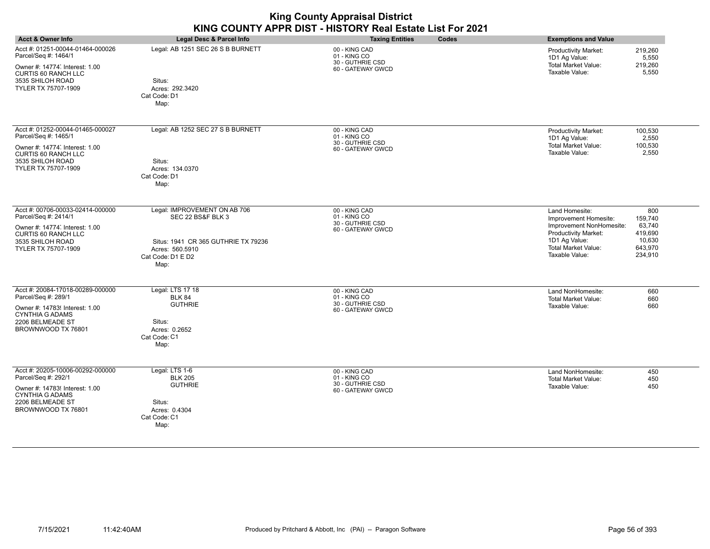|                                                                                                  |                                                   | <b>King County Appraisal District</b><br>KING COUNTY APPR DIST - HISTORY Real Estate List For 2021 |                                              |
|--------------------------------------------------------------------------------------------------|---------------------------------------------------|----------------------------------------------------------------------------------------------------|----------------------------------------------|
| <b>Acct &amp; Owner Info</b>                                                                     | Legal Desc & Parcel Info                          | <b>Taxing Entities</b><br><b>Codes</b>                                                             | <b>Exemptions and Value</b>                  |
| Acct #: 01251-00044-01464-000026<br>Parcel/Seq #: 1464/1                                         | Legal: AB 1251 SEC 26 S B BURNETT                 | 00 - KING CAD<br>01 - KING CO                                                                      | <b>Productivity Market:</b><br>1D1 Ag Value: |
| Owner #: 14774, Interest: 1.00<br>CURTIS 60 RANCH LLC<br>3535 SHILOH ROAD<br>TYLER TX 75707-1909 | Situs:<br>Acres: 292.3420<br>Cat Code: D1<br>Map: | 30 - GUTHRIE CSD<br>60 - GATEWAY GWCD                                                              | Total Market Value:<br>Taxable Value:        |

00 - KING CAD

| Acct #: 01252-00044-01465-000027<br>Parcel/Seq #: 1465/1                                         | Legal: AB 1252 SEC 27 S B BURNETT                                                   | 00 - KING CAD<br>01 - KING CO         | 100,530<br><b>Productivity Market:</b><br>2,550<br>1D1 Ag Value:                       |  |
|--------------------------------------------------------------------------------------------------|-------------------------------------------------------------------------------------|---------------------------------------|----------------------------------------------------------------------------------------|--|
| Owner #: 14774, Interest: 1.00<br>CURTIS 60 RANCH LLC<br>3535 SHILOH ROAD<br>TYLER TX 75707-1909 | Situs:<br>Acres: 134.0370<br>Cat Code: D1<br>Map:                                   | 30 - GUTHRIE CSD<br>60 - GATEWAY GWCD | 100,530<br>Total Market Value:<br>2,550<br>Taxable Value:                              |  |
| Acct #: 00706-00033-02414-000000<br>Parcel/Seq #: 2414/1                                         | Legal: IMPROVEMENT ON AB 706<br>SEC 22 BS&F BLK 3                                   | 00 - KING CAD<br>01 - KING CO         | Land Homesite:<br>800<br>159,740<br>Improvement Homesite:                              |  |
| Owner #: 14774, Interest: 1.00<br>CURTIS 60 RANCH LLC                                            |                                                                                     | 30 - GUTHRIE CSD<br>60 - GATEWAY GWCD | 63,740<br>Improvement NonHomesite:<br><b>Productivity Market:</b><br>419,690           |  |
| 3535 SHILOH ROAD<br>TYLER TX 75707-1909                                                          | Situs: 1941 CR 365 GUTHRIE TX 79236<br>Acres: 560.5910<br>Cat Code: D1 E D2<br>Map: |                                       | 10,630<br>1D1 Ag Value:<br>Total Market Value:<br>643,970<br>Taxable Value:<br>234,910 |  |
|                                                                                                  |                                                                                     |                                       |                                                                                        |  |

| Acct #: 20084-17018-00289-000000<br>Parcel/Seq #: 289/1<br>Owner #: 14783 Interest: 1.00<br>CYNTHIA G ADAMS<br>2206 BELMEADE ST<br>BROWNWOOD TX 76801  | Legal: LTS 17 18<br><b>BLK 84</b><br><b>GUTHRIE</b><br>Situs:<br>Acres: 0.2652<br>Cat Code: C1<br>Map: | 00 - KING CAD<br>01 - KING CO<br>30 - GUTHRIE CSD<br>60 - GATEWAY GWCD | 660<br>Land NonHomesite:<br>660<br>Total Market Value:<br>660<br>Taxable Value: |
|--------------------------------------------------------------------------------------------------------------------------------------------------------|--------------------------------------------------------------------------------------------------------|------------------------------------------------------------------------|---------------------------------------------------------------------------------|
| Acct #: 20205-10006-00292-000000<br>Parcel/Seq #: 292/1<br>Owner #: 14783! Interest: 1.00<br>CYNTHIA G ADAMS<br>2206 BELMEADE ST<br>BROWNWOOD TX 76801 | Legal: LTS 1-6<br><b>BLK 205</b><br><b>GUTHRIE</b><br>Situs:<br>Acres: 0.4304<br>Cat Code: C1<br>Map:  | 00 - KING CAD<br>01 - KING CO<br>30 - GUTHRIE CSD<br>60 - GATEWAY GWCD | 450<br>Land NonHomesite:<br>450<br>Total Market Value:<br>450<br>Taxable Value: |

219,260 5,550 219,260 5,550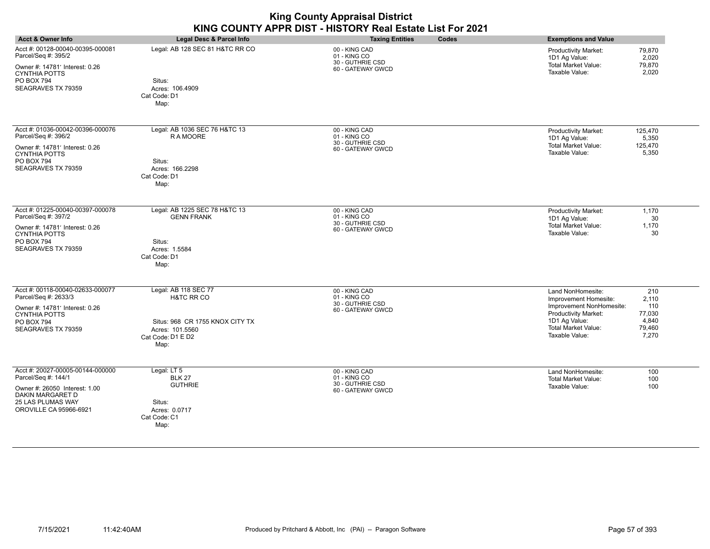| <b>Acct &amp; Owner Info</b>                                                                                                                                | Legal Desc & Parcel Info                                                                                              | Codes<br><b>Taxing Entities</b>                                        | <b>Exemptions and Value</b>                                                                                                                                                                                                  |
|-------------------------------------------------------------------------------------------------------------------------------------------------------------|-----------------------------------------------------------------------------------------------------------------------|------------------------------------------------------------------------|------------------------------------------------------------------------------------------------------------------------------------------------------------------------------------------------------------------------------|
| Acct #: 00128-00040-00395-000081<br>Parcel/Seq #: 395/2<br>Owner #: 147811 Interest: 0.26<br><b>CYNTHIA POTTS</b><br>PO BOX 794<br>SEAGRAVES TX 79359       | Legal: AB 128 SEC 81 H&TC RR CO<br>Situs:<br>Acres: 106.4909<br>Cat Code: D1<br>Map:                                  | 00 - KING CAD<br>01 - KING CO<br>30 - GUTHRIE CSD<br>60 - GATEWAY GWCD | 79,870<br>Productivity Market:<br>1D1 Ag Value:<br>2,020<br><b>Total Market Value:</b><br>79,870<br>Taxable Value:<br>2,020                                                                                                  |
| Acct #: 01036-00042-00396-000076<br>Parcel/Seq #: 396/2<br>Owner #: 147811 Interest: 0.26<br><b>CYNTHIA POTTS</b><br>PO BOX 794<br>SEAGRAVES TX 79359       | Legal: AB 1036 SEC 76 H&TC 13<br>R A MOORE<br>Situs:<br>Acres: 166.2298<br>Cat Code: D1<br>Map:                       | 00 - KING CAD<br>01 - KING CO<br>30 - GUTHRIE CSD<br>60 - GATEWAY GWCD | 125,470<br><b>Productivity Market:</b><br>1D1 Ag Value:<br>5,350<br>Total Market Value:<br>125,470<br>Taxable Value:<br>5,350                                                                                                |
| Acct #: 01225-00040-00397-000078<br>Parcel/Seq #: 397/2<br>Owner #: 147811 Interest: 0.26<br><b>CYNTHIA POTTS</b><br>PO BOX 794<br>SEAGRAVES TX 79359       | Legal: AB 1225 SEC 78 H&TC 13<br><b>GENN FRANK</b><br>Situs:<br>Acres: 1.5584<br>Cat Code: D1<br>Map:                 | 00 - KING CAD<br>01 - KING CO<br>30 - GUTHRIE CSD<br>60 - GATEWAY GWCD | <b>Productivity Market:</b><br>1,170<br>1D1 Ag Value:<br>30<br><b>Total Market Value:</b><br>1,170<br>30<br>Taxable Value:                                                                                                   |
| Acct #: 00118-00040-02633-000077<br>Parcel/Seq #: 2633/3<br>Owner #: 147811 Interest: 0.26<br><b>CYNTHIA POTTS</b><br>PO BOX 794<br>SEAGRAVES TX 79359      | Legal: AB 118 SEC 77<br>H&TC RR CO<br>Situs: 968 CR 1755 KNOX CITY TX<br>Acres: 101.5560<br>Cat Code: D1 E D2<br>Map: | 00 - KING CAD<br>01 - KING CO<br>30 - GUTHRIE CSD<br>60 - GATEWAY GWCD | Land NonHomesite:<br>210<br>Improvement Homesite:<br>2,110<br>Improvement NonHomesite:<br>110<br>Productivity Market:<br>77,030<br>1D1 Ag Value:<br>4,840<br><b>Total Market Value:</b><br>79,460<br>Taxable Value:<br>7,270 |
| Acct #: 20027-00005-00144-000000<br>Parcel/Seq #: 144/1<br>Owner #: 26050 Interest: 1.00<br>DAKIN MARGARET D<br>25 LAS PLUMAS WAY<br>OROVILLE CA 95966-6921 | Legal: LT 5<br><b>BLK 27</b><br><b>GUTHRIE</b><br>Situs:<br>Acres: 0.0717<br>Cat Code: C1<br>Map:                     | 00 - KING CAD<br>01 - KING CO<br>30 - GUTHRIE CSD<br>60 - GATEWAY GWCD | 100<br>Land NonHomesite:<br><b>Total Market Value:</b><br>100<br>Taxable Value:<br>100                                                                                                                                       |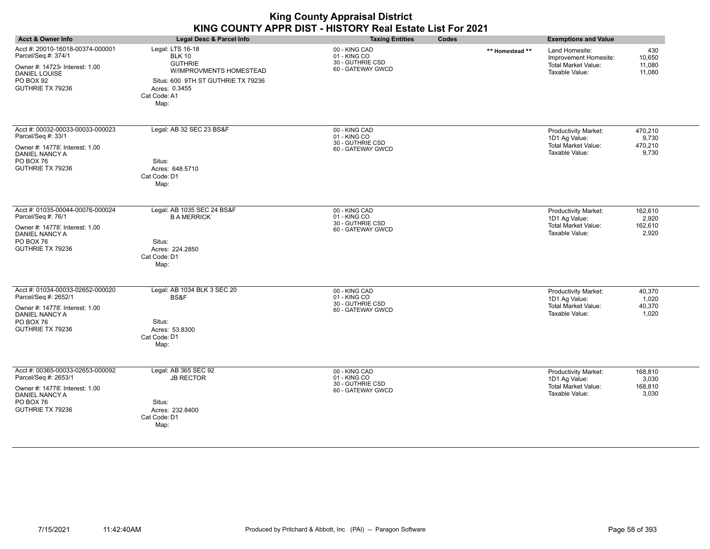| <b>Acct &amp; Owner Info</b>                                                                                                                       | <b>Legal Desc &amp; Parcel Info</b>                                                                                                                           | <b>Taxing Entities</b><br>Codes                                        |                 | <b>Exemptions and Value</b>                                                                  |                                      |
|----------------------------------------------------------------------------------------------------------------------------------------------------|---------------------------------------------------------------------------------------------------------------------------------------------------------------|------------------------------------------------------------------------|-----------------|----------------------------------------------------------------------------------------------|--------------------------------------|
| Acct #: 20010-16018-00374-000001<br>Parcel/Seq #: 374/1<br>Owner #: 147234 Interest: 1.00<br><b>DANIEL LOUISE</b><br>PO BOX 92<br>GUTHRIE TX 79236 | Legal: LTS 16-18<br><b>BLK 10</b><br><b>GUTHRIE</b><br>W/IMPROVMENTS HOMESTEAD<br>Situs: 600 9TH ST GUTHRIE TX 79236<br>Acres: 0.3455<br>Cat Code: A1<br>Map: | 00 - KING CAD<br>01 - KING CO<br>30 - GUTHRIE CSD<br>60 - GATEWAY GWCD | ** Homestead ** | Land Homesite:<br>Improvement Homesite:<br><b>Total Market Value:</b><br>Taxable Value:      | 430<br>10,650<br>11,080<br>11,080    |
| Acct #: 00032-00033-00033-000023<br>Parcel/Seq #: 33/1<br>Owner #: 14778. Interest: 1.00<br>DANIEL NANCY A<br>PO BOX 76<br>GUTHRIE TX 79236        | Legal: AB 32 SEC 23 BS&F<br>Situs:<br>Acres: 648.5710<br>Cat Code: D1<br>Map:                                                                                 | 00 - KING CAD<br>01 - KING CO<br>30 - GUTHRIE CSD<br>60 - GATEWAY GWCD |                 | Productivity Market:<br>1D1 Ag Value:<br><b>Total Market Value:</b><br>Taxable Value:        | 470,210<br>9,730<br>470,210<br>9,730 |
| Acct #: 01035-00044-00076-000024<br>Parcel/Seq #: 76/1<br>Owner #: 14778. Interest: 1.00<br>DANIEL NANCY A<br>PO BOX 76<br>GUTHRIE TX 79236        | Legal: AB 1035 SEC 24 BS&F<br><b>B A MERRICK</b><br>Situs:<br>Acres: 224.2850<br>Cat Code: D1<br>Map:                                                         | 00 - KING CAD<br>01 - KING CO<br>30 - GUTHRIE CSD<br>60 - GATEWAY GWCD |                 | Productivity Market:<br>1D1 Ag Value:<br><b>Total Market Value:</b><br>Taxable Value:        | 162,610<br>2,920<br>162,610<br>2,920 |
| Acct #: 01034-00033-02652-000020<br>Parcel/Seq #: 2652/1<br>Owner #: 14778. Interest: 1.00<br>DANIEL NANCY A<br>PO BOX 76<br>GUTHRIE TX 79236      | Legal: AB 1034 BLK 3 SEC 20<br>BS&F<br>Situs:<br>Acres: 53.8300<br>Cat Code: D1<br>Map:                                                                       | 00 - KING CAD<br>01 - KING CO<br>30 - GUTHRIE CSD<br>60 - GATEWAY GWCD |                 | Productivity Market:<br>1D1 Ag Value:<br><b>Total Market Value:</b><br>Taxable Value:        | 40,370<br>1,020<br>40,370<br>1,020   |
| Acct #: 00365-00033-02653-000092<br>Parcel/Seq #: 2653/1<br>Owner #: 14778. Interest: 1.00<br>DANIEL NANCY A<br>PO BOX 76<br>GUTHRIE TX 79236      | Legal: AB 365 SEC 92<br><b>JB RECTOR</b><br>Situs:<br>Acres: 232.8400<br>Cat Code: D1<br>Map:                                                                 | 00 - KING CAD<br>01 - KING CO<br>30 - GUTHRIE CSD<br>60 - GATEWAY GWCD |                 | <b>Productivity Market:</b><br>1D1 Ag Value:<br><b>Total Market Value:</b><br>Taxable Value: | 168,810<br>3,030<br>168,810<br>3,030 |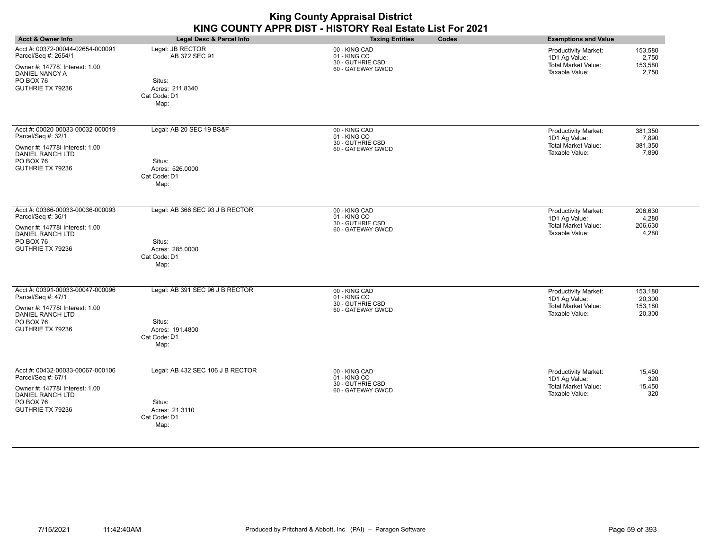|                                                                                                                                                      |                                                                                        | <b>King County Appraisal District</b><br>KING COUNTY APPR DIST - HISTORY Real Estate List For 2021 |                                                                                                                                      |
|------------------------------------------------------------------------------------------------------------------------------------------------------|----------------------------------------------------------------------------------------|----------------------------------------------------------------------------------------------------|--------------------------------------------------------------------------------------------------------------------------------------|
| <b>Acct &amp; Owner Info</b>                                                                                                                         | <b>Legal Desc &amp; Parcel Info</b>                                                    | Codes<br><b>Taxing Entities</b>                                                                    | <b>Exemptions and Value</b>                                                                                                          |
| Acct #: 00372-00044-02654-000091<br>Parcel/Seq #: 2654/1<br>Owner #: 14778, Interest: 1.00<br><b>DANIEL NANCY A</b><br>PO BOX 76<br>GUTHRIE TX 79236 | Legal: JB RECTOR<br>AB 372 SEC 91<br>Situs:<br>Acres: 211.8340<br>Cat Code: D1<br>Map: | 00 - KING CAD<br>01 - KING CO<br>30 - GUTHRIE CSD<br>60 - GATEWAY GWCD                             | <b>Productivity Market:</b><br>153,580<br>1D1 Ag Value:<br>2,750<br><b>Total Market Value:</b><br>153,580<br>Taxable Value:<br>2,750 |
| Acct #: 00020-00033-00032-000019<br>Parcel/Seq #: 32/1<br>Owner #: 14778 Interest: 1.00<br><b>DANIEL RANCH LTD</b><br>PO BOX 76<br>GUTHRIE TX 79236  | Legal: AB 20 SEC 19 BS&F<br>Situs:<br>Acres: 526.0000<br>Cat Code: D1<br>Map:          | 00 - KING CAD<br>01 - KING CO<br>30 - GUTHRIE CSD<br>60 - GATEWAY GWCD                             | Productivity Market:<br>381,350<br>1D1 Ag Value:<br>7,890<br>Total Market Value:<br>381,350<br>Taxable Value:<br>7,890               |
| Acct #: 00366-00033-00036-000093<br>Parcel/Seq #: 36/1<br>Owner #: 14778 Interest: 1.00<br><b>DANIEL RANCH LTD</b><br>PO BOX 76<br>GUTHRIE TX 79236  | Legal: AB 366 SEC 93 J B RECTOR<br>Situs:<br>Acres: 285.0000<br>Cat Code: D1<br>Map:   | 00 - KING CAD<br>01 - KING CO<br>30 - GUTHRIE CSD<br>60 - GATEWAY GWCD                             | <b>Productivity Market:</b><br>206.630<br>4,280<br>1D1 Ag Value:<br>Total Market Value:<br>206,630<br>Taxable Value:<br>4,280        |
| Acct #: 00391-00033-00047-000096<br>Parcel/Seq #: 47/1<br>Owner #: 14778 Interest: 1.00<br><b>DANIEL RANCH LTD</b><br>PO BOX 76<br>GUTHRIE TX 79236  | Legal: AB 391 SEC 96 J B RECTOR<br>Situs:<br>Acres: 191.4800<br>Cat Code: D1<br>Map:   | 00 - KING CAD<br>01 - KING CO<br>30 - GUTHRIE CSD<br>60 - GATEWAY GWCD                             | Productivity Market:<br>153,180<br>1D1 Ag Value:<br>20,300<br>Total Market Value:<br>153,180<br>Taxable Value:<br>20,300             |
| Acct #: 00432-00033-00067-000106<br>Parcel/Seq #: 67/1<br>Owner #: 14778 Interest: 1.00<br><b>DANIEL RANCH LTD</b><br>PO BOX 76<br>GUTHRIE TX 79236  | Legal: AB 432 SEC 106 J B RECTOR<br>Situs:<br>Acres: 21.3110<br>Cat Code: D1<br>Map:   | 00 - KING CAD<br>01 - KING CO<br>30 - GUTHRIE CSD<br>60 - GATEWAY GWCD                             | <b>Productivity Market:</b><br>15,450<br>1D1 Ag Value:<br>320<br><b>Total Market Value:</b><br>15,450<br>Taxable Value:<br>320       |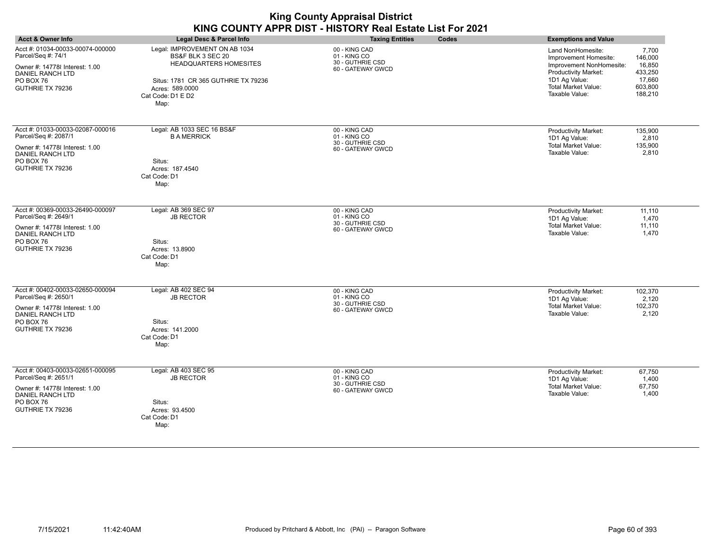| <b>Acct &amp; Owner Info</b>                                                                                                                                 | <b>Legal Desc &amp; Parcel Info</b>                                                                                                                                 | <b>Taxing Entities</b><br>Codes                                        | <b>Exemptions and Value</b>                                                                                                                                                                                                              |
|--------------------------------------------------------------------------------------------------------------------------------------------------------------|---------------------------------------------------------------------------------------------------------------------------------------------------------------------|------------------------------------------------------------------------|------------------------------------------------------------------------------------------------------------------------------------------------------------------------------------------------------------------------------------------|
| Acct #: 01034-00033-00074-000000<br>Parcel/Seq #: 74/1<br>Owner #: 14778 Interest: 1.00<br><b>DANIEL RANCH LTD</b><br>PO BOX 76<br>GUTHRIE TX 79236          | Legal: IMPROVEMENT ON AB 1034<br>BS&F BLK 3 SEC 20<br>HEADQUARTERS HOMESITES<br>Situs: 1781 CR 365 GUTHRIE TX 79236<br>Acres: 589.0000<br>Cat Code: D1 E D2<br>Map: | 00 - KING CAD<br>01 - KING CO<br>30 - GUTHRIE CSD<br>60 - GATEWAY GWCD | Land NonHomesite:<br>7,700<br>146,000<br>Improvement Homesite:<br>16,850<br>Improvement NonHomesite:<br>Productivity Market:<br>433,250<br>1D1 Ag Value:<br>17,660<br><b>Total Market Value:</b><br>603,800<br>Taxable Value:<br>188,210 |
| Acct #: 01033-00033-02087-000016<br>Parcel/Seq #: 2087/1<br>Owner #: 14778 Interest: 1.00<br><b>DANIEL RANCH LTD</b><br>PO BOX 76<br>GUTHRIE TX 79236        | Legal: AB 1033 SEC 16 BS&F<br><b>B A MERRICK</b><br>Situs:<br>Acres: 187.4540<br>Cat Code: D1<br>Map:                                                               | 00 - KING CAD<br>01 - KING CO<br>30 - GUTHRIE CSD<br>60 - GATEWAY GWCD | Productivity Market:<br>135,900<br>1D1 Ag Value:<br>2,810<br>Total Market Value:<br>135,900<br>Taxable Value:<br>2,810                                                                                                                   |
| Acct #: 00369-00033-26490-000097<br>Parcel/Seq #: 2649/1<br>Owner #: 14778 Interest: 1.00<br>DANIEL RANCH LTD<br>PO BOX 76<br>GUTHRIE TX 79236               | Legal: AB 369 SEC 97<br><b>JB RECTOR</b><br>Situs:<br>Acres: 13.8900<br>Cat Code: D1<br>Map:                                                                        | 00 - KING CAD<br>01 - KING CO<br>30 - GUTHRIE CSD<br>60 - GATEWAY GWCD | Productivity Market:<br>11,110<br>1D1 Ag Value:<br>1,470<br><b>Total Market Value:</b><br>11,110<br>Taxable Value:<br>1,470                                                                                                              |
| Acct #: 00402-00033-02650-000094<br>Parcel/Seq #: 2650/1<br>Owner #: 14778 Interest: 1.00<br><b>DANIEL RANCH LTD</b><br>PO BOX 76<br>GUTHRIE TX 79236        | Legal: AB 402 SEC 94<br><b>JB RECTOR</b><br>Situs:<br>Acres: 141.2000<br>Cat Code: D1<br>Map:                                                                       | 00 - KING CAD<br>01 - KING CO<br>30 - GUTHRIE CSD<br>60 - GATEWAY GWCD | 102,370<br>Productivity Market:<br>1D1 Ag Value:<br>2,120<br><b>Total Market Value:</b><br>102,370<br>Taxable Value:<br>2,120                                                                                                            |
| Acct #: 00403-00033-02651-000095<br>Parcel/Seq #: 2651/1<br>Owner #: 14778 Interest: 1.00<br><b>DANIEL RANCH LTD</b><br><b>PO BOX 76</b><br>GUTHRIE TX 79236 | Legal: AB 403 SEC 95<br><b>JB RECTOR</b><br>Situs:<br>Acres: 93.4500<br>Cat Code: D1<br>Map:                                                                        | 00 - KING CAD<br>01 - KING CO<br>30 - GUTHRIE CSD<br>60 - GATEWAY GWCD | Productivity Market:<br>67,750<br>1D1 Ag Value:<br>1,400<br><b>Total Market Value:</b><br>67,750<br>Taxable Value:<br>1,400                                                                                                              |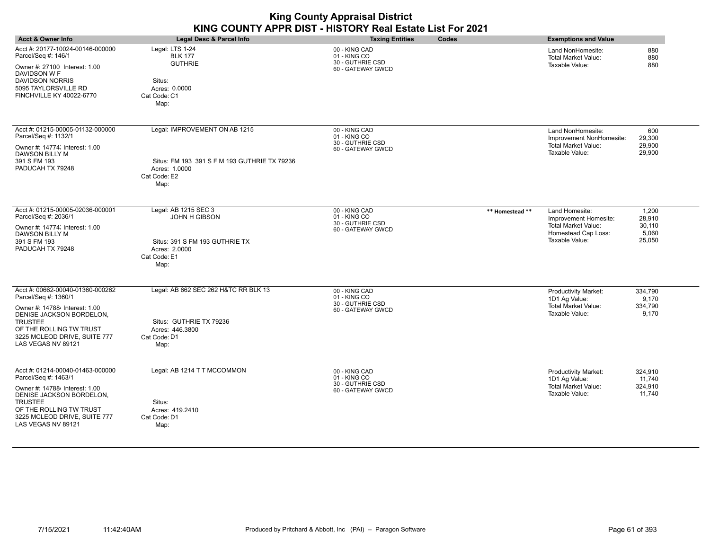| <b>King County Appraisal District</b><br>KING COUNTY APPR DIST - HISTORY Real Estate List For 2021                                                                                                                        |                                                                                                                         |                                                                        |                 |                                                                                                                |                                              |
|---------------------------------------------------------------------------------------------------------------------------------------------------------------------------------------------------------------------------|-------------------------------------------------------------------------------------------------------------------------|------------------------------------------------------------------------|-----------------|----------------------------------------------------------------------------------------------------------------|----------------------------------------------|
| <b>Acct &amp; Owner Info</b>                                                                                                                                                                                              | Legal Desc & Parcel Info                                                                                                | <b>Taxing Entities</b>                                                 | Codes           | <b>Exemptions and Value</b>                                                                                    |                                              |
| Acct #: 20177-10024-00146-000000<br>Parcel/Seq #: 146/1<br>Owner #: 27100 Interest: 1.00<br>DAVIDSON W F<br><b>DAVIDSON NORRIS</b><br>5095 TAYLORSVILLE RD<br>FINCHVILLE KY 40022-6770                                    | Legal: LTS 1-24<br><b>BLK 177</b><br><b>GUTHRIE</b><br>Situs:<br>Acres: 0.0000<br>Cat Code: C1<br>Map:                  | 00 - KING CAD<br>01 - KING CO<br>30 - GUTHRIE CSD<br>60 - GATEWAY GWCD |                 | Land NonHomesite:<br><b>Total Market Value:</b><br>Taxable Value:                                              | 880<br>880<br>880                            |
| Acct #: 01215-00005-01132-000000<br>Parcel/Seq #: 1132/1<br>Owner #: 14774; Interest: 1.00<br>DAWSON BILLY M<br>391 S FM 193<br>PADUCAH TX 79248                                                                          | Legal: IMPROVEMENT ON AB 1215<br>Situs: FM 193 391 S F M 193 GUTHRIE TX 79236<br>Acres: 1.0000<br>Cat Code: E2<br>Map:  | 00 - KING CAD<br>01 - KING CO<br>30 - GUTHRIE CSD<br>60 - GATEWAY GWCD |                 | Land NonHomesite:<br>Improvement NonHomesite:<br><b>Total Market Value:</b><br>Taxable Value:                  | 600<br>29,300<br>29,900<br>29,900            |
| Acct #: 01215-00005-02036-000001<br>Parcel/Seq #: 2036/1<br>Owner #: 14774; Interest: 1.00<br>DAWSON BILLY M<br>391 S FM 193<br>PADUCAH TX 79248                                                                          | Legal: AB 1215 SEC 3<br><b>JOHN H GIBSON</b><br>Situs: 391 S FM 193 GUTHRIE TX<br>Acres: 2.0000<br>Cat Code: E1<br>Map: | 00 - KING CAD<br>01 - KING CO<br>30 - GUTHRIE CSD<br>60 - GATEWAY GWCD | ** Homestead ** | Land Homesite:<br>Improvement Homesite:<br><b>Total Market Value:</b><br>Homestead Cap Loss:<br>Taxable Value: | 1,200<br>28,910<br>30,110<br>5,060<br>25,050 |
| Acct #: 00662-00040-01360-000262<br>Parcel/Seq #: 1360/1<br>Owner #: 147884 Interest: 1.00<br>DENISE JACKSON BORDELON,<br><b>TRUSTEE</b><br>OF THE ROLLING TW TRUST<br>3225 MCLEOD DRIVE, SUITE 777<br>LAS VEGAS NV 89121 | Legal: AB 662 SEC 262 H&TC RR BLK 13<br>Situs: GUTHRIE TX 79236<br>Acres: 446.3800<br>Cat Code: D1<br>Map:              | 00 - KING CAD<br>01 - KING CO<br>30 - GUTHRIE CSD<br>60 - GATEWAY GWCD |                 | <b>Productivity Market:</b><br>1D1 Ag Value:<br><b>Total Market Value:</b><br>Taxable Value:                   | 334.790<br>9,170<br>334.790<br>9.170         |
| Acct #: 01214-00040-01463-000000<br>Parcel/Seq #: 1463/1<br>Owner #: 147884 Interest: 1.00<br>DENISE JACKSON BORDELON,<br><b>TRUSTEE</b><br>OF THE ROLLING TW TRUST<br>3225 MCLEOD DRIVE, SUITE 777<br>LAS VEGAS NV 89121 | Legal: AB 1214 T T MCCOMMON<br>Situs:<br>Acres: 419.2410<br>Cat Code: D1<br>Map:                                        | 00 - KING CAD<br>01 - KING CO<br>30 - GUTHRIE CSD<br>60 - GATEWAY GWCD |                 | <b>Productivity Market:</b><br>1D1 Ag Value:<br><b>Total Market Value:</b><br>Taxable Value:                   | 324,910<br>11,740<br>324,910<br>11,740       |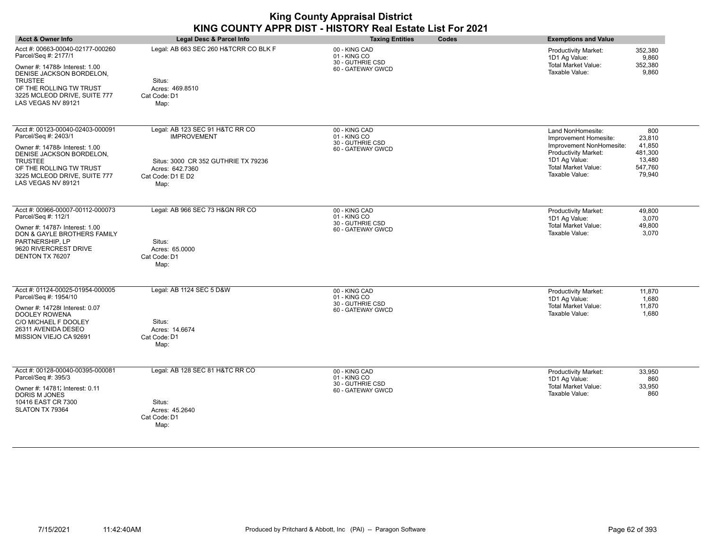| <b>Acct &amp; Owner Info</b>                                                                                                                                  | Legal Desc & Parcel Info                                                            | Codes<br><b>Taxing Entities</b>                                        | <b>Exemptions and Value</b>                                                                                                                                           |
|---------------------------------------------------------------------------------------------------------------------------------------------------------------|-------------------------------------------------------------------------------------|------------------------------------------------------------------------|-----------------------------------------------------------------------------------------------------------------------------------------------------------------------|
| Acct #: 00663-00040-02177-000260<br>Parcel/Seq #: 2177/1<br>Owner #: 147884 Interest: 1.00<br>DENISE JACKSON BORDELON,                                        | Legal: AB 663 SEC 260 H&TCRR CO BLK F                                               | 00 - KING CAD<br>01 - KING CO<br>30 - GUTHRIE CSD<br>60 - GATEWAY GWCD | 352,380<br>Productivity Market:<br>1D1 Ag Value:<br>9,860<br><b>Total Market Value:</b><br>352,380<br>Taxable Value:<br>9,860                                         |
| <b>TRUSTEE</b><br>OF THE ROLLING TW TRUST<br>3225 MCLEOD DRIVE, SUITE 777<br>LAS VEGAS NV 89121                                                               | Situs:<br>Acres: 469.8510<br>Cat Code: D1<br>Map:                                   |                                                                        |                                                                                                                                                                       |
| Acct #: 00123-00040-02403-000091<br>Parcel/Seq #: 2403/1                                                                                                      | Legal: AB 123 SEC 91 H&TC RR CO<br><b>IMPROVEMENT</b>                               | 00 - KING CAD<br>01 - KING CO                                          | Land NonHomesite:<br>800<br>23,810<br>Improvement Homesite:                                                                                                           |
| Owner #: 147884 Interest: 1.00<br>DENISE JACKSON BORDELON,<br><b>TRUSTEE</b><br>OF THE ROLLING TW TRUST<br>3225 MCLEOD DRIVE, SUITE 777<br>LAS VEGAS NV 89121 | Situs: 3000 CR 352 GUTHRIE TX 79236<br>Acres: 642.7360<br>Cat Code: D1 E D2<br>Map: | 30 - GUTHRIE CSD<br>60 - GATEWAY GWCD                                  | Improvement NonHomesite:<br>41,850<br>Productivity Market:<br>481,300<br>1D1 Ag Value:<br>13,480<br><b>Total Market Value:</b><br>547,760<br>Taxable Value:<br>79,940 |
| Acct #: 00966-00007-00112-000073<br>Parcel/Seq #: 112/1                                                                                                       | Legal: AB 966 SEC 73 H&GN RR CO                                                     | 00 - KING CAD<br>01 - KING CO                                          | Productivity Market:<br>49,800<br>1D1 Ag Value:<br>3,070                                                                                                              |
| Owner #: 147874 Interest: 1.00<br>DON & GAYLE BROTHERS FAMILY<br>PARTNERSHIP, LP<br>9620 RIVERCREST DRIVE<br>DENTON TX 76207                                  | Situs:<br>Acres: 65.0000<br>Cat Code: D1<br>Map:                                    | 30 - GUTHRIE CSD<br>60 - GATEWAY GWCD                                  | <b>Total Market Value:</b><br>49,800<br>Taxable Value:<br>3,070                                                                                                       |
| Acct #: 01124-00025-01954-000005<br>Parcel/Seq #: 1954/10                                                                                                     | Legal: AB 1124 SEC 5 D&W                                                            | 00 - KING CAD<br>01 - KING CO<br>30 - GUTHRIE CSD                      | 11,870<br><b>Productivity Market:</b><br>1D1 Ag Value:<br>1,680                                                                                                       |
| Owner #: 14728( Interest: 0.07<br><b>DOOLEY ROWENA</b><br>C/O MICHAEL F DOOLEY<br>26311 AVENIDA DESEO<br>MISSION VIEJO CA 92691                               | Situs:<br>Acres: 14.6674<br>Cat Code: D1<br>Map:                                    | 60 - GATEWAY GWCD                                                      | Total Market Value:<br>11,870<br>Taxable Value:<br>1.680                                                                                                              |
| Acct #: 00128-00040-00395-000081<br>Parcel/Seq #: 395/3                                                                                                       | Legal: AB 128 SEC 81 H&TC RR CO                                                     | 00 - KING CAD<br>01 - KING CO                                          | 33,950<br>Productivity Market:                                                                                                                                        |
| Owner #: 14781. Interest: 0.11<br>DORIS M JONES                                                                                                               |                                                                                     | 30 - GUTHRIE CSD<br>60 - GATEWAY GWCD                                  | 1D1 Ag Value:<br>860<br><b>Total Market Value:</b><br>33,950<br>Taxable Value:<br>860                                                                                 |
| 10416 EAST CR 7300<br>SLATON TX 79364                                                                                                                         | Situs:<br>Acres: 45.2640<br>Cat Code: D1<br>Map:                                    |                                                                        |                                                                                                                                                                       |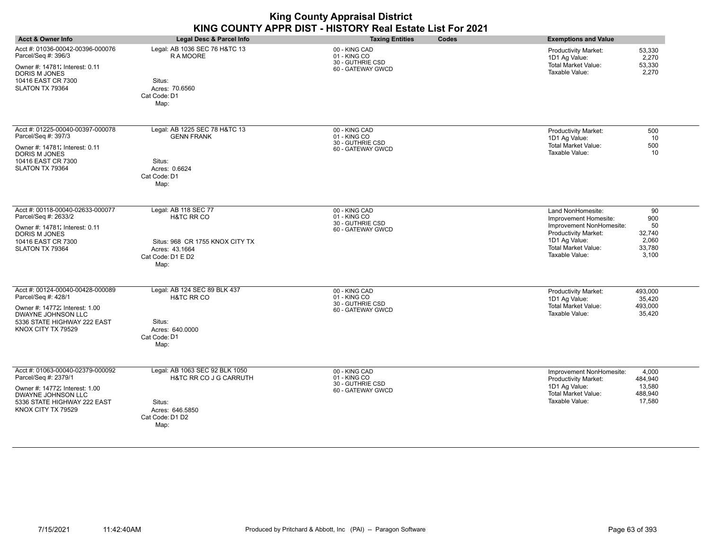|                                                                                                                                                                       |                                                                                                                      | <b>King County Appraisal District</b><br>KING COUNTY APPR DIST - HISTORY Real Estate List For 2021 |                                                                                                                                                                                                                                 |
|-----------------------------------------------------------------------------------------------------------------------------------------------------------------------|----------------------------------------------------------------------------------------------------------------------|----------------------------------------------------------------------------------------------------|---------------------------------------------------------------------------------------------------------------------------------------------------------------------------------------------------------------------------------|
| Acct & Owner Info                                                                                                                                                     | <b>Legal Desc &amp; Parcel Info</b>                                                                                  | <b>Taxing Entities</b><br>Codes                                                                    | <b>Exemptions and Value</b>                                                                                                                                                                                                     |
| Acct #: 01036-00042-00396-000076<br>Parcel/Seq #: 396/3<br>Owner #: 14781. Interest: 0.11<br><b>DORIS M JONES</b><br>10416 EAST CR 7300<br>SLATON TX 79364            | Legal: AB 1036 SEC 76 H&TC 13<br>R A MOORE<br>Situs:<br>Acres: 70.6560<br>Cat Code: D1<br>Map:                       | 00 - KING CAD<br>01 - KING CO<br>30 - GUTHRIE CSD<br>60 - GATEWAY GWCD                             | 53,330<br>Productivity Market:<br>1D1 Ag Value:<br>2,270<br><b>Total Market Value:</b><br>53,330<br>Taxable Value:<br>2,270                                                                                                     |
| Acct #: 01225-00040-00397-000078<br>Parcel/Seq #: 397/3<br>Owner #: 14781; Interest: 0.11<br>DORIS M JONES<br>10416 EAST CR 7300<br>SLATON TX 79364                   | Legal: AB 1225 SEC 78 H&TC 13<br><b>GENN FRANK</b><br>Situs:<br>Acres: 0.6624<br>Cat Code: D1<br>Map:                | 00 - KING CAD<br>01 - KING CO<br>30 - GUTHRIE CSD<br>60 - GATEWAY GWCD                             | Productivity Market:<br>500<br>1D1 Ag Value:<br>10<br>Total Market Value:<br>500<br>Taxable Value:<br>10                                                                                                                        |
| Acct #: 00118-00040-02633-000077<br>Parcel/Seq #: 2633/2<br>Owner #: 14781. Interest: 0.11<br><b>DORIS M JONES</b><br>10416 EAST CR 7300<br>SLATON TX 79364           | Legal: AB 118 SEC 77<br>H&TC RR CO<br>Situs: 968 CR 1755 KNOX CITY TX<br>Acres: 43.1664<br>Cat Code: D1 E D2<br>Map: | 00 - KING CAD<br>01 - KING CO<br>30 - GUTHRIE CSD<br>60 - GATEWAY GWCD                             | Land NonHomesite:<br>90<br>Improvement Homesite:<br>900<br>50<br>Improvement NonHomesite:<br><b>Productivity Market:</b><br>32,740<br>1D1 Ag Value:<br>2,060<br><b>Total Market Value:</b><br>33,780<br>Taxable Value:<br>3,100 |
| Acct #: 00124-00040-00428-000089<br>Parcel/Seq #: 428/1<br>Owner #: 14772; Interest: 1.00<br>DWAYNE JOHNSON LLC<br>5336 STATE HIGHWAY 222 EAST<br>KNOX CITY TX 79529  | Legal: AB 124 SEC 89 BLK 437<br>H&TC RR CO<br>Situs:<br>Acres: 640.0000<br>Cat Code: D1<br>Map:                      | 00 - KING CAD<br>01 - KING CO<br>30 - GUTHRIE CSD<br>60 - GATEWAY GWCD                             | Productivity Market:<br>493,000<br>1D1 Ag Value:<br>35,420<br>Total Market Value:<br>493,000<br>Taxable Value:<br>35,420                                                                                                        |
| Acct #: 01063-00040-02379-000092<br>Parcel/Seq #: 2379/1<br>Owner #: 14772; Interest: 1.00<br>DWAYNE JOHNSON LLC<br>5336 STATE HIGHWAY 222 EAST<br>KNOX CITY TX 79529 | Legal: AB 1063 SEC 92 BLK 1050<br>H&TC RR CO J G CARRUTH<br>Situs:<br>Acres: 646.5850<br>Cat Code: D1 D2<br>Map:     | 00 - KING CAD<br>01 - KING CO<br>30 - GUTHRIE CSD<br>60 - GATEWAY GWCD                             | 4,000<br>Improvement NonHomesite:<br><b>Productivity Market:</b><br>484,940<br>1D1 Ag Value:<br>13,580<br>Total Market Value:<br>488,940<br>Taxable Value:<br>17,580                                                            |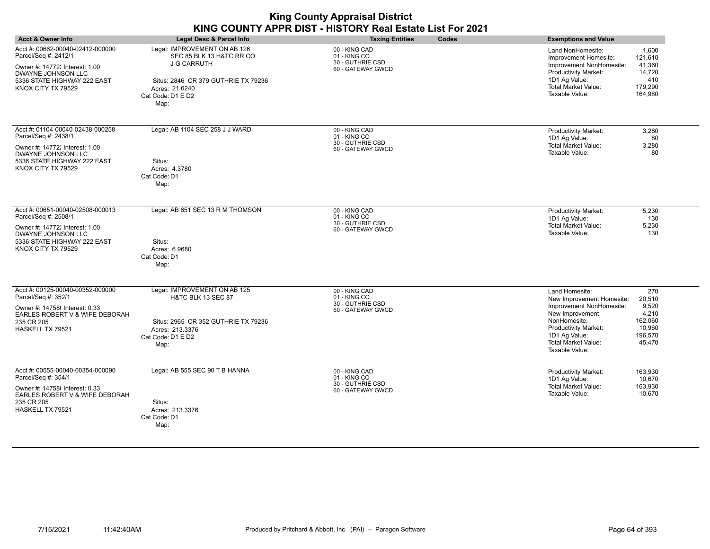| <b>Acct &amp; Owner Info</b>                                                                                                                                                 | Legal Desc & Parcel Info                                                                                                                                             | Codes<br><b>Taxing Entities</b>                                        | <b>Exemptions and Value</b>                                                                                                                                                                                                                                                             |
|------------------------------------------------------------------------------------------------------------------------------------------------------------------------------|----------------------------------------------------------------------------------------------------------------------------------------------------------------------|------------------------------------------------------------------------|-----------------------------------------------------------------------------------------------------------------------------------------------------------------------------------------------------------------------------------------------------------------------------------------|
| Acct #: 00662-00040-02412-000000<br>Parcel/Seq #: 2412/1<br>Owner #: 14772; Interest: 1.00<br>DWAYNE JOHNSON LLC<br>5336 STATE HIGHWAY 222 EAST<br>KNOX CITY TX 79529        | Legal: IMPROVEMENT ON AB 126<br>SEC 85 BLK 13 H&TC RR CO<br><b>J G CARRUTH</b><br>Situs: 2846 CR 379 GUTHRIE TX 79236<br>Acres: 21.6240<br>Cat Code: D1 E D2<br>Map: | 00 - KING CAD<br>01 - KING CO<br>30 - GUTHRIE CSD<br>60 - GATEWAY GWCD | 1,600<br>Land NonHomesite:<br>121,610<br>Improvement Homesite:<br>41,360<br>Improvement NonHomesite:<br><b>Productivity Market:</b><br>14,720<br>1D1 Ag Value:<br>410<br>Total Market Value:<br>179,290<br>Taxable Value:<br>164,980                                                    |
| Acct #: 01104-00040-02438-000258<br>Parcel/Seq #: 2438/1<br>Owner #: 14772; Interest: 1.00<br><b>DWAYNE JOHNSON LLC</b><br>5336 STATE HIGHWAY 222 EAST<br>KNOX CITY TX 79529 | Legal: AB 1104 SEC 258 J J WARD<br>Situs:<br>Acres: 4.3780<br>Cat Code: D1<br>Map:                                                                                   | 00 - KING CAD<br>01 - KING CO<br>30 - GUTHRIE CSD<br>60 - GATEWAY GWCD | <b>Productivity Market:</b><br>3,280<br>1D1 Ag Value:<br>80<br><b>Total Market Value:</b><br>3,280<br>Taxable Value:<br>80                                                                                                                                                              |
| Acct #: 00651-00040-02508-000013<br>Parcel/Seq #: 2508/1<br>Owner #: 14772; Interest: 1.00<br><b>DWAYNE JOHNSON LLC</b><br>5336 STATE HIGHWAY 222 EAST<br>KNOX CITY TX 79529 | Legal: AB 651 SEC 13 R M THOMSON<br>Situs:<br>Acres: 6.9680<br>Cat Code: D1<br>Map:                                                                                  | 00 - KING CAD<br>01 - KING CO<br>30 - GUTHRIE CSD<br>60 - GATEWAY GWCD | 5,230<br>Productivity Market:<br>1D1 Ag Value:<br>130<br><b>Total Market Value:</b><br>5,230<br>Taxable Value:<br>130                                                                                                                                                                   |
| Acct #: 00125-00040-00352-000000<br>Parcel/Seq #: 352/1<br>Owner #: 14758(Interest: 0.33<br>EARLES ROBERT V & WIFE DEBORAH<br>235 CR 205<br>HASKELL TX 79521                 | Legal: IMPROVEMENT ON AB 125<br><b>H&amp;TC BLK 13 SEC 87</b><br>Situs: 2965 CR 352 GUTHRIE TX 79236<br>Acres: 213.3376<br>Cat Code: D1 E D2<br>Map:                 | 00 - KING CAD<br>01 - KING CO<br>30 - GUTHRIE CSD<br>60 - GATEWAY GWCD | 270<br>Land Homesite:<br>New Improvement Homesite:<br>20,510<br>9,520<br>Improvement NonHomesite:<br>New Improvement<br>4,210<br>162,060<br>NonHomesite:<br>10,960<br><b>Productivity Market:</b><br>1D1 Ag Value:<br>196,570<br><b>Total Market Value:</b><br>45,470<br>Taxable Value: |
| Acct #: 00555-00040-00354-000090<br>Parcel/Seq #: 354/1<br>Owner #: 14758( Interest: 0.33<br>EARLES ROBERT V & WIFE DEBORAH<br>235 CR 205<br>HASKELL TX 79521                | Legal: AB 555 SEC 90 T B HANNA<br>Situs:<br>Acres: 213.3376<br>Cat Code: D1<br>Map:                                                                                  | 00 - KING CAD<br>01 - KING CO<br>30 - GUTHRIE CSD<br>60 - GATEWAY GWCD | Productivity Market:<br>163,930<br>1D1 Ag Value:<br>10,670<br><b>Total Market Value:</b><br>163,930<br>Taxable Value:<br>10,670                                                                                                                                                         |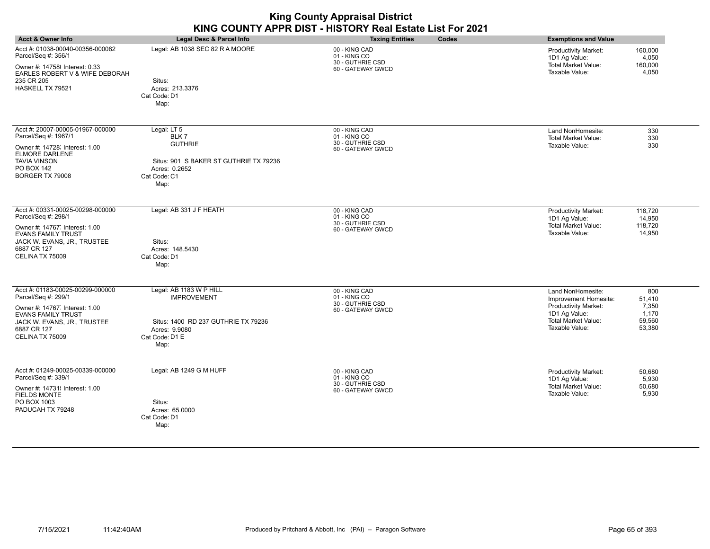| <b>Acct &amp; Owner Info</b>                                                                                                                                                            | Legal Desc & Parcel Info                                                                                                        | <b>Taxing Entities</b>                                                 | Codes | <b>Exemptions and Value</b>                                                                                                                |                                                     |
|-----------------------------------------------------------------------------------------------------------------------------------------------------------------------------------------|---------------------------------------------------------------------------------------------------------------------------------|------------------------------------------------------------------------|-------|--------------------------------------------------------------------------------------------------------------------------------------------|-----------------------------------------------------|
| Acct #: 01038-00040-00356-000082<br>Parcel/Seq #: 356/1<br>Owner #: 14758(Interest: 0.33<br>EARLES ROBERT V & WIFE DEBORAH<br>235 CR 205<br>HASKELL TX 79521                            | Legal: AB 1038 SEC 82 R A MOORE<br>Situs:<br>Acres: 213.3376<br>Cat Code: D1<br>Map:                                            | 00 - KING CAD<br>01 - KING CO<br>30 - GUTHRIE CSD<br>60 - GATEWAY GWCD |       | <b>Productivity Market:</b><br>1D1 Ag Value:<br><b>Total Market Value:</b><br>Taxable Value:                                               | 160,000<br>4,050<br>160,000<br>4,050                |
| Acct #: 20007-00005-01967-000000<br>Parcel/Seq #: 1967/1<br>Owner #: 14728; Interest: 1.00<br><b>ELMORE DARLENE</b><br><b>TAVIA VINSON</b><br><b>PO BOX 142</b><br>BORGER TX 79008      | Legal: LT 5<br>BLK7<br><b>GUTHRIE</b><br>Situs: 901 S BAKER ST GUTHRIE TX 79236<br>Acres: 0.2652<br>Cat Code: C1<br>Map:        | 00 - KING CAD<br>01 - KING CO<br>30 - GUTHRIE CSD<br>60 - GATEWAY GWCD |       | Land NonHomesite:<br><b>Total Market Value:</b><br>Taxable Value:                                                                          | 330<br>330<br>330                                   |
| Acct #: 00331-00025-00298-000000<br>Parcel/Seq #: 298/1<br>Owner #: 14767, Interest: 1.00<br><b>EVANS FAMILY TRUST</b><br>JACK W. EVANS, JR., TRUSTEE<br>6887 CR 127<br>CELINA TX 75009 | Legal: AB 331 J F HEATH<br>Situs:<br>Acres: 148,5430<br>Cat Code: D1<br>Map:                                                    | 00 - KING CAD<br>01 - KING CO<br>30 - GUTHRIE CSD<br>60 - GATEWAY GWCD |       | Productivity Market:<br>1D1 Ag Value:<br><b>Total Market Value:</b><br>Taxable Value:                                                      | 118,720<br>14,950<br>118,720<br>14,950              |
| Acct #: 01183-00025-00299-000000<br>Parcel/Seq #: 299/1<br>Owner #: 14767, Interest: 1.00<br><b>EVANS FAMILY TRUST</b><br>JACK W. EVANS, JR., TRUSTEE<br>6887 CR 127<br>CELINA TX 75009 | Legal: AB 1183 W P HILL<br><b>IMPROVEMENT</b><br>Situs: 1400 RD 237 GUTHRIE TX 79236<br>Acres: 9.9080<br>Cat Code: D1 E<br>Map: | 00 - KING CAD<br>01 - KING CO<br>30 - GUTHRIE CSD<br>60 - GATEWAY GWCD |       | Land NonHomesite:<br>Improvement Homesite:<br><b>Productivity Market:</b><br>1D1 Ag Value:<br><b>Total Market Value:</b><br>Taxable Value: | 800<br>51,410<br>7,350<br>1,170<br>59,560<br>53,380 |
| Acct #: 01249-00025-00339-000000<br>Parcel/Seq #: 339/1<br>Owner #: 14731! Interest: 1.00<br><b>FIELDS MONTE</b><br>PO BOX 1003<br>PADUCAH TX 79248                                     | Legal: AB 1249 G M HUFF<br>Situs:<br>Acres: 65.0000<br>Cat Code: D1<br>Map:                                                     | 00 - KING CAD<br>01 - KING CO<br>30 - GUTHRIE CSD<br>60 - GATEWAY GWCD |       | <b>Productivity Market:</b><br>1D1 Ag Value:<br><b>Total Market Value:</b><br>Taxable Value:                                               | 50,680<br>5,930<br>50,680<br>5,930                  |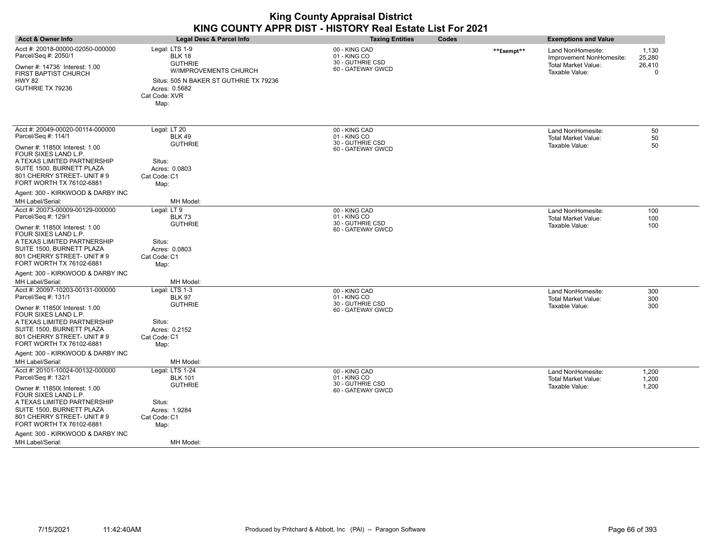| <b>Acct &amp; Owner Info</b>                                 | <b>Legal Desc &amp; Parcel Info</b>                                              | <b>Taxing Entities</b>                            | Codes      | <b>Exemptions and Value</b>                     |                    |
|--------------------------------------------------------------|----------------------------------------------------------------------------------|---------------------------------------------------|------------|-------------------------------------------------|--------------------|
| Acct #: 20018-00000-02050-000000<br>Parcel/Seq #: 2050/1     | Legal: LTS 1-9<br><b>BLK 18</b><br><b>GUTHRIE</b>                                | 00 - KING CAD<br>01 - KING CO<br>30 - GUTHRIE CSD | **Exempt** | Land NonHomesite:<br>Improvement NonHomesite:   | 1,130<br>25,280    |
| Owner #: 14736 Interest: 1.00<br><b>FIRST BAPTIST CHURCH</b> | W/IMPROVEMENTS CHURCH                                                            | 60 - GATEWAY GWCD                                 |            | <b>Total Market Value:</b><br>Taxable Value:    | 26,410<br>$\Omega$ |
| <b>HWY 82</b><br>GUTHRIE TX 79236                            | Situs: 505 N BAKER ST GUTHRIE TX 79236<br>Acres: 0.5682<br>Cat Code: XVR<br>Map: |                                                   |            |                                                 |                    |
|                                                              |                                                                                  |                                                   |            |                                                 |                    |
| Acct #: 20049-00020-00114-000000<br>Parcel/Seq #: 114/1      | Legal: LT 20<br><b>BLK 49</b>                                                    | 00 - KING CAD<br>01 - KING CO<br>30 - GUTHRIE CSD |            | Land NonHomesite:<br><b>Total Market Value:</b> | 50<br>50           |
| Owner #: 11850( Interest: 1.00<br>FOUR SIXES LAND L.P.       | <b>GUTHRIE</b>                                                                   | 60 - GATEWAY GWCD                                 |            | Taxable Value:                                  | 50                 |
| A TEXAS LIMITED PARTNERSHIP                                  | Situs:                                                                           |                                                   |            |                                                 |                    |
| SUITE 1500, BURNETT PLAZA<br>801 CHERRY STREET- UNIT #9      | Acres: 0.0803<br>Cat Code: C1                                                    |                                                   |            |                                                 |                    |
| FORT WORTH TX 76102-6881                                     | Map:                                                                             |                                                   |            |                                                 |                    |
| Agent: 300 - KIRKWOOD & DARBY INC                            |                                                                                  |                                                   |            |                                                 |                    |
| MH Label/Serial:                                             | MH Model:                                                                        |                                                   |            |                                                 |                    |
| Acct #: 20073-00009-00129-000000<br>Parcel/Seq #: 129/1      | Legal: LT 9<br><b>BLK 73</b>                                                     | 00 - KING CAD<br>01 - KING CO                     |            | Land NonHomesite:<br><b>Total Market Value:</b> | 100<br>100         |
| Owner #: 11850( Interest: 1.00<br>FOUR SIXES LAND L.P.       | <b>GUTHRIE</b>                                                                   | 30 - GUTHRIE CSD<br>60 - GATEWAY GWCD             |            | Taxable Value:                                  | 100                |
| A TEXAS LIMITED PARTNERSHIP                                  | Situs:                                                                           |                                                   |            |                                                 |                    |
| SUITE 1500, BURNETT PLAZA<br>801 CHERRY STREET- UNIT #9      | Acres: 0.0803<br>Cat Code: C1                                                    |                                                   |            |                                                 |                    |
| FORT WORTH TX 76102-6881                                     | Map:                                                                             |                                                   |            |                                                 |                    |
| Agent: 300 - KIRKWOOD & DARBY INC                            |                                                                                  |                                                   |            |                                                 |                    |
| MH Label/Serial:                                             | MH Model:                                                                        |                                                   |            |                                                 |                    |
| Acct #: 20097-10203-00131-000000                             | Legal: LTS 1-3                                                                   | 00 - KING CAD                                     |            | Land NonHomesite:                               | 300                |
| Parcel/Seq #: 131/1                                          | <b>BLK 97</b><br><b>GUTHRIE</b>                                                  | 01 - KING CO<br>30 - GUTHRIE CSD                  |            | Total Market Value:<br>Taxable Value:           | 300<br>300         |
| Owner #: 11850( Interest: 1.00<br>FOUR SIXES LAND L.P.       |                                                                                  | 60 - GATEWAY GWCD                                 |            |                                                 |                    |
| A TEXAS LIMITED PARTNERSHIP                                  | Situs:                                                                           |                                                   |            |                                                 |                    |
| SUITE 1500, BURNETT PLAZA                                    | Acres: 0.2152                                                                    |                                                   |            |                                                 |                    |
| 801 CHERRY STREET- UNIT #9<br>FORT WORTH TX 76102-6881       | Cat Code: C1                                                                     |                                                   |            |                                                 |                    |
| Agent: 300 - KIRKWOOD & DARBY INC                            | Map:                                                                             |                                                   |            |                                                 |                    |
| MH Label/Serial:                                             | MH Model:                                                                        |                                                   |            |                                                 |                    |
| Acct #: 20101-10024-00132-000000                             | Legal: LTS 1-24                                                                  | 00 - KING CAD                                     |            | Land NonHomesite:                               | 1,200              |
| Parcel/Seq #: 132/1                                          | <b>BLK 101</b>                                                                   | 01 - KING CO                                      |            | <b>Total Market Value:</b>                      | 1,200              |
| Owner #: 11850( Interest: 1.00<br>FOUR SIXES LAND L.P.       | <b>GUTHRIE</b>                                                                   | 30 - GUTHRIE CSD<br>60 - GATEWAY GWCD             |            | Taxable Value:                                  | 1,200              |
| A TEXAS LIMITED PARTNERSHIP                                  | Situs:                                                                           |                                                   |            |                                                 |                    |
| SUITE 1500, BURNETT PLAZA<br>801 CHERRY STREET- UNIT #9      | Acres: 1.9284<br>Cat Code: C1                                                    |                                                   |            |                                                 |                    |
| FORT WORTH TX 76102-6881                                     | Map:                                                                             |                                                   |            |                                                 |                    |
| Agent: 300 - KIRKWOOD & DARBY INC                            |                                                                                  |                                                   |            |                                                 |                    |
| MH Label/Serial:                                             | MH Model:                                                                        |                                                   |            |                                                 |                    |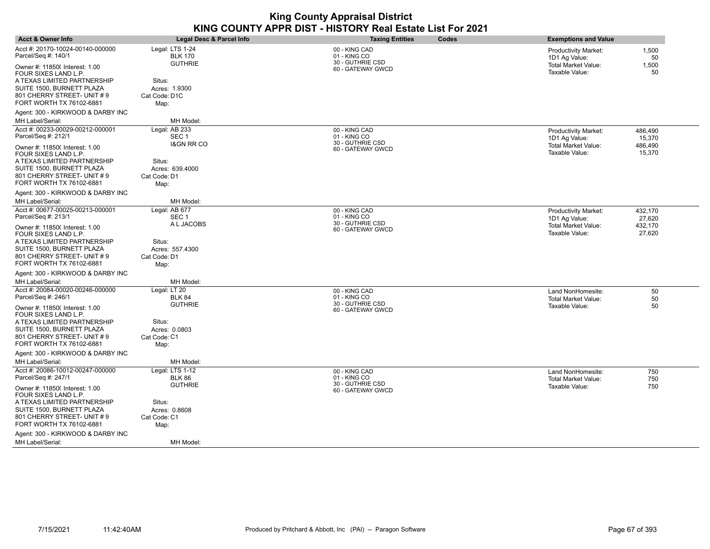| <b>Acct &amp; Owner Info</b>                                                                                        | Legal Desc & Parcel Info                          | <b>Taxing Entities</b><br><b>Codes</b>            | <b>Exemptions and Value</b>                                       |
|---------------------------------------------------------------------------------------------------------------------|---------------------------------------------------|---------------------------------------------------|-------------------------------------------------------------------|
| Acct #: 20170-10024-00140-000000<br>Parcel/Seq #: 140/1                                                             | Legal: LTS 1-24<br><b>BLK 170</b>                 | 00 - KING CAD<br>01 - KING CO<br>30 - GUTHRIE CSD | <b>Productivity Market:</b><br>1,500<br>1D1 Ag Value:<br>50       |
| Owner #: 11850( Interest: 1.00<br>FOUR SIXES LAND L.P.<br>A TEXAS LIMITED PARTNERSHIP                               | <b>GUTHRIE</b><br>Situs:                          | 60 - GATEWAY GWCD                                 | <b>Total Market Value:</b><br>1,500<br>Taxable Value:<br>50       |
| SUITE 1500, BURNETT PLAZA<br>801 CHERRY STREET- UNIT # 9<br>FORT WORTH TX 76102-6881                                | Acres: 1.9300<br>Cat Code: D1C<br>Map:            |                                                   |                                                                   |
| Agent: 300 - KIRKWOOD & DARBY INC                                                                                   |                                                   |                                                   |                                                                   |
| MH Label/Serial:                                                                                                    | MH Model:                                         |                                                   |                                                                   |
| Acct #: 00233-00029-00212-000001<br>Parcel/Seq #: 212/1                                                             | Legal: AB 233<br>SEC <sub>1</sub>                 | 00 - KING CAD<br>01 - KING CO                     | <b>Productivity Market:</b><br>486,490<br>1D1 Ag Value:<br>15,370 |
| Owner #: 11850( Interest: 1.00<br>FOUR SIXES LAND L.P.                                                              | <b>I&amp;GN RR CO</b>                             | 30 - GUTHRIE CSD<br>60 - GATEWAY GWCD             | <b>Total Market Value:</b><br>486,490<br>Taxable Value:<br>15,370 |
| A TEXAS LIMITED PARTNERSHIP<br>SUITE 1500, BURNETT PLAZA<br>801 CHERRY STREET- UNIT # 9                             | Situs:<br>Acres: 639.4000<br>Cat Code: D1         |                                                   |                                                                   |
| FORT WORTH TX 76102-6881                                                                                            | Map:                                              |                                                   |                                                                   |
| Agent: 300 - KIRKWOOD & DARBY INC<br>MH Label/Serial:                                                               | MH Model:                                         |                                                   |                                                                   |
| Acct #: 00677-00025-00213-000001<br>Parcel/Seq #: 213/1                                                             | Legal: AB 677<br>SEC <sub>1</sub>                 | 00 - KING CAD<br>01 - KING CO                     | <b>Productivity Market:</b><br>432,170<br>27,620<br>1D1 Ag Value: |
| Owner #: 11850( Interest: 1.00<br>FOUR SIXES LAND L.P.                                                              | A L JACOBS                                        | 30 - GUTHRIE CSD<br>60 - GATEWAY GWCD             | <b>Total Market Value:</b><br>432,170<br>Taxable Value:<br>27,620 |
| A TEXAS LIMITED PARTNERSHIP<br>SUITE 1500, BURNETT PLAZA<br>801 CHERRY STREET- UNIT # 9<br>FORT WORTH TX 76102-6881 | Situs:<br>Acres: 557.4300<br>Cat Code: D1<br>Map: |                                                   |                                                                   |
| Agent: 300 - KIRKWOOD & DARBY INC                                                                                   |                                                   |                                                   |                                                                   |
| MH Label/Serial:                                                                                                    | MH Model:                                         |                                                   |                                                                   |
| Acct #: 20084-00020-00246-000000<br>Parcel/Seq #: 246/1                                                             | Legal: LT 20<br><b>BLK 84</b>                     | 00 - KING CAD<br>01 - KING CO<br>30 - GUTHRIE CSD | 50<br>Land NonHomesite:<br>50<br><b>Total Market Value:</b>       |
| Owner #: 11850( Interest: 1.00<br>FOUR SIXES LAND L.P.                                                              | <b>GUTHRIE</b>                                    | 60 - GATEWAY GWCD                                 | 50<br>Taxable Value:                                              |
| A TEXAS LIMITED PARTNERSHIP<br>SUITE 1500, BURNETT PLAZA<br>801 CHERRY STREET- UNIT # 9<br>FORT WORTH TX 76102-6881 | Situs:<br>Acres: 0.0803<br>Cat Code: C1<br>Map:   |                                                   |                                                                   |
| Agent: 300 - KIRKWOOD & DARBY INC                                                                                   |                                                   |                                                   |                                                                   |
| MH Label/Serial:                                                                                                    | MH Model:                                         |                                                   |                                                                   |
| Acct #: 20086-10012-00247-000000<br>Parcel/Seq #: 247/1                                                             | Legal: LTS 1-12<br>BLK 86                         | 00 - KING CAD<br>01 - KING CO                     | 750<br>Land NonHomesite:<br><b>Total Market Value:</b><br>750     |
| Owner #: 11850( Interest: 1.00<br>FOUR SIXES LAND L.P.                                                              | <b>GUTHRIE</b>                                    | 30 - GUTHRIE CSD<br>60 - GATEWAY GWCD             | Taxable Value:<br>750                                             |
| A TEXAS LIMITED PARTNERSHIP                                                                                         | Situs:                                            |                                                   |                                                                   |
| SUITE 1500, BURNETT PLAZA<br>801 CHERRY STREET- UNIT # 9<br>FORT WORTH TX 76102-6881                                | Acres: 0.8608<br>Cat Code: C1<br>Map:             |                                                   |                                                                   |
| Agent: 300 - KIRKWOOD & DARBY INC                                                                                   |                                                   |                                                   |                                                                   |
| MH Label/Serial:                                                                                                    | MH Model:                                         |                                                   |                                                                   |

 $\overline{\phantom{a}}$ 

 $\overline{\phantom{a}}$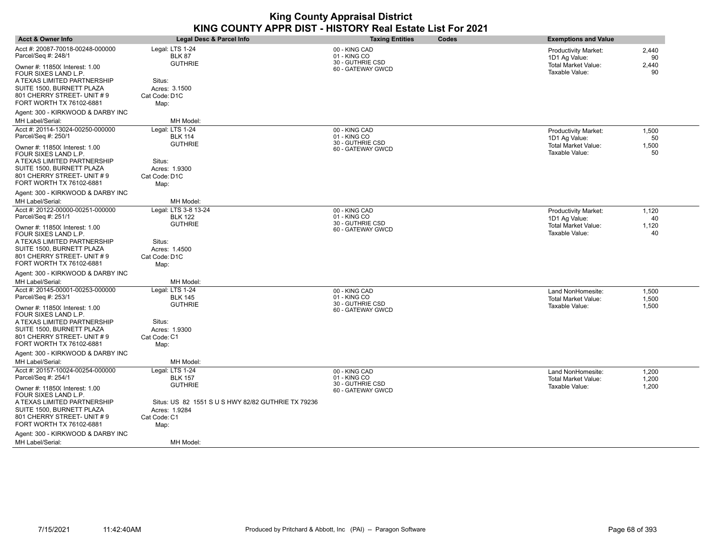| <b>Acct &amp; Owner Info</b>                             | Legal Desc & Parcel Info                                            | <b>Taxing Entities</b><br>Codes                   | <b>Exemptions and Value</b>                                                        |
|----------------------------------------------------------|---------------------------------------------------------------------|---------------------------------------------------|------------------------------------------------------------------------------------|
| Acct #: 20087-70018-00248-000000<br>Parcel/Seq #: 248/1  | Legal: LTS 1-24<br><b>BLK 87</b>                                    | 00 - KING CAD<br>01 - KING CO                     | <b>Productivity Market:</b><br>2,440<br>1D1 Ag Value:<br>90                        |
| Owner #: 11850( Interest: 1.00<br>FOUR SIXES LAND L.P.   | <b>GUTHRIE</b>                                                      | 30 - GUTHRIE CSD<br>60 - GATEWAY GWCD             | Total Market Value:<br>2,440<br>Taxable Value:<br>90                               |
| A TEXAS LIMITED PARTNERSHIP<br>SUITE 1500, BURNETT PLAZA | Situs:<br>Acres: 3.1500                                             |                                                   |                                                                                    |
| 801 CHERRY STREET- UNIT #9<br>FORT WORTH TX 76102-6881   | Cat Code: D1C<br>Map:                                               |                                                   |                                                                                    |
| Agent: 300 - KIRKWOOD & DARBY INC<br>MH Label/Serial:    | MH Model:                                                           |                                                   |                                                                                    |
| Acct #: 20114-13024-00250-000000<br>Parcel/Seq #: 250/1  | Legal: LTS 1-24<br><b>BLK 114</b>                                   | 00 - KING CAD<br>01 - KING CO                     | 1,500<br><b>Productivity Market:</b>                                               |
| Owner #: 11850( Interest: 1.00                           | <b>GUTHRIE</b>                                                      | 30 - GUTHRIE CSD<br>60 - GATEWAY GWCD             | 50<br>1D1 Ag Value:<br><b>Total Market Value:</b><br>1,500<br>Taxable Value:<br>50 |
| FOUR SIXES LAND L.P.<br>A TEXAS LIMITED PARTNERSHIP      | Situs:                                                              |                                                   |                                                                                    |
| SUITE 1500, BURNETT PLAZA<br>801 CHERRY STREET- UNIT # 9 | Acres: 1.9300                                                       |                                                   |                                                                                    |
| FORT WORTH TX 76102-6881                                 | Cat Code: D1C<br>Map:                                               |                                                   |                                                                                    |
| Agent: 300 - KIRKWOOD & DARBY INC                        |                                                                     |                                                   |                                                                                    |
| MH Label/Serial:                                         | MH Model:                                                           |                                                   |                                                                                    |
| Acct #: 20122-00000-00251-000000<br>Parcel/Seq #: 251/1  | Legal: LTS 3-8 13-24<br><b>BLK 122</b>                              | 00 - KING CAD<br>01 - KING CO<br>30 - GUTHRIE CSD | 1,120<br><b>Productivity Market:</b><br>1D1 Ag Value:<br>40                        |
| Owner #: 11850( Interest: 1.00<br>FOUR SIXES LAND L.P.   | <b>GUTHRIE</b>                                                      | 60 - GATEWAY GWCD                                 | <b>Total Market Value:</b><br>1,120<br>Taxable Value:<br>40                        |
| A TEXAS LIMITED PARTNERSHIP<br>SUITE 1500, BURNETT PLAZA | Situs:<br>Acres: 1.4500                                             |                                                   |                                                                                    |
| 801 CHERRY STREET- UNIT # 9                              | Cat Code: D1C                                                       |                                                   |                                                                                    |
| FORT WORTH TX 76102-6881                                 | Map:                                                                |                                                   |                                                                                    |
| Agent: 300 - KIRKWOOD & DARBY INC<br>MH Label/Serial:    | MH Model:                                                           |                                                   |                                                                                    |
| Acct #: 20145-00001-00253-000000                         | Legal: LTS 1-24                                                     | 00 - KING CAD                                     | Land NonHomesite:<br>1,500                                                         |
| Parcel/Seq #: 253/1                                      | <b>BLK 145</b><br><b>GUTHRIE</b>                                    | 01 - KING CO<br>30 - GUTHRIE CSD                  | <b>Total Market Value:</b><br>1,500                                                |
| Owner #: 11850( Interest: 1.00<br>FOUR SIXES LAND L.P.   |                                                                     | 60 - GATEWAY GWCD                                 | Taxable Value:<br>1,500                                                            |
| A TEXAS LIMITED PARTNERSHIP                              | Situs:                                                              |                                                   |                                                                                    |
| SUITE 1500, BURNETT PLAZA<br>801 CHERRY STREET- UNIT #9  | Acres: 1.9300<br>Cat Code: C1                                       |                                                   |                                                                                    |
| FORT WORTH TX 76102-6881                                 | Map:                                                                |                                                   |                                                                                    |
| Agent: 300 - KIRKWOOD & DARBY INC                        |                                                                     |                                                   |                                                                                    |
| MH Label/Serial:                                         | MH Model:                                                           |                                                   |                                                                                    |
| Acct #: 20157-10024-00254-000000<br>Parcel/Seq #: 254/1  | Legal: LTS 1-24<br><b>BLK 157</b>                                   | 00 - KING CAD<br>01 - KING CO<br>30 - GUTHRIE CSD | 1,200<br>Land NonHomesite:<br><b>Total Market Value:</b><br>1,200                  |
| Owner #: 11850( Interest: 1.00<br>FOUR SIXES LAND L.P.   | <b>GUTHRIE</b>                                                      | 60 - GATEWAY GWCD                                 | 1,200<br>Taxable Value:                                                            |
| A TEXAS LIMITED PARTNERSHIP<br>SUITE 1500, BURNETT PLAZA | Situs: US 82 1551 S U S HWY 82/82 GUTHRIE TX 79236<br>Acres: 1.9284 |                                                   |                                                                                    |
| 801 CHERRY STREET- UNIT #9<br>FORT WORTH TX 76102-6881   | Cat Code: C1<br>Map:                                                |                                                   |                                                                                    |
| Agent: 300 - KIRKWOOD & DARBY INC                        |                                                                     |                                                   |                                                                                    |
| MH Label/Serial:                                         | MH Model:                                                           |                                                   |                                                                                    |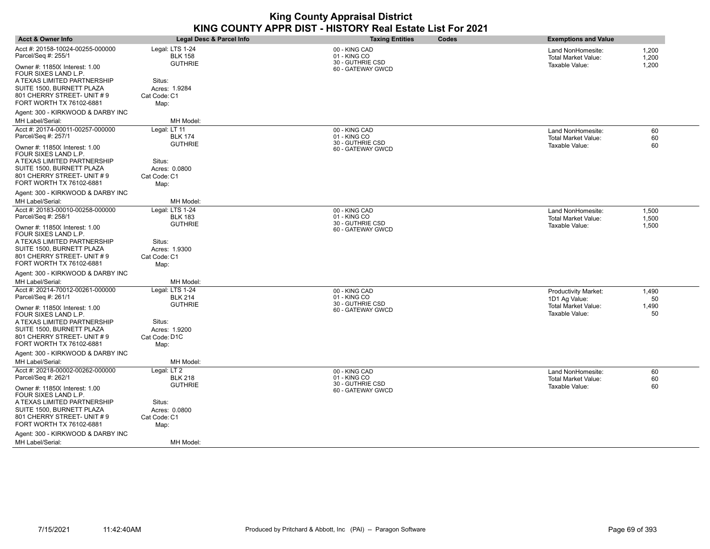| <b>Acct &amp; Owner Info</b>                                                                                                                                                                                                             | Legal Desc & Parcel Info                                                                                | <b>Taxing Entities</b><br><b>Codes</b>                                 | <b>Exemptions and Value</b>                                                           |                            |
|------------------------------------------------------------------------------------------------------------------------------------------------------------------------------------------------------------------------------------------|---------------------------------------------------------------------------------------------------------|------------------------------------------------------------------------|---------------------------------------------------------------------------------------|----------------------------|
| Acct #: 20158-10024-00255-000000<br>Parcel/Seq #: 255/1                                                                                                                                                                                  | Legal: LTS 1-24<br><b>BLK 158</b>                                                                       | 00 - KING CAD<br>01 - KING CO<br>30 - GUTHRIE CSD                      | Land NonHomesite:<br><b>Total Market Value:</b>                                       | 1,200<br>1,200             |
| Owner #: 11850( Interest: 1.00<br>FOUR SIXES LAND L.P.<br>A TEXAS LIMITED PARTNERSHIP<br>SUITE 1500, BURNETT PLAZA<br>801 CHERRY STREET- UNIT # 9<br>FORT WORTH TX 76102-6881                                                            | <b>GUTHRIE</b><br>Situs:<br>Acres: 1.9284<br>Cat Code: C1<br>Map:                                       | 60 - GATEWAY GWCD                                                      | Taxable Value:                                                                        | 1,200                      |
| Agent: 300 - KIRKWOOD & DARBY INC<br>MH Label/Serial:                                                                                                                                                                                    | MH Model:                                                                                               |                                                                        |                                                                                       |                            |
| Acct #: 20174-00011-00257-000000<br>Parcel/Seq #: 257/1                                                                                                                                                                                  | Legal: LT 11<br><b>BLK 174</b>                                                                          | 00 - KING CAD<br>01 - KING CO<br>30 - GUTHRIE CSD                      | Land NonHomesite:<br><b>Total Market Value:</b>                                       | 60<br>60                   |
| Owner #: 11850( Interest: 1.00<br>FOUR SIXES LAND L.P.<br>A TEXAS LIMITED PARTNERSHIP<br>SUITE 1500, BURNETT PLAZA<br>801 CHERRY STREET- UNIT # 9<br>FORT WORTH TX 76102-6881                                                            | <b>GUTHRIE</b><br>Situs:<br>Acres: 0.0800<br>Cat Code: C1<br>Map:                                       | 60 - GATEWAY GWCD                                                      | Taxable Value:                                                                        | 60                         |
| Agent: 300 - KIRKWOOD & DARBY INC<br>MH Label/Serial:                                                                                                                                                                                    | MH Model:                                                                                               |                                                                        |                                                                                       |                            |
| Acct #: 20183-00010-00258-000000<br>Parcel/Seq #: 258/1                                                                                                                                                                                  | Legal: LTS 1-24<br><b>BLK 183</b><br><b>GUTHRIE</b>                                                     | 00 - KING CAD<br>01 - KING CO<br>30 - GUTHRIE CSD                      | Land NonHomesite:<br><b>Total Market Value:</b>                                       | 1,500<br>1,500             |
| Owner #: 11850( Interest: 1.00<br>FOUR SIXES LAND L.P.<br>A TEXAS LIMITED PARTNERSHIP<br>SUITE 1500, BURNETT PLAZA<br>801 CHERRY STREET- UNIT # 9<br>FORT WORTH TX 76102-6881                                                            | Situs:<br>Acres: 1.9300<br>Cat Code: C1<br>Map:                                                         | 60 - GATEWAY GWCD                                                      | Taxable Value:                                                                        | 1,500                      |
| Agent: 300 - KIRKWOOD & DARBY INC                                                                                                                                                                                                        |                                                                                                         |                                                                        |                                                                                       |                            |
| MH Label/Serial:                                                                                                                                                                                                                         | MH Model:                                                                                               |                                                                        |                                                                                       |                            |
| Acct #: 20214-70012-00261-000000<br>Parcel/Seq #: 261/1<br>Owner #: 11850( Interest: 1.00<br>FOUR SIXES LAND L.P.<br>A TEXAS LIMITED PARTNERSHIP<br>SUITE 1500, BURNETT PLAZA<br>801 CHERRY STREET- UNIT # 9<br>FORT WORTH TX 76102-6881 | Legal: LTS 1-24<br><b>BLK 214</b><br><b>GUTHRIE</b><br>Situs:<br>Acres: 1.9200<br>Cat Code: D1C<br>Map: | 00 - KING CAD<br>01 - KING CO<br>30 - GUTHRIE CSD<br>60 - GATEWAY GWCD | <b>Productivity Market:</b><br>1D1 Ag Value:<br>Total Market Value:<br>Taxable Value: | 1,490<br>50<br>1,490<br>50 |
| Agent: 300 - KIRKWOOD & DARBY INC                                                                                                                                                                                                        |                                                                                                         |                                                                        |                                                                                       |                            |
| MH Label/Serial:                                                                                                                                                                                                                         | MH Model:                                                                                               |                                                                        |                                                                                       |                            |
| Acct #: 20218-00002-00262-000000<br>Parcel/Seq #: 262/1<br>Owner #: 11850( Interest: 1.00                                                                                                                                                | Legal: LT 2<br><b>BLK 218</b><br><b>GUTHRIE</b>                                                         | 00 - KING CAD<br>01 - KING CO<br>30 - GUTHRIE CSD                      | Land NonHomesite:<br><b>Total Market Value:</b><br>Taxable Value:                     | 60<br>60<br>60             |
| FOUR SIXES LAND L.P.<br>A TEXAS LIMITED PARTNERSHIP<br>SUITE 1500, BURNETT PLAZA<br>801 CHERRY STREET- UNIT # 9<br>FORT WORTH TX 76102-6881                                                                                              | Situs:<br>Acres: 0.0800<br>Cat Code: C1<br>Map:                                                         | 60 - GATEWAY GWCD                                                      |                                                                                       |                            |
| Agent: 300 - KIRKWOOD & DARBY INC<br>MH Label/Serial:                                                                                                                                                                                    | MH Model:                                                                                               |                                                                        |                                                                                       |                            |
|                                                                                                                                                                                                                                          |                                                                                                         |                                                                        |                                                                                       |                            |

 $\overline{\phantom{a}}$ 

 $\overline{\phantom{a}}$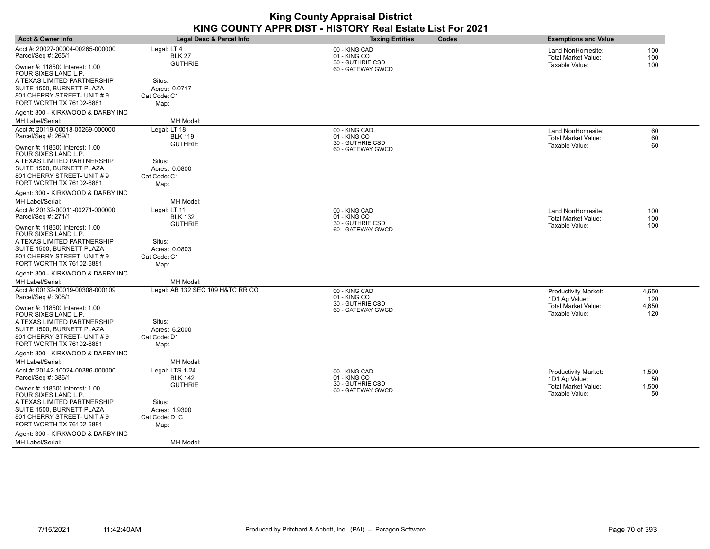| <b>Acct &amp; Owner Info</b>                                                           | <b>Legal Desc &amp; Parcel Info</b>              | <b>Taxing Entities</b><br>Codes                   | <b>Exemptions and Value</b>                                   |
|----------------------------------------------------------------------------------------|--------------------------------------------------|---------------------------------------------------|---------------------------------------------------------------|
| Acct #: 20027-00004-00265-000000<br>Parcel/Seq #: 265/1                                | Legal: LT 4<br><b>BLK 27</b>                     | 00 - KING CAD<br>01 - KING CO                     | 100<br>Land NonHomesite:<br><b>Total Market Value:</b><br>100 |
| Owner #: 11850( Interest: 1.00<br>FOUR SIXES LAND L.P.                                 | <b>GUTHRIE</b>                                   | 30 - GUTHRIE CSD<br>60 - GATEWAY GWCD             | Taxable Value:<br>100                                         |
| A TEXAS LIMITED PARTNERSHIP<br>SUITE 1500, BURNETT PLAZA<br>801 CHERRY STREET- UNIT #9 | Situs:<br>Acres: 0.0717<br>Cat Code: C1          |                                                   |                                                               |
| FORT WORTH TX 76102-6881                                                               | Map:                                             |                                                   |                                                               |
| Agent: 300 - KIRKWOOD & DARBY INC                                                      |                                                  |                                                   |                                                               |
| MH Label/Serial:                                                                       | MH Model:                                        |                                                   |                                                               |
| Acct #: 20119-00018-00269-000000<br>Parcel/Seq #: 269/1                                | Legal: LT 18<br><b>BLK 119</b><br><b>GUTHRIE</b> | 00 - KING CAD<br>01 - KING CO<br>30 - GUTHRIE CSD | 60<br>Land NonHomesite:<br><b>Total Market Value:</b><br>60   |
| Owner #: 11850( Interest: 1.00<br>FOUR SIXES LAND L.P.                                 |                                                  | 60 - GATEWAY GWCD                                 | Taxable Value:<br>60                                          |
| A TEXAS LIMITED PARTNERSHIP                                                            | Situs:                                           |                                                   |                                                               |
| SUITE 1500, BURNETT PLAZA                                                              | Acres: 0.0800                                    |                                                   |                                                               |
| 801 CHERRY STREET- UNIT #9<br>FORT WORTH TX 76102-6881                                 | Cat Code: C1<br>Map:                             |                                                   |                                                               |
| Agent: 300 - KIRKWOOD & DARBY INC                                                      |                                                  |                                                   |                                                               |
| MH Label/Serial:                                                                       | MH Model:                                        |                                                   |                                                               |
| Acct #: 20132-00011-00271-000000<br>Parcel/Seq #: 271/1                                | Legal: LT 11<br><b>BLK 132</b>                   | 00 - KING CAD<br>01 - KING CO                     | Land NonHomesite:<br>100<br>100<br>Total Market Value:        |
| Owner #: 11850( Interest: 1.00<br>FOUR SIXES LAND L.P.                                 | <b>GUTHRIE</b>                                   | 30 - GUTHRIE CSD<br>60 - GATEWAY GWCD             | Taxable Value:<br>100                                         |
| A TEXAS LIMITED PARTNERSHIP                                                            | Situs:                                           |                                                   |                                                               |
| SUITE 1500, BURNETT PLAZA                                                              | Acres: 0.0803                                    |                                                   |                                                               |
| 801 CHERRY STREET- UNIT #9<br>FORT WORTH TX 76102-6881                                 | Cat Code: C1                                     |                                                   |                                                               |
|                                                                                        | Map:                                             |                                                   |                                                               |
| Agent: 300 - KIRKWOOD & DARBY INC                                                      |                                                  |                                                   |                                                               |
| MH Label/Serial:                                                                       | MH Model:                                        |                                                   |                                                               |
| Acct #: 00132-00019-00308-000109<br>Parcel/Seq #: 308/1                                | Legal: AB 132 SEC 109 H&TC RR CO                 | 00 - KING CAD<br>01 - KING CO<br>30 - GUTHRIE CSD | 4,650<br><b>Productivity Market:</b><br>120<br>1D1 Ag Value:  |
| Owner #: 11850( Interest: 1.00<br>FOUR SIXES LAND L.P.                                 |                                                  | 60 - GATEWAY GWCD                                 | <b>Total Market Value:</b><br>4,650<br>Taxable Value:<br>120  |
| A TEXAS LIMITED PARTNERSHIP                                                            | Situs:                                           |                                                   |                                                               |
| SUITE 1500, BURNETT PLAZA                                                              | Acres: 6.2000                                    |                                                   |                                                               |
| 801 CHERRY STREET- UNIT #9<br>FORT WORTH TX 76102-6881                                 | Cat Code: D1<br>Map:                             |                                                   |                                                               |
| Agent: 300 - KIRKWOOD & DARBY INC                                                      |                                                  |                                                   |                                                               |
| MH Label/Serial:                                                                       | MH Model:                                        |                                                   |                                                               |
| Acct #: 20142-10024-00386-000000                                                       | Legal: LTS 1-24                                  |                                                   |                                                               |
| Parcel/Seq #: 386/1                                                                    | <b>BLK 142</b>                                   | 00 - KING CAD<br>01 - KING CO                     | Productivity Market:<br>1,500<br>1D1 Ag Value:<br>50          |
|                                                                                        | <b>GUTHRIE</b>                                   | 30 - GUTHRIE CSD                                  | <b>Total Market Value:</b><br>1,500                           |
| Owner #: 11850( Interest: 1.00<br>FOUR SIXES LAND L.P.                                 |                                                  | 60 - GATEWAY GWCD                                 | Taxable Value:<br>50                                          |
| A TEXAS LIMITED PARTNERSHIP                                                            | Situs:                                           |                                                   |                                                               |
| SUITE 1500, BURNETT PLAZA                                                              | Acres: 1.9300                                    |                                                   |                                                               |
| 801 CHERRY STREET- UNIT #9                                                             | Cat Code: D1C                                    |                                                   |                                                               |
| FORT WORTH TX 76102-6881                                                               | Map:                                             |                                                   |                                                               |
| Agent: 300 - KIRKWOOD & DARBY INC                                                      |                                                  |                                                   |                                                               |
| MH Label/Serial:                                                                       | MH Model:                                        |                                                   |                                                               |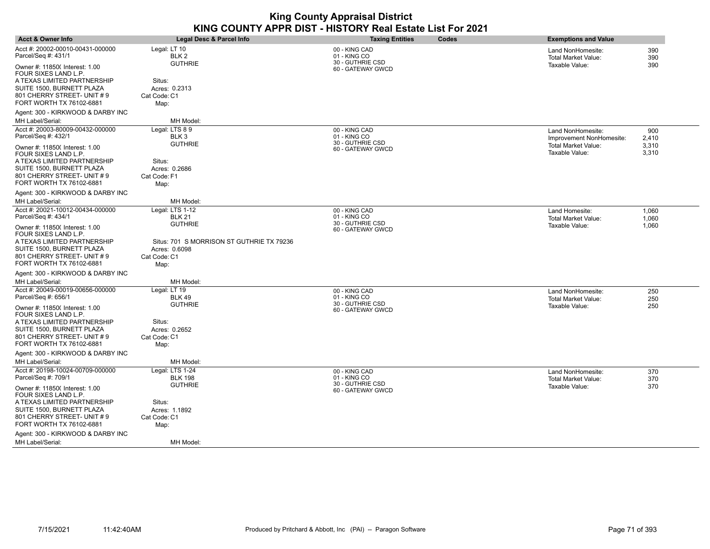| <b>Acct &amp; Owner Info</b>                                                          | Legal Desc & Parcel Info                                   | <b>Taxing Entities</b>                            | Codes | <b>Exemptions and Value</b>                                       |                   |
|---------------------------------------------------------------------------------------|------------------------------------------------------------|---------------------------------------------------|-------|-------------------------------------------------------------------|-------------------|
| Acct #: 20002-00010-00431-000000<br>Parcel/Seq #: 431/1                               | Legal: LT 10<br>BLK <sub>2</sub>                           | 00 - KING CAD<br>01 - KING CO                     |       | Land NonHomesite:<br><b>Total Market Value:</b>                   | 390<br>390        |
| Owner #: 11850( Interest: 1.00<br>FOUR SIXES LAND L.P.<br>A TEXAS LIMITED PARTNERSHIP | <b>GUTHRIE</b><br>Situs:                                   | 30 - GUTHRIE CSD<br>60 - GATEWAY GWCD             |       | Taxable Value:                                                    | 390               |
| SUITE 1500, BURNETT PLAZA<br>801 CHERRY STREET- UNIT # 9<br>FORT WORTH TX 76102-6881  | Acres: 0.2313<br>Cat Code: C1<br>Map:                      |                                                   |       |                                                                   |                   |
| Agent: 300 - KIRKWOOD & DARBY INC                                                     |                                                            |                                                   |       |                                                                   |                   |
| MH Label/Serial:                                                                      | MH Model:                                                  |                                                   |       |                                                                   |                   |
| Acct #: 20003-80009-00432-000000<br>Parcel/Seq #: 432/1                               | Legal: LTS $8\overline{9}$<br>BLK 3                        | 00 - KING CAD<br>01 - KING CO                     |       | Land NonHomesite:<br>Improvement NonHomesite:                     | 900<br>2,410      |
| Owner #: 11850( Interest: 1.00<br>FOUR SIXES LAND L.P.                                | <b>GUTHRIE</b>                                             | 30 - GUTHRIE CSD<br>60 - GATEWAY GWCD             |       | Total Market Value:<br>Taxable Value:                             | 3,310<br>3,310    |
| A TEXAS LIMITED PARTNERSHIP                                                           | Situs:                                                     |                                                   |       |                                                                   |                   |
| SUITE 1500, BURNETT PLAZA<br>801 CHERRY STREET- UNIT # 9<br>FORT WORTH TX 76102-6881  | Acres: 0.2686<br>Cat Code: F1<br>Map:                      |                                                   |       |                                                                   |                   |
| Agent: 300 - KIRKWOOD & DARBY INC                                                     |                                                            |                                                   |       |                                                                   |                   |
| MH Label/Serial:                                                                      | MH Model:                                                  |                                                   |       |                                                                   |                   |
| Acct #: 20021-10012-00434-000000<br>Parcel/Seq #: 434/1                               | Legal: LTS 1-12<br><b>BLK 21</b>                           | 00 - KING CAD<br>01 - KING CO                     |       | Land Homesite:<br><b>Total Market Value:</b>                      | 1,060<br>1,060    |
| Owner #: 11850( Interest: 1.00<br>FOUR SIXES LAND L.P.                                | <b>GUTHRIE</b>                                             | 30 - GUTHRIE CSD<br>60 - GATEWAY GWCD             |       | Taxable Value:                                                    | 1,060             |
| A TEXAS LIMITED PARTNERSHIP<br>SUITE 1500, BURNETT PLAZA                              | Situs: 701 S MORRISON ST GUTHRIE TX 79236<br>Acres: 0.6098 |                                                   |       |                                                                   |                   |
| 801 CHERRY STREET- UNIT # 9<br>FORT WORTH TX 76102-6881                               | Cat Code: C1<br>Map:                                       |                                                   |       |                                                                   |                   |
| Agent: 300 - KIRKWOOD & DARBY INC                                                     |                                                            |                                                   |       |                                                                   |                   |
| <b>MH Label/Serial:</b><br>Acct #: 20049-00019-00656-000000                           | MH Model:                                                  |                                                   |       |                                                                   |                   |
| Parcel/Seq #: 656/1                                                                   | Legal: LT 19<br><b>BLK 49</b><br><b>GUTHRIE</b>            | 00 - KING CAD<br>01 - KING CO<br>30 - GUTHRIE CSD |       | Land NonHomesite:<br><b>Total Market Value:</b><br>Taxable Value: | 250<br>250<br>250 |
| Owner #: 11850( Interest: 1.00<br>FOUR SIXES LAND L.P.                                |                                                            | 60 - GATEWAY GWCD                                 |       |                                                                   |                   |
| A TEXAS LIMITED PARTNERSHIP<br>SUITE 1500, BURNETT PLAZA                              | Situs:<br>Acres: 0.2652                                    |                                                   |       |                                                                   |                   |
| 801 CHERRY STREET- UNIT # 9<br>FORT WORTH TX 76102-6881                               | Cat Code: C1<br>Map:                                       |                                                   |       |                                                                   |                   |
| Agent: 300 - KIRKWOOD & DARBY INC                                                     |                                                            |                                                   |       |                                                                   |                   |
| MH Label/Serial:                                                                      | MH Model:                                                  |                                                   |       |                                                                   |                   |
| Acct #: 20198-10024-00709-000000<br>Parcel/Seq #: 709/1                               | Legal: LTS 1-24<br><b>BLK 198</b>                          | 00 - KING CAD<br>01 - KING CO                     |       | Land NonHomesite:<br><b>Total Market Value:</b>                   | 370<br>370        |
| Owner #: 11850( Interest: 1.00<br>FOUR SIXES LAND L.P.                                | <b>GUTHRIE</b>                                             | 30 - GUTHRIE CSD<br>60 - GATEWAY GWCD             |       | Taxable Value:                                                    | 370               |
| A TEXAS LIMITED PARTNERSHIP                                                           | Situs:                                                     |                                                   |       |                                                                   |                   |
| SUITE 1500, BURNETT PLAZA<br>801 CHERRY STREET- UNIT # 9                              | Acres: 1.1892<br>Cat Code: C1                              |                                                   |       |                                                                   |                   |
| FORT WORTH TX 76102-6881<br>Agent: 300 - KIRKWOOD & DARBY INC                         | Map:                                                       |                                                   |       |                                                                   |                   |
| <b>MH Label/Serial:</b>                                                               | MH Model:                                                  |                                                   |       |                                                                   |                   |
|                                                                                       |                                                            |                                                   |       |                                                                   |                   |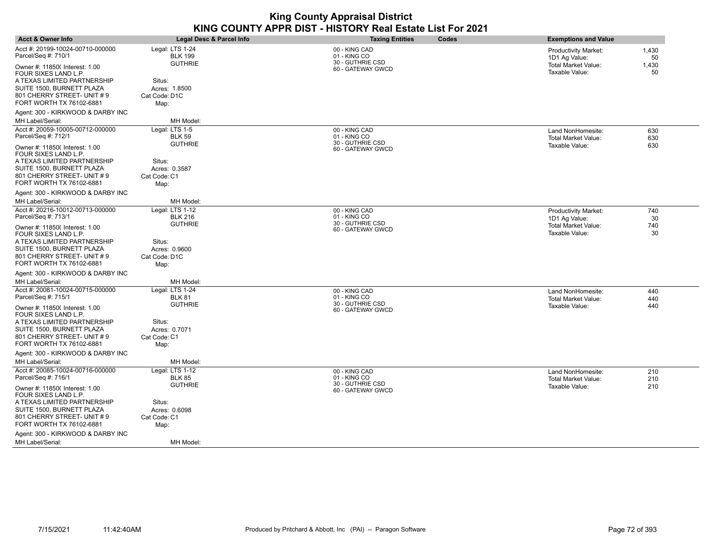| <b>Acct &amp; Owner Info</b>                                                                                       | Legal Desc & Parcel Info                            | <b>Taxing Entities</b><br><b>Codes</b>            | <b>Exemptions and Value</b>                                                                        |
|--------------------------------------------------------------------------------------------------------------------|-----------------------------------------------------|---------------------------------------------------|----------------------------------------------------------------------------------------------------|
| Acct #: 20199-10024-00710-000000<br>Parcel/Seq #: 710/1                                                            | Legal: LTS 1-24<br><b>BLK 199</b><br><b>GUTHRIE</b> | 00 - KING CAD<br>01 - KING CO<br>30 - GUTHRIE CSD | <b>Productivity Market:</b><br>1,430<br>1D1 Ag Value:<br>50<br><b>Total Market Value:</b><br>1,430 |
| Owner #: 11850( Interest: 1.00<br>FOUR SIXES LAND L.P.<br>A TEXAS LIMITED PARTNERSHIP<br>SUITE 1500, BURNETT PLAZA | Situs:<br>Acres: 1.8500                             | 60 - GATEWAY GWCD                                 | Taxable Value:<br>50                                                                               |
| 801 CHERRY STREET- UNIT # 9<br>FORT WORTH TX 76102-6881                                                            | Cat Code: D1C<br>Map:                               |                                                   |                                                                                                    |
| Agent: 300 - KIRKWOOD & DARBY INC<br>MH Label/Serial:                                                              | MH Model:                                           |                                                   |                                                                                                    |
| Acct #: 20059-10005-00712-000000<br>Parcel/Seq #: 712/1                                                            | Legal: LTS 1-5<br><b>BLK 59</b>                     | 00 - KING CAD<br>01 - KING CO                     | 630<br>Land NonHomesite:<br><b>Total Market Value:</b><br>630                                      |
| Owner #: 11850( Interest: 1.00<br>FOUR SIXES LAND L.P.                                                             | <b>GUTHRIE</b>                                      | 30 - GUTHRIE CSD<br>60 - GATEWAY GWCD             | Taxable Value:<br>630                                                                              |
| A TEXAS LIMITED PARTNERSHIP                                                                                        | Situs:                                              |                                                   |                                                                                                    |
| SUITE 1500, BURNETT PLAZA<br>801 CHERRY STREET- UNIT # 9<br>FORT WORTH TX 76102-6881                               | Acres: 0.3587<br>Cat Code: C1<br>Map:               |                                                   |                                                                                                    |
| Agent: 300 - KIRKWOOD & DARBY INC                                                                                  |                                                     |                                                   |                                                                                                    |
| <b>MH Label/Serial:</b>                                                                                            | MH Model:                                           |                                                   |                                                                                                    |
| Acct #: 20216-10012-00713-000000<br>Parcel/Seq #: 713/1                                                            | Legal: LTS 1-12<br><b>BLK 216</b>                   | 00 - KING CAD<br>01 - KING CO                     | 740<br><b>Productivity Market:</b><br>1D1 Ag Value:<br>30                                          |
| Owner #: 11850( Interest: 1.00<br>FOUR SIXES LAND L.P.                                                             | <b>GUTHRIE</b>                                      | 30 - GUTHRIE CSD<br>60 - GATEWAY GWCD             | <b>Total Market Value:</b><br>740<br>Taxable Value:<br>30                                          |
| A TEXAS LIMITED PARTNERSHIP                                                                                        | Situs:                                              |                                                   |                                                                                                    |
| SUITE 1500, BURNETT PLAZA<br>801 CHERRY STREET- UNIT # 9                                                           | Acres: 0.9600<br>Cat Code: D1C                      |                                                   |                                                                                                    |
| FORT WORTH TX 76102-6881                                                                                           | Map:                                                |                                                   |                                                                                                    |
| Agent: 300 - KIRKWOOD & DARBY INC                                                                                  |                                                     |                                                   |                                                                                                    |
| MH Label/Serial:                                                                                                   | MH Model:                                           |                                                   |                                                                                                    |
| Acct #: 20081-10024-00715-000000<br>Parcel/Seq #: 715/1                                                            | Legal: LTS 1-24<br><b>BLK 81</b>                    | 00 - KING CAD<br>01 - KING CO<br>30 - GUTHRIE CSD | Land NonHomesite:<br>440<br>440<br><b>Total Market Value:</b>                                      |
| Owner #: 11850( Interest: 1.00<br>FOUR SIXES LAND L.P.                                                             | <b>GUTHRIE</b>                                      | 60 - GATEWAY GWCD                                 | Taxable Value:<br>440                                                                              |
| A TEXAS LIMITED PARTNERSHIP                                                                                        | Situs:                                              |                                                   |                                                                                                    |
| SUITE 1500, BURNETT PLAZA<br>801 CHERRY STREET- UNIT # 9                                                           | Acres: 0.7071<br>Cat Code: C1                       |                                                   |                                                                                                    |
| FORT WORTH TX 76102-6881                                                                                           | Map:                                                |                                                   |                                                                                                    |
| Agent: 300 - KIRKWOOD & DARBY INC                                                                                  |                                                     |                                                   |                                                                                                    |
| MH Label/Serial:                                                                                                   | MH Model:                                           |                                                   |                                                                                                    |
| Acct #: 20085-10024-00716-000000<br>Parcel/Seq #: 716/1                                                            | Legal: LTS 1-12<br><b>BLK 85</b>                    | 00 - KING CAD<br>01 - KING CO                     | 210<br>Land NonHomesite:<br><b>Total Market Value:</b><br>210                                      |
| Owner #: 11850( Interest: 1.00<br>FOUR SIXES LAND L.P.                                                             | <b>GUTHRIE</b>                                      | 30 - GUTHRIE CSD<br>60 - GATEWAY GWCD             | Taxable Value:<br>210                                                                              |
| A TEXAS LIMITED PARTNERSHIP                                                                                        | Situs:                                              |                                                   |                                                                                                    |
| SUITE 1500, BURNETT PLAZA<br>801 CHERRY STREET- UNIT # 9                                                           | Acres: 0.6098                                       |                                                   |                                                                                                    |
| FORT WORTH TX 76102-6881                                                                                           | Cat Code: C1<br>Map:                                |                                                   |                                                                                                    |
| Agent: 300 - KIRKWOOD & DARBY INC                                                                                  |                                                     |                                                   |                                                                                                    |
| <b>MH Label/Serial:</b>                                                                                            | MH Model:                                           |                                                   |                                                                                                    |

 $\overline{\phantom{a}}$ 

 $\overline{\phantom{a}}$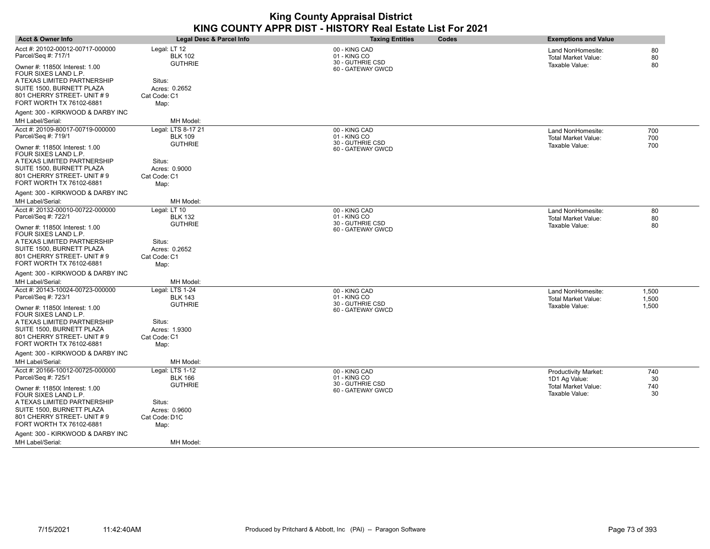| <b>Acct &amp; Owner Info</b>                                                                                                                                                  | Legal Desc & Parcel Info                                          | <b>Taxing Entities</b>                                                 | Codes | <b>Exemptions and Value</b>                                       |                         |
|-------------------------------------------------------------------------------------------------------------------------------------------------------------------------------|-------------------------------------------------------------------|------------------------------------------------------------------------|-------|-------------------------------------------------------------------|-------------------------|
| Acct #: 20102-00012-00717-000000<br>Parcel/Seq #: 717/1                                                                                                                       | Legal: LT 12<br><b>BLK 102</b>                                    | 00 - KING CAD<br>01 - KING CO                                          |       | Land NonHomesite:<br><b>Total Market Value:</b>                   | 80<br>80                |
| Owner #: 11850( Interest: 1.00<br>FOUR SIXES LAND L.P.<br>A TEXAS LIMITED PARTNERSHIP<br>SUITE 1500, BURNETT PLAZA<br>801 CHERRY STREET- UNIT # 9<br>FORT WORTH TX 76102-6881 | <b>GUTHRIE</b><br>Situs:<br>Acres: 0.2652<br>Cat Code: C1<br>Map: | 30 - GUTHRIE CSD<br>60 - GATEWAY GWCD                                  |       | Taxable Value:                                                    | 80                      |
| Agent: 300 - KIRKWOOD & DARBY INC<br>MH Label/Serial:                                                                                                                         | MH Model:                                                         |                                                                        |       |                                                                   |                         |
| Acct #: 20109-80017-00719-000000<br>Parcel/Seq #: 719/1                                                                                                                       | Legal: LTS 8-17 21<br><b>BLK 109</b><br><b>GUTHRIE</b>            | 00 - KING CAD<br>01 - KING CO<br>30 - GUTHRIE CSD                      |       | Land NonHomesite:<br><b>Total Market Value:</b>                   | 700<br>700              |
| Owner #: 11850( Interest: 1.00<br>FOUR SIXES LAND L.P.<br>A TEXAS LIMITED PARTNERSHIP<br>SUITE 1500, BURNETT PLAZA<br>801 CHERRY STREET- UNIT # 9<br>FORT WORTH TX 76102-6881 | Situs:<br>Acres: 0.9000<br>Cat Code: C1                           | 60 - GATEWAY GWCD                                                      |       | Taxable Value:                                                    | 700                     |
| Agent: 300 - KIRKWOOD & DARBY INC                                                                                                                                             | Map:                                                              |                                                                        |       |                                                                   |                         |
| MH Label/Serial:                                                                                                                                                              | MH Model:                                                         |                                                                        |       |                                                                   |                         |
| Acct #: 20132-00010-00722-000000<br>Parcel/Seq #: 722/1                                                                                                                       | Legal: LT 10<br><b>BLK 132</b>                                    | 00 - KING CAD<br>01 - KING CO                                          |       | Land NonHomesite:<br>Total Market Value:                          | 80<br>80                |
| Owner #: 11850( Interest: 1.00<br>FOUR SIXES LAND L.P.                                                                                                                        | <b>GUTHRIE</b>                                                    | 30 - GUTHRIE CSD<br>60 - GATEWAY GWCD                                  |       | Taxable Value:                                                    | 80                      |
| A TEXAS LIMITED PARTNERSHIP<br>SUITE 1500, BURNETT PLAZA<br>801 CHERRY STREET- UNIT # 9<br>FORT WORTH TX 76102-6881                                                           | Situs:<br>Acres: 0.2652<br>Cat Code: C1<br>Map:                   |                                                                        |       |                                                                   |                         |
| Agent: 300 - KIRKWOOD & DARBY INC                                                                                                                                             |                                                                   |                                                                        |       |                                                                   |                         |
| MH Label/Serial:                                                                                                                                                              | MH Model:                                                         |                                                                        |       |                                                                   |                         |
| Acct #: 20143-10024-00723-000000<br>Parcel/Seq #: 723/1<br>Owner #: 11850( Interest: 1.00<br>FOUR SIXES LAND L.P.                                                             | Legal: LTS 1-24<br><b>BLK 143</b><br><b>GUTHRIE</b>               | 00 - KING CAD<br>01 - KING CO<br>30 - GUTHRIE CSD<br>60 - GATEWAY GWCD |       | Land NonHomesite:<br><b>Total Market Value:</b><br>Taxable Value: | 1,500<br>1,500<br>1,500 |
| A TEXAS LIMITED PARTNERSHIP<br>SUITE 1500, BURNETT PLAZA<br>801 CHERRY STREET- UNIT # 9<br>FORT WORTH TX 76102-6881                                                           | Situs:<br>Acres: 1.9300<br>Cat Code: C1<br>Map:                   |                                                                        |       |                                                                   |                         |
| Agent: 300 - KIRKWOOD & DARBY INC                                                                                                                                             |                                                                   |                                                                        |       |                                                                   |                         |
| MH Label/Serial:                                                                                                                                                              | MH Model:                                                         |                                                                        |       |                                                                   |                         |
| Acct #: 20166-10012-00725-000000<br>Parcel/Seq #: 725/1                                                                                                                       | Legal: LTS 1-12<br><b>BLK 166</b>                                 | 00 - KING CAD<br>01 - KING CO<br>30 - GUTHRIE CSD                      |       | <b>Productivity Market:</b><br>1D1 Ag Value:                      | 740<br>30               |
| Owner #: 11850( Interest: 1.00<br>FOUR SIXES LAND L.P.                                                                                                                        | <b>GUTHRIE</b>                                                    | 60 - GATEWAY GWCD                                                      |       | <b>Total Market Value:</b><br>Taxable Value:                      | 740<br>30               |
| A TEXAS LIMITED PARTNERSHIP<br>SUITE 1500, BURNETT PLAZA<br>801 CHERRY STREET- UNIT # 9<br>FORT WORTH TX 76102-6881                                                           | Situs:<br>Acres: 0.9600<br>Cat Code: D1C<br>Map:                  |                                                                        |       |                                                                   |                         |
| Agent: 300 - KIRKWOOD & DARBY INC<br>MH Label/Serial:                                                                                                                         | MH Model:                                                         |                                                                        |       |                                                                   |                         |

 $\overline{\phantom{a}}$ 

 $\overline{\phantom{a}}$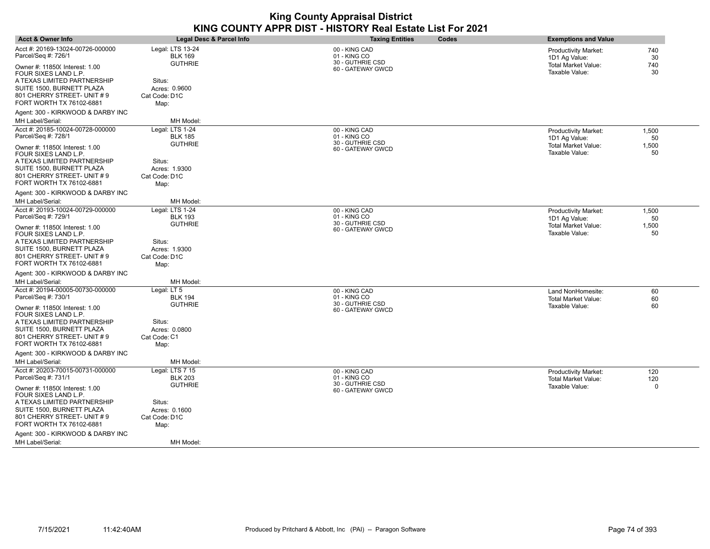| <b>Acct &amp; Owner Info</b>                                                                                        | Legal Desc & Parcel Info                         | <b>Taxing Entities</b><br><b>Codes</b>            | <b>Exemptions and Value</b>                                             |
|---------------------------------------------------------------------------------------------------------------------|--------------------------------------------------|---------------------------------------------------|-------------------------------------------------------------------------|
| Acct #: 20169-13024-00726-000000<br>Parcel/Seq #: 726/1                                                             | Legal: LTS 13-24<br><b>BLK 169</b>               | 00 - KING CAD<br>01 - KING CO                     | <b>Productivity Market:</b><br>740<br>1D1 Ag Value:<br>30               |
| Owner #: 11850( Interest: 1.00<br>FOUR SIXES LAND L.P.<br>A TEXAS LIMITED PARTNERSHIP                               | <b>GUTHRIE</b><br>Situs:                         | 30 - GUTHRIE CSD<br>60 - GATEWAY GWCD             | <b>Total Market Value:</b><br>740<br>Taxable Value:<br>30               |
| SUITE 1500, BURNETT PLAZA<br>801 CHERRY STREET- UNIT # 9<br>FORT WORTH TX 76102-6881                                | Acres: 0.9600<br>Cat Code: D1C<br>Map:           |                                                   |                                                                         |
| Agent: 300 - KIRKWOOD & DARBY INC<br>MH Label/Serial:                                                               | MH Model:                                        |                                                   |                                                                         |
| Acct #: 20185-10024-00728-000000<br>Parcel/Seq #: 728/1                                                             | Legal: LTS 1-24<br><b>BLK 185</b>                | 00 - KING CAD<br>01 - KING CO                     | <b>Productivity Market:</b><br>1,500<br>1D1 Ag Value:<br>50             |
| Owner #: 11850( Interest: 1.00<br>FOUR SIXES LAND L.P.                                                              | <b>GUTHRIE</b>                                   | 30 - GUTHRIE CSD<br>60 - GATEWAY GWCD             | <b>Total Market Value:</b><br>1,500<br>Taxable Value:<br>50             |
| A TEXAS LIMITED PARTNERSHIP<br>SUITE 1500, BURNETT PLAZA<br>801 CHERRY STREET- UNIT # 9<br>FORT WORTH TX 76102-6881 | Situs:<br>Acres: 1.9300<br>Cat Code: D1C<br>Map: |                                                   |                                                                         |
| Agent: 300 - KIRKWOOD & DARBY INC                                                                                   |                                                  |                                                   |                                                                         |
| MH Label/Serial:<br>Acct #: 20193-10024-00729-000000                                                                | MH Model:<br>Legal: LTS 1-24                     |                                                   |                                                                         |
| Parcel/Seq #: 729/1                                                                                                 | <b>BLK 193</b><br><b>GUTHRIE</b>                 | 00 - KING CAD<br>01 - KING CO<br>30 - GUTHRIE CSD | 1,500<br><b>Productivity Market:</b><br>50<br>1D1 Ag Value:             |
| Owner #: 11850( Interest: 1.00<br>FOUR SIXES LAND L.P.                                                              |                                                  | 60 - GATEWAY GWCD                                 | 1,500<br>Total Market Value:<br>Taxable Value:<br>50                    |
| A TEXAS LIMITED PARTNERSHIP<br>SUITE 1500, BURNETT PLAZA                                                            | Situs:<br>Acres: 1.9300                          |                                                   |                                                                         |
| 801 CHERRY STREET- UNIT # 9<br>FORT WORTH TX 76102-6881                                                             | Cat Code: D1C<br>Map:                            |                                                   |                                                                         |
| Agent: 300 - KIRKWOOD & DARBY INC                                                                                   |                                                  |                                                   |                                                                         |
| MH Label/Serial:                                                                                                    | MH Model:                                        |                                                   |                                                                         |
| Acct #: 20194-00005-00730-000000<br>Parcel/Seq #: 730/1                                                             | Legal: LT 5<br><b>BLK 194</b><br><b>GUTHRIE</b>  | 00 - KING CAD<br>01 - KING CO<br>30 - GUTHRIE CSD | Land NonHomesite:<br>60<br>60<br><b>Total Market Value:</b>             |
| Owner #: 11850( Interest: 1.00<br>FOUR SIXES LAND L.P.                                                              |                                                  | 60 - GATEWAY GWCD                                 | 60<br>Taxable Value:                                                    |
| A TEXAS LIMITED PARTNERSHIP<br>SUITE 1500, BURNETT PLAZA<br>801 CHERRY STREET- UNIT # 9                             | Situs:<br>Acres: 0.0800<br>Cat Code: C1          |                                                   |                                                                         |
| FORT WORTH TX 76102-6881                                                                                            | Map:                                             |                                                   |                                                                         |
| Agent: 300 - KIRKWOOD & DARBY INC<br>MH Label/Serial:                                                               | MH Model:                                        |                                                   |                                                                         |
| Acct #: 20203-70015-00731-000000                                                                                    | Legal: LTS 7 15                                  |                                                   |                                                                         |
| Parcel/Seq #: 731/1                                                                                                 | <b>BLK 203</b>                                   | 00 - KING CAD<br>01 - KING CO                     | <b>Productivity Market:</b><br>120<br><b>Total Market Value:</b><br>120 |
| Owner #: 11850( Interest: 1.00<br>FOUR SIXES LAND L.P.                                                              | <b>GUTHRIE</b>                                   | 30 - GUTHRIE CSD<br>60 - GATEWAY GWCD             | Taxable Value:<br>0                                                     |
| A TEXAS LIMITED PARTNERSHIP                                                                                         | Situs:                                           |                                                   |                                                                         |
| SUITE 1500, BURNETT PLAZA                                                                                           | Acres: 0.1600                                    |                                                   |                                                                         |
| 801 CHERRY STREET- UNIT # 9<br>FORT WORTH TX 76102-6881                                                             | Cat Code: D1C<br>Map:                            |                                                   |                                                                         |
| Agent: 300 - KIRKWOOD & DARBY INC                                                                                   |                                                  |                                                   |                                                                         |
| <b>MH Label/Serial:</b>                                                                                             | MH Model:                                        |                                                   |                                                                         |

 $\overline{\phantom{a}}$ 

 $\overline{\phantom{a}}$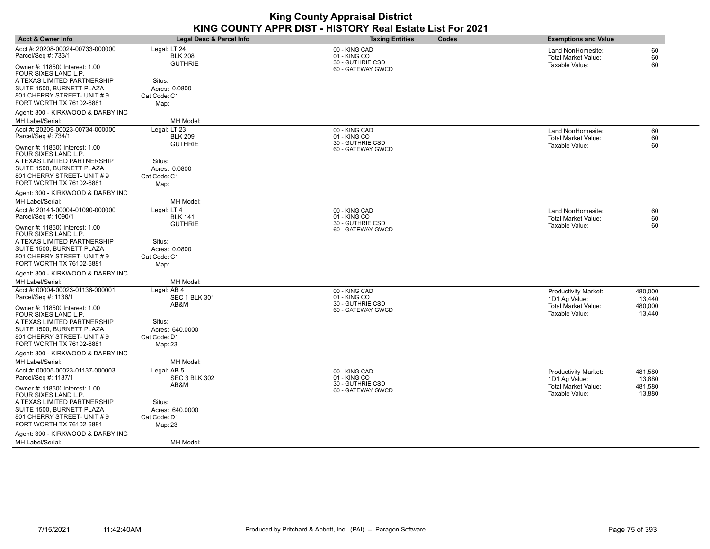| <b>Acct &amp; Owner Info</b>                             | Legal Desc & Parcel Info       | <b>Taxing Entities</b><br>Codes       | <b>Exemptions and Value</b>                                       |
|----------------------------------------------------------|--------------------------------|---------------------------------------|-------------------------------------------------------------------|
| Acct #: 20208-00024-00733-000000<br>Parcel/Seq #: 733/1  | Legal: LT 24<br><b>BLK 208</b> | 00 - KING CAD<br>01 - KING CO         | 60<br>Land NonHomesite:<br><b>Total Market Value:</b><br>60       |
| Owner #: 11850( Interest: 1.00<br>FOUR SIXES LAND L.P.   | <b>GUTHRIE</b>                 | 30 - GUTHRIE CSD<br>60 - GATEWAY GWCD | Taxable Value:<br>60                                              |
| A TEXAS LIMITED PARTNERSHIP<br>SUITE 1500, BURNETT PLAZA | Situs:<br>Acres: 0.0800        |                                       |                                                                   |
| 801 CHERRY STREET- UNIT #9                               | Cat Code: C1                   |                                       |                                                                   |
| FORT WORTH TX 76102-6881                                 | Map:                           |                                       |                                                                   |
| Agent: 300 - KIRKWOOD & DARBY INC                        |                                |                                       |                                                                   |
| MH Label/Serial:<br>Acct #: 20209-00023-00734-000000     | MH Model:<br>Legal: LT 23      |                                       |                                                                   |
| Parcel/Seq #: 734/1                                      | <b>BLK 209</b>                 | 00 - KING CAD<br>01 - KING CO         | 60<br>Land NonHomesite:<br><b>Total Market Value:</b><br>60       |
| Owner #: 11850( Interest: 1.00                           | <b>GUTHRIE</b>                 | 30 - GUTHRIE CSD<br>60 - GATEWAY GWCD | Taxable Value:<br>60                                              |
| FOUR SIXES LAND L.P.                                     |                                |                                       |                                                                   |
| A TEXAS LIMITED PARTNERSHIP                              | Situs:                         |                                       |                                                                   |
| SUITE 1500, BURNETT PLAZA<br>801 CHERRY STREET- UNIT #9  | Acres: 0.0800                  |                                       |                                                                   |
| FORT WORTH TX 76102-6881                                 | Cat Code: C1<br>Map:           |                                       |                                                                   |
| Agent: 300 - KIRKWOOD & DARBY INC                        |                                |                                       |                                                                   |
| MH Label/Serial:                                         | MH Model:                      |                                       |                                                                   |
| Acct #: 20141-00004-01090-000000                         | Legal: LT 4                    | 00 - KING CAD                         | 60<br>Land NonHomesite:                                           |
| Parcel/Seq #: 1090/1                                     | <b>BLK 141</b>                 | 01 - KING CO                          | 60<br><b>Total Market Value:</b>                                  |
| Owner #: 11850( Interest: 1.00<br>FOUR SIXES LAND L.P.   | <b>GUTHRIE</b>                 | 30 - GUTHRIE CSD<br>60 - GATEWAY GWCD | Taxable Value:<br>60                                              |
| A TEXAS LIMITED PARTNERSHIP                              | Situs:                         |                                       |                                                                   |
| SUITE 1500, BURNETT PLAZA                                | Acres: 0.0800                  |                                       |                                                                   |
| 801 CHERRY STREET- UNIT # 9                              | Cat Code: C1                   |                                       |                                                                   |
| FORT WORTH TX 76102-6881                                 | Map:                           |                                       |                                                                   |
| Agent: 300 - KIRKWOOD & DARBY INC<br>MH Label/Serial:    | MH Model:                      |                                       |                                                                   |
| Acct #: 00004-00023-01136-000001                         | Legal: AB 4                    | 00 - KING CAD                         | 480,000<br><b>Productivity Market:</b>                            |
| Parcel/Seq #: 1136/1                                     | <b>SEC 1 BLK 301</b>           | 01 - KING CO                          | 1D1 Ag Value:<br>13,440                                           |
| Owner #: 11850( Interest: 1.00                           | AB&M                           | 30 - GUTHRIE CSD                      | Total Market Value:<br>480,000                                    |
| FOUR SIXES LAND L.P.                                     |                                | 60 - GATEWAY GWCD                     | Taxable Value:<br>13,440                                          |
| A TEXAS LIMITED PARTNERSHIP                              | Situs:                         |                                       |                                                                   |
| SUITE 1500, BURNETT PLAZA                                | Acres: 640.0000                |                                       |                                                                   |
| 801 CHERRY STREET- UNIT # 9                              | Cat Code: D1                   |                                       |                                                                   |
| FORT WORTH TX 76102-6881                                 | Map: 23                        |                                       |                                                                   |
| Agent: 300 - KIRKWOOD & DARBY INC                        |                                |                                       |                                                                   |
| MH Label/Serial:                                         | MH Model:                      |                                       |                                                                   |
| Acct #: 00005-00023-01137-000003                         | Legal: AB 5                    | 00 - KING CAD                         | <b>Productivity Market:</b><br>481,580                            |
| Parcel/Seq #: 1137/1                                     | <b>SEC 3 BLK 302</b><br>AB&M   | 01 - KING CO<br>30 - GUTHRIE CSD      | 1D1 Ag Value:<br>13,880                                           |
| Owner #: 11850( Interest: 1.00<br>FOUR SIXES LAND L.P.   |                                | 60 - GATEWAY GWCD                     | <b>Total Market Value:</b><br>481,580<br>Taxable Value:<br>13,880 |
| A TEXAS LIMITED PARTNERSHIP                              | Situs:                         |                                       |                                                                   |
| SUITE 1500, BURNETT PLAZA                                | Acres: 640.0000                |                                       |                                                                   |
| 801 CHERRY STREET- UNIT # 9                              | Cat Code: D1                   |                                       |                                                                   |
| FORT WORTH TX 76102-6881                                 | Map: 23                        |                                       |                                                                   |
| Agent: 300 - KIRKWOOD & DARBY INC                        |                                |                                       |                                                                   |
| <b>MH Label/Serial:</b>                                  | MH Model:                      |                                       |                                                                   |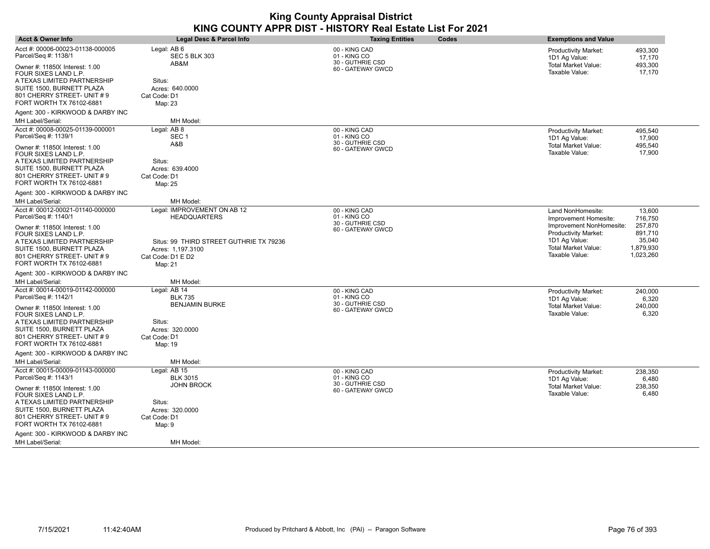| <b>Acct &amp; Owner Info</b>                             | Legal Desc & Parcel Info                           | <b>Taxing Entities</b><br>Codes       | <b>Exemptions and Value</b>                                                   |
|----------------------------------------------------------|----------------------------------------------------|---------------------------------------|-------------------------------------------------------------------------------|
| Acct #: 00006-00023-01138-000005<br>Parcel/Seq #: 1138/1 | Legal: AB 6<br><b>SEC 5 BLK 303</b>                | 00 - KING CAD<br>01 - KING CO         | <b>Productivity Market:</b><br>493,300<br>1D1 Ag Value:<br>17,170             |
| Owner #: 11850( Interest: 1.00<br>FOUR SIXES LAND L.P.   | AB&M                                               | 30 - GUTHRIE CSD<br>60 - GATEWAY GWCD | Total Market Value:<br>493,300<br>Taxable Value:<br>17,170                    |
| A TEXAS LIMITED PARTNERSHIP<br>SUITE 1500, BURNETT PLAZA | Situs:<br>Acres: 640.0000                          |                                       |                                                                               |
| 801 CHERRY STREET- UNIT #9<br>FORT WORTH TX 76102-6881   | Cat Code: D1<br>Map: 23                            |                                       |                                                                               |
| Agent: 300 - KIRKWOOD & DARBY INC<br>MH Label/Serial:    | MH Model:                                          |                                       |                                                                               |
| Acct #: 00008-00025-01139-000001<br>Parcel/Seq #: 1139/1 | Legal: AB 8<br>SEC <sub>1</sub>                    | 00 - KING CAD<br>01 - KING CO         | 495,540<br><b>Productivity Market:</b><br>1D1 Ag Value:<br>17,900             |
| Owner #: 11850( Interest: 1.00<br>FOUR SIXES LAND L.P.   | A&B                                                | 30 - GUTHRIE CSD<br>60 - GATEWAY GWCD | Total Market Value:<br>495,540<br>Taxable Value:<br>17,900                    |
| A TEXAS LIMITED PARTNERSHIP                              | Situs:                                             |                                       |                                                                               |
| SUITE 1500, BURNETT PLAZA                                | Acres: 639.4000                                    |                                       |                                                                               |
| 801 CHERRY STREET- UNIT #9<br>FORT WORTH TX 76102-6881   | Cat Code: D1<br>Map: 25                            |                                       |                                                                               |
| Agent: 300 - KIRKWOOD & DARBY INC                        |                                                    |                                       |                                                                               |
| MH Label/Serial:                                         | MH Model:                                          |                                       |                                                                               |
| Acct #: 00012-00021-01140-000000<br>Parcel/Seq #: 1140/1 | Legal: IMPROVEMENT ON AB 12<br><b>HEADQUARTERS</b> | 00 - KING CAD<br>01 - KING CO         | 13,600<br>Land NonHomesite:<br>716,750<br>Improvement Homesite:               |
| Owner #: 11850( Interest: 1.00<br>FOUR SIXES LAND L.P.   |                                                    | 30 - GUTHRIE CSD<br>60 - GATEWAY GWCD | 257,870<br>Improvement NonHomesite:<br><b>Productivity Market:</b><br>891,710 |
| A TEXAS LIMITED PARTNERSHIP                              | Situs: 99 THIRD STREET GUTHRIE TX 79236            |                                       | 1D1 Ag Value:<br>35,040<br><b>Total Market Value:</b><br>1,879,930            |
| SUITE 1500, BURNETT PLAZA<br>801 CHERRY STREET- UNIT # 9 | Acres: 1.197.3100<br>Cat Code: D1 E D2             |                                       | Taxable Value:<br>1,023,260                                                   |
| FORT WORTH TX 76102-6881                                 | Map: 21                                            |                                       |                                                                               |
| Agent: 300 - KIRKWOOD & DARBY INC                        |                                                    |                                       |                                                                               |
| MH Label/Serial:                                         | MH Model:                                          |                                       |                                                                               |
| Acct #: 00014-00019-01142-000000                         | Legal: AB 14                                       | 00 - KING CAD                         | <b>Productivity Market:</b><br>240,000                                        |
| Parcel/Seq #: 1142/1                                     | <b>BLK 735</b>                                     | 01 - KING CO                          | 6,320<br>1D1 Ag Value:                                                        |
| Owner #: 11850( Interest: 1.00<br>FOUR SIXES LAND L.P.   | <b>BENJAMIN BURKE</b>                              | 30 - GUTHRIE CSD<br>60 - GATEWAY GWCD | <b>Total Market Value:</b><br>240,000<br>Taxable Value:<br>6,320              |
| A TEXAS LIMITED PARTNERSHIP                              | Situs:                                             |                                       |                                                                               |
| SUITE 1500, BURNETT PLAZA                                | Acres: 320.0000                                    |                                       |                                                                               |
| 801 CHERRY STREET- UNIT # 9<br>FORT WORTH TX 76102-6881  | Cat Code: D1<br>Map: 19                            |                                       |                                                                               |
| Agent: 300 - KIRKWOOD & DARBY INC                        |                                                    |                                       |                                                                               |
| MH Label/Serial:                                         | MH Model:                                          |                                       |                                                                               |
| Acct #: 00015-00009-01143-000000                         | Legal: AB 15                                       | 00 - KING CAD                         | <b>Productivity Market:</b><br>238,350                                        |
| Parcel/Seq #: 1143/1                                     | <b>BLK 3015</b>                                    | 01 - KING CO                          | 1D1 Ag Value:<br>6,480                                                        |
| Owner #: 11850( Interest: 1.00<br>FOUR SIXES LAND L.P.   | <b>JOHN BROCK</b>                                  | 30 - GUTHRIE CSD<br>60 - GATEWAY GWCD | <b>Total Market Value:</b><br>238,350<br>Taxable Value:<br>6,480              |
| A TEXAS LIMITED PARTNERSHIP                              | Situs:                                             |                                       |                                                                               |
| SUITE 1500, BURNETT PLAZA                                | Acres: 320.0000                                    |                                       |                                                                               |
| 801 CHERRY STREET- UNIT # 9<br>FORT WORTH TX 76102-6881  | Cat Code: D1<br>Map: 9                             |                                       |                                                                               |
| Agent: 300 - KIRKWOOD & DARBY INC                        |                                                    |                                       |                                                                               |
| <b>MH Label/Serial:</b>                                  | MH Model:                                          |                                       |                                                                               |

 $\overline{\phantom{a}}$ 

 $\overline{\phantom{a}}$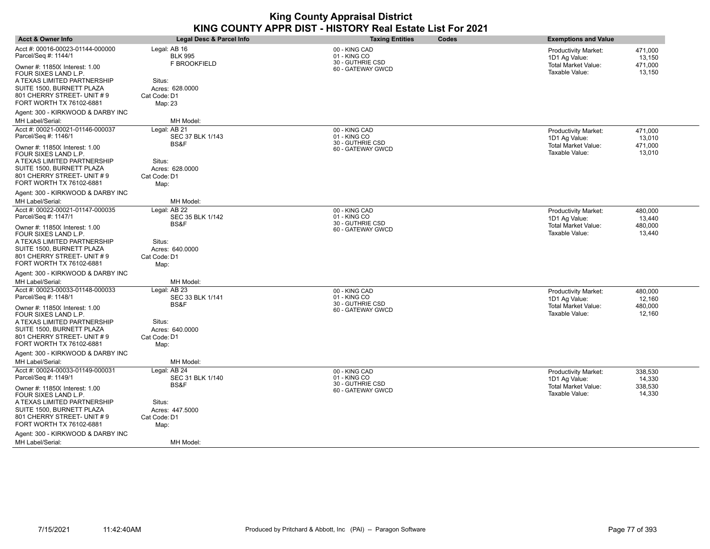| <b>Acct &amp; Owner Info</b>                                                                                                                                                                                                             | <b>Legal Desc &amp; Parcel Info</b>                                                                    | <b>Taxing Entities</b>                                                 | Codes | <b>Exemptions and Value</b>                                                           |                                        |
|------------------------------------------------------------------------------------------------------------------------------------------------------------------------------------------------------------------------------------------|--------------------------------------------------------------------------------------------------------|------------------------------------------------------------------------|-------|---------------------------------------------------------------------------------------|----------------------------------------|
| Acct #: 00016-00023-01144-000000<br>Parcel/Seq #: 1144/1<br>Owner #: 11850( Interest: 1.00<br>FOUR SIXES LAND L.P.<br>A TEXAS LIMITED PARTNERSHIP<br>SUITE 1500, BURNETT PLAZA<br>801 CHERRY STREET- UNIT #9<br>FORT WORTH TX 76102-6881 | Legal: AB 16<br><b>BLK 995</b><br>F BROOKFIELD<br>Situs:<br>Acres: 628,0000<br>Cat Code: D1<br>Map: 23 | 00 - KING CAD<br>01 - KING CO<br>30 - GUTHRIE CSD<br>60 - GATEWAY GWCD |       | <b>Productivity Market:</b><br>1D1 Ag Value:<br>Total Market Value:<br>Taxable Value: | 471,000<br>13,150<br>471,000<br>13,150 |
| Agent: 300 - KIRKWOOD & DARBY INC                                                                                                                                                                                                        |                                                                                                        |                                                                        |       |                                                                                       |                                        |
| MH Label/Serial:                                                                                                                                                                                                                         | MH Model:                                                                                              |                                                                        |       |                                                                                       |                                        |
| Acct #: 00021-00021-01146-000037<br>Parcel/Seq #: 1146/1<br>Owner #: 11850( Interest: 1.00                                                                                                                                               | Legal: AB 21<br>SEC 37 BLK 1/143<br>BS&F                                                               | 00 - KING CAD<br>01 - KING CO<br>30 - GUTHRIE CSD                      |       | <b>Productivity Market:</b><br>1D1 Ag Value:<br><b>Total Market Value:</b>            | 471,000<br>13,010<br>471,000           |
| FOUR SIXES LAND L.P.                                                                                                                                                                                                                     |                                                                                                        | 60 - GATEWAY GWCD                                                      |       | Taxable Value:                                                                        | 13,010                                 |
| A TEXAS LIMITED PARTNERSHIP<br>SUITE 1500, BURNETT PLAZA<br>801 CHERRY STREET- UNIT #9<br>FORT WORTH TX 76102-6881                                                                                                                       | Situs:<br>Acres: 628.0000<br>Cat Code: D1<br>Map:                                                      |                                                                        |       |                                                                                       |                                        |
| Agent: 300 - KIRKWOOD & DARBY INC                                                                                                                                                                                                        |                                                                                                        |                                                                        |       |                                                                                       |                                        |
| MH Label/Serial:                                                                                                                                                                                                                         | MH Model:                                                                                              |                                                                        |       |                                                                                       |                                        |
| Acct #: 00022-00021-01147-000035<br>Parcel/Seq #: 1147/1                                                                                                                                                                                 | Legal: AB 22<br>SEC 35 BLK 1/142                                                                       | 00 - KING CAD<br>01 - KING CO<br>30 - GUTHRIE CSD                      |       | Productivity Market:<br>1D1 Ag Value:                                                 | 480,000<br>13,440                      |
| Owner #: 11850( Interest: 1.00<br>FOUR SIXES LAND L.P.<br>A TEXAS LIMITED PARTNERSHIP<br>SUITE 1500, BURNETT PLAZA<br>801 CHERRY STREET- UNIT #9<br>FORT WORTH TX 76102-6881                                                             | BS&F<br>Situs:<br>Acres: 640,0000<br>Cat Code: D1<br>Map:                                              | 60 - GATEWAY GWCD                                                      |       | Total Market Value:<br>Taxable Value:                                                 | 480,000<br>13,440                      |
| Agent: 300 - KIRKWOOD & DARBY INC                                                                                                                                                                                                        |                                                                                                        |                                                                        |       |                                                                                       |                                        |
| MH Label/Serial:                                                                                                                                                                                                                         | MH Model:                                                                                              |                                                                        |       |                                                                                       |                                        |
| Acct #: 00023-00033-01148-000033<br>Parcel/Seq #: 1148/1<br>Owner #: 11850( Interest: 1.00                                                                                                                                               | Legal: AB 23<br>SEC 33 BLK 1/141<br>BS&F                                                               | 00 - KING CAD<br>01 - KING CO<br>30 - GUTHRIE CSD<br>60 - GATEWAY GWCD |       | Productivity Market:<br>1D1 Ag Value:<br>Total Market Value:<br>Taxable Value:        | 480,000<br>12,160<br>480,000<br>12,160 |
| FOUR SIXES LAND L.P.<br>A TEXAS LIMITED PARTNERSHIP<br>SUITE 1500, BURNETT PLAZA<br>801 CHERRY STREET- UNIT #9<br>FORT WORTH TX 76102-6881                                                                                               | Situs:<br>Acres: 640.0000<br>Cat Code: D1<br>Map:                                                      |                                                                        |       |                                                                                       |                                        |
| Agent: 300 - KIRKWOOD & DARBY INC                                                                                                                                                                                                        |                                                                                                        |                                                                        |       |                                                                                       |                                        |
| MH Label/Serial:                                                                                                                                                                                                                         | MH Model:                                                                                              |                                                                        |       |                                                                                       |                                        |
| Acct #: 00024-00033-01149-000031<br>Parcel/Seq #: 1149/1                                                                                                                                                                                 | Legal: AB 24<br>SEC 31 BLK 1/140                                                                       | 00 - KING CAD<br>01 - KING CO                                          |       | <b>Productivity Market:</b><br>1D1 Ag Value:                                          | 338,530<br>14,330                      |
| Owner #: 11850( Interest: 1.00<br>FOUR SIXES LAND L.P.<br>A TEXAS LIMITED PARTNERSHIP<br>SUITE 1500, BURNETT PLAZA<br>801 CHERRY STREET- UNIT #9                                                                                         | BS&F<br>Situs:<br>Acres: 447.5000<br>Cat Code: D1                                                      | 30 - GUTHRIE CSD<br>60 - GATEWAY GWCD                                  |       | <b>Total Market Value:</b><br>Taxable Value:                                          | 338,530<br>14,330                      |
| FORT WORTH TX 76102-6881                                                                                                                                                                                                                 | Map:                                                                                                   |                                                                        |       |                                                                                       |                                        |
| Agent: 300 - KIRKWOOD & DARBY INC<br>MH Label/Serial:                                                                                                                                                                                    | MH Model:                                                                                              |                                                                        |       |                                                                                       |                                        |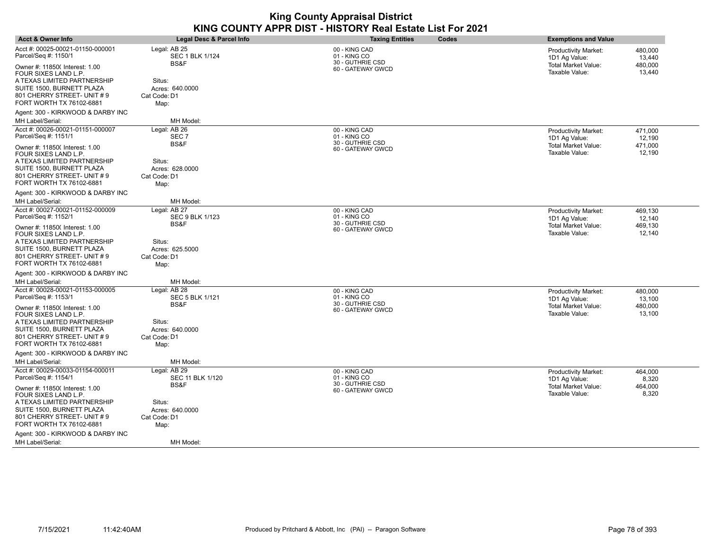| <b>Acct &amp; Owner Info</b>                                                           | <b>Legal Desc &amp; Parcel Info</b>      | Codes<br><b>Taxing Entities</b>                   | <b>Exemptions and Value</b>                                       |
|----------------------------------------------------------------------------------------|------------------------------------------|---------------------------------------------------|-------------------------------------------------------------------|
| Acct #: 00025-00021-01150-000001<br>Parcel/Seq #: 1150/1                               | Legal: AB 25<br><b>SEC 1 BLK 1/124</b>   | 00 - KING CAD<br>01 - KING CO                     | <b>Productivity Market:</b><br>480,000<br>1D1 Ag Value:<br>13,440 |
| Owner #: 11850( Interest: 1.00<br>FOUR SIXES LAND L.P.                                 | BS&F                                     | 30 - GUTHRIE CSD<br>60 - GATEWAY GWCD             | Total Market Value:<br>480,000<br>Taxable Value:<br>13,440        |
| A TEXAS LIMITED PARTNERSHIP<br>SUITE 1500, BURNETT PLAZA<br>801 CHERRY STREET- UNIT #9 | Situs:<br>Acres: 640.0000                |                                                   |                                                                   |
| FORT WORTH TX 76102-6881                                                               | Cat Code: D1<br>Map:                     |                                                   |                                                                   |
| Agent: 300 - KIRKWOOD & DARBY INC                                                      |                                          |                                                   |                                                                   |
| MH Label/Serial:                                                                       | MH Model:                                |                                                   |                                                                   |
| Acct #: 00026-00021-01151-000007<br>Parcel/Seq #: 1151/1                               | Legal: AB 26<br>SEC <sub>7</sub><br>BS&F | 00 - KING CAD<br>01 - KING CO<br>30 - GUTHRIE CSD | 471,000<br><b>Productivity Market:</b><br>1D1 Ag Value:<br>12,190 |
| Owner #: 11850( Interest: 1.00<br>FOUR SIXES LAND L.P.                                 |                                          | 60 - GATEWAY GWCD                                 | Total Market Value:<br>471,000<br>Taxable Value:<br>12,190        |
| A TEXAS LIMITED PARTNERSHIP                                                            | Situs:                                   |                                                   |                                                                   |
| SUITE 1500, BURNETT PLAZA                                                              | Acres: 628.0000                          |                                                   |                                                                   |
| 801 CHERRY STREET- UNIT #9<br>FORT WORTH TX 76102-6881                                 | Cat Code: D1<br>Map:                     |                                                   |                                                                   |
| Agent: 300 - KIRKWOOD & DARBY INC                                                      |                                          |                                                   |                                                                   |
| MH Label/Serial:                                                                       | MH Model:                                |                                                   |                                                                   |
| Acct #: 00027-00021-01152-000009                                                       | Legal: AB 27                             | 00 - KING CAD                                     | <b>Productivity Market:</b><br>469,130                            |
| Parcel/Seq #: 1152/1                                                                   | SEC 9 BLK 1/123                          | 01 - KING CO                                      | 1D1 Ag Value:<br>12,140                                           |
| Owner #: 11850( Interest: 1.00<br>FOUR SIXES LAND L.P.                                 | BS&F                                     | 30 - GUTHRIE CSD<br>60 - GATEWAY GWCD             | 469,130<br>Total Market Value:<br>Taxable Value:<br>12,140        |
| A TEXAS LIMITED PARTNERSHIP                                                            | Situs:                                   |                                                   |                                                                   |
| SUITE 1500, BURNETT PLAZA                                                              | Acres: 625.5000                          |                                                   |                                                                   |
| 801 CHERRY STREET- UNIT #9                                                             | Cat Code: D1                             |                                                   |                                                                   |
| FORT WORTH TX 76102-6881                                                               | Map:                                     |                                                   |                                                                   |
| Agent: 300 - KIRKWOOD & DARBY INC                                                      |                                          |                                                   |                                                                   |
| MH Label/Serial:                                                                       | MH Model:                                |                                                   |                                                                   |
| Acct #: 00028-00021-01153-000005                                                       | Legal: AB 28                             | 00 - KING CAD                                     | <b>Productivity Market:</b><br>480,000                            |
| Parcel/Seq #: 1153/1                                                                   | <b>SEC 5 BLK 1/121</b>                   | 01 - KING CO                                      | 1D1 Ag Value:<br>13,100                                           |
| Owner #: 11850( Interest: 1.00<br>FOUR SIXES LAND L.P.                                 | BS&F                                     | 30 - GUTHRIE CSD<br>60 - GATEWAY GWCD             | <b>Total Market Value:</b><br>480,000<br>Taxable Value:<br>13,100 |
| A TEXAS LIMITED PARTNERSHIP                                                            | Situs:                                   |                                                   |                                                                   |
| SUITE 1500, BURNETT PLAZA                                                              | Acres: 640,0000                          |                                                   |                                                                   |
| 801 CHERRY STREET- UNIT #9                                                             | Cat Code: D1                             |                                                   |                                                                   |
| FORT WORTH TX 76102-6881                                                               | Map:                                     |                                                   |                                                                   |
| Agent: 300 - KIRKWOOD & DARBY INC                                                      |                                          |                                                   |                                                                   |
| MH Label/Serial:                                                                       | MH Model:                                |                                                   |                                                                   |
| Acct #: 00029-00033-01154-000011                                                       | Legal: AB 29                             | 00 - KING CAD                                     | 464,000<br><b>Productivity Market:</b>                            |
| Parcel/Seq #: 1154/1                                                                   | SEC 11 BLK 1/120                         | 01 - KING CO                                      | 1D1 Ag Value:<br>8,320                                            |
| Owner #: 11850( Interest: 1.00<br>FOUR SIXES LAND L.P.                                 | BS&F                                     | 30 - GUTHRIE CSD<br>60 - GATEWAY GWCD             | <b>Total Market Value:</b><br>464,000<br>Taxable Value:<br>8,320  |
| A TEXAS LIMITED PARTNERSHIP                                                            | Situs:                                   |                                                   |                                                                   |
| SUITE 1500, BURNETT PLAZA                                                              | Acres: 640.0000                          |                                                   |                                                                   |
| 801 CHERRY STREET- UNIT #9                                                             | Cat Code: D1                             |                                                   |                                                                   |
| FORT WORTH TX 76102-6881                                                               | Map:                                     |                                                   |                                                                   |
| Agent: 300 - KIRKWOOD & DARBY INC                                                      |                                          |                                                   |                                                                   |
| MH Label/Serial:                                                                       | MH Model:                                |                                                   |                                                                   |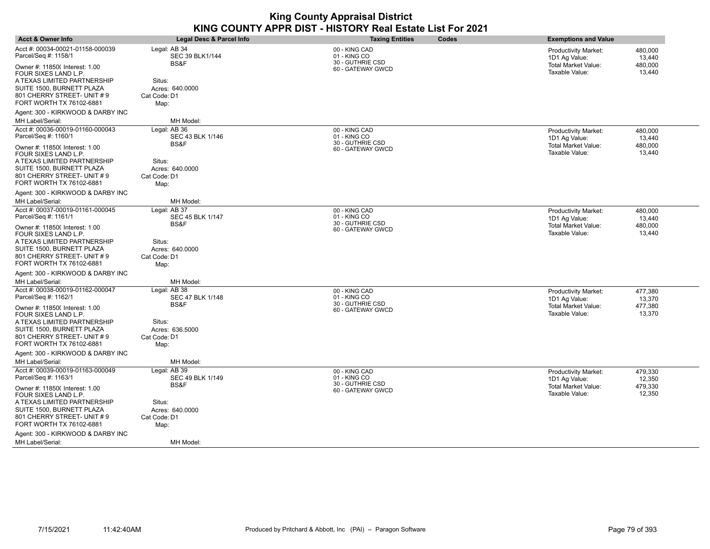| <b>Acct &amp; Owner Info</b>                                                                                       | <b>Legal Desc &amp; Parcel Info</b>               | <b>Taxing Entities</b><br>Codes                                        | <b>Exemptions and Value</b>                                                                                                     |
|--------------------------------------------------------------------------------------------------------------------|---------------------------------------------------|------------------------------------------------------------------------|---------------------------------------------------------------------------------------------------------------------------------|
| Acct #: 00034-00021-01158-000039<br>Parcel/Seq #: 1158/1<br>Owner #: 118500 Interest: 1.00<br>FOUR SIXES LAND L.P. | Legal: AB 34<br>SEC 39 BLK1/144<br>BS&F           | 00 - KING CAD<br>01 - KING CO<br>30 - GUTHRIE CSD<br>60 - GATEWAY GWCD | 480,000<br><b>Productivity Market:</b><br>1D1 Ag Value:<br>13,440<br>Total Market Value:<br>480,000<br>Taxable Value:<br>13,440 |
| A TEXAS LIMITED PARTNERSHIP<br>SUITE 1500, BURNETT PLAZA<br>801 CHERRY STREET- UNIT #9<br>FORT WORTH TX 76102-6881 | Situs:<br>Acres: 640.0000<br>Cat Code: D1<br>Map: |                                                                        |                                                                                                                                 |
| Agent: 300 - KIRKWOOD & DARBY INC<br>MH Label/Serial:                                                              | MH Model:                                         |                                                                        |                                                                                                                                 |
| Acct #: 00036-00019-01160-000043                                                                                   | Legal: AB 36                                      | 00 - KING CAD                                                          |                                                                                                                                 |
| Parcel/Seq #: 1160/1                                                                                               | SEC 43 BLK 1/146<br>BS&F                          | 01 - KING CO<br>30 - GUTHRIE CSD                                       | 480,000<br><b>Productivity Market:</b><br>1D1 Ag Value:<br>13,440                                                               |
| Owner #: 11850( Interest: 1.00<br>FOUR SIXES LAND L.P.                                                             |                                                   | 60 - GATEWAY GWCD                                                      | <b>Total Market Value:</b><br>480,000<br>Taxable Value:<br>13,440                                                               |
| A TEXAS LIMITED PARTNERSHIP                                                                                        | Situs:                                            |                                                                        |                                                                                                                                 |
| SUITE 1500, BURNETT PLAZA                                                                                          | Acres: 640,0000                                   |                                                                        |                                                                                                                                 |
| 801 CHERRY STREET- UNIT #9<br>FORT WORTH TX 76102-6881                                                             | Cat Code: D1<br>Map:                              |                                                                        |                                                                                                                                 |
| Agent: 300 - KIRKWOOD & DARBY INC                                                                                  |                                                   |                                                                        |                                                                                                                                 |
| MH Label/Serial:                                                                                                   | MH Model:                                         |                                                                        |                                                                                                                                 |
| Acct #: 00037-00019-01161-000045<br>Parcel/Seq #: 1161/1                                                           | Legal: AB 37<br>SEC 45 BLK 1/147                  | 00 - KING CAD<br>01 - KING CO                                          | Productivity Market:<br>480,000<br>1D1 Ag Value:<br>13.440                                                                      |
| Owner #: 11850( Interest: 1.00                                                                                     | BS&F                                              | 30 - GUTHRIE CSD<br>60 - GATEWAY GWCD                                  | <b>Total Market Value:</b><br>480,000                                                                                           |
| FOUR SIXES LAND L.P.                                                                                               |                                                   |                                                                        | Taxable Value:<br>13,440                                                                                                        |
| A TEXAS LIMITED PARTNERSHIP                                                                                        | Situs:                                            |                                                                        |                                                                                                                                 |
| SUITE 1500, BURNETT PLAZA<br>801 CHERRY STREET- UNIT #9                                                            | Acres: 640.0000                                   |                                                                        |                                                                                                                                 |
| FORT WORTH TX 76102-6881                                                                                           | Cat Code: D1<br>Map:                              |                                                                        |                                                                                                                                 |
| Agent: 300 - KIRKWOOD & DARBY INC                                                                                  |                                                   |                                                                        |                                                                                                                                 |
| MH Label/Serial:                                                                                                   | MH Model:                                         |                                                                        |                                                                                                                                 |
| Acct #: 00038-00019-01162-000047                                                                                   | Legal: AB 38                                      | 00 - KING CAD                                                          | 477,380<br><b>Productivity Market:</b>                                                                                          |
| Parcel/Seq #: 1162/1                                                                                               | SEC 47 BLK 1/148                                  | 01 - KING CO                                                           | 1D1 Ag Value:<br>13,370                                                                                                         |
| Owner #: 11850( Interest: 1.00                                                                                     | BS&F                                              | 30 - GUTHRIE CSD<br>60 - GATEWAY GWCD                                  | <b>Total Market Value:</b><br>477,380                                                                                           |
| FOUR SIXES LAND L.P.                                                                                               |                                                   |                                                                        | Taxable Value:<br>13,370                                                                                                        |
| A TEXAS LIMITED PARTNERSHIP                                                                                        | Situs:                                            |                                                                        |                                                                                                                                 |
| SUITE 1500, BURNETT PLAZA<br>801 CHERRY STREET- UNIT #9                                                            | Acres: 636,5000<br>Cat Code: D1                   |                                                                        |                                                                                                                                 |
| FORT WORTH TX 76102-6881                                                                                           | Map:                                              |                                                                        |                                                                                                                                 |
| Agent: 300 - KIRKWOOD & DARBY INC                                                                                  |                                                   |                                                                        |                                                                                                                                 |
| MH Label/Serial:                                                                                                   | MH Model:                                         |                                                                        |                                                                                                                                 |
| Acct #: 00039-00019-01163-000049                                                                                   | Legal: AB 39                                      | 00 - KING CAD                                                          | 479,330<br>Productivity Market:                                                                                                 |
| Parcel/Seq #: 1163/1                                                                                               | SEC 49 BLK 1/149                                  | 01 - KING CO                                                           | 1D1 Ag Value:<br>12,350                                                                                                         |
| Owner #: 11850( Interest: 1.00<br>FOUR SIXES LAND L.P.                                                             | BS&F                                              | 30 - GUTHRIE CSD<br>60 - GATEWAY GWCD                                  | 479,330<br>Total Market Value:<br>Taxable Value:<br>12,350                                                                      |
| A TEXAS LIMITED PARTNERSHIP                                                                                        | Situs:                                            |                                                                        |                                                                                                                                 |
| SUITE 1500, BURNETT PLAZA                                                                                          | Acres: 640.0000                                   |                                                                        |                                                                                                                                 |
| 801 CHERRY STREET- UNIT #9                                                                                         | Cat Code: D1                                      |                                                                        |                                                                                                                                 |
| FORT WORTH TX 76102-6881                                                                                           | Map:                                              |                                                                        |                                                                                                                                 |
| Agent: 300 - KIRKWOOD & DARBY INC                                                                                  |                                                   |                                                                        |                                                                                                                                 |
| MH Label/Serial:                                                                                                   | MH Model:                                         |                                                                        |                                                                                                                                 |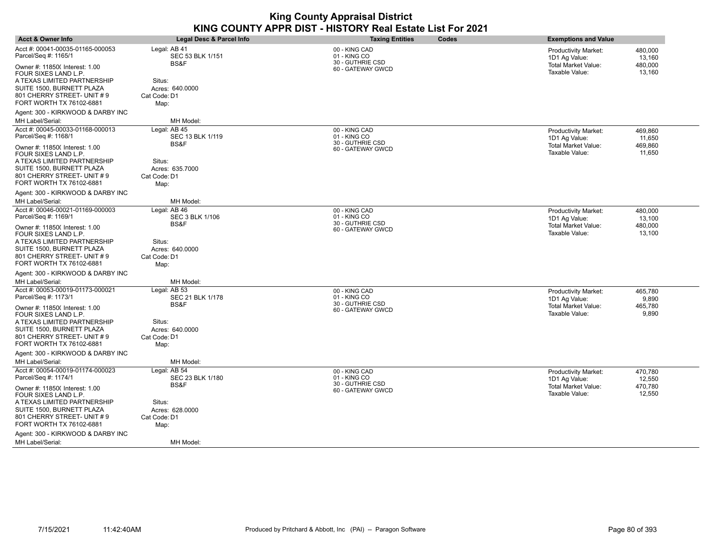| <b>Acct &amp; Owner Info</b>                                                                                                                                                                                                             | Legal Desc & Parcel Info                                                                      | <b>Taxing Entities</b>                                                 | Codes | <b>Exemptions and Value</b>                                                           |                                        |
|------------------------------------------------------------------------------------------------------------------------------------------------------------------------------------------------------------------------------------------|-----------------------------------------------------------------------------------------------|------------------------------------------------------------------------|-------|---------------------------------------------------------------------------------------|----------------------------------------|
| Acct #: 00041-00035-01165-000053<br>Parcel/Seq #: 1165/1<br>Owner #: 11850( Interest: 1.00<br>FOUR SIXES LAND L.P.<br>A TEXAS LIMITED PARTNERSHIP<br>SUITE 1500, BURNETT PLAZA<br>801 CHERRY STREET- UNIT #9<br>FORT WORTH TX 76102-6881 | Legal: AB 41<br>SEC 53 BLK 1/151<br>BS&F<br>Situs:<br>Acres: 640,0000<br>Cat Code: D1<br>Map: | 00 - KING CAD<br>01 - KING CO<br>30 - GUTHRIE CSD<br>60 - GATEWAY GWCD |       | <b>Productivity Market:</b><br>1D1 Ag Value:<br>Total Market Value:<br>Taxable Value: | 480,000<br>13,160<br>480,000<br>13,160 |
| Agent: 300 - KIRKWOOD & DARBY INC                                                                                                                                                                                                        |                                                                                               |                                                                        |       |                                                                                       |                                        |
| MH Label/Serial:                                                                                                                                                                                                                         | MH Model:                                                                                     |                                                                        |       |                                                                                       |                                        |
| Acct #: 00045-00033-01168-000013<br>Parcel/Seq #: 1168/1<br>Owner #: 11850( Interest: 1.00                                                                                                                                               | Legal: AB 45<br>SEC 13 BLK 1/119<br>BS&F                                                      | 00 - KING CAD<br>01 - KING CO<br>30 - GUTHRIE CSD<br>60 - GATEWAY GWCD |       | <b>Productivity Market:</b><br>1D1 Ag Value:<br><b>Total Market Value:</b>            | 469,860<br>11,650<br>469,860           |
| FOUR SIXES LAND L.P.                                                                                                                                                                                                                     |                                                                                               |                                                                        |       | Taxable Value:                                                                        | 11,650                                 |
| A TEXAS LIMITED PARTNERSHIP<br>SUITE 1500, BURNETT PLAZA<br>801 CHERRY STREET- UNIT #9<br>FORT WORTH TX 76102-6881                                                                                                                       | Situs:<br>Acres: 635.7000<br>Cat Code: D1<br>Map:                                             |                                                                        |       |                                                                                       |                                        |
| Agent: 300 - KIRKWOOD & DARBY INC                                                                                                                                                                                                        |                                                                                               |                                                                        |       |                                                                                       |                                        |
| MH Label/Serial:                                                                                                                                                                                                                         | MH Model:                                                                                     |                                                                        |       |                                                                                       |                                        |
| Acct #: 00046-00021-01169-000003<br>Parcel/Seq #: 1169/1                                                                                                                                                                                 | Legal: AB 46<br>SEC 3 BLK 1/106<br>BS&F                                                       | 00 - KING CAD<br>01 - KING CO<br>30 - GUTHRIE CSD                      |       | Productivity Market:<br>1D1 Ag Value:                                                 | 480,000<br>13,100                      |
| Owner #: 11850( Interest: 1.00<br>FOUR SIXES LAND L.P.<br>A TEXAS LIMITED PARTNERSHIP<br>SUITE 1500, BURNETT PLAZA<br>801 CHERRY STREET- UNIT #9<br>FORT WORTH TX 76102-6881                                                             | Situs:<br>Acres: 640,0000<br>Cat Code: D1<br>Map:                                             | 60 - GATEWAY GWCD                                                      |       | <b>Total Market Value:</b><br>Taxable Value:                                          | 480,000<br>13,100                      |
| Agent: 300 - KIRKWOOD & DARBY INC                                                                                                                                                                                                        |                                                                                               |                                                                        |       |                                                                                       |                                        |
| MH Label/Serial:                                                                                                                                                                                                                         | MH Model:                                                                                     |                                                                        |       |                                                                                       |                                        |
| Acct #: 00053-00019-01173-000021<br>Parcel/Seq #: 1173/1                                                                                                                                                                                 | Legal: AB 53<br>SEC 21 BLK 1/178<br>BS&F                                                      | 00 - KING CAD<br>01 - KING CO<br>30 - GUTHRIE CSD                      |       | <b>Productivity Market:</b><br>1D1 Ag Value:<br>Total Market Value:                   | 465,780<br>9,890<br>465,780            |
| Owner #: 11850( Interest: 1.00<br>FOUR SIXES LAND L.P.<br>A TEXAS LIMITED PARTNERSHIP<br>SUITE 1500, BURNETT PLAZA<br>801 CHERRY STREET- UNIT #9<br>FORT WORTH TX 76102-6881                                                             | Situs:<br>Acres: 640.0000<br>Cat Code: D1<br>Map:                                             | 60 - GATEWAY GWCD                                                      |       | Taxable Value:                                                                        | 9,890                                  |
| Agent: 300 - KIRKWOOD & DARBY INC                                                                                                                                                                                                        |                                                                                               |                                                                        |       |                                                                                       |                                        |
| MH Label/Serial:                                                                                                                                                                                                                         | MH Model:                                                                                     |                                                                        |       |                                                                                       |                                        |
| Acct #: 00054-00019-01174-000023<br>Parcel/Seq #: 1174/1                                                                                                                                                                                 | Legal: AB 54<br>SEC 23 BLK 1/180                                                              | 00 - KING CAD<br>01 - KING CO                                          |       | Productivity Market:<br>1D1 Ag Value:                                                 | 470,780<br>12,550                      |
| Owner #: 11850( Interest: 1.00<br>FOUR SIXES LAND L.P.                                                                                                                                                                                   | BS&F                                                                                          | 30 - GUTHRIE CSD<br>60 - GATEWAY GWCD                                  |       | <b>Total Market Value:</b><br>Taxable Value:                                          | 470,780<br>12,550                      |
| A TEXAS LIMITED PARTNERSHIP<br>SUITE 1500, BURNETT PLAZA<br>801 CHERRY STREET- UNIT #9<br>FORT WORTH TX 76102-6881                                                                                                                       | Situs:<br>Acres: 628.0000<br>Cat Code: D1<br>Map:                                             |                                                                        |       |                                                                                       |                                        |
| Agent: 300 - KIRKWOOD & DARBY INC                                                                                                                                                                                                        |                                                                                               |                                                                        |       |                                                                                       |                                        |
| MH Label/Serial:                                                                                                                                                                                                                         | MH Model:                                                                                     |                                                                        |       |                                                                                       |                                        |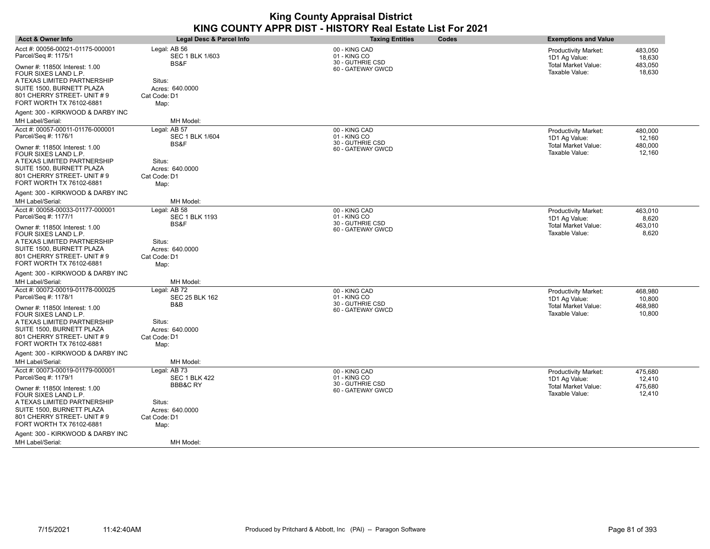| <b>Acct &amp; Owner Info</b>                                                                                                                                                                                                             | <b>Legal Desc &amp; Parcel Info</b>                                                                 | <b>Taxing Entities</b>                                                 | Codes | <b>Exemptions and Value</b>                                                           |                                        |
|------------------------------------------------------------------------------------------------------------------------------------------------------------------------------------------------------------------------------------------|-----------------------------------------------------------------------------------------------------|------------------------------------------------------------------------|-------|---------------------------------------------------------------------------------------|----------------------------------------|
| Acct #: 00056-00021-01175-000001<br>Parcel/Seq #: 1175/1<br>Owner #: 11850( Interest: 1.00<br>FOUR SIXES LAND L.P.<br>A TEXAS LIMITED PARTNERSHIP<br>SUITE 1500, BURNETT PLAZA<br>801 CHERRY STREET- UNIT #9<br>FORT WORTH TX 76102-6881 | Legal: AB 56<br><b>SEC 1 BLK 1/603</b><br>BS&F<br>Situs:<br>Acres: 640,0000<br>Cat Code: D1<br>Map: | 00 - KING CAD<br>01 - KING CO<br>30 - GUTHRIE CSD<br>60 - GATEWAY GWCD |       | <b>Productivity Market:</b><br>1D1 Ag Value:<br>Total Market Value:<br>Taxable Value: | 483,050<br>18,630<br>483,050<br>18,630 |
| Agent: 300 - KIRKWOOD & DARBY INC                                                                                                                                                                                                        |                                                                                                     |                                                                        |       |                                                                                       |                                        |
| MH Label/Serial:                                                                                                                                                                                                                         | MH Model:                                                                                           |                                                                        |       |                                                                                       |                                        |
| Acct #: 00057-00011-01176-000001<br>Parcel/Seq #: 1176/1<br>Owner #: 11850( Interest: 1.00                                                                                                                                               | Legal: AB 57<br><b>SEC 1 BLK 1/604</b><br>BS&F                                                      | 00 - KING CAD<br>01 - KING CO<br>30 - GUTHRIE CSD<br>60 - GATEWAY GWCD |       | <b>Productivity Market:</b><br>1D1 Ag Value:<br><b>Total Market Value:</b>            | 480,000<br>12,160<br>480,000           |
| FOUR SIXES LAND L.P.                                                                                                                                                                                                                     |                                                                                                     |                                                                        |       | Taxable Value:                                                                        | 12,160                                 |
| A TEXAS LIMITED PARTNERSHIP<br>SUITE 1500, BURNETT PLAZA<br>801 CHERRY STREET- UNIT #9<br>FORT WORTH TX 76102-6881                                                                                                                       | Situs:<br>Acres: 640.0000<br>Cat Code: D1<br>Map:                                                   |                                                                        |       |                                                                                       |                                        |
| Agent: 300 - KIRKWOOD & DARBY INC                                                                                                                                                                                                        |                                                                                                     |                                                                        |       |                                                                                       |                                        |
| MH Label/Serial:                                                                                                                                                                                                                         | MH Model:                                                                                           |                                                                        |       |                                                                                       |                                        |
| Acct #: 00058-00033-01177-000001<br>Parcel/Seq #: 1177/1                                                                                                                                                                                 | Legal: AB 58<br><b>SEC 1 BLK 1193</b><br>BS&F                                                       | 00 - KING CAD<br>01 - KING CO<br>30 - GUTHRIE CSD                      |       | Productivity Market:<br>1D1 Ag Value:                                                 | 463,010<br>8,620                       |
| Owner #: 11850( Interest: 1.00<br>FOUR SIXES LAND L.P.<br>A TEXAS LIMITED PARTNERSHIP<br>SUITE 1500, BURNETT PLAZA<br>801 CHERRY STREET- UNIT #9<br>FORT WORTH TX 76102-6881                                                             | Situs:<br>Acres: 640,0000<br>Cat Code: D1<br>Map:                                                   | 60 - GATEWAY GWCD                                                      |       | <b>Total Market Value:</b><br>Taxable Value:                                          | 463,010<br>8,620                       |
| Agent: 300 - KIRKWOOD & DARBY INC                                                                                                                                                                                                        |                                                                                                     |                                                                        |       |                                                                                       |                                        |
| MH Label/Serial:                                                                                                                                                                                                                         | MH Model:                                                                                           |                                                                        |       |                                                                                       |                                        |
| Acct #: 00072-00019-01178-000025<br>Parcel/Seq #: 1178/1                                                                                                                                                                                 | Legal: AB 72<br><b>SEC 25 BLK 162</b><br>B&B                                                        | 00 - KING CAD<br>01 - KING CO<br>30 - GUTHRIE CSD                      |       | <b>Productivity Market:</b><br>1D1 Ag Value:<br><b>Total Market Value:</b>            | 468,980<br>10,800<br>468,980           |
| Owner #: 11850( Interest: 1.00<br>FOUR SIXES LAND L.P.<br>A TEXAS LIMITED PARTNERSHIP<br>SUITE 1500, BURNETT PLAZA<br>801 CHERRY STREET- UNIT #9<br>FORT WORTH TX 76102-6881                                                             | Situs:<br>Acres: 640.0000<br>Cat Code: D1                                                           | 60 - GATEWAY GWCD                                                      |       | Taxable Value:                                                                        | 10,800                                 |
|                                                                                                                                                                                                                                          | Map:                                                                                                |                                                                        |       |                                                                                       |                                        |
| Agent: 300 - KIRKWOOD & DARBY INC<br>MH Label/Serial:                                                                                                                                                                                    | MH Model:                                                                                           |                                                                        |       |                                                                                       |                                        |
| Acct #: 00073-00019-01179-000001<br>Parcel/Seq #: 1179/1                                                                                                                                                                                 | Legal: AB 73<br><b>SEC 1 BLK 422</b>                                                                | 00 - KING CAD<br>01 - KING CO                                          |       | Productivity Market:<br>1D1 Ag Value:                                                 | 475,680<br>12,410                      |
| Owner #: 11850( Interest: 1.00<br>FOUR SIXES LAND L.P.                                                                                                                                                                                   | <b>BBB&amp;C RY</b>                                                                                 | 30 - GUTHRIE CSD<br>60 - GATEWAY GWCD                                  |       | <b>Total Market Value:</b><br>Taxable Value:                                          | 475,680<br>12,410                      |
| A TEXAS LIMITED PARTNERSHIP<br>SUITE 1500, BURNETT PLAZA<br>801 CHERRY STREET- UNIT #9<br>FORT WORTH TX 76102-6881                                                                                                                       | Situs:<br>Acres: 640.0000<br>Cat Code: D1<br>Map:                                                   |                                                                        |       |                                                                                       |                                        |
| Agent: 300 - KIRKWOOD & DARBY INC                                                                                                                                                                                                        |                                                                                                     |                                                                        |       |                                                                                       |                                        |
| MH Label/Serial:                                                                                                                                                                                                                         | MH Model:                                                                                           |                                                                        |       |                                                                                       |                                        |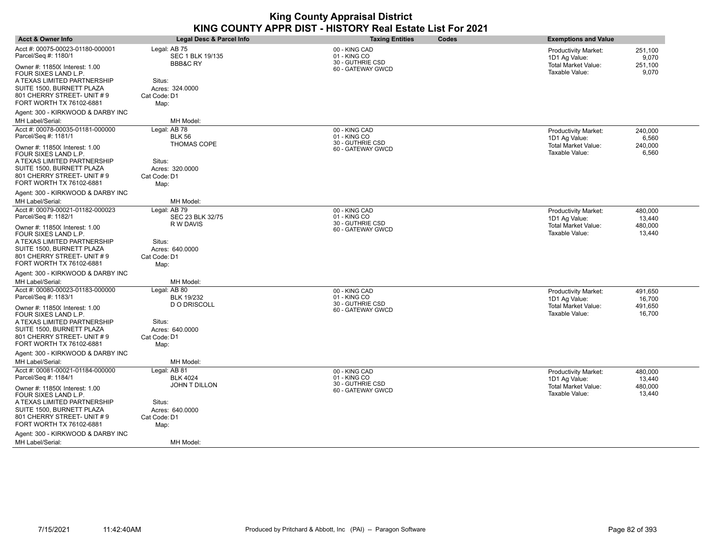| <b>Acct &amp; Owner Info</b>                             | Legal Desc & Parcel Info          | <b>Taxing Entities</b>                | Codes | <b>Exemptions and Value</b>                  |                   |
|----------------------------------------------------------|-----------------------------------|---------------------------------------|-------|----------------------------------------------|-------------------|
| Acct #: 00075-00023-01180-000001<br>Parcel/Seq #: 1180/1 | Legal: AB 75<br>SEC 1 BLK 19/135  | 00 - KING CAD<br>01 - KING CO         |       | <b>Productivity Market:</b><br>1D1 Ag Value: | 251,100<br>9,070  |
| Owner #: 11850( Interest: 1.00<br>FOUR SIXES LAND L.P.   | <b>BBB&amp;C RY</b>               | 30 - GUTHRIE CSD<br>60 - GATEWAY GWCD |       | Total Market Value:<br>Taxable Value:        | 251,100<br>9,070  |
| A TEXAS LIMITED PARTNERSHIP<br>SUITE 1500, BURNETT PLAZA | Situs:<br>Acres: 324.0000         |                                       |       |                                              |                   |
| 801 CHERRY STREET- UNIT # 9<br>FORT WORTH TX 76102-6881  | Cat Code: D1<br>Map:              |                                       |       |                                              |                   |
| Agent: 300 - KIRKWOOD & DARBY INC                        |                                   |                                       |       |                                              |                   |
| MH Label/Serial:                                         | MH Model:                         |                                       |       |                                              |                   |
| Acct #: 00078-00035-01181-000000<br>Parcel/Seq #: 1181/1 | Legal: AB 78<br><b>BLK 56</b>     | 00 - KING CAD<br>01 - KING CO         |       | <b>Productivity Market:</b><br>1D1 Ag Value: | 240,000<br>6,560  |
| Owner #: 11850( Interest: 1.00<br>FOUR SIXES LAND L.P.   | <b>THOMAS COPE</b>                | 30 - GUTHRIE CSD<br>60 - GATEWAY GWCD |       | Total Market Value:<br>Taxable Value:        | 240,000<br>6,560  |
| A TEXAS LIMITED PARTNERSHIP                              | Situs:                            |                                       |       |                                              |                   |
| SUITE 1500, BURNETT PLAZA                                | Acres: 320.0000                   |                                       |       |                                              |                   |
| 801 CHERRY STREET- UNIT # 9<br>FORT WORTH TX 76102-6881  | Cat Code: D1<br>Map:              |                                       |       |                                              |                   |
| Agent: 300 - KIRKWOOD & DARBY INC                        |                                   |                                       |       |                                              |                   |
| MH Label/Serial:                                         | MH Model:                         |                                       |       |                                              |                   |
| Acct #: 00079-00021-01182-000023                         | Legal: AB 79                      | 00 - KING CAD                         |       | <b>Productivity Market:</b>                  | 480,000           |
| Parcel/Seq #: 1182/1                                     | SEC 23 BLK 32/75                  | 01 - KING CO                          |       | 1D1 Ag Value:                                | 13,440            |
| Owner #: 11850( Interest: 1.00<br>FOUR SIXES LAND L.P.   | R W DAVIS                         | 30 - GUTHRIE CSD<br>60 - GATEWAY GWCD |       | Total Market Value:<br>Taxable Value:        | 480,000<br>13,440 |
| A TEXAS LIMITED PARTNERSHIP                              | Situs:                            |                                       |       |                                              |                   |
| SUITE 1500, BURNETT PLAZA                                | Acres: 640.0000                   |                                       |       |                                              |                   |
| 801 CHERRY STREET- UNIT #9                               | Cat Code: D1                      |                                       |       |                                              |                   |
| FORT WORTH TX 76102-6881                                 | Map:                              |                                       |       |                                              |                   |
| Agent: 300 - KIRKWOOD & DARBY INC                        |                                   |                                       |       |                                              |                   |
| MH Label/Serial:                                         | MH Model:                         |                                       |       |                                              |                   |
| Acct #: 00080-00023-01183-000000<br>Parcel/Seq #: 1183/1 | Legal: AB 80<br><b>BLK 19/232</b> | 00 - KING CAD<br>01 - KING CO         |       | <b>Productivity Market:</b><br>1D1 Ag Value: | 491,650<br>16,700 |
| Owner #: 11850( Interest: 1.00<br>FOUR SIXES LAND L.P.   | <b>DO DRISCOLL</b>                | 30 - GUTHRIE CSD<br>60 - GATEWAY GWCD |       | <b>Total Market Value:</b><br>Taxable Value: | 491,650<br>16,700 |
| A TEXAS LIMITED PARTNERSHIP                              | Situs:                            |                                       |       |                                              |                   |
| SUITE 1500, BURNETT PLAZA                                | Acres: 640.0000                   |                                       |       |                                              |                   |
| 801 CHERRY STREET- UNIT # 9                              | Cat Code: D1                      |                                       |       |                                              |                   |
| FORT WORTH TX 76102-6881                                 | Map:                              |                                       |       |                                              |                   |
| Agent: 300 - KIRKWOOD & DARBY INC                        |                                   |                                       |       |                                              |                   |
| MH Label/Serial:                                         | MH Model:                         |                                       |       |                                              |                   |
| Acct #: 00081-00021-01184-000000                         | Legal: AB 81                      | 00 - KING CAD                         |       | <b>Productivity Market:</b>                  | 480,000           |
| Parcel/Seq #: 1184/1                                     | <b>BLK 4024</b>                   | 01 - KING CO                          |       | 1D1 Ag Value:                                | 13,440            |
| Owner #: 11850( Interest: 1.00<br>FOUR SIXES LAND L.P.   | <b>JOHN T DILLON</b>              | 30 - GUTHRIE CSD<br>60 - GATEWAY GWCD |       | <b>Total Market Value:</b><br>Taxable Value: | 480,000<br>13,440 |
| A TEXAS LIMITED PARTNERSHIP                              | Situs:                            |                                       |       |                                              |                   |
| SUITE 1500, BURNETT PLAZA                                | Acres: 640.0000                   |                                       |       |                                              |                   |
| 801 CHERRY STREET- UNIT # 9                              | Cat Code: D1                      |                                       |       |                                              |                   |
| FORT WORTH TX 76102-6881                                 | Map:                              |                                       |       |                                              |                   |
| Agent: 300 - KIRKWOOD & DARBY INC                        |                                   |                                       |       |                                              |                   |
| <b>MH Label/Serial:</b>                                  | MH Model:                         |                                       |       |                                              |                   |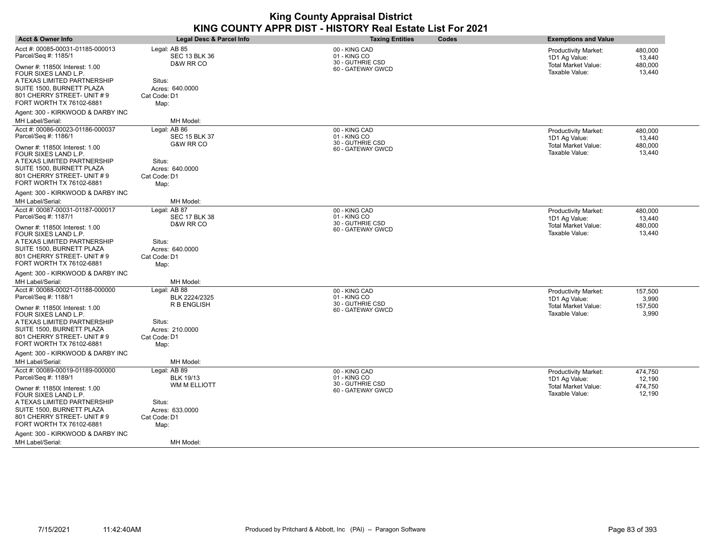| <b>Acct &amp; Owner Info</b>                                                                                        | Legal Desc & Parcel Info                          | <b>Taxing Entities</b>                                                 | Codes | <b>Exemptions and Value</b>                                                    |                                        |
|---------------------------------------------------------------------------------------------------------------------|---------------------------------------------------|------------------------------------------------------------------------|-------|--------------------------------------------------------------------------------|----------------------------------------|
| Acct #: 00085-00031-01185-000013<br>Parcel/Seq #: 1185/1<br>Owner #: 11850( Interest: 1.00<br>FOUR SIXES LAND L.P.  | Legal: AB 85<br><b>SEC 13 BLK 36</b><br>D&W RR CO | 00 - KING CAD<br>01 - KING CO<br>30 - GUTHRIE CSD<br>60 - GATEWAY GWCD |       | Productivity Market:<br>1D1 Ag Value:<br>Total Market Value:<br>Taxable Value: | 480,000<br>13,440<br>480,000<br>13,440 |
| A TEXAS LIMITED PARTNERSHIP<br>SUITE 1500, BURNETT PLAZA<br>801 CHERRY STREET- UNIT # 9<br>FORT WORTH TX 76102-6881 | Situs:<br>Acres: 640.0000<br>Cat Code: D1<br>Map: |                                                                        |       |                                                                                |                                        |
| Agent: 300 - KIRKWOOD & DARBY INC<br>MH Label/Serial:                                                               | MH Model:                                         |                                                                        |       |                                                                                |                                        |
| Acct #: 00086-00023-01186-000037<br>Parcel/Seq #: 1186/1                                                            | Legal: AB 86<br><b>SEC 15 BLK 37</b>              | 00 - KING CAD<br>01 - KING CO                                          |       | <b>Productivity Market:</b><br>1D1 Ag Value:                                   | 480,000<br>13,440                      |
| Owner #: 11850( Interest: 1.00<br>FOUR SIXES LAND L.P.                                                              | G&W RR CO                                         | 30 - GUTHRIE CSD<br>60 - GATEWAY GWCD                                  |       | <b>Total Market Value:</b><br>Taxable Value:                                   | 480.000<br>13,440                      |
| A TEXAS LIMITED PARTNERSHIP<br>SUITE 1500, BURNETT PLAZA<br>801 CHERRY STREET- UNIT #9<br>FORT WORTH TX 76102-6881  | Situs:<br>Acres: 640,0000<br>Cat Code: D1<br>Map: |                                                                        |       |                                                                                |                                        |
| Agent: 300 - KIRKWOOD & DARBY INC                                                                                   |                                                   |                                                                        |       |                                                                                |                                        |
| MH Label/Serial:                                                                                                    | MH Model:                                         |                                                                        |       |                                                                                |                                        |
| Acct #: 00087-00031-01187-000017<br>Parcel/Seq #: 1187/1                                                            | Legal: AB 87<br><b>SEC 17 BLK 38</b>              | 00 - KING CAD<br>01 - KING CO                                          |       | <b>Productivity Market:</b><br>1D1 Ag Value:                                   | 480.000<br>13,440                      |
| Owner #: 11850( Interest: 1.00<br>FOUR SIXES LAND L.P.                                                              | D&W RR CO                                         | 30 - GUTHRIE CSD<br>60 - GATEWAY GWCD                                  |       | Total Market Value:<br>Taxable Value:                                          | 480,000<br>13,440                      |
| A TEXAS LIMITED PARTNERSHIP<br>SUITE 1500, BURNETT PLAZA<br>801 CHERRY STREET- UNIT #9<br>FORT WORTH TX 76102-6881  | Situs:<br>Acres: 640.0000<br>Cat Code: D1<br>Map: |                                                                        |       |                                                                                |                                        |
| Agent: 300 - KIRKWOOD & DARBY INC                                                                                   |                                                   |                                                                        |       |                                                                                |                                        |
| MH Label/Serial:                                                                                                    | MH Model:                                         |                                                                        |       |                                                                                |                                        |
| Acct #: 00088-00021-01188-000000                                                                                    | Legal: AB 88                                      | 00 - KING CAD                                                          |       | <b>Productivity Market:</b>                                                    | 157,500                                |
| Parcel/Seq #: 1188/1<br>Owner #: 11850( Interest: 1.00<br>FOUR SIXES LAND L.P.                                      | BLK 2224/2325<br>R B ENGLISH                      | 01 - KING CO<br>30 - GUTHRIE CSD<br>60 - GATEWAY GWCD                  |       | 1D1 Ag Value:<br><b>Total Market Value:</b><br>Taxable Value:                  | 3,990<br>157,500<br>3,990              |
| A TEXAS LIMITED PARTNERSHIP<br>SUITE 1500, BURNETT PLAZA<br>801 CHERRY STREET- UNIT #9<br>FORT WORTH TX 76102-6881  | Situs:<br>Acres: 210,0000<br>Cat Code: D1<br>Map: |                                                                        |       |                                                                                |                                        |
| Agent: 300 - KIRKWOOD & DARBY INC<br>MH Label/Serial:                                                               | MH Model:                                         |                                                                        |       |                                                                                |                                        |
| Acct #: 00089-00019-01189-000000<br>Parcel/Seq #: 1189/1                                                            | Legal: AB 89<br><b>BLK 19/13</b>                  | 00 - KING CAD<br>01 - KING CO                                          |       | Productivity Market:<br>1D1 Ag Value:                                          | 474,750<br>12,190                      |
| Owner #: 11850( Interest: 1.00<br>FOUR SIXES LAND L.P.                                                              | WM M ELLIOTT                                      | 30 - GUTHRIE CSD<br>60 - GATEWAY GWCD                                  |       | Total Market Value:<br>Taxable Value:                                          | 474,750<br>12,190                      |
| A TEXAS LIMITED PARTNERSHIP<br>SUITE 1500, BURNETT PLAZA<br>801 CHERRY STREET- UNIT #9<br>FORT WORTH TX 76102-6881  | Situs:<br>Acres: 633.0000<br>Cat Code: D1<br>Map: |                                                                        |       |                                                                                |                                        |
| Agent: 300 - KIRKWOOD & DARBY INC                                                                                   |                                                   |                                                                        |       |                                                                                |                                        |
| <b>MH Label/Serial:</b>                                                                                             | MH Model:                                         |                                                                        |       |                                                                                |                                        |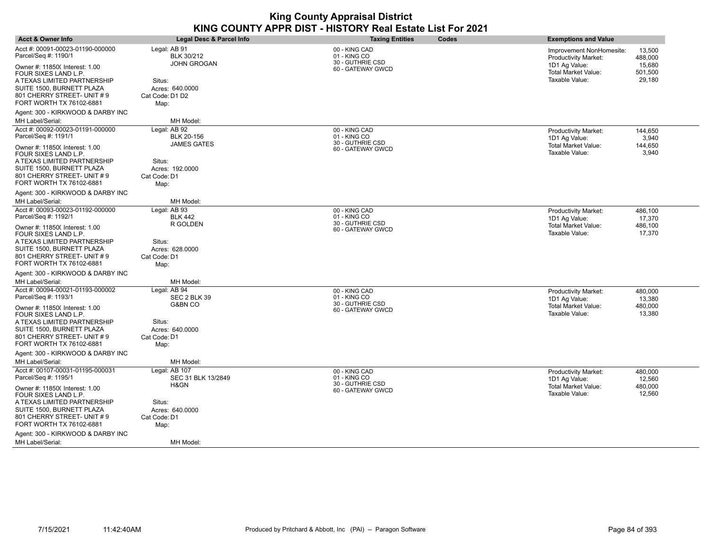| <b>Acct &amp; Owner Info</b>                                                                                                               | <b>Legal Desc &amp; Parcel Info</b>                  | <b>Taxing Entities</b>                                                 | Codes | <b>Exemptions and Value</b>                                                                     |                                        |
|--------------------------------------------------------------------------------------------------------------------------------------------|------------------------------------------------------|------------------------------------------------------------------------|-------|-------------------------------------------------------------------------------------------------|----------------------------------------|
| Acct #: 00091-00023-01190-000000<br>Parcel/Seq #: 1190/1<br>Owner #: 11850( Interest: 1.00                                                 | Legal: AB 91<br>BLK 30/212<br><b>JOHN GROGAN</b>     | 00 - KING CAD<br>01 - KING CO<br>30 - GUTHRIE CSD<br>60 - GATEWAY GWCD |       | Improvement NonHomesite:<br>Productivity Market:<br>1D1 Ag Value:<br><b>Total Market Value:</b> | 13,500<br>488,000<br>15,680<br>501,500 |
| FOUR SIXES LAND L.P.<br>A TEXAS LIMITED PARTNERSHIP<br>SUITE 1500, BURNETT PLAZA<br>801 CHERRY STREET- UNIT #9<br>FORT WORTH TX 76102-6881 | Situs:<br>Acres: 640.0000<br>Cat Code: D1 D2<br>Map: |                                                                        |       | Taxable Value:                                                                                  | 29,180                                 |
| Agent: 300 - KIRKWOOD & DARBY INC<br>MH Label/Serial:                                                                                      | MH Model:                                            |                                                                        |       |                                                                                                 |                                        |
| Acct #: 00092-00023-01191-000000                                                                                                           | Legal: AB 92                                         | 00 - KING CAD                                                          |       |                                                                                                 |                                        |
| Parcel/Seq #: 1191/1                                                                                                                       | <b>BLK 20-156</b>                                    | 01 - KING CO<br>30 - GUTHRIE CSD                                       |       | <b>Productivity Market:</b><br>1D1 Ag Value:                                                    | 144,650<br>3,940                       |
| Owner #: 11850( Interest: 1.00<br>FOUR SIXES LAND L.P.                                                                                     | <b>JAMES GATES</b>                                   | 60 - GATEWAY GWCD                                                      |       | <b>Total Market Value:</b><br>Taxable Value:                                                    | 144,650<br>3,940                       |
| A TEXAS LIMITED PARTNERSHIP                                                                                                                | Situs:                                               |                                                                        |       |                                                                                                 |                                        |
| SUITE 1500, BURNETT PLAZA<br>801 CHERRY STREET- UNIT #9<br>FORT WORTH TX 76102-6881                                                        | Acres: 192,0000<br>Cat Code: D1<br>Map:              |                                                                        |       |                                                                                                 |                                        |
| Agent: 300 - KIRKWOOD & DARBY INC                                                                                                          |                                                      |                                                                        |       |                                                                                                 |                                        |
| MH Label/Serial:                                                                                                                           | MH Model:                                            |                                                                        |       |                                                                                                 |                                        |
| Acct #: 00093-00023-01192-000000<br>Parcel/Seq #: 1192/1                                                                                   | Legal: AB 93<br><b>BLK 442</b>                       | 00 - KING CAD<br>01 - KING CO                                          |       | <b>Productivity Market:</b><br>1D1 Ag Value:                                                    | 486,100<br>17,370                      |
| Owner #: 11850( Interest: 1.00<br>FOUR SIXES LAND L.P.                                                                                     | R GOLDEN<br>Situs:                                   | 30 - GUTHRIE CSD<br>60 - GATEWAY GWCD                                  |       | Total Market Value:<br>Taxable Value:                                                           | 486,100<br>17,370                      |
| A TEXAS LIMITED PARTNERSHIP<br>SUITE 1500, BURNETT PLAZA<br>801 CHERRY STREET- UNIT #9<br>FORT WORTH TX 76102-6881                         | Acres: 628.0000<br>Cat Code: D1<br>Map:              |                                                                        |       |                                                                                                 |                                        |
| Agent: 300 - KIRKWOOD & DARBY INC                                                                                                          |                                                      |                                                                        |       |                                                                                                 |                                        |
| MH Label/Serial:                                                                                                                           | MH Model:                                            |                                                                        |       |                                                                                                 |                                        |
| Acct #: 00094-00021-01193-000002<br>Parcel/Seq #: 1193/1                                                                                   | Legal: AB 94<br>SEC 2 BLK 39                         | 00 - KING CAD<br>01 - KING CO                                          |       | <b>Productivity Market:</b><br>1D1 Ag Value:                                                    | 480,000<br>13,380                      |
| Owner #: 11850( Interest: 1.00<br>FOUR SIXES LAND L.P.                                                                                     | G&BN CO                                              | 30 - GUTHRIE CSD<br>60 - GATEWAY GWCD                                  |       | <b>Total Market Value:</b><br>Taxable Value:                                                    | 480,000<br>13,380                      |
| A TEXAS LIMITED PARTNERSHIP                                                                                                                | Situs:                                               |                                                                        |       |                                                                                                 |                                        |
| SUITE 1500, BURNETT PLAZA                                                                                                                  | Acres: 640,0000                                      |                                                                        |       |                                                                                                 |                                        |
| 801 CHERRY STREET- UNIT #9<br>FORT WORTH TX 76102-6881                                                                                     | Cat Code: D1<br>Map:                                 |                                                                        |       |                                                                                                 |                                        |
| Agent: 300 - KIRKWOOD & DARBY INC                                                                                                          |                                                      |                                                                        |       |                                                                                                 |                                        |
| MH Label/Serial:                                                                                                                           | MH Model:                                            |                                                                        |       |                                                                                                 |                                        |
| Acct #: 00107-00031-01195-000031<br>Parcel/Seq #: 1195/1                                                                                   | Legal: AB 107<br>SEC 31 BLK 13/2849                  | 00 - KING CAD<br>01 - KING CO                                          |       | <b>Productivity Market:</b><br>1D1 Ag Value:                                                    | 480,000<br>12,560                      |
| Owner #: 11850( Interest: 1.00<br>FOUR SIXES LAND L.P.                                                                                     | H&GN                                                 | 30 - GUTHRIE CSD<br>60 - GATEWAY GWCD                                  |       | <b>Total Market Value:</b><br>Taxable Value:                                                    | 480,000<br>12,560                      |
| A TEXAS LIMITED PARTNERSHIP                                                                                                                | Situs:                                               |                                                                        |       |                                                                                                 |                                        |
| SUITE 1500, BURNETT PLAZA<br>801 CHERRY STREET- UNIT #9                                                                                    | Acres: 640.0000<br>Cat Code: D1                      |                                                                        |       |                                                                                                 |                                        |
| FORT WORTH TX 76102-6881                                                                                                                   | Map:                                                 |                                                                        |       |                                                                                                 |                                        |
| Agent: 300 - KIRKWOOD & DARBY INC<br><b>MH Label/Serial:</b>                                                                               | MH Model:                                            |                                                                        |       |                                                                                                 |                                        |
|                                                                                                                                            |                                                      |                                                                        |       |                                                                                                 |                                        |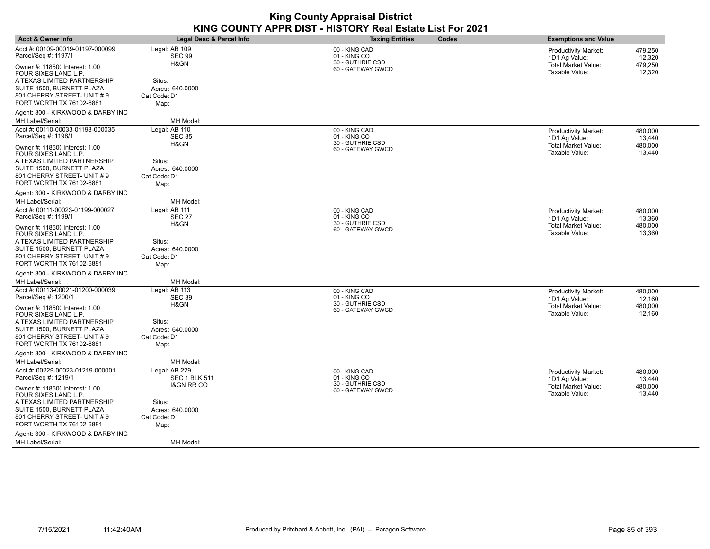| <b>Acct &amp; Owner Info</b>                                                            | Legal Desc & Parcel Info                  | <b>Taxing Entities</b><br><b>Codes</b>            | <b>Exemptions and Value</b>                                       |
|-----------------------------------------------------------------------------------------|-------------------------------------------|---------------------------------------------------|-------------------------------------------------------------------|
| Acct #: 00109-00019-01197-000099<br>Parcel/Seq #: 1197/1                                | Legal: AB 109<br><b>SEC 99</b>            | 00 - KING CAD<br>01 - KING CO                     | <b>Productivity Market:</b><br>479,250<br>1D1 Ag Value:<br>12,320 |
| Owner #: 11850( Interest: 1.00<br>FOUR SIXES LAND L.P.                                  | H&GN                                      | 30 - GUTHRIE CSD<br>60 - GATEWAY GWCD             | Total Market Value:<br>479,250<br>Taxable Value:<br>12,320        |
| A TEXAS LIMITED PARTNERSHIP<br>SUITE 1500, BURNETT PLAZA<br>801 CHERRY STREET- UNIT # 9 | Situs:<br>Acres: 640.0000<br>Cat Code: D1 |                                                   |                                                                   |
| FORT WORTH TX 76102-6881                                                                | Map:                                      |                                                   |                                                                   |
| Agent: 300 - KIRKWOOD & DARBY INC<br>MH Label/Serial:                                   | MH Model:                                 |                                                   |                                                                   |
| Acct #: 00110-00033-01198-000035                                                        | Legal: AB 110                             |                                                   |                                                                   |
| Parcel/Seq #: 1198/1                                                                    | <b>SEC 35</b><br>H&GN                     | 00 - KING CAD<br>01 - KING CO<br>30 - GUTHRIE CSD | <b>Productivity Market:</b><br>480,000<br>1D1 Ag Value:<br>13,440 |
| Owner #: 11850( Interest: 1.00<br>FOUR SIXES LAND L.P.                                  |                                           | 60 - GATEWAY GWCD                                 | Total Market Value:<br>480,000<br>Taxable Value:<br>13,440        |
| A TEXAS LIMITED PARTNERSHIP                                                             | Situs:                                    |                                                   |                                                                   |
| SUITE 1500, BURNETT PLAZA                                                               | Acres: 640.0000                           |                                                   |                                                                   |
| 801 CHERRY STREET- UNIT # 9<br>FORT WORTH TX 76102-6881                                 | Cat Code: D1<br>Map:                      |                                                   |                                                                   |
| Agent: 300 - KIRKWOOD & DARBY INC                                                       |                                           |                                                   |                                                                   |
| MH Label/Serial:                                                                        | MH Model:                                 |                                                   |                                                                   |
| Acct #: 00111-00023-01199-000027                                                        | Legal: AB 111                             | 00 - KING CAD                                     | <b>Productivity Market:</b><br>480,000                            |
| Parcel/Seq #: 1199/1                                                                    | <b>SEC 27</b>                             | 01 - KING CO                                      | 1D1 Ag Value:<br>13,360                                           |
| Owner #: 11850( Interest: 1.00<br>FOUR SIXES LAND L.P.                                  | H&GN                                      | 30 - GUTHRIE CSD<br>60 - GATEWAY GWCD             | 480,000<br>Total Market Value:<br>Taxable Value:<br>13,360        |
| A TEXAS LIMITED PARTNERSHIP                                                             | Situs:                                    |                                                   |                                                                   |
| SUITE 1500, BURNETT PLAZA                                                               | Acres: 640.0000                           |                                                   |                                                                   |
| 801 CHERRY STREET- UNIT # 9                                                             | Cat Code: D1                              |                                                   |                                                                   |
| FORT WORTH TX 76102-6881                                                                | Map:                                      |                                                   |                                                                   |
| Agent: 300 - KIRKWOOD & DARBY INC                                                       |                                           |                                                   |                                                                   |
| MH Label/Serial:                                                                        | MH Model:                                 |                                                   |                                                                   |
| Acct #: 00113-00021-01200-000039                                                        | Legal: AB 113                             | 00 - KING CAD                                     | <b>Productivity Market:</b><br>480,000                            |
| Parcel/Seq #: 1200/1                                                                    | <b>SEC 39</b><br>H&GN                     | 01 - KING CO<br>30 - GUTHRIE CSD                  | 1D1 Ag Value:<br>12,160                                           |
| Owner #: 11850( Interest: 1.00                                                          |                                           | 60 - GATEWAY GWCD                                 | <b>Total Market Value:</b><br>480,000<br>Taxable Value:           |
| FOUR SIXES LAND L.P.                                                                    | Situs:                                    |                                                   | 12,160                                                            |
| A TEXAS LIMITED PARTNERSHIP<br>SUITE 1500, BURNETT PLAZA                                | Acres: 640.0000                           |                                                   |                                                                   |
| 801 CHERRY STREET- UNIT # 9                                                             | Cat Code: D1                              |                                                   |                                                                   |
| FORT WORTH TX 76102-6881                                                                | Map:                                      |                                                   |                                                                   |
| Agent: 300 - KIRKWOOD & DARBY INC                                                       |                                           |                                                   |                                                                   |
| MH Label/Serial:                                                                        | MH Model:                                 |                                                   |                                                                   |
| Acct #: 00229-00023-01219-000001                                                        | Legal: AB 229                             | 00 - KING CAD                                     | <b>Productivity Market:</b><br>480,000                            |
| Parcel/Seq #: 1219/1                                                                    | <b>SEC 1 BLK 511</b>                      | 01 - KING CO                                      | 1D1 Ag Value:<br>13,440                                           |
| Owner #: 11850( Interest: 1.00<br>FOUR SIXES LAND L.P.                                  | <b>I&amp;GN RR CO</b>                     | 30 - GUTHRIE CSD<br>60 - GATEWAY GWCD             | <b>Total Market Value:</b><br>480,000<br>Taxable Value:<br>13,440 |
| A TEXAS LIMITED PARTNERSHIP                                                             | Situs:                                    |                                                   |                                                                   |
| SUITE 1500, BURNETT PLAZA                                                               | Acres: 640.0000                           |                                                   |                                                                   |
| 801 CHERRY STREET- UNIT # 9                                                             | Cat Code: D1                              |                                                   |                                                                   |
| FORT WORTH TX 76102-6881                                                                | Map:                                      |                                                   |                                                                   |
| Agent: 300 - KIRKWOOD & DARBY INC                                                       |                                           |                                                   |                                                                   |
| <b>MH Label/Serial:</b>                                                                 | MH Model:                                 |                                                   |                                                                   |

 $\overline{\phantom{a}}$ 

 $\overline{\phantom{a}}$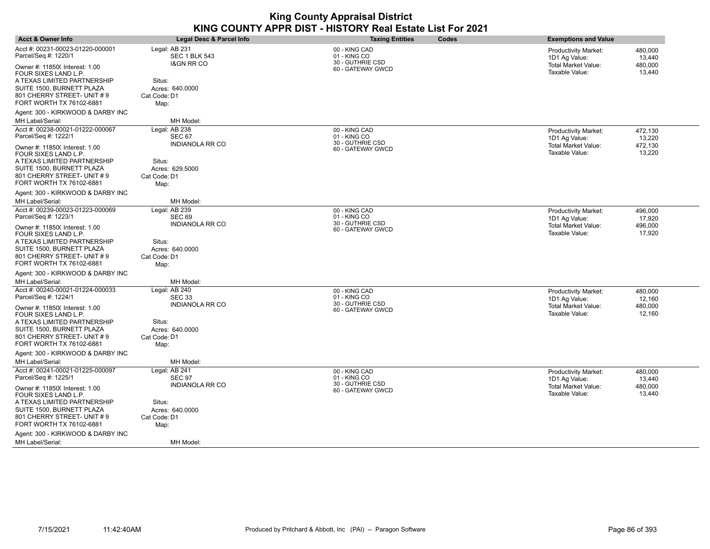| <b>Acct &amp; Owner Info</b>                                                                                                                                                                                                              | <b>Legal Desc &amp; Parcel Info</b>                                                                                 | <b>Taxing Entities</b><br>Codes                                        | <b>Exemptions and Value</b>                                                                                                            |
|-------------------------------------------------------------------------------------------------------------------------------------------------------------------------------------------------------------------------------------------|---------------------------------------------------------------------------------------------------------------------|------------------------------------------------------------------------|----------------------------------------------------------------------------------------------------------------------------------------|
| Acct #: 00231-00023-01220-000001<br>Parcel/Seq #: 1220/1<br>Owner #: 11850( Interest: 1.00<br>FOUR SIXES LAND L.P.<br>A TEXAS LIMITED PARTNERSHIP<br>SUITE 1500, BURNETT PLAZA<br>801 CHERRY STREET- UNIT # 9<br>FORT WORTH TX 76102-6881 | Legal: AB 231<br><b>SEC 1 BLK 543</b><br><b>I&amp;GN RR CO</b><br>Situs:<br>Acres: 640,0000<br>Cat Code: D1<br>Map: | 00 - KING CAD<br>01 - KING CO<br>30 - GUTHRIE CSD<br>60 - GATEWAY GWCD | Productivity Market:<br>480,000<br>1D1 Ag Value:<br>13,440<br><b>Total Market Value:</b><br>480,000<br>Taxable Value:<br>13,440        |
| Agent: 300 - KIRKWOOD & DARBY INC<br>MH Label/Serial:                                                                                                                                                                                     | MH Model:                                                                                                           |                                                                        |                                                                                                                                        |
| Acct #: 00238-00021-01222-000067<br>Parcel/Seq #: 1222/1<br>Owner #: 11850( Interest: 1.00<br>FOUR SIXES LAND L.P.<br>A TEXAS LIMITED PARTNERSHIP<br>SUITE 1500, BURNETT PLAZA<br>801 CHERRY STREET- UNIT #9<br>FORT WORTH TX 76102-6881  | Legal: AB 238<br><b>SEC 67</b><br><b>INDIANOLA RR CO</b><br>Situs:<br>Acres: 629.5000<br>Cat Code: D1<br>Map:       | 00 - KING CAD<br>01 - KING CO<br>30 - GUTHRIE CSD<br>60 - GATEWAY GWCD | 472,130<br><b>Productivity Market:</b><br>13,220<br>1D1 Ag Value:<br><b>Total Market Value:</b><br>472,130<br>Taxable Value:<br>13,220 |
| Agent: 300 - KIRKWOOD & DARBY INC                                                                                                                                                                                                         |                                                                                                                     |                                                                        |                                                                                                                                        |
| MH Label/Serial:                                                                                                                                                                                                                          | MH Model:                                                                                                           |                                                                        |                                                                                                                                        |
| Acct #: 00239-00023-01223-000069<br>Parcel/Seq #: 1223/1                                                                                                                                                                                  | Legal: AB 239<br>SEC <sub>69</sub><br><b>INDIANOLA RR CO</b>                                                        | 00 - KING CAD<br>01 - KING CO<br>30 - GUTHRIE CSD                      | <b>Productivity Market:</b><br>496,000<br>1D1 Ag Value:<br>17,920<br><b>Total Market Value:</b><br>496,000                             |
| Owner #: 11850( Interest: 1.00<br>FOUR SIXES LAND L.P.<br>A TEXAS LIMITED PARTNERSHIP<br>SUITE 1500, BURNETT PLAZA<br>801 CHERRY STREET- UNIT #9<br>FORT WORTH TX 76102-6881                                                              | Situs:<br>Acres: 640.0000<br>Cat Code: D1<br>Map:                                                                   | 60 - GATEWAY GWCD                                                      | Taxable Value:<br>17,920                                                                                                               |
| Agent: 300 - KIRKWOOD & DARBY INC                                                                                                                                                                                                         |                                                                                                                     |                                                                        |                                                                                                                                        |
| MH Label/Serial:                                                                                                                                                                                                                          | MH Model:                                                                                                           |                                                                        |                                                                                                                                        |
| Acct #: 00240-00021-01224-000033<br>Parcel/Seq #: 1224/1<br>Owner #: 11850( Interest: 1.00<br>FOUR SIXES LAND L.P.<br>A TEXAS LIMITED PARTNERSHIP<br>SUITE 1500, BURNETT PLAZA<br>801 CHERRY STREET- UNIT #9<br>FORT WORTH TX 76102-6881  | Legal: AB 240<br><b>SEC 33</b><br><b>INDIANOLA RR CO</b><br>Situs:<br>Acres: 640.0000<br>Cat Code: D1<br>Map:       | 00 - KING CAD<br>01 - KING CO<br>30 - GUTHRIE CSD<br>60 - GATEWAY GWCD | <b>Productivity Market:</b><br>480,000<br>1D1 Ag Value:<br>12,160<br><b>Total Market Value:</b><br>480,000<br>Taxable Value:<br>12,160 |
| Agent: 300 - KIRKWOOD & DARBY INC<br>MH Label/Serial:                                                                                                                                                                                     | MH Model:                                                                                                           |                                                                        |                                                                                                                                        |
| Acct #: 00241-00021-01225-000097<br>Parcel/Seq #: 1225/1<br>Owner #: 11850( Interest: 1.00<br>FOUR SIXES LAND L.P.<br>A TEXAS LIMITED PARTNERSHIP<br>SUITE 1500, BURNETT PLAZA<br>801 CHERRY STREET- UNIT #9<br>FORT WORTH TX 76102-6881  | Legal: AB 241<br><b>SEC 97</b><br><b>INDIANOLA RR CO</b><br>Situs:<br>Acres: 640.0000<br>Cat Code: D1<br>Map:       | 00 - KING CAD<br>01 - KING CO<br>30 - GUTHRIE CSD<br>60 - GATEWAY GWCD | Productivity Market:<br>480,000<br>1D1 Ag Value:<br>13,440<br><b>Total Market Value:</b><br>480,000<br>Taxable Value:<br>13,440        |
| Agent: 300 - KIRKWOOD & DARBY INC                                                                                                                                                                                                         |                                                                                                                     |                                                                        |                                                                                                                                        |
| MH Label/Serial:                                                                                                                                                                                                                          | MH Model:                                                                                                           |                                                                        |                                                                                                                                        |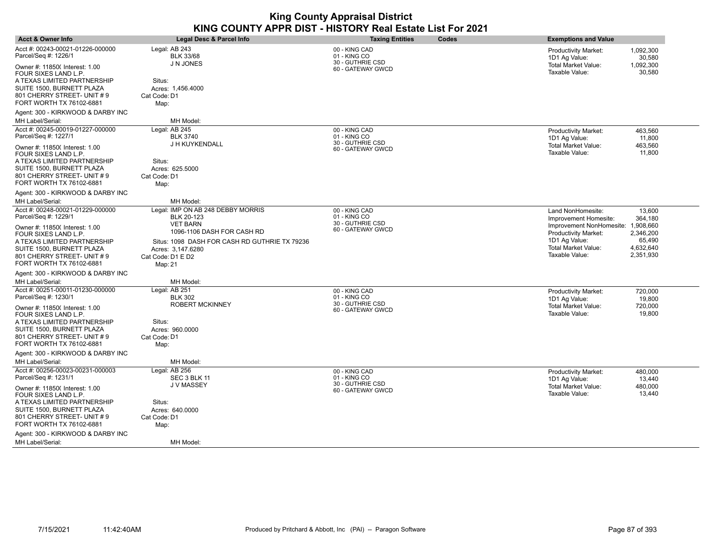| <b>Acct &amp; Owner Info</b>                                                               | Legal Desc & Parcel Info                                           | <b>Taxing Entities</b>                            | Codes | <b>Exemptions and Value</b>                                       |                                  |
|--------------------------------------------------------------------------------------------|--------------------------------------------------------------------|---------------------------------------------------|-------|-------------------------------------------------------------------|----------------------------------|
| Acct #: 00243-00021-01226-000000<br>Parcel/Seq #: 1226/1<br>Owner #: 11850( Interest: 1.00 | Legal: AB 243<br><b>BLK 33/68</b><br>J N JONES                     | 00 - KING CAD<br>01 - KING CO<br>30 - GUTHRIE CSD |       | Productivity Market:<br>1D1 Ag Value:<br>Total Market Value:      | 1,092,300<br>30,580<br>1,092,300 |
| FOUR SIXES LAND L.P.<br>A TEXAS LIMITED PARTNERSHIP<br>SUITE 1500, BURNETT PLAZA           | Situs:<br>Acres: 1.456.4000                                        | 60 - GATEWAY GWCD                                 |       | Taxable Value:                                                    | 30,580                           |
| 801 CHERRY STREET- UNIT #9<br>FORT WORTH TX 76102-6881                                     | Cat Code: D1<br>Map:                                               |                                                   |       |                                                                   |                                  |
| Agent: 300 - KIRKWOOD & DARBY INC                                                          |                                                                    |                                                   |       |                                                                   |                                  |
| MH Label/Serial:                                                                           | MH Model:                                                          |                                                   |       |                                                                   |                                  |
| Acct #: 00245-00019-01227-000000<br>Parcel/Seq #: 1227/1                                   | Legal: AB 245<br><b>BLK 3740</b>                                   | 00 - KING CAD<br>01 - KING CO<br>30 - GUTHRIE CSD |       | <b>Productivity Market:</b><br>1D1 Ag Value:                      | 463,560<br>11,800                |
| Owner #: 11850( Interest: 1.00<br>FOUR SIXES LAND L.P.                                     | J H KUYKENDALL                                                     | 60 - GATEWAY GWCD                                 |       | <b>Total Market Value:</b><br>Taxable Value:                      | 463,560<br>11,800                |
| A TEXAS LIMITED PARTNERSHIP                                                                | Situs:                                                             |                                                   |       |                                                                   |                                  |
| SUITE 1500, BURNETT PLAZA<br>801 CHERRY STREET- UNIT # 9<br>FORT WORTH TX 76102-6881       | Acres: 625.5000<br>Cat Code: D1<br>Map:                            |                                                   |       |                                                                   |                                  |
| Agent: 300 - KIRKWOOD & DARBY INC                                                          |                                                                    |                                                   |       |                                                                   |                                  |
| MH Label/Serial:                                                                           | MH Model:                                                          |                                                   |       |                                                                   |                                  |
| Acct #: 00248-00021-01229-000000<br>Parcel/Seq #: 1229/1                                   | Legal: IMP ON AB 248 DEBBY MORRIS<br><b>BLK 20-123</b>             | 00 - KING CAD<br>01 - KING CO                     |       | Land NonHomesite:<br>Improvement Homesite:                        | 13.600<br>364,180                |
| Owner #: 11850( Interest: 1.00<br>FOUR SIXES LAND L.P.                                     | <b>VET BARN</b><br>1096-1106 DASH FOR CASH RD                      | 30 - GUTHRIE CSD<br>60 - GATEWAY GWCD             |       | Improvement NonHomesite: 1,908,660<br><b>Productivity Market:</b> | 2,346,200                        |
| A TEXAS LIMITED PARTNERSHIP<br>SUITE 1500, BURNETT PLAZA                                   | Situs: 1098 DASH FOR CASH RD GUTHRIE TX 79236<br>Acres: 3,147.6280 |                                                   |       | 1D1 Ag Value:<br><b>Total Market Value:</b>                       | 65,490<br>4,632,640              |
| 801 CHERRY STREET- UNIT # 9<br>FORT WORTH TX 76102-6881                                    | Cat Code: D1 E D2<br>Map: 21                                       |                                                   |       | Taxable Value:                                                    | 2,351,930                        |
| Agent: 300 - KIRKWOOD & DARBY INC                                                          |                                                                    |                                                   |       |                                                                   |                                  |
| MH Label/Serial:                                                                           | MH Model:                                                          |                                                   |       |                                                                   |                                  |
| Acct #: 00251-00011-01230-000000<br>Parcel/Seq #: 1230/1                                   | Legal: AB 251<br><b>BLK 302</b>                                    | 00 - KING CAD<br>01 - KING CO                     |       | <b>Productivity Market:</b><br>1D1 Ag Value:                      | 720,000<br>19,800                |
| Owner #: 11850( Interest: 1.00<br>FOUR SIXES LAND L.P.                                     | <b>ROBERT MCKINNEY</b>                                             | 30 - GUTHRIE CSD<br>60 - GATEWAY GWCD             |       | <b>Total Market Value:</b><br>Taxable Value:                      | 720,000<br>19,800                |
| A TEXAS LIMITED PARTNERSHIP                                                                | Situs:                                                             |                                                   |       |                                                                   |                                  |
| SUITE 1500, BURNETT PLAZA<br>801 CHERRY STREET- UNIT # 9                                   | Acres: 960,0000<br>Cat Code: D1                                    |                                                   |       |                                                                   |                                  |
| FORT WORTH TX 76102-6881                                                                   | Map:                                                               |                                                   |       |                                                                   |                                  |
| Agent: 300 - KIRKWOOD & DARBY INC                                                          |                                                                    |                                                   |       |                                                                   |                                  |
| MH Label/Serial:                                                                           | MH Model:                                                          |                                                   |       |                                                                   |                                  |
| Acct #: 00256-00023-00231-000003<br>Parcel/Seq #: 1231/1                                   | Legal: AB 256<br>SEC 3 BLK 11                                      | 00 - KING CAD<br>01 - KING CO                     |       | <b>Productivity Market:</b><br>1D1 Ag Value:                      | 480,000<br>13,440                |
| Owner #: 11850( Interest: 1.00<br>FOUR SIXES LAND L.P.                                     | J V MASSEY                                                         | 30 - GUTHRIE CSD<br>60 - GATEWAY GWCD             |       | <b>Total Market Value:</b><br>Taxable Value:                      | 480,000<br>13,440                |
| A TEXAS LIMITED PARTNERSHIP                                                                | Situs:                                                             |                                                   |       |                                                                   |                                  |
| SUITE 1500, BURNETT PLAZA                                                                  | Acres: 640.0000                                                    |                                                   |       |                                                                   |                                  |
| 801 CHERRY STREET- UNIT #9<br>FORT WORTH TX 76102-6881                                     | Cat Code: D1<br>Map:                                               |                                                   |       |                                                                   |                                  |
| Agent: 300 - KIRKWOOD & DARBY INC                                                          |                                                                    |                                                   |       |                                                                   |                                  |
| MH Label/Serial:                                                                           | MH Model:                                                          |                                                   |       |                                                                   |                                  |

 $\overline{\phantom{a}}$ 

 $\overline{\phantom{a}}$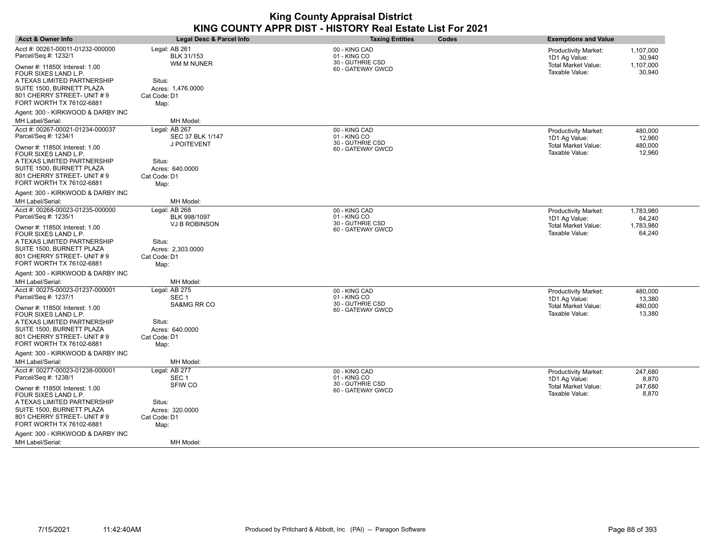| <b>Acct &amp; Owner Info</b>                                                          | Legal Desc & Parcel Info                         | <b>Taxing Entities</b><br>Codes                   | <b>Exemptions and Value</b>                                         |
|---------------------------------------------------------------------------------------|--------------------------------------------------|---------------------------------------------------|---------------------------------------------------------------------|
| Acct #: 00261-00011-01232-000000<br>Parcel/Seq #: 1232/1                              | Legal: AB 261<br>BLK 31/153<br>WM M NUNER        | 00 - KING CAD<br>01 - KING CO<br>30 - GUTHRIE CSD | <b>Productivity Market:</b><br>1,107,000<br>1D1 Ag Value:<br>30,940 |
| Owner #: 11850( Interest: 1.00<br>FOUR SIXES LAND L.P.<br>A TEXAS LIMITED PARTNERSHIP | Situs:                                           | 60 - GATEWAY GWCD                                 | Total Market Value:<br>1,107,000<br>Taxable Value:<br>30,940        |
| SUITE 1500, BURNETT PLAZA<br>801 CHERRY STREET- UNIT # 9<br>FORT WORTH TX 76102-6881  | Acres: 1,476.0000<br>Cat Code: D1<br>Map:        |                                                   |                                                                     |
| Agent: 300 - KIRKWOOD & DARBY INC                                                     |                                                  |                                                   |                                                                     |
| MH Label/Serial:                                                                      | MH Model:                                        |                                                   |                                                                     |
| Acct #: 00267-00021-01234-000037<br>Parcel/Seq #: 1234/1                              | Legal: AB 267<br><b>SEC 37 BLK 1/147</b>         | 00 - KING CAD<br>01 - KING CO                     | <b>Productivity Market:</b><br>480,000<br>1D1 Ag Value:<br>12,960   |
| Owner #: 11850( Interest: 1.00<br>FOUR SIXES LAND L.P.                                | J POITEVENT                                      | 30 - GUTHRIE CSD<br>60 - GATEWAY GWCD             | <b>Total Market Value:</b><br>480,000<br>Taxable Value:<br>12,960   |
| A TEXAS LIMITED PARTNERSHIP<br>SUITE 1500, BURNETT PLAZA                              | Situs:<br>Acres: 640.0000                        |                                                   |                                                                     |
| 801 CHERRY STREET- UNIT # 9<br>FORT WORTH TX 76102-6881                               | Cat Code: D1<br>Map:                             |                                                   |                                                                     |
| Agent: 300 - KIRKWOOD & DARBY INC                                                     |                                                  |                                                   |                                                                     |
| MH Label/Serial:                                                                      | MH Model:                                        |                                                   |                                                                     |
| Acct #: 00268-00023-01235-000000<br>Parcel/Seq #: 1235/1                              | Legal: AB 268<br>BLK 998/1097                    | 00 - KING CAD<br>01 - KING CO<br>30 - GUTHRIE CSD | 1,783,980<br><b>Productivity Market:</b><br>1D1 Ag Value:<br>64,240 |
| Owner #: 11850( Interest: 1.00<br>FOUR SIXES LAND L.P.                                | <b>VJ B ROBINSON</b>                             | 60 - GATEWAY GWCD                                 | Total Market Value:<br>1,783,980<br>Taxable Value:<br>64,240        |
| A TEXAS LIMITED PARTNERSHIP<br>SUITE 1500, BURNETT PLAZA                              | Situs:<br>Acres: 2,303.0000                      |                                                   |                                                                     |
| 801 CHERRY STREET- UNIT #9<br>FORT WORTH TX 76102-6881                                | Cat Code: D1<br>Map:                             |                                                   |                                                                     |
| Agent: 300 - KIRKWOOD & DARBY INC                                                     |                                                  |                                                   |                                                                     |
| MH Label/Serial:                                                                      | MH Model:                                        |                                                   |                                                                     |
| Acct #: 00275-00023-01237-000001<br>Parcel/Seq #: 1237/1                              | Legal: AB 275<br>SEC <sub>1</sub><br>SA&MG RR CO | 00 - KING CAD<br>01 - KING CO<br>30 - GUTHRIE CSD | <b>Productivity Market:</b><br>480,000<br>13,380<br>1D1 Ag Value:   |
| Owner #: 11850( Interest: 1.00<br>FOUR SIXES LAND L.P.                                |                                                  | 60 - GATEWAY GWCD                                 | Total Market Value:<br>480,000<br>Taxable Value:<br>13,380          |
| A TEXAS LIMITED PARTNERSHIP<br>SUITE 1500, BURNETT PLAZA                              | Situs:<br>Acres: 640.0000                        |                                                   |                                                                     |
| 801 CHERRY STREET- UNIT # 9<br>FORT WORTH TX 76102-6881                               | Cat Code: D1<br>Map:                             |                                                   |                                                                     |
| Agent: 300 - KIRKWOOD & DARBY INC                                                     |                                                  |                                                   |                                                                     |
| MH Label/Serial:                                                                      | MH Model:                                        |                                                   |                                                                     |
| Acct #: 00277-00023-01238-000001<br>Parcel/Seq #: 1238/1                              | Legal: AB 277<br>SEC <sub>1</sub>                | 00 - KING CAD<br>01 - KING CO                     | <b>Productivity Market:</b><br>247,680<br>1D1 Ag Value:<br>8,870    |
| Owner #: 11850( Interest: 1.00<br>FOUR SIXES LAND L.P.                                | SFIW CO                                          | 30 - GUTHRIE CSD<br>60 - GATEWAY GWCD             | <b>Total Market Value:</b><br>247,680<br>8,870<br>Taxable Value:    |
| A TEXAS LIMITED PARTNERSHIP                                                           | Situs:                                           |                                                   |                                                                     |
| SUITE 1500, BURNETT PLAZA<br>801 CHERRY STREET- UNIT # 9<br>FORT WORTH TX 76102-6881  | Acres: 320.0000<br>Cat Code: D1<br>Map:          |                                                   |                                                                     |
| Agent: 300 - KIRKWOOD & DARBY INC                                                     |                                                  |                                                   |                                                                     |
| <b>MH Label/Serial:</b>                                                               | MH Model:                                        |                                                   |                                                                     |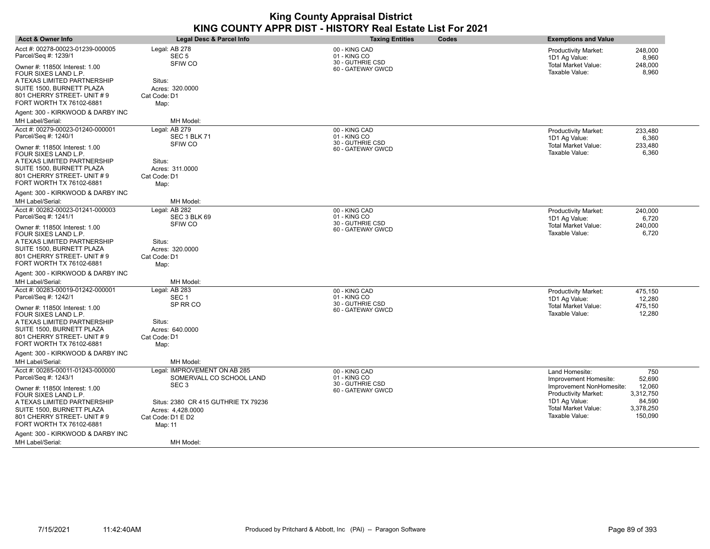| <b>Acct &amp; Owner Info</b>                                                                                                                                                 | <b>Legal Desc &amp; Parcel Info</b>                                                      | <b>Taxing Entities</b><br>Codes                                        | <b>Exemptions and Value</b>                                                                         |
|------------------------------------------------------------------------------------------------------------------------------------------------------------------------------|------------------------------------------------------------------------------------------|------------------------------------------------------------------------|-----------------------------------------------------------------------------------------------------|
| Acct #: 00278-00023-01239-000005<br>Parcel/Seq #: 1239/1                                                                                                                     | Legal: AB 278<br>SEC <sub>5</sub>                                                        | 00 - KING CAD<br>01 - KING CO                                          | Productivity Market:<br>248,000<br>1D1 Ag Value:<br>8.960                                           |
| Owner #: 11850( Interest: 1.00<br>FOUR SIXES LAND L.P.<br>A TEXAS LIMITED PARTNERSHIP<br>SUITE 1500, BURNETT PLAZA<br>801 CHERRY STREET- UNIT #9<br>FORT WORTH TX 76102-6881 | SFIW CO<br>Situs:<br>Acres: 320.0000<br>Cat Code: D1<br>Map:                             | 30 - GUTHRIE CSD<br>60 - GATEWAY GWCD                                  | <b>Total Market Value:</b><br>248,000<br>Taxable Value:<br>8,960                                    |
| Agent: 300 - KIRKWOOD & DARBY INC                                                                                                                                            |                                                                                          |                                                                        |                                                                                                     |
| MH Label/Serial:                                                                                                                                                             | MH Model:                                                                                |                                                                        |                                                                                                     |
| Acct #: 00279-00023-01240-000001<br>Parcel/Seq #: 1240/1                                                                                                                     | Legal: AB 279<br>SEC 1 BLK 71                                                            | 00 - KING CAD<br>01 - KING CO                                          | Productivity Market:<br>233,480<br>6,360<br>1D1 Ag Value:                                           |
| Owner #: 11850( Interest: 1.00<br>FOUR SIXES LAND L.P.<br>A TEXAS LIMITED PARTNERSHIP<br>SUITE 1500, BURNETT PLAZA<br>801 CHERRY STREET- UNIT #9<br>FORT WORTH TX 76102-6881 | SFIW CO<br>Situs:<br>Acres: 311,0000<br>Cat Code: D1<br>Map:                             | 30 - GUTHRIE CSD<br>60 - GATEWAY GWCD                                  | <b>Total Market Value:</b><br>233,480<br>Taxable Value:<br>6,360                                    |
| Agent: 300 - KIRKWOOD & DARBY INC                                                                                                                                            |                                                                                          |                                                                        |                                                                                                     |
| MH Label/Serial:                                                                                                                                                             | MH Model:                                                                                |                                                                        |                                                                                                     |
| Acct #: 00282-00023-01241-000003<br>Parcel/Seq #: 1241/1                                                                                                                     | Legal: AB 282<br>SEC 3 BLK 69                                                            | 00 - KING CAD<br>01 - KING CO<br>30 - GUTHRIE CSD                      | Productivity Market:<br>240,000<br>1D1 Ag Value:<br>6,720                                           |
| Owner #: 11850( Interest: 1.00<br>FOUR SIXES LAND L.P.<br>A TEXAS LIMITED PARTNERSHIP<br>SUITE 1500, BURNETT PLAZA<br>801 CHERRY STREET- UNIT #9<br>FORT WORTH TX 76102-6881 | <b>SFIW CO</b><br>Situs:<br>Acres: 320.0000<br>Cat Code: D1<br>Map:                      | 60 - GATEWAY GWCD                                                      | <b>Total Market Value:</b><br>240,000<br>Taxable Value:<br>6,720                                    |
| Agent: 300 - KIRKWOOD & DARBY INC                                                                                                                                            |                                                                                          |                                                                        |                                                                                                     |
| MH Label/Serial:                                                                                                                                                             | MH Model:                                                                                |                                                                        |                                                                                                     |
| Acct #: 00283-00019-01242-000001<br>Parcel/Seq #: 1242/1<br>Owner #: 11850( Interest: 1.00                                                                                   | Legal: AB 283<br>SEC <sub>1</sub><br>SP RR CO                                            | 00 - KING CAD<br>01 - KING CO<br>30 - GUTHRIE CSD<br>60 - GATEWAY GWCD | Productivity Market:<br>475,150<br>1D1 Ag Value:<br>12,280<br><b>Total Market Value:</b><br>475,150 |
| FOUR SIXES LAND L.P.<br>A TEXAS LIMITED PARTNERSHIP<br>SUITE 1500, BURNETT PLAZA<br>801 CHERRY STREET- UNIT #9<br>FORT WORTH TX 76102-6881                                   | Situs:<br>Acres: 640.0000<br>Cat Code: D1<br>Map:                                        |                                                                        | Taxable Value:<br>12,280                                                                            |
| Agent: 300 - KIRKWOOD & DARBY INC                                                                                                                                            |                                                                                          |                                                                        |                                                                                                     |
| MH Label/Serial:                                                                                                                                                             | MH Model:                                                                                |                                                                        |                                                                                                     |
| Acct #: 00285-00011-01243-000000<br>Parcel/Seq #: 1243/1                                                                                                                     | Legal: IMPROVEMENT ON AB 285<br>SOMERVALL CO SCHOOL LAND                                 | 00 - KING CAD<br>01 - KING CO<br>30 - GUTHRIE CSD                      | 750<br>Land Homesite:<br>52,690<br>Improvement Homesite:                                            |
| Owner #: 118500 Interest: 1.00<br>FOUR SIXES LAND L.P.                                                                                                                       | SEC <sub>3</sub>                                                                         | 60 - GATEWAY GWCD                                                      | 12,060<br>Improvement NonHomesite:<br>Productivity Market:<br>3,312,750                             |
| A TEXAS LIMITED PARTNERSHIP<br>SUITE 1500, BURNETT PLAZA<br>801 CHERRY STREET- UNIT #9<br>FORT WORTH TX 76102-6881                                                           | Situs: 2380 CR 415 GUTHRIE TX 79236<br>Acres: 4,428.0000<br>Cat Code: D1 E D2<br>Map: 11 |                                                                        | 1D1 Ag Value:<br>84,590<br><b>Total Market Value:</b><br>3,378,250<br>Taxable Value:<br>150,090     |
| Agent: 300 - KIRKWOOD & DARBY INC                                                                                                                                            |                                                                                          |                                                                        |                                                                                                     |
| MH Label/Serial:                                                                                                                                                             | MH Model:                                                                                |                                                                        |                                                                                                     |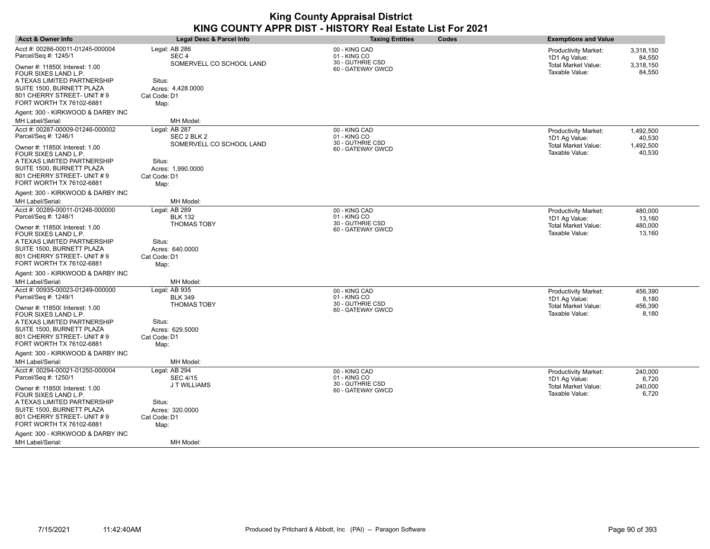| <b>Acct &amp; Owner Info</b>                                                                                                                                                  | <b>Legal Desc &amp; Parcel Info</b>                                             | Codes<br><b>Taxing Entities</b>                   | <b>Exemptions and Value</b>                                                                        |
|-------------------------------------------------------------------------------------------------------------------------------------------------------------------------------|---------------------------------------------------------------------------------|---------------------------------------------------|----------------------------------------------------------------------------------------------------|
| Acct #: 00286-00011-01245-000004<br>Parcel/Seq #: 1245/1                                                                                                                      | Legal: AB 286<br>SEC <sub>4</sub>                                               | 00 - KING CAD<br>01 - KING CO<br>30 - GUTHRIE CSD | <b>Productivity Market:</b><br>3,318,150<br>1D1 Ag Value:<br>84,550                                |
| Owner #: 11850( Interest: 1.00<br>FOUR SIXES LAND L.P.<br>A TEXAS LIMITED PARTNERSHIP<br>SUITE 1500, BURNETT PLAZA<br>801 CHERRY STREET- UNIT # 9<br>FORT WORTH TX 76102-6881 | SOMERVELL CO SCHOOL LAND<br>Situs:<br>Acres: 4,428.0000<br>Cat Code: D1<br>Map: | 60 - GATEWAY GWCD                                 | <b>Total Market Value:</b><br>3,318,150<br>Taxable Value:<br>84,550                                |
| Agent: 300 - KIRKWOOD & DARBY INC<br>MH Label/Serial:                                                                                                                         | MH Model:                                                                       |                                                   |                                                                                                    |
| Acct #: 00287-00009-01246-000002<br>Parcel/Seq #: 1246/1                                                                                                                      | Legal: AB 287<br>SEC 2 BLK 2                                                    | 00 - KING CAD<br>01 - KING CO<br>30 - GUTHRIE CSD | 1,492,500<br><b>Productivity Market:</b><br>40,530<br>1D1 Ag Value:                                |
| Owner #: 11850( Interest: 1.00<br>FOUR SIXES LAND L.P.<br>A TEXAS LIMITED PARTNERSHIP<br>SUITE 1500, BURNETT PLAZA<br>801 CHERRY STREET- UNIT #9                              | SOMERVELL CO SCHOOL LAND<br>Situs:<br>Acres: 1,990.0000<br>Cat Code: D1         | 60 - GATEWAY GWCD                                 | <b>Total Market Value:</b><br>1,492,500<br>Taxable Value:<br>40,530                                |
| FORT WORTH TX 76102-6881                                                                                                                                                      | Map:                                                                            |                                                   |                                                                                                    |
| Agent: 300 - KIRKWOOD & DARBY INC<br>MH Label/Serial:                                                                                                                         | MH Model:                                                                       |                                                   |                                                                                                    |
| Acct #: 00289-00011-01248-000000<br>Parcel/Seq #: 1248/1                                                                                                                      | Legal: AB 289<br><b>BLK 132</b>                                                 | 00 - KING CAD<br>01 - KING CO<br>30 - GUTHRIE CSD | Productivity Market:<br>480,000<br>1D1 Ag Value:<br>13,160                                         |
| Owner #: 11850( Interest: 1.00<br>FOUR SIXES LAND L.P.<br>A TEXAS LIMITED PARTNERSHIP<br>SUITE 1500, BURNETT PLAZA<br>801 CHERRY STREET- UNIT #9<br>FORT WORTH TX 76102-6881  | <b>THOMAS TOBY</b><br>Situs:<br>Acres: 640.0000<br>Cat Code: D1<br>Map:         | 60 - GATEWAY GWCD                                 | 480,000<br>Total Market Value:<br>Taxable Value:<br>13,160                                         |
| Agent: 300 - KIRKWOOD & DARBY INC<br>MH Label/Serial:                                                                                                                         | MH Model:                                                                       |                                                   |                                                                                                    |
| Acct #: 00935-00023-01249-000000<br>Parcel/Seq #: 1249/1                                                                                                                      | Legal: AB 935<br><b>BLK 349</b><br><b>THOMAS TOBY</b>                           | 00 - KING CAD<br>01 - KING CO<br>30 - GUTHRIE CSD | 456.390<br><b>Productivity Market:</b><br>8,180<br>1D1 Ag Value:<br>Total Market Value:<br>456,390 |
| Owner #: 11850( Interest: 1.00<br>FOUR SIXES LAND L.P.<br>A TEXAS LIMITED PARTNERSHIP<br>SUITE 1500, BURNETT PLAZA<br>801 CHERRY STREET- UNIT #9<br>FORT WORTH TX 76102-6881  | Situs:<br>Acres: 629.5000<br>Cat Code: D1<br>Map:                               | 60 - GATEWAY GWCD                                 | Taxable Value:<br>8,180                                                                            |
| Agent: 300 - KIRKWOOD & DARBY INC                                                                                                                                             |                                                                                 |                                                   |                                                                                                    |
| MH Label/Serial:<br>Acct #: 00294-00021-01250-000004<br>Parcel/Seq #: 1250/1                                                                                                  | MH Model:<br>Legal: AB 294<br><b>SEC 4/15</b>                                   | 00 - KING CAD<br>01 - KING CO                     | <b>Productivity Market:</b><br>240,000<br>1D1 Ag Value:<br>6,720                                   |
| Owner #: 11850( Interest: 1.00<br>FOUR SIXES LAND L.P.<br>A TEXAS LIMITED PARTNERSHIP<br>SUITE 1500, BURNETT PLAZA                                                            | J T WILLIAMS<br>Situs:<br>Acres: 320.0000                                       | 30 - GUTHRIE CSD<br>60 - GATEWAY GWCD             | <b>Total Market Value:</b><br>240,000<br>Taxable Value:<br>6,720                                   |
| 801 CHERRY STREET- UNIT #9<br>FORT WORTH TX 76102-6881                                                                                                                        | Cat Code: D1<br>Map:                                                            |                                                   |                                                                                                    |
| Agent: 300 - KIRKWOOD & DARBY INC<br>MH Label/Serial:                                                                                                                         | MH Model:                                                                       |                                                   |                                                                                                    |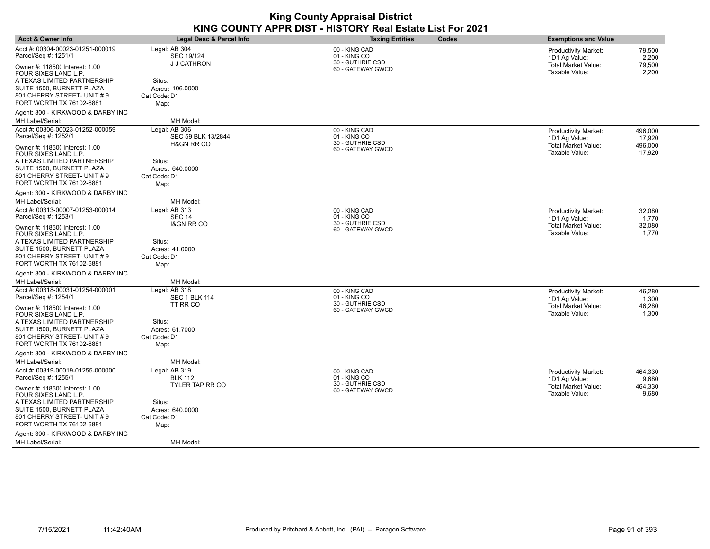| <b>Acct &amp; Owner Info</b>                                                                                                                                                 | Legal Desc & Parcel Info                                                  | <b>Taxing Entities</b>                                                 | Codes | <b>Exemptions and Value</b>                                                                  |                                    |
|------------------------------------------------------------------------------------------------------------------------------------------------------------------------------|---------------------------------------------------------------------------|------------------------------------------------------------------------|-------|----------------------------------------------------------------------------------------------|------------------------------------|
| Acct #: 00304-00023-01251-000019<br>Parcel/Seq #: 1251/1                                                                                                                     | Legal: AB 304<br>SEC 19/124<br>J J CATHRON                                | 00 - KING CAD<br>01 - KING CO<br>30 - GUTHRIE CSD                      |       | Productivity Market:<br>1D1 Ag Value:<br>Total Market Value:                                 | 79,500<br>2,200<br>79,500          |
| Owner #: 11850( Interest: 1.00<br>FOUR SIXES LAND L.P.<br>A TEXAS LIMITED PARTNERSHIP<br>SUITE 1500, BURNETT PLAZA                                                           | Situs:<br>Acres: 106,0000                                                 | 60 - GATEWAY GWCD                                                      |       | Taxable Value:                                                                               | 2,200                              |
| 801 CHERRY STREET- UNIT #9<br>FORT WORTH TX 76102-6881                                                                                                                       | Cat Code: D1<br>Map:                                                      |                                                                        |       |                                                                                              |                                    |
| Agent: 300 - KIRKWOOD & DARBY INC<br>MH Label/Serial:                                                                                                                        | MH Model:                                                                 |                                                                        |       |                                                                                              |                                    |
| Acct #: 00306-00023-01252-000059<br>Parcel/Seq #: 1252/1                                                                                                                     | Legal: AB 306<br>SEC 59 BLK 13/2844                                       | 00 - KING CAD<br>01 - KING CO                                          |       | Productivity Market:<br>1D1 Ag Value:                                                        | 496,000<br>17,920                  |
| Owner #: 11850( Interest: 1.00<br>FOUR SIXES LAND L.P.                                                                                                                       | <b>H&amp;GN RR CO</b>                                                     | 30 - GUTHRIE CSD<br>60 - GATEWAY GWCD                                  |       | Total Market Value:<br>Taxable Value:                                                        | 496,000<br>17,920                  |
| A TEXAS LIMITED PARTNERSHIP<br>SUITE 1500, BURNETT PLAZA<br>801 CHERRY STREET- UNIT #9<br>FORT WORTH TX 76102-6881                                                           | Situs:<br>Acres: 640,0000<br>Cat Code: D1<br>Map:                         |                                                                        |       |                                                                                              |                                    |
| Agent: 300 - KIRKWOOD & DARBY INC                                                                                                                                            |                                                                           |                                                                        |       |                                                                                              |                                    |
| MH Label/Serial:<br>Acct #: 00313-00007-01253-000014<br>Parcel/Seq #: 1253/1                                                                                                 | MH Model:<br>Legal: AB 313<br><b>SEC 14</b>                               | 00 - KING CAD<br>01 - KING CO                                          |       | <b>Productivity Market:</b><br>1D1 Ag Value:                                                 | 32,080<br>1,770                    |
| Owner #: 11850( Interest: 1.00<br>FOUR SIXES LAND L.P.<br>A TEXAS LIMITED PARTNERSHIP<br>SUITE 1500, BURNETT PLAZA<br>801 CHERRY STREET- UNIT #9<br>FORT WORTH TX 76102-6881 | <b>I&amp;GN RR CO</b><br>Situs:<br>Acres: 41.0000<br>Cat Code: D1<br>Map: | 30 - GUTHRIE CSD<br>60 - GATEWAY GWCD                                  |       | Total Market Value:<br>Taxable Value:                                                        | 32,080<br>1,770                    |
| Agent: 300 - KIRKWOOD & DARBY INC                                                                                                                                            |                                                                           |                                                                        |       |                                                                                              |                                    |
| MH Label/Serial:                                                                                                                                                             | MH Model:                                                                 |                                                                        |       |                                                                                              |                                    |
| Acct #: 00318-00031-01254-000001<br>Parcel/Seq #: 1254/1<br>Owner #: 11850( Interest: 1.00<br>FOUR SIXES LAND L.P.                                                           | Legal: AB 318<br><b>SEC 1 BLK 114</b><br>TT RR CO                         | 00 - KING CAD<br>01 - KING CO<br>30 - GUTHRIE CSD<br>60 - GATEWAY GWCD |       | <b>Productivity Market:</b><br>1D1 Ag Value:<br><b>Total Market Value:</b><br>Taxable Value: | 46,280<br>1,300<br>46,280<br>1,300 |
| A TEXAS LIMITED PARTNERSHIP<br>SUITE 1500, BURNETT PLAZA<br>801 CHERRY STREET- UNIT #9<br>FORT WORTH TX 76102-6881                                                           | Situs:<br>Acres: 61.7000<br>Cat Code: D1<br>Map:                          |                                                                        |       |                                                                                              |                                    |
| Agent: 300 - KIRKWOOD & DARBY INC<br>MH Label/Serial:                                                                                                                        | MH Model:                                                                 |                                                                        |       |                                                                                              |                                    |
| Acct #: 00319-00019-01255-000000<br>Parcel/Seq #: 1255/1                                                                                                                     | Legal: AB 319<br><b>BLK 112</b>                                           | 00 - KING CAD<br>01 - KING CO                                          |       | Productivity Market:<br>1D1 Ag Value:                                                        | 464,330<br>9,680                   |
| Owner #: 11850( Interest: 1.00<br>FOUR SIXES LAND L.P.                                                                                                                       | TYLER TAP RR CO                                                           | 30 - GUTHRIE CSD<br>60 - GATEWAY GWCD                                  |       | Total Market Value:<br>Taxable Value:                                                        | 464,330<br>9,680                   |
| A TEXAS LIMITED PARTNERSHIP<br>SUITE 1500, BURNETT PLAZA<br>801 CHERRY STREET- UNIT #9<br>FORT WORTH TX 76102-6881                                                           | Situs:<br>Acres: 640.0000<br>Cat Code: D1<br>Map:                         |                                                                        |       |                                                                                              |                                    |
| Agent: 300 - KIRKWOOD & DARBY INC<br>MH Label/Serial:                                                                                                                        |                                                                           |                                                                        |       |                                                                                              |                                    |
|                                                                                                                                                                              | MH Model:                                                                 |                                                                        |       |                                                                                              |                                    |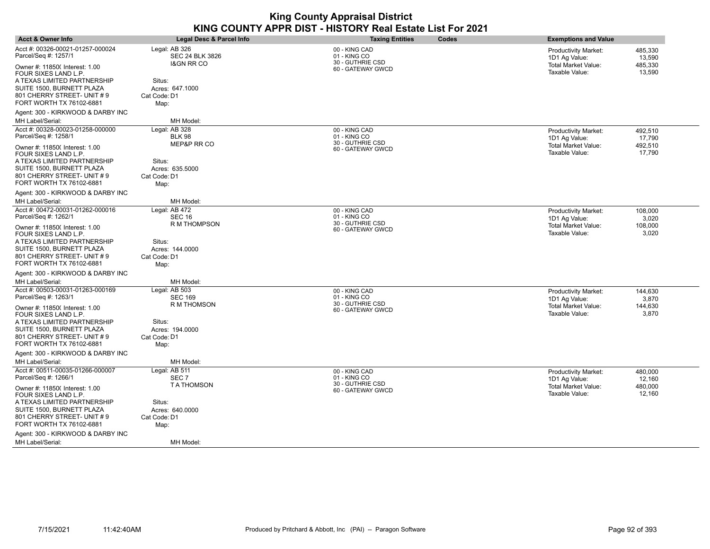| <b>Acct &amp; Owner Info</b>                                                                                                                                                                                                             | <b>Legal Desc &amp; Parcel Info</b>                                                                                   | <b>Taxing Entities</b>                                                 | Codes | <b>Exemptions and Value</b>                                                           |                                        |
|------------------------------------------------------------------------------------------------------------------------------------------------------------------------------------------------------------------------------------------|-----------------------------------------------------------------------------------------------------------------------|------------------------------------------------------------------------|-------|---------------------------------------------------------------------------------------|----------------------------------------|
| Acct #: 00326-00021-01257-000024<br>Parcel/Seq #: 1257/1<br>Owner #: 11850( Interest: 1.00<br>FOUR SIXES LAND L.P.<br>A TEXAS LIMITED PARTNERSHIP<br>SUITE 1500, BURNETT PLAZA<br>801 CHERRY STREET- UNIT #9<br>FORT WORTH TX 76102-6881 | Legal: AB 326<br><b>SEC 24 BLK 3826</b><br><b>I&amp;GN RR CO</b><br>Situs:<br>Acres: 647.1000<br>Cat Code: D1<br>Map: | 00 - KING CAD<br>01 - KING CO<br>30 - GUTHRIE CSD<br>60 - GATEWAY GWCD |       | <b>Productivity Market:</b><br>1D1 Ag Value:<br>Total Market Value:<br>Taxable Value: | 485,330<br>13,590<br>485,330<br>13,590 |
| Agent: 300 - KIRKWOOD & DARBY INC                                                                                                                                                                                                        |                                                                                                                       |                                                                        |       |                                                                                       |                                        |
| MH Label/Serial:                                                                                                                                                                                                                         | MH Model:                                                                                                             |                                                                        |       |                                                                                       |                                        |
| Acct #: 00328-00023-01258-000000<br>Parcel/Seq #: 1258/1                                                                                                                                                                                 | Legal: AB 328<br><b>BLK 98</b><br>MEP&P RR CO                                                                         | 00 - KING CAD<br>01 - KING CO<br>30 - GUTHRIE CSD                      |       | <b>Productivity Market:</b><br>1D1 Ag Value:<br><b>Total Market Value:</b>            | 492,510<br>17,790<br>492,510           |
| Owner #: 11850( Interest: 1.00<br>FOUR SIXES LAND L.P.                                                                                                                                                                                   |                                                                                                                       | 60 - GATEWAY GWCD                                                      |       | Taxable Value:                                                                        | 17,790                                 |
| A TEXAS LIMITED PARTNERSHIP<br>SUITE 1500, BURNETT PLAZA<br>801 CHERRY STREET- UNIT #9<br>FORT WORTH TX 76102-6881                                                                                                                       | Situs:<br>Acres: 635.5000<br>Cat Code: D1<br>Map:                                                                     |                                                                        |       |                                                                                       |                                        |
| Agent: 300 - KIRKWOOD & DARBY INC                                                                                                                                                                                                        |                                                                                                                       |                                                                        |       |                                                                                       |                                        |
| MH Label/Serial:                                                                                                                                                                                                                         | MH Model:                                                                                                             |                                                                        |       |                                                                                       |                                        |
| Acct #: 00472-00031-01262-000016<br>Parcel/Seq #: 1262/1                                                                                                                                                                                 | Legal: AB 472<br><b>SEC 16</b><br><b>R M THOMPSON</b>                                                                 | 00 - KING CAD<br>01 - KING CO<br>30 - GUTHRIE CSD                      |       | Productivity Market:<br>1D1 Ag Value:                                                 | 108,000<br>3,020                       |
| Owner #: 11850( Interest: 1.00<br>FOUR SIXES LAND L.P.<br>A TEXAS LIMITED PARTNERSHIP<br>SUITE 1500, BURNETT PLAZA<br>801 CHERRY STREET- UNIT #9<br>FORT WORTH TX 76102-6881                                                             | Situs:<br>Acres: 144,0000<br>Cat Code: D1<br>Map:                                                                     | 60 - GATEWAY GWCD                                                      |       | Total Market Value:<br>Taxable Value:                                                 | 108,000<br>3,020                       |
| Agent: 300 - KIRKWOOD & DARBY INC                                                                                                                                                                                                        |                                                                                                                       |                                                                        |       |                                                                                       |                                        |
| MH Label/Serial:                                                                                                                                                                                                                         | MH Model:                                                                                                             |                                                                        |       |                                                                                       |                                        |
| Acct #: 00503-00031-01263-000169<br>Parcel/Seq #: 1263/1<br>Owner #: 11850( Interest: 1.00<br>FOUR SIXES LAND L.P.                                                                                                                       | Legal: AB 503<br><b>SEC 169</b><br>R M THOMSON                                                                        | 00 - KING CAD<br>01 - KING CO<br>30 - GUTHRIE CSD<br>60 - GATEWAY GWCD |       | Productivity Market:<br>1D1 Ag Value:<br><b>Total Market Value:</b><br>Taxable Value: | 144,630<br>3,870<br>144,630<br>3,870   |
| A TEXAS LIMITED PARTNERSHIP<br>SUITE 1500, BURNETT PLAZA<br>801 CHERRY STREET- UNIT #9<br>FORT WORTH TX 76102-6881                                                                                                                       | Situs:<br>Acres: 194.0000<br>Cat Code: D1<br>Map:                                                                     |                                                                        |       |                                                                                       |                                        |
| Agent: 300 - KIRKWOOD & DARBY INC                                                                                                                                                                                                        |                                                                                                                       |                                                                        |       |                                                                                       |                                        |
| MH Label/Serial:                                                                                                                                                                                                                         | MH Model:                                                                                                             |                                                                        |       |                                                                                       |                                        |
| Acct #: 00511-00035-01266-000007<br>Parcel/Seq #: 1266/1                                                                                                                                                                                 | Legal: AB 511<br>SEC <sub>7</sub>                                                                                     | 00 - KING CAD<br>01 - KING CO                                          |       | <b>Productivity Market:</b><br>1D1 Ag Value:                                          | 480.000<br>12,160                      |
| Owner #: 11850( Interest: 1.00<br>FOUR SIXES LAND L.P.<br>A TEXAS LIMITED PARTNERSHIP<br>SUITE 1500, BURNETT PLAZA<br>801 CHERRY STREET- UNIT #9                                                                                         | <b>TATHOMSON</b><br>Situs:<br>Acres: 640.0000<br>Cat Code: D1                                                         | 30 - GUTHRIE CSD<br>60 - GATEWAY GWCD                                  |       | <b>Total Market Value:</b><br>Taxable Value:                                          | 480,000<br>12,160                      |
| FORT WORTH TX 76102-6881                                                                                                                                                                                                                 | Map:                                                                                                                  |                                                                        |       |                                                                                       |                                        |
| Agent: 300 - KIRKWOOD & DARBY INC<br>MH Label/Serial:                                                                                                                                                                                    | MH Model:                                                                                                             |                                                                        |       |                                                                                       |                                        |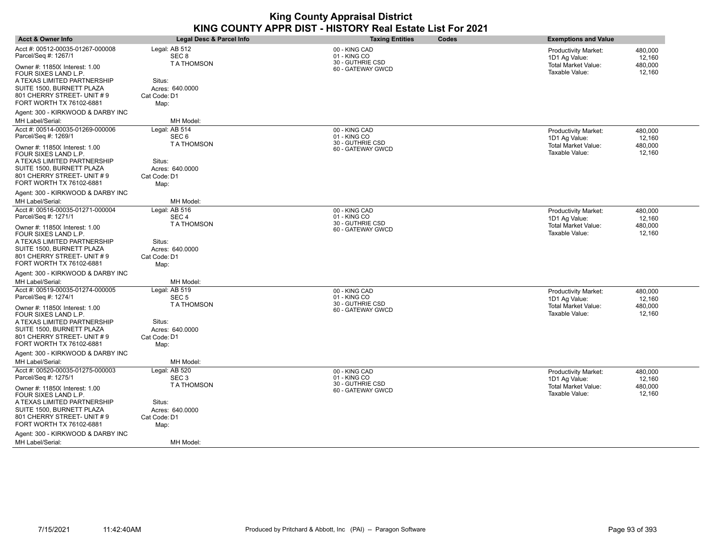| <b>Acct &amp; Owner Info</b>                                                                                       | <b>Legal Desc &amp; Parcel Info</b>                   | <b>Taxing Entities</b>                                | Codes | <b>Exemptions and Value</b>                                   |                             |
|--------------------------------------------------------------------------------------------------------------------|-------------------------------------------------------|-------------------------------------------------------|-------|---------------------------------------------------------------|-----------------------------|
| Acct #: 00512-00035-01267-000008<br>Parcel/Seq #: 1267/1                                                           | Legal: AB 512<br>SEC <sub>8</sub><br><b>TATHOMSON</b> | 00 - KING CAD<br>01 - KING CO<br>30 - GUTHRIE CSD     |       | <b>Productivity Market:</b><br>1D1 Ag Value:                  | 480,000<br>12,160           |
| Owner #: 11850( Interest: 1.00<br>FOUR SIXES LAND L.P.<br>A TEXAS LIMITED PARTNERSHIP                              | Situs:                                                | 60 - GATEWAY GWCD                                     |       | Total Market Value:<br>Taxable Value:                         | 480,000<br>12,160           |
| SUITE 1500, BURNETT PLAZA<br>801 CHERRY STREET- UNIT #9<br>FORT WORTH TX 76102-6881                                | Acres: 640.0000<br>Cat Code: D1<br>Map:               |                                                       |       |                                                               |                             |
| Agent: 300 - KIRKWOOD & DARBY INC<br>MH Label/Serial:                                                              | MH Model:                                             |                                                       |       |                                                               |                             |
| Acct #: 00514-00035-01269-000006<br>Parcel/Seq #: 1269/1                                                           | Legal: AB 514<br>SEC <sub>6</sub>                     | 00 - KING CAD<br>01 - KING CO                         |       | <b>Productivity Market:</b><br>1D1 Ag Value:                  | 480,000<br>12,160           |
| Owner #: 11850( Interest: 1.00<br>FOUR SIXES LAND L.P.                                                             | <b>TATHOMSON</b>                                      | 30 - GUTHRIE CSD<br>60 - GATEWAY GWCD                 |       | <b>Total Market Value:</b><br>Taxable Value:                  | 480,000<br>12,160           |
| A TEXAS LIMITED PARTNERSHIP<br>SUITE 1500, BURNETT PLAZA<br>801 CHERRY STREET- UNIT #9<br>FORT WORTH TX 76102-6881 | Situs:<br>Acres: 640,0000<br>Cat Code: D1<br>Map:     |                                                       |       |                                                               |                             |
| Agent: 300 - KIRKWOOD & DARBY INC                                                                                  |                                                       |                                                       |       |                                                               |                             |
| MH Label/Serial:                                                                                                   | MH Model:                                             |                                                       |       |                                                               |                             |
| Acct #: 00516-00035-01271-000004<br>Parcel/Seq #: 1271/1                                                           | Legal: AB 516<br>SEC <sub>4</sub>                     | 00 - KING CAD<br>01 - KING CO                         |       | <b>Productivity Market:</b><br>1D1 Ag Value:                  | 480,000<br>12,160           |
| Owner #: 11850( Interest: 1.00<br>FOUR SIXES LAND L.P.                                                             | <b>TATHOMSON</b>                                      | 30 - GUTHRIE CSD<br>60 - GATEWAY GWCD                 |       | <b>Total Market Value:</b><br>Taxable Value:                  | 480,000<br>12,160           |
| A TEXAS LIMITED PARTNERSHIP<br>SUITE 1500, BURNETT PLAZA<br>801 CHERRY STREET- UNIT #9<br>FORT WORTH TX 76102-6881 | Situs:<br>Acres: 640.0000<br>Cat Code: D1             |                                                       |       |                                                               |                             |
| Agent: 300 - KIRKWOOD & DARBY INC                                                                                  | Map:                                                  |                                                       |       |                                                               |                             |
| MH Label/Serial:                                                                                                   | MH Model:                                             |                                                       |       |                                                               |                             |
| Acct #: 00519-00035-01274-000005                                                                                   | Legal: AB 519                                         | 00 - KING CAD                                         |       | <b>Productivity Market:</b>                                   | 480,000                     |
| Parcel/Seq #: 1274/1<br>Owner #: 11850( Interest: 1.00<br>FOUR SIXES LAND L.P.                                     | SEC <sub>5</sub><br><b>TATHOMSON</b>                  | 01 - KING CO<br>30 - GUTHRIE CSD<br>60 - GATEWAY GWCD |       | 1D1 Ag Value:<br><b>Total Market Value:</b><br>Taxable Value: | 12,160<br>480,000<br>12,160 |
| A TEXAS LIMITED PARTNERSHIP<br>SUITE 1500, BURNETT PLAZA<br>801 CHERRY STREET- UNIT #9                             | Situs:<br>Acres: 640,0000<br>Cat Code: D1             |                                                       |       |                                                               |                             |
| FORT WORTH TX 76102-6881<br>Agent: 300 - KIRKWOOD & DARBY INC                                                      | Map:                                                  |                                                       |       |                                                               |                             |
| MH Label/Serial:                                                                                                   | MH Model:                                             |                                                       |       |                                                               |                             |
| Acct #: 00520-00035-01275-000003<br>Parcel/Seq #: 1275/1                                                           | Legal: AB 520<br>SEC <sub>3</sub>                     | 00 - KING CAD<br>01 - KING CO<br>30 - GUTHRIE CSD     |       | Productivity Market:<br>1D1 Ag Value:                         | 480,000<br>12,160           |
| Owner #: 11850( Interest: 1.00<br>FOUR SIXES LAND L.P.                                                             | <b>TATHOMSON</b>                                      | 60 - GATEWAY GWCD                                     |       | <b>Total Market Value:</b><br>Taxable Value:                  | 480,000<br>12,160           |
| A TEXAS LIMITED PARTNERSHIP<br>SUITE 1500, BURNETT PLAZA                                                           | Situs:<br>Acres: 640.0000                             |                                                       |       |                                                               |                             |
| 801 CHERRY STREET- UNIT #9<br>FORT WORTH TX 76102-6881                                                             | Cat Code: D1<br>Map:                                  |                                                       |       |                                                               |                             |
| Agent: 300 - KIRKWOOD & DARBY INC                                                                                  |                                                       |                                                       |       |                                                               |                             |
| MH Label/Serial:                                                                                                   | MH Model:                                             |                                                       |       |                                                               |                             |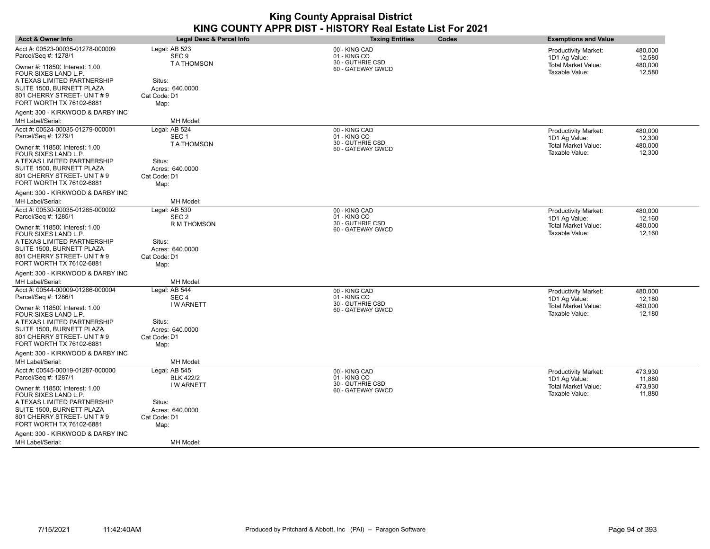| <b>Acct &amp; Owner Info</b>                                                                                                                                                                                  | Legal Desc & Parcel Info                                                                           | <b>Taxing Entities</b>                                                 | Codes | <b>Exemptions and Value</b>                                                           |                                        |
|---------------------------------------------------------------------------------------------------------------------------------------------------------------------------------------------------------------|----------------------------------------------------------------------------------------------------|------------------------------------------------------------------------|-------|---------------------------------------------------------------------------------------|----------------------------------------|
| Acct #: 00523-00035-01278-000009<br>Parcel/Seq #: 1278/1                                                                                                                                                      | Legal: AB 523<br>SEC <sub>9</sub>                                                                  | 00 - KING CAD<br>01 - KING CO<br>30 - GUTHRIE CSD                      |       | <b>Productivity Market:</b><br>1D1 Ag Value:                                          | 480,000<br>12,580                      |
| Owner #: 11850( Interest: 1.00<br>FOUR SIXES LAND L.P.<br>A TEXAS LIMITED PARTNERSHIP<br>SUITE 1500, BURNETT PLAZA<br>801 CHERRY STREET- UNIT # 9<br>FORT WORTH TX 76102-6881                                 | <b>TATHOMSON</b><br>Situs:<br>Acres: 640,0000<br>Cat Code: D1                                      | 60 - GATEWAY GWCD                                                      |       | Total Market Value:<br>Taxable Value:                                                 | 480,000<br>12,580                      |
| Agent: 300 - KIRKWOOD & DARBY INC                                                                                                                                                                             | Map:                                                                                               |                                                                        |       |                                                                                       |                                        |
| MH Label/Serial:                                                                                                                                                                                              | MH Model:                                                                                          |                                                                        |       |                                                                                       |                                        |
| Acct #: 00524-00035-01279-000001<br>Parcel/Seq #: 1279/1                                                                                                                                                      | Legal: AB 524<br>SEC <sub>1</sub>                                                                  | 00 - KING CAD<br>01 - KING CO                                          |       | <b>Productivity Market:</b><br>1D1 Ag Value:                                          | 480,000<br>12,300                      |
| Owner #: 11850( Interest: 1.00<br>FOUR SIXES LAND L.P.                                                                                                                                                        | <b>TATHOMSON</b>                                                                                   | 30 - GUTHRIE CSD<br>60 - GATEWAY GWCD                                  |       | <b>Total Market Value:</b><br>Taxable Value:                                          | 480,000<br>12,300                      |
| A TEXAS LIMITED PARTNERSHIP<br>SUITE 1500, BURNETT PLAZA<br>801 CHERRY STREET- UNIT # 9<br>FORT WORTH TX 76102-6881                                                                                           | Situs:<br>Acres: 640.0000<br>Cat Code: D1<br>Map:                                                  |                                                                        |       |                                                                                       |                                        |
| Agent: 300 - KIRKWOOD & DARBY INC                                                                                                                                                                             |                                                                                                    |                                                                        |       |                                                                                       |                                        |
| MH Label/Serial:                                                                                                                                                                                              | MH Model:                                                                                          |                                                                        |       |                                                                                       |                                        |
| Acct #: 00530-00035-01285-000002<br>Parcel/Seq #: 1285/1                                                                                                                                                      | Legal: AB 530<br>SEC <sub>2</sub><br>R M THOMSON                                                   | 00 - KING CAD<br>01 - KING CO<br>30 - GUTHRIE CSD                      |       | <b>Productivity Market:</b><br>1D1 Ag Value:                                          | 480,000<br>12,160                      |
| Owner #: 11850( Interest: 1.00<br>FOUR SIXES LAND L.P.<br>A TEXAS LIMITED PARTNERSHIP<br>SUITE 1500, BURNETT PLAZA<br>801 CHERRY STREET- UNIT #9<br>FORT WORTH TX 76102-6881                                  | Situs:<br>Acres: 640,0000<br>Cat Code: D1<br>Map:                                                  | 60 - GATEWAY GWCD                                                      |       | Total Market Value:<br>Taxable Value:                                                 | 480,000<br>12,160                      |
| Agent: 300 - KIRKWOOD & DARBY INC                                                                                                                                                                             |                                                                                                    |                                                                        |       |                                                                                       |                                        |
| MH Label/Serial:                                                                                                                                                                                              | MH Model:                                                                                          |                                                                        |       |                                                                                       |                                        |
| Acct #: 00544-00009-01286-000004<br>Parcel/Seq #: 1286/1<br>Owner #: 11850( Interest: 1.00<br>FOUR SIXES LAND L.P.<br>A TEXAS LIMITED PARTNERSHIP<br>SUITE 1500, BURNETT PLAZA<br>801 CHERRY STREET- UNIT # 9 | Legal: AB 544<br>SEC <sub>4</sub><br><b>I WARNETT</b><br>Situs:<br>Acres: 640.0000<br>Cat Code: D1 | 00 - KING CAD<br>01 - KING CO<br>30 - GUTHRIE CSD<br>60 - GATEWAY GWCD |       | <b>Productivity Market:</b><br>1D1 Ag Value:<br>Total Market Value:<br>Taxable Value: | 480,000<br>12,180<br>480,000<br>12,180 |
| FORT WORTH TX 76102-6881                                                                                                                                                                                      | Map:                                                                                               |                                                                        |       |                                                                                       |                                        |
| Agent: 300 - KIRKWOOD & DARBY INC<br>MH Label/Serial:                                                                                                                                                         | MH Model:                                                                                          |                                                                        |       |                                                                                       |                                        |
| Acct #: 00545-00019-01287-000000<br>Parcel/Seq #: 1287/1                                                                                                                                                      | Legal: AB 545<br><b>BLK 422/2</b>                                                                  | 00 - KING CAD<br>01 - KING CO                                          |       | <b>Productivity Market:</b><br>1D1 Ag Value:                                          | 473,930<br>11,880                      |
| Owner #: 11850( Interest: 1.00<br>FOUR SIXES LAND L.P.<br>A TEXAS LIMITED PARTNERSHIP<br>SUITE 1500, BURNETT PLAZA<br>801 CHERRY STREET- UNIT # 9<br>FORT WORTH TX 76102-6881                                 | <b>I W ARNETT</b><br>Situs:<br>Acres: 640.0000<br>Cat Code: D1<br>Map:                             | 30 - GUTHRIE CSD<br>60 - GATEWAY GWCD                                  |       | Total Market Value:<br>Taxable Value:                                                 | 473,930<br>11,880                      |
| Agent: 300 - KIRKWOOD & DARBY INC                                                                                                                                                                             |                                                                                                    |                                                                        |       |                                                                                       |                                        |
| MH Label/Serial:                                                                                                                                                                                              | MH Model:                                                                                          |                                                                        |       |                                                                                       |                                        |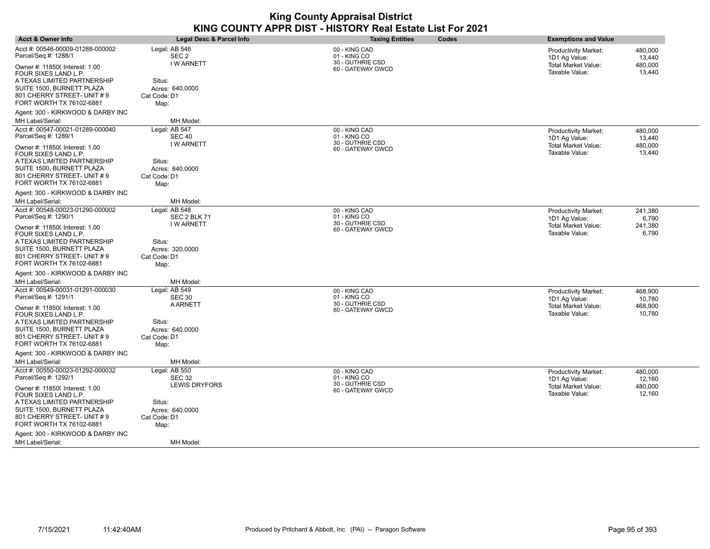| <b>Acct &amp; Owner Info</b>                                                               | Legal Desc & Parcel Info                          | <b>Taxing Entities</b><br>Codes                   | <b>Exemptions and Value</b>                                                                         |
|--------------------------------------------------------------------------------------------|---------------------------------------------------|---------------------------------------------------|-----------------------------------------------------------------------------------------------------|
| Acct #: 00546-00009-01288-000002<br>Parcel/Seq #: 1288/1                                   | Legal: AB 546<br>SEC <sub>2</sub>                 | 00 - KING CAD<br>01 - KING CO                     | <b>Productivity Market:</b><br>480,000<br>1D1 Ag Value:<br>13,440                                   |
| Owner #: 11850( Interest: 1.00<br>FOUR SIXES LAND L.P.                                     | <b>IWARNETT</b>                                   | 30 - GUTHRIE CSD<br>60 - GATEWAY GWCD             | Total Market Value:<br>480,000<br>Taxable Value:<br>13,440                                          |
| A TEXAS LIMITED PARTNERSHIP<br>SUITE 1500, BURNETT PLAZA<br>801 CHERRY STREET- UNIT #9     | Situs:<br>Acres: 640.0000<br>Cat Code: D1         |                                                   |                                                                                                     |
| FORT WORTH TX 76102-6881                                                                   | Map:                                              |                                                   |                                                                                                     |
| Agent: 300 - KIRKWOOD & DARBY INC<br>MH Label/Serial:                                      | MH Model:                                         |                                                   |                                                                                                     |
| Acct #: 00547-00021-01289-000040<br>Parcel/Seq #: 1289/1                                   | Legal: AB 547<br><b>SEC 40</b>                    | 00 - KING CAD<br>01 - KING CO                     | <b>Productivity Market:</b><br>480,000<br>13,440<br>1D1 Ag Value:                                   |
| Owner #: 11850( Interest: 1.00<br>FOUR SIXES LAND L.P.                                     | <b>IWARNETT</b>                                   | 30 - GUTHRIE CSD<br>60 - GATEWAY GWCD             | <b>Total Market Value:</b><br>480,000<br>Taxable Value:<br>13,440                                   |
| A TEXAS LIMITED PARTNERSHIP<br>SUITE 1500, BURNETT PLAZA                                   | Situs:<br>Acres: 640.0000                         |                                                   |                                                                                                     |
| 801 CHERRY STREET- UNIT # 9<br>FORT WORTH TX 76102-6881                                    | Cat Code: D1<br>Map:                              |                                                   |                                                                                                     |
| Agent: 300 - KIRKWOOD & DARBY INC                                                          |                                                   |                                                   |                                                                                                     |
| MH Label/Serial:                                                                           | MH Model:                                         |                                                   |                                                                                                     |
| Acct #: 00548-00023-01290-000002<br>Parcel/Seq #: 1290/1                                   | Legal: AB 548<br>SEC 2 BLK 71                     | 00 - KING CAD<br>01 - KING CO                     | <b>Productivity Market:</b><br>241,380<br>1D1 Ag Value:<br>6,790                                    |
| Owner #: 11850( Interest: 1.00<br>FOUR SIXES LAND L.P.                                     | <b>IWARNETT</b>                                   | 30 - GUTHRIE CSD<br>60 - GATEWAY GWCD             | Total Market Value:<br>241,380<br>Taxable Value:<br>6,790                                           |
| A TEXAS LIMITED PARTNERSHIP<br>SUITE 1500, BURNETT PLAZA                                   | Situs:<br>Acres: 320.0000                         |                                                   |                                                                                                     |
| 801 CHERRY STREET- UNIT # 9<br>FORT WORTH TX 76102-6881                                    | Cat Code: D1<br>Map:                              |                                                   |                                                                                                     |
| Agent: 300 - KIRKWOOD & DARBY INC                                                          |                                                   |                                                   |                                                                                                     |
| MH Label/Serial:                                                                           | MH Model:                                         |                                                   |                                                                                                     |
| Acct #: 00549-00031-01291-000030<br>Parcel/Seq #: 1291/1<br>Owner #: 11850( Interest: 1.00 | Legal: AB 549<br><b>SEC 30</b><br><b>A ARNETT</b> | 00 - KING CAD<br>01 - KING CO<br>30 - GUTHRIE CSD | <b>Productivity Market:</b><br>468,900<br>10,780<br>1D1 Ag Value:<br>Total Market Value:<br>468,900 |
| FOUR SIXES LAND L.P.<br>A TEXAS LIMITED PARTNERSHIP                                        | Situs:                                            | 60 - GATEWAY GWCD                                 | Taxable Value:<br>10,780                                                                            |
| SUITE 1500, BURNETT PLAZA<br>801 CHERRY STREET- UNIT # 9                                   | Acres: 640.0000<br>Cat Code: D1                   |                                                   |                                                                                                     |
| FORT WORTH TX 76102-6881                                                                   | Map:                                              |                                                   |                                                                                                     |
| Agent: 300 - KIRKWOOD & DARBY INC                                                          |                                                   |                                                   |                                                                                                     |
| MH Label/Serial:<br>Acct #: 00550-00023-01292-000032                                       | MH Model:<br>Legal: AB 550                        |                                                   |                                                                                                     |
| Parcel/Seq #: 1292/1                                                                       | SEC 32                                            | 00 - KING CAD<br>01 - KING CO                     | <b>Productivity Market:</b><br>480,000<br>12,160<br>1D1 Ag Value:                                   |
| Owner #: 11850( Interest: 1.00<br>FOUR SIXES LAND L.P.                                     | <b>LEWIS DRYFORS</b>                              | 30 - GUTHRIE CSD<br>60 - GATEWAY GWCD             | <b>Total Market Value:</b><br>480,000<br>Taxable Value:<br>12,160                                   |
| A TEXAS LIMITED PARTNERSHIP                                                                | Situs:                                            |                                                   |                                                                                                     |
| SUITE 1500, BURNETT PLAZA<br>801 CHERRY STREET- UNIT # 9<br>FORT WORTH TX 76102-6881       | Acres: 640.0000<br>Cat Code: D1                   |                                                   |                                                                                                     |
| Agent: 300 - KIRKWOOD & DARBY INC                                                          | Map:                                              |                                                   |                                                                                                     |
| MH Label/Serial:                                                                           | MH Model:                                         |                                                   |                                                                                                     |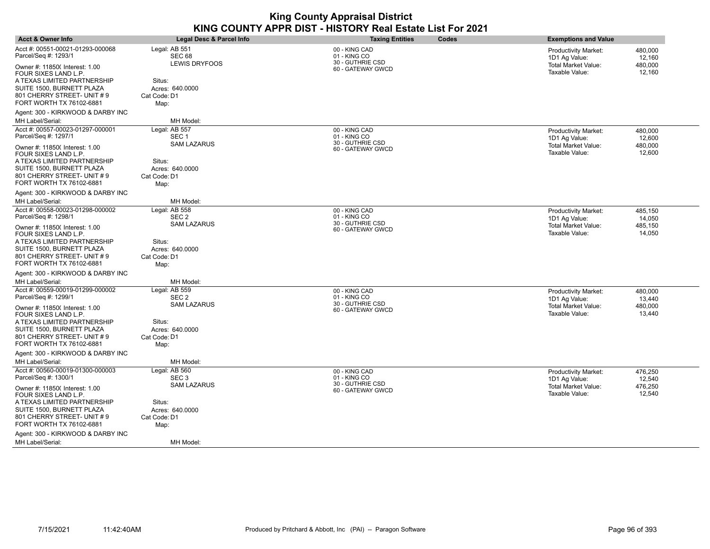| <b>Acct &amp; Owner Info</b>                             | Legal Desc & Parcel Info               | <b>Taxing Entities</b><br>Codes                   | <b>Exemptions and Value</b>                                                                  |
|----------------------------------------------------------|----------------------------------------|---------------------------------------------------|----------------------------------------------------------------------------------------------|
| Acct #: 00551-00021-01293-000068<br>Parcel/Seq #: 1293/1 | Legal: AB 551<br>SEC <sub>68</sub>     | 00 - KING CAD<br>01 - KING CO<br>30 - GUTHRIE CSD | <b>Productivity Market:</b><br>480,000<br>1D1 Ag Value:<br>12,160                            |
| Owner #: 11850( Interest: 1.00<br>FOUR SIXES LAND L.P.   | <b>LEWIS DRYFOOS</b>                   | 60 - GATEWAY GWCD                                 | <b>Total Market Value:</b><br>480,000<br>Taxable Value:<br>12,160                            |
| A TEXAS LIMITED PARTNERSHIP<br>SUITE 1500, BURNETT PLAZA | Situs:<br>Acres: 640,0000              |                                                   |                                                                                              |
| 801 CHERRY STREET- UNIT # 9<br>FORT WORTH TX 76102-6881  | Cat Code: D1<br>Map:                   |                                                   |                                                                                              |
| Agent: 300 - KIRKWOOD & DARBY INC<br>MH Label/Serial:    | MH Model:                              |                                                   |                                                                                              |
| Acct #: 00557-00023-01297-000001<br>Parcel/Seq #: 1297/1 | Legal: AB 557<br>SEC <sub>1</sub>      | 00 - KING CAD<br>01 - KING CO                     | <b>Productivity Market:</b><br>480,000                                                       |
| Owner #: 11850( Interest: 1.00<br>FOUR SIXES LAND L.P.   | <b>SAM LAZARUS</b>                     | 30 - GUTHRIE CSD<br>60 - GATEWAY GWCD             | 1D1 Ag Value:<br>12,600<br><b>Total Market Value:</b><br>480,000<br>Taxable Value:<br>12,600 |
| A TEXAS LIMITED PARTNERSHIP                              | Situs:                                 |                                                   |                                                                                              |
| SUITE 1500, BURNETT PLAZA<br>801 CHERRY STREET- UNIT # 9 | Acres: 640.0000<br>Cat Code: D1        |                                                   |                                                                                              |
| FORT WORTH TX 76102-6881                                 | Map:                                   |                                                   |                                                                                              |
| Agent: 300 - KIRKWOOD & DARBY INC                        |                                        |                                                   |                                                                                              |
| MH Label/Serial:                                         | MH Model:                              |                                                   |                                                                                              |
| Acct #: 00558-00023-01298-000002<br>Parcel/Seq #: 1298/1 | Legal: AB 558<br>SEC <sub>2</sub>      | 00 - KING CAD<br>01 - KING CO                     | <b>Productivity Market:</b><br>485,150<br>14,050<br>1D1 Ag Value:                            |
| Owner #: 11850( Interest: 1.00<br>FOUR SIXES LAND L.P.   | <b>SAM LAZARUS</b>                     | 30 - GUTHRIE CSD<br>60 - GATEWAY GWCD             | 485,150<br>Total Market Value:<br>Taxable Value:<br>14,050                                   |
| A TEXAS LIMITED PARTNERSHIP                              | Situs:                                 |                                                   |                                                                                              |
| SUITE 1500, BURNETT PLAZA<br>801 CHERRY STREET- UNIT # 9 | Acres: 640.0000                        |                                                   |                                                                                              |
| FORT WORTH TX 76102-6881                                 | Cat Code: D1<br>Map:                   |                                                   |                                                                                              |
| Agent: 300 - KIRKWOOD & DARBY INC                        |                                        |                                                   |                                                                                              |
| MH Label/Serial:                                         | MH Model:                              |                                                   |                                                                                              |
| Acct #: 00559-00019-01299-000002                         | Legal: AB 559                          | 00 - KING CAD                                     | <b>Productivity Market:</b><br>480,000                                                       |
| Parcel/Seq #: 1299/1                                     | SEC <sub>2</sub><br><b>SAM LAZARUS</b> | 01 - KING CO<br>30 - GUTHRIE CSD                  | 13,440<br>1D1 Ag Value:<br>480,000<br>Total Market Value:                                    |
| Owner #: 11850( Interest: 1.00<br>FOUR SIXES LAND L.P.   |                                        | 60 - GATEWAY GWCD                                 | Taxable Value:<br>13,440                                                                     |
| A TEXAS LIMITED PARTNERSHIP                              | Situs:                                 |                                                   |                                                                                              |
| SUITE 1500, BURNETT PLAZA                                | Acres: 640.0000                        |                                                   |                                                                                              |
| 801 CHERRY STREET- UNIT # 9<br>FORT WORTH TX 76102-6881  | Cat Code: D1                           |                                                   |                                                                                              |
| Agent: 300 - KIRKWOOD & DARBY INC                        | Map:                                   |                                                   |                                                                                              |
| MH Label/Serial:                                         | MH Model:                              |                                                   |                                                                                              |
| Acct #: 00560-00019-01300-000003                         | Legal: AB 560                          | 00 - KING CAD                                     | <b>Productivity Market:</b><br>476,250                                                       |
| Parcel/Seq #: 1300/1                                     | SEC <sub>3</sub>                       | 01 - KING CO<br>30 - GUTHRIE CSD                  | 1D1 Ag Value:<br>12,540                                                                      |
| Owner #: 11850( Interest: 1.00<br>FOUR SIXES LAND L.P.   | <b>SAM LAZARUS</b>                     | 60 - GATEWAY GWCD                                 | Total Market Value:<br>476,250<br>Taxable Value:<br>12,540                                   |
| A TEXAS LIMITED PARTNERSHIP                              | Situs:                                 |                                                   |                                                                                              |
| SUITE 1500, BURNETT PLAZA<br>801 CHERRY STREET- UNIT # 9 | Acres: 640.0000<br>Cat Code: D1        |                                                   |                                                                                              |
| FORT WORTH TX 76102-6881                                 | Map:                                   |                                                   |                                                                                              |
| Agent: 300 - KIRKWOOD & DARBY INC                        |                                        |                                                   |                                                                                              |
| MH Label/Serial:                                         | MH Model:                              |                                                   |                                                                                              |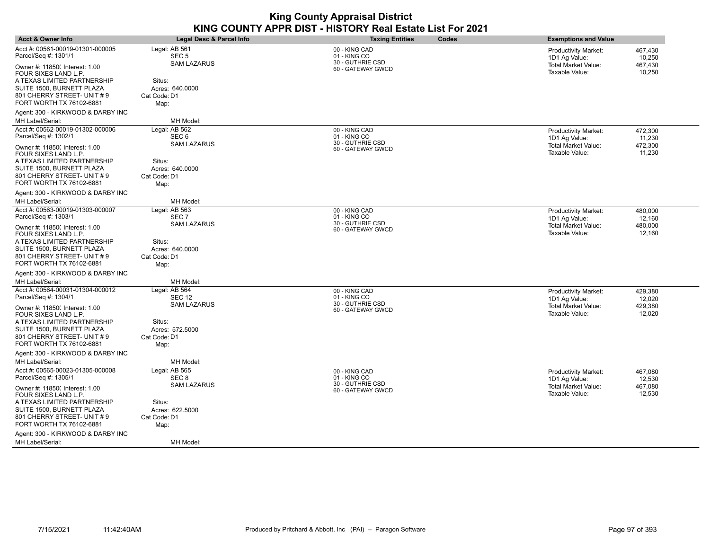| <b>Acct &amp; Owner Info</b>                                                                                                                                                 | <b>Legal Desc &amp; Parcel Info</b>                                     | <b>Taxing Entities</b>                                                 | Codes | <b>Exemptions and Value</b>                                                    |                                        |
|------------------------------------------------------------------------------------------------------------------------------------------------------------------------------|-------------------------------------------------------------------------|------------------------------------------------------------------------|-------|--------------------------------------------------------------------------------|----------------------------------------|
| Acct #: 00561-00019-01301-000005<br>Parcel/Seq #: 1301/1                                                                                                                     | Legal: AB 561<br>SEC <sub>5</sub><br><b>SAM LAZARUS</b>                 | 00 - KING CAD<br>01 - KING CO<br>30 - GUTHRIE CSD                      |       | <b>Productivity Market:</b><br>1D1 Ag Value:<br>Total Market Value:            | 467,430<br>10,250<br>467,430           |
| Owner #: 11850( Interest: 1.00<br>FOUR SIXES LAND L.P.<br>A TEXAS LIMITED PARTNERSHIP<br>SUITE 1500, BURNETT PLAZA<br>801 CHERRY STREET- UNIT #9<br>FORT WORTH TX 76102-6881 | Situs:<br>Acres: 640,0000<br>Cat Code: D1<br>Map:                       | 60 - GATEWAY GWCD                                                      |       | Taxable Value:                                                                 | 10,250                                 |
| Agent: 300 - KIRKWOOD & DARBY INC<br>MH Label/Serial:                                                                                                                        | MH Model:                                                               |                                                                        |       |                                                                                |                                        |
| Acct #: 00562-00019-01302-000006<br>Parcel/Seq #: 1302/1                                                                                                                     | Legal: AB 562<br>SEC <sub>6</sub>                                       | 00 - KING CAD<br>01 - KING CO                                          |       | <b>Productivity Market:</b><br>1D1 Ag Value:                                   | 472,300<br>11,230                      |
| Owner #: 11850( Interest: 1.00<br>FOUR SIXES LAND L.P.                                                                                                                       | <b>SAM LAZARUS</b>                                                      | 30 - GUTHRIE CSD<br>60 - GATEWAY GWCD                                  |       | <b>Total Market Value:</b><br>Taxable Value:                                   | 472,300<br>11,230                      |
| A TEXAS LIMITED PARTNERSHIP<br>SUITE 1500, BURNETT PLAZA<br>801 CHERRY STREET- UNIT #9<br>FORT WORTH TX 76102-6881                                                           | Situs:<br>Acres: 640.0000<br>Cat Code: D1<br>Map:                       |                                                                        |       |                                                                                |                                        |
| Agent: 300 - KIRKWOOD & DARBY INC                                                                                                                                            |                                                                         |                                                                        |       |                                                                                |                                        |
| MH Label/Serial:                                                                                                                                                             | MH Model:                                                               |                                                                        |       |                                                                                |                                        |
| Acct #: 00563-00019-01303-000007<br>Parcel/Seq #: 1303/1                                                                                                                     | Legal: AB 563<br>SEC <sub>7</sub>                                       | 00 - KING CAD<br>01 - KING CO<br>30 - GUTHRIE CSD                      |       | <b>Productivity Market:</b><br>1D1 Ag Value:                                   | 480,000<br>12,160                      |
| Owner #: 11850( Interest: 1.00<br>FOUR SIXES LAND L.P.<br>A TEXAS LIMITED PARTNERSHIP<br>SUITE 1500, BURNETT PLAZA<br>801 CHERRY STREET- UNIT #9<br>FORT WORTH TX 76102-6881 | <b>SAM LAZARUS</b><br>Situs:<br>Acres: 640,0000<br>Cat Code: D1<br>Map: | 60 - GATEWAY GWCD                                                      |       | Total Market Value:<br>Taxable Value:                                          | 480,000<br>12,160                      |
| Agent: 300 - KIRKWOOD & DARBY INC                                                                                                                                            |                                                                         |                                                                        |       |                                                                                |                                        |
| MH Label/Serial:                                                                                                                                                             | MH Model:                                                               |                                                                        |       |                                                                                |                                        |
| Acct #: 00564-00031-01304-000012<br>Parcel/Seq #: 1304/1<br>Owner #: 11850( Interest: 1.00<br>FOUR SIXES LAND L.P.                                                           | Legal: AB 564<br><b>SEC 12</b><br><b>SAM LAZARUS</b>                    | 00 - KING CAD<br>01 - KING CO<br>30 - GUTHRIE CSD<br>60 - GATEWAY GWCD |       | Productivity Market:<br>1D1 Ag Value:<br>Total Market Value:<br>Taxable Value: | 429,380<br>12,020<br>429,380<br>12,020 |
| A TEXAS LIMITED PARTNERSHIP<br>SUITE 1500, BURNETT PLAZA<br>801 CHERRY STREET- UNIT #9<br>FORT WORTH TX 76102-6881                                                           | Situs:<br>Acres: 572.5000<br>Cat Code: D1<br>Map:                       |                                                                        |       |                                                                                |                                        |
| Agent: 300 - KIRKWOOD & DARBY INC                                                                                                                                            |                                                                         |                                                                        |       |                                                                                |                                        |
| MH Label/Serial:                                                                                                                                                             | MH Model:                                                               |                                                                        |       |                                                                                |                                        |
| Acct #: 00565-00023-01305-000008<br>Parcel/Seq #: 1305/1                                                                                                                     | Legal: AB 565<br>SEC <sub>8</sub>                                       | 00 - KING CAD<br>01 - KING CO<br>30 - GUTHRIE CSD                      |       | <b>Productivity Market:</b><br>1D1 Ag Value:                                   | 467,080<br>12,530                      |
| Owner #: 11850( Interest: 1.00<br>FOUR SIXES LAND L.P.                                                                                                                       | <b>SAM LAZARUS</b>                                                      | 60 - GATEWAY GWCD                                                      |       | <b>Total Market Value:</b><br>Taxable Value:                                   | 467,080<br>12,530                      |
| A TEXAS LIMITED PARTNERSHIP<br>SUITE 1500, BURNETT PLAZA<br>801 CHERRY STREET- UNIT #9<br>FORT WORTH TX 76102-6881                                                           | Situs:<br>Acres: 622.5000<br>Cat Code: D1<br>Map:                       |                                                                        |       |                                                                                |                                        |
| Agent: 300 - KIRKWOOD & DARBY INC                                                                                                                                            |                                                                         |                                                                        |       |                                                                                |                                        |
| MH Label/Serial:                                                                                                                                                             | MH Model:                                                               |                                                                        |       |                                                                                |                                        |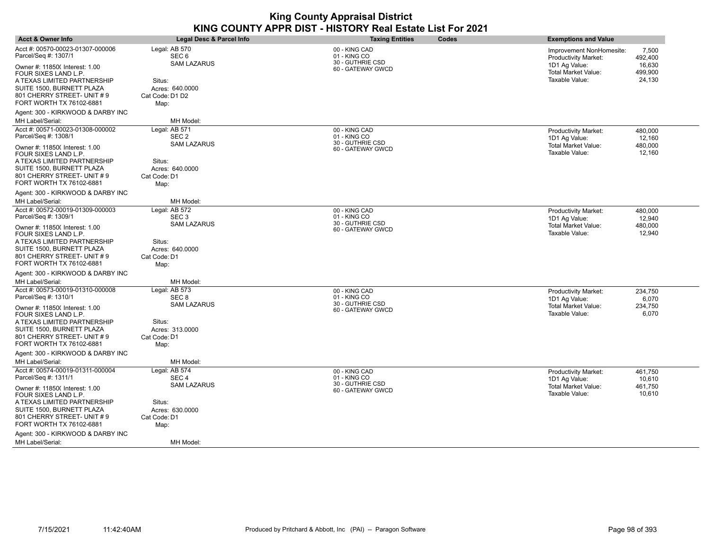| <b>Acct &amp; Owner Info</b>                                                                                                                                                 | <b>Legal Desc &amp; Parcel Info</b>                                     | <b>Taxing Entities</b><br>Codes                                        | <b>Exemptions and Value</b>                                                                                                   |
|------------------------------------------------------------------------------------------------------------------------------------------------------------------------------|-------------------------------------------------------------------------|------------------------------------------------------------------------|-------------------------------------------------------------------------------------------------------------------------------|
| Acct #: 00570-00023-01307-000006<br>Parcel/Seq #: 1307/1                                                                                                                     | Legal: AB 570<br>SEC <sub>6</sub><br><b>SAM LAZARUS</b>                 | 00 - KING CAD<br>01 - KING CO<br>30 - GUTHRIE CSD                      | Improvement NonHomesite:<br>7,500<br><b>Productivity Market:</b><br>492,400<br>16,630                                         |
| Owner #: 11850( Interest: 1.00<br>FOUR SIXES LAND L.P.<br>A TEXAS LIMITED PARTNERSHIP<br>SUITE 1500, BURNETT PLAZA<br>801 CHERRY STREET- UNIT #9                             | Situs:<br>Acres: 640.0000<br>Cat Code: D1 D2                            | 60 - GATEWAY GWCD                                                      | 1D1 Ag Value:<br><b>Total Market Value:</b><br>499,900<br>Taxable Value:<br>24,130                                            |
| FORT WORTH TX 76102-6881                                                                                                                                                     | Map:                                                                    |                                                                        |                                                                                                                               |
| Agent: 300 - KIRKWOOD & DARBY INC<br>MH Label/Serial:                                                                                                                        | MH Model:                                                               |                                                                        |                                                                                                                               |
| Acct #: 00571-00023-01308-000002<br>Parcel/Seq #: 1308/1                                                                                                                     | Legal: AB 571<br>SEC <sub>2</sub>                                       | 00 - KING CAD<br>01 - KING CO                                          | <b>Productivity Market:</b><br>480,000<br>1D1 Ag Value:<br>12,160                                                             |
| Owner #: 11850( Interest: 1.00<br>FOUR SIXES LAND L.P.                                                                                                                       | <b>SAM LAZARUS</b>                                                      | 30 - GUTHRIE CSD<br>60 - GATEWAY GWCD                                  | <b>Total Market Value:</b><br>480,000<br>Taxable Value:<br>12,160                                                             |
| A TEXAS LIMITED PARTNERSHIP<br>SUITE 1500, BURNETT PLAZA<br>801 CHERRY STREET- UNIT #9<br>FORT WORTH TX 76102-6881                                                           | Situs:<br>Acres: 640.0000<br>Cat Code: D1<br>Map:                       |                                                                        |                                                                                                                               |
| Agent: 300 - KIRKWOOD & DARBY INC                                                                                                                                            |                                                                         |                                                                        |                                                                                                                               |
| MH Label/Serial:                                                                                                                                                             | MH Model:                                                               |                                                                        |                                                                                                                               |
| Acct #: 00572-00019-01309-000003<br>Parcel/Seq #: 1309/1                                                                                                                     | Legal: AB 572<br>SEC <sub>3</sub>                                       | 00 - KING CAD<br>01 - KING CO                                          | 480,000<br><b>Productivity Market:</b><br>12,940<br>1D1 Ag Value:                                                             |
| Owner #: 11850( Interest: 1.00<br>FOUR SIXES LAND L.P.<br>A TEXAS LIMITED PARTNERSHIP<br>SUITE 1500, BURNETT PLAZA<br>801 CHERRY STREET- UNIT #9<br>FORT WORTH TX 76102-6881 | <b>SAM LAZARUS</b><br>Situs:<br>Acres: 640.0000<br>Cat Code: D1<br>Map: | 30 - GUTHRIE CSD<br>60 - GATEWAY GWCD                                  | 480,000<br>Total Market Value:<br>Taxable Value:<br>12,940                                                                    |
| Agent: 300 - KIRKWOOD & DARBY INC                                                                                                                                            |                                                                         |                                                                        |                                                                                                                               |
| MH Label/Serial:                                                                                                                                                             | MH Model:                                                               |                                                                        |                                                                                                                               |
| Acct #: 00573-00019-01310-000008<br>Parcel/Seq #: 1310/1<br>Owner #: 11850( Interest: 1.00<br>FOUR SIXES LAND L.P.                                                           | Legal: AB 573<br>SEC <sub>8</sub><br><b>SAM LAZARUS</b>                 | 00 - KING CAD<br>01 - KING CO<br>30 - GUTHRIE CSD<br>60 - GATEWAY GWCD | 234,750<br><b>Productivity Market:</b><br>1D1 Ag Value:<br>6,070<br>Total Market Value:<br>234,750<br>Taxable Value:<br>6,070 |
| A TEXAS LIMITED PARTNERSHIP<br>SUITE 1500, BURNETT PLAZA<br>801 CHERRY STREET- UNIT #9<br>FORT WORTH TX 76102-6881                                                           | Situs:<br>Acres: 313.0000<br>Cat Code: D1<br>Map:                       |                                                                        |                                                                                                                               |
| Agent: 300 - KIRKWOOD & DARBY INC                                                                                                                                            |                                                                         |                                                                        |                                                                                                                               |
| MH Label/Serial:                                                                                                                                                             | MH Model:                                                               |                                                                        |                                                                                                                               |
| Acct #: 00574-00019-01311-000004<br>Parcel/Seq #: 1311/1                                                                                                                     | Legal: AB 574<br>SEC <sub>4</sub>                                       | 00 - KING CAD<br>01 - KING CO<br>30 - GUTHRIE CSD                      | 461.750<br><b>Productivity Market:</b><br>1D1 Ag Value:<br>10,610                                                             |
| Owner #: 11850( Interest: 1.00<br>FOUR SIXES LAND L.P.                                                                                                                       | <b>SAM LAZARUS</b>                                                      | 60 - GATEWAY GWCD                                                      | <b>Total Market Value:</b><br>461,750<br>Taxable Value:<br>10,610                                                             |
| A TEXAS LIMITED PARTNERSHIP<br>SUITE 1500, BURNETT PLAZA<br>801 CHERRY STREET- UNIT #9<br>FORT WORTH TX 76102-6881                                                           | Situs:<br>Acres: 630.0000<br>Cat Code: D1<br>Map:                       |                                                                        |                                                                                                                               |
| Agent: 300 - KIRKWOOD & DARBY INC                                                                                                                                            |                                                                         |                                                                        |                                                                                                                               |
| MH Label/Serial:                                                                                                                                                             | MH Model:                                                               |                                                                        |                                                                                                                               |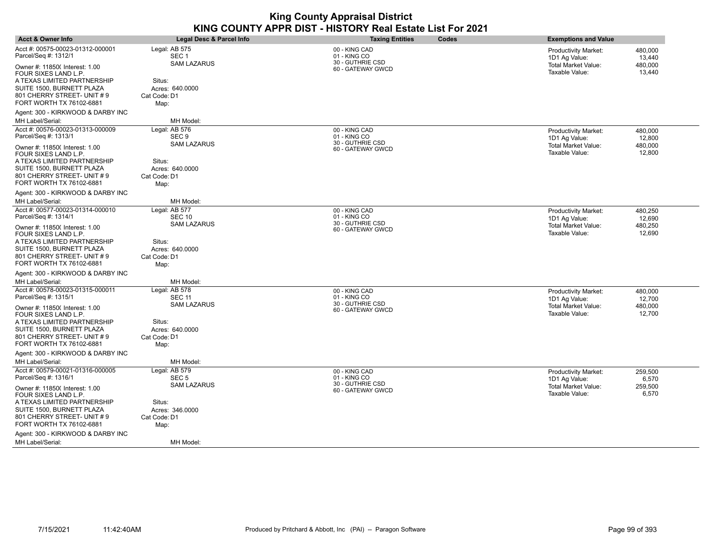| <b>Acct &amp; Owner Info</b>                                                                                                                                                 | Legal Desc & Parcel Info                                                | <b>Taxing Entities</b>                                                 | Codes | <b>Exemptions and Value</b>                                                    |                                        |
|------------------------------------------------------------------------------------------------------------------------------------------------------------------------------|-------------------------------------------------------------------------|------------------------------------------------------------------------|-------|--------------------------------------------------------------------------------|----------------------------------------|
| Acct #: 00575-00023-01312-000001<br>Parcel/Seq #: 1312/1<br>Owner #: 11850( Interest: 1.00                                                                                   | Legal: AB 575<br>SEC <sub>1</sub><br><b>SAM LAZARUS</b>                 | 00 - KING CAD<br>01 - KING CO<br>30 - GUTHRIE CSD<br>60 - GATEWAY GWCD |       | Productivity Market:<br>1D1 Ag Value:<br>Total Market Value:<br>Taxable Value: | 480,000<br>13,440<br>480,000<br>13,440 |
| FOUR SIXES LAND L.P.<br>A TEXAS LIMITED PARTNERSHIP<br>SUITE 1500, BURNETT PLAZA<br>801 CHERRY STREET- UNIT #9<br>FORT WORTH TX 76102-6881                                   | Situs:<br>Acres: 640.0000<br>Cat Code: D1<br>Map:                       |                                                                        |       |                                                                                |                                        |
| Agent: 300 - KIRKWOOD & DARBY INC<br>MH Label/Serial:                                                                                                                        | MH Model:                                                               |                                                                        |       |                                                                                |                                        |
| Acct #: 00576-00023-01313-000009<br>Parcel/Seq #: 1313/1                                                                                                                     | Legal: AB 576<br>SEC <sub>9</sub>                                       | 00 - KING CAD<br>01 - KING CO                                          |       | <b>Productivity Market:</b>                                                    | 480,000                                |
| Owner #: 11850( Interest: 1.00<br>FOUR SIXES LAND L.P.                                                                                                                       | <b>SAM LAZARUS</b>                                                      | 30 - GUTHRIE CSD<br>60 - GATEWAY GWCD                                  |       | 1D1 Ag Value:<br><b>Total Market Value:</b><br>Taxable Value:                  | 12,800<br>480,000<br>12,800            |
| A TEXAS LIMITED PARTNERSHIP<br>SUITE 1500, BURNETT PLAZA<br>801 CHERRY STREET- UNIT #9<br>FORT WORTH TX 76102-6881                                                           | Situs:<br>Acres: 640,0000<br>Cat Code: D1<br>Map:                       |                                                                        |       |                                                                                |                                        |
| Agent: 300 - KIRKWOOD & DARBY INC<br>MH Label/Serial:                                                                                                                        | MH Model:                                                               |                                                                        |       |                                                                                |                                        |
| Acct #: 00577-00023-01314-000010<br>Parcel/Seq #: 1314/1                                                                                                                     | Legal: AB 577<br><b>SEC 10</b>                                          | 00 - KING CAD<br>01 - KING CO                                          |       | <b>Productivity Market:</b><br>1D1 Ag Value:                                   | 480,250<br>12.690                      |
| Owner #: 11850( Interest: 1.00<br>FOUR SIXES LAND L.P.<br>A TEXAS LIMITED PARTNERSHIP<br>SUITE 1500, BURNETT PLAZA<br>801 CHERRY STREET- UNIT #9<br>FORT WORTH TX 76102-6881 | <b>SAM LAZARUS</b><br>Situs:<br>Acres: 640.0000<br>Cat Code: D1<br>Map: | 30 - GUTHRIE CSD<br>60 - GATEWAY GWCD                                  |       | Total Market Value:<br>Taxable Value:                                          | 480,250<br>12,690                      |
| Agent: 300 - KIRKWOOD & DARBY INC<br>MH Label/Serial:                                                                                                                        | MH Model:                                                               |                                                                        |       |                                                                                |                                        |
| Acct #: 00578-00023-01315-000011<br>Parcel/Seq #: 1315/1                                                                                                                     | Legal: AB 578<br><b>SEC 11</b>                                          | 00 - KING CAD<br>01 - KING CO                                          |       | <b>Productivity Market:</b>                                                    | 480,000                                |
| Owner #: 11850( Interest: 1.00<br>FOUR SIXES LAND L.P.                                                                                                                       | <b>SAM LAZARUS</b>                                                      | 30 - GUTHRIE CSD<br>60 - GATEWAY GWCD                                  |       | 1D1 Ag Value:<br><b>Total Market Value:</b><br>Taxable Value:                  | 12,700<br>480,000<br>12,700            |
| A TEXAS LIMITED PARTNERSHIP<br>SUITE 1500, BURNETT PLAZA<br>801 CHERRY STREET- UNIT #9<br>FORT WORTH TX 76102-6881                                                           | Situs:<br>Acres: 640.0000<br>Cat Code: D1<br>Map:                       |                                                                        |       |                                                                                |                                        |
| Agent: 300 - KIRKWOOD & DARBY INC                                                                                                                                            |                                                                         |                                                                        |       |                                                                                |                                        |
| MH Label/Serial:<br>Acct #: 00579-00021-01316-000005                                                                                                                         | MH Model:<br>Legal: AB 579                                              | 00 - KING CAD                                                          |       | Productivity Market:                                                           | 259,500                                |
| Parcel/Seq #: 1316/1<br>Owner #: 11850( Interest: 1.00                                                                                                                       | SEC <sub>5</sub><br><b>SAM LAZARUS</b>                                  | 01 - KING CO<br>30 - GUTHRIE CSD<br>60 - GATEWAY GWCD                  |       | 1D1 Ag Value:<br><b>Total Market Value:</b><br>Taxable Value:                  | 6,570<br>259,500<br>6,570              |
| FOUR SIXES LAND L.P.<br>A TEXAS LIMITED PARTNERSHIP<br>SUITE 1500, BURNETT PLAZA<br>801 CHERRY STREET- UNIT #9<br>FORT WORTH TX 76102-6881                                   | Situs:<br>Acres: 346.0000<br>Cat Code: D1<br>Map:                       |                                                                        |       |                                                                                |                                        |
| Agent: 300 - KIRKWOOD & DARBY INC                                                                                                                                            |                                                                         |                                                                        |       |                                                                                |                                        |
| MH Label/Serial:                                                                                                                                                             | MH Model:                                                               |                                                                        |       |                                                                                |                                        |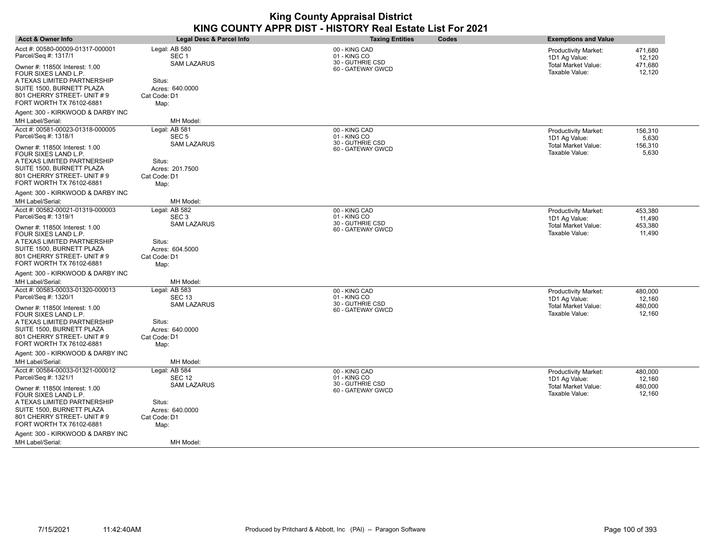| <b>Acct &amp; Owner Info</b>                                                                                                                                                 | Legal Desc & Parcel Info                                                | <b>Taxing Entities</b>                                                 | Codes | <b>Exemptions and Value</b>                                                                  |                              |
|------------------------------------------------------------------------------------------------------------------------------------------------------------------------------|-------------------------------------------------------------------------|------------------------------------------------------------------------|-------|----------------------------------------------------------------------------------------------|------------------------------|
| Acct #: 00580-00009-01317-000001<br>Parcel/Seq #: 1317/1<br>Owner #: 11850( Interest: 1.00                                                                                   | Legal: AB 580<br>SEC <sub>1</sub><br><b>SAM LAZARUS</b>                 | 00 - KING CAD<br>01 - KING CO<br>30 - GUTHRIE CSD<br>60 - GATEWAY GWCD |       | Productivity Market:<br>1D1 Ag Value:<br>Total Market Value:                                 | 471,680<br>12,120<br>471,680 |
| FOUR SIXES LAND L.P.<br>A TEXAS LIMITED PARTNERSHIP<br>SUITE 1500, BURNETT PLAZA<br>801 CHERRY STREET- UNIT #9<br>FORT WORTH TX 76102-6881                                   | Situs:<br>Acres: 640.0000<br>Cat Code: D1<br>Map:                       |                                                                        |       | Taxable Value:                                                                               | 12,120                       |
| Agent: 300 - KIRKWOOD & DARBY INC<br>MH Label/Serial:                                                                                                                        | MH Model:                                                               |                                                                        |       |                                                                                              |                              |
| Acct #: 00581-00023-01318-000005<br>Parcel/Seq #: 1318/1                                                                                                                     | Legal: AB 581<br>SEC <sub>5</sub>                                       | 00 - KING CAD<br>01 - KING CO                                          |       | <b>Productivity Market:</b>                                                                  | 156,310                      |
| Owner #: 11850( Interest: 1.00<br>FOUR SIXES LAND L.P.                                                                                                                       | <b>SAM LAZARUS</b>                                                      | 30 - GUTHRIE CSD<br>60 - GATEWAY GWCD                                  |       | 1D1 Ag Value:<br><b>Total Market Value:</b><br>Taxable Value:                                | 5,630<br>156,310<br>5,630    |
| A TEXAS LIMITED PARTNERSHIP<br>SUITE 1500, BURNETT PLAZA<br>801 CHERRY STREET- UNIT #9<br>FORT WORTH TX 76102-6881                                                           | Situs:<br>Acres: 201.7500<br>Cat Code: D1<br>Map:                       |                                                                        |       |                                                                                              |                              |
| Agent: 300 - KIRKWOOD & DARBY INC<br>MH Label/Serial:                                                                                                                        | MH Model:                                                               |                                                                        |       |                                                                                              |                              |
| Acct #: 00582-00021-01319-000003<br>Parcel/Seq #: 1319/1                                                                                                                     | Legal: AB 582<br>SEC <sub>3</sub>                                       | 00 - KING CAD<br>01 - KING CO                                          |       | <b>Productivity Market:</b><br>1D1 Ag Value:                                                 | 453,380<br>11.490            |
| Owner #: 11850( Interest: 1.00<br>FOUR SIXES LAND L.P.<br>A TEXAS LIMITED PARTNERSHIP<br>SUITE 1500, BURNETT PLAZA<br>801 CHERRY STREET- UNIT #9<br>FORT WORTH TX 76102-6881 | <b>SAM LAZARUS</b><br>Situs:<br>Acres: 604.5000<br>Cat Code: D1<br>Map: | 30 - GUTHRIE CSD<br>60 - GATEWAY GWCD                                  |       | Total Market Value:<br>Taxable Value:                                                        | 453,380<br>11,490            |
| Agent: 300 - KIRKWOOD & DARBY INC                                                                                                                                            |                                                                         |                                                                        |       |                                                                                              |                              |
| MH Label/Serial:<br>Acct #: 00583-00033-01320-000013                                                                                                                         | MH Model:<br>Legal: AB 583                                              | 00 - KING CAD                                                          |       |                                                                                              | 480,000                      |
| Parcel/Seq #: 1320/1<br>Owner #: 11850( Interest: 1.00<br>FOUR SIXES LAND L.P.                                                                                               | <b>SEC 13</b><br><b>SAM LAZARUS</b>                                     | 01 - KING CO<br>30 - GUTHRIE CSD<br>60 - GATEWAY GWCD                  |       | <b>Productivity Market:</b><br>1D1 Ag Value:<br><b>Total Market Value:</b><br>Taxable Value: | 12,160<br>480,000<br>12,160  |
| A TEXAS LIMITED PARTNERSHIP<br>SUITE 1500, BURNETT PLAZA<br>801 CHERRY STREET- UNIT #9<br>FORT WORTH TX 76102-6881                                                           | Situs:<br>Acres: 640.0000<br>Cat Code: D1<br>Map:                       |                                                                        |       |                                                                                              |                              |
| Agent: 300 - KIRKWOOD & DARBY INC                                                                                                                                            |                                                                         |                                                                        |       |                                                                                              |                              |
| MH Label/Serial:                                                                                                                                                             | MH Model:                                                               |                                                                        |       |                                                                                              |                              |
| Acct #: 00584-00033-01321-000012<br>Parcel/Seq #: 1321/1                                                                                                                     | Legal: AB 584<br><b>SEC 12</b>                                          | 00 - KING CAD<br>01 - KING CO                                          |       | Productivity Market:<br>1D1 Ag Value:                                                        | 480,000<br>12,160            |
| Owner #: 11850( Interest: 1.00<br>FOUR SIXES LAND L.P.                                                                                                                       | <b>SAM LAZARUS</b>                                                      | 30 - GUTHRIE CSD<br>60 - GATEWAY GWCD                                  |       | <b>Total Market Value:</b><br>Taxable Value:                                                 | 480,000<br>12,160            |
| A TEXAS LIMITED PARTNERSHIP<br>SUITE 1500, BURNETT PLAZA<br>801 CHERRY STREET- UNIT #9<br>FORT WORTH TX 76102-6881                                                           | Situs:<br>Acres: 640.0000<br>Cat Code: D1<br>Map:                       |                                                                        |       |                                                                                              |                              |
| Agent: 300 - KIRKWOOD & DARBY INC                                                                                                                                            |                                                                         |                                                                        |       |                                                                                              |                              |
| MH Label/Serial:                                                                                                                                                             | MH Model:                                                               |                                                                        |       |                                                                                              |                              |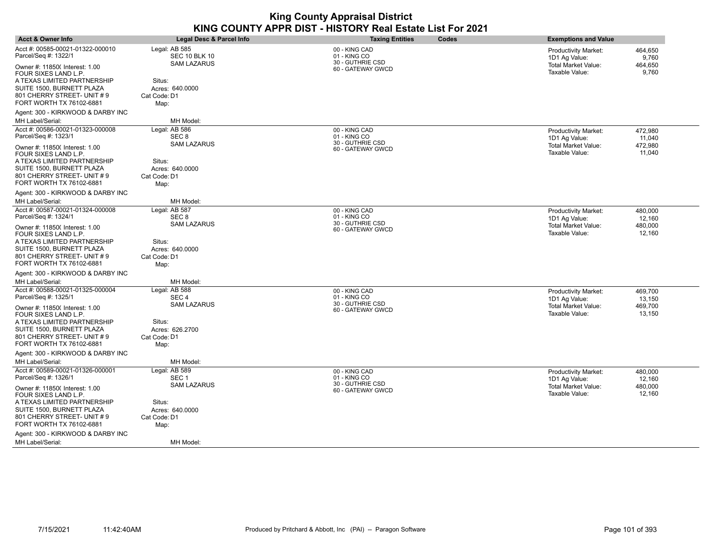| <b>Acct &amp; Owner Info</b>                                                                                        | Legal Desc & Parcel Info                                    | <b>Taxing Entities</b>                                                 | <b>Codes</b> | <b>Exemptions and Value</b>                                                                  |                                      |
|---------------------------------------------------------------------------------------------------------------------|-------------------------------------------------------------|------------------------------------------------------------------------|--------------|----------------------------------------------------------------------------------------------|--------------------------------------|
| Acct #: 00585-00021-01322-000010<br>Parcel/Seq #: 1322/1<br>Owner #: 11850( Interest: 1.00<br>FOUR SIXES LAND L.P.  | Legal: AB 585<br><b>SEC 10 BLK 10</b><br><b>SAM LAZARUS</b> | 00 - KING CAD<br>01 - KING CO<br>30 - GUTHRIE CSD<br>60 - GATEWAY GWCD |              | <b>Productivity Market:</b><br>1D1 Ag Value:<br><b>Total Market Value:</b><br>Taxable Value: | 464,650<br>9,760<br>464,650<br>9,760 |
| A TEXAS LIMITED PARTNERSHIP<br>SUITE 1500, BURNETT PLAZA<br>801 CHERRY STREET- UNIT # 9<br>FORT WORTH TX 76102-6881 | Situs:<br>Acres: 640.0000<br>Cat Code: D1<br>Map:           |                                                                        |              |                                                                                              |                                      |
| Agent: 300 - KIRKWOOD & DARBY INC                                                                                   |                                                             |                                                                        |              |                                                                                              |                                      |
| MH Label/Serial:                                                                                                    | MH Model:                                                   |                                                                        |              |                                                                                              |                                      |
| Acct #: 00586-00021-01323-000008<br>Parcel/Seq #: 1323/1                                                            | Legal: AB 586<br>SEC <sub>8</sub>                           | 00 - KING CAD<br>01 - KING CO<br>30 - GUTHRIE CSD                      |              | <b>Productivity Market:</b><br>1D1 Ag Value:                                                 | 472,980<br>11,040                    |
| Owner #: 11850( Interest: 1.00<br>FOUR SIXES LAND L.P.                                                              | <b>SAM LAZARUS</b>                                          | 60 - GATEWAY GWCD                                                      |              | <b>Total Market Value:</b><br>Taxable Value:                                                 | 472,980<br>11,040                    |
| A TEXAS LIMITED PARTNERSHIP                                                                                         | Situs:                                                      |                                                                        |              |                                                                                              |                                      |
| SUITE 1500, BURNETT PLAZA<br>801 CHERRY STREET- UNIT # 9<br>FORT WORTH TX 76102-6881                                | Acres: 640,0000<br>Cat Code: D1<br>Map:                     |                                                                        |              |                                                                                              |                                      |
| Agent: 300 - KIRKWOOD & DARBY INC                                                                                   |                                                             |                                                                        |              |                                                                                              |                                      |
| MH Label/Serial:                                                                                                    | MH Model:                                                   |                                                                        |              |                                                                                              |                                      |
| Acct #: 00587-00021-01324-000008<br>Parcel/Seq #: 1324/1                                                            | Legal: AB 587<br>SEC <sub>8</sub>                           | 00 - KING CAD<br>01 - KING CO                                          |              | <b>Productivity Market:</b><br>1D1 Ag Value:                                                 | 480,000<br>12.160                    |
| Owner #: 11850( Interest: 1.00<br>FOUR SIXES LAND L.P.                                                              | <b>SAM LAZARUS</b>                                          | 30 - GUTHRIE CSD<br>60 - GATEWAY GWCD                                  |              | Total Market Value:<br>Taxable Value:                                                        | 480,000<br>12,160                    |
| A TEXAS LIMITED PARTNERSHIP<br>SUITE 1500, BURNETT PLAZA<br>801 CHERRY STREET- UNIT # 9                             | Situs:<br>Acres: 640.0000<br>Cat Code: D1                   |                                                                        |              |                                                                                              |                                      |
| FORT WORTH TX 76102-6881                                                                                            | Map:                                                        |                                                                        |              |                                                                                              |                                      |
| Agent: 300 - KIRKWOOD & DARBY INC                                                                                   |                                                             |                                                                        |              |                                                                                              |                                      |
| MH Label/Serial:                                                                                                    | MH Model:                                                   |                                                                        |              |                                                                                              |                                      |
| Acct #: 00588-00021-01325-000004<br>Parcel/Seq #: 1325/1                                                            | Legal: AB 588<br>SEC <sub>4</sub><br><b>SAM LAZARUS</b>     | 00 - KING CAD<br>01 - KING CO<br>30 - GUTHRIE CSD                      |              | <b>Productivity Market:</b><br>1D1 Ag Value:                                                 | 469,700<br>13,150                    |
| Owner #: 11850( Interest: 1.00<br>FOUR SIXES LAND L.P.                                                              |                                                             | 60 - GATEWAY GWCD                                                      |              | <b>Total Market Value:</b><br>Taxable Value:                                                 | 469,700<br>13,150                    |
| A TEXAS LIMITED PARTNERSHIP                                                                                         | Situs:                                                      |                                                                        |              |                                                                                              |                                      |
| SUITE 1500, BURNETT PLAZA<br>801 CHERRY STREET- UNIT # 9                                                            | Acres: 626.2700<br>Cat Code: D1                             |                                                                        |              |                                                                                              |                                      |
| FORT WORTH TX 76102-6881                                                                                            | Map:                                                        |                                                                        |              |                                                                                              |                                      |
| Agent: 300 - KIRKWOOD & DARBY INC                                                                                   |                                                             |                                                                        |              |                                                                                              |                                      |
| MH Label/Serial:                                                                                                    | MH Model:                                                   |                                                                        |              |                                                                                              |                                      |
| Acct #: 00589-00021-01326-000001<br>Parcel/Seq #: 1326/1                                                            | Legal: AB 589<br>SEC <sub>1</sub>                           | 00 - KING CAD<br>01 - KING CO                                          |              | <b>Productivity Market:</b><br>1D1 Ag Value:                                                 | 480,000<br>12,160                    |
| Owner #: 11850( Interest: 1.00<br>FOUR SIXES LAND L.P.                                                              | <b>SAM LAZARUS</b>                                          | 30 - GUTHRIE CSD<br>60 - GATEWAY GWCD                                  |              | <b>Total Market Value:</b><br>Taxable Value:                                                 | 480,000<br>12,160                    |
| A TEXAS LIMITED PARTNERSHIP                                                                                         | Situs:                                                      |                                                                        |              |                                                                                              |                                      |
| SUITE 1500, BURNETT PLAZA                                                                                           | Acres: 640.0000                                             |                                                                        |              |                                                                                              |                                      |
| 801 CHERRY STREET- UNIT # 9<br>FORT WORTH TX 76102-6881                                                             | Cat Code: D1<br>Map:                                        |                                                                        |              |                                                                                              |                                      |
| Agent: 300 - KIRKWOOD & DARBY INC                                                                                   |                                                             |                                                                        |              |                                                                                              |                                      |
| <b>MH Label/Serial:</b>                                                                                             | MH Model:                                                   |                                                                        |              |                                                                                              |                                      |

 $\overline{\phantom{a}}$ 

 $\overline{\phantom{a}}$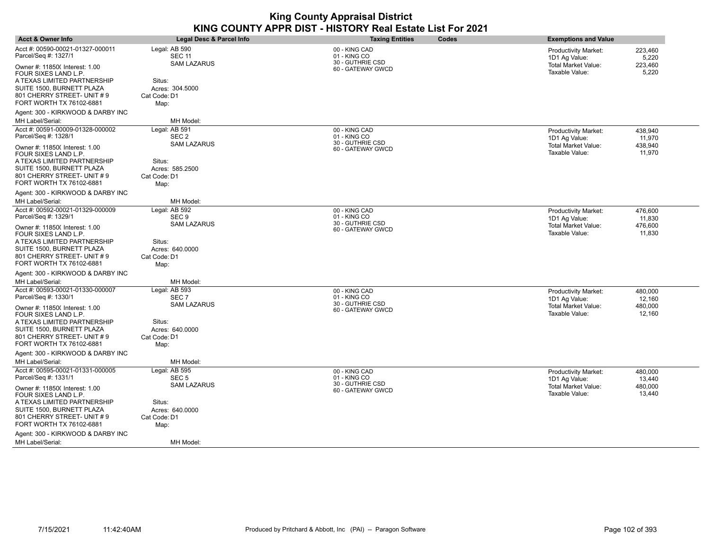| <b>Acct &amp; Owner Info</b>                                                                                       | <b>Legal Desc &amp; Parcel Info</b>                     | <b>Taxing Entities</b>                            | Codes | <b>Exemptions and Value</b>                                         |                   |
|--------------------------------------------------------------------------------------------------------------------|---------------------------------------------------------|---------------------------------------------------|-------|---------------------------------------------------------------------|-------------------|
| Acct #: 00590-00021-01327-000011<br>Parcel/Seq #: 1327/1                                                           | Legal: AB 590<br><b>SEC 11</b>                          | 00 - KING CAD<br>01 - KING CO                     |       | <b>Productivity Market:</b><br>1D1 Ag Value:                        | 223,460<br>5,220  |
| Owner #: 11850( Interest: 1.00<br>FOUR SIXES LAND L.P.<br>A TEXAS LIMITED PARTNERSHIP<br>SUITE 1500, BURNETT PLAZA | <b>SAM LAZARUS</b><br>Situs:<br>Acres: 304.5000         | 30 - GUTHRIE CSD<br>60 - GATEWAY GWCD             |       | <b>Total Market Value:</b><br>Taxable Value:                        | 223,460<br>5,220  |
| 801 CHERRY STREET- UNIT # 9<br>FORT WORTH TX 76102-6881                                                            | Cat Code: D1<br>Map:                                    |                                                   |       |                                                                     |                   |
| Agent: 300 - KIRKWOOD & DARBY INC<br>MH Label/Serial:                                                              | MH Model:                                               |                                                   |       |                                                                     |                   |
| Acct #: 00591-00009-01328-000002<br>Parcel/Seq #: 1328/1                                                           | Legal: AB 591<br>SEC <sub>2</sub>                       | 00 - KING CAD<br>01 - KING CO                     |       | <b>Productivity Market:</b><br>1D1 Ag Value:                        | 438,940<br>11,970 |
| Owner #: 11850( Interest: 1.00<br>FOUR SIXES LAND L.P.                                                             | <b>SAM LAZARUS</b>                                      | 30 - GUTHRIE CSD<br>60 - GATEWAY GWCD             |       | <b>Total Market Value:</b><br>Taxable Value:                        | 438,940<br>11,970 |
| A TEXAS LIMITED PARTNERSHIP<br>SUITE 1500, BURNETT PLAZA<br>801 CHERRY STREET- UNIT #9<br>FORT WORTH TX 76102-6881 | Situs:<br>Acres: 585.2500<br>Cat Code: D1<br>Map:       |                                                   |       |                                                                     |                   |
| Agent: 300 - KIRKWOOD & DARBY INC                                                                                  |                                                         |                                                   |       |                                                                     |                   |
| MH Label/Serial:<br>Acct #: 00592-00021-01329-000009                                                               | MH Model:<br>Legal: AB 592                              | 00 - KING CAD                                     |       |                                                                     |                   |
| Parcel/Seq #: 1329/1                                                                                               | SEC <sub>9</sub>                                        | 01 - KING CO                                      |       | <b>Productivity Market:</b><br>1D1 Ag Value:                        | 476,600<br>11,830 |
| Owner #: 11850( Interest: 1.00<br>FOUR SIXES LAND L.P.<br>A TEXAS LIMITED PARTNERSHIP                              | <b>SAM LAZARUS</b><br>Situs:                            | 30 - GUTHRIE CSD<br>60 - GATEWAY GWCD             |       | Total Market Value:<br>Taxable Value:                               | 476,600<br>11,830 |
| SUITE 1500, BURNETT PLAZA<br>801 CHERRY STREET- UNIT #9<br>FORT WORTH TX 76102-6881                                | Acres: 640.0000<br>Cat Code: D1<br>Map:                 |                                                   |       |                                                                     |                   |
| Agent: 300 - KIRKWOOD & DARBY INC                                                                                  |                                                         |                                                   |       |                                                                     |                   |
| MH Label/Serial:                                                                                                   | MH Model:                                               |                                                   |       |                                                                     |                   |
| Acct #: 00593-00021-01330-000007<br>Parcel/Seq #: 1330/1                                                           | Legal: AB 593<br>SEC <sub>7</sub><br><b>SAM LAZARUS</b> | 00 - KING CAD<br>01 - KING CO<br>30 - GUTHRIE CSD |       | <b>Productivity Market:</b><br>1D1 Ag Value:<br>Total Market Value: | 480,000<br>12,160 |
| Owner #: 11850( Interest: 1.00<br>FOUR SIXES LAND L.P.                                                             | Situs:                                                  | 60 - GATEWAY GWCD                                 |       | Taxable Value:                                                      | 480,000<br>12,160 |
| A TEXAS LIMITED PARTNERSHIP<br>SUITE 1500, BURNETT PLAZA<br>801 CHERRY STREET- UNIT #9<br>FORT WORTH TX 76102-6881 | Acres: 640.0000<br>Cat Code: D1<br>Map:                 |                                                   |       |                                                                     |                   |
| Agent: 300 - KIRKWOOD & DARBY INC                                                                                  |                                                         |                                                   |       |                                                                     |                   |
| MH Label/Serial:                                                                                                   | MH Model:                                               |                                                   |       |                                                                     |                   |
| Acct #: 00595-00021-01331-000005<br>Parcel/Seq #: 1331/1                                                           | Legal: AB 595<br>SEC <sub>5</sub>                       | 00 - KING CAD<br>01 - KING CO                     |       | <b>Productivity Market:</b><br>1D1 Ag Value:                        | 480,000<br>13,440 |
| Owner #: 11850( Interest: 1.00<br>FOUR SIXES LAND L.P.                                                             | <b>SAM LAZARUS</b>                                      | 30 - GUTHRIE CSD<br>60 - GATEWAY GWCD             |       | <b>Total Market Value:</b><br>Taxable Value:                        | 480,000<br>13,440 |
| A TEXAS LIMITED PARTNERSHIP<br>SUITE 1500, BURNETT PLAZA<br>801 CHERRY STREET- UNIT #9<br>FORT WORTH TX 76102-6881 | Situs:<br>Acres: 640.0000<br>Cat Code: D1<br>Map:       |                                                   |       |                                                                     |                   |
| Agent: 300 - KIRKWOOD & DARBY INC                                                                                  |                                                         |                                                   |       |                                                                     |                   |
| MH Label/Serial:                                                                                                   | MH Model:                                               |                                                   |       |                                                                     |                   |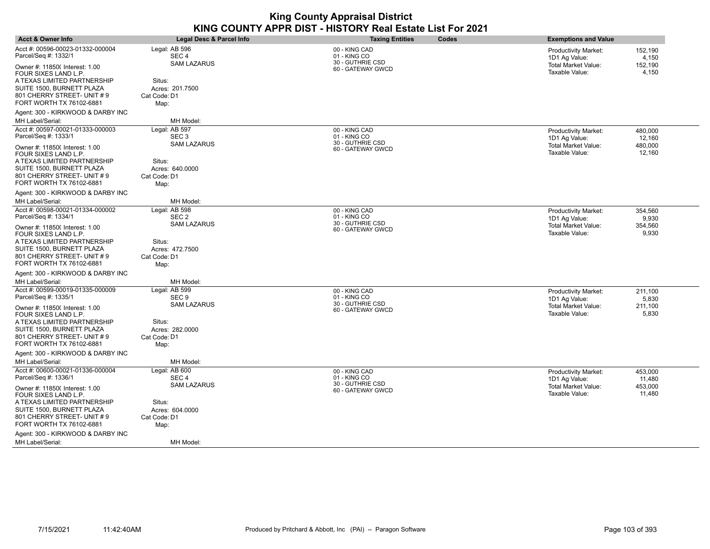| <b>Acct &amp; Owner Info</b>                                                                                                                                                 | Legal Desc & Parcel Info                                                | <b>Taxing Entities</b>                                                 | Codes | <b>Exemptions and Value</b>                                                    |                                      |
|------------------------------------------------------------------------------------------------------------------------------------------------------------------------------|-------------------------------------------------------------------------|------------------------------------------------------------------------|-------|--------------------------------------------------------------------------------|--------------------------------------|
| Acct #: 00596-00023-01332-000004<br>Parcel/Seq #: 1332/1<br>Owner #: 11850( Interest: 1.00<br>FOUR SIXES LAND L.P.                                                           | Legal: AB 596<br>SEC <sub>4</sub><br><b>SAM LAZARUS</b>                 | 00 - KING CAD<br>01 - KING CO<br>30 - GUTHRIE CSD<br>60 - GATEWAY GWCD |       | Productivity Market:<br>1D1 Ag Value:<br>Total Market Value:<br>Taxable Value: | 152,190<br>4,150<br>152,190<br>4,150 |
| A TEXAS LIMITED PARTNERSHIP<br>SUITE 1500, BURNETT PLAZA<br>801 CHERRY STREET- UNIT #9<br>FORT WORTH TX 76102-6881                                                           | Situs:<br>Acres: 201.7500<br>Cat Code: D1<br>Map:                       |                                                                        |       |                                                                                |                                      |
| Agent: 300 - KIRKWOOD & DARBY INC<br>MH Label/Serial:                                                                                                                        | MH Model:                                                               |                                                                        |       |                                                                                |                                      |
| Acct #: 00597-00021-01333-000003                                                                                                                                             | Legal: AB 597                                                           | 00 - KING CAD                                                          |       |                                                                                |                                      |
| Parcel/Seq #: 1333/1                                                                                                                                                         | SEC <sub>3</sub>                                                        | 01 - KING CO                                                           |       | <b>Productivity Market:</b><br>1D1 Ag Value:                                   | 480,000<br>12,160                    |
| Owner #: 11850( Interest: 1.00<br>FOUR SIXES LAND L.P.                                                                                                                       | <b>SAM LAZARUS</b>                                                      | 30 - GUTHRIE CSD<br>60 - GATEWAY GWCD                                  |       | <b>Total Market Value:</b><br>Taxable Value:                                   | 480,000<br>12,160                    |
| A TEXAS LIMITED PARTNERSHIP                                                                                                                                                  | Situs:                                                                  |                                                                        |       |                                                                                |                                      |
| SUITE 1500, BURNETT PLAZA<br>801 CHERRY STREET- UNIT #9<br>FORT WORTH TX 76102-6881                                                                                          | Acres: 640,0000<br>Cat Code: D1<br>Map:                                 |                                                                        |       |                                                                                |                                      |
| Agent: 300 - KIRKWOOD & DARBY INC                                                                                                                                            |                                                                         |                                                                        |       |                                                                                |                                      |
| MH Label/Serial:                                                                                                                                                             | MH Model:                                                               |                                                                        |       |                                                                                |                                      |
| Acct #: 00598-00021-01334-000002<br>Parcel/Seq #: 1334/1                                                                                                                     | Legal: AB 598<br>SEC <sub>2</sub>                                       | 00 - KING CAD<br>01 - KING CO<br>30 - GUTHRIE CSD                      |       | <b>Productivity Market:</b><br>1D1 Ag Value:                                   | 354,560<br>9.930                     |
| Owner #: 11850( Interest: 1.00<br>FOUR SIXES LAND L.P.<br>A TEXAS LIMITED PARTNERSHIP<br>SUITE 1500, BURNETT PLAZA<br>801 CHERRY STREET- UNIT #9<br>FORT WORTH TX 76102-6881 | <b>SAM LAZARUS</b><br>Situs:<br>Acres: 472.7500<br>Cat Code: D1<br>Map: | 60 - GATEWAY GWCD                                                      |       | <b>Total Market Value:</b><br>Taxable Value:                                   | 354,560<br>9,930                     |
| Agent: 300 - KIRKWOOD & DARBY INC                                                                                                                                            |                                                                         |                                                                        |       |                                                                                |                                      |
| MH Label/Serial:                                                                                                                                                             | MH Model:                                                               |                                                                        |       |                                                                                |                                      |
| Acct #: 00599-00019-01335-000009<br>Parcel/Seq #: 1335/1                                                                                                                     | Legal: AB 599<br>SEC <sub>9</sub>                                       | 00 - KING CAD<br>01 - KING CO                                          |       | <b>Productivity Market:</b><br>1D1 Ag Value:                                   | 211,100<br>5,830                     |
| Owner #: 11850( Interest: 1.00<br>FOUR SIXES LAND L.P.                                                                                                                       | <b>SAM LAZARUS</b>                                                      | 30 - GUTHRIE CSD<br>60 - GATEWAY GWCD                                  |       | <b>Total Market Value:</b><br>Taxable Value:                                   | 211,100<br>5,830                     |
| A TEXAS LIMITED PARTNERSHIP<br>SUITE 1500, BURNETT PLAZA<br>801 CHERRY STREET- UNIT #9                                                                                       | Situs:<br>Acres: 282.0000<br>Cat Code: D1                               |                                                                        |       |                                                                                |                                      |
| FORT WORTH TX 76102-6881                                                                                                                                                     | Map:                                                                    |                                                                        |       |                                                                                |                                      |
| Agent: 300 - KIRKWOOD & DARBY INC                                                                                                                                            |                                                                         |                                                                        |       |                                                                                |                                      |
| MH Label/Serial:<br>Acct #: 00600-00021-01336-000004                                                                                                                         | MH Model:<br>Legal: AB 600                                              |                                                                        |       |                                                                                |                                      |
| Parcel/Seq #: 1336/1                                                                                                                                                         | SEC <sub>4</sub>                                                        | 00 - KING CAD<br>01 - KING CO                                          |       | Productivity Market:<br>1D1 Ag Value:                                          | 453,000<br>11,480                    |
| Owner #: 11850( Interest: 1.00<br>FOUR SIXES LAND L.P.                                                                                                                       | <b>SAM LAZARUS</b>                                                      | 30 - GUTHRIE CSD<br>60 - GATEWAY GWCD                                  |       | <b>Total Market Value:</b><br>Taxable Value:                                   | 453,000<br>11,480                    |
| A TEXAS LIMITED PARTNERSHIP                                                                                                                                                  | Situs:                                                                  |                                                                        |       |                                                                                |                                      |
| SUITE 1500, BURNETT PLAZA<br>801 CHERRY STREET- UNIT #9<br>FORT WORTH TX 76102-6881                                                                                          | Acres: 604.0000<br>Cat Code: D1<br>Map:                                 |                                                                        |       |                                                                                |                                      |
| Agent: 300 - KIRKWOOD & DARBY INC                                                                                                                                            |                                                                         |                                                                        |       |                                                                                |                                      |
| MH Label/Serial:                                                                                                                                                             | MH Model:                                                               |                                                                        |       |                                                                                |                                      |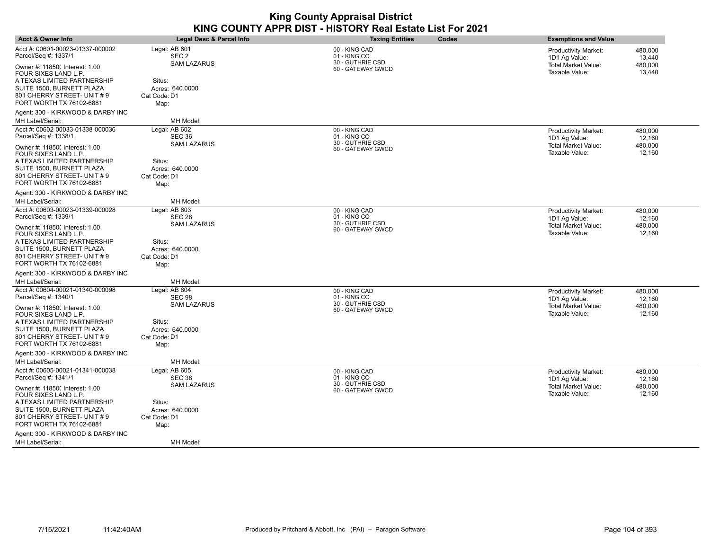| <b>Acct &amp; Owner Info</b>                                                                                                                     | Legal Desc & Parcel Info                                | <b>Taxing Entities</b>                                                 | Codes | <b>Exemptions and Value</b>                                                    |                                        |
|--------------------------------------------------------------------------------------------------------------------------------------------------|---------------------------------------------------------|------------------------------------------------------------------------|-------|--------------------------------------------------------------------------------|----------------------------------------|
| Acct #: 00601-00023-01337-000002<br>Parcel/Seq #: 1337/1<br>Owner #: 11850( Interest: 1.00<br>FOUR SIXES LAND L.P.                               | Legal: AB 601<br>SEC <sub>2</sub><br><b>SAM LAZARUS</b> | 00 - KING CAD<br>01 - KING CO<br>30 - GUTHRIE CSD<br>60 - GATEWAY GWCD |       | Productivity Market:<br>1D1 Ag Value:<br>Total Market Value:<br>Taxable Value: | 480,000<br>13,440<br>480,000<br>13,440 |
| A TEXAS LIMITED PARTNERSHIP<br>SUITE 1500, BURNETT PLAZA<br>801 CHERRY STREET- UNIT #9<br>FORT WORTH TX 76102-6881                               | Situs:<br>Acres: 640.0000<br>Cat Code: D1<br>Map:       |                                                                        |       |                                                                                |                                        |
| Agent: 300 - KIRKWOOD & DARBY INC<br>MH Label/Serial:                                                                                            | MH Model:                                               |                                                                        |       |                                                                                |                                        |
| Acct #: 00602-00033-01338-000036                                                                                                                 | Legal: AB 602                                           | 00 - KING CAD                                                          |       | <b>Productivity Market:</b>                                                    | 480,000                                |
| Parcel/Seq #: 1338/1                                                                                                                             | SEC 36                                                  | 01 - KING CO                                                           |       | 1D1 Ag Value:                                                                  | 12,160                                 |
| Owner #: 11850( Interest: 1.00<br>FOUR SIXES LAND L.P.                                                                                           | <b>SAM LAZARUS</b>                                      | 30 - GUTHRIE CSD<br>60 - GATEWAY GWCD                                  |       | <b>Total Market Value:</b><br>Taxable Value:                                   | 480,000<br>12,160                      |
| A TEXAS LIMITED PARTNERSHIP                                                                                                                      | Situs:                                                  |                                                                        |       |                                                                                |                                        |
| SUITE 1500, BURNETT PLAZA<br>801 CHERRY STREET- UNIT #9<br>FORT WORTH TX 76102-6881                                                              | Acres: 640,0000<br>Cat Code: D1<br>Map:                 |                                                                        |       |                                                                                |                                        |
| Agent: 300 - KIRKWOOD & DARBY INC                                                                                                                |                                                         |                                                                        |       |                                                                                |                                        |
| MH Label/Serial:                                                                                                                                 | MH Model:                                               |                                                                        |       |                                                                                |                                        |
| Acct #: 00603-00023-01339-000028<br>Parcel/Seq #: 1339/1                                                                                         | Legal: AB 603<br>SEC 28<br><b>SAM LAZARUS</b>           | 00 - KING CAD<br>01 - KING CO<br>30 - GUTHRIE CSD                      |       | <b>Productivity Market:</b><br>1D1 Ag Value:                                   | 480,000<br>12.160                      |
| Owner #: 11850( Interest: 1.00<br>FOUR SIXES LAND L.P.<br>A TEXAS LIMITED PARTNERSHIP<br>SUITE 1500, BURNETT PLAZA<br>801 CHERRY STREET- UNIT #9 | Situs:<br>Acres: 640.0000<br>Cat Code: D1               | 60 - GATEWAY GWCD                                                      |       | Total Market Value:<br>Taxable Value:                                          | 480,000<br>12,160                      |
| FORT WORTH TX 76102-6881<br>Agent: 300 - KIRKWOOD & DARBY INC                                                                                    | Map:                                                    |                                                                        |       |                                                                                |                                        |
| MH Label/Serial:                                                                                                                                 | MH Model:                                               |                                                                        |       |                                                                                |                                        |
| Acct #: 00604-00021-01340-000098                                                                                                                 | Legal: AB 604                                           | 00 - KING CAD                                                          |       | <b>Productivity Market:</b>                                                    | 480,000                                |
| Parcel/Seq #: 1340/1<br>Owner #: 11850( Interest: 1.00                                                                                           | SEC 98<br><b>SAM LAZARUS</b>                            | 01 - KING CO<br>30 - GUTHRIE CSD<br>60 - GATEWAY GWCD                  |       | 1D1 Ag Value:<br><b>Total Market Value:</b>                                    | 12,160<br>480,000                      |
| FOUR SIXES LAND L.P.                                                                                                                             | Situs:                                                  |                                                                        |       | Taxable Value:                                                                 | 12,160                                 |
| A TEXAS LIMITED PARTNERSHIP<br>SUITE 1500, BURNETT PLAZA<br>801 CHERRY STREET- UNIT #9<br>FORT WORTH TX 76102-6881                               | Acres: 640.0000<br>Cat Code: D1<br>Map:                 |                                                                        |       |                                                                                |                                        |
| Agent: 300 - KIRKWOOD & DARBY INC                                                                                                                |                                                         |                                                                        |       |                                                                                |                                        |
| MH Label/Serial:                                                                                                                                 | MH Model:                                               |                                                                        |       |                                                                                |                                        |
| Acct #: 00605-00021-01341-000038<br>Parcel/Seq #: 1341/1                                                                                         | Legal: AB 605<br>SEC 38                                 | 00 - KING CAD<br>01 - KING CO                                          |       | Productivity Market:<br>1D1 Ag Value:                                          | 480,000<br>12,160                      |
| Owner #: 11850( Interest: 1.00<br>FOUR SIXES LAND L.P.                                                                                           | <b>SAM LAZARUS</b>                                      | 30 - GUTHRIE CSD<br>60 - GATEWAY GWCD                                  |       | <b>Total Market Value:</b><br>Taxable Value:                                   | 480,000<br>12,160                      |
| A TEXAS LIMITED PARTNERSHIP<br>SUITE 1500, BURNETT PLAZA<br>801 CHERRY STREET- UNIT #9                                                           | Situs:<br>Acres: 640.0000<br>Cat Code: D1               |                                                                        |       |                                                                                |                                        |
| FORT WORTH TX 76102-6881                                                                                                                         | Map:                                                    |                                                                        |       |                                                                                |                                        |
| Agent: 300 - KIRKWOOD & DARBY INC                                                                                                                |                                                         |                                                                        |       |                                                                                |                                        |
| MH Label/Serial:                                                                                                                                 | MH Model:                                               |                                                                        |       |                                                                                |                                        |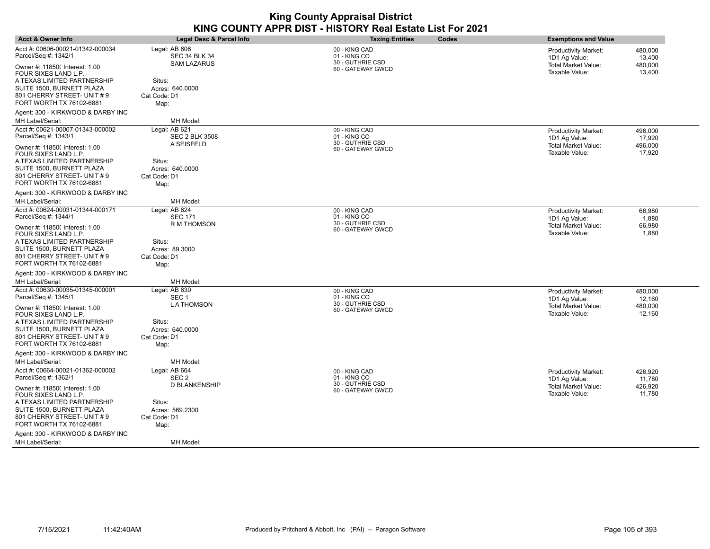| <b>Acct &amp; Owner Info</b>                                                                                                               | <b>Legal Desc &amp; Parcel Info</b>                         | <b>Taxing Entities</b>                                                 | Codes | <b>Exemptions and Value</b>                                                                  |                                        |
|--------------------------------------------------------------------------------------------------------------------------------------------|-------------------------------------------------------------|------------------------------------------------------------------------|-------|----------------------------------------------------------------------------------------------|----------------------------------------|
| Acct #: 00606-00021-01342-000034<br>Parcel/Seq #: 1342/1<br>Owner #: 11850( Interest: 1.00                                                 | Legal: AB 606<br><b>SEC 34 BLK 34</b><br><b>SAM LAZARUS</b> | 00 - KING CAD<br>01 - KING CO<br>30 - GUTHRIE CSD<br>60 - GATEWAY GWCD |       | <b>Productivity Market:</b><br>1D1 Ag Value:<br><b>Total Market Value:</b><br>Taxable Value: | 480,000<br>13,400<br>480,000<br>13,400 |
| FOUR SIXES LAND L.P.<br>A TEXAS LIMITED PARTNERSHIP<br>SUITE 1500, BURNETT PLAZA<br>801 CHERRY STREET- UNIT #9<br>FORT WORTH TX 76102-6881 | Situs:<br>Acres: 640.0000<br>Cat Code: D1<br>Map:           |                                                                        |       |                                                                                              |                                        |
| Agent: 300 - KIRKWOOD & DARBY INC                                                                                                          |                                                             |                                                                        |       |                                                                                              |                                        |
| MH Label/Serial:                                                                                                                           | MH Model:                                                   |                                                                        |       |                                                                                              |                                        |
| Acct #: 00621-00007-01343-000002<br>Parcel/Seq #: 1343/1                                                                                   | Legal: AB 621<br><b>SEC 2 BLK 3508</b>                      | 00 - KING CAD<br>01 - KING CO<br>30 - GUTHRIE CSD                      |       | <b>Productivity Market:</b><br>1D1 Ag Value:                                                 | 496,000<br>17.920                      |
| Owner #: 11850( Interest: 1.00<br>FOUR SIXES LAND L.P.                                                                                     | A SEISFELD                                                  | 60 - GATEWAY GWCD                                                      |       | <b>Total Market Value:</b><br>Taxable Value:                                                 | 496.000<br>17,920                      |
| A TEXAS LIMITED PARTNERSHIP                                                                                                                | Situs:                                                      |                                                                        |       |                                                                                              |                                        |
| SUITE 1500, BURNETT PLAZA<br>801 CHERRY STREET- UNIT #9<br>FORT WORTH TX 76102-6881                                                        | Acres: 640.0000<br>Cat Code: D1<br>Map:                     |                                                                        |       |                                                                                              |                                        |
| Agent: 300 - KIRKWOOD & DARBY INC                                                                                                          |                                                             |                                                                        |       |                                                                                              |                                        |
| MH Label/Serial:                                                                                                                           | MH Model:                                                   |                                                                        |       |                                                                                              |                                        |
| Acct #: 00624-00031-01344-000171<br>Parcel/Seq #: 1344/1                                                                                   | Legal: AB 624<br><b>SEC 171</b>                             | 00 - KING CAD<br>01 - KING CO                                          |       | <b>Productivity Market:</b><br>1D1 Ag Value:                                                 | 66.980<br>1,880                        |
| Owner #: 118500 Interest: 1.00<br>FOUR SIXES LAND L.P.                                                                                     | R M THOMSON                                                 | 30 - GUTHRIE CSD<br>60 - GATEWAY GWCD                                  |       | Total Market Value:<br>Taxable Value:                                                        | 66,980<br>1,880                        |
| A TEXAS LIMITED PARTNERSHIP<br>SUITE 1500, BURNETT PLAZA<br>801 CHERRY STREET- UNIT #9                                                     | Situs:<br>Acres: 89.3000<br>Cat Code: D1                    |                                                                        |       |                                                                                              |                                        |
| FORT WORTH TX 76102-6881                                                                                                                   | Map:                                                        |                                                                        |       |                                                                                              |                                        |
| Agent: 300 - KIRKWOOD & DARBY INC<br>MH Label/Serial:                                                                                      | MH Model:                                                   |                                                                        |       |                                                                                              |                                        |
| Acct #: 00630-00035-01345-000001                                                                                                           | Legal: AB 630                                               | 00 - KING CAD                                                          |       | <b>Productivity Market:</b>                                                                  | 480,000                                |
| Parcel/Seq #: 1345/1                                                                                                                       | SEC <sub>1</sub>                                            | 01 - KING CO                                                           |       | 1D1 Ag Value:                                                                                | 12,160                                 |
| Owner #: 11850( Interest: 1.00<br>FOUR SIXES LAND L.P.                                                                                     | <b>LATHOMSON</b>                                            | 30 - GUTHRIE CSD<br>60 - GATEWAY GWCD                                  |       | <b>Total Market Value:</b><br>Taxable Value:                                                 | 480,000<br>12,160                      |
| A TEXAS LIMITED PARTNERSHIP                                                                                                                | Situs:                                                      |                                                                        |       |                                                                                              |                                        |
| SUITE 1500, BURNETT PLAZA<br>801 CHERRY STREET- UNIT #9<br>FORT WORTH TX 76102-6881                                                        | Acres: 640.0000<br>Cat Code: D1<br>Map:                     |                                                                        |       |                                                                                              |                                        |
| Agent: 300 - KIRKWOOD & DARBY INC                                                                                                          |                                                             |                                                                        |       |                                                                                              |                                        |
| MH Label/Serial:                                                                                                                           | MH Model:                                                   |                                                                        |       |                                                                                              |                                        |
| Acct #: 00664-00021-01362-000002                                                                                                           | Legal: AB 664                                               | 00 - KING CAD                                                          |       | Productivity Market:                                                                         | 426,920                                |
| Parcel/Seq #: 1362/1                                                                                                                       | SEC <sub>2</sub>                                            | 01 - KING CO<br>30 - GUTHRIE CSD                                       |       | 1D1 Ag Value:                                                                                | 11,780                                 |
| Owner #: 11850( Interest: 1.00<br>FOUR SIXES LAND L.P.                                                                                     | <b>D BLANKENSHIP</b>                                        | 60 - GATEWAY GWCD                                                      |       | <b>Total Market Value:</b><br>Taxable Value:                                                 | 426,920<br>11,780                      |
| A TEXAS LIMITED PARTNERSHIP                                                                                                                | Situs:                                                      |                                                                        |       |                                                                                              |                                        |
| SUITE 1500, BURNETT PLAZA<br>801 CHERRY STREET- UNIT #9<br>FORT WORTH TX 76102-6881                                                        | Acres: 569.2300<br>Cat Code: D1<br>Map:                     |                                                                        |       |                                                                                              |                                        |
| Agent: 300 - KIRKWOOD & DARBY INC                                                                                                          |                                                             |                                                                        |       |                                                                                              |                                        |
| MH Label/Serial:                                                                                                                           | MH Model:                                                   |                                                                        |       |                                                                                              |                                        |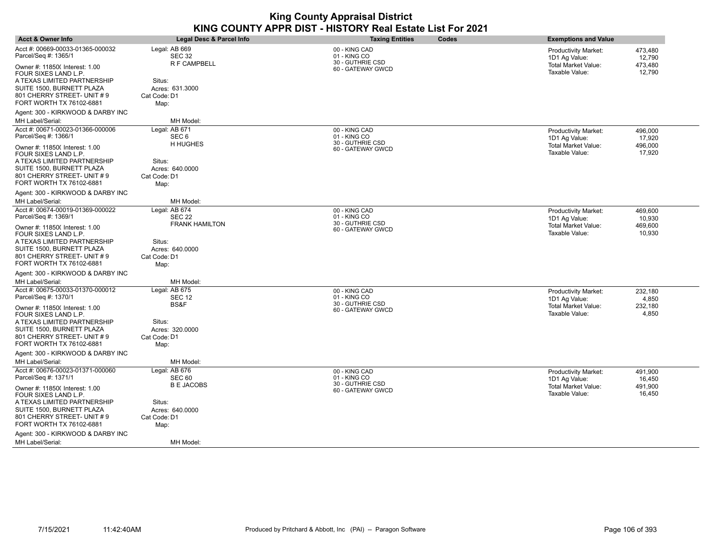| <b>Acct &amp; Owner Info</b>                                                           | Legal Desc & Parcel Info                  | <b>Taxing Entities</b><br>Codes       | <b>Exemptions and Value</b>                                                                  |
|----------------------------------------------------------------------------------------|-------------------------------------------|---------------------------------------|----------------------------------------------------------------------------------------------|
| Acct #: 00669-00033-01365-000032<br>Parcel/Seq #: 1365/1                               | Legal: AB 669<br><b>SEC 32</b>            | 00 - KING CAD<br>01 - KING CO         | 473,480<br><b>Productivity Market:</b><br>1D1 Ag Value:<br>12,790                            |
| Owner #: 11850( Interest: 1.00<br>FOUR SIXES LAND L.P.                                 | R F CAMPBELL                              | 30 - GUTHRIE CSD<br>60 - GATEWAY GWCD | Total Market Value:<br>473,480<br>12,790<br>Taxable Value:                                   |
| A TEXAS LIMITED PARTNERSHIP<br>SUITE 1500, BURNETT PLAZA<br>801 CHERRY STREET- UNIT #9 | Situs:<br>Acres: 631.3000<br>Cat Code: D1 |                                       |                                                                                              |
| FORT WORTH TX 76102-6881                                                               | Map:                                      |                                       |                                                                                              |
| Agent: 300 - KIRKWOOD & DARBY INC<br>MH Label/Serial:                                  | MH Model:                                 |                                       |                                                                                              |
| Acct #: 00671-00023-01366-000006<br>Parcel/Seq #: 1366/1                               | Legal: AB 671<br>SEC <sub>6</sub>         | 00 - KING CAD<br>01 - KING CO         | <b>Productivity Market:</b><br>496,000<br>17,920<br>1D1 Ag Value:                            |
| Owner #: 11850( Interest: 1.00<br>FOUR SIXES LAND L.P.                                 | H HUGHES                                  | 30 - GUTHRIE CSD<br>60 - GATEWAY GWCD | <b>Total Market Value:</b><br>496,000<br>Taxable Value:<br>17,920                            |
| A TEXAS LIMITED PARTNERSHIP                                                            | Situs:                                    |                                       |                                                                                              |
| SUITE 1500, BURNETT PLAZA<br>801 CHERRY STREET- UNIT # 9                               | Acres: 640.0000<br>Cat Code: D1           |                                       |                                                                                              |
| FORT WORTH TX 76102-6881                                                               | Map:                                      |                                       |                                                                                              |
| Agent: 300 - KIRKWOOD & DARBY INC                                                      |                                           |                                       |                                                                                              |
| MH Label/Serial:                                                                       | MH Model:                                 |                                       |                                                                                              |
| Acct #: 00674-00019-01369-000022                                                       | Legal: AB 674                             | 00 - KING CAD                         | <b>Productivity Market:</b><br>469,600                                                       |
| Parcel/Seq #: 1369/1                                                                   | <b>SEC 22</b>                             | 01 - KING CO<br>30 - GUTHRIE CSD      | 1D1 Ag Value:<br>10,930                                                                      |
| Owner #: 11850( Interest: 1.00<br>FOUR SIXES LAND L.P.                                 | <b>FRANK HAMILTON</b>                     | 60 - GATEWAY GWCD                     | Total Market Value:<br>469,600<br>Taxable Value:<br>10,930                                   |
| A TEXAS LIMITED PARTNERSHIP                                                            | Situs:                                    |                                       |                                                                                              |
| SUITE 1500, BURNETT PLAZA<br>801 CHERRY STREET- UNIT # 9                               | Acres: 640.0000<br>Cat Code: D1           |                                       |                                                                                              |
| FORT WORTH TX 76102-6881                                                               | Map:                                      |                                       |                                                                                              |
| Agent: 300 - KIRKWOOD & DARBY INC                                                      |                                           |                                       |                                                                                              |
| MH Label/Serial:                                                                       | MH Model:                                 |                                       |                                                                                              |
| Acct #: 00675-00033-01370-000012                                                       | Legal: AB 675                             | 00 - KING CAD                         | 232,180<br><b>Productivity Market:</b>                                                       |
| Parcel/Seq #: 1370/1                                                                   | <b>SEC 12</b>                             | 01 - KING CO<br>30 - GUTHRIE CSD      | 1D1 Ag Value:<br>4,850                                                                       |
| Owner #: 11850( Interest: 1.00                                                         | BS&F                                      | 60 - GATEWAY GWCD                     | <b>Total Market Value:</b><br>232,180<br>Taxable Value:<br>4,850                             |
| FOUR SIXES LAND L.P.<br>A TEXAS LIMITED PARTNERSHIP                                    | Situs:                                    |                                       |                                                                                              |
| SUITE 1500, BURNETT PLAZA                                                              | Acres: 320.0000                           |                                       |                                                                                              |
| 801 CHERRY STREET- UNIT # 9                                                            | Cat Code: D1                              |                                       |                                                                                              |
| FORT WORTH TX 76102-6881                                                               | Map:                                      |                                       |                                                                                              |
| Agent: 300 - KIRKWOOD & DARBY INC                                                      |                                           |                                       |                                                                                              |
| MH Label/Serial:                                                                       | MH Model:                                 |                                       |                                                                                              |
| Acct #: 00676-00023-01371-000060<br>Parcel/Seq #: 1371/1                               | Legal: AB 676<br>SEC <sub>60</sub>        | 00 - KING CAD<br>01 - KING CO         | <b>Productivity Market:</b><br>491,900                                                       |
| Owner #: 11850( Interest: 1.00                                                         | <b>B E JACOBS</b>                         | 30 - GUTHRIE CSD<br>60 - GATEWAY GWCD | 16,450<br>1D1 Ag Value:<br><b>Total Market Value:</b><br>491,900<br>Taxable Value:<br>16,450 |
| FOUR SIXES LAND L.P.<br>A TEXAS LIMITED PARTNERSHIP                                    | Situs:                                    |                                       |                                                                                              |
| SUITE 1500, BURNETT PLAZA                                                              | Acres: 640.0000                           |                                       |                                                                                              |
| 801 CHERRY STREET- UNIT # 9                                                            | Cat Code: D1                              |                                       |                                                                                              |
| FORT WORTH TX 76102-6881                                                               | Map:                                      |                                       |                                                                                              |
| Agent: 300 - KIRKWOOD & DARBY INC                                                      |                                           |                                       |                                                                                              |
| <b>MH Label/Serial:</b>                                                                | MH Model:                                 |                                       |                                                                                              |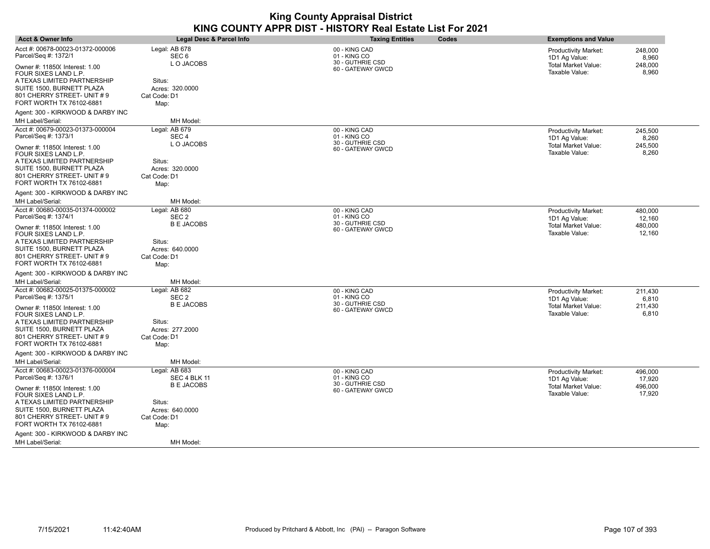| <b>Acct &amp; Owner Info</b>                                                                                                                                                 | Legal Desc & Parcel Info                                              | <b>Taxing Entities</b>                                                 | Codes | <b>Exemptions and Value</b>                                  |                             |
|------------------------------------------------------------------------------------------------------------------------------------------------------------------------------|-----------------------------------------------------------------------|------------------------------------------------------------------------|-------|--------------------------------------------------------------|-----------------------------|
| Acct #: 00678-00023-01372-000006<br>Parcel/Seq #: 1372/1<br>Owner #: 11850( Interest: 1.00                                                                                   | Legal: AB 678<br>SEC <sub>6</sub><br>L O JACOBS                       | 00 - KING CAD<br>01 - KING CO<br>30 - GUTHRIE CSD<br>60 - GATEWAY GWCD |       | Productivity Market:<br>1D1 Ag Value:<br>Total Market Value: | 248,000<br>8,960<br>248,000 |
| FOUR SIXES LAND L.P.<br>A TEXAS LIMITED PARTNERSHIP<br>SUITE 1500, BURNETT PLAZA<br>801 CHERRY STREET- UNIT #9<br>FORT WORTH TX 76102-6881                                   | Situs:<br>Acres: 320.0000<br>Cat Code: D1<br>Map:                     |                                                                        |       | Taxable Value:                                               | 8,960                       |
| Agent: 300 - KIRKWOOD & DARBY INC                                                                                                                                            |                                                                       |                                                                        |       |                                                              |                             |
| MH Label/Serial:                                                                                                                                                             | MH Model:                                                             |                                                                        |       |                                                              |                             |
| Acct #: 00679-00023-01373-000004<br>Parcel/Seq #: 1373/1                                                                                                                     | Legal: AB 679<br>SEC <sub>4</sub>                                     | 00 - KING CAD<br>01 - KING CO<br>30 - GUTHRIE CSD                      |       | <b>Productivity Market:</b><br>1D1 Ag Value:                 | 245,500<br>8,260            |
| Owner #: 11850( Interest: 1.00<br>FOUR SIXES LAND L.P.                                                                                                                       | L O JACOBS                                                            | 60 - GATEWAY GWCD                                                      |       | <b>Total Market Value:</b><br>Taxable Value:                 | 245,500<br>8,260            |
| A TEXAS LIMITED PARTNERSHIP<br>SUITE 1500, BURNETT PLAZA<br>801 CHERRY STREET- UNIT #9<br>FORT WORTH TX 76102-6881                                                           | Situs:<br>Acres: 320,0000<br>Cat Code: D1<br>Map:                     |                                                                        |       |                                                              |                             |
| Agent: 300 - KIRKWOOD & DARBY INC                                                                                                                                            |                                                                       |                                                                        |       |                                                              |                             |
| MH Label/Serial:                                                                                                                                                             | MH Model:                                                             |                                                                        |       |                                                              |                             |
| Acct #: 00680-00035-01374-000002<br>Parcel/Seq #: 1374/1                                                                                                                     | Legal: AB 680<br>SEC <sub>2</sub>                                     | 00 - KING CAD<br>01 - KING CO                                          |       | <b>Productivity Market:</b><br>1D1 Ag Value:                 | 480,000<br>12.160           |
| Owner #: 11850( Interest: 1.00<br>FOUR SIXES LAND L.P.<br>A TEXAS LIMITED PARTNERSHIP<br>SUITE 1500, BURNETT PLAZA<br>801 CHERRY STREET- UNIT #9<br>FORT WORTH TX 76102-6881 | <b>BE JACOBS</b><br>Situs:<br>Acres: 640.0000<br>Cat Code: D1<br>Map: | 30 - GUTHRIE CSD<br>60 - GATEWAY GWCD                                  |       | Total Market Value:<br>Taxable Value:                        | 480,000<br>12,160           |
| Agent: 300 - KIRKWOOD & DARBY INC                                                                                                                                            |                                                                       |                                                                        |       |                                                              |                             |
| MH Label/Serial:                                                                                                                                                             | MH Model:                                                             |                                                                        |       |                                                              |                             |
| Acct #: 00682-00025-01375-000002<br>Parcel/Seq #: 1375/1                                                                                                                     | Legal: AB 682<br>SEC <sub>2</sub>                                     | 00 - KING CAD<br>01 - KING CO                                          |       | <b>Productivity Market:</b><br>1D1 Ag Value:                 | 211,430<br>6,810            |
| Owner #: 11850( Interest: 1.00<br>FOUR SIXES LAND L.P.                                                                                                                       | <b>BE JACOBS</b>                                                      | 30 - GUTHRIE CSD<br>60 - GATEWAY GWCD                                  |       | <b>Total Market Value:</b><br>Taxable Value:                 | 211,430<br>6,810            |
| A TEXAS LIMITED PARTNERSHIP<br>SUITE 1500, BURNETT PLAZA<br>801 CHERRY STREET- UNIT #9<br>FORT WORTH TX 76102-6881                                                           | Situs:<br>Acres: 277.2000<br>Cat Code: D1<br>Map:                     |                                                                        |       |                                                              |                             |
| Agent: 300 - KIRKWOOD & DARBY INC                                                                                                                                            |                                                                       |                                                                        |       |                                                              |                             |
| MH Label/Serial:                                                                                                                                                             | MH Model:                                                             |                                                                        |       |                                                              |                             |
| Acct #: 00683-00023-01376-000004<br>Parcel/Seq #: 1376/1                                                                                                                     | Legal: AB 683<br>SEC 4 BLK 11                                         | 00 - KING CAD<br>01 - KING CO                                          |       | Productivity Market:<br>1D1 Ag Value:                        | 496,000<br>17,920           |
| Owner #: 11850( Interest: 1.00<br>FOUR SIXES LAND L.P.                                                                                                                       | <b>BE JACOBS</b>                                                      | 30 - GUTHRIE CSD<br>60 - GATEWAY GWCD                                  |       | <b>Total Market Value:</b><br>Taxable Value:                 | 496,000<br>17,920           |
| A TEXAS LIMITED PARTNERSHIP<br>SUITE 1500, BURNETT PLAZA<br>801 CHERRY STREET- UNIT #9<br>FORT WORTH TX 76102-6881                                                           | Situs:<br>Acres: 640.0000<br>Cat Code: D1<br>Map:                     |                                                                        |       |                                                              |                             |
| Agent: 300 - KIRKWOOD & DARBY INC                                                                                                                                            |                                                                       |                                                                        |       |                                                              |                             |
| MH Label/Serial:                                                                                                                                                             | MH Model:                                                             |                                                                        |       |                                                              |                             |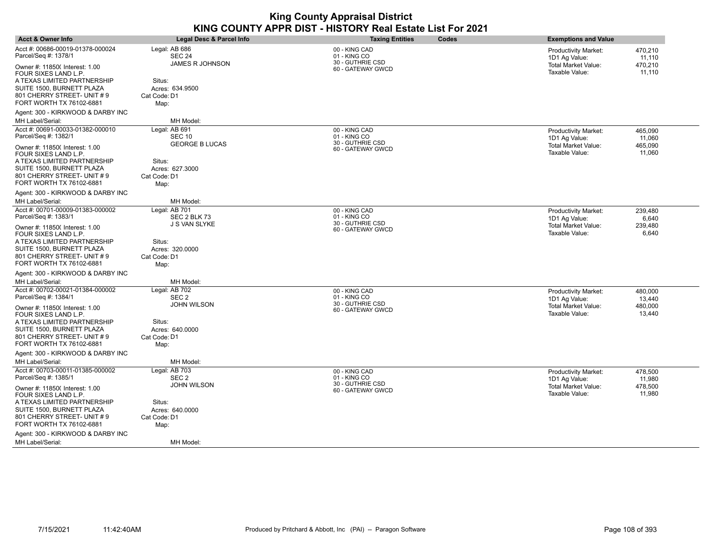| <b>Acct &amp; Owner Info</b>                                                                                                                                                 | <b>Legal Desc &amp; Parcel Info</b>                      | <b>Taxing Entities</b><br>Codes                                        | <b>Exemptions and Value</b>                                                                         |
|------------------------------------------------------------------------------------------------------------------------------------------------------------------------------|----------------------------------------------------------|------------------------------------------------------------------------|-----------------------------------------------------------------------------------------------------|
| Acct #: 00686-00019-01378-000024<br>Parcel/Seq #: 1378/1                                                                                                                     | Legal: AB 686<br><b>SEC 24</b><br><b>JAMES R JOHNSON</b> | 00 - KING CAD<br>01 - KING CO<br>30 - GUTHRIE CSD                      | Productivity Market:<br>470,210<br>1D1 Ag Value:<br>11,110                                          |
| Owner #: 118500 Interest: 1.00<br>FOUR SIXES LAND L.P.<br>A TEXAS LIMITED PARTNERSHIP<br>SUITE 1500, BURNETT PLAZA<br>801 CHERRY STREET- UNIT #9<br>FORT WORTH TX 76102-6881 | Situs:<br>Acres: 634.9500<br>Cat Code: D1<br>Map:        | 60 - GATEWAY GWCD                                                      | <b>Total Market Value:</b><br>470,210<br>Taxable Value:<br>11,110                                   |
| Agent: 300 - KIRKWOOD & DARBY INC                                                                                                                                            |                                                          |                                                                        |                                                                                                     |
| MH Label/Serial:                                                                                                                                                             | MH Model:                                                |                                                                        |                                                                                                     |
| Acct #: 00691-00033-01382-000010<br>Parcel/Seq #: 1382/1                                                                                                                     | Legal: AB 691<br><b>SEC 10</b>                           | 00 - KING CAD<br>01 - KING CO<br>30 - GUTHRIE CSD                      | Productivity Market:<br>465,090<br>1D1 Ag Value:<br>11,060                                          |
| Owner #: 11850( Interest: 1.00<br>FOUR SIXES LAND L.P.                                                                                                                       | <b>GEORGE B LUCAS</b>                                    | 60 - GATEWAY GWCD                                                      | <b>Total Market Value:</b><br>465,090<br>Taxable Value:<br>11,060                                   |
| A TEXAS LIMITED PARTNERSHIP<br>SUITE 1500, BURNETT PLAZA<br>801 CHERRY STREET- UNIT #9<br>FORT WORTH TX 76102-6881                                                           | Situs:<br>Acres: 627.3000<br>Cat Code: D1<br>Map:        |                                                                        |                                                                                                     |
| Agent: 300 - KIRKWOOD & DARBY INC                                                                                                                                            |                                                          |                                                                        |                                                                                                     |
| MH Label/Serial:                                                                                                                                                             | MH Model:                                                |                                                                        |                                                                                                     |
| Acct #: 00701-00009-01383-000002<br>Parcel/Seq #: 1383/1                                                                                                                     | Legal: AB 701<br>SEC 2 BLK 73<br>J S VAN SLYKE           | 00 - KING CAD<br>01 - KING CO<br>30 - GUTHRIE CSD                      | Productivity Market:<br>239,480<br>1D1 Ag Value:<br>6.640                                           |
| Owner #: 11850( Interest: 1.00<br>FOUR SIXES LAND L.P.<br>A TEXAS LIMITED PARTNERSHIP<br>SUITE 1500, BURNETT PLAZA<br>801 CHERRY STREET- UNIT #9<br>FORT WORTH TX 76102-6881 | Situs:<br>Acres: 320,0000<br>Cat Code: D1<br>Map:        | 60 - GATEWAY GWCD                                                      | <b>Total Market Value:</b><br>239,480<br>Taxable Value:<br>6,640                                    |
| Agent: 300 - KIRKWOOD & DARBY INC                                                                                                                                            |                                                          |                                                                        |                                                                                                     |
| MH Label/Serial:                                                                                                                                                             | MH Model:                                                |                                                                        |                                                                                                     |
| Acct #: 00702-00021-01384-000002<br>Parcel/Seq #: 1384/1<br>Owner #: 11850( Interest: 1.00                                                                                   | Legal: AB 702<br>SEC <sub>2</sub><br><b>JOHN WILSON</b>  | 00 - KING CAD<br>01 - KING CO<br>30 - GUTHRIE CSD<br>60 - GATEWAY GWCD | 480,000<br>Productivity Market:<br>13,440<br>1D1 Ag Value:<br><b>Total Market Value:</b><br>480,000 |
| FOUR SIXES LAND L.P.<br>A TEXAS LIMITED PARTNERSHIP<br>SUITE 1500, BURNETT PLAZA<br>801 CHERRY STREET- UNIT #9<br>FORT WORTH TX 76102-6881                                   | Situs:<br>Acres: 640.0000<br>Cat Code: D1<br>Map:        |                                                                        | Taxable Value:<br>13,440                                                                            |
| Agent: 300 - KIRKWOOD & DARBY INC                                                                                                                                            |                                                          |                                                                        |                                                                                                     |
| MH Label/Serial:                                                                                                                                                             | MH Model:                                                |                                                                        |                                                                                                     |
| Acct #: 00703-00011-01385-000002<br>Parcel/Seq #: 1385/1                                                                                                                     | Legal: AB 703<br>SEC <sub>2</sub>                        | 00 - KING CAD<br>01 - KING CO                                          | Productivity Market:<br>478.500<br>1D1 Ag Value:<br>11,980                                          |
| Owner #: 11850( Interest: 1.00<br>FOUR SIXES LAND L.P.                                                                                                                       | <b>JOHN WILSON</b>                                       | 30 - GUTHRIE CSD<br>60 - GATEWAY GWCD                                  | <b>Total Market Value:</b><br>478,500<br>Taxable Value:<br>11,980                                   |
| A TEXAS LIMITED PARTNERSHIP<br>SUITE 1500, BURNETT PLAZA<br>801 CHERRY STREET- UNIT #9<br>FORT WORTH TX 76102-6881                                                           | Situs:<br>Acres: 640.0000<br>Cat Code: D1<br>Map:        |                                                                        |                                                                                                     |
| Agent: 300 - KIRKWOOD & DARBY INC<br>MH Label/Serial:                                                                                                                        | MH Model:                                                |                                                                        |                                                                                                     |
|                                                                                                                                                                              |                                                          |                                                                        |                                                                                                     |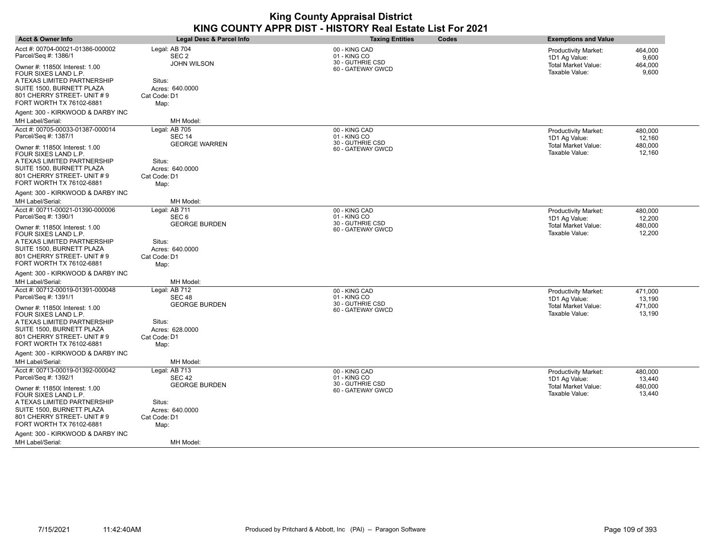| <b>Acct &amp; Owner Info</b>                                                           | Legal Desc & Parcel Info                  | <b>Taxing Entities</b><br>Codes                   | <b>Exemptions and Value</b>                                       |
|----------------------------------------------------------------------------------------|-------------------------------------------|---------------------------------------------------|-------------------------------------------------------------------|
| Acct #: 00704-00021-01386-000002<br>Parcel/Seq #: 1386/1                               | Legal: AB 704<br>SEC <sub>2</sub>         | 00 - KING CAD<br>01 - KING CO                     | <b>Productivity Market:</b><br>464,000<br>1D1 Ag Value:<br>9,600  |
| Owner #: 11850( Interest: 1.00<br>FOUR SIXES LAND L.P.                                 | <b>JOHN WILSON</b>                        | 30 - GUTHRIE CSD<br>60 - GATEWAY GWCD             | Total Market Value:<br>464,000<br>9,600<br>Taxable Value:         |
| A TEXAS LIMITED PARTNERSHIP<br>SUITE 1500, BURNETT PLAZA<br>801 CHERRY STREET- UNIT #9 | Situs:<br>Acres: 640.0000<br>Cat Code: D1 |                                                   |                                                                   |
| FORT WORTH TX 76102-6881                                                               | Map:                                      |                                                   |                                                                   |
| Agent: 300 - KIRKWOOD & DARBY INC<br>MH Label/Serial:                                  | MH Model:                                 |                                                   |                                                                   |
| Acct #: 00705-00033-01387-000014                                                       | Legal: AB 705                             |                                                   |                                                                   |
| Parcel/Seq #: 1387/1                                                                   | <b>SEC 14</b><br><b>GEORGE WARREN</b>     | 00 - KING CAD<br>01 - KING CO<br>30 - GUTHRIE CSD | <b>Productivity Market:</b><br>480,000<br>12,160<br>1D1 Ag Value: |
| Owner #: 11850( Interest: 1.00<br>FOUR SIXES LAND L.P.                                 |                                           | 60 - GATEWAY GWCD                                 | <b>Total Market Value:</b><br>480,000<br>Taxable Value:<br>12,160 |
| A TEXAS LIMITED PARTNERSHIP                                                            | Situs:                                    |                                                   |                                                                   |
| SUITE 1500, BURNETT PLAZA                                                              | Acres: 640.0000                           |                                                   |                                                                   |
| 801 CHERRY STREET- UNIT # 9<br>FORT WORTH TX 76102-6881                                | Cat Code: D1<br>Map:                      |                                                   |                                                                   |
| Agent: 300 - KIRKWOOD & DARBY INC                                                      |                                           |                                                   |                                                                   |
| MH Label/Serial:                                                                       | MH Model:                                 |                                                   |                                                                   |
| Acct #: 00711-00021-01390-000006                                                       | Legal: AB 711                             | 00 - KING CAD                                     | <b>Productivity Market:</b><br>480,000                            |
| Parcel/Seq #: 1390/1                                                                   | SEC <sub>6</sub>                          | 01 - KING CO                                      | 1D1 Ag Value:<br>12,200                                           |
| Owner #: 11850( Interest: 1.00<br>FOUR SIXES LAND L.P.                                 | <b>GEORGE BURDEN</b>                      | 30 - GUTHRIE CSD<br>60 - GATEWAY GWCD             | Total Market Value:<br>480,000<br>Taxable Value:<br>12,200        |
| A TEXAS LIMITED PARTNERSHIP                                                            | Situs:                                    |                                                   |                                                                   |
| SUITE 1500, BURNETT PLAZA                                                              | Acres: 640.0000                           |                                                   |                                                                   |
| 801 CHERRY STREET- UNIT # 9                                                            | Cat Code: D1                              |                                                   |                                                                   |
| FORT WORTH TX 76102-6881                                                               | Map:                                      |                                                   |                                                                   |
| Agent: 300 - KIRKWOOD & DARBY INC                                                      |                                           |                                                   |                                                                   |
| MH Label/Serial:                                                                       | MH Model:                                 |                                                   |                                                                   |
| Acct #: 00712-00019-01391-000048                                                       | Legal: AB 712                             | 00 - KING CAD                                     | <b>Productivity Market:</b><br>471,000                            |
| Parcel/Seq #: 1391/1                                                                   | SEC 48                                    | 01 - KING CO                                      | 1D1 Ag Value:<br>13,190                                           |
| Owner #: 11850( Interest: 1.00                                                         | <b>GEORGE BURDEN</b>                      | 30 - GUTHRIE CSD<br>60 - GATEWAY GWCD             | Total Market Value:<br>471,000                                    |
| FOUR SIXES LAND L.P.                                                                   |                                           |                                                   | Taxable Value:<br>13,190                                          |
| A TEXAS LIMITED PARTNERSHIP                                                            | Situs:                                    |                                                   |                                                                   |
| SUITE 1500, BURNETT PLAZA                                                              | Acres: 628.0000                           |                                                   |                                                                   |
| 801 CHERRY STREET- UNIT # 9<br>FORT WORTH TX 76102-6881                                | Cat Code: D1                              |                                                   |                                                                   |
|                                                                                        | Map:                                      |                                                   |                                                                   |
| Agent: 300 - KIRKWOOD & DARBY INC                                                      |                                           |                                                   |                                                                   |
| MH Label/Serial:                                                                       | MH Model:                                 |                                                   |                                                                   |
| Acct #: 00713-00019-01392-000042<br>Parcel/Seq #: 1392/1                               | Legal: AB 713<br>SEC <sub>42</sub>        | 00 - KING CAD<br>01 - KING CO                     | <b>Productivity Market:</b><br>480,000                            |
|                                                                                        | <b>GEORGE BURDEN</b>                      | 30 - GUTHRIE CSD                                  | 13,440<br>1D1 Ag Value:<br><b>Total Market Value:</b><br>480,000  |
| Owner #: 11850( Interest: 1.00<br>FOUR SIXES LAND L.P.                                 |                                           | 60 - GATEWAY GWCD                                 | Taxable Value:<br>13,440                                          |
| A TEXAS LIMITED PARTNERSHIP                                                            | Situs:                                    |                                                   |                                                                   |
| SUITE 1500, BURNETT PLAZA                                                              | Acres: 640.0000                           |                                                   |                                                                   |
| 801 CHERRY STREET- UNIT # 9<br>FORT WORTH TX 76102-6881                                | Cat Code: D1                              |                                                   |                                                                   |
|                                                                                        | Map:                                      |                                                   |                                                                   |
| Agent: 300 - KIRKWOOD & DARBY INC                                                      |                                           |                                                   |                                                                   |
| MH Label/Serial:                                                                       | MH Model:                                 |                                                   |                                                                   |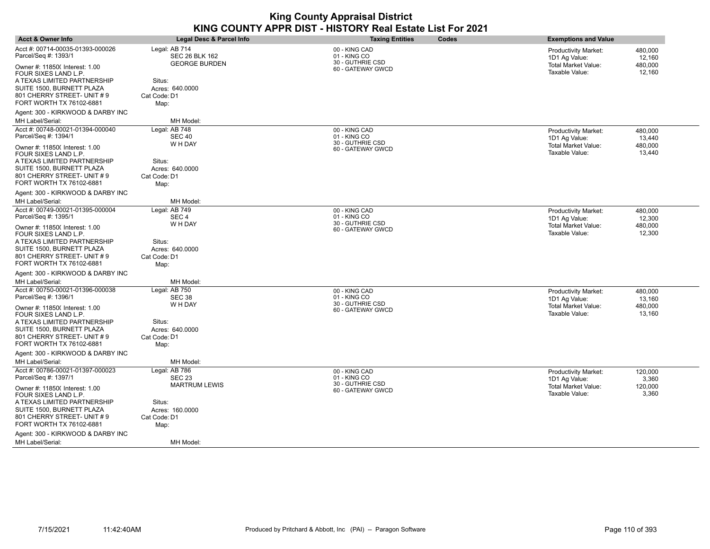| Acct #: 00714-00035-01393-000026<br>Legal: AB 714<br>00 - KING CAD<br>Productivity Market:<br>480,000<br>Parcel/Seq #: 1393/1<br>01 - KING CO<br><b>SEC 26 BLK 162</b><br>1D1 Ag Value:<br>12,160<br>30 - GUTHRIE CSD<br><b>GEORGE BURDEN</b><br>480,000<br>Total Market Value:<br>Owner #: 11850( Interest: 1.00<br>60 - GATEWAY GWCD<br>Taxable Value:<br>12,160<br>FOUR SIXES LAND L.P.<br>A TEXAS LIMITED PARTNERSHIP<br>Situs:<br>SUITE 1500, BURNETT PLAZA<br>Acres: 640.0000<br>Cat Code: D1<br>Map:<br>MH Label/Serial:<br>MH Model:<br>Acct #: 00748-00021-01394-000040<br>Legal: AB 748<br>00 - KING CAD<br><b>Productivity Market:</b><br>480,000<br>01 - KING CO<br><b>SEC 40</b><br>13,440<br>1D1 Ag Value:<br>30 - GUTHRIE CSD<br>W H DAY<br><b>Total Market Value:</b><br>480,000<br>60 - GATEWAY GWCD<br>Taxable Value:<br>13,440<br>Situs:<br>SUITE 1500, BURNETT PLAZA<br>Acres: 640,0000<br>Cat Code: D1<br>FORT WORTH TX 76102-6881<br>Map:<br>Agent: 300 - KIRKWOOD & DARBY INC<br>MH Label/Serial:<br>MH Model:<br>Legal: AB 749<br>00 - KING CAD<br><b>Productivity Market:</b><br>480,000<br>SEC <sub>4</sub><br>01 - KING CO<br>1D1 Ag Value:<br>12,300<br>30 - GUTHRIE CSD<br>W H DAY<br>Total Market Value:<br>480,000<br>60 - GATEWAY GWCD<br>Taxable Value:<br>12,300<br>Situs:<br>A TEXAS LIMITED PARTNERSHIP<br>Acres: 640.0000<br>Cat Code: D1<br>FORT WORTH TX 76102-6881<br>Map:<br>Agent: 300 - KIRKWOOD & DARBY INC<br>MH Model:<br>MH Label/Serial:<br>Acct #: 00750-00021-01396-000038<br>Legal: AB 750<br>00 - KING CAD<br>480,000<br><b>Productivity Market:</b><br>SEC 38<br>01 - KING CO<br>13,160<br>1D1 Ag Value:<br>30 - GUTHRIE CSD<br>W H DAY<br><b>Total Market Value:</b><br>480,000<br>Owner #: 11850( Interest: 1.00<br>60 - GATEWAY GWCD<br>Taxable Value:<br>13,160<br>Situs:<br>SUITE 1500, BURNETT PLAZA<br>Acres: 640.0000<br>801 CHERRY STREET- UNIT #9<br>Cat Code: D1<br>FORT WORTH TX 76102-6881<br>Map:<br>Agent: 300 - KIRKWOOD & DARBY INC<br>MH Model:<br>Legal: AB 786<br>00 - KING CAD<br>120,000<br>Productivity Market:<br>Parcel/Seq #: 1397/1<br><b>SEC 23</b><br>01 - KING CO<br>3,360<br>1D1 Ag Value:<br>30 - GUTHRIE CSD<br><b>MARTRUM LEWIS</b><br><b>Total Market Value:</b><br>120,000<br>60 - GATEWAY GWCD<br>3,360<br>Taxable Value:<br>Situs:<br>SUITE 1500, BURNETT PLAZA<br>Acres: 160.0000<br>801 CHERRY STREET- UNIT #9<br>Cat Code: D1<br>FORT WORTH TX 76102-6881<br>Map:<br>Agent: 300 - KIRKWOOD & DARBY INC | <b>Acct &amp; Owner Info</b>                             | Legal Desc & Parcel Info | <b>Taxing Entities</b> | Codes | <b>Exemptions and Value</b> |  |
|------------------------------------------------------------------------------------------------------------------------------------------------------------------------------------------------------------------------------------------------------------------------------------------------------------------------------------------------------------------------------------------------------------------------------------------------------------------------------------------------------------------------------------------------------------------------------------------------------------------------------------------------------------------------------------------------------------------------------------------------------------------------------------------------------------------------------------------------------------------------------------------------------------------------------------------------------------------------------------------------------------------------------------------------------------------------------------------------------------------------------------------------------------------------------------------------------------------------------------------------------------------------------------------------------------------------------------------------------------------------------------------------------------------------------------------------------------------------------------------------------------------------------------------------------------------------------------------------------------------------------------------------------------------------------------------------------------------------------------------------------------------------------------------------------------------------------------------------------------------------------------------------------------------------------------------------------------------------------------------------------------------------------------------------------------------------------------------------------------------------------------------------------------------------------------------------------------------------------------------------------------------------------------------------------------------------------------------------------------------------------------------------------------------------------------------------------------------------------------------------------|----------------------------------------------------------|--------------------------|------------------------|-------|-----------------------------|--|
|                                                                                                                                                                                                                                                                                                                                                                                                                                                                                                                                                                                                                                                                                                                                                                                                                                                                                                                                                                                                                                                                                                                                                                                                                                                                                                                                                                                                                                                                                                                                                                                                                                                                                                                                                                                                                                                                                                                                                                                                                                                                                                                                                                                                                                                                                                                                                                                                                                                                                                      |                                                          |                          |                        |       |                             |  |
|                                                                                                                                                                                                                                                                                                                                                                                                                                                                                                                                                                                                                                                                                                                                                                                                                                                                                                                                                                                                                                                                                                                                                                                                                                                                                                                                                                                                                                                                                                                                                                                                                                                                                                                                                                                                                                                                                                                                                                                                                                                                                                                                                                                                                                                                                                                                                                                                                                                                                                      | 801 CHERRY STREET- UNIT #9<br>FORT WORTH TX 76102-6881   |                          |                        |       |                             |  |
|                                                                                                                                                                                                                                                                                                                                                                                                                                                                                                                                                                                                                                                                                                                                                                                                                                                                                                                                                                                                                                                                                                                                                                                                                                                                                                                                                                                                                                                                                                                                                                                                                                                                                                                                                                                                                                                                                                                                                                                                                                                                                                                                                                                                                                                                                                                                                                                                                                                                                                      | Agent: 300 - KIRKWOOD & DARBY INC                        |                          |                        |       |                             |  |
|                                                                                                                                                                                                                                                                                                                                                                                                                                                                                                                                                                                                                                                                                                                                                                                                                                                                                                                                                                                                                                                                                                                                                                                                                                                                                                                                                                                                                                                                                                                                                                                                                                                                                                                                                                                                                                                                                                                                                                                                                                                                                                                                                                                                                                                                                                                                                                                                                                                                                                      |                                                          |                          |                        |       |                             |  |
|                                                                                                                                                                                                                                                                                                                                                                                                                                                                                                                                                                                                                                                                                                                                                                                                                                                                                                                                                                                                                                                                                                                                                                                                                                                                                                                                                                                                                                                                                                                                                                                                                                                                                                                                                                                                                                                                                                                                                                                                                                                                                                                                                                                                                                                                                                                                                                                                                                                                                                      | Parcel/Seq #: 1394/1                                     |                          |                        |       |                             |  |
|                                                                                                                                                                                                                                                                                                                                                                                                                                                                                                                                                                                                                                                                                                                                                                                                                                                                                                                                                                                                                                                                                                                                                                                                                                                                                                                                                                                                                                                                                                                                                                                                                                                                                                                                                                                                                                                                                                                                                                                                                                                                                                                                                                                                                                                                                                                                                                                                                                                                                                      | Owner #: 11850( Interest: 1.00<br>FOUR SIXES LAND L.P.   |                          |                        |       |                             |  |
|                                                                                                                                                                                                                                                                                                                                                                                                                                                                                                                                                                                                                                                                                                                                                                                                                                                                                                                                                                                                                                                                                                                                                                                                                                                                                                                                                                                                                                                                                                                                                                                                                                                                                                                                                                                                                                                                                                                                                                                                                                                                                                                                                                                                                                                                                                                                                                                                                                                                                                      | A TEXAS LIMITED PARTNERSHIP                              |                          |                        |       |                             |  |
|                                                                                                                                                                                                                                                                                                                                                                                                                                                                                                                                                                                                                                                                                                                                                                                                                                                                                                                                                                                                                                                                                                                                                                                                                                                                                                                                                                                                                                                                                                                                                                                                                                                                                                                                                                                                                                                                                                                                                                                                                                                                                                                                                                                                                                                                                                                                                                                                                                                                                                      | 801 CHERRY STREET- UNIT #9                               |                          |                        |       |                             |  |
|                                                                                                                                                                                                                                                                                                                                                                                                                                                                                                                                                                                                                                                                                                                                                                                                                                                                                                                                                                                                                                                                                                                                                                                                                                                                                                                                                                                                                                                                                                                                                                                                                                                                                                                                                                                                                                                                                                                                                                                                                                                                                                                                                                                                                                                                                                                                                                                                                                                                                                      |                                                          |                          |                        |       |                             |  |
|                                                                                                                                                                                                                                                                                                                                                                                                                                                                                                                                                                                                                                                                                                                                                                                                                                                                                                                                                                                                                                                                                                                                                                                                                                                                                                                                                                                                                                                                                                                                                                                                                                                                                                                                                                                                                                                                                                                                                                                                                                                                                                                                                                                                                                                                                                                                                                                                                                                                                                      |                                                          |                          |                        |       |                             |  |
|                                                                                                                                                                                                                                                                                                                                                                                                                                                                                                                                                                                                                                                                                                                                                                                                                                                                                                                                                                                                                                                                                                                                                                                                                                                                                                                                                                                                                                                                                                                                                                                                                                                                                                                                                                                                                                                                                                                                                                                                                                                                                                                                                                                                                                                                                                                                                                                                                                                                                                      | Acct #: 00749-00021-01395-000004<br>Parcel/Seq #: 1395/1 |                          |                        |       |                             |  |
|                                                                                                                                                                                                                                                                                                                                                                                                                                                                                                                                                                                                                                                                                                                                                                                                                                                                                                                                                                                                                                                                                                                                                                                                                                                                                                                                                                                                                                                                                                                                                                                                                                                                                                                                                                                                                                                                                                                                                                                                                                                                                                                                                                                                                                                                                                                                                                                                                                                                                                      | Owner #: 11850( Interest: 1.00<br>FOUR SIXES LAND L.P.   |                          |                        |       |                             |  |
|                                                                                                                                                                                                                                                                                                                                                                                                                                                                                                                                                                                                                                                                                                                                                                                                                                                                                                                                                                                                                                                                                                                                                                                                                                                                                                                                                                                                                                                                                                                                                                                                                                                                                                                                                                                                                                                                                                                                                                                                                                                                                                                                                                                                                                                                                                                                                                                                                                                                                                      | SUITE 1500, BURNETT PLAZA<br>801 CHERRY STREET- UNIT #9  |                          |                        |       |                             |  |
|                                                                                                                                                                                                                                                                                                                                                                                                                                                                                                                                                                                                                                                                                                                                                                                                                                                                                                                                                                                                                                                                                                                                                                                                                                                                                                                                                                                                                                                                                                                                                                                                                                                                                                                                                                                                                                                                                                                                                                                                                                                                                                                                                                                                                                                                                                                                                                                                                                                                                                      |                                                          |                          |                        |       |                             |  |
|                                                                                                                                                                                                                                                                                                                                                                                                                                                                                                                                                                                                                                                                                                                                                                                                                                                                                                                                                                                                                                                                                                                                                                                                                                                                                                                                                                                                                                                                                                                                                                                                                                                                                                                                                                                                                                                                                                                                                                                                                                                                                                                                                                                                                                                                                                                                                                                                                                                                                                      |                                                          |                          |                        |       |                             |  |
|                                                                                                                                                                                                                                                                                                                                                                                                                                                                                                                                                                                                                                                                                                                                                                                                                                                                                                                                                                                                                                                                                                                                                                                                                                                                                                                                                                                                                                                                                                                                                                                                                                                                                                                                                                                                                                                                                                                                                                                                                                                                                                                                                                                                                                                                                                                                                                                                                                                                                                      |                                                          |                          |                        |       |                             |  |
|                                                                                                                                                                                                                                                                                                                                                                                                                                                                                                                                                                                                                                                                                                                                                                                                                                                                                                                                                                                                                                                                                                                                                                                                                                                                                                                                                                                                                                                                                                                                                                                                                                                                                                                                                                                                                                                                                                                                                                                                                                                                                                                                                                                                                                                                                                                                                                                                                                                                                                      | Parcel/Seq #: 1396/1                                     |                          |                        |       |                             |  |
|                                                                                                                                                                                                                                                                                                                                                                                                                                                                                                                                                                                                                                                                                                                                                                                                                                                                                                                                                                                                                                                                                                                                                                                                                                                                                                                                                                                                                                                                                                                                                                                                                                                                                                                                                                                                                                                                                                                                                                                                                                                                                                                                                                                                                                                                                                                                                                                                                                                                                                      |                                                          |                          |                        |       |                             |  |
|                                                                                                                                                                                                                                                                                                                                                                                                                                                                                                                                                                                                                                                                                                                                                                                                                                                                                                                                                                                                                                                                                                                                                                                                                                                                                                                                                                                                                                                                                                                                                                                                                                                                                                                                                                                                                                                                                                                                                                                                                                                                                                                                                                                                                                                                                                                                                                                                                                                                                                      | FOUR SIXES LAND L.P.                                     |                          |                        |       |                             |  |
|                                                                                                                                                                                                                                                                                                                                                                                                                                                                                                                                                                                                                                                                                                                                                                                                                                                                                                                                                                                                                                                                                                                                                                                                                                                                                                                                                                                                                                                                                                                                                                                                                                                                                                                                                                                                                                                                                                                                                                                                                                                                                                                                                                                                                                                                                                                                                                                                                                                                                                      | A TEXAS LIMITED PARTNERSHIP                              |                          |                        |       |                             |  |
|                                                                                                                                                                                                                                                                                                                                                                                                                                                                                                                                                                                                                                                                                                                                                                                                                                                                                                                                                                                                                                                                                                                                                                                                                                                                                                                                                                                                                                                                                                                                                                                                                                                                                                                                                                                                                                                                                                                                                                                                                                                                                                                                                                                                                                                                                                                                                                                                                                                                                                      |                                                          |                          |                        |       |                             |  |
|                                                                                                                                                                                                                                                                                                                                                                                                                                                                                                                                                                                                                                                                                                                                                                                                                                                                                                                                                                                                                                                                                                                                                                                                                                                                                                                                                                                                                                                                                                                                                                                                                                                                                                                                                                                                                                                                                                                                                                                                                                                                                                                                                                                                                                                                                                                                                                                                                                                                                                      |                                                          |                          |                        |       |                             |  |
|                                                                                                                                                                                                                                                                                                                                                                                                                                                                                                                                                                                                                                                                                                                                                                                                                                                                                                                                                                                                                                                                                                                                                                                                                                                                                                                                                                                                                                                                                                                                                                                                                                                                                                                                                                                                                                                                                                                                                                                                                                                                                                                                                                                                                                                                                                                                                                                                                                                                                                      |                                                          |                          |                        |       |                             |  |
|                                                                                                                                                                                                                                                                                                                                                                                                                                                                                                                                                                                                                                                                                                                                                                                                                                                                                                                                                                                                                                                                                                                                                                                                                                                                                                                                                                                                                                                                                                                                                                                                                                                                                                                                                                                                                                                                                                                                                                                                                                                                                                                                                                                                                                                                                                                                                                                                                                                                                                      | MH Label/Serial:                                         |                          |                        |       |                             |  |
|                                                                                                                                                                                                                                                                                                                                                                                                                                                                                                                                                                                                                                                                                                                                                                                                                                                                                                                                                                                                                                                                                                                                                                                                                                                                                                                                                                                                                                                                                                                                                                                                                                                                                                                                                                                                                                                                                                                                                                                                                                                                                                                                                                                                                                                                                                                                                                                                                                                                                                      | Acct #: 00786-00021-01397-000023                         |                          |                        |       |                             |  |
|                                                                                                                                                                                                                                                                                                                                                                                                                                                                                                                                                                                                                                                                                                                                                                                                                                                                                                                                                                                                                                                                                                                                                                                                                                                                                                                                                                                                                                                                                                                                                                                                                                                                                                                                                                                                                                                                                                                                                                                                                                                                                                                                                                                                                                                                                                                                                                                                                                                                                                      |                                                          |                          |                        |       |                             |  |
|                                                                                                                                                                                                                                                                                                                                                                                                                                                                                                                                                                                                                                                                                                                                                                                                                                                                                                                                                                                                                                                                                                                                                                                                                                                                                                                                                                                                                                                                                                                                                                                                                                                                                                                                                                                                                                                                                                                                                                                                                                                                                                                                                                                                                                                                                                                                                                                                                                                                                                      | Owner #: 11850( Interest: 1.00<br>FOUR SIXES LAND L.P.   |                          |                        |       |                             |  |
|                                                                                                                                                                                                                                                                                                                                                                                                                                                                                                                                                                                                                                                                                                                                                                                                                                                                                                                                                                                                                                                                                                                                                                                                                                                                                                                                                                                                                                                                                                                                                                                                                                                                                                                                                                                                                                                                                                                                                                                                                                                                                                                                                                                                                                                                                                                                                                                                                                                                                                      | A TEXAS LIMITED PARTNERSHIP                              |                          |                        |       |                             |  |
|                                                                                                                                                                                                                                                                                                                                                                                                                                                                                                                                                                                                                                                                                                                                                                                                                                                                                                                                                                                                                                                                                                                                                                                                                                                                                                                                                                                                                                                                                                                                                                                                                                                                                                                                                                                                                                                                                                                                                                                                                                                                                                                                                                                                                                                                                                                                                                                                                                                                                                      |                                                          |                          |                        |       |                             |  |
|                                                                                                                                                                                                                                                                                                                                                                                                                                                                                                                                                                                                                                                                                                                                                                                                                                                                                                                                                                                                                                                                                                                                                                                                                                                                                                                                                                                                                                                                                                                                                                                                                                                                                                                                                                                                                                                                                                                                                                                                                                                                                                                                                                                                                                                                                                                                                                                                                                                                                                      |                                                          |                          |                        |       |                             |  |
|                                                                                                                                                                                                                                                                                                                                                                                                                                                                                                                                                                                                                                                                                                                                                                                                                                                                                                                                                                                                                                                                                                                                                                                                                                                                                                                                                                                                                                                                                                                                                                                                                                                                                                                                                                                                                                                                                                                                                                                                                                                                                                                                                                                                                                                                                                                                                                                                                                                                                                      |                                                          |                          |                        |       |                             |  |
|                                                                                                                                                                                                                                                                                                                                                                                                                                                                                                                                                                                                                                                                                                                                                                                                                                                                                                                                                                                                                                                                                                                                                                                                                                                                                                                                                                                                                                                                                                                                                                                                                                                                                                                                                                                                                                                                                                                                                                                                                                                                                                                                                                                                                                                                                                                                                                                                                                                                                                      | MH Label/Serial:                                         | MH Model:                |                        |       |                             |  |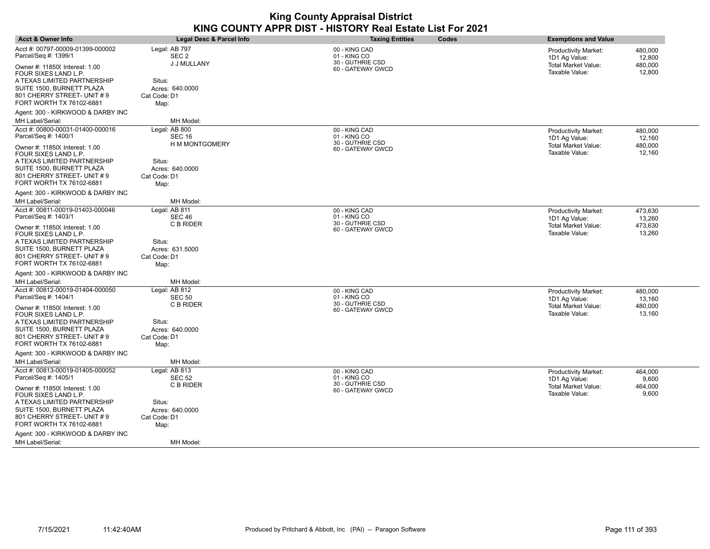| <b>Acct &amp; Owner Info</b>                                                                                                                                                 | Legal Desc & Parcel Info                                       | <b>Taxing Entities</b>                            | Codes | <b>Exemptions and Value</b>                                  |                              |
|------------------------------------------------------------------------------------------------------------------------------------------------------------------------------|----------------------------------------------------------------|---------------------------------------------------|-------|--------------------------------------------------------------|------------------------------|
| Acct #: 00797-00009-01399-000002<br>Parcel/Seq #: 1399/1                                                                                                                     | Legal: AB 797<br>SEC <sub>2</sub><br>J J MULLANY               | 00 - KING CAD<br>01 - KING CO<br>30 - GUTHRIE CSD |       | Productivity Market:<br>1D1 Ag Value:<br>Total Market Value: | 480,000<br>12,800<br>480,000 |
| Owner #: 11850( Interest: 1.00<br>FOUR SIXES LAND L.P.<br>A TEXAS LIMITED PARTNERSHIP<br>SUITE 1500, BURNETT PLAZA<br>801 CHERRY STREET- UNIT #9<br>FORT WORTH TX 76102-6881 | Situs:<br>Acres: 640.0000<br>Cat Code: D1<br>Map:              | 60 - GATEWAY GWCD                                 |       | Taxable Value:                                               | 12,800                       |
| Agent: 300 - KIRKWOOD & DARBY INC<br>MH Label/Serial:                                                                                                                        | MH Model:                                                      |                                                   |       |                                                              |                              |
| Acct #: 00800-00031-01400-000016                                                                                                                                             | Legal: AB 800                                                  | 00 - KING CAD                                     |       |                                                              |                              |
| Parcel/Seq #: 1400/1                                                                                                                                                         | <b>SEC 16</b>                                                  | 01 - KING CO                                      |       | <b>Productivity Market:</b><br>1D1 Ag Value:                 | 480,000<br>12,160            |
| Owner #: 11850( Interest: 1.00<br>FOUR SIXES LAND L.P.                                                                                                                       | <b>H M MONTGOMERY</b>                                          | 30 - GUTHRIE CSD<br>60 - GATEWAY GWCD             |       | <b>Total Market Value:</b><br>Taxable Value:                 | 480,000<br>12,160            |
| A TEXAS LIMITED PARTNERSHIP                                                                                                                                                  | Situs:                                                         |                                                   |       |                                                              |                              |
| SUITE 1500, BURNETT PLAZA<br>801 CHERRY STREET- UNIT #9<br>FORT WORTH TX 76102-6881                                                                                          | Acres: 640,0000<br>Cat Code: D1<br>Map:                        |                                                   |       |                                                              |                              |
| Agent: 300 - KIRKWOOD & DARBY INC                                                                                                                                            |                                                                |                                                   |       |                                                              |                              |
| MH Label/Serial:                                                                                                                                                             | MH Model:                                                      |                                                   |       |                                                              |                              |
| Acct #: 00811-00019-01403-000046<br>Parcel/Seq #: 1403/1                                                                                                                     | Legal: AB 811<br>SEC 46                                        | 00 - KING CAD<br>01 - KING CO<br>30 - GUTHRIE CSD |       | <b>Productivity Market:</b><br>1D1 Ag Value:                 | 473,630<br>13,260            |
| Owner #: 11850( Interest: 1.00<br>FOUR SIXES LAND L.P.<br>A TEXAS LIMITED PARTNERSHIP<br>SUITE 1500, BURNETT PLAZA<br>801 CHERRY STREET- UNIT #9<br>FORT WORTH TX 76102-6881 | C B RIDER<br>Situs:<br>Acres: 631.5000<br>Cat Code: D1<br>Map: | 60 - GATEWAY GWCD                                 |       | Total Market Value:<br>Taxable Value:                        | 473,630<br>13,260            |
| Agent: 300 - KIRKWOOD & DARBY INC                                                                                                                                            |                                                                |                                                   |       |                                                              |                              |
| MH Label/Serial:                                                                                                                                                             | MH Model:                                                      |                                                   |       |                                                              |                              |
| Acct #: 00812-00019-01404-000050<br>Parcel/Seq #: 1404/1                                                                                                                     | Legal: AB 812<br><b>SEC 50</b><br>C B RIDER                    | 00 - KING CAD<br>01 - KING CO<br>30 - GUTHRIE CSD |       | <b>Productivity Market:</b><br>1D1 Ag Value:                 | 480,000<br>13,160            |
| Owner #: 11850( Interest: 1.00<br>FOUR SIXES LAND L.P.                                                                                                                       | Situs:                                                         | 60 - GATEWAY GWCD                                 |       | <b>Total Market Value:</b><br>Taxable Value:                 | 480,000<br>13,160            |
| A TEXAS LIMITED PARTNERSHIP<br>SUITE 1500, BURNETT PLAZA<br>801 CHERRY STREET- UNIT #9<br>FORT WORTH TX 76102-6881                                                           | Acres: 640.0000<br>Cat Code: D1<br>Map:                        |                                                   |       |                                                              |                              |
| Agent: 300 - KIRKWOOD & DARBY INC                                                                                                                                            |                                                                |                                                   |       |                                                              |                              |
| MH Label/Serial:                                                                                                                                                             | MH Model:                                                      |                                                   |       |                                                              |                              |
| Acct #: 00813-00019-01405-000052<br>Parcel/Seq #: 1405/1                                                                                                                     | Legal: AB 813<br><b>SEC 52</b>                                 | 00 - KING CAD<br>01 - KING CO                     |       | Productivity Market:<br>1D1 Ag Value:                        | 464,000<br>9,600             |
| Owner #: 11850( Interest: 1.00<br>FOUR SIXES LAND L.P.                                                                                                                       | C B RIDER                                                      | 30 - GUTHRIE CSD<br>60 - GATEWAY GWCD             |       | <b>Total Market Value:</b><br>Taxable Value:                 | 464,000<br>9,600             |
| A TEXAS LIMITED PARTNERSHIP                                                                                                                                                  | Situs:                                                         |                                                   |       |                                                              |                              |
| SUITE 1500, BURNETT PLAZA<br>801 CHERRY STREET- UNIT #9<br>FORT WORTH TX 76102-6881                                                                                          | Acres: 640.0000<br>Cat Code: D1<br>Map:                        |                                                   |       |                                                              |                              |
| Agent: 300 - KIRKWOOD & DARBY INC                                                                                                                                            |                                                                |                                                   |       |                                                              |                              |
| MH Label/Serial:                                                                                                                                                             | MH Model:                                                      |                                                   |       |                                                              |                              |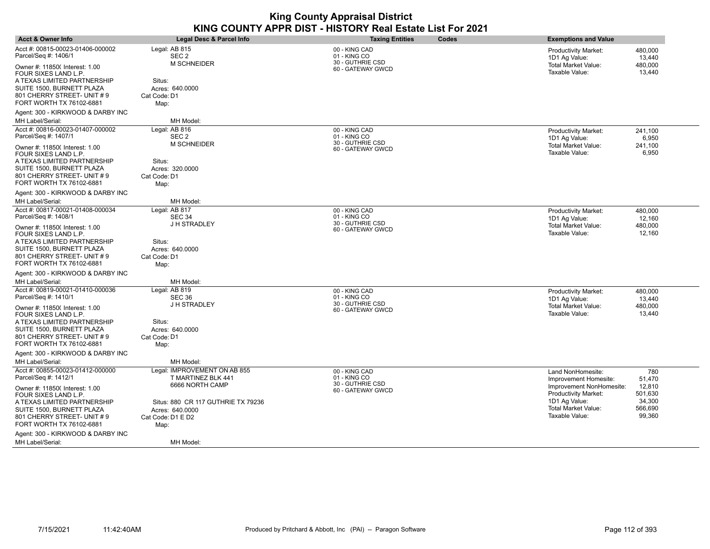| <b>Acct &amp; Owner Info</b>                                                                                       | <b>Legal Desc &amp; Parcel Info</b>                | <b>Taxing Entities</b>                            | Codes | <b>Exemptions and Value</b>                             |                   |
|--------------------------------------------------------------------------------------------------------------------|----------------------------------------------------|---------------------------------------------------|-------|---------------------------------------------------------|-------------------|
| Acct #: 00815-00023-01406-000002<br>Parcel/Seq #: 1406/1                                                           | Legal: AB 815<br>SEC <sub>2</sub>                  | 00 - KING CAD<br>01 - KING CO<br>30 - GUTHRIE CSD |       | Productivity Market:<br>1D1 Ag Value:                   | 480,000<br>13,440 |
| Owner #: 11850( Interest: 1.00<br>FOUR SIXES LAND L.P.                                                             | M SCHNEIDER                                        | 60 - GATEWAY GWCD                                 |       | <b>Total Market Value:</b><br>Taxable Value:            | 480,000<br>13,440 |
| A TEXAS LIMITED PARTNERSHIP<br>SUITE 1500, BURNETT PLAZA<br>801 CHERRY STREET- UNIT #9<br>FORT WORTH TX 76102-6881 | Situs:<br>Acres: 640,0000<br>Cat Code: D1<br>Map:  |                                                   |       |                                                         |                   |
| Agent: 300 - KIRKWOOD & DARBY INC<br>MH Label/Serial:                                                              | MH Model:                                          |                                                   |       |                                                         |                   |
| Acct #: 00816-00023-01407-000002                                                                                   | Legal: AB 816                                      | 00 - KING CAD                                     |       | Productivity Market:                                    | 241,100           |
| Parcel/Seq #: 1407/1                                                                                               | SEC <sub>2</sub>                                   | 01 - KING CO                                      |       | 1D1 Ag Value:                                           | 6,950             |
| Owner #: 11850( Interest: 1.00<br>FOUR SIXES LAND L.P.                                                             | M SCHNEIDER                                        | 30 - GUTHRIE CSD<br>60 - GATEWAY GWCD             |       | <b>Total Market Value:</b><br>Taxable Value:            | 241,100<br>6,950  |
| A TEXAS LIMITED PARTNERSHIP                                                                                        | Situs:                                             |                                                   |       |                                                         |                   |
| SUITE 1500, BURNETT PLAZA                                                                                          | Acres: 320,0000                                    |                                                   |       |                                                         |                   |
| 801 CHERRY STREET- UNIT #9<br>FORT WORTH TX 76102-6881                                                             | Cat Code: D1<br>Map:                               |                                                   |       |                                                         |                   |
| Agent: 300 - KIRKWOOD & DARBY INC                                                                                  |                                                    |                                                   |       |                                                         |                   |
| MH Label/Serial:                                                                                                   | MH Model:                                          |                                                   |       |                                                         |                   |
| Acct #: 00817-00021-01408-000034                                                                                   | Legal: AB 817                                      | 00 - KING CAD                                     |       | <b>Productivity Market:</b>                             | 480,000           |
| Parcel/Seq #: 1408/1                                                                                               | <b>SEC 34</b>                                      | 01 - KING CO                                      |       | 1D1 Ag Value:                                           | 12,160            |
| Owner #: 11850( Interest: 1.00<br>FOUR SIXES LAND L.P.                                                             | J H STRADLEY                                       | 30 - GUTHRIE CSD<br>60 - GATEWAY GWCD             |       | <b>Total Market Value:</b><br>Taxable Value:            | 480,000<br>12,160 |
| A TEXAS LIMITED PARTNERSHIP                                                                                        | Situs:                                             |                                                   |       |                                                         |                   |
| SUITE 1500, BURNETT PLAZA                                                                                          | Acres: 640,0000                                    |                                                   |       |                                                         |                   |
| 801 CHERRY STREET- UNIT #9                                                                                         | Cat Code: D1                                       |                                                   |       |                                                         |                   |
| FORT WORTH TX 76102-6881                                                                                           | Map:                                               |                                                   |       |                                                         |                   |
| Agent: 300 - KIRKWOOD & DARBY INC                                                                                  |                                                    |                                                   |       |                                                         |                   |
| MH Label/Serial:                                                                                                   | MH Model:                                          |                                                   |       |                                                         |                   |
| Acct #: 00819-00021-01410-000036<br>Parcel/Seq #: 1410/1                                                           | Legal: AB 819<br>SEC 36                            | 00 - KING CAD<br>01 - KING CO                     |       | Productivity Market:<br>1D1 Ag Value:                   | 480,000<br>13,440 |
| Owner #: 11850( Interest: 1.00<br>FOUR SIXES LAND L.P.                                                             | J H STRADLEY                                       | 30 - GUTHRIE CSD<br>60 - GATEWAY GWCD             |       | Total Market Value:<br>Taxable Value:                   | 480,000<br>13,440 |
| A TEXAS LIMITED PARTNERSHIP                                                                                        | Situs:                                             |                                                   |       |                                                         |                   |
| SUITE 1500, BURNETT PLAZA                                                                                          | Acres: 640.0000                                    |                                                   |       |                                                         |                   |
| 801 CHERRY STREET- UNIT #9<br>FORT WORTH TX 76102-6881                                                             | Cat Code: D1<br>Map:                               |                                                   |       |                                                         |                   |
| Agent: 300 - KIRKWOOD & DARBY INC                                                                                  |                                                    |                                                   |       |                                                         |                   |
| MH Label/Serial:                                                                                                   | MH Model:                                          |                                                   |       |                                                         |                   |
| Acct #: 00855-00023-01412-000000<br>Parcel/Seq #: 1412/1                                                           | Legal: IMPROVEMENT ON AB 855<br>T MARTINEZ BLK 441 | 00 - KING CAD<br>01 - KING CO                     |       | Land NonHomesite:<br>Improvement Homesite:              | 780<br>51,470     |
| Owner #: 11850( Interest: 1.00                                                                                     | 6666 NORTH CAMP                                    | 30 - GUTHRIE CSD<br>60 - GATEWAY GWCD             |       | Improvement NonHomesite:<br><b>Productivity Market:</b> | 12,810<br>501,630 |
| FOUR SIXES LAND L.P.<br>A TEXAS LIMITED PARTNERSHIP                                                                | Situs: 880 CR 117 GUTHRIE TX 79236                 |                                                   |       | 1D1 Ag Value:                                           | 34,300            |
| SUITE 1500, BURNETT PLAZA                                                                                          | Acres: 640.0000                                    |                                                   |       | <b>Total Market Value:</b>                              | 566,690           |
| 801 CHERRY STREET- UNIT #9                                                                                         | Cat Code: D1 E D2                                  |                                                   |       | Taxable Value:                                          | 99,360            |
| FORT WORTH TX 76102-6881                                                                                           | Map:                                               |                                                   |       |                                                         |                   |
| Agent: 300 - KIRKWOOD & DARBY INC                                                                                  |                                                    |                                                   |       |                                                         |                   |
| MH Label/Serial:                                                                                                   | MH Model:                                          |                                                   |       |                                                         |                   |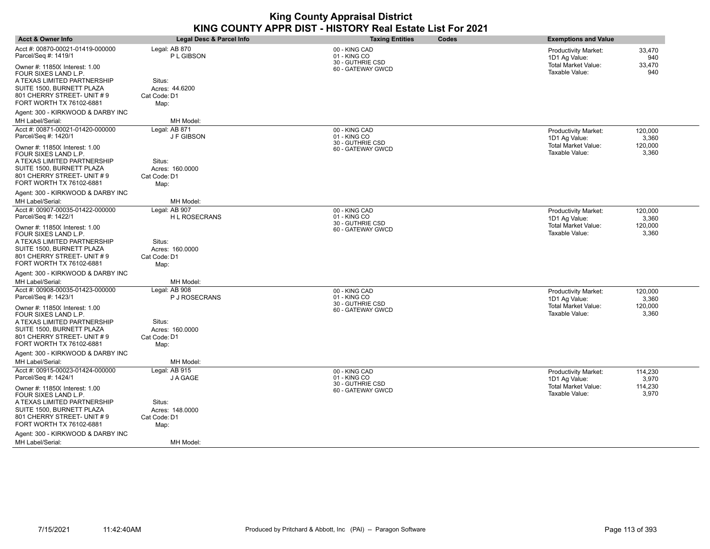| <b>Acct &amp; Owner Info</b>                                                                                                                                                                          | Legal Desc & Parcel Info                                           | <b>Taxing Entities</b><br>Codes                       | <b>Exemptions and Value</b>                                                         |
|-------------------------------------------------------------------------------------------------------------------------------------------------------------------------------------------------------|--------------------------------------------------------------------|-------------------------------------------------------|-------------------------------------------------------------------------------------|
| Acct #: 00870-00021-01419-000000<br>Parcel/Seq #: 1419/1                                                                                                                                              | Legal: AB 870<br>P L GIBSON                                        | 00 - KING CAD<br>01 - KING CO                         | 33,470<br><b>Productivity Market:</b><br>1D1 Ag Value:<br>940                       |
| Owner #: 11850( Interest: 1.00<br>FOUR SIXES LAND L.P.<br>A TEXAS LIMITED PARTNERSHIP<br>SUITE 1500, BURNETT PLAZA<br>801 CHERRY STREET- UNIT # 9<br>FORT WORTH TX 76102-6881                         | Situs:<br>Acres: 44.6200<br>Cat Code: D1<br>Map:                   | 30 - GUTHRIE CSD<br>60 - GATEWAY GWCD                 | Total Market Value:<br>33,470<br>Taxable Value:<br>940                              |
| Agent: 300 - KIRKWOOD & DARBY INC<br>MH Label/Serial:                                                                                                                                                 | MH Model:                                                          |                                                       |                                                                                     |
| Acct #: 00871-00021-01420-000000<br>Parcel/Seq #: 1420/1                                                                                                                                              | Legal: AB 871<br>J F GIBSON                                        | 00 - KING CAD<br>01 - KING CO                         | <b>Productivity Market:</b><br>120,000<br>3,360<br>1D1 Ag Value:                    |
| Owner #: 11850( Interest: 1.00<br>FOUR SIXES LAND L.P.                                                                                                                                                |                                                                    | 30 - GUTHRIE CSD<br>60 - GATEWAY GWCD                 | Total Market Value:<br>120,000<br>Taxable Value:<br>3,360                           |
| A TEXAS LIMITED PARTNERSHIP<br>SUITE 1500, BURNETT PLAZA<br>801 CHERRY STREET- UNIT # 9<br>FORT WORTH TX 76102-6881                                                                                   | Situs:<br>Acres: 160.0000<br>Cat Code: D1<br>Map:                  |                                                       |                                                                                     |
| Agent: 300 - KIRKWOOD & DARBY INC                                                                                                                                                                     |                                                                    |                                                       |                                                                                     |
| MH Label/Serial:                                                                                                                                                                                      | MH Model:                                                          |                                                       |                                                                                     |
| Acct #: 00907-00035-01422-000000<br>Parcel/Seq #: 1422/1                                                                                                                                              | Legal: AB 907<br>H L ROSECRANS                                     | 00 - KING CAD<br>01 - KING CO<br>30 - GUTHRIE CSD     | <b>Productivity Market:</b><br>120.000<br>1D1 Ag Value:<br>3,360                    |
| Owner #: 11850( Interest: 1.00<br>FOUR SIXES LAND L.P.<br>A TEXAS LIMITED PARTNERSHIP<br>SUITE 1500, BURNETT PLAZA<br>801 CHERRY STREET- UNIT # 9                                                     | Situs:<br>Acres: 160.0000<br>Cat Code: D1                          | 60 - GATEWAY GWCD                                     | <b>Total Market Value:</b><br>120,000<br>Taxable Value:<br>3,360                    |
| FORT WORTH TX 76102-6881                                                                                                                                                                              | Map:                                                               |                                                       |                                                                                     |
| Agent: 300 - KIRKWOOD & DARBY INC<br><b>MH Label/Serial:</b>                                                                                                                                          | MH Model:                                                          |                                                       |                                                                                     |
| Acct #: 00908-00035-01423-000000                                                                                                                                                                      | Legal: AB 908                                                      | 00 - KING CAD                                         | <b>Productivity Market:</b><br>120,000                                              |
| Parcel/Seq #: 1423/1<br>Owner #: 11850( Interest: 1.00<br>FOUR SIXES LAND L.P.<br>A TEXAS LIMITED PARTNERSHIP<br>SUITE 1500, BURNETT PLAZA<br>801 CHERRY STREET- UNIT # 9<br>FORT WORTH TX 76102-6881 | P J ROSECRANS<br>Situs:<br>Acres: 160.0000<br>Cat Code: D1<br>Map: | 01 - KING CO<br>30 - GUTHRIE CSD<br>60 - GATEWAY GWCD | 3,360<br>1D1 Ag Value:<br>Total Market Value:<br>120,000<br>Taxable Value:<br>3,360 |
| Agent: 300 - KIRKWOOD & DARBY INC                                                                                                                                                                     |                                                                    |                                                       |                                                                                     |
| MH Label/Serial:                                                                                                                                                                                      | MH Model:                                                          |                                                       |                                                                                     |
| Acct #: 00915-00023-01424-000000<br>Parcel/Seq #: 1424/1                                                                                                                                              | Legal: AB 915<br>J A GAGE                                          | 00 - KING CAD<br>01 - KING CO                         | 114,230<br><b>Productivity Market:</b><br>1D1 Ag Value:<br>3,970                    |
| Owner #: 11850( Interest: 1.00<br>FOUR SIXES LAND L.P.<br>A TEXAS LIMITED PARTNERSHIP<br>SUITE 1500, BURNETT PLAZA<br>801 CHERRY STREET- UNIT # 9<br>FORT WORTH TX 76102-6881                         | Situs:<br>Acres: 148.0000<br>Cat Code: D1<br>Map:                  | 30 - GUTHRIE CSD<br>60 - GATEWAY GWCD                 | <b>Total Market Value:</b><br>114,230<br>Taxable Value:<br>3,970                    |
| Agent: 300 - KIRKWOOD & DARBY INC                                                                                                                                                                     |                                                                    |                                                       |                                                                                     |
| <b>MH Label/Serial:</b>                                                                                                                                                                               | MH Model:                                                          |                                                       |                                                                                     |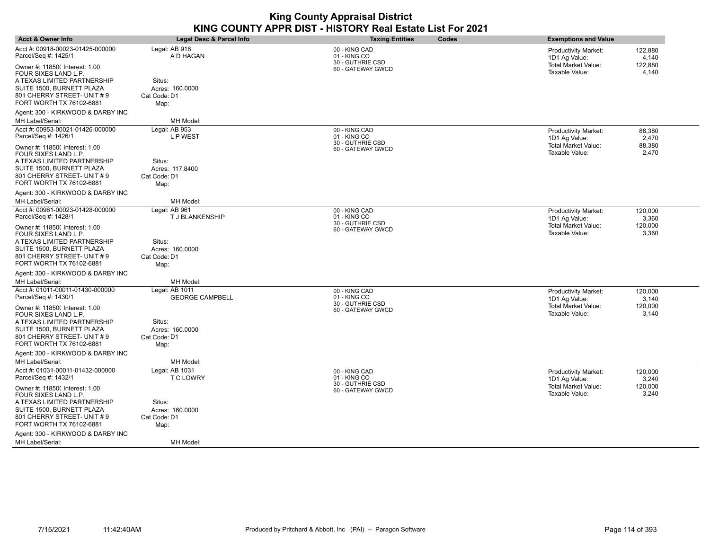| <b>Acct &amp; Owner Info</b>                                                                                                                                                                                                             | <b>Legal Desc &amp; Parcel Info</b>                                                           | <b>Taxing Entities</b><br>Codes                                        | <b>Exemptions and Value</b>                                                                                                   |
|------------------------------------------------------------------------------------------------------------------------------------------------------------------------------------------------------------------------------------------|-----------------------------------------------------------------------------------------------|------------------------------------------------------------------------|-------------------------------------------------------------------------------------------------------------------------------|
| Acct #: 00918-00023-01425-000000<br>Parcel/Seq #: 1425/1                                                                                                                                                                                 | Legal: AB 918<br>A D HAGAN                                                                    | 00 - KING CAD<br>01 - KING CO<br>30 - GUTHRIE CSD                      | 122,880<br><b>Productivity Market:</b><br>1D1 Ag Value:<br>4,140                                                              |
| Owner #: 11850( Interest: 1.00<br>FOUR SIXES LAND L.P.<br>A TEXAS LIMITED PARTNERSHIP<br>SUITE 1500, BURNETT PLAZA<br>801 CHERRY STREET- UNIT #9<br>FORT WORTH TX 76102-6881                                                             | Situs:<br>Acres: 160.0000<br>Cat Code: D1<br>Map:                                             | 60 - GATEWAY GWCD                                                      | Total Market Value:<br>122,880<br>Taxable Value:<br>4,140                                                                     |
| Agent: 300 - KIRKWOOD & DARBY INC<br>MH Label/Serial:                                                                                                                                                                                    | MH Model:                                                                                     |                                                                        |                                                                                                                               |
| Acct #: 00953-00021-01426-000000<br>Parcel/Seq #: 1426/1                                                                                                                                                                                 | Legal: AB 953<br>L P WEST                                                                     | 00 - KING CAD<br>01 - KING CO                                          | 88,380<br><b>Productivity Market:</b><br>2,470<br>1D1 Ag Value:                                                               |
| Owner #: 11850( Interest: 1.00<br>FOUR SIXES LAND L.P.<br>A TEXAS LIMITED PARTNERSHIP<br>SUITE 1500, BURNETT PLAZA<br>801 CHERRY STREET- UNIT #9<br>FORT WORTH TX 76102-6881                                                             | Situs:<br>Acres: 117.8400<br>Cat Code: D1<br>Map:                                             | 30 - GUTHRIE CSD<br>60 - GATEWAY GWCD                                  | Total Market Value:<br>88,380<br>Taxable Value:<br>2,470                                                                      |
| Agent: 300 - KIRKWOOD & DARBY INC                                                                                                                                                                                                        |                                                                                               |                                                                        |                                                                                                                               |
| MH Label/Serial:                                                                                                                                                                                                                         | MH Model:                                                                                     |                                                                        |                                                                                                                               |
| Acct #: 00961-00023-01428-000000<br>Parcel/Seq #: 1428/1                                                                                                                                                                                 | Legal: AB 961<br>T J BLANKENSHIP                                                              | 00 - KING CAD<br>01 - KING CO<br>30 - GUTHRIE CSD                      | <b>Productivity Market:</b><br>120.000<br>1D1 Ag Value:<br>3,360                                                              |
| Owner #: 11850( Interest: 1.00<br>FOUR SIXES LAND L.P.<br>A TEXAS LIMITED PARTNERSHIP<br>SUITE 1500, BURNETT PLAZA<br>801 CHERRY STREET- UNIT #9<br>FORT WORTH TX 76102-6881                                                             | Situs:<br>Acres: 160.0000<br>Cat Code: D1<br>Map:                                             | 60 - GATEWAY GWCD                                                      | <b>Total Market Value:</b><br>120,000<br>Taxable Value:<br>3,360                                                              |
| Agent: 300 - KIRKWOOD & DARBY INC                                                                                                                                                                                                        |                                                                                               |                                                                        |                                                                                                                               |
| MH Label/Serial:                                                                                                                                                                                                                         | MH Model:                                                                                     |                                                                        |                                                                                                                               |
| Acct #: 01011-00011-01430-000000<br>Parcel/Seq #: 1430/1<br>Owner #: 11850( Interest: 1.00<br>FOUR SIXES LAND L.P.<br>A TEXAS LIMITED PARTNERSHIP<br>SUITE 1500, BURNETT PLAZA<br>801 CHERRY STREET- UNIT #9<br>FORT WORTH TX 76102-6881 | Legal: AB 1011<br><b>GEORGE CAMPBELL</b><br>Situs:<br>Acres: 160.0000<br>Cat Code: D1<br>Map: | 00 - KING CAD<br>01 - KING CO<br>30 - GUTHRIE CSD<br>60 - GATEWAY GWCD | 120,000<br><b>Productivity Market:</b><br>3,140<br>1D1 Ag Value:<br>Total Market Value:<br>120,000<br>Taxable Value:<br>3,140 |
| Agent: 300 - KIRKWOOD & DARBY INC                                                                                                                                                                                                        |                                                                                               |                                                                        |                                                                                                                               |
| MH Label/Serial:                                                                                                                                                                                                                         | MH Model:                                                                                     |                                                                        |                                                                                                                               |
| Acct #: 01031-00011-01432-000000<br>Parcel/Seq #: 1432/1                                                                                                                                                                                 | Legal: AB 1031<br>T C LOWRY                                                                   | 00 - KING CAD<br>01 - KING CO<br>30 - GUTHRIE CSD                      | <b>Productivity Market:</b><br>120,000<br>1D1 Ag Value:<br>3,240                                                              |
| Owner #: 11850( Interest: 1.00<br>FOUR SIXES LAND L.P.<br>A TEXAS LIMITED PARTNERSHIP<br>SUITE 1500, BURNETT PLAZA<br>801 CHERRY STREET- UNIT #9<br>FORT WORTH TX 76102-6881                                                             | Situs:<br>Acres: 160.0000<br>Cat Code: D1<br>Map:                                             | 60 - GATEWAY GWCD                                                      | <b>Total Market Value:</b><br>120,000<br>Taxable Value:<br>3,240                                                              |
| Agent: 300 - KIRKWOOD & DARBY INC                                                                                                                                                                                                        |                                                                                               |                                                                        |                                                                                                                               |
| MH Label/Serial:                                                                                                                                                                                                                         | MH Model:                                                                                     |                                                                        |                                                                                                                               |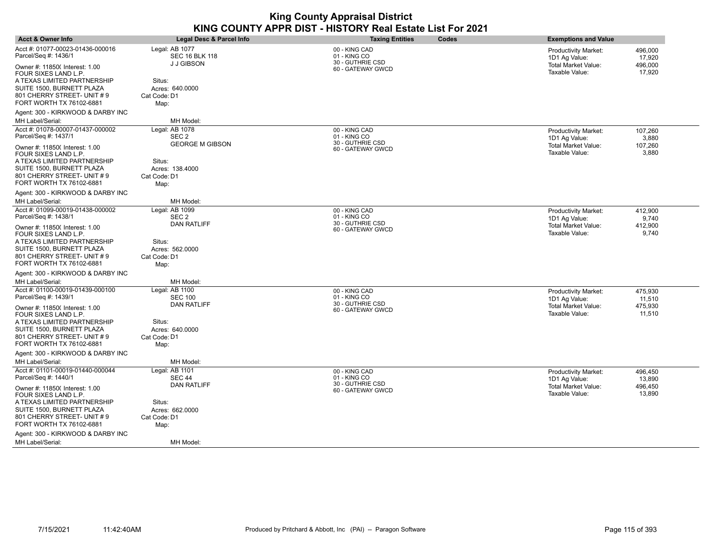| <b>Acct &amp; Owner Info</b>                                                                                                                      | Legal Desc & Parcel Info                                               | <b>Taxing Entities</b>                                                 | Codes | <b>Exemptions and Value</b>                                                    |                                        |
|---------------------------------------------------------------------------------------------------------------------------------------------------|------------------------------------------------------------------------|------------------------------------------------------------------------|-------|--------------------------------------------------------------------------------|----------------------------------------|
| Acct #: 01077-00023-01436-000016<br>Parcel/Seq #: 1436/1<br>Owner #: 11850( Interest: 1.00<br>FOUR SIXES LAND L.P.<br>A TEXAS LIMITED PARTNERSHIP | Legal: AB 1077<br><b>SEC 16 BLK 118</b><br><b>J J GIBSON</b><br>Situs: | 00 - KING CAD<br>01 - KING CO<br>30 - GUTHRIE CSD<br>60 - GATEWAY GWCD |       | Productivity Market:<br>1D1 Ag Value:<br>Total Market Value:<br>Taxable Value: | 496,000<br>17,920<br>496,000<br>17,920 |
| SUITE 1500, BURNETT PLAZA<br>801 CHERRY STREET- UNIT #9<br>FORT WORTH TX 76102-6881                                                               | Acres: 640,0000<br>Cat Code: D1<br>Map:                                |                                                                        |       |                                                                                |                                        |
| Agent: 300 - KIRKWOOD & DARBY INC<br>MH Label/Serial:                                                                                             | MH Model:                                                              |                                                                        |       |                                                                                |                                        |
| Acct #: 01078-00007-01437-000002                                                                                                                  | Legal: AB 1078                                                         | 00 - KING CAD                                                          |       | <b>Productivity Market:</b>                                                    | 107,260                                |
| Parcel/Seq #: 1437/1                                                                                                                              | SEC <sub>2</sub>                                                       | 01 - KING CO                                                           |       | 1D1 Ag Value:                                                                  | 3,880                                  |
| Owner #: 11850( Interest: 1.00<br>FOUR SIXES LAND L.P.                                                                                            | <b>GEORGE M GIBSON</b>                                                 | 30 - GUTHRIE CSD<br>60 - GATEWAY GWCD                                  |       | <b>Total Market Value:</b><br>Taxable Value:                                   | 107,260<br>3,880                       |
| A TEXAS LIMITED PARTNERSHIP                                                                                                                       | Situs:                                                                 |                                                                        |       |                                                                                |                                        |
| SUITE 1500, BURNETT PLAZA<br>801 CHERRY STREET- UNIT #9<br>FORT WORTH TX 76102-6881                                                               | Acres: 138,4000<br>Cat Code: D1<br>Map:                                |                                                                        |       |                                                                                |                                        |
| Agent: 300 - KIRKWOOD & DARBY INC                                                                                                                 |                                                                        |                                                                        |       |                                                                                |                                        |
| MH Label/Serial:                                                                                                                                  | MH Model:                                                              |                                                                        |       |                                                                                |                                        |
| Acct #: 01099-00019-01438-000002<br>Parcel/Seq #: 1438/1                                                                                          | Legal: AB 1099<br>SEC <sub>2</sub>                                     | 00 - KING CAD<br>01 - KING CO                                          |       | <b>Productivity Market:</b><br>1D1 Ag Value:                                   | 412.900<br>9,740                       |
| Owner #: 11850( Interest: 1.00<br>FOUR SIXES LAND L.P.                                                                                            | DAN RATLIFF                                                            | 30 - GUTHRIE CSD<br>60 - GATEWAY GWCD                                  |       | Total Market Value:<br>Taxable Value:                                          | 412,900<br>9,740                       |
| A TEXAS LIMITED PARTNERSHIP<br>SUITE 1500, BURNETT PLAZA<br>801 CHERRY STREET- UNIT #9                                                            | Situs:<br>Acres: 562.0000<br>Cat Code: D1                              |                                                                        |       |                                                                                |                                        |
| FORT WORTH TX 76102-6881                                                                                                                          | Map:                                                                   |                                                                        |       |                                                                                |                                        |
| Agent: 300 - KIRKWOOD & DARBY INC                                                                                                                 |                                                                        |                                                                        |       |                                                                                |                                        |
| MH Label/Serial:                                                                                                                                  | MH Model:                                                              |                                                                        |       |                                                                                |                                        |
| Acct #: 01100-00019-01439-000100<br>Parcel/Seq #: 1439/1                                                                                          | Legal: AB 1100<br><b>SEC 100</b><br><b>DAN RATLIFF</b>                 | 00 - KING CAD<br>01 - KING CO<br>30 - GUTHRIE CSD                      |       | <b>Productivity Market:</b><br>1D1 Ag Value:<br><b>Total Market Value:</b>     | 475,930<br>11,510<br>475,930           |
| Owner #: 11850( Interest: 1.00<br>FOUR SIXES LAND L.P.                                                                                            |                                                                        | 60 - GATEWAY GWCD                                                      |       | Taxable Value:                                                                 | 11,510                                 |
| A TEXAS LIMITED PARTNERSHIP<br>SUITE 1500, BURNETT PLAZA                                                                                          | Situs:<br>Acres: 640.0000                                              |                                                                        |       |                                                                                |                                        |
| 801 CHERRY STREET- UNIT #9<br>FORT WORTH TX 76102-6881                                                                                            | Cat Code: D1<br>Map:                                                   |                                                                        |       |                                                                                |                                        |
| Agent: 300 - KIRKWOOD & DARBY INC                                                                                                                 |                                                                        |                                                                        |       |                                                                                |                                        |
| MH Label/Serial:                                                                                                                                  | MH Model:                                                              |                                                                        |       |                                                                                |                                        |
| Acct #: 01101-00019-01440-000044<br>Parcel/Seq #: 1440/1                                                                                          | Legal: AB 1101<br>SEC 44                                               | 00 - KING CAD<br>01 - KING CO                                          |       | Productivity Market:<br>1D1 Ag Value:                                          | 496,450<br>13,890                      |
| Owner #: 11850( Interest: 1.00<br>FOUR SIXES LAND L.P.                                                                                            | <b>DAN RATLIFF</b>                                                     | 30 - GUTHRIE CSD<br>60 - GATEWAY GWCD                                  |       | <b>Total Market Value:</b><br>Taxable Value:                                   | 496,450<br>13,890                      |
| A TEXAS LIMITED PARTNERSHIP                                                                                                                       | Situs:                                                                 |                                                                        |       |                                                                                |                                        |
| SUITE 1500, BURNETT PLAZA<br>801 CHERRY STREET- UNIT #9<br>FORT WORTH TX 76102-6881                                                               | Acres: 662.0000<br>Cat Code: D1<br>Map:                                |                                                                        |       |                                                                                |                                        |
| Agent: 300 - KIRKWOOD & DARBY INC                                                                                                                 |                                                                        |                                                                        |       |                                                                                |                                        |
| MH Label/Serial:                                                                                                                                  | MH Model:                                                              |                                                                        |       |                                                                                |                                        |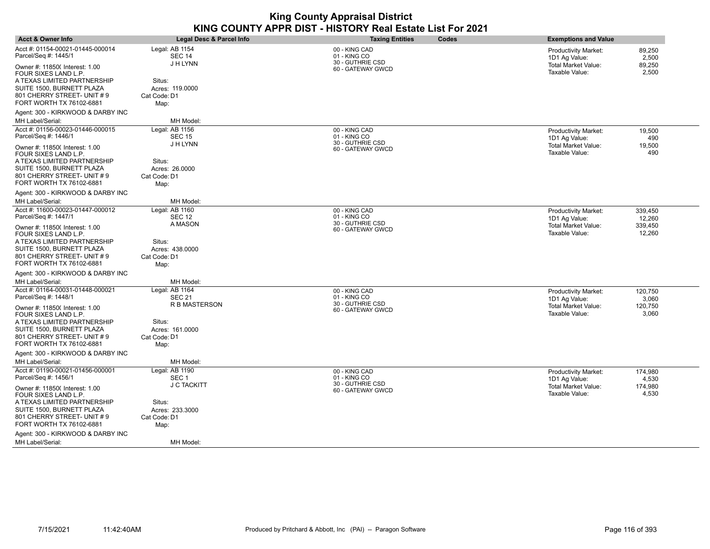| <b>Acct &amp; Owner Info</b>                                                           | <b>Legal Desc &amp; Parcel Info</b>       | <b>Taxing Entities</b>                            | Codes | <b>Exemptions and Value</b>                  |                   |
|----------------------------------------------------------------------------------------|-------------------------------------------|---------------------------------------------------|-------|----------------------------------------------|-------------------|
| Acct #: 01154-00021-01445-000014<br>Parcel/Seq #: 1445/1                               | Legal: AB 1154<br><b>SEC 14</b>           | 00 - KING CAD<br>01 - KING CO<br>30 - GUTHRIE CSD |       | <b>Productivity Market:</b><br>1D1 Ag Value: | 89,250<br>2,500   |
| Owner #: 11850( Interest: 1.00<br>FOUR SIXES LAND L.P.                                 | J H LYNN                                  | 60 - GATEWAY GWCD                                 |       | Total Market Value:<br>Taxable Value:        | 89,250<br>2,500   |
| A TEXAS LIMITED PARTNERSHIP<br>SUITE 1500, BURNETT PLAZA<br>801 CHERRY STREET- UNIT #9 | Situs:<br>Acres: 119.0000<br>Cat Code: D1 |                                                   |       |                                              |                   |
| FORT WORTH TX 76102-6881                                                               | Map:                                      |                                                   |       |                                              |                   |
| Agent: 300 - KIRKWOOD & DARBY INC<br>MH Label/Serial:                                  | MH Model:                                 |                                                   |       |                                              |                   |
| Acct #: 01156-00023-01446-000015<br>Parcel/Seq #: 1446/1                               | Legal: AB 1156<br><b>SEC 15</b>           | 00 - KING CAD<br>01 - KING CO                     |       | Productivity Market:<br>1D1 Ag Value:        | 19,500<br>490     |
| Owner #: 11850( Interest: 1.00<br>FOUR SIXES LAND L.P.                                 | J H LYNN                                  | 30 - GUTHRIE CSD<br>60 - GATEWAY GWCD             |       | <b>Total Market Value:</b><br>Taxable Value: | 19,500<br>490     |
| A TEXAS LIMITED PARTNERSHIP<br>SUITE 1500, BURNETT PLAZA                               | Situs:                                    |                                                   |       |                                              |                   |
| 801 CHERRY STREET- UNIT #9<br>FORT WORTH TX 76102-6881                                 | Acres: 26,0000<br>Cat Code: D1<br>Map:    |                                                   |       |                                              |                   |
| Agent: 300 - KIRKWOOD & DARBY INC                                                      |                                           |                                                   |       |                                              |                   |
| MH Label/Serial:                                                                       | MH Model:                                 |                                                   |       |                                              |                   |
| Acct #: 11600-00023-01447-000012<br>Parcel/Seq #: 1447/1                               | Legal: AB 1160<br><b>SEC 12</b>           | 00 - KING CAD<br>01 - KING CO                     |       | <b>Productivity Market:</b><br>1D1 Ag Value: | 339,450<br>12,260 |
| Owner #: 11850( Interest: 1.00<br>FOUR SIXES LAND L.P.                                 | A MASON                                   | 30 - GUTHRIE CSD<br>60 - GATEWAY GWCD             |       | <b>Total Market Value:</b><br>Taxable Value: | 339,450<br>12,260 |
| A TEXAS LIMITED PARTNERSHIP<br>SUITE 1500, BURNETT PLAZA<br>801 CHERRY STREET- UNIT #9 | Situs:<br>Acres: 438.0000                 |                                                   |       |                                              |                   |
| FORT WORTH TX 76102-6881                                                               | Cat Code: D1<br>Map:                      |                                                   |       |                                              |                   |
| Agent: 300 - KIRKWOOD & DARBY INC                                                      |                                           |                                                   |       |                                              |                   |
| MH Label/Serial:                                                                       | MH Model:                                 |                                                   |       |                                              |                   |
| Acct #: 01164-00031-01448-000021<br>Parcel/Seq #: 1448/1                               | Legal: AB 1164<br><b>SEC 21</b>           | 00 - KING CAD<br>01 - KING CO<br>30 - GUTHRIE CSD |       | <b>Productivity Market:</b><br>1D1 Ag Value: | 120,750<br>3,060  |
| Owner #: 11850( Interest: 1.00<br>FOUR SIXES LAND L.P.                                 | R B MASTERSON                             | 60 - GATEWAY GWCD                                 |       | <b>Total Market Value:</b><br>Taxable Value: | 120,750<br>3,060  |
| A TEXAS LIMITED PARTNERSHIP<br>SUITE 1500, BURNETT PLAZA                               | Situs:<br>Acres: 161,0000                 |                                                   |       |                                              |                   |
| 801 CHERRY STREET- UNIT #9<br>FORT WORTH TX 76102-6881                                 | Cat Code: D1<br>Map:                      |                                                   |       |                                              |                   |
| Agent: 300 - KIRKWOOD & DARBY INC<br>MH Label/Serial:                                  |                                           |                                                   |       |                                              |                   |
| Acct #: 01190-00021-01456-000001                                                       | MH Model:<br>Legal: AB 1190               | 00 - KING CAD                                     |       |                                              | 174,980           |
| Parcel/Seq #: 1456/1                                                                   | SEC <sub>1</sub>                          | 01 - KING CO<br>30 - GUTHRIE CSD                  |       | <b>Productivity Market:</b><br>1D1 Ag Value: | 4,530             |
| Owner #: 11850( Interest: 1.00<br>FOUR SIXES LAND L.P.                                 | J C TACKITT                               | 60 - GATEWAY GWCD                                 |       | <b>Total Market Value:</b><br>Taxable Value: | 174,980<br>4,530  |
| A TEXAS LIMITED PARTNERSHIP                                                            | Situs:                                    |                                                   |       |                                              |                   |
| SUITE 1500, BURNETT PLAZA<br>801 CHERRY STREET- UNIT #9<br>FORT WORTH TX 76102-6881    | Acres: 233.3000<br>Cat Code: D1<br>Map:   |                                                   |       |                                              |                   |
| Agent: 300 - KIRKWOOD & DARBY INC                                                      |                                           |                                                   |       |                                              |                   |
| MH Label/Serial:                                                                       | MH Model:                                 |                                                   |       |                                              |                   |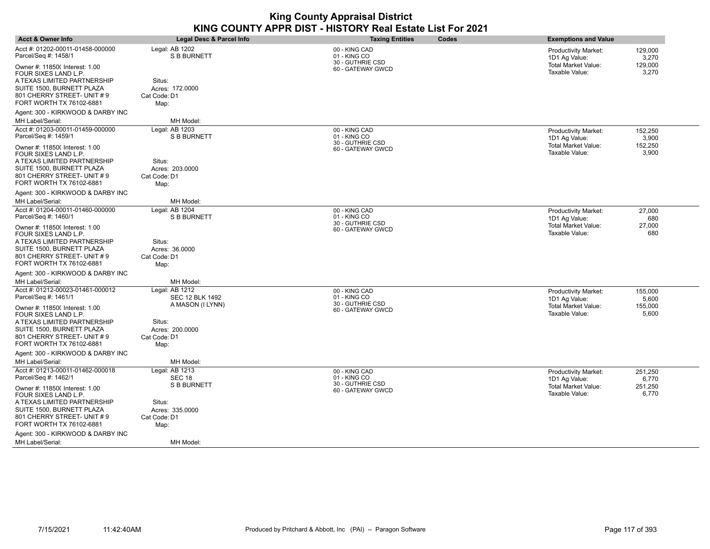| <b>Acct &amp; Owner Info</b>                                                                                                                                                 | Legal Desc & Parcel Info                                              | <b>Taxing Entities</b>                                                 | Codes | <b>Exemptions and Value</b>                                                                  |                                      |
|------------------------------------------------------------------------------------------------------------------------------------------------------------------------------|-----------------------------------------------------------------------|------------------------------------------------------------------------|-------|----------------------------------------------------------------------------------------------|--------------------------------------|
| Acct #: 01202-00011-01458-000000<br>Parcel/Seq #: 1458/1<br>Owner #: 11850( Interest: 1.00<br>FOUR SIXES LAND L.P.                                                           | Legal: AB 1202<br><b>S B BURNETT</b>                                  | 00 - KING CAD<br>01 - KING CO<br>30 - GUTHRIE CSD<br>60 - GATEWAY GWCD |       | <b>Productivity Market:</b><br>1D1 Ag Value:<br><b>Total Market Value:</b><br>Taxable Value: | 129,000<br>3,270<br>129,000<br>3,270 |
| A TEXAS LIMITED PARTNERSHIP<br>SUITE 1500, BURNETT PLAZA<br>801 CHERRY STREET- UNIT #9<br>FORT WORTH TX 76102-6881                                                           | Situs:<br>Acres: 172,0000<br>Cat Code: D1<br>Map:                     |                                                                        |       |                                                                                              |                                      |
| Agent: 300 - KIRKWOOD & DARBY INC<br>MH Label/Serial:                                                                                                                        | MH Model:                                                             |                                                                        |       |                                                                                              |                                      |
| Acct #: 01203-00011-01459-000000<br>Parcel/Seq #: 1459/1                                                                                                                     | Legal: AB 1203<br><b>S B BURNETT</b>                                  | 00 - KING CAD<br>01 - KING CO                                          |       | <b>Productivity Market:</b><br>1D1 Ag Value:                                                 | 152,250<br>3,900                     |
| Owner #: 11850( Interest: 1.00<br>FOUR SIXES LAND L.P.                                                                                                                       |                                                                       | 30 - GUTHRIE CSD<br>60 - GATEWAY GWCD                                  |       | <b>Total Market Value:</b><br>Taxable Value:                                                 | 152,250<br>3,900                     |
| A TEXAS LIMITED PARTNERSHIP<br>SUITE 1500, BURNETT PLAZA<br>801 CHERRY STREET- UNIT #9<br>FORT WORTH TX 76102-6881                                                           | Situs:<br>Acres: 203.0000<br>Cat Code: D1<br>Map:                     |                                                                        |       |                                                                                              |                                      |
| Agent: 300 - KIRKWOOD & DARBY INC                                                                                                                                            |                                                                       |                                                                        |       |                                                                                              |                                      |
| MH Label/Serial:<br>Acct #: 01204-00011-01460-000000<br>Parcel/Seq #: 1460/1                                                                                                 | MH Model:<br>Legal: AB 1204<br><b>S B BURNETT</b>                     | 00 - KING CAD<br>01 - KING CO                                          |       | <b>Productivity Market:</b><br>1D1 Ag Value:                                                 | 27,000<br>680                        |
| Owner #: 11850( Interest: 1.00<br>FOUR SIXES LAND L.P.<br>A TEXAS LIMITED PARTNERSHIP<br>SUITE 1500, BURNETT PLAZA<br>801 CHERRY STREET- UNIT #9<br>FORT WORTH TX 76102-6881 | Situs:<br>Acres: 36.0000<br>Cat Code: D1<br>Map:                      | 30 - GUTHRIE CSD<br>60 - GATEWAY GWCD                                  |       | <b>Total Market Value:</b><br>Taxable Value:                                                 | 27,000<br>680                        |
| Agent: 300 - KIRKWOOD & DARBY INC<br>MH Label/Serial:                                                                                                                        | MH Model:                                                             |                                                                        |       |                                                                                              |                                      |
| Acct #: 01212-00023-01461-000012<br>Parcel/Seq #: 1461/1                                                                                                                     | Legal: AB 1212<br><b>SEC 12 BLK 1492</b>                              | 00 - KING CAD<br>01 - KING CO                                          |       | Productivity Market:<br>1D1 Ag Value:                                                        | 155,000<br>5,600                     |
| Owner #: 11850( Interest: 1.00<br>FOUR SIXES LAND L.P.<br>A TEXAS LIMITED PARTNERSHIP<br>SUITE 1500, BURNETT PLAZA<br>801 CHERRY STREET- UNIT #9<br>FORT WORTH TX 76102-6881 | A MASON (I LYNN)<br>Situs:<br>Acres: 200.0000<br>Cat Code: D1<br>Map: | 30 - GUTHRIE CSD<br>60 - GATEWAY GWCD                                  |       | Total Market Value:<br>Taxable Value:                                                        | 155,000<br>5,600                     |
| Agent: 300 - KIRKWOOD & DARBY INC                                                                                                                                            |                                                                       |                                                                        |       |                                                                                              |                                      |
| MH Label/Serial:                                                                                                                                                             | MH Model:                                                             |                                                                        |       |                                                                                              |                                      |
| Acct #: 01213-00011-01462-000018<br>Parcel/Seq #: 1462/1                                                                                                                     | Legal: AB 1213<br>SEC 18                                              | 00 - KING CAD<br>01 - KING CO<br>30 - GUTHRIE CSD                      |       | <b>Productivity Market:</b><br>1D1 Ag Value:                                                 | 251,250<br>6,770                     |
| Owner #: 11850( Interest: 1.00<br>FOUR SIXES LAND L.P.                                                                                                                       | S B BURNETT                                                           | 60 - GATEWAY GWCD                                                      |       | <b>Total Market Value:</b><br>Taxable Value:                                                 | 251,250<br>6,770                     |
| A TEXAS LIMITED PARTNERSHIP<br>SUITE 1500, BURNETT PLAZA<br>801 CHERRY STREET- UNIT #9<br>FORT WORTH TX 76102-6881                                                           | Situs:<br>Acres: 335.0000<br>Cat Code: D1<br>Map:                     |                                                                        |       |                                                                                              |                                      |
| Agent: 300 - KIRKWOOD & DARBY INC                                                                                                                                            |                                                                       |                                                                        |       |                                                                                              |                                      |
| MH Label/Serial:                                                                                                                                                             | MH Model:                                                             |                                                                        |       |                                                                                              |                                      |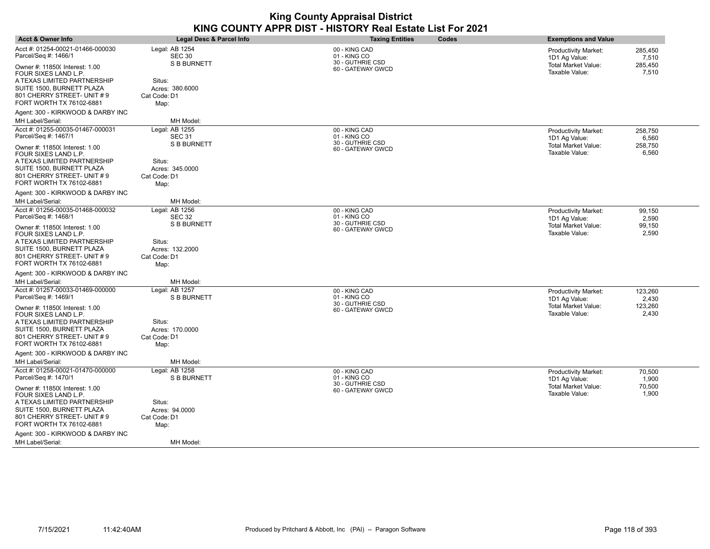| <b>Acct &amp; Owner Info</b>                                                                                                                                                                         | <b>Legal Desc &amp; Parcel Info</b>                                     | <b>Taxing Entities</b>                                | Codes | <b>Exemptions and Value</b>                                                    |                           |
|------------------------------------------------------------------------------------------------------------------------------------------------------------------------------------------------------|-------------------------------------------------------------------------|-------------------------------------------------------|-------|--------------------------------------------------------------------------------|---------------------------|
| Acct #: 01254-00021-01466-000030<br>Parcel/Seq #: 1466/1                                                                                                                                             | Legal: AB 1254<br><b>SEC 30</b><br><b>S B BURNETT</b>                   | 00 - KING CAD<br>01 - KING CO<br>30 - GUTHRIE CSD     |       | <b>Productivity Market:</b><br>1D1 Ag Value:                                   | 285,450<br>7,510          |
| Owner #: 11850( Interest: 1.00<br>FOUR SIXES LAND L.P.<br>A TEXAS LIMITED PARTNERSHIP<br>SUITE 1500, BURNETT PLAZA<br>801 CHERRY STREET- UNIT #9<br>FORT WORTH TX 76102-6881                         | Situs:<br>Acres: 380,6000<br>Cat Code: D1<br>Map:                       | 60 - GATEWAY GWCD                                     |       | <b>Total Market Value:</b><br>Taxable Value:                                   | 285,450<br>7,510          |
| Agent: 300 - KIRKWOOD & DARBY INC<br>MH Label/Serial:                                                                                                                                                | MH Model:                                                               |                                                       |       |                                                                                |                           |
| Acct #: 01255-00035-01467-000031<br>Parcel/Seq #: 1467/1                                                                                                                                             | Legal: AB 1255<br><b>SEC 31</b>                                         | 00 - KING CAD<br>01 - KING CO                         |       | <b>Productivity Market:</b><br>1D1 Ag Value:                                   | 258,750<br>6,560          |
| Owner #: 11850( Interest: 1.00<br>FOUR SIXES LAND L.P.                                                                                                                                               | <b>S B BURNETT</b>                                                      | 30 - GUTHRIE CSD<br>60 - GATEWAY GWCD                 |       | <b>Total Market Value:</b><br>Taxable Value:                                   | 258,750<br>6,560          |
| A TEXAS LIMITED PARTNERSHIP<br>SUITE 1500, BURNETT PLAZA<br>801 CHERRY STREET- UNIT #9<br>FORT WORTH TX 76102-6881                                                                                   | Situs:<br>Acres: 345.0000<br>Cat Code: D1<br>Map:                       |                                                       |       |                                                                                |                           |
| Agent: 300 - KIRKWOOD & DARBY INC                                                                                                                                                                    |                                                                         |                                                       |       |                                                                                |                           |
| MH Label/Serial:                                                                                                                                                                                     | MH Model:                                                               |                                                       |       |                                                                                |                           |
| Acct #: 01256-00035-01468-000032<br>Parcel/Seq #: 1468/1                                                                                                                                             | Legal: AB 1256<br><b>SEC 32</b>                                         | 00 - KING CAD<br>01 - KING CO<br>30 - GUTHRIE CSD     |       | <b>Productivity Market:</b><br>1D1 Ag Value:                                   | 99,150<br>2,590           |
| Owner #: 11850( Interest: 1.00<br>FOUR SIXES LAND L.P.<br>A TEXAS LIMITED PARTNERSHIP<br>SUITE 1500, BURNETT PLAZA<br>801 CHERRY STREET- UNIT #9<br>FORT WORTH TX 76102-6881                         | <b>S B BURNETT</b><br>Situs:<br>Acres: 132.2000<br>Cat Code: D1<br>Map: | 60 - GATEWAY GWCD                                     |       | <b>Total Market Value:</b><br>Taxable Value:                                   | 99,150<br>2,590           |
| Agent: 300 - KIRKWOOD & DARBY INC<br>MH Label/Serial:                                                                                                                                                | MH Model:                                                               |                                                       |       |                                                                                |                           |
| Acct #: 01257-00033-01469-000000                                                                                                                                                                     | Legal: AB 1257                                                          | 00 - KING CAD                                         |       |                                                                                | 123,260                   |
| Parcel/Seq #: 1469/1<br>Owner #: 11850( Interest: 1.00<br>FOUR SIXES LAND L.P.<br>A TEXAS LIMITED PARTNERSHIP<br>SUITE 1500, BURNETT PLAZA<br>801 CHERRY STREET- UNIT #9<br>FORT WORTH TX 76102-6881 | <b>S B BURNETT</b><br>Situs:<br>Acres: 170.0000<br>Cat Code: D1<br>Map: | 01 - KING CO<br>30 - GUTHRIE CSD<br>60 - GATEWAY GWCD |       | Productivity Market:<br>1D1 Ag Value:<br>Total Market Value:<br>Taxable Value: | 2,430<br>123,260<br>2,430 |
| Agent: 300 - KIRKWOOD & DARBY INC                                                                                                                                                                    |                                                                         |                                                       |       |                                                                                |                           |
| MH Label/Serial:                                                                                                                                                                                     | MH Model:                                                               |                                                       |       |                                                                                |                           |
| Acct #: 01258-00021-01470-000000<br>Parcel/Seq #: 1470/1                                                                                                                                             | Legal: AB 1258<br><b>S B BURNETT</b>                                    | 00 - KING CAD<br>01 - KING CO                         |       | <b>Productivity Market:</b><br>1D1 Ag Value:                                   | 70,500<br>1,900           |
| Owner #: 11850( Interest: 1.00<br>FOUR SIXES LAND L.P.<br>A TEXAS LIMITED PARTNERSHIP<br>SUITE 1500, BURNETT PLAZA<br>801 CHERRY STREET- UNIT #9<br>FORT WORTH TX 76102-6881                         | Situs:<br>Acres: 94.0000<br>Cat Code: D1<br>Map:                        | 30 - GUTHRIE CSD<br>60 - GATEWAY GWCD                 |       | <b>Total Market Value:</b><br>Taxable Value:                                   | 70,500<br>1,900           |
| Agent: 300 - KIRKWOOD & DARBY INC<br>MH Label/Serial:                                                                                                                                                | MH Model:                                                               |                                                       |       |                                                                                |                           |
|                                                                                                                                                                                                      |                                                                         |                                                       |       |                                                                                |                           |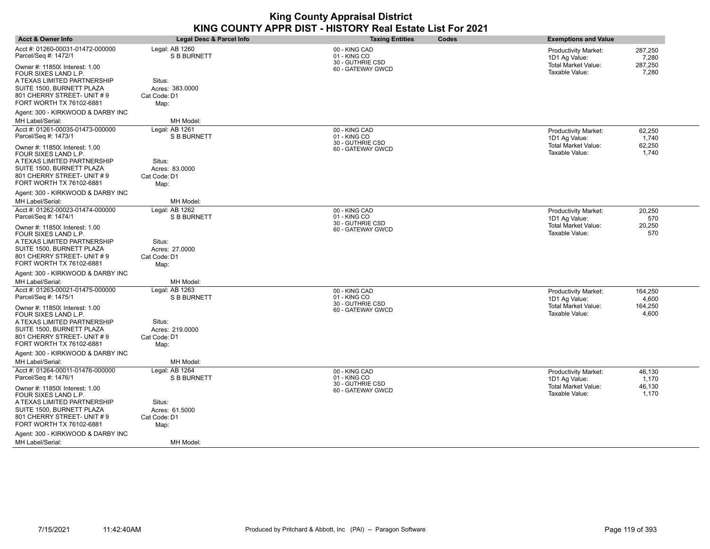| <b>Acct &amp; Owner Info</b>                                                                                                                                                 | Legal Desc & Parcel Info                          | <b>Taxing Entities</b>                                                 | Codes | <b>Exemptions and Value</b>                                                           |                                      |
|------------------------------------------------------------------------------------------------------------------------------------------------------------------------------|---------------------------------------------------|------------------------------------------------------------------------|-------|---------------------------------------------------------------------------------------|--------------------------------------|
| Acct #: 01260-00031-01472-000000<br>Parcel/Seq #: 1472/1                                                                                                                     | Legal: AB 1260<br><b>S B BURNETT</b>              | 00 - KING CAD<br>01 - KING CO<br>30 - GUTHRIE CSD                      |       | <b>Productivity Market:</b><br>1D1 Ag Value:                                          | 287,250<br>7,280                     |
| Owner #: 11850( Interest: 1.00<br>FOUR SIXES LAND L.P.<br>A TEXAS LIMITED PARTNERSHIP<br>SUITE 1500, BURNETT PLAZA<br>801 CHERRY STREET- UNIT #9<br>FORT WORTH TX 76102-6881 | Situs:<br>Acres: 383,0000<br>Cat Code: D1<br>Map: | 60 - GATEWAY GWCD                                                      |       | <b>Total Market Value:</b><br>Taxable Value:                                          | 287,250<br>7,280                     |
| Agent: 300 - KIRKWOOD & DARBY INC<br>MH Label/Serial:                                                                                                                        | MH Model:                                         |                                                                        |       |                                                                                       |                                      |
| Acct #: 01261-00035-01473-000000<br>Parcel/Seq #: 1473/1                                                                                                                     | Legal: AB 1261<br><b>S B BURNETT</b>              | 00 - KING CAD<br>01 - KING CO<br>30 - GUTHRIE CSD                      |       | Productivity Market:<br>1D1 Ag Value:                                                 | 62,250<br>1,740                      |
| Owner #: 11850( Interest: 1.00<br>FOUR SIXES LAND L.P.<br>A TEXAS LIMITED PARTNERSHIP<br>SUITE 1500, BURNETT PLAZA<br>801 CHERRY STREET- UNIT #9<br>FORT WORTH TX 76102-6881 | Situs:<br>Acres: 83,0000<br>Cat Code: D1<br>Map:  | 60 - GATEWAY GWCD                                                      |       | <b>Total Market Value:</b><br>Taxable Value:                                          | 62,250<br>1,740                      |
| Agent: 300 - KIRKWOOD & DARBY INC                                                                                                                                            |                                                   |                                                                        |       |                                                                                       |                                      |
| MH Label/Serial:<br>Acct #: 01262-00023-01474-000000<br>Parcel/Seq #: 1474/1                                                                                                 | MH Model:<br>Legal: AB 1262<br><b>S B BURNETT</b> | 00 - KING CAD<br>01 - KING CO                                          |       | <b>Productivity Market:</b><br>1D1 Ag Value:                                          | 20,250<br>570                        |
| Owner #: 11850( Interest: 1.00<br>FOUR SIXES LAND L.P.<br>A TEXAS LIMITED PARTNERSHIP<br>SUITE 1500, BURNETT PLAZA<br>801 CHERRY STREET- UNIT #9<br>FORT WORTH TX 76102-6881 | Situs:<br>Acres: 27.0000<br>Cat Code: D1<br>Map:  | 30 - GUTHRIE CSD<br>60 - GATEWAY GWCD                                  |       | Total Market Value:<br>Taxable Value:                                                 | 20,250<br>570                        |
| Agent: 300 - KIRKWOOD & DARBY INC<br>MH Label/Serial:                                                                                                                        | MH Model:                                         |                                                                        |       |                                                                                       |                                      |
| Acct #: 01263-00021-01475-000000<br>Parcel/Seq #: 1475/1<br>Owner #: 11850( Interest: 1.00<br>FOUR SIXES LAND L.P.                                                           | Legal: AB 1263<br><b>S B BURNETT</b>              | 00 - KING CAD<br>01 - KING CO<br>30 - GUTHRIE CSD<br>60 - GATEWAY GWCD |       | <b>Productivity Market:</b><br>1D1 Ag Value:<br>Total Market Value:<br>Taxable Value: | 164.250<br>4,600<br>164,250<br>4,600 |
| A TEXAS LIMITED PARTNERSHIP<br>SUITE 1500, BURNETT PLAZA<br>801 CHERRY STREET- UNIT #9<br>FORT WORTH TX 76102-6881                                                           | Situs:<br>Acres: 219.0000<br>Cat Code: D1<br>Map: |                                                                        |       |                                                                                       |                                      |
| Agent: 300 - KIRKWOOD & DARBY INC                                                                                                                                            |                                                   |                                                                        |       |                                                                                       |                                      |
| MH Label/Serial:<br>Acct #: 01264-00011-01476-000000                                                                                                                         | MH Model:<br>Legal: AB 1264                       |                                                                        |       |                                                                                       |                                      |
| Parcel/Seq #: 1476/1                                                                                                                                                         | S B BURNETT                                       | 00 - KING CAD<br>01 - KING CO<br>30 - GUTHRIE CSD                      |       | <b>Productivity Market:</b><br>1D1 Ag Value:                                          | 46,130<br>1,170                      |
| Owner #: 11850( Interest: 1.00<br>FOUR SIXES LAND L.P.<br>A TEXAS LIMITED PARTNERSHIP<br>SUITE 1500, BURNETT PLAZA<br>801 CHERRY STREET- UNIT #9<br>FORT WORTH TX 76102-6881 | Situs:<br>Acres: 61.5000<br>Cat Code: D1<br>Map:  | 60 - GATEWAY GWCD                                                      |       | <b>Total Market Value:</b><br>Taxable Value:                                          | 46,130<br>1,170                      |
| Agent: 300 - KIRKWOOD & DARBY INC                                                                                                                                            |                                                   |                                                                        |       |                                                                                       |                                      |
| MH Label/Serial:                                                                                                                                                             | MH Model:                                         |                                                                        |       |                                                                                       |                                      |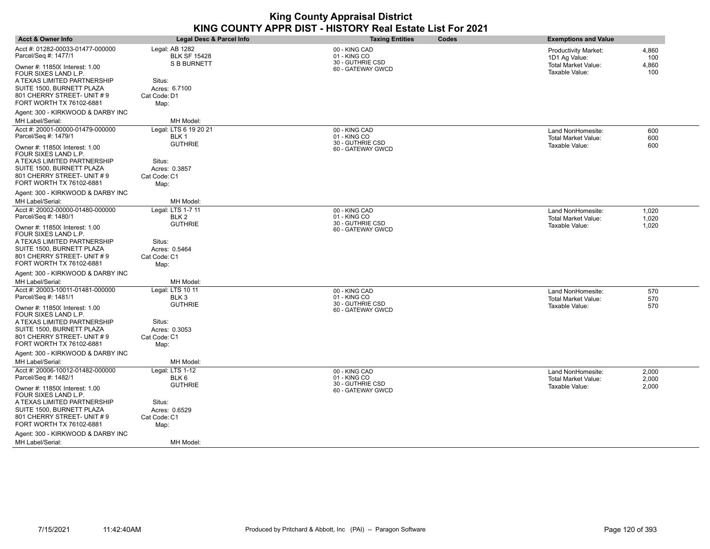| <b>Acct &amp; Owner Info</b>                                                                                                                                                 | Legal Desc & Parcel Info                                    | <b>Taxing Entities</b>                            | Codes | <b>Exemptions and Value</b>                                                |                       |
|------------------------------------------------------------------------------------------------------------------------------------------------------------------------------|-------------------------------------------------------------|---------------------------------------------------|-------|----------------------------------------------------------------------------|-----------------------|
| Acct #: 01282-00033-01477-000000<br>Parcel/Seq #: 1477/1<br>Owner #: 11850( Interest: 1.00                                                                                   | Legal: AB 1282<br><b>BLK SF 15428</b><br><b>S B BURNETT</b> | 00 - KING CAD<br>01 - KING CO<br>30 - GUTHRIE CSD |       | <b>Productivity Market:</b><br>1D1 Ag Value:<br><b>Total Market Value:</b> | 4,860<br>100<br>4,860 |
| FOUR SIXES LAND L.P.<br>A TEXAS LIMITED PARTNERSHIP<br>SUITE 1500, BURNETT PLAZA<br>801 CHERRY STREET- UNIT #9<br>FORT WORTH TX 76102-6881                                   | Situs:<br>Acres: 6.7100<br>Cat Code: D1<br>Map:             | 60 - GATEWAY GWCD                                 |       | Taxable Value:                                                             | 100                   |
| Agent: 300 - KIRKWOOD & DARBY INC<br>MH Label/Serial:                                                                                                                        | MH Model:                                                   |                                                   |       |                                                                            |                       |
| Acct #: 20001-00000-01479-000000<br>Parcel/Seq #: 1479/1                                                                                                                     | Legal: LTS 6 19 20 21<br>BLK 1                              | 00 - KING CAD<br>01 - KING CO                     |       | Land NonHomesite:<br><b>Total Market Value:</b>                            | 600<br>600            |
| Owner #: 11850( Interest: 1.00<br>FOUR SIXES LAND L.P.                                                                                                                       | <b>GUTHRIE</b>                                              | 30 - GUTHRIE CSD<br>60 - GATEWAY GWCD             |       | Taxable Value:                                                             | 600                   |
| A TEXAS LIMITED PARTNERSHIP<br>SUITE 1500, BURNETT PLAZA<br>801 CHERRY STREET- UNIT #9<br>FORT WORTH TX 76102-6881                                                           | Situs:<br>Acres: 0.3857<br>Cat Code: C1<br>Map:             |                                                   |       |                                                                            |                       |
| Agent: 300 - KIRKWOOD & DARBY INC                                                                                                                                            |                                                             |                                                   |       |                                                                            |                       |
| MH Label/Serial:                                                                                                                                                             | MH Model:                                                   |                                                   |       |                                                                            |                       |
| Acct #: 20002-00000-01480-000000<br>Parcel/Seq #: 1480/1                                                                                                                     | Legal: LTS 1-7 11<br>BLK <sub>2</sub><br><b>GUTHRIE</b>     | 00 - KING CAD<br>01 - KING CO<br>30 - GUTHRIE CSD |       | Land NonHomesite:<br><b>Total Market Value:</b>                            | 1,020<br>1,020        |
| Owner #: 11850( Interest: 1.00<br>FOUR SIXES LAND L.P.<br>A TEXAS LIMITED PARTNERSHIP<br>SUITE 1500, BURNETT PLAZA<br>801 CHERRY STREET- UNIT #9<br>FORT WORTH TX 76102-6881 | Situs:<br>Acres: 0.5464<br>Cat Code: C1<br>Map:             | 60 - GATEWAY GWCD                                 |       | Taxable Value:                                                             | 1,020                 |
| Agent: 300 - KIRKWOOD & DARBY INC                                                                                                                                            |                                                             |                                                   |       |                                                                            |                       |
| MH Label/Serial:                                                                                                                                                             | MH Model:                                                   |                                                   |       |                                                                            |                       |
| Acct #: 20003-10011-01481-000000<br>Parcel/Seq #: 1481/1<br>Owner #: 11850( Interest: 1.00                                                                                   | Legal: LTS 10 11<br>BLK 3<br><b>GUTHRIE</b>                 | 00 - KING CAD<br>01 - KING CO<br>30 - GUTHRIE CSD |       | Land NonHomesite:<br><b>Total Market Value:</b><br>Taxable Value:          | 570<br>570<br>570     |
| FOUR SIXES LAND L.P.<br>A TEXAS LIMITED PARTNERSHIP<br>SUITE 1500, BURNETT PLAZA<br>801 CHERRY STREET- UNIT #9<br>FORT WORTH TX 76102-6881                                   | Situs:<br>Acres: 0.3053<br>Cat Code: C1<br>Map:             | 60 - GATEWAY GWCD                                 |       |                                                                            |                       |
| Agent: 300 - KIRKWOOD & DARBY INC                                                                                                                                            |                                                             |                                                   |       |                                                                            |                       |
| MH Label/Serial:                                                                                                                                                             | MH Model:                                                   |                                                   |       |                                                                            |                       |
| Acct #: 20006-10012-01482-000000<br>Parcel/Seq #: 1482/1                                                                                                                     | Legal: LTS 1-12<br>BLK 6                                    | 00 - KING CAD<br>01 - KING CO<br>30 - GUTHRIE CSD |       | Land NonHomesite:<br><b>Total Market Value:</b>                            | 2,000<br>2,000        |
| Owner #: 11850( Interest: 1.00<br>FOUR SIXES LAND L.P.                                                                                                                       | <b>GUTHRIE</b>                                              | 60 - GATEWAY GWCD                                 |       | Taxable Value:                                                             | 2,000                 |
| A TEXAS LIMITED PARTNERSHIP<br>SUITE 1500, BURNETT PLAZA<br>801 CHERRY STREET- UNIT #9<br>FORT WORTH TX 76102-6881                                                           | Situs:<br>Acres: 0.6529<br>Cat Code: C1<br>Map:             |                                                   |       |                                                                            |                       |
| Agent: 300 - KIRKWOOD & DARBY INC                                                                                                                                            |                                                             |                                                   |       |                                                                            |                       |
| MH Label/Serial:                                                                                                                                                             | MH Model:                                                   |                                                   |       |                                                                            |                       |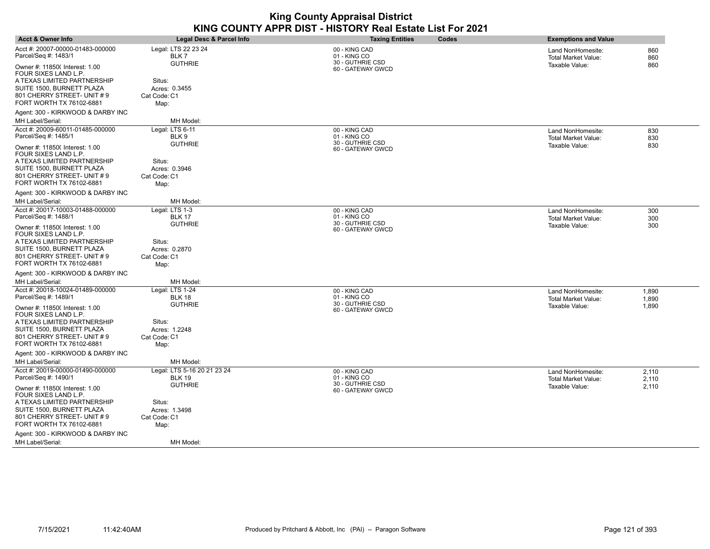| <b>Acct &amp; Owner Info</b>                                                            | Legal Desc & Parcel Info                | <b>Taxing Entities</b>                            | Codes | <b>Exemptions and Value</b>                     |            |
|-----------------------------------------------------------------------------------------|-----------------------------------------|---------------------------------------------------|-------|-------------------------------------------------|------------|
| Acct #: 20007-00000-01483-000000<br>Parcel/Seq #: 1483/1                                | Legal: LTS 22 23 24<br>BLK 7            | 00 - KING CAD<br>01 - KING CO<br>30 - GUTHRIE CSD |       | Land NonHomesite:<br><b>Total Market Value:</b> | 860<br>860 |
| Owner #: 11850( Interest: 1.00<br>FOUR SIXES LAND L.P.                                  | <b>GUTHRIE</b>                          | 60 - GATEWAY GWCD                                 |       | Taxable Value:                                  | 860        |
| A TEXAS LIMITED PARTNERSHIP<br>SUITE 1500, BURNETT PLAZA<br>801 CHERRY STREET- UNIT # 9 | Situs:<br>Acres: 0.3455<br>Cat Code: C1 |                                                   |       |                                                 |            |
| FORT WORTH TX 76102-6881                                                                | Map:                                    |                                                   |       |                                                 |            |
| Agent: 300 - KIRKWOOD & DARBY INC<br>MH Label/Serial:                                   | MH Model:                               |                                                   |       |                                                 |            |
| Acct #: 20009-60011-01485-000000                                                        | Legal: LTS 6-11                         | 00 - KING CAD                                     |       | Land NonHomesite:                               | 830        |
| Parcel/Seq #: 1485/1                                                                    | BLK 9                                   | 01 - KING CO                                      |       | <b>Total Market Value:</b>                      | 830        |
| Owner #: 11850( Interest: 1.00<br>FOUR SIXES LAND L.P.                                  | <b>GUTHRIE</b>                          | 30 - GUTHRIE CSD<br>60 - GATEWAY GWCD             |       | Taxable Value:                                  | 830        |
| A TEXAS LIMITED PARTNERSHIP                                                             | Situs:                                  |                                                   |       |                                                 |            |
| SUITE 1500, BURNETT PLAZA<br>801 CHERRY STREET- UNIT # 9                                | Acres: 0.3946<br>Cat Code: C1           |                                                   |       |                                                 |            |
| FORT WORTH TX 76102-6881                                                                | Map:                                    |                                                   |       |                                                 |            |
| Agent: 300 - KIRKWOOD & DARBY INC                                                       |                                         |                                                   |       |                                                 |            |
| MH Label/Serial:                                                                        | MH Model:                               |                                                   |       |                                                 |            |
| Acct #: 20017-10003-01488-000000                                                        | Legal: LTS 1-3                          | 00 - KING CAD                                     |       | Land NonHomesite:                               | 300        |
| Parcel/Seq #: 1488/1                                                                    | <b>BLK 17</b><br><b>GUTHRIE</b>         | 01 - KING CO<br>30 - GUTHRIE CSD                  |       | <b>Total Market Value:</b>                      | 300        |
| Owner #: 11850( Interest: 1.00<br>FOUR SIXES LAND L.P.                                  |                                         | 60 - GATEWAY GWCD                                 |       | Taxable Value:                                  | 300        |
| A TEXAS LIMITED PARTNERSHIP                                                             | Situs:                                  |                                                   |       |                                                 |            |
| SUITE 1500, BURNETT PLAZA<br>801 CHERRY STREET- UNIT # 9                                | Acres: 0.2870<br>Cat Code: C1           |                                                   |       |                                                 |            |
| FORT WORTH TX 76102-6881                                                                | Map:                                    |                                                   |       |                                                 |            |
| Agent: 300 - KIRKWOOD & DARBY INC                                                       |                                         |                                                   |       |                                                 |            |
| MH Label/Serial:                                                                        | MH Model:                               |                                                   |       |                                                 |            |
| Acct #: 20018-10024-01489-000000                                                        | Legal: LTS 1-24                         | 00 - KING CAD                                     |       | Land NonHomesite:                               | 1.890      |
| Parcel/Seq #: 1489/1                                                                    | <b>BLK 18</b><br><b>GUTHRIE</b>         | 01 - KING CO<br>30 - GUTHRIE CSD                  |       | <b>Total Market Value:</b>                      | 1,890      |
| Owner #: 11850( Interest: 1.00<br>FOUR SIXES LAND L.P.                                  |                                         | 60 - GATEWAY GWCD                                 |       | Taxable Value:                                  | 1,890      |
| A TEXAS LIMITED PARTNERSHIP                                                             | Situs:                                  |                                                   |       |                                                 |            |
| SUITE 1500, BURNETT PLAZA                                                               | Acres: 1.2248                           |                                                   |       |                                                 |            |
| 801 CHERRY STREET- UNIT # 9                                                             | Cat Code: C1                            |                                                   |       |                                                 |            |
| FORT WORTH TX 76102-6881                                                                | Map:                                    |                                                   |       |                                                 |            |
| Agent: 300 - KIRKWOOD & DARBY INC<br>MH Label/Serial:                                   | MH Model:                               |                                                   |       |                                                 |            |
| Acct #: 20019-00000-01490-000000                                                        | Legal: LTS 5-16 20 21 23 24             | 00 - KING CAD                                     |       | Land NonHomesite:                               | 2,110      |
| Parcel/Seq #: 1490/1                                                                    | <b>BLK 19</b>                           | 01 - KING CO                                      |       | <b>Total Market Value:</b>                      | 2,110      |
| Owner #: 11850( Interest: 1.00<br>FOUR SIXES LAND L.P.                                  | <b>GUTHRIE</b>                          | 30 - GUTHRIE CSD<br>60 - GATEWAY GWCD             |       | Taxable Value:                                  | 2,110      |
| A TEXAS LIMITED PARTNERSHIP                                                             | Situs:                                  |                                                   |       |                                                 |            |
| SUITE 1500, BURNETT PLAZA                                                               | Acres: 1.3498                           |                                                   |       |                                                 |            |
| 801 CHERRY STREET- UNIT # 9<br>FORT WORTH TX 76102-6881                                 | Cat Code: C1<br>Map:                    |                                                   |       |                                                 |            |
| Agent: 300 - KIRKWOOD & DARBY INC                                                       |                                         |                                                   |       |                                                 |            |
| MH Label/Serial:                                                                        | MH Model:                               |                                                   |       |                                                 |            |
|                                                                                         |                                         |                                                   |       |                                                 |            |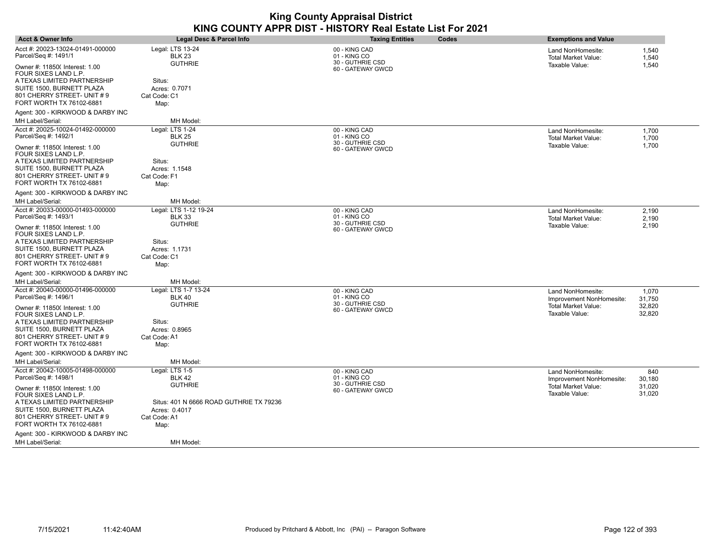| <b>Acct &amp; Owner Info</b>                             | Legal Desc & Parcel Info                | <b>Taxing Entities</b><br>Codes       | <b>Exemptions and Value</b>                                      |
|----------------------------------------------------------|-----------------------------------------|---------------------------------------|------------------------------------------------------------------|
| Acct #: 20023-13024-01491-000000<br>Parcel/Seq #: 1491/1 | Legal: LTS 13-24<br><b>BLK 23</b>       | 00 - KING CAD<br>01 - KING CO         | Land NonHomesite:<br>1,540<br>1,540<br>Total Market Value:       |
| Owner #: 11850( Interest: 1.00<br>FOUR SIXES LAND L.P.   | <b>GUTHRIE</b>                          | 30 - GUTHRIE CSD<br>60 - GATEWAY GWCD | 1,540<br>Taxable Value:                                          |
| A TEXAS LIMITED PARTNERSHIP                              | Situs:                                  |                                       |                                                                  |
| SUITE 1500, BURNETT PLAZA                                | Acres: 0.7071                           |                                       |                                                                  |
| 801 CHERRY STREET- UNIT # 9<br>FORT WORTH TX 76102-6881  | Cat Code: C1<br>Map:                    |                                       |                                                                  |
| Agent: 300 - KIRKWOOD & DARBY INC                        |                                         |                                       |                                                                  |
| MH Label/Serial:                                         | MH Model:                               |                                       |                                                                  |
| Acct #: 20025-10024-01492-000000                         | Legal: LTS 1-24                         | 00 - KING CAD                         | 1,700<br>Land NonHomesite:                                       |
| Parcel/Seq #: 1492/1                                     | <b>BLK 25</b>                           | 01 - KING CO<br>30 - GUTHRIE CSD      | <b>Total Market Value:</b><br>1,700                              |
| Owner #: 11850( Interest: 1.00                           | <b>GUTHRIE</b>                          | 60 - GATEWAY GWCD                     | Taxable Value:<br>1,700                                          |
| FOUR SIXES LAND L.P.<br>A TEXAS LIMITED PARTNERSHIP      | Situs:                                  |                                       |                                                                  |
| SUITE 1500, BURNETT PLAZA                                | Acres: 1.1548                           |                                       |                                                                  |
| 801 CHERRY STREET- UNIT #9                               | Cat Code: F1                            |                                       |                                                                  |
| FORT WORTH TX 76102-6881                                 | Map:                                    |                                       |                                                                  |
| Agent: 300 - KIRKWOOD & DARBY INC                        |                                         |                                       |                                                                  |
| MH Label/Serial:                                         | MH Model:                               |                                       |                                                                  |
| Acct #: 20033-00000-01493-000000                         | Legal: LTS 1-12 19-24                   | 00 - KING CAD                         | 2,190<br>Land NonHomesite:                                       |
| Parcel/Seq #: 1493/1                                     | <b>BLK 33</b><br><b>GUTHRIE</b>         | 01 - KING CO<br>30 - GUTHRIE CSD      | 2,190<br>Total Market Value:                                     |
| Owner #: 11850( Interest: 1.00<br>FOUR SIXES LAND L.P.   |                                         | 60 - GATEWAY GWCD                     | 2,190<br>Taxable Value:                                          |
| A TEXAS LIMITED PARTNERSHIP<br>SUITE 1500, BURNETT PLAZA | Situs:                                  |                                       |                                                                  |
| 801 CHERRY STREET- UNIT # 9                              | Acres: 1.1731<br>Cat Code: C1           |                                       |                                                                  |
| FORT WORTH TX 76102-6881                                 | Map:                                    |                                       |                                                                  |
| Agent: 300 - KIRKWOOD & DARBY INC                        |                                         |                                       |                                                                  |
| <b>MH Label/Serial:</b>                                  | MH Model:                               |                                       |                                                                  |
| Acct #: 20040-00000-01496-000000                         | Legal: LTS 1-7 13-24                    | 00 - KING CAD                         | Land NonHomesite:<br>1,070                                       |
| Parcel/Seq #: 1496/1                                     | <b>BLK 40</b>                           | 01 - KING CO<br>30 - GUTHRIE CSD      | Improvement NonHomesite:<br>31,750                               |
| Owner #: 11850( Interest: 1.00                           | <b>GUTHRIE</b>                          | 60 - GATEWAY GWCD                     | <b>Total Market Value:</b><br>32,820<br>Taxable Value:<br>32,820 |
| FOUR SIXES LAND L.P.<br>A TEXAS LIMITED PARTNERSHIP      | Situs:                                  |                                       |                                                                  |
| SUITE 1500, BURNETT PLAZA                                | Acres: 0.8965                           |                                       |                                                                  |
| 801 CHERRY STREET- UNIT # 9                              | Cat Code: A1                            |                                       |                                                                  |
| FORT WORTH TX 76102-6881                                 | Map:                                    |                                       |                                                                  |
| Agent: 300 - KIRKWOOD & DARBY INC                        |                                         |                                       |                                                                  |
| MH Label/Serial:                                         | MH Model:                               |                                       |                                                                  |
| Acct #: 20042-10005-01498-000000<br>Parcel/Seq #: 1498/1 | Legal: LTS 1-5                          | 00 - KING CAD<br>01 - KING CO         | Land NonHomesite:<br>840                                         |
|                                                          | <b>BLK 42</b><br><b>GUTHRIE</b>         | 30 - GUTHRIE CSD                      | 30,180<br>Improvement NonHomesite:                               |
| Owner #: 11850( Interest: 1.00<br>FOUR SIXES LAND L.P.   |                                         | 60 - GATEWAY GWCD                     | 31,020<br><b>Total Market Value:</b><br>Taxable Value:<br>31,020 |
| A TEXAS LIMITED PARTNERSHIP                              | Situs: 401 N 6666 ROAD GUTHRIE TX 79236 |                                       |                                                                  |
| SUITE 1500, BURNETT PLAZA                                | Acres: 0.4017                           |                                       |                                                                  |
| 801 CHERRY STREET- UNIT #9                               | Cat Code: A1                            |                                       |                                                                  |
| FORT WORTH TX 76102-6881                                 | Map:                                    |                                       |                                                                  |
| Agent: 300 - KIRKWOOD & DARBY INC                        |                                         |                                       |                                                                  |
| <b>MH Label/Serial:</b>                                  | MH Model:                               |                                       |                                                                  |

 $\overline{\phantom{a}}$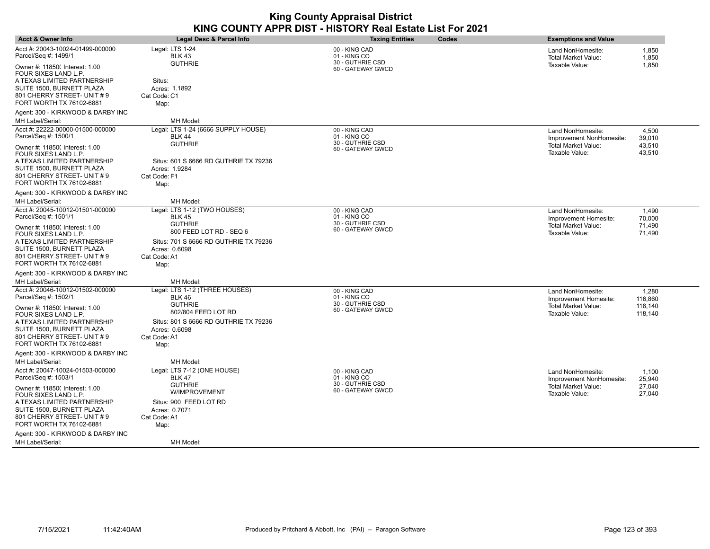| <b>Acct &amp; Owner Info</b>                                                                                                                                                 | Legal Desc & Parcel Info                                                       | <b>Taxing Entities</b>                                | Codes | <b>Exemptions and Value</b>                                           |                               |
|------------------------------------------------------------------------------------------------------------------------------------------------------------------------------|--------------------------------------------------------------------------------|-------------------------------------------------------|-------|-----------------------------------------------------------------------|-------------------------------|
| Acct #: 20043-10024-01499-000000<br>Parcel/Seq #: 1499/1                                                                                                                     | Legal: LTS 1-24<br><b>BLK 43</b><br><b>GUTHRIE</b>                             | 00 - KING CAD<br>01 - KING CO<br>30 - GUTHRIE CSD     |       | Land NonHomesite:<br><b>Total Market Value:</b>                       | 1,850<br>1,850                |
| Owner #: 11850( Interest: 1.00<br>FOUR SIXES LAND L.P.<br>A TEXAS LIMITED PARTNERSHIP<br>SUITE 1500, BURNETT PLAZA<br>801 CHERRY STREET- UNIT #9<br>FORT WORTH TX 76102-6881 | Situs:<br>Acres: 1.1892<br>Cat Code: C1<br>Map:                                | 60 - GATEWAY GWCD                                     |       | Taxable Value:                                                        | 1,850                         |
| Agent: 300 - KIRKWOOD & DARBY INC                                                                                                                                            |                                                                                |                                                       |       |                                                                       |                               |
| MH Label/Serial:                                                                                                                                                             | MH Model:                                                                      |                                                       |       |                                                                       |                               |
| Acct #: 22222-00000-01500-000000<br>Parcel/Seq #: 1500/1                                                                                                                     | Legal: LTS 1-24 (6666 SUPPLY HOUSE)<br><b>BLK 44</b>                           | 00 - KING CAD<br>01 - KING CO<br>30 - GUTHRIE CSD     |       | Land NonHomesite:<br>Improvement NonHomesite:                         | 4,500<br>39,010               |
| Owner #: 11850( Interest: 1.00<br>FOUR SIXES LAND L.P.                                                                                                                       | <b>GUTHRIE</b>                                                                 | 60 - GATEWAY GWCD                                     |       | <b>Total Market Value:</b><br>Taxable Value:                          | 43,510<br>43,510              |
| A TEXAS LIMITED PARTNERSHIP<br>SUITE 1500, BURNETT PLAZA<br>801 CHERRY STREET- UNIT # 9<br>FORT WORTH TX 76102-6881                                                          | Situs: 601 S 6666 RD GUTHRIE TX 79236<br>Acres: 1.9284<br>Cat Code: F1<br>Map: |                                                       |       |                                                                       |                               |
| Agent: 300 - KIRKWOOD & DARBY INC                                                                                                                                            |                                                                                |                                                       |       |                                                                       |                               |
| MH Label/Serial:                                                                                                                                                             | MH Model:                                                                      |                                                       |       |                                                                       |                               |
| Acct #: 20045-10012-01501-000000<br>Parcel/Seq #: 1501/1                                                                                                                     | Legal: LTS 1-12 (TWO HOUSES)<br><b>BLK 45</b>                                  | 00 - KING CAD<br>01 - KING CO                         |       | Land NonHomesite:<br>Improvement Homesite:                            | 1,490<br>70,000               |
| Owner #: 11850( Interest: 1.00<br>FOUR SIXES LAND L.P.                                                                                                                       | <b>GUTHRIE</b><br>800 FEED LOT RD - SEQ 6                                      | 30 - GUTHRIE CSD<br>60 - GATEWAY GWCD                 |       | Total Market Value:<br>Taxable Value:                                 | 71,490<br>71,490              |
| A TEXAS LIMITED PARTNERSHIP<br>SUITE 1500, BURNETT PLAZA<br>801 CHERRY STREET- UNIT # 9<br>FORT WORTH TX 76102-6881                                                          | Situs: 701 S 6666 RD GUTHRIE TX 79236<br>Acres: 0.6098<br>Cat Code: A1<br>Map: |                                                       |       |                                                                       |                               |
| Agent: 300 - KIRKWOOD & DARBY INC                                                                                                                                            |                                                                                |                                                       |       |                                                                       |                               |
| MH Label/Serial:                                                                                                                                                             | MH Model:                                                                      |                                                       |       |                                                                       |                               |
| Acct #: 20046-10012-01502-000000                                                                                                                                             | Legal: LTS 1-12 (THREE HOUSES)                                                 | 00 - KING CAD                                         |       | Land NonHomesite:                                                     | 1,280                         |
| Parcel/Seq #: 1502/1<br>Owner #: 11850( Interest: 1.00<br>FOUR SIXES LAND L.P.                                                                                               | <b>BLK 46</b><br><b>GUTHRIE</b><br>802/804 FEED LOT RD                         | 01 - KING CO<br>30 - GUTHRIE CSD<br>60 - GATEWAY GWCD |       | Improvement Homesite:<br><b>Total Market Value:</b><br>Taxable Value: | 116,860<br>118.140<br>118,140 |
| A TEXAS LIMITED PARTNERSHIP<br>SUITE 1500, BURNETT PLAZA<br>801 CHERRY STREET- UNIT # 9<br>FORT WORTH TX 76102-6881                                                          | Situs: 801 S 6666 RD GUTHRIE TX 79236<br>Acres: 0.6098<br>Cat Code: A1<br>Map: |                                                       |       |                                                                       |                               |
| Agent: 300 - KIRKWOOD & DARBY INC<br>MH Label/Serial:                                                                                                                        | MH Model:                                                                      |                                                       |       |                                                                       |                               |
| Acct #: 20047-10024-01503-000000<br>Parcel/Seq #: 1503/1                                                                                                                     | Legal: LTS 7-12 (ONE HOUSE)<br><b>BLK 47</b>                                   | 00 - KING CAD<br>01 - KING CO                         |       | Land NonHomesite:<br>Improvement NonHomesite:                         | 1,100<br>25,940               |
| Owner #: 11850( Interest: 1.00<br>FOUR SIXES LAND L.P.                                                                                                                       | <b>GUTHRIE</b><br>W/IMPROVEMENT                                                | 30 - GUTHRIE CSD<br>60 - GATEWAY GWCD                 |       | <b>Total Market Value:</b><br>Taxable Value:                          | 27,040<br>27,040              |
| A TEXAS LIMITED PARTNERSHIP                                                                                                                                                  | Situs: 900 FEED LOT RD                                                         |                                                       |       |                                                                       |                               |
| SUITE 1500, BURNETT PLAZA<br>801 CHERRY STREET- UNIT #9<br>FORT WORTH TX 76102-6881                                                                                          | Acres: 0.7071<br>Cat Code: A1<br>Map:                                          |                                                       |       |                                                                       |                               |
| Agent: 300 - KIRKWOOD & DARBY INC<br>MH Label/Serial:                                                                                                                        | MH Model:                                                                      |                                                       |       |                                                                       |                               |
|                                                                                                                                                                              |                                                                                |                                                       |       |                                                                       |                               |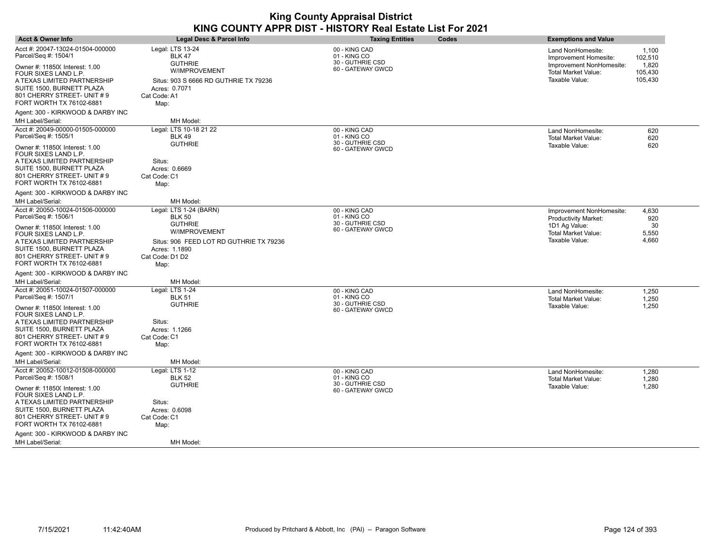| <b>Acct &amp; Owner Info</b>                                                                                       | <b>Legal Desc &amp; Parcel Info</b>                                            | <b>Taxing Entities</b><br>Codes                   | <b>Exemptions and Value</b>                                                |
|--------------------------------------------------------------------------------------------------------------------|--------------------------------------------------------------------------------|---------------------------------------------------|----------------------------------------------------------------------------|
| Acct #: 20047-13024-01504-000000<br>Parcel/Seq #: 1504/1                                                           | Legal: LTS 13-24<br><b>BLK 47</b>                                              | 00 - KING CAD<br>01 - KING CO                     | Land NonHomesite:<br>1,100<br>102,510<br>Improvement Homesite:             |
| Owner #: 118500 Interest: 1.00<br>FOUR SIXES LAND L.P.                                                             | <b>GUTHRIE</b><br>W/IMPROVEMENT                                                | 30 - GUTHRIE CSD<br>60 - GATEWAY GWCD             | Improvement NonHomesite:<br>1,820<br><b>Total Market Value:</b><br>105,430 |
| A TEXAS LIMITED PARTNERSHIP<br>SUITE 1500, BURNETT PLAZA<br>801 CHERRY STREET- UNIT #9<br>FORT WORTH TX 76102-6881 | Situs: 903 S 6666 RD GUTHRIE TX 79236<br>Acres: 0.7071<br>Cat Code: A1<br>Map: |                                                   | Taxable Value:<br>105,430                                                  |
| Agent: 300 - KIRKWOOD & DARBY INC                                                                                  |                                                                                |                                                   |                                                                            |
| MH Label/Serial:                                                                                                   | MH Model:                                                                      |                                                   |                                                                            |
| Acct #: 20049-00000-01505-000000<br>Parcel/Seq #: 1505/1                                                           | Legal: LTS 10-18 21 22<br><b>BLK 49</b>                                        | 00 - KING CAD<br>01 - KING CO<br>30 - GUTHRIE CSD | 620<br>Land NonHomesite:<br><b>Total Market Value:</b><br>620              |
| Owner #: 11850( Interest: 1.00<br>FOUR SIXES LAND L.P.                                                             | <b>GUTHRIE</b>                                                                 | 60 - GATEWAY GWCD                                 | Taxable Value:<br>620                                                      |
| A TEXAS LIMITED PARTNERSHIP<br>SUITE 1500, BURNETT PLAZA                                                           | Situs:<br>Acres: 0.6669                                                        |                                                   |                                                                            |
| 801 CHERRY STREET- UNIT #9<br>FORT WORTH TX 76102-6881                                                             | Cat Code: C1<br>Map:                                                           |                                                   |                                                                            |
| Agent: 300 - KIRKWOOD & DARBY INC                                                                                  |                                                                                |                                                   |                                                                            |
| MH Label/Serial:                                                                                                   | MH Model:                                                                      |                                                   |                                                                            |
| Acct #: 20050-10024-01506-000000<br>Parcel/Seq #: 1506/1                                                           | Legal: LTS 1-24 (BARN)<br><b>BLK 50</b>                                        | 00 - KING CAD<br>01 - KING CO                     | Improvement NonHomesite:<br>4,630<br>Productivity Market:<br>920           |
| Owner #: 118500 Interest: 1.00<br>FOUR SIXES LAND L.P.                                                             | <b>GUTHRIE</b><br>W/IMPROVEMENT                                                | 30 - GUTHRIE CSD<br>60 - GATEWAY GWCD             | 1D1 Ag Value:<br>30<br><b>Total Market Value:</b><br>5,550                 |
| A TEXAS LIMITED PARTNERSHIP<br>SUITE 1500, BURNETT PLAZA                                                           | Situs: 906 FEED LOT RD GUTHRIE TX 79236<br>Acres: 1.1890                       |                                                   | Taxable Value:<br>4,660                                                    |
| 801 CHERRY STREET- UNIT #9<br>FORT WORTH TX 76102-6881                                                             | Cat Code: D1 D2<br>Map:                                                        |                                                   |                                                                            |
| Agent: 300 - KIRKWOOD & DARBY INC                                                                                  |                                                                                |                                                   |                                                                            |
| MH Label/Serial:                                                                                                   | MH Model:                                                                      |                                                   |                                                                            |
| Acct #: 20051-10024-01507-000000<br>Parcel/Seq #: 1507/1                                                           | Legal: LTS 1-24<br><b>BLK 51</b><br><b>GUTHRIE</b>                             | 00 - KING CAD<br>01 - KING CO<br>30 - GUTHRIE CSD | Land NonHomesite:<br>1,250<br>Total Market Value:<br>1,250                 |
| Owner #: 118500 Interest: 1.00<br>FOUR SIXES LAND L.P.                                                             |                                                                                | 60 - GATEWAY GWCD                                 | Taxable Value:<br>1,250                                                    |
| A TEXAS LIMITED PARTNERSHIP<br>SUITE 1500, BURNETT PLAZA                                                           | Situs:<br>Acres: 1.1266                                                        |                                                   |                                                                            |
| 801 CHERRY STREET- UNIT #9<br>FORT WORTH TX 76102-6881                                                             | Cat Code: C1<br>Map:                                                           |                                                   |                                                                            |
| Agent: 300 - KIRKWOOD & DARBY INC                                                                                  |                                                                                |                                                   |                                                                            |
| MH Label/Serial:                                                                                                   | MH Model:                                                                      |                                                   |                                                                            |
| Acct #: 20052-10012-01508-000000<br>Parcel/Seq #: 1508/1                                                           | Legal: LTS 1-12<br><b>BLK 52</b>                                               | 00 - KING CAD<br>01 - KING CO                     | Land NonHomesite:<br>1,280<br><b>Total Market Value:</b><br>1,280          |
| Owner #: 118500 Interest: 1.00<br>FOUR SIXES LAND L.P.                                                             | <b>GUTHRIE</b>                                                                 | 30 - GUTHRIE CSD<br>60 - GATEWAY GWCD             | 1,280<br>Taxable Value:                                                    |
| A TEXAS LIMITED PARTNERSHIP                                                                                        | Situs:                                                                         |                                                   |                                                                            |
| SUITE 1500, BURNETT PLAZA<br>801 CHERRY STREET- UNIT #9<br>FORT WORTH TX 76102-6881                                | Acres: 0.6098<br>Cat Code: C1                                                  |                                                   |                                                                            |
| Agent: 300 - KIRKWOOD & DARBY INC                                                                                  | Map:                                                                           |                                                   |                                                                            |
| MH Label/Serial:                                                                                                   | MH Model:                                                                      |                                                   |                                                                            |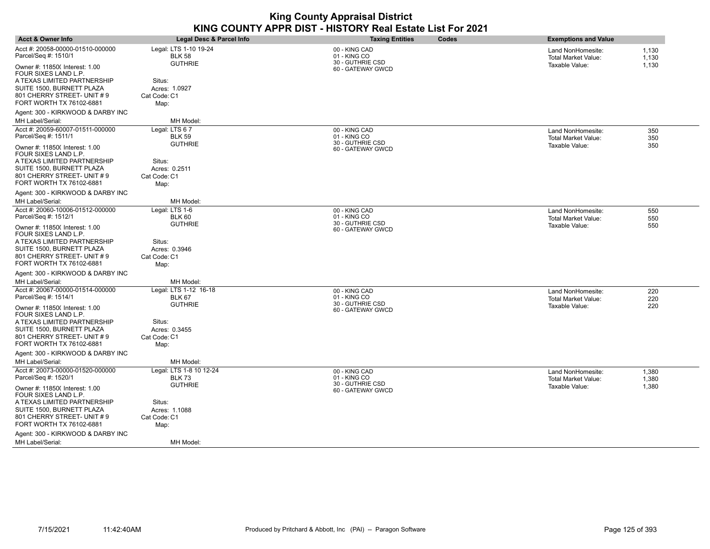| <b>Acct &amp; Owner Info</b>                             | Legal Desc & Parcel Info               | <b>Taxing Entities</b><br><b>Codes</b> | <b>Exemptions and Value</b>                                       |
|----------------------------------------------------------|----------------------------------------|----------------------------------------|-------------------------------------------------------------------|
| Acct #: 20058-00000-01510-000000<br>Parcel/Seq #: 1510/1 | Legal: LTS 1-10 19-24<br><b>BLK 58</b> | 00 - KING CAD<br>01 - KING CO          | Land NonHomesite:<br>1,130<br><b>Total Market Value:</b><br>1,130 |
| Owner #: 11850( Interest: 1.00<br>FOUR SIXES LAND L.P.   | <b>GUTHRIE</b>                         | 30 - GUTHRIE CSD<br>60 - GATEWAY GWCD  | Taxable Value:<br>1,130                                           |
| A TEXAS LIMITED PARTNERSHIP                              | Situs:                                 |                                        |                                                                   |
| SUITE 1500, BURNETT PLAZA<br>801 CHERRY STREET- UNIT # 9 | Acres: 1.0927<br>Cat Code: C1          |                                        |                                                                   |
| FORT WORTH TX 76102-6881                                 | Map:                                   |                                        |                                                                   |
| Agent: 300 - KIRKWOOD & DARBY INC                        |                                        |                                        |                                                                   |
| MH Label/Serial:                                         | MH Model:                              |                                        |                                                                   |
| Acct #: 20059-60007-01511-000000                         | Legal: LTS 67                          | 00 - KING CAD                          | 350<br>Land NonHomesite:                                          |
| Parcel/Seq #: 1511/1                                     | <b>BLK 59</b><br><b>GUTHRIE</b>        | 01 - KING CO<br>30 - GUTHRIE CSD       | 350<br><b>Total Market Value:</b>                                 |
| Owner #: 11850( Interest: 1.00<br>FOUR SIXES LAND L.P.   |                                        | 60 - GATEWAY GWCD                      | Taxable Value:<br>350                                             |
| A TEXAS LIMITED PARTNERSHIP                              | Situs:                                 |                                        |                                                                   |
| SUITE 1500, BURNETT PLAZA                                | Acres: 0.2511                          |                                        |                                                                   |
| 801 CHERRY STREET- UNIT # 9<br>FORT WORTH TX 76102-6881  | Cat Code: C1                           |                                        |                                                                   |
|                                                          | Map:                                   |                                        |                                                                   |
| Agent: 300 - KIRKWOOD & DARBY INC                        |                                        |                                        |                                                                   |
| <b>MH Label/Serial:</b>                                  | MH Model:                              |                                        |                                                                   |
| Acct #: 20060-10006-01512-000000<br>Parcel/Seq #: 1512/1 | Legal: LTS 1-6<br><b>BLK 60</b>        | 00 - KING CAD<br>01 - KING CO          | Land NonHomesite:<br>550                                          |
|                                                          | <b>GUTHRIE</b>                         | 30 - GUTHRIE CSD                       | <b>Total Market Value:</b><br>550<br>Taxable Value:<br>550        |
| Owner #: 11850( Interest: 1.00<br>FOUR SIXES LAND L.P.   |                                        | 60 - GATEWAY GWCD                      |                                                                   |
| A TEXAS LIMITED PARTNERSHIP                              | Situs:                                 |                                        |                                                                   |
| SUITE 1500, BURNETT PLAZA<br>801 CHERRY STREET- UNIT #9  | Acres: 0.3946                          |                                        |                                                                   |
| FORT WORTH TX 76102-6881                                 | Cat Code: C1<br>Map:                   |                                        |                                                                   |
| Agent: 300 - KIRKWOOD & DARBY INC                        |                                        |                                        |                                                                   |
| MH Label/Serial:                                         | MH Model:                              |                                        |                                                                   |
| Acct #: 20067-00000-01514-000000                         | Legal: LTS 1-12 16-18                  | 00 - KING CAD                          | Land NonHomesite:<br>220                                          |
| Parcel/Seq #: 1514/1                                     | <b>BLK 67</b>                          | 01 - KING CO                           | 220<br><b>Total Market Value:</b>                                 |
| Owner #: 11850( Interest: 1.00<br>FOUR SIXES LAND L.P.   | <b>GUTHRIE</b>                         | 30 - GUTHRIE CSD<br>60 - GATEWAY GWCD  | 220<br>Taxable Value:                                             |
| A TEXAS LIMITED PARTNERSHIP                              | Situs:                                 |                                        |                                                                   |
| SUITE 1500, BURNETT PLAZA                                | Acres: 0.3455                          |                                        |                                                                   |
| 801 CHERRY STREET- UNIT # 9                              | Cat Code: C1                           |                                        |                                                                   |
| FORT WORTH TX 76102-6881                                 | Map:                                   |                                        |                                                                   |
| Agent: 300 - KIRKWOOD & DARBY INC                        |                                        |                                        |                                                                   |
| MH Label/Serial:                                         | MH Model:                              |                                        |                                                                   |
| Acct #: 20073-00000-01520-000000                         | Legal: LTS 1-8 10 12-24                | 00 - KING CAD                          | 1,380<br>Land NonHomesite:                                        |
| Parcel/Seq #: 1520/1                                     | <b>BLK 73</b>                          | 01 - KING CO<br>30 - GUTHRIE CSD       | <b>Total Market Value:</b><br>1,380                               |
| Owner #: 11850( Interest: 1.00<br>FOUR SIXES LAND L.P.   | <b>GUTHRIE</b>                         | 60 - GATEWAY GWCD                      | Taxable Value:<br>1,380                                           |
| A TEXAS LIMITED PARTNERSHIP                              | Situs:                                 |                                        |                                                                   |
| SUITE 1500, BURNETT PLAZA                                | Acres: 1.1088                          |                                        |                                                                   |
| 801 CHERRY STREET- UNIT #9                               | Cat Code: C1                           |                                        |                                                                   |
| FORT WORTH TX 76102-6881                                 | Map:                                   |                                        |                                                                   |
| Agent: 300 - KIRKWOOD & DARBY INC                        |                                        |                                        |                                                                   |
| MH Label/Serial:                                         | MH Model:                              |                                        |                                                                   |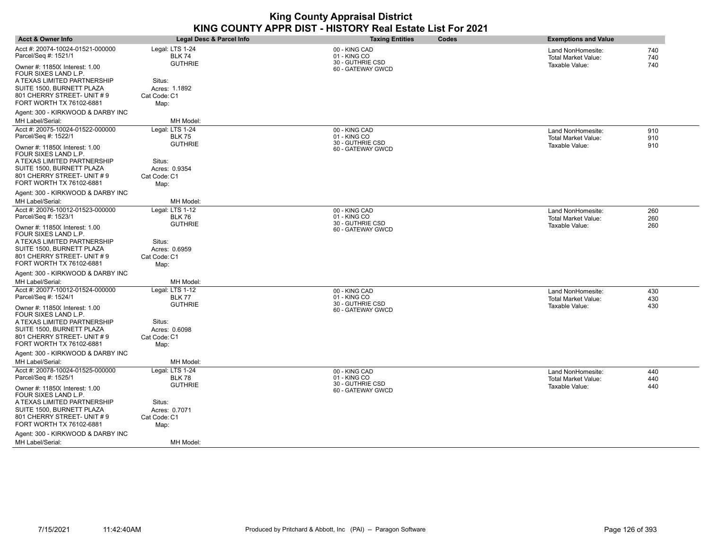| <b>Acct &amp; Owner Info</b>                             | Legal Desc & Parcel Info         | <b>Taxing Entities</b><br>Codes       | <b>Exemptions and Value</b>                                   |
|----------------------------------------------------------|----------------------------------|---------------------------------------|---------------------------------------------------------------|
| Acct #: 20074-10024-01521-000000<br>Parcel/Seq #: 1521/1 | Legal: LTS 1-24<br><b>BLK 74</b> | 00 - KING CAD<br>01 - KING CO         | 740<br>Land NonHomesite:<br><b>Total Market Value:</b><br>740 |
| Owner #: 11850( Interest: 1.00<br>FOUR SIXES LAND L.P.   | <b>GUTHRIE</b>                   | 30 - GUTHRIE CSD<br>60 - GATEWAY GWCD | Taxable Value:<br>740                                         |
| A TEXAS LIMITED PARTNERSHIP                              | Situs:                           |                                       |                                                               |
| SUITE 1500, BURNETT PLAZA<br>801 CHERRY STREET- UNIT #9  | Acres: 1.1892<br>Cat Code: C1    |                                       |                                                               |
| FORT WORTH TX 76102-6881                                 | Map:                             |                                       |                                                               |
| Agent: 300 - KIRKWOOD & DARBY INC                        |                                  |                                       |                                                               |
| MH Label/Serial:                                         | MH Model:                        |                                       |                                                               |
| Acct #: 20075-10024-01522-000000                         | Legal: LTS 1-24                  | 00 - KING CAD                         | 910<br>Land NonHomesite:                                      |
| Parcel/Seq #: 1522/1                                     | <b>BLK 75</b>                    | 01 - KING CO<br>30 - GUTHRIE CSD      | <b>Total Market Value:</b><br>910                             |
| Owner #: 11850( Interest: 1.00                           | <b>GUTHRIE</b>                   | 60 - GATEWAY GWCD                     | Taxable Value:<br>910                                         |
| FOUR SIXES LAND L.P.                                     | Situs:                           |                                       |                                                               |
| A TEXAS LIMITED PARTNERSHIP<br>SUITE 1500, BURNETT PLAZA | Acres: 0.9354                    |                                       |                                                               |
| 801 CHERRY STREET- UNIT # 9                              | Cat Code: C1                     |                                       |                                                               |
| FORT WORTH TX 76102-6881                                 | Map:                             |                                       |                                                               |
| Agent: 300 - KIRKWOOD & DARBY INC                        |                                  |                                       |                                                               |
| MH Label/Serial:                                         | MH Model:                        |                                       |                                                               |
| Acct #: 20076-10012-01523-000000                         | Legal: LTS 1-12                  | 00 - KING CAD                         | 260<br>Land NonHomesite:                                      |
| Parcel/Seq #: 1523/1                                     | BLK 76                           | 01 - KING CO<br>30 - GUTHRIE CSD      | Total Market Value:<br>260                                    |
| Owner #: 11850( Interest: 1.00<br>FOUR SIXES LAND L.P.   | <b>GUTHRIE</b>                   | 60 - GATEWAY GWCD                     | Taxable Value:<br>260                                         |
| A TEXAS LIMITED PARTNERSHIP                              | Situs:                           |                                       |                                                               |
| SUITE 1500, BURNETT PLAZA                                | Acres: 0.6959                    |                                       |                                                               |
| 801 CHERRY STREET- UNIT #9<br>FORT WORTH TX 76102-6881   | Cat Code: C1<br>Map:             |                                       |                                                               |
| Agent: 300 - KIRKWOOD & DARBY INC                        |                                  |                                       |                                                               |
| MH Label/Serial:                                         | MH Model:                        |                                       |                                                               |
| Acct #: 20077-10012-01524-000000                         | Legal: LTS 1-12                  | 00 - KING CAD                         | 430<br>Land NonHomesite:                                      |
| Parcel/Seq #: 1524/1                                     | BLK 77                           | 01 - KING CO                          | <b>Total Market Value:</b><br>430                             |
| Owner #: 11850( Interest: 1.00<br>FOUR SIXES LAND L.P.   | <b>GUTHRIE</b>                   | 30 - GUTHRIE CSD<br>60 - GATEWAY GWCD | Taxable Value:<br>430                                         |
| A TEXAS LIMITED PARTNERSHIP                              | Situs:                           |                                       |                                                               |
| SUITE 1500, BURNETT PLAZA                                | Acres: 0.6098                    |                                       |                                                               |
| 801 CHERRY STREET- UNIT #9<br>FORT WORTH TX 76102-6881   | Cat Code: C1                     |                                       |                                                               |
| Agent: 300 - KIRKWOOD & DARBY INC                        | Map:                             |                                       |                                                               |
| MH Label/Serial:                                         | MH Model:                        |                                       |                                                               |
| Acct #: 20078-10024-01525-000000                         | Legal: LTS 1-24                  | 00 - KING CAD                         | Land NonHomesite:<br>440                                      |
| Parcel/Seq #: 1525/1                                     | <b>BLK 78</b>                    | 01 - KING CO                          | <b>Total Market Value:</b><br>440                             |
| Owner #: 11850( Interest: 1.00<br>FOUR SIXES LAND L.P.   | <b>GUTHRIE</b>                   | 30 - GUTHRIE CSD<br>60 - GATEWAY GWCD | Taxable Value:<br>440                                         |
| A TEXAS LIMITED PARTNERSHIP                              | Situs:                           |                                       |                                                               |
| SUITE 1500, BURNETT PLAZA                                | Acres: 0.7071                    |                                       |                                                               |
| 801 CHERRY STREET- UNIT #9                               | Cat Code: C1                     |                                       |                                                               |
| FORT WORTH TX 76102-6881                                 | Map:                             |                                       |                                                               |
| Agent: 300 - KIRKWOOD & DARBY INC                        |                                  |                                       |                                                               |
| <b>MH Label/Serial:</b>                                  | MH Model:                        |                                       |                                                               |

 $\overline{\phantom{a}}$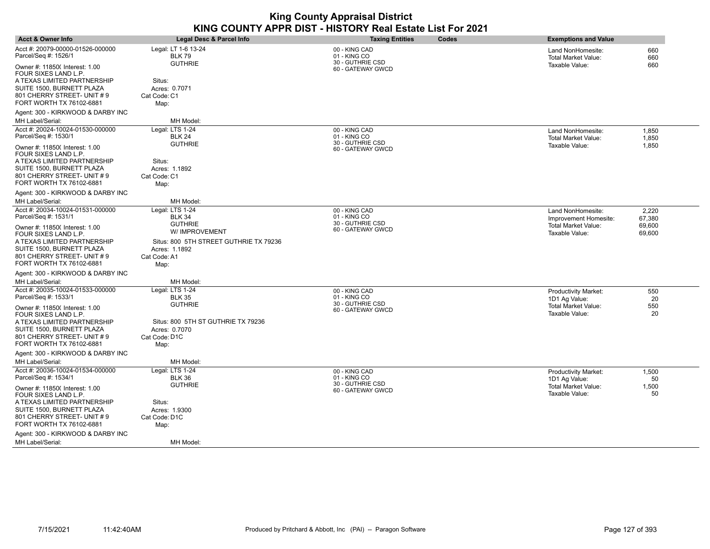| <b>Acct &amp; Owner Info</b>                             | Legal Desc & Parcel Info               | <b>Taxing Entities</b>                | <b>Codes</b> | <b>Exemptions and Value</b>                     |             |
|----------------------------------------------------------|----------------------------------------|---------------------------------------|--------------|-------------------------------------------------|-------------|
| Acct #: 20079-00000-01526-000000<br>Parcel/Seq #: 1526/1 | Legal: LT 1-6 13-24<br><b>BLK 79</b>   | 00 - KING CAD<br>01 - KING CO         |              | Land NonHomesite:<br><b>Total Market Value:</b> | 660<br>660  |
| Owner #: 11850( Interest: 1.00<br>FOUR SIXES LAND L.P.   | <b>GUTHRIE</b>                         | 30 - GUTHRIE CSD<br>60 - GATEWAY GWCD |              | Taxable Value:                                  | 660         |
| A TEXAS LIMITED PARTNERSHIP                              | Situs:                                 |                                       |              |                                                 |             |
| SUITE 1500, BURNETT PLAZA<br>801 CHERRY STREET- UNIT # 9 | Acres: 0.7071<br>Cat Code: C1          |                                       |              |                                                 |             |
| FORT WORTH TX 76102-6881                                 | Map:                                   |                                       |              |                                                 |             |
| Agent: 300 - KIRKWOOD & DARBY INC                        |                                        |                                       |              |                                                 |             |
| MH Label/Serial:                                         | MH Model:                              |                                       |              |                                                 |             |
| Acct #: 20024-10024-01530-000000                         | Legal: LTS 1-24                        | 00 - KING CAD                         |              | Land NonHomesite:                               | 1,850       |
| Parcel/Seq #: 1530/1                                     | <b>BLK 24</b><br><b>GUTHRIE</b>        | 01 - KING CO<br>30 - GUTHRIE CSD      |              | <b>Total Market Value:</b>                      | 1,850       |
| Owner #: 11850( Interest: 1.00<br>FOUR SIXES LAND L.P.   |                                        | 60 - GATEWAY GWCD                     |              | Taxable Value:                                  | 1,850       |
| A TEXAS LIMITED PARTNERSHIP                              | Situs:                                 |                                       |              |                                                 |             |
| SUITE 1500, BURNETT PLAZA<br>801 CHERRY STREET- UNIT #9  | Acres: 1.1892<br>Cat Code: C1          |                                       |              |                                                 |             |
| FORT WORTH TX 76102-6881                                 | Map:                                   |                                       |              |                                                 |             |
| Agent: 300 - KIRKWOOD & DARBY INC                        |                                        |                                       |              |                                                 |             |
| <b>MH Label/Serial:</b>                                  | MH Model:                              |                                       |              |                                                 |             |
| Acct #: 20034-10024-01531-000000                         | Legal: LTS 1-24                        | 00 - KING CAD                         |              | Land NonHomesite:                               | 2,220       |
| Parcel/Seq #: 1531/1                                     | <b>BLK 34</b>                          | 01 - KING CO                          |              | Improvement Homesite:                           | 67,380      |
| Owner #: 11850( Interest: 1.00                           | <b>GUTHRIE</b><br>W/ IMPROVEMENT       | 30 - GUTHRIE CSD<br>60 - GATEWAY GWCD |              | Total Market Value:                             | 69,600      |
| FOUR SIXES LAND L.P.                                     | Situs: 800 5TH STREET GUTHRIE TX 79236 |                                       |              | Taxable Value:                                  | 69,600      |
| A TEXAS LIMITED PARTNERSHIP<br>SUITE 1500, BURNETT PLAZA | Acres: 1.1892                          |                                       |              |                                                 |             |
| 801 CHERRY STREET- UNIT #9                               | Cat Code: A1                           |                                       |              |                                                 |             |
| FORT WORTH TX 76102-6881                                 | Map:                                   |                                       |              |                                                 |             |
| Agent: 300 - KIRKWOOD & DARBY INC                        |                                        |                                       |              |                                                 |             |
| MH Label/Serial:                                         | MH Model:                              |                                       |              |                                                 |             |
| Acct #: 20035-10024-01533-000000                         | Legal: LTS 1-24                        | 00 - KING CAD                         |              | <b>Productivity Market:</b>                     | 550         |
| Parcel/Seq #: 1533/1                                     | <b>BLK 35</b><br><b>GUTHRIE</b>        | 01 - KING CO<br>30 - GUTHRIE CSD      |              | 1D1 Ag Value:                                   | 20          |
| Owner #: 11850( Interest: 1.00                           |                                        | 60 - GATEWAY GWCD                     |              | Total Market Value:<br>Taxable Value:           | 550<br>20   |
| FOUR SIXES LAND L.P.<br>A TEXAS LIMITED PARTNERSHIP      | Situs: 800 5TH ST GUTHRIE TX 79236     |                                       |              |                                                 |             |
| SUITE 1500, BURNETT PLAZA                                | Acres: 0.7070                          |                                       |              |                                                 |             |
| 801 CHERRY STREET- UNIT # 9                              | Cat Code: D1C                          |                                       |              |                                                 |             |
| FORT WORTH TX 76102-6881                                 | Map:                                   |                                       |              |                                                 |             |
| Agent: 300 - KIRKWOOD & DARBY INC                        |                                        |                                       |              |                                                 |             |
| MH Label/Serial:                                         | MH Model:                              |                                       |              |                                                 |             |
| Acct #: 20036-10024-01534-000000<br>Parcel/Seq #: 1534/1 | Legal: LTS 1-24                        | 00 - KING CAD<br>01 - KING CO         |              | <b>Productivity Market:</b>                     | 1,500       |
|                                                          | <b>BLK 36</b><br><b>GUTHRIE</b>        | 30 - GUTHRIE CSD                      |              | 1D1 Ag Value:                                   | 50          |
| Owner #: 11850( Interest: 1.00<br>FOUR SIXES LAND L.P.   |                                        | 60 - GATEWAY GWCD                     |              | <b>Total Market Value:</b><br>Taxable Value:    | 1,500<br>50 |
| A TEXAS LIMITED PARTNERSHIP                              | Situs:                                 |                                       |              |                                                 |             |
| SUITE 1500, BURNETT PLAZA<br>801 CHERRY STREET- UNIT #9  | Acres: 1.9300                          |                                       |              |                                                 |             |
| FORT WORTH TX 76102-6881                                 | Cat Code: D1C<br>Map:                  |                                       |              |                                                 |             |
| Agent: 300 - KIRKWOOD & DARBY INC                        |                                        |                                       |              |                                                 |             |
| MH Label/Serial:                                         | MH Model:                              |                                       |              |                                                 |             |
|                                                          |                                        |                                       |              |                                                 |             |

 $\overline{\phantom{a}}$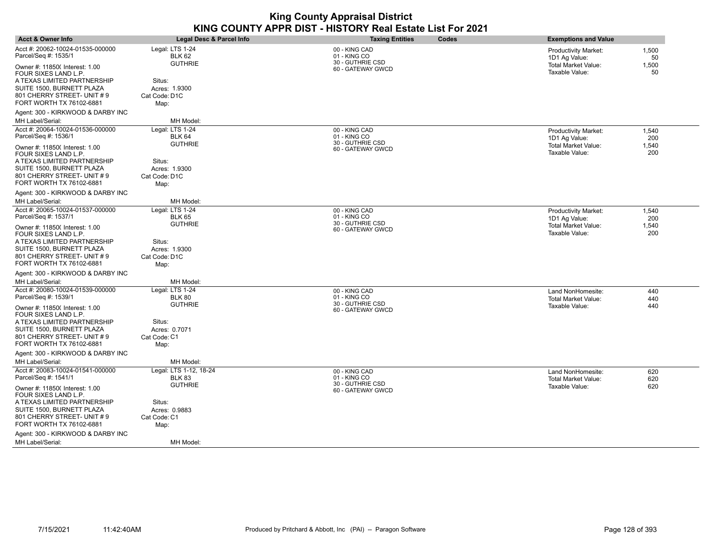| <b>Acct &amp; Owner Info</b>                                                            | Legal Desc & Parcel Info                 | <b>Taxing Entities</b><br>Codes       | <b>Exemptions and Value</b>                                  |
|-----------------------------------------------------------------------------------------|------------------------------------------|---------------------------------------|--------------------------------------------------------------|
| Acct #: 20062-10024-01535-000000<br>Parcel/Seq #: 1535/1                                | Legal: LTS 1-24<br><b>BLK 62</b>         | 00 - KING CAD<br>01 - KING CO         | 1,500<br><b>Productivity Market:</b><br>1D1 Ag Value:<br>50  |
| Owner #: 11850( Interest: 1.00<br>FOUR SIXES LAND L.P.                                  | <b>GUTHRIE</b>                           | 30 - GUTHRIE CSD<br>60 - GATEWAY GWCD | Total Market Value:<br>1,500<br>Taxable Value:<br>50         |
| A TEXAS LIMITED PARTNERSHIP<br>SUITE 1500, BURNETT PLAZA<br>801 CHERRY STREET- UNIT # 9 | Situs:<br>Acres: 1.9300<br>Cat Code: D1C |                                       |                                                              |
| FORT WORTH TX 76102-6881                                                                | Map:                                     |                                       |                                                              |
| Agent: 300 - KIRKWOOD & DARBY INC<br>MH Label/Serial:                                   | MH Model:                                |                                       |                                                              |
| Acct #: 20064-10024-01536-000000                                                        | Legal: LTS 1-24                          | 00 - KING CAD                         | <b>Productivity Market:</b><br>1,540                         |
| Parcel/Seq #: 1536/1                                                                    | <b>BLK 64</b><br><b>GUTHRIE</b>          | 01 - KING CO<br>30 - GUTHRIE CSD      | 1D1 Ag Value:<br>200                                         |
| Owner #: 11850( Interest: 1.00<br>FOUR SIXES LAND L.P.                                  |                                          | 60 - GATEWAY GWCD                     | <b>Total Market Value:</b><br>1,540<br>Taxable Value:<br>200 |
| A TEXAS LIMITED PARTNERSHIP                                                             | Situs:                                   |                                       |                                                              |
| SUITE 1500, BURNETT PLAZA<br>801 CHERRY STREET- UNIT # 9                                | Acres: 1.9300                            |                                       |                                                              |
| FORT WORTH TX 76102-6881                                                                | Cat Code: D1C<br>Map:                    |                                       |                                                              |
| Agent: 300 - KIRKWOOD & DARBY INC                                                       |                                          |                                       |                                                              |
| MH Label/Serial:                                                                        | MH Model:                                |                                       |                                                              |
| Acct #: 20065-10024-01537-000000                                                        | Legal: LTS 1-24                          | 00 - KING CAD                         | Productivity Market:<br>1,540                                |
| Parcel/Seq #: 1537/1                                                                    | <b>BLK 65</b>                            | 01 - KING CO<br>30 - GUTHRIE CSD      | 1D1 Ag Value:<br>200                                         |
| Owner #: 11850( Interest: 1.00<br>FOUR SIXES LAND L.P.                                  | <b>GUTHRIE</b>                           | 60 - GATEWAY GWCD                     | Total Market Value:<br>1,540<br>Taxable Value:<br>200        |
| A TEXAS LIMITED PARTNERSHIP                                                             | Situs:                                   |                                       |                                                              |
| SUITE 1500, BURNETT PLAZA                                                               | Acres: 1.9300                            |                                       |                                                              |
| 801 CHERRY STREET- UNIT # 9<br>FORT WORTH TX 76102-6881                                 | Cat Code: D1C<br>Map:                    |                                       |                                                              |
| Agent: 300 - KIRKWOOD & DARBY INC                                                       |                                          |                                       |                                                              |
| <b>MH Label/Serial:</b>                                                                 | MH Model:                                |                                       |                                                              |
| Acct #: 20080-10024-01539-000000                                                        | Legal: LTS 1-24                          | 00 - KING CAD                         | Land NonHomesite:<br>440                                     |
| Parcel/Seq #: 1539/1                                                                    | <b>BLK 80</b><br><b>GUTHRIE</b>          | 01 - KING CO<br>30 - GUTHRIE CSD      | <b>Total Market Value:</b><br>440                            |
| Owner #: 11850( Interest: 1.00<br>FOUR SIXES LAND L.P.                                  |                                          | 60 - GATEWAY GWCD                     | Taxable Value:<br>440                                        |
| A TEXAS LIMITED PARTNERSHIP                                                             | Situs:                                   |                                       |                                                              |
| SUITE 1500, BURNETT PLAZA                                                               | Acres: 0.7071                            |                                       |                                                              |
| 801 CHERRY STREET- UNIT # 9<br>FORT WORTH TX 76102-6881                                 | Cat Code: C1<br>Map:                     |                                       |                                                              |
| Agent: 300 - KIRKWOOD & DARBY INC                                                       |                                          |                                       |                                                              |
| MH Label/Serial:                                                                        | MH Model:                                |                                       |                                                              |
| Acct #: 20083-10024-01541-000000                                                        | Legal: LTS 1-12, 18-24                   | 00 - KING CAD                         | Land NonHomesite:<br>620                                     |
| Parcel/Seq #: 1541/1                                                                    | <b>BLK 83</b>                            | 01 - KING CO<br>30 - GUTHRIE CSD      | <b>Total Market Value:</b><br>620                            |
| Owner #: 11850( Interest: 1.00<br>FOUR SIXES LAND L.P.                                  | <b>GUTHRIE</b>                           | 60 - GATEWAY GWCD                     | Taxable Value:<br>620                                        |
| A TEXAS LIMITED PARTNERSHIP                                                             | Situs:                                   |                                       |                                                              |
| SUITE 1500, BURNETT PLAZA                                                               | Acres: 0.9883                            |                                       |                                                              |
| 801 CHERRY STREET- UNIT # 9                                                             | Cat Code: C1                             |                                       |                                                              |
| FORT WORTH TX 76102-6881                                                                | Map:                                     |                                       |                                                              |
| Agent: 300 - KIRKWOOD & DARBY INC                                                       |                                          |                                       |                                                              |
| <b>MH Label/Serial:</b>                                                                 | MH Model:                                |                                       |                                                              |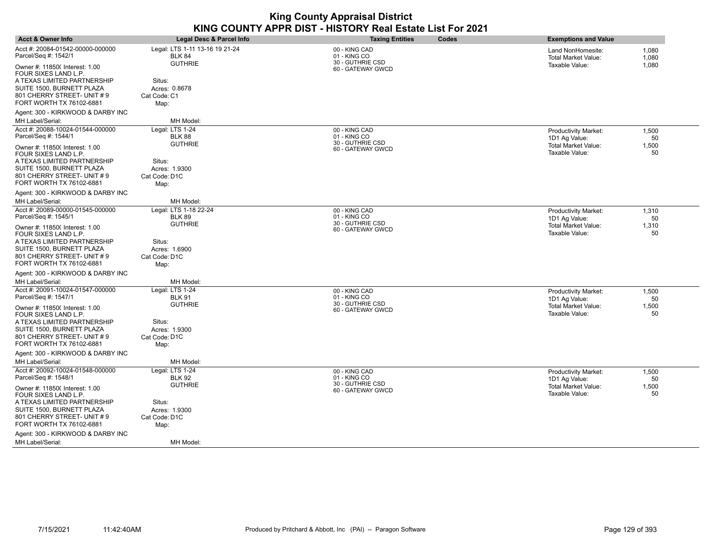| <b>Acct &amp; Owner Info</b>                                                                                                                                                 | Legal Desc & Parcel Info                                           | <b>Taxing Entities</b>                                                 | Codes | <b>Exemptions and Value</b>                                   |                         |
|------------------------------------------------------------------------------------------------------------------------------------------------------------------------------|--------------------------------------------------------------------|------------------------------------------------------------------------|-------|---------------------------------------------------------------|-------------------------|
| Acct #: 20084-01542-00000-000000<br>Parcel/Seq #: 1542/1<br>Owner #: 11850( Interest: 1.00<br>FOUR SIXES LAND L.P.                                                           | Legal: LTS 1-11 13-16 19 21-24<br><b>BLK 84</b><br><b>GUTHRIE</b>  | 00 - KING CAD<br>01 - KING CO<br>30 - GUTHRIE CSD<br>60 - GATEWAY GWCD |       | Land NonHomesite:<br>Total Market Value:<br>Taxable Value:    | 1,080<br>1,080<br>1,080 |
| A TEXAS LIMITED PARTNERSHIP<br>SUITE 1500, BURNETT PLAZA<br>801 CHERRY STREET- UNIT #9<br>FORT WORTH TX 76102-6881                                                           | Situs:<br>Acres: 0.8678<br>Cat Code: C1<br>Map:                    |                                                                        |       |                                                               |                         |
| Agent: 300 - KIRKWOOD & DARBY INC<br>MH Label/Serial:                                                                                                                        | MH Model:                                                          |                                                                        |       |                                                               |                         |
| Acct #: 20088-10024-01544-000000<br>Parcel/Seq #: 1544/1                                                                                                                     | Legal: LTS 1-24<br><b>BLK 88</b>                                   | 00 - KING CAD<br>01 - KING CO                                          |       | <b>Productivity Market:</b><br>1D1 Ag Value:                  | 1,500<br>50             |
| Owner #: 11850( Interest: 1.00<br>FOUR SIXES LAND L.P.                                                                                                                       | <b>GUTHRIE</b>                                                     | 30 - GUTHRIE CSD<br>60 - GATEWAY GWCD                                  |       | <b>Total Market Value:</b><br>Taxable Value:                  | 1,500<br>50             |
| A TEXAS LIMITED PARTNERSHIP<br>SUITE 1500, BURNETT PLAZA<br>801 CHERRY STREET- UNIT #9<br>FORT WORTH TX 76102-6881                                                           | Situs:<br>Acres: 1.9300<br>Cat Code: D1C<br>Map:                   |                                                                        |       |                                                               |                         |
| Agent: 300 - KIRKWOOD & DARBY INC<br>MH Label/Serial:                                                                                                                        | MH Model:                                                          |                                                                        |       |                                                               |                         |
| Acct #: 20089-00000-01545-000000<br>Parcel/Seq #: 1545/1                                                                                                                     | Legal: LTS 1-18 22-24<br><b>BLK 89</b>                             | 00 - KING CAD<br>01 - KING CO                                          |       | <b>Productivity Market:</b><br>1D1 Ag Value:                  | 1,310<br>50             |
| Owner #: 11850( Interest: 1.00<br>FOUR SIXES LAND L.P.<br>A TEXAS LIMITED PARTNERSHIP<br>SUITE 1500, BURNETT PLAZA<br>801 CHERRY STREET- UNIT #9<br>FORT WORTH TX 76102-6881 | <b>GUTHRIE</b><br>Situs:<br>Acres: 1.6900<br>Cat Code: D1C<br>Map: | 30 - GUTHRIE CSD<br>60 - GATEWAY GWCD                                  |       | <b>Total Market Value:</b><br>Taxable Value:                  | 1,310<br>50             |
| Agent: 300 - KIRKWOOD & DARBY INC<br>MH Label/Serial:                                                                                                                        | MH Model:                                                          |                                                                        |       |                                                               |                         |
| Acct #: 20091-10024-01547-000000<br>Parcel/Seq #: 1547/1                                                                                                                     | Legal: LTS 1-24<br><b>BLK 91</b>                                   | 00 - KING CAD<br>01 - KING CO<br>30 - GUTHRIE CSD                      |       | <b>Productivity Market:</b><br>1D1 Ag Value:                  | 1,500<br>50             |
| Owner #: 11850( Interest: 1.00<br>FOUR SIXES LAND L.P.                                                                                                                       | <b>GUTHRIE</b>                                                     | 60 - GATEWAY GWCD                                                      |       | <b>Total Market Value:</b><br>Taxable Value:                  | 1,500<br>50             |
| A TEXAS LIMITED PARTNERSHIP<br>SUITE 1500, BURNETT PLAZA<br>801 CHERRY STREET- UNIT #9<br>FORT WORTH TX 76102-6881                                                           | Situs:<br>Acres: 1.9300<br>Cat Code: D1C<br>Map:                   |                                                                        |       |                                                               |                         |
| Agent: 300 - KIRKWOOD & DARBY INC                                                                                                                                            |                                                                    |                                                                        |       |                                                               |                         |
| MH Label/Serial:<br>Acct #: 20092-10024-01548-000000                                                                                                                         | MH Model:<br>Legal: LTS 1-24                                       | 00 - KING CAD                                                          |       | Productivity Market:                                          | 1,500                   |
| Parcel/Seq #: 1548/1<br>Owner #: 11850( Interest: 1.00                                                                                                                       | <b>BLK 92</b><br><b>GUTHRIE</b>                                    | 01 - KING CO<br>30 - GUTHRIE CSD<br>60 - GATEWAY GWCD                  |       | 1D1 Ag Value:<br><b>Total Market Value:</b><br>Taxable Value: | 50<br>1,500<br>50       |
| FOUR SIXES LAND L.P.<br>A TEXAS LIMITED PARTNERSHIP<br>SUITE 1500, BURNETT PLAZA<br>801 CHERRY STREET- UNIT #9<br>FORT WORTH TX 76102-6881                                   | Situs:<br>Acres: 1.9300<br>Cat Code: D1C<br>Map:                   |                                                                        |       |                                                               |                         |
| Agent: 300 - KIRKWOOD & DARBY INC                                                                                                                                            |                                                                    |                                                                        |       |                                                               |                         |
| MH Label/Serial:                                                                                                                                                             | MH Model:                                                          |                                                                        |       |                                                               |                         |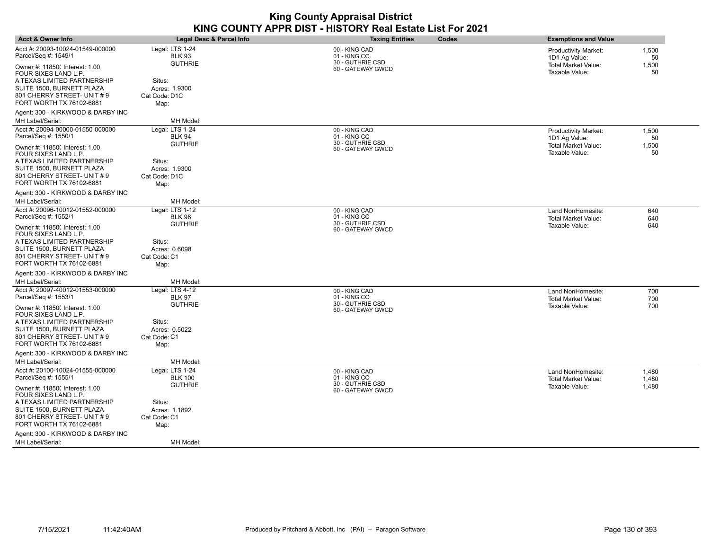| <b>Acct &amp; Owner Info</b>                                                            | Legal Desc & Parcel Info                 | <b>Taxing Entities</b><br>Codes                       | <b>Exemptions and Value</b>                                    |
|-----------------------------------------------------------------------------------------|------------------------------------------|-------------------------------------------------------|----------------------------------------------------------------|
| Acct #: 20093-10024-01549-000000<br>Parcel/Seq #: 1549/1                                | Legal: LTS 1-24<br><b>BLK 93</b>         | 00 - KING CAD<br>01 - KING CO                         | 1,500<br><b>Productivity Market:</b><br>1D1 Ag Value:<br>50    |
| Owner #: 11850( Interest: 1.00<br>FOUR SIXES LAND L.P.                                  | <b>GUTHRIE</b>                           | 30 - GUTHRIE CSD<br>60 - GATEWAY GWCD                 | Total Market Value:<br>1,500<br>Taxable Value:<br>50           |
| A TEXAS LIMITED PARTNERSHIP<br>SUITE 1500, BURNETT PLAZA<br>801 CHERRY STREET- UNIT # 9 | Situs:<br>Acres: 1.9300<br>Cat Code: D1C |                                                       |                                                                |
| FORT WORTH TX 76102-6881                                                                | Map:                                     |                                                       |                                                                |
| Agent: 300 - KIRKWOOD & DARBY INC<br>MH Label/Serial:                                   | MH Model:                                |                                                       |                                                                |
| Acct #: 20094-00000-01550-000000<br>Parcel/Seq #: 1550/1                                | Legal: LTS 1-24<br><b>BLK 94</b>         | 00 - KING CAD<br>01 - KING CO                         | 1,500<br><b>Productivity Market:</b><br>1D1 Ag Value:<br>50    |
| Owner #: 11850( Interest: 1.00<br>FOUR SIXES LAND L.P.                                  | <b>GUTHRIE</b>                           | 30 - GUTHRIE CSD<br>60 - GATEWAY GWCD                 | <b>Total Market Value:</b><br>1,500<br>Taxable Value:<br>50    |
| A TEXAS LIMITED PARTNERSHIP                                                             | Situs:                                   |                                                       |                                                                |
| SUITE 1500, BURNETT PLAZA                                                               | Acres: 1.9300                            |                                                       |                                                                |
| 801 CHERRY STREET- UNIT # 9<br>FORT WORTH TX 76102-6881                                 | Cat Code: D1C<br>Map:                    |                                                       |                                                                |
| Agent: 300 - KIRKWOOD & DARBY INC                                                       |                                          |                                                       |                                                                |
| MH Label/Serial:                                                                        | MH Model:                                |                                                       |                                                                |
| Acct #: 20096-10012-01552-000000<br>Parcel/Seq #: 1552/1                                | Legal: LTS 1-12<br><b>BLK 96</b>         | 00 - KING CAD<br>01 - KING CO                         | Land NonHomesite:<br>640<br><b>Total Market Value:</b><br>640  |
| Owner #: 11850( Interest: 1.00<br>FOUR SIXES LAND L.P.                                  | <b>GUTHRIE</b>                           | 30 - GUTHRIE CSD<br>60 - GATEWAY GWCD                 | Taxable Value:<br>640                                          |
| A TEXAS LIMITED PARTNERSHIP                                                             | Situs:                                   |                                                       |                                                                |
| SUITE 1500, BURNETT PLAZA                                                               | Acres: 0.6098                            |                                                       |                                                                |
| 801 CHERRY STREET- UNIT # 9<br>FORT WORTH TX 76102-6881                                 | Cat Code: C1<br>Map:                     |                                                       |                                                                |
| Agent: 300 - KIRKWOOD & DARBY INC                                                       |                                          |                                                       |                                                                |
| <b>MH Label/Serial:</b>                                                                 | MH Model:                                |                                                       |                                                                |
| Acct #: 20097-40012-01553-000000<br>Parcel/Seq #: 1553/1                                | Legal: LTS 4-12<br><b>BLK 97</b>         | 00 - KING CAD<br>01 - KING CO                         | 700<br>Land NonHomesite:<br><b>Total Market Value:</b><br>700  |
| Owner #: 11850( Interest: 1.00<br>FOUR SIXES LAND L.P.                                  | <b>GUTHRIE</b>                           | 30 - GUTHRIE CSD<br>60 - GATEWAY GWCD                 | Taxable Value:<br>700                                          |
| A TEXAS LIMITED PARTNERSHIP                                                             | Situs:                                   |                                                       |                                                                |
| SUITE 1500, BURNETT PLAZA                                                               | Acres: 0.5022                            |                                                       |                                                                |
| 801 CHERRY STREET- UNIT # 9<br>FORT WORTH TX 76102-6881                                 | Cat Code: C1<br>Map:                     |                                                       |                                                                |
| Agent: 300 - KIRKWOOD & DARBY INC                                                       |                                          |                                                       |                                                                |
| MH Label/Serial:                                                                        | MH Model:                                |                                                       |                                                                |
| Acct #: 20100-10024-01555-000000                                                        | Legal: LTS 1-24                          | 00 - KING CAD                                         | Land NonHomesite:<br>1,480                                     |
| Parcel/Seq #: 1555/1<br>Owner #: 11850( Interest: 1.00                                  | <b>BLK 100</b><br><b>GUTHRIE</b>         | 01 - KING CO<br>30 - GUTHRIE CSD<br>60 - GATEWAY GWCD | <b>Total Market Value:</b><br>1,480<br>Taxable Value:<br>1,480 |
| FOUR SIXES LAND L.P.<br>A TEXAS LIMITED PARTNERSHIP                                     | Situs:                                   |                                                       |                                                                |
| SUITE 1500, BURNETT PLAZA                                                               | Acres: 1.1892                            |                                                       |                                                                |
| 801 CHERRY STREET- UNIT # 9                                                             | Cat Code: C1                             |                                                       |                                                                |
| FORT WORTH TX 76102-6881                                                                | Map:                                     |                                                       |                                                                |
| Agent: 300 - KIRKWOOD & DARBY INC                                                       |                                          |                                                       |                                                                |
| <b>MH Label/Serial:</b>                                                                 | MH Model:                                |                                                       |                                                                |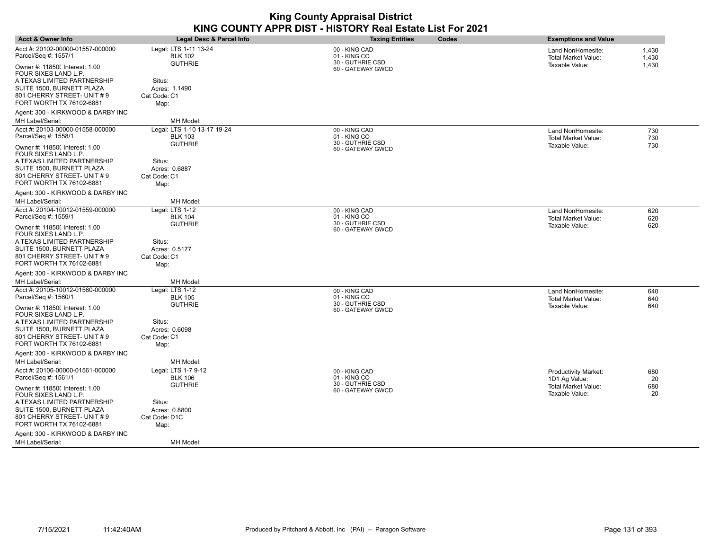| <b>Acct &amp; Owner Info</b>                             | Legal Desc & Parcel Info                      | <b>Taxing Entities</b><br><b>Codes</b> | <b>Exemptions and Value</b>                                       |
|----------------------------------------------------------|-----------------------------------------------|----------------------------------------|-------------------------------------------------------------------|
| Acct #: 20102-00000-01557-000000<br>Parcel/Seq #: 1557/1 | Legal: LTS 1-11 13-24<br><b>BLK 102</b>       | 00 - KING CAD<br>01 - KING CO          | Land NonHomesite:<br>1,430<br><b>Total Market Value:</b><br>1,430 |
| Owner #: 11850( Interest: 1.00<br>FOUR SIXES LAND L.P.   | <b>GUTHRIE</b>                                | 30 - GUTHRIE CSD<br>60 - GATEWAY GWCD  | Taxable Value:<br>1,430                                           |
| A TEXAS LIMITED PARTNERSHIP                              | Situs:                                        |                                        |                                                                   |
| SUITE 1500, BURNETT PLAZA<br>801 CHERRY STREET- UNIT # 9 | Acres: 1.1490                                 |                                        |                                                                   |
| FORT WORTH TX 76102-6881                                 | Cat Code: C1<br>Map:                          |                                        |                                                                   |
| Agent: 300 - KIRKWOOD & DARBY INC                        |                                               |                                        |                                                                   |
| MH Label/Serial:                                         | MH Model:                                     |                                        |                                                                   |
| Acct #: 20103-00000-01558-000000<br>Parcel/Seq #: 1558/1 | Legal: LTS 1-10 13-17 19-24<br><b>BLK 103</b> | 00 - KING CAD<br>01 - KING CO          | 730<br>Land NonHomesite:<br>730<br><b>Total Market Value:</b>     |
| Owner #: 11850( Interest: 1.00<br>FOUR SIXES LAND L.P.   | <b>GUTHRIE</b>                                | 30 - GUTHRIE CSD<br>60 - GATEWAY GWCD  | Taxable Value:<br>730                                             |
| A TEXAS LIMITED PARTNERSHIP                              | Situs:                                        |                                        |                                                                   |
| SUITE 1500, BURNETT PLAZA                                | Acres: 0.6887                                 |                                        |                                                                   |
| 801 CHERRY STREET- UNIT #9<br>FORT WORTH TX 76102-6881   | Cat Code: C1<br>Map:                          |                                        |                                                                   |
| Agent: 300 - KIRKWOOD & DARBY INC                        |                                               |                                        |                                                                   |
| <b>MH Label/Serial:</b>                                  | MH Model:                                     |                                        |                                                                   |
| Acct #: 20104-10012-01559-000000                         | Legal: LTS 1-12                               | 00 - KING CAD                          | 620<br>Land NonHomesite:                                          |
| Parcel/Seq #: 1559/1                                     | <b>BLK 104</b>                                | 01 - KING CO                           | <b>Total Market Value:</b><br>620                                 |
| Owner #: 11850( Interest: 1.00<br>FOUR SIXES LAND L.P.   | <b>GUTHRIE</b>                                | 30 - GUTHRIE CSD<br>60 - GATEWAY GWCD  | Taxable Value:<br>620                                             |
| A TEXAS LIMITED PARTNERSHIP                              | Situs:                                        |                                        |                                                                   |
| SUITE 1500, BURNETT PLAZA                                | Acres: 0.5177                                 |                                        |                                                                   |
| 801 CHERRY STREET- UNIT #9                               | Cat Code: C1                                  |                                        |                                                                   |
| FORT WORTH TX 76102-6881                                 | Map:                                          |                                        |                                                                   |
| Agent: 300 - KIRKWOOD & DARBY INC                        |                                               |                                        |                                                                   |
| MH Label/Serial:                                         | MH Model:                                     |                                        |                                                                   |
| Acct #: 20105-10012-01560-000000                         | Legal: LTS 1-12                               | 00 - KING CAD                          | Land NonHomesite:<br>640                                          |
| Parcel/Seq #: 1560/1                                     | <b>BLK 105</b><br><b>GUTHRIE</b>              | 01 - KING CO<br>30 - GUTHRIE CSD       | 640<br><b>Total Market Value:</b>                                 |
| Owner #: 11850( Interest: 1.00<br>FOUR SIXES LAND L.P.   |                                               | 60 - GATEWAY GWCD                      | Taxable Value:<br>640                                             |
| A TEXAS LIMITED PARTNERSHIP                              | Situs:                                        |                                        |                                                                   |
| SUITE 1500, BURNETT PLAZA                                | Acres: 0.6098                                 |                                        |                                                                   |
| 801 CHERRY STREET- UNIT # 9<br>FORT WORTH TX 76102-6881  | Cat Code: C1<br>Map:                          |                                        |                                                                   |
| Agent: 300 - KIRKWOOD & DARBY INC                        |                                               |                                        |                                                                   |
| MH Label/Serial:                                         | MH Model:                                     |                                        |                                                                   |
| Acct #: 20106-00000-01561-000000                         | Legal: LTS 1-7 9-12                           | 00 - KING CAD                          | <b>Productivity Market:</b><br>680                                |
| Parcel/Seq #: 1561/1                                     | <b>BLK 106</b>                                | 01 - KING CO                           | 1D1 Ag Value:<br>20                                               |
| Owner #: 11850( Interest: 1.00                           | <b>GUTHRIE</b>                                | 30 - GUTHRIE CSD                       | <b>Total Market Value:</b><br>680                                 |
| FOUR SIXES LAND L.P.                                     |                                               | 60 - GATEWAY GWCD                      | Taxable Value:<br>20                                              |
| A TEXAS LIMITED PARTNERSHIP                              | Situs:                                        |                                        |                                                                   |
| SUITE 1500, BURNETT PLAZA                                | Acres: 0.8800                                 |                                        |                                                                   |
| 801 CHERRY STREET- UNIT #9                               | Cat Code: D1C                                 |                                        |                                                                   |
| FORT WORTH TX 76102-6881                                 | Map:                                          |                                        |                                                                   |
| Agent: 300 - KIRKWOOD & DARBY INC                        |                                               |                                        |                                                                   |
| MH Label/Serial:                                         | MH Model:                                     |                                        |                                                                   |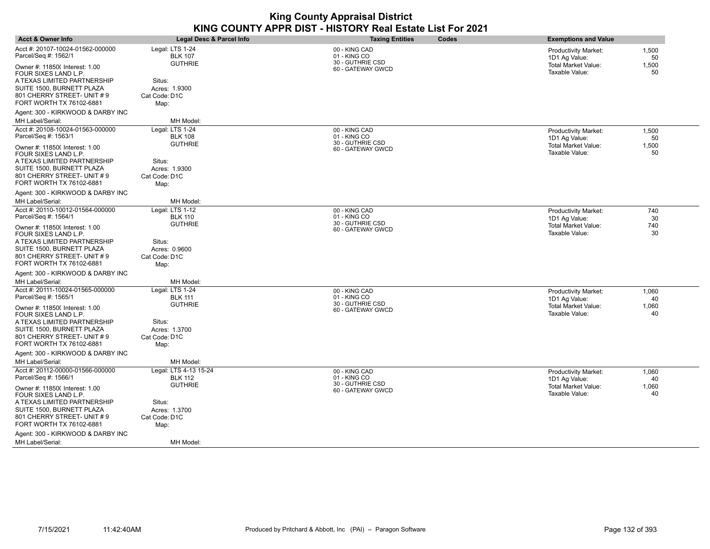| <b>Acct &amp; Owner Info</b>                                                            | Legal Desc & Parcel Info                 | <b>Taxing Entities</b><br><b>Codes</b>            | <b>Exemptions and Value</b>                                                        |
|-----------------------------------------------------------------------------------------|------------------------------------------|---------------------------------------------------|------------------------------------------------------------------------------------|
| Acct #: 20107-10024-01562-000000<br>Parcel/Seq #: 1562/1                                | Legal: LTS 1-24<br><b>BLK 107</b>        | 00 - KING CAD<br>01 - KING CO<br>30 - GUTHRIE CSD | <b>Productivity Market:</b><br>1,500<br>1D1 Ag Value:<br>50                        |
| Owner #: 11850( Interest: 1.00<br>FOUR SIXES LAND L.P.                                  | <b>GUTHRIE</b>                           | 60 - GATEWAY GWCD                                 | <b>Total Market Value:</b><br>1,500<br>Taxable Value:<br>50                        |
| A TEXAS LIMITED PARTNERSHIP<br>SUITE 1500, BURNETT PLAZA<br>801 CHERRY STREET- UNIT # 9 | Situs:<br>Acres: 1.9300<br>Cat Code: D1C |                                                   |                                                                                    |
| FORT WORTH TX 76102-6881                                                                | Map:                                     |                                                   |                                                                                    |
| Agent: 300 - KIRKWOOD & DARBY INC<br>MH Label/Serial:                                   | MH Model:                                |                                                   |                                                                                    |
| Acct #: 20108-10024-01563-000000<br>Parcel/Seq #: 1563/1                                | Legal: LTS 1-24<br><b>BLK 108</b>        | 00 - KING CAD<br>01 - KING CO                     | <b>Productivity Market:</b><br>1,500<br>1D1 Ag Value:<br>50                        |
| Owner #: 11850( Interest: 1.00<br>FOUR SIXES LAND L.P.                                  | <b>GUTHRIE</b>                           | 30 - GUTHRIE CSD<br>60 - GATEWAY GWCD             | <b>Total Market Value:</b><br>1,500<br>Taxable Value:<br>50                        |
| A TEXAS LIMITED PARTNERSHIP                                                             | Situs:                                   |                                                   |                                                                                    |
| SUITE 1500, BURNETT PLAZA                                                               | Acres: 1.9300                            |                                                   |                                                                                    |
| 801 CHERRY STREET- UNIT # 9<br>FORT WORTH TX 76102-6881                                 | Cat Code: D1C<br>Map:                    |                                                   |                                                                                    |
| Agent: 300 - KIRKWOOD & DARBY INC                                                       |                                          |                                                   |                                                                                    |
| MH Label/Serial:                                                                        | MH Model:                                |                                                   |                                                                                    |
| Acct #: 20110-10012-01564-000000<br>Parcel/Seq #: 1564/1                                | Legal: LTS 1-12<br><b>BLK 110</b>        | 00 - KING CAD<br>01 - KING CO                     | 740<br><b>Productivity Market:</b><br>1D1 Ag Value:<br>30                          |
| Owner #: 11850( Interest: 1.00<br>FOUR SIXES LAND L.P.                                  | <b>GUTHRIE</b>                           | 30 - GUTHRIE CSD<br>60 - GATEWAY GWCD             | 740<br>Total Market Value:<br>Taxable Value:<br>30                                 |
| A TEXAS LIMITED PARTNERSHIP                                                             | Situs:                                   |                                                   |                                                                                    |
| SUITE 1500, BURNETT PLAZA<br>801 CHERRY STREET- UNIT # 9                                | Acres: 0.9600<br>Cat Code: D1C           |                                                   |                                                                                    |
| FORT WORTH TX 76102-6881                                                                | Map:                                     |                                                   |                                                                                    |
| Agent: 300 - KIRKWOOD & DARBY INC                                                       |                                          |                                                   |                                                                                    |
| MH Label/Serial:                                                                        | MH Model:                                |                                                   |                                                                                    |
| Acct #: 20111-10024-01565-000000<br>Parcel/Seq #: 1565/1                                | Legal: LTS 1-24                          | 00 - KING CAD<br>01 - KING CO                     | 1,060<br><b>Productivity Market:</b>                                               |
| Owner #: 11850( Interest: 1.00                                                          | <b>BLK 111</b><br><b>GUTHRIE</b>         | 30 - GUTHRIE CSD<br>60 - GATEWAY GWCD             | 1D1 Ag Value:<br>40<br>1,060<br><b>Total Market Value:</b><br>Taxable Value:<br>40 |
| FOUR SIXES LAND L.P.<br>A TEXAS LIMITED PARTNERSHIP                                     | Situs:                                   |                                                   |                                                                                    |
| SUITE 1500, BURNETT PLAZA                                                               | Acres: 1.3700                            |                                                   |                                                                                    |
| 801 CHERRY STREET- UNIT # 9                                                             | Cat Code: D1C                            |                                                   |                                                                                    |
| FORT WORTH TX 76102-6881                                                                | Map:                                     |                                                   |                                                                                    |
| Agent: 300 - KIRKWOOD & DARBY INC<br>MH Label/Serial:                                   | MH Model:                                |                                                   |                                                                                    |
| Acct #: 20112-00000-01566-000000                                                        | Legal: LTS 4-13 15-24                    | 00 - KING CAD                                     | <b>Productivity Market:</b><br>1,060                                               |
| Parcel/Seq #: 1566/1                                                                    | <b>BLK 112</b>                           | 01 - KING CO                                      | 1D1 Ag Value:<br>40                                                                |
| Owner #: 11850( Interest: 1.00<br>FOUR SIXES LAND L.P.                                  | <b>GUTHRIE</b>                           | 30 - GUTHRIE CSD<br>60 - GATEWAY GWCD             | <b>Total Market Value:</b><br>1,060<br>Taxable Value:<br>40                        |
| A TEXAS LIMITED PARTNERSHIP                                                             | Situs:                                   |                                                   |                                                                                    |
| SUITE 1500, BURNETT PLAZA<br>801 CHERRY STREET- UNIT # 9                                | Acres: 1.3700                            |                                                   |                                                                                    |
| FORT WORTH TX 76102-6881                                                                | Cat Code: D1C<br>Map:                    |                                                   |                                                                                    |
| Agent: 300 - KIRKWOOD & DARBY INC                                                       |                                          |                                                   |                                                                                    |
| <b>MH Label/Serial:</b>                                                                 | MH Model:                                |                                                   |                                                                                    |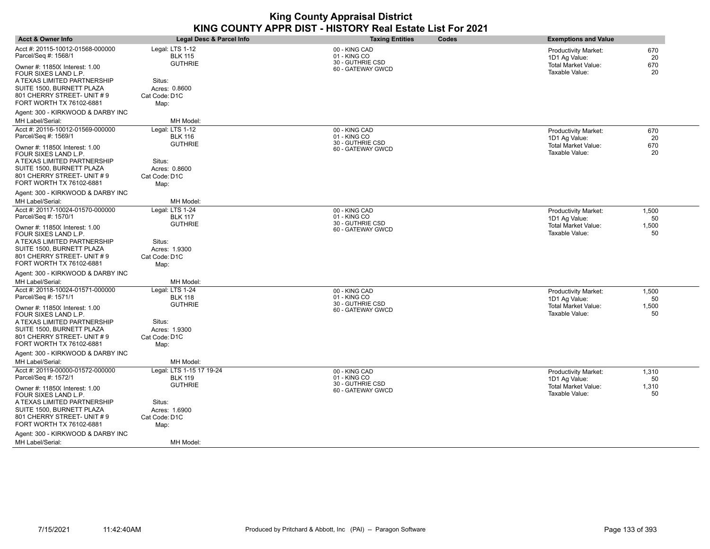| <b>Acct &amp; Owner Info</b>                                                                                                                                                  | Legal Desc & Parcel Info                                           | <b>Taxing Entities</b>                                | <b>Codes</b> | <b>Exemptions and Value</b>                                                |                   |
|-------------------------------------------------------------------------------------------------------------------------------------------------------------------------------|--------------------------------------------------------------------|-------------------------------------------------------|--------------|----------------------------------------------------------------------------|-------------------|
| Acct #: 20115-10012-01568-000000<br>Parcel/Seq #: 1568/1<br>Owner #: 11850( Interest: 1.00                                                                                    | Legal: LTS 1-12<br><b>BLK 115</b><br><b>GUTHRIE</b>                | 00 - KING CAD<br>01 - KING CO<br>30 - GUTHRIE CSD     |              | <b>Productivity Market:</b><br>1D1 Ag Value:<br><b>Total Market Value:</b> | 670<br>20<br>670  |
| FOUR SIXES LAND L.P.<br>A TEXAS LIMITED PARTNERSHIP<br>SUITE 1500, BURNETT PLAZA<br>801 CHERRY STREET- UNIT # 9<br>FORT WORTH TX 76102-6881                                   | Situs:<br>Acres: 0.8600<br>Cat Code: D1C<br>Map:                   | 60 - GATEWAY GWCD                                     |              | Taxable Value:                                                             | 20                |
| Agent: 300 - KIRKWOOD & DARBY INC<br>MH Label/Serial:                                                                                                                         | MH Model:                                                          |                                                       |              |                                                                            |                   |
| Acct #: 20116-10012-01569-000000<br>Parcel/Seq #: 1569/1                                                                                                                      | Legal: LTS 1-12<br><b>BLK 116</b>                                  | 00 - KING CAD<br>01 - KING CO                         |              | <b>Productivity Market:</b><br>1D1 Ag Value:                               | 670<br>20         |
| Owner #: 11850( Interest: 1.00<br>FOUR SIXES LAND L.P.                                                                                                                        | <b>GUTHRIE</b>                                                     | 30 - GUTHRIE CSD<br>60 - GATEWAY GWCD                 |              | <b>Total Market Value:</b><br>Taxable Value:                               | 670<br>20         |
| A TEXAS LIMITED PARTNERSHIP<br>SUITE 1500, BURNETT PLAZA<br>801 CHERRY STREET- UNIT # 9<br>FORT WORTH TX 76102-6881                                                           | Situs:<br>Acres: 0.8600<br>Cat Code: D1C<br>Map:                   |                                                       |              |                                                                            |                   |
| Agent: 300 - KIRKWOOD & DARBY INC                                                                                                                                             |                                                                    |                                                       |              |                                                                            |                   |
| <b>MH Label/Serial:</b><br>Acct #: 20117-10024-01570-000000<br>Parcel/Seq #: 1570/1                                                                                           | MH Model:<br>Legal: LTS 1-24<br><b>BLK 117</b>                     | 00 - KING CAD<br>01 - KING CO                         |              | <b>Productivity Market:</b><br>1D1 Ag Value:                               | 1,500<br>50       |
| Owner #: 11850( Interest: 1.00<br>FOUR SIXES LAND L.P.<br>A TEXAS LIMITED PARTNERSHIP<br>SUITE 1500, BURNETT PLAZA<br>801 CHERRY STREET- UNIT # 9<br>FORT WORTH TX 76102-6881 | <b>GUTHRIE</b><br>Situs:<br>Acres: 1.9300<br>Cat Code: D1C<br>Map: | 30 - GUTHRIE CSD<br>60 - GATEWAY GWCD                 |              | <b>Total Market Value:</b><br>Taxable Value:                               | 1,500<br>50       |
| Agent: 300 - KIRKWOOD & DARBY INC<br><b>MH Label/Serial:</b>                                                                                                                  | MH Model:                                                          |                                                       |              |                                                                            |                   |
| Acct #: 20118-10024-01571-000000                                                                                                                                              | Legal: LTS 1-24                                                    | 00 - KING CAD                                         |              | <b>Productivity Market:</b>                                                | 1,500             |
| Parcel/Seq #: 1571/1<br>Owner #: 11850( Interest: 1.00<br>FOUR SIXES LAND L.P.<br>A TEXAS LIMITED PARTNERSHIP                                                                 | <b>BLK 118</b><br><b>GUTHRIE</b><br>Situs:                         | 01 - KING CO<br>30 - GUTHRIE CSD<br>60 - GATEWAY GWCD |              | 1D1 Ag Value:<br>Total Market Value:<br>Taxable Value:                     | 50<br>1,500<br>50 |
| SUITE 1500, BURNETT PLAZA<br>801 CHERRY STREET- UNIT #9<br>FORT WORTH TX 76102-6881                                                                                           | Acres: 1.9300<br>Cat Code: D1C<br>Map:                             |                                                       |              |                                                                            |                   |
| Agent: 300 - KIRKWOOD & DARBY INC                                                                                                                                             |                                                                    |                                                       |              |                                                                            |                   |
| MH Label/Serial:<br>Acct #: 20119-00000-01572-000000                                                                                                                          | MH Model:<br>Legal: LTS 1-15 17 19-24                              | 00 - KING CAD                                         |              | <b>Productivity Market:</b>                                                | 1,310             |
| Parcel/Seq #: 1572/1<br>Owner #: 11850( Interest: 1.00                                                                                                                        | <b>BLK 119</b><br><b>GUTHRIE</b>                                   | 01 - KING CO<br>30 - GUTHRIE CSD<br>60 - GATEWAY GWCD |              | 1D1 Ag Value:<br><b>Total Market Value:</b>                                | 50<br>1,310       |
| FOUR SIXES LAND L.P.<br>A TEXAS LIMITED PARTNERSHIP<br>SUITE 1500, BURNETT PLAZA<br>801 CHERRY STREET- UNIT # 9<br>FORT WORTH TX 76102-6881                                   | Situs:<br>Acres: 1.6900<br>Cat Code: D1C<br>Map:                   |                                                       |              | Taxable Value:                                                             | 50                |
| Agent: 300 - KIRKWOOD & DARBY INC                                                                                                                                             |                                                                    |                                                       |              |                                                                            |                   |
| <b>MH Label/Serial:</b>                                                                                                                                                       | MH Model:                                                          |                                                       |              |                                                                            |                   |

 $\overline{\phantom{a}}$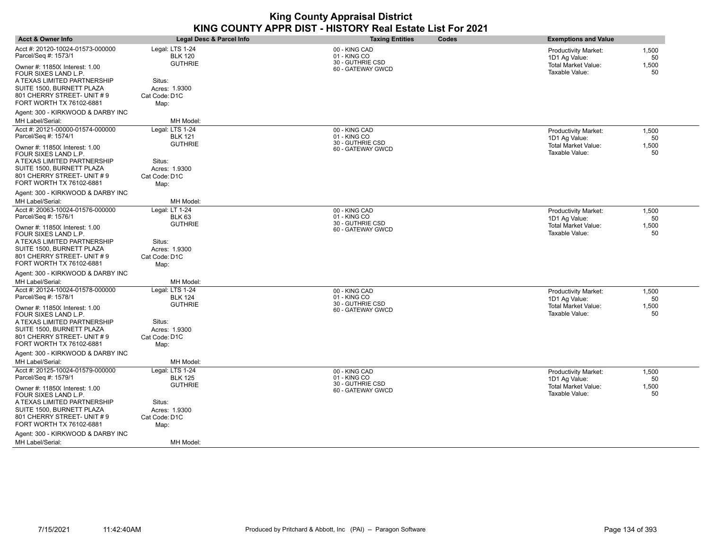| <b>Acct &amp; Owner Info</b>                                                          | Legal Desc & Parcel Info                            | <b>Taxing Entities</b><br><b>Codes</b>            | <b>Exemptions and Value</b>                                 |
|---------------------------------------------------------------------------------------|-----------------------------------------------------|---------------------------------------------------|-------------------------------------------------------------|
| Acct #: 20120-10024-01573-000000<br>Parcel/Seq #: 1573/1                              | Legal: LTS 1-24<br><b>BLK 120</b>                   | 00 - KING CAD<br>01 - KING CO                     | <b>Productivity Market:</b><br>1,500<br>1D1 Ag Value:<br>50 |
| Owner #: 11850( Interest: 1.00<br>FOUR SIXES LAND L.P.<br>A TEXAS LIMITED PARTNERSHIP | <b>GUTHRIE</b><br>Situs:                            | 30 - GUTHRIE CSD<br>60 - GATEWAY GWCD             | <b>Total Market Value:</b><br>1,500<br>Taxable Value:<br>50 |
| SUITE 1500, BURNETT PLAZA<br>801 CHERRY STREET- UNIT # 9<br>FORT WORTH TX 76102-6881  | Acres: 1.9300<br>Cat Code: D1C<br>Map:              |                                                   |                                                             |
| Agent: 300 - KIRKWOOD & DARBY INC                                                     |                                                     |                                                   |                                                             |
| MH Label/Serial:                                                                      | MH Model:                                           |                                                   |                                                             |
| Acct #: 20121-00000-01574-000000<br>Parcel/Seq #: 1574/1                              | Legal: LTS 1-24<br><b>BLK 121</b>                   | 00 - KING CAD<br>01 - KING CO<br>30 - GUTHRIE CSD | <b>Productivity Market:</b><br>1,500<br>1D1 Ag Value:<br>50 |
| Owner #: 11850( Interest: 1.00<br>FOUR SIXES LAND L.P.                                | <b>GUTHRIE</b>                                      | 60 - GATEWAY GWCD                                 | <b>Total Market Value:</b><br>1,500<br>Taxable Value:<br>50 |
| A TEXAS LIMITED PARTNERSHIP<br>SUITE 1500, BURNETT PLAZA                              | Situs:<br>Acres: 1.9300                             |                                                   |                                                             |
| 801 CHERRY STREET- UNIT # 9<br>FORT WORTH TX 76102-6881                               | Cat Code: D1C<br>Map:                               |                                                   |                                                             |
| Agent: 300 - KIRKWOOD & DARBY INC                                                     |                                                     |                                                   |                                                             |
| MH Label/Serial:                                                                      | MH Model:                                           |                                                   |                                                             |
| Acct #: 20063-10024-01576-000000<br>Parcel/Seq #: 1576/1                              | Legal: LT 1-24<br>BLK 63                            | 00 - KING CAD<br>01 - KING CO<br>30 - GUTHRIE CSD | 1,500<br><b>Productivity Market:</b><br>1D1 Ag Value:<br>50 |
| Owner #: 11850( Interest: 1.00<br>FOUR SIXES LAND L.P.                                | <b>GUTHRIE</b>                                      | 60 - GATEWAY GWCD                                 | 1,500<br>Total Market Value:<br>Taxable Value:<br>50        |
| A TEXAS LIMITED PARTNERSHIP<br>SUITE 1500, BURNETT PLAZA                              | Situs:<br>Acres: 1.9300                             |                                                   |                                                             |
| 801 CHERRY STREET- UNIT # 9<br>FORT WORTH TX 76102-6881                               | Cat Code: D1C<br>Map:                               |                                                   |                                                             |
| Agent: 300 - KIRKWOOD & DARBY INC                                                     |                                                     |                                                   |                                                             |
| MH Label/Serial:                                                                      | MH Model:                                           |                                                   |                                                             |
| Acct #: 20124-10024-01578-000000<br>Parcel/Seq #: 1578/1                              | Legal: LTS 1-24<br><b>BLK 124</b><br><b>GUTHRIE</b> | 00 - KING CAD<br>01 - KING CO<br>30 - GUTHRIE CSD | 1,500<br><b>Productivity Market:</b><br>50<br>1D1 Ag Value: |
| Owner #: 11850( Interest: 1.00<br>FOUR SIXES LAND L.P.                                |                                                     | 60 - GATEWAY GWCD                                 | <b>Total Market Value:</b><br>1,500<br>Taxable Value:<br>50 |
| A TEXAS LIMITED PARTNERSHIP<br>SUITE 1500, BURNETT PLAZA                              | Situs:<br>Acres: 1.9300                             |                                                   |                                                             |
| 801 CHERRY STREET- UNIT # 9<br>FORT WORTH TX 76102-6881                               | Cat Code: D1C<br>Map:                               |                                                   |                                                             |
| Agent: 300 - KIRKWOOD & DARBY INC                                                     |                                                     |                                                   |                                                             |
| MH Label/Serial:                                                                      | MH Model:                                           |                                                   |                                                             |
| Acct #: 20125-10024-01579-000000<br>Parcel/Seq #: 1579/1                              | Legal: LTS 1-24<br><b>BLK 125</b>                   | 00 - KING CAD<br>01 - KING CO                     | 1,500<br><b>Productivity Market:</b><br>1D1 Ag Value:<br>50 |
| Owner #: 11850( Interest: 1.00<br>FOUR SIXES LAND L.P.                                | <b>GUTHRIE</b>                                      | 30 - GUTHRIE CSD<br>60 - GATEWAY GWCD             | <b>Total Market Value:</b><br>1,500<br>50<br>Taxable Value: |
| A TEXAS LIMITED PARTNERSHIP                                                           | Situs:                                              |                                                   |                                                             |
| SUITE 1500, BURNETT PLAZA<br>801 CHERRY STREET- UNIT # 9<br>FORT WORTH TX 76102-6881  | Acres: 1.9300<br>Cat Code: D1C                      |                                                   |                                                             |
| Agent: 300 - KIRKWOOD & DARBY INC                                                     | Map:                                                |                                                   |                                                             |
| <b>MH Label/Serial:</b>                                                               | MH Model:                                           |                                                   |                                                             |

 $\overline{\phantom{a}}$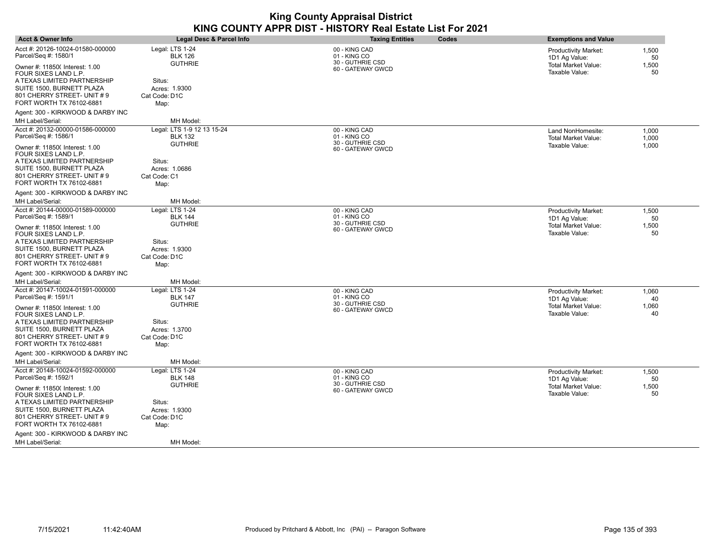| <b>Acct &amp; Owner Info</b>                                                                                        | Legal Desc & Parcel Info                                       | <b>Taxing Entities</b>                                                 | Codes | <b>Exemptions and Value</b>                                                           |                            |
|---------------------------------------------------------------------------------------------------------------------|----------------------------------------------------------------|------------------------------------------------------------------------|-------|---------------------------------------------------------------------------------------|----------------------------|
| Acct #: 20126-10024-01580-000000<br>Parcel/Seq #: 1580/1<br>Owner #: 11850( Interest: 1.00<br>FOUR SIXES LAND L.P.  | Legal: LTS 1-24<br><b>BLK 126</b><br><b>GUTHRIE</b>            | 00 - KING CAD<br>01 - KING CO<br>30 - GUTHRIE CSD<br>60 - GATEWAY GWCD |       | Productivity Market:<br>1D1 Ag Value:<br><b>Total Market Value:</b><br>Taxable Value: | 1,500<br>50<br>1,500<br>50 |
| A TEXAS LIMITED PARTNERSHIP<br>SUITE 1500, BURNETT PLAZA<br>801 CHERRY STREET- UNIT # 9<br>FORT WORTH TX 76102-6881 | Situs:<br>Acres: 1.9300<br>Cat Code: D1C<br>Map:               |                                                                        |       |                                                                                       |                            |
| Agent: 300 - KIRKWOOD & DARBY INC                                                                                   |                                                                |                                                                        |       |                                                                                       |                            |
| MH Label/Serial:                                                                                                    | MH Model:                                                      |                                                                        |       |                                                                                       |                            |
| Acct #: 20132-00000-01586-000000<br>Parcel/Seq #: 1586/1                                                            | Legal: LTS 1-9 12 13 15-24<br><b>BLK 132</b><br><b>GUTHRIE</b> | 00 - KING CAD<br>01 - KING CO<br>30 - GUTHRIE CSD                      |       | Land NonHomesite:<br><b>Total Market Value:</b>                                       | 1,000<br>1,000             |
| Owner #: 11850( Interest: 1.00<br>FOUR SIXES LAND L.P.                                                              |                                                                | 60 - GATEWAY GWCD                                                      |       | Taxable Value:                                                                        | 1,000                      |
| A TEXAS LIMITED PARTNERSHIP                                                                                         | Situs:                                                         |                                                                        |       |                                                                                       |                            |
| SUITE 1500, BURNETT PLAZA<br>801 CHERRY STREET- UNIT #9<br>FORT WORTH TX 76102-6881                                 | Acres: 1.0686<br>Cat Code: C1<br>Map:                          |                                                                        |       |                                                                                       |                            |
| Agent: 300 - KIRKWOOD & DARBY INC                                                                                   |                                                                |                                                                        |       |                                                                                       |                            |
| MH Label/Serial:                                                                                                    | MH Model:                                                      |                                                                        |       |                                                                                       |                            |
| Acct #: 20144-00000-01589-000000<br>Parcel/Seq #: 1589/1                                                            | Legal: LTS 1-24<br><b>BLK 144</b>                              | 00 - KING CAD<br>01 - KING CO                                          |       | <b>Productivity Market:</b><br>1D1 Ag Value:                                          | 1,500<br>50                |
| Owner #: 11850( Interest: 1.00<br>FOUR SIXES LAND L.P.                                                              | <b>GUTHRIE</b>                                                 | 30 - GUTHRIE CSD<br>60 - GATEWAY GWCD                                  |       | <b>Total Market Value:</b><br>Taxable Value:                                          | 1,500<br>50                |
| A TEXAS LIMITED PARTNERSHIP                                                                                         | Situs:                                                         |                                                                        |       |                                                                                       |                            |
| SUITE 1500, BURNETT PLAZA<br>801 CHERRY STREET- UNIT #9                                                             | Acres: 1.9300                                                  |                                                                        |       |                                                                                       |                            |
| FORT WORTH TX 76102-6881                                                                                            | Cat Code: D1C<br>Map:                                          |                                                                        |       |                                                                                       |                            |
| Agent: 300 - KIRKWOOD & DARBY INC                                                                                   |                                                                |                                                                        |       |                                                                                       |                            |
| MH Label/Serial:                                                                                                    | MH Model:                                                      |                                                                        |       |                                                                                       |                            |
| Acct #: 20147-10024-01591-000000                                                                                    | Legal: LTS 1-24                                                | 00 - KING CAD                                                          |       | <b>Productivity Market:</b>                                                           | 1,060                      |
| Parcel/Seq #: 1591/1                                                                                                | <b>BLK 147</b>                                                 | 01 - KING CO<br>30 - GUTHRIE CSD                                       |       | 1D1 Ag Value:                                                                         | 40                         |
| Owner #: 11850( Interest: 1.00<br>FOUR SIXES LAND L.P.                                                              | <b>GUTHRIE</b>                                                 | 60 - GATEWAY GWCD                                                      |       | <b>Total Market Value:</b><br>Taxable Value:                                          | 1,060<br>40                |
| A TEXAS LIMITED PARTNERSHIP                                                                                         | Situs:                                                         |                                                                        |       |                                                                                       |                            |
| SUITE 1500, BURNETT PLAZA                                                                                           | Acres: 1.3700                                                  |                                                                        |       |                                                                                       |                            |
| 801 CHERRY STREET- UNIT #9<br>FORT WORTH TX 76102-6881                                                              | Cat Code: D1C<br>Map:                                          |                                                                        |       |                                                                                       |                            |
| Agent: 300 - KIRKWOOD & DARBY INC                                                                                   |                                                                |                                                                        |       |                                                                                       |                            |
| MH Label/Serial:                                                                                                    | MH Model:                                                      |                                                                        |       |                                                                                       |                            |
| Acct #: 20148-10024-01592-000000                                                                                    | Legal: LTS 1-24                                                | 00 - KING CAD                                                          |       | <b>Productivity Market:</b>                                                           | 1,500                      |
| Parcel/Seq #: 1592/1                                                                                                | <b>BLK 148</b>                                                 | 01 - KING CO<br>30 - GUTHRIE CSD                                       |       | 1D1 Ag Value:                                                                         | 50                         |
| Owner #: 11850( Interest: 1.00<br>FOUR SIXES LAND L.P.                                                              | <b>GUTHRIE</b>                                                 | 60 - GATEWAY GWCD                                                      |       | Total Market Value:<br>Taxable Value:                                                 | 1,500<br>50                |
| A TEXAS LIMITED PARTNERSHIP                                                                                         | Situs:                                                         |                                                                        |       |                                                                                       |                            |
| SUITE 1500, BURNETT PLAZA                                                                                           | Acres: 1.9300                                                  |                                                                        |       |                                                                                       |                            |
| 801 CHERRY STREET- UNIT # 9<br>FORT WORTH TX 76102-6881                                                             | Cat Code: D1C<br>Map:                                          |                                                                        |       |                                                                                       |                            |
| Agent: 300 - KIRKWOOD & DARBY INC                                                                                   |                                                                |                                                                        |       |                                                                                       |                            |
| <b>MH Label/Serial:</b>                                                                                             | MH Model:                                                      |                                                                        |       |                                                                                       |                            |
|                                                                                                                     |                                                                |                                                                        |       |                                                                                       |                            |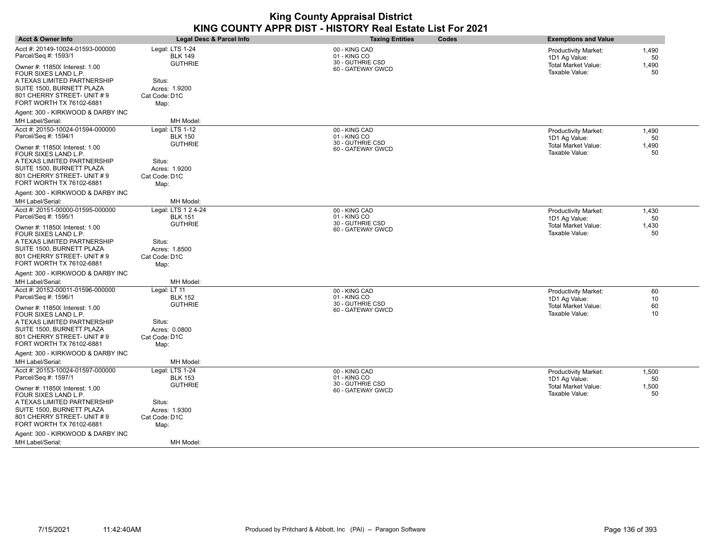| <b>Acct &amp; Owner Info</b>                                                          | Legal Desc & Parcel Info               | <b>Taxing Entities</b>                            | <b>Codes</b> | <b>Exemptions and Value</b>                                                |                |
|---------------------------------------------------------------------------------------|----------------------------------------|---------------------------------------------------|--------------|----------------------------------------------------------------------------|----------------|
| Acct #: 20149-10024-01593-000000<br>Parcel/Seq #: 1593/1                              | Legal: LTS 1-24<br><b>BLK 149</b>      | 00 - KING CAD<br>01 - KING CO                     |              | <b>Productivity Market:</b><br>1D1 Ag Value:                               | 1,490<br>50    |
| Owner #: 11850( Interest: 1.00<br>FOUR SIXES LAND L.P.<br>A TEXAS LIMITED PARTNERSHIP | <b>GUTHRIE</b><br>Situs:               | 30 - GUTHRIE CSD<br>60 - GATEWAY GWCD             |              | <b>Total Market Value:</b><br>Taxable Value:                               | 1,490<br>50    |
| SUITE 1500, BURNETT PLAZA<br>801 CHERRY STREET- UNIT # 9<br>FORT WORTH TX 76102-6881  | Acres: 1.9200<br>Cat Code: D1C<br>Map: |                                                   |              |                                                                            |                |
| Agent: 300 - KIRKWOOD & DARBY INC                                                     |                                        |                                                   |              |                                                                            |                |
| MH Label/Serial:                                                                      | MH Model:                              |                                                   |              |                                                                            |                |
| Acct #: 20150-10024-01594-000000<br>Parcel/Seq #: 1594/1                              | Legal: LTS 1-12<br><b>BLK 150</b>      | 00 - KING CAD<br>01 - KING CO                     |              | <b>Productivity Market:</b><br>1D1 Ag Value:                               | 1,490<br>50    |
| Owner #: 11850( Interest: 1.00<br>FOUR SIXES LAND L.P.                                | <b>GUTHRIE</b>                         | 30 - GUTHRIE CSD<br>60 - GATEWAY GWCD             |              | <b>Total Market Value:</b><br>Taxable Value:                               | 1,490<br>50    |
| A TEXAS LIMITED PARTNERSHIP<br>SUITE 1500, BURNETT PLAZA                              | Situs:<br>Acres: 1.9200                |                                                   |              |                                                                            |                |
| 801 CHERRY STREET- UNIT # 9<br>FORT WORTH TX 76102-6881                               | Cat Code: D1C<br>Map:                  |                                                   |              |                                                                            |                |
| Agent: 300 - KIRKWOOD & DARBY INC                                                     |                                        |                                                   |              |                                                                            |                |
| MH Label/Serial:                                                                      | MH Model:                              |                                                   |              |                                                                            |                |
| Acct #: 20151-00000-01595-000000<br>Parcel/Seq #: 1595/1                              | Legal: LTS 1 2 4-24<br><b>BLK 151</b>  | 00 - KING CAD<br>01 - KING CO<br>30 - GUTHRIE CSD |              | <b>Productivity Market:</b><br>1D1 Ag Value:                               | 1,430<br>50    |
| Owner #: 11850( Interest: 1.00<br>FOUR SIXES LAND L.P.                                | <b>GUTHRIE</b>                         | 60 - GATEWAY GWCD                                 |              | Total Market Value:<br>Taxable Value:                                      | 1,430<br>50    |
| A TEXAS LIMITED PARTNERSHIP<br>SUITE 1500, BURNETT PLAZA                              | Situs:<br>Acres: 1.8500                |                                                   |              |                                                                            |                |
| 801 CHERRY STREET- UNIT # 9<br>FORT WORTH TX 76102-6881                               | Cat Code: D1C<br>Map:                  |                                                   |              |                                                                            |                |
| Agent: 300 - KIRKWOOD & DARBY INC                                                     |                                        |                                                   |              |                                                                            |                |
| MH Label/Serial:<br>Acct #: 20152-00011-01596-000000                                  | MH Model:<br>Legal: LT 11              |                                                   |              |                                                                            |                |
| Parcel/Seq #: 1596/1                                                                  | <b>BLK 152</b><br><b>GUTHRIE</b>       | 00 - KING CAD<br>01 - KING CO<br>30 - GUTHRIE CSD |              | <b>Productivity Market:</b><br>1D1 Ag Value:<br><b>Total Market Value:</b> | 60<br>10<br>60 |
| Owner #: 11850( Interest: 1.00<br>FOUR SIXES LAND L.P.                                |                                        | 60 - GATEWAY GWCD                                 |              | Taxable Value:                                                             | 10             |
| A TEXAS LIMITED PARTNERSHIP<br>SUITE 1500, BURNETT PLAZA                              | Situs:<br>Acres: 0.0800                |                                                   |              |                                                                            |                |
| 801 CHERRY STREET- UNIT # 9<br>FORT WORTH TX 76102-6881                               | Cat Code: D1C<br>Map:                  |                                                   |              |                                                                            |                |
| Agent: 300 - KIRKWOOD & DARBY INC                                                     |                                        |                                                   |              |                                                                            |                |
| MH Label/Serial:                                                                      | MH Model:                              |                                                   |              |                                                                            |                |
| Acct #: 20153-10024-01597-000000<br>Parcel/Seq #: 1597/1                              | Legal: LTS 1-24<br><b>BLK 153</b>      | 00 - KING CAD<br>01 - KING CO                     |              | <b>Productivity Market:</b><br>1D1 Ag Value:                               | 1,500<br>50    |
| Owner #: 11850( Interest: 1.00<br>FOUR SIXES LAND L.P.                                | <b>GUTHRIE</b>                         | 30 - GUTHRIE CSD<br>60 - GATEWAY GWCD             |              | <b>Total Market Value:</b><br>Taxable Value:                               | 1,500<br>50    |
| A TEXAS LIMITED PARTNERSHIP                                                           | Situs:                                 |                                                   |              |                                                                            |                |
| SUITE 1500, BURNETT PLAZA<br>801 CHERRY STREET- UNIT # 9                              | Acres: 1.9300<br>Cat Code: D1C         |                                                   |              |                                                                            |                |
| FORT WORTH TX 76102-6881                                                              | Map:                                   |                                                   |              |                                                                            |                |
| Agent: 300 - KIRKWOOD & DARBY INC                                                     |                                        |                                                   |              |                                                                            |                |
| <b>MH Label/Serial:</b>                                                               | MH Model:                              |                                                   |              |                                                                            |                |

 $\overline{\phantom{a}}$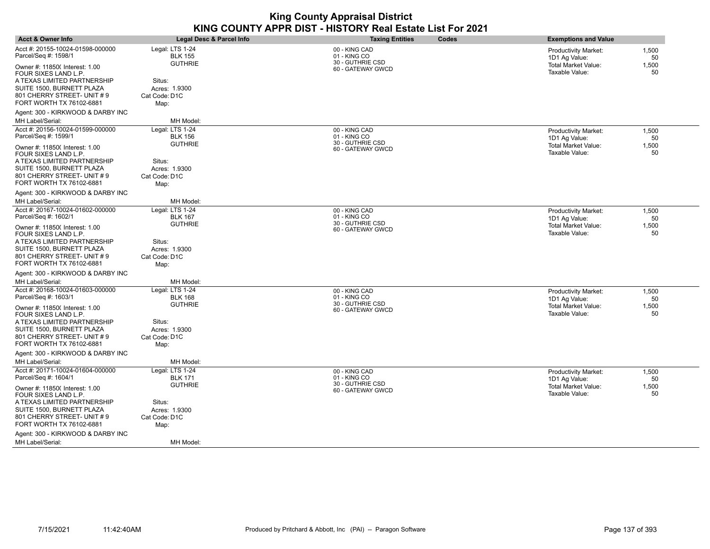| <b>Acct &amp; Owner Info</b>                                                          | Legal Desc & Parcel Info               | <b>Taxing Entities</b>                            | <b>Codes</b> | <b>Exemptions and Value</b>                  |             |
|---------------------------------------------------------------------------------------|----------------------------------------|---------------------------------------------------|--------------|----------------------------------------------|-------------|
| Acct #: 20155-10024-01598-000000<br>Parcel/Seq #: 1598/1                              | Legal: LTS 1-24<br><b>BLK 155</b>      | 00 - KING CAD<br>01 - KING CO                     |              | <b>Productivity Market:</b><br>1D1 Ag Value: | 1,500<br>50 |
| Owner #: 11850( Interest: 1.00<br>FOUR SIXES LAND L.P.<br>A TEXAS LIMITED PARTNERSHIP | <b>GUTHRIE</b><br>Situs:               | 30 - GUTHRIE CSD<br>60 - GATEWAY GWCD             |              | <b>Total Market Value:</b><br>Taxable Value: | 1,500<br>50 |
| SUITE 1500, BURNETT PLAZA<br>801 CHERRY STREET- UNIT # 9<br>FORT WORTH TX 76102-6881  | Acres: 1.9300<br>Cat Code: D1C<br>Map: |                                                   |              |                                              |             |
| Agent: 300 - KIRKWOOD & DARBY INC                                                     |                                        |                                                   |              |                                              |             |
| MH Label/Serial:                                                                      | MH Model:                              |                                                   |              |                                              |             |
| Acct #: 20156-10024-01599-000000<br>Parcel/Seq #: 1599/1                              | Legal: LTS 1-24<br><b>BLK 156</b>      | 00 - KING CAD<br>01 - KING CO<br>30 - GUTHRIE CSD |              | <b>Productivity Market:</b><br>1D1 Ag Value: | 1,500<br>50 |
| Owner #: 11850( Interest: 1.00<br>FOUR SIXES LAND L.P.                                | <b>GUTHRIE</b>                         | 60 - GATEWAY GWCD                                 |              | <b>Total Market Value:</b><br>Taxable Value: | 1,500<br>50 |
| A TEXAS LIMITED PARTNERSHIP<br>SUITE 1500, BURNETT PLAZA                              | Situs:<br>Acres: 1.9300                |                                                   |              |                                              |             |
| 801 CHERRY STREET- UNIT # 9<br>FORT WORTH TX 76102-6881                               | Cat Code: D1C<br>Map:                  |                                                   |              |                                              |             |
| Agent: 300 - KIRKWOOD & DARBY INC                                                     |                                        |                                                   |              |                                              |             |
| MH Label/Serial:                                                                      | MH Model:                              |                                                   |              |                                              |             |
| Acct #: 20167-10024-01602-000000<br>Parcel/Seq #: 1602/1                              | Legal: LTS 1-24<br><b>BLK 167</b>      | 00 - KING CAD<br>01 - KING CO<br>30 - GUTHRIE CSD |              | <b>Productivity Market:</b><br>1D1 Ag Value: | 1,500<br>50 |
| Owner #: 11850( Interest: 1.00<br>FOUR SIXES LAND L.P.                                | <b>GUTHRIE</b>                         | 60 - GATEWAY GWCD                                 |              | Total Market Value:<br>Taxable Value:        | 1,500<br>50 |
| A TEXAS LIMITED PARTNERSHIP<br>SUITE 1500, BURNETT PLAZA                              | Situs:<br>Acres: 1.9300                |                                                   |              |                                              |             |
| 801 CHERRY STREET- UNIT # 9<br>FORT WORTH TX 76102-6881                               | Cat Code: D1C<br>Map:                  |                                                   |              |                                              |             |
| Agent: 300 - KIRKWOOD & DARBY INC                                                     |                                        |                                                   |              |                                              |             |
| MH Label/Serial:                                                                      | MH Model:                              |                                                   |              |                                              |             |
| Acct #: 20168-10024-01603-000000<br>Parcel/Seq #: 1603/1                              | Legal: LTS 1-24<br><b>BLK 168</b>      | 00 - KING CAD<br>01 - KING CO<br>30 - GUTHRIE CSD |              | <b>Productivity Market:</b><br>1D1 Ag Value: | 1,500<br>50 |
| Owner #: 11850( Interest: 1.00<br>FOUR SIXES LAND L.P.                                | <b>GUTHRIE</b>                         | 60 - GATEWAY GWCD                                 |              | <b>Total Market Value:</b><br>Taxable Value: | 1,500<br>50 |
| A TEXAS LIMITED PARTNERSHIP<br>SUITE 1500, BURNETT PLAZA                              | Situs:<br>Acres: 1.9300                |                                                   |              |                                              |             |
| 801 CHERRY STREET- UNIT # 9<br>FORT WORTH TX 76102-6881                               | Cat Code: D1C<br>Map:                  |                                                   |              |                                              |             |
| Agent: 300 - KIRKWOOD & DARBY INC                                                     |                                        |                                                   |              |                                              |             |
| MH Label/Serial:                                                                      | MH Model:                              |                                                   |              |                                              |             |
| Acct #: 20171-10024-01604-000000<br>Parcel/Seq #: 1604/1                              | Legal: LTS 1-24<br><b>BLK 171</b>      | 00 - KING CAD<br>01 - KING CO<br>30 - GUTHRIE CSD |              | <b>Productivity Market:</b><br>1D1 Ag Value: | 1,500<br>50 |
| Owner #: 11850( Interest: 1.00<br>FOUR SIXES LAND L.P.                                | <b>GUTHRIE</b>                         | 60 - GATEWAY GWCD                                 |              | <b>Total Market Value:</b><br>Taxable Value: | 1,500<br>50 |
| A TEXAS LIMITED PARTNERSHIP<br>SUITE 1500, BURNETT PLAZA                              | Situs:<br>Acres: 1.9300                |                                                   |              |                                              |             |
| 801 CHERRY STREET- UNIT # 9<br>FORT WORTH TX 76102-6881                               | Cat Code: D1C<br>Map:                  |                                                   |              |                                              |             |
| Agent: 300 - KIRKWOOD & DARBY INC                                                     |                                        |                                                   |              |                                              |             |
| <b>MH Label/Serial:</b>                                                               | MH Model:                              |                                                   |              |                                              |             |

 $\overline{\phantom{a}}$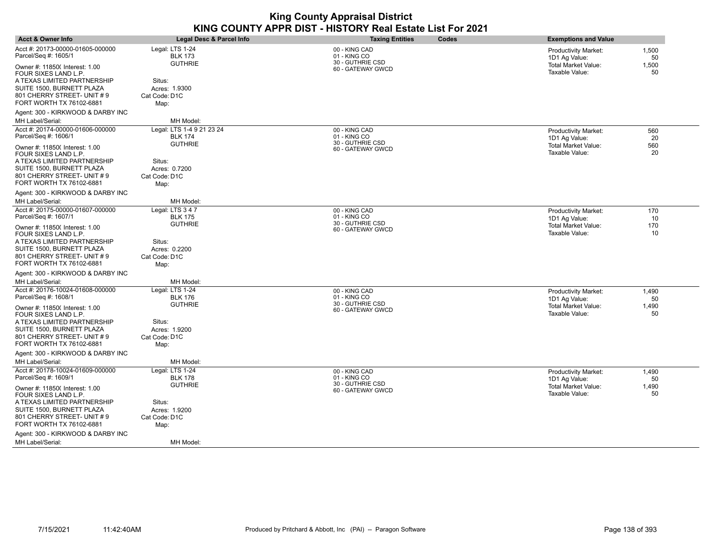| <b>Acct &amp; Owner Info</b>                                                                                       | Legal Desc & Parcel Info                             | <b>Taxing Entities</b>                            | <b>Codes</b> | <b>Exemptions and Value</b>                                                |                      |
|--------------------------------------------------------------------------------------------------------------------|------------------------------------------------------|---------------------------------------------------|--------------|----------------------------------------------------------------------------|----------------------|
| Acct #: 20173-00000-01605-000000<br>Parcel/Seq #: 1605/1                                                           | Legal: LTS 1-24<br><b>BLK 173</b><br><b>GUTHRIE</b>  | 00 - KING CAD<br>01 - KING CO<br>30 - GUTHRIE CSD |              | <b>Productivity Market:</b><br>1D1 Ag Value:<br><b>Total Market Value:</b> | 1,500<br>50<br>1,500 |
| Owner #: 11850( Interest: 1.00<br>FOUR SIXES LAND L.P.<br>A TEXAS LIMITED PARTNERSHIP<br>SUITE 1500, BURNETT PLAZA | Situs:<br>Acres: 1.9300                              | 60 - GATEWAY GWCD                                 |              | Taxable Value:                                                             | 50                   |
| 801 CHERRY STREET- UNIT # 9<br>FORT WORTH TX 76102-6881                                                            | Cat Code: D1C<br>Map:                                |                                                   |              |                                                                            |                      |
| Agent: 300 - KIRKWOOD & DARBY INC<br>MH Label/Serial:                                                              | MH Model:                                            |                                                   |              |                                                                            |                      |
| Acct #: 20174-00000-01606-000000                                                                                   | Legal: LTS 1-4 9 21 23 24                            | 00 - KING CAD                                     |              | <b>Productivity Market:</b>                                                | 560                  |
| Parcel/Seq #: 1606/1                                                                                               | <b>BLK 174</b>                                       | 01 - KING CO                                      |              | 1D1 Ag Value:                                                              | 20                   |
| Owner #: 11850( Interest: 1.00<br>FOUR SIXES LAND L.P.                                                             | <b>GUTHRIE</b>                                       | 30 - GUTHRIE CSD<br>60 - GATEWAY GWCD             |              | <b>Total Market Value:</b><br>Taxable Value:                               | 560<br>20            |
| A TEXAS LIMITED PARTNERSHIP                                                                                        | Situs:                                               |                                                   |              |                                                                            |                      |
| SUITE 1500, BURNETT PLAZA<br>801 CHERRY STREET- UNIT # 9<br>FORT WORTH TX 76102-6881                               | Acres: 0.7200<br>Cat Code: D1C<br>Map:               |                                                   |              |                                                                            |                      |
| Agent: 300 - KIRKWOOD & DARBY INC                                                                                  |                                                      |                                                   |              |                                                                            |                      |
| <b>MH Label/Serial:</b>                                                                                            | MH Model:                                            |                                                   |              |                                                                            |                      |
| Acct #: 20175-00000-01607-000000<br>Parcel/Seq #: 1607/1                                                           | Legal: LTS 3 4 7<br><b>BLK 175</b><br><b>GUTHRIE</b> | 00 - KING CAD<br>01 - KING CO<br>30 - GUTHRIE CSD |              | <b>Productivity Market:</b><br>1D1 Ag Value:                               | 170<br>10            |
| Owner #: 11850( Interest: 1.00<br>FOUR SIXES LAND L.P.                                                             |                                                      | 60 - GATEWAY GWCD                                 |              | <b>Total Market Value:</b><br>Taxable Value:                               | 170<br>10            |
| A TEXAS LIMITED PARTNERSHIP<br>SUITE 1500, BURNETT PLAZA                                                           | Situs:<br>Acres: 0.2200                              |                                                   |              |                                                                            |                      |
| 801 CHERRY STREET- UNIT # 9                                                                                        | Cat Code: D1C                                        |                                                   |              |                                                                            |                      |
| FORT WORTH TX 76102-6881                                                                                           | Map:                                                 |                                                   |              |                                                                            |                      |
| Agent: 300 - KIRKWOOD & DARBY INC                                                                                  |                                                      |                                                   |              |                                                                            |                      |
| <b>MH Label/Serial:</b>                                                                                            | MH Model:                                            |                                                   |              |                                                                            |                      |
| Acct #: 20176-10024-01608-000000<br>Parcel/Seq #: 1608/1                                                           | Legal: LTS 1-24<br><b>BLK 176</b><br><b>GUTHRIE</b>  | 00 - KING CAD<br>01 - KING CO<br>30 - GUTHRIE CSD |              | <b>Productivity Market:</b><br>1D1 Ag Value:<br>Total Market Value:        | 1,490<br>50<br>1,490 |
| Owner #: 11850( Interest: 1.00<br>FOUR SIXES LAND L.P.                                                             |                                                      | 60 - GATEWAY GWCD                                 |              | Taxable Value:                                                             | 50                   |
| A TEXAS LIMITED PARTNERSHIP                                                                                        | Situs:                                               |                                                   |              |                                                                            |                      |
| SUITE 1500, BURNETT PLAZA<br>801 CHERRY STREET- UNIT #9                                                            | Acres: 1.9200                                        |                                                   |              |                                                                            |                      |
| FORT WORTH TX 76102-6881                                                                                           | Cat Code: D1C<br>Map:                                |                                                   |              |                                                                            |                      |
| Agent: 300 - KIRKWOOD & DARBY INC                                                                                  |                                                      |                                                   |              |                                                                            |                      |
| MH Label/Serial:                                                                                                   | MH Model:                                            |                                                   |              |                                                                            |                      |
| Acct #: 20178-10024-01609-000000                                                                                   | Legal: LTS 1-24                                      | 00 - KING CAD                                     |              | <b>Productivity Market:</b>                                                | 1,490                |
| Parcel/Seq #: 1609/1                                                                                               | <b>BLK 178</b><br><b>GUTHRIE</b>                     | 01 - KING CO<br>30 - GUTHRIE CSD                  |              | 1D1 Ag Value:<br><b>Total Market Value:</b>                                | 50<br>1,490          |
| Owner #: 11850( Interest: 1.00<br>FOUR SIXES LAND L.P.                                                             |                                                      | 60 - GATEWAY GWCD                                 |              | Taxable Value:                                                             | 50                   |
| A TEXAS LIMITED PARTNERSHIP                                                                                        | Situs:                                               |                                                   |              |                                                                            |                      |
| SUITE 1500, BURNETT PLAZA<br>801 CHERRY STREET- UNIT # 9                                                           | Acres: 1.9200<br>Cat Code: D1C                       |                                                   |              |                                                                            |                      |
| FORT WORTH TX 76102-6881                                                                                           | Map:                                                 |                                                   |              |                                                                            |                      |
| Agent: 300 - KIRKWOOD & DARBY INC                                                                                  |                                                      |                                                   |              |                                                                            |                      |
| <b>MH Label/Serial:</b>                                                                                            | MH Model:                                            |                                                   |              |                                                                            |                      |

 $\overline{\phantom{a}}$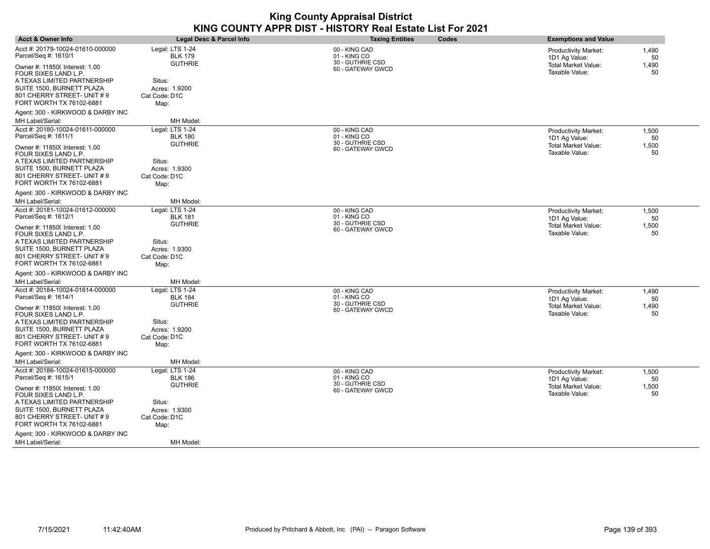| <b>Acct &amp; Owner Info</b>                                                                                                                                                  | Legal Desc & Parcel Info                                           | <b>Taxing Entities</b>                                | <b>Codes</b> | <b>Exemptions and Value</b>                                                |                      |
|-------------------------------------------------------------------------------------------------------------------------------------------------------------------------------|--------------------------------------------------------------------|-------------------------------------------------------|--------------|----------------------------------------------------------------------------|----------------------|
| Acct #: 20179-10024-01610-000000<br>Parcel/Seq #: 1610/1                                                                                                                      | Legal: LTS 1-24<br><b>BLK 179</b><br><b>GUTHRIE</b>                | 00 - KING CAD<br>01 - KING CO<br>30 - GUTHRIE CSD     |              | <b>Productivity Market:</b><br>1D1 Ag Value:                               | 1,490<br>50          |
| Owner #: 11850( Interest: 1.00<br>FOUR SIXES LAND L.P.<br>A TEXAS LIMITED PARTNERSHIP<br>SUITE 1500, BURNETT PLAZA<br>801 CHERRY STREET- UNIT # 9<br>FORT WORTH TX 76102-6881 | Situs:<br>Acres: 1.9200<br>Cat Code: D1C<br>Map:                   | 60 - GATEWAY GWCD                                     |              | <b>Total Market Value:</b><br>Taxable Value:                               | 1,490<br>50          |
| Agent: 300 - KIRKWOOD & DARBY INC<br>MH Label/Serial:                                                                                                                         | MH Model:                                                          |                                                       |              |                                                                            |                      |
| Acct #: 20180-10024-01611-000000<br>Parcel/Seq #: 1611/1                                                                                                                      | Legal: LTS 1-24<br><b>BLK 180</b>                                  | 00 - KING CAD<br>01 - KING CO                         |              | <b>Productivity Market:</b>                                                | 1,500                |
| Owner #: 11850( Interest: 1.00<br>FOUR SIXES LAND L.P.                                                                                                                        | <b>GUTHRIE</b>                                                     | 30 - GUTHRIE CSD<br>60 - GATEWAY GWCD                 |              | 1D1 Ag Value:<br><b>Total Market Value:</b><br>Taxable Value:              | 50<br>1,500<br>50    |
| A TEXAS LIMITED PARTNERSHIP<br>SUITE 1500, BURNETT PLAZA<br>801 CHERRY STREET- UNIT # 9<br>FORT WORTH TX 76102-6881                                                           | Situs:<br>Acres: 1.9300<br>Cat Code: D1C<br>Map:                   |                                                       |              |                                                                            |                      |
| Agent: 300 - KIRKWOOD & DARBY INC                                                                                                                                             |                                                                    |                                                       |              |                                                                            |                      |
| <b>MH Label/Serial:</b><br>Acct #: 20181-10024-01612-000000<br>Parcel/Seq #: 1612/1                                                                                           | MH Model:<br>Legal: LTS 1-24<br><b>BLK 181</b>                     | 00 - KING CAD<br>01 - KING CO                         |              | <b>Productivity Market:</b><br>1D1 Ag Value:                               | 1,500<br>50          |
| Owner #: 11850( Interest: 1.00<br>FOUR SIXES LAND L.P.<br>A TEXAS LIMITED PARTNERSHIP<br>SUITE 1500, BURNETT PLAZA<br>801 CHERRY STREET- UNIT # 9<br>FORT WORTH TX 76102-6881 | <b>GUTHRIE</b><br>Situs:<br>Acres: 1.9300<br>Cat Code: D1C<br>Map: | 30 - GUTHRIE CSD<br>60 - GATEWAY GWCD                 |              | <b>Total Market Value:</b><br>Taxable Value:                               | 1,500<br>50          |
| Agent: 300 - KIRKWOOD & DARBY INC<br>MH Label/Serial:                                                                                                                         | MH Model:                                                          |                                                       |              |                                                                            |                      |
| Acct #: 20184-10024-01614-000000                                                                                                                                              | Legal: LTS 1-24                                                    | 00 - KING CAD                                         |              | <b>Productivity Market:</b>                                                | 1,490                |
| Parcel/Seq #: 1614/1<br>Owner #: 11850( Interest: 1.00<br>FOUR SIXES LAND L.P.<br>A TEXAS LIMITED PARTNERSHIP<br>SUITE 1500, BURNETT PLAZA                                    | <b>BLK 184</b><br><b>GUTHRIE</b><br>Situs:<br>Acres: 1.9200        | 01 - KING CO<br>30 - GUTHRIE CSD<br>60 - GATEWAY GWCD |              | 1D1 Ag Value:<br>Total Market Value:<br>Taxable Value:                     | 50<br>1,490<br>50    |
| 801 CHERRY STREET- UNIT #9<br>FORT WORTH TX 76102-6881                                                                                                                        | Cat Code: D1C<br>Map:                                              |                                                       |              |                                                                            |                      |
| Agent: 300 - KIRKWOOD & DARBY INC                                                                                                                                             |                                                                    |                                                       |              |                                                                            |                      |
| MH Label/Serial:<br>Acct #: 20186-10024-01615-000000                                                                                                                          | MH Model:<br>Legal: LTS 1-24                                       |                                                       |              |                                                                            |                      |
| Parcel/Seq #: 1615/1<br>Owner #: 11850( Interest: 1.00                                                                                                                        | <b>BLK 186</b><br><b>GUTHRIE</b>                                   | 00 - KING CAD<br>01 - KING CO<br>30 - GUTHRIE CSD     |              | <b>Productivity Market:</b><br>1D1 Ag Value:<br><b>Total Market Value:</b> | 1,500<br>50<br>1,500 |
| FOUR SIXES LAND L.P.<br>A TEXAS LIMITED PARTNERSHIP<br>SUITE 1500, BURNETT PLAZA<br>801 CHERRY STREET- UNIT # 9<br>FORT WORTH TX 76102-6881                                   | Situs:<br>Acres: 1.9300<br>Cat Code: D1C<br>Map:                   | 60 - GATEWAY GWCD                                     |              | Taxable Value:                                                             | 50                   |
| Agent: 300 - KIRKWOOD & DARBY INC                                                                                                                                             |                                                                    |                                                       |              |                                                                            |                      |
| <b>MH Label/Serial:</b>                                                                                                                                                       | MH Model:                                                          |                                                       |              |                                                                            |                      |

 $\overline{\phantom{a}}$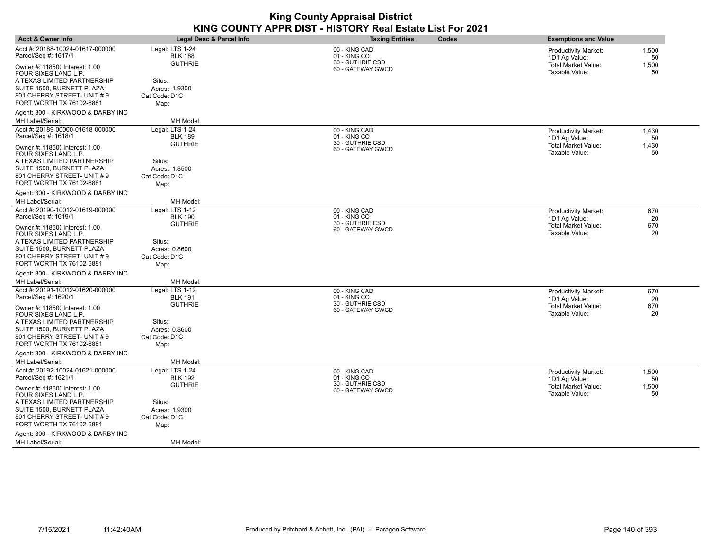| <b>Acct &amp; Owner Info</b>                                                                                        | Legal Desc & Parcel Info                            | <b>Taxing Entities</b>                            | <b>Codes</b> | <b>Exemptions and Value</b>                                         |                  |
|---------------------------------------------------------------------------------------------------------------------|-----------------------------------------------------|---------------------------------------------------|--------------|---------------------------------------------------------------------|------------------|
| Acct #: 20188-10024-01617-000000<br>Parcel/Seq #: 1617/1                                                            | Legal: LTS 1-24<br><b>BLK 188</b>                   | 00 - KING CAD<br>01 - KING CO                     |              | <b>Productivity Market:</b><br>1D1 Ag Value:                        | 1,500<br>50      |
| Owner #: 11850( Interest: 1.00<br>FOUR SIXES LAND L.P.                                                              | <b>GUTHRIE</b>                                      | 30 - GUTHRIE CSD<br>60 - GATEWAY GWCD             |              | <b>Total Market Value:</b><br>Taxable Value:                        | 1,500<br>50      |
| A TEXAS LIMITED PARTNERSHIP<br>SUITE 1500, BURNETT PLAZA<br>801 CHERRY STREET- UNIT # 9<br>FORT WORTH TX 76102-6881 | Situs:<br>Acres: 1.9300<br>Cat Code: D1C<br>Map:    |                                                   |              |                                                                     |                  |
| Agent: 300 - KIRKWOOD & DARBY INC                                                                                   |                                                     |                                                   |              |                                                                     |                  |
| MH Label/Serial:                                                                                                    | MH Model:                                           |                                                   |              |                                                                     |                  |
| Acct #: 20189-00000-01618-000000<br>Parcel/Seq #: 1618/1                                                            | Legal: LTS 1-24<br><b>BLK 189</b>                   | 00 - KING CAD<br>01 - KING CO                     |              | <b>Productivity Market:</b><br>1D1 Ag Value:                        | 1,430<br>50      |
| Owner #: 11850( Interest: 1.00<br>FOUR SIXES LAND L.P.                                                              | <b>GUTHRIE</b>                                      | 30 - GUTHRIE CSD<br>60 - GATEWAY GWCD             |              | <b>Total Market Value:</b><br>Taxable Value:                        | 1,430<br>50      |
| A TEXAS LIMITED PARTNERSHIP<br>SUITE 1500, BURNETT PLAZA                                                            | Situs:<br>Acres: 1.8500                             |                                                   |              |                                                                     |                  |
| 801 CHERRY STREET- UNIT # 9<br>FORT WORTH TX 76102-6881                                                             | Cat Code: D1C<br>Map:                               |                                                   |              |                                                                     |                  |
| Agent: 300 - KIRKWOOD & DARBY INC                                                                                   |                                                     |                                                   |              |                                                                     |                  |
| MH Label/Serial:                                                                                                    | MH Model:                                           |                                                   |              |                                                                     |                  |
| Acct #: 20190-10012-01619-000000<br>Parcel/Seq #: 1619/1                                                            | Legal: LTS 1-12<br><b>BLK 190</b>                   | 00 - KING CAD<br>01 - KING CO<br>30 - GUTHRIE CSD |              | <b>Productivity Market:</b><br>1D1 Ag Value:                        | 670<br>20        |
| Owner #: 11850( Interest: 1.00<br>FOUR SIXES LAND L.P.                                                              | <b>GUTHRIE</b>                                      | 60 - GATEWAY GWCD                                 |              | Total Market Value:<br>Taxable Value:                               | 670<br>20        |
| A TEXAS LIMITED PARTNERSHIP<br>SUITE 1500, BURNETT PLAZA                                                            | Situs:<br>Acres: 0.8600                             |                                                   |              |                                                                     |                  |
| 801 CHERRY STREET- UNIT # 9<br>FORT WORTH TX 76102-6881                                                             | Cat Code: D1C<br>Map:                               |                                                   |              |                                                                     |                  |
| Agent: 300 - KIRKWOOD & DARBY INC                                                                                   |                                                     |                                                   |              |                                                                     |                  |
| MH Label/Serial:                                                                                                    | MH Model:                                           |                                                   |              |                                                                     |                  |
| Acct #: 20191-10012-01620-000000<br>Parcel/Seq #: 1620/1<br>Owner #: 11850( Interest: 1.00                          | Legal: LTS 1-12<br><b>BLK 191</b><br><b>GUTHRIE</b> | 00 - KING CAD<br>01 - KING CO<br>30 - GUTHRIE CSD |              | <b>Productivity Market:</b><br>1D1 Ag Value:<br>Total Market Value: | 670<br>20<br>670 |
| FOUR SIXES LAND L.P.                                                                                                |                                                     | 60 - GATEWAY GWCD                                 |              | Taxable Value:                                                      | 20               |
| A TEXAS LIMITED PARTNERSHIP<br>SUITE 1500, BURNETT PLAZA                                                            | Situs:<br>Acres: 0.8600                             |                                                   |              |                                                                     |                  |
| 801 CHERRY STREET- UNIT # 9<br>FORT WORTH TX 76102-6881                                                             | Cat Code: D1C<br>Map:                               |                                                   |              |                                                                     |                  |
| Agent: 300 - KIRKWOOD & DARBY INC                                                                                   |                                                     |                                                   |              |                                                                     |                  |
| MH Label/Serial:                                                                                                    | MH Model:                                           |                                                   |              |                                                                     |                  |
| Acct #: 20192-10024-01621-000000<br>Parcel/Seq #: 1621/1                                                            | Legal: LTS 1-24<br><b>BLK 192</b>                   | 00 - KING CAD<br>01 - KING CO                     |              | <b>Productivity Market:</b><br>1D1 Ag Value:                        | 1,500<br>50      |
| Owner #: 11850( Interest: 1.00<br>FOUR SIXES LAND L.P.                                                              | <b>GUTHRIE</b>                                      | 30 - GUTHRIE CSD<br>60 - GATEWAY GWCD             |              | <b>Total Market Value:</b><br>Taxable Value:                        | 1,500<br>50      |
| A TEXAS LIMITED PARTNERSHIP                                                                                         | Situs:                                              |                                                   |              |                                                                     |                  |
| SUITE 1500, BURNETT PLAZA<br>801 CHERRY STREET- UNIT # 9                                                            | Acres: 1.9300<br>Cat Code: D1C                      |                                                   |              |                                                                     |                  |
| FORT WORTH TX 76102-6881                                                                                            | Map:                                                |                                                   |              |                                                                     |                  |
| Agent: 300 - KIRKWOOD & DARBY INC                                                                                   |                                                     |                                                   |              |                                                                     |                  |
| <b>MH Label/Serial:</b>                                                                                             | MH Model:                                           |                                                   |              |                                                                     |                  |

 $\overline{\phantom{a}}$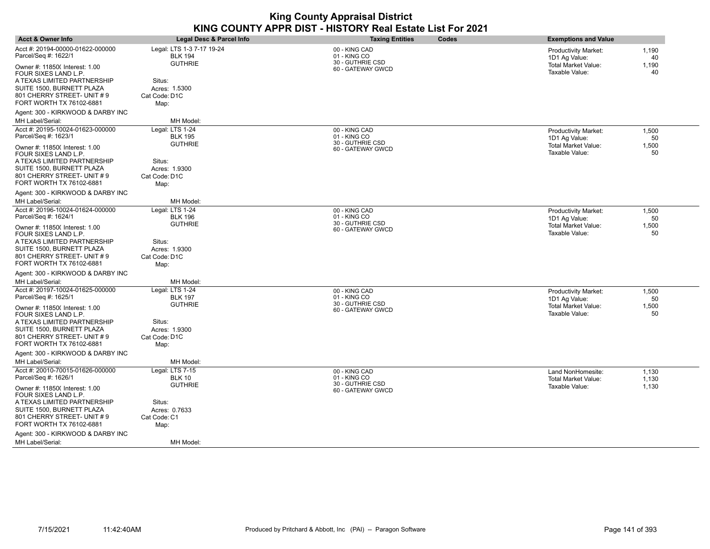| <b>Acct &amp; Owner Info</b>                                                                                                               | Legal Desc & Parcel Info                                      | <b>Taxing Entities</b>                            | Codes | <b>Exemptions and Value</b>                                         |                      |
|--------------------------------------------------------------------------------------------------------------------------------------------|---------------------------------------------------------------|---------------------------------------------------|-------|---------------------------------------------------------------------|----------------------|
| Acct #: 20194-00000-01622-000000<br>Parcel/Seq #: 1622/1<br>Owner #: 11850( Interest: 1.00                                                 | Legal: LTS 1-3 7-17 19-24<br><b>BLK 194</b><br><b>GUTHRIE</b> | 00 - KING CAD<br>01 - KING CO<br>30 - GUTHRIE CSD |       | Productivity Market:<br>1D1 Ag Value:<br><b>Total Market Value:</b> | 1,190<br>40<br>1,190 |
| FOUR SIXES LAND L.P.<br>A TEXAS LIMITED PARTNERSHIP<br>SUITE 1500, BURNETT PLAZA<br>801 CHERRY STREET- UNIT #9<br>FORT WORTH TX 76102-6881 | Situs:<br>Acres: 1.5300<br>Cat Code: D1C<br>Map:              | 60 - GATEWAY GWCD                                 |       | Taxable Value:                                                      | 40                   |
| Agent: 300 - KIRKWOOD & DARBY INC                                                                                                          |                                                               |                                                   |       |                                                                     |                      |
| MH Label/Serial:                                                                                                                           | MH Model:                                                     |                                                   |       |                                                                     |                      |
| Acct #: 20195-10024-01623-000000<br>Parcel/Seq #: 1623/1                                                                                   | Legal: LTS 1-24<br><b>BLK 195</b>                             | 00 - KING CAD<br>01 - KING CO                     |       | <b>Productivity Market:</b><br>1D1 Ag Value:                        | 1,500<br>50          |
| Owner #: 11850( Interest: 1.00<br>FOUR SIXES LAND L.P.                                                                                     | <b>GUTHRIE</b>                                                | 30 - GUTHRIE CSD<br>60 - GATEWAY GWCD             |       | <b>Total Market Value:</b><br>Taxable Value:                        | 1,500<br>50          |
| A TEXAS LIMITED PARTNERSHIP<br>SUITE 1500, BURNETT PLAZA<br>801 CHERRY STREET- UNIT # 9<br>FORT WORTH TX 76102-6881                        | Situs:<br>Acres: 1.9300<br>Cat Code: D1C<br>Map:              |                                                   |       |                                                                     |                      |
| Agent: 300 - KIRKWOOD & DARBY INC                                                                                                          |                                                               |                                                   |       |                                                                     |                      |
| MH Label/Serial:                                                                                                                           | MH Model:                                                     |                                                   |       |                                                                     |                      |
| Acct #: 20196-10024-01624-000000<br>Parcel/Seq #: 1624/1                                                                                   | Legal: LTS 1-24<br><b>BLK 196</b>                             | 00 - KING CAD<br>01 - KING CO<br>30 - GUTHRIE CSD |       | <b>Productivity Market:</b><br>1D1 Ag Value:                        | 1,500<br>50          |
| Owner #: 11850( Interest: 1.00<br>FOUR SIXES LAND L.P.                                                                                     | <b>GUTHRIE</b>                                                | 60 - GATEWAY GWCD                                 |       | Total Market Value:<br>Taxable Value:                               | 1,500<br>50          |
| A TEXAS LIMITED PARTNERSHIP<br>SUITE 1500, BURNETT PLAZA<br>801 CHERRY STREET- UNIT # 9<br>FORT WORTH TX 76102-6881                        | Situs:<br>Acres: 1.9300<br>Cat Code: D1C<br>Map:              |                                                   |       |                                                                     |                      |
| Agent: 300 - KIRKWOOD & DARBY INC                                                                                                          |                                                               |                                                   |       |                                                                     |                      |
| MH Label/Serial:                                                                                                                           | MH Model:                                                     |                                                   |       |                                                                     |                      |
| Acct #: 20197-10024-01625-000000<br>Parcel/Seq #: 1625/1                                                                                   | Legal: LTS 1-24<br><b>BLK 197</b>                             | 00 - KING CAD<br>01 - KING CO<br>30 - GUTHRIE CSD |       | <b>Productivity Market:</b><br>1D1 Ag Value:                        | 1,500<br>50          |
| Owner #: 11850( Interest: 1.00<br>FOUR SIXES LAND L.P.                                                                                     | <b>GUTHRIE</b>                                                | 60 - GATEWAY GWCD                                 |       | <b>Total Market Value:</b><br>Taxable Value:                        | 1,500<br>50          |
| A TEXAS LIMITED PARTNERSHIP<br>SUITE 1500, BURNETT PLAZA<br>801 CHERRY STREET- UNIT # 9<br>FORT WORTH TX 76102-6881                        | Situs:<br>Acres: 1.9300<br>Cat Code: D1C<br>Map:              |                                                   |       |                                                                     |                      |
| Agent: 300 - KIRKWOOD & DARBY INC<br>MH Label/Serial:                                                                                      | MH Model:                                                     |                                                   |       |                                                                     |                      |
| Acct #: 20010-70015-01626-000000<br>Parcel/Seq #: 1626/1                                                                                   | Legal: LTS 7-15<br><b>BLK 10</b>                              | 00 - KING CAD<br>01 - KING CO                     |       | Land NonHomesite:<br><b>Total Market Value:</b>                     | 1,130<br>1,130       |
| Owner #: 11850( Interest: 1.00<br>FOUR SIXES LAND L.P.                                                                                     | <b>GUTHRIE</b>                                                | 30 - GUTHRIE CSD<br>60 - GATEWAY GWCD             |       | Taxable Value:                                                      | 1,130                |
| A TEXAS LIMITED PARTNERSHIP                                                                                                                | Situs:                                                        |                                                   |       |                                                                     |                      |
| SUITE 1500, BURNETT PLAZA<br>801 CHERRY STREET- UNIT #9<br>FORT WORTH TX 76102-6881                                                        | Acres: 0.7633<br>Cat Code: C1<br>Map:                         |                                                   |       |                                                                     |                      |
| Agent: 300 - KIRKWOOD & DARBY INC                                                                                                          |                                                               |                                                   |       |                                                                     |                      |
| MH Label/Serial:                                                                                                                           | MH Model:                                                     |                                                   |       |                                                                     |                      |

 $\overline{\phantom{a}}$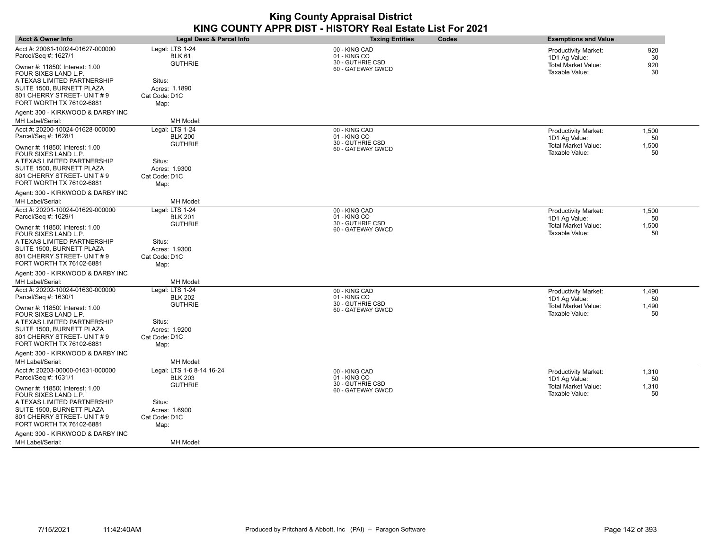| <b>Acct &amp; Owner Info</b>                                                                                                                                                 | Legal Desc & Parcel Info                                           | <b>Taxing Entities</b>                            | Codes | <b>Exemptions and Value</b>                                         |                      |
|------------------------------------------------------------------------------------------------------------------------------------------------------------------------------|--------------------------------------------------------------------|---------------------------------------------------|-------|---------------------------------------------------------------------|----------------------|
| Acct #: 20061-10024-01627-000000<br>Parcel/Seq #: 1627/1                                                                                                                     | Legal: LTS 1-24<br><b>BLK 61</b>                                   | 00 - KING CAD<br>01 - KING CO                     |       | <b>Productivity Market:</b><br>1D1 Ag Value:                        | 920<br>30            |
| Owner #: 11850( Interest: 1.00<br>FOUR SIXES LAND L.P.<br>A TEXAS LIMITED PARTNERSHIP<br>SUITE 1500, BURNETT PLAZA<br>801 CHERRY STREET- UNIT #9<br>FORT WORTH TX 76102-6881 | <b>GUTHRIE</b><br>Situs:<br>Acres: 1.1890<br>Cat Code: D1C<br>Map: | 30 - GUTHRIE CSD<br>60 - GATEWAY GWCD             |       | <b>Total Market Value:</b><br>Taxable Value:                        | 920<br>30            |
| Agent: 300 - KIRKWOOD & DARBY INC<br>MH Label/Serial:                                                                                                                        | MH Model:                                                          |                                                   |       |                                                                     |                      |
| Acct #: 20200-10024-01628-000000<br>Parcel/Seq #: 1628/1                                                                                                                     | Legal: LTS 1-24<br><b>BLK 200</b>                                  | 00 - KING CAD<br>01 - KING CO                     |       | Productivity Market:<br>1D1 Ag Value:                               | 1,500<br>50          |
| Owner #: 11850( Interest: 1.00<br>FOUR SIXES LAND L.P.                                                                                                                       | <b>GUTHRIE</b>                                                     | 30 - GUTHRIE CSD<br>60 - GATEWAY GWCD             |       | <b>Total Market Value:</b><br>Taxable Value:                        | 1,500<br>50          |
| A TEXAS LIMITED PARTNERSHIP<br>SUITE 1500, BURNETT PLAZA<br>801 CHERRY STREET- UNIT #9<br>FORT WORTH TX 76102-6881                                                           | Situs:<br>Acres: 1.9300<br>Cat Code: D1C<br>Map:                   |                                                   |       |                                                                     |                      |
| Agent: 300 - KIRKWOOD & DARBY INC                                                                                                                                            |                                                                    |                                                   |       |                                                                     |                      |
| MH Label/Serial:                                                                                                                                                             | MH Model:                                                          |                                                   |       |                                                                     |                      |
| Acct #: 20201-10024-01629-000000<br>Parcel/Seq #: 1629/1                                                                                                                     | Legal: LTS 1-24<br><b>BLK 201</b><br><b>GUTHRIE</b>                | 00 - KING CAD<br>01 - KING CO<br>30 - GUTHRIE CSD |       | <b>Productivity Market:</b><br>1D1 Ag Value:                        | 1,500<br>50          |
| Owner #: 11850( Interest: 1.00<br>FOUR SIXES LAND L.P.<br>A TEXAS LIMITED PARTNERSHIP                                                                                        | Situs:                                                             | 60 - GATEWAY GWCD                                 |       | Total Market Value:<br>Taxable Value:                               | 1,500<br>50          |
| SUITE 1500, BURNETT PLAZA<br>801 CHERRY STREET- UNIT #9<br>FORT WORTH TX 76102-6881                                                                                          | Acres: 1.9300<br>Cat Code: D1C<br>Map:                             |                                                   |       |                                                                     |                      |
| Agent: 300 - KIRKWOOD & DARBY INC                                                                                                                                            |                                                                    |                                                   |       |                                                                     |                      |
| MH Label/Serial:                                                                                                                                                             | MH Model:                                                          |                                                   |       |                                                                     |                      |
| Acct #: 20202-10024-01630-000000<br>Parcel/Seq #: 1630/1<br>Owner #: 11850( Interest: 1.00                                                                                   | Legal: LTS 1-24<br><b>BLK 202</b><br><b>GUTHRIE</b>                | 00 - KING CAD<br>01 - KING CO<br>30 - GUTHRIE CSD |       | <b>Productivity Market:</b><br>1D1 Ag Value:<br>Total Market Value: | 1,490<br>50<br>1,490 |
| FOUR SIXES LAND L.P.<br>A TEXAS LIMITED PARTNERSHIP                                                                                                                          | Situs:                                                             | 60 - GATEWAY GWCD                                 |       | Taxable Value:                                                      | 50                   |
| SUITE 1500, BURNETT PLAZA<br>801 CHERRY STREET- UNIT #9<br>FORT WORTH TX 76102-6881                                                                                          | Acres: 1.9200<br>Cat Code: D1C<br>Map:                             |                                                   |       |                                                                     |                      |
| Agent: 300 - KIRKWOOD & DARBY INC                                                                                                                                            |                                                                    |                                                   |       |                                                                     |                      |
| MH Label/Serial:                                                                                                                                                             | MH Model:                                                          |                                                   |       |                                                                     |                      |
| Acct #: 20203-00000-01631-000000<br>Parcel/Seq #: 1631/1                                                                                                                     | Legal: LTS 1-6 8-14 16-24<br><b>BLK 203</b>                        | 00 - KING CAD<br>01 - KING CO                     |       | <b>Productivity Market:</b><br>1D1 Ag Value:                        | 1,310<br>50          |
| Owner #: 11850( Interest: 1.00<br>FOUR SIXES LAND L.P.                                                                                                                       | <b>GUTHRIE</b>                                                     | 30 - GUTHRIE CSD<br>60 - GATEWAY GWCD             |       | <b>Total Market Value:</b><br>Taxable Value:                        | 1,310<br>50          |
| A TEXAS LIMITED PARTNERSHIP<br>SUITE 1500, BURNETT PLAZA<br>801 CHERRY STREET- UNIT #9<br>FORT WORTH TX 76102-6881                                                           | Situs:<br>Acres: 1.6900<br>Cat Code: D1C<br>Map:                   |                                                   |       |                                                                     |                      |
| Agent: 300 - KIRKWOOD & DARBY INC                                                                                                                                            |                                                                    |                                                   |       |                                                                     |                      |
| MH Label/Serial:                                                                                                                                                             | MH Model:                                                          |                                                   |       |                                                                     |                      |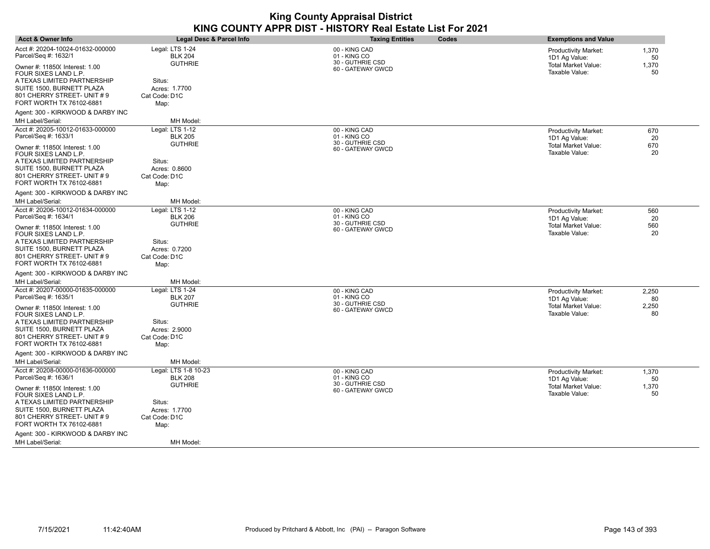| <b>Acct &amp; Owner Info</b>                                                                                                                                                  | Legal Desc & Parcel Info                            | <b>Taxing Entities</b>                                | <b>Codes</b> | <b>Exemptions and Value</b>                                                |                      |
|-------------------------------------------------------------------------------------------------------------------------------------------------------------------------------|-----------------------------------------------------|-------------------------------------------------------|--------------|----------------------------------------------------------------------------|----------------------|
| Acct #: 20204-10024-01632-000000<br>Parcel/Seq #: 1632/1                                                                                                                      | Legal: LTS 1-24<br><b>BLK 204</b><br><b>GUTHRIE</b> | 00 - KING CAD<br>01 - KING CO<br>30 - GUTHRIE CSD     |              | <b>Productivity Market:</b><br>1D1 Ag Value:<br><b>Total Market Value:</b> | 1,370<br>50<br>1,370 |
| Owner #: 11850( Interest: 1.00<br>FOUR SIXES LAND L.P.<br>A TEXAS LIMITED PARTNERSHIP<br>SUITE 1500, BURNETT PLAZA<br>801 CHERRY STREET- UNIT # 9<br>FORT WORTH TX 76102-6881 | Situs:<br>Acres: 1.7700<br>Cat Code: D1C<br>Map:    | 60 - GATEWAY GWCD                                     |              | Taxable Value:                                                             | 50                   |
| Agent: 300 - KIRKWOOD & DARBY INC<br>MH Label/Serial:                                                                                                                         | MH Model:                                           |                                                       |              |                                                                            |                      |
| Acct #: 20205-10012-01633-000000                                                                                                                                              | Legal: LTS 1-12                                     | 00 - KING CAD                                         |              | <b>Productivity Market:</b>                                                | 670                  |
| Parcel/Seq #: 1633/1<br>Owner #: 11850( Interest: 1.00<br>FOUR SIXES LAND L.P.                                                                                                | <b>BLK 205</b><br><b>GUTHRIE</b>                    | 01 - KING CO<br>30 - GUTHRIE CSD<br>60 - GATEWAY GWCD |              | 1D1 Ag Value:<br><b>Total Market Value:</b><br>Taxable Value:              | 20<br>670<br>20      |
| A TEXAS LIMITED PARTNERSHIP<br>SUITE 1500, BURNETT PLAZA<br>801 CHERRY STREET- UNIT # 9<br>FORT WORTH TX 76102-6881                                                           | Situs:<br>Acres: 0.8600<br>Cat Code: D1C<br>Map:    |                                                       |              |                                                                            |                      |
| Agent: 300 - KIRKWOOD & DARBY INC                                                                                                                                             |                                                     |                                                       |              |                                                                            |                      |
| MH Label/Serial:<br>Acct #: 20206-10012-01634-000000<br>Parcel/Seq #: 1634/1                                                                                                  | MH Model:<br>Legal: LTS 1-12<br><b>BLK 206</b>      | 00 - KING CAD<br>01 - KING CO                         |              | <b>Productivity Market:</b>                                                | 560<br>20            |
| Owner #: 11850( Interest: 1.00<br>FOUR SIXES LAND L.P.<br>A TEXAS LIMITED PARTNERSHIP                                                                                         | <b>GUTHRIE</b><br>Situs:                            | 30 - GUTHRIE CSD<br>60 - GATEWAY GWCD                 |              | 1D1 Ag Value:<br><b>Total Market Value:</b><br>Taxable Value:              | 560<br>20            |
| SUITE 1500, BURNETT PLAZA<br>801 CHERRY STREET- UNIT # 9<br>FORT WORTH TX 76102-6881                                                                                          | Acres: 0.7200<br>Cat Code: D1C<br>Map:              |                                                       |              |                                                                            |                      |
| Agent: 300 - KIRKWOOD & DARBY INC<br>MH Label/Serial:                                                                                                                         | MH Model:                                           |                                                       |              |                                                                            |                      |
| Acct #: 20207-00000-01635-000000                                                                                                                                              | Legal: LTS 1-24                                     | 00 - KING CAD                                         |              | <b>Productivity Market:</b>                                                | 2,250                |
| Parcel/Seq #: 1635/1<br>Owner #: 11850( Interest: 1.00<br>FOUR SIXES LAND L.P.                                                                                                | <b>BLK 207</b><br><b>GUTHRIE</b>                    | 01 - KING CO<br>30 - GUTHRIE CSD<br>60 - GATEWAY GWCD |              | 1D1 Ag Value:<br>Total Market Value:<br>Taxable Value:                     | 80<br>2,250<br>80    |
| A TEXAS LIMITED PARTNERSHIP<br>SUITE 1500, BURNETT PLAZA<br>801 CHERRY STREET- UNIT #9<br>FORT WORTH TX 76102-6881                                                            | Situs:<br>Acres: 2.9000<br>Cat Code: D1C<br>Map:    |                                                       |              |                                                                            |                      |
| Agent: 300 - KIRKWOOD & DARBY INC                                                                                                                                             |                                                     |                                                       |              |                                                                            |                      |
| MH Label/Serial:                                                                                                                                                              | MH Model:                                           |                                                       |              |                                                                            |                      |
| Acct #: 20208-00000-01636-000000<br>Parcel/Seq #: 1636/1                                                                                                                      | Legal: LTS 1-8 10-23<br><b>BLK 208</b>              | 00 - KING CAD<br>01 - KING CO                         |              | <b>Productivity Market:</b><br>1D1 Ag Value:                               | 1,370<br>50          |
| Owner #: 11850( Interest: 1.00<br>FOUR SIXES LAND L.P.                                                                                                                        | <b>GUTHRIE</b>                                      | 30 - GUTHRIE CSD<br>60 - GATEWAY GWCD                 |              | <b>Total Market Value:</b><br>Taxable Value:                               | 1,370<br>50          |
| A TEXAS LIMITED PARTNERSHIP<br>SUITE 1500, BURNETT PLAZA<br>801 CHERRY STREET- UNIT # 9                                                                                       | Situs:<br>Acres: 1.7700<br>Cat Code: D1C            |                                                       |              |                                                                            |                      |
| FORT WORTH TX 76102-6881<br>Agent: 300 - KIRKWOOD & DARBY INC                                                                                                                 | Map:                                                |                                                       |              |                                                                            |                      |
| <b>MH Label/Serial:</b>                                                                                                                                                       | MH Model:                                           |                                                       |              |                                                                            |                      |

 $\overline{\phantom{a}}$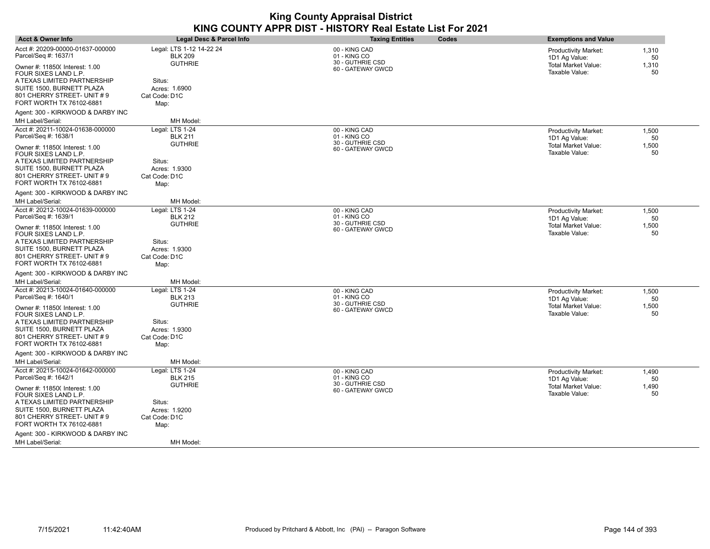| <b>Acct &amp; Owner Info</b>                                                                                                               | Legal Desc & Parcel Info                                     | <b>Taxing Entities</b>                                | Codes | <b>Exemptions and Value</b>                                         |                      |
|--------------------------------------------------------------------------------------------------------------------------------------------|--------------------------------------------------------------|-------------------------------------------------------|-------|---------------------------------------------------------------------|----------------------|
| Acct #: 20209-00000-01637-000000<br>Parcel/Seq #: 1637/1<br>Owner #: 11850( Interest: 1.00                                                 | Legal: LTS 1-12 14-22 24<br><b>BLK 209</b><br><b>GUTHRIE</b> | 00 - KING CAD<br>01 - KING CO<br>30 - GUTHRIE CSD     |       | Productivity Market:<br>1D1 Ag Value:<br><b>Total Market Value:</b> | 1,310<br>50<br>1,310 |
| FOUR SIXES LAND L.P.<br>A TEXAS LIMITED PARTNERSHIP<br>SUITE 1500, BURNETT PLAZA<br>801 CHERRY STREET- UNIT #9<br>FORT WORTH TX 76102-6881 | Situs:<br>Acres: 1.6900<br>Cat Code: D1C<br>Map:             | 60 - GATEWAY GWCD                                     |       | Taxable Value:                                                      | 50                   |
| Agent: 300 - KIRKWOOD & DARBY INC                                                                                                          |                                                              |                                                       |       |                                                                     |                      |
| MH Label/Serial:                                                                                                                           | MH Model:                                                    |                                                       |       |                                                                     |                      |
| Acct #: 20211-10024-01638-000000<br>Parcel/Seq #: 1638/1                                                                                   | Legal: LTS 1-24<br><b>BLK 211</b>                            | 00 - KING CAD<br>01 - KING CO<br>30 - GUTHRIE CSD     |       | <b>Productivity Market:</b><br>1D1 Ag Value:                        | 1,500<br>50          |
| Owner #: 11850( Interest: 1.00<br>FOUR SIXES LAND L.P.                                                                                     | <b>GUTHRIE</b>                                               | 60 - GATEWAY GWCD                                     |       | <b>Total Market Value:</b><br>Taxable Value:                        | 1,500<br>50          |
| A TEXAS LIMITED PARTNERSHIP                                                                                                                | Situs:                                                       |                                                       |       |                                                                     |                      |
| SUITE 1500, BURNETT PLAZA<br>801 CHERRY STREET- UNIT # 9<br>FORT WORTH TX 76102-6881                                                       | Acres: 1.9300<br>Cat Code: D1C<br>Map:                       |                                                       |       |                                                                     |                      |
| Agent: 300 - KIRKWOOD & DARBY INC                                                                                                          |                                                              |                                                       |       |                                                                     |                      |
| MH Label/Serial:                                                                                                                           | MH Model:                                                    |                                                       |       |                                                                     |                      |
| Acct #: 20212-10024-01639-000000<br>Parcel/Seq #: 1639/1                                                                                   | Legal: LTS 1-24<br><b>BLK 212</b>                            | 00 - KING CAD<br>01 - KING CO                         |       | <b>Productivity Market:</b><br>1D1 Ag Value:                        | 1,500<br>50          |
| Owner #: 11850( Interest: 1.00<br>FOUR SIXES LAND L.P.                                                                                     | <b>GUTHRIE</b>                                               | 30 - GUTHRIE CSD<br>60 - GATEWAY GWCD                 |       | Total Market Value:<br>Taxable Value:                               | 1,500<br>50          |
| A TEXAS LIMITED PARTNERSHIP<br>SUITE 1500, BURNETT PLAZA<br>801 CHERRY STREET- UNIT # 9                                                    | Situs:<br>Acres: 1.9300<br>Cat Code: D1C                     |                                                       |       |                                                                     |                      |
| FORT WORTH TX 76102-6881<br>Agent: 300 - KIRKWOOD & DARBY INC                                                                              | Map:                                                         |                                                       |       |                                                                     |                      |
| MH Label/Serial:                                                                                                                           | MH Model:                                                    |                                                       |       |                                                                     |                      |
| Acct #: 20213-10024-01640-000000                                                                                                           | Legal: LTS 1-24                                              | 00 - KING CAD                                         |       | <b>Productivity Market:</b>                                         | 1,500                |
| Parcel/Seq #: 1640/1<br>Owner #: 11850( Interest: 1.00<br>FOUR SIXES LAND L.P.                                                             | <b>BLK 213</b><br><b>GUTHRIE</b>                             | 01 - KING CO<br>30 - GUTHRIE CSD<br>60 - GATEWAY GWCD |       | 1D1 Ag Value:<br><b>Total Market Value:</b><br>Taxable Value:       | 50<br>1,500<br>50    |
| A TEXAS LIMITED PARTNERSHIP<br>SUITE 1500, BURNETT PLAZA<br>801 CHERRY STREET- UNIT # 9<br>FORT WORTH TX 76102-6881                        | Situs:<br>Acres: 1.9300<br>Cat Code: D1C<br>Map:             |                                                       |       |                                                                     |                      |
| Agent: 300 - KIRKWOOD & DARBY INC<br>MH Label/Serial:                                                                                      | MH Model:                                                    |                                                       |       |                                                                     |                      |
| Acct #: 20215-10024-01642-000000<br>Parcel/Seq #: 1642/1                                                                                   | Legal: LTS 1-24<br><b>BLK 215</b>                            | 00 - KING CAD<br>01 - KING CO                         |       | <b>Productivity Market:</b><br>1D1 Ag Value:                        | 1,490<br>50          |
| Owner #: 11850( Interest: 1.00<br>FOUR SIXES LAND L.P.                                                                                     | <b>GUTHRIE</b>                                               | 30 - GUTHRIE CSD<br>60 - GATEWAY GWCD                 |       | <b>Total Market Value:</b><br>Taxable Value:                        | 1,490<br>50          |
| A TEXAS LIMITED PARTNERSHIP                                                                                                                | Situs:                                                       |                                                       |       |                                                                     |                      |
| SUITE 1500, BURNETT PLAZA<br>801 CHERRY STREET- UNIT #9<br>FORT WORTH TX 76102-6881                                                        | Acres: 1.9200<br>Cat Code: D1C<br>Map:                       |                                                       |       |                                                                     |                      |
| Agent: 300 - KIRKWOOD & DARBY INC                                                                                                          |                                                              |                                                       |       |                                                                     |                      |
| MH Label/Serial:                                                                                                                           | MH Model:                                                    |                                                       |       |                                                                     |                      |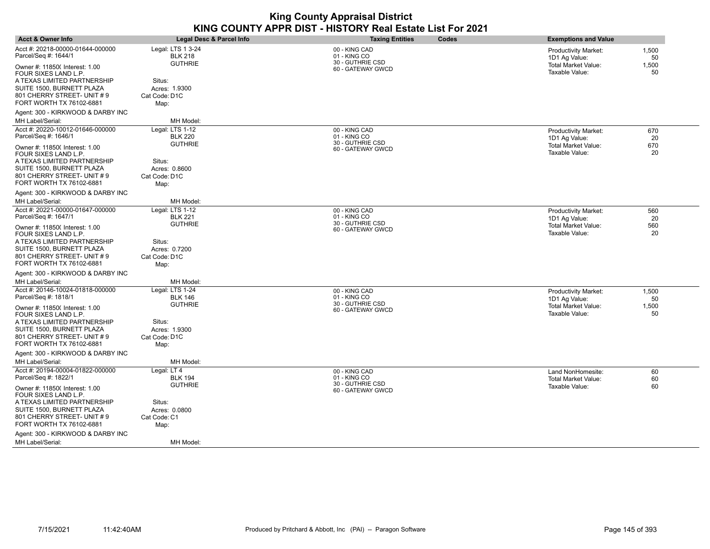| <b>Acct &amp; Owner Info</b>                                                                                                                      | Legal Desc & Parcel Info                                   | <b>Taxing Entities</b>                            | <b>Codes</b> | <b>Exemptions and Value</b>                                                |                      |
|---------------------------------------------------------------------------------------------------------------------------------------------------|------------------------------------------------------------|---------------------------------------------------|--------------|----------------------------------------------------------------------------|----------------------|
| Acct #: 20218-00000-01644-000000<br>Parcel/Seq #: 1644/1<br>Owner #: 11850( Interest: 1.00                                                        | Legal: LTS 1 3-24<br><b>BLK 218</b><br><b>GUTHRIE</b>      | 00 - KING CAD<br>01 - KING CO<br>30 - GUTHRIE CSD |              | <b>Productivity Market:</b><br>1D1 Ag Value:<br><b>Total Market Value:</b> | 1,500<br>50<br>1,500 |
| FOUR SIXES LAND L.P.<br>A TEXAS LIMITED PARTNERSHIP<br>SUITE 1500, BURNETT PLAZA<br>801 CHERRY STREET- UNIT # 9<br>FORT WORTH TX 76102-6881       | Situs:<br>Acres: 1.9300<br>Cat Code: D1C<br>Map:           | 60 - GATEWAY GWCD                                 |              | Taxable Value:                                                             | 50                   |
| Agent: 300 - KIRKWOOD & DARBY INC<br>MH Label/Serial:                                                                                             | MH Model:                                                  |                                                   |              |                                                                            |                      |
| Acct #: 20220-10012-01646-000000<br>Parcel/Seq #: 1646/1                                                                                          | Legal: LTS 1-12<br><b>BLK 220</b>                          | 00 - KING CAD<br>01 - KING CO                     |              | <b>Productivity Market:</b><br>1D1 Ag Value:                               | 670<br>20            |
| Owner #: 11850( Interest: 1.00<br>FOUR SIXES LAND L.P.                                                                                            | <b>GUTHRIE</b>                                             | 30 - GUTHRIE CSD<br>60 - GATEWAY GWCD             |              | <b>Total Market Value:</b><br>Taxable Value:                               | 670<br>20            |
| A TEXAS LIMITED PARTNERSHIP<br>SUITE 1500, BURNETT PLAZA<br>801 CHERRY STREET- UNIT # 9<br>FORT WORTH TX 76102-6881                               | Situs:<br>Acres: 0.8600<br>Cat Code: D1C<br>Map:           |                                                   |              |                                                                            |                      |
| Agent: 300 - KIRKWOOD & DARBY INC                                                                                                                 |                                                            |                                                   |              |                                                                            |                      |
| <b>MH Label/Serial:</b>                                                                                                                           | MH Model:                                                  |                                                   |              |                                                                            |                      |
| Acct #: 20221-00000-01647-000000<br>Parcel/Seq #: 1647/1                                                                                          | Legal: LTS 1-12<br><b>BLK 221</b><br><b>GUTHRIE</b>        | 00 - KING CAD<br>01 - KING CO<br>30 - GUTHRIE CSD |              | <b>Productivity Market:</b><br>1D1 Ag Value:                               | 560<br>20            |
| Owner #: 11850( Interest: 1.00<br>FOUR SIXES LAND L.P.<br>A TEXAS LIMITED PARTNERSHIP<br>SUITE 1500, BURNETT PLAZA<br>801 CHERRY STREET- UNIT # 9 | Situs:<br>Acres: 0.7200<br>Cat Code: D1C                   | 60 - GATEWAY GWCD                                 |              | <b>Total Market Value:</b><br>Taxable Value:                               | 560<br>20            |
| FORT WORTH TX 76102-6881                                                                                                                          | Map:                                                       |                                                   |              |                                                                            |                      |
| Agent: 300 - KIRKWOOD & DARBY INC<br><b>MH Label/Serial:</b>                                                                                      | MH Model:                                                  |                                                   |              |                                                                            |                      |
| Acct #: 20146-10024-01818-000000<br>Parcel/Seq #: 1818/1                                                                                          | Legal: LTS 1-24<br><b>BLK 146</b>                          | 00 - KING CAD<br>01 - KING CO                     |              | <b>Productivity Market:</b><br>1D1 Ag Value:                               | 1,500<br>50          |
| Owner #: 11850( Interest: 1.00<br>FOUR SIXES LAND L.P.<br>A TEXAS LIMITED PARTNERSHIP<br>SUITE 1500, BURNETT PLAZA<br>801 CHERRY STREET- UNIT # 9 | <b>GUTHRIE</b><br>Situs:<br>Acres: 1.9300<br>Cat Code: D1C | 30 - GUTHRIE CSD<br>60 - GATEWAY GWCD             |              | Total Market Value:<br>Taxable Value:                                      | 1,500<br>50          |
| FORT WORTH TX 76102-6881                                                                                                                          | Map:                                                       |                                                   |              |                                                                            |                      |
| Agent: 300 - KIRKWOOD & DARBY INC<br>MH Label/Serial:                                                                                             | MH Model:                                                  |                                                   |              |                                                                            |                      |
| Acct #: 20194-00004-01822-000000<br>Parcel/Seq #: 1822/1                                                                                          | Legal: LT 4<br><b>BLK 194</b>                              | 00 - KING CAD<br>01 - KING CO                     |              | Land NonHomesite:<br><b>Total Market Value:</b>                            | 60<br>60             |
| Owner #: 11850( Interest: 1.00<br>FOUR SIXES LAND L.P.                                                                                            | <b>GUTHRIE</b>                                             | 30 - GUTHRIE CSD<br>60 - GATEWAY GWCD             |              | Taxable Value:                                                             | 60                   |
| A TEXAS LIMITED PARTNERSHIP<br>SUITE 1500, BURNETT PLAZA<br>801 CHERRY STREET- UNIT # 9<br>FORT WORTH TX 76102-6881                               | Situs:<br>Acres: 0.0800<br>Cat Code: C1<br>Map:            |                                                   |              |                                                                            |                      |
| Agent: 300 - KIRKWOOD & DARBY INC                                                                                                                 |                                                            |                                                   |              |                                                                            |                      |
| <b>MH Label/Serial:</b>                                                                                                                           | MH Model:                                                  |                                                   |              |                                                                            |                      |

 $\overline{\phantom{a}}$ 

 $\overline{\phantom{a}}$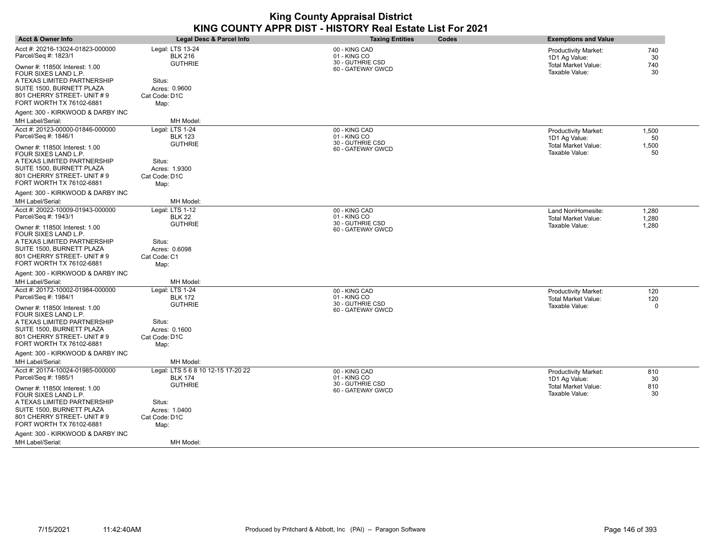| <b>Acct &amp; Owner Info</b>                             | Legal Desc & Parcel Info           | <b>Taxing Entities</b><br><b>Codes</b> | <b>Exemptions and Value</b>                               |
|----------------------------------------------------------|------------------------------------|----------------------------------------|-----------------------------------------------------------|
| Acct #: 20216-13024-01823-000000<br>Parcel/Seq #: 1823/1 | Legal: LTS 13-24<br><b>BLK 216</b> | 00 - KING CAD<br>01 - KING CO          | <b>Productivity Market:</b><br>740<br>1D1 Ag Value:<br>30 |
| Owner #: 11850( Interest: 1.00<br>FOUR SIXES LAND L.P.   | <b>GUTHRIE</b>                     | 30 - GUTHRIE CSD<br>60 - GATEWAY GWCD  | 740<br>Total Market Value:<br>Taxable Value:<br>30        |
| A TEXAS LIMITED PARTNERSHIP                              | Situs:                             |                                        |                                                           |
| SUITE 1500, BURNETT PLAZA<br>801 CHERRY STREET- UNIT # 9 | Acres: 0.9600<br>Cat Code: D1C     |                                        |                                                           |
| FORT WORTH TX 76102-6881                                 | Map:                               |                                        |                                                           |
| Agent: 300 - KIRKWOOD & DARBY INC                        |                                    |                                        |                                                           |
| MH Label/Serial:                                         | MH Model:                          |                                        |                                                           |
| Acct #: 20123-00000-01846-000000<br>Parcel/Seq #: 1846/1 | Legal: LTS 1-24                    | 00 - KING CAD<br>01 - KING CO          | 1,500<br><b>Productivity Market:</b>                      |
|                                                          | <b>BLK 123</b><br><b>GUTHRIE</b>   | 30 - GUTHRIE CSD                       | 1D1 Ag Value:<br>50<br><b>Total Market Value:</b>         |
| Owner #: 11850( Interest: 1.00<br>FOUR SIXES LAND L.P.   |                                    | 60 - GATEWAY GWCD                      | 1,500<br>Taxable Value:<br>50                             |
| A TEXAS LIMITED PARTNERSHIP                              | Situs:                             |                                        |                                                           |
| SUITE 1500, BURNETT PLAZA                                | Acres: 1.9300                      |                                        |                                                           |
| 801 CHERRY STREET- UNIT # 9<br>FORT WORTH TX 76102-6881  | Cat Code: D1C<br>Map:              |                                        |                                                           |
| Agent: 300 - KIRKWOOD & DARBY INC                        |                                    |                                        |                                                           |
| MH Label/Serial:                                         | MH Model:                          |                                        |                                                           |
| Acct #: 20022-10009-01943-000000                         | Legal: LTS 1-12                    | 00 - KING CAD                          | 1,280<br>Land NonHomesite:                                |
| Parcel/Seq #: 1943/1                                     | <b>BLK 22</b>                      | 01 - KING CO<br>30 - GUTHRIE CSD       | <b>Total Market Value:</b><br>1,280                       |
| Owner #: 11850( Interest: 1.00<br>FOUR SIXES LAND L.P.   | <b>GUTHRIE</b>                     | 60 - GATEWAY GWCD                      | 1,280<br>Taxable Value:                                   |
| A TEXAS LIMITED PARTNERSHIP                              | Situs:                             |                                        |                                                           |
| SUITE 1500, BURNETT PLAZA<br>801 CHERRY STREET- UNIT #9  | Acres: 0.6098                      |                                        |                                                           |
| FORT WORTH TX 76102-6881                                 | Cat Code: C1<br>Map:               |                                        |                                                           |
| Agent: 300 - KIRKWOOD & DARBY INC                        |                                    |                                        |                                                           |
| MH Label/Serial:                                         | MH Model:                          |                                        |                                                           |
| Acct #: 20172-10002-01984-000000                         | Legal: LTS 1-24                    | 00 - KING CAD                          | <b>Productivity Market:</b><br>120                        |
| Parcel/Seq #: 1984/1                                     | <b>BLK 172</b>                     | 01 - KING CO                           | <b>Total Market Value:</b><br>120                         |
| Owner #: 11850( Interest: 1.00<br>FOUR SIXES LAND L.P.   | <b>GUTHRIE</b>                     | 30 - GUTHRIE CSD<br>60 - GATEWAY GWCD  | Taxable Value:<br>0                                       |
| A TEXAS LIMITED PARTNERSHIP                              | Situs:                             |                                        |                                                           |
| SUITE 1500, BURNETT PLAZA                                | Acres: 0.1600                      |                                        |                                                           |
| 801 CHERRY STREET- UNIT # 9<br>FORT WORTH TX 76102-6881  | Cat Code: D1C<br>Map:              |                                        |                                                           |
| Agent: 300 - KIRKWOOD & DARBY INC                        |                                    |                                        |                                                           |
| MH Label/Serial:                                         | MH Model:                          |                                        |                                                           |
| Acct #: 20174-10024-01985-000000                         | Legal: LTS 5 6 8 10 12-15 17-20 22 | 00 - KING CAD                          | <b>Productivity Market:</b><br>810                        |
| Parcel/Seq #: 1985/1                                     | <b>BLK 174</b>                     | 01 - KING CO                           | 1D1 Ag Value:<br>30                                       |
| Owner #: 11850( Interest: 1.00<br>FOUR SIXES LAND L.P.   | <b>GUTHRIE</b>                     | 30 - GUTHRIE CSD<br>60 - GATEWAY GWCD  | <b>Total Market Value:</b><br>810<br>Taxable Value:<br>30 |
| A TEXAS LIMITED PARTNERSHIP                              | Situs:                             |                                        |                                                           |
| SUITE 1500, BURNETT PLAZA                                | Acres: 1.0400                      |                                        |                                                           |
| 801 CHERRY STREET- UNIT # 9<br>FORT WORTH TX 76102-6881  | Cat Code: D1C<br>Map:              |                                        |                                                           |
| Agent: 300 - KIRKWOOD & DARBY INC                        |                                    |                                        |                                                           |
| MH Label/Serial:                                         | MH Model:                          |                                        |                                                           |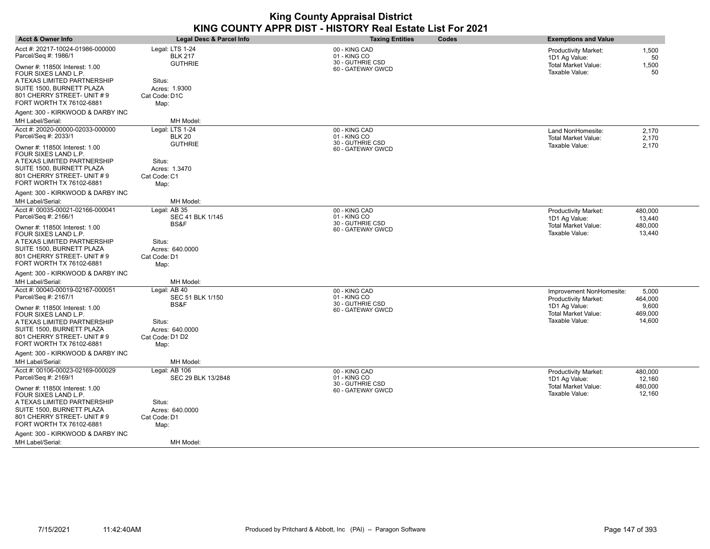| <b>Acct &amp; Owner Info</b>                                                            | Legal Desc & Parcel Info                           | <b>Taxing Entities</b><br><b>Codes</b>            | <b>Exemptions and Value</b>                                       |
|-----------------------------------------------------------------------------------------|----------------------------------------------------|---------------------------------------------------|-------------------------------------------------------------------|
| Acct #: 20217-10024-01986-000000<br>Parcel/Seq #: 1986/1                                | Legal: LTS 1-24<br><b>BLK 217</b>                  | 00 - KING CAD<br>01 - KING CO                     | <b>Productivity Market:</b><br>1,500<br>1D1 Ag Value:<br>50       |
| Owner #: 11850( Interest: 1.00<br>FOUR SIXES LAND L.P.                                  | <b>GUTHRIE</b>                                     | 30 - GUTHRIE CSD<br>60 - GATEWAY GWCD             | <b>Total Market Value:</b><br>1,500<br>Taxable Value:<br>50       |
| A TEXAS LIMITED PARTNERSHIP<br>SUITE 1500, BURNETT PLAZA<br>801 CHERRY STREET- UNIT # 9 | Situs:<br>Acres: 1.9300<br>Cat Code: D1C           |                                                   |                                                                   |
| FORT WORTH TX 76102-6881                                                                | Map:                                               |                                                   |                                                                   |
| Agent: 300 - KIRKWOOD & DARBY INC                                                       |                                                    |                                                   |                                                                   |
| MH Label/Serial:                                                                        | MH Model:                                          |                                                   |                                                                   |
| Acct #: 20020-00000-02033-000000<br>Parcel/Seq #: 2033/1                                | Legal: LTS 1-24<br><b>BLK 20</b><br><b>GUTHRIE</b> | 00 - KING CAD<br>01 - KING CO<br>30 - GUTHRIE CSD | 2,170<br>Land NonHomesite:<br>2,170<br><b>Total Market Value:</b> |
| Owner #: 11850( Interest: 1.00<br>FOUR SIXES LAND L.P.                                  |                                                    | 60 - GATEWAY GWCD                                 | Taxable Value:<br>2,170                                           |
| A TEXAS LIMITED PARTNERSHIP<br>SUITE 1500, BURNETT PLAZA                                | Situs:<br>Acres: 1.3470                            |                                                   |                                                                   |
| 801 CHERRY STREET- UNIT # 9                                                             | Cat Code: C1                                       |                                                   |                                                                   |
| FORT WORTH TX 76102-6881                                                                | Map:                                               |                                                   |                                                                   |
| Agent: 300 - KIRKWOOD & DARBY INC                                                       |                                                    |                                                   |                                                                   |
| MH Label/Serial:                                                                        | MH Model:                                          |                                                   |                                                                   |
| Acct #: 00035-00021-02166-000041<br>Parcel/Seq #: 2166/1                                | Legal: AB 35<br>SEC 41 BLK 1/145                   | 00 - KING CAD<br>01 - KING CO                     | 480,000<br><b>Productivity Market:</b><br>1D1 Ag Value:<br>13,440 |
| Owner #: 11850( Interest: 1.00<br>FOUR SIXES LAND L.P.                                  | BS&F                                               | 30 - GUTHRIE CSD<br>60 - GATEWAY GWCD             | 480,000<br>Total Market Value:<br>Taxable Value:<br>13,440        |
| A TEXAS LIMITED PARTNERSHIP                                                             | Situs:                                             |                                                   |                                                                   |
| SUITE 1500, BURNETT PLAZA<br>801 CHERRY STREET- UNIT # 9                                | Acres: 640.0000<br>Cat Code: D1                    |                                                   |                                                                   |
| FORT WORTH TX 76102-6881                                                                | Map:                                               |                                                   |                                                                   |
| Agent: 300 - KIRKWOOD & DARBY INC                                                       |                                                    |                                                   |                                                                   |
| MH Label/Serial:                                                                        | MH Model:                                          |                                                   |                                                                   |
| Acct #: 00040-00019-02167-000051                                                        | Legal: AB 40                                       | 00 - KING CAD                                     | 5.000<br>Improvement NonHomesite:                                 |
| Parcel/Seq #: 2167/1                                                                    | SEC 51 BLK 1/150<br>BS&F                           | 01 - KING CO<br>30 - GUTHRIE CSD                  | 464,000<br>Productivity Market:                                   |
| Owner #: 11850( Interest: 1.00                                                          |                                                    | 60 - GATEWAY GWCD                                 | 1D1 Ag Value:<br>9,600<br>Total Market Value:<br>469,000          |
| FOUR SIXES LAND L.P.<br>A TEXAS LIMITED PARTNERSHIP                                     | Situs:                                             |                                                   | Taxable Value:<br>14,600                                          |
| SUITE 1500, BURNETT PLAZA                                                               | Acres: 640.0000                                    |                                                   |                                                                   |
| 801 CHERRY STREET- UNIT # 9                                                             | Cat Code: D1 D2                                    |                                                   |                                                                   |
| FORT WORTH TX 76102-6881                                                                | Map:                                               |                                                   |                                                                   |
| Agent: 300 - KIRKWOOD & DARBY INC                                                       |                                                    |                                                   |                                                                   |
| MH Label/Serial:                                                                        | MH Model:                                          |                                                   |                                                                   |
| Acct #: 00106-00023-02169-000029<br>Parcel/Seq #: 2169/1                                | Legal: AB 106<br>SEC 29 BLK 13/2848                | 00 - KING CAD<br>01 - KING CO<br>30 - GUTHRIE CSD | <b>Productivity Market:</b><br>480,000<br>1D1 Ag Value:<br>12,160 |
| Owner #: 11850( Interest: 1.00<br>FOUR SIXES LAND L.P.                                  |                                                    | 60 - GATEWAY GWCD                                 | <b>Total Market Value:</b><br>480,000<br>Taxable Value:<br>12,160 |
| A TEXAS LIMITED PARTNERSHIP                                                             | Situs:                                             |                                                   |                                                                   |
| SUITE 1500, BURNETT PLAZA<br>801 CHERRY STREET- UNIT # 9                                | Acres: 640.0000<br>Cat Code: D1                    |                                                   |                                                                   |
| FORT WORTH TX 76102-6881                                                                | Map:                                               |                                                   |                                                                   |
| Agent: 300 - KIRKWOOD & DARBY INC                                                       |                                                    |                                                   |                                                                   |
| <b>MH Label/Serial:</b>                                                                 | MH Model:                                          |                                                   |                                                                   |

 $\overline{\phantom{a}}$ 

 $\overline{\phantom{a}}$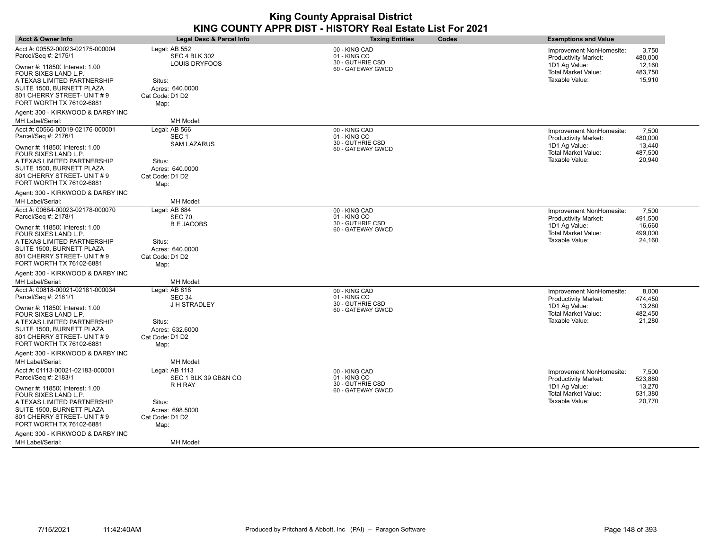| <b>Acct &amp; Owner Info</b>                                                                                                               | Legal Desc & Parcel Info                               | <b>Taxing Entities</b>                                                 | Codes | <b>Exemptions and Value</b>                                                                            |                                       |
|--------------------------------------------------------------------------------------------------------------------------------------------|--------------------------------------------------------|------------------------------------------------------------------------|-------|--------------------------------------------------------------------------------------------------------|---------------------------------------|
| Acct #: 00552-00023-02175-000004<br>Parcel/Seq #: 2175/1<br>Owner #: 11850( Interest: 1.00                                                 | Legal: AB 552<br><b>SEC 4 BLK 302</b><br>LOUIS DRYFOOS | 00 - KING CAD<br>01 - KING CO<br>30 - GUTHRIE CSD<br>60 - GATEWAY GWCD |       | Improvement NonHomesite:<br><b>Productivity Market:</b><br>1D1 Ag Value:<br><b>Total Market Value:</b> | 3,750<br>480,000<br>12,160<br>483,750 |
| FOUR SIXES LAND L.P.<br>A TEXAS LIMITED PARTNERSHIP<br>SUITE 1500, BURNETT PLAZA<br>801 CHERRY STREET- UNIT #9<br>FORT WORTH TX 76102-6881 | Situs:<br>Acres: 640,0000<br>Cat Code: D1 D2<br>Map:   |                                                                        |       | Taxable Value:                                                                                         | 15,910                                |
| Agent: 300 - KIRKWOOD & DARBY INC<br>MH Label/Serial:                                                                                      | MH Model:                                              |                                                                        |       |                                                                                                        |                                       |
| Acct #: 00566-00019-02176-000001<br>Parcel/Seq #: 2176/1                                                                                   | Legal: AB 566<br>SEC <sub>1</sub>                      | 00 - KING CAD<br>01 - KING CO                                          |       | Improvement NonHomesite:                                                                               | 7,500                                 |
| Owner #: 11850( Interest: 1.00<br>FOUR SIXES LAND L.P.                                                                                     | <b>SAM LAZARUS</b>                                     | 30 - GUTHRIE CSD<br>60 - GATEWAY GWCD                                  |       | <b>Productivity Market:</b><br>1D1 Ag Value:<br><b>Total Market Value:</b>                             | 480.000<br>13,440<br>487,500          |
| A TEXAS LIMITED PARTNERSHIP<br>SUITE 1500, BURNETT PLAZA<br>801 CHERRY STREET- UNIT #9<br>FORT WORTH TX 76102-6881                         | Situs:<br>Acres: 640.0000<br>Cat Code: D1 D2<br>Map:   |                                                                        |       | Taxable Value:                                                                                         | 20,940                                |
| Agent: 300 - KIRKWOOD & DARBY INC                                                                                                          |                                                        |                                                                        |       |                                                                                                        |                                       |
| MH Label/Serial:                                                                                                                           | MH Model:                                              |                                                                        |       |                                                                                                        |                                       |
| Acct #: 00684-00023-02178-000070<br>Parcel/Seq #: 2178/1                                                                                   | Legal: AB 684<br><b>SEC 70</b>                         | 00 - KING CAD<br>01 - KING CO<br>30 - GUTHRIE CSD                      |       | Improvement NonHomesite:<br>Productivity Market:                                                       | 7,500<br>491,500                      |
| Owner #: 11850( Interest: 1.00<br>FOUR SIXES LAND L.P.                                                                                     | <b>B E JACOBS</b>                                      | 60 - GATEWAY GWCD                                                      |       | 1D1 Ag Value:<br><b>Total Market Value:</b><br>Taxable Value:                                          | 16,660<br>499,000<br>24,160           |
| A TEXAS LIMITED PARTNERSHIP<br>SUITE 1500, BURNETT PLAZA<br>801 CHERRY STREET- UNIT #9<br>FORT WORTH TX 76102-6881                         | Situs:<br>Acres: 640.0000<br>Cat Code: D1 D2<br>Map:   |                                                                        |       |                                                                                                        |                                       |
| Agent: 300 - KIRKWOOD & DARBY INC                                                                                                          |                                                        |                                                                        |       |                                                                                                        |                                       |
| MH Label/Serial:                                                                                                                           | MH Model:                                              |                                                                        |       |                                                                                                        |                                       |
| Acct #: 00818-00021-02181-000034<br>Parcel/Seq #: 2181/1                                                                                   | Legal: AB 818<br>SEC 34                                | 00 - KING CAD<br>01 - KING CO                                          |       | Improvement NonHomesite:<br><b>Productivity Market:</b>                                                | 8,000<br>474,450                      |
| Owner #: 11850( Interest: 1.00<br>FOUR SIXES LAND L.P.                                                                                     | J H STRADLEY                                           | 30 - GUTHRIE CSD<br>60 - GATEWAY GWCD                                  |       | 1D1 Ag Value:<br>Total Market Value:                                                                   | 13,280<br>482,450                     |
| A TEXAS LIMITED PARTNERSHIP<br>SUITE 1500, BURNETT PLAZA<br>801 CHERRY STREET- UNIT #9<br>FORT WORTH TX 76102-6881                         | Situs:<br>Acres: 632.6000<br>Cat Code: D1 D2<br>Map:   |                                                                        |       | Taxable Value:                                                                                         | 21,280                                |
| Agent: 300 - KIRKWOOD & DARBY INC<br>MH Label/Serial:                                                                                      | MH Model:                                              |                                                                        |       |                                                                                                        |                                       |
| Acct #: 01113-00021-02183-000001<br>Parcel/Seq #: 2183/1                                                                                   | Legal: AB 1113<br>SEC 1 BLK 39 GB&N CO                 | 00 - KING CAD<br>01 - KING CO                                          |       | Improvement NonHomesite:<br><b>Productivity Market:</b>                                                | 7,500<br>523,880                      |
| Owner #: 11850( Interest: 1.00<br>FOUR SIXES LAND L.P.                                                                                     | R H RAY                                                | 30 - GUTHRIE CSD<br>60 - GATEWAY GWCD                                  |       | 1D1 Ag Value:<br><b>Total Market Value:</b>                                                            | 13,270<br>531,380                     |
| A TEXAS LIMITED PARTNERSHIP<br>SUITE 1500, BURNETT PLAZA<br>801 CHERRY STREET- UNIT #9                                                     | Situs:<br>Acres: 698,5000<br>Cat Code: D1 D2           |                                                                        |       | Taxable Value:                                                                                         | 20,770                                |
| FORT WORTH TX 76102-6881                                                                                                                   | Map:                                                   |                                                                        |       |                                                                                                        |                                       |
| Agent: 300 - KIRKWOOD & DARBY INC<br>MH Label/Serial:                                                                                      | MH Model:                                              |                                                                        |       |                                                                                                        |                                       |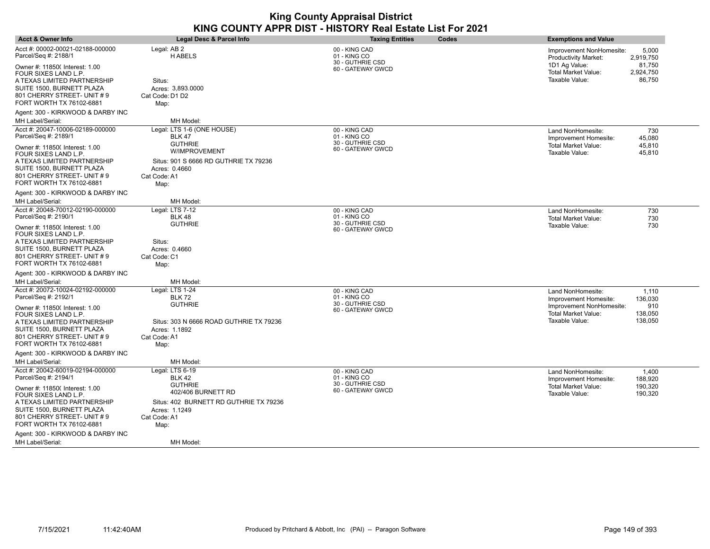| <b>Acct &amp; Owner Info</b>                                                                                                                                                 | <b>Legal Desc &amp; Parcel Info</b>                                                                               | <b>Taxing Entities</b>                                                 | Codes | <b>Exemptions and Value</b>                                                                                                         |
|------------------------------------------------------------------------------------------------------------------------------------------------------------------------------|-------------------------------------------------------------------------------------------------------------------|------------------------------------------------------------------------|-------|-------------------------------------------------------------------------------------------------------------------------------------|
| Acct #: 00002-00021-02188-000000<br>Parcel/Seq #: 2188/1                                                                                                                     | Legal: AB 2<br><b>HABELS</b>                                                                                      | 00 - KING CAD<br>01 - KING CO<br>30 - GUTHRIE CSD                      |       | 5,000<br>Improvement NonHomesite:<br><b>Productivity Market:</b><br>2,919,750                                                       |
| Owner #: 11850( Interest: 1.00<br>FOUR SIXES LAND L.P.<br>A TEXAS LIMITED PARTNERSHIP<br>SUITE 1500, BURNETT PLAZA<br>801 CHERRY STREET- UNIT #9<br>FORT WORTH TX 76102-6881 | Situs:<br>Acres: 3.893.0000<br>Cat Code: D1 D2<br>Map:                                                            | 60 - GATEWAY GWCD                                                      |       | 1D1 Ag Value:<br>81,750<br><b>Total Market Value:</b><br>2,924,750<br>Taxable Value:<br>86,750                                      |
| Agent: 300 - KIRKWOOD & DARBY INC<br>MH Label/Serial:                                                                                                                        | MH Model:                                                                                                         |                                                                        |       |                                                                                                                                     |
| Acct #: 20047-10006-02189-000000<br>Parcel/Seq #: 2189/1                                                                                                                     | Legal: LTS 1-6 (ONE HOUSE)<br><b>BLK 47</b>                                                                       | 00 - KING CAD<br>01 - KING CO                                          |       | 730<br>Land NonHomesite:<br>45,080<br>Improvement Homesite:                                                                         |
| Owner #: 11850( Interest: 1.00<br>FOUR SIXES LAND L.P.<br>A TEXAS LIMITED PARTNERSHIP<br>SUITE 1500, BURNETT PLAZA<br>801 CHERRY STREET- UNIT #9<br>FORT WORTH TX 76102-6881 | <b>GUTHRIE</b><br>W/IMPROVEMENT<br>Situs: 901 S 6666 RD GUTHRIE TX 79236<br>Acres: 0.4660<br>Cat Code: A1<br>Map: | 30 - GUTHRIE CSD<br>60 - GATEWAY GWCD                                  |       | <b>Total Market Value:</b><br>45,810<br>Taxable Value:<br>45,810                                                                    |
| Agent: 300 - KIRKWOOD & DARBY INC                                                                                                                                            |                                                                                                                   |                                                                        |       |                                                                                                                                     |
| MH Label/Serial:<br>Acct #: 20048-70012-02190-000000<br>Parcel/Seq #: 2190/1                                                                                                 | MH Model:<br>Legal: LTS 7-12<br><b>BLK 48</b>                                                                     | 00 - KING CAD<br>01 - KING CO                                          |       | 730<br>Land NonHomesite:<br><b>Total Market Value:</b><br>730                                                                       |
| Owner #: 118500 Interest: 1.00<br>FOUR SIXES LAND L.P.<br>A TEXAS LIMITED PARTNERSHIP<br>SUITE 1500, BURNETT PLAZA<br>801 CHERRY STREET- UNIT #9<br>FORT WORTH TX 76102-6881 | <b>GUTHRIE</b><br>Situs:<br>Acres: 0.4660<br>Cat Code: C1<br>Map:                                                 | 30 - GUTHRIE CSD<br>60 - GATEWAY GWCD                                  |       | Taxable Value:<br>730                                                                                                               |
| Agent: 300 - KIRKWOOD & DARBY INC                                                                                                                                            |                                                                                                                   |                                                                        |       |                                                                                                                                     |
| MH Label/Serial:                                                                                                                                                             | MH Model:                                                                                                         |                                                                        |       |                                                                                                                                     |
| Acct #: 20072-10024-02192-000000<br>Parcel/Seq #: 2192/1<br>Owner #: 11850( Interest: 1.00<br>FOUR SIXES LAND L.P.                                                           | Legal: LTS 1-24<br><b>BLK 72</b><br><b>GUTHRIE</b>                                                                | 00 - KING CAD<br>01 - KING CO<br>30 - GUTHRIE CSD<br>60 - GATEWAY GWCD |       | Land NonHomesite:<br>1,110<br>136,030<br>Improvement Homesite:<br>910<br>Improvement NonHomesite:<br>Total Market Value:<br>138,050 |
| A TEXAS LIMITED PARTNERSHIP<br>SUITE 1500, BURNETT PLAZA<br>801 CHERRY STREET- UNIT #9<br>FORT WORTH TX 76102-6881                                                           | Situs: 303 N 6666 ROAD GUTHRIE TX 79236<br>Acres: 1.1892<br>Cat Code: A1<br>Map:                                  |                                                                        |       | Taxable Value:<br>138.050                                                                                                           |
| Agent: 300 - KIRKWOOD & DARBY INC<br>MH Label/Serial:                                                                                                                        | MH Model:                                                                                                         |                                                                        |       |                                                                                                                                     |
| Acct #: 20042-60019-02194-000000<br>Parcel/Seq #: 2194/1                                                                                                                     | Legal: LTS 6-19<br><b>BLK 42</b>                                                                                  | 00 - KING CAD<br>01 - KING CO                                          |       | Land NonHomesite:<br>1,400<br>188,920<br>Improvement Homesite:                                                                      |
| Owner #: 118500 Interest: 1.00<br>FOUR SIXES LAND L.P.<br>A TEXAS LIMITED PARTNERSHIP<br>SUITE 1500, BURNETT PLAZA<br>801 CHERRY STREET- UNIT #9                             | <b>GUTHRIE</b><br>402/406 BURNETT RD<br>Situs: 402 BURNETT RD GUTHRIE TX 79236<br>Acres: 1.1249<br>Cat Code: A1   | 30 - GUTHRIE CSD<br>60 - GATEWAY GWCD                                  |       | <b>Total Market Value:</b><br>190,320<br>Taxable Value:<br>190,320                                                                  |
| FORT WORTH TX 76102-6881<br>Agent: 300 - KIRKWOOD & DARBY INC                                                                                                                | Map:                                                                                                              |                                                                        |       |                                                                                                                                     |
| MH Label/Serial:                                                                                                                                                             | MH Model:                                                                                                         |                                                                        |       |                                                                                                                                     |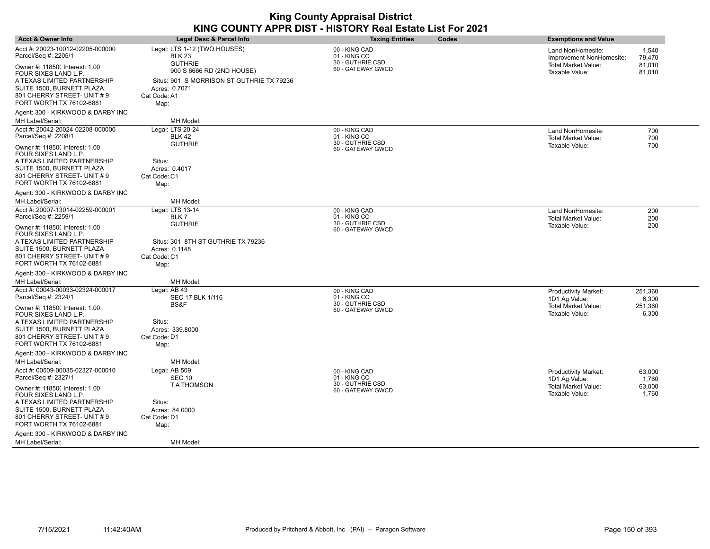| <b>Acct &amp; Owner Info</b>                                                                                                                                                 | Legal Desc & Parcel Info                                                                                                          | <b>Taxing Entities</b><br>Codes                   | <b>Exemptions and Value</b>                                                            |
|------------------------------------------------------------------------------------------------------------------------------------------------------------------------------|-----------------------------------------------------------------------------------------------------------------------------------|---------------------------------------------------|----------------------------------------------------------------------------------------|
| Acct #: 20023-10012-02205-000000<br>Parcel/Seq #: 2205/1                                                                                                                     | Legal: LTS 1-12 (TWO HOUSES)<br><b>BLK 23</b>                                                                                     | 00 - KING CAD<br>01 - KING CO                     | Land NonHomesite:<br>1,540<br>Improvement NonHomesite:<br>79,470                       |
| Owner #: 11850( Interest: 1.00<br>FOUR SIXES LAND L.P.<br>A TEXAS LIMITED PARTNERSHIP<br>SUITE 1500, BURNETT PLAZA<br>801 CHERRY STREET- UNIT #9<br>FORT WORTH TX 76102-6881 | <b>GUTHRIE</b><br>900 S 6666 RD (2ND HOUSE)<br>Situs: 901 S MORRISON ST GUTHRIE TX 79236<br>Acres: 0.7071<br>Cat Code: A1<br>Map: | 30 - GUTHRIE CSD<br>60 - GATEWAY GWCD             | 81,010<br><b>Total Market Value:</b><br>Taxable Value:<br>81,010                       |
| Agent: 300 - KIRKWOOD & DARBY INC                                                                                                                                            |                                                                                                                                   |                                                   |                                                                                        |
| MH Label/Serial:                                                                                                                                                             | MH Model:                                                                                                                         |                                                   |                                                                                        |
| Acct #: 20042-20024-02208-000000<br>Parcel/Seq #: 2208/1                                                                                                                     | Legal: LTS 20-24<br><b>BLK 42</b><br><b>GUTHRIE</b>                                                                               | 00 - KING CAD<br>01 - KING CO<br>30 - GUTHRIE CSD | 700<br>Land NonHomesite:<br>700<br><b>Total Market Value:</b><br>700<br>Taxable Value: |
| Owner #: 11850( Interest: 1.00<br>FOUR SIXES LAND L.P.<br>A TEXAS LIMITED PARTNERSHIP                                                                                        | Situs:                                                                                                                            | 60 - GATEWAY GWCD                                 |                                                                                        |
| SUITE 1500, BURNETT PLAZA<br>801 CHERRY STREET- UNIT #9<br>FORT WORTH TX 76102-6881                                                                                          | Acres: 0.4017<br>Cat Code: C1<br>Map:                                                                                             |                                                   |                                                                                        |
| Agent: 300 - KIRKWOOD & DARBY INC                                                                                                                                            |                                                                                                                                   |                                                   |                                                                                        |
| MH Label/Serial:                                                                                                                                                             | MH Model:                                                                                                                         |                                                   |                                                                                        |
| Acct #: 20007-13014-02259-000001<br>Parcel/Seq #: 2259/1                                                                                                                     | Legal: LTS 13-14<br>BLK7                                                                                                          | 00 - KING CAD<br>01 - KING CO                     | 200<br>Land NonHomesite:<br>200<br><b>Total Market Value:</b>                          |
| Owner #: 11850( Interest: 1.00<br>FOUR SIXES LAND L.P.                                                                                                                       | <b>GUTHRIE</b>                                                                                                                    | 30 - GUTHRIE CSD<br>60 - GATEWAY GWCD             | Taxable Value:<br>200                                                                  |
| A TEXAS LIMITED PARTNERSHIP<br>SUITE 1500, BURNETT PLAZA<br>801 CHERRY STREET- UNIT #9<br>FORT WORTH TX 76102-6881                                                           | Situs: 301 8TH ST GUTHRIE TX 79236<br>Acres: 0.1148<br>Cat Code: C1<br>Map:                                                       |                                                   |                                                                                        |
| Agent: 300 - KIRKWOOD & DARBY INC                                                                                                                                            |                                                                                                                                   |                                                   |                                                                                        |
| MH Label/Serial:                                                                                                                                                             | MH Model:                                                                                                                         |                                                   |                                                                                        |
| Acct #: 00043-00033-02324-000017<br>Parcel/Seq #: 2324/1                                                                                                                     | Legal: AB 43<br>SEC 17 BLK 1/116<br>BS&F                                                                                          | 00 - KING CAD<br>01 - KING CO<br>30 - GUTHRIE CSD | 251,360<br><b>Productivity Market:</b><br>6,300<br>1D1 Ag Value:                       |
| Owner #: 11850( Interest: 1.00<br>FOUR SIXES LAND L.P.<br>A TEXAS LIMITED PARTNERSHIP                                                                                        | Situs:                                                                                                                            | 60 - GATEWAY GWCD                                 | <b>Total Market Value:</b><br>251,360<br>Taxable Value:<br>6,300                       |
| SUITE 1500, BURNETT PLAZA<br>801 CHERRY STREET- UNIT #9<br>FORT WORTH TX 76102-6881                                                                                          | Acres: 339.8000<br>Cat Code: D1<br>Map:                                                                                           |                                                   |                                                                                        |
| Agent: 300 - KIRKWOOD & DARBY INC                                                                                                                                            |                                                                                                                                   |                                                   |                                                                                        |
| MH Label/Serial:                                                                                                                                                             | MH Model:                                                                                                                         |                                                   |                                                                                        |
| Acct #: 00509-00035-02327-000010<br>Parcel/Seq #: 2327/1                                                                                                                     | Legal: AB 509<br><b>SEC 10</b>                                                                                                    | 00 - KING CAD<br>01 - KING CO<br>30 - GUTHRIE CSD | 63,000<br><b>Productivity Market:</b><br>1D1 Ag Value:<br>1,760                        |
| Owner #: 118500 Interest: 1.00<br>FOUR SIXES LAND L.P.                                                                                                                       | <b>TATHOMSON</b>                                                                                                                  | 60 - GATEWAY GWCD                                 | <b>Total Market Value:</b><br>63,000<br>Taxable Value:<br>1,760                        |
| A TEXAS LIMITED PARTNERSHIP<br>SUITE 1500, BURNETT PLAZA<br>801 CHERRY STREET- UNIT #9<br>FORT WORTH TX 76102-6881                                                           | Situs:<br>Acres: 84.0000<br>Cat Code: D1<br>Map:                                                                                  |                                                   |                                                                                        |
| Agent: 300 - KIRKWOOD & DARBY INC<br>MH Label/Serial:                                                                                                                        | MH Model:                                                                                                                         |                                                   |                                                                                        |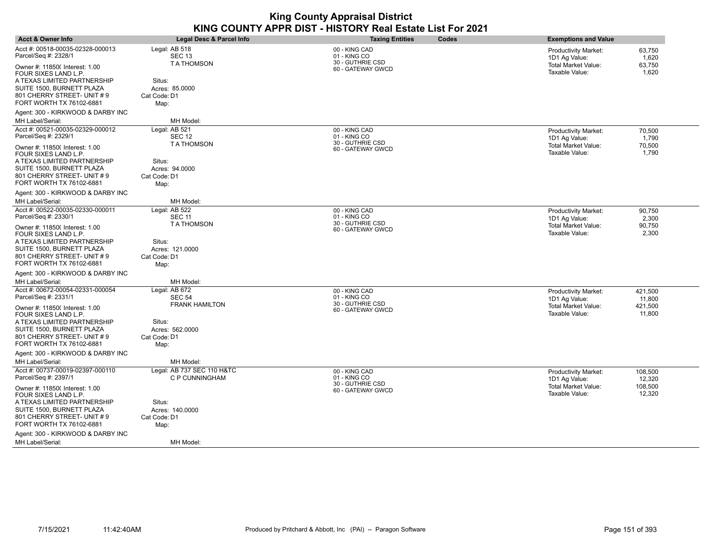| <b>Acct &amp; Owner Info</b>                                                                                                                                                                                                             | <b>Legal Desc &amp; Parcel Info</b>                                                                          | Codes<br><b>Taxing Entities</b>                                        | <b>Exemptions and Value</b>                                                                                                     |
|------------------------------------------------------------------------------------------------------------------------------------------------------------------------------------------------------------------------------------------|--------------------------------------------------------------------------------------------------------------|------------------------------------------------------------------------|---------------------------------------------------------------------------------------------------------------------------------|
| Acct #: 00518-00035-02328-000013<br>Parcel/Seq #: 2328/1<br>Owner #: 11850( Interest: 1.00<br>FOUR SIXES LAND L.P.<br>A TEXAS LIMITED PARTNERSHIP<br>SUITE 1500, BURNETT PLAZA<br>801 CHERRY STREET- UNIT #9<br>FORT WORTH TX 76102-6881 | Legal: AB 518<br><b>SEC 13</b><br><b>TATHOMSON</b><br>Situs:<br>Acres: 85.0000<br>Cat Code: D1<br>Map:       | 00 - KING CAD<br>01 - KING CO<br>30 - GUTHRIE CSD<br>60 - GATEWAY GWCD | Productivity Market:<br>63,750<br>1D1 Ag Value:<br>1,620<br><b>Total Market Value:</b><br>63,750<br>Taxable Value:<br>1,620     |
| Agent: 300 - KIRKWOOD & DARBY INC<br>MH Label/Serial:                                                                                                                                                                                    | MH Model:                                                                                                    |                                                                        |                                                                                                                                 |
| Acct #: 00521-00035-02329-000012<br>Parcel/Seq #: 2329/1                                                                                                                                                                                 | Legal: AB 521<br><b>SEC 12</b>                                                                               | 00 - KING CAD<br>01 - KING CO<br>30 - GUTHRIE CSD                      | 70,500<br><b>Productivity Market:</b><br>1,790<br>1D1 Ag Value:                                                                 |
| Owner #: 11850( Interest: 1.00<br>FOUR SIXES LAND L.P.<br>A TEXAS LIMITED PARTNERSHIP<br>SUITE 1500, BURNETT PLAZA<br>801 CHERRY STREET- UNIT #9<br>FORT WORTH TX 76102-6881                                                             | <b>TATHOMSON</b><br>Situs:<br>Acres: 94.0000<br>Cat Code: D1<br>Map:                                         | 60 - GATEWAY GWCD                                                      | Total Market Value:<br>70,500<br>Taxable Value:<br>1,790                                                                        |
| Agent: 300 - KIRKWOOD & DARBY INC                                                                                                                                                                                                        |                                                                                                              |                                                                        |                                                                                                                                 |
| MH Label/Serial:<br>Acct #: 00522-00035-02330-000011<br>Parcel/Seq #: 2330/1                                                                                                                                                             | MH Model:<br>Legal: AB 522<br><b>SEC 11</b>                                                                  | 00 - KING CAD<br>01 - KING CO                                          | 90,750<br><b>Productivity Market:</b><br>1D1 Ag Value:<br>2,300                                                                 |
| Owner #: 11850( Interest: 1.00<br>FOUR SIXES LAND L.P.<br>A TEXAS LIMITED PARTNERSHIP<br>SUITE 1500, BURNETT PLAZA<br>801 CHERRY STREET- UNIT #9<br>FORT WORTH TX 76102-6881                                                             | <b>TATHOMSON</b><br>Situs:<br>Acres: 121.0000<br>Cat Code: D1<br>Map:                                        | 30 - GUTHRIE CSD<br>60 - GATEWAY GWCD                                  | <b>Total Market Value:</b><br>90,750<br>Taxable Value:<br>2,300                                                                 |
| Agent: 300 - KIRKWOOD & DARBY INC                                                                                                                                                                                                        |                                                                                                              |                                                                        |                                                                                                                                 |
| MH Label/Serial:                                                                                                                                                                                                                         | MH Model:                                                                                                    |                                                                        |                                                                                                                                 |
| Acct #: 00672-00054-02331-000054<br>Parcel/Seq #: 2331/1<br>Owner #: 11850( Interest: 1.00<br>FOUR SIXES LAND L.P.<br>A TEXAS LIMITED PARTNERSHIP<br>SUITE 1500, BURNETT PLAZA<br>801 CHERRY STREET- UNIT #9<br>FORT WORTH TX 76102-6881 | Legal: AB 672<br><b>SEC 54</b><br><b>FRANK HAMILTON</b><br>Situs:<br>Acres: 562.0000<br>Cat Code: D1<br>Map: | 00 - KING CAD<br>01 - KING CO<br>30 - GUTHRIE CSD<br>60 - GATEWAY GWCD | Productivity Market:<br>421,500<br>11,800<br>1D1 Ag Value:<br><b>Total Market Value:</b><br>421,500<br>Taxable Value:<br>11,800 |
| Agent: 300 - KIRKWOOD & DARBY INC<br>MH Label/Serial:                                                                                                                                                                                    | MH Model:                                                                                                    |                                                                        |                                                                                                                                 |
| Acct #: 00737-00019-02397-000110<br>Parcel/Seq #: 2397/1                                                                                                                                                                                 | Legal: AB 737 SEC 110 H&TC<br>C P CUNNINGHAM                                                                 | 00 - KING CAD<br>01 - KING CO<br>30 - GUTHRIE CSD                      | Productivity Market:<br>108,500<br>1D1 Ag Value:<br>12,320                                                                      |
| Owner #: 11850( Interest: 1.00<br>FOUR SIXES LAND L.P.<br>A TEXAS LIMITED PARTNERSHIP<br>SUITE 1500, BURNETT PLAZA<br>801 CHERRY STREET- UNIT #9<br>FORT WORTH TX 76102-6881                                                             | Situs:<br>Acres: 140.0000<br>Cat Code: D1<br>Map:                                                            | 60 - GATEWAY GWCD                                                      | 108,500<br>Total Market Value:<br>Taxable Value:<br>12,320                                                                      |
| Agent: 300 - KIRKWOOD & DARBY INC<br>MH Label/Serial:                                                                                                                                                                                    | MH Model:                                                                                                    |                                                                        |                                                                                                                                 |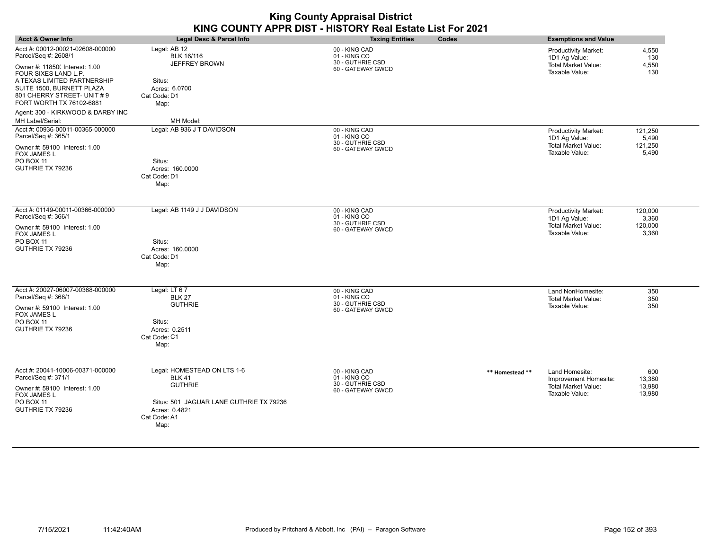| <b>Acct &amp; Owner Info</b>                                                                                                                                                                                                                                                                                                                 | Legal Desc & Parcel Info                                                                                                                           | <b>Taxing Entities</b><br>Codes                                                         | <b>Exemptions and Value</b>                                                                                                                                            |
|----------------------------------------------------------------------------------------------------------------------------------------------------------------------------------------------------------------------------------------------------------------------------------------------------------------------------------------------|----------------------------------------------------------------------------------------------------------------------------------------------------|-----------------------------------------------------------------------------------------|------------------------------------------------------------------------------------------------------------------------------------------------------------------------|
| Acct #: 00012-00021-02608-000000<br>Parcel/Seq #: 2608/1<br>Owner #: 11850( Interest: 1.00<br>FOUR SIXES LAND L.P.<br>A TEXAS LIMITED PARTNERSHIP<br>SUITE 1500, BURNETT PLAZA<br>801 CHERRY STREET- UNIT #9<br>FORT WORTH TX 76102-6881<br>Agent: 300 - KIRKWOOD & DARBY INC<br><b>MH Label/Serial:</b><br>Acct #: 00936-00011-00365-000000 | Legal: AB 12<br><b>BLK 16/116</b><br>JEFFREY BROWN<br>Situs:<br>Acres: 6.0700<br>Cat Code: D1<br>Map:<br>MH Model:<br>Legal: AB 936 J T DAVIDSON   | 00 - KING CAD<br>01 - KING CO<br>30 - GUTHRIE CSD<br>60 - GATEWAY GWCD<br>00 - KING CAD | <b>Productivity Market:</b><br>4,550<br>1D1 Ag Value:<br>130<br><b>Total Market Value:</b><br>4,550<br>Taxable Value:<br>130<br><b>Productivity Market:</b><br>121,250 |
| Parcel/Seq #: 365/1<br>Owner #: 59100 Interest: 1.00<br>FOX JAMES L<br><b>PO BOX 11</b><br>GUTHRIE TX 79236                                                                                                                                                                                                                                  | Situs:<br>Acres: 160.0000<br>Cat Code: D1<br>Map:                                                                                                  | 01 - KING CO<br>30 - GUTHRIE CSD<br>60 - GATEWAY GWCD                                   | 1D1 Ag Value:<br>5,490<br><b>Total Market Value:</b><br>121,250<br>Taxable Value:<br>5,490                                                                             |
| Acct #: 01149-00011-00366-000000<br>Parcel/Seq #: 366/1<br>Owner #: 59100 Interest: 1.00<br>FOX JAMES L<br><b>PO BOX 11</b><br>GUTHRIE TX 79236                                                                                                                                                                                              | Legal: AB 1149 J J DAVIDSON<br>Situs:<br>Acres: 160.0000<br>Cat Code: D1<br>Map:                                                                   | 00 - KING CAD<br>01 - KING CO<br>30 - GUTHRIE CSD<br>60 - GATEWAY GWCD                  | Productivity Market:<br>120,000<br>1D1 Ag Value:<br>3,360<br><b>Total Market Value:</b><br>120,000<br>Taxable Value:<br>3,360                                          |
| Acct #: 20027-06007-00368-000000<br>Parcel/Seq #: 368/1<br>Owner #: 59100 Interest: 1.00<br>FOX JAMES L<br><b>PO BOX 11</b><br>GUTHRIE TX 79236                                                                                                                                                                                              | Legal: LT 67<br><b>BLK 27</b><br><b>GUTHRIE</b><br>Situs:<br>Acres: 0.2511<br>Cat Code: C1<br>Map:                                                 | 00 - KING CAD<br>01 - KING CO<br>30 - GUTHRIE CSD<br>60 - GATEWAY GWCD                  | Land NonHomesite:<br>350<br>350<br><b>Total Market Value:</b><br>Taxable Value:<br>350                                                                                 |
| Acct #: 20041-10006-00371-000000<br>Parcel/Seq #: 371/1<br>Owner #: 59100 Interest: 1.00<br>FOX JAMES L<br><b>PO BOX 11</b><br>GUTHRIE TX 79236                                                                                                                                                                                              | Legal: HOMESTEAD ON LTS 1-6<br><b>BLK 41</b><br><b>GUTHRIE</b><br>Situs: 501 JAGUAR LANE GUTHRIE TX 79236<br>Acres: 0.4821<br>Cat Code: A1<br>Map: | 00 - KING CAD<br>01 - KING CO<br>30 - GUTHRIE CSD<br>60 - GATEWAY GWCD                  | Land Homesite:<br>600<br>** Homestead **<br>13,380<br>Improvement Homesite:<br><b>Total Market Value:</b><br>13,980<br>Taxable Value:<br>13,980                        |

 $\overline{\phantom{a}}$ 

 $\overline{\phantom{a}}$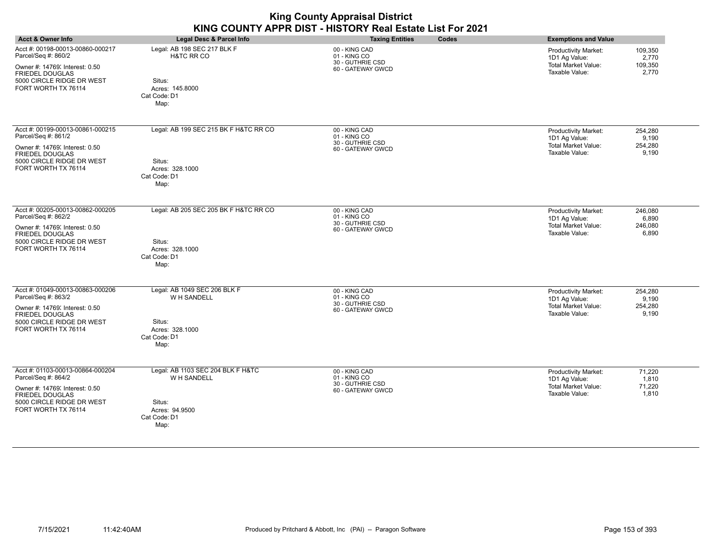| <b>King County Appraisal District</b><br>KING COUNTY APPR DIST - HISTORY Real Estate List For 2021                                                                      |                                                                                                      |                                                                        |                                                                                                                               |  |
|-------------------------------------------------------------------------------------------------------------------------------------------------------------------------|------------------------------------------------------------------------------------------------------|------------------------------------------------------------------------|-------------------------------------------------------------------------------------------------------------------------------|--|
| <b>Acct &amp; Owner Info</b>                                                                                                                                            | <b>Legal Desc &amp; Parcel Info</b>                                                                  | Codes<br><b>Taxing Entities</b>                                        | <b>Exemptions and Value</b>                                                                                                   |  |
| Acct #: 00198-00013-00860-000217<br>Parcel/Seq #: 860/2<br>Owner #: 14769; Interest: 0.50<br><b>FRIEDEL DOUGLAS</b><br>5000 CIRCLE RIDGE DR WEST<br>FORT WORTH TX 76114 | Legal: AB 198 SEC 217 BLK F<br>H&TC RR CO<br>Situs:<br>Acres: 145.8000<br>Cat Code: D1<br>Map:       | 00 - KING CAD<br>01 - KING CO<br>30 - GUTHRIE CSD<br>60 - GATEWAY GWCD | Productivity Market:<br>109,350<br>1D1 Ag Value:<br>2.770<br><b>Total Market Value:</b><br>109,350<br>Taxable Value:<br>2,770 |  |
| Acct #: 00199-00013-00861-000215<br>Parcel/Seq #: 861/2<br>Owner #: 14769; Interest: 0.50<br><b>FRIEDEL DOUGLAS</b><br>5000 CIRCLE RIDGE DR WEST<br>FORT WORTH TX 76114 | Legal: AB 199 SEC 215 BK F H&TC RR CO<br>Situs:<br>Acres: 328.1000<br>Cat Code: D1<br>Map:           | 00 - KING CAD<br>01 - KING CO<br>30 - GUTHRIE CSD<br>60 - GATEWAY GWCD | Productivity Market:<br>254,280<br>1D1 Ag Value:<br>9,190<br><b>Total Market Value:</b><br>254,280<br>Taxable Value:<br>9,190 |  |
| Acct #: 00205-00013-00862-000205<br>Parcel/Seq #: 862/2<br>Owner #: 14769; Interest: 0.50<br><b>FRIEDEL DOUGLAS</b><br>5000 CIRCLE RIDGE DR WEST<br>FORT WORTH TX 76114 | Legal: AB 205 SEC 205 BK F H&TC RR CO<br>Situs:<br>Acres: 328.1000<br>Cat Code: D1<br>Map:           | 00 - KING CAD<br>01 - KING CO<br>30 - GUTHRIE CSD<br>60 - GATEWAY GWCD | Productivity Market:<br>246,080<br>1D1 Ag Value:<br>6,890<br><b>Total Market Value:</b><br>246,080<br>Taxable Value:<br>6,890 |  |
| Acct #: 01049-00013-00863-000206<br>Parcel/Seq #: 863/2<br>Owner #: 14769; Interest: 0.50<br><b>FRIEDEL DOUGLAS</b><br>5000 CIRCLE RIDGE DR WEST<br>FORT WORTH TX 76114 | Legal: AB 1049 SEC 206 BLK F<br>W H SANDELL<br>Situs:<br>Acres: 328.1000<br>Cat Code: D1<br>Map:     | 00 - KING CAD<br>01 - KING CO<br>30 - GUTHRIE CSD<br>60 - GATEWAY GWCD | Productivity Market:<br>254,280<br>1D1 Ag Value:<br>9,190<br><b>Total Market Value:</b><br>254,280<br>Taxable Value:<br>9,190 |  |
| Acct #: 01103-00013-00864-000204<br>Parcel/Seq #: 864/2<br>Owner #: 14769; Interest: 0.50<br><b>FRIEDEL DOUGLAS</b><br>5000 CIRCLE RIDGE DR WEST<br>FORT WORTH TX 76114 | Legal: AB 1103 SEC 204 BLK F H&TC<br>W H SANDELL<br>Situs:<br>Acres: 94.9500<br>Cat Code: D1<br>Map: | 00 - KING CAD<br>01 - KING CO<br>30 - GUTHRIE CSD<br>60 - GATEWAY GWCD | 71,220<br>Productivity Market:<br>1D1 Ag Value:<br>1,810<br><b>Total Market Value:</b><br>71,220<br>Taxable Value:<br>1,810   |  |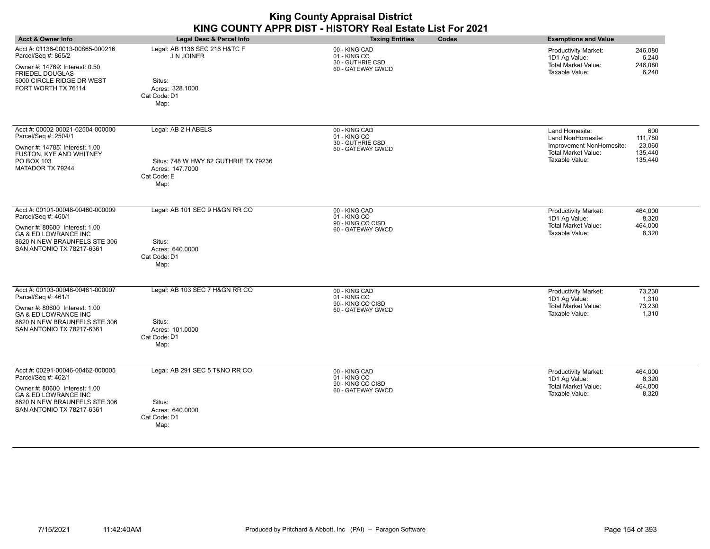| <b>King County Appraisal District</b><br>KING COUNTY APPR DIST - HISTORY Real Estate List For 2021                                                                                       |                                                                                                       |                                                                         |                                                                                                                                                                   |  |
|------------------------------------------------------------------------------------------------------------------------------------------------------------------------------------------|-------------------------------------------------------------------------------------------------------|-------------------------------------------------------------------------|-------------------------------------------------------------------------------------------------------------------------------------------------------------------|--|
| <b>Acct &amp; Owner Info</b>                                                                                                                                                             | <b>Legal Desc &amp; Parcel Info</b>                                                                   | Codes<br><b>Taxing Entities</b>                                         | <b>Exemptions and Value</b>                                                                                                                                       |  |
| Acct #: 01136-00013-00865-000216<br>Parcel/Seq #: 865/2<br>Owner #: 14769; Interest: 0.50<br><b>FRIEDEL DOUGLAS</b><br>5000 CIRCLE RIDGE DR WEST<br>FORT WORTH TX 76114                  | Legal: AB 1136 SEC 216 H&TC F<br>J N JOINER<br>Situs:<br>Acres: 328.1000<br>Cat Code: D1<br>Map:      | 00 - KING CAD<br>01 - KING CO<br>30 - GUTHRIE CSD<br>60 - GATEWAY GWCD  | <b>Productivity Market:</b><br>246,080<br>1D1 Ag Value:<br>6.240<br><b>Total Market Value:</b><br>246,080<br>Taxable Value:<br>6.240                              |  |
| Acct #: 00002-00021-02504-000000<br>Parcel/Seq #: 2504/1<br>Owner #: 14785, Interest: 1.00<br>FUSTON, KYE AND WHITNEY<br>PO BOX 103<br>MATADOR TX 79244                                  | Legal: AB 2 H ABELS<br>Situs: 748 W HWY 82 GUTHRIE TX 79236<br>Acres: 147.7000<br>Cat Code: E<br>Map: | 00 - KING CAD<br>01 - KING CO<br>30 - GUTHRIE CSD<br>60 - GATEWAY GWCD  | Land Homesite:<br>600<br>111,780<br>Land NonHomesite:<br>Improvement NonHomesite:<br>23,060<br><b>Total Market Value:</b><br>135,440<br>Taxable Value:<br>135,440 |  |
| Acct #: 00101-00048-00460-000009<br>Parcel/Seq #: 460/1<br>Owner #: 80600 Interest: 1.00<br><b>GA &amp; ED LOWRANCE INC</b><br>8620 N NEW BRAUNFELS STE 306<br>SAN ANTONIO TX 78217-6361 | Legal: AB 101 SEC 9 H&GN RR CO<br>Situs:<br>Acres: 640.0000<br>Cat Code: D1<br>Map:                   | 00 - KING CAD<br>01 - KING CO<br>90 - KING CO CISD<br>60 - GATEWAY GWCD | 464,000<br>Productivity Market:<br>1D1 Ag Value:<br>8,320<br><b>Total Market Value:</b><br>464,000<br>Taxable Value:<br>8,320                                     |  |
| Acct #: 00103-00048-00461-000007<br>Parcel/Seq #: 461/1<br>Owner #: 80600 Interest: 1.00<br><b>GA &amp; ED LOWRANCE INC</b><br>8620 N NEW BRAUNFELS STE 306<br>SAN ANTONIO TX 78217-6361 | Legal: AB 103 SEC 7 H&GN RR CO<br>Situs:<br>Acres: 101.0000<br>Cat Code: D1<br>Map:                   | 00 - KING CAD<br>01 - KING CO<br>90 - KING CO CISD<br>60 - GATEWAY GWCD | <b>Productivity Market:</b><br>73,230<br>1D1 Ag Value:<br>1,310<br><b>Total Market Value:</b><br>73,230<br>Taxable Value:<br>1,310                                |  |
| Acct #: 00291-00046-00462-000005<br>Parcel/Seq #: 462/1<br>Owner #: 80600 Interest: 1.00<br><b>GA &amp; ED LOWRANCE INC</b><br>8620 N NEW BRAUNFELS STE 306<br>SAN ANTONIO TX 78217-6361 | Legal: AB 291 SEC 5 T&NO RR CO<br>Situs:<br>Acres: 640.0000<br>Cat Code: D1<br>Map:                   | 00 - KING CAD<br>01 - KING CO<br>90 - KING CO CISD<br>60 - GATEWAY GWCD | Productivity Market:<br>464,000<br>1D1 Ag Value:<br>8,320<br><b>Total Market Value:</b><br>464,000<br>Taxable Value:<br>8,320                                     |  |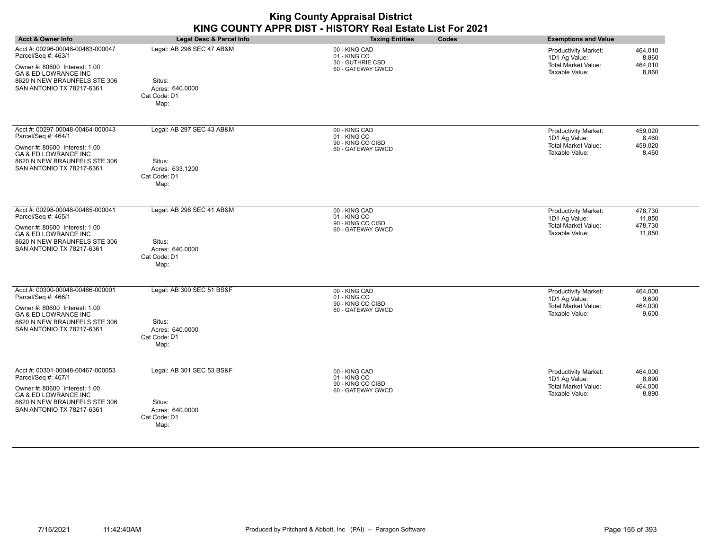| <b>King County Appraisal District</b><br>KING COUNTY APPR DIST - HISTORY Real Estate List For 2021                                                                                       |                                                                                |                                                                         |       |                                                                                              |                                        |
|------------------------------------------------------------------------------------------------------------------------------------------------------------------------------------------|--------------------------------------------------------------------------------|-------------------------------------------------------------------------|-------|----------------------------------------------------------------------------------------------|----------------------------------------|
| <b>Acct &amp; Owner Info</b>                                                                                                                                                             | <b>Legal Desc &amp; Parcel Info</b>                                            | <b>Taxing Entities</b>                                                  | Codes | <b>Exemptions and Value</b>                                                                  |                                        |
| Acct #: 00296-00048-00463-000047<br>Parcel/Seq #: 463/1<br>Owner #: 80600 Interest: 1.00<br><b>GA &amp; ED LOWRANCE INC</b><br>8620 N NEW BRAUNFELS STE 306<br>SAN ANTONIO TX 78217-6361 | Legal: AB 296 SEC 47 AB&M<br>Situs:<br>Acres: 640,0000<br>Cat Code: D1<br>Map: | 00 - KING CAD<br>01 - KING CO<br>30 - GUTHRIE CSD<br>60 - GATEWAY GWCD  |       | Productivity Market:<br>1D1 Ag Value:<br><b>Total Market Value:</b><br>Taxable Value:        | 464,010<br>8,860<br>464.010<br>8,860   |
| Acct #: 00297-00048-00464-000043<br>Parcel/Seq #: 464/1<br>Owner #: 80600 Interest: 1.00<br><b>GA &amp; ED LOWRANCE INC</b><br>8620 N NEW BRAUNFELS STE 306<br>SAN ANTONIO TX 78217-6361 | Legal: AB 297 SEC 43 AB&M<br>Situs:<br>Acres: 633.1200<br>Cat Code: D1<br>Map: | 00 - KING CAD<br>01 - KING CO<br>90 - KING CO CISD<br>60 - GATEWAY GWCD |       | <b>Productivity Market:</b><br>1D1 Ag Value:<br><b>Total Market Value:</b><br>Taxable Value: | 459,020<br>8,460<br>459,020<br>8.460   |
| Acct #: 00298-00048-00465-000041<br>Parcel/Seq #: 465/1<br>Owner #: 80600 Interest: 1.00<br><b>GA &amp; ED LOWRANCE INC</b><br>8620 N NEW BRAUNFELS STE 306<br>SAN ANTONIO TX 78217-6361 | Legal: AB 298 SEC 41 AB&M<br>Situs:<br>Acres: 640.0000<br>Cat Code: D1<br>Map: | 00 - KING CAD<br>01 - KING CO<br>90 - KING CO CISD<br>60 - GATEWAY GWCD |       | Productivity Market:<br>1D1 Ag Value:<br>Total Market Value:<br>Taxable Value:               | 478,730<br>11,850<br>478,730<br>11,850 |
| Acct #: 00300-00048-00466-000001<br>Parcel/Seq #: 466/1<br>Owner #: 80600 Interest: 1.00<br><b>GA &amp; ED LOWRANCE INC</b><br>8620 N NEW BRAUNFELS STE 306<br>SAN ANTONIO TX 78217-6361 | Legal: AB 300 SEC 51 BS&F<br>Situs:<br>Acres: 640.0000<br>Cat Code: D1<br>Map: | 00 - KING CAD<br>01 - KING CO<br>90 - KING CO CISD<br>60 - GATEWAY GWCD |       | Productivity Market:<br>1D1 Ag Value:<br><b>Total Market Value:</b><br>Taxable Value:        | 464,000<br>9.600<br>464,000<br>9,600   |
| Acct #: 00301-00048-00467-000053<br>Parcel/Seq #: 467/1<br>Owner #: 80600 Interest: 1.00<br><b>GA &amp; ED LOWRANCE INC</b><br>8620 N NEW BRAUNFELS STE 306<br>SAN ANTONIO TX 78217-6361 | Legal: AB 301 SEC 53 BS&F<br>Situs:<br>Acres: 640.0000<br>Cat Code: D1<br>Map: | 00 - KING CAD<br>01 - KING CO<br>90 - KING CO CISD<br>60 - GATEWAY GWCD |       | Productivity Market:<br>1D1 Ag Value:<br><b>Total Market Value:</b><br>Taxable Value:        | 464,000<br>8,890<br>464,000<br>8,890   |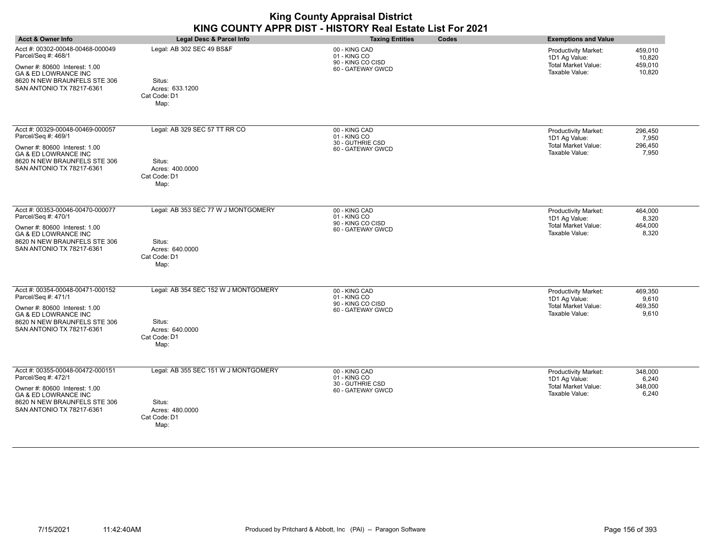| <b>King County Appraisal District</b><br>KING COUNTY APPR DIST - HISTORY Real Estate List For 2021                                                                                       |                                                                                           |                                                                         |                                                                                                                                        |  |
|------------------------------------------------------------------------------------------------------------------------------------------------------------------------------------------|-------------------------------------------------------------------------------------------|-------------------------------------------------------------------------|----------------------------------------------------------------------------------------------------------------------------------------|--|
| <b>Acct &amp; Owner Info</b>                                                                                                                                                             | Legal Desc & Parcel Info                                                                  | <b>Taxing Entities</b><br>Codes                                         | <b>Exemptions and Value</b>                                                                                                            |  |
| Acct #: 00302-00048-00468-000049<br>Parcel/Seq #: 468/1<br>Owner #: 80600 Interest: 1.00<br><b>GA &amp; ED LOWRANCE INC</b><br>8620 N NEW BRAUNFELS STE 306<br>SAN ANTONIO TX 78217-6361 | Legal: AB 302 SEC 49 BS&F<br>Situs:<br>Acres: 633.1200<br>Cat Code: D1<br>Map:            | 00 - KING CAD<br>01 - KING CO<br>90 - KING CO CISD<br>60 - GATEWAY GWCD | 459,010<br><b>Productivity Market:</b><br>1D1 Ag Value:<br>10,820<br><b>Total Market Value:</b><br>459,010<br>Taxable Value:<br>10,820 |  |
| Acct #: 00329-00048-00469-000057<br>Parcel/Seq #: 469/1<br>Owner #: 80600 Interest: 1.00<br>GA & ED LOWRANCE INC<br>8620 N NEW BRAUNFELS STE 306<br>SAN ANTONIO TX 78217-6361            | Legal: AB 329 SEC 57 TT RR CO<br>Situs:<br>Acres: 400.0000<br>Cat Code: D1<br>Map:        | 00 - KING CAD<br>01 - KING CO<br>30 - GUTHRIE CSD<br>60 - GATEWAY GWCD  | <b>Productivity Market:</b><br>296,450<br>1D1 Ag Value:<br>7,950<br><b>Total Market Value:</b><br>296,450<br>Taxable Value:<br>7,950   |  |
| Acct #: 00353-00046-00470-000077<br>Parcel/Seq #: 470/1<br>Owner #: 80600 Interest: 1.00<br><b>GA &amp; ED LOWRANCE INC</b><br>8620 N NEW BRAUNFELS STE 306<br>SAN ANTONIO TX 78217-6361 | Legal: AB 353 SEC 77 W J MONTGOMERY<br>Situs:<br>Acres: 640.0000<br>Cat Code: D1<br>Map:  | 00 - KING CAD<br>01 - KING CO<br>90 - KING CO CISD<br>60 - GATEWAY GWCD | <b>Productivity Market:</b><br>464,000<br>1D1 Ag Value:<br>8,320<br><b>Total Market Value:</b><br>464,000<br>Taxable Value:<br>8,320   |  |
| Acct #: 00354-00048-00471-000152<br>Parcel/Seq #: 471/1<br>Owner #: 80600 Interest: 1.00<br><b>GA &amp; ED LOWRANCE INC</b><br>8620 N NEW BRAUNFELS STE 306<br>SAN ANTONIO TX 78217-6361 | Legal: AB 354 SEC 152 W J MONTGOMERY<br>Situs:<br>Acres: 640.0000<br>Cat Code: D1<br>Map: | 00 - KING CAD<br>01 - KING CO<br>90 - KING CO CISD<br>60 - GATEWAY GWCD | Productivity Market:<br>469,350<br>1D1 Ag Value:<br>9,610<br><b>Total Market Value:</b><br>469,350<br>Taxable Value:<br>9,610          |  |
| Acct #: 00355-00048-00472-000151<br>Parcel/Seq #: 472/1<br>Owner #: 80600 Interest: 1.00<br><b>GA &amp; ED LOWRANCE INC</b><br>8620 N NEW BRAUNFELS STE 306<br>SAN ANTONIO TX 78217-6361 | Legal: AB 355 SEC 151 W J MONTGOMERY<br>Situs:<br>Acres: 480.0000<br>Cat Code: D1<br>Map: | 00 - KING CAD<br>01 - KING CO<br>30 - GUTHRIE CSD<br>60 - GATEWAY GWCD  | <b>Productivity Market:</b><br>348,000<br>1D1 Ag Value:<br>6,240<br><b>Total Market Value:</b><br>348,000<br>Taxable Value:<br>6,240   |  |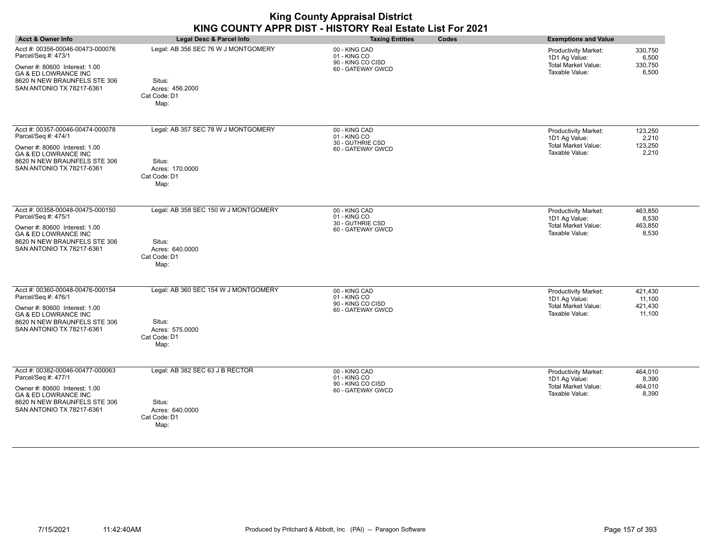| <b>Acct &amp; Owner Info</b>                                                                                                                                                             | Legal Desc & Parcel Info                                                                  | <b>Taxing Entities</b><br>Codes                                         | <b>Exemptions and Value</b>                                                                                                          |
|------------------------------------------------------------------------------------------------------------------------------------------------------------------------------------------|-------------------------------------------------------------------------------------------|-------------------------------------------------------------------------|--------------------------------------------------------------------------------------------------------------------------------------|
| Acct #: 00356-00046-00473-000076<br>Parcel/Seq #: 473/1<br>Owner #: 80600 Interest: 1.00<br><b>GA &amp; ED LOWRANCE INC</b><br>8620 N NEW BRAUNFELS STE 306<br>SAN ANTONIO TX 78217-6361 | Legal: AB 356 SEC 76 W J MONTGOMERY<br>Situs:<br>Acres: 456.2000<br>Cat Code: D1<br>Map:  | 00 - KING CAD<br>01 - KING CO<br>90 - KING CO CISD<br>60 - GATEWAY GWCD | 330,750<br><b>Productivity Market:</b><br>1D1 Ag Value:<br>6,500<br><b>Total Market Value:</b><br>330,750<br>Taxable Value:<br>6,500 |
| Acct #: 00357-00046-00474-000078<br>Parcel/Seq #: 474/1<br>Owner #: 80600 Interest: 1.00<br><b>GA &amp; ED LOWRANCE INC</b><br>8620 N NEW BRAUNFELS STE 306<br>SAN ANTONIO TX 78217-6361 | Legal: AB 357 SEC 78 W J MONTGOMERY<br>Situs:<br>Acres: 170.0000<br>Cat Code: D1<br>Map:  | 00 - KING CAD<br>01 - KING CO<br>30 - GUTHRIE CSD<br>60 - GATEWAY GWCD  | Productivity Market:<br>123,250<br>2,210<br>1D1 Ag Value:<br><b>Total Market Value:</b><br>123,250<br>Taxable Value:<br>2,210        |
| Acct #: 00358-00048-00475-000150<br>Parcel/Seq #: 475/1<br>Owner #: 80600 Interest: 1.00<br><b>GA &amp; ED LOWRANCE INC</b><br>8620 N NEW BRAUNFELS STE 306<br>SAN ANTONIO TX 78217-6361 | Legal: AB 358 SEC 150 W J MONTGOMERY<br>Situs:<br>Acres: 640.0000<br>Cat Code: D1<br>Map: | 00 - KING CAD<br>01 - KING CO<br>30 - GUTHRIE CSD<br>60 - GATEWAY GWCD  | 463,850<br><b>Productivity Market:</b><br>1D1 Ag Value:<br>8,530<br><b>Total Market Value:</b><br>463,850<br>Taxable Value:<br>8,530 |
| Acct #: 00360-00048-00476-000154<br>Parcel/Seq #: 476/1<br>Owner #: 80600 Interest: 1.00<br><b>GA &amp; ED LOWRANCE INC</b><br>8620 N NEW BRAUNFELS STE 306<br>SAN ANTONIO TX 78217-6361 | Legal: AB 360 SEC 154 W J MONTGOMERY<br>Situs:<br>Acres: 575.0000<br>Cat Code: D1<br>Map: | 00 - KING CAD<br>01 - KING CO<br>90 - KING CO CISD<br>60 - GATEWAY GWCD | <b>Productivity Market:</b><br>421,430<br>1D1 Ag Value:<br>11,100<br>Total Market Value:<br>421,430<br>Taxable Value:<br>11,100      |
| Acct #: 00382-00046-00477-000063<br>Parcel/Seq #: 477/1<br>Owner #: 80600 Interest: 1.00<br><b>GA &amp; ED LOWRANCE INC</b><br>8620 N NEW BRAUNFELS STE 306<br>SAN ANTONIO TX 78217-6361 | Legal: AB 382 SEC 63 J B RECTOR<br>Situs:<br>Acres: 640.0000<br>Cat Code: D1<br>Map:      | 00 - KING CAD<br>01 - KING CO<br>90 - KING CO CISD<br>60 - GATEWAY GWCD | Productivity Market:<br>464,010<br>1D1 Ag Value:<br>8,390<br><b>Total Market Value:</b><br>464,010<br>Taxable Value:<br>8,390        |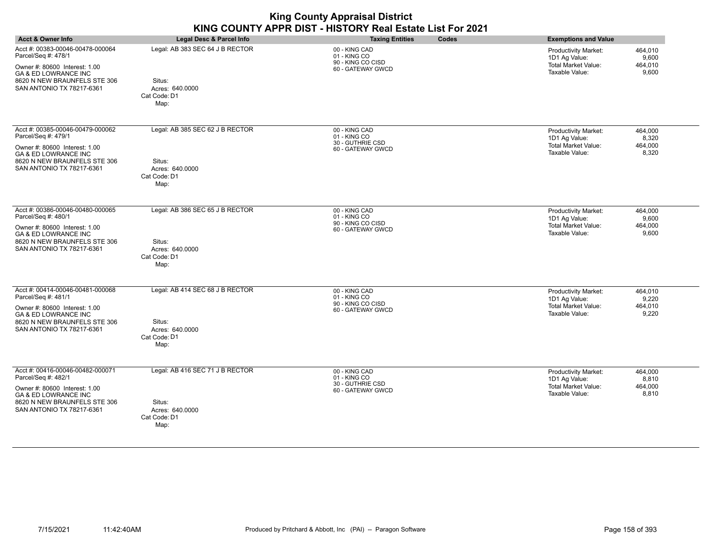|                                                                                                                                                                                          |                                                                                      | <b>King County Appraisal District</b><br>KING COUNTY APPR DIST - HISTORY Real Estate List For 2021 |                                                                                                                                      |
|------------------------------------------------------------------------------------------------------------------------------------------------------------------------------------------|--------------------------------------------------------------------------------------|----------------------------------------------------------------------------------------------------|--------------------------------------------------------------------------------------------------------------------------------------|
| <b>Acct &amp; Owner Info</b>                                                                                                                                                             | <b>Legal Desc &amp; Parcel Info</b>                                                  | <b>Taxing Entities</b><br>Codes                                                                    | <b>Exemptions and Value</b>                                                                                                          |
| Acct #: 00383-00046-00478-000064<br>Parcel/Seq #: 478/1<br>Owner #: 80600 Interest: 1.00<br><b>GA &amp; ED LOWRANCE INC</b><br>8620 N NEW BRAUNFELS STE 306<br>SAN ANTONIO TX 78217-6361 | Legal: AB 383 SEC 64 J B RECTOR<br>Situs:<br>Acres: 640.0000<br>Cat Code: D1<br>Map: | 00 - KING CAD<br>01 - KING CO<br>90 - KING CO CISD<br>60 - GATEWAY GWCD                            | Productivity Market:<br>464,010<br>1D1 Ag Value:<br>9,600<br><b>Total Market Value:</b><br>464.010<br>9,600<br>Taxable Value:        |
| Acct #: 00385-00046-00479-000062<br>Parcel/Seq #: 479/1<br>Owner #: 80600 Interest: 1.00<br>GA & ED LOWRANCE INC<br>8620 N NEW BRAUNFELS STE 306<br>SAN ANTONIO TX 78217-6361            | Legal: AB 385 SEC 62 J B RECTOR<br>Situs:<br>Acres: 640,0000<br>Cat Code: D1<br>Map: | 00 - KING CAD<br>01 - KING CO<br>30 - GUTHRIE CSD<br>60 - GATEWAY GWCD                             | <b>Productivity Market:</b><br>464,000<br>1D1 Ag Value:<br>8,320<br>Total Market Value:<br>464,000<br>Taxable Value:<br>8,320        |
| Acct #: 00386-00046-00480-000065<br>Parcel/Seq #: 480/1<br>Owner #: 80600 Interest: 1.00<br>GA & ED LOWRANCE INC<br>8620 N NEW BRAUNFELS STE 306<br>SAN ANTONIO TX 78217-6361            | Legal: AB 386 SEC 65 J B RECTOR<br>Situs:<br>Acres: 640.0000<br>Cat Code: D1<br>Map: | 00 - KING CAD<br>01 - KING CO<br>90 - KING CO CISD<br>60 - GATEWAY GWCD                            | <b>Productivity Market:</b><br>464,000<br>1D1 Ag Value:<br>9,600<br><b>Total Market Value:</b><br>464,000<br>Taxable Value:<br>9,600 |
| Acct #: 00414-00046-00481-000068<br>Parcel/Seq #: 481/1<br>Owner #: 80600 Interest: 1.00<br><b>GA &amp; ED LOWRANCE INC</b><br>8620 N NEW BRAUNFELS STE 306<br>SAN ANTONIO TX 78217-6361 | Legal: AB 414 SEC 68 J B RECTOR<br>Situs:<br>Acres: 640.0000<br>Cat Code: D1<br>Map: | 00 - KING CAD<br>01 - KING CO<br>90 - KING CO CISD<br>60 - GATEWAY GWCD                            | Productivity Market:<br>464,010<br>1D1 Ag Value:<br>9,220<br><b>Total Market Value:</b><br>464,010<br>9,220<br>Taxable Value:        |
| Acct #: 00416-00046-00482-000071<br>Parcel/Seq #: 482/1<br>Owner #: 80600 Interest: 1.00<br><b>GA &amp; ED LOWRANCE INC</b><br>8620 N NEW BRAUNFELS STE 306<br>SAN ANTONIO TX 78217-6361 | Legal: AB 416 SEC 71 J B RECTOR<br>Situs:<br>Acres: 640.0000<br>Cat Code: D1<br>Map: | 00 - KING CAD<br>01 - KING CO<br>30 - GUTHRIE CSD<br>60 - GATEWAY GWCD                             | Productivity Market:<br>464,000<br>1D1 Ag Value:<br>8,810<br><b>Total Market Value:</b><br>464,000<br>Taxable Value:<br>8,810        |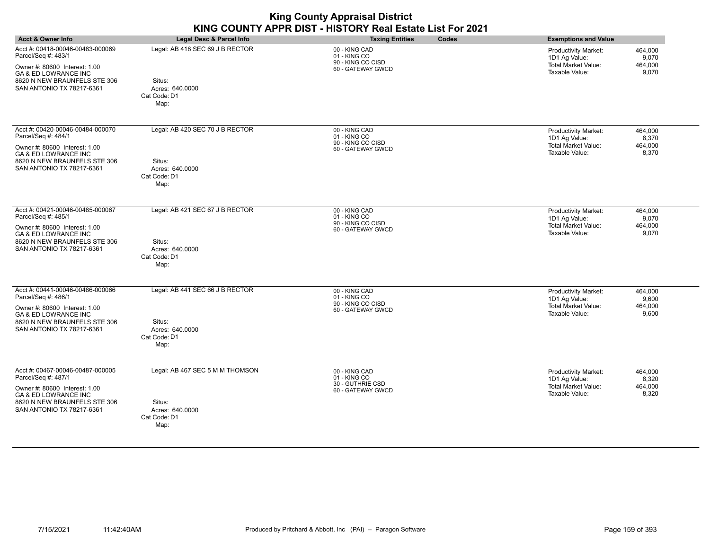|                                                                                                                                                                                          |                                                                                      | <b>King County Appraisal District</b><br>KING COUNTY APPR DIST - HISTORY Real Estate List For 2021 |                                                                                                                                      |
|------------------------------------------------------------------------------------------------------------------------------------------------------------------------------------------|--------------------------------------------------------------------------------------|----------------------------------------------------------------------------------------------------|--------------------------------------------------------------------------------------------------------------------------------------|
| <b>Acct &amp; Owner Info</b>                                                                                                                                                             | Legal Desc & Parcel Info                                                             | <b>Taxing Entities</b><br>Codes                                                                    | <b>Exemptions and Value</b>                                                                                                          |
| Acct #: 00418-00046-00483-000069<br>Parcel/Seq #: 483/1<br>Owner #: 80600 Interest: 1.00<br><b>GA &amp; ED LOWRANCE INC</b><br>8620 N NEW BRAUNFELS STE 306<br>SAN ANTONIO TX 78217-6361 | Legal: AB 418 SEC 69 J B RECTOR<br>Situs:<br>Acres: 640.0000<br>Cat Code: D1<br>Map: | 00 - KING CAD<br>01 - KING CO<br>90 - KING CO CISD<br>60 - GATEWAY GWCD                            | <b>Productivity Market:</b><br>464,000<br>1D1 Ag Value:<br>9.070<br><b>Total Market Value:</b><br>464,000<br>Taxable Value:<br>9,070 |
| Acct #: 00420-00046-00484-000070<br>Parcel/Seq #: 484/1<br>Owner #: 80600 Interest: 1.00<br>GA & ED LOWRANCE INC<br>8620 N NEW BRAUNFELS STE 306<br>SAN ANTONIO TX 78217-6361            | Legal: AB 420 SEC 70 J B RECTOR<br>Situs:<br>Acres: 640,0000<br>Cat Code: D1<br>Map: | 00 - KING CAD<br>01 - KING CO<br>90 - KING CO CISD<br>60 - GATEWAY GWCD                            | Productivity Market:<br>464,000<br>1D1 Ag Value:<br>8,370<br><b>Total Market Value:</b><br>464,000<br>Taxable Value:<br>8,370        |
| Acct #: 00421-00046-00485-000067<br>Parcel/Seq #: 485/1<br>Owner #: 80600 Interest: 1.00<br><b>GA &amp; ED LOWRANCE INC</b><br>8620 N NEW BRAUNFELS STE 306<br>SAN ANTONIO TX 78217-6361 | Legal: AB 421 SEC 67 J B RECTOR<br>Situs:<br>Acres: 640.0000<br>Cat Code: D1<br>Map: | 00 - KING CAD<br>01 - KING CO<br>90 - KING CO CISD<br>60 - GATEWAY GWCD                            | <b>Productivity Market:</b><br>464,000<br>1D1 Ag Value:<br>9,070<br><b>Total Market Value:</b><br>464,000<br>Taxable Value:<br>9,070 |
| Acct #: 00441-00046-00486-000066<br>Parcel/Seq #: 486/1<br>Owner #: 80600 Interest: 1.00<br><b>GA &amp; ED LOWRANCE INC</b><br>8620 N NEW BRAUNFELS STE 306<br>SAN ANTONIO TX 78217-6361 | Legal: AB 441 SEC 66 J B RECTOR<br>Situs:<br>Acres: 640,0000<br>Cat Code: D1<br>Map: | 00 - KING CAD<br>01 - KING CO<br>90 - KING CO CISD<br>60 - GATEWAY GWCD                            | <b>Productivity Market:</b><br>464,000<br>1D1 Ag Value:<br>9.600<br><b>Total Market Value:</b><br>464,000<br>Taxable Value:<br>9,600 |
| Acct #: 00467-00046-00487-000005<br>Parcel/Seq #: 487/1<br>Owner #: 80600 Interest: 1.00<br><b>GA &amp; ED LOWRANCE INC</b><br>8620 N NEW BRAUNFELS STE 306<br>SAN ANTONIO TX 78217-6361 | Legal: AB 467 SEC 5 M M THOMSON<br>Situs:<br>Acres: 640.0000<br>Cat Code: D1<br>Map: | 00 - KING CAD<br>01 - KING CO<br>30 - GUTHRIE CSD<br>60 - GATEWAY GWCD                             | <b>Productivity Market:</b><br>464,000<br>1D1 Ag Value:<br>8,320<br><b>Total Market Value:</b><br>464,000<br>Taxable Value:<br>8.320 |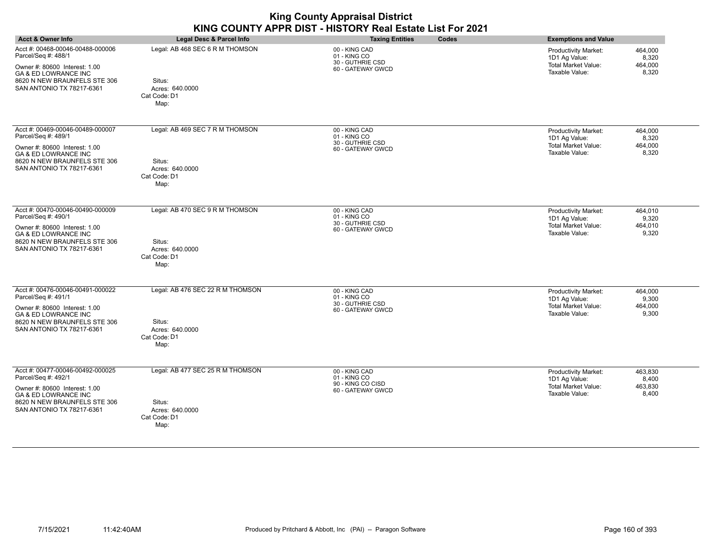| <b>Acct &amp; Owner Info</b>                                                                                                                                                             | Legal Desc & Parcel Info                                                              | <b>Taxing Entities</b><br>Codes                                         | <b>Exemptions and Value</b>                                                                                                          |
|------------------------------------------------------------------------------------------------------------------------------------------------------------------------------------------|---------------------------------------------------------------------------------------|-------------------------------------------------------------------------|--------------------------------------------------------------------------------------------------------------------------------------|
| Acct #: 00468-00046-00488-000006<br>Parcel/Seq #: 488/1<br>Owner #: 80600 Interest: 1.00<br><b>GA &amp; ED LOWRANCE INC</b><br>8620 N NEW BRAUNFELS STE 306<br>SAN ANTONIO TX 78217-6361 | Legal: AB 468 SEC 6 R M THOMSON<br>Situs:<br>Acres: 640.0000<br>Cat Code: D1<br>Map:  | 00 - KING CAD<br>01 - KING CO<br>30 - GUTHRIE CSD<br>60 - GATEWAY GWCD  | 464,000<br><b>Productivity Market:</b><br>1D1 Ag Value:<br>8,320<br><b>Total Market Value:</b><br>464,000<br>Taxable Value:<br>8,320 |
| Acct #: 00469-00046-00489-000007<br>Parcel/Seq #: 489/1<br>Owner #: 80600 Interest: 1.00<br><b>GA &amp; ED LOWRANCE INC</b><br>8620 N NEW BRAUNFELS STE 306<br>SAN ANTONIO TX 78217-6361 | Legal: AB 469 SEC 7 R M THOMSON<br>Situs:<br>Acres: 640.0000<br>Cat Code: D1<br>Map:  | 00 - KING CAD<br>01 - KING CO<br>30 - GUTHRIE CSD<br>60 - GATEWAY GWCD  | Productivity Market:<br>464,000<br>1D1 Ag Value:<br>8,320<br><b>Total Market Value:</b><br>464,000<br>Taxable Value:<br>8,320        |
| Acct #: 00470-00046-00490-000009<br>Parcel/Seq #: 490/1<br>Owner #: 80600 Interest: 1.00<br>GA & ED LOWRANCE INC<br>8620 N NEW BRAUNFELS STE 306<br>SAN ANTONIO TX 78217-6361            | Legal: AB 470 SEC 9 R M THOMSON<br>Situs:<br>Acres: 640.0000<br>Cat Code: D1<br>Map:  | 00 - KING CAD<br>01 - KING CO<br>30 - GUTHRIE CSD<br>60 - GATEWAY GWCD  | Productivity Market:<br>464,010<br>1D1 Ag Value:<br>9,320<br><b>Total Market Value:</b><br>464,010<br>Taxable Value:<br>9,320        |
| Acct #: 00476-00046-00491-000022<br>Parcel/Seq #: 491/1<br>Owner #: 80600 Interest: 1.00<br>GA & ED LOWRANCE INC<br>8620 N NEW BRAUNFELS STE 306<br>SAN ANTONIO TX 78217-6361            | Legal: AB 476 SEC 22 R M THOMSON<br>Situs:<br>Acres: 640.0000<br>Cat Code: D1<br>Map: | 00 - KING CAD<br>01 - KING CO<br>30 - GUTHRIE CSD<br>60 - GATEWAY GWCD  | Productivity Market:<br>464,000<br>1D1 Ag Value:<br>9,300<br>Total Market Value:<br>464,000<br>Taxable Value:<br>9,300               |
| Acct #: 00477-00046-00492-000025<br>Parcel/Seq #: 492/1<br>Owner #: 80600 Interest: 1.00<br>GA & ED LOWRANCE INC<br>8620 N NEW BRAUNFELS STE 306<br>SAN ANTONIO TX 78217-6361            | Legal: AB 477 SEC 25 R M THOMSON<br>Situs:<br>Acres: 640.0000<br>Cat Code: D1<br>Map: | 00 - KING CAD<br>01 - KING CO<br>90 - KING CO CISD<br>60 - GATEWAY GWCD | <b>Productivity Market:</b><br>463,830<br>1D1 Ag Value:<br>8,400<br><b>Total Market Value:</b><br>463,830<br>Taxable Value:<br>8,400 |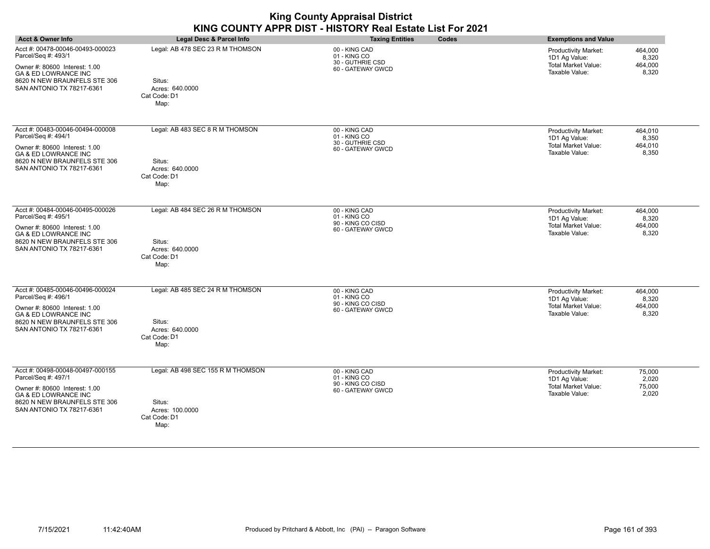| <b>Acct &amp; Owner Info</b>                                                                                                                                                             | Legal Desc & Parcel Info                                                               | <b>Taxing Entities</b><br>Codes                                         | <b>Exemptions and Value</b>                                                                                                          |
|------------------------------------------------------------------------------------------------------------------------------------------------------------------------------------------|----------------------------------------------------------------------------------------|-------------------------------------------------------------------------|--------------------------------------------------------------------------------------------------------------------------------------|
| Acct #: 00478-00046-00493-000023<br>Parcel/Seq #: 493/1<br>Owner #: 80600 Interest: 1.00<br><b>GA &amp; ED LOWRANCE INC</b><br>8620 N NEW BRAUNFELS STE 306<br>SAN ANTONIO TX 78217-6361 | Legal: AB 478 SEC 23 R M THOMSON<br>Situs:<br>Acres: 640.0000<br>Cat Code: D1<br>Map:  | 00 - KING CAD<br>01 - KING CO<br>30 - GUTHRIE CSD<br>60 - GATEWAY GWCD  | 464,000<br><b>Productivity Market:</b><br>1D1 Ag Value:<br>8,320<br><b>Total Market Value:</b><br>464,000<br>Taxable Value:<br>8,320 |
| Acct #: 00483-00046-00494-000008<br>Parcel/Seq #: 494/1<br>Owner #: 80600 Interest: 1.00<br><b>GA &amp; ED LOWRANCE INC</b><br>8620 N NEW BRAUNFELS STE 306<br>SAN ANTONIO TX 78217-6361 | Legal: AB 483 SEC 8 R M THOMSON<br>Situs:<br>Acres: 640.0000<br>Cat Code: D1<br>Map:   | 00 - KING CAD<br>01 - KING CO<br>30 - GUTHRIE CSD<br>60 - GATEWAY GWCD  | Productivity Market:<br>464,010<br>1D1 Ag Value:<br>8,350<br><b>Total Market Value:</b><br>464,010<br>Taxable Value:<br>8,350        |
| Acct #: 00484-00046-00495-000026<br>Parcel/Seq #: 495/1<br>Owner #: 80600 Interest: 1.00<br>GA & ED LOWRANCE INC<br>8620 N NEW BRAUNFELS STE 306<br>SAN ANTONIO TX 78217-6361            | Legal: AB 484 SEC 26 R M THOMSON<br>Situs:<br>Acres: 640.0000<br>Cat Code: D1<br>Map:  | 00 - KING CAD<br>01 - KING CO<br>90 - KING CO CISD<br>60 - GATEWAY GWCD | Productivity Market:<br>464,000<br>1D1 Ag Value:<br>8,320<br><b>Total Market Value:</b><br>464,000<br>Taxable Value:<br>8,320        |
| Acct #: 00485-00046-00496-000024<br>Parcel/Seq #: 496/1<br>Owner #: 80600 Interest: 1.00<br>GA & ED LOWRANCE INC<br>8620 N NEW BRAUNFELS STE 306<br>SAN ANTONIO TX 78217-6361            | Legal: AB 485 SEC 24 R M THOMSON<br>Situs:<br>Acres: 640.0000<br>Cat Code: D1<br>Map:  | 00 - KING CAD<br>01 - KING CO<br>90 - KING CO CISD<br>60 - GATEWAY GWCD | Productivity Market:<br>464,000<br>1D1 Ag Value:<br>8,320<br>Total Market Value:<br>464,000<br>Taxable Value:<br>8,320               |
| Acct #: 00498-00048-00497-000155<br>Parcel/Seq #: 497/1<br>Owner #: 80600 Interest: 1.00<br>GA & ED LOWRANCE INC<br>8620 N NEW BRAUNFELS STE 306<br>SAN ANTONIO TX 78217-6361            | Legal: AB 498 SEC 155 R M THOMSON<br>Situs:<br>Acres: 100.0000<br>Cat Code: D1<br>Map: | 00 - KING CAD<br>01 - KING CO<br>90 - KING CO CISD<br>60 - GATEWAY GWCD | Productivity Market:<br>75,000<br>1D1 Ag Value:<br>2,020<br><b>Total Market Value:</b><br>75,000<br>Taxable Value:<br>2,020          |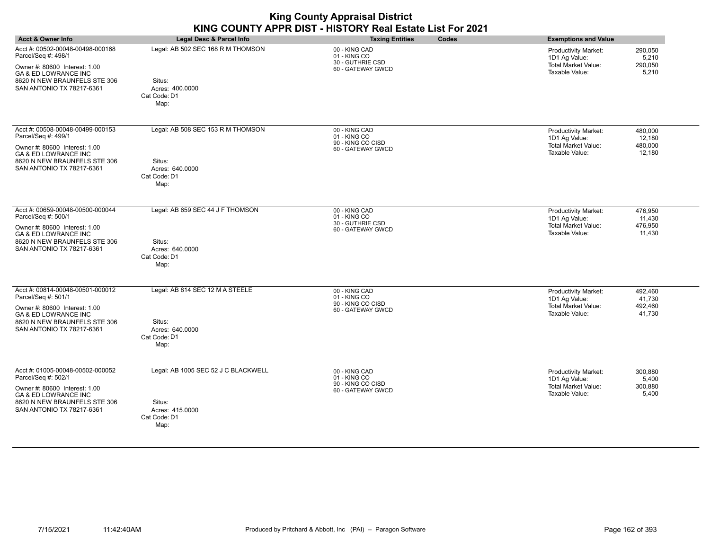| <b>Acct &amp; Owner Info</b>                                                                                                                                                             | Legal Desc & Parcel Info                                                                 | <b>Taxing Entities</b><br>Codes                                         | <b>Exemptions and Value</b>                                                                                                            |
|------------------------------------------------------------------------------------------------------------------------------------------------------------------------------------------|------------------------------------------------------------------------------------------|-------------------------------------------------------------------------|----------------------------------------------------------------------------------------------------------------------------------------|
| Acct #: 00502-00048-00498-000168<br>Parcel/Seq #: 498/1<br>Owner #: 80600 Interest: 1.00<br><b>GA &amp; ED LOWRANCE INC</b><br>8620 N NEW BRAUNFELS STE 306<br>SAN ANTONIO TX 78217-6361 | Legal: AB 502 SEC 168 R M THOMSON<br>Situs:<br>Acres: 400.0000<br>Cat Code: D1<br>Map:   | 00 - KING CAD<br>01 - KING CO<br>30 - GUTHRIE CSD<br>60 - GATEWAY GWCD  | 290,050<br><b>Productivity Market:</b><br>1D1 Ag Value:<br>5,210<br><b>Total Market Value:</b><br>290,050<br>Taxable Value:<br>5,210   |
| Acct #: 00508-00048-00499-000153<br>Parcel/Seq #: 499/1<br>Owner #: 80600 Interest: 1.00<br><b>GA &amp; ED LOWRANCE INC</b><br>8620 N NEW BRAUNFELS STE 306<br>SAN ANTONIO TX 78217-6361 | Legal: AB 508 SEC 153 R M THOMSON<br>Situs:<br>Acres: 640.0000<br>Cat Code: D1<br>Map:   | 00 - KING CAD<br>01 - KING CO<br>90 - KING CO CISD<br>60 - GATEWAY GWCD | Productivity Market:<br>480,000<br>1D1 Ag Value:<br>12,180<br>Total Market Value:<br>480,000<br>Taxable Value:<br>12,180               |
| Acct #: 00659-00048-00500-000044<br>Parcel/Seq #: 500/1<br>Owner #: 80600 Interest: 1.00<br><b>GA &amp; ED LOWRANCE INC</b><br>8620 N NEW BRAUNFELS STE 306<br>SAN ANTONIO TX 78217-6361 | Legal: AB 659 SEC 44 J F THOMSON<br>Situs:<br>Acres: 640.0000<br>Cat Code: D1<br>Map:    | 00 - KING CAD<br>01 - KING CO<br>30 - GUTHRIE CSD<br>60 - GATEWAY GWCD  | Productivity Market:<br>476,950<br>1D1 Ag Value:<br>11,430<br><b>Total Market Value:</b><br>476,950<br>Taxable Value:<br>11,430        |
| Acct #: 00814-00048-00501-000012<br>Parcel/Seq #: 501/1<br>Owner #: 80600 Interest: 1.00<br>GA & ED LOWRANCE INC<br>8620 N NEW BRAUNFELS STE 306<br>SAN ANTONIO TX 78217-6361            | Legal: AB 814 SEC 12 M A STEELE<br>Situs:<br>Acres: 640.0000<br>Cat Code: D1<br>Map:     | 00 - KING CAD<br>01 - KING CO<br>90 - KING CO CISD<br>60 - GATEWAY GWCD | <b>Productivity Market:</b><br>492,460<br>1D1 Ag Value:<br>41,730<br><b>Total Market Value:</b><br>492,460<br>Taxable Value:<br>41,730 |
| Acct #: 01005-00048-00502-000052<br>Parcel/Seq #: 502/1<br>Owner #: 80600 Interest: 1.00<br>GA & ED LOWRANCE INC<br>8620 N NEW BRAUNFELS STE 306<br>SAN ANTONIO TX 78217-6361            | Legal: AB 1005 SEC 52 J C BLACKWELL<br>Situs:<br>Acres: 415.0000<br>Cat Code: D1<br>Map: | 00 - KING CAD<br>01 - KING CO<br>90 - KING CO CISD<br>60 - GATEWAY GWCD | 300,880<br>Productivity Market:<br>1D1 Ag Value:<br>5,400<br><b>Total Market Value:</b><br>300,880<br>Taxable Value:<br>5,400          |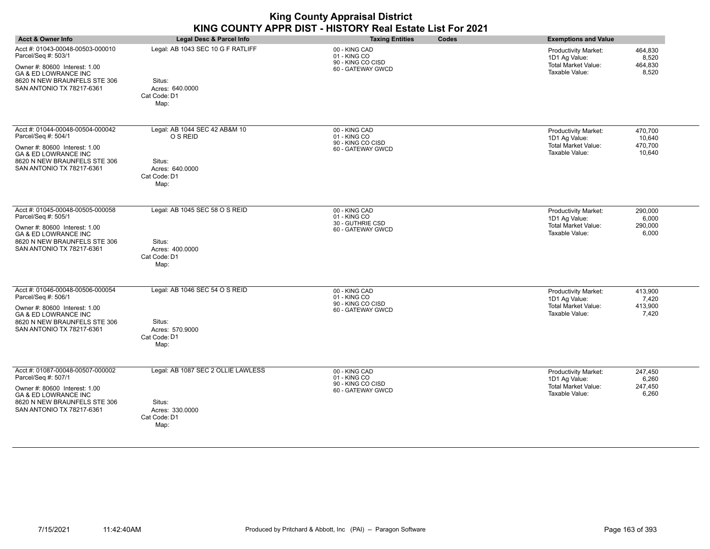|                                                                                                                                                                               |                                                                                                | ----a - - ------ <i>a</i> - -p-p---------<br>KING COUNTY APPR DIST - HISTORY Real Estate List For 2021 |                                                                                                                                      |
|-------------------------------------------------------------------------------------------------------------------------------------------------------------------------------|------------------------------------------------------------------------------------------------|--------------------------------------------------------------------------------------------------------|--------------------------------------------------------------------------------------------------------------------------------------|
| <b>Acct &amp; Owner Info</b>                                                                                                                                                  | Legal Desc & Parcel Info                                                                       | <b>Taxing Entities</b><br>Codes                                                                        | <b>Exemptions and Value</b>                                                                                                          |
| Acct #: 01043-00048-00503-000010<br>Parcel/Seq #: 503/1<br>Owner #: 80600 Interest: 1.00<br>GA & ED LOWRANCE INC<br>8620 N NEW BRAUNFELS STE 306<br>SAN ANTONIO TX 78217-6361 | Legal: AB 1043 SEC 10 G F RATLIFF<br>Situs:<br>Acres: 640.0000<br>Cat Code: D1<br>Map:         | 00 - KING CAD<br>01 - KING CO<br>90 - KING CO CISD<br>60 - GATEWAY GWCD                                | Productivity Market:<br>464,830<br>1D1 Ag Value:<br>8,520<br>Total Market Value:<br>464,830<br>Taxable Value:<br>8,520               |
| Acct #: 01044-00048-00504-000042<br>Parcel/Seq #: 504/1<br>Owner #: 80600 Interest: 1.00<br>GA & ED LOWRANCE INC<br>8620 N NEW BRAUNFELS STE 306<br>SAN ANTONIO TX 78217-6361 | Legal: AB 1044 SEC 42 AB&M 10<br>O S REID<br>Situs:<br>Acres: 640,0000<br>Cat Code: D1<br>Map: | 00 - KING CAD<br>01 - KING CO<br>90 - KING CO CISD<br>60 - GATEWAY GWCD                                | Productivity Market:<br>470,700<br>1D1 Ag Value:<br>10,640<br><b>Total Market Value:</b><br>470,700<br>Taxable Value:<br>10,640      |
| Acct #: 01045-00048-00505-000058<br>Parcel/Seq #: 505/1<br>Owner #: 80600 Interest: 1.00<br>GA & ED LOWRANCE INC<br>8620 N NEW BRAUNFELS STE 306<br>SAN ANTONIO TX 78217-6361 | Legal: AB 1045 SEC 58 O S REID<br>Situs:<br>Acres: 400.0000<br>Cat Code: D1<br>Map:            | 00 - KING CAD<br>01 - KING CO<br>30 - GUTHRIE CSD<br>60 - GATEWAY GWCD                                 | Productivity Market:<br>290,000<br>1D1 Ag Value:<br>6.000<br><b>Total Market Value:</b><br>290,000<br>Taxable Value:<br>6,000        |
| Acct #: 01046-00048-00506-000054<br>Parcel/Seq #: 506/1<br>Owner #: 80600 Interest: 1.00<br>GA & ED LOWRANCE INC<br>8620 N NEW BRAUNFELS STE 306<br>SAN ANTONIO TX 78217-6361 | Legal: AB 1046 SEC 54 O S REID<br>Situs:<br>Acres: 570.9000<br>Cat Code: D1<br>Map:            | 00 - KING CAD<br>01 - KING CO<br>90 - KING CO CISD<br>60 - GATEWAY GWCD                                | <b>Productivity Market:</b><br>413,900<br>1D1 Ag Value:<br>7,420<br><b>Total Market Value:</b><br>413,900<br>Taxable Value:<br>7,420 |
| Acct #: 01087-00048-00507-000002<br>Parcel/Seq #: 507/1<br>Owner #: 80600 Interest: 1.00<br>GA & ED LOWRANCE INC<br>8620 N NEW BRAUNFELS STE 306<br>SAN ANTONIO TX 78217-6361 | Legal: AB 1087 SEC 2 OLLIE LAWLESS<br>Situs:<br>Acres: 330.0000<br>Cat Code: D1<br>Map:        | 00 - KING CAD<br>01 - KING CO<br>90 - KING CO CISD<br>60 - GATEWAY GWCD                                | 247,450<br><b>Productivity Market:</b><br>1D1 Ag Value:<br>6,260<br><b>Total Market Value:</b><br>247,450<br>Taxable Value:<br>6,260 |

# **King County Appraisal District**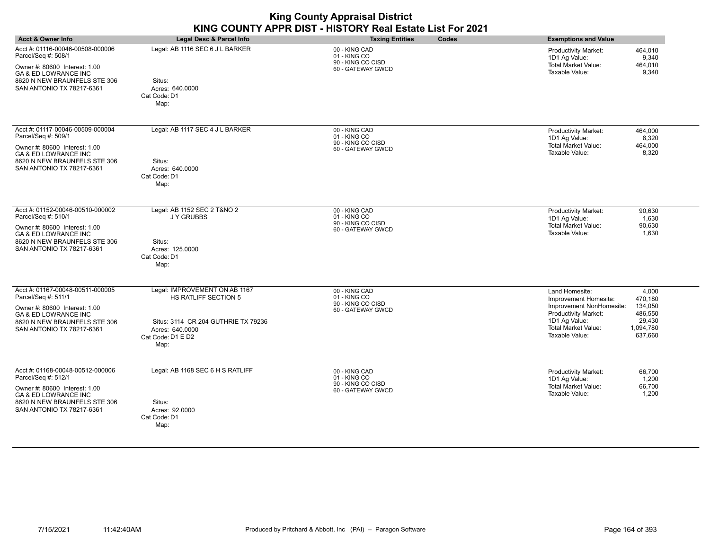|                                                                                                                                                                                          |                                                                                                                                              | <b>King County Appraisal District</b><br>KING COUNTY APPR DIST - HISTORY Real Estate List For 2021 |                                                                                                                                                                                                                                          |
|------------------------------------------------------------------------------------------------------------------------------------------------------------------------------------------|----------------------------------------------------------------------------------------------------------------------------------------------|----------------------------------------------------------------------------------------------------|------------------------------------------------------------------------------------------------------------------------------------------------------------------------------------------------------------------------------------------|
| <b>Acct &amp; Owner Info</b>                                                                                                                                                             | <b>Legal Desc &amp; Parcel Info</b>                                                                                                          | Codes<br><b>Taxing Entities</b>                                                                    | <b>Exemptions and Value</b>                                                                                                                                                                                                              |
| Acct #: 01116-00046-00508-000006<br>Parcel/Seq #: 508/1<br>Owner #: 80600 Interest: 1.00<br><b>GA &amp; ED LOWRANCE INC</b><br>8620 N NEW BRAUNFELS STE 306<br>SAN ANTONIO TX 78217-6361 | Legal: AB 1116 SEC 6 J L BARKER<br>Situs:<br>Acres: 640.0000<br>Cat Code: D1<br>Map:                                                         | 00 - KING CAD<br>01 - KING CO<br>90 - KING CO CISD<br>60 - GATEWAY GWCD                            | 464,010<br>Productivity Market:<br>1D1 Ag Value:<br>9,340<br><b>Total Market Value:</b><br>464,010<br>Taxable Value:<br>9,340                                                                                                            |
| Acct #: 01117-00046-00509-000004<br>Parcel/Seq #: 509/1<br>Owner #: 80600 Interest: 1.00<br><b>GA &amp; ED LOWRANCE INC</b><br>8620 N NEW BRAUNFELS STE 306<br>SAN ANTONIO TX 78217-6361 | Legal: AB 1117 SEC 4 J L BARKER<br>Situs:<br>Acres: 640.0000<br>Cat Code: D1<br>Map:                                                         | 00 - KING CAD<br>01 - KING CO<br>90 - KING CO CISD<br>60 - GATEWAY GWCD                            | 464,000<br>Productivity Market:<br>1D1 Ag Value:<br>8,320<br><b>Total Market Value:</b><br>464,000<br>Taxable Value:<br>8,320                                                                                                            |
| Acct #: 01152-00046-00510-000002<br>Parcel/Seq #: 510/1<br>Owner #: 80600 Interest: 1.00<br>GA & ED LOWRANCE INC<br>8620 N NEW BRAUNFELS STE 306<br>SAN ANTONIO TX 78217-6361            | Legal: AB 1152 SEC 2 T&NO 2<br><b>JY GRUBBS</b><br>Situs:<br>Acres: 125,0000<br>Cat Code: D1<br>Map:                                         | 00 - KING CAD<br>01 - KING CO<br>90 - KING CO CISD<br>60 - GATEWAY GWCD                            | <b>Productivity Market:</b><br>90,630<br>1D1 Ag Value:<br>1.630<br><b>Total Market Value:</b><br>90.630<br>Taxable Value:<br>1,630                                                                                                       |
| Acct #: 01167-00048-00511-000005<br>Parcel/Seq #: 511/1<br>Owner #: 80600 Interest: 1.00<br><b>GA &amp; ED LOWRANCE INC</b><br>8620 N NEW BRAUNFELS STE 306<br>SAN ANTONIO TX 78217-6361 | Legal: IMPROVEMENT ON AB 1167<br>HS RATLIFF SECTION 5<br>Situs: 3114 CR 204 GUTHRIE TX 79236<br>Acres: 640,0000<br>Cat Code: D1 E D2<br>Map: | 00 - KING CAD<br>01 - KING CO<br>90 - KING CO CISD<br>60 - GATEWAY GWCD                            | Land Homesite:<br>4,000<br>470.180<br>Improvement Homesite:<br>134,050<br>Improvement NonHomesite:<br>486,550<br>Productivity Market:<br>1D1 Ag Value:<br>29,430<br><b>Total Market Value:</b><br>1,094,780<br>Taxable Value:<br>637,660 |
| Acct #: 01168-00048-00512-000006<br>Parcel/Seq #: 512/1<br>Owner #: 80600 Interest: 1.00<br>GA & ED LOWRANCE INC<br>8620 N NEW BRAUNFELS STE 306<br>SAN ANTONIO TX 78217-6361            | Legal: AB 1168 SEC 6 H S RATLIFF<br>Situs:<br>Acres: 92.0000<br>Cat Code: D1<br>Map:                                                         | 00 - KING CAD<br>01 - KING CO<br>90 - KING CO CISD<br>60 - GATEWAY GWCD                            | <b>Productivity Market:</b><br>66,700<br>1D1 Ag Value:<br>1,200<br><b>Total Market Value:</b><br>66,700<br>Taxable Value:<br>1,200                                                                                                       |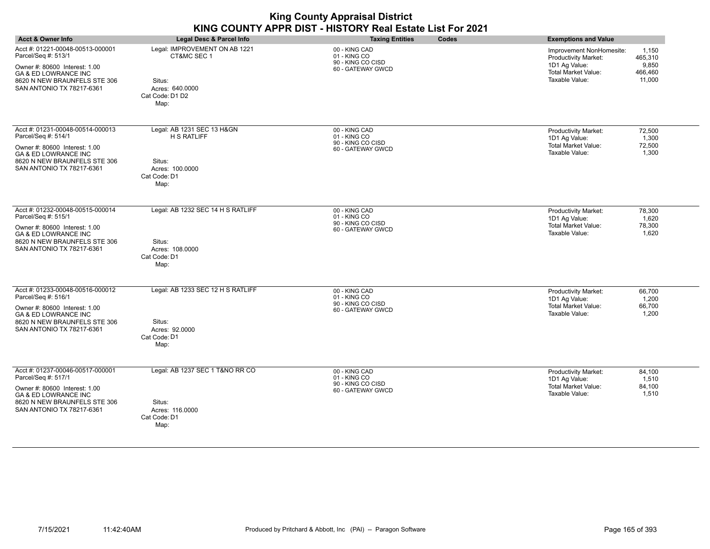| <b>Acct &amp; Owner Info</b>                                                                                                                                                             | <b>Legal Desc &amp; Parcel Info</b>                                                                   | Codes<br><b>Taxing Entities</b>                                         | <b>Exemptions and Value</b>                                                                                                                                                |
|------------------------------------------------------------------------------------------------------------------------------------------------------------------------------------------|-------------------------------------------------------------------------------------------------------|-------------------------------------------------------------------------|----------------------------------------------------------------------------------------------------------------------------------------------------------------------------|
| Acct #: 01221-00048-00513-000001<br>Parcel/Seq #: 513/1<br>Owner #: 80600 Interest: 1.00<br><b>GA &amp; ED LOWRANCE INC</b><br>8620 N NEW BRAUNFELS STE 306<br>SAN ANTONIO TX 78217-6361 | Legal: IMPROVEMENT ON AB 1221<br>CT&MC SEC 1<br>Situs:<br>Acres: 640.0000<br>Cat Code: D1 D2<br>Map:  | 00 - KING CAD<br>01 - KING CO<br>90 - KING CO CISD<br>60 - GATEWAY GWCD | Improvement NonHomesite:<br>1,150<br><b>Productivity Market:</b><br>465.310<br>1D1 Ag Value:<br>9,850<br><b>Total Market Value:</b><br>466,460<br>Taxable Value:<br>11,000 |
| Acct #: 01231-00048-00514-000013<br>Parcel/Seq #: 514/1<br>Owner #: 80600 Interest: 1.00<br>GA & ED LOWRANCE INC<br>8620 N NEW BRAUNFELS STE 306<br>SAN ANTONIO TX 78217-6361            | Legal: AB 1231 SEC 13 H&GN<br><b>H S RATLIFF</b><br>Situs:<br>Acres: 100.0000<br>Cat Code: D1<br>Map: | 00 - KING CAD<br>01 - KING CO<br>90 - KING CO CISD<br>60 - GATEWAY GWCD | 72,500<br><b>Productivity Market:</b><br>1D1 Ag Value:<br>1,300<br><b>Total Market Value:</b><br>72,500<br>Taxable Value:<br>1,300                                         |
| Acct #: 01232-00048-00515-000014<br>Parcel/Seq #: 515/1<br>Owner #: 80600 Interest: 1.00<br><b>GA &amp; ED LOWRANCE INC</b><br>8620 N NEW BRAUNFELS STE 306<br>SAN ANTONIO TX 78217-6361 | Legal: AB 1232 SEC 14 H S RATLIFF<br>Situs:<br>Acres: 108.0000<br>Cat Code: D1<br>Map:                | 00 - KING CAD<br>01 - KING CO<br>90 - KING CO CISD<br>60 - GATEWAY GWCD | <b>Productivity Market:</b><br>78,300<br>1D1 Ag Value:<br>1,620<br><b>Total Market Value:</b><br>78,300<br>Taxable Value:<br>1,620                                         |
| Acct #: 01233-00048-00516-000012<br>Parcel/Seq #: 516/1<br>Owner #: 80600 Interest: 1.00<br><b>GA &amp; ED LOWRANCE INC</b><br>8620 N NEW BRAUNFELS STE 306<br>SAN ANTONIO TX 78217-6361 | Legal: AB 1233 SEC 12 H S RATLIFF<br>Situs:<br>Acres: 92,0000<br>Cat Code: D1<br>Map:                 | 00 - KING CAD<br>01 - KING CO<br>90 - KING CO CISD<br>60 - GATEWAY GWCD | Productivity Market:<br>66,700<br>1D1 Ag Value:<br>1,200<br><b>Total Market Value:</b><br>66,700<br>Taxable Value:<br>1,200                                                |
| Acct #: 01237-00046-00517-000001<br>Parcel/Seq #: 517/1<br>Owner #: 80600 Interest: 1.00<br><b>GA &amp; ED LOWRANCE INC</b><br>8620 N NEW BRAUNFELS STE 306<br>SAN ANTONIO TX 78217-6361 | Legal: AB 1237 SEC 1 T&NO RR CO<br>Situs:<br>Acres: 116.0000<br>Cat Code: D1<br>Map:                  | 00 - KING CAD<br>01 - KING CO<br>90 - KING CO CISD<br>60 - GATEWAY GWCD | Productivity Market:<br>84,100<br>1D1 Ag Value:<br>1,510<br><b>Total Market Value:</b><br>84,100<br>Taxable Value:<br>1,510                                                |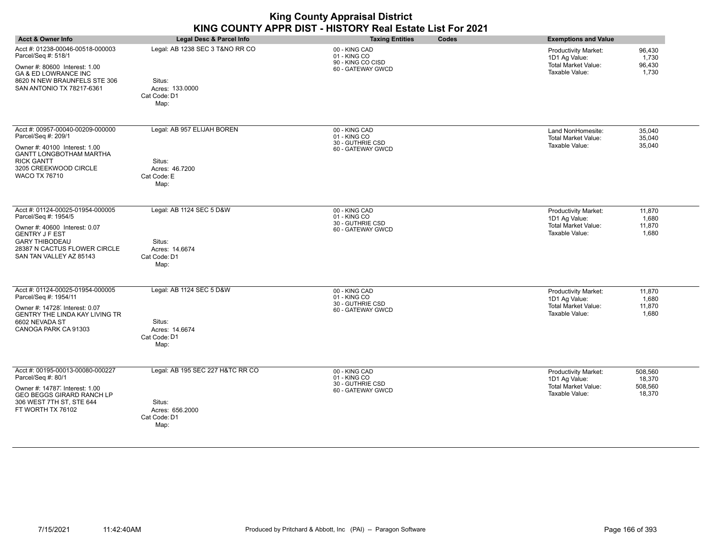|                                                                                                                                                                                                        |                                                                                       | <b>King County Appraisal District</b><br>KING COUNTY APPR DIST - HISTORY Real Estate List For 2021 |                                                                                                                                        |
|--------------------------------------------------------------------------------------------------------------------------------------------------------------------------------------------------------|---------------------------------------------------------------------------------------|----------------------------------------------------------------------------------------------------|----------------------------------------------------------------------------------------------------------------------------------------|
| <b>Acct &amp; Owner Info</b>                                                                                                                                                                           | Legal Desc & Parcel Info                                                              | Codes<br><b>Taxing Entities</b>                                                                    | <b>Exemptions and Value</b>                                                                                                            |
| Acct #: 01238-00046-00518-000003<br>Parcel/Seq #: 518/1<br>Owner #: 80600 Interest: 1.00<br><b>GA &amp; ED LOWRANCE INC</b><br>8620 N NEW BRAUNFELS STE 306<br>SAN ANTONIO TX 78217-6361               | Legal: AB 1238 SEC 3 T&NO RR CO<br>Situs:<br>Acres: 133,0000<br>Cat Code: D1<br>Map:  | 00 - KING CAD<br>01 - KING CO<br>90 - KING CO CISD<br>60 - GATEWAY GWCD                            | <b>Productivity Market:</b><br>96,430<br>1D1 Ag Value:<br>1,730<br><b>Total Market Value:</b><br>96,430<br>Taxable Value:<br>1,730     |
| Acct #: 00957-00040-00209-000000<br>Parcel/Seq #: 209/1<br>Owner #: 40100 Interest: 1.00<br><b>GANTT LONGBOTHAM MARTHA</b><br><b>RICK GANTT</b><br>3205 CREEKWOOD CIRCLE<br><b>WACO TX 76710</b>       | Legal: AB 957 ELIJAH BOREN<br>Situs:<br>Acres: 46.7200<br>Cat Code: E<br>Map:         | 00 - KING CAD<br>01 - KING CO<br>30 - GUTHRIE CSD<br>60 - GATEWAY GWCD                             | Land NonHomesite:<br>35,040<br>35,040<br><b>Total Market Value:</b><br>Taxable Value:<br>35,040                                        |
| Acct #: 01124-00025-01954-000005<br>Parcel/Seq #: 1954/5<br>Owner #: 40600 Interest: 0.07<br><b>GENTRY J F EST</b><br><b>GARY THIBODEAU</b><br>28387 N CACTUS FLOWER CIRCLE<br>SAN TAN VALLEY AZ 85143 | Legal: AB 1124 SEC 5 D&W<br>Situs:<br>Acres: 14.6674<br>Cat Code: D1<br>Map:          | 00 - KING CAD<br>01 - KING CO<br>30 - GUTHRIE CSD<br>60 - GATEWAY GWCD                             | Productivity Market:<br>11,870<br>1,680<br>1D1 Ag Value:<br><b>Total Market Value:</b><br>11,870<br>Taxable Value:<br>1,680            |
| Acct #: 01124-00025-01954-000005<br>Parcel/Seq #: 1954/11<br>Owner #: 14728, Interest: 0.07<br><b>GENTRY THE LINDA KAY LIVING TR</b><br>6602 NEVADA ST<br>CANOGA PARK CA 91303                         | Legal: AB 1124 SEC 5 D&W<br>Situs:<br>Acres: 14.6674<br>Cat Code: D1<br>Map:          | 00 - KING CAD<br>01 - KING CO<br>30 - GUTHRIE CSD<br>60 - GATEWAY GWCD                             | <b>Productivity Market:</b><br>11,870<br>1D1 Ag Value:<br>1,680<br>Total Market Value:<br>11,870<br>Taxable Value:<br>1,680            |
| Acct #: 00195-00013-00080-000227<br>Parcel/Seq #: 80/1<br>Owner #: 14787, Interest: 1.00<br><b>GEO BEGGS GIRARD RANCH LP</b><br>306 WEST 7TH ST, STE 644<br>FT WORTH TX 76102                          | Legal: AB 195 SEC 227 H&TC RR CO<br>Situs:<br>Acres: 656.2000<br>Cat Code: D1<br>Map: | 00 - KING CAD<br>01 - KING CO<br>30 - GUTHRIE CSD<br>60 - GATEWAY GWCD                             | <b>Productivity Market:</b><br>508.560<br>18,370<br>1D1 Ag Value:<br><b>Total Market Value:</b><br>508,560<br>Taxable Value:<br>18,370 |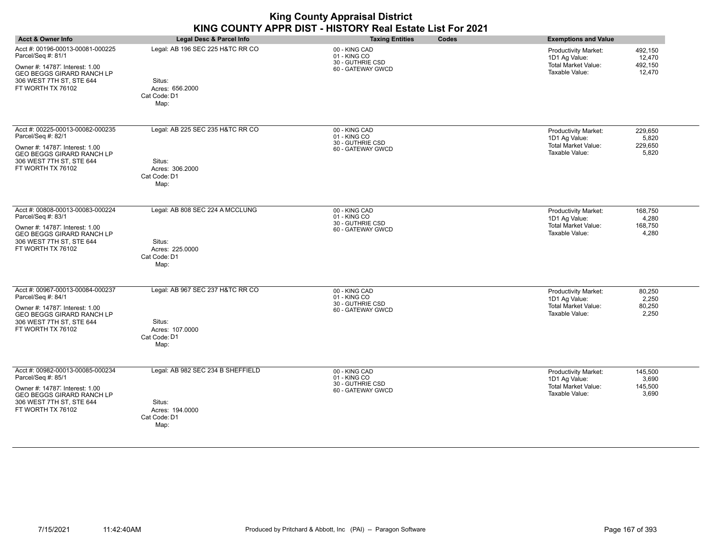|                                                                                                                                                                               |                                                                                        | <b>King County Appraisal District</b><br>KING COUNTY APPR DIST - HISTORY Real Estate List For 2021 |                                                                                                                                        |
|-------------------------------------------------------------------------------------------------------------------------------------------------------------------------------|----------------------------------------------------------------------------------------|----------------------------------------------------------------------------------------------------|----------------------------------------------------------------------------------------------------------------------------------------|
| <b>Acct &amp; Owner Info</b>                                                                                                                                                  | Legal Desc & Parcel Info                                                               | Codes<br><b>Taxing Entities</b>                                                                    | <b>Exemptions and Value</b>                                                                                                            |
| Acct #: 00196-00013-00081-000225<br>Parcel/Seq #: 81/1<br>Owner #: 14787, Interest: 1.00<br><b>GEO BEGGS GIRARD RANCH LP</b><br>306 WEST 7TH ST, STE 644<br>FT WORTH TX 76102 | Legal: AB 196 SEC 225 H&TC RR CO<br>Situs:<br>Acres: 656.2000<br>Cat Code: D1<br>Map:  | 00 - KING CAD<br>01 - KING CO<br>30 - GUTHRIE CSD<br>60 - GATEWAY GWCD                             | <b>Productivity Market:</b><br>492,150<br>1D1 Ag Value:<br>12.470<br><b>Total Market Value:</b><br>492,150<br>Taxable Value:<br>12,470 |
| Acct #: 00225-00013-00082-000235<br>Parcel/Seq #: 82/1<br>Owner #: 14787 Interest: 1.00<br><b>GEO BEGGS GIRARD RANCH LP</b><br>306 WEST 7TH ST, STE 644<br>FT WORTH TX 76102  | Legal: AB 225 SEC 235 H&TC RR CO<br>Situs:<br>Acres: 306.2000<br>Cat Code: D1<br>Map:  | 00 - KING CAD<br>01 - KING CO<br>30 - GUTHRIE CSD<br>60 - GATEWAY GWCD                             | Productivity Market:<br>229,650<br>1D1 Ag Value:<br>5,820<br><b>Total Market Value:</b><br>229,650<br>Taxable Value:<br>5,820          |
| Acct #: 00808-00013-00083-000224<br>Parcel/Seq #: 83/1<br>Owner #: 14787 Interest: 1.00<br><b>GEO BEGGS GIRARD RANCH LP</b><br>306 WEST 7TH ST. STE 644<br>FT WORTH TX 76102  | Legal: AB 808 SEC 224 A MCCLUNG<br>Situs:<br>Acres: 225,0000<br>Cat Code: D1<br>Map:   | 00 - KING CAD<br>01 - KING CO<br>30 - GUTHRIE CSD<br>60 - GATEWAY GWCD                             | Productivity Market:<br>168,750<br>4,280<br>1D1 Ag Value:<br><b>Total Market Value:</b><br>168,750<br>Taxable Value:<br>4,280          |
| Acct #: 00967-00013-00084-000237<br>Parcel/Seq #: 84/1<br>Owner #: 14787, Interest: 1.00<br><b>GEO BEGGS GIRARD RANCH LP</b><br>306 WEST 7TH ST. STE 644<br>FT WORTH TX 76102 | Legal: AB 967 SEC 237 H&TC RR CO<br>Situs:<br>Acres: 107.0000<br>Cat Code: D1<br>Map:  | 00 - KING CAD<br>01 - KING CO<br>30 - GUTHRIE CSD<br>60 - GATEWAY GWCD                             | <b>Productivity Market:</b><br>80,250<br>2,250<br>1D1 Ag Value:<br>Total Market Value:<br>80,250<br>Taxable Value:<br>2,250            |
| Acct #: 00982-00013-00085-000234<br>Parcel/Seq #: 85/1<br>Owner #: 14787, Interest: 1.00<br><b>GEO BEGGS GIRARD RANCH LP</b><br>306 WEST 7TH ST, STE 644<br>FT WORTH TX 76102 | Legal: AB 982 SEC 234 B SHEFFIELD<br>Situs:<br>Acres: 194.0000<br>Cat Code: D1<br>Map: | 00 - KING CAD<br>01 - KING CO<br>30 - GUTHRIE CSD<br>60 - GATEWAY GWCD                             | <b>Productivity Market:</b><br>145.500<br>3,690<br>1D1 Ag Value:<br><b>Total Market Value:</b><br>145,500<br>Taxable Value:<br>3,690   |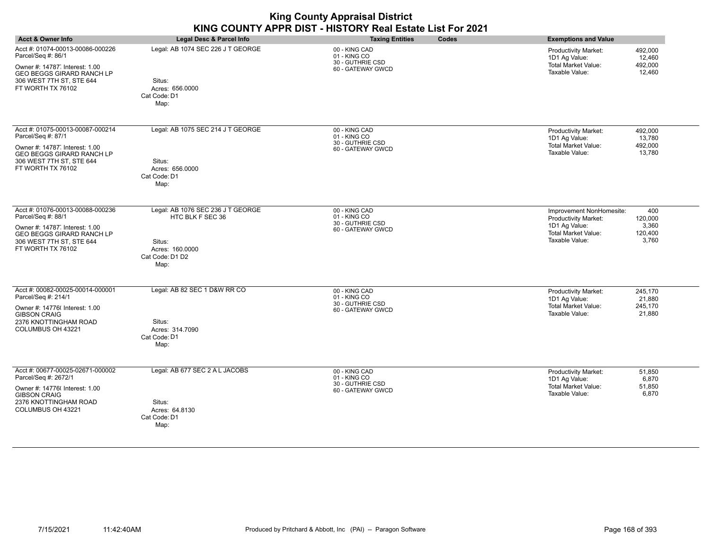|                                                                                                                                                                               |                                                                                                               | <b>King County Appraisal District</b><br>KING COUNTY APPR DIST - HISTORY Real Estate List For 2021 |       |                                                                                                                   |                                             |
|-------------------------------------------------------------------------------------------------------------------------------------------------------------------------------|---------------------------------------------------------------------------------------------------------------|----------------------------------------------------------------------------------------------------|-------|-------------------------------------------------------------------------------------------------------------------|---------------------------------------------|
| <b>Acct &amp; Owner Info</b>                                                                                                                                                  | <b>Legal Desc &amp; Parcel Info</b>                                                                           | <b>Taxing Entities</b>                                                                             | Codes | <b>Exemptions and Value</b>                                                                                       |                                             |
| Acct #: 01074-00013-00086-000226<br>Parcel/Seq #: 86/1<br>Owner #: 14787 Interest: 1.00<br><b>GEO BEGGS GIRARD RANCH LP</b><br>306 WEST 7TH ST, STE 644<br>FT WORTH TX 76102  | Legal: AB 1074 SEC 226 J T GEORGE<br>Situs:<br>Acres: 656,0000<br>Cat Code: D1<br>Map:                        | 00 - KING CAD<br>01 - KING CO<br>30 - GUTHRIE CSD<br>60 - GATEWAY GWCD                             |       | <b>Productivity Market:</b><br>1D1 Ag Value:<br><b>Total Market Value:</b><br>Taxable Value:                      | 492,000<br>12,460<br>492.000<br>12,460      |
| Acct #: 01075-00013-00087-000214<br>Parcel/Seq #: 87/1<br>Owner #: 14787, Interest: 1.00<br><b>GEO BEGGS GIRARD RANCH LP</b><br>306 WEST 7TH ST, STE 644<br>FT WORTH TX 76102 | Legal: AB 1075 SEC 214 J T GEORGE<br>Situs:<br>Acres: 656,0000<br>Cat Code: D1<br>Map:                        | 00 - KING CAD<br>01 - KING CO<br>30 - GUTHRIE CSD<br>60 - GATEWAY GWCD                             |       | <b>Productivity Market:</b><br>1D1 Ag Value:<br>Total Market Value:<br>Taxable Value:                             | 492,000<br>13.780<br>492,000<br>13,780      |
| Acct #: 01076-00013-00088-000236<br>Parcel/Seq #: 88/1<br>Owner #: 14787, Interest: 1.00<br>GEO BEGGS GIRARD RANCH LP<br>306 WEST 7TH ST, STE 644<br>FT WORTH TX 76102        | Legal: AB 1076 SEC 236 J T GEORGE<br>HTC BLK F SEC 36<br>Situs:<br>Acres: 160.0000<br>Cat Code: D1 D2<br>Map: | 00 - KING CAD<br>01 - KING CO<br>30 - GUTHRIE CSD<br>60 - GATEWAY GWCD                             |       | Improvement NonHomesite:<br>Productivity Market:<br>1D1 Ag Value:<br><b>Total Market Value:</b><br>Taxable Value: | 400<br>120,000<br>3,360<br>120,400<br>3,760 |
| Acct #: 00082-00025-00014-000001<br>Parcel/Seq #: 214/1<br>Owner #: 14776( Interest: 1.00<br><b>GIBSON CRAIG</b><br>2376 KNOTTINGHAM ROAD<br>COLUMBUS OH 43221                | Legal: AB 82 SEC 1 D&W RR CO<br>Situs:<br>Acres: 314.7090<br>Cat Code: D1<br>Map:                             | 00 - KING CAD<br>01 - KING CO<br>30 - GUTHRIE CSD<br>60 - GATEWAY GWCD                             |       | <b>Productivity Market:</b><br>1D1 Ag Value:<br><b>Total Market Value:</b><br>Taxable Value:                      | 245,170<br>21,880<br>245,170<br>21,880      |
| Acct #: 00677-00025-02671-000002<br>Parcel/Seq #: 2672/1<br>Owner #: 14776( Interest: 1.00<br><b>GIBSON CRAIG</b><br>2376 KNOTTINGHAM ROAD<br>COLUMBUS OH 43221               | Legal: AB 677 SEC 2 A L JACOBS<br>Situs:<br>Acres: 64.8130<br>Cat Code: D1<br>Map:                            | 00 - KING CAD<br>01 - KING CO<br>30 - GUTHRIE CSD<br>60 - GATEWAY GWCD                             |       | Productivity Market:<br>1D1 Ag Value:<br><b>Total Market Value:</b><br>Taxable Value:                             | 51,850<br>6,870<br>51,850<br>6,870          |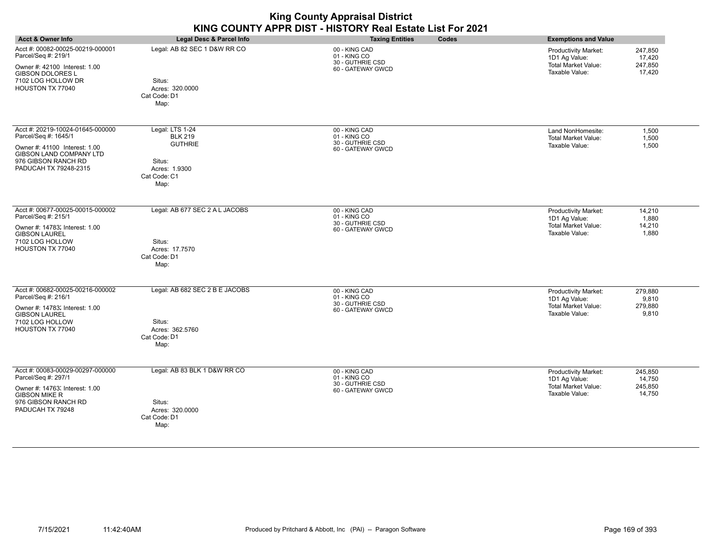| <b>Acct &amp; Owner Info</b>                                                                                                                                                | Legal Desc & Parcel Info                                                                               | <b>Taxing Entities</b><br>Codes                                        | <b>Exemptions and Value</b>                                                                                                            |
|-----------------------------------------------------------------------------------------------------------------------------------------------------------------------------|--------------------------------------------------------------------------------------------------------|------------------------------------------------------------------------|----------------------------------------------------------------------------------------------------------------------------------------|
| Acct #: 00082-00025-00219-000001<br>Parcel/Seq #: 219/1<br>Owner #: 42100 Interest: 1.00<br><b>GIBSON DOLORES L</b><br>7102 LOG HOLLOW DR<br>HOUSTON TX 77040               | Legal: AB 82 SEC 1 D&W RR CO<br>Situs:<br>Acres: 320,0000<br>Cat Code: D1<br>Map:                      | 00 - KING CAD<br>01 - KING CO<br>30 - GUTHRIE CSD<br>60 - GATEWAY GWCD | 247,850<br><b>Productivity Market:</b><br>1D1 Ag Value:<br>17,420<br><b>Total Market Value:</b><br>247,850<br>Taxable Value:<br>17,420 |
| Acct #: 20219-10024-01645-000000<br>Parcel/Seq #: 1645/1<br>Owner #: 41100 Interest: 1.00<br><b>GIBSON LAND COMPANY LTD</b><br>976 GIBSON RANCH RD<br>PADUCAH TX 79248-2315 | Legal: LTS 1-24<br><b>BLK 219</b><br><b>GUTHRIE</b><br>Situs:<br>Acres: 1.9300<br>Cat Code: C1<br>Map: | 00 - KING CAD<br>01 - KING CO<br>30 - GUTHRIE CSD<br>60 - GATEWAY GWCD | Land NonHomesite:<br>1,500<br><b>Total Market Value:</b><br>1,500<br>1,500<br>Taxable Value:                                           |
| Acct #: 00677-00025-00015-000002<br>Parcel/Seq #: 215/1<br>Owner #: 14783; Interest: 1.00<br><b>GIBSON LAUREL</b><br>7102 LOG HOLLOW<br>HOUSTON TX 77040                    | Legal: AB 677 SEC 2 A L JACOBS<br>Situs:<br>Acres: 17.7570<br>Cat Code: D1<br>Map:                     | 00 - KING CAD<br>01 - KING CO<br>30 - GUTHRIE CSD<br>60 - GATEWAY GWCD | Productivity Market:<br>14,210<br>1D1 Ag Value:<br>1,880<br><b>Total Market Value:</b><br>14,210<br>Taxable Value:<br>1,880            |
| Acct #: 00682-00025-00216-000002<br>Parcel/Seq #: 216/1<br>Owner #: 14783; Interest: 1.00<br><b>GIBSON LAUREL</b><br>7102 LOG HOLLOW<br>HOUSTON TX 77040                    | Legal: AB 682 SEC 2 B E JACOBS<br>Situs:<br>Acres: 362.5760<br>Cat Code: D1<br>Map:                    | 00 - KING CAD<br>01 - KING CO<br>30 - GUTHRIE CSD<br>60 - GATEWAY GWCD | 279,880<br>Productivity Market:<br>1D1 Ag Value:<br>9,810<br><b>Total Market Value:</b><br>279,880<br>Taxable Value:<br>9,810          |
| Acct #: 00083-00029-00297-000000<br>Parcel/Seq #: 297/1<br>Owner #: 14763; Interest: 1.00<br><b>GIBSON MIKE R</b><br>976 GIBSON RANCH RD<br>PADUCAH TX 79248                | Legal: AB 83 BLK 1 D&W RR CO<br>Situs:<br>Acres: 320.0000<br>Cat Code: D1<br>Map:                      | 00 - KING CAD<br>01 - KING CO<br>30 - GUTHRIE CSD<br>60 - GATEWAY GWCD | Productivity Market:<br>245,850<br>1D1 Ag Value:<br>14,750<br><b>Total Market Value:</b><br>245,850<br>Taxable Value:<br>14,750        |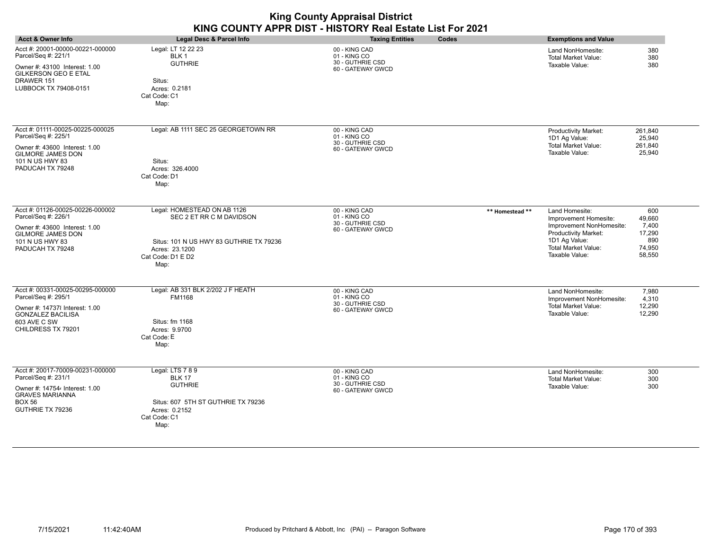| <b>King County Appraisal District</b><br>KING COUNTY APPR DIST - HISTORY Real Estate List For 2021                                                             |                                                                                                                                                   |                                                                        |                 |                                                                                                                                                              |                                                             |  |
|----------------------------------------------------------------------------------------------------------------------------------------------------------------|---------------------------------------------------------------------------------------------------------------------------------------------------|------------------------------------------------------------------------|-----------------|--------------------------------------------------------------------------------------------------------------------------------------------------------------|-------------------------------------------------------------|--|
| <b>Acct &amp; Owner Info</b>                                                                                                                                   | <b>Legal Desc &amp; Parcel Info</b>                                                                                                               | <b>Taxing Entities</b>                                                 | Codes           | <b>Exemptions and Value</b>                                                                                                                                  |                                                             |  |
| Acct #: 20001-00000-00221-000000<br>Parcel/Seq #: 221/1<br>Owner #: 43100 Interest: 1.00<br><b>GILKERSON GEO E ETAL</b><br>DRAWER 151<br>LUBBOCK TX 79408-0151 | Legal: LT 12 22 23<br>BLK <sub>1</sub><br><b>GUTHRIE</b><br>Situs:<br>Acres: 0.2181<br>Cat Code: C1<br>Map:                                       | 00 - KING CAD<br>01 - KING CO<br>30 - GUTHRIE CSD<br>60 - GATEWAY GWCD |                 | Land NonHomesite:<br><b>Total Market Value:</b><br>Taxable Value:                                                                                            | 380<br>380<br>380                                           |  |
| Acct #: 01111-00025-00225-000025<br>Parcel/Seq #: 225/1<br>Owner #: 43600 Interest: 1.00<br>GILMORE JAMES DON<br>101 N US HWY 83<br>PADUCAH TX 79248           | Legal: AB 1111 SEC 25 GEORGETOWN RR<br>Situs:<br>Acres: 326.4000<br>Cat Code: D1<br>Map:                                                          | 00 - KING CAD<br>01 - KING CO<br>30 - GUTHRIE CSD<br>60 - GATEWAY GWCD |                 | <b>Productivity Market:</b><br>1D1 Ag Value:<br><b>Total Market Value:</b><br>Taxable Value:                                                                 | 261,840<br>25,940<br>261,840<br>25,940                      |  |
| Acct #: 01126-00025-00226-000002<br>Parcel/Seq #: 226/1<br>Owner #: 43600 Interest: 1.00<br><b>GILMORE JAMES DON</b><br>101 N US HWY 83<br>PADUCAH TX 79248    | Legal: HOMESTEAD ON AB 1126<br>SEC 2 ET RR C M DAVIDSON<br>Situs: 101 N US HWY 83 GUTHRIE TX 79236<br>Acres: 23.1200<br>Cat Code: D1 E D2<br>Map: | 00 - KING CAD<br>01 - KING CO<br>30 - GUTHRIE CSD<br>60 - GATEWAY GWCD | ** Homestead ** | Land Homesite:<br>Improvement Homesite:<br>Improvement NonHomesite:<br>Productivity Market:<br>1D1 Ag Value:<br><b>Total Market Value:</b><br>Taxable Value: | 600<br>49,660<br>7,400<br>17,290<br>890<br>74,950<br>58,550 |  |
| Acct #: 00331-00025-00295-000000<br>Parcel/Seq #: 295/1<br>Owner #: 147378 Interest: 1.00<br><b>GONZALEZ BACILISA</b><br>603 AVE C SW<br>CHILDRESS TX 79201    | Legal: AB 331 BLK 2/202 J F HEATH<br>FM1168<br>Situs: fm 1168<br>Acres: 9.9700<br>Cat Code: E<br>Map:                                             | 00 - KING CAD<br>01 - KING CO<br>30 - GUTHRIE CSD<br>60 - GATEWAY GWCD |                 | Land NonHomesite:<br>Improvement NonHomesite:<br><b>Total Market Value:</b><br>Taxable Value:                                                                | 7,980<br>4,310<br>12,290<br>12,290                          |  |
| Acct #: 20017-70009-00231-000000<br>Parcel/Seq #: 231/1<br>Owner #: 147544 Interest: 1.00<br><b>GRAVES MARIANNA</b><br><b>BOX 56</b><br>GUTHRIE TX 79236       | Legal: LTS 7 8 9<br><b>BLK 17</b><br><b>GUTHRIE</b><br>Situs: 607 5TH ST GUTHRIE TX 79236<br>Acres: 0.2152<br>Cat Code: C1<br>Map:                | 00 - KING CAD<br>01 - KING CO<br>30 - GUTHRIE CSD<br>60 - GATEWAY GWCD |                 | Land NonHomesite:<br><b>Total Market Value:</b><br>Taxable Value:                                                                                            | 300<br>300<br>300                                           |  |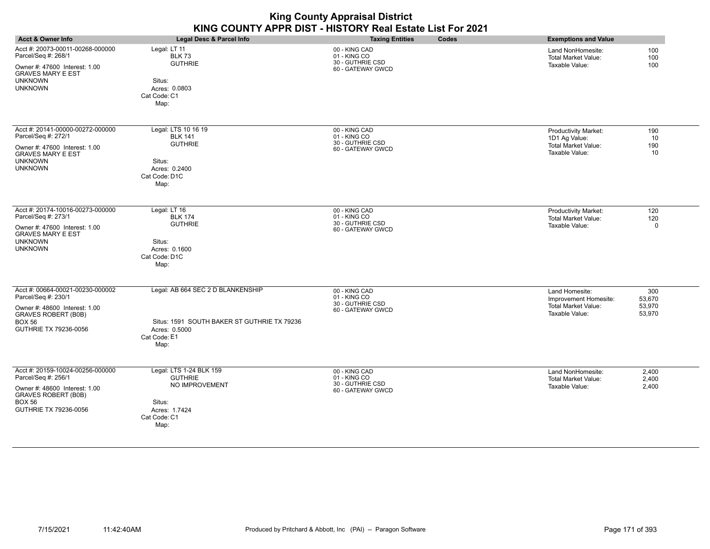|                                                                                                                                                                  | KING COUNTY APPR DIST - HISTORY Real Estate List For 2021                                                                 | <b>King County Appraisal District</b>                                  |       |                                                                                              |                                   |
|------------------------------------------------------------------------------------------------------------------------------------------------------------------|---------------------------------------------------------------------------------------------------------------------------|------------------------------------------------------------------------|-------|----------------------------------------------------------------------------------------------|-----------------------------------|
| <b>Acct &amp; Owner Info</b>                                                                                                                                     | Legal Desc & Parcel Info                                                                                                  | <b>Taxing Entities</b>                                                 | Codes | <b>Exemptions and Value</b>                                                                  |                                   |
| Acct #: 20073-00011-00268-000000<br>Parcel/Seq #: 268/1<br>Owner #: 47600 Interest: 1.00<br><b>GRAVES MARY E EST</b><br><b>UNKNOWN</b><br><b>UNKNOWN</b>         | Legal: LT 11<br><b>BLK 73</b><br><b>GUTHRIE</b><br>Situs:<br>Acres: 0.0803<br>Cat Code: C1<br>Map:                        | 00 - KING CAD<br>01 - KING CO<br>30 - GUTHRIE CSD<br>60 - GATEWAY GWCD |       | Land NonHomesite:<br>Total Market Value:<br>Taxable Value:                                   | 100<br>100<br>100                 |
| Acct #: 20141-00000-00272-000000<br>Parcel/Seq #: 272/1<br>Owner #: 47600 Interest: 1.00<br><b>GRAVES MARY E EST</b><br><b>UNKNOWN</b><br><b>UNKNOWN</b>         | Legal: LTS 10 16 19<br><b>BLK 141</b><br><b>GUTHRIE</b><br>Situs:<br>Acres: 0.2400<br>Cat Code: D1C<br>Map:               | 00 - KING CAD<br>01 - KING CO<br>30 - GUTHRIE CSD<br>60 - GATEWAY GWCD |       | <b>Productivity Market:</b><br>1D1 Ag Value:<br><b>Total Market Value:</b><br>Taxable Value: | 190<br>10<br>190<br>10            |
| Acct #: 20174-10016-00273-000000<br>Parcel/Seq #: 273/1<br>Owner #: 47600 Interest: 1.00<br><b>GRAVES MARY E EST</b><br><b>UNKNOWN</b><br><b>UNKNOWN</b>         | Legal: LT 16<br><b>BLK 174</b><br><b>GUTHRIE</b><br>Situs:<br>Acres: 0.1600<br>Cat Code: D1C<br>Map:                      | 00 - KING CAD<br>01 - KING CO<br>30 - GUTHRIE CSD<br>60 - GATEWAY GWCD |       | <b>Productivity Market:</b><br><b>Total Market Value:</b><br>Taxable Value:                  | 120<br>120<br>$\Omega$            |
| Acct #: 00664-00021-00230-000002<br>Parcel/Seq #: 230/1<br>Owner #: 48600 Interest: 1.00<br><b>GRAVES ROBERT (B0B)</b><br><b>BOX 56</b><br>GUTHRIE TX 79236-0056 | Legal: AB 664 SEC 2 D BLANKENSHIP<br>Situs: 1591 SOUTH BAKER ST GUTHRIE TX 79236<br>Acres: 0.5000<br>Cat Code: E1<br>Map: | 00 - KING CAD<br>01 - KING CO<br>30 - GUTHRIE CSD<br>60 - GATEWAY GWCD |       | Land Homesite:<br>Improvement Homesite:<br>Total Market Value:<br>Taxable Value:             | 300<br>53,670<br>53,970<br>53,970 |
| Acct #: 20159-10024-00256-000000<br>Parcel/Seq #: 256/1<br>Owner #: 48600 Interest: 1.00<br><b>GRAVES ROBERT (B0B)</b><br><b>BOX 56</b><br>GUTHRIE TX 79236-0056 | Legal: LTS 1-24 BLK 159<br><b>GUTHRIE</b><br>NO IMPROVEMENT<br>Situs:<br>Acres: 1.7424<br>Cat Code: C1<br>Map:            | 00 - KING CAD<br>01 - KING CO<br>30 - GUTHRIE CSD<br>60 - GATEWAY GWCD |       | Land NonHomesite:<br><b>Total Market Value:</b><br>Taxable Value:                            | 2.400<br>2.400<br>2,400           |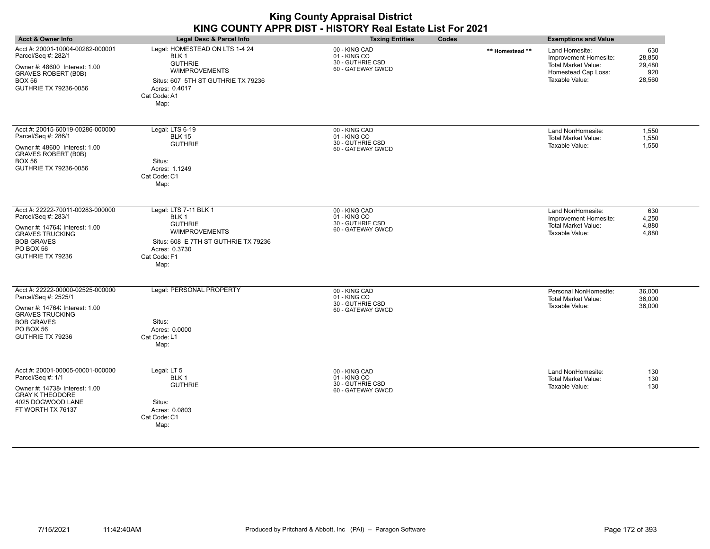| <b>Acct &amp; Owner Info</b>                                                                                                                                               | Legal Desc & Parcel Info                                                                                                                                              | <b>Taxing Entities</b><br>Codes                                        |                 | <b>Exemptions and Value</b>                                                                                    |                                          |
|----------------------------------------------------------------------------------------------------------------------------------------------------------------------------|-----------------------------------------------------------------------------------------------------------------------------------------------------------------------|------------------------------------------------------------------------|-----------------|----------------------------------------------------------------------------------------------------------------|------------------------------------------|
| Acct #: 20001-10004-00282-000001<br>Parcel/Seq #: 282/1<br>Owner #: 48600 Interest: 1.00<br><b>GRAVES ROBERT (B0B)</b><br>BOX 56<br>GUTHRIE TX 79236-0056                  | Legal: HOMESTEAD ON LTS 1-4 24<br>BLK 1<br><b>GUTHRIE</b><br>W/IMPROVEMENTS<br>Situs: 607 5TH ST GUTHRIE TX 79236<br>Acres: 0.4017<br>Cat Code: A1<br>Map:            | 00 - KING CAD<br>01 - KING CO<br>30 - GUTHRIE CSD<br>60 - GATEWAY GWCD | ** Homestead ** | Land Homesite:<br>Improvement Homesite:<br><b>Total Market Value:</b><br>Homestead Cap Loss:<br>Taxable Value: | 630<br>28,850<br>29,480<br>920<br>28,560 |
| Acct #: 20015-60019-00286-000000<br>Parcel/Seq #: 286/1<br>Owner #: 48600 Interest: 1.00<br><b>GRAVES ROBERT (B0B)</b><br><b>BOX 56</b><br>GUTHRIE TX 79236-0056           | Legal: LTS 6-19<br><b>BLK 15</b><br><b>GUTHRIE</b><br>Situs:<br>Acres: 1.1249<br>Cat Code: C1<br>Map:                                                                 | 00 - KING CAD<br>01 - KING CO<br>30 - GUTHRIE CSD<br>60 - GATEWAY GWCD |                 | Land NonHomesite:<br>Total Market Value:<br>Taxable Value:                                                     | 1,550<br>1,550<br>1,550                  |
| Acct #: 22222-70011-00283-000000<br>Parcel/Seq #: 283/1<br>Owner #: 14764; Interest: 1.00<br><b>GRAVES TRUCKING</b><br><b>BOB GRAVES</b><br>PO BOX 56<br>GUTHRIE TX 79236  | Legal: LTS 7-11 BLK 1<br>BLK <sub>1</sub><br><b>GUTHRIE</b><br><b>W/IMPROVEMENTS</b><br>Situs: 608 E 7TH ST GUTHRIE TX 79236<br>Acres: 0.3730<br>Cat Code: F1<br>Map: | 00 - KING CAD<br>01 - KING CO<br>30 - GUTHRIE CSD<br>60 - GATEWAY GWCD |                 | Land NonHomesite:<br>Improvement Homesite:<br>Total Market Value:<br>Taxable Value:                            | 630<br>4,250<br>4,880<br>4,880           |
| Acct #: 22222-00000-02525-000000<br>Parcel/Seq #: 2525/1<br>Owner #: 14764; Interest: 1.00<br><b>GRAVES TRUCKING</b><br><b>BOB GRAVES</b><br>PO BOX 56<br>GUTHRIE TX 79236 | Legal: PERSONAL PROPERTY<br>Situs:<br>Acres: 0.0000<br>Cat Code: L1<br>Map:                                                                                           | 00 - KING CAD<br>01 - KING CO<br>30 - GUTHRIE CSD<br>60 - GATEWAY GWCD |                 | Personal NonHomesite:<br><b>Total Market Value:</b><br>Taxable Value:                                          | 36,000<br>36,000<br>36,000               |
| Acct #: 20001-00005-00001-000000<br>Parcel/Seq #: 1/1<br>Owner #: 147384 Interest: 1.00<br><b>GRAY K THEODORE</b><br>4025 DOGWOOD LANE<br>FT WORTH TX 76137                | Legal: LT 5<br>BLK <sub>1</sub><br><b>GUTHRIE</b><br>Situs:<br>Acres: 0.0803<br>Cat Code: C1<br>Map:                                                                  | 00 - KING CAD<br>01 - KING CO<br>30 - GUTHRIE CSD<br>60 - GATEWAY GWCD |                 | Land NonHomesite:<br><b>Total Market Value:</b><br>Taxable Value:                                              | 130<br>130<br>130                        |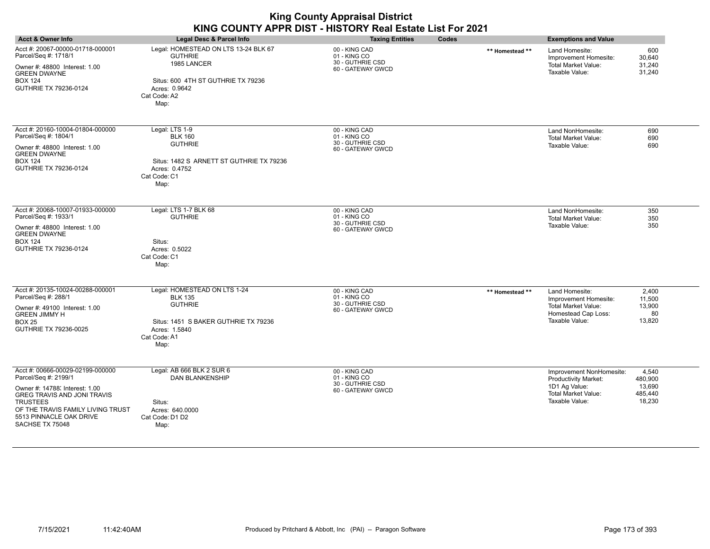| <b>Acct &amp; Owner Info</b>                                                                                                                                                                                                    | <b>Legal Desc &amp; Parcel Info</b>                                                                                                                  | <b>Taxing Entities</b>                                                 | Codes           | <b>Exemptions and Value</b>                                                                                                                                                 |
|---------------------------------------------------------------------------------------------------------------------------------------------------------------------------------------------------------------------------------|------------------------------------------------------------------------------------------------------------------------------------------------------|------------------------------------------------------------------------|-----------------|-----------------------------------------------------------------------------------------------------------------------------------------------------------------------------|
| Acct #: 20067-00000-01718-000001<br>Parcel/Seq #: 1718/1<br>Owner #: 48800 Interest: 1.00<br><b>GREEN DWAYNE</b><br><b>BOX 124</b><br>GUTHRIE TX 79236-0124                                                                     | Legal: HOMESTEAD ON LTS 13-24 BLK 67<br><b>GUTHRIE</b><br>1985 LANCER<br>Situs: 600 4TH ST GUTHRIE TX 79236<br>Acres: 0.9642<br>Cat Code: A2<br>Map: | 00 - KING CAD<br>01 - KING CO<br>30 - GUTHRIE CSD<br>60 - GATEWAY GWCD | ** Homestead ** | 600<br>Land Homesite:<br>30,640<br>Improvement Homesite:<br><b>Total Market Value:</b><br>31,240<br>Taxable Value:<br>31,240                                                |
| Acct #: 20160-10004-01804-000000<br>Parcel/Seq #: 1804/1<br>Owner #: 48800 Interest: 1.00<br><b>GREEN DWAYNE</b><br><b>BOX 124</b><br>GUTHRIE TX 79236-0124                                                                     | Legal: LTS 1-9<br><b>BLK 160</b><br><b>GUTHRIE</b><br>Situs: 1482 S ARNETT ST GUTHRIE TX 79236<br>Acres: 0.4752<br>Cat Code: C1<br>Map:              | 00 - KING CAD<br>01 - KING CO<br>30 - GUTHRIE CSD<br>60 - GATEWAY GWCD |                 | 690<br>Land NonHomesite:<br>690<br><b>Total Market Value:</b><br>Taxable Value:<br>690                                                                                      |
| Acct #: 20068-10007-01933-000000<br>Parcel/Seq #: 1933/1<br>Owner #: 48800 Interest: 1.00<br><b>GREEN DWAYNE</b><br><b>BOX 124</b><br>GUTHRIE TX 79236-0124                                                                     | Legal: LTS 1-7 BLK 68<br><b>GUTHRIE</b><br>Situs:<br>Acres: 0.5022<br>Cat Code: C1<br>Map:                                                           | 00 - KING CAD<br>01 - KING CO<br>30 - GUTHRIE CSD<br>60 - GATEWAY GWCD |                 | Land NonHomesite:<br>350<br>350<br><b>Total Market Value:</b><br>Taxable Value:<br>350                                                                                      |
| Acct #: 20135-10024-00288-000001<br>Parcel/Seq #: 288/1<br>Owner #: 49100 Interest: 1.00<br><b>GREEN JIMMY H</b><br><b>BOX 25</b><br>GUTHRIE TX 79236-0025                                                                      | Legal: HOMESTEAD ON LTS 1-24<br><b>BLK 135</b><br><b>GUTHRIE</b><br>Situs: 1451 S BAKER GUTHRIE TX 79236<br>Acres: 1.5840<br>Cat Code: A1<br>Map:    | 00 - KING CAD<br>01 - KING CO<br>30 - GUTHRIE CSD<br>60 - GATEWAY GWCD | ** Homestead ** | 2,400<br>Land Homesite:<br>Improvement Homesite:<br>11,500<br>Total Market Value:<br>13,900<br>Homestead Cap Loss:<br>80<br>Taxable Value:<br>13,820                        |
| Acct #: 00666-00029-02199-000000<br>Parcel/Seq #: 2199/1<br>Owner #: 14788; Interest: 1.00<br>GREG TRAVIS AND JONI TRAVIS<br><b>TRUSTEES</b><br>OF THE TRAVIS FAMILY LIVING TRUST<br>5513 PINNACLE OAK DRIVE<br>SACHSE TX 75048 | Legal: AB 666 BLK 2 SUR 6<br><b>DAN BLANKENSHIP</b><br>Situs:<br>Acres: 640.0000<br>Cat Code: D1 D2<br>Map:                                          | 00 - KING CAD<br>01 - KING CO<br>30 - GUTHRIE CSD<br>60 - GATEWAY GWCD |                 | 4,540<br>Improvement NonHomesite:<br><b>Productivity Market:</b><br>480,900<br>1D1 Ag Value:<br>13,690<br><b>Total Market Value:</b><br>485,440<br>Taxable Value:<br>18,230 |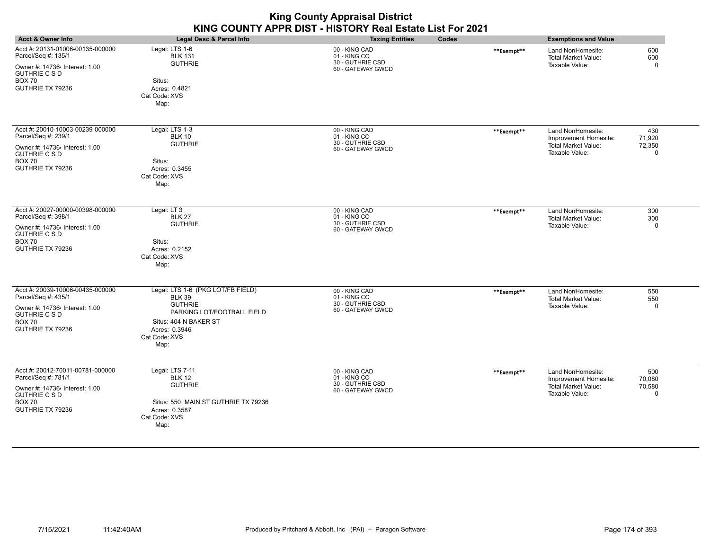|                                                                                                                                                        |                                                                                                                                                                       | KING COUNTY APPR DIST - HISTORY Real Estate List For 2021              |            |                                                                                            |                                        |
|--------------------------------------------------------------------------------------------------------------------------------------------------------|-----------------------------------------------------------------------------------------------------------------------------------------------------------------------|------------------------------------------------------------------------|------------|--------------------------------------------------------------------------------------------|----------------------------------------|
| <b>Acct &amp; Owner Info</b>                                                                                                                           | Legal Desc & Parcel Info                                                                                                                                              | <b>Taxing Entities</b><br>Codes                                        |            | <b>Exemptions and Value</b>                                                                |                                        |
| Acct #: 20131-01006-00135-000000<br>Parcel/Seq #: 135/1<br>Owner #: 147364 Interest: 1.00<br><b>GUTHRIE C S D</b><br><b>BOX 70</b><br>GUTHRIE TX 79236 | Legal: LTS 1-6<br><b>BLK 131</b><br><b>GUTHRIE</b><br>Situs:<br>Acres: 0.4821<br>Cat Code: XVS<br>Map:                                                                | 00 - KING CAD<br>01 - KING CO<br>30 - GUTHRIE CSD<br>60 - GATEWAY GWCD | **Exempt** | Land NonHomesite:<br><b>Total Market Value:</b><br>Taxable Value:                          | 600<br>600<br>$\Omega$                 |
| Acct #: 20010-10003-00239-000000<br>Parcel/Seq #: 239/1<br>Owner #: 147364 Interest: 1.00<br><b>GUTHRIE C S D</b><br><b>BOX 70</b><br>GUTHRIE TX 79236 | Legal: LTS 1-3<br><b>BLK 10</b><br><b>GUTHRIE</b><br>Situs:<br>Acres: 0.3455<br>Cat Code: XVS<br>Map:                                                                 | 00 - KING CAD<br>01 - KING CO<br>30 - GUTHRIE CSD<br>60 - GATEWAY GWCD | **Exempt** | Land NonHomesite:<br>Improvement Homesite:<br><b>Total Market Value:</b><br>Taxable Value: | 430<br>71,920<br>72,350<br>$\mathbf 0$ |
| Acct #: 20027-00000-00398-000000<br>Parcel/Seq #: 398/1<br>Owner #: 147364 Interest: 1.00<br><b>GUTHRIE C S D</b><br><b>BOX 70</b><br>GUTHRIE TX 79236 | Legal: LT 3<br><b>BLK 27</b><br><b>GUTHRIE</b><br>Situs:<br>Acres: 0.2152<br>Cat Code: XVS<br>Map:                                                                    | 00 - KING CAD<br>01 - KING CO<br>30 - GUTHRIE CSD<br>60 - GATEWAY GWCD | **Exempt** | Land NonHomesite:<br><b>Total Market Value:</b><br>Taxable Value:                          | 300<br>300<br>$\mathbf 0$              |
| Acct #: 20039-10006-00435-000000<br>Parcel/Seq #: 435/1<br>Owner #: 147364 Interest: 1.00<br><b>GUTHRIE C S D</b><br><b>BOX 70</b><br>GUTHRIE TX 79236 | Legal: LTS 1-6 (PKG LOT/FB FIELD)<br><b>BLK 39</b><br><b>GUTHRIE</b><br>PARKING LOT/FOOTBALL FIELD<br>Situs: 404 N BAKER ST<br>Acres: 0.3946<br>Cat Code: XVS<br>Map: | 00 - KING CAD<br>01 - KING CO<br>30 - GUTHRIE CSD<br>60 - GATEWAY GWCD | **Exempt** | Land NonHomesite:<br>Total Market Value:<br>Taxable Value:                                 | 550<br>550<br>$\mathbf 0$              |
| Acct #: 20012-70011-00781-000000<br>Parcel/Seq #: 781/1<br>Owner #: 147364 Interest: 1.00<br><b>GUTHRIE C S D</b><br><b>BOX 70</b><br>GUTHRIE TX 79236 | Legal: LTS 7-11<br><b>BLK 12</b><br><b>GUTHRIE</b><br>Situs: 550 MAIN ST GUTHRIE TX 79236<br>Acres: 0.3587<br>Cat Code: XVS<br>Map:                                   | 00 - KING CAD<br>01 - KING CO<br>30 - GUTHRIE CSD<br>60 - GATEWAY GWCD | **Exempt** | Land NonHomesite:<br>Improvement Homesite:<br><b>Total Market Value:</b><br>Taxable Value: | 500<br>70,080<br>70,580<br>$\Omega$    |

**King County Appraisal District**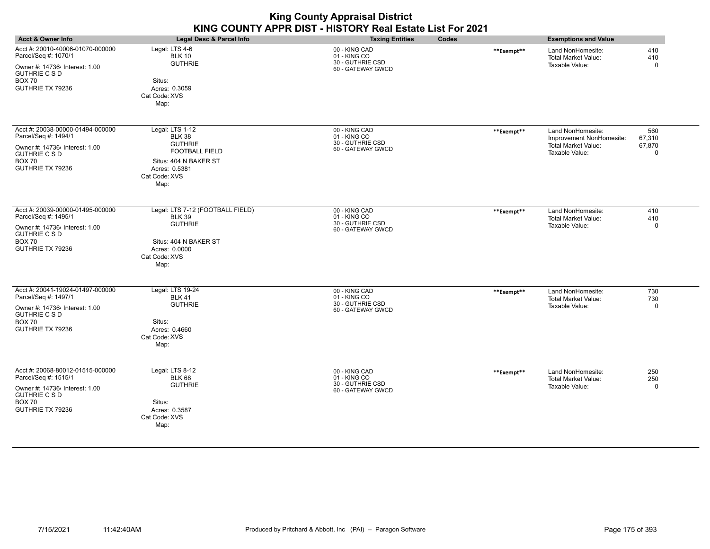| <b>King County Appraisal District</b><br>KING COUNTY APPR DIST - HISTORY Real Estate List For 2021                                                      |                                                                                                                                                |                                                                        |              |                                                                                               |                                     |  |
|---------------------------------------------------------------------------------------------------------------------------------------------------------|------------------------------------------------------------------------------------------------------------------------------------------------|------------------------------------------------------------------------|--------------|-----------------------------------------------------------------------------------------------|-------------------------------------|--|
| <b>Acct &amp; Owner Info</b>                                                                                                                            | <b>Legal Desc &amp; Parcel Info</b>                                                                                                            | <b>Taxing Entities</b>                                                 | <b>Codes</b> | <b>Exemptions and Value</b>                                                                   |                                     |  |
| Acct #: 20010-40006-01070-000000<br>Parcel/Seq #: 1070/1<br>Owner #: 147364 Interest: 1.00<br><b>GUTHRIE C S D</b><br><b>BOX 70</b><br>GUTHRIE TX 79236 | Legal: LTS 4-6<br><b>BLK 10</b><br><b>GUTHRIE</b><br>Situs:<br>Acres: 0.3059<br>Cat Code: XVS<br>Map:                                          | 00 - KING CAD<br>01 - KING CO<br>30 - GUTHRIE CSD<br>60 - GATEWAY GWCD | **Exempt**   | Land NonHomesite:<br><b>Total Market Value:</b><br>Taxable Value:                             | 410<br>410<br>$\Omega$              |  |
| Acct #: 20038-00000-01494-000000<br>Parcel/Seq #: 1494/1<br>Owner #: 147364 Interest: 1.00<br><b>GUTHRIE C S D</b><br><b>BOX 70</b><br>GUTHRIE TX 79236 | Legal: LTS 1-12<br><b>BLK 38</b><br><b>GUTHRIE</b><br><b>FOOTBALL FIELD</b><br>Situs: 404 N BAKER ST<br>Acres: 0.5381<br>Cat Code: XVS<br>Map: | 00 - KING CAD<br>01 - KING CO<br>30 - GUTHRIE CSD<br>60 - GATEWAY GWCD | **Exempt**   | Land NonHomesite:<br>Improvement NonHomesite:<br><b>Total Market Value:</b><br>Taxable Value: | 560<br>67,310<br>67,870<br>$\Omega$ |  |
| Acct #: 20039-00000-01495-000000<br>Parcel/Seq #: 1495/1<br>Owner #: 147364 Interest: 1.00<br><b>GUTHRIE C S D</b><br><b>BOX 70</b><br>GUTHRIE TX 79236 | Legal: LTS 7-12 (FOOTBALL FIELD)<br><b>BLK 39</b><br><b>GUTHRIE</b><br>Situs: 404 N BAKER ST<br>Acres: 0.0000<br>Cat Code: XVS<br>Map:         | 00 - KING CAD<br>01 - KING CO<br>30 - GUTHRIE CSD<br>60 - GATEWAY GWCD | **Exempt**   | Land NonHomesite:<br><b>Total Market Value:</b><br>Taxable Value:                             | 410<br>410<br>$\Omega$              |  |
| Acct #: 20041-19024-01497-000000<br>Parcel/Seq #: 1497/1<br>Owner #: 147364 Interest: 1.00<br><b>GUTHRIE C S D</b><br><b>BOX 70</b><br>GUTHRIE TX 79236 | Legal: LTS 19-24<br><b>BLK 41</b><br><b>GUTHRIE</b><br>Situs:<br>Acres: 0.4660<br>Cat Code: XVS<br>Map:                                        | 00 - KING CAD<br>01 - KING CO<br>30 - GUTHRIE CSD<br>60 - GATEWAY GWCD | **Exempt**   | Land NonHomesite:<br><b>Total Market Value:</b><br>Taxable Value:                             | 730<br>730<br>$\mathbf 0$           |  |
| Acct #: 20068-80012-01515-000000<br>Parcel/Seq #: 1515/1<br>Owner #: 147364 Interest: 1.00<br><b>GUTHRIE C S D</b><br><b>BOX 70</b><br>GUTHRIE TX 79236 | Legal: LTS 8-12<br><b>BLK 68</b><br><b>GUTHRIE</b><br>Situs:<br>Acres: 0.3587<br>Cat Code: XVS<br>Map:                                         | 00 - KING CAD<br>01 - KING CO<br>30 - GUTHRIE CSD<br>60 - GATEWAY GWCD | **Exempt**   | Land NonHomesite:<br><b>Total Market Value:</b><br>Taxable Value:                             | 250<br>250<br>$\mathbf 0$           |  |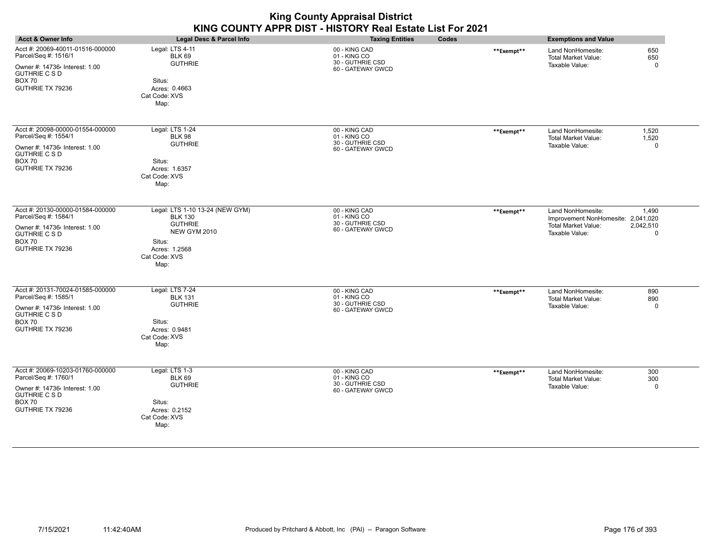|                                                                                                                                                         |                                                                                                                                                | <b>King County Appraisal District</b><br>KING COUNTY APPR DIST - HISTORY Real Estate List For 2021 |            |                                                                                                         |                                   |
|---------------------------------------------------------------------------------------------------------------------------------------------------------|------------------------------------------------------------------------------------------------------------------------------------------------|----------------------------------------------------------------------------------------------------|------------|---------------------------------------------------------------------------------------------------------|-----------------------------------|
| <b>Acct &amp; Owner Info</b>                                                                                                                            | <b>Legal Desc &amp; Parcel Info</b>                                                                                                            | <b>Taxing Entities</b><br>Codes                                                                    |            | <b>Exemptions and Value</b>                                                                             |                                   |
| Acct #: 20069-40011-01516-000000<br>Parcel/Seq #: 1516/1<br>Owner #: 147364 Interest: 1.00<br><b>GUTHRIE C S D</b><br><b>BOX 70</b><br>GUTHRIE TX 79236 | Legal: LTS 4-11<br><b>BLK 69</b><br><b>GUTHRIE</b><br>Situs:<br>Acres: 0.4663<br>Cat Code: XVS<br>Map:                                         | 00 - KING CAD<br>01 - KING CO<br>30 - GUTHRIE CSD<br>60 - GATEWAY GWCD                             | **Exempt** | Land NonHomesite:<br><b>Total Market Value:</b><br>Taxable Value:                                       | 650<br>650<br>$\mathbf 0$         |
| Acct #: 20098-00000-01554-000000<br>Parcel/Seq #: 1554/1<br>Owner #: 147364 Interest: 1.00<br><b>GUTHRIE C S D</b><br><b>BOX 70</b><br>GUTHRIE TX 79236 | Legal: LTS 1-24<br><b>BLK 98</b><br><b>GUTHRIE</b><br>Situs:<br>Acres: 1.6357<br>Cat Code: XVS<br>Map:                                         | 00 - KING CAD<br>01 - KING CO<br>30 - GUTHRIE CSD<br>60 - GATEWAY GWCD                             | **Exempt** | Land NonHomesite:<br><b>Total Market Value:</b><br>Taxable Value:                                       | 1,520<br>1,520<br>$\Omega$        |
| Acct #: 20130-00000-01584-000000<br>Parcel/Seq #: 1584/1<br>Owner #: 147364 Interest: 1.00<br><b>GUTHRIE C S D</b><br><b>BOX 70</b><br>GUTHRIE TX 79236 | Legal: LTS 1-10 13-24 (NEW GYM)<br><b>BLK 130</b><br><b>GUTHRIE</b><br><b>NEW GYM 2010</b><br>Situs:<br>Acres: 1.2568<br>Cat Code: XVS<br>Map: | 00 - KING CAD<br>01 - KING CO<br>30 - GUTHRIE CSD<br>60 - GATEWAY GWCD                             | **Exempt** | Land NonHomesite:<br>Improvement NonHomesite: 2,041,020<br><b>Total Market Value:</b><br>Taxable Value: | 1,490<br>2,042,510<br>$\mathbf 0$ |
| Acct #: 20131-70024-01585-000000<br>Parcel/Seq #: 1585/1<br>Owner #: 147364 Interest: 1.00<br><b>GUTHRIE C S D</b><br><b>BOX 70</b><br>GUTHRIE TX 79236 | Legal: LTS 7-24<br><b>BLK 131</b><br><b>GUTHRIE</b><br>Situs:<br>Acres: 0.9481<br>Cat Code: XVS<br>Map:                                        | 00 - KING CAD<br>01 - KING CO<br>30 - GUTHRIE CSD<br>60 - GATEWAY GWCD                             | **Exempt** | Land NonHomesite:<br><b>Total Market Value:</b><br>Taxable Value:                                       | 890<br>890<br>$\mathbf 0$         |
| Acct #: 20069-10203-01760-000000<br>Parcel/Seq #: 1760/1<br>Owner #: 147364 Interest: 1.00<br><b>GUTHRIE C S D</b><br><b>BOX 70</b><br>GUTHRIE TX 79236 | Legal: LTS 1-3<br><b>BLK 69</b><br><b>GUTHRIE</b><br>Situs:<br>Acres: 0.2152<br>Cat Code: XVS<br>Map:                                          | 00 - KING CAD<br>01 - KING CO<br>30 - GUTHRIE CSD<br>60 - GATEWAY GWCD                             | **Exempt** | Land NonHomesite:<br><b>Total Market Value:</b><br>Taxable Value:                                       | 300<br>300<br>$\mathbf 0$         |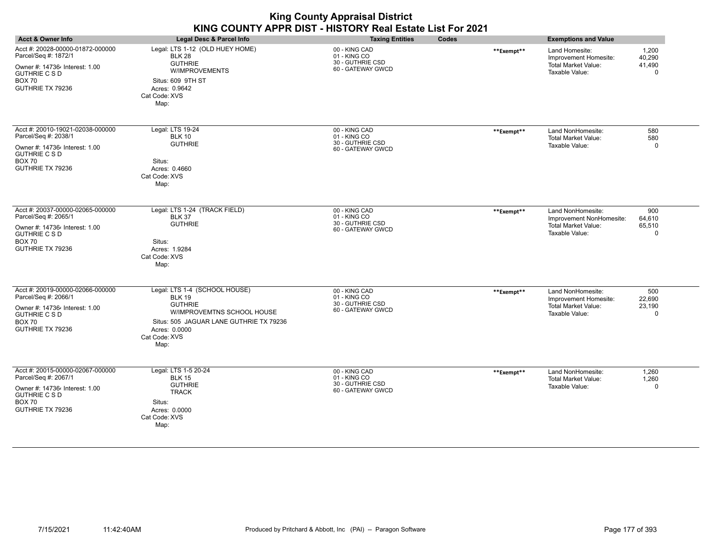| <b>King County Appraisal District</b><br>KING COUNTY APPR DIST - HISTORY Real Estate List For 2021                                                      |                                                                                                                                                                                     |                                                                        |            |                                                                                               |                                       |  |
|---------------------------------------------------------------------------------------------------------------------------------------------------------|-------------------------------------------------------------------------------------------------------------------------------------------------------------------------------------|------------------------------------------------------------------------|------------|-----------------------------------------------------------------------------------------------|---------------------------------------|--|
| <b>Acct &amp; Owner Info</b>                                                                                                                            | <b>Legal Desc &amp; Parcel Info</b>                                                                                                                                                 | <b>Taxing Entities</b>                                                 | Codes      | <b>Exemptions and Value</b>                                                                   |                                       |  |
| Acct #: 20028-00000-01872-000000<br>Parcel/Seq #: 1872/1<br>Owner #: 147364 Interest: 1.00<br><b>GUTHRIE C S D</b><br><b>BOX 70</b><br>GUTHRIE TX 79236 | Legal: LTS 1-12 (OLD HUEY HOME)<br><b>BLK 28</b><br><b>GUTHRIE</b><br>W/IMPROVEMENTS<br>Situs: 609 9TH ST<br>Acres: 0.9642<br>Cat Code: XVS<br>Map:                                 | 00 - KING CAD<br>01 - KING CO<br>30 - GUTHRIE CSD<br>60 - GATEWAY GWCD | **Exempt** | Land Homesite:<br>Improvement Homesite:<br>Total Market Value:<br>Taxable Value:              | 1.200<br>40.290<br>41,490<br>$\Omega$ |  |
| Acct #: 20010-19021-02038-000000<br>Parcel/Seq #: 2038/1<br>Owner #: 147364 Interest: 1.00<br><b>GUTHRIE C S D</b><br><b>BOX 70</b><br>GUTHRIE TX 79236 | Legal: LTS 19-24<br><b>BLK 10</b><br><b>GUTHRIE</b><br>Situs:<br>Acres: 0.4660<br>Cat Code: XVS<br>Map:                                                                             | 00 - KING CAD<br>01 - KING CO<br>30 - GUTHRIE CSD<br>60 - GATEWAY GWCD | **Exempt** | Land NonHomesite:<br><b>Total Market Value:</b><br>Taxable Value:                             | 580<br>580<br>$\Omega$                |  |
| Acct #: 20037-00000-02065-000000<br>Parcel/Seq #: 2065/1<br>Owner #: 147364 Interest: 1.00<br><b>GUTHRIE C S D</b><br><b>BOX 70</b><br>GUTHRIE TX 79236 | Legal: LTS 1-24 (TRACK FIELD)<br><b>BLK 37</b><br><b>GUTHRIE</b><br>Situs:<br>Acres: 1.9284<br>Cat Code: XVS<br>Map:                                                                | 00 - KING CAD<br>01 - KING CO<br>30 - GUTHRIE CSD<br>60 - GATEWAY GWCD | **Exempt** | Land NonHomesite:<br>Improvement NonHomesite:<br><b>Total Market Value:</b><br>Taxable Value: | 900<br>64,610<br>65,510<br>$\Omega$   |  |
| Acct #: 20019-00000-02066-000000<br>Parcel/Seq #: 2066/1<br>Owner #: 147364 Interest: 1.00<br><b>GUTHRIE C S D</b><br><b>BOX 70</b><br>GUTHRIE TX 79236 | Legal: LTS 1-4 (SCHOOL HOUSE)<br><b>BLK 19</b><br><b>GUTHRIE</b><br>W/IMPROVEMTNS SCHOOL HOUSE<br>Situs: 505 JAGUAR LANE GUTHRIE TX 79236<br>Acres: 0.0000<br>Cat Code: XVS<br>Map: | 00 - KING CAD<br>01 - KING CO<br>30 - GUTHRIE CSD<br>60 - GATEWAY GWCD | **Exempt** | Land NonHomesite:<br>Improvement Homesite:<br><b>Total Market Value:</b><br>Taxable Value:    | 500<br>22,690<br>23,190<br>$\Omega$   |  |
| Acct #: 20015-00000-02067-000000<br>Parcel/Seq #: 2067/1<br>Owner #: 147364 Interest: 1.00<br><b>GUTHRIE C S D</b><br><b>BOX 70</b><br>GUTHRIE TX 79236 | Legal: LTS 1-5 20-24<br><b>BLK 15</b><br><b>GUTHRIE</b><br><b>TRACK</b><br>Situs:<br>Acres: 0.0000<br>Cat Code: XVS<br>Map:                                                         | 00 - KING CAD<br>01 - KING CO<br>30 - GUTHRIE CSD<br>60 - GATEWAY GWCD | **Exempt** | Land NonHomesite:<br>Total Market Value:<br>Taxable Value:                                    | 1,260<br>1,260<br>$\Omega$            |  |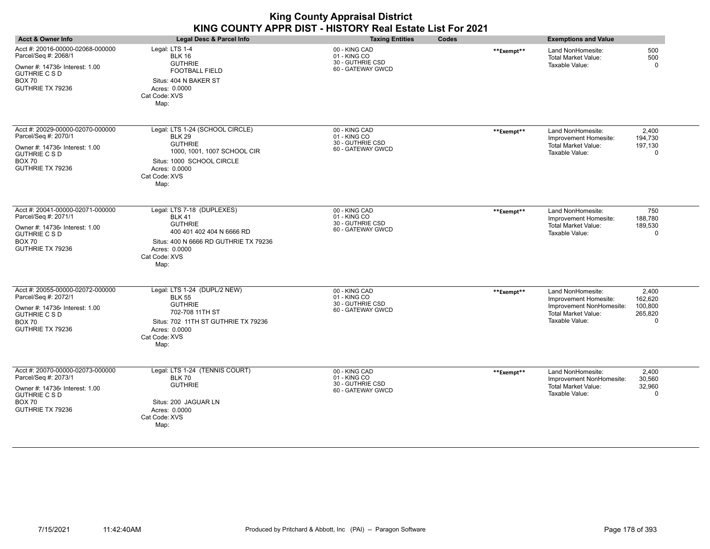| <b>Acct &amp; Owner Info</b>                                                                                                                            | <b>Legal Desc &amp; Parcel Info</b>                                                                                                                                           | Codes<br><b>Taxing Entities</b>                                        |            | <b>Exemptions and Value</b>                                                                                            |                                                       |
|---------------------------------------------------------------------------------------------------------------------------------------------------------|-------------------------------------------------------------------------------------------------------------------------------------------------------------------------------|------------------------------------------------------------------------|------------|------------------------------------------------------------------------------------------------------------------------|-------------------------------------------------------|
| Acct #: 20016-00000-02068-000000<br>Parcel/Seq #: 2068/1<br>Owner #: 147364 Interest: 1.00<br><b>GUTHRIE C S D</b><br><b>BOX 70</b><br>GUTHRIE TX 79236 | Legal: LTS 1-4<br><b>BLK 16</b><br><b>GUTHRIE</b><br><b>FOOTBALL FIELD</b><br>Situs: 404 N BAKER ST<br>Acres: 0.0000<br>Cat Code: XVS<br>Map:                                 | 00 - KING CAD<br>01 - KING CO<br>30 - GUTHRIE CSD<br>60 - GATEWAY GWCD | **Exempt** | Land NonHomesite:<br><b>Total Market Value:</b><br>Taxable Value:                                                      | 500<br>500<br>$\mathbf 0$                             |
| Acct #: 20029-00000-02070-000000<br>Parcel/Seq #: 2070/1<br>Owner #: 147364 Interest: 1.00<br><b>GUTHRIE C S D</b><br><b>BOX 70</b><br>GUTHRIE TX 79236 | Legal: LTS 1-24 (SCHOOL CIRCLE)<br><b>BLK 29</b><br><b>GUTHRIE</b><br>1000, 1001, 1007 SCHOOL CIR<br>Situs: 1000 SCHOOL CIRCLE<br>Acres: 0.0000<br>Cat Code: XVS<br>Map:      | 00 - KING CAD<br>01 - KING CO<br>30 - GUTHRIE CSD<br>60 - GATEWAY GWCD | **Exempt** | Land NonHomesite:<br>Improvement Homesite:<br><b>Total Market Value:</b><br>Taxable Value:                             | 2.400<br>194,730<br>197,130<br>$\Omega$               |
| Acct #: 20041-00000-02071-000000<br>Parcel/Seq #: 2071/1<br>Owner #: 147364 Interest: 1.00<br><b>GUTHRIE C S D</b><br><b>BOX 70</b><br>GUTHRIE TX 79236 | Legal: LTS 7-18 (DUPLEXES)<br><b>BLK 41</b><br><b>GUTHRIE</b><br>400 401 402 404 N 6666 RD<br>Situs: 400 N 6666 RD GUTHRIE TX 79236<br>Acres: 0.0000<br>Cat Code: XVS<br>Map: | 00 - KING CAD<br>01 - KING CO<br>30 - GUTHRIE CSD<br>60 - GATEWAY GWCD | **Exempt** | Land NonHomesite:<br>Improvement Homesite:<br>Total Market Value:<br>Taxable Value:                                    | 750<br>188,780<br>189,530<br>$\Omega$                 |
| Acct #: 20055-00000-02072-000000<br>Parcel/Seq #: 2072/1<br>Owner #: 147364 Interest: 1.00<br><b>GUTHRIE C S D</b><br><b>BOX 70</b><br>GUTHRIE TX 79236 | Legal: LTS 1-24 (DUPL/2 NEW)<br><b>BLK 55</b><br><b>GUTHRIE</b><br>702-708 11TH ST<br>Situs: 702 11TH ST GUTHRIE TX 79236<br>Acres: 0.0000<br>Cat Code: XVS<br>Map:           | 00 - KING CAD<br>01 - KING CO<br>30 - GUTHRIE CSD<br>60 - GATEWAY GWCD | **Exempt** | Land NonHomesite:<br>Improvement Homesite:<br>Improvement NonHomesite:<br><b>Total Market Value:</b><br>Taxable Value: | 2,400<br>162.620<br>100,800<br>265,820<br>$\mathbf 0$ |
| Acct #: 20070-00000-02073-000000<br>Parcel/Seq #: 2073/1<br>Owner #: 147364 Interest: 1.00<br><b>GUTHRIE C S D</b><br><b>BOX 70</b><br>GUTHRIE TX 79236 | Legal: LTS 1-24 (TENNIS COURT)<br><b>BLK 70</b><br><b>GUTHRIE</b><br>Situs: 200 JAGUAR LN<br>Acres: 0.0000<br>Cat Code: XVS<br>Map:                                           | 00 - KING CAD<br>01 - KING CO<br>30 - GUTHRIE CSD<br>60 - GATEWAY GWCD | **Exempt** | Land NonHomesite:<br>Improvement NonHomesite:<br><b>Total Market Value:</b><br>Taxable Value:                          | 2,400<br>30,560<br>32,960<br>$\Omega$                 |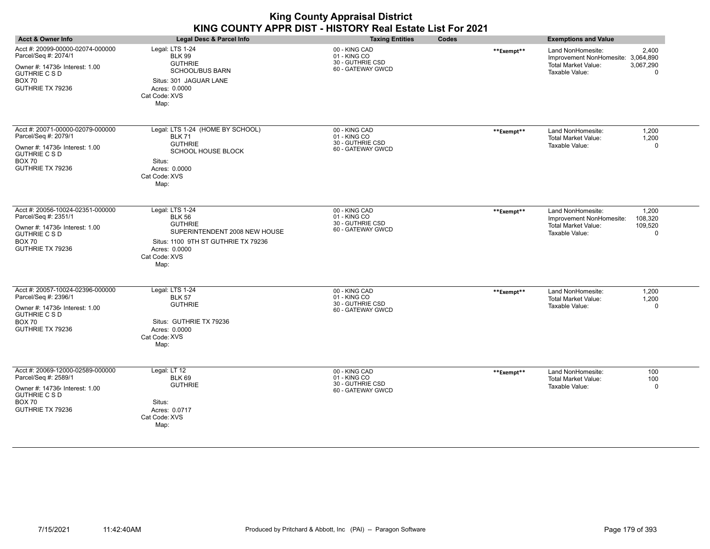| <b>Acct &amp; Owner Info</b>                                                                                                                            | <b>Legal Desc &amp; Parcel Info</b>                                                                                                                                  | <b>Taxing Entities</b><br>Codes                                        |            | <b>Exemptions and Value</b>                                                                                                                  |
|---------------------------------------------------------------------------------------------------------------------------------------------------------|----------------------------------------------------------------------------------------------------------------------------------------------------------------------|------------------------------------------------------------------------|------------|----------------------------------------------------------------------------------------------------------------------------------------------|
| Acct #: 20099-00000-02074-000000<br>Parcel/Seq #: 2074/1<br>Owner #: 147364 Interest: 1.00                                                              | Legal: LTS 1-24<br><b>BLK 99</b><br><b>GUTHRIE</b><br><b>SCHOOL/BUS BARN</b>                                                                                         | 00 - KING CAD<br>01 - KING CO<br>30 - GUTHRIE CSD<br>60 - GATEWAY GWCD | **Exempt** | 2,400<br>Land NonHomesite:<br>Improvement NonHomesite: 3,064,890<br><b>Total Market Value:</b><br>3,067,290<br>Taxable Value:<br>$\mathbf 0$ |
| <b>GUTHRIE C S D</b><br><b>BOX 70</b><br>GUTHRIE TX 79236                                                                                               | Situs: 301 JAGUAR LANE<br>Acres: 0.0000<br>Cat Code: XVS<br>Map:                                                                                                     |                                                                        |            |                                                                                                                                              |
| Acct #: 20071-00000-02079-000000<br>Parcel/Seq #: 2079/1<br>Owner #: 147364 Interest: 1.00<br><b>GUTHRIE C S D</b><br><b>BOX 70</b><br>GUTHRIE TX 79236 | Legal: LTS 1-24 (HOME BY SCHOOL)<br><b>BLK 71</b><br><b>GUTHRIE</b><br>SCHOOL HOUSE BLOCK<br>Situs:<br>Acres: 0.0000<br>Cat Code: XVS<br>Map:                        | 00 - KING CAD<br>01 - KING CO<br>30 - GUTHRIE CSD<br>60 - GATEWAY GWCD | **Exempt** | 1,200<br>Land NonHomesite:<br>1,200<br><b>Total Market Value:</b><br>Taxable Value:<br>$\Omega$                                              |
| Acct #: 20056-10024-02351-000000<br>Parcel/Seq #: 2351/1<br>Owner #: 147364 Interest: 1.00<br><b>GUTHRIE C S D</b><br><b>BOX 70</b><br>GUTHRIE TX 79236 | Legal: LTS 1-24<br><b>BLK 56</b><br><b>GUTHRIE</b><br>SUPERINTENDENT 2008 NEW HOUSE<br>Situs: 1100 9TH ST GUTHRIE TX 79236<br>Acres: 0.0000<br>Cat Code: XVS<br>Map: | 00 - KING CAD<br>01 - KING CO<br>30 - GUTHRIE CSD<br>60 - GATEWAY GWCD | **Exempt** | 1,200<br>Land NonHomesite:<br>108,320<br>Improvement NonHomesite:<br>Total Market Value:<br>109,520<br>Taxable Value:<br>$\mathbf 0$         |
| Acct #: 20057-10024-02396-000000<br>Parcel/Seq #: 2396/1<br>Owner #: 147364 Interest: 1.00<br><b>GUTHRIE C S D</b><br><b>BOX 70</b><br>GUTHRIE TX 79236 | Legal: LTS 1-24<br><b>BLK 57</b><br><b>GUTHRIE</b><br>Situs: GUTHRIE TX 79236<br>Acres: 0.0000<br>Cat Code: XVS<br>Map:                                              | 00 - KING CAD<br>01 - KING CO<br>30 - GUTHRIE CSD<br>60 - GATEWAY GWCD | **Exempt** | 1,200<br>Land NonHomesite:<br><b>Total Market Value:</b><br>1,200<br>Taxable Value:<br>$\Omega$                                              |
| Acct #: 20069-12000-02589-000000<br>Parcel/Seq #: 2589/1<br>Owner #: 147364 Interest: 1.00<br><b>GUTHRIE C S D</b><br><b>BOX 70</b><br>GUTHRIE TX 79236 | Legal: LT 12<br><b>BLK 69</b><br><b>GUTHRIE</b><br>Situs:<br>Acres: 0.0717<br>Cat Code: XVS<br>Map:                                                                  | 00 - KING CAD<br>01 - KING CO<br>30 - GUTHRIE CSD<br>60 - GATEWAY GWCD | **Exempt** | Land NonHomesite:<br>100<br>Total Market Value:<br>100<br>Taxable Value:<br>$\mathbf 0$                                                      |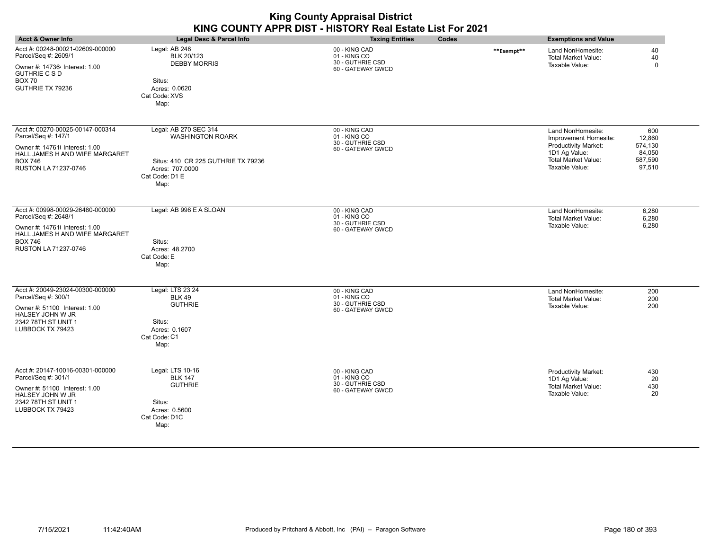| <b>King County Appraisal District</b><br>KING COUNTY APPR DIST - HISTORY Real Estate List For 2021                                                                    |                                                                                                                                     |                                                                        |            |                                                                                                                                            |                                                         |  |
|-----------------------------------------------------------------------------------------------------------------------------------------------------------------------|-------------------------------------------------------------------------------------------------------------------------------------|------------------------------------------------------------------------|------------|--------------------------------------------------------------------------------------------------------------------------------------------|---------------------------------------------------------|--|
| <b>Acct &amp; Owner Info</b>                                                                                                                                          | Legal Desc & Parcel Info                                                                                                            | <b>Taxing Entities</b><br>Codes                                        |            | <b>Exemptions and Value</b>                                                                                                                |                                                         |  |
| Acct #: 00248-00021-02609-000000<br>Parcel/Seq #: 2609/1<br>Owner #: 147364 Interest: 1.00<br><b>GUTHRIE C S D</b><br><b>BOX 70</b><br>GUTHRIE TX 79236               | Legal: AB 248<br><b>BLK 20/123</b><br><b>DEBBY MORRIS</b><br>Situs:<br>Acres: 0.0620<br>Cat Code: XVS<br>Map:                       | 00 - KING CAD<br>01 - KING CO<br>30 - GUTHRIE CSD<br>60 - GATEWAY GWCD | **Exempt** | Land NonHomesite:<br><b>Total Market Value:</b><br>Taxable Value:                                                                          | 40<br>40<br>$\Omega$                                    |  |
| Acct #: 00270-00025-00147-000314<br>Parcel/Seq #: 147/1<br>Owner #: 14761(Interest: 1.00<br>HALL JAMES H AND WIFE MARGARET<br><b>BOX 746</b><br>RUSTON LA 71237-0746  | Legal: AB 270 SEC 314<br><b>WASHINGTON ROARK</b><br>Situs: 410 CR 225 GUTHRIE TX 79236<br>Acres: 707,0000<br>Cat Code: D1 E<br>Map: | 00 - KING CAD<br>01 - KING CO<br>30 - GUTHRIE CSD<br>60 - GATEWAY GWCD |            | Land NonHomesite:<br>Improvement Homesite:<br><b>Productivity Market:</b><br>1D1 Ag Value:<br><b>Total Market Value:</b><br>Taxable Value: | 600<br>12,860<br>574,130<br>84,050<br>587,590<br>97,510 |  |
| Acct #: 00998-00029-26480-000000<br>Parcel/Seq #: 2648/1<br>Owner #: 14761(Interest: 1.00<br>HALL JAMES H AND WIFE MARGARET<br><b>BOX 746</b><br>RUSTON LA 71237-0746 | Legal: AB 998 E A SLOAN<br>Situs:<br>Acres: 48.2700<br>Cat Code: E<br>Map:                                                          | 00 - KING CAD<br>01 - KING CO<br>30 - GUTHRIE CSD<br>60 - GATEWAY GWCD |            | Land NonHomesite:<br><b>Total Market Value:</b><br>Taxable Value:                                                                          | 6,280<br>6,280<br>6,280                                 |  |
| Acct #: 20049-23024-00300-000000<br>Parcel/Seq #: 300/1<br>Owner #: 51100 Interest: 1.00<br>HALSEY JOHN W JR<br>2342 78TH ST UNIT 1<br>LUBBOCK TX 79423               | Legal: LTS 23 24<br><b>BLK 49</b><br><b>GUTHRIE</b><br>Situs:<br>Acres: 0.1607<br>Cat Code: C1<br>Map:                              | 00 - KING CAD<br>01 - KING CO<br>30 - GUTHRIE CSD<br>60 - GATEWAY GWCD |            | Land NonHomesite:<br>Total Market Value:<br>Taxable Value:                                                                                 | 200<br>200<br>200                                       |  |
| Acct #: 20147-10016-00301-000000<br>Parcel/Seq #: 301/1<br>Owner #: 51100 Interest: 1.00<br>HALSEY JOHN W JR<br>2342 78TH ST UNIT 1<br>LUBBOCK TX 79423               | Legal: LTS 10-16<br><b>BLK 147</b><br><b>GUTHRIE</b><br>Situs:<br>Acres: 0.5600<br>Cat Code: D1C<br>Map:                            | 00 - KING CAD<br>01 - KING CO<br>30 - GUTHRIE CSD<br>60 - GATEWAY GWCD |            | <b>Productivity Market:</b><br>1D1 Ag Value:<br><b>Total Market Value:</b><br>Taxable Value:                                               | 430<br>20<br>430<br>20                                  |  |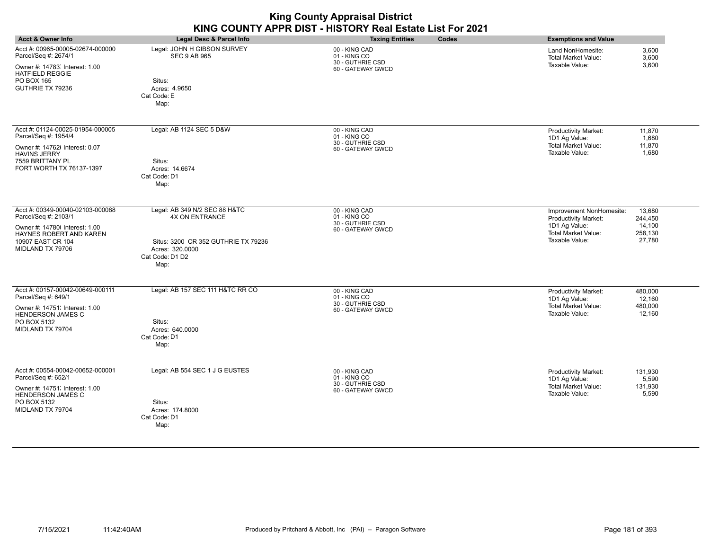|                                                                                                                                                                   |                                                                                                                                      | <b>King County Appraisal District</b><br>KING COUNTY APPR DIST - HISTORY Real Estate List For 2021 |                                                                                                                                                                              |
|-------------------------------------------------------------------------------------------------------------------------------------------------------------------|--------------------------------------------------------------------------------------------------------------------------------------|----------------------------------------------------------------------------------------------------|------------------------------------------------------------------------------------------------------------------------------------------------------------------------------|
| <b>Acct &amp; Owner Info</b>                                                                                                                                      | <b>Legal Desc &amp; Parcel Info</b>                                                                                                  | Codes<br><b>Taxing Entities</b>                                                                    | <b>Exemptions and Value</b>                                                                                                                                                  |
| Acct #: 00965-00005-02674-000000<br>Parcel/Seq #: 2674/1<br>Owner #: 14783, Interest: 1.00<br><b>HATFIELD REGGIE</b><br>PO BOX 165<br>GUTHRIE TX 79236            | Legal: JOHN H GIBSON SURVEY<br><b>SEC 9 AB 965</b><br>Situs:<br>Acres: 4.9650<br>Cat Code: E<br>Map:                                 | 00 - KING CAD<br>01 - KING CO<br>30 - GUTHRIE CSD<br>60 - GATEWAY GWCD                             | Land NonHomesite:<br>3,600<br><b>Total Market Value:</b><br>3,600<br>Taxable Value:<br>3,600                                                                                 |
| Acct #: 01124-00025-01954-000005<br>Parcel/Seq #: 1954/4<br>Owner #: 147626 Interest: 0.07<br><b>HAVINS JERRY</b><br>7559 BRITTANY PL<br>FORT WORTH TX 76137-1397 | Legal: AB 1124 SEC 5 D&W<br>Situs:<br>Acres: 14.6674<br>Cat Code: D1<br>Map:                                                         | 00 - KING CAD<br>01 - KING CO<br>30 - GUTHRIE CSD<br>60 - GATEWAY GWCD                             | Productivity Market:<br>11,870<br>1D1 Ag Value:<br>1,680<br><b>Total Market Value:</b><br>11,870<br>Taxable Value:<br>1,680                                                  |
| Acct #: 00349-00040-02103-000088<br>Parcel/Seq #: 2103/1<br>Owner #: 14780( Interest: 1.00<br>HAYNES ROBERT AND KAREN<br>10907 EAST CR 104<br>MIDLAND TX 79706    | Legal: AB 349 N/2 SEC 88 H&TC<br>4X ON ENTRANCE<br>Situs: 3200 CR 352 GUTHRIE TX 79236<br>Acres: 320.0000<br>Cat Code: D1 D2<br>Map: | 00 - KING CAD<br>01 - KING CO<br>30 - GUTHRIE CSD<br>60 - GATEWAY GWCD                             | Improvement NonHomesite:<br>13,680<br><b>Productivity Market:</b><br>244,450<br>1D1 Ag Value:<br>14,100<br><b>Total Market Value:</b><br>258,130<br>Taxable Value:<br>27,780 |
| Acct #: 00157-00042-00649-000111<br>Parcel/Seq #: 649/1<br>Owner #: 14751; Interest: 1.00<br><b>HENDERSON JAMES C</b><br>PO BOX 5132<br>MIDLAND TX 79704          | Legal: AB 157 SEC 111 H&TC RR CO<br>Situs:<br>Acres: 640.0000<br>Cat Code: D1<br>Map:                                                | 00 - KING CAD<br>01 - KING CO<br>30 - GUTHRIE CSD<br>60 - GATEWAY GWCD                             | Productivity Market:<br>480,000<br>1D1 Ag Value:<br>12,160<br><b>Total Market Value:</b><br>480,000<br>Taxable Value:<br>12,160                                              |
| Acct #: 00554-00042-00652-000001<br>Parcel/Seq #: 652/1<br>Owner #: 14751; Interest: 1.00<br><b>HENDERSON JAMES C</b><br>PO BOX 5132<br>MIDLAND TX 79704          | Legal: AB 554 SEC 1 J G EUSTES<br>Situs:<br>Acres: 174.8000<br>Cat Code: D1<br>Map:                                                  | 00 - KING CAD<br>01 - KING CO<br>30 - GUTHRIE CSD<br>60 - GATEWAY GWCD                             | 131,930<br>Productivity Market:<br>1D1 Ag Value:<br>5,590<br><b>Total Market Value:</b><br>131,930<br>Taxable Value:<br>5,590                                                |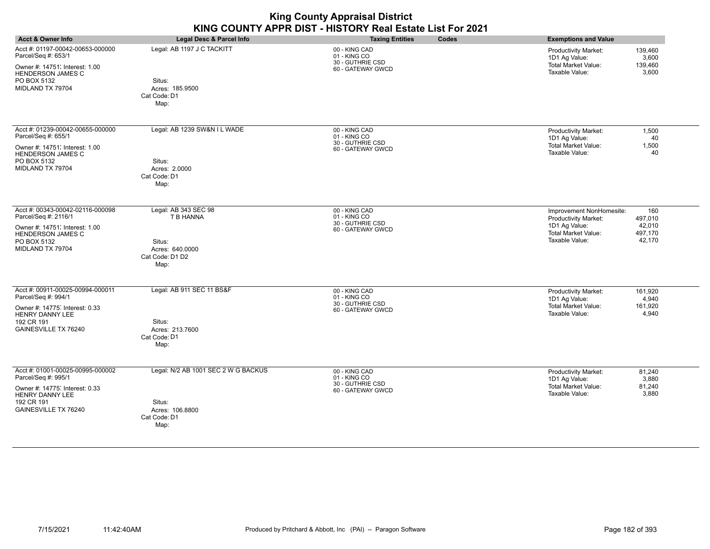|                                                                                                                                                           |                                                                                           | <b>King County Appraisal District</b><br>KING COUNTY APPR DIST - HISTORY Real Estate List For 2021 |       |                                                                                                                   |                                               |
|-----------------------------------------------------------------------------------------------------------------------------------------------------------|-------------------------------------------------------------------------------------------|----------------------------------------------------------------------------------------------------|-------|-------------------------------------------------------------------------------------------------------------------|-----------------------------------------------|
| <b>Acct &amp; Owner Info</b>                                                                                                                              | Legal Desc & Parcel Info                                                                  | <b>Taxing Entities</b>                                                                             | Codes | <b>Exemptions and Value</b>                                                                                       |                                               |
| Acct #: 01197-00042-00653-000000<br>Parcel/Seq #: 653/1<br>Owner #: 14751; Interest: 1.00<br><b>HENDERSON JAMES C</b><br>PO BOX 5132<br>MIDLAND TX 79704  | Legal: AB 1197 J C TACKITT<br>Situs:<br>Acres: 185.9500<br>Cat Code: D1<br>Map:           | 00 - KING CAD<br>01 - KING CO<br>30 - GUTHRIE CSD<br>60 - GATEWAY GWCD                             |       | <b>Productivity Market:</b><br>1D1 Ag Value:<br><b>Total Market Value:</b><br>Taxable Value:                      | 139,460<br>3.600<br>139.460<br>3,600          |
| Acct #: 01239-00042-00655-000000<br>Parcel/Seq #: 655/1<br>Owner #: 14751; Interest: 1.00<br><b>HENDERSON JAMES C</b><br>PO BOX 5132<br>MIDLAND TX 79704  | Legal: AB 1239 SW&N I L WADE<br>Situs:<br>Acres: 2.0000<br>Cat Code: D1<br>Map:           | 00 - KING CAD<br>01 - KING CO<br>30 - GUTHRIE CSD<br>60 - GATEWAY GWCD                             |       | Productivity Market:<br>1D1 Ag Value:<br><b>Total Market Value:</b><br>Taxable Value:                             | 1,500<br>40<br>1,500<br>40                    |
| Acct #: 00343-00042-02116-000098<br>Parcel/Seq #: 2116/1<br>Owner #: 14751; Interest: 1.00<br><b>HENDERSON JAMES C</b><br>PO BOX 5132<br>MIDLAND TX 79704 | Legal: AB 343 SEC 98<br>T B HANNA<br>Situs:<br>Acres: 640.0000<br>Cat Code: D1 D2<br>Map: | 00 - KING CAD<br>01 - KING CO<br>30 - GUTHRIE CSD<br>60 - GATEWAY GWCD                             |       | Improvement NonHomesite:<br>Productivity Market:<br>1D1 Ag Value:<br><b>Total Market Value:</b><br>Taxable Value: | 160<br>497,010<br>42,010<br>497,170<br>42,170 |
| Acct #: 00911-00025-00994-000011<br>Parcel/Seq #: 994/1<br>Owner #: 14775, Interest: 0.33<br><b>HENRY DANNY LEE</b><br>192 CR 191<br>GAINESVILLE TX 76240 | Legal: AB 911 SEC 11 BS&F<br>Situs:<br>Acres: 213.7600<br>Cat Code: D1<br>Map:            | 00 - KING CAD<br>01 - KING CO<br>30 - GUTHRIE CSD<br>60 - GATEWAY GWCD                             |       | Productivity Market:<br>1D1 Ag Value:<br><b>Total Market Value:</b><br>Taxable Value:                             | 161,920<br>4.940<br>161,920<br>4,940          |
| Acct #: 01001-00025-00995-000002<br>Parcel/Seq #: 995/1<br>Owner #: 14775, Interest: 0.33<br>HENRY DANNY LEE<br>192 CR 191<br>GAINESVILLE TX 76240        | Legal: N/2 AB 1001 SEC 2 W G BACKUS<br>Situs:<br>Acres: 106.8800<br>Cat Code: D1<br>Map:  | 00 - KING CAD<br>01 - KING CO<br>30 - GUTHRIE CSD<br>60 - GATEWAY GWCD                             |       | Productivity Market:<br>1D1 Ag Value:<br><b>Total Market Value:</b><br>Taxable Value:                             | 81,240<br>3,880<br>81,240<br>3.880            |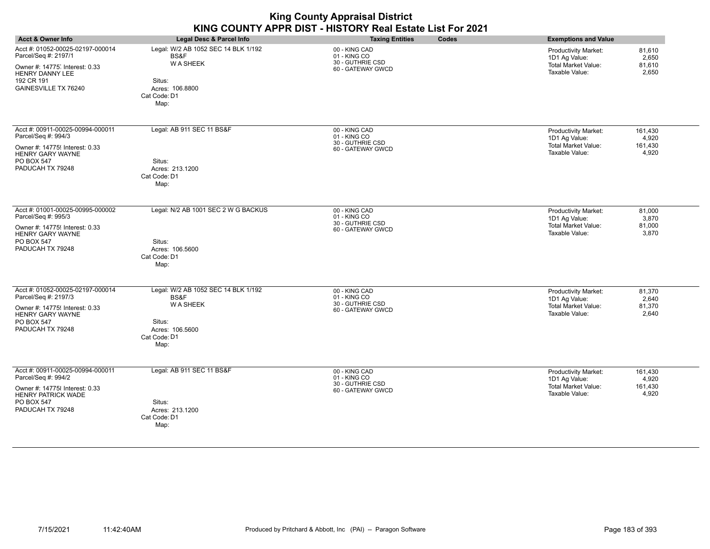|                                                                                                                                                            |                                                                                                                     | <b>King County Appraisal District</b><br>KING COUNTY APPR DIST - HISTORY Real Estate List For 2021 |                                                                                                                                      |
|------------------------------------------------------------------------------------------------------------------------------------------------------------|---------------------------------------------------------------------------------------------------------------------|----------------------------------------------------------------------------------------------------|--------------------------------------------------------------------------------------------------------------------------------------|
| <b>Acct &amp; Owner Info</b>                                                                                                                               | Legal Desc & Parcel Info                                                                                            | <b>Taxing Entities</b><br>Codes                                                                    | <b>Exemptions and Value</b>                                                                                                          |
| Acct #: 01052-00025-02197-000014<br>Parcel/Seq #: 2197/1<br>Owner #: 14775, Interest: 0.33<br><b>HENRY DANNY LEE</b><br>192 CR 191<br>GAINESVILLE TX 76240 | Legal: W/2 AB 1052 SEC 14 BLK 1/192<br>BS&F<br><b>WA SHEEK</b><br>Situs:<br>Acres: 106.8800<br>Cat Code: D1<br>Map: | 00 - KING CAD<br>01 - KING CO<br>30 - GUTHRIE CSD<br>60 - GATEWAY GWCD                             | <b>Productivity Market:</b><br>81,610<br>1D1 Ag Value:<br>2,650<br><b>Total Market Value:</b><br>81,610<br>Taxable Value:<br>2,650   |
| Acct #: 00911-00025-00994-000011<br>Parcel/Seq #: 994/3<br>Owner #: 14775! Interest: 0.33<br><b>HENRY GARY WAYNE</b><br>PO BOX 547<br>PADUCAH TX 79248     | Legal: AB 911 SEC 11 BS&F<br>Situs:<br>Acres: 213.1200<br>Cat Code: D1<br>Map:                                      | 00 - KING CAD<br>01 - KING CO<br>30 - GUTHRIE CSD<br>60 - GATEWAY GWCD                             | Productivity Market:<br>161,430<br>1D1 Ag Value:<br>4,920<br><b>Total Market Value:</b><br>161,430<br>Taxable Value:<br>4,920        |
| Acct #: 01001-00025-00995-000002<br>Parcel/Seq #: 995/3<br>Owner #: 14775! Interest: 0.33<br>HENRY GARY WAYNE<br><b>PO BOX 547</b><br>PADUCAH TX 79248     | Legal: N/2 AB 1001 SEC 2 W G BACKUS<br>Situs:<br>Acres: 106.5600<br>Cat Code: D1<br>Map:                            | 00 - KING CAD<br>01 - KING CO<br>30 - GUTHRIE CSD<br>60 - GATEWAY GWCD                             | <b>Productivity Market:</b><br>81,000<br>1D1 Ag Value:<br>3.870<br>Total Market Value:<br>81,000<br>Taxable Value:<br>3.870          |
| Acct #: 01052-00025-02197-000014<br>Parcel/Seq #: 2197/3<br>Owner #: 14775{ Interest: 0.33<br>HENRY GARY WAYNE<br><b>PO BOX 547</b><br>PADUCAH TX 79248    | Legal: W/2 AB 1052 SEC 14 BLK 1/192<br>BS&F<br><b>WA SHEEK</b><br>Situs:<br>Acres: 106.5600<br>Cat Code: D1<br>Map: | 00 - KING CAD<br>01 - KING CO<br>30 - GUTHRIE CSD<br>60 - GATEWAY GWCD                             | <b>Productivity Market:</b><br>81,370<br>1D1 Ag Value:<br>2,640<br><b>Total Market Value:</b><br>81,370<br>Taxable Value:<br>2.640   |
| Acct #: 00911-00025-00994-000011<br>Parcel/Seq #: 994/2<br>Owner #: 14775 {Interest: 0.33<br>HENRY PATRICK WADE<br><b>PO BOX 547</b><br>PADUCAH TX 79248   | Legal: AB 911 SEC 11 BS&F<br>Situs:<br>Acres: 213.1200<br>Cat Code: D1<br>Map:                                      | 00 - KING CAD<br>01 - KING CO<br>30 - GUTHRIE CSD<br>60 - GATEWAY GWCD                             | <b>Productivity Market:</b><br>161,430<br>1D1 Ag Value:<br>4,920<br><b>Total Market Value:</b><br>161,430<br>Taxable Value:<br>4,920 |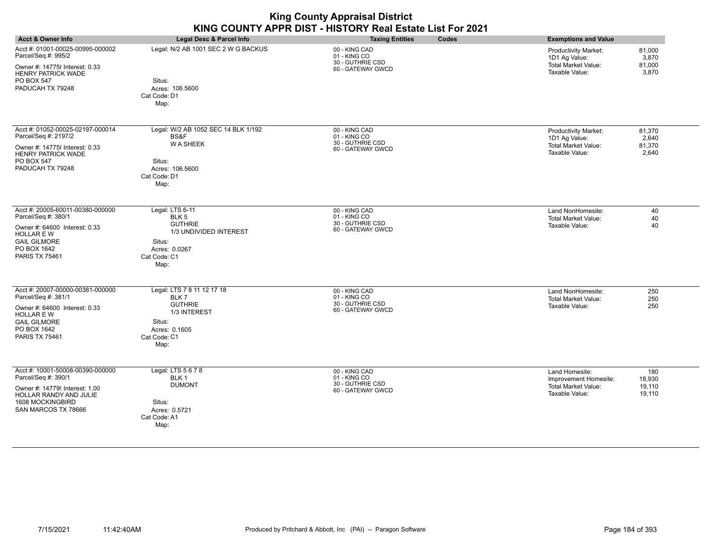| <b>Acct &amp; Owner Info</b>                                                                                                                                                 | <b>Legal Desc &amp; Parcel Info</b>                                                                                                | <b>Taxing Entities</b><br>Codes                                        | <b>Exemptions and Value</b>                                                                                                        |
|------------------------------------------------------------------------------------------------------------------------------------------------------------------------------|------------------------------------------------------------------------------------------------------------------------------------|------------------------------------------------------------------------|------------------------------------------------------------------------------------------------------------------------------------|
| Acct #: 01001-00025-00995-000002<br>Parcel/Seq #: 995/2<br>Owner #: 14775 {Interest: 0.33<br><b>HENRY PATRICK WADE</b><br>PO BOX 547<br>PADUCAH TX 79248                     | Legal: N/2 AB 1001 SEC 2 W G BACKUS<br>Situs:<br>Acres: 106.5600<br>Cat Code: D1<br>Map:                                           | 00 - KING CAD<br>01 - KING CO<br>30 - GUTHRIE CSD<br>60 - GATEWAY GWCD | 81,000<br><b>Productivity Market:</b><br>1D1 Ag Value:<br>3,870<br><b>Total Market Value:</b><br>81,000<br>Taxable Value:<br>3,870 |
| Acct #: 01052-00025-02197-000014<br>Parcel/Seq #: 2197/2<br>Owner #: 14775 { Interest: 0.33<br><b>HENRY PATRICK WADE</b><br>PO BOX 547<br>PADUCAH TX 79248                   | Legal: W/2 AB 1052 SEC 14 BLK 1/192<br>BS&F<br><b>WA SHEEK</b><br>Situs:<br>Acres: 106.5600<br>Cat Code: D1<br>Map:                | 00 - KING CAD<br>01 - KING CO<br>30 - GUTHRIE CSD<br>60 - GATEWAY GWCD | 81,370<br><b>Productivity Market:</b><br>1D1 Ag Value:<br>2.640<br>Total Market Value:<br>81,370<br>Taxable Value:<br>2,640        |
| Acct #: 20005-60011-00380-000000<br>Parcel/Seq #: 380/1<br>Owner #: 64600 Interest: 0.33<br><b>HOLLAR E W</b><br><b>GAIL GILMORE</b><br>PO BOX 1642<br><b>PARIS TX 75461</b> | Legal: LTS 6-11<br>BLK <sub>5</sub><br><b>GUTHRIE</b><br>1/3 UNDIVIDED INTEREST<br>Situs:<br>Acres: 0.0267<br>Cat Code: C1<br>Map: | 00 - KING CAD<br>01 - KING CO<br>30 - GUTHRIE CSD<br>60 - GATEWAY GWCD | Land NonHomesite:<br>40<br>40<br><b>Total Market Value:</b><br>40<br>Taxable Value:                                                |
| Acct #: 20007-00000-00381-000000<br>Parcel/Seq #: 381/1<br>Owner #: 64600 Interest: 0.33<br><b>HOLLAR E W</b><br><b>GAIL GILMORE</b><br>PO BOX 1642<br><b>PARIS TX 75461</b> | Legal: LTS 7 8 11 12 17 18<br>BLK7<br><b>GUTHRIE</b><br>1/3 INTEREST<br>Situs:<br>Acres: 0.1605<br>Cat Code: C1<br>Map:            | 00 - KING CAD<br>01 - KING CO<br>30 - GUTHRIE CSD<br>60 - GATEWAY GWCD | Land NonHomesite:<br>250<br><b>Total Market Value:</b><br>250<br>250<br>Taxable Value:                                             |
| Acct #: 10001-50008-00390-000000<br>Parcel/Seq #: 390/1<br>Owner #: 14779! Interest: 1.00<br>HOLLAR RANDY AND JULIE<br>1608 MOCKINGBIRD<br>SAN MARCOS TX 78666               | Legal: LTS 5 6 7 8<br>BLK 1<br><b>DUMONT</b><br>Situs:<br>Acres: 0.5721<br>Cat Code: A1<br>Map:                                    | 00 - KING CAD<br>01 - KING CO<br>30 - GUTHRIE CSD<br>60 - GATEWAY GWCD | Land Homesite:<br>180<br>Improvement Homesite:<br>18,930<br><b>Total Market Value:</b><br>19,110<br>Taxable Value:<br>19,110       |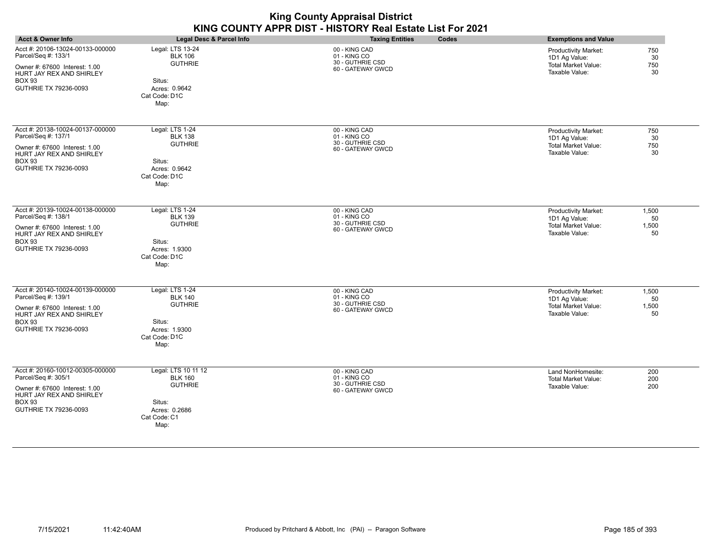|                                                                                                                                                                |                                                                                                            | <b>King County Appraisal District</b><br>KING COUNTY APPR DIST - HISTORY Real Estate List For 2021 |                                                                                                                     |
|----------------------------------------------------------------------------------------------------------------------------------------------------------------|------------------------------------------------------------------------------------------------------------|----------------------------------------------------------------------------------------------------|---------------------------------------------------------------------------------------------------------------------|
| <b>Acct &amp; Owner Info</b>                                                                                                                                   | Legal Desc & Parcel Info                                                                                   | Codes<br><b>Taxing Entities</b>                                                                    | <b>Exemptions and Value</b>                                                                                         |
| Acct #: 20106-13024-00133-000000<br>Parcel/Seq #: 133/1<br>Owner #: 67600 Interest: 1.00<br>HURT JAY REX AND SHIRLEY<br><b>BOX 93</b><br>GUTHRIE TX 79236-0093 | Legal: LTS 13-24<br><b>BLK 106</b><br><b>GUTHRIE</b><br>Situs:<br>Acres: 0.9642<br>Cat Code: D1C<br>Map:   | 00 - KING CAD<br>01 - KING CO<br>30 - GUTHRIE CSD<br>60 - GATEWAY GWCD                             | Productivity Market:<br>750<br>30<br>1D1 Ag Value:<br><b>Total Market Value:</b><br>750<br>Taxable Value:<br>30     |
| Acct #: 20138-10024-00137-000000<br>Parcel/Seq #: 137/1<br>Owner #: 67600 Interest: 1.00<br>HURT JAY REX AND SHIRLEY<br><b>BOX 93</b><br>GUTHRIE TX 79236-0093 | Legal: LTS 1-24<br><b>BLK 138</b><br><b>GUTHRIE</b><br>Situs:<br>Acres: 0.9642<br>Cat Code: D1C<br>Map:    | 00 - KING CAD<br>01 - KING CO<br>30 - GUTHRIE CSD<br>60 - GATEWAY GWCD                             | 750<br>Productivity Market:<br>1D1 Ag Value:<br>30<br><b>Total Market Value:</b><br>750<br>Taxable Value:<br>30     |
| Acct #: 20139-10024-00138-000000<br>Parcel/Seq #: 138/1<br>Owner #: 67600 Interest: 1.00<br>HURT JAY REX AND SHIRLEY<br><b>BOX 93</b><br>GUTHRIE TX 79236-0093 | Legal: LTS 1-24<br><b>BLK 139</b><br><b>GUTHRIE</b><br>Situs:<br>Acres: 1.9300<br>Cat Code: D1C<br>Map:    | 00 - KING CAD<br>01 - KING CO<br>30 - GUTHRIE CSD<br>60 - GATEWAY GWCD                             | Productivity Market:<br>1,500<br>1D1 Ag Value:<br>50<br><b>Total Market Value:</b><br>1,500<br>Taxable Value:<br>50 |
| Acct #: 20140-10024-00139-000000<br>Parcel/Seq #: 139/1<br>Owner #: 67600 Interest: 1.00<br>HURT JAY REX AND SHIRLEY<br><b>BOX 93</b><br>GUTHRIE TX 79236-0093 | Legal: LTS 1-24<br><b>BLK 140</b><br><b>GUTHRIE</b><br>Situs:<br>Acres: 1.9300<br>Cat Code: D1C<br>Map:    | 00 - KING CAD<br>01 - KING CO<br>30 - GUTHRIE CSD<br>60 - GATEWAY GWCD                             | 1,500<br>Productivity Market:<br>1D1 Ag Value:<br>50<br><b>Total Market Value:</b><br>1,500<br>Taxable Value:<br>50 |
| Acct #: 20160-10012-00305-000000<br>Parcel/Seq #: 305/1<br>Owner #: 67600 Interest: 1.00<br>HURT JAY REX AND SHIRLEY<br><b>BOX 93</b><br>GUTHRIE TX 79236-0093 | Legal: LTS 10 11 12<br><b>BLK 160</b><br><b>GUTHRIE</b><br>Situs:<br>Acres: 0.2686<br>Cat Code: C1<br>Map: | 00 - KING CAD<br>01 - KING CO<br>30 - GUTHRIE CSD<br>60 - GATEWAY GWCD                             | Land NonHomesite:<br>200<br><b>Total Market Value:</b><br>200<br>Taxable Value:<br>200                              |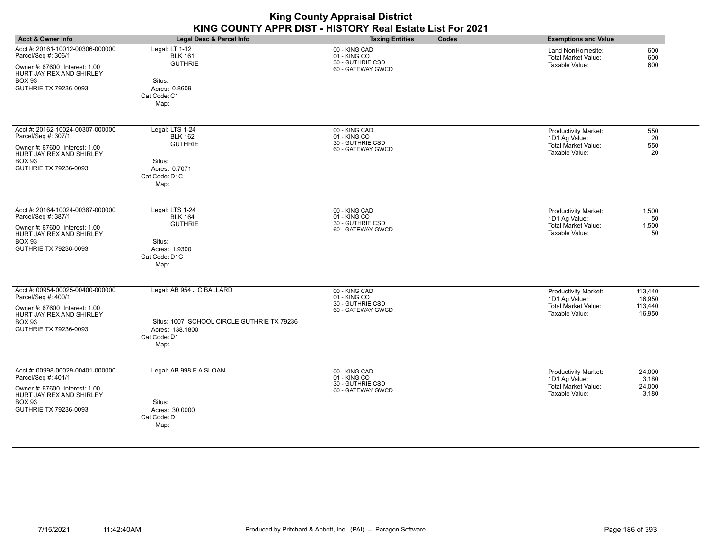|                                                                                                                                                                |                                                                                                                    | <b>King County Appraisal District</b><br>KING COUNTY APPR DIST - HISTORY Real Estate List For 2021 |       |                                                                                              |                                        |
|----------------------------------------------------------------------------------------------------------------------------------------------------------------|--------------------------------------------------------------------------------------------------------------------|----------------------------------------------------------------------------------------------------|-------|----------------------------------------------------------------------------------------------|----------------------------------------|
| <b>Acct &amp; Owner Info</b>                                                                                                                                   | Legal Desc & Parcel Info                                                                                           | <b>Taxing Entities</b>                                                                             | Codes | <b>Exemptions and Value</b>                                                                  |                                        |
| Acct #: 20161-10012-00306-000000<br>Parcel/Seq #: 306/1<br>Owner #: 67600 Interest: 1.00<br>HURT JAY REX AND SHIRLEY<br><b>BOX 93</b><br>GUTHRIE TX 79236-0093 | Legal: LT 1-12<br><b>BLK 161</b><br><b>GUTHRIE</b><br>Situs:<br>Acres: 0.8609<br>Cat Code: C1<br>Map:              | 00 - KING CAD<br>01 - KING CO<br>30 - GUTHRIE CSD<br>60 - GATEWAY GWCD                             |       | Land NonHomesite:<br>Total Market Value:<br>Taxable Value:                                   | 600<br>600<br>600                      |
| Acct #: 20162-10024-00307-000000<br>Parcel/Seq #: 307/1<br>Owner #: 67600 Interest: 1.00<br>HURT JAY REX AND SHIRLEY<br><b>BOX 93</b><br>GUTHRIE TX 79236-0093 | Legal: LTS 1-24<br><b>BLK 162</b><br><b>GUTHRIE</b><br>Situs:<br>Acres: 0.7071<br>Cat Code: D1C<br>Map:            | 00 - KING CAD<br>01 - KING CO<br>30 - GUTHRIE CSD<br>60 - GATEWAY GWCD                             |       | <b>Productivity Market:</b><br>1D1 Ag Value:<br><b>Total Market Value:</b><br>Taxable Value: | 550<br>20<br>550<br>20                 |
| Acct #: 20164-10024-00387-000000<br>Parcel/Seq #: 387/1<br>Owner #: 67600 Interest: 1.00<br>HURT JAY REX AND SHIRLEY<br><b>BOX 93</b><br>GUTHRIE TX 79236-0093 | Legal: LTS 1-24<br><b>BLK 164</b><br><b>GUTHRIE</b><br>Situs:<br>Acres: 1.9300<br>Cat Code: D1C<br>Map:            | 00 - KING CAD<br>01 - KING CO<br>30 - GUTHRIE CSD<br>60 - GATEWAY GWCD                             |       | <b>Productivity Market:</b><br>1D1 Ag Value:<br><b>Total Market Value:</b><br>Taxable Value: | 1,500<br>50<br>1,500<br>50             |
| Acct #: 00954-00025-00400-000000<br>Parcel/Seq #: 400/1<br>Owner #: 67600 Interest: 1.00<br>HURT JAY REX AND SHIRLEY<br><b>BOX 93</b><br>GUTHRIE TX 79236-0093 | Legal: AB 954 J C BALLARD<br>Situs: 1007 SCHOOL CIRCLE GUTHRIE TX 79236<br>Acres: 138.1800<br>Cat Code: D1<br>Map: | 00 - KING CAD<br>01 - KING CO<br>30 - GUTHRIE CSD<br>60 - GATEWAY GWCD                             |       | <b>Productivity Market:</b><br>1D1 Ag Value:<br><b>Total Market Value:</b><br>Taxable Value: | 113.440<br>16.950<br>113,440<br>16,950 |
| Acct #: 00998-00029-00401-000000<br>Parcel/Seq #: 401/1<br>Owner #: 67600 Interest: 1.00<br>HURT JAY REX AND SHIRLEY<br><b>BOX 93</b><br>GUTHRIE TX 79236-0093 | Legal: AB 998 E A SLOAN<br>Situs:<br>Acres: 30.0000<br>Cat Code: D1<br>Map:                                        | 00 - KING CAD<br>01 - KING CO<br>30 - GUTHRIE CSD<br>60 - GATEWAY GWCD                             |       | <b>Productivity Market:</b><br>1D1 Ag Value:<br>Total Market Value:<br>Taxable Value:        | 24.000<br>3.180<br>24,000<br>3,180     |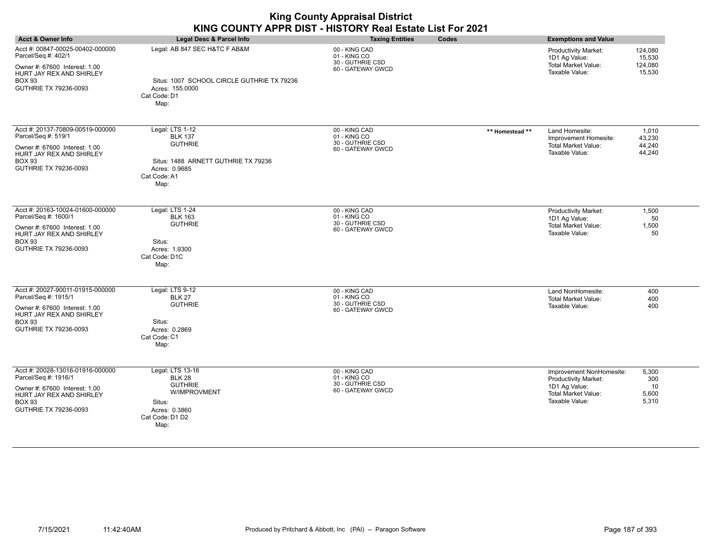| <b>Acct &amp; Owner Info</b>                                                                                                                                    | Legal Desc & Parcel Info                                                                                                            | <b>Taxing Entities</b>                                                 | Codes           | <b>Exemptions and Value</b>                                                                                       |                                        |
|-----------------------------------------------------------------------------------------------------------------------------------------------------------------|-------------------------------------------------------------------------------------------------------------------------------------|------------------------------------------------------------------------|-----------------|-------------------------------------------------------------------------------------------------------------------|----------------------------------------|
| Acct #: 00847-00025-00402-000000<br>Parcel/Seq #: 402/1<br>Owner #: 67600 Interest: 1.00<br>HURT JAY REX AND SHIRLEY<br><b>BOX 93</b><br>GUTHRIE TX 79236-0093  | Legal: AB 847 SEC H&TC F AB&M<br>Situs: 1007 SCHOOL CIRCLE GUTHRIE TX 79236<br>Acres: 155.0000<br>Cat Code: D1<br>Map:              | 00 - KING CAD<br>01 - KING CO<br>30 - GUTHRIE CSD<br>60 - GATEWAY GWCD |                 | <b>Productivity Market:</b><br>1D1 Ag Value:<br><b>Total Market Value:</b><br>Taxable Value:                      | 124,080<br>15,530<br>124,080<br>15,530 |
| Acct #: 20137-70809-00519-000000<br>Parcel/Seq #: 519/1<br>Owner #: 67600 Interest: 1.00<br>HURT JAY REX AND SHIRLEY<br><b>BOX 93</b><br>GUTHRIE TX 79236-0093  | Legal: LTS 1-12<br><b>BLK 137</b><br><b>GUTHRIE</b><br>Situs: 1488 ARNETT GUTHRIE TX 79236<br>Acres: 0.9685<br>Cat Code: A1<br>Map: | 00 - KING CAD<br>01 - KING CO<br>30 - GUTHRIE CSD<br>60 - GATEWAY GWCD | ** Homestead ** | Land Homesite:<br>Improvement Homesite:<br><b>Total Market Value:</b><br>Taxable Value:                           | 1,010<br>43,230<br>44,240<br>44,240    |
| Acct #: 20163-10024-01600-000000<br>Parcel/Seq #: 1600/1<br>Owner #: 67600 Interest: 1.00<br>HURT JAY REX AND SHIRLEY<br><b>BOX 93</b><br>GUTHRIE TX 79236-0093 | Legal: LTS 1-24<br><b>BLK 163</b><br><b>GUTHRIE</b><br>Situs:<br>Acres: 1.9300<br>Cat Code: D1C<br>Map:                             | 00 - KING CAD<br>01 - KING CO<br>30 - GUTHRIE CSD<br>60 - GATEWAY GWCD |                 | Productivity Market:<br>1D1 Ag Value:<br><b>Total Market Value:</b><br>Taxable Value:                             | 1,500<br>50<br>1,500<br>50             |
| Acct #: 20027-90011-01915-000000<br>Parcel/Seq #: 1915/1<br>Owner #: 67600 Interest: 1.00<br>HURT JAY REX AND SHIRLEY<br><b>BOX 93</b><br>GUTHRIE TX 79236-0093 | Legal: LTS 9-12<br><b>BLK 27</b><br><b>GUTHRIE</b><br>Situs:<br>Acres: 0.2869<br>Cat Code: C1<br>Map:                               | 00 - KING CAD<br>01 - KING CO<br>30 - GUTHRIE CSD<br>60 - GATEWAY GWCD |                 | Land NonHomesite:<br><b>Total Market Value:</b><br>Taxable Value:                                                 | 400<br>400<br>400                      |
| Acct #: 20028-13016-01916-000000<br>Parcel/Seq #: 1916/1<br>Owner #: 67600 Interest: 1.00<br>HURT JAY REX AND SHIRLEY<br><b>BOX 93</b><br>GUTHRIE TX 79236-0093 | Legal: LTS 13-16<br><b>BLK 28</b><br><b>GUTHRIE</b><br>W/IMPROVMENT<br>Situs:<br>Acres: 0.3860<br>Cat Code: D1 D2<br>Map:           | 00 - KING CAD<br>01 - KING CO<br>30 - GUTHRIE CSD<br>60 - GATEWAY GWCD |                 | Improvement NonHomesite:<br>Productivity Market:<br>1D1 Ag Value:<br><b>Total Market Value:</b><br>Taxable Value: | 5,300<br>300<br>10<br>5,600<br>5,310   |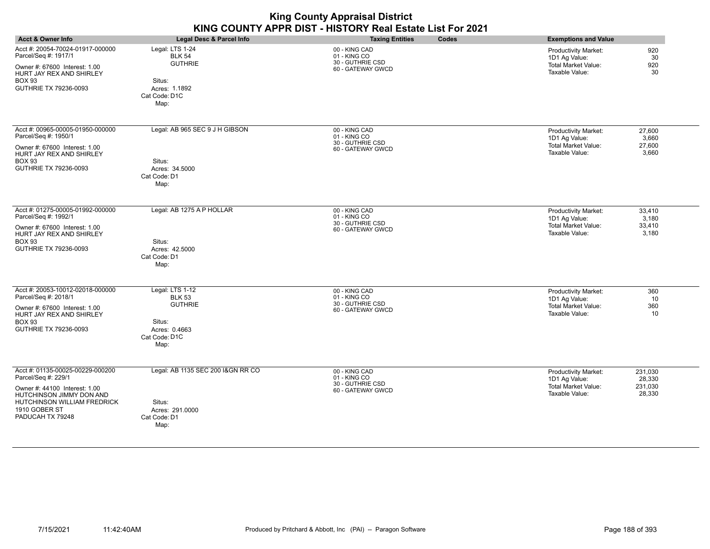|                                                                                                                                                                                          |                                                                                                        | <b>King County Appraisal District</b><br>KING COUNTY APPR DIST - HISTORY Real Estate List For 2021 |                                                                                                                             |
|------------------------------------------------------------------------------------------------------------------------------------------------------------------------------------------|--------------------------------------------------------------------------------------------------------|----------------------------------------------------------------------------------------------------|-----------------------------------------------------------------------------------------------------------------------------|
| <b>Acct &amp; Owner Info</b>                                                                                                                                                             | Legal Desc & Parcel Info                                                                               | <b>Taxing Entities</b><br>Codes                                                                    | <b>Exemptions and Value</b>                                                                                                 |
| Acct #: 20054-70024-01917-000000<br>Parcel/Seq #: 1917/1<br>Owner #: 67600 Interest: 1.00<br>HURT JAY REX AND SHIRLEY<br><b>BOX 93</b><br>GUTHRIE TX 79236-0093                          | Legal: LTS 1-24<br><b>BLK 54</b><br><b>GUTHRIE</b><br>Situs:<br>Acres: 1.1892<br>Cat Code: D1C<br>Map: | 00 - KING CAD<br>01 - KING CO<br>30 - GUTHRIE CSD<br>60 - GATEWAY GWCD                             | <b>Productivity Market:</b><br>920<br>1D1 Ag Value:<br>30<br>920<br><b>Total Market Value:</b><br>Taxable Value:<br>30      |
| Acct #: 00965-00005-01950-000000<br>Parcel/Seq #: 1950/1<br>Owner #: 67600 Interest: 1.00<br>HURT JAY REX AND SHIRLEY<br><b>BOX 93</b><br>GUTHRIE TX 79236-0093                          | Legal: AB 965 SEC 9 J H GIBSON<br>Situs:<br>Acres: 34.5000<br>Cat Code: D1<br>Map:                     | 00 - KING CAD<br>01 - KING CO<br>30 - GUTHRIE CSD<br>60 - GATEWAY GWCD                             | 27,600<br>Productivity Market:<br>1D1 Ag Value:<br>3,660<br><b>Total Market Value:</b><br>27,600<br>Taxable Value:<br>3,660 |
| Acct #: 01275-00005-01992-000000<br>Parcel/Seq #: 1992/1<br>Owner #: 67600 Interest: 1.00<br>HURT JAY REX AND SHIRLEY<br><b>BOX 93</b><br>GUTHRIE TX 79236-0093                          | Legal: AB 1275 A P HOLLAR<br>Situs:<br>Acres: 42,5000<br>Cat Code: D1<br>Map:                          | 00 - KING CAD<br>01 - KING CO<br>30 - GUTHRIE CSD<br>60 - GATEWAY GWCD                             | 33,410<br>Productivity Market:<br>1D1 Ag Value:<br>3,180<br><b>Total Market Value:</b><br>33,410<br>Taxable Value:<br>3,180 |
| Acct #: 20053-10012-02018-000000<br>Parcel/Seq #: 2018/1<br>Owner #: 67600 Interest: 1.00<br>HURT JAY REX AND SHIRLEY<br><b>BOX 93</b><br>GUTHRIE TX 79236-0093                          | Legal: LTS 1-12<br><b>BLK 53</b><br><b>GUTHRIE</b><br>Situs:<br>Acres: 0.4663<br>Cat Code: D1C<br>Map: | 00 - KING CAD<br>01 - KING CO<br>30 - GUTHRIE CSD<br>60 - GATEWAY GWCD                             | Productivity Market:<br>360<br>1D1 Ag Value:<br>10<br><b>Total Market Value:</b><br>360<br>Taxable Value:<br>10             |
| Acct #: 01135-00025-00229-000200<br>Parcel/Seq #: 229/1<br>Owner #: 44100 Interest: 1.00<br>HUTCHINSON JIMMY DON AND<br>HUTCHINSON WILLIAM FREDRICK<br>1910 GOBER ST<br>PADUCAH TX 79248 | Legal: AB 1135 SEC 200 I&GN RR CO<br>Situs:<br>Acres: 291.0000<br>Cat Code: D1<br>Map:                 | 00 - KING CAD<br>01 - KING CO<br>30 - GUTHRIE CSD<br>60 - GATEWAY GWCD                             | Productivity Market:<br>231,030<br>1D1 Ag Value:<br>28,330<br>Total Market Value:<br>231,030<br>Taxable Value:<br>28,330    |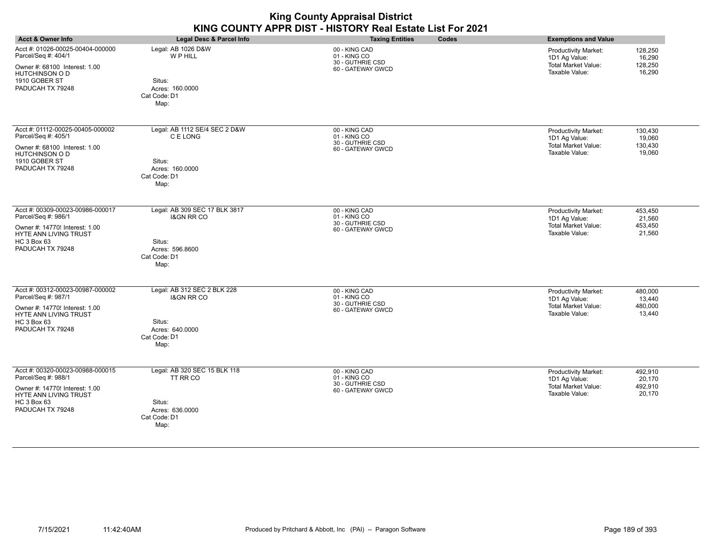|                                                                                                                                                                     |                                                                                                             | <b>King County Appraisal District</b><br>KING COUNTY APPR DIST - HISTORY Real Estate List For 2021 |                                                                                                                                        |
|---------------------------------------------------------------------------------------------------------------------------------------------------------------------|-------------------------------------------------------------------------------------------------------------|----------------------------------------------------------------------------------------------------|----------------------------------------------------------------------------------------------------------------------------------------|
| <b>Acct &amp; Owner Info</b>                                                                                                                                        | <b>Legal Desc &amp; Parcel Info</b>                                                                         | Codes<br><b>Taxing Entities</b>                                                                    | <b>Exemptions and Value</b>                                                                                                            |
| Acct #: 01026-00025-00404-000000<br>Parcel/Seq #: 404/1<br>Owner #: 68100 Interest: 1.00<br><b>HUTCHINSON OD</b><br>1910 GOBER ST<br>PADUCAH TX 79248               | Legal: AB 1026 D&W<br>W P HILL<br>Situs:<br>Acres: 160,0000<br>Cat Code: D1<br>Map:                         | 00 - KING CAD<br>01 - KING CO<br>30 - GUTHRIE CSD<br>60 - GATEWAY GWCD                             | <b>Productivity Market:</b><br>128.250<br>1D1 Ag Value:<br>16,290<br><b>Total Market Value:</b><br>128,250<br>Taxable Value:<br>16,290 |
| Acct #: 01112-00025-00405-000002<br>Parcel/Seq #: 405/1<br>Owner #: 68100 Interest: 1.00<br>HUTCHINSON O D<br>1910 GOBER ST<br>PADUCAH TX 79248                     | Legal: AB 1112 SE/4 SEC 2 D&W<br>C E LONG<br>Situs:<br>Acres: 160,0000<br>Cat Code: D1<br>Map:              | 00 - KING CAD<br>01 - KING CO<br>30 - GUTHRIE CSD<br>60 - GATEWAY GWCD                             | Productivity Market:<br>130,430<br>1D1 Ag Value:<br>19,060<br><b>Total Market Value:</b><br>130,430<br>Taxable Value:<br>19,060        |
| Acct #: 00309-00023-00986-000017<br>Parcel/Seq #: 986/1<br>Owner #: 14770! Interest: 1.00<br><b>HYTE ANN LIVING TRUST</b><br><b>HC 3 Box 63</b><br>PADUCAH TX 79248 | Legal: AB 309 SEC 17 BLK 3817<br><b>I&amp;GN RR CO</b><br>Situs:<br>Acres: 596.8600<br>Cat Code: D1<br>Map: | 00 - KING CAD<br>01 - KING CO<br>30 - GUTHRIE CSD<br>60 - GATEWAY GWCD                             | <b>Productivity Market:</b><br>453,450<br>1D1 Ag Value:<br>21,560<br><b>Total Market Value:</b><br>453,450<br>Taxable Value:<br>21,560 |
| Acct #: 00312-00023-00987-000002<br>Parcel/Seq #: 987/1<br>Owner #: 14770! Interest: 1.00<br><b>HYTE ANN LIVING TRUST</b><br><b>HC 3 Box 63</b><br>PADUCAH TX 79248 | Legal: AB 312 SEC 2 BLK 228<br><b>I&amp;GN RR CO</b><br>Situs:<br>Acres: 640.0000<br>Cat Code: D1<br>Map:   | 00 - KING CAD<br>01 - KING CO<br>30 - GUTHRIE CSD<br>60 - GATEWAY GWCD                             | <b>Productivity Market:</b><br>480,000<br>1D1 Ag Value:<br>13.440<br>Total Market Value:<br>480.000<br>Taxable Value:<br>13,440        |
| Acct #: 00320-00023-00988-000015<br>Parcel/Seq #: 988/1<br>Owner #: 14770! Interest: 1.00<br>HYTE ANN LIVING TRUST<br><b>HC 3 Box 63</b><br>PADUCAH TX 79248        | Legal: AB 320 SEC 15 BLK 118<br>TT RR CO<br>Situs:<br>Acres: 636.0000<br>Cat Code: D1<br>Map:               | 00 - KING CAD<br>01 - KING CO<br>30 - GUTHRIE CSD<br>60 - GATEWAY GWCD                             | <b>Productivity Market:</b><br>492,910<br>1D1 Ag Value:<br>20.170<br><b>Total Market Value:</b><br>492.910<br>Taxable Value:<br>20.170 |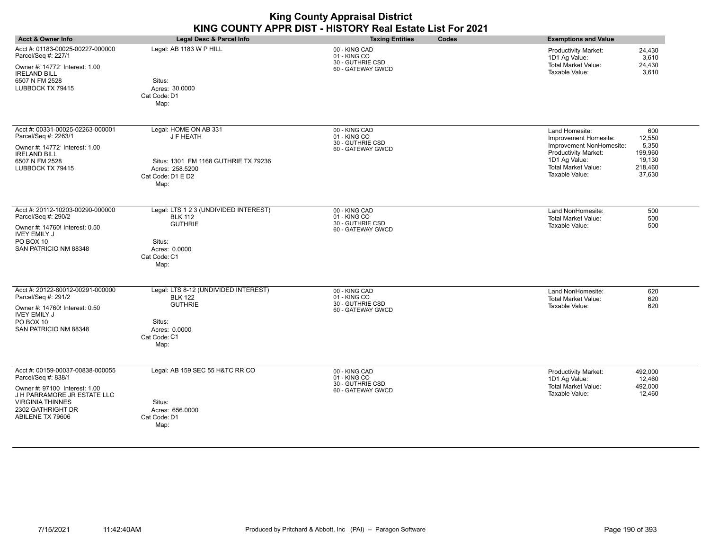| <b>Acct &amp; Owner Info</b>                                                                                                                                                                | <b>Legal Desc &amp; Parcel Info</b>                                                                                          | <b>Taxing Entities</b><br>Codes                                        | <b>Exemptions and Value</b>                                                                                                                                                                                               |
|---------------------------------------------------------------------------------------------------------------------------------------------------------------------------------------------|------------------------------------------------------------------------------------------------------------------------------|------------------------------------------------------------------------|---------------------------------------------------------------------------------------------------------------------------------------------------------------------------------------------------------------------------|
| Acct #: 01183-00025-00227-000000<br>Parcel/Seq #: 227/1<br>Owner #: 14772' Interest: 1.00<br><b>IRELAND BILL</b><br>6507 N FM 2528<br>LUBBOCK TX 79415                                      | Legal: AB 1183 W P HILL<br>Situs:<br>Acres: 30.0000<br>Cat Code: D1<br>Map:                                                  | 00 - KING CAD<br>01 - KING CO<br>30 - GUTHRIE CSD<br>60 - GATEWAY GWCD | <b>Productivity Market:</b><br>24,430<br>1D1 Ag Value:<br>3,610<br><b>Total Market Value:</b><br>24,430<br>Taxable Value:<br>3,610                                                                                        |
| Acct #: 00331-00025-02263-000001<br>Parcel/Seq #: 2263/1<br>Owner #: 14772' Interest: 1.00<br><b>IRELAND BILL</b><br>6507 N FM 2528<br>LUBBOCK TX 79415                                     | Legal: HOME ON AB 331<br>J F HEATH<br>Situs: 1301 FM 1168 GUTHRIE TX 79236<br>Acres: 258.5200<br>Cat Code: D1 E D2<br>Map:   | 00 - KING CAD<br>01 - KING CO<br>30 - GUTHRIE CSD<br>60 - GATEWAY GWCD | Land Homesite:<br>600<br>12,550<br>Improvement Homesite:<br>5,350<br>Improvement NonHomesite:<br>Productivity Market:<br>199,960<br>1D1 Ag Value:<br>19,130<br>Total Market Value:<br>218,460<br>Taxable Value:<br>37,630 |
| Acct #: 20112-10203-00290-000000<br>Parcel/Seq #: 290/2<br>Owner #: 14760! Interest: 0.50<br><b>IVEY EMILY J</b><br>PO BOX 10<br>SAN PATRICIO NM 88348                                      | Legal: LTS 1 2 3 (UNDIVIDED INTEREST)<br><b>BLK 112</b><br><b>GUTHRIE</b><br>Situs:<br>Acres: 0.0000<br>Cat Code: C1<br>Map: | 00 - KING CAD<br>01 - KING CO<br>30 - GUTHRIE CSD<br>60 - GATEWAY GWCD | Land NonHomesite:<br>500<br>500<br><b>Total Market Value:</b><br>500<br>Taxable Value:                                                                                                                                    |
| Acct #: 20122-80012-00291-000000<br>Parcel/Seq #: 291/2<br>Owner #: 14760! Interest: 0.50<br><b>IVEY EMILY J</b><br><b>PO BOX 10</b><br>SAN PATRICIO NM 88348                               | Legal: LTS 8-12 (UNDIVIDED INTEREST)<br><b>BLK 122</b><br><b>GUTHRIE</b><br>Situs:<br>Acres: 0.0000<br>Cat Code: C1<br>Map:  | 00 - KING CAD<br>01 - KING CO<br>30 - GUTHRIE CSD<br>60 - GATEWAY GWCD | Land NonHomesite:<br>620<br><b>Total Market Value:</b><br>620<br>Taxable Value:<br>620                                                                                                                                    |
| Acct #: 00159-00037-00838-000055<br>Parcel/Seq #: 838/1<br>Owner #: 97100 Interest: 1.00<br>J H PARRAMORE JR ESTATE LLC<br><b>VIRGINIA THINNES</b><br>2302 GATHRIGHT DR<br>ABILENE TX 79606 | Legal: AB 159 SEC 55 H&TC RR CO<br>Situs:<br>Acres: 656.0000<br>Cat Code: D1<br>Map:                                         | 00 - KING CAD<br>01 - KING CO<br>30 - GUTHRIE CSD<br>60 - GATEWAY GWCD | Productivity Market:<br>492,000<br>1D1 Ag Value:<br>12,460<br><b>Total Market Value:</b><br>492,000<br>Taxable Value:<br>12,460                                                                                           |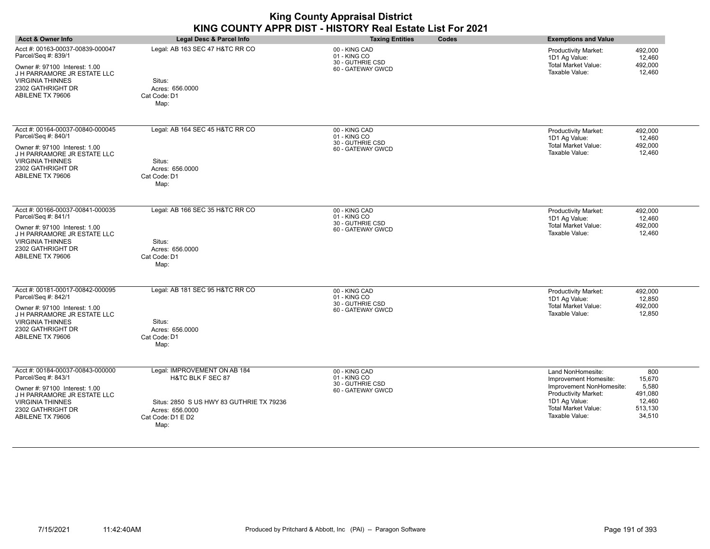|                                                                                                                                                                                                    |                                                                                                                                               | <b>King County Appraisal District</b><br>KING COUNTY APPR DIST - HISTORY Real Estate List For 2021 |                                                                                                                                                          |                                                                  |
|----------------------------------------------------------------------------------------------------------------------------------------------------------------------------------------------------|-----------------------------------------------------------------------------------------------------------------------------------------------|----------------------------------------------------------------------------------------------------|----------------------------------------------------------------------------------------------------------------------------------------------------------|------------------------------------------------------------------|
| <b>Acct &amp; Owner Info</b>                                                                                                                                                                       | Legal Desc & Parcel Info                                                                                                                      | Codes<br><b>Taxing Entities</b>                                                                    | <b>Exemptions and Value</b>                                                                                                                              |                                                                  |
| Acct #: 00163-00037-00839-000047<br>Parcel/Seq #: 839/1<br>Owner #: 97100 Interest: 1.00<br><b>J H PARRAMORE JR ESTATE LLC</b><br><b>VIRGINIA THINNES</b><br>2302 GATHRIGHT DR<br>ABILENE TX 79606 | Legal: AB 163 SEC 47 H&TC RR CO<br>Situs:<br>Acres: 656.0000<br>Cat Code: D1<br>Map:                                                          | 00 - KING CAD<br>01 - KING CO<br>30 - GUTHRIE CSD<br>60 - GATEWAY GWCD                             | <b>Productivity Market:</b><br>1D1 Ag Value:<br><b>Total Market Value:</b><br>Taxable Value:                                                             | 492.000<br>12.460<br>492,000<br>12,460                           |
| Acct #: 00164-00037-00840-000045<br>Parcel/Seq #: 840/1<br>Owner #: 97100 Interest: 1.00<br>J H PARRAMORE JR ESTATE LLC<br><b>VIRGINIA THINNES</b><br>2302 GATHRIGHT DR<br>ABILENE TX 79606        | Legal: AB 164 SEC 45 H&TC RR CO<br>Situs:<br>Acres: 656.0000<br>Cat Code: D1<br>Map:                                                          | 00 - KING CAD<br>01 - KING CO<br>30 - GUTHRIE CSD<br>60 - GATEWAY GWCD                             | Productivity Market:<br>1D1 Ag Value:<br><b>Total Market Value:</b><br>Taxable Value:                                                                    | 492,000<br>12,460<br>492,000<br>12,460                           |
| Acct #: 00166-00037-00841-000035<br>Parcel/Seq #: 841/1<br>Owner #: 97100 Interest: 1.00<br>J H PARRAMORE JR ESTATE LLC<br><b>VIRGINIA THINNES</b><br>2302 GATHRIGHT DR<br>ABILENE TX 79606        | Legal: AB 166 SEC 35 H&TC RR CO<br>Situs:<br>Acres: 656.0000<br>Cat Code: D1<br>Map:                                                          | 00 - KING CAD<br>01 - KING CO<br>30 - GUTHRIE CSD<br>60 - GATEWAY GWCD                             | <b>Productivity Market:</b><br>1D1 Ag Value:<br><b>Total Market Value:</b><br>Taxable Value:                                                             | 492,000<br>12,460<br>492,000<br>12,460                           |
| Acct #: 00181-00017-00842-000095<br>Parcel/Seq #: 842/1<br>Owner #: 97100 Interest: 1.00<br>J H PARRAMORE JR ESTATE LLC<br><b>VIRGINIA THINNES</b><br>2302 GATHRIGHT DR<br>ABILENE TX 79606        | Legal: AB 181 SEC 95 H&TC RR CO<br>Situs:<br>Acres: 656,0000<br>Cat Code: D1<br>Map:                                                          | 00 - KING CAD<br>01 - KING CO<br>30 - GUTHRIE CSD<br>60 - GATEWAY GWCD                             | <b>Productivity Market:</b><br>1D1 Ag Value:<br><b>Total Market Value:</b><br>Taxable Value:                                                             | 492,000<br>12.850<br>492,000<br>12,850                           |
| Acct #: 00184-00037-00843-000000<br>Parcel/Seq #: 843/1<br>Owner #: 97100 Interest: 1.00<br>J H PARRAMORE JR ESTATE LLC<br><b>VIRGINIA THINNES</b><br>2302 GATHRIGHT DR<br>ABILENE TX 79606        | Legal: IMPROVEMENT ON AB 184<br>H&TC BLK F SEC 87<br>Situs: 2850 S US HWY 83 GUTHRIE TX 79236<br>Acres: 656,0000<br>Cat Code: D1 E D2<br>Map: | 00 - KING CAD<br>01 - KING CO<br>30 - GUTHRIE CSD<br>60 - GATEWAY GWCD                             | Land NonHomesite:<br>Improvement Homesite:<br>Improvement NonHomesite:<br>Productivity Market:<br>1D1 Ag Value:<br>Total Market Value:<br>Taxable Value: | 800<br>15,670<br>5,580<br>491.080<br>12,460<br>513,130<br>34,510 |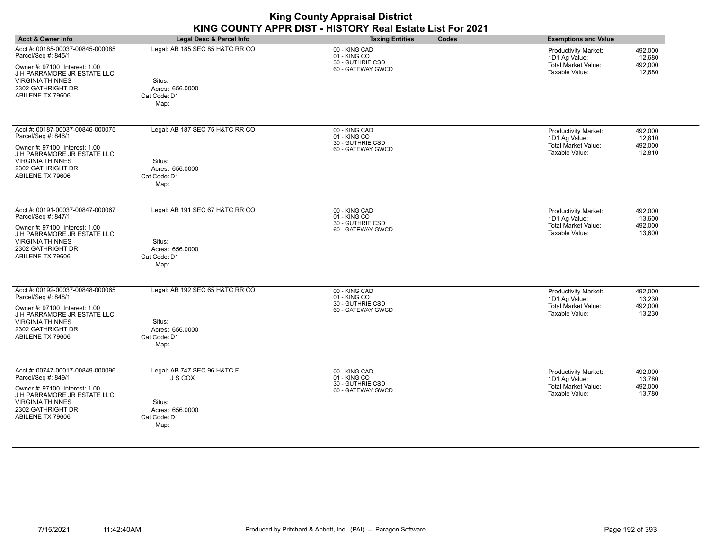|                                                                                                                                                                                             |                                                                                             | <b>King County Appraisal District</b><br>KING COUNTY APPR DIST - HISTORY Real Estate List For 2021 |                                                                                                                                        |
|---------------------------------------------------------------------------------------------------------------------------------------------------------------------------------------------|---------------------------------------------------------------------------------------------|----------------------------------------------------------------------------------------------------|----------------------------------------------------------------------------------------------------------------------------------------|
| <b>Acct &amp; Owner Info</b>                                                                                                                                                                | Legal Desc & Parcel Info                                                                    | <b>Taxing Entities</b><br>Codes                                                                    | <b>Exemptions and Value</b>                                                                                                            |
| Acct #: 00185-00037-00845-000085<br>Parcel/Seq #: 845/1<br>Owner #: 97100 Interest: 1.00<br>J H PARRAMORE JR ESTATE LLC<br><b>VIRGINIA THINNES</b><br>2302 GATHRIGHT DR<br>ABILENE TX 79606 | Legal: AB 185 SEC 85 H&TC RR CO<br>Situs:<br>Acres: 656.0000<br>Cat Code: D1<br>Map:        | 00 - KING CAD<br>01 - KING CO<br>30 - GUTHRIE CSD<br>60 - GATEWAY GWCD                             | 492,000<br>Productivity Market:<br>1D1 Ag Value:<br>12,680<br>Total Market Value:<br>492,000<br>Taxable Value:<br>12,680               |
| Acct #: 00187-00037-00846-000075<br>Parcel/Seq #: 846/1<br>Owner #: 97100 Interest: 1.00<br>J H PARRAMORE JR ESTATE LLC<br><b>VIRGINIA THINNES</b><br>2302 GATHRIGHT DR<br>ABILENE TX 79606 | Legal: AB 187 SEC 75 H&TC RR CO<br>Situs:<br>Acres: 656,0000<br>Cat Code: D1<br>Map:        | 00 - KING CAD<br>01 - KING CO<br>30 - GUTHRIE CSD<br>60 - GATEWAY GWCD                             | Productivity Market:<br>492,000<br>1D1 Ag Value:<br>12,810<br><b>Total Market Value:</b><br>492,000<br>Taxable Value:<br>12,810        |
| Acct #: 00191-00037-00847-000067<br>Parcel/Seq #: 847/1<br>Owner #: 97100 Interest: 1.00<br>J H PARRAMORE JR ESTATE LLC<br><b>VIRGINIA THINNES</b><br>2302 GATHRIGHT DR<br>ABILENE TX 79606 | Legal: AB 191 SEC 67 H&TC RR CO<br>Situs:<br>Acres: 656,0000<br>Cat Code: D1<br>Map:        | 00 - KING CAD<br>01 - KING CO<br>30 - GUTHRIE CSD<br>60 - GATEWAY GWCD                             | Productivity Market:<br>492,000<br>1D1 Ag Value:<br>13.600<br>Total Market Value:<br>492,000<br>Taxable Value:<br>13,600               |
| Acct #: 00192-00037-00848-000065<br>Parcel/Seq #: 848/1<br>Owner #: 97100 Interest: 1.00<br>J H PARRAMORE JR ESTATE LLC<br><b>VIRGINIA THINNES</b><br>2302 GATHRIGHT DR<br>ABILENE TX 79606 | Legal: AB 192 SEC 65 H&TC RR CO<br>Situs:<br>Acres: 656.0000<br>Cat Code: D1<br>Map:        | 00 - KING CAD<br>01 - KING CO<br>30 - GUTHRIE CSD<br>60 - GATEWAY GWCD                             | Productivity Market:<br>492,000<br>1D1 Ag Value:<br>13,230<br><b>Total Market Value:</b><br>492,000<br>Taxable Value:<br>13,230        |
| Acct #: 00747-00017-00849-000096<br>Parcel/Seq #: 849/1<br>Owner #: 97100 Interest: 1.00<br>J H PARRAMORE JR ESTATE LLC<br><b>VIRGINIA THINNES</b><br>2302 GATHRIGHT DR<br>ABILENE TX 79606 | Legal: AB 747 SEC 96 H&TC F<br>J S COX<br>Situs:<br>Acres: 656,0000<br>Cat Code: D1<br>Map: | 00 - KING CAD<br>01 - KING CO<br>30 - GUTHRIE CSD<br>60 - GATEWAY GWCD                             | 492,000<br><b>Productivity Market:</b><br>1D1 Ag Value:<br>13,780<br><b>Total Market Value:</b><br>492,000<br>Taxable Value:<br>13,780 |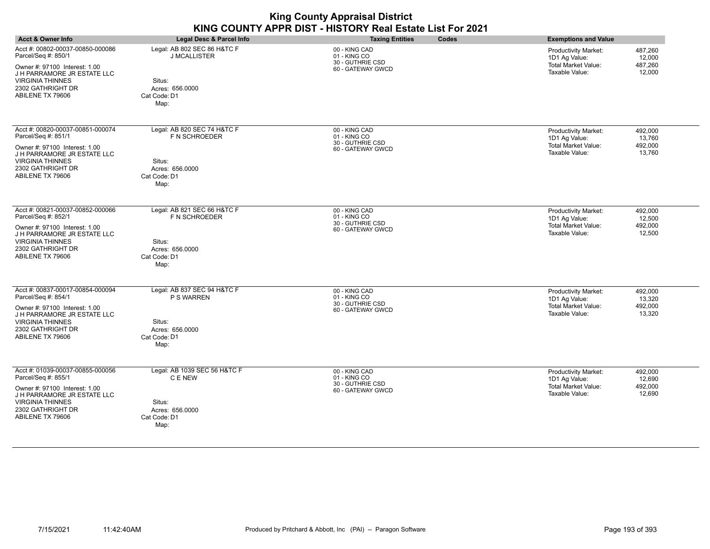|                                                                                                                                                                                                    |                                                                                                         | <b>King County Appraisal District</b><br>KING COUNTY APPR DIST - HISTORY Real Estate List For 2021 |                                                                                                                                        |
|----------------------------------------------------------------------------------------------------------------------------------------------------------------------------------------------------|---------------------------------------------------------------------------------------------------------|----------------------------------------------------------------------------------------------------|----------------------------------------------------------------------------------------------------------------------------------------|
| <b>Acct &amp; Owner Info</b>                                                                                                                                                                       | <b>Legal Desc &amp; Parcel Info</b>                                                                     | Codes<br><b>Taxing Entities</b>                                                                    | <b>Exemptions and Value</b>                                                                                                            |
| Acct #: 00802-00037-00850-000086<br>Parcel/Seq #: 850/1<br>Owner #: 97100 Interest: 1.00<br>J H PARRAMORE JR ESTATE LLC<br><b>VIRGINIA THINNES</b><br>2302 GATHRIGHT DR<br>ABILENE TX 79606        | Legal: AB 802 SEC 86 H&TC F<br><b>J MCALLISTER</b><br>Situs:<br>Acres: 656,0000<br>Cat Code: D1<br>Map: | 00 - KING CAD<br>01 - KING CO<br>30 - GUTHRIE CSD<br>60 - GATEWAY GWCD                             | Productivity Market:<br>487.260<br>1D1 Ag Value:<br>12,000<br>Total Market Value:<br>487,260<br>Taxable Value:<br>12,000               |
| Acct #: 00820-00037-00851-000074<br>Parcel/Seq #: 851/1<br>Owner #: 97100 Interest: 1.00<br>J H PARRAMORE JR ESTATE LLC<br><b>VIRGINIA THINNES</b><br>2302 GATHRIGHT DR<br>ABILENE TX 79606        | Legal: AB 820 SEC 74 H&TC F<br>F N SCHROEDER<br>Situs:<br>Acres: 656,0000<br>Cat Code: D1<br>Map:       | 00 - KING CAD<br>01 - KING CO<br>30 - GUTHRIE CSD<br>60 - GATEWAY GWCD                             | <b>Productivity Market:</b><br>492,000<br>1D1 Ag Value:<br>13,760<br><b>Total Market Value:</b><br>492,000<br>Taxable Value:<br>13,760 |
| Acct #: 00821-00037-00852-000066<br>Parcel/Seq #: 852/1<br>Owner #: 97100 Interest: 1.00<br>J H PARRAMORE JR ESTATE LLC<br><b>VIRGINIA THINNES</b><br>2302 GATHRIGHT DR<br>ABILENE TX 79606        | Legal: AB 821 SEC 66 H&TC F<br>F N SCHROEDER<br>Situs:<br>Acres: 656.0000<br>Cat Code: D1<br>Map:       | 00 - KING CAD<br>01 - KING CO<br>30 - GUTHRIE CSD<br>60 - GATEWAY GWCD                             | <b>Productivity Market:</b><br>492,000<br>1D1 Ag Value:<br>12,500<br><b>Total Market Value:</b><br>492,000<br>Taxable Value:<br>12,500 |
| Acct #: 00837-00017-00854-000094<br>Parcel/Seq #: 854/1<br>Owner #: 97100 Interest: 1.00<br>J H PARRAMORE JR ESTATE LLC<br><b>VIRGINIA THINNES</b><br>2302 GATHRIGHT DR<br>ABILENE TX 79606        | Legal: AB 837 SEC 94 H&TC F<br>P S WARREN<br>Situs:<br>Acres: 656.0000<br>Cat Code: D1<br>Map:          | 00 - KING CAD<br>01 - KING CO<br>30 - GUTHRIE CSD<br>60 - GATEWAY GWCD                             | <b>Productivity Market:</b><br>492,000<br>1D1 Ag Value:<br>13,320<br><b>Total Market Value:</b><br>492,000<br>Taxable Value:<br>13,320 |
| Acct #: 01039-00037-00855-000056<br>Parcel/Seq #: 855/1<br>Owner #: 97100 Interest: 1.00<br><b>J H PARRAMORE JR ESTATE LLC</b><br><b>VIRGINIA THINNES</b><br>2302 GATHRIGHT DR<br>ABILENE TX 79606 | Legal: AB 1039 SEC 56 H&TC F<br>C E NEW<br>Situs:<br>Acres: 656,0000<br>Cat Code: D1<br>Map:            | 00 - KING CAD<br>01 - KING CO<br>30 - GUTHRIE CSD<br>60 - GATEWAY GWCD                             | <b>Productivity Market:</b><br>492.000<br>1D1 Ag Value:<br>12,690<br><b>Total Market Value:</b><br>492,000<br>Taxable Value:<br>12,690 |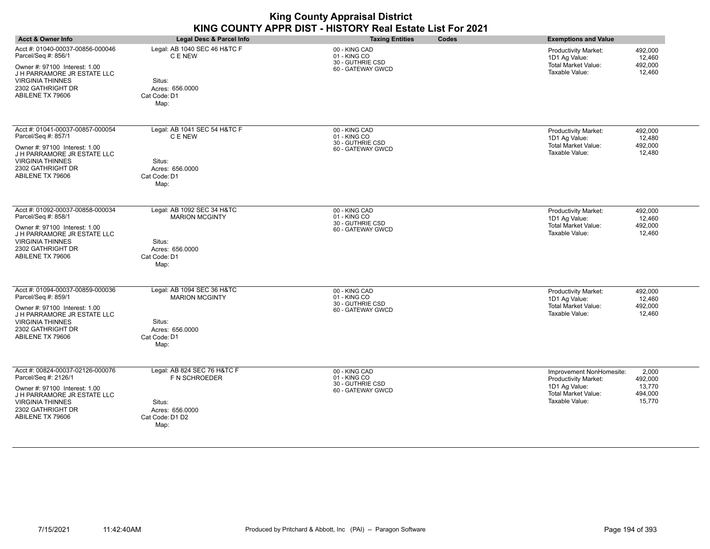|                                                                                                                                                                                              |                                                                                                          | <b>King County Appraisal District</b><br>KING COUNTY APPR DIST - HISTORY Real Estate List For 2021 |                                                                                                                                                                             |
|----------------------------------------------------------------------------------------------------------------------------------------------------------------------------------------------|----------------------------------------------------------------------------------------------------------|----------------------------------------------------------------------------------------------------|-----------------------------------------------------------------------------------------------------------------------------------------------------------------------------|
| <b>Acct &amp; Owner Info</b>                                                                                                                                                                 | Legal Desc & Parcel Info                                                                                 | Codes<br><b>Taxing Entities</b>                                                                    | <b>Exemptions and Value</b>                                                                                                                                                 |
| Acct #: 01040-00037-00856-000046<br>Parcel/Seq #: 856/1<br>Owner #: 97100 Interest: 1.00<br>J H PARRAMORE JR ESTATE LLC<br><b>VIRGINIA THINNES</b><br>2302 GATHRIGHT DR<br>ABILENE TX 79606  | Legal: AB 1040 SEC 46 H&TC F<br>C E NEW<br>Situs:<br>Acres: 656,0000<br>Cat Code: D1<br>Map:             | 00 - KING CAD<br>01 - KING CO<br>30 - GUTHRIE CSD<br>60 - GATEWAY GWCD                             | <b>Productivity Market:</b><br>492,000<br>1D1 Ag Value:<br>12,460<br><b>Total Market Value:</b><br>492,000<br>Taxable Value:<br>12,460                                      |
| Acct #: 01041-00037-00857-000054<br>Parcel/Seq #: 857/1<br>Owner #: 97100 Interest: 1.00<br>J H PARRAMORE JR ESTATE LLC<br><b>VIRGINIA THINNES</b><br>2302 GATHRIGHT DR<br>ABILENE TX 79606  | Legal: AB 1041 SEC 54 H&TC F<br>C E NEW<br>Situs:<br>Acres: 656.0000<br>Cat Code: D1<br>Map:             | 00 - KING CAD<br>01 - KING CO<br>30 - GUTHRIE CSD<br>60 - GATEWAY GWCD                             | <b>Productivity Market:</b><br>492,000<br>1D1 Ag Value:<br>12,480<br><b>Total Market Value:</b><br>492,000<br>Taxable Value:<br>12,480                                      |
| Acct #: 01092-00037-00858-000034<br>Parcel/Seq #: 858/1<br>Owner #: 97100 Interest: 1.00<br>J H PARRAMORE JR ESTATE LLC<br><b>VIRGINIA THINNES</b><br>2302 GATHRIGHT DR<br>ABILENE TX 79606  | Legal: AB 1092 SEC 34 H&TC<br><b>MARION MCGINTY</b><br>Situs:<br>Acres: 656.0000<br>Cat Code: D1<br>Map: | 00 - KING CAD<br>01 - KING CO<br>30 - GUTHRIE CSD<br>60 - GATEWAY GWCD                             | <b>Productivity Market:</b><br>492,000<br>1D1 Ag Value:<br>12.460<br><b>Total Market Value:</b><br>492.000<br>Taxable Value:<br>12.460                                      |
| Acct #: 01094-00037-00859-000036<br>Parcel/Seq #: 859/1<br>Owner #: 97100 Interest: 1.00<br>J H PARRAMORE JR ESTATE LLC<br><b>VIRGINIA THINNES</b><br>2302 GATHRIGHT DR<br>ABILENE TX 79606  | Legal: AB 1094 SEC 36 H&TC<br><b>MARION MCGINTY</b><br>Situs:<br>Acres: 656,0000<br>Cat Code: D1<br>Map: | 00 - KING CAD<br>01 - KING CO<br>30 - GUTHRIE CSD<br>60 - GATEWAY GWCD                             | <b>Productivity Market:</b><br>492,000<br>1D1 Ag Value:<br>12.460<br>Total Market Value:<br>492,000<br>Taxable Value:<br>12,460                                             |
| Acct #: 00824-00037-02126-000076<br>Parcel/Seq #: 2126/1<br>Owner #: 97100 Interest: 1.00<br>J H PARRAMORE JR ESTATE LLC<br><b>VIRGINIA THINNES</b><br>2302 GATHRIGHT DR<br>ABILENE TX 79606 | Legal: AB 824 SEC 76 H&TC F<br>F N SCHROEDER<br>Situs:<br>Acres: 656.0000<br>Cat Code: D1 D2<br>Map:     | 00 - KING CAD<br>01 - KING CO<br>30 - GUTHRIE CSD<br>60 - GATEWAY GWCD                             | Improvement NonHomesite:<br>2,000<br><b>Productivity Market:</b><br>492,000<br>1D1 Ag Value:<br>13,770<br><b>Total Market Value:</b><br>494,000<br>Taxable Value:<br>15,770 |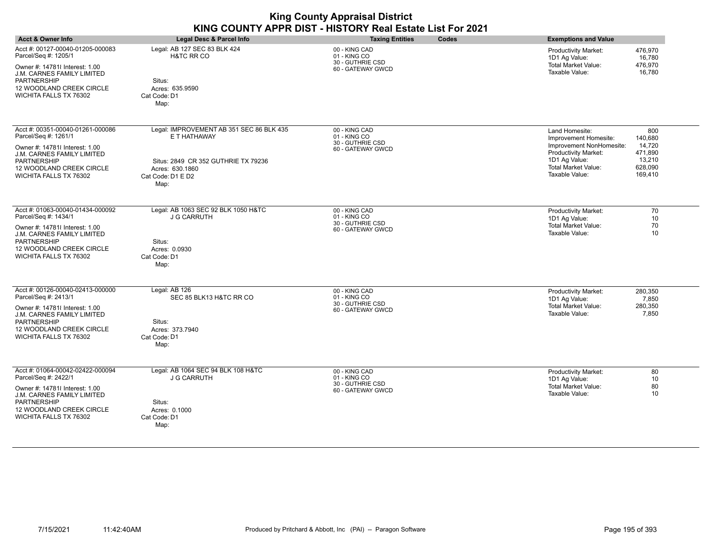| <b>Acct &amp; Owner Info</b>                                                                                                                                                                                | Legal Desc & Parcel Info                                                                                                                        | <b>Taxing Entities</b>                                                 | Codes<br><b>Exemptions and Value</b>                                                                                                                                |                                                                     |
|-------------------------------------------------------------------------------------------------------------------------------------------------------------------------------------------------------------|-------------------------------------------------------------------------------------------------------------------------------------------------|------------------------------------------------------------------------|---------------------------------------------------------------------------------------------------------------------------------------------------------------------|---------------------------------------------------------------------|
| Acct #: 00127-00040-01205-000083<br>Parcel/Seq #: 1205/1<br>Owner #: 147818 Interest: 1.00<br>J.M. CARNES FAMILY LIMITED<br>PARTNERSHIP<br>12 WOODLAND CREEK CIRCLE<br>WICHITA FALLS TX 76302               | Legal: AB 127 SEC 83 BLK 424<br><b>H&amp;TC RR CO</b><br>Situs:<br>Acres: 635.9590<br>Cat Code: D1<br>Map:                                      | 00 - KING CAD<br>01 - KING CO<br>30 - GUTHRIE CSD<br>60 - GATEWAY GWCD | Productivity Market:<br>1D1 Ag Value:<br>Total Market Value:<br>Taxable Value:                                                                                      | 476,970<br>16,780<br>476,970<br>16,780                              |
| Acct #: 00351-00040-01261-000086<br>Parcel/Seq #: 1261/1<br>Owner #: 147818 Interest: 1.00<br>J.M. CARNES FAMILY LIMITED<br><b>PARTNERSHIP</b><br>12 WOODLAND CREEK CIRCLE<br>WICHITA FALLS TX 76302        | Legal: IMPROVEMENT AB 351 SEC 86 BLK 435<br>E T HATHAWAY<br>Situs: 2849 CR 352 GUTHRIE TX 79236<br>Acres: 630.1860<br>Cat Code: D1 E D2<br>Map: | 00 - KING CAD<br>01 - KING CO<br>30 - GUTHRIE CSD<br>60 - GATEWAY GWCD | Land Homesite:<br>Improvement Homesite:<br>Improvement NonHomesite:<br><b>Productivity Market:</b><br>1D1 Ag Value:<br><b>Total Market Value:</b><br>Taxable Value: | 800<br>140,680<br>14,720<br>471,890<br>13,210<br>628,090<br>169,410 |
| Acct #: 01063-00040-01434-000092<br>Parcel/Seq #: 1434/1<br>Owner #: 147818 Interest: 1.00<br>J.M. CARNES FAMILY LIMITED<br><b>PARTNERSHIP</b><br>12 WOODLAND CREEK CIRCLE<br>WICHITA FALLS TX 76302        | Legal: AB 1063 SEC 92 BLK 1050 H&TC<br><b>J G CARRUTH</b><br>Situs:<br>Acres: 0.0930<br>Cat Code: D1<br>Map:                                    | 00 - KING CAD<br>01 - KING CO<br>30 - GUTHRIE CSD<br>60 - GATEWAY GWCD | <b>Productivity Market:</b><br>1D1 Ag Value:<br><b>Total Market Value:</b><br>Taxable Value:                                                                        | 70<br>10<br>70<br>10                                                |
| Acct #: 00126-00040-02413-000000<br>Parcel/Seq #: 2413/1<br>Owner #: 147818 Interest: 1.00<br>J.M. CARNES FAMILY LIMITED<br><b>PARTNERSHIP</b><br>12 WOODLAND CREEK CIRCLE<br>WICHITA FALLS TX 76302        | Legal: AB 126<br>SEC 85 BLK13 H&TC RR CO<br>Situs:<br>Acres: 373.7940<br>Cat Code: D1<br>Map:                                                   | 00 - KING CAD<br>01 - KING CO<br>30 - GUTHRIE CSD<br>60 - GATEWAY GWCD | Productivity Market:<br>1D1 Ag Value:<br><b>Total Market Value:</b><br>Taxable Value:                                                                               | 280,350<br>7,850<br>280,350<br>7,850                                |
| Acct #: 01064-00042-02422-000094<br>Parcel/Seq #: 2422/1<br>Owner #: 147818 Interest: 1.00<br>J.M. CARNES FAMILY LIMITED<br><b>PARTNERSHIP</b><br><b>12 WOODLAND CREEK CIRCLE</b><br>WICHITA FALLS TX 76302 | Legal: AB 1064 SEC 94 BLK 108 H&TC<br><b>J G CARRUTH</b><br>Situs:<br>Acres: 0.1000<br>Cat Code: D1<br>Map:                                     | 00 - KING CAD<br>01 - KING CO<br>30 - GUTHRIE CSD<br>60 - GATEWAY GWCD | Productivity Market:<br>1D1 Ag Value:<br><b>Total Market Value:</b><br>Taxable Value:                                                                               | 80<br>10<br>80<br>10                                                |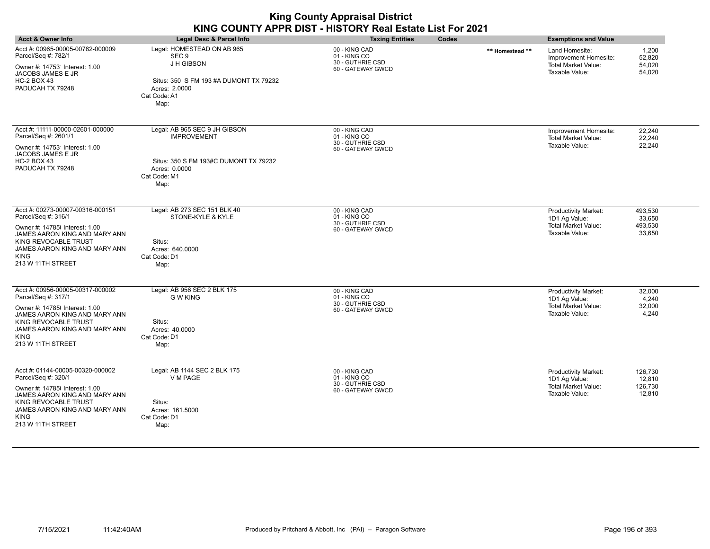| <b>Acct &amp; Owner Info</b>                                                                                                                                                                                            | Legal Desc & Parcel Info                                                                                                                        | <b>Taxing Entities</b>                                                 | Codes           | <b>Exemptions and Value</b>                                                             |                                        |
|-------------------------------------------------------------------------------------------------------------------------------------------------------------------------------------------------------------------------|-------------------------------------------------------------------------------------------------------------------------------------------------|------------------------------------------------------------------------|-----------------|-----------------------------------------------------------------------------------------|----------------------------------------|
| Acct #: 00965-00005-00782-000009<br>Parcel/Seq #: 782/1<br>Owner #: 14753' Interest: 1.00<br>JACOBS JAMES E JR<br><b>HC-2 BOX 43</b><br>PADUCAH TX 79248                                                                | Legal: HOMESTEAD ON AB 965<br>SEC <sub>9</sub><br>J H GIBSON<br>Situs: 350 S FM 193 #A DUMONT TX 79232<br>Acres: 2.0000<br>Cat Code: A1<br>Map: | 00 - KING CAD<br>01 - KING CO<br>30 - GUTHRIE CSD<br>60 - GATEWAY GWCD | ** Homestead ** | Land Homesite:<br>Improvement Homesite:<br><b>Total Market Value:</b><br>Taxable Value: | 1,200<br>52,820<br>54,020<br>54,020    |
| Acct #: 11111-00000-02601-000000<br>Parcel/Seq #: 2601/1<br>Owner #: 14753' Interest: 1.00<br>JACOBS JAMES E JR<br><b>HC-2 BOX 43</b><br>PADUCAH TX 79248                                                               | Legal: AB 965 SEC 9 JH GIBSON<br><b>IMPROVEMENT</b><br>Situs: 350 S FM 193#C DUMONT TX 79232<br>Acres: 0.0000<br>Cat Code: M1<br>Map:           | 00 - KING CAD<br>01 - KING CO<br>30 - GUTHRIE CSD<br>60 - GATEWAY GWCD |                 | Improvement Homesite:<br><b>Total Market Value:</b><br>Taxable Value:                   | 22,240<br>22,240<br>22,240             |
| Acct #: 00273-00007-00316-000151<br>Parcel/Seq #: 316/1<br>Owner #: 14785( Interest: 1.00<br>JAMES AARON KING AND MARY ANN<br>KING REVOCABLE TRUST<br>JAMES AARON KING AND MARY ANN<br><b>KING</b><br>213 W 11TH STREET | Legal: AB 273 SEC 151 BLK 40<br>STONE-KYLE & KYLE<br>Situs:<br>Acres: 640,0000<br>Cat Code: D1<br>Map:                                          | 00 - KING CAD<br>01 - KING CO<br>30 - GUTHRIE CSD<br>60 - GATEWAY GWCD |                 | Productivity Market:<br>1D1 Ag Value:<br>Total Market Value:<br>Taxable Value:          | 493,530<br>33,650<br>493,530<br>33,650 |
| Acct #: 00956-00005-00317-000002<br>Parcel/Seq #: 317/1<br>Owner #: 14785(Interest: 1.00<br>JAMES AARON KING AND MARY ANN<br>KING REVOCABLE TRUST<br>JAMES AARON KING AND MARY ANN<br><b>KING</b><br>213 W 11TH STREET  | Legal: AB 956 SEC 2 BLK 175<br><b>G W KING</b><br>Situs:<br>Acres: 40.0000<br>Cat Code: D1<br>Map:                                              | 00 - KING CAD<br>01 - KING CO<br>30 - GUTHRIE CSD<br>60 - GATEWAY GWCD |                 | Productivity Market:<br>1D1 Ag Value:<br><b>Total Market Value:</b><br>Taxable Value:   | 32,000<br>4,240<br>32,000<br>4,240     |
| Acct #: 01144-00005-00320-000002<br>Parcel/Seq #: 320/1<br>Owner #: 14785(Interest: 1.00<br>JAMES AARON KING AND MARY ANN<br>KING REVOCABLE TRUST<br>JAMES AARON KING AND MARY ANN<br><b>KING</b><br>213 W 11TH STREET  | Legal: AB 1144 SEC 2 BLK 175<br>V M PAGE<br>Situs:<br>Acres: 161.5000<br>Cat Code: D1<br>Map:                                                   | 00 - KING CAD<br>01 - KING CO<br>30 - GUTHRIE CSD<br>60 - GATEWAY GWCD |                 | Productivity Market:<br>1D1 Ag Value:<br>Total Market Value:<br>Taxable Value:          | 126,730<br>12,810<br>126,730<br>12,810 |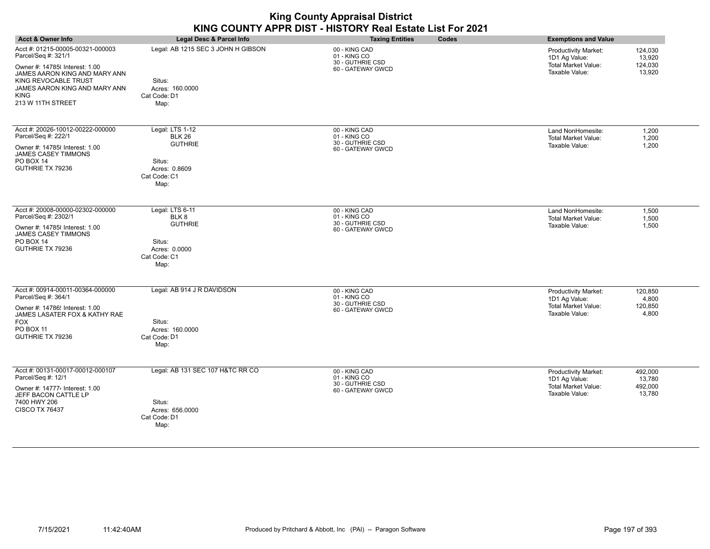| <b>Acct &amp; Owner Info</b>                                                                                                                                                                                            | <b>Legal Desc &amp; Parcel Info</b>                                                                   | <b>Taxing Entities</b><br>Codes                                        | <b>Exemptions and Value</b>                                                                                                            |
|-------------------------------------------------------------------------------------------------------------------------------------------------------------------------------------------------------------------------|-------------------------------------------------------------------------------------------------------|------------------------------------------------------------------------|----------------------------------------------------------------------------------------------------------------------------------------|
| Acct #: 01215-00005-00321-000003<br>Parcel/Seq #: 321/1<br>Owner #: 14785( Interest: 1.00<br>JAMES AARON KING AND MARY ANN<br>KING REVOCABLE TRUST<br>JAMES AARON KING AND MARY ANN<br><b>KING</b><br>213 W 11TH STREET | Legal: AB 1215 SEC 3 JOHN H GIBSON<br>Situs:<br>Acres: 160.0000<br>Cat Code: D1<br>Map:               | 00 - KING CAD<br>01 - KING CO<br>30 - GUTHRIE CSD<br>60 - GATEWAY GWCD | Productivity Market:<br>124,030<br>1D1 Ag Value:<br>13,920<br>Total Market Value:<br>124,030<br>Taxable Value:<br>13,920               |
| Acct #: 20026-10012-00222-000000<br>Parcel/Seq #: 222/1<br>Owner #: 14785 {Interest: 1.00<br><b>JAMES CASEY TIMMONS</b><br>PO BOX 14<br>GUTHRIE TX 79236                                                                | Legal: LTS 1-12<br><b>BLK 26</b><br><b>GUTHRIE</b><br>Situs:<br>Acres: 0.8609<br>Cat Code: C1<br>Map: | 00 - KING CAD<br>01 - KING CO<br>30 - GUTHRIE CSD<br>60 - GATEWAY GWCD | Land NonHomesite:<br>1,200<br>1,200<br><b>Total Market Value:</b><br>1,200<br>Taxable Value:                                           |
| Acct #: 20008-00000-02302-000000<br>Parcel/Seq #: 2302/1<br>Owner #: 14785 { Interest: 1.00<br>JAMES CASEY TIMMONS<br>PO BOX 14<br>GUTHRIE TX 79236                                                                     | Legal: LTS 6-11<br>BLK 8<br><b>GUTHRIE</b><br>Situs:<br>Acres: 0.0000<br>Cat Code: C1<br>Map:         | 00 - KING CAD<br>01 - KING CO<br>30 - GUTHRIE CSD<br>60 - GATEWAY GWCD | Land NonHomesite:<br>1,500<br>Total Market Value:<br>1,500<br>Taxable Value:<br>1,500                                                  |
| Acct #: 00914-00011-00364-000000<br>Parcel/Seq #: 364/1<br>Owner #: 14786! Interest: 1.00<br>JAMES LASATER FOX & KATHY RAE<br><b>FOX</b><br><b>PO BOX 11</b><br>GUTHRIE TX 79236                                        | Legal: AB 914 J R DAVIDSON<br>Situs:<br>Acres: 160.0000<br>Cat Code: D1<br>Map:                       | 00 - KING CAD<br>01 - KING CO<br>30 - GUTHRIE CSD<br>60 - GATEWAY GWCD | <b>Productivity Market:</b><br>120,850<br>1D1 Ag Value:<br>4,800<br>Total Market Value:<br>120,850<br>Taxable Value:<br>4,800          |
| Acct #: 00131-00017-00012-000107<br>Parcel/Seq #: 12/1<br>Owner #: 147774 Interest: 1.00<br>JEFF BACON CATTLE LP<br>7400 HWY 206<br><b>CISCO TX 76437</b>                                                               | Legal: AB 131 SEC 107 H&TC RR CO<br>Situs:<br>Acres: 656.0000<br>Cat Code: D1<br>Map:                 | 00 - KING CAD<br>01 - KING CO<br>30 - GUTHRIE CSD<br>60 - GATEWAY GWCD | <b>Productivity Market:</b><br>492,000<br>1D1 Ag Value:<br>13,780<br><b>Total Market Value:</b><br>492,000<br>Taxable Value:<br>13,780 |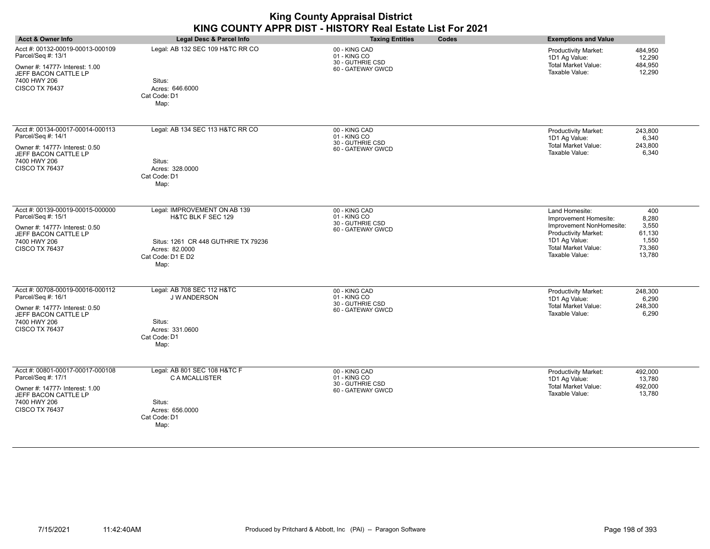| <b>Acct &amp; Owner Info</b>                                                                                                                              | Legal Desc & Parcel Info                                                                                                                 | <b>Taxing Entities</b><br>Codes                                        | <b>Exemptions and Value</b>                                                                                                                                                                                                         |
|-----------------------------------------------------------------------------------------------------------------------------------------------------------|------------------------------------------------------------------------------------------------------------------------------------------|------------------------------------------------------------------------|-------------------------------------------------------------------------------------------------------------------------------------------------------------------------------------------------------------------------------------|
| Acct #: 00132-00019-00013-000109<br>Parcel/Seq #: 13/1<br>Owner #: 147774 Interest: 1.00<br>JEFF BACON CATTLE LP<br>7400 HWY 206<br><b>CISCO TX 76437</b> | Legal: AB 132 SEC 109 H&TC RR CO<br>Situs:<br>Acres: 646.6000<br>Cat Code: D1<br>Map:                                                    | 00 - KING CAD<br>01 - KING CO<br>30 - GUTHRIE CSD<br>60 - GATEWAY GWCD | <b>Productivity Market:</b><br>484,950<br>12,290<br>1D1 Ag Value:<br><b>Total Market Value:</b><br>484,950<br>Taxable Value:<br>12,290                                                                                              |
| Acct #: 00134-00017-00014-000113<br>Parcel/Seq #: 14/1<br>Owner #: 147774 Interest: 0.50<br>JEFF BACON CATTLE LP<br>7400 HWY 206<br><b>CISCO TX 76437</b> | Legal: AB 134 SEC 113 H&TC RR CO<br>Situs:<br>Acres: 328.0000<br>Cat Code: D1<br>Map:                                                    | 00 - KING CAD<br>01 - KING CO<br>30 - GUTHRIE CSD<br>60 - GATEWAY GWCD | Productivity Market:<br>243,800<br>1D1 Ag Value:<br>6,340<br>Total Market Value:<br>243,800<br>Taxable Value:<br>6,340                                                                                                              |
| Acct #: 00139-00019-00015-000000<br>Parcel/Seq #: 15/1<br>Owner #: 147774 Interest: 0.50<br>JEFF BACON CATTLE LP<br>7400 HWY 206<br><b>CISCO TX 76437</b> | Legal: IMPROVEMENT ON AB 139<br>H&TC BLK F SEC 129<br>Situs: 1261 CR 448 GUTHRIE TX 79236<br>Acres: 82.0000<br>Cat Code: D1 E D2<br>Map: | 00 - KING CAD<br>01 - KING CO<br>30 - GUTHRIE CSD<br>60 - GATEWAY GWCD | Land Homesite:<br>400<br>8,280<br>Improvement Homesite:<br>3,550<br>Improvement NonHomesite:<br><b>Productivity Market:</b><br>61,130<br>1D1 Ag Value:<br>1,550<br><b>Total Market Value:</b><br>73,360<br>Taxable Value:<br>13,780 |
| Acct #: 00708-00019-00016-000112<br>Parcel/Seq #: 16/1<br>Owner #: 147774 Interest: 0.50<br>JEFF BACON CATTLE LP<br>7400 HWY 206<br><b>CISCO TX 76437</b> | Legal: AB 708 SEC 112 H&TC<br>J W ANDERSON<br>Situs:<br>Acres: 331.0600<br>Cat Code: D1<br>Map:                                          | 00 - KING CAD<br>01 - KING CO<br>30 - GUTHRIE CSD<br>60 - GATEWAY GWCD | Productivity Market:<br>248,300<br>1D1 Ag Value:<br>6,290<br>Total Market Value:<br>248,300<br>Taxable Value:<br>6,290                                                                                                              |
| Acct #: 00801-00017-00017-000108<br>Parcel/Seq #: 17/1<br>Owner #: 147774 Interest: 1.00<br>JEFF BACON CATTLE LP<br>7400 HWY 206<br><b>CISCO TX 76437</b> | Legal: AB 801 SEC 108 H&TC F<br>C A MCALLISTER<br>Situs:<br>Acres: 656.0000<br>Cat Code: D1<br>Map:                                      | 00 - KING CAD<br>01 - KING CO<br>30 - GUTHRIE CSD<br>60 - GATEWAY GWCD | Productivity Market:<br>492,000<br>1D1 Ag Value:<br>13,780<br><b>Total Market Value:</b><br>492,000<br>Taxable Value:<br>13,780                                                                                                     |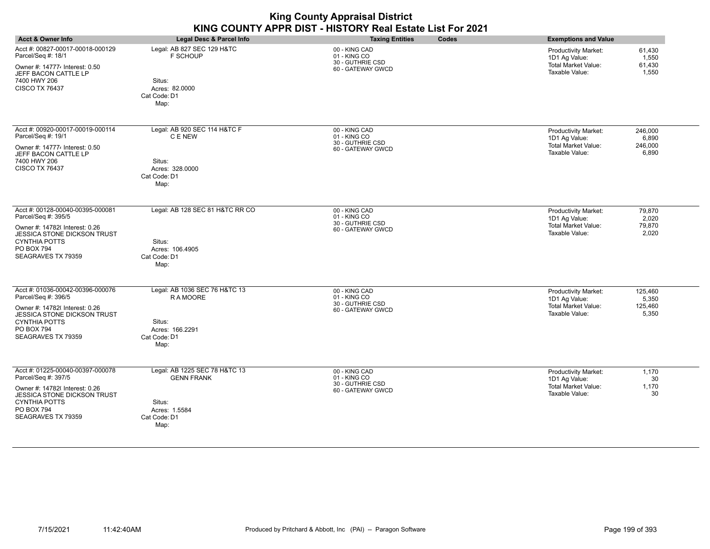|                                                                                                                                                                                                    |                                                                                                   | <b>King County Appraisal District</b><br>KING COUNTY APPR DIST - HISTORY Real Estate List For 2021 |       |                                                                                              |                                      |
|----------------------------------------------------------------------------------------------------------------------------------------------------------------------------------------------------|---------------------------------------------------------------------------------------------------|----------------------------------------------------------------------------------------------------|-------|----------------------------------------------------------------------------------------------|--------------------------------------|
| <b>Acct &amp; Owner Info</b>                                                                                                                                                                       | Legal Desc & Parcel Info                                                                          | <b>Taxing Entities</b>                                                                             | Codes | <b>Exemptions and Value</b>                                                                  |                                      |
| Acct #: 00827-00017-00018-000129<br>Parcel/Seq #: 18/1<br>Owner #: 147774 Interest: 0.50<br>JEFF BACON CATTLE LP<br>7400 HWY 206<br><b>CISCO TX 76437</b>                                          | Legal: AB 827 SEC 129 H&TC<br><b>F SCHOUP</b><br>Situs:<br>Acres: 82,0000<br>Cat Code: D1<br>Map: | 00 - KING CAD<br>01 - KING CO<br>30 - GUTHRIE CSD<br>60 - GATEWAY GWCD                             |       | <b>Productivity Market:</b><br>1D1 Ag Value:<br><b>Total Market Value:</b><br>Taxable Value: | 61,430<br>1.550<br>61.430<br>1,550   |
| Acct #: 00920-00017-00019-000114<br>Parcel/Seq #: 19/1<br>Owner #: 147774 Interest: 0.50<br>JEFF BACON CATTLE LP<br>7400 HWY 206<br><b>CISCO TX 76437</b>                                          | Legal: AB 920 SEC 114 H&TC F<br>C E NEW<br>Situs:<br>Acres: 328,0000<br>Cat Code: D1<br>Map:      | 00 - KING CAD<br>01 - KING CO<br>30 - GUTHRIE CSD<br>60 - GATEWAY GWCD                             |       | Productivity Market:<br>1D1 Ag Value:<br><b>Total Market Value:</b><br>Taxable Value:        | 246,000<br>6,890<br>246,000<br>6,890 |
| Acct #: 00128-00040-00395-000081<br>Parcel/Seq #: 395/5<br>Owner #: 14782( Interest: 0.26<br><b>JESSICA STONE DICKSON TRUST</b><br><b>CYNTHIA POTTS</b><br><b>PO BOX 794</b><br>SEAGRAVES TX 79359 | Legal: AB 128 SEC 81 H&TC RR CO<br>Situs:<br>Acres: 106.4905<br>Cat Code: D1<br>Map:              | 00 - KING CAD<br>01 - KING CO<br>30 - GUTHRIE CSD<br>60 - GATEWAY GWCD                             |       | Productivity Market:<br>1D1 Ag Value:<br><b>Total Market Value:</b><br>Taxable Value:        | 79,870<br>2,020<br>79,870<br>2.020   |
| Acct #: 01036-00042-00396-000076<br>Parcel/Seq #: 396/5<br>$\sim$ $\mu$ $\mu$ $\mu$ $\sim$ $\sim$ $\sim$ $\sim$ $\sim$ $\sim$ $\sim$                                                               | Legal: AB 1036 SEC 76 H&TC 13<br><b>RAMOORE</b>                                                   | 00 - KING CAD<br>01 - KING CO<br>30 - GUTHRIE CSD                                                  |       | <b>Productivity Market:</b><br>1D1 Ag Value:<br>Total Market Value:                          | 125,460<br>5,350<br>125AB            |

**JESSICA STON CYNTHIA POTT** PO BOX 794 SEAGRAVES T. Owner #: 14782 Parcel/Seq #: 39 Acct #: 00128-0 79,870  $2,020$ 79,870 2,020 JESSICA STONE DICKSON TRUST CYNTHIA POTTS PO BOX 794 SEAGRAVES TX 79359 Owner #: 14782( Interest: 0.26 Parcel/Seq #: 39 Acres: 166.2291 Cat Code: D1 Situs: Map: Acct #: 01036-0 30 - GUTHRIE CSD 60 - GATEWAY GWCD 5,460 5,350 125,460 5,350 Total Market Value: Taxable Value: JESSICA STONE DICKSON TRUST CYNTHIA POTTS PO BOX 794 SEAGRAVES TX 79359 Owner #: 14782( Interest: 0.26 Parcel/Seq #: 397/5 Legal: AB 1225 SEC 78 H&TC 13 Acres: 1.5584 Cat Code: D1 Situs: Map: GENN FRANK Acct #: 01225-00040-00397-000078 00 - KING CAD 01 - KING CO 30 - GUTHRIE CSD 60 - GATEWAY GWCD 1,170 30 1,170 30 Productivity Market: 1D1 Ag Value: Total Market Value: Taxable Value: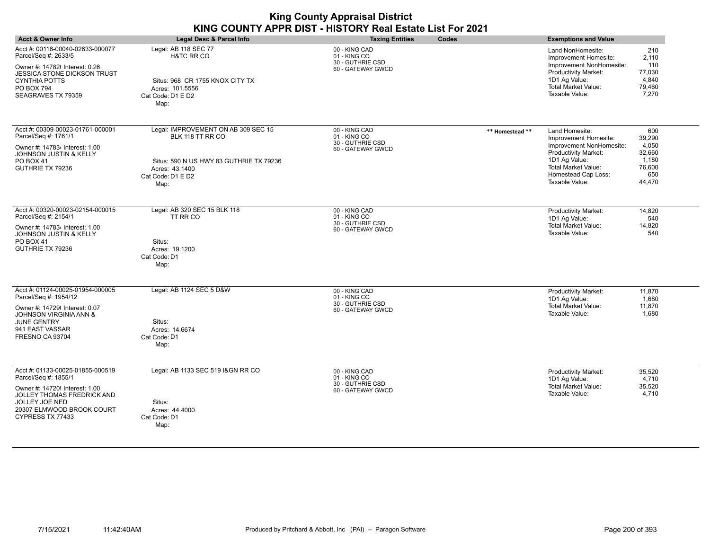| <b>Acct &amp; Owner Info</b>                                                                                                                                                                | Legal Desc & Parcel Info                                                                                                                          | <b>Taxing Entities</b>                                                 | Codes           | <b>Exemptions and Value</b>                                                                                                                                                         |                                                                      |
|---------------------------------------------------------------------------------------------------------------------------------------------------------------------------------------------|---------------------------------------------------------------------------------------------------------------------------------------------------|------------------------------------------------------------------------|-----------------|-------------------------------------------------------------------------------------------------------------------------------------------------------------------------------------|----------------------------------------------------------------------|
| Acct #: 00118-00040-02633-000077<br>Parcel/Seq #: 2633/5<br>Owner #: 14782( Interest: 0.26<br>JESSICA STONE DICKSON TRUST<br><b>CYNTHIA POTTS</b><br>PO BOX 794<br>SEAGRAVES TX 79359       | Legal: AB 118 SEC 77<br><b>H&amp;TC RR CO</b><br>Situs: 968 CR 1755 KNOX CITY TX<br>Acres: 101.5556<br>Cat Code: D1 E D2<br>Map:                  | 00 - KING CAD<br>01 - KING CO<br>30 - GUTHRIE CSD<br>60 - GATEWAY GWCD |                 | Land NonHomesite:<br>Improvement Homesite:<br>Improvement NonHomesite:<br><b>Productivity Market:</b><br>1D1 Ag Value:<br><b>Total Market Value:</b><br>Taxable Value:              | 210<br>2,110<br>110<br>77,030<br>4,840<br>79,460<br>7,270            |
| Acct #: 00309-00023-01761-000001<br>Parcel/Seq #: 1761/1<br>Owner #: 147834 Interest: 1.00<br><b>JOHNSON JUSTIN &amp; KELLY</b><br><b>PO BOX 41</b><br>GUTHRIE TX 79236                     | Legal: IMPROVEMENT ON AB 309 SEC 15<br>BLK 118 TT RR CO<br>Situs: 590 N US HWY 83 GUTHRIE TX 79236<br>Acres: 43.1400<br>Cat Code: D1 E D2<br>Map: | 00 - KING CAD<br>01 - KING CO<br>30 - GUTHRIE CSD<br>60 - GATEWAY GWCD | ** Homestead ** | Land Homesite:<br>Improvement Homesite:<br>Improvement NonHomesite:<br><b>Productivity Market:</b><br>1D1 Ag Value:<br>Total Market Value:<br>Homestead Cap Loss:<br>Taxable Value: | 600<br>39,290<br>4,050<br>32,660<br>1,180<br>76,600<br>650<br>44,470 |
| Acct #: 00320-00023-02154-000015<br>Parcel/Seq #: 2154/1<br>Owner #: 147834 Interest: 1.00<br><b>JOHNSON JUSTIN &amp; KELLY</b><br><b>PO BOX 41</b><br>GUTHRIE TX 79236                     | Legal: AB 320 SEC 15 BLK 118<br>TT RR CO<br>Situs:<br>Acres: 19.1200<br>Cat Code: D1<br>Map:                                                      | 00 - KING CAD<br>01 - KING CO<br>30 - GUTHRIE CSD<br>60 - GATEWAY GWCD |                 | <b>Productivity Market:</b><br>1D1 Ag Value:<br><b>Total Market Value:</b><br>Taxable Value:                                                                                        | 14,820<br>540<br>14,820<br>540                                       |
| Acct #: 01124-00025-01954-000005<br>Parcel/Seq #: 1954/12<br>Owner #: 14729( Interest: 0.07<br>JOHNSON VIRGINIA ANN &<br>JUNE GENTRY<br>941 EAST VASSAR<br>FRESNO CA 93704                  | Legal: AB 1124 SEC 5 D&W<br>Situs:<br>Acres: 14.6674<br>Cat Code: D1<br>Map:                                                                      | 00 - KING CAD<br>01 - KING CO<br>30 - GUTHRIE CSD<br>60 - GATEWAY GWCD |                 | <b>Productivity Market:</b><br>1D1 Ag Value:<br><b>Total Market Value:</b><br>Taxable Value:                                                                                        | 11,870<br>1,680<br>11,870<br>1,680                                   |
| Acct #: 01133-00025-01855-000519<br>Parcel/Seq #: 1855/1<br>Owner #: 14720! Interest: 1.00<br>JOLLEY THOMAS FREDRICK AND<br>JOLLEY JOE NED<br>20307 ELMWOOD BROOK COURT<br>CYPRESS TX 77433 | Legal: AB 1133 SEC 519 I&GN RR CO<br>Situs:<br>Acres: 44.4000<br>Cat Code: D1<br>Map:                                                             | 00 - KING CAD<br>01 - KING CO<br>30 - GUTHRIE CSD<br>60 - GATEWAY GWCD |                 | <b>Productivity Market:</b><br>1D1 Ag Value:<br><b>Total Market Value:</b><br>Taxable Value:                                                                                        | 35,520<br>4,710<br>35,520<br>4,710                                   |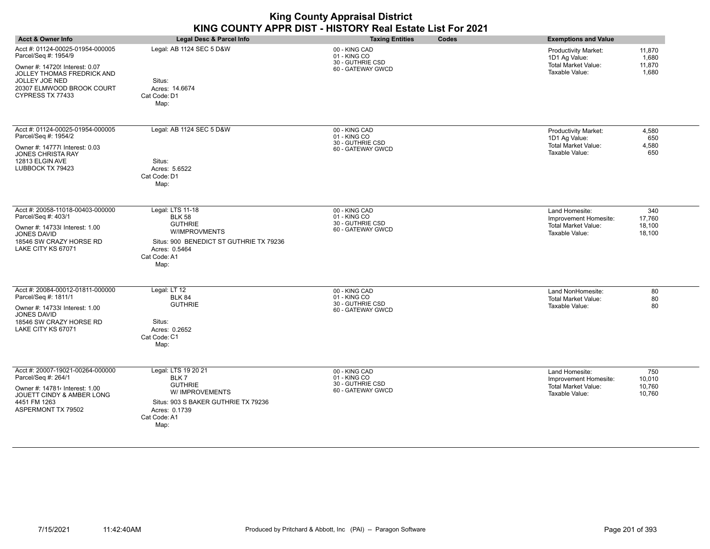| <b>Acct &amp; Owner Info</b>                                                                                                                                                                | Legal Desc & Parcel Info                                                                                                                                 | <b>Taxing Entities</b><br>Codes                                        | <b>Exemptions and Value</b>                                                                                                  |
|---------------------------------------------------------------------------------------------------------------------------------------------------------------------------------------------|----------------------------------------------------------------------------------------------------------------------------------------------------------|------------------------------------------------------------------------|------------------------------------------------------------------------------------------------------------------------------|
| Acct #: 01124-00025-01954-000005<br>Parcel/Seq #: 1954/9<br>Owner #: 147209 Interest: 0.07<br>JOLLEY THOMAS FREDRICK AND<br>JOLLEY JOE NED<br>20307 ELMWOOD BROOK COURT<br>CYPRESS TX 77433 | Legal: AB 1124 SEC 5 D&W<br>Situs:<br>Acres: 14.6674<br>Cat Code: D1<br>Map:                                                                             | 00 - KING CAD<br>01 - KING CO<br>30 - GUTHRIE CSD<br>60 - GATEWAY GWCD | <b>Productivity Market:</b><br>11,870<br>1,680<br>1D1 Ag Value:<br>Total Market Value:<br>11,870<br>Taxable Value:<br>1,680  |
| Acct #: 01124-00025-01954-000005<br>Parcel/Seq #: 1954/2<br>Owner #: 14777( Interest: 0.03<br>JONES CHRISTA RAY<br>12813 ELGIN AVE<br>LUBBOCK TX 79423                                      | Legal: AB 1124 SEC 5 D&W<br>Situs:<br>Acres: 5.6522<br>Cat Code: D1<br>Map:                                                                              | 00 - KING CAD<br>01 - KING CO<br>30 - GUTHRIE CSD<br>60 - GATEWAY GWCD | 4,580<br><b>Productivity Market:</b><br>1D1 Ag Value:<br>650<br><b>Total Market Value:</b><br>4,580<br>Taxable Value:<br>650 |
| Acct #: 20058-11018-00403-000000<br>Parcel/Seq #: 403/1<br>Owner #: 147338 Interest: 1.00<br><b>JONES DAVID</b><br>18546 SW CRAZY HORSE RD<br>LAKE CITY KS 67071                            | Legal: LTS 11-18<br><b>BLK 58</b><br><b>GUTHRIE</b><br>W/IMPROVMENTS<br>Situs: 900 BENEDICT ST GUTHRIE TX 79236<br>Acres: 0.5464<br>Cat Code: A1<br>Map: | 00 - KING CAD<br>01 - KING CO<br>30 - GUTHRIE CSD<br>60 - GATEWAY GWCD | Land Homesite:<br>340<br>17,760<br>Improvement Homesite:<br><b>Total Market Value:</b><br>18,100<br>Taxable Value:<br>18,100 |
| Acct #: 20084-00012-01811-000000<br>Parcel/Seq #: 1811/1<br>Owner #: 14733 Interest: 1.00<br>JONES DAVID<br>18546 SW CRAZY HORSE RD<br>LAKE CITY KS 67071                                   | Legal: LT 12<br><b>BLK 84</b><br><b>GUTHRIE</b><br>Situs:<br>Acres: 0.2652<br>Cat Code: C1<br>Map:                                                       | 00 - KING CAD<br>01 - KING CO<br>30 - GUTHRIE CSD<br>60 - GATEWAY GWCD | Land NonHomesite:<br>80<br><b>Total Market Value:</b><br>80<br>Taxable Value:<br>80                                          |
| Acct #: 20007-19021-00264-000000<br>Parcel/Seq #: 264/1<br>Owner #: 147814 Interest: 1.00<br>JOUETT CINDY & AMBER LONG<br>4451 FM 1263<br><b>ASPERMONT TX 79502</b>                         | Legal: LTS 19 20 21<br>BLK7<br><b>GUTHRIE</b><br>W/ IMPROVEMENTS<br>Situs: 903 S BAKER GUTHRIE TX 79236<br>Acres: 0.1739<br>Cat Code: A1<br>Map:         | 00 - KING CAD<br>01 - KING CO<br>30 - GUTHRIE CSD<br>60 - GATEWAY GWCD | Land Homesite:<br>750<br>Improvement Homesite:<br>10,010<br><b>Total Market Value:</b><br>10,760<br>Taxable Value:<br>10,760 |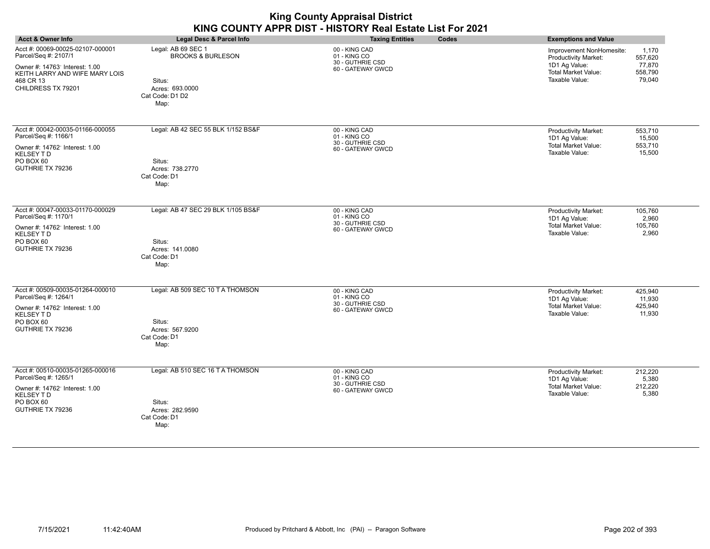| <b>Acct &amp; Owner Info</b>                                                                                                                                    | Legal Desc & Parcel Info                                                                                   | <b>Taxing Entities</b><br>Codes                                        | <b>Exemptions and Value</b>                                                                                                                                          |
|-----------------------------------------------------------------------------------------------------------------------------------------------------------------|------------------------------------------------------------------------------------------------------------|------------------------------------------------------------------------|----------------------------------------------------------------------------------------------------------------------------------------------------------------------|
| Acct #: 00069-00025-02107-000001<br>Parcel/Seq #: 2107/1<br>Owner #: 14763' Interest: 1.00<br>KEITH LARRY AND WIFE MARY LOIS<br>468 CR 13<br>CHILDRESS TX 79201 | Legal: AB 69 SEC 1<br><b>BROOKS &amp; BURLESON</b><br>Situs:<br>Acres: 693,0000<br>Cat Code: D1 D2<br>Map: | 00 - KING CAD<br>01 - KING CO<br>30 - GUTHRIE CSD<br>60 - GATEWAY GWCD | 1,170<br>Improvement NonHomesite:<br><b>Productivity Market:</b><br>557,620<br>1D1 Ag Value:<br>77,870<br>Total Market Value:<br>558,790<br>79,040<br>Taxable Value: |
| Acct #: 00042-00035-01166-000055<br>Parcel/Seq #: 1166/1<br>Owner #: 14762' Interest: 1.00<br><b>KELSEY TD</b><br>PO BOX 60<br>GUTHRIE TX 79236                 | Legal: AB 42 SEC 55 BLK 1/152 BS&F<br>Situs:<br>Acres: 738.2770<br>Cat Code: D1<br>Map:                    | 00 - KING CAD<br>01 - KING CO<br>30 - GUTHRIE CSD<br>60 - GATEWAY GWCD | Productivity Market:<br>553,710<br>1D1 Ag Value:<br>15,500<br><b>Total Market Value:</b><br>553,710<br>Taxable Value:<br>15,500                                      |
| Acct #: 00047-00033-01170-000029<br>Parcel/Seq #: 1170/1<br>Owner #: 14762' Interest: 1.00<br><b>KELSEY TD</b><br>PO BOX 60<br>GUTHRIE TX 79236                 | Legal: AB 47 SEC 29 BLK 1/105 BS&F<br>Situs:<br>Acres: 141.0080<br>Cat Code: D1<br>Map:                    | 00 - KING CAD<br>01 - KING CO<br>30 - GUTHRIE CSD<br>60 - GATEWAY GWCD | Productivity Market:<br>105,760<br>1D1 Ag Value:<br>2,960<br>Total Market Value:<br>105,760<br>Taxable Value:<br>2,960                                               |
| Acct #: 00509-00035-01264-000010<br>Parcel/Seq #: 1264/1<br>Owner #: 14762' Interest: 1.00<br><b>KELSEY TD</b><br>PO BOX 60<br>GUTHRIE TX 79236                 | Legal: AB 509 SEC 10 T A THOMSON<br>Situs:<br>Acres: 567,9200<br>Cat Code: D1<br>Map:                      | 00 - KING CAD<br>01 - KING CO<br>30 - GUTHRIE CSD<br>60 - GATEWAY GWCD | Productivity Market:<br>425,940<br>1D1 Ag Value:<br>11,930<br><b>Total Market Value:</b><br>425,940<br>Taxable Value:<br>11,930                                      |
| Acct #: 00510-00035-01265-000016<br>Parcel/Seq #: 1265/1<br>Owner #: 14762' Interest: 1.00<br><b>KELSEY TD</b><br>PO BOX 60<br>GUTHRIE TX 79236                 | Legal: AB 510 SEC 16 T A THOMSON<br>Situs:<br>Acres: 282.9590<br>Cat Code: D1<br>Map:                      | 00 - KING CAD<br>01 - KING CO<br>30 - GUTHRIE CSD<br>60 - GATEWAY GWCD | 212,220<br>Productivity Market:<br>1D1 Ag Value:<br>5,380<br><b>Total Market Value:</b><br>212,220<br>Taxable Value:<br>5,380                                        |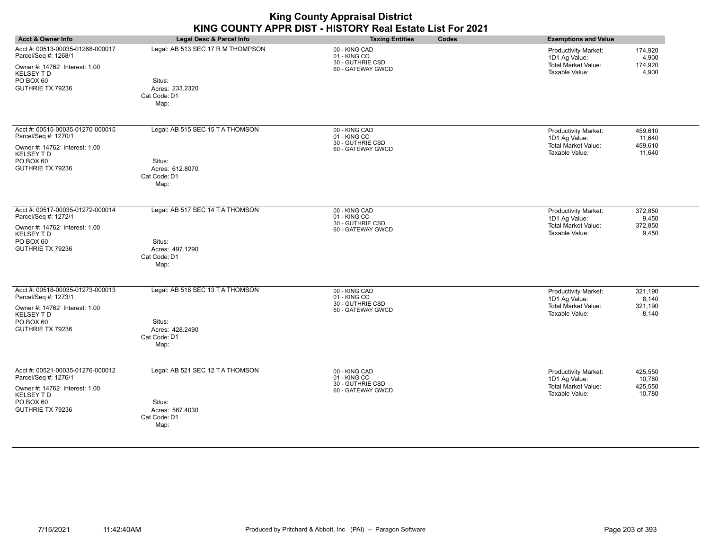| <b>Acct &amp; Owner Info</b>                                                                                                                    | Legal Desc & Parcel Info                                                               | <b>Taxing Entities</b><br>Codes                                        | <b>Exemptions and Value</b>                                                                                                            |
|-------------------------------------------------------------------------------------------------------------------------------------------------|----------------------------------------------------------------------------------------|------------------------------------------------------------------------|----------------------------------------------------------------------------------------------------------------------------------------|
| Acct #: 00513-00035-01268-000017<br>Parcel/Seq #: 1268/1<br>Owner #: 14762' Interest: 1.00<br><b>KELSEY TD</b><br>PO BOX 60<br>GUTHRIE TX 79236 | Legal: AB 513 SEC 17 R M THOMPSON<br>Situs:<br>Acres: 233.2320<br>Cat Code: D1<br>Map: | 00 - KING CAD<br>01 - KING CO<br>30 - GUTHRIE CSD<br>60 - GATEWAY GWCD | 174,920<br><b>Productivity Market:</b><br>1D1 Ag Value:<br>4,900<br><b>Total Market Value:</b><br>174,920<br>Taxable Value:<br>4,900   |
| Acct #: 00515-00035-01270-000015<br>Parcel/Seq #: 1270/1<br>Owner #: 14762' Interest: 1.00<br><b>KELSEY TD</b><br>PO BOX 60<br>GUTHRIE TX 79236 | Legal: AB 515 SEC 15 T A THOMSON<br>Situs:<br>Acres: 612.8070<br>Cat Code: D1<br>Map:  | 00 - KING CAD<br>01 - KING CO<br>30 - GUTHRIE CSD<br>60 - GATEWAY GWCD | <b>Productivity Market:</b><br>459,610<br>1D1 Ag Value:<br>11,640<br><b>Total Market Value:</b><br>459,610<br>Taxable Value:<br>11,640 |
| Acct #: 00517-00035-01272-000014<br>Parcel/Seq #: 1272/1<br>Owner #: 14762' Interest: 1.00<br><b>KELSEY TD</b><br>PO BOX 60<br>GUTHRIE TX 79236 | Legal: AB 517 SEC 14 T A THOMSON<br>Situs:<br>Acres: 497.1290<br>Cat Code: D1<br>Map:  | 00 - KING CAD<br>01 - KING CO<br>30 - GUTHRIE CSD<br>60 - GATEWAY GWCD | 372,850<br>Productivity Market:<br>1D1 Ag Value:<br>9,450<br>Total Market Value:<br>372,850<br>Taxable Value:<br>9,450                 |
| Acct #: 00518-00035-01273-000013<br>Parcel/Seq #: 1273/1<br>Owner #: 14762' Interest: 1.00<br><b>KELSEY TD</b><br>PO BOX 60<br>GUTHRIE TX 79236 | Legal: AB 518 SEC 13 T A THOMSON<br>Situs:<br>Acres: 428.2490<br>Cat Code: D1<br>Map:  | 00 - KING CAD<br>01 - KING CO<br>30 - GUTHRIE CSD<br>60 - GATEWAY GWCD | <b>Productivity Market:</b><br>321,190<br>1D1 Ag Value:<br>8,140<br><b>Total Market Value:</b><br>321,190<br>Taxable Value:<br>8,140   |
| Acct #: 00521-00035-01276-000012<br>Parcel/Seq #: 1276/1<br>Owner #: 14762' Interest: 1.00<br><b>KELSEY TD</b><br>PO BOX 60<br>GUTHRIE TX 79236 | Legal: AB 521 SEC 12 T A THOMSON<br>Situs:<br>Acres: 567.4030<br>Cat Code: D1<br>Map:  | 00 - KING CAD<br>01 - KING CO<br>30 - GUTHRIE CSD<br>60 - GATEWAY GWCD | Productivity Market:<br>425,550<br>1D1 Ag Value:<br>10,780<br><b>Total Market Value:</b><br>425,550<br>Taxable Value:<br>10,780        |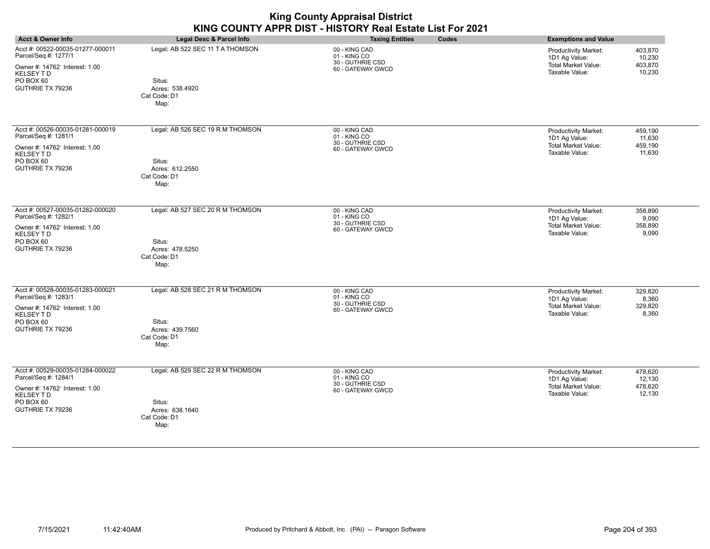| <b>Acct &amp; Owner Info</b>                                                                                                                    | Legal Desc & Parcel Info                                                              | <b>Taxing Entities</b><br>Codes                                        | <b>Exemptions and Value</b>                                                                                                            |
|-------------------------------------------------------------------------------------------------------------------------------------------------|---------------------------------------------------------------------------------------|------------------------------------------------------------------------|----------------------------------------------------------------------------------------------------------------------------------------|
| Acct #: 00522-00035-01277-000011<br>Parcel/Seq #: 1277/1<br>Owner #: 14762' Interest: 1.00<br><b>KELSEY TD</b><br>PO BOX 60<br>GUTHRIE TX 79236 | Legal: AB 522 SEC 11 T A THOMSON<br>Situs:<br>Acres: 538.4920<br>Cat Code: D1<br>Map: | 00 - KING CAD<br>01 - KING CO<br>30 - GUTHRIE CSD<br>60 - GATEWAY GWCD | 403,870<br><b>Productivity Market:</b><br>1D1 Ag Value:<br>10,230<br><b>Total Market Value:</b><br>403,870<br>Taxable Value:<br>10,230 |
| Acct #: 00526-00035-01281-000019<br>Parcel/Seq #: 1281/1<br>Owner #: 14762' Interest: 1.00<br><b>KELSEY TD</b><br>PO BOX 60<br>GUTHRIE TX 79236 | Legal: AB 526 SEC 19 R M THOMSON<br>Situs:<br>Acres: 612.2550<br>Cat Code: D1<br>Map: | 00 - KING CAD<br>01 - KING CO<br>30 - GUTHRIE CSD<br>60 - GATEWAY GWCD | Productivity Market:<br>459,190<br>1D1 Ag Value:<br>11,630<br><b>Total Market Value:</b><br>459,190<br>Taxable Value:<br>11,630        |
| Acct #: 00527-00035-01282-000020<br>Parcel/Seq #: 1282/1<br>Owner #: 14762' Interest: 1.00<br><b>KELSEY TD</b><br>PO BOX 60<br>GUTHRIE TX 79236 | Legal: AB 527 SEC 20 R M THOMSON<br>Situs:<br>Acres: 478.5250<br>Cat Code: D1<br>Map: | 00 - KING CAD<br>01 - KING CO<br>30 - GUTHRIE CSD<br>60 - GATEWAY GWCD | Productivity Market:<br>358,890<br>1D1 Ag Value:<br>9,090<br><b>Total Market Value:</b><br>358,890<br>Taxable Value:<br>9,090          |
| Acct #: 00528-00035-01283-000021<br>Parcel/Seq #: 1283/1<br>Owner #: 14762' Interest: 1.00<br>KELSEY TD<br>PO BOX 60<br>GUTHRIE TX 79236        | Legal: AB 528 SEC 21 R M THOMSON<br>Situs:<br>Acres: 439.7560<br>Cat Code: D1<br>Map: | 00 - KING CAD<br>01 - KING CO<br>30 - GUTHRIE CSD<br>60 - GATEWAY GWCD | Productivity Market:<br>329.820<br>1D1 Ag Value:<br>8,360<br><b>Total Market Value:</b><br>329,820<br>Taxable Value:<br>8,360          |
| Acct #: 00529-00035-01284-000022<br>Parcel/Seq #: 1284/1<br>Owner #: 14762' Interest: 1.00<br><b>KELSEY TD</b><br>PO BOX 60<br>GUTHRIE TX 79236 | Legal: AB 529 SEC 22 R M THOMSON<br>Situs:<br>Acres: 638.1640<br>Cat Code: D1<br>Map: | 00 - KING CAD<br>01 - KING CO<br>30 - GUTHRIE CSD<br>60 - GATEWAY GWCD | Productivity Market:<br>478,620<br>1D1 Ag Value:<br>12,130<br><b>Total Market Value:</b><br>478,620<br>Taxable Value:<br>12,130        |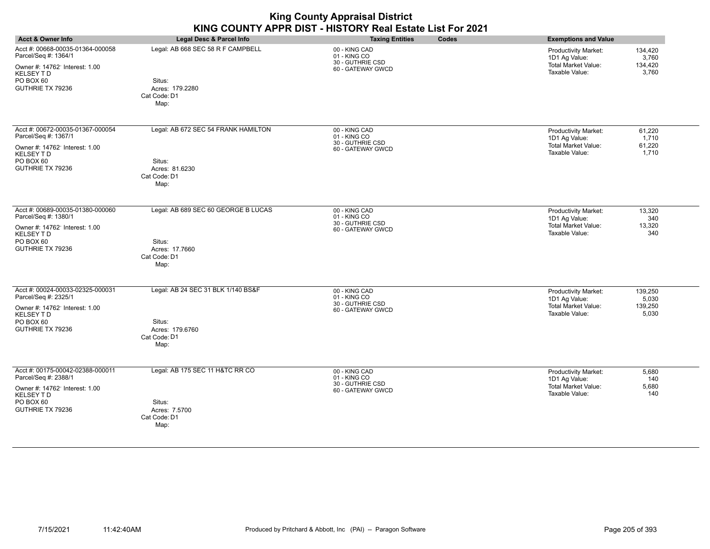| <b>Acct &amp; Owner Info</b>                                                                                                                    | Legal Desc & Parcel Info                                                                | <b>Taxing Entities</b><br>Codes                                        | <b>Exemptions and Value</b>                                                                                                          |
|-------------------------------------------------------------------------------------------------------------------------------------------------|-----------------------------------------------------------------------------------------|------------------------------------------------------------------------|--------------------------------------------------------------------------------------------------------------------------------------|
| Acct #: 00668-00035-01364-000058<br>Parcel/Seq #: 1364/1<br>Owner #: 14762' Interest: 1.00<br><b>KELSEY TD</b><br>PO BOX 60<br>GUTHRIE TX 79236 | Legal: AB 668 SEC 58 R F CAMPBELL<br>Situs:<br>Acres: 179.2280<br>Cat Code: D1<br>Map:  | 00 - KING CAD<br>01 - KING CO<br>30 - GUTHRIE CSD<br>60 - GATEWAY GWCD | 134,420<br><b>Productivity Market:</b><br>1D1 Ag Value:<br>3,760<br><b>Total Market Value:</b><br>134,420<br>Taxable Value:<br>3,760 |
| Acct #: 00672-00035-01367-000054<br>Parcel/Seq #: 1367/1<br>Owner #: 14762' Interest: 1.00<br><b>KELSEY TD</b><br>PO BOX 60<br>GUTHRIE TX 79236 | Legal: AB 672 SEC 54 FRANK HAMILTON<br>Situs:<br>Acres: 81.6230<br>Cat Code: D1<br>Map: | 00 - KING CAD<br>01 - KING CO<br>30 - GUTHRIE CSD<br>60 - GATEWAY GWCD | Productivity Market:<br>61,220<br>1D1 Ag Value:<br>1,710<br><b>Total Market Value:</b><br>61,220<br>Taxable Value:<br>1,710          |
| Acct #: 00689-00035-01380-000060<br>Parcel/Seq #: 1380/1<br>Owner #: 14762' Interest: 1.00<br><b>KELSEY TD</b><br>PO BOX 60<br>GUTHRIE TX 79236 | Legal: AB 689 SEC 60 GEORGE B LUCAS<br>Situs:<br>Acres: 17.7660<br>Cat Code: D1<br>Map: | 00 - KING CAD<br>01 - KING CO<br>30 - GUTHRIE CSD<br>60 - GATEWAY GWCD | Productivity Market:<br>13,320<br>1D1 Ag Value:<br>340<br><b>Total Market Value:</b><br>13,320<br>Taxable Value:<br>340              |
| Acct #: 00024-00033-02325-000031<br>Parcel/Seq #: 2325/1<br>Owner #: 14762' Interest: 1.00<br>KELSEY TD<br>PO BOX 60<br>GUTHRIE TX 79236        | Legal: AB 24 SEC 31 BLK 1/140 BS&F<br>Situs:<br>Acres: 179.6760<br>Cat Code: D1<br>Map: | 00 - KING CAD<br>01 - KING CO<br>30 - GUTHRIE CSD<br>60 - GATEWAY GWCD | Productivity Market:<br>139,250<br>1D1 Ag Value:<br>5,030<br><b>Total Market Value:</b><br>139,250<br>Taxable Value:<br>5,030        |
| Acct #: 00175-00042-02388-000011<br>Parcel/Seq #: 2388/1<br>Owner #: 14762' Interest: 1.00<br><b>KELSEY TD</b><br>PO BOX 60<br>GUTHRIE TX 79236 | Legal: AB 175 SEC 11 H&TC RR CO<br>Situs:<br>Acres: 7.5700<br>Cat Code: D1<br>Map:      | 00 - KING CAD<br>01 - KING CO<br>30 - GUTHRIE CSD<br>60 - GATEWAY GWCD | Productivity Market:<br>5,680<br>1D1 Ag Value:<br>140<br><b>Total Market Value:</b><br>5,680<br>Taxable Value:<br>140                |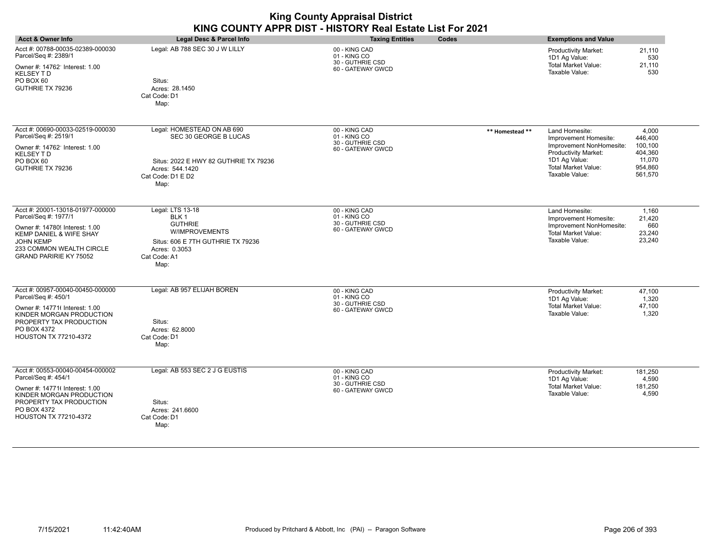| <b>Acct &amp; Owner Info</b>                                                                                                                                                                           | Legal Desc & Parcel Info                                                                                                                     | <b>Taxing Entities</b><br>Codes                                        | <b>Exemptions and Value</b>                                                                                                                                                                                                                               |
|--------------------------------------------------------------------------------------------------------------------------------------------------------------------------------------------------------|----------------------------------------------------------------------------------------------------------------------------------------------|------------------------------------------------------------------------|-----------------------------------------------------------------------------------------------------------------------------------------------------------------------------------------------------------------------------------------------------------|
| Acct #: 00788-00035-02389-000030<br>Parcel/Seq #: 2389/1<br>Owner #: 14762' Interest: 1.00<br><b>KELSEY TD</b><br>PO BOX 60<br>GUTHRIE TX 79236                                                        | Legal: AB 788 SEC 30 J W LILLY<br>Situs:<br>Acres: 28.1450<br>Cat Code: D1<br>Map:                                                           | 00 - KING CAD<br>01 - KING CO<br>30 - GUTHRIE CSD<br>60 - GATEWAY GWCD | 21,110<br>Productivity Market:<br>1D1 Ag Value:<br>530<br>Total Market Value:<br>21,110<br>Taxable Value:<br>530                                                                                                                                          |
| Acct #: 00690-00033-02519-000030<br>Parcel/Seq #: 2519/1<br>Owner #: 14762' Interest: 1.00<br><b>KELSEY TD</b><br>PO BOX 60<br>GUTHRIE TX 79236                                                        | Legal: HOMESTEAD ON AB 690<br>SEC 30 GEORGE B LUCAS<br>Situs: 2022 E HWY 82 GUTHRIE TX 79236<br>Acres: 544.1420<br>Cat Code: D1 E D2<br>Map: | 00 - KING CAD<br>01 - KING CO<br>30 - GUTHRIE CSD<br>60 - GATEWAY GWCD | 4,000<br>** Homestead **<br>Land Homesite:<br>446,400<br>Improvement Homesite:<br>Improvement NonHomesite:<br>100,100<br>Productivity Market:<br>404,360<br>1D1 Ag Value:<br>11,070<br><b>Total Market Value:</b><br>954,860<br>Taxable Value:<br>561,570 |
| Acct #: 20001-13018-01977-000000<br>Parcel/Seq #: 1977/1<br>Owner #: 14780! Interest: 1.00<br>KEMP DANIEL & WIFE SHAY<br><b>JOHN KEMP</b><br>233 COMMON WEALTH CIRCLE<br><b>GRAND PARIRIE KY 75052</b> | Legal: LTS 13-18<br>BLK 1<br><b>GUTHRIE</b><br>W/IMPROVEMENTS<br>Situs: 606 E 7TH GUTHRIE TX 79236<br>Acres: 0.3053<br>Cat Code: A1<br>Map:  | 00 - KING CAD<br>01 - KING CO<br>30 - GUTHRIE CSD<br>60 - GATEWAY GWCD | Land Homesite:<br>1,160<br>Improvement Homesite:<br>21,420<br>660<br>Improvement NonHomesite:<br><b>Total Market Value:</b><br>23,240<br>Taxable Value:<br>23,240                                                                                         |
| Acct #: 00957-00040-00450-000000<br>Parcel/Seq #: 450/1<br>Owner #: 14771( Interest: 1.00<br>KINDER MORGAN PRODUCTION<br>PROPERTY TAX PRODUCTION<br>PO BOX 4372<br><b>HOUSTON TX 77210-4372</b>        | Legal: AB 957 ELIJAH BOREN<br>Situs:<br>Acres: 62,8000<br>Cat Code: D1<br>Map:                                                               | 00 - KING CAD<br>01 - KING CO<br>30 - GUTHRIE CSD<br>60 - GATEWAY GWCD | 47,100<br><b>Productivity Market:</b><br>1D1 Ag Value:<br>1,320<br><b>Total Market Value:</b><br>47,100<br>Taxable Value:<br>1,320                                                                                                                        |
| Acct #: 00553-00040-00454-000002<br>Parcel/Seq #: 454/1<br>Owner #: 14771( Interest: 1.00<br>KINDER MORGAN PRODUCTION<br>PROPERTY TAX PRODUCTION<br>PO BOX 4372<br><b>HOUSTON TX 77210-4372</b>        | Legal: AB 553 SEC 2 J G EUSTIS<br>Situs:<br>Acres: 241.6600<br>Cat Code: D1<br>Map:                                                          | 00 - KING CAD<br>01 - KING CO<br>30 - GUTHRIE CSD<br>60 - GATEWAY GWCD | 181,250<br>Productivity Market:<br>1D1 Ag Value:<br>4,590<br><b>Total Market Value:</b><br>181,250<br>Taxable Value:<br>4,590                                                                                                                             |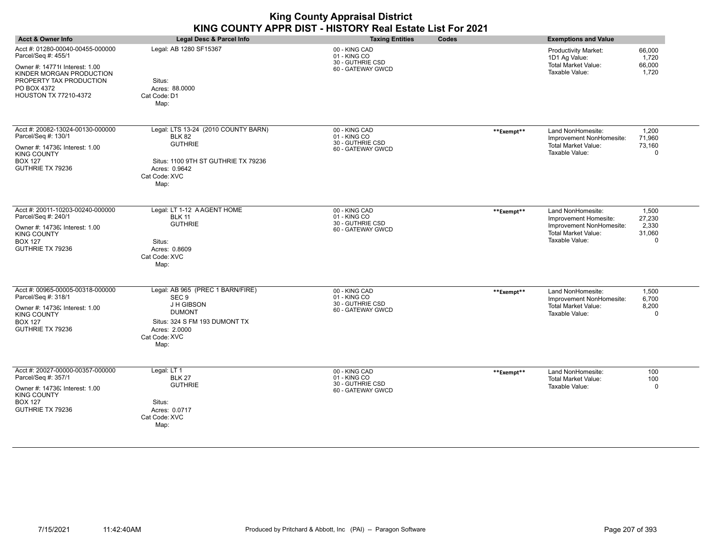| <b>Acct &amp; Owner Info</b>                                                                                                                                                                    | Legal Desc & Parcel Info                                                                                                                                       | <b>Taxing Entities</b><br>Codes                                        |            | <b>Exemptions and Value</b>                                                                                            |                                                |
|-------------------------------------------------------------------------------------------------------------------------------------------------------------------------------------------------|----------------------------------------------------------------------------------------------------------------------------------------------------------------|------------------------------------------------------------------------|------------|------------------------------------------------------------------------------------------------------------------------|------------------------------------------------|
| Acct #: 01280-00040-00455-000000<br>Parcel/Seq #: 455/1<br>Owner #: 14771( Interest: 1.00<br>KINDER MORGAN PRODUCTION<br>PROPERTY TAX PRODUCTION<br>PO BOX 4372<br><b>HOUSTON TX 77210-4372</b> | Legal: AB 1280 SF15367<br>Situs:<br>Acres: 88,0000<br>Cat Code: D1<br>Map:                                                                                     | 00 - KING CAD<br>01 - KING CO<br>30 - GUTHRIE CSD<br>60 - GATEWAY GWCD |            | Productivity Market:<br>1D1 Ag Value:<br>Total Market Value:<br>Taxable Value:                                         | 66,000<br>1,720<br>66,000<br>1,720             |
| Acct #: 20082-13024-00130-000000<br>Parcel/Seq #: 130/1<br>Owner #: 14736; Interest: 1.00<br><b>KING COUNTY</b><br><b>BOX 127</b><br>GUTHRIE TX 79236                                           | Legal: LTS 13-24 (2010 COUNTY BARN)<br><b>BLK 82</b><br><b>GUTHRIE</b><br>Situs: 1100 9TH ST GUTHRIE TX 79236<br>Acres: 0.9642<br>Cat Code: XVC<br>Map:        | 00 - KING CAD<br>01 - KING CO<br>30 - GUTHRIE CSD<br>60 - GATEWAY GWCD | **Exempt** | Land NonHomesite:<br>Improvement NonHomesite:<br><b>Total Market Value:</b><br>Taxable Value:                          | 1,200<br>71,960<br>73,160<br>0                 |
| Acct #: 20011-10203-00240-000000<br>Parcel/Seq #: 240/1<br>Owner #: 14736; Interest: 1.00<br><b>KING COUNTY</b><br><b>BOX 127</b><br>GUTHRIE TX 79236                                           | Legal: LT 1-12 AAGENT HOME<br><b>BLK 11</b><br><b>GUTHRIE</b><br>Situs:<br>Acres: 0.8609<br>Cat Code: XVC<br>Map:                                              | 00 - KING CAD<br>01 - KING CO<br>30 - GUTHRIE CSD<br>60 - GATEWAY GWCD | **Exempt** | Land NonHomesite:<br>Improvement Homesite:<br>Improvement NonHomesite:<br><b>Total Market Value:</b><br>Taxable Value: | 1,500<br>27,230<br>2,330<br>31,060<br>$\Omega$ |
| Acct #: 00965-00005-00318-000000<br>Parcel/Seq #: 318/1<br>Owner #: 14736; Interest: 1.00<br><b>KING COUNTY</b><br><b>BOX 127</b><br>GUTHRIE TX 79236                                           | Legal: AB 965 (PREC 1 BARN/FIRE)<br>SEC <sub>9</sub><br>J H GIBSON<br><b>DUMONT</b><br>Situs: 324 S FM 193 DUMONT TX<br>Acres: 2.0000<br>Cat Code: XVC<br>Map: | 00 - KING CAD<br>01 - KING CO<br>30 - GUTHRIE CSD<br>60 - GATEWAY GWCD | **Exempt** | Land NonHomesite:<br>Improvement NonHomesite:<br>Total Market Value:<br>Taxable Value:                                 | 1,500<br>6.700<br>8,200<br>0                   |
| Acct #: 20027-00000-00357-000000<br>Parcel/Seq #: 357/1<br>Owner #: 14736; Interest: 1.00<br><b>KING COUNTY</b><br><b>BOX 127</b><br>GUTHRIE TX 79236                                           | Legal: LT 1<br><b>BLK 27</b><br><b>GUTHRIE</b><br>Situs:<br>Acres: 0.0717<br>Cat Code: XVC<br>Map:                                                             | 00 - KING CAD<br>01 - KING CO<br>30 - GUTHRIE CSD<br>60 - GATEWAY GWCD | **Exempt** | Land NonHomesite:<br>Total Market Value:<br>Taxable Value:                                                             | 100<br>100<br>0                                |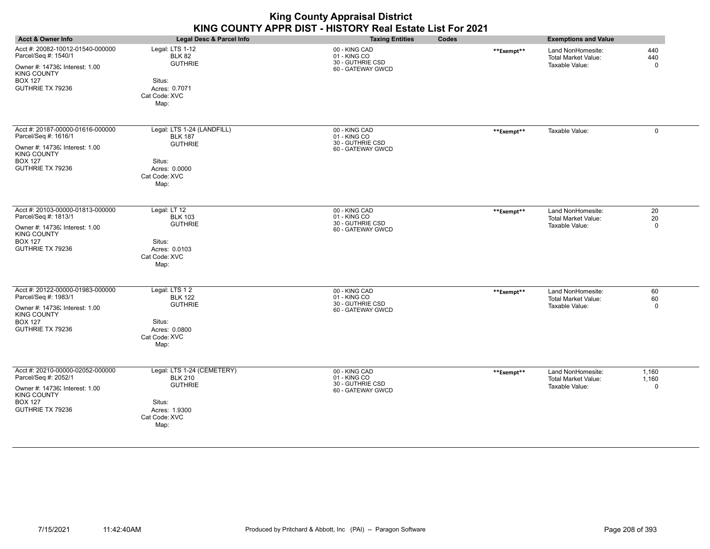| <b>King County Appraisal District</b><br>KING COUNTY APPR DIST - HISTORY Real Estate List For 2021                                                     |                                                                                                                    |                                                                        |            |                                                                   |                               |
|--------------------------------------------------------------------------------------------------------------------------------------------------------|--------------------------------------------------------------------------------------------------------------------|------------------------------------------------------------------------|------------|-------------------------------------------------------------------|-------------------------------|
| <b>Acct &amp; Owner Info</b>                                                                                                                           | <b>Legal Desc &amp; Parcel Info</b>                                                                                | <b>Taxing Entities</b><br>Codes                                        |            | <b>Exemptions and Value</b>                                       |                               |
| Acct #: 20082-10012-01540-000000<br>Parcel/Seq #: 1540/1<br>Owner #: 14736; Interest: 1.00<br><b>KING COUNTY</b><br><b>BOX 127</b><br>GUTHRIE TX 79236 | Legal: LTS 1-12<br><b>BLK 82</b><br><b>GUTHRIE</b><br>Situs:<br>Acres: 0.7071<br>Cat Code: XVC<br>Map:             | 00 - KING CAD<br>01 - KING CO<br>30 - GUTHRIE CSD<br>60 - GATEWAY GWCD | **Exempt** | Land NonHomesite:<br><b>Total Market Value:</b><br>Taxable Value: | 440<br>440<br>$\Omega$        |
| Acct #: 20187-00000-01616-000000<br>Parcel/Seq #: 1616/1<br>Owner #: 14736; Interest: 1.00<br><b>KING COUNTY</b><br><b>BOX 127</b><br>GUTHRIE TX 79236 | Legal: LTS 1-24 (LANDFILL)<br><b>BLK 187</b><br><b>GUTHRIE</b><br>Situs:<br>Acres: 0.0000<br>Cat Code: XVC<br>Map: | 00 - KING CAD<br>01 - KING CO<br>30 - GUTHRIE CSD<br>60 - GATEWAY GWCD | **Exempt** | Taxable Value:                                                    | $\mathbf 0$                   |
| Acct #: 20103-00000-01813-000000<br>Parcel/Seq #: 1813/1<br>Owner #: 14736; Interest: 1.00<br><b>KING COUNTY</b><br><b>BOX 127</b><br>GUTHRIE TX 79236 | Legal: LT 12<br><b>BLK 103</b><br><b>GUTHRIE</b><br>Situs:<br>Acres: 0.0103<br>Cat Code: XVC<br>Map:               | 00 - KING CAD<br>01 - KING CO<br>30 - GUTHRIE CSD<br>60 - GATEWAY GWCD | **Exempt** | Land NonHomesite:<br>Total Market Value:<br>Taxable Value:        | 20<br>20<br>$\mathbf 0$       |
| Acct #: 20122-00000-01983-000000<br>Parcel/Seq #: 1983/1<br>Owner #: 14736; Interest: 1.00<br><b>KING COUNTY</b><br><b>BOX 127</b><br>GUTHRIE TX 79236 | Legal: LTS 12<br><b>BLK 122</b><br><b>GUTHRIE</b><br>Situs:<br>Acres: 0.0800<br>Cat Code: XVC<br>Map:              | 00 - KING CAD<br>01 - KING CO<br>30 - GUTHRIE CSD<br>60 - GATEWAY GWCD | **Exempt** | Land NonHomesite:<br><b>Total Market Value:</b><br>Taxable Value: | 60<br>60<br>$\mathbf 0$       |
| Acct #: 20210-00000-02052-000000<br>Parcel/Seq #: 2052/1<br>Owner #: 14736; Interest: 1.00<br><b>KING COUNTY</b><br><b>BOX 127</b><br>GUTHRIE TX 79236 | Legal: LTS 1-24 (CEMETERY)<br><b>BLK 210</b><br><b>GUTHRIE</b><br>Situs:<br>Acres: 1.9300<br>Cat Code: XVC<br>Map: | 00 - KING CAD<br>01 - KING CO<br>30 - GUTHRIE CSD<br>60 - GATEWAY GWCD | **Exempt** | Land NonHomesite:<br><b>Total Market Value:</b><br>Taxable Value: | 1,160<br>1,160<br>$\mathbf 0$ |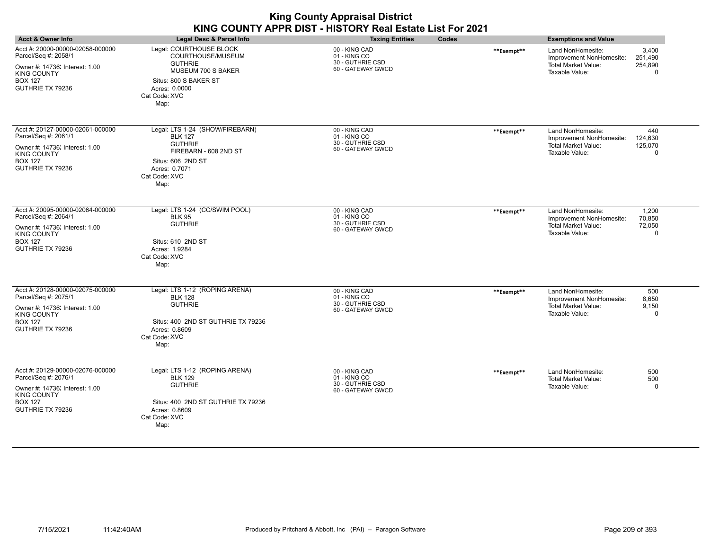| <b>King County Appraisal District</b><br>KING COUNTY APPR DIST - HISTORY Real Estate List For 2021                                              |                                                                                                                                                             |                                                                        |            |                                                                                               |                                            |
|-------------------------------------------------------------------------------------------------------------------------------------------------|-------------------------------------------------------------------------------------------------------------------------------------------------------------|------------------------------------------------------------------------|------------|-----------------------------------------------------------------------------------------------|--------------------------------------------|
| <b>Acct &amp; Owner Info</b>                                                                                                                    | Legal Desc & Parcel Info                                                                                                                                    | <b>Taxing Entities</b>                                                 | Codes      | <b>Exemptions and Value</b>                                                                   |                                            |
| Acct #: 20000-00000-02058-000000<br>Parcel/Seq #: 2058/1<br>Owner #: 14736; Interest: 1.00<br>KING COUNTY<br>BOX 127<br>GUTHRIE TX 79236        | Legal: COURTHOUSE BLOCK<br>COURTHOUSE/MUSEUM<br><b>GUTHRIE</b><br>MUSEUM 700 S BAKER<br>Situs: 800 S BAKER ST<br>Acres: 0.0000<br>Cat Code: XVC<br>Map:     | 00 - KING CAD<br>01 - KING CO<br>30 - GUTHRIE CSD<br>60 - GATEWAY GWCD | **Exempt** | Land NonHomesite:<br>Improvement NonHomesite:<br>Total Market Value:<br>Taxable Value:        | 3,400<br>251,490<br>254,890<br>$\mathbf 0$ |
| Acct #: 20127-00000-02061-000000<br>Parcel/Seq #: 2061/1<br>Owner #: 14736: Interest: 1.00<br>KING COUNTY<br>BOX 127<br>GUTHRIE TX 79236        | Legal: LTS 1-24 (SHOW/FIREBARN)<br><b>BLK 127</b><br><b>GUTHRIE</b><br>FIREBARN - 608 2ND ST<br>Situs: 606 2ND ST<br>Acres: 0.7071<br>Cat Code: XVC<br>Map: | 00 - KING CAD<br>01 - KING CO<br>30 - GUTHRIE CSD<br>60 - GATEWAY GWCD | **Exempt** | Land NonHomesite:<br>Improvement NonHomesite:<br><b>Total Market Value:</b><br>Taxable Value: | 440<br>124,630<br>125,070<br>$\Omega$      |
| Acct #: 20095-00000-02064-000000<br>Parcel/Seq #: 2064/1<br>Owner #: 14736; Interest: 1.00<br>KING COUNTY<br><b>BOX 127</b><br>GUTHRIE TX 79236 | Legal: LTS 1-24 (CC/SWIM POOL)<br><b>BLK 95</b><br><b>GUTHRIE</b><br>Situs: 610 2ND ST<br>Acres: 1.9284<br>Cat Code: XVC<br>Map:                            | 00 - KING CAD<br>01 - KING CO<br>30 - GUTHRIE CSD<br>60 - GATEWAY GWCD | **Exempt** | Land NonHomesite:<br>Improvement NonHomesite:<br><b>Total Market Value:</b><br>Taxable Value: | 1,200<br>70,850<br>72,050<br>0             |
| Acct #: 20128-00000-02075-000000<br>Parcel/Seq #: 2075/1<br>Owner #: 14736; Interest: 1.00<br>KING COUNTY<br>BOX 127<br>GUTHRIE TX 79236        | Legal: LTS 1-12 (ROPING ARENA)<br><b>BLK 128</b><br><b>GUTHRIE</b><br>Situs: 400 2ND ST GUTHRIE TX 79236<br>Acres: 0.8609<br>Cat Code: XVC<br>Map:          | 00 - KING CAD<br>01 - KING CO<br>30 - GUTHRIE CSD<br>60 - GATEWAY GWCD | **Exempt** | Land NonHomesite:<br>Improvement NonHomesite:<br>Total Market Value:<br>Taxable Value:        | 500<br>8,650<br>9,150<br>$\Omega$          |
| Acct #: 20129-00000-02076-000000<br>Parcel/Seq #: 2076/1<br>Owner #: 14736; Interest: 1.00<br>KING COUNTY<br><b>BOX 127</b><br>GUTHRIE TX 79236 | Legal: LTS 1-12 (ROPING ARENA)<br><b>BLK 129</b><br><b>GUTHRIE</b><br>Situs: 400 2ND ST GUTHRIE TX 79236<br>Acres: 0.8609<br>Cat Code: XVC<br>Map:          | 00 - KING CAD<br>01 - KING CO<br>30 - GUTHRIE CSD<br>60 - GATEWAY GWCD | **Exempt** | Land NonHomesite:<br><b>Total Market Value:</b><br>Taxable Value:                             | 500<br>500<br>$\mathbf 0$                  |

 $\overline{\phantom{a}}$ 

 $\overline{\phantom{a}}$ 

 $\overline{\phantom{a}}$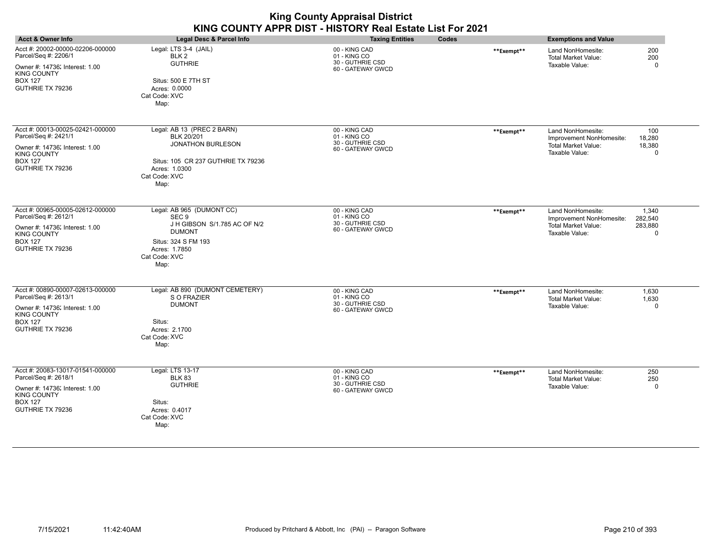| <b>King County Appraisal District</b><br>KING COUNTY APPR DIST - HISTORY Real Estate List For 2021                                                     |                                                                                                                                                                 |                                                                        |            |                                                                                        |                                        |
|--------------------------------------------------------------------------------------------------------------------------------------------------------|-----------------------------------------------------------------------------------------------------------------------------------------------------------------|------------------------------------------------------------------------|------------|----------------------------------------------------------------------------------------|----------------------------------------|
| <b>Acct &amp; Owner Info</b>                                                                                                                           | Legal Desc & Parcel Info                                                                                                                                        | <b>Taxing Entities</b><br>Codes                                        |            | <b>Exemptions and Value</b>                                                            |                                        |
| Acct #: 20002-00000-02206-000000<br>Parcel/Seq #: 2206/1<br>Owner #: 14736; Interest: 1.00<br><b>KING COUNTY</b><br><b>BOX 127</b><br>GUTHRIE TX 79236 | Legal: LTS 3-4 (JAIL)<br>BLK 2<br><b>GUTHRIE</b><br>Situs: 500 E 7TH ST<br>Acres: 0.0000<br>Cat Code: XVC<br>Map:                                               | 00 - KING CAD<br>01 - KING CO<br>30 - GUTHRIE CSD<br>60 - GATEWAY GWCD | **Exempt** | Land NonHomesite:<br>Total Market Value:<br>Taxable Value:                             | 200<br>200<br>$\Omega$                 |
| Acct #: 00013-00025-02421-000000<br>Parcel/Seq #: 2421/1<br>Owner #: 14736; Interest: 1.00<br><b>KING COUNTY</b><br><b>BOX 127</b><br>GUTHRIE TX 79236 | Legal: AB 13 (PREC 2 BARN)<br><b>BLK 20/201</b><br>JONATHON BURLESON<br>Situs: 105 CR 237 GUTHRIE TX 79236<br>Acres: 1.0300<br>Cat Code: XVC<br>Map:            | 00 - KING CAD<br>01 - KING CO<br>30 - GUTHRIE CSD<br>60 - GATEWAY GWCD | **Exempt** | Land NonHomesite:<br>Improvement NonHomesite:<br>Total Market Value:<br>Taxable Value: | 100<br>18,280<br>18,380<br>$\mathbf 0$ |
| Acct #: 00965-00005-02612-000000<br>Parcel/Seq #: 2612/1<br>Owner #: 14736; Interest: 1.00<br><b>KING COUNTY</b><br><b>BOX 127</b><br>GUTHRIE TX 79236 | Legal: AB 965 (DUMONT CC)<br>SEC <sub>9</sub><br>J H GIBSON S/1.785 AC OF N/2<br><b>DUMONT</b><br>Situs: 324 S FM 193<br>Acres: 1.7850<br>Cat Code: XVC<br>Map: | 00 - KING CAD<br>01 - KING CO<br>30 - GUTHRIE CSD<br>60 - GATEWAY GWCD | **Exempt** | Land NonHomesite:<br>Improvement NonHomesite:<br>Total Market Value:<br>Taxable Value: | 1,340<br>282,540<br>283,880<br>0       |
| Acct #: 00890-00007-02613-000000<br>Parcel/Seq #: 2613/1<br>Owner #: 14736; Interest: 1.00<br><b>KING COUNTY</b><br><b>BOX 127</b><br>GUTHRIE TX 79236 | Legal: AB 890 (DUMONT CEMETERY)<br>S O FRAZIER<br><b>DUMONT</b><br>Situs:<br>Acres: 2.1700<br>Cat Code: XVC<br>Map:                                             | 00 - KING CAD<br>01 - KING CO<br>30 - GUTHRIE CSD<br>60 - GATEWAY GWCD | **Exempt** | Land NonHomesite:<br><b>Total Market Value:</b><br>Taxable Value:                      | 1,630<br>1,630<br>$\Omega$             |
| Acct #: 20083-13017-01541-000000<br>Parcel/Seq #: 2618/1<br>Owner #: 14736; Interest: 1.00<br><b>KING COUNTY</b><br><b>BOX 127</b><br>GUTHRIE TX 79236 | Legal: LTS 13-17<br><b>BLK 83</b><br><b>GUTHRIE</b><br>Situs:<br>Acres: 0.4017<br>Cat Code: XVC<br>Map:                                                         | 00 - KING CAD<br>01 - KING CO<br>30 - GUTHRIE CSD<br>60 - GATEWAY GWCD | **Exempt** | Land NonHomesite:<br><b>Total Market Value:</b><br>Taxable Value:                      | 250<br>250<br>$\Omega$                 |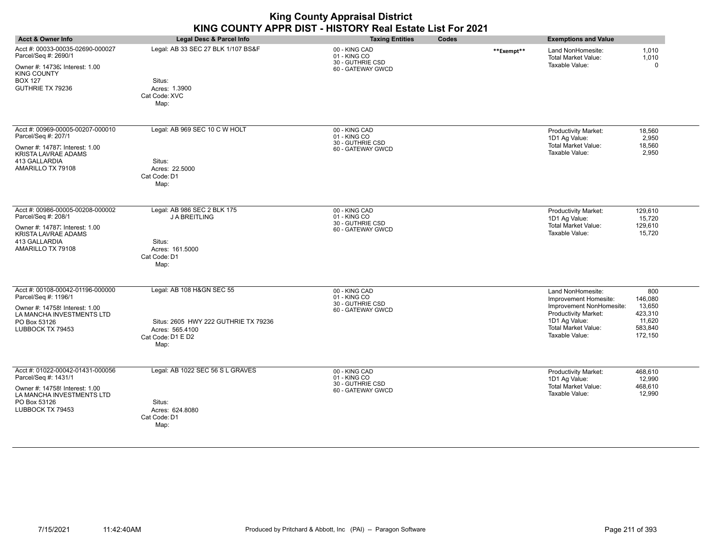|                                                                                                                                                               |                                                                                                                   | <b>King County Appraisal District</b><br>KING COUNTY APPR DIST - HISTORY Real Estate List For 2021 |            |                                                                                                                                                                        |                                                                     |
|---------------------------------------------------------------------------------------------------------------------------------------------------------------|-------------------------------------------------------------------------------------------------------------------|----------------------------------------------------------------------------------------------------|------------|------------------------------------------------------------------------------------------------------------------------------------------------------------------------|---------------------------------------------------------------------|
| <b>Acct &amp; Owner Info</b>                                                                                                                                  | Legal Desc & Parcel Info                                                                                          | <b>Taxing Entities</b>                                                                             | Codes      | <b>Exemptions and Value</b>                                                                                                                                            |                                                                     |
| Acct #: 00033-00035-02690-000027<br>Parcel/Seq #: 2690/1<br>Owner #: 14736; Interest: 1.00<br><b>KING COUNTY</b><br><b>BOX 127</b><br>GUTHRIE TX 79236        | Legal: AB 33 SEC 27 BLK 1/107 BS&F<br>Situs:<br>Acres: 1.3900<br>Cat Code: XVC<br>Map:                            | 00 - KING CAD<br>01 - KING CO<br>30 - GUTHRIE CSD<br>60 - GATEWAY GWCD                             | **Exempt** | Land NonHomesite:<br><b>Total Market Value:</b><br>Taxable Value:                                                                                                      | 1,010<br>1.010<br>$\Omega$                                          |
| Acct #: 00969-00005-00207-000010<br>Parcel/Seq #: 207/1<br>Owner #: 14787; Interest: 1.00<br><b>KRISTA LAVRAE ADAMS</b><br>413 GALLARDIA<br>AMARILLO TX 79108 | Legal: AB 969 SEC 10 C W HOLT<br>Situs:<br>Acres: 22,5000<br>Cat Code: D1<br>Map:                                 | 00 - KING CAD<br>01 - KING CO<br>30 - GUTHRIE CSD<br>60 - GATEWAY GWCD                             |            | Productivity Market:<br>1D1 Ag Value:<br><b>Total Market Value:</b><br>Taxable Value:                                                                                  | 18,560<br>2,950<br>18,560<br>2,950                                  |
| Acct #: 00986-00005-00208-000002<br>Parcel/Seq #: 208/1<br>Owner #: 14787; Interest: 1.00<br><b>KRISTA LAVRAE ADAMS</b><br>413 GALLARDIA<br>AMARILLO TX 79108 | Legal: AB 986 SEC 2 BLK 175<br><b>JABREITLING</b><br>Situs:<br>Acres: 161.5000<br>Cat Code: D1<br>Map:            | 00 - KING CAD<br>01 - KING CO<br>30 - GUTHRIE CSD<br>60 - GATEWAY GWCD                             |            | <b>Productivity Market:</b><br>1D1 Ag Value:<br><b>Total Market Value:</b><br>Taxable Value:                                                                           | 129,610<br>15,720<br>129.610<br>15,720                              |
| Acct #: 00108-00042-01196-000000<br>Parcel/Seq #: 1196/1<br>Owner #: 147589 Interest: 1.00<br>LA MANCHA INVESTMENTS LTD<br>PO Box 53126<br>LUBBOCK TX 79453   | Legal: AB 108 H&GN SEC 55<br>Situs: 2605 HWY 222 GUTHRIE TX 79236<br>Acres: 565.4100<br>Cat Code: D1 E D2<br>Map: | 00 - KING CAD<br>01 - KING CO<br>30 - GUTHRIE CSD<br>60 - GATEWAY GWCD                             |            | Land NonHomesite:<br>Improvement Homesite:<br>Improvement NonHomesite:<br><b>Productivity Market:</b><br>1D1 Ag Value:<br><b>Total Market Value:</b><br>Taxable Value: | 800<br>146,080<br>13,650<br>423,310<br>11,620<br>583,840<br>172,150 |
| Acct #: 01022-00042-01431-000056<br>Parcel/Seq #: 1431/1<br>Owner #: 147589 Interest: 1.00<br>LA MANCHA INVESTMENTS LTD<br>PO Box 53126<br>LUBBOCK TX 79453   | Legal: AB 1022 SEC 56 S L GRAVES<br>Situs:<br>Acres: 624.8080<br>Cat Code: D1<br>Map:                             | 00 - KING CAD<br>01 - KING CO<br>30 - GUTHRIE CSD<br>60 - GATEWAY GWCD                             |            | <b>Productivity Market:</b><br>1D1 Ag Value:<br><b>Total Market Value:</b><br>Taxable Value:                                                                           | 468,610<br>12,990<br>468,610<br>12,990                              |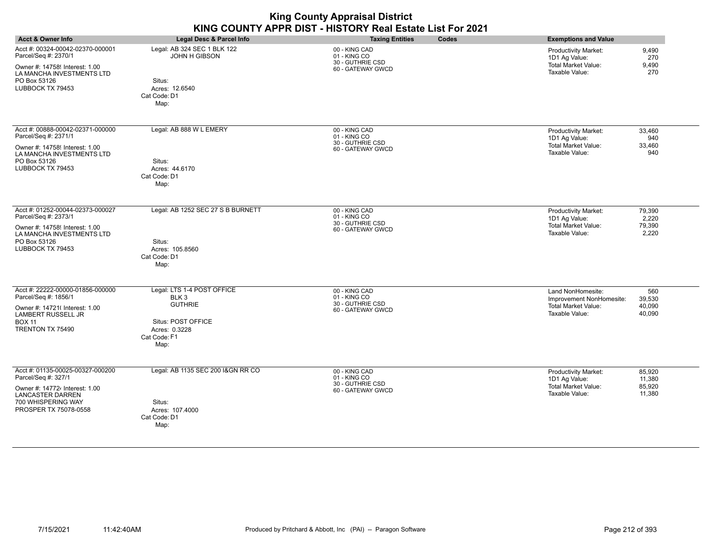| <b>King County Appraisal District</b><br>KING COUNTY APPR DIST - HISTORY Real Estate List For 2021                                                                  |                                                                                                                                 |                                                                        |                                                                                                                                      |  |
|---------------------------------------------------------------------------------------------------------------------------------------------------------------------|---------------------------------------------------------------------------------------------------------------------------------|------------------------------------------------------------------------|--------------------------------------------------------------------------------------------------------------------------------------|--|
| <b>Acct &amp; Owner Info</b>                                                                                                                                        | <b>Legal Desc &amp; Parcel Info</b>                                                                                             | Codes<br><b>Taxing Entities</b>                                        | <b>Exemptions and Value</b>                                                                                                          |  |
| Acct #: 00324-00042-02370-000001<br>Parcel/Seq #: 2370/1<br>Owner #: 147589 Interest: 1.00<br>LA MANCHA INVESTMENTS LTD<br>PO Box 53126<br>LUBBOCK TX 79453         | Legal: AB 324 SEC 1 BLK 122<br>JOHN H GIBSON<br>Situs:<br>Acres: 12.6540<br>Cat Code: D1<br>Map:                                | 00 - KING CAD<br>01 - KING CO<br>30 - GUTHRIE CSD<br>60 - GATEWAY GWCD | Productivity Market:<br>9,490<br>1D1 Ag Value:<br>270<br><b>Total Market Value:</b><br>9,490<br>Taxable Value:<br>270                |  |
| Acct #: 00888-00042-02371-000000<br>Parcel/Seq #: 2371/1<br>Owner #: 14758! Interest: 1.00<br>LA MANCHA INVESTMENTS LTD<br>PO Box 53126<br>LUBBOCK TX 79453         | Legal: AB 888 W L EMERY<br>Situs:<br>Acres: 44.6170<br>Cat Code: D1<br>Map:                                                     | 00 - KING CAD<br>01 - KING CO<br>30 - GUTHRIE CSD<br>60 - GATEWAY GWCD | 33,460<br><b>Productivity Market:</b><br>1D1 Ag Value:<br>940<br><b>Total Market Value:</b><br>33,460<br>Taxable Value:<br>940       |  |
| Acct #: 01252-00044-02373-000027<br>Parcel/Seq #: 2373/1<br>Owner #: 14758! Interest: 1.00<br>LA MANCHA INVESTMENTS LTD<br>PO Box 53126<br>LUBBOCK TX 79453         | Legal: AB 1252 SEC 27 S B BURNETT<br>Situs:<br>Acres: 105.8560<br>Cat Code: D1<br>Map:                                          | 00 - KING CAD<br>01 - KING CO<br>30 - GUTHRIE CSD<br>60 - GATEWAY GWCD | 79,390<br><b>Productivity Market:</b><br>1D1 Ag Value:<br>2,220<br><b>Total Market Value:</b><br>79.390<br>Taxable Value:<br>2,220   |  |
| Acct #: 22222-00000-01856-000000<br>Parcel/Seq #: 1856/1<br>Owner #: 14721( Interest: 1.00<br><b>LAMBERT RUSSELL JR</b><br><b>BOX 11</b><br>TRENTON TX 75490        | Legal: LTS 1-4 POST OFFICE<br>BLK <sub>3</sub><br><b>GUTHRIE</b><br>Situs: POST OFFICE<br>Acres: 0.3228<br>Cat Code: F1<br>Map: | 00 - KING CAD<br>01 - KING CO<br>30 - GUTHRIE CSD<br>60 - GATEWAY GWCD | Land NonHomesite:<br>560<br>39,530<br>Improvement NonHomesite:<br><b>Total Market Value:</b><br>40,090<br>Taxable Value:<br>40,090   |  |
| Acct #: 01135-00025-00327-000200<br>Parcel/Seq #: 327/1<br>Owner #: 147724 Interest: 1.00<br><b>LANCASTER DARREN</b><br>700 WHISPERING WAY<br>PROSPER TX 75078-0558 | Legal: AB 1135 SEC 200 I&GN RR CO<br>Situs:<br>Acres: 107.4000<br>Cat Code: D1<br>Map:                                          | 00 - KING CAD<br>01 - KING CO<br>30 - GUTHRIE CSD<br>60 - GATEWAY GWCD | <b>Productivity Market:</b><br>85,920<br>1D1 Ag Value:<br>11,380<br><b>Total Market Value:</b><br>85,920<br>Taxable Value:<br>11,380 |  |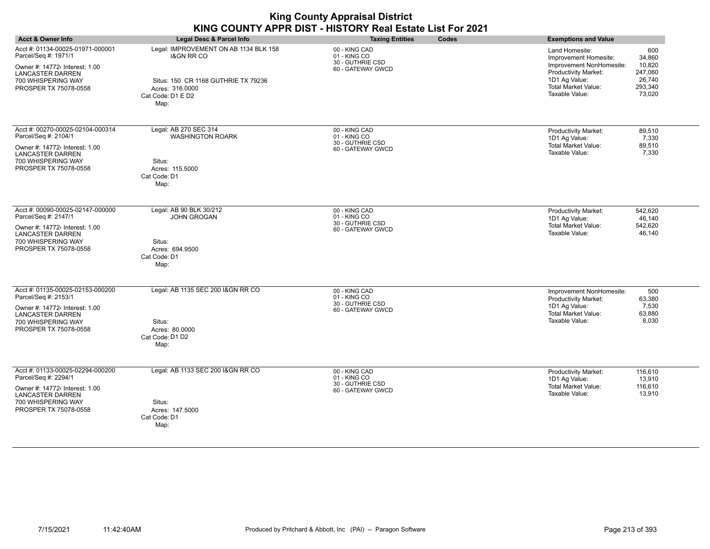| <b>Acct &amp; Owner Info</b>                                                                                                                                         | Legal Desc & Parcel Info                                                                                                                              | <b>Taxing Entities</b><br>Codes                                        | <b>Exemptions and Value</b>                                                                                                                                                                                                              |
|----------------------------------------------------------------------------------------------------------------------------------------------------------------------|-------------------------------------------------------------------------------------------------------------------------------------------------------|------------------------------------------------------------------------|------------------------------------------------------------------------------------------------------------------------------------------------------------------------------------------------------------------------------------------|
| Acct #: 01134-00025-01971-000001<br>Parcel/Seq #: 1971/1<br>Owner #: 147724 Interest: 1.00<br>LANCASTER DARREN<br>700 WHISPERING WAY<br>PROSPER TX 75078-0558        | Legal: IMPROVEMENT ON AB 1134 BLK 158<br><b>I&amp;GN RR CO</b><br>Situs: 150 CR 1168 GUTHRIE TX 79236<br>Acres: 316,0000<br>Cat Code: D1 E D2<br>Map: | 00 - KING CAD<br>01 - KING CO<br>30 - GUTHRIE CSD<br>60 - GATEWAY GWCD | 600<br>Land Homesite:<br>34,860<br>Improvement Homesite:<br>10,820<br>Improvement NonHomesite:<br><b>Productivity Market:</b><br>247,060<br>1D1 Ag Value:<br>26,740<br><b>Total Market Value:</b><br>293,340<br>Taxable Value:<br>73,020 |
| Acct #: 00270-00025-02104-000314<br>Parcel/Seq #: 2104/1<br>Owner #: 147724 Interest: 1.00<br><b>LANCASTER DARREN</b><br>700 WHISPERING WAY<br>PROSPER TX 75078-0558 | Legal: AB 270 SEC 314<br><b>WASHINGTON ROARK</b><br>Situs:<br>Acres: 115.5000<br>Cat Code: D1<br>Map:                                                 | 00 - KING CAD<br>01 - KING CO<br>30 - GUTHRIE CSD<br>60 - GATEWAY GWCD | Productivity Market:<br>89,510<br>1D1 Ag Value:<br>7,330<br><b>Total Market Value:</b><br>89,510<br>Taxable Value:<br>7,330                                                                                                              |
| Acct #: 00090-00025-02147-000000<br>Parcel/Seq #: 2147/1<br>Owner #: 147724 Interest: 1.00<br>LANCASTER DARREN<br>700 WHISPERING WAY<br>PROSPER TX 75078-0558        | Legal: AB 90 BLK 30/212<br><b>JOHN GROGAN</b><br>Situs:<br>Acres: 694.9500<br>Cat Code: D1<br>Map:                                                    | 00 - KING CAD<br>01 - KING CO<br>30 - GUTHRIE CSD<br>60 - GATEWAY GWCD | 542,620<br><b>Productivity Market:</b><br>1D1 Ag Value:<br>46.140<br>Total Market Value:<br>542,620<br>Taxable Value:<br>46,140                                                                                                          |
| Acct #: 01135-00025-02153-000200<br>Parcel/Seq #: 2153/1<br>Owner #: 147724 Interest: 1.00<br>LANCASTER DARREN<br>700 WHISPERING WAY<br>PROSPER TX 75078-0558        | Legal: AB 1135 SEC 200 I&GN RR CO<br>Situs:<br>Acres: 80.0000<br>Cat Code: D1 D2<br>Map:                                                              | 00 - KING CAD<br>01 - KING CO<br>30 - GUTHRIE CSD<br>60 - GATEWAY GWCD | Improvement NonHomesite:<br>500<br><b>Productivity Market:</b><br>63,380<br>1D1 Ag Value:<br>7,530<br>Total Market Value:<br>63,880<br>Taxable Value:<br>8,030                                                                           |
| Acct #: 01133-00025-02294-000200<br>Parcel/Seq #: 2294/1<br>Owner #: 147724 Interest: 1.00<br>LANCASTER DARREN<br>700 WHISPERING WAY<br>PROSPER TX 75078-0558        | Legal: AB 1133 SEC 200 I&GN RR CO<br>Situs:<br>Acres: 147,5000<br>Cat Code: D1<br>Map:                                                                | 00 - KING CAD<br>01 - KING CO<br>30 - GUTHRIE CSD<br>60 - GATEWAY GWCD | Productivity Market:<br>116,610<br>1D1 Ag Value:<br>13,910<br><b>Total Market Value:</b><br>116,610<br>Taxable Value:<br>13,910                                                                                                          |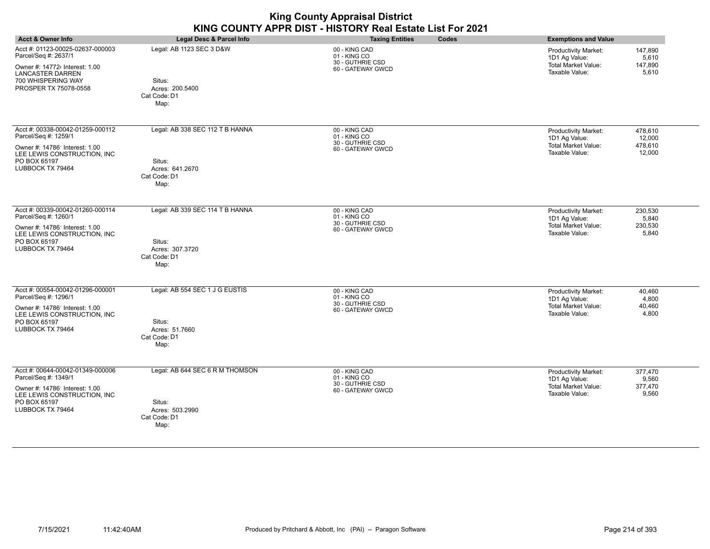| <b>King County Appraisal District</b><br>KING COUNTY APPR DIST - HISTORY Real Estate List For 2021                                                                   |                                                                                      |                                                                        |                                                                                                                                      |  |
|----------------------------------------------------------------------------------------------------------------------------------------------------------------------|--------------------------------------------------------------------------------------|------------------------------------------------------------------------|--------------------------------------------------------------------------------------------------------------------------------------|--|
| <b>Acct &amp; Owner Info</b>                                                                                                                                         | Legal Desc & Parcel Info                                                             | <b>Taxing Entities</b><br>Codes                                        | <b>Exemptions and Value</b>                                                                                                          |  |
| Acct #: 01123-00025-02637-000003<br>Parcel/Seq #: 2637/1<br>Owner #: 147724 Interest: 1.00<br><b>LANCASTER DARREN</b><br>700 WHISPERING WAY<br>PROSPER TX 75078-0558 | Legal: AB 1123 SEC 3 D&W<br>Situs:<br>Acres: 200.5400<br>Cat Code: D1<br>Map:        | 00 - KING CAD<br>01 - KING CO<br>30 - GUTHRIE CSD<br>60 - GATEWAY GWCD | <b>Productivity Market:</b><br>147,890<br>1D1 Ag Value:<br>5.610<br><b>Total Market Value:</b><br>147.890<br>Taxable Value:<br>5,610 |  |
| Acct #: 00338-00042-01259-000112<br>Parcel/Seq #: 1259/1<br>Owner #: 14786' Interest: 1.00<br>LEE LEWIS CONSTRUCTION, INC<br>PO BOX 65197<br>LUBBOCK TX 79464        | Legal: AB 338 SEC 112 T B HANNA<br>Situs:<br>Acres: 641.2670<br>Cat Code: D1<br>Map: | 00 - KING CAD<br>01 - KING CO<br>30 - GUTHRIE CSD<br>60 - GATEWAY GWCD | Productivity Market:<br>478,610<br>1D1 Ag Value:<br>12,000<br><b>Total Market Value:</b><br>478,610<br>Taxable Value:<br>12,000      |  |
| Acct #: 00339-00042-01260-000114<br>Parcel/Seq #: 1260/1<br>Owner #: 14786' Interest: 1.00<br>LEE LEWIS CONSTRUCTION, INC<br>PO BOX 65197<br>LUBBOCK TX 79464        | Legal: AB 339 SEC 114 T B HANNA<br>Situs:<br>Acres: 307.3720<br>Cat Code: D1<br>Map: | 00 - KING CAD<br>01 - KING CO<br>30 - GUTHRIE CSD<br>60 - GATEWAY GWCD | <b>Productivity Market:</b><br>230,530<br>1D1 Ag Value:<br>5,840<br><b>Total Market Value:</b><br>230,530<br>Taxable Value:<br>5.840 |  |
| Acct #: 00554-00042-01296-000001<br>Parcel/Seq #: 1296/1<br>Owner #: 14786' Interest: 1.00<br>LEE LEWIS CONSTRUCTION, INC<br>PO BOX 65197<br>LUBBOCK TX 79464        | Legal: AB 554 SEC 1 J G EUSTIS<br>Situs:<br>Acres: 51.7660<br>Cat Code: D1<br>Map:   | 00 - KING CAD<br>01 - KING CO<br>30 - GUTHRIE CSD<br>60 - GATEWAY GWCD | Productivity Market:<br>40,460<br>1D1 Ag Value:<br>4,800<br><b>Total Market Value:</b><br>40,460<br>Taxable Value:<br>4,800          |  |
| Acct #: 00644-00042-01349-000006<br>Parcel/Seq #: 1349/1<br>Owner #: 14786' Interest: 1.00<br>LEE LEWIS CONSTRUCTION, INC<br>PO BOX 65197<br>LUBBOCK TX 79464        | Legal: AB 644 SEC 6 R M THOMSON<br>Situs:<br>Acres: 503.2990<br>Cat Code: D1<br>Map: | 00 - KING CAD<br>01 - KING CO<br>30 - GUTHRIE CSD<br>60 - GATEWAY GWCD | <b>Productivity Market:</b><br>377,470<br>1D1 Ag Value:<br>9,560<br><b>Total Market Value:</b><br>377,470<br>Taxable Value:<br>9,560 |  |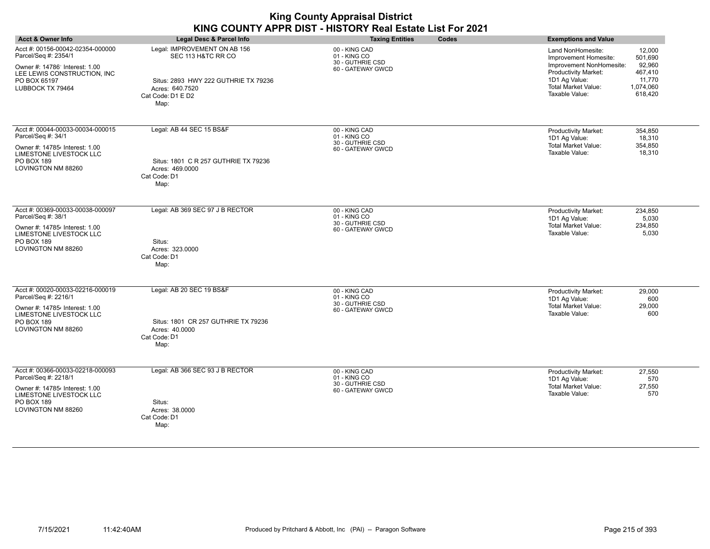| <b>Acct &amp; Owner Info</b>                                                                                                                                     | Legal Desc & Parcel Info                                                                                                                   | <b>Taxing Entities</b><br>Codes                                        | <b>Exemptions and Value</b>                                                                                                                                                                                                                 |
|------------------------------------------------------------------------------------------------------------------------------------------------------------------|--------------------------------------------------------------------------------------------------------------------------------------------|------------------------------------------------------------------------|---------------------------------------------------------------------------------------------------------------------------------------------------------------------------------------------------------------------------------------------|
| Acct #: 00156-00042-02354-000000<br>Parcel/Seq #: 2354/1<br>Owner #: 14786' Interest: 1.00<br>LEE LEWIS CONSTRUCTION, INC<br>PO BOX 65197<br>LUBBOCK TX 79464    | Legal: IMPROVEMENT ON AB 156<br>SEC 113 H&TC RR CO<br>Situs: 2893 HWY 222 GUTHRIE TX 79236<br>Acres: 640.7520<br>Cat Code: D1 E D2<br>Map: | 00 - KING CAD<br>01 - KING CO<br>30 - GUTHRIE CSD<br>60 - GATEWAY GWCD | 12,000<br>Land NonHomesite:<br>501,690<br>Improvement Homesite:<br>92,960<br>Improvement NonHomesite:<br>Productivity Market:<br>467,410<br>1D1 Ag Value:<br>11,770<br><b>Total Market Value:</b><br>1,074,060<br>Taxable Value:<br>618,420 |
| Acct #: 00044-00033-00034-000015<br>Parcel/Seq #: 34/1<br>Owner #: 147854 Interest: 1.00<br>LIMESTONE LIVESTOCK LLC<br>PO BOX 189<br>LOVINGTON NM 88260          | Legal: AB 44 SEC 15 BS&F<br>Situs: 1801 C R 257 GUTHRIE TX 79236<br>Acres: 469,0000<br>Cat Code: D1<br>Map:                                | 00 - KING CAD<br>01 - KING CO<br>30 - GUTHRIE CSD<br>60 - GATEWAY GWCD | Productivity Market:<br>354,850<br>1D1 Ag Value:<br>18,310<br><b>Total Market Value:</b><br>354,850<br>Taxable Value:<br>18,310                                                                                                             |
| Acct #: 00369-00033-00038-000097<br>Parcel/Seq #: 38/1<br>Owner #: 147854 Interest: 1.00<br>LIMESTONE LIVESTOCK LLC<br>PO BOX 189<br>LOVINGTON NM 88260          | Legal: AB 369 SEC 97 J B RECTOR<br>Situs:<br>Acres: 323.0000<br>Cat Code: D1<br>Map:                                                       | 00 - KING CAD<br>01 - KING CO<br>30 - GUTHRIE CSD<br>60 - GATEWAY GWCD | Productivity Market:<br>234,850<br>1D1 Ag Value:<br>5,030<br><b>Total Market Value:</b><br>234,850<br>Taxable Value:<br>5,030                                                                                                               |
| Acct #: 00020-00033-02216-000019<br>Parcel/Seq #: 2216/1<br>Owner #: 147854 Interest: 1.00<br><b>LIMESTONE LIVESTOCK LLC</b><br>PO BOX 189<br>LOVINGTON NM 88260 | Legal: AB 20 SEC 19 BS&F<br>Situs: 1801 CR 257 GUTHRIE TX 79236<br>Acres: 40.0000<br>Cat Code: D1<br>Map:                                  | 00 - KING CAD<br>01 - KING CO<br>30 - GUTHRIE CSD<br>60 - GATEWAY GWCD | Productivity Market:<br>29,000<br>1D1 Ag Value:<br>600<br><b>Total Market Value:</b><br>29,000<br>Taxable Value:<br>600                                                                                                                     |
| Acct #: 00366-00033-02218-000093<br>Parcel/Seq #: 2218/1<br>Owner #: 147854 Interest: 1.00<br>LIMESTONE LIVESTOCK LLC<br>PO BOX 189<br>LOVINGTON NM 88260        | Legal: AB 366 SEC 93 J B RECTOR<br>Situs:<br>Acres: 38.0000<br>Cat Code: D1<br>Map:                                                        | 00 - KING CAD<br>01 - KING CO<br>30 - GUTHRIE CSD<br>60 - GATEWAY GWCD | Productivity Market:<br>27,550<br>1D1 Ag Value:<br>570<br><b>Total Market Value:</b><br>27,550<br>570<br>Taxable Value:                                                                                                                     |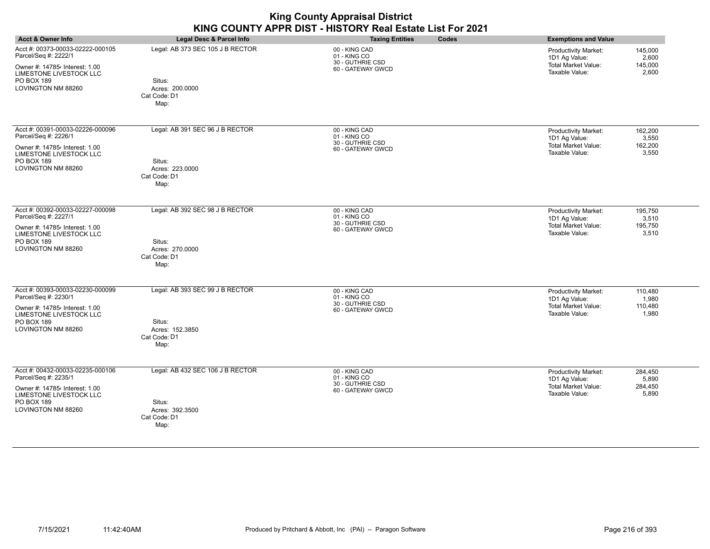| <b>King County Appraisal District</b><br>KING COUNTY APPR DIST - HISTORY Real Estate List For 2021                                                                      |                                                                                       |                                                                        |                                                                                                                                      |  |
|-------------------------------------------------------------------------------------------------------------------------------------------------------------------------|---------------------------------------------------------------------------------------|------------------------------------------------------------------------|--------------------------------------------------------------------------------------------------------------------------------------|--|
| <b>Acct &amp; Owner Info</b>                                                                                                                                            | <b>Legal Desc &amp; Parcel Info</b>                                                   | <b>Taxing Entities</b><br>Codes                                        | <b>Exemptions and Value</b>                                                                                                          |  |
| Acct #: 00373-00033-02222-000105<br>Parcel/Seq #: 2222/1<br>Owner #: 147854 Interest: 1.00<br>LIMESTONE LIVESTOCK LLC<br>PO BOX 189<br>LOVINGTON NM 88260               | Legal: AB 373 SEC 105 J B RECTOR<br>Situs:<br>Acres: 200.0000<br>Cat Code: D1<br>Map: | 00 - KING CAD<br>01 - KING CO<br>30 - GUTHRIE CSD<br>60 - GATEWAY GWCD | <b>Productivity Market:</b><br>145,000<br>1D1 Ag Value:<br>2.600<br><b>Total Market Value:</b><br>145,000<br>Taxable Value:<br>2,600 |  |
| Acct #: 00391-00033-02226-000096<br>Parcel/Seq #: 2226/1<br>Owner #: 147854 Interest: 1.00<br>LIMESTONE LIVESTOCK LLC<br>PO BOX 189<br>LOVINGTON NM 88260               | Legal: AB 391 SEC 96 J B RECTOR<br>Situs:<br>Acres: 223,0000<br>Cat Code: D1<br>Map:  | 00 - KING CAD<br>01 - KING CO<br>30 - GUTHRIE CSD<br>60 - GATEWAY GWCD | <b>Productivity Market:</b><br>162,200<br>1D1 Ag Value:<br>3,550<br><b>Total Market Value:</b><br>162,200<br>Taxable Value:<br>3,550 |  |
| Acct #: 00392-00033-02227-000098<br>Parcel/Seq #: 2227/1<br>Owner #: 147854 Interest: 1.00<br><b>LIMESTONE LIVESTOCK LLC</b><br><b>PO BOX 189</b><br>LOVINGTON NM 88260 | Legal: AB 392 SEC 98 J B RECTOR<br>Situs:<br>Acres: 270.0000<br>Cat Code: D1<br>Map:  | 00 - KING CAD<br>01 - KING CO<br>30 - GUTHRIE CSD<br>60 - GATEWAY GWCD | <b>Productivity Market:</b><br>195,750<br>1D1 Ag Value:<br>3,510<br><b>Total Market Value:</b><br>195,750<br>Taxable Value:<br>3,510 |  |
| Acct #: 00393-00033-02230-000099<br>Parcel/Seq #: 2230/1<br>Owner #: 147854 Interest: 1.00<br>LIMESTONE LIVESTOCK LLC<br>PO BOX 189<br>LOVINGTON NM 88260               | Legal: AB 393 SEC 99 J B RECTOR<br>Situs:<br>Acres: 152,3850<br>Cat Code: D1<br>Map:  | 00 - KING CAD<br>01 - KING CO<br>30 - GUTHRIE CSD<br>60 - GATEWAY GWCD | 110,480<br><b>Productivity Market:</b><br>1D1 Ag Value:<br>1.980<br><b>Total Market Value:</b><br>110,480<br>Taxable Value:<br>1,980 |  |
| Acct #: 00432-00033-02235-000106<br>Parcel/Seq #: 2235/1<br>Owner #: 147854 Interest: 1.00<br>LIMESTONE LIVESTOCK LLC<br>PO BOX 189<br>LOVINGTON NM 88260               | Legal: AB 432 SEC 106 J B RECTOR<br>Situs:<br>Acres: 392.3500<br>Cat Code: D1<br>Map: | 00 - KING CAD<br>01 - KING CO<br>30 - GUTHRIE CSD<br>60 - GATEWAY GWCD | <b>Productivity Market:</b><br>284,450<br>1D1 Ag Value:<br>5,890<br><b>Total Market Value:</b><br>284,450<br>Taxable Value:<br>5,890 |  |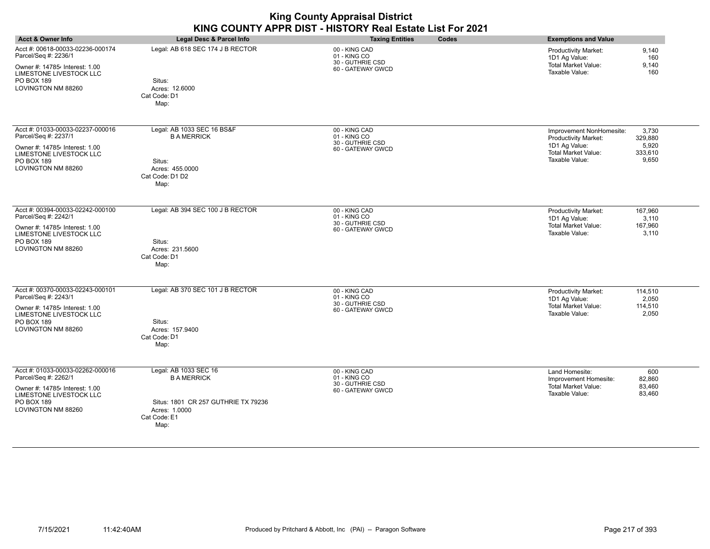| <b>Acct &amp; Owner Info</b>                                                                                                                                     | Legal Desc & Parcel Info                                                                                                    | <b>Taxing Entities</b>                                                 | Codes | <b>Exemptions and Value</b>                                                                                       |                                               |
|------------------------------------------------------------------------------------------------------------------------------------------------------------------|-----------------------------------------------------------------------------------------------------------------------------|------------------------------------------------------------------------|-------|-------------------------------------------------------------------------------------------------------------------|-----------------------------------------------|
| Acct #: 00618-00033-02236-000174<br>Parcel/Seq #: 2236/1<br>Owner #: 147854 Interest: 1.00<br>LIMESTONE LIVESTOCK LLC<br>PO BOX 189<br>LOVINGTON NM 88260        | Legal: AB 618 SEC 174 J B RECTOR<br>Situs:<br>Acres: 12.6000<br>Cat Code: D1<br>Map:                                        | 00 - KING CAD<br>01 - KING CO<br>30 - GUTHRIE CSD<br>60 - GATEWAY GWCD |       | <b>Productivity Market:</b><br>1D1 Ag Value:<br><b>Total Market Value:</b><br>Taxable Value:                      | 9,140<br>160<br>9,140<br>160                  |
| Acct #: 01033-00033-02237-000016<br>Parcel/Seq #: 2237/1<br>Owner #: 147854 Interest: 1.00<br>LIMESTONE LIVESTOCK LLC<br>PO BOX 189<br>LOVINGTON NM 88260        | Legal: AB 1033 SEC 16 BS&F<br><b>B A MERRICK</b><br>Situs:<br>Acres: 455.0000<br>Cat Code: D1 D2<br>Map:                    | 00 - KING CAD<br>01 - KING CO<br>30 - GUTHRIE CSD<br>60 - GATEWAY GWCD |       | Improvement NonHomesite:<br>Productivity Market:<br>1D1 Ag Value:<br><b>Total Market Value:</b><br>Taxable Value: | 3,730<br>329,880<br>5,920<br>333,610<br>9,650 |
| Acct #: 00394-00033-02242-000100<br>Parcel/Seq #: 2242/1<br>Owner #: 147854 Interest: 1.00<br>LIMESTONE LIVESTOCK LLC<br>PO BOX 189<br>LOVINGTON NM 88260        | Legal: AB 394 SEC 100 J B RECTOR<br>Situs:<br>Acres: 231.5600<br>Cat Code: D1<br>Map:                                       | 00 - KING CAD<br>01 - KING CO<br>30 - GUTHRIE CSD<br>60 - GATEWAY GWCD |       | Productivity Market:<br>1D1 Ag Value:<br><b>Total Market Value:</b><br>Taxable Value:                             | 167,960<br>3,110<br>167,960<br>3,110          |
| Acct #: 00370-00033-02243-000101<br>Parcel/Seq #: 2243/1<br>Owner #: 147854 Interest: 1.00<br>LIMESTONE LIVESTOCK LLC<br>PO BOX 189<br>LOVINGTON NM 88260        | Legal: AB 370 SEC 101 J B RECTOR<br>Situs:<br>Acres: 157.9400<br>Cat Code: D1<br>Map:                                       | 00 - KING CAD<br>01 - KING CO<br>30 - GUTHRIE CSD<br>60 - GATEWAY GWCD |       | <b>Productivity Market:</b><br>1D1 Ag Value:<br><b>Total Market Value:</b><br>Taxable Value:                      | 114,510<br>2,050<br>114,510<br>2,050          |
| Acct #: 01033-00033-02262-000016<br>Parcel/Seq #: 2262/1<br>Owner #: 147854 Interest: 1.00<br><b>LIMESTONE LIVESTOCK LLC</b><br>PO BOX 189<br>LOVINGTON NM 88260 | Legal: AB 1033 SEC 16<br><b>B A MERRICK</b><br>Situs: 1801 CR 257 GUTHRIE TX 79236<br>Acres: 1.0000<br>Cat Code: E1<br>Map: | 00 - KING CAD<br>01 - KING CO<br>30 - GUTHRIE CSD<br>60 - GATEWAY GWCD |       | Land Homesite:<br>Improvement Homesite:<br>Total Market Value:<br>Taxable Value:                                  | 600<br>82,860<br>83,460<br>83,460             |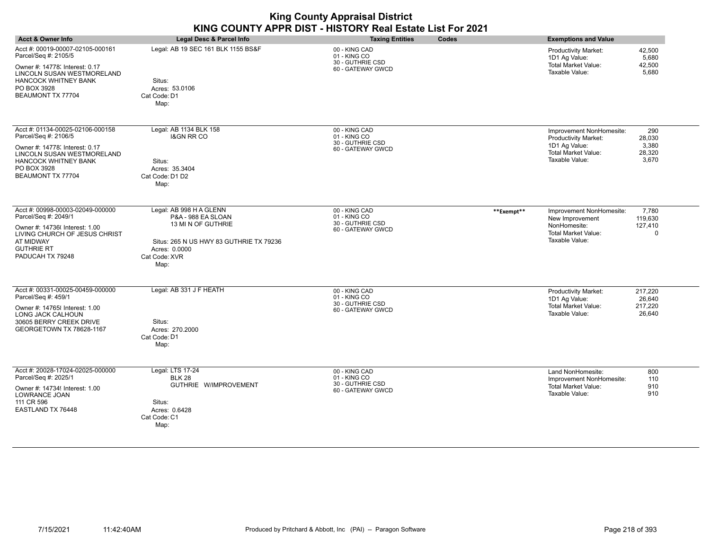|                                                                                                                                                                                             |                                                                                                                                                          | <b>King County Appraisal District</b><br>KING COUNTY APPR DIST - HISTORY Real Estate List For 2021 |            |                                                                                                                   |                                           |
|---------------------------------------------------------------------------------------------------------------------------------------------------------------------------------------------|----------------------------------------------------------------------------------------------------------------------------------------------------------|----------------------------------------------------------------------------------------------------|------------|-------------------------------------------------------------------------------------------------------------------|-------------------------------------------|
| <b>Acct &amp; Owner Info</b>                                                                                                                                                                | Legal Desc & Parcel Info                                                                                                                                 | <b>Taxing Entities</b>                                                                             | Codes      | <b>Exemptions and Value</b>                                                                                       |                                           |
| Acct #: 00019-00007-02105-000161<br>Parcel/Seq #: 2105/5<br>Owner #: 14778; Interest: 0.17<br>LINCOLN SUSAN WESTMORELAND<br>HANCOCK WHITNEY BANK<br>PO BOX 3928<br>BEAUMONT TX 77704        | Legal: AB 19 SEC 161 BLK 1155 BS&F<br>Situs:<br>Acres: 53.0106<br>Cat Code: D1<br>Map:                                                                   | 00 - KING CAD<br>01 - KING CO<br>30 - GUTHRIE CSD<br>60 - GATEWAY GWCD                             |            | <b>Productivity Market:</b><br>1D1 Ag Value:<br><b>Total Market Value:</b><br>Taxable Value:                      | 42,500<br>5,680<br>42,500<br>5,680        |
| Acct #: 01134-00025-02106-000158<br>Parcel/Seq #: 2106/5<br>Owner #: 14778; Interest: 0.17<br>LINCOLN SUSAN WESTMORELAND<br><b>HANCOCK WHITNEY BANK</b><br>PO BOX 3928<br>BEAUMONT TX 77704 | Legal: AB 1134 BLK 158<br><b>I&amp;GN RR CO</b><br>Situs:<br>Acres: 35.3404<br>Cat Code: D1 D2<br>Map:                                                   | 00 - KING CAD<br>01 - KING CO<br>30 - GUTHRIE CSD<br>60 - GATEWAY GWCD                             |            | Improvement NonHomesite:<br>Productivity Market:<br>1D1 Ag Value:<br><b>Total Market Value:</b><br>Taxable Value: | 290<br>28,030<br>3,380<br>28,320<br>3,670 |
| Acct #: 00998-00003-02049-000000<br>Parcel/Seq #: 2049/1<br>Owner #: 14736(Interest: 1.00<br>LIVING CHURCH OF JESUS CHRIST<br>AT MIDWAY<br><b>GUTHRIE RT</b><br>PADUCAH TX 79248            | Legal: AB 998 H A GLENN<br>P&A - 988 EA SLOAN<br>13 MI N OF GUTHRIE<br>Situs: 265 N US HWY 83 GUTHRIE TX 79236<br>Acres: 0.0000<br>Cat Code: XVR<br>Map: | 00 - KING CAD<br>01 - KING CO<br>30 - GUTHRIE CSD<br>60 - GATEWAY GWCD                             | **Exempt** | Improvement NonHomesite:<br>New Improvement<br>NonHomesite:<br>Total Market Value:<br>Taxable Value:              | 7,780<br>119,630<br>127,410<br>$\Omega$   |
| Acct #: 00331-00025-00459-000000<br>Parcel/Seq #: 459/1<br>Owner #: 14765 { Interest: 1.00<br>LONG JACK CALHOUN<br>30605 BERRY CREEK DRIVE<br>GEORGETOWN TX 78628-1167                      | Legal: AB 331 J F HEATH<br>Situs:<br>Acres: 270.2000<br>Cat Code: D1<br>Map:                                                                             | 00 - KING CAD<br>01 - KING CO<br>30 - GUTHRIE CSD<br>60 - GATEWAY GWCD                             |            | Productivity Market:<br>1D1 Ag Value:<br><b>Total Market Value:</b><br>Taxable Value:                             | 217,220<br>26.640<br>217,220<br>26,640    |
| Acct #: 20028-17024-02025-000000<br>Parcel/Seq #: 2025/1<br>Owner #: 147349 Interest: 1.00<br>LOWRANCE JOAN<br>111 CR 596<br>EASTLAND TX 76448                                              | Legal: LTS 17-24<br><b>BLK 28</b><br>GUTHRIE W/IMPROVEMENT<br>Situs:<br>Acres: 0.6428<br>Cat Code: C1<br>Map:                                            | 00 - KING CAD<br>01 - KING CO<br>30 - GUTHRIE CSD<br>60 - GATEWAY GWCD                             |            | Land NonHomesite:<br>Improvement NonHomesite:<br><b>Total Market Value:</b><br>Taxable Value:                     | 800<br>110<br>910<br>910                  |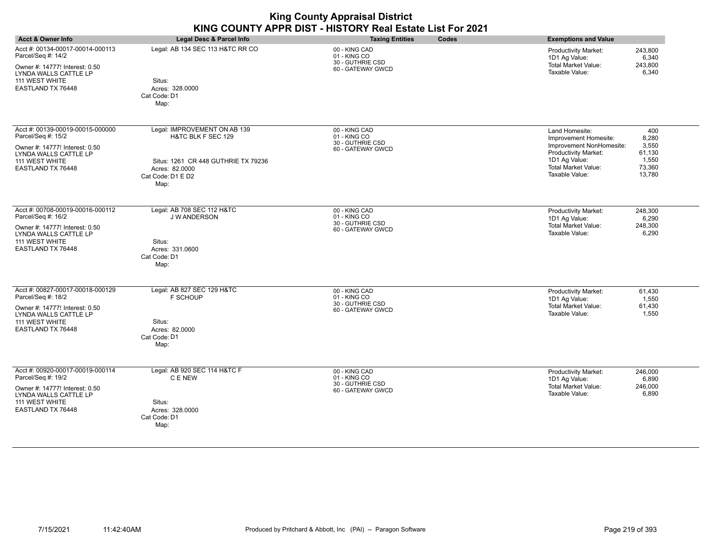| <b>Acct &amp; Owner Info</b>                                                                                                                             | Legal Desc & Parcel Info                                                                                                                 | <b>Taxing Entities</b><br>Codes                                        | <b>Exemptions and Value</b>                                                                                                                                                                                                  |
|----------------------------------------------------------------------------------------------------------------------------------------------------------|------------------------------------------------------------------------------------------------------------------------------------------|------------------------------------------------------------------------|------------------------------------------------------------------------------------------------------------------------------------------------------------------------------------------------------------------------------|
| Acct #: 00134-00017-00014-000113<br>Parcel/Seq #: 14/2<br>Owner #: 14777! Interest: 0.50<br>LYNDA WALLS CATTLE LP<br>111 WEST WHITE<br>EASTLAND TX 76448 | Legal: AB 134 SEC 113 H&TC RR CO<br>Situs:<br>Acres: 328.0000<br>Cat Code: D1<br>Map:                                                    | 00 - KING CAD<br>01 - KING CO<br>30 - GUTHRIE CSD<br>60 - GATEWAY GWCD | 243,800<br>Productivity Market:<br>1D1 Ag Value:<br>6,340<br><b>Total Market Value:</b><br>243,800<br>Taxable Value:<br>6,340                                                                                                |
| Acct #: 00139-00019-00015-000000<br>Parcel/Seq #: 15/2<br>Owner #: 14777! Interest: 0.50<br>LYNDA WALLS CATTLE LP<br>111 WEST WHITE<br>EASTLAND TX 76448 | Legal: IMPROVEMENT ON AB 139<br>H&TC BLK F SEC 129<br>Situs: 1261 CR 448 GUTHRIE TX 79236<br>Acres: 82.0000<br>Cat Code: D1 E D2<br>Map: | 00 - KING CAD<br>01 - KING CO<br>30 - GUTHRIE CSD<br>60 - GATEWAY GWCD | Land Homesite:<br>400<br>Improvement Homesite:<br>8,280<br>Improvement NonHomesite:<br>3,550<br>Productivity Market:<br>61,130<br>1D1 Ag Value:<br>1,550<br><b>Total Market Value:</b><br>73,360<br>13,780<br>Taxable Value: |
| Acct #: 00708-00019-00016-000112<br>Parcel/Seq #: 16/2<br>Owner #: 14777! Interest: 0.50<br>LYNDA WALLS CATTLE LP<br>111 WEST WHITE<br>EASTLAND TX 76448 | Legal: AB 708 SEC 112 H&TC<br><b>J W ANDERSON</b><br>Situs:<br>Acres: 331.0600<br>Cat Code: D1<br>Map:                                   | 00 - KING CAD<br>01 - KING CO<br>30 - GUTHRIE CSD<br>60 - GATEWAY GWCD | Productivity Market:<br>248,300<br>1D1 Ag Value:<br>6,290<br>Total Market Value:<br>248,300<br>Taxable Value:<br>6,290                                                                                                       |
| Acct #: 00827-00017-00018-000129<br>Parcel/Seq #: 18/2<br>Owner #: 14777! Interest: 0.50<br>LYNDA WALLS CATTLE LP<br>111 WEST WHITE<br>EASTLAND TX 76448 | Legal: AB 827 SEC 129 H&TC<br>F SCHOUP<br>Situs:<br>Acres: 82.0000<br>Cat Code: D1<br>Map:                                               | 00 - KING CAD<br>01 - KING CO<br>30 - GUTHRIE CSD<br>60 - GATEWAY GWCD | 61,430<br>Productivity Market:<br>1D1 Ag Value:<br>1,550<br><b>Total Market Value:</b><br>61,430<br>Taxable Value:<br>1,550                                                                                                  |
| Acct #: 00920-00017-00019-000114<br>Parcel/Seq #: 19/2<br>Owner #: 14777! Interest: 0.50<br>LYNDA WALLS CATTLE LP<br>111 WEST WHITE<br>EASTLAND TX 76448 | Legal: AB 920 SEC 114 H&TC F<br>C E NEW<br>Situs:<br>Acres: 328.0000<br>Cat Code: D1<br>Map:                                             | 00 - KING CAD<br>01 - KING CO<br>30 - GUTHRIE CSD<br>60 - GATEWAY GWCD | Productivity Market:<br>246,000<br>1D1 Ag Value:<br>6,890<br><b>Total Market Value:</b><br>246,000<br>Taxable Value:<br>6,890                                                                                                |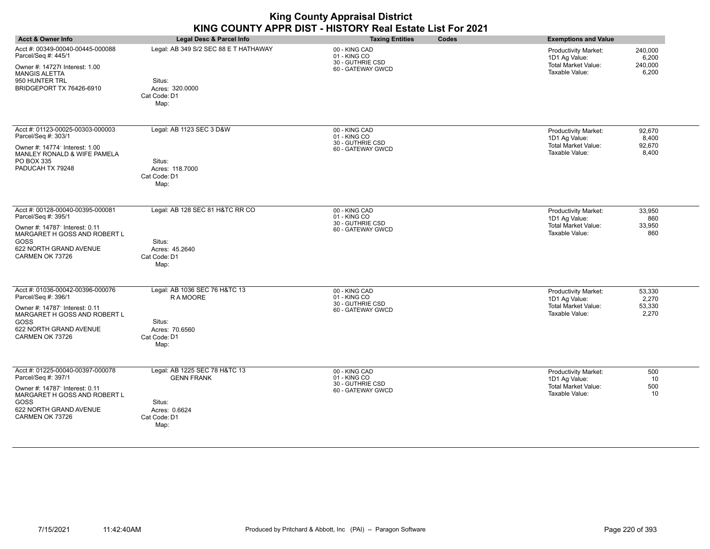| <b>Acct &amp; Owner Info</b>                                                                                                                                                   | Legal Desc & Parcel Info                                                                              | <b>Taxing Entities</b><br>Codes                                        | <b>Exemptions and Value</b>                                                                                                    |
|--------------------------------------------------------------------------------------------------------------------------------------------------------------------------------|-------------------------------------------------------------------------------------------------------|------------------------------------------------------------------------|--------------------------------------------------------------------------------------------------------------------------------|
| Acct #: 00349-00040-00445-000088<br>Parcel/Seq #: 445/1<br>Owner #: 14727( Interest: 1.00<br><b>MANGIS ALETTA</b><br>950 HUNTER TRL<br>BRIDGEPORT TX 76426-6910                | Legal: AB 349 S/2 SEC 88 E T HATHAWAY<br>Situs:<br>Acres: 320,0000<br>Cat Code: D1<br>Map:            | 00 - KING CAD<br>01 - KING CO<br>30 - GUTHRIE CSD<br>60 - GATEWAY GWCD | 240,000<br>Productivity Market:<br>1D1 Ag Value:<br>6,200<br><b>Total Market Value:</b><br>240,000<br>Taxable Value:<br>6,200  |
| Acct #: 01123-00025-00303-000003<br>Parcel/Seq #: 303/1<br>Owner #: 14774' Interest: 1.00<br>MANLEY RONALD & WIFE PAMELA<br>PO BOX 335<br>PADUCAH TX 79248                     | Legal: AB 1123 SEC 3 D&W<br>Situs:<br>Acres: 118.7000<br>Cat Code: D1<br>Map:                         | 00 - KING CAD<br>01 - KING CO<br>30 - GUTHRIE CSD<br>60 - GATEWAY GWCD | Productivity Market:<br>92,670<br>1D1 Ag Value:<br>8,400<br><b>Total Market Value:</b><br>92,670<br>Taxable Value:<br>8,400    |
| Acct #: 00128-00040-00395-000081<br>Parcel/Seq #: 395/1<br>Owner #: 14787' Interest: 0.11<br>MARGARET H GOSS AND ROBERT L<br>GOSS<br>622 NORTH GRAND AVENUE<br>CARMEN OK 73726 | Legal: AB 128 SEC 81 H&TC RR CO<br>Situs:<br>Acres: 45.2640<br>Cat Code: D1<br>Map:                   | 00 - KING CAD<br>01 - KING CO<br>30 - GUTHRIE CSD<br>60 - GATEWAY GWCD | 33,950<br><b>Productivity Market:</b><br>1D1 Ag Value:<br>860<br><b>Total Market Value:</b><br>33,950<br>Taxable Value:<br>860 |
| Acct #: 01036-00042-00396-000076<br>Parcel/Seq #: 396/1<br>Owner #: 14787 Interest: 0.11<br>MARGARET H GOSS AND ROBERT L<br>GOSS<br>622 NORTH GRAND AVENUE<br>CARMEN OK 73726  | Legal: AB 1036 SEC 76 H&TC 13<br><b>RAMOORE</b><br>Situs:<br>Acres: 70.6560<br>Cat Code: D1<br>Map:   | 00 - KING CAD<br>01 - KING CO<br>30 - GUTHRIE CSD<br>60 - GATEWAY GWCD | <b>Productivity Market:</b><br>53,330<br>1D1 Ag Value:<br>2,270<br>Total Market Value:<br>53,330<br>Taxable Value:<br>2,270    |
| Acct #: 01225-00040-00397-000078<br>Parcel/Seq #: 397/1<br>Owner #: 14787 Interest: 0.11<br>MARGARET H GOSS AND ROBERT L<br>GOSS<br>622 NORTH GRAND AVENUE<br>CARMEN OK 73726  | Legal: AB 1225 SEC 78 H&TC 13<br><b>GENN FRANK</b><br>Situs:<br>Acres: 0.6624<br>Cat Code: D1<br>Map: | 00 - KING CAD<br>01 - KING CO<br>30 - GUTHRIE CSD<br>60 - GATEWAY GWCD | Productivity Market:<br>500<br>1D1 Ag Value:<br>10<br><b>Total Market Value:</b><br>500<br>Taxable Value:<br>10                |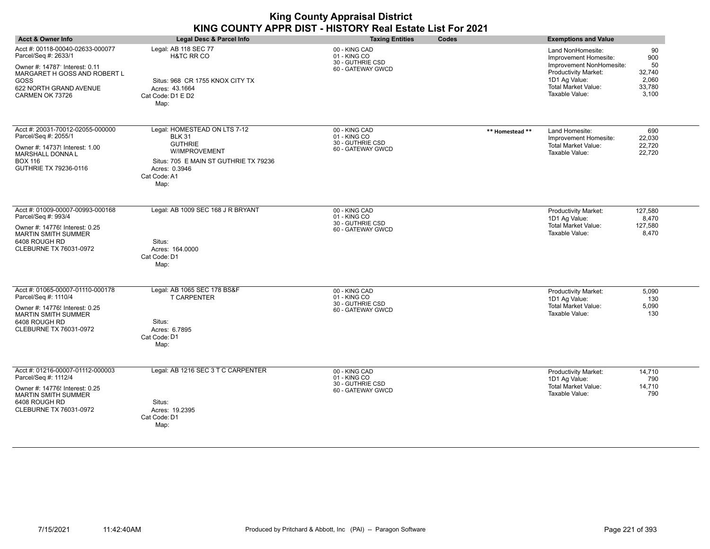| <b>Acct &amp; Owner Info</b>                                                                                                                                                    | Legal Desc & Parcel Info                                                                                                                                           | <b>Taxing Entities</b>                                                 | Codes           | <b>Exemptions and Value</b>                                                                                                                                            |                                                       |
|---------------------------------------------------------------------------------------------------------------------------------------------------------------------------------|--------------------------------------------------------------------------------------------------------------------------------------------------------------------|------------------------------------------------------------------------|-----------------|------------------------------------------------------------------------------------------------------------------------------------------------------------------------|-------------------------------------------------------|
| Acct #: 00118-00040-02633-000077<br>Parcel/Seq #: 2633/1<br>Owner #: 14787' Interest: 0.11<br>MARGARET H GOSS AND ROBERT L<br>GOSS<br>622 NORTH GRAND AVENUE<br>CARMEN OK 73726 | Legal: AB 118 SEC 77<br><b>H&amp;TC RR CO</b><br>Situs: 968 CR 1755 KNOX CITY TX<br>Acres: 43.1664<br>Cat Code: D1 E D2<br>Map:                                    | 00 - KING CAD<br>01 - KING CO<br>30 - GUTHRIE CSD<br>60 - GATEWAY GWCD |                 | Land NonHomesite:<br>Improvement Homesite:<br>Improvement NonHomesite:<br><b>Productivity Market:</b><br>1D1 Ag Value:<br><b>Total Market Value:</b><br>Taxable Value: | 90<br>900<br>50<br>32,740<br>2,060<br>33,780<br>3,100 |
| Acct #: 20031-70012-02055-000000<br>Parcel/Seq #: 2055/1<br>Owner #: 14737! Interest: 1.00<br>MARSHALL DONNA L<br>BOX 116<br>GUTHRIE TX 79236-0116                              | Legal: HOMESTEAD ON LTS 7-12<br><b>BLK 31</b><br><b>GUTHRIE</b><br>W/IMPROVEMENT<br>Situs: 705 E MAIN ST GUTHRIE TX 79236<br>Acres: 0.3946<br>Cat Code: A1<br>Map: | 00 - KING CAD<br>01 - KING CO<br>30 - GUTHRIE CSD<br>60 - GATEWAY GWCD | ** Homestead ** | Land Homesite:<br>Improvement Homesite:<br>Total Market Value:<br>Taxable Value:                                                                                       | 690<br>22,030<br>22,720<br>22,720                     |
| Acct #: 01009-00007-00993-000168<br>Parcel/Seq #: 993/4<br>Owner #: 14776! Interest: 0.25<br><b>MARTIN SMITH SUMMER</b><br>6408 ROUGH RD<br>CLEBURNE TX 76031-0972              | Legal: AB 1009 SEC 168 J R BRYANT<br>Situs:<br>Acres: 164.0000<br>Cat Code: D1<br>Map:                                                                             | 00 - KING CAD<br>01 - KING CO<br>30 - GUTHRIE CSD<br>60 - GATEWAY GWCD |                 | <b>Productivity Market:</b><br>1D1 Ag Value:<br><b>Total Market Value:</b><br>Taxable Value:                                                                           | 127,580<br>8,470<br>127,580<br>8,470                  |
| Acct #: 01065-00007-01110-000178<br>Parcel/Seq #: 1110/4<br>Owner #: 14776! Interest: 0.25<br><b>MARTIN SMITH SUMMER</b><br>6408 ROUGH RD<br>CLEBURNE TX 76031-0972             | Legal: AB 1065 SEC 178 BS&F<br><b>T CARPENTER</b><br>Situs:<br>Acres: 6.7895<br>Cat Code: D1<br>Map:                                                               | 00 - KING CAD<br>01 - KING CO<br>30 - GUTHRIE CSD<br>60 - GATEWAY GWCD |                 | Productivity Market:<br>1D1 Ag Value:<br><b>Total Market Value:</b><br>Taxable Value:                                                                                  | 5,090<br>130<br>5,090<br>130                          |
| Acct #: 01216-00007-01112-000003<br>Parcel/Seq #: 1112/4<br>Owner #: 14776! Interest: 0.25<br><b>MARTIN SMITH SUMMER</b><br>6408 ROUGH RD<br>CLEBURNE TX 76031-0972             | Legal: AB 1216 SEC 3 T C CARPENTER<br>Situs:<br>Acres: 19.2395<br>Cat Code: D1<br>Map:                                                                             | 00 - KING CAD<br>01 - KING CO<br>30 - GUTHRIE CSD<br>60 - GATEWAY GWCD |                 | <b>Productivity Market:</b><br>1D1 Ag Value:<br><b>Total Market Value:</b><br>Taxable Value:                                                                           | 14,710<br>790<br>14,710<br>790                        |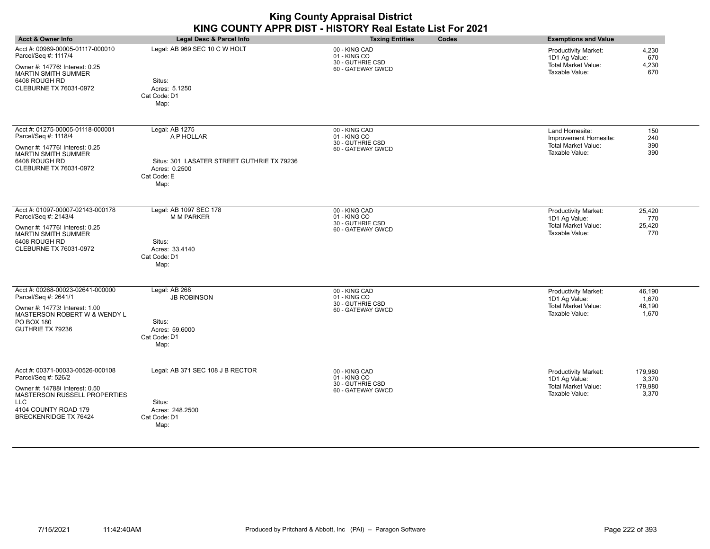|                                                                                                                                                                                                 | KING COUNTY APPR DIST - HISTORY Real Estate List For 2021                                                          | <b>King County Appraisal District</b>                                  |       |                                                                                              |                                      |
|-------------------------------------------------------------------------------------------------------------------------------------------------------------------------------------------------|--------------------------------------------------------------------------------------------------------------------|------------------------------------------------------------------------|-------|----------------------------------------------------------------------------------------------|--------------------------------------|
| <b>Acct &amp; Owner Info</b>                                                                                                                                                                    | Legal Desc & Parcel Info                                                                                           | <b>Taxing Entities</b>                                                 | Codes | <b>Exemptions and Value</b>                                                                  |                                      |
| Acct #: 00969-00005-01117-000010<br>Parcel/Seq #: 1117/4<br>Owner #: 14776! Interest: 0.25<br><b>MARTIN SMITH SUMMER</b><br>6408 ROUGH RD<br>CLEBURNE TX 76031-0972                             | Legal: AB 969 SEC 10 C W HOLT<br>Situs:<br>Acres: 5.1250<br>Cat Code: D1<br>Map:                                   | 00 - KING CAD<br>01 - KING CO<br>30 - GUTHRIE CSD<br>60 - GATEWAY GWCD |       | <b>Productivity Market:</b><br>1D1 Ag Value:<br><b>Total Market Value:</b><br>Taxable Value: | 4,230<br>670<br>4,230<br>670         |
| Acct #: 01275-00005-01118-000001<br>Parcel/Seq #: 1118/4<br>Owner #: 14776! Interest: 0.25<br><b>MARTIN SMITH SUMMER</b><br>6408 ROUGH RD<br>CLEBURNE TX 76031-0972                             | Legal: AB 1275<br>A P HOLLAR<br>Situs: 301 LASATER STREET GUTHRIE TX 79236<br>Acres: 0.2500<br>Cat Code: E<br>Map: | 00 - KING CAD<br>01 - KING CO<br>30 - GUTHRIE CSD<br>60 - GATEWAY GWCD |       | Land Homesite:<br>Improvement Homesite:<br>Total Market Value:<br>Taxable Value:             | 150<br>240<br>390<br>390             |
| Acct #: 01097-00007-02143-000178<br>Parcel/Seq #: 2143/4<br>Owner #: 14776! Interest: 0.25<br><b>MARTIN SMITH SUMMER</b><br>6408 ROUGH RD<br>CLEBURNE TX 76031-0972                             | Legal: AB 1097 SEC 178<br><b>M M PARKER</b><br>Situs:<br>Acres: 33.4140<br>Cat Code: D1<br>Map:                    | 00 - KING CAD<br>01 - KING CO<br>30 - GUTHRIE CSD<br>60 - GATEWAY GWCD |       | Productivity Market:<br>1D1 Ag Value:<br><b>Total Market Value:</b><br>Taxable Value:        | 25,420<br>770<br>25,420<br>770       |
| Acct #: 00268-00023-02641-000000<br>Parcel/Seq #: 2641/1<br>Owner #: 147739 Interest: 1.00<br>MASTERSON ROBERT W & WENDY L<br>PO BOX 180<br>GUTHRIE TX 79236                                    | Legal: AB 268<br><b>JB ROBINSON</b><br>Situs:<br>Acres: 59.6000<br>Cat Code: D1<br>Map:                            | 00 - KING CAD<br>01 - KING CO<br>30 - GUTHRIE CSD<br>60 - GATEWAY GWCD |       | Productivity Market:<br>1D1 Ag Value:<br><b>Total Market Value:</b><br>Taxable Value:        | 46,190<br>1.670<br>46,190<br>1,670   |
| Acct #: 00371-00033-00526-000108<br>Parcel/Seq #: 526/2<br>Owner #: 14788( Interest: 0.50<br>MASTERSON RUSSELL PROPERTIES<br><b>LLC</b><br>4104 COUNTY ROAD 179<br><b>BRECKENRIDGE TX 76424</b> | Legal: AB 371 SEC 108 J B RECTOR<br>Situs:<br>Acres: 248.2500<br>Cat Code: D1<br>Map:                              | 00 - KING CAD<br>01 - KING CO<br>30 - GUTHRIE CSD<br>60 - GATEWAY GWCD |       | Productivity Market:<br>1D1 Ag Value:<br><b>Total Market Value:</b><br>Taxable Value:        | 179,980<br>3,370<br>179,980<br>3,370 |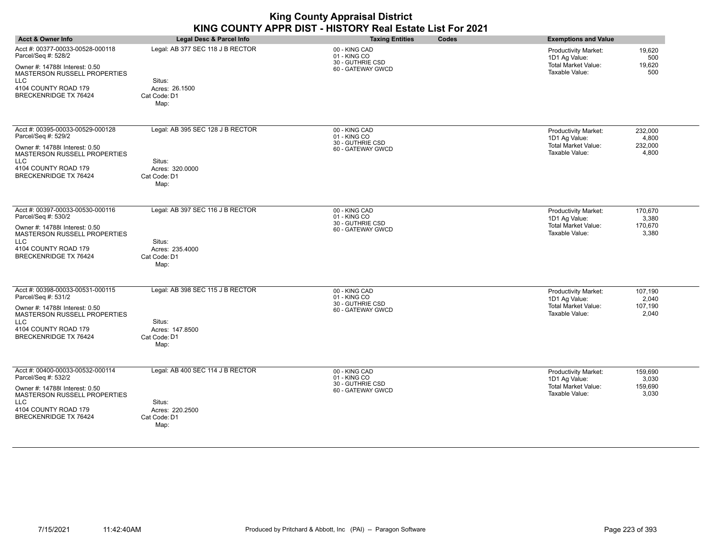| <b>Acct &amp; Owner Info</b>                                                                                                                                                                           | Legal Desc & Parcel Info                                                              | <b>Taxing Entities</b><br>Codes                                        | <b>Exemptions and Value</b>                                                                                                          |
|--------------------------------------------------------------------------------------------------------------------------------------------------------------------------------------------------------|---------------------------------------------------------------------------------------|------------------------------------------------------------------------|--------------------------------------------------------------------------------------------------------------------------------------|
| Acct #: 00377-00033-00528-000118<br>Parcel/Seq #: 528/2<br>Owner #: 14788( Interest: 0.50<br>MASTERSON RUSSELL PROPERTIES<br><b>LLC</b><br>4104 COUNTY ROAD 179<br><b>BRECKENRIDGE TX 76424</b>        | Legal: AB 377 SEC 118 J B RECTOR<br>Situs:<br>Acres: 26.1500<br>Cat Code: D1<br>Map:  | 00 - KING CAD<br>01 - KING CO<br>30 - GUTHRIE CSD<br>60 - GATEWAY GWCD | 19,620<br><b>Productivity Market:</b><br>1D1 Ag Value:<br>500<br><b>Total Market Value:</b><br>19,620<br>Taxable Value:<br>500       |
| Acct #: 00395-00033-00529-000128<br>Parcel/Seq #: 529/2<br>Owner #: 14788( Interest: 0.50<br>MASTERSON RUSSELL PROPERTIES<br><b>LLC</b><br>4104 COUNTY ROAD 179<br><b>BRECKENRIDGE TX 76424</b>        | Legal: AB 395 SEC 128 J B RECTOR<br>Situs:<br>Acres: 320.0000<br>Cat Code: D1<br>Map: | 00 - KING CAD<br>01 - KING CO<br>30 - GUTHRIE CSD<br>60 - GATEWAY GWCD | <b>Productivity Market:</b><br>232,000<br>1D1 Ag Value:<br>4,800<br><b>Total Market Value:</b><br>232,000<br>Taxable Value:<br>4,800 |
| Acct #: 00397-00033-00530-000116<br>Parcel/Seq #: 530/2<br>Owner #: 14788( Interest: 0.50<br>MASTERSON RUSSELL PROPERTIES<br><b>LLC</b><br>4104 COUNTY ROAD 179<br><b>BRECKENRIDGE TX 76424</b>        | Legal: AB 397 SEC 116 J B RECTOR<br>Situs:<br>Acres: 235.4000<br>Cat Code: D1<br>Map: | 00 - KING CAD<br>01 - KING CO<br>30 - GUTHRIE CSD<br>60 - GATEWAY GWCD | 170,670<br>Productivity Market:<br>1D1 Ag Value:<br>3,380<br><b>Total Market Value:</b><br>170,670<br>Taxable Value:<br>3,380        |
| Acct #: 00398-00033-00531-000115<br>Parcel/Seq #: 531/2<br>Owner #: 14788( Interest: 0.50<br><b>MASTERSON RUSSELL PROPERTIES</b><br><b>LLC</b><br>4104 COUNTY ROAD 179<br><b>BRECKENRIDGE TX 76424</b> | Legal: AB 398 SEC 115 J B RECTOR<br>Situs:<br>Acres: 147,8500<br>Cat Code: D1<br>Map: | 00 - KING CAD<br>01 - KING CO<br>30 - GUTHRIE CSD<br>60 - GATEWAY GWCD | Productivity Market:<br>107,190<br>1D1 Ag Value:<br>2,040<br><b>Total Market Value:</b><br>107,190<br>Taxable Value:<br>2,040        |
| Acct #: 00400-00033-00532-000114<br>Parcel/Seq #: 532/2<br>Owner #: 14788( Interest: 0.50<br>MASTERSON RUSSELL PROPERTIES<br><b>LLC</b><br>4104 COUNTY ROAD 179<br><b>BRECKENRIDGE TX 76424</b>        | Legal: AB 400 SEC 114 J B RECTOR<br>Situs:<br>Acres: 220.2500<br>Cat Code: D1<br>Map: | 00 - KING CAD<br>01 - KING CO<br>30 - GUTHRIE CSD<br>60 - GATEWAY GWCD | 159,690<br>Productivity Market:<br>1D1 Ag Value:<br>3,030<br><b>Total Market Value:</b><br>159,690<br>Taxable Value:<br>3,030        |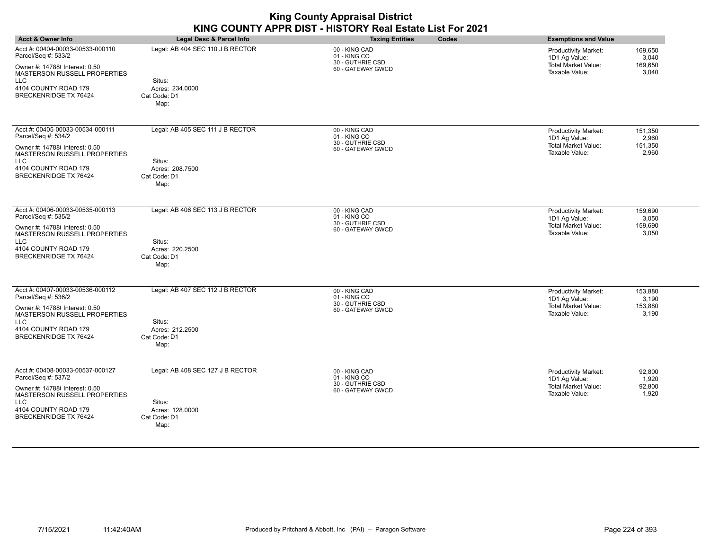| <b>Acct &amp; Owner Info</b>                                                                                                                                                                    | Legal Desc & Parcel Info                                                              | <b>Taxing Entities</b><br>Codes                                        | <b>Exemptions and Value</b>                                                                                                          |
|-------------------------------------------------------------------------------------------------------------------------------------------------------------------------------------------------|---------------------------------------------------------------------------------------|------------------------------------------------------------------------|--------------------------------------------------------------------------------------------------------------------------------------|
| Acct #: 00404-00033-00533-000110<br>Parcel/Seq #: 533/2<br>Owner #: 14788( Interest: 0.50<br>MASTERSON RUSSELL PROPERTIES<br>LLC<br>4104 COUNTY ROAD 179<br><b>BRECKENRIDGE TX 76424</b>        | Legal: AB 404 SEC 110 J B RECTOR<br>Situs:<br>Acres: 234.0000<br>Cat Code: D1<br>Map: | 00 - KING CAD<br>01 - KING CO<br>30 - GUTHRIE CSD<br>60 - GATEWAY GWCD | 169,650<br><b>Productivity Market:</b><br>3,040<br>1D1 Ag Value:<br>Total Market Value:<br>169,650<br>Taxable Value:<br>3,040        |
| Acct #: 00405-00033-00534-000111<br>Parcel/Seq #: 534/2<br>Owner #: 14788( Interest: 0.50<br>MASTERSON RUSSELL PROPERTIES<br>LLC<br>4104 COUNTY ROAD 179<br><b>BRECKENRIDGE TX 76424</b>        | Legal: AB 405 SEC 111 J B RECTOR<br>Situs:<br>Acres: 208.7500<br>Cat Code: D1<br>Map: | 00 - KING CAD<br>01 - KING CO<br>30 - GUTHRIE CSD<br>60 - GATEWAY GWCD | Productivity Market:<br>151,350<br>2,960<br>1D1 Ag Value:<br>Total Market Value:<br>151,350<br>Taxable Value:<br>2,960               |
| Acct #: 00406-00033-00535-000113<br>Parcel/Seq #: 535/2<br>Owner #: 14788( Interest: 0.50<br>MASTERSON RUSSELL PROPERTIES<br>LLC<br>4104 COUNTY ROAD 179<br><b>BRECKENRIDGE TX 76424</b>        | Legal: AB 406 SEC 113 J B RECTOR<br>Situs:<br>Acres: 220.2500<br>Cat Code: D1<br>Map: | 00 - KING CAD<br>01 - KING CO<br>30 - GUTHRIE CSD<br>60 - GATEWAY GWCD | 159,690<br><b>Productivity Market:</b><br>1D1 Ag Value:<br>3,050<br><b>Total Market Value:</b><br>159,690<br>Taxable Value:<br>3,050 |
| Acct #: 00407-00033-00536-000112<br>Parcel/Seq #: 536/2<br>Owner #: 14788( Interest: 0.50<br><b>MASTERSON RUSSELL PROPERTIES</b><br>LLC<br>4104 COUNTY ROAD 179<br><b>BRECKENRIDGE TX 76424</b> | Legal: AB 407 SEC 112 J B RECTOR<br>Situs:<br>Acres: 212.2500<br>Cat Code: D1<br>Map: | 00 - KING CAD<br>01 - KING CO<br>30 - GUTHRIE CSD<br>60 - GATEWAY GWCD | Productivity Market:<br>153,880<br>1D1 Ag Value:<br>3,190<br>Total Market Value:<br>153,880<br>Taxable Value:<br>3,190               |
| Acct #: 00408-00033-00537-000127<br>Parcel/Seq #: 537/2<br>Owner #: 14788( Interest: 0.50<br><b>MASTERSON RUSSELL PROPERTIES</b><br>LLC<br>4104 COUNTY ROAD 179<br><b>BRECKENRIDGE TX 76424</b> | Legal: AB 408 SEC 127 J B RECTOR<br>Situs:<br>Acres: 128.0000<br>Cat Code: D1<br>Map: | 00 - KING CAD<br>01 - KING CO<br>30 - GUTHRIE CSD<br>60 - GATEWAY GWCD | Productivity Market:<br>92,800<br>1D1 Ag Value:<br>1,920<br>92,800<br><b>Total Market Value:</b><br>Taxable Value:<br>1,920          |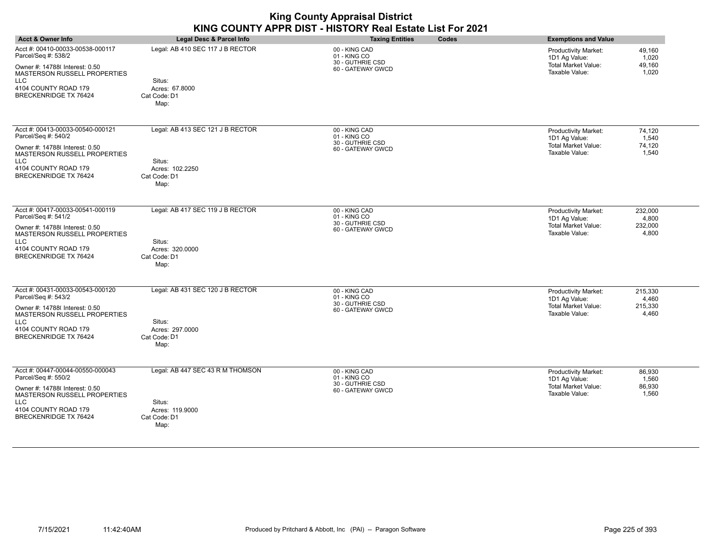| <b>Acct &amp; Owner Info</b>                                                                                                                                                                    | Legal Desc & Parcel Info                                                              | <b>Taxing Entities</b><br>Codes                                        | <b>Exemptions and Value</b>                                                                                                          |
|-------------------------------------------------------------------------------------------------------------------------------------------------------------------------------------------------|---------------------------------------------------------------------------------------|------------------------------------------------------------------------|--------------------------------------------------------------------------------------------------------------------------------------|
| Acct #: 00410-00033-00538-000117<br>Parcel/Seq #: 538/2<br>Owner #: 14788( Interest: 0.50<br>MASTERSON RUSSELL PROPERTIES<br>LLC<br>4104 COUNTY ROAD 179<br><b>BRECKENRIDGE TX 76424</b>        | Legal: AB 410 SEC 117 J B RECTOR<br>Situs:<br>Acres: 67.8000<br>Cat Code: D1<br>Map:  | 00 - KING CAD<br>01 - KING CO<br>30 - GUTHRIE CSD<br>60 - GATEWAY GWCD | 49,160<br><b>Productivity Market:</b><br>1D1 Ag Value:<br>1,020<br><b>Total Market Value:</b><br>49,160<br>Taxable Value:<br>1,020   |
| Acct #: 00413-00033-00540-000121<br>Parcel/Seq #: 540/2<br>Owner #: 14788( Interest: 0.50<br>MASTERSON RUSSELL PROPERTIES<br>LLC<br>4104 COUNTY ROAD 179<br>BRECKENRIDGE TX 76424               | Legal: AB 413 SEC 121 J B RECTOR<br>Situs:<br>Acres: 102.2250<br>Cat Code: D1<br>Map: | 00 - KING CAD<br>01 - KING CO<br>30 - GUTHRIE CSD<br>60 - GATEWAY GWCD | Productivity Market:<br>74,120<br>1D1 Ag Value:<br>1,540<br>Total Market Value:<br>74,120<br>Taxable Value:<br>1,540                 |
| Acct #: 00417-00033-00541-000119<br>Parcel/Seq #: 541/2<br>Owner #: 14788( Interest: 0.50<br><b>MASTERSON RUSSELL PROPERTIES</b><br>LLC<br>4104 COUNTY ROAD 179<br><b>BRECKENRIDGE TX 76424</b> | Legal: AB 417 SEC 119 J B RECTOR<br>Situs:<br>Acres: 320.0000<br>Cat Code: D1<br>Map: | 00 - KING CAD<br>01 - KING CO<br>30 - GUTHRIE CSD<br>60 - GATEWAY GWCD | 232,000<br><b>Productivity Market:</b><br>1D1 Ag Value:<br>4,800<br><b>Total Market Value:</b><br>232,000<br>Taxable Value:<br>4,800 |
| Acct #: 00431-00033-00543-000120<br>Parcel/Seq #: 543/2<br>Owner #: 14788( Interest: 0.50<br>MASTERSON RUSSELL PROPERTIES<br>LLC<br>4104 COUNTY ROAD 179<br><b>BRECKENRIDGE TX 76424</b>        | Legal: AB 431 SEC 120 J B RECTOR<br>Situs:<br>Acres: 297.0000<br>Cat Code: D1<br>Map: | 00 - KING CAD<br>01 - KING CO<br>30 - GUTHRIE CSD<br>60 - GATEWAY GWCD | 215,330<br><b>Productivity Market:</b><br>1D1 Ag Value:<br>4,460<br>Total Market Value:<br>215,330<br>Taxable Value:<br>4,460        |
| Acct #: 00447-00044-00550-000043<br>Parcel/Seq #: 550/2<br>Owner #: 14788(Interest: 0.50<br><b>MASTERSON RUSSELL PROPERTIES</b><br>LLC<br>4104 COUNTY ROAD 179<br><b>BRECKENRIDGE TX 76424</b>  | Legal: AB 447 SEC 43 R M THOMSON<br>Situs:<br>Acres: 119.9000<br>Cat Code: D1<br>Map: | 00 - KING CAD<br>01 - KING CO<br>30 - GUTHRIE CSD<br>60 - GATEWAY GWCD | Productivity Market:<br>86,930<br>1D1 Ag Value:<br>1,560<br><b>Total Market Value:</b><br>86,930<br>Taxable Value:<br>1,560          |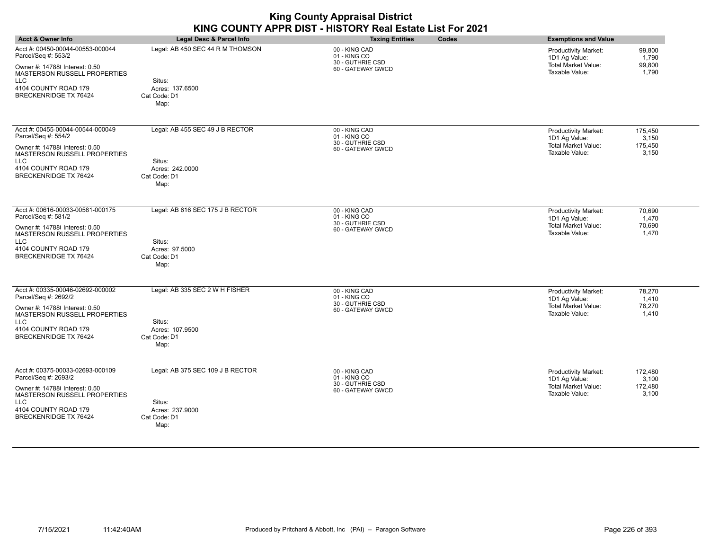| <b>Acct &amp; Owner Info</b>                                                                                                                                                                     | Legal Desc & Parcel Info                                                              | <b>Taxing Entities</b><br>Codes                                        | <b>Exemptions and Value</b>                                                                                                          |
|--------------------------------------------------------------------------------------------------------------------------------------------------------------------------------------------------|---------------------------------------------------------------------------------------|------------------------------------------------------------------------|--------------------------------------------------------------------------------------------------------------------------------------|
| Acct #: 00450-00044-00553-000044<br>Parcel/Seq #: 553/2<br>Owner #: 14788( Interest: 0.50<br>MASTERSON RUSSELL PROPERTIES<br>LLC<br>4104 COUNTY ROAD 179<br><b>BRECKENRIDGE TX 76424</b>         | Legal: AB 450 SEC 44 R M THOMSON<br>Situs:<br>Acres: 137.6500<br>Cat Code: D1<br>Map: | 00 - KING CAD<br>01 - KING CO<br>30 - GUTHRIE CSD<br>60 - GATEWAY GWCD | 99,800<br><b>Productivity Market:</b><br>1,790<br>1D1 Ag Value:<br>Total Market Value:<br>99,800<br>Taxable Value:<br>1,790          |
| Acct #: 00455-00044-00544-000049<br>Parcel/Seq #: 554/2<br>Owner #: 14788( Interest: 0.50<br>MASTERSON RUSSELL PROPERTIES<br>LLC<br>4104 COUNTY ROAD 179<br><b>BRECKENRIDGE TX 76424</b>         | Legal: AB 455 SEC 49 J B RECTOR<br>Situs:<br>Acres: 242.0000<br>Cat Code: D1<br>Map:  | 00 - KING CAD<br>01 - KING CO<br>30 - GUTHRIE CSD<br>60 - GATEWAY GWCD | 175,450<br><b>Productivity Market:</b><br>1D1 Ag Value:<br>3,150<br><b>Total Market Value:</b><br>175,450<br>Taxable Value:<br>3,150 |
| Acct #: 00616-00033-00581-000175<br>Parcel/Seq #: 581/2<br>Owner #: 14788(Interest: 0.50<br>MASTERSON RUSSELL PROPERTIES<br>LLC<br>4104 COUNTY ROAD 179<br><b>BRECKENRIDGE TX 76424</b>          | Legal: AB 616 SEC 175 J B RECTOR<br>Situs:<br>Acres: 97.5000<br>Cat Code: D1<br>Map:  | 00 - KING CAD<br>01 - KING CO<br>30 - GUTHRIE CSD<br>60 - GATEWAY GWCD | Productivity Market:<br>70,690<br>1D1 Ag Value:<br>1,470<br><b>Total Market Value:</b><br>70,690<br>Taxable Value:<br>1,470          |
| Acct #: 00335-00046-02692-000002<br>Parcel/Seq #: 2692/2<br>Owner #: 14788( Interest: 0.50<br>MASTERSON RUSSELL PROPERTIES<br><b>LLC</b><br>4104 COUNTY ROAD 179<br><b>BRECKENRIDGE TX 76424</b> | Legal: AB 335 SEC 2 W H FISHER<br>Situs:<br>Acres: 107.9500<br>Cat Code: D1<br>Map:   | 00 - KING CAD<br>01 - KING CO<br>30 - GUTHRIE CSD<br>60 - GATEWAY GWCD | 78,270<br><b>Productivity Market:</b><br>1D1 Ag Value:<br>1,410<br><b>Total Market Value:</b><br>78,270<br>Taxable Value:<br>1,410   |
| Acct #: 00375-00033-02693-000109<br>Parcel/Seq #: 2693/2<br>Owner #: 14788( Interest: 0.50<br>MASTERSON RUSSELL PROPERTIES<br>LLC<br>4104 COUNTY ROAD 179<br><b>BRECKENRIDGE TX 76424</b>        | Legal: AB 375 SEC 109 J B RECTOR<br>Situs:<br>Acres: 237.9000<br>Cat Code: D1<br>Map: | 00 - KING CAD<br>01 - KING CO<br>30 - GUTHRIE CSD<br>60 - GATEWAY GWCD | <b>Productivity Market:</b><br>172,480<br>1D1 Ag Value:<br>3,100<br><b>Total Market Value:</b><br>172,480<br>Taxable Value:<br>3,100 |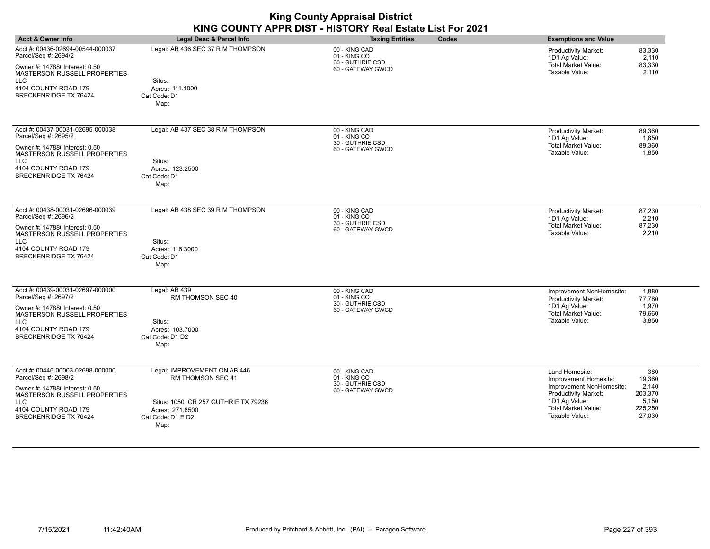| <b>Acct &amp; Owner Info</b>                                                                                                                                                                    | <b>Legal Desc &amp; Parcel Info</b>                                                                                                      | <b>Taxing Entities</b><br>Codes                                        | <b>Exemptions and Value</b>                                                                                                                                                                                                            |
|-------------------------------------------------------------------------------------------------------------------------------------------------------------------------------------------------|------------------------------------------------------------------------------------------------------------------------------------------|------------------------------------------------------------------------|----------------------------------------------------------------------------------------------------------------------------------------------------------------------------------------------------------------------------------------|
| Acct #: 00436-02694-00544-000037<br>Parcel/Seq #: 2694/2<br>Owner #: 14788( Interest: 0.50<br>MASTERSON RUSSELL PROPERTIES<br>LLC<br>4104 COUNTY ROAD 179<br><b>BRECKENRIDGE TX 76424</b>       | Legal: AB 436 SEC 37 R M THOMPSON<br>Situs:<br>Acres: 111.1000<br>Cat Code: D1<br>Map:                                                   | 00 - KING CAD<br>01 - KING CO<br>30 - GUTHRIE CSD<br>60 - GATEWAY GWCD | 83,330<br><b>Productivity Market:</b><br>1D1 Ag Value:<br>2,110<br>Total Market Value:<br>83,330<br>Taxable Value:<br>2,110                                                                                                            |
| Acct #: 00437-00031-02695-000038<br>Parcel/Seq #: 2695/2<br>Owner #: 14788( Interest: 0.50<br>MASTERSON RUSSELL PROPERTIES<br>LLC<br>4104 COUNTY ROAD 179<br><b>BRECKENRIDGE TX 76424</b>       | Legal: AB 437 SEC 38 R M THOMPSON<br>Situs:<br>Acres: 123.2500<br>Cat Code: D1<br>Map:                                                   | 00 - KING CAD<br>01 - KING CO<br>30 - GUTHRIE CSD<br>60 - GATEWAY GWCD | 89,360<br><b>Productivity Market:</b><br>1,850<br>1D1 Ag Value:<br><b>Total Market Value:</b><br>89,360<br>Taxable Value:<br>1,850                                                                                                     |
| Acct #: 00438-00031-02696-000039<br>Parcel/Seq #: 2696/2<br>Owner #: 14788(Interest: 0.50<br>MASTERSON RUSSELL PROPERTIES<br>LLC<br>4104 COUNTY ROAD 179<br><b>BRECKENRIDGE TX 76424</b>        | Legal: AB 438 SEC 39 R M THOMPSON<br>Situs:<br>Acres: 116.3000<br>Cat Code: D1<br>Map:                                                   | 00 - KING CAD<br>01 - KING CO<br>30 - GUTHRIE CSD<br>60 - GATEWAY GWCD | 87,230<br><b>Productivity Market:</b><br>2,210<br>1D1 Ag Value:<br><b>Total Market Value:</b><br>87,230<br>Taxable Value:<br>2,210                                                                                                     |
| Acct #: 00439-00031-02697-000000<br>Parcel/Seq #: 2697/2<br>Owner #: 14788( Interest: 0.50<br>MASTERSON RUSSELL PROPERTIES<br>LLC<br>4104 COUNTY ROAD 179<br><b>BRECKENRIDGE TX 76424</b>       | Legal: AB 439<br>RM THOMSON SEC 40<br>Situs:<br>Acres: 103.7000<br>Cat Code: D1 D2<br>Map:                                               | 00 - KING CAD<br>01 - KING CO<br>30 - GUTHRIE CSD<br>60 - GATEWAY GWCD | 1,880<br>Improvement NonHomesite:<br>Productivity Market:<br>77,780<br>1,970<br>1D1 Ag Value:<br><b>Total Market Value:</b><br>79,660<br>Taxable Value:<br>3,850                                                                       |
| Acct #: 00446-00003-02698-000000<br>Parcel/Seq #: 2698/2<br>Owner #: 14788(Interest: 0.50<br><b>MASTERSON RUSSELL PROPERTIES</b><br>LLC<br>4104 COUNTY ROAD 179<br><b>BRECKENRIDGE TX 76424</b> | Legal: IMPROVEMENT ON AB 446<br>RM THOMSON SEC 41<br>Situs: 1050 CR 257 GUTHRIE TX 79236<br>Acres: 271.6500<br>Cat Code: D1 E D2<br>Map: | 00 - KING CAD<br>01 - KING CO<br>30 - GUTHRIE CSD<br>60 - GATEWAY GWCD | 380<br>Land Homesite:<br>19,360<br>Improvement Homesite:<br>2,140<br>Improvement NonHomesite:<br>203,370<br><b>Productivity Market:</b><br>1D1 Ag Value:<br>5,150<br>225,250<br><b>Total Market Value:</b><br>Taxable Value:<br>27,030 |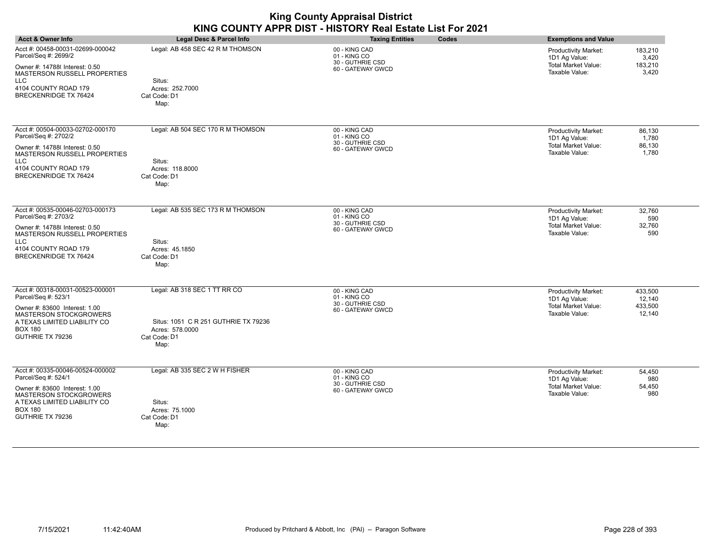| <b>Acct &amp; Owner Info</b>                                                                                                                                                                     | Legal Desc & Parcel Info                                                                                        | <b>Taxing Entities</b><br>Codes                                        | <b>Exemptions and Value</b>                                                                                                          |
|--------------------------------------------------------------------------------------------------------------------------------------------------------------------------------------------------|-----------------------------------------------------------------------------------------------------------------|------------------------------------------------------------------------|--------------------------------------------------------------------------------------------------------------------------------------|
| Acct #: 00458-00031-02699-000042<br>Parcel/Seq #: 2699/2<br>Owner #: 14788( Interest: 0.50<br>MASTERSON RUSSELL PROPERTIES<br><b>LLC</b><br>4104 COUNTY ROAD 179<br><b>BRECKENRIDGE TX 76424</b> | Legal: AB 458 SEC 42 R M THOMSON<br>Situs:<br>Acres: 252.7000<br>Cat Code: D1<br>Map:                           | 00 - KING CAD<br>01 - KING CO<br>30 - GUTHRIE CSD<br>60 - GATEWAY GWCD | <b>Productivity Market:</b><br>183,210<br>3,420<br>1D1 Ag Value:<br><b>Total Market Value:</b><br>183,210<br>Taxable Value:<br>3,420 |
| Acct #: 00504-00033-02702-000170<br>Parcel/Seq #: 2702/2<br>Owner #: 14788( Interest: 0.50<br>MASTERSON RUSSELL PROPERTIES<br>LLC<br>4104 COUNTY ROAD 179<br><b>BRECKENRIDGE TX 76424</b>        | Legal: AB 504 SEC 170 R M THOMSON<br>Situs:<br>Acres: 118,8000<br>Cat Code: D1<br>Map:                          | 00 - KING CAD<br>01 - KING CO<br>30 - GUTHRIE CSD<br>60 - GATEWAY GWCD | Productivity Market:<br>86,130<br>1D1 Ag Value:<br>1,780<br>86,130<br><b>Total Market Value:</b><br>Taxable Value:<br>1,780          |
| Acct #: 00535-00046-02703-000173<br>Parcel/Seq #: 2703/2<br>Owner #: 14788( Interest: 0.50<br>MASTERSON RUSSELL PROPERTIES<br>LLC<br>4104 COUNTY ROAD 179<br><b>BRECKENRIDGE TX 76424</b>        | Legal: AB 535 SEC 173 R M THOMSON<br>Situs:<br>Acres: 45.1850<br>Cat Code: D1<br>Map:                           | 00 - KING CAD<br>01 - KING CO<br>30 - GUTHRIE CSD<br>60 - GATEWAY GWCD | 32,760<br><b>Productivity Market:</b><br>1D1 Ag Value:<br>590<br><b>Total Market Value:</b><br>32,760<br>Taxable Value:<br>590       |
| Acct #: 00318-00031-00523-000001<br>Parcel/Seq #: 523/1<br>Owner #: 83600 Interest: 1.00<br>MASTERSON STOCKGROWERS<br>A TEXAS LIMITED LIABILITY CO<br><b>BOX 180</b><br>GUTHRIE TX 79236         | Legal: AB 318 SEC 1 TT RR CO<br>Situs: 1051 C R 251 GUTHRIE TX 79236<br>Acres: 578.0000<br>Cat Code: D1<br>Map: | 00 - KING CAD<br>01 - KING CO<br>30 - GUTHRIE CSD<br>60 - GATEWAY GWCD | 433,500<br><b>Productivity Market:</b><br>1D1 Ag Value:<br>12,140<br>Total Market Value:<br>433,500<br>Taxable Value:<br>12,140      |
| Acct #: 00335-00046-00524-000002<br>Parcel/Seq #: 524/1<br>Owner #: 83600 Interest: 1.00<br><b>MASTERSON STOCKGROWERS</b><br>A TEXAS LIMITED LIABILITY CO<br><b>BOX 180</b><br>GUTHRIE TX 79236  | Legal: AB 335 SEC 2 W H FISHER<br>Situs:<br>Acres: 75.1000<br>Cat Code: D1<br>Map:                              | 00 - KING CAD<br>01 - KING CO<br>30 - GUTHRIE CSD<br>60 - GATEWAY GWCD | 54,450<br>Productivity Market:<br>1D1 Ag Value:<br>980<br><b>Total Market Value:</b><br>54,450<br>Taxable Value:<br>980              |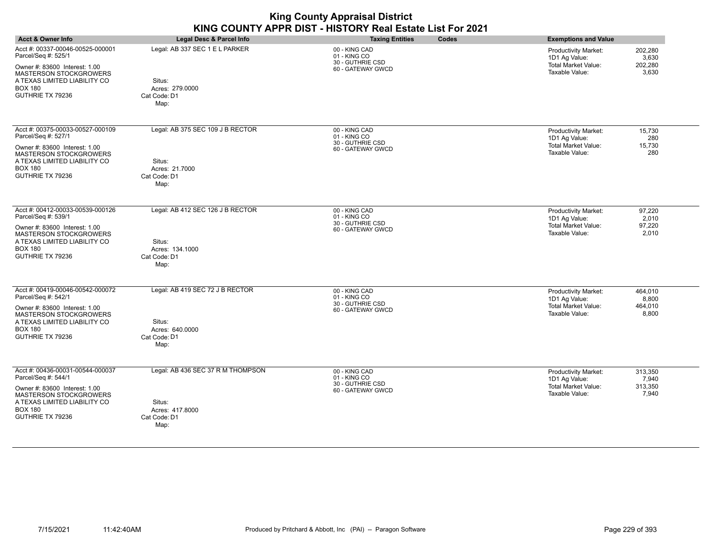|                                                                                                                                                                                                 | <b>King County Appraisal District</b><br>KING COUNTY APPR DIST - HISTORY Real Estate List For 2021 |                                                                        |       |                                                                                              |                                      |
|-------------------------------------------------------------------------------------------------------------------------------------------------------------------------------------------------|----------------------------------------------------------------------------------------------------|------------------------------------------------------------------------|-------|----------------------------------------------------------------------------------------------|--------------------------------------|
| <b>Acct &amp; Owner Info</b>                                                                                                                                                                    | <b>Legal Desc &amp; Parcel Info</b>                                                                | <b>Taxing Entities</b>                                                 | Codes | <b>Exemptions and Value</b>                                                                  |                                      |
| Acct #: 00337-00046-00525-000001<br>Parcel/Seq #: 525/1<br>Owner #: 83600 Interest: 1.00<br>MASTERSON STOCKGROWERS<br>A TEXAS LIMITED LIABILITY CO<br><b>BOX 180</b><br>GUTHRIE TX 79236        | Legal: AB 337 SEC 1 E L PARKER<br>Situs:<br>Acres: 279.0000<br>Cat Code: D1<br>Map:                | 00 - KING CAD<br>01 - KING CO<br>30 - GUTHRIE CSD<br>60 - GATEWAY GWCD |       | Productivity Market:<br>1D1 Ag Value:<br><b>Total Market Value:</b><br>Taxable Value:        | 202,280<br>3,630<br>202,280<br>3,630 |
| Acct #: 00375-00033-00527-000109<br>Parcel/Seq #: 527/1<br>Owner #: 83600 Interest: 1.00<br><b>MASTERSON STOCKGROWERS</b><br>A TEXAS LIMITED LIABILITY CO<br><b>BOX 180</b><br>GUTHRIE TX 79236 | Legal: AB 375 SEC 109 J B RECTOR<br>Situs:<br>Acres: 21.7000<br>Cat Code: D1<br>Map:               | 00 - KING CAD<br>01 - KING CO<br>30 - GUTHRIE CSD<br>60 - GATEWAY GWCD |       | <b>Productivity Market:</b><br>1D1 Ag Value:<br><b>Total Market Value:</b><br>Taxable Value: | 15,730<br>280<br>15,730<br>280       |
| Acct #: 00412-00033-00539-000126<br>Parcel/Seq #: 539/1<br>Owner #: 83600 Interest: 1.00<br>MASTERSON STOCKGROWERS<br>A TEXAS LIMITED LIABILITY CO<br><b>BOX 180</b><br>GUTHRIE TX 79236        | Legal: AB 412 SEC 126 J B RECTOR<br>Situs:<br>Acres: 134.1000<br>Cat Code: D1<br>Map:              | 00 - KING CAD<br>01 - KING CO<br>30 - GUTHRIE CSD<br>60 - GATEWAY GWCD |       | Productivity Market:<br>1D1 Ag Value:<br><b>Total Market Value:</b><br>Taxable Value:        | 97.220<br>2,010<br>97,220<br>2.010   |
| Acct #: 00419-00046-00542-000072<br>Parcel/Seq #: 542/1<br>Owner #: 83600 Interest: 1.00<br><b>MASTERSON STOCKGROWERS</b><br>A TEXAS LIMITED LIABILITY CO<br><b>BOX 180</b><br>GUTHRIE TX 79236 | Legal: AB 419 SEC 72 J B RECTOR<br>Situs:<br>Acres: 640.0000<br>Cat Code: D1<br>Map:               | 00 - KING CAD<br>01 - KING CO<br>30 - GUTHRIE CSD<br>60 - GATEWAY GWCD |       | Productivity Market:<br>1D1 Ag Value:<br><b>Total Market Value:</b><br>Taxable Value:        | 464,010<br>8,800<br>464,010<br>8,800 |
| Acct #: 00436-00031-00544-000037<br>Parcel/Seq #: 544/1<br>Owner #: 83600 Interest: 1.00<br><b>MASTERSON STOCKGROWERS</b><br>A TEXAS LIMITED LIABILITY CO<br><b>BOX 180</b><br>GUTHRIE TX 79236 | Legal: AB 436 SEC 37 R M THOMPSON<br>Situs:<br>Acres: 417.8000<br>Cat Code: D1                     | 00 - KING CAD<br>01 - KING CO<br>30 - GUTHRIE CSD<br>60 - GATEWAY GWCD |       | Productivity Market:<br>1D1 Ag Value:<br><b>Total Market Value:</b><br>Taxable Value:        | 313,350<br>7,940<br>313,350<br>7,940 |

Cat Code: D1 Map: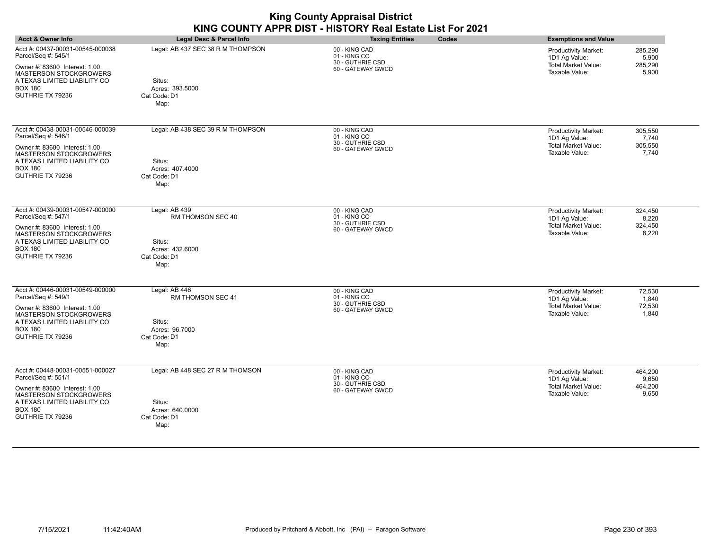| <b>Acct &amp; Owner Info</b>                                                                                                                                                                    | Legal Desc & Parcel Info                                                                | <b>Taxing Entities</b><br>Codes                                        | <b>Exemptions and Value</b>                                                                                                          |
|-------------------------------------------------------------------------------------------------------------------------------------------------------------------------------------------------|-----------------------------------------------------------------------------------------|------------------------------------------------------------------------|--------------------------------------------------------------------------------------------------------------------------------------|
| Acct #: 00437-00031-00545-000038<br>Parcel/Seq #: 545/1<br>Owner #: 83600 Interest: 1.00<br><b>MASTERSON STOCKGROWERS</b><br>A TEXAS LIMITED LIABILITY CO<br><b>BOX 180</b><br>GUTHRIE TX 79236 | Legal: AB 437 SEC 38 R M THOMPSON<br>Situs:<br>Acres: 393.5000<br>Cat Code: D1<br>Map:  | 00 - KING CAD<br>01 - KING CO<br>30 - GUTHRIE CSD<br>60 - GATEWAY GWCD | 285,290<br><b>Productivity Market:</b><br>1D1 Ag Value:<br>5,900<br><b>Total Market Value:</b><br>285,290<br>Taxable Value:<br>5,900 |
| Acct #: 00438-00031-00546-000039<br>Parcel/Seq #: 546/1<br>Owner #: 83600 Interest: 1.00<br><b>MASTERSON STOCKGROWERS</b><br>A TEXAS LIMITED LIABILITY CO<br><b>BOX 180</b><br>GUTHRIE TX 79236 | Legal: AB 438 SEC 39 R M THOMPSON<br>Situs:<br>Acres: 407.4000<br>Cat Code: D1<br>Map:  | 00 - KING CAD<br>01 - KING CO<br>30 - GUTHRIE CSD<br>60 - GATEWAY GWCD | Productivity Market:<br>305,550<br>1D1 Ag Value:<br>7,740<br><b>Total Market Value:</b><br>305,550<br>Taxable Value:<br>7,740        |
| Acct #: 00439-00031-00547-000000<br>Parcel/Seq #: 547/1<br>Owner #: 83600 Interest: 1.00<br>MASTERSON STOCKGROWERS<br>A TEXAS LIMITED LIABILITY CO<br><b>BOX 180</b><br>GUTHRIE TX 79236        | Legal: AB 439<br>RM THOMSON SEC 40<br>Situs:<br>Acres: 432.6000<br>Cat Code: D1<br>Map: | 00 - KING CAD<br>01 - KING CO<br>30 - GUTHRIE CSD<br>60 - GATEWAY GWCD | 324,450<br><b>Productivity Market:</b><br>1D1 Ag Value:<br>8,220<br><b>Total Market Value:</b><br>324,450<br>Taxable Value:<br>8,220 |
| Acct #: 00446-00031-00549-000000<br>Parcel/Seq #: 549/1<br>Owner #: 83600 Interest: 1.00<br>MASTERSON STOCKGROWERS<br>A TEXAS LIMITED LIABILITY CO<br><b>BOX 180</b><br>GUTHRIE TX 79236        | Legal: AB 446<br>RM THOMSON SEC 41<br>Situs:<br>Acres: 96.7000<br>Cat Code: D1<br>Map:  | 00 - KING CAD<br>01 - KING CO<br>30 - GUTHRIE CSD<br>60 - GATEWAY GWCD | 72,530<br><b>Productivity Market:</b><br>1D1 Ag Value:<br>1,840<br><b>Total Market Value:</b><br>72,530<br>Taxable Value:<br>1,840   |
| Acct #: 00448-00031-00551-000027<br>Parcel/Seq #: 551/1<br>Owner #: 83600 Interest: 1.00<br><b>MASTERSON STOCKGROWERS</b><br>A TEXAS LIMITED LIABILITY CO<br><b>BOX 180</b><br>GUTHRIE TX 79236 | Legal: AB 448 SEC 27 R M THOMSON<br>Situs:<br>Acres: 640.0000<br>Cat Code: D1<br>Map:   | 00 - KING CAD<br>01 - KING CO<br>30 - GUTHRIE CSD<br>60 - GATEWAY GWCD | <b>Productivity Market:</b><br>464,200<br>1D1 Ag Value:<br>9,650<br><b>Total Market Value:</b><br>464,200<br>Taxable Value:<br>9,650 |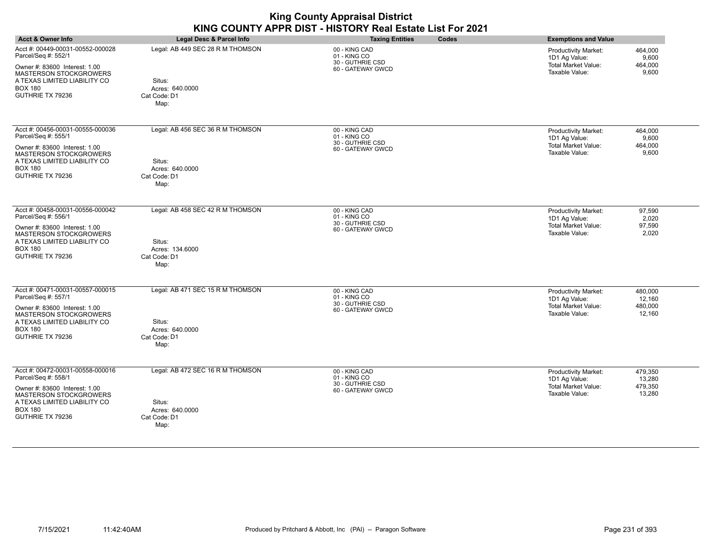| <b>Acct &amp; Owner Info</b>                                                                                                                                                                    | Legal Desc & Parcel Info                                                              | <b>Taxing Entities</b><br>Codes                                        | <b>Exemptions and Value</b>                                                                                                          |
|-------------------------------------------------------------------------------------------------------------------------------------------------------------------------------------------------|---------------------------------------------------------------------------------------|------------------------------------------------------------------------|--------------------------------------------------------------------------------------------------------------------------------------|
| Acct #: 00449-00031-00552-000028<br>Parcel/Seq #: 552/1<br>Owner #: 83600 Interest: 1.00<br><b>MASTERSON STOCKGROWERS</b><br>A TEXAS LIMITED LIABILITY CO<br><b>BOX 180</b><br>GUTHRIE TX 79236 | Legal: AB 449 SEC 28 R M THOMSON<br>Situs:<br>Acres: 640.0000<br>Cat Code: D1<br>Map: | 00 - KING CAD<br>01 - KING CO<br>30 - GUTHRIE CSD<br>60 - GATEWAY GWCD | Productivity Market:<br>464,000<br>1D1 Ag Value:<br>9,600<br><b>Total Market Value:</b><br>464,000<br>Taxable Value:<br>9,600        |
| Acct #: 00456-00031-00555-000036<br>Parcel/Seq #: 555/1<br>Owner #: 83600 Interest: 1.00<br><b>MASTERSON STOCKGROWERS</b><br>A TEXAS LIMITED LIABILITY CO<br><b>BOX 180</b><br>GUTHRIE TX 79236 | Legal: AB 456 SEC 36 R M THOMSON<br>Situs:<br>Acres: 640.0000<br>Cat Code: D1<br>Map: | 00 - KING CAD<br>01 - KING CO<br>30 - GUTHRIE CSD<br>60 - GATEWAY GWCD | 464,000<br><b>Productivity Market:</b><br>1D1 Ag Value:<br>9,600<br><b>Total Market Value:</b><br>464,000<br>Taxable Value:<br>9,600 |
| Acct #: 00458-00031-00556-000042<br>Parcel/Seq #: 556/1<br>Owner #: 83600 Interest: 1.00<br><b>MASTERSON STOCKGROWERS</b><br>A TEXAS LIMITED LIABILITY CO<br><b>BOX 180</b><br>GUTHRIE TX 79236 | Legal: AB 458 SEC 42 R M THOMSON<br>Situs:<br>Acres: 134,6000<br>Cat Code: D1<br>Map: | 00 - KING CAD<br>01 - KING CO<br>30 - GUTHRIE CSD<br>60 - GATEWAY GWCD | <b>Productivity Market:</b><br>97,590<br>1D1 Ag Value:<br>2,020<br><b>Total Market Value:</b><br>97,590<br>Taxable Value:<br>2,020   |
| Acct #: 00471-00031-00557-000015<br>Parcel/Seq #: 557/1<br>Owner #: 83600 Interest: 1.00<br><b>MASTERSON STOCKGROWERS</b><br>A TEXAS LIMITED LIABILITY CO<br><b>BOX 180</b><br>GUTHRIE TX 79236 | Legal: AB 471 SEC 15 R M THOMSON<br>Situs:<br>Acres: 640.0000<br>Cat Code: D1<br>Map: | 00 - KING CAD<br>01 - KING CO<br>30 - GUTHRIE CSD<br>60 - GATEWAY GWCD | <b>Productivity Market:</b><br>480,000<br>1D1 Ag Value:<br>12,160<br>Total Market Value:<br>480,000<br>Taxable Value:<br>12,160      |
| Acct #: 00472-00031-00558-000016<br>Parcel/Seq #: 558/1<br>Owner #: 83600 Interest: 1.00<br><b>MASTERSON STOCKGROWERS</b><br>A TEXAS LIMITED LIABILITY CO<br><b>BOX 180</b><br>GUTHRIE TX 79236 | Legal: AB 472 SEC 16 R M THOMSON<br>Situs:<br>Acres: 640.0000<br>Cat Code: D1<br>Map: | 00 - KING CAD<br>01 - KING CO<br>30 - GUTHRIE CSD<br>60 - GATEWAY GWCD | Productivity Market:<br>479,350<br>13,280<br>1D1 Ag Value:<br>479,350<br><b>Total Market Value:</b><br>Taxable Value:<br>13,280      |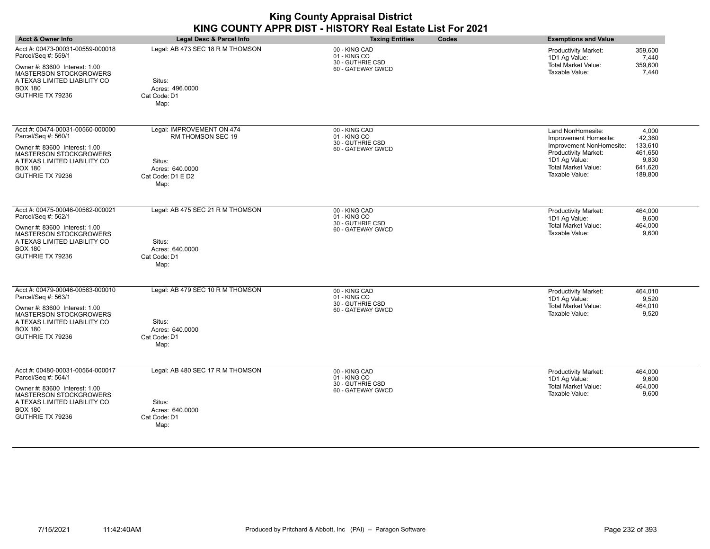| <b>Acct &amp; Owner Info</b>                                                                                                                                                                    | Legal Desc & Parcel Info                                                                                 | <b>Taxing Entities</b><br>Codes                                        | <b>Exemptions and Value</b>                                                                                                                                                                                                             |
|-------------------------------------------------------------------------------------------------------------------------------------------------------------------------------------------------|----------------------------------------------------------------------------------------------------------|------------------------------------------------------------------------|-----------------------------------------------------------------------------------------------------------------------------------------------------------------------------------------------------------------------------------------|
| Acct #: 00473-00031-00559-000018<br>Parcel/Seq #: 559/1<br>Owner #: 83600 Interest: 1.00<br><b>MASTERSON STOCKGROWERS</b><br>A TEXAS LIMITED LIABILITY CO<br><b>BOX 180</b><br>GUTHRIE TX 79236 | Legal: AB 473 SEC 18 R M THOMSON<br>Situs:<br>Acres: 496,0000<br>Cat Code: D1<br>Map:                    | 00 - KING CAD<br>01 - KING CO<br>30 - GUTHRIE CSD<br>60 - GATEWAY GWCD | 359,600<br>Productivity Market:<br>1D1 Ag Value:<br>7,440<br><b>Total Market Value:</b><br>359,600<br>Taxable Value:<br>7,440                                                                                                           |
| Acct #: 00474-00031-00560-000000<br>Parcel/Seq #: 560/1<br>Owner #: 83600 Interest: 1.00<br><b>MASTERSON STOCKGROWERS</b><br>A TEXAS LIMITED LIABILITY CO<br><b>BOX 180</b><br>GUTHRIE TX 79236 | Legal: IMPROVEMENT ON 474<br>RM THOMSON SEC 19<br>Situs:<br>Acres: 640.0000<br>Cat Code: D1 E D2<br>Map: | 00 - KING CAD<br>01 - KING CO<br>30 - GUTHRIE CSD<br>60 - GATEWAY GWCD | Land NonHomesite:<br>4,000<br>42,360<br>Improvement Homesite:<br>Improvement NonHomesite:<br>133,610<br>Productivity Market:<br>461,650<br>1D1 Ag Value:<br>9,830<br><b>Total Market Value:</b><br>641,620<br>Taxable Value:<br>189,800 |
| Acct #: 00475-00046-00562-000021<br>Parcel/Seq #: 562/1<br>Owner #: 83600 Interest: 1.00<br>MASTERSON STOCKGROWERS<br>A TEXAS LIMITED LIABILITY CO<br><b>BOX 180</b><br>GUTHRIE TX 79236        | Legal: AB 475 SEC 21 R M THOMSON<br>Situs:<br>Acres: 640.0000<br>Cat Code: D1<br>Map:                    | 00 - KING CAD<br>01 - KING CO<br>30 - GUTHRIE CSD<br>60 - GATEWAY GWCD | Productivity Market:<br>464,000<br>1D1 Ag Value:<br>9,600<br><b>Total Market Value:</b><br>464,000<br>Taxable Value:<br>9,600                                                                                                           |
| Acct #: 00479-00046-00563-000010<br>Parcel/Seq #: 563/1<br>Owner #: 83600 Interest: 1.00<br>MASTERSON STOCKGROWERS<br>A TEXAS LIMITED LIABILITY CO<br><b>BOX 180</b><br>GUTHRIE TX 79236        | Legal: AB 479 SEC 10 R M THOMSON<br>Situs:<br>Acres: 640.0000<br>Cat Code: D1<br>Map:                    | 00 - KING CAD<br>01 - KING CO<br>30 - GUTHRIE CSD<br>60 - GATEWAY GWCD | Productivity Market:<br>464,010<br>1D1 Ag Value:<br>9,520<br><b>Total Market Value:</b><br>464,010<br>Taxable Value:<br>9,520                                                                                                           |
| Acct #: 00480-00031-00564-000017<br>Parcel/Seq #: 564/1<br>Owner #: 83600 Interest: 1.00<br><b>MASTERSON STOCKGROWERS</b><br>A TEXAS LIMITED LIABILITY CO<br><b>BOX 180</b><br>GUTHRIE TX 79236 | Legal: AB 480 SEC 17 R M THOMSON<br>Situs:<br>Acres: 640.0000<br>Cat Code: D1<br>Map:                    | 00 - KING CAD<br>01 - KING CO<br>30 - GUTHRIE CSD<br>60 - GATEWAY GWCD | <b>Productivity Market:</b><br>464,000<br>1D1 Ag Value:<br>9,600<br><b>Total Market Value:</b><br>464,000<br>Taxable Value:<br>9,600                                                                                                    |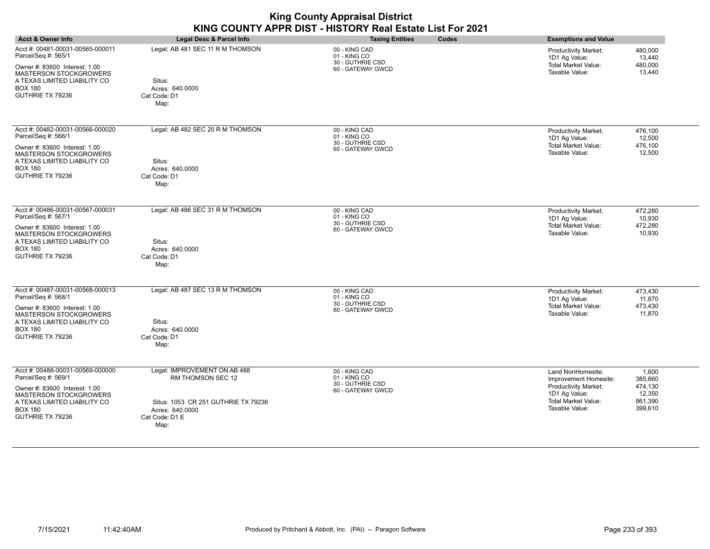| <b>Acct &amp; Owner Info</b>                                                                                                                                                                    | <b>Legal Desc &amp; Parcel Info</b>                                                                                                   | Codes<br><b>Taxing Entities</b>                                        | <b>Exemptions and Value</b>                                                                                                                                                                        |
|-------------------------------------------------------------------------------------------------------------------------------------------------------------------------------------------------|---------------------------------------------------------------------------------------------------------------------------------------|------------------------------------------------------------------------|----------------------------------------------------------------------------------------------------------------------------------------------------------------------------------------------------|
| Acct #: 00481-00031-00565-000011<br>Parcel/Seq #: 565/1<br>Owner #: 83600 Interest: 1.00<br><b>MASTERSON STOCKGROWERS</b><br>A TEXAS LIMITED LIABILITY CO<br><b>BOX 180</b><br>GUTHRIE TX 79236 | Legal: AB 481 SEC 11 R M THOMSON<br>Situs:<br>Acres: 640,0000<br>Cat Code: D1<br>Map:                                                 | 00 - KING CAD<br>01 - KING CO<br>30 - GUTHRIE CSD<br>60 - GATEWAY GWCD | Productivity Market:<br>480,000<br>1D1 Ag Value:<br>13,440<br><b>Total Market Value:</b><br>480,000<br>Taxable Value:<br>13,440                                                                    |
| Acct #: 00482-00031-00566-000020<br>Parcel/Seq #: 566/1<br>Owner #: 83600 Interest: 1.00<br><b>MASTERSON STOCKGROWERS</b><br>A TEXAS LIMITED LIABILITY CO<br><b>BOX 180</b><br>GUTHRIE TX 79236 | Legal: AB 482 SEC 20 R M THOMSON<br>Situs:<br>Acres: 640,0000<br>Cat Code: D1<br>Map:                                                 | 00 - KING CAD<br>01 - KING CO<br>30 - GUTHRIE CSD<br>60 - GATEWAY GWCD | <b>Productivity Market:</b><br>476,100<br>1D1 Ag Value:<br>12,500<br>Total Market Value:<br>476,100<br>Taxable Value:<br>12,500                                                                    |
| Acct #: 00486-00031-00567-000031<br>Parcel/Seq #: 567/1<br>Owner #: 83600 Interest: 1.00<br><b>MASTERSON STOCKGROWERS</b><br>A TEXAS LIMITED LIABILITY CO<br><b>BOX 180</b><br>GUTHRIE TX 79236 | Legal: AB 486 SEC 31 R M THOMSON<br>Situs:<br>Acres: 640.0000<br>Cat Code: D1<br>Map:                                                 | 00 - KING CAD<br>01 - KING CO<br>30 - GUTHRIE CSD<br>60 - GATEWAY GWCD | 472,280<br>Productivity Market:<br>1D1 Ag Value:<br>10,930<br><b>Total Market Value:</b><br>472,280<br>Taxable Value:<br>10,930                                                                    |
| Acct #: 00487-00031-00568-000013<br>Parcel/Seq #: 568/1<br>Owner #: 83600 Interest: 1.00<br><b>MASTERSON STOCKGROWERS</b><br>A TEXAS LIMITED LIABILITY CO<br><b>BOX 180</b><br>GUTHRIE TX 79236 | Legal: AB 487 SEC 13 R M THOMSON<br>Situs:<br>Acres: 640.0000<br>Cat Code: D1<br>Map:                                                 | 00 - KING CAD<br>01 - KING CO<br>30 - GUTHRIE CSD<br>60 - GATEWAY GWCD | 473,430<br>Productivity Market:<br>1D1 Ag Value:<br>11,870<br><b>Total Market Value:</b><br>473,430<br>Taxable Value:<br>11,870                                                                    |
| Acct #: 00488-00031-00569-000000<br>Parcel/Seq #: 569/1<br>Owner #: 83600 Interest: 1.00<br><b>MASTERSON STOCKGROWERS</b><br>A TEXAS LIMITED LIABILITY CO<br><b>BOX 180</b><br>GUTHRIE TX 79236 | Legal: IMPROVEMENT ON AB 488<br>RM THOMSON SEC 12<br>Situs: 1053 CR 251 GUTHRIE TX 79236<br>Acres: 640.0000<br>Cat Code: D1 E<br>Map: | 00 - KING CAD<br>01 - KING CO<br>30 - GUTHRIE CSD<br>60 - GATEWAY GWCD | Land NonHomesite:<br>1,600<br>Improvement Homesite:<br>385,660<br>Productivity Market:<br>474,130<br>1D1 Ag Value:<br>12,350<br><b>Total Market Value:</b><br>861,390<br>Taxable Value:<br>399,610 |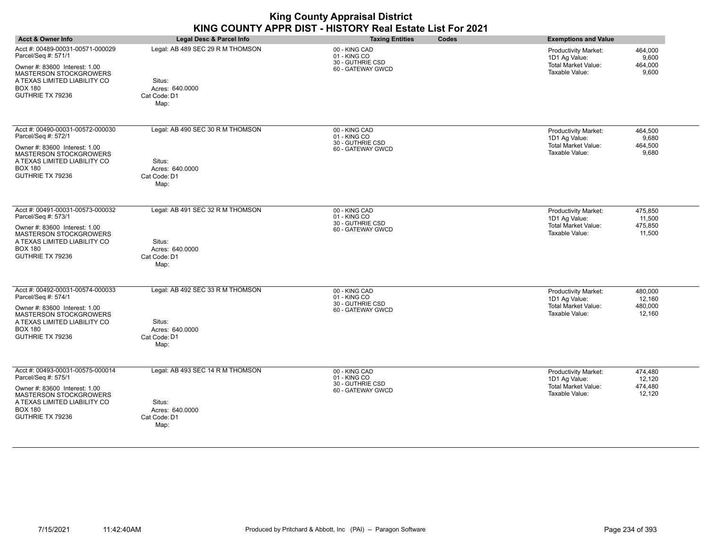| <b>Acct &amp; Owner Info</b>                                                                                                                                                                    | Legal Desc & Parcel Info                                                              | <b>Taxing Entities</b><br>Codes                                        | <b>Exemptions and Value</b>                                                                                                            |
|-------------------------------------------------------------------------------------------------------------------------------------------------------------------------------------------------|---------------------------------------------------------------------------------------|------------------------------------------------------------------------|----------------------------------------------------------------------------------------------------------------------------------------|
| Acct #: 00489-00031-00571-000029<br>Parcel/Seq #: 571/1<br>Owner #: 83600 Interest: 1.00<br>MASTERSON STOCKGROWERS<br>A TEXAS LIMITED LIABILITY CO<br><b>BOX 180</b><br>GUTHRIE TX 79236        | Legal: AB 489 SEC 29 R M THOMSON<br>Situs:<br>Acres: 640.0000<br>Cat Code: D1<br>Map: | 00 - KING CAD<br>01 - KING CO<br>30 - GUTHRIE CSD<br>60 - GATEWAY GWCD | 464,000<br><b>Productivity Market:</b><br>1D1 Ag Value:<br>9,600<br><b>Total Market Value:</b><br>464,000<br>Taxable Value:<br>9,600   |
| Acct #: 00490-00031-00572-000030<br>Parcel/Seq #: 572/1<br>Owner #: 83600 Interest: 1.00<br><b>MASTERSON STOCKGROWERS</b><br>A TEXAS LIMITED LIABILITY CO<br><b>BOX 180</b><br>GUTHRIE TX 79236 | Legal: AB 490 SEC 30 R M THOMSON<br>Situs:<br>Acres: 640.0000<br>Cat Code: D1<br>Map: | 00 - KING CAD<br>01 - KING CO<br>30 - GUTHRIE CSD<br>60 - GATEWAY GWCD | Productivity Market:<br>464,500<br>9,680<br>1D1 Ag Value:<br><b>Total Market Value:</b><br>464,500<br>Taxable Value:<br>9,680          |
| Acct #: 00491-00031-00573-000032<br>Parcel/Seq #: 573/1<br>Owner #: 83600 Interest: 1.00<br>MASTERSON STOCKGROWERS<br>A TEXAS LIMITED LIABILITY CO<br><b>BOX 180</b><br>GUTHRIE TX 79236        | Legal: AB 491 SEC 32 R M THOMSON<br>Situs:<br>Acres: 640.0000<br>Cat Code: D1<br>Map: | 00 - KING CAD<br>01 - KING CO<br>30 - GUTHRIE CSD<br>60 - GATEWAY GWCD | 475,850<br><b>Productivity Market:</b><br>1D1 Ag Value:<br>11,500<br>Total Market Value:<br>475,850<br>Taxable Value:<br>11,500        |
| Acct #: 00492-00031-00574-000033<br>Parcel/Seq #: 574/1<br>Owner #: 83600 Interest: 1.00<br>MASTERSON STOCKGROWERS<br>A TEXAS LIMITED LIABILITY CO<br><b>BOX 180</b><br>GUTHRIE TX 79236        | Legal: AB 492 SEC 33 R M THOMSON<br>Situs:<br>Acres: 640.0000<br>Cat Code: D1<br>Map: | 00 - KING CAD<br>01 - KING CO<br>30 - GUTHRIE CSD<br>60 - GATEWAY GWCD | <b>Productivity Market:</b><br>480,000<br>1D1 Ag Value:<br>12,160<br><b>Total Market Value:</b><br>480,000<br>Taxable Value:<br>12,160 |
| Acct #: 00493-00031-00575-000014<br>Parcel/Seq #: 575/1<br>Owner #: 83600 Interest: 1.00<br><b>MASTERSON STOCKGROWERS</b><br>A TEXAS LIMITED LIABILITY CO<br><b>BOX 180</b><br>GUTHRIE TX 79236 | Legal: AB 493 SEC 14 R M THOMSON<br>Situs:<br>Acres: 640.0000<br>Cat Code: D1<br>Map: | 00 - KING CAD<br>01 - KING CO<br>30 - GUTHRIE CSD<br>60 - GATEWAY GWCD | Productivity Market:<br>474,480<br>1D1 Ag Value:<br>12,120<br>Total Market Value:<br>474,480<br>Taxable Value:<br>12,120               |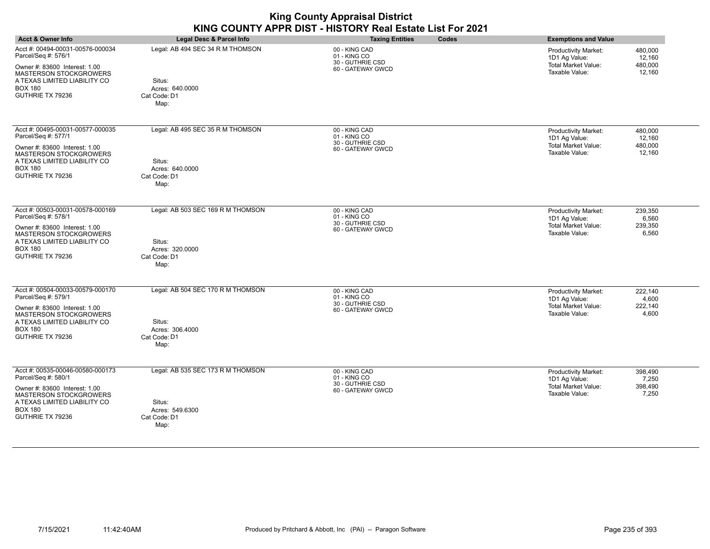| <b>Acct &amp; Owner Info</b>                                                                                                                                                                    | Legal Desc & Parcel Info                                                               | <b>Taxing Entities</b><br>Codes                                        | <b>Exemptions and Value</b>                                                                                                            |
|-------------------------------------------------------------------------------------------------------------------------------------------------------------------------------------------------|----------------------------------------------------------------------------------------|------------------------------------------------------------------------|----------------------------------------------------------------------------------------------------------------------------------------|
| Acct #: 00494-00031-00576-000034<br>Parcel/Seq #: 576/1<br>Owner #: 83600 Interest: 1.00<br><b>MASTERSON STOCKGROWERS</b><br>A TEXAS LIMITED LIABILITY CO<br><b>BOX 180</b><br>GUTHRIE TX 79236 | Legal: AB 494 SEC 34 R M THOMSON<br>Situs:<br>Acres: 640.0000<br>Cat Code: D1<br>Map:  | 00 - KING CAD<br>01 - KING CO<br>30 - GUTHRIE CSD<br>60 - GATEWAY GWCD | 480,000<br><b>Productivity Market:</b><br>1D1 Ag Value:<br>12,160<br><b>Total Market Value:</b><br>480,000<br>Taxable Value:<br>12,160 |
| Acct #: 00495-00031-00577-000035<br>Parcel/Seq #: 577/1<br>Owner #: 83600 Interest: 1.00<br><b>MASTERSON STOCKGROWERS</b><br>A TEXAS LIMITED LIABILITY CO<br><b>BOX 180</b><br>GUTHRIE TX 79236 | Legal: AB 495 SEC 35 R M THOMSON<br>Situs:<br>Acres: 640.0000<br>Cat Code: D1<br>Map:  | 00 - KING CAD<br>01 - KING CO<br>30 - GUTHRIE CSD<br>60 - GATEWAY GWCD | Productivity Market:<br>480,000<br>1D1 Ag Value:<br>12,160<br><b>Total Market Value:</b><br>480,000<br>Taxable Value:<br>12,160        |
| Acct #: 00503-00031-00578-000169<br>Parcel/Seq #: 578/1<br>Owner #: 83600 Interest: 1.00<br><b>MASTERSON STOCKGROWERS</b><br>A TEXAS LIMITED LIABILITY CO<br><b>BOX 180</b><br>GUTHRIE TX 79236 | Legal: AB 503 SEC 169 R M THOMSON<br>Situs:<br>Acres: 320.0000<br>Cat Code: D1<br>Map: | 00 - KING CAD<br>01 - KING CO<br>30 - GUTHRIE CSD<br>60 - GATEWAY GWCD | 239,350<br>Productivity Market:<br>1D1 Ag Value:<br>6,560<br><b>Total Market Value:</b><br>239,350<br>Taxable Value:<br>6,560          |
| Acct #: 00504-00033-00579-000170<br>Parcel/Seq #: 579/1<br>Owner #: 83600 Interest: 1.00<br><b>MASTERSON STOCKGROWERS</b><br>A TEXAS LIMITED LIABILITY CO<br><b>BOX 180</b><br>GUTHRIE TX 79236 | Legal: AB 504 SEC 170 R M THOMSON<br>Situs:<br>Acres: 306.4000<br>Cat Code: D1<br>Map: | 00 - KING CAD<br>01 - KING CO<br>30 - GUTHRIE CSD<br>60 - GATEWAY GWCD | Productivity Market:<br>222.140<br>1D1 Ag Value:<br>4,600<br>Total Market Value:<br>222,140<br>Taxable Value:<br>4,600                 |
| Acct #: 00535-00046-00580-000173<br>Parcel/Seq #: 580/1<br>Owner #: 83600 Interest: 1.00<br><b>MASTERSON STOCKGROWERS</b><br>A TEXAS LIMITED LIABILITY CO<br><b>BOX 180</b><br>GUTHRIE TX 79236 | Legal: AB 535 SEC 173 R M THOMSON<br>Situs:<br>Acres: 549.6300<br>Cat Code: D1<br>Map: | 00 - KING CAD<br>01 - KING CO<br>30 - GUTHRIE CSD<br>60 - GATEWAY GWCD | <b>Productivity Market:</b><br>398,490<br>1D1 Ag Value:<br>7,250<br><b>Total Market Value:</b><br>398,490<br>Taxable Value:<br>7,250   |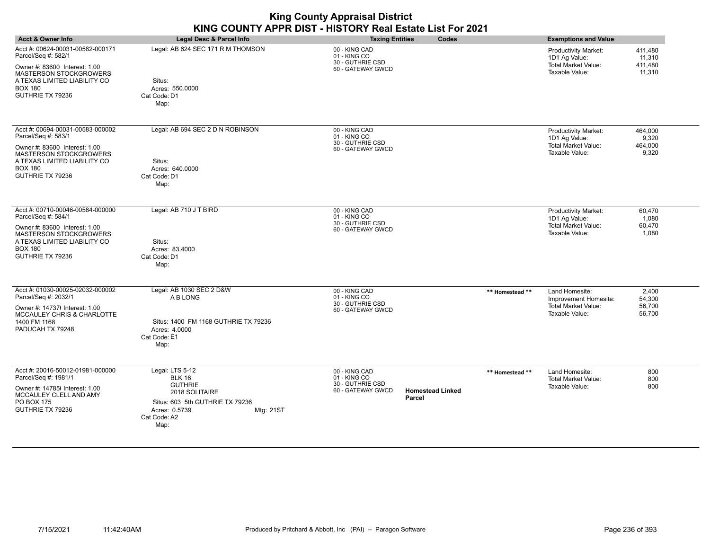| <b>Acct &amp; Owner Info</b>                                                                                                                                                                    | Legal Desc & Parcel Info                                                                                                                                      | <b>Taxing Entities</b>                                                 | Codes                             |                 | <b>Exemptions and Value</b>                                                                  |                                        |
|-------------------------------------------------------------------------------------------------------------------------------------------------------------------------------------------------|---------------------------------------------------------------------------------------------------------------------------------------------------------------|------------------------------------------------------------------------|-----------------------------------|-----------------|----------------------------------------------------------------------------------------------|----------------------------------------|
| Acct #: 00624-00031-00582-000171<br>Parcel/Seq #: 582/1<br>Owner #: 83600 Interest: 1.00<br><b>MASTERSON STOCKGROWERS</b><br>A TEXAS LIMITED LIABILITY CO<br><b>BOX 180</b><br>GUTHRIE TX 79236 | Legal: AB 624 SEC 171 R M THOMSON<br>Situs:<br>Acres: 550.0000<br>Cat Code: D1<br>Map:                                                                        | 00 - KING CAD<br>01 - KING CO<br>30 - GUTHRIE CSD<br>60 - GATEWAY GWCD |                                   |                 | <b>Productivity Market:</b><br>1D1 Ag Value:<br><b>Total Market Value:</b><br>Taxable Value: | 411,480<br>11,310<br>411.480<br>11,310 |
| Acct #: 00694-00031-00583-000002<br>Parcel/Seq #: 583/1<br>Owner #: 83600 Interest: 1.00<br>MASTERSON STOCKGROWERS<br>A TEXAS LIMITED LIABILITY CO<br><b>BOX 180</b><br>GUTHRIE TX 79236        | Legal: AB 694 SEC 2 D N ROBINSON<br>Situs:<br>Acres: 640.0000<br>Cat Code: D1<br>Map:                                                                         | 00 - KING CAD<br>01 - KING CO<br>30 - GUTHRIE CSD<br>60 - GATEWAY GWCD |                                   |                 | Productivity Market:<br>1D1 Ag Value:<br><b>Total Market Value:</b><br>Taxable Value:        | 464,000<br>9,320<br>464,000<br>9,320   |
| Acct #: 00710-00046-00584-000000<br>Parcel/Seq #: 584/1<br>Owner #: 83600 Interest: 1.00<br><b>MASTERSON STOCKGROWERS</b><br>A TEXAS LIMITED LIABILITY CO<br><b>BOX 180</b><br>GUTHRIE TX 79236 | Legal: AB 710 J T BIRD<br>Situs:<br>Acres: 83.4000<br>Cat Code: D1<br>Map:                                                                                    | 00 - KING CAD<br>01 - KING CO<br>30 - GUTHRIE CSD<br>60 - GATEWAY GWCD |                                   |                 | Productivity Market:<br>1D1 Ag Value:<br><b>Total Market Value:</b><br>Taxable Value:        | 60,470<br>1,080<br>60,470<br>1,080     |
| Acct #: 01030-00025-02032-000002<br>Parcel/Seq #: 2032/1<br>Owner #: 14737( Interest: 1.00<br>MCCAULEY CHRIS & CHARLOTTE<br>1400 FM 1168<br>PADUCAH TX 79248                                    | Legal: AB 1030 SEC 2 D&W<br>A B LONG<br>Situs: 1400 FM 1168 GUTHRIE TX 79236<br>Acres: 4.0000<br>Cat Code: E1<br>Map:                                         | 00 - KING CAD<br>01 - KING CO<br>30 - GUTHRIE CSD<br>60 - GATEWAY GWCD |                                   | ** Homestead ** | Land Homesite:<br>Improvement Homesite:<br><b>Total Market Value:</b><br>Taxable Value:      | 2,400<br>54,300<br>56,700<br>56,700    |
| Acct #: 20016-50012-01981-000000<br>Parcel/Seq #: 1981/1<br>Owner #: 14785( Interest: 1.00<br>MCCAULEY CLELL AND AMY<br>PO BOX 175<br>GUTHRIE TX 79236                                          | Legal: LTS 5-12<br><b>BLK 16</b><br><b>GUTHRIE</b><br>2018 SOLITAIRE<br>Situs: 603 5th GUTHRIE TX 79236<br>Acres: 0.5739<br>Mtg: 21ST<br>Cat Code: A2<br>Map: | 00 - KING CAD<br>01 - KING CO<br>30 - GUTHRIE CSD<br>60 - GATEWAY GWCD | <b>Homestead Linked</b><br>Parcel | ** Homestead ** | Land Homesite:<br><b>Total Market Value:</b><br>Taxable Value:                               | 800<br>800<br>800                      |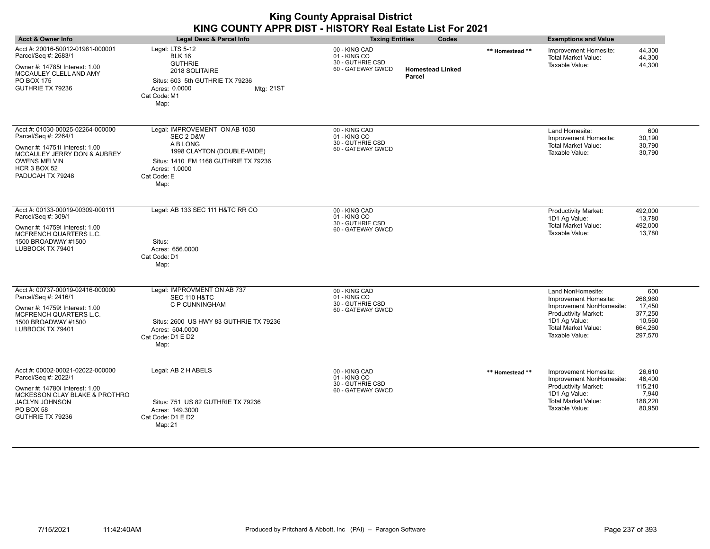| <b>Acct &amp; Owner Info</b>                                                                                                                                                                | Legal Desc & Parcel Info                                                                                                                                             | <b>Taxing Entities</b>                                                 | Codes                             |                 | <b>Exemptions and Value</b>                                                                                                                                            |                                                                     |
|---------------------------------------------------------------------------------------------------------------------------------------------------------------------------------------------|----------------------------------------------------------------------------------------------------------------------------------------------------------------------|------------------------------------------------------------------------|-----------------------------------|-----------------|------------------------------------------------------------------------------------------------------------------------------------------------------------------------|---------------------------------------------------------------------|
| Acct #: 20016-50012-01981-000001<br>Parcel/Seq #: 2683/1<br>Owner #: 14785( Interest: 1.00<br>MCCAULEY CLELL AND AMY<br>PO BOX 175<br>GUTHRIE TX 79236                                      | Legal: LTS 5-12<br><b>BLK 16</b><br><b>GUTHRIE</b><br>2018 SOLITAIRE<br>Situs: 603 5th GUTHRIE TX 79236<br>Acres: 0.0000<br>Mtg: 21ST<br>Cat Code: M1<br>Map:        | 00 - KING CAD<br>01 - KING CO<br>30 - GUTHRIE CSD<br>60 - GATEWAY GWCD | <b>Homestead Linked</b><br>Parcel | ** Homestead ** | Improvement Homesite:<br><b>Total Market Value:</b><br>Taxable Value:                                                                                                  | 44,300<br>44,300<br>44,300                                          |
| Acct #: 01030-00025-02264-000000<br>Parcel/Seq #: 2264/1<br>Owner #: 147518 Interest: 1.00<br>MCCAULEY JERRY DON & AUBREY<br><b>OWENS MELVIN</b><br><b>HCR 3 BOX 52</b><br>PADUCAH TX 79248 | Legal: IMPROVEMENT ON AB 1030<br>SEC 2 D&W<br>A B LONG<br>1998 CLAYTON (DOUBLE-WIDE)<br>Situs: 1410 FM 1168 GUTHRIE TX 79236<br>Acres: 1.0000<br>Cat Code: E<br>Map: | 00 - KING CAD<br>01 - KING CO<br>30 - GUTHRIE CSD<br>60 - GATEWAY GWCD |                                   |                 | Land Homesite:<br>Improvement Homesite:<br><b>Total Market Value:</b><br>Taxable Value:                                                                                | 600<br>30,190<br>30,790<br>30,790                                   |
| Acct #: 00133-00019-00309-000111<br>Parcel/Seq #: 309/1<br>Owner #: 14759! Interest: 1.00<br>MCFRENCH QUARTERS L.C.<br>1500 BROADWAY #1500<br>LUBBOCK TX 79401                              | Legal: AB 133 SEC 111 H&TC RR CO<br>Situs:<br>Acres: 656.0000<br>Cat Code: D1<br>Map:                                                                                | 00 - KING CAD<br>01 - KING CO<br>30 - GUTHRIE CSD<br>60 - GATEWAY GWCD |                                   |                 | <b>Productivity Market:</b><br>1D1 Ag Value:<br><b>Total Market Value:</b><br>Taxable Value:                                                                           | 492,000<br>13.780<br>492,000<br>13,780                              |
| Acct #: 00737-00019-02416-000000<br>Parcel/Seq #: 2416/1<br>Owner #: 14759! Interest: 1.00<br><b>MCFRENCH QUARTERS L.C.</b><br>1500 BROADWAY #1500<br>LUBBOCK TX 79401                      | Legal: IMPROVMENT ON AB 737<br>SEC 110 H&TC<br>C P CUNNINGHAM<br>Situs: 2600 US HWY 83 GUTHRIE TX 79236<br>Acres: 504.0000<br>Cat Code: D1 E D2<br>Map:              | 00 - KING CAD<br>01 - KING CO<br>30 - GUTHRIE CSD<br>60 - GATEWAY GWCD |                                   |                 | Land NonHomesite:<br>Improvement Homesite:<br>Improvement NonHomesite:<br><b>Productivity Market:</b><br>1D1 Ag Value:<br><b>Total Market Value:</b><br>Taxable Value: | 600<br>268,960<br>17,450<br>377,250<br>10,560<br>664,260<br>297,570 |
| Acct #: 00002-00021-02022-000000<br>Parcel/Seq #: 2022/1<br>Owner #: 14780 {Interest: 1.00<br>MCKESSON CLAY BLAKE & PROTHRO<br><b>JACLYN JOHNSON</b><br>PO BOX 58<br>GUTHRIE TX 79236       | Legal: AB 2 H ABELS<br>Situs: 751 US 82 GUTHRIE TX 79236<br>Acres: 149.3000<br>Cat Code: D1 E D2<br>Map: 21                                                          | 00 - KING CAD<br>01 - KING CO<br>30 - GUTHRIE CSD<br>60 - GATEWAY GWCD |                                   | ** Homestead ** | Improvement Homesite:<br>Improvement NonHomesite:<br><b>Productivity Market:</b><br>1D1 Ag Value:<br><b>Total Market Value:</b><br>Taxable Value:                      | 26,610<br>46,400<br>115,210<br>7,940<br>188,220<br>80,950           |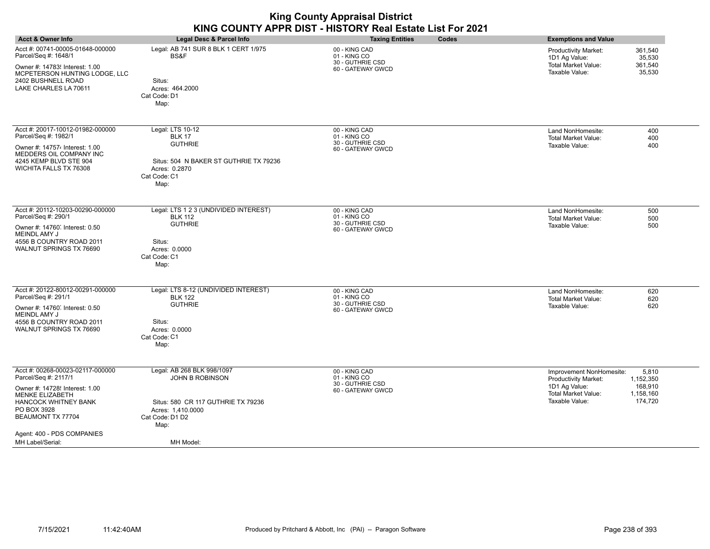| <b>King County Appraisal District</b><br>KING COUNTY APPR DIST - HISTORY Real Estate List For 2021                                                                                                             |                                                                                                                                            |                                                                        |                                                                                                                                                                            |  |
|----------------------------------------------------------------------------------------------------------------------------------------------------------------------------------------------------------------|--------------------------------------------------------------------------------------------------------------------------------------------|------------------------------------------------------------------------|----------------------------------------------------------------------------------------------------------------------------------------------------------------------------|--|
| <b>Acct &amp; Owner Info</b>                                                                                                                                                                                   | Legal Desc & Parcel Info                                                                                                                   | <b>Taxing Entities</b><br>Codes                                        | <b>Exemptions and Value</b>                                                                                                                                                |  |
| Acct #: 00741-00005-01648-000000<br>Parcel/Seq #: 1648/1<br>Owner #: 14783! Interest: 1.00<br>MCPETERSON HUNTING LODGE, LLC<br>2402 BUSHNELL ROAD<br>LAKE CHARLES LA 70611                                     | Legal: AB 741 SUR 8 BLK 1 CERT 1/975<br>BS&F<br>Situs:<br>Acres: 464.2000<br>Cat Code: D1<br>Map:                                          | 00 - KING CAD<br>01 - KING CO<br>30 - GUTHRIE CSD<br>60 - GATEWAY GWCD | 361,540<br>Productivity Market:<br>1D1 Ag Value:<br>35,530<br><b>Total Market Value:</b><br>361,540<br>Taxable Value:<br>35,530                                            |  |
| Acct #: 20017-10012-01982-000000<br>Parcel/Seq #: 1982/1<br>Owner #: 147574 Interest: 1.00<br>MEDDERS OIL COMPANY INC<br>4245 KEMP BLVD STE 904<br>WICHITA FALLS TX 76308                                      | Legal: LTS 10-12<br><b>BLK 17</b><br><b>GUTHRIE</b><br>Situs: 504 N BAKER ST GUTHRIE TX 79236<br>Acres: 0.2870<br>Cat Code: C1<br>Map:     | 00 - KING CAD<br>01 - KING CO<br>30 - GUTHRIE CSD<br>60 - GATEWAY GWCD | Land NonHomesite:<br>400<br><b>Total Market Value:</b><br>400<br>Taxable Value:<br>400                                                                                     |  |
| Acct #: 20112-10203-00290-000000<br>Parcel/Seq #: 290/1<br>Owner #: 14760, Interest: 0.50<br>MEINDL AMY J<br>4556 B COUNTRY ROAD 2011<br>WALNUT SPRINGS TX 76690                                               | Legal: LTS 1 2 3 (UNDIVIDED INTEREST)<br><b>BLK 112</b><br><b>GUTHRIE</b><br>Situs:<br>Acres: 0.0000<br>Cat Code: C1<br>Map:               | 00 - KING CAD<br>01 - KING CO<br>30 - GUTHRIE CSD<br>60 - GATEWAY GWCD | Land NonHomesite:<br>500<br><b>Total Market Value:</b><br>500<br>Taxable Value:<br>500                                                                                     |  |
| Acct #: 20122-80012-00291-000000<br>Parcel/Seq #: 291/1<br>Owner #: 14760, Interest: 0.50<br>MEINDL AMY J<br>4556 B COUNTRY ROAD 2011<br>WALNUT SPRINGS TX 76690                                               | Legal: LTS 8-12 (UNDIVIDED INTEREST)<br><b>BLK 122</b><br><b>GUTHRIE</b><br>Situs:<br>Acres: 0.0000<br>Cat Code: C1<br>Map:                | 00 - KING CAD<br>01 - KING CO<br>30 - GUTHRIE CSD<br>60 - GATEWAY GWCD | Land NonHomesite:<br>620<br><b>Total Market Value:</b><br>620<br>Taxable Value:<br>620                                                                                     |  |
| Acct #: 00268-00023-02117-000000<br>Parcel/Seq #: 2117/1<br>Owner #: 14728! Interest: 1.00<br><b>MENKE ELIZABETH</b><br>HANCOCK WHITNEY BANK<br>PO BOX 3928<br>BEAUMONT TX 77704<br>Agent: 400 - PDS COMPANIES | Legal: AB 268 BLK 998/1097<br><b>JOHN B ROBINSON</b><br>Situs: 580 CR 117 GUTHRIE TX 79236<br>Acres: 1,410.0000<br>Cat Code: D1 D2<br>Map: | 00 - KING CAD<br>01 - KING CO<br>30 - GUTHRIE CSD<br>60 - GATEWAY GWCD | Improvement NonHomesite:<br>5,810<br>Productivity Market:<br>1,152,350<br>1D1 Ag Value:<br>168,910<br><b>Total Market Value:</b><br>1,158,160<br>Taxable Value:<br>174,720 |  |

MH Label/Serial: White the MH Model:

**STATISTICS**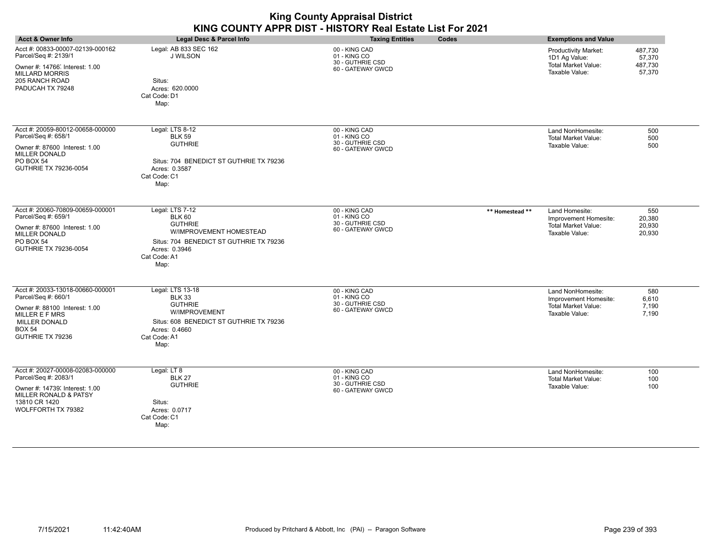| <b>King County Appraisal District</b><br>KING COUNTY APPR DIST - HISTORY Real Estate List For 2021                                                                             |                                                                                                                                                                   |                                                                        |                 |                                                                                              |                                        |
|--------------------------------------------------------------------------------------------------------------------------------------------------------------------------------|-------------------------------------------------------------------------------------------------------------------------------------------------------------------|------------------------------------------------------------------------|-----------------|----------------------------------------------------------------------------------------------|----------------------------------------|
| <b>Acct &amp; Owner Info</b>                                                                                                                                                   | <b>Legal Desc &amp; Parcel Info</b>                                                                                                                               | <b>Taxing Entities</b>                                                 | Codes           | <b>Exemptions and Value</b>                                                                  |                                        |
| Acct #: 00833-00007-02139-000162<br>Parcel/Seq #: 2139/1<br>Owner #: 14766 Interest: 1.00<br><b>MILLARD MORRIS</b><br>205 RANCH ROAD<br>PADUCAH TX 79248                       | Legal: AB 833 SEC 162<br><b>J WILSON</b><br>Situs:<br>Acres: 620,0000<br>Cat Code: D1<br>Map:                                                                     | 00 - KING CAD<br>01 - KING CO<br>30 - GUTHRIE CSD<br>60 - GATEWAY GWCD |                 | <b>Productivity Market:</b><br>1D1 Ag Value:<br><b>Total Market Value:</b><br>Taxable Value: | 487.730<br>57.370<br>487,730<br>57,370 |
| Acct #: 20059-80012-00658-000000<br>Parcel/Seq #: 658/1<br>Owner #: 87600 Interest: 1.00<br><b>MILLER DONALD</b><br>PO BOX 54<br>GUTHRIE TX 79236-0054                         | Legal: LTS 8-12<br><b>BLK 59</b><br><b>GUTHRIE</b><br>Situs: 704 BENEDICT ST GUTHRIE TX 79236<br>Acres: 0.3587<br>Cat Code: C1<br>Map:                            | 00 - KING CAD<br>01 - KING CO<br>30 - GUTHRIE CSD<br>60 - GATEWAY GWCD |                 | Land NonHomesite:<br><b>Total Market Value:</b><br>Taxable Value:                            | 500<br>500<br>500                      |
| Acct #: 20060-70809-00659-000001<br>Parcel/Seq #: 659/1<br>Owner #: 87600 Interest: 1.00<br><b>MILLER DONALD</b><br>PO BOX 54<br>GUTHRIE TX 79236-0054                         | Legal: LTS 7-12<br><b>BLK 60</b><br><b>GUTHRIE</b><br>W/IMPROVEMENT HOMESTEAD<br>Situs: 704 BENEDICT ST GUTHRIE TX 79236<br>Acres: 0.3946<br>Cat Code: A1<br>Map: | 00 - KING CAD<br>01 - KING CO<br>30 - GUTHRIE CSD<br>60 - GATEWAY GWCD | ** Homestead ** | Land Homesite:<br>Improvement Homesite:<br><b>Total Market Value:</b><br>Taxable Value:      | 550<br>20,380<br>20,930<br>20,930      |
| Acct #: 20033-13018-00660-000001<br>Parcel/Seq #: 660/1<br>Owner #: 88100 Interest: 1.00<br><b>MILLER E F MRS</b><br><b>MILLER DONALD</b><br><b>BOX 54</b><br>GUTHRIE TX 79236 | Legal: LTS 13-18<br><b>BLK 33</b><br><b>GUTHRIE</b><br>W/IMPROVEMENT<br>Situs: 608 BENEDICT ST GUTHRIE TX 79236<br>Acres: 0.4660<br>Cat Code: A1<br>Map:          | 00 - KING CAD<br>01 - KING CO<br>30 - GUTHRIE CSD<br>60 - GATEWAY GWCD |                 | Land NonHomesite:<br>Improvement Homesite:<br><b>Total Market Value:</b><br>Taxable Value:   | 580<br>6,610<br>7,190<br>7,190         |
| Acct #: 20027-00008-02083-000000<br>Parcel/Seq #: 2083/1<br>Owner #: 14739; Interest: 1.00<br>MILLER RONALD & PATSY<br>13810 CR 1420<br>WOLFFORTH TX 79382                     | Legal: LT 8<br><b>BLK 27</b><br><b>GUTHRIE</b><br>Situs:<br>Acres: 0.0717<br>Cat Code: C1<br>Map:                                                                 | 00 - KING CAD<br>01 - KING CO<br>30 - GUTHRIE CSD<br>60 - GATEWAY GWCD |                 | Land NonHomesite:<br><b>Total Market Value:</b><br>Taxable Value:                            | 100<br>100<br>100                      |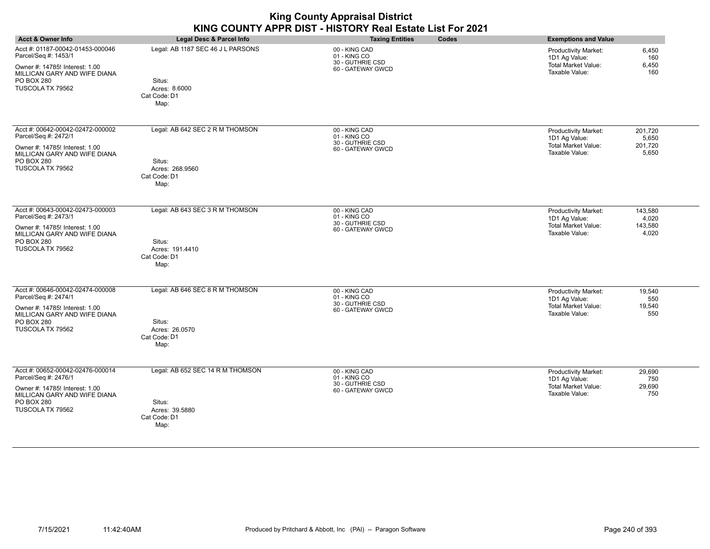| <b>King County Appraisal District</b><br>KING COUNTY APPR DIST - HISTORY Real Estate List For 2021                                                                  |                                                                                      |                                                                        |       |                                                                                              |                                      |
|---------------------------------------------------------------------------------------------------------------------------------------------------------------------|--------------------------------------------------------------------------------------|------------------------------------------------------------------------|-------|----------------------------------------------------------------------------------------------|--------------------------------------|
| <b>Acct &amp; Owner Info</b>                                                                                                                                        | Legal Desc & Parcel Info                                                             | <b>Taxing Entities</b>                                                 | Codes | <b>Exemptions and Value</b>                                                                  |                                      |
| Acct #: 01187-00042-01453-000046<br>Parcel/Seq #: 1453/1<br>Owner #: 14785! Interest: 1.00<br>MILLICAN GARY AND WIFE DIANA<br>PO BOX 280<br>TUSCOLA TX 79562        | Legal: AB 1187 SEC 46 J L PARSONS<br>Situs:<br>Acres: 8.6000<br>Cat Code: D1<br>Map: | 00 - KING CAD<br>01 - KING CO<br>30 - GUTHRIE CSD<br>60 - GATEWAY GWCD |       | <b>Productivity Market:</b><br>1D1 Ag Value:<br><b>Total Market Value:</b><br>Taxable Value: | 6,450<br>160<br>6,450<br>160         |
| Acct #: 00642-00042-02472-000002<br>Parcel/Seq #: 2472/1<br>Owner #: 14785! Interest: 1.00<br>MILLICAN GARY AND WIFE DIANA<br>PO BOX 280<br>TUSCOLA TX 79562        | Legal: AB 642 SEC 2 R M THOMSON<br>Situs:<br>Acres: 268.9560<br>Cat Code: D1<br>Map: | 00 - KING CAD<br>01 - KING CO<br>30 - GUTHRIE CSD<br>60 - GATEWAY GWCD |       | Productivity Market:<br>1D1 Ag Value:<br><b>Total Market Value:</b><br>Taxable Value:        | 201,720<br>5,650<br>201,720<br>5,650 |
| Acct #: 00643-00042-02473-000003<br>Parcel/Seq #: 2473/1<br>Owner #: 14785! Interest: 1.00<br>MILLICAN GARY AND WIFE DIANA<br>PO BOX 280<br>TUSCOLA TX 79562        | Legal: AB 643 SEC 3 R M THOMSON<br>Situs:<br>Acres: 191.4410<br>Cat Code: D1<br>Map: | 00 - KING CAD<br>01 - KING CO<br>30 - GUTHRIE CSD<br>60 - GATEWAY GWCD |       | Productivity Market:<br>1D1 Ag Value:<br><b>Total Market Value:</b><br>Taxable Value:        | 143,580<br>4,020<br>143,580<br>4,020 |
| Acct #: 00646-00042-02474-000008<br>Parcel/Seq #: 2474/1<br>Owner #: 14785! Interest: 1.00<br>MILLICAN GARY AND WIFE DIANA<br><b>PO BOX 280</b><br>TUSCOLA TX 79562 | Legal: AB 646 SEC 8 R M THOMSON<br>Situs:<br>Acres: 26.0570<br>Cat Code: D1<br>Map:  | 00 - KING CAD<br>01 - KING CO<br>30 - GUTHRIE CSD<br>60 - GATEWAY GWCD |       | Productivity Market:<br>1D1 Ag Value:<br>Total Market Value:<br>Taxable Value:               | 19,540<br>550<br>19,540<br>550       |
| Acct #: 00652-00042-02476-000014<br>Parcel/Seq #: 2476/1<br>Owner #: 14785! Interest: 1.00<br>MILLICAN GARY AND WIFE DIANA<br>PO BOX 280<br>TUSCOLA TX 79562        | Legal: AB 652 SEC 14 R M THOMSON<br>Situs:<br>Acres: 39.5880<br>Cat Code: D1<br>Map: | 00 - KING CAD<br>01 - KING CO<br>30 - GUTHRIE CSD<br>60 - GATEWAY GWCD |       | <b>Productivity Market:</b><br>1D1 Ag Value:<br><b>Total Market Value:</b><br>Taxable Value: | 29,690<br>750<br>29,690<br>750       |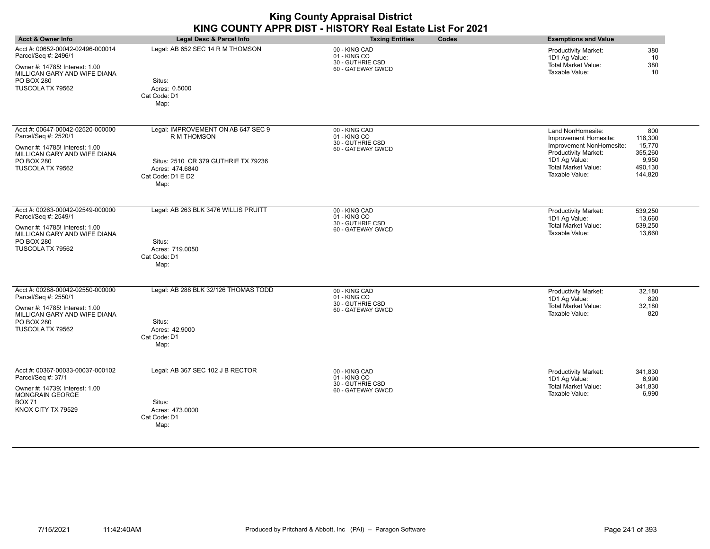| <b>Acct &amp; Owner Info</b>                                                                                                                                        | Legal Desc & Parcel Info                                                                                                                 | <b>Taxing Entities</b><br>Codes                                        | <b>Exemptions and Value</b>                                                                                                                                                                                                           |
|---------------------------------------------------------------------------------------------------------------------------------------------------------------------|------------------------------------------------------------------------------------------------------------------------------------------|------------------------------------------------------------------------|---------------------------------------------------------------------------------------------------------------------------------------------------------------------------------------------------------------------------------------|
| Acct #: 00652-00042-02496-000014<br>Parcel/Seq #: 2496/1<br>Owner #: 14785! Interest: 1.00<br>MILLICAN GARY AND WIFE DIANA<br><b>PO BOX 280</b><br>TUSCOLA TX 79562 | Legal: AB 652 SEC 14 R M THOMSON<br>Situs:<br>Acres: 0.5000<br>Cat Code: D1<br>Map:                                                      | 00 - KING CAD<br>01 - KING CO<br>30 - GUTHRIE CSD<br>60 - GATEWAY GWCD | 380<br><b>Productivity Market:</b><br>1D1 Ag Value:<br>10<br><b>Total Market Value:</b><br>380<br>Taxable Value:<br>10                                                                                                                |
| Acct #: 00647-00042-02520-000000<br>Parcel/Seq #: 2520/1<br>Owner #: 14785! Interest: 1.00<br>MILLICAN GARY AND WIFE DIANA<br>PO BOX 280<br>TUSCOLA TX 79562        | Legal: IMPROVEMENT ON AB 647 SEC 9<br>R M THOMSON<br>Situs: 2510 CR 379 GUTHRIE TX 79236<br>Acres: 474.6840<br>Cat Code: D1 E D2<br>Map: | 00 - KING CAD<br>01 - KING CO<br>30 - GUTHRIE CSD<br>60 - GATEWAY GWCD | 800<br>Land NonHomesite:<br>Improvement Homesite:<br>118,300<br>15,770<br>Improvement NonHomesite:<br>Productivity Market:<br>355,260<br>1D1 Ag Value:<br>9,950<br><b>Total Market Value:</b><br>490,130<br>Taxable Value:<br>144,820 |
| Acct #: 00263-00042-02549-000000<br>Parcel/Seq #: 2549/1<br>Owner #: 14785! Interest: 1.00<br>MILLICAN GARY AND WIFE DIANA<br>PO BOX 280<br>TUSCOLA TX 79562        | Legal: AB 263 BLK 3476 WILLIS PRUITT<br>Situs:<br>Acres: 719.0050<br>Cat Code: D1<br>Map:                                                | 00 - KING CAD<br>01 - KING CO<br>30 - GUTHRIE CSD<br>60 - GATEWAY GWCD | 539,250<br>Productivity Market:<br>1D1 Ag Value:<br>13,660<br><b>Total Market Value:</b><br>539,250<br>Taxable Value:<br>13,660                                                                                                       |
| Acct #: 00288-00042-02550-000000<br>Parcel/Seq #: 2550/1<br>Owner #: 14785! Interest: 1.00<br>MILLICAN GARY AND WIFE DIANA<br><b>PO BOX 280</b><br>TUSCOLA TX 79562 | Legal: AB 288 BLK 32/126 THOMAS TODD<br>Situs:<br>Acres: 42.9000<br>Cat Code: D1<br>Map:                                                 | 00 - KING CAD<br>01 - KING CO<br>30 - GUTHRIE CSD<br>60 - GATEWAY GWCD | Productivity Market:<br>32,180<br>1D1 Ag Value:<br>820<br>Total Market Value:<br>32,180<br>Taxable Value:<br>820                                                                                                                      |
| Acct #: 00367-00033-00037-000102<br>Parcel/Seq #: 37/1<br>Owner #: 14739; Interest: 1.00<br>MONGRAIN GEORGE<br><b>BOX 71</b><br>KNOX CITY TX 79529                  | Legal: AB 367 SEC 102 J B RECTOR<br>Situs:<br>Acres: 473.0000<br>Cat Code: D1<br>Map:                                                    | 00 - KING CAD<br>01 - KING CO<br>30 - GUTHRIE CSD<br>60 - GATEWAY GWCD | Productivity Market:<br>341,830<br>1D1 Ag Value:<br>6,990<br><b>Total Market Value:</b><br>341,830<br>Taxable Value:<br>6,990                                                                                                         |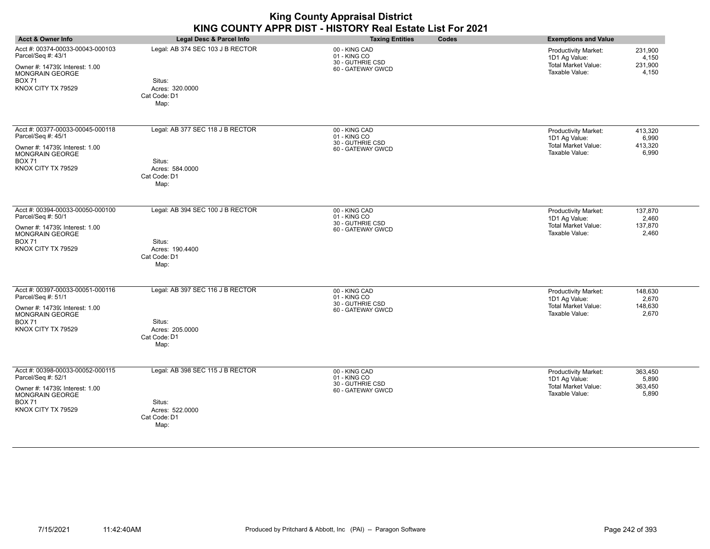| <b>Acct &amp; Owner Info</b>                                                                                                                              | Legal Desc & Parcel Info                                                              | <b>Taxing Entities</b><br>Codes                                        | <b>Exemptions and Value</b>                                                                                                          |
|-----------------------------------------------------------------------------------------------------------------------------------------------------------|---------------------------------------------------------------------------------------|------------------------------------------------------------------------|--------------------------------------------------------------------------------------------------------------------------------------|
| Acct #: 00374-00033-00043-000103<br>Parcel/Seq #: 43/1<br>Owner #: 14739; Interest: 1.00<br><b>MONGRAIN GEORGE</b><br><b>BOX 71</b><br>KNOX CITY TX 79529 | Legal: AB 374 SEC 103 J B RECTOR<br>Situs:<br>Acres: 320.0000<br>Cat Code: D1<br>Map: | 00 - KING CAD<br>01 - KING CO<br>30 - GUTHRIE CSD<br>60 - GATEWAY GWCD | 231,900<br>Productivity Market:<br>1D1 Ag Value:<br>4,150<br><b>Total Market Value:</b><br>231,900<br>Taxable Value:<br>4,150        |
| Acct #: 00377-00033-00045-000118<br>Parcel/Seq #: 45/1<br>Owner #: 14739; Interest: 1.00<br><b>MONGRAIN GEORGE</b><br><b>BOX 71</b><br>KNOX CITY TX 79529 | Legal: AB 377 SEC 118 J B RECTOR<br>Situs:<br>Acres: 584.0000<br>Cat Code: D1<br>Map: | 00 - KING CAD<br>01 - KING CO<br>30 - GUTHRIE CSD<br>60 - GATEWAY GWCD | Productivity Market:<br>413,320<br>1D1 Ag Value:<br>6,990<br>Total Market Value:<br>413,320<br>Taxable Value:<br>6,990               |
| Acct #: 00394-00033-00050-000100<br>Parcel/Seq #: 50/1<br>Owner #: 14739; Interest: 1.00<br>MONGRAIN GEORGE<br><b>BOX 71</b><br>KNOX CITY TX 79529        | Legal: AB 394 SEC 100 J B RECTOR<br>Situs:<br>Acres: 190.4400<br>Cat Code: D1<br>Map: | 00 - KING CAD<br>01 - KING CO<br>30 - GUTHRIE CSD<br>60 - GATEWAY GWCD | 137,870<br>Productivity Market:<br>1D1 Ag Value:<br>2,460<br><b>Total Market Value:</b><br>137,870<br>Taxable Value:<br>2,460        |
| Acct #: 00397-00033-00051-000116<br>Parcel/Seq #: 51/1<br>Owner #: 14739; Interest: 1.00<br>MONGRAIN GEORGE<br><b>BOX 71</b><br>KNOX CITY TX 79529        | Legal: AB 397 SEC 116 J B RECTOR<br>Situs:<br>Acres: 205.0000<br>Cat Code: D1<br>Map: | 00 - KING CAD<br>01 - KING CO<br>30 - GUTHRIE CSD<br>60 - GATEWAY GWCD | Productivity Market:<br>148.630<br>1D1 Ag Value:<br>2,670<br>Total Market Value:<br>148,630<br>Taxable Value:<br>2,670               |
| Acct #: 00398-00033-00052-000115<br>Parcel/Seq #: 52/1<br>Owner #: 14739; Interest: 1.00<br>MONGRAIN GEORGE<br><b>BOX 71</b><br>KNOX CITY TX 79529        | Legal: AB 398 SEC 115 J B RECTOR<br>Situs:<br>Acres: 522,0000<br>Cat Code: D1<br>Map: | 00 - KING CAD<br>01 - KING CO<br>30 - GUTHRIE CSD<br>60 - GATEWAY GWCD | 363,450<br><b>Productivity Market:</b><br>1D1 Ag Value:<br>5,890<br><b>Total Market Value:</b><br>363,450<br>5,890<br>Taxable Value: |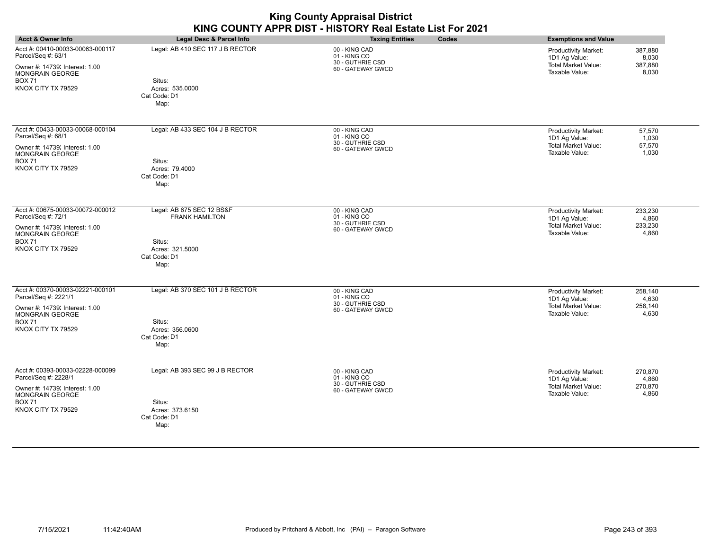| <b>Acct &amp; Owner Info</b>                                                                                                                              | Legal Desc & Parcel Info                                                                                | <b>Taxing Entities</b><br>Codes                                        | <b>Exemptions and Value</b>                                                                                                          |
|-----------------------------------------------------------------------------------------------------------------------------------------------------------|---------------------------------------------------------------------------------------------------------|------------------------------------------------------------------------|--------------------------------------------------------------------------------------------------------------------------------------|
| Acct #: 00410-00033-00063-000117<br>Parcel/Seq #: 63/1<br>Owner #: 14739; Interest: 1.00<br><b>MONGRAIN GEORGE</b><br><b>BOX 71</b><br>KNOX CITY TX 79529 | Legal: AB 410 SEC 117 J B RECTOR<br>Situs:<br>Acres: 535.0000<br>Cat Code: D1<br>Map:                   | 00 - KING CAD<br>01 - KING CO<br>30 - GUTHRIE CSD<br>60 - GATEWAY GWCD | 387,880<br>Productivity Market:<br>1D1 Ag Value:<br>8,030<br><b>Total Market Value:</b><br>387,880<br>Taxable Value:<br>8,030        |
| Acct #: 00433-00033-00068-000104<br>Parcel/Seq #: 68/1<br>Owner #: 14739; Interest: 1.00<br><b>MONGRAIN GEORGE</b><br><b>BOX 71</b><br>KNOX CITY TX 79529 | Legal: AB 433 SEC 104 J B RECTOR<br>Situs:<br>Acres: 79.4000<br>Cat Code: D1<br>Map:                    | 00 - KING CAD<br>01 - KING CO<br>30 - GUTHRIE CSD<br>60 - GATEWAY GWCD | Productivity Market:<br>57,570<br>1D1 Ag Value:<br>1,030<br><b>Total Market Value:</b><br>57,570<br>Taxable Value:<br>1,030          |
| Acct #: 00675-00033-00072-000012<br>Parcel/Seq #: 72/1<br>Owner #: 14739; Interest: 1.00<br>MONGRAIN GEORGE<br><b>BOX 71</b><br>KNOX CITY TX 79529        | Legal: AB 675 SEC 12 BS&F<br><b>FRANK HAMILTON</b><br>Situs:<br>Acres: 321.5000<br>Cat Code: D1<br>Map: | 00 - KING CAD<br>01 - KING CO<br>30 - GUTHRIE CSD<br>60 - GATEWAY GWCD | 233,230<br>Productivity Market:<br>1D1 Ag Value:<br>4,860<br><b>Total Market Value:</b><br>233,230<br>Taxable Value:<br>4,860        |
| Acct #: 00370-00033-02221-000101<br>Parcel/Seq #: 2221/1<br>Owner #: 14739; Interest: 1.00<br>MONGRAIN GEORGE<br><b>BOX 71</b><br>KNOX CITY TX 79529      | Legal: AB 370 SEC 101 J B RECTOR<br>Situs:<br>Acres: 356.0600<br>Cat Code: D1<br>Map:                   | 00 - KING CAD<br>01 - KING CO<br>30 - GUTHRIE CSD<br>60 - GATEWAY GWCD | Productivity Market:<br>258.140<br>1D1 Ag Value:<br>4,630<br>Total Market Value:<br>258,140<br>Taxable Value:<br>4,630               |
| Acct #: 00393-00033-02228-000099<br>Parcel/Seq #: 2228/1<br>Owner #: 14739; Interest: 1.00<br>MONGRAIN GEORGE<br><b>BOX 71</b><br>KNOX CITY TX 79529      | Legal: AB 393 SEC 99 J B RECTOR<br>Situs:<br>Acres: 373.6150<br>Cat Code: D1<br>Map:                    | 00 - KING CAD<br>01 - KING CO<br>30 - GUTHRIE CSD<br>60 - GATEWAY GWCD | 270,870<br><b>Productivity Market:</b><br>1D1 Ag Value:<br>4,860<br><b>Total Market Value:</b><br>270,870<br>Taxable Value:<br>4,860 |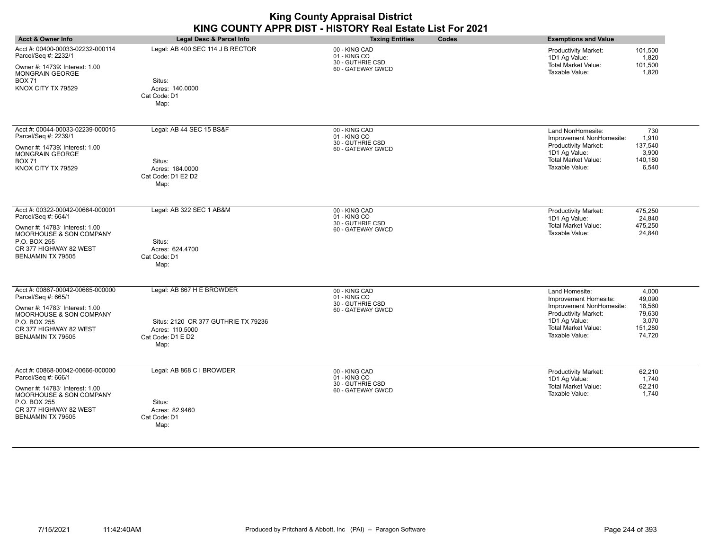| <b>Acct &amp; Owner Info</b>                                                                                                                                                        | Legal Desc & Parcel Info                                                                                         | <b>Taxing Entities</b><br>Codes                                        | <b>Exemptions and Value</b>                                                                                                                                                                                                       |
|-------------------------------------------------------------------------------------------------------------------------------------------------------------------------------------|------------------------------------------------------------------------------------------------------------------|------------------------------------------------------------------------|-----------------------------------------------------------------------------------------------------------------------------------------------------------------------------------------------------------------------------------|
| Acct #: 00400-00033-02232-000114<br>Parcel/Seq #: 2232/1<br>Owner #: 14739; Interest: 1.00<br><b>MONGRAIN GEORGE</b><br><b>BOX 71</b><br>KNOX CITY TX 79529                         | Legal: AB 400 SEC 114 J B RECTOR<br>Situs:<br>Acres: 140.0000<br>Cat Code: D1<br>Map:                            | 00 - KING CAD<br>01 - KING CO<br>30 - GUTHRIE CSD<br>60 - GATEWAY GWCD | Productivity Market:<br>101,500<br>1D1 Ag Value:<br>1,820<br><b>Total Market Value:</b><br>101,500<br>Taxable Value:<br>1,820                                                                                                     |
| Acct #: 00044-00033-02239-000015<br>Parcel/Seq #: 2239/1<br>Owner #: 14739; Interest: 1.00<br><b>MONGRAIN GEORGE</b><br><b>BOX 71</b><br>KNOX CITY TX 79529                         | Legal: AB 44 SEC 15 BS&F<br>Situs:<br>Acres: 184.0000<br>Cat Code: D1 E2 D2<br>Map:                              | 00 - KING CAD<br>01 - KING CO<br>30 - GUTHRIE CSD<br>60 - GATEWAY GWCD | Land NonHomesite:<br>730<br>1,910<br>Improvement NonHomesite:<br><b>Productivity Market:</b><br>137,540<br>1D1 Ag Value:<br>3,900<br><b>Total Market Value:</b><br>140,180<br>Taxable Value:<br>6,540                             |
| Acct #: 00322-00042-00664-000001<br>Parcel/Seq #: 664/1<br>Owner #: 14783' Interest: 1.00<br>MOORHOUSE & SON COMPANY<br>P.O. BOX 255<br>CR 377 HIGHWAY 82 WEST<br>BENJAMIN TX 79505 | Legal: AB 322 SEC 1 AB&M<br>Situs:<br>Acres: 624.4700<br>Cat Code: D1<br>Map:                                    | 00 - KING CAD<br>01 - KING CO<br>30 - GUTHRIE CSD<br>60 - GATEWAY GWCD | 475,250<br>Productivity Market:<br>1D1 Ag Value:<br>24,840<br><b>Total Market Value:</b><br>475,250<br>Taxable Value:<br>24,840                                                                                                   |
| Acct #: 00867-00042-00665-000000<br>Parcel/Seq #: 665/1<br>Owner #: 14783' Interest: 1.00<br>MOORHOUSE & SON COMPANY<br>P.O. BOX 255<br>CR 377 HIGHWAY 82 WEST<br>BENJAMIN TX 79505 | Legal: AB 867 H E BROWDER<br>Situs: 2120 CR 377 GUTHRIE TX 79236<br>Acres: 110.5000<br>Cat Code: D1 E D2<br>Map: | 00 - KING CAD<br>01 - KING CO<br>30 - GUTHRIE CSD<br>60 - GATEWAY GWCD | Land Homesite:<br>4,000<br>Improvement Homesite:<br>49,090<br>18,560<br>Improvement NonHomesite:<br>Productivity Market:<br>79,630<br>1D1 Ag Value:<br>3,070<br><b>Total Market Value:</b><br>151,280<br>Taxable Value:<br>74,720 |
| Acct #: 00868-00042-00666-000000<br>Parcel/Seq #: 666/1<br>Owner #: 14783' Interest: 1.00<br>MOORHOUSE & SON COMPANY<br>P.O. BOX 255<br>CR 377 HIGHWAY 82 WEST<br>BENJAMIN TX 79505 | Legal: AB 868 C I BROWDER<br>Situs:<br>Acres: 82.9460<br>Cat Code: D1<br>Map:                                    | 00 - KING CAD<br>01 - KING CO<br>30 - GUTHRIE CSD<br>60 - GATEWAY GWCD | 62,210<br><b>Productivity Market:</b><br>1D1 Ag Value:<br>1,740<br><b>Total Market Value:</b><br>62,210<br>Taxable Value:<br>1,740                                                                                                |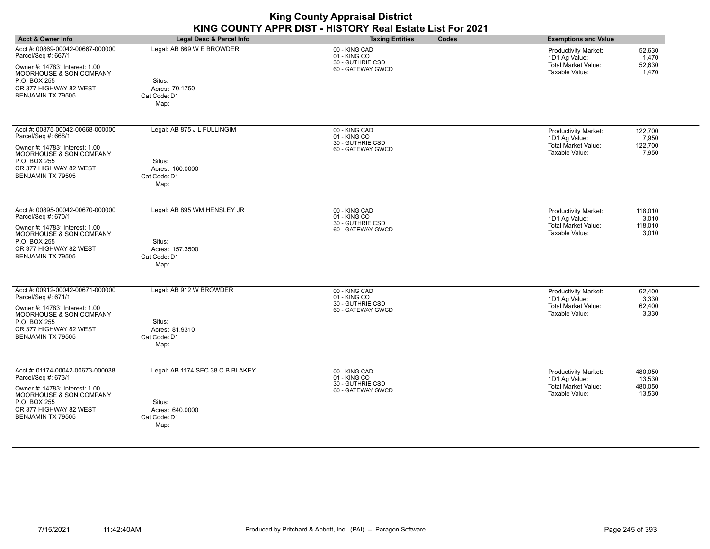| <b>Acct &amp; Owner Info</b>                                                                                                                                                        | Legal Desc & Parcel Info                                                              | <b>Taxing Entities</b><br>Codes                                        | <b>Exemptions and Value</b>                                                                                                            |
|-------------------------------------------------------------------------------------------------------------------------------------------------------------------------------------|---------------------------------------------------------------------------------------|------------------------------------------------------------------------|----------------------------------------------------------------------------------------------------------------------------------------|
| Acct #: 00869-00042-00667-000000<br>Parcel/Seq #: 667/1<br>Owner #: 14783' Interest: 1.00<br>MOORHOUSE & SON COMPANY<br>P.O. BOX 255<br>CR 377 HIGHWAY 82 WEST<br>BENJAMIN TX 79505 | Legal: AB 869 W E BROWDER<br>Situs:<br>Acres: 70.1750<br>Cat Code: D1<br>Map:         | 00 - KING CAD<br>01 - KING CO<br>30 - GUTHRIE CSD<br>60 - GATEWAY GWCD | 52,630<br>Productivity Market:<br>1D1 Ag Value:<br>1,470<br><b>Total Market Value:</b><br>52,630<br>Taxable Value:<br>1,470            |
| Acct #: 00875-00042-00668-000000<br>Parcel/Seq #: 668/1<br>Owner #: 14783' Interest: 1.00<br>MOORHOUSE & SON COMPANY<br>P.O. BOX 255<br>CR 377 HIGHWAY 82 WEST<br>BENJAMIN TX 79505 | Legal: AB 875 J L FULLINGIM<br>Situs:<br>Acres: 160,0000<br>Cat Code: D1<br>Map:      | 00 - KING CAD<br>01 - KING CO<br>30 - GUTHRIE CSD<br>60 - GATEWAY GWCD | 122,700<br>Productivity Market:<br>1D1 Ag Value:<br>7,950<br><b>Total Market Value:</b><br>122,700<br>Taxable Value:<br>7,950          |
| Acct #: 00895-00042-00670-000000<br>Parcel/Seq #: 670/1<br>Owner #: 14783' Interest: 1.00<br>MOORHOUSE & SON COMPANY<br>P.O. BOX 255<br>CR 377 HIGHWAY 82 WEST<br>BENJAMIN TX 79505 | Legal: AB 895 WM HENSLEY JR<br>Situs:<br>Acres: 157.3500<br>Cat Code: D1<br>Map:      | 00 - KING CAD<br>01 - KING CO<br>30 - GUTHRIE CSD<br>60 - GATEWAY GWCD | <b>Productivity Market:</b><br>118,010<br>1D1 Ag Value:<br>3,010<br>Total Market Value:<br>118,010<br>Taxable Value:<br>3,010          |
| Acct #: 00912-00042-00671-000000<br>Parcel/Seq #: 671/1<br>Owner #: 14783' Interest: 1.00<br>MOORHOUSE & SON COMPANY<br>P.O. BOX 255<br>CR 377 HIGHWAY 82 WEST<br>BENJAMIN TX 79505 | Legal: AB 912 W BROWDER<br>Situs:<br>Acres: 81.9310<br>Cat Code: D1<br>Map:           | 00 - KING CAD<br>01 - KING CO<br>30 - GUTHRIE CSD<br>60 - GATEWAY GWCD | 62,400<br>Productivity Market:<br>1D1 Ag Value:<br>3,330<br><b>Total Market Value:</b><br>62,400<br>Taxable Value:<br>3,330            |
| Acct #: 01174-00042-00673-000038<br>Parcel/Seq #: 673/1<br>Owner #: 14783' Interest: 1.00<br>MOORHOUSE & SON COMPANY<br>P.O. BOX 255<br>CR 377 HIGHWAY 82 WEST<br>BENJAMIN TX 79505 | Legal: AB 1174 SEC 38 C B BLAKEY<br>Situs:<br>Acres: 640,0000<br>Cat Code: D1<br>Map: | 00 - KING CAD<br>01 - KING CO<br>30 - GUTHRIE CSD<br>60 - GATEWAY GWCD | 480,050<br><b>Productivity Market:</b><br>1D1 Ag Value:<br>13,530<br><b>Total Market Value:</b><br>480,050<br>Taxable Value:<br>13,530 |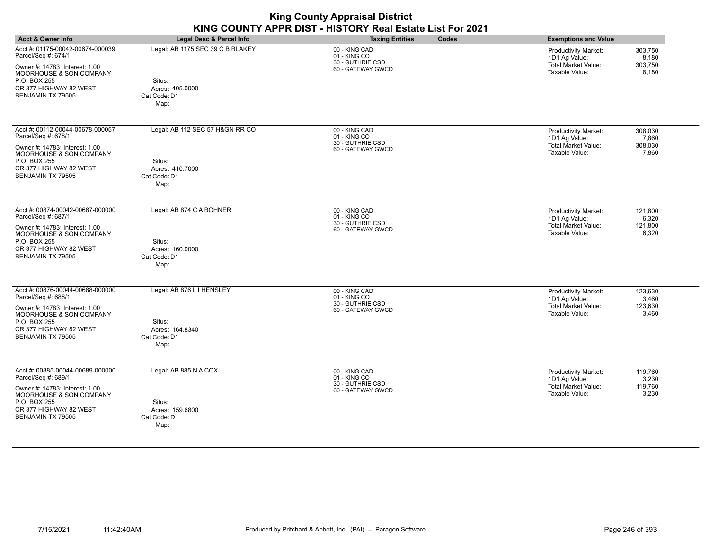| <b>Acct &amp; Owner Info</b>                                                                                                                                                        | Legal Desc & Parcel Info                                                              | <b>Taxing Entities</b><br>Codes                                        | <b>Exemptions and Value</b>                                                                                                          |
|-------------------------------------------------------------------------------------------------------------------------------------------------------------------------------------|---------------------------------------------------------------------------------------|------------------------------------------------------------------------|--------------------------------------------------------------------------------------------------------------------------------------|
| Acct #: 01175-00042-00674-000039<br>Parcel/Seq #: 674/1<br>Owner #: 14783' Interest: 1.00<br>MOORHOUSE & SON COMPANY<br>P.O. BOX 255<br>CR 377 HIGHWAY 82 WEST<br>BENJAMIN TX 79505 | Legal: AB 1175 SEC 39 C B BLAKEY<br>Situs:<br>Acres: 405.0000<br>Cat Code: D1<br>Map: | 00 - KING CAD<br>01 - KING CO<br>30 - GUTHRIE CSD<br>60 - GATEWAY GWCD | 303,750<br>Productivity Market:<br>1D1 Ag Value:<br>8,180<br><b>Total Market Value:</b><br>303,750<br>Taxable Value:<br>8,180        |
| Acct #: 00112-00044-00678-000057<br>Parcel/Seq #: 678/1<br>Owner #: 14783' Interest: 1.00<br>MOORHOUSE & SON COMPANY<br>P.O. BOX 255<br>CR 377 HIGHWAY 82 WEST<br>BENJAMIN TX 79505 | Legal: AB 112 SEC 57 H&GN RR CO<br>Situs:<br>Acres: 410.7000<br>Cat Code: D1<br>Map:  | 00 - KING CAD<br>01 - KING CO<br>30 - GUTHRIE CSD<br>60 - GATEWAY GWCD | Productivity Market:<br>308,030<br>1D1 Ag Value:<br>7,860<br>Total Market Value:<br>308,030<br>Taxable Value:<br>7,860               |
| Acct #: 00874-00042-00687-000000<br>Parcel/Seq #: 687/1<br>Owner #: 14783' Interest: 1.00<br>MOORHOUSE & SON COMPANY<br>P.O. BOX 255<br>CR 377 HIGHWAY 82 WEST<br>BENJAMIN TX 79505 | Legal: AB 874 C A BOHNER<br>Situs:<br>Acres: 160.0000<br>Cat Code: D1<br>Map:         | 00 - KING CAD<br>01 - KING CO<br>30 - GUTHRIE CSD<br>60 - GATEWAY GWCD | 121,800<br><b>Productivity Market:</b><br>1D1 Ag Value:<br>6,320<br><b>Total Market Value:</b><br>121,800<br>Taxable Value:<br>6,320 |
| Acct #: 00876-00044-00688-000000<br>Parcel/Seq #: 688/1<br>Owner #: 14783' Interest: 1.00<br>MOORHOUSE & SON COMPANY<br>P.O. BOX 255<br>CR 377 HIGHWAY 82 WEST<br>BENJAMIN TX 79505 | Legal: AB 876 L I HENSLEY<br>Situs:<br>Acres: 164.8340<br>Cat Code: D1<br>Map:        | 00 - KING CAD<br>01 - KING CO<br>30 - GUTHRIE CSD<br>60 - GATEWAY GWCD | <b>Productivity Market:</b><br>123,630<br>1D1 Ag Value:<br>3.460<br>Total Market Value:<br>123,630<br>Taxable Value:<br>3,460        |
| Acct #: 00885-00044-00689-000000<br>Parcel/Seq #: 689/1<br>Owner #: 14783' Interest: 1.00<br>MOORHOUSE & SON COMPANY<br>P.O. BOX 255<br>CR 377 HIGHWAY 82 WEST<br>BENJAMIN TX 79505 | Legal: AB 885 N A COX<br>Situs:<br>Acres: 159.6800<br>Cat Code: D1<br>Map:            | 00 - KING CAD<br>01 - KING CO<br>30 - GUTHRIE CSD<br>60 - GATEWAY GWCD | 119,760<br>Productivity Market:<br>1D1 Ag Value:<br>3,230<br>119,760<br><b>Total Market Value:</b><br>3,230<br>Taxable Value:        |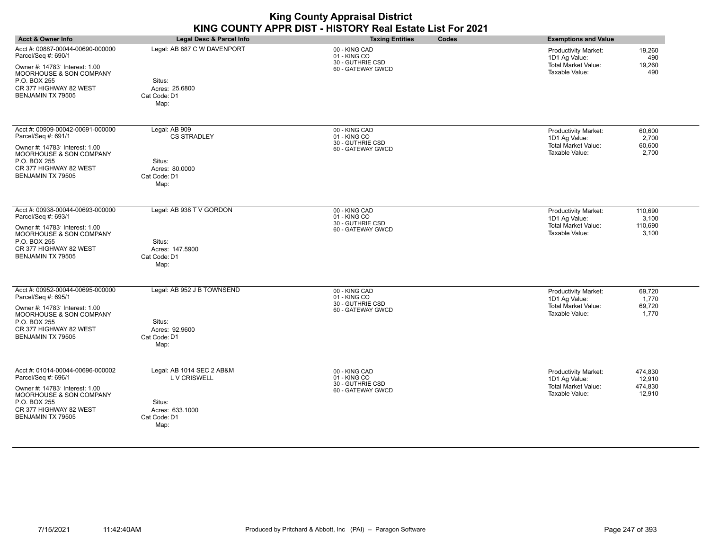| <b>Acct &amp; Owner Info</b>                                                                                                                                                        | Legal Desc & Parcel Info                                                                       | Codes<br><b>Taxing Entities</b>                                        | <b>Exemptions and Value</b>                                                                                                          |
|-------------------------------------------------------------------------------------------------------------------------------------------------------------------------------------|------------------------------------------------------------------------------------------------|------------------------------------------------------------------------|--------------------------------------------------------------------------------------------------------------------------------------|
| Acct #: 00887-00044-00690-000000<br>Parcel/Seq #: 690/1<br>Owner #: 14783' Interest: 1.00<br>MOORHOUSE & SON COMPANY<br>P.O. BOX 255<br>CR 377 HIGHWAY 82 WEST<br>BENJAMIN TX 79505 | Legal: AB 887 C W DAVENPORT<br>Situs:<br>Acres: 25.6800<br>Cat Code: D1<br>Map:                | 00 - KING CAD<br>01 - KING CO<br>30 - GUTHRIE CSD<br>60 - GATEWAY GWCD | 19,260<br>Productivity Market:<br>1D1 Ag Value:<br>490<br><b>Total Market Value:</b><br>19,260<br>Taxable Value:<br>490              |
| Acct #: 00909-00042-00691-000000<br>Parcel/Seq #: 691/1<br>Owner #: 14783' Interest: 1.00<br>MOORHOUSE & SON COMPANY<br>P.O. BOX 255<br>CR 377 HIGHWAY 82 WEST<br>BENJAMIN TX 79505 | Legal: AB 909<br><b>CS STRADLEY</b><br>Situs:<br>Acres: 80.0000<br>Cat Code: D1<br>Map:        | 00 - KING CAD<br>01 - KING CO<br>30 - GUTHRIE CSD<br>60 - GATEWAY GWCD | 60,600<br>Productivity Market:<br>1D1 Ag Value:<br>2,700<br>Total Market Value:<br>60,600<br>Taxable Value:<br>2,700                 |
| Acct #: 00938-00044-00693-000000<br>Parcel/Seq #: 693/1<br>Owner #: 14783' Interest: 1.00<br>MOORHOUSE & SON COMPANY<br>P.O. BOX 255<br>CR 377 HIGHWAY 82 WEST<br>BENJAMIN TX 79505 | Legal: AB 938 T V GORDON<br>Situs:<br>Acres: 147.5900<br>Cat Code: D1<br>Map:                  | 00 - KING CAD<br>01 - KING CO<br>30 - GUTHRIE CSD<br>60 - GATEWAY GWCD | 110,690<br><b>Productivity Market:</b><br>1D1 Ag Value:<br>3,100<br><b>Total Market Value:</b><br>110,690<br>Taxable Value:<br>3,100 |
| Acct #: 00952-00044-00695-000000<br>Parcel/Seq #: 695/1<br>Owner #: 14783' Interest: 1.00<br>MOORHOUSE & SON COMPANY<br>P.O. BOX 255<br>CR 377 HIGHWAY 82 WEST<br>BENJAMIN TX 79505 | Legal: AB 952 J B TOWNSEND<br>Situs:<br>Acres: 92.9600<br>Cat Code: D1<br>Map:                 | 00 - KING CAD<br>01 - KING CO<br>30 - GUTHRIE CSD<br>60 - GATEWAY GWCD | 69,720<br>Productivity Market:<br>1D1 Ag Value:<br>1,770<br><b>Total Market Value:</b><br>69,720<br>Taxable Value:<br>1,770          |
| Acct #: 01014-00044-00696-000002<br>Parcel/Seq #: 696/1<br>Owner #: 14783' Interest: 1.00<br>MOORHOUSE & SON COMPANY<br>P.O. BOX 255<br>CR 377 HIGHWAY 82 WEST<br>BENJAMIN TX 79505 | Legal: AB 1014 SEC 2 AB&M<br>L V CRISWELL<br>Situs:<br>Acres: 633.1000<br>Cat Code: D1<br>Map: | 00 - KING CAD<br>01 - KING CO<br>30 - GUTHRIE CSD<br>60 - GATEWAY GWCD | Productivity Market:<br>474,830<br>12,910<br>1D1 Ag Value:<br><b>Total Market Value:</b><br>474,830<br>Taxable Value:<br>12,910      |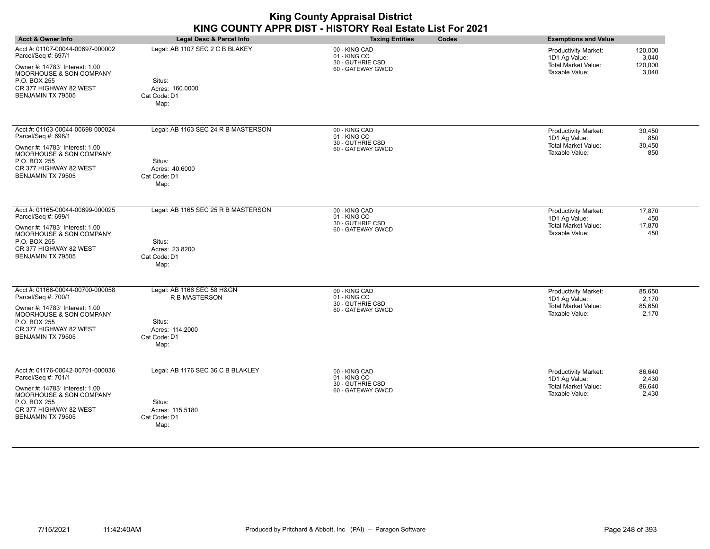| <b>Acct &amp; Owner Info</b>                                                                                                                                                                   | <b>Legal Desc &amp; Parcel Info</b>                                                                     | Codes<br><b>Taxing Entities</b>                                        | <b>Exemptions and Value</b>                                                                                                          |
|------------------------------------------------------------------------------------------------------------------------------------------------------------------------------------------------|---------------------------------------------------------------------------------------------------------|------------------------------------------------------------------------|--------------------------------------------------------------------------------------------------------------------------------------|
| Acct #: 01107-00044-00697-000002<br>Parcel/Seq #: 697/1<br>Owner #: 14783' Interest: 1.00<br>MOORHOUSE & SON COMPANY<br>P.O. BOX 255<br>CR 377 HIGHWAY 82 WEST<br>BENJAMIN TX 79505            | Legal: AB 1107 SEC 2 C B BLAKEY<br>Situs:<br>Acres: 160,0000<br>Cat Code: D1<br>Map:                    | 00 - KING CAD<br>01 - KING CO<br>30 - GUTHRIE CSD<br>60 - GATEWAY GWCD | <b>Productivity Market:</b><br>120,000<br>1D1 Ag Value:<br>3,040<br><b>Total Market Value:</b><br>120,000<br>Taxable Value:<br>3,040 |
| Acct #: 01163-00044-00698-000024<br>Parcel/Seq #: 698/1<br>Owner #: 14783' Interest: 1.00<br><b>MOORHOUSE &amp; SON COMPANY</b><br>P.O. BOX 255<br>CR 377 HIGHWAY 82 WEST<br>BENJAMIN TX 79505 | Legal: AB 1163 SEC 24 R B MASTERSON<br>Situs:<br>Acres: 40.6000<br>Cat Code: D1<br>Map:                 | 00 - KING CAD<br>01 - KING CO<br>30 - GUTHRIE CSD<br>60 - GATEWAY GWCD | Productivity Market:<br>30,450<br>1D1 Ag Value:<br>850<br>Total Market Value:<br>30,450<br>Taxable Value:<br>850                     |
| Acct #: 01165-00044-00699-000025<br>Parcel/Seq #: 699/1<br>Owner #: 14783' Interest: 1.00<br>MOORHOUSE & SON COMPANY<br>P.O. BOX 255<br>CR 377 HIGHWAY 82 WEST<br>BENJAMIN TX 79505            | Legal: AB 1165 SEC 25 R B MASTERSON<br>Situs:<br>Acres: 23.8200<br>Cat Code: D1<br>Map:                 | 00 - KING CAD<br>01 - KING CO<br>30 - GUTHRIE CSD<br>60 - GATEWAY GWCD | 17,870<br>Productivity Market:<br>1D1 Ag Value:<br>450<br>Total Market Value:<br>17,870<br>Taxable Value:<br>450                     |
| Acct #: 01166-00044-00700-000058<br>Parcel/Seq #: 700/1<br>Owner #: 14783' Interest: 1.00<br>MOORHOUSE & SON COMPANY<br>P.O. BOX 255<br>CR 377 HIGHWAY 82 WEST<br>BENJAMIN TX 79505            | Legal: AB 1166 SEC 58 H&GN<br><b>R B MASTERSON</b><br>Situs:<br>Acres: 114.2000<br>Cat Code: D1<br>Map: | 00 - KING CAD<br>01 - KING CO<br>30 - GUTHRIE CSD<br>60 - GATEWAY GWCD | Productivity Market:<br>85,650<br>1D1 Ag Value:<br>2,170<br>Total Market Value:<br>85,650<br>Taxable Value:<br>2,170                 |
| Acct #: 01176-00042-00701-000036<br>Parcel/Seq #: 701/1<br>Owner #: 14783' Interest: 1.00<br>MOORHOUSE & SON COMPANY<br>P.O. BOX 255<br>CR 377 HIGHWAY 82 WEST<br>BENJAMIN TX 79505            | Legal: AB 1176 SEC 36 C B BLAKLEY<br>Situs:<br>Acres: 115.5180<br>Cat Code: D1<br>Map:                  | 00 - KING CAD<br>01 - KING CO<br>30 - GUTHRIE CSD<br>60 - GATEWAY GWCD | Productivity Market:<br>86,640<br>1D1 Ag Value:<br>2,430<br>86,640<br>Total Market Value:<br>Taxable Value:<br>2,430                 |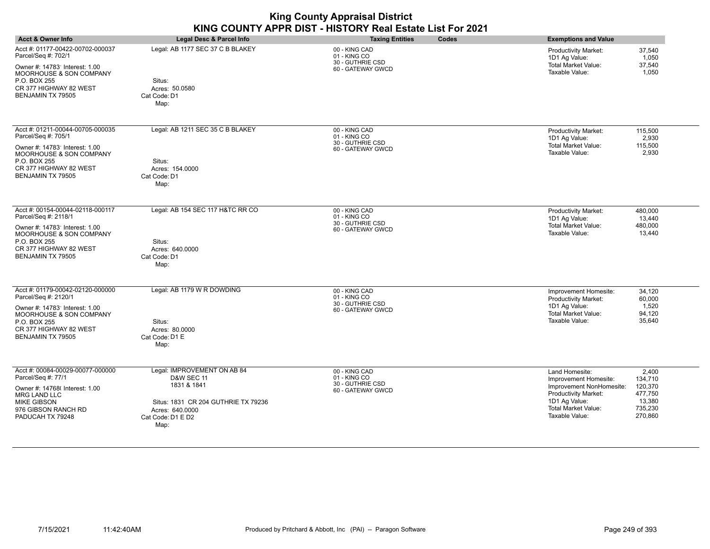| <b>King County Appraisal District</b>                     |  |
|-----------------------------------------------------------|--|
| KING COUNTY APPR DIST - HISTORY Real Estate List For 2021 |  |

| <b>Acct &amp; Owner Info</b>                                                                                                                                                                   | Legal Desc & Parcel Info                                                                                                                                   | <b>Taxing Entities</b><br>Codes                                        | <b>Exemptions and Value</b>                                                                                                                                                                                                            |
|------------------------------------------------------------------------------------------------------------------------------------------------------------------------------------------------|------------------------------------------------------------------------------------------------------------------------------------------------------------|------------------------------------------------------------------------|----------------------------------------------------------------------------------------------------------------------------------------------------------------------------------------------------------------------------------------|
| Acct #: 01177-00422-00702-000037<br>Parcel/Seq #: 702/1<br>Owner #: 14783' Interest: 1.00<br>MOORHOUSE & SON COMPANY<br>P.O. BOX 255<br>CR 377 HIGHWAY 82 WEST<br>BENJAMIN TX 79505            | Legal: AB 1177 SEC 37 C B BLAKEY<br>Situs:<br>Acres: 50.0580<br>Cat Code: D1<br>Map:                                                                       | 00 - KING CAD<br>01 - KING CO<br>30 - GUTHRIE CSD<br>60 - GATEWAY GWCD | Productivity Market:<br>37,540<br>1D1 Ag Value:<br>1,050<br><b>Total Market Value:</b><br>37,540<br>Taxable Value:<br>1,050                                                                                                            |
| Acct #: 01211-00044-00705-000035<br>Parcel/Seq #: 705/1<br>Owner #: 14783' Interest: 1.00<br><b>MOORHOUSE &amp; SON COMPANY</b><br>P.O. BOX 255<br>CR 377 HIGHWAY 82 WEST<br>BENJAMIN TX 79505 | Legal: AB 1211 SEC 35 C B BLAKEY<br>Situs:<br>Acres: 154.0000<br>Cat Code: D1<br>Map:                                                                      | 00 - KING CAD<br>01 - KING CO<br>30 - GUTHRIE CSD<br>60 - GATEWAY GWCD | Productivity Market:<br>115,500<br>1D1 Ag Value:<br>2,930<br>Total Market Value:<br>115,500<br>Taxable Value:<br>2,930                                                                                                                 |
| Acct #: 00154-00044-02118-000117<br>Parcel/Seq #: 2118/1<br>Owner #: 14783' Interest: 1.00<br>MOORHOUSE & SON COMPANY<br>P.O. BOX 255<br>CR 377 HIGHWAY 82 WEST<br>BENJAMIN TX 79505           | Legal: AB 154 SEC 117 H&TC RR CO<br>Situs:<br>Acres: 640.0000<br>Cat Code: D1<br>Map:                                                                      | 00 - KING CAD<br>01 - KING CO<br>30 - GUTHRIE CSD<br>60 - GATEWAY GWCD | Productivity Market:<br>480,000<br>1D1 Ag Value:<br>13,440<br><b>Total Market Value:</b><br>480,000<br>Taxable Value:<br>13,440                                                                                                        |
| Acct #: 01179-00042-02120-000000<br>Parcel/Seq #: 2120/1<br>Owner #: 14783' Interest: 1.00<br>MOORHOUSE & SON COMPANY<br>P.O. BOX 255<br>CR 377 HIGHWAY 82 WEST<br>BENJAMIN TX 79505           | Legal: AB 1179 W R DOWDING<br>Situs:<br>Acres: 80.0000<br>Cat Code: D1 E<br>Map:                                                                           | 00 - KING CAD<br>01 - KING CO<br>30 - GUTHRIE CSD<br>60 - GATEWAY GWCD | Improvement Homesite:<br>34,120<br>Productivity Market:<br>60,000<br>1D1 Ag Value:<br>1,520<br>Total Market Value:<br>94,120<br>35,640<br>Taxable Value:                                                                               |
| Acct #: 00084-00029-00077-000000<br>Parcel/Seq #: 77/1<br>Owner #: 14768( Interest: 1.00<br>MRG LAND LLC<br><b>MIKE GIBSON</b><br>976 GIBSON RANCH RD<br>PADUCAH TX 79248                      | Legal: IMPROVEMENT ON AB 84<br><b>D&amp;W SEC 11</b><br>1831 & 1841<br>Situs: 1831 CR 204 GUTHRIE TX 79236<br>Acres: 640,0000<br>Cat Code: D1 E D2<br>Map: | 00 - KING CAD<br>01 - KING CO<br>30 - GUTHRIE CSD<br>60 - GATEWAY GWCD | Land Homesite:<br>2,400<br>134,710<br>Improvement Homesite:<br>Improvement NonHomesite:<br>120,370<br>477,750<br>Productivity Market:<br>1D1 Ag Value:<br>13,380<br><b>Total Market Value:</b><br>735,230<br>270,860<br>Taxable Value: |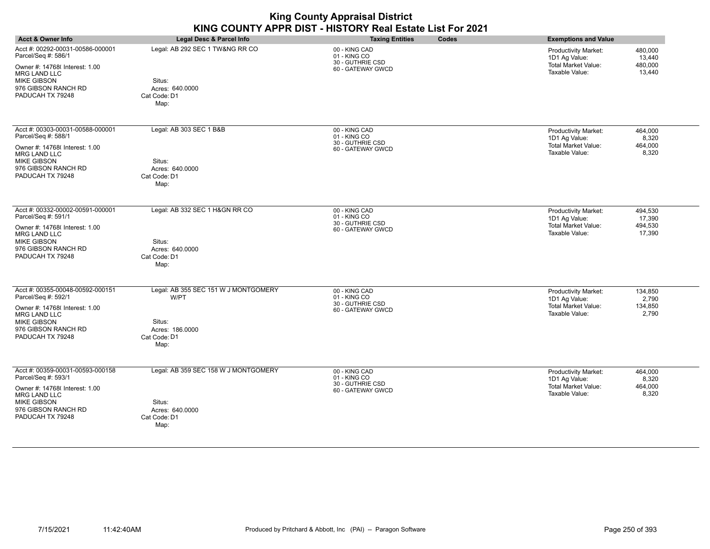| <b>Acct &amp; Owner Info</b>                                                                                                                                                      | Legal Desc & Parcel Info                                                                          | <b>Taxing Entities</b><br>Codes                                        | <b>Exemptions and Value</b>                                                                                                     |
|-----------------------------------------------------------------------------------------------------------------------------------------------------------------------------------|---------------------------------------------------------------------------------------------------|------------------------------------------------------------------------|---------------------------------------------------------------------------------------------------------------------------------|
| Acct #: 00292-00031-00586-000001<br>Parcel/Seq #: 586/1<br>Owner #: 14768( Interest: 1.00<br><b>MRG LAND LLC</b><br><b>MIKE GIBSON</b><br>976 GIBSON RANCH RD<br>PADUCAH TX 79248 | Legal: AB 292 SEC 1 TW&NG RR CO<br>Situs:<br>Acres: 640,0000<br>Cat Code: D1<br>Map:              | 00 - KING CAD<br>01 - KING CO<br>30 - GUTHRIE CSD<br>60 - GATEWAY GWCD | 480,000<br>Productivity Market:<br>1D1 Ag Value:<br>13,440<br><b>Total Market Value:</b><br>480,000<br>Taxable Value:<br>13,440 |
| Acct #: 00303-00031-00588-000001<br>Parcel/Seq #: 588/1<br>Owner #: 14768( Interest: 1.00<br><b>MRG LAND LLC</b><br><b>MIKE GIBSON</b><br>976 GIBSON RANCH RD<br>PADUCAH TX 79248 | Legal: AB 303 SEC 1 B&B<br>Situs:<br>Acres: 640.0000<br>Cat Code: D1<br>Map:                      | 00 - KING CAD<br>01 - KING CO<br>30 - GUTHRIE CSD<br>60 - GATEWAY GWCD | Productivity Market:<br>464,000<br>8,320<br>1D1 Ag Value:<br><b>Total Market Value:</b><br>464,000<br>Taxable Value:<br>8,320   |
| Acct #: 00332-00002-00591-000001<br>Parcel/Seq #: 591/1<br>Owner #: 14768( Interest: 1.00<br><b>MRG LAND LLC</b><br><b>MIKE GIBSON</b><br>976 GIBSON RANCH RD<br>PADUCAH TX 79248 | Legal: AB 332 SEC 1 H&GN RR CO<br>Situs:<br>Acres: 640.0000<br>Cat Code: D1<br>Map:               | 00 - KING CAD<br>01 - KING CO<br>30 - GUTHRIE CSD<br>60 - GATEWAY GWCD | 494,530<br>Productivity Market:<br>1D1 Ag Value:<br>17,390<br><b>Total Market Value:</b><br>494,530<br>Taxable Value:<br>17,390 |
| Acct #: 00355-00048-00592-000151<br>Parcel/Seq #: 592/1<br>Owner #: 14768( Interest: 1.00<br><b>MRG LAND LLC</b><br><b>MIKE GIBSON</b><br>976 GIBSON RANCH RD<br>PADUCAH TX 79248 | Legal: AB 355 SEC 151 W J MONTGOMERY<br>W/PT<br>Situs:<br>Acres: 186,0000<br>Cat Code: D1<br>Map: | 00 - KING CAD<br>01 - KING CO<br>30 - GUTHRIE CSD<br>60 - GATEWAY GWCD | Productivity Market:<br>134,850<br>1D1 Ag Value:<br>2,790<br>Total Market Value:<br>134,850<br>Taxable Value:<br>2,790          |
| Acct #: 00359-00031-00593-000158<br>Parcel/Seq #: 593/1<br>Owner #: 14768( Interest: 1.00<br><b>MRG LAND LLC</b><br><b>MIKE GIBSON</b><br>976 GIBSON RANCH RD<br>PADUCAH TX 79248 | Legal: AB 359 SEC 158 W J MONTGOMERY<br>Situs:<br>Acres: 640.0000<br>Cat Code: D1<br>Map:         | 00 - KING CAD<br>01 - KING CO<br>30 - GUTHRIE CSD<br>60 - GATEWAY GWCD | Productivity Market:<br>464,000<br>1D1 Ag Value:<br>8,320<br>464,000<br><b>Total Market Value:</b><br>Taxable Value:<br>8,320   |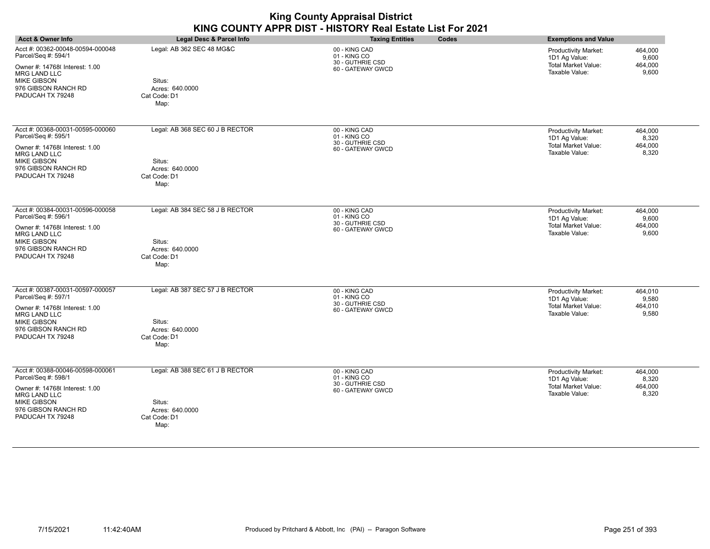| <b>Acct &amp; Owner Info</b>                                                                                                                                                      | Legal Desc & Parcel Info                                                             | <b>Taxing Entities</b><br>Codes                                        | <b>Exemptions and Value</b>                                                                                                          |
|-----------------------------------------------------------------------------------------------------------------------------------------------------------------------------------|--------------------------------------------------------------------------------------|------------------------------------------------------------------------|--------------------------------------------------------------------------------------------------------------------------------------|
| Acct #: 00362-00048-00594-000048<br>Parcel/Seq #: 594/1<br>Owner #: 14768( Interest: 1.00<br><b>MRG LAND LLC</b><br><b>MIKE GIBSON</b><br>976 GIBSON RANCH RD<br>PADUCAH TX 79248 | Legal: AB 362 SEC 48 MG&C<br>Situs:<br>Acres: 640,0000<br>Cat Code: D1<br>Map:       | 00 - KING CAD<br>01 - KING CO<br>30 - GUTHRIE CSD<br>60 - GATEWAY GWCD | 464,000<br>Productivity Market:<br>1D1 Ag Value:<br>9,600<br><b>Total Market Value:</b><br>464,000<br>Taxable Value:<br>9,600        |
| Acct #: 00368-00031-00595-000060<br>Parcel/Seq #: 595/1<br>Owner #: 14768(Interest: 1.00<br><b>MRG LAND LLC</b><br><b>MIKE GIBSON</b><br>976 GIBSON RANCH RD<br>PADUCAH TX 79248  | Legal: AB 368 SEC 60 J B RECTOR<br>Situs:<br>Acres: 640.0000<br>Cat Code: D1<br>Map: | 00 - KING CAD<br>01 - KING CO<br>30 - GUTHRIE CSD<br>60 - GATEWAY GWCD | Productivity Market:<br>464,000<br>1D1 Ag Value:<br>8,320<br>Total Market Value:<br>464,000<br>Taxable Value:<br>8,320               |
| Acct #: 00384-00031-00596-000058<br>Parcel/Seq #: 596/1<br>Owner #: 14768(Interest: 1.00<br>MRG LAND LLC<br><b>MIKE GIBSON</b><br>976 GIBSON RANCH RD<br>PADUCAH TX 79248         | Legal: AB 384 SEC 58 J B RECTOR<br>Situs:<br>Acres: 640.0000<br>Cat Code: D1<br>Map: | 00 - KING CAD<br>01 - KING CO<br>30 - GUTHRIE CSD<br>60 - GATEWAY GWCD | 464,000<br><b>Productivity Market:</b><br>1D1 Ag Value:<br>9,600<br><b>Total Market Value:</b><br>464,000<br>Taxable Value:<br>9,600 |
| Acct #: 00387-00031-00597-000057<br>Parcel/Seq #: 597/1<br>Owner #: 14768( Interest: 1.00<br><b>MRG LAND LLC</b><br><b>MIKE GIBSON</b><br>976 GIBSON RANCH RD<br>PADUCAH TX 79248 | Legal: AB 387 SEC 57 J B RECTOR<br>Situs:<br>Acres: 640.0000<br>Cat Code: D1<br>Map: | 00 - KING CAD<br>01 - KING CO<br>30 - GUTHRIE CSD<br>60 - GATEWAY GWCD | <b>Productivity Market:</b><br>464,010<br>1D1 Ag Value:<br>9,580<br>Total Market Value:<br>464,010<br>Taxable Value:<br>9,580        |
| Acct #: 00388-00046-00598-000061<br>Parcel/Seq #: 598/1<br>Owner #: 14768( Interest: 1.00<br><b>MRG LAND LLC</b><br><b>MIKE GIBSON</b><br>976 GIBSON RANCH RD<br>PADUCAH TX 79248 | Legal: AB 388 SEC 61 J B RECTOR<br>Situs:<br>Acres: 640.0000<br>Cat Code: D1<br>Map: | 00 - KING CAD<br>01 - KING CO<br>30 - GUTHRIE CSD<br>60 - GATEWAY GWCD | Productivity Market:<br>464,000<br>1D1 Ag Value:<br>8,320<br>464,000<br><b>Total Market Value:</b><br>8,320<br>Taxable Value:        |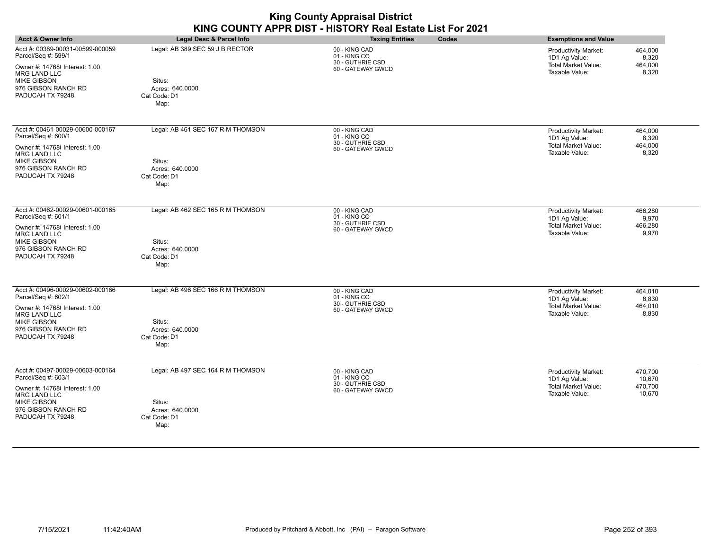| <b>Acct &amp; Owner Info</b>                                                                                                                                                      | Legal Desc & Parcel Info                                                               | <b>Taxing Entities</b><br>Codes                                        | <b>Exemptions and Value</b>                                                                                                     |
|-----------------------------------------------------------------------------------------------------------------------------------------------------------------------------------|----------------------------------------------------------------------------------------|------------------------------------------------------------------------|---------------------------------------------------------------------------------------------------------------------------------|
| Acct #: 00389-00031-00599-000059<br>Parcel/Seq #: 599/1<br>Owner #: 14768( Interest: 1.00<br><b>MRG LAND LLC</b><br><b>MIKE GIBSON</b><br>976 GIBSON RANCH RD<br>PADUCAH TX 79248 | Legal: AB 389 SEC 59 J B RECTOR<br>Situs:<br>Acres: 640,0000<br>Cat Code: D1<br>Map:   | 00 - KING CAD<br>01 - KING CO<br>30 - GUTHRIE CSD<br>60 - GATEWAY GWCD | 464,000<br>Productivity Market:<br>1D1 Ag Value:<br>8,320<br><b>Total Market Value:</b><br>464,000<br>Taxable Value:<br>8,320   |
| Acct #: 00461-00029-00600-000167<br>Parcel/Seq #: 600/1<br>Owner #: 14768( Interest: 1.00<br><b>MRG LAND LLC</b><br><b>MIKE GIBSON</b><br>976 GIBSON RANCH RD<br>PADUCAH TX 79248 | Legal: AB 461 SEC 167 R M THOMSON<br>Situs:<br>Acres: 640,0000<br>Cat Code: D1<br>Map: | 00 - KING CAD<br>01 - KING CO<br>30 - GUTHRIE CSD<br>60 - GATEWAY GWCD | Productivity Market:<br>464,000<br>8,320<br>1D1 Ag Value:<br><b>Total Market Value:</b><br>464,000<br>Taxable Value:<br>8,320   |
| Acct #: 00462-00029-00601-000165<br>Parcel/Seq #: 601/1<br>Owner #: 14768( Interest: 1.00<br><b>MRG LAND LLC</b><br><b>MIKE GIBSON</b><br>976 GIBSON RANCH RD<br>PADUCAH TX 79248 | Legal: AB 462 SEC 165 R M THOMSON<br>Situs:<br>Acres: 640.0000<br>Cat Code: D1<br>Map: | 00 - KING CAD<br>01 - KING CO<br>30 - GUTHRIE CSD<br>60 - GATEWAY GWCD | 466,280<br>Productivity Market:<br>1D1 Ag Value:<br>9,970<br><b>Total Market Value:</b><br>466,280<br>Taxable Value:<br>9,970   |
| Acct #: 00496-00029-00602-000166<br>Parcel/Seq #: 602/1<br>Owner #: 14768( Interest: 1.00<br><b>MRG LAND LLC</b><br><b>MIKE GIBSON</b><br>976 GIBSON RANCH RD<br>PADUCAH TX 79248 | Legal: AB 496 SEC 166 R M THOMSON<br>Situs:<br>Acres: 640,0000<br>Cat Code: D1<br>Map: | 00 - KING CAD<br>01 - KING CO<br>30 - GUTHRIE CSD<br>60 - GATEWAY GWCD | Productivity Market:<br>464,010<br>1D1 Ag Value:<br>8,830<br>Total Market Value:<br>464,010<br>Taxable Value:<br>8,830          |
| Acct #: 00497-00029-00603-000164<br>Parcel/Seq #: 603/1<br>Owner #: 14768( Interest: 1.00<br><b>MRG LAND LLC</b><br><b>MIKE GIBSON</b><br>976 GIBSON RANCH RD<br>PADUCAH TX 79248 | Legal: AB 497 SEC 164 R M THOMSON<br>Situs:<br>Acres: 640.0000<br>Cat Code: D1<br>Map: | 00 - KING CAD<br>01 - KING CO<br>30 - GUTHRIE CSD<br>60 - GATEWAY GWCD | 470,700<br>Productivity Market:<br>1D1 Ag Value:<br>10,670<br>470,700<br><b>Total Market Value:</b><br>Taxable Value:<br>10,670 |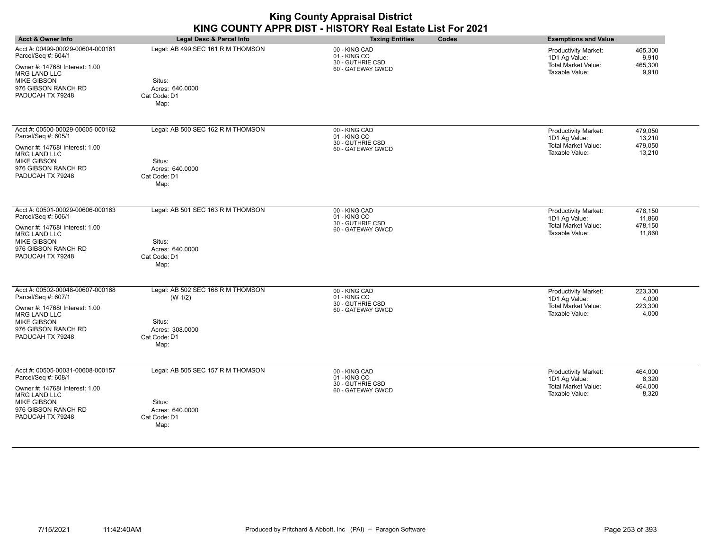| <b>Acct &amp; Owner Info</b>                                                                                                                                                      | Legal Desc & Parcel Info                                                                          | <b>Taxing Entities</b><br>Codes                                        | <b>Exemptions and Value</b>                                                                                                          |
|-----------------------------------------------------------------------------------------------------------------------------------------------------------------------------------|---------------------------------------------------------------------------------------------------|------------------------------------------------------------------------|--------------------------------------------------------------------------------------------------------------------------------------|
| Acct #: 00499-00029-00604-000161<br>Parcel/Seq #: 604/1<br>Owner #: 14768( Interest: 1.00<br><b>MRG LAND LLC</b><br><b>MIKE GIBSON</b><br>976 GIBSON RANCH RD<br>PADUCAH TX 79248 | Legal: AB 499 SEC 161 R M THOMSON<br>Situs:<br>Acres: 640.0000<br>Cat Code: D1<br>Map:            | 00 - KING CAD<br>01 - KING CO<br>30 - GUTHRIE CSD<br>60 - GATEWAY GWCD | 465,300<br><b>Productivity Market:</b><br>1D1 Ag Value:<br>9,910<br><b>Total Market Value:</b><br>465,300<br>Taxable Value:<br>9,910 |
| Acct #: 00500-00029-00605-000162<br>Parcel/Seq #: 605/1<br>Owner #: 14768( Interest: 1.00<br><b>MRG LAND LLC</b><br><b>MIKE GIBSON</b><br>976 GIBSON RANCH RD<br>PADUCAH TX 79248 | Legal: AB 500 SEC 162 R M THOMSON<br>Situs:<br>Acres: 640,0000<br>Cat Code: D1<br>Map:            | 00 - KING CAD<br>01 - KING CO<br>30 - GUTHRIE CSD<br>60 - GATEWAY GWCD | 479,050<br><b>Productivity Market:</b><br>1D1 Ag Value:<br>13,210<br>Total Market Value:<br>479,050<br>Taxable Value:<br>13,210      |
| Acct #: 00501-00029-00606-000163<br>Parcel/Seq #: 606/1<br>Owner #: 14768( Interest: 1.00<br><b>MRG LAND LLC</b><br><b>MIKE GIBSON</b><br>976 GIBSON RANCH RD<br>PADUCAH TX 79248 | Legal: AB 501 SEC 163 R M THOMSON<br>Situs:<br>Acres: 640,0000<br>Cat Code: D1<br>Map:            | 00 - KING CAD<br>01 - KING CO<br>30 - GUTHRIE CSD<br>60 - GATEWAY GWCD | Productivity Market:<br>478,150<br>1D1 Ag Value:<br>11,860<br>Total Market Value:<br>478,150<br>Taxable Value:<br>11,860             |
| Acct #: 00502-00048-00607-000168<br>Parcel/Seq #: 607/1<br>Owner #: 14768( Interest: 1.00<br><b>MRG LAND LLC</b><br><b>MIKE GIBSON</b><br>976 GIBSON RANCH RD<br>PADUCAH TX 79248 | Legal: AB 502 SEC 168 R M THOMSON<br>(W 1/2)<br>Situs:<br>Acres: 308.0000<br>Cat Code: D1<br>Map: | 00 - KING CAD<br>01 - KING CO<br>30 - GUTHRIE CSD<br>60 - GATEWAY GWCD | Productivity Market:<br>223,300<br>1D1 Ag Value:<br>4,000<br><b>Total Market Value:</b><br>223,300<br>Taxable Value:<br>4,000        |
| Acct #: 00505-00031-00608-000157<br>Parcel/Seq #: 608/1<br>Owner #: 14768( Interest: 1.00<br><b>MRG LAND LLC</b><br><b>MIKE GIBSON</b><br>976 GIBSON RANCH RD<br>PADUCAH TX 79248 | Legal: AB 505 SEC 157 R M THOMSON<br>Situs:<br>Acres: 640.0000<br>Cat Code: D1<br>Map:            | 00 - KING CAD<br>01 - KING CO<br>30 - GUTHRIE CSD<br>60 - GATEWAY GWCD | Productivity Market:<br>464,000<br>1D1 Ag Value:<br>8,320<br><b>Total Market Value:</b><br>464,000<br>8,320<br>Taxable Value:        |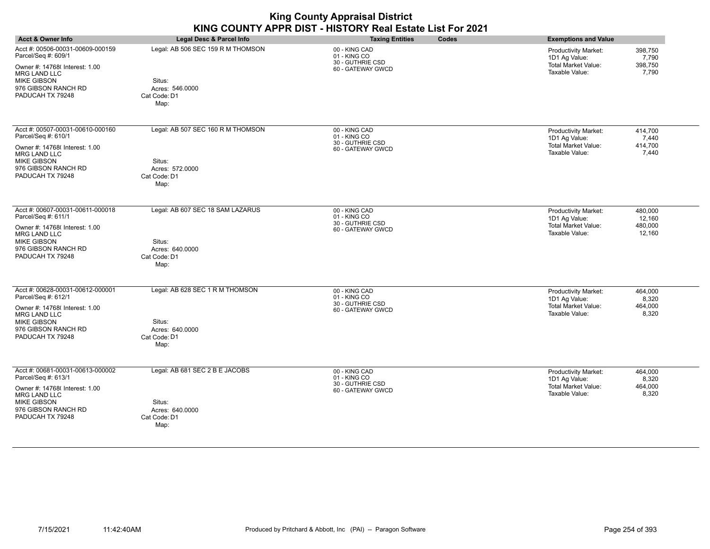| <b>Acct &amp; Owner Info</b>                                                                                                                                                      | Legal Desc & Parcel Info                                                               | <b>Taxing Entities</b><br>Codes                                        | <b>Exemptions and Value</b>                                                                                                          |
|-----------------------------------------------------------------------------------------------------------------------------------------------------------------------------------|----------------------------------------------------------------------------------------|------------------------------------------------------------------------|--------------------------------------------------------------------------------------------------------------------------------------|
| Acct #: 00506-00031-00609-000159<br>Parcel/Seq #: 609/1<br>Owner #: 14768(Interest: 1.00<br><b>MRG LAND LLC</b><br><b>MIKE GIBSON</b><br>976 GIBSON RANCH RD<br>PADUCAH TX 79248  | Legal: AB 506 SEC 159 R M THOMSON<br>Situs:<br>Acres: 546.0000<br>Cat Code: D1<br>Map: | 00 - KING CAD<br>01 - KING CO<br>30 - GUTHRIE CSD<br>60 - GATEWAY GWCD | 398,750<br><b>Productivity Market:</b><br>1D1 Ag Value:<br>7,790<br><b>Total Market Value:</b><br>398,750<br>Taxable Value:<br>7,790 |
| Acct #: 00507-00031-00610-000160<br>Parcel/Seq #: 610/1<br>Owner #: 14768( Interest: 1.00<br><b>MRG LAND LLC</b><br><b>MIKE GIBSON</b><br>976 GIBSON RANCH RD<br>PADUCAH TX 79248 | Legal: AB 507 SEC 160 R M THOMSON<br>Situs:<br>Acres: 572,0000<br>Cat Code: D1<br>Map: | 00 - KING CAD<br>01 - KING CO<br>30 - GUTHRIE CSD<br>60 - GATEWAY GWCD | <b>Productivity Market:</b><br>414,700<br>1D1 Ag Value:<br>7,440<br>Total Market Value:<br>414,700<br>Taxable Value:<br>7,440        |
| Acct #: 00607-00031-00611-000018<br>Parcel/Seq #: 611/1<br>Owner #: 14768(Interest: 1.00<br>MRG LAND LLC<br><b>MIKE GIBSON</b><br>976 GIBSON RANCH RD<br>PADUCAH TX 79248         | Legal: AB 607 SEC 18 SAM LAZARUS<br>Situs:<br>Acres: 640.0000<br>Cat Code: D1<br>Map:  | 00 - KING CAD<br>01 - KING CO<br>30 - GUTHRIE CSD<br>60 - GATEWAY GWCD | 480,000<br>Productivity Market:<br>1D1 Ag Value:<br>12,160<br>Total Market Value:<br>480,000<br>Taxable Value:<br>12,160             |
| Acct #: 00628-00031-00612-000001<br>Parcel/Seq #: 612/1<br>Owner #: 14768( Interest: 1.00<br><b>MRG LAND LLC</b><br><b>MIKE GIBSON</b><br>976 GIBSON RANCH RD<br>PADUCAH TX 79248 | Legal: AB 628 SEC 1 R M THOMSON<br>Situs:<br>Acres: 640,0000<br>Cat Code: D1<br>Map:   | 00 - KING CAD<br>01 - KING CO<br>30 - GUTHRIE CSD<br>60 - GATEWAY GWCD | <b>Productivity Market:</b><br>464,000<br>1D1 Ag Value:<br>8,320<br><b>Total Market Value:</b><br>464,000<br>Taxable Value:<br>8,320 |
| Acct #: 00681-00031-00613-000002<br>Parcel/Seq #: 613/1<br>Owner #: 14768( Interest: 1.00<br><b>MRG LAND LLC</b><br><b>MIKE GIBSON</b><br>976 GIBSON RANCH RD<br>PADUCAH TX 79248 | Legal: AB 681 SEC 2 B E JACOBS<br>Situs:<br>Acres: 640.0000<br>Cat Code: D1<br>Map:    | 00 - KING CAD<br>01 - KING CO<br>30 - GUTHRIE CSD<br>60 - GATEWAY GWCD | Productivity Market:<br>464,000<br>1D1 Ag Value:<br>8,320<br><b>Total Market Value:</b><br>464,000<br>Taxable Value:<br>8,320        |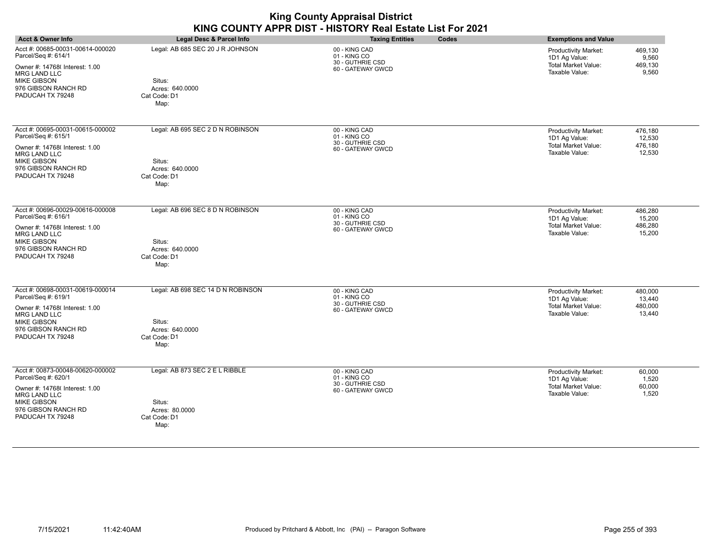| <b>Acct &amp; Owner Info</b>                            | Legal Desc & Parcel Info          | <b>Taxing Entities</b><br>Codes                       | <b>Exemptions and Value</b>                                      |
|---------------------------------------------------------|-----------------------------------|-------------------------------------------------------|------------------------------------------------------------------|
| Acct #: 00685-00031-00614-000020                        | Legal: AB 685 SEC 20 J R JOHNSON  | 00 - KING CAD                                         | <b>Productivity Market:</b><br>469,130                           |
| Parcel/Seq #: 614/1<br>Owner #: 14768(Interest: 1.00    |                                   | 01 - KING CO<br>30 - GUTHRIE CSD<br>60 - GATEWAY GWCD | 1D1 Ag Value:<br>9,560<br><b>Total Market Value:</b><br>469,130  |
| <b>MRG LAND LLC</b><br><b>MIKE GIBSON</b>               | Situs:                            |                                                       | Taxable Value:<br>9.560                                          |
| 976 GIBSON RANCH RD<br>PADUCAH TX 79248                 | Acres: 640.0000<br>Cat Code: D1   |                                                       |                                                                  |
|                                                         | Map:                              |                                                       |                                                                  |
| Acct #: 00695-00031-00615-000002<br>Parcel/Seq #: 615/1 | Legal: AB 695 SEC 2 D N ROBINSON  | 00 - KING CAD<br>01 - KING CO                         | <b>Productivity Market:</b><br>476,180                           |
| Owner #: 14768( Interest: 1.00                          |                                   | 30 - GUTHRIE CSD<br>60 - GATEWAY GWCD                 | 1D1 Ag Value:<br>12,530<br><b>Total Market Value:</b><br>476,180 |
| <b>MRG LAND LLC</b><br><b>MIKE GIBSON</b>               | Situs:                            |                                                       | Taxable Value:<br>12,530                                         |
| 976 GIBSON RANCH RD<br>PADUCAH TX 79248                 | Acres: 640,0000<br>Cat Code: D1   |                                                       |                                                                  |
|                                                         | Map:                              |                                                       |                                                                  |
| Acct #: 00696-00029-00616-000008<br>Parcel/Seq #: 616/1 | Legal: AB 696 SEC 8 D N ROBINSON  | 00 - KING CAD<br>01 - KING CO                         | 486,280<br>Productivity Market:                                  |
| Owner #: 14768(Interest: 1.00                           |                                   | 30 - GUTHRIE CSD<br>60 - GATEWAY GWCD                 | 1D1 Ag Value:<br>15,200<br>Total Market Value:<br>486,280        |
| MRG LAND LLC<br><b>MIKE GIBSON</b>                      | Situs:                            |                                                       | Taxable Value:<br>15,200                                         |
| 976 GIBSON RANCH RD<br>PADUCAH TX 79248                 | Acres: 640.0000<br>Cat Code: D1   |                                                       |                                                                  |
|                                                         | Map:                              |                                                       |                                                                  |
| Acct #: 00698-00031-00619-000014<br>Parcel/Seq #: 619/1 | Legal: AB 698 SEC 14 D N ROBINSON | 00 - KING CAD<br>01 - KING CO                         | <b>Productivity Market:</b><br>480,000                           |
| Owner #: 14768( Interest: 1.00                          |                                   | 30 - GUTHRIE CSD<br>60 - GATEWAY GWCD                 | 1D1 Ag Value:<br>13,440<br><b>Total Market Value:</b><br>480,000 |
| <b>MRG LAND LLC</b><br><b>MIKE GIBSON</b>               | Situs:                            |                                                       | Taxable Value:<br>13,440                                         |
| 976 GIBSON RANCH RD<br>PADUCAH TX 79248                 | Acres: 640,0000                   |                                                       |                                                                  |
|                                                         | Cat Code: D1<br>Map:              |                                                       |                                                                  |
| Acct #: 00873-00048-00620-000002                        | Legal: AB 873 SEC 2 E L RIBBLE    | 00 - KING CAD                                         | Productivity Market:<br>60,000                                   |
| Parcel/Seq #: 620/1                                     |                                   | 01 - KING CO<br>30 - GUTHRIE CSD                      | 1D1 Ag Value:<br>1,520<br><b>Total Market Value:</b>             |
| Owner #: 14768( Interest: 1.00<br><b>MRG LAND LLC</b>   |                                   | 60 - GATEWAY GWCD                                     | 60,000<br>Taxable Value:<br>1,520                                |
| <b>MIKE GIBSON</b><br>976 GIBSON RANCH RD               | Situs:<br>Acres: 80.0000          |                                                       |                                                                  |
| PADUCAH TX 79248                                        | Cat Code: D1<br>Map:              |                                                       |                                                                  |
|                                                         |                                   |                                                       |                                                                  |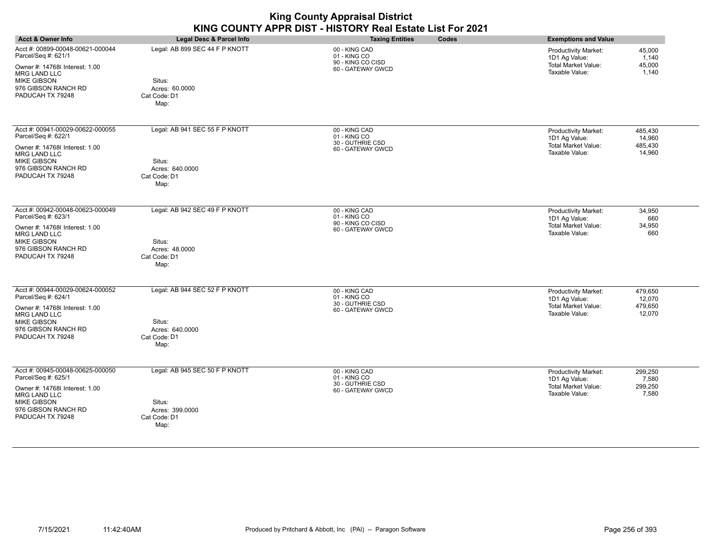| <b>Acct &amp; Owner Info</b>                                                                                                                                                      | Legal Desc & Parcel Info                                                            | <b>Taxing Entities</b><br>Codes                                         | <b>Exemptions and Value</b>                                                                                                            |
|-----------------------------------------------------------------------------------------------------------------------------------------------------------------------------------|-------------------------------------------------------------------------------------|-------------------------------------------------------------------------|----------------------------------------------------------------------------------------------------------------------------------------|
| Acct #: 00899-00048-00621-000044<br>Parcel/Seq #: 621/1<br>Owner #: 14768( Interest: 1.00<br><b>MRG LAND LLC</b><br><b>MIKE GIBSON</b><br>976 GIBSON RANCH RD<br>PADUCAH TX 79248 | Legal: AB 899 SEC 44 F P KNOTT<br>Situs:<br>Acres: 60.0000<br>Cat Code: D1<br>Map:  | 00 - KING CAD<br>01 - KING CO<br>90 - KING CO CISD<br>60 - GATEWAY GWCD | 45,000<br><b>Productivity Market:</b><br>1,140<br>1D1 Ag Value:<br><b>Total Market Value:</b><br>45,000<br>Taxable Value:<br>1,140     |
| Acct #: 00941-00029-00622-000055<br>Parcel/Seq #: 622/1<br>Owner #: 14768( Interest: 1.00<br><b>MRG LAND LLC</b><br><b>MIKE GIBSON</b><br>976 GIBSON RANCH RD<br>PADUCAH TX 79248 | Legal: AB 941 SEC 55 F P KNOTT<br>Situs:<br>Acres: 640,0000<br>Cat Code: D1<br>Map: | 00 - KING CAD<br>01 - KING CO<br>30 - GUTHRIE CSD<br>60 - GATEWAY GWCD  | <b>Productivity Market:</b><br>485,430<br>1D1 Ag Value:<br>14,960<br><b>Total Market Value:</b><br>485,430<br>Taxable Value:<br>14,960 |
| Acct #: 00942-00048-00623-000049<br>Parcel/Seq #: 623/1<br>Owner #: 14768(Interest: 1.00<br><b>MRG LAND LLC</b><br><b>MIKE GIBSON</b><br>976 GIBSON RANCH RD<br>PADUCAH TX 79248  | Legal: AB 942 SEC 49 F P KNOTT<br>Situs:<br>Acres: 48.0000<br>Cat Code: D1<br>Map:  | 00 - KING CAD<br>01 - KING CO<br>90 - KING CO CISD<br>60 - GATEWAY GWCD | Productivity Market:<br>34,950<br>1D1 Ag Value:<br>660<br><b>Total Market Value:</b><br>34,950<br>Taxable Value:<br>660                |
| Acct #: 00944-00029-00624-000052<br>Parcel/Seq #: 624/1<br>Owner #: 14768( Interest: 1.00<br><b>MRG LAND LLC</b><br><b>MIKE GIBSON</b><br>976 GIBSON RANCH RD<br>PADUCAH TX 79248 | Legal: AB 944 SEC 52 F P KNOTT<br>Situs:<br>Acres: 640.0000<br>Cat Code: D1<br>Map: | 00 - KING CAD<br>01 - KING CO<br>30 - GUTHRIE CSD<br>60 - GATEWAY GWCD  | Productivity Market:<br>479,650<br>1D1 Ag Value:<br>12,070<br><b>Total Market Value:</b><br>479,650<br>Taxable Value:<br>12,070        |
| Acct #: 00945-00048-00625-000050<br>Parcel/Seq #: 625/1<br>Owner #: 14768(Interest: 1.00<br><b>MRG LAND LLC</b><br><b>MIKE GIBSON</b><br>976 GIBSON RANCH RD<br>PADUCAH TX 79248  | Legal: AB 945 SEC 50 F P KNOTT<br>Situs:<br>Acres: 399,0000<br>Cat Code: D1<br>Map: | 00 - KING CAD<br>01 - KING CO<br>30 - GUTHRIE CSD<br>60 - GATEWAY GWCD  | 299,250<br>Productivity Market:<br>1D1 Ag Value:<br>7,580<br><b>Total Market Value:</b><br>299,250<br>Taxable Value:<br>7,580          |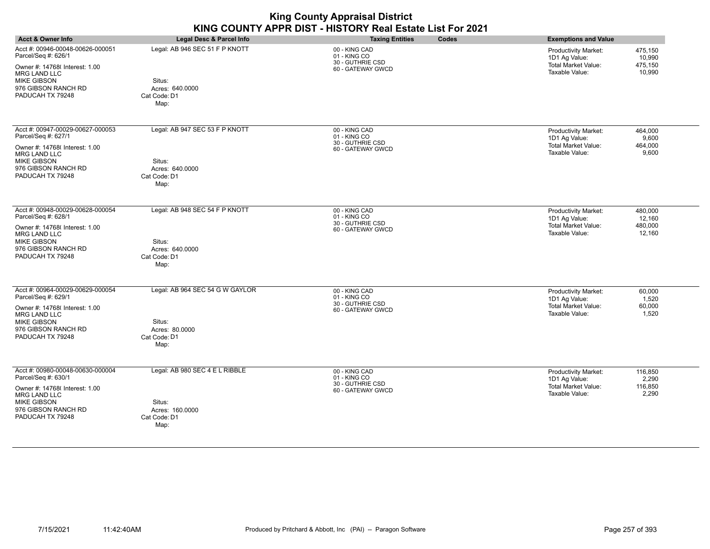| <b>Acct &amp; Owner Info</b>                                                                                                                                                      | Legal Desc & Parcel Info                                                            | <b>Taxing Entities</b><br>Codes                                        | <b>Exemptions and Value</b>                                                                                                          |
|-----------------------------------------------------------------------------------------------------------------------------------------------------------------------------------|-------------------------------------------------------------------------------------|------------------------------------------------------------------------|--------------------------------------------------------------------------------------------------------------------------------------|
| Acct #: 00946-00048-00626-000051<br>Parcel/Seq #: 626/1<br>Owner #: 14768( Interest: 1.00<br><b>MRG LAND LLC</b><br><b>MIKE GIBSON</b><br>976 GIBSON RANCH RD<br>PADUCAH TX 79248 | Legal: AB 946 SEC 51 F P KNOTT<br>Situs:<br>Acres: 640,0000<br>Cat Code: D1<br>Map: | 00 - KING CAD<br>01 - KING CO<br>30 - GUTHRIE CSD<br>60 - GATEWAY GWCD | Productivity Market:<br>475,150<br>1D1 Ag Value:<br>10,990<br><b>Total Market Value:</b><br>475,150<br>Taxable Value:<br>10,990      |
| Acct #: 00947-00029-00627-000053<br>Parcel/Seq #: 627/1<br>Owner #: 14768(Interest: 1.00<br><b>MRG LAND LLC</b><br><b>MIKE GIBSON</b><br>976 GIBSON RANCH RD<br>PADUCAH TX 79248  | Legal: AB 947 SEC 53 F P KNOTT<br>Situs:<br>Acres: 640.0000<br>Cat Code: D1<br>Map: | 00 - KING CAD<br>01 - KING CO<br>30 - GUTHRIE CSD<br>60 - GATEWAY GWCD | Productivity Market:<br>464,000<br>9,600<br>1D1 Ag Value:<br><b>Total Market Value:</b><br>464,000<br>Taxable Value:<br>9,600        |
| Acct #: 00948-00029-00628-000054<br>Parcel/Seq #: 628/1<br>Owner #: 14768( Interest: 1.00<br><b>MRG LAND LLC</b><br><b>MIKE GIBSON</b><br>976 GIBSON RANCH RD<br>PADUCAH TX 79248 | Legal: AB 948 SEC 54 F P KNOTT<br>Situs:<br>Acres: 640.0000<br>Cat Code: D1<br>Map: | 00 - KING CAD<br>01 - KING CO<br>30 - GUTHRIE CSD<br>60 - GATEWAY GWCD | 480,000<br>Productivity Market:<br>1D1 Ag Value:<br>12,160<br><b>Total Market Value:</b><br>480,000<br>Taxable Value:<br>12,160      |
| Acct #: 00964-00029-00629-000054<br>Parcel/Seq #: 629/1<br>Owner #: 14768( Interest: 1.00<br><b>MRG LAND LLC</b><br><b>MIKE GIBSON</b><br>976 GIBSON RANCH RD<br>PADUCAH TX 79248 | Legal: AB 964 SEC 54 G W GAYLOR<br>Situs:<br>Acres: 80.0000<br>Cat Code: D1<br>Map: | 00 - KING CAD<br>01 - KING CO<br>30 - GUTHRIE CSD<br>60 - GATEWAY GWCD | Productivity Market:<br>60,000<br>1D1 Ag Value:<br>1,520<br>Total Market Value:<br>60,000<br>Taxable Value:<br>1,520                 |
| Acct #: 00980-00048-00630-000004<br>Parcel/Seq #: 630/1<br>Owner #: 14768(Interest: 1.00<br><b>MRG LAND LLC</b><br><b>MIKE GIBSON</b><br>976 GIBSON RANCH RD<br>PADUCAH TX 79248  | Legal: AB 980 SEC 4 E L RIBBLE<br>Situs:<br>Acres: 160,0000<br>Cat Code: D1<br>Map: | 00 - KING CAD<br>01 - KING CO<br>30 - GUTHRIE CSD<br>60 - GATEWAY GWCD | 116,850<br><b>Productivity Market:</b><br>1D1 Ag Value:<br>2,290<br><b>Total Market Value:</b><br>116,850<br>2,290<br>Taxable Value: |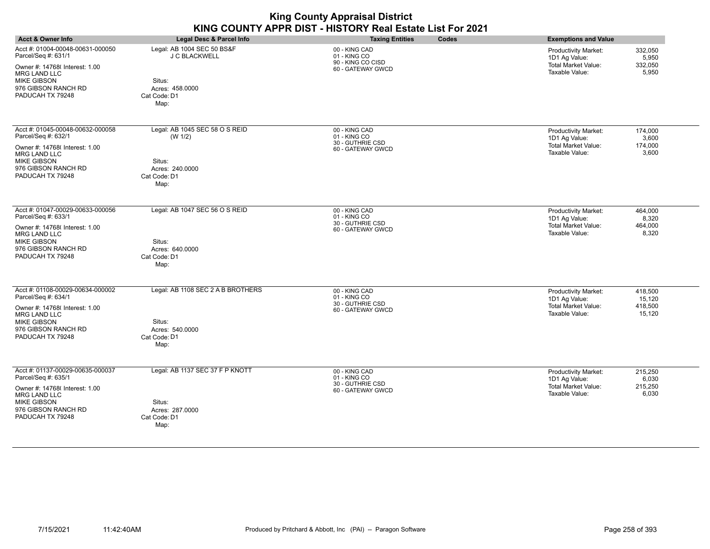|                                                                                                                                                                                   |                                                                                                  | <b>King County Appraisal District</b><br>KING COUNTY APPR DIST - HISTORY Real Estate List For 2021 |                                                                                                                                 |
|-----------------------------------------------------------------------------------------------------------------------------------------------------------------------------------|--------------------------------------------------------------------------------------------------|----------------------------------------------------------------------------------------------------|---------------------------------------------------------------------------------------------------------------------------------|
| <b>Acct &amp; Owner Info</b>                                                                                                                                                      | Legal Desc & Parcel Info                                                                         | <b>Taxing Entities</b><br>Codes                                                                    | <b>Exemptions and Value</b>                                                                                                     |
| Acct #: 01004-00048-00631-000050<br>Parcel/Seq #: 631/1<br>Owner #: 14768(Interest: 1.00<br><b>MRG LAND LLC</b><br><b>MIKE GIBSON</b><br>976 GIBSON RANCH RD<br>PADUCAH TX 79248  | Legal: AB 1004 SEC 50 BS&F<br>J C BLACKWELL<br>Situs:<br>Acres: 458.0000<br>Cat Code: D1<br>Map: | 00 - KING CAD<br>01 - KING CO<br>90 - KING CO CISD<br>60 - GATEWAY GWCD                            | Productivity Market:<br>332,050<br>1D1 Ag Value:<br>5.950<br><b>Total Market Value:</b><br>332,050<br>Taxable Value:<br>5,950   |
| Acct #: 01045-00048-00632-000058<br>Parcel/Seq #: 632/1<br>Owner #: 14768( Interest: 1.00<br><b>MRG LAND LLC</b><br><b>MIKE GIBSON</b><br>976 GIBSON RANCH RD<br>PADUCAH TX 79248 | Legal: AB 1045 SEC 58 O S REID<br>(W 1/2)<br>Situs:<br>Acres: 240.0000<br>Cat Code: D1<br>Map:   | 00 - KING CAD<br>01 - KING CO<br>30 - GUTHRIE CSD<br>60 - GATEWAY GWCD                             | 174,000<br>Productivity Market:<br>1D1 Ag Value:<br>3,600<br><b>Total Market Value:</b><br>174,000<br>Taxable Value:<br>3,600   |
| Acct #: 01047-00029-00633-000056<br>Parcel/Seq #: 633/1<br>Owner #: 14768(Interest: 1.00<br><b>MRG LAND LLC</b><br><b>MIKE GIBSON</b><br>976 GIBSON RANCH RD<br>PADUCAH TX 79248  | Legal: AB 1047 SEC 56 O S REID<br>Situs:<br>Acres: 640.0000<br>Cat Code: D1<br>Map:              | 00 - KING CAD<br>01 - KING CO<br>30 - GUTHRIE CSD<br>60 - GATEWAY GWCD                             | Productivity Market:<br>464,000<br>1D1 Ag Value:<br>8,320<br><b>Total Market Value:</b><br>464,000<br>Taxable Value:<br>8,320   |
| Acct #: 01108-00029-00634-000002<br>Parcel/Seq #: 634/1<br>Owner #: 14768( Interest: 1.00<br>MRG LAND LLC<br><b>MIKE GIBSON</b><br>976 GIBSON RANCH RD<br>PADUCAH TX 79248        | Legal: AB 1108 SEC 2 A B BROTHERS<br>Situs:<br>Acres: 540.0000<br>Cat Code: D1<br>Map:           | 00 - KING CAD<br>01 - KING CO<br>30 - GUTHRIE CSD<br>60 - GATEWAY GWCD                             | Productivity Market:<br>418,500<br>1D1 Ag Value:<br>15.120<br><b>Total Market Value:</b><br>418,500<br>Taxable Value:<br>15,120 |
| Acct #: 01137-00029-00635-000037<br>Parcel/Seq #: 635/1<br>Owner #: 14768(Interest: 1.00<br><b>MRG LAND LLC</b><br><b>MIKE GIBSON</b><br>976 GIBSON RANCH RD<br>PADUCAH TX 79248  | Legal: AB 1137 SEC 37 F P KNOTT<br>Situs:<br>Acres: 287.0000<br>Cat Code: D1<br>Map:             | 00 - KING CAD<br>01 - KING CO<br>30 - GUTHRIE CSD<br>60 - GATEWAY GWCD                             | 215,250<br>Productivity Market:<br>1D1 Ag Value:<br>6,030<br><b>Total Market Value:</b><br>215,250<br>Taxable Value:<br>6.030   |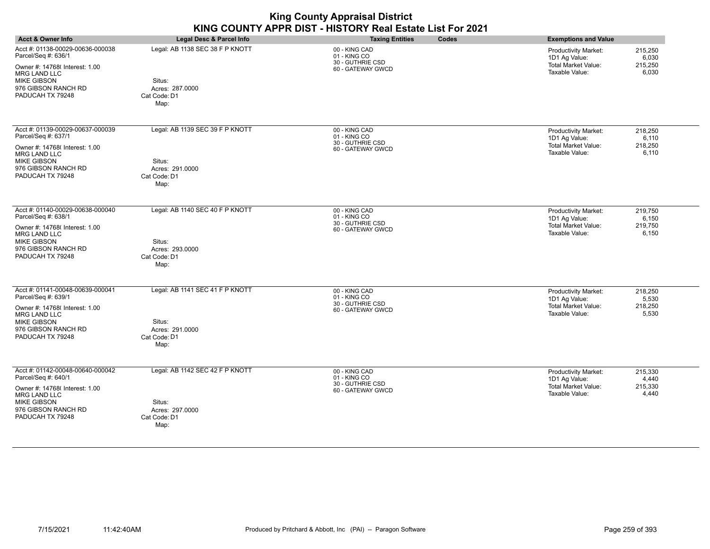| <b>Acct &amp; Owner Info</b>                                                                                                                                                      | Legal Desc & Parcel Info                                                             | <b>Taxing Entities</b><br>Codes                                        | <b>Exemptions and Value</b>                                                                                                          |
|-----------------------------------------------------------------------------------------------------------------------------------------------------------------------------------|--------------------------------------------------------------------------------------|------------------------------------------------------------------------|--------------------------------------------------------------------------------------------------------------------------------------|
| Acct #: 01138-00029-00636-000038<br>Parcel/Seq #: 636/1<br>Owner #: 14768( Interest: 1.00<br><b>MRG LAND LLC</b><br><b>MIKE GIBSON</b><br>976 GIBSON RANCH RD<br>PADUCAH TX 79248 | Legal: AB 1138 SEC 38 F P KNOTT<br>Situs:<br>Acres: 287.0000<br>Cat Code: D1<br>Map: | 00 - KING CAD<br>01 - KING CO<br>30 - GUTHRIE CSD<br>60 - GATEWAY GWCD | 215,250<br><b>Productivity Market:</b><br>1D1 Ag Value:<br>6,030<br><b>Total Market Value:</b><br>215,250<br>Taxable Value:<br>6,030 |
| Acct #: 01139-00029-00637-000039<br>Parcel/Seq #: 637/1<br>Owner #: 14768( Interest: 1.00<br><b>MRG LAND LLC</b><br><b>MIKE GIBSON</b><br>976 GIBSON RANCH RD<br>PADUCAH TX 79248 | Legal: AB 1139 SEC 39 F P KNOTT<br>Situs:<br>Acres: 291.0000<br>Cat Code: D1<br>Map: | 00 - KING CAD<br>01 - KING CO<br>30 - GUTHRIE CSD<br>60 - GATEWAY GWCD | 218,250<br><b>Productivity Market:</b><br>6,110<br>1D1 Ag Value:<br>Total Market Value:<br>218,250<br>Taxable Value:<br>6,110        |
| Acct #: 01140-00029-00638-000040<br>Parcel/Seq #: 638/1<br>Owner #: 14768( Interest: 1.00<br><b>MRG LAND LLC</b><br><b>MIKE GIBSON</b><br>976 GIBSON RANCH RD<br>PADUCAH TX 79248 | Legal: AB 1140 SEC 40 F P KNOTT<br>Situs:<br>Acres: 293,0000<br>Cat Code: D1<br>Map: | 00 - KING CAD<br>01 - KING CO<br>30 - GUTHRIE CSD<br>60 - GATEWAY GWCD | 219,750<br>Productivity Market:<br>1D1 Ag Value:<br>6,150<br>Total Market Value:<br>219,750<br>Taxable Value:<br>6,150               |
| Acct #: 01141-00048-00639-000041<br>Parcel/Seq #: 639/1<br>Owner #: 14768( Interest: 1.00<br><b>MRG LAND LLC</b><br><b>MIKE GIBSON</b><br>976 GIBSON RANCH RD<br>PADUCAH TX 79248 | Legal: AB 1141 SEC 41 F P KNOTT<br>Situs:<br>Acres: 291.0000<br>Cat Code: D1<br>Map: | 00 - KING CAD<br>01 - KING CO<br>30 - GUTHRIE CSD<br>60 - GATEWAY GWCD | <b>Productivity Market:</b><br>218,250<br>1D1 Ag Value:<br>5,530<br><b>Total Market Value:</b><br>218,250<br>Taxable Value:<br>5,530 |
| Acct #: 01142-00048-00640-000042<br>Parcel/Seq #: 640/1<br>Owner #: 14768( Interest: 1.00<br><b>MRG LAND LLC</b><br><b>MIKE GIBSON</b><br>976 GIBSON RANCH RD<br>PADUCAH TX 79248 | Legal: AB 1142 SEC 42 F P KNOTT<br>Situs:<br>Acres: 297.0000<br>Cat Code: D1<br>Map: | 00 - KING CAD<br>01 - KING CO<br>30 - GUTHRIE CSD<br>60 - GATEWAY GWCD | Productivity Market:<br>215,330<br>1D1 Ag Value:<br>4,440<br>215,330<br><b>Total Market Value:</b><br>Taxable Value:<br>4,440        |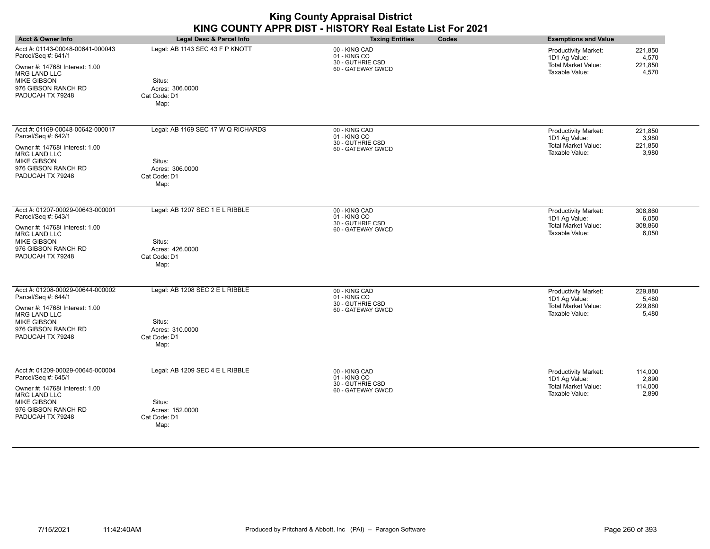| <b>Acct &amp; Owner Info</b>                                                                                                                                                      | Legal Desc & Parcel Info                                                                | <b>Taxing Entities</b><br>Codes                                        | <b>Exemptions and Value</b>                                                                                                          |
|-----------------------------------------------------------------------------------------------------------------------------------------------------------------------------------|-----------------------------------------------------------------------------------------|------------------------------------------------------------------------|--------------------------------------------------------------------------------------------------------------------------------------|
| Acct #: 01143-00048-00641-000043<br>Parcel/Seq #: 641/1<br>Owner #: 14768( Interest: 1.00<br><b>MRG LAND LLC</b><br><b>MIKE GIBSON</b><br>976 GIBSON RANCH RD<br>PADUCAH TX 79248 | Legal: AB 1143 SEC 43 F P KNOTT<br>Situs:<br>Acres: 306.0000<br>Cat Code: D1<br>Map:    | 00 - KING CAD<br>01 - KING CO<br>30 - GUTHRIE CSD<br>60 - GATEWAY GWCD | Productivity Market:<br>221,850<br>1D1 Ag Value:<br>4,570<br><b>Total Market Value:</b><br>221,850<br>Taxable Value:<br>4,570        |
| Acct #: 01169-00048-00642-000017<br>Parcel/Seq #: 642/1<br>Owner #: 14768(Interest: 1.00<br><b>MRG LAND LLC</b><br><b>MIKE GIBSON</b><br>976 GIBSON RANCH RD<br>PADUCAH TX 79248  | Legal: AB 1169 SEC 17 W Q RICHARDS<br>Situs:<br>Acres: 306.0000<br>Cat Code: D1<br>Map: | 00 - KING CAD<br>01 - KING CO<br>30 - GUTHRIE CSD<br>60 - GATEWAY GWCD | 221,850<br>Productivity Market:<br>1D1 Ag Value:<br>3,980<br>Total Market Value:<br>221,850<br>Taxable Value:<br>3,980               |
| Acct #: 01207-00029-00643-000001<br>Parcel/Seq #: 643/1<br>Owner #: 14768(Interest: 1.00<br>MRG LAND LLC<br><b>MIKE GIBSON</b><br>976 GIBSON RANCH RD<br>PADUCAH TX 79248         | Legal: AB 1207 SEC 1 E L RIBBLE<br>Situs:<br>Acres: 426.0000<br>Cat Code: D1<br>Map:    | 00 - KING CAD<br>01 - KING CO<br>30 - GUTHRIE CSD<br>60 - GATEWAY GWCD | 308,860<br><b>Productivity Market:</b><br>1D1 Ag Value:<br>6,050<br><b>Total Market Value:</b><br>308,860<br>Taxable Value:<br>6,050 |
| Acct #: 01208-00029-00644-000002<br>Parcel/Seq #: 644/1<br>Owner #: 14768( Interest: 1.00<br><b>MRG LAND LLC</b><br><b>MIKE GIBSON</b><br>976 GIBSON RANCH RD<br>PADUCAH TX 79248 | Legal: AB 1208 SEC 2 E L RIBBLE<br>Situs:<br>Acres: 310.0000<br>Cat Code: D1<br>Map:    | 00 - KING CAD<br>01 - KING CO<br>30 - GUTHRIE CSD<br>60 - GATEWAY GWCD | <b>Productivity Market:</b><br>229,880<br>1D1 Ag Value:<br>5,480<br>Total Market Value:<br>229,880<br>Taxable Value:<br>5,480        |
| Acct #: 01209-00029-00645-000004<br>Parcel/Seq #: 645/1<br>Owner #: 14768( Interest: 1.00<br><b>MRG LAND LLC</b><br><b>MIKE GIBSON</b><br>976 GIBSON RANCH RD<br>PADUCAH TX 79248 | Legal: AB 1209 SEC 4 E L RIBBLE<br>Situs:<br>Acres: 152.0000<br>Cat Code: D1<br>Map:    | 00 - KING CAD<br>01 - KING CO<br>30 - GUTHRIE CSD<br>60 - GATEWAY GWCD | Productivity Market:<br>114,000<br>1D1 Ag Value:<br>2,890<br>114,000<br><b>Total Market Value:</b><br>2,890<br>Taxable Value:        |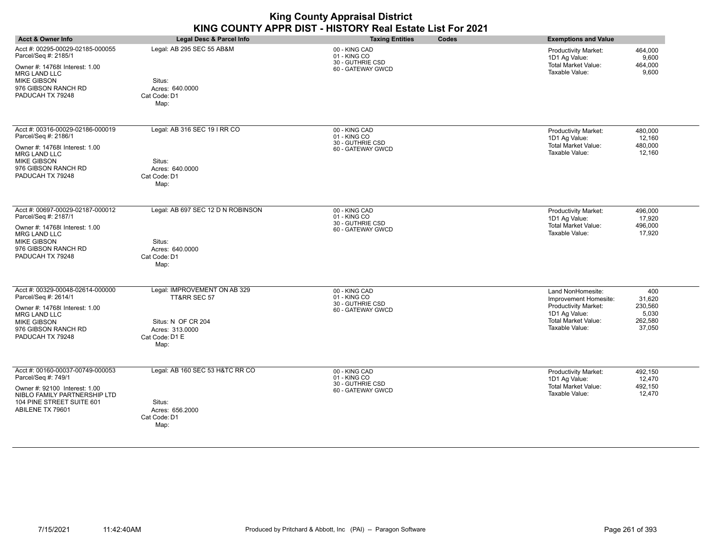| <b>Acct &amp; Owner Info</b>                                                                                                                                                       | Legal Desc & Parcel Info                                                                                        | Codes<br><b>Taxing Entities</b>                                        | <b>Exemptions and Value</b>                                                                                                                                                                   |
|------------------------------------------------------------------------------------------------------------------------------------------------------------------------------------|-----------------------------------------------------------------------------------------------------------------|------------------------------------------------------------------------|-----------------------------------------------------------------------------------------------------------------------------------------------------------------------------------------------|
| Acct #: 00295-00029-02185-000055<br>Parcel/Seq #: 2185/1<br>Owner #: 14768(Interest: 1.00<br><b>MRG LAND LLC</b><br><b>MIKE GIBSON</b><br>976 GIBSON RANCH RD<br>PADUCAH TX 79248  | Legal: AB 295 SEC 55 AB&M<br>Situs:<br>Acres: 640,0000<br>Cat Code: D1<br>Map:                                  | 00 - KING CAD<br>01 - KING CO<br>30 - GUTHRIE CSD<br>60 - GATEWAY GWCD | 464,000<br>Productivity Market:<br>1D1 Ag Value:<br>9,600<br><b>Total Market Value:</b><br>464,000<br>Taxable Value:<br>9,600                                                                 |
| Acct #: 00316-00029-02186-000019<br>Parcel/Seq #: 2186/1<br>Owner #: 14768( Interest: 1.00<br><b>MRG LAND LLC</b><br><b>MIKE GIBSON</b><br>976 GIBSON RANCH RD<br>PADUCAH TX 79248 | Legal: AB 316 SEC 19 I RR CO<br>Situs:<br>Acres: 640.0000<br>Cat Code: D1<br>Map:                               | 00 - KING CAD<br>01 - KING CO<br>30 - GUTHRIE CSD<br>60 - GATEWAY GWCD | 480,000<br>Productivity Market:<br>1D1 Ag Value:<br>12,160<br><b>Total Market Value:</b><br>480,000<br>Taxable Value:<br>12,160                                                               |
| Acct #: 00697-00029-02187-000012<br>Parcel/Seq #: 2187/1<br>Owner #: 14768(Interest: 1.00<br>MRG LAND LLC<br><b>MIKE GIBSON</b><br>976 GIBSON RANCH RD<br>PADUCAH TX 79248         | Legal: AB 697 SEC 12 D N ROBINSON<br>Situs:<br>Acres: 640.0000<br>Cat Code: D1<br>Map:                          | 00 - KING CAD<br>01 - KING CO<br>30 - GUTHRIE CSD<br>60 - GATEWAY GWCD | Productivity Market:<br>496,000<br>1D1 Ag Value:<br>17,920<br><b>Total Market Value:</b><br>496,000<br>Taxable Value:<br>17,920                                                               |
| Acct #: 00329-00048-02614-000000<br>Parcel/Seq #: 2614/1<br>Owner #: 14768( Interest: 1.00<br><b>MRG LAND LLC</b><br><b>MIKE GIBSON</b><br>976 GIBSON RANCH RD<br>PADUCAH TX 79248 | Legal: IMPROVEMENT ON AB 329<br>TT&RR SEC 57<br>Situs: N OF CR 204<br>Acres: 313,0000<br>Cat Code: D1 E<br>Map: | 00 - KING CAD<br>01 - KING CO<br>30 - GUTHRIE CSD<br>60 - GATEWAY GWCD | 400<br>Land NonHomesite:<br>31,620<br>Improvement Homesite:<br>230,560<br><b>Productivity Market:</b><br>1D1 Ag Value:<br>5,030<br>Total Market Value:<br>262,580<br>37,050<br>Taxable Value: |
| Acct #: 00160-00037-00749-000053<br>Parcel/Seq #: 749/1<br>Owner #: 92100 Interest: 1.00<br>NIBLO FAMILY PARTNERSHIP LTD<br>104 PINE STREET SUITE 601<br>ABILENE TX 79601          | Legal: AB 160 SEC 53 H&TC RR CO<br>Situs:<br>Acres: 656.2000<br>Cat Code: D1<br>Map:                            | 00 - KING CAD<br>01 - KING CO<br>30 - GUTHRIE CSD<br>60 - GATEWAY GWCD | 492,150<br>Productivity Market:<br>1D1 Ag Value:<br>12,470<br>Total Market Value:<br>492,150<br>Taxable Value:<br>12,470                                                                      |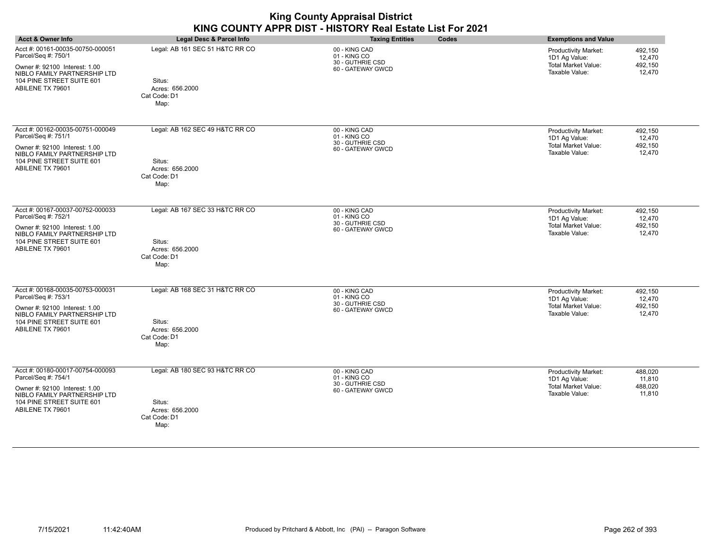|                                                                                                                                                                           |                                                                                      | <b>King County Appraisal District</b><br>KING COUNTY APPR DIST - HISTORY Real Estate List For 2021 |                                                                                                                                        |
|---------------------------------------------------------------------------------------------------------------------------------------------------------------------------|--------------------------------------------------------------------------------------|----------------------------------------------------------------------------------------------------|----------------------------------------------------------------------------------------------------------------------------------------|
| <b>Acct &amp; Owner Info</b>                                                                                                                                              | Legal Desc & Parcel Info                                                             | <b>Taxing Entities</b><br>Codes                                                                    | <b>Exemptions and Value</b>                                                                                                            |
| Acct #: 00161-00035-00750-000051<br>Parcel/Seq #: 750/1<br>Owner #: 92100 Interest: 1.00<br>NIBLO FAMILY PARTNERSHIP LTD<br>104 PINE STREET SUITE 601<br>ABILENE TX 79601 | Legal: AB 161 SEC 51 H&TC RR CO<br>Situs:<br>Acres: 656.2000<br>Cat Code: D1<br>Map: | 00 - KING CAD<br>01 - KING CO<br>30 - GUTHRIE CSD<br>60 - GATEWAY GWCD                             | <b>Productivity Market:</b><br>492,150<br>1D1 Ag Value:<br>12,470<br><b>Total Market Value:</b><br>492,150<br>Taxable Value:<br>12,470 |
| Acct #: 00162-00035-00751-000049<br>Parcel/Seq #: 751/1<br>Owner #: 92100 Interest: 1.00<br>NIBLO FAMILY PARTNERSHIP LTD<br>104 PINE STREET SUITE 601<br>ABILENE TX 79601 | Legal: AB 162 SEC 49 H&TC RR CO<br>Situs:<br>Acres: 656.2000<br>Cat Code: D1<br>Map: | 00 - KING CAD<br>01 - KING CO<br>30 - GUTHRIE CSD<br>60 - GATEWAY GWCD                             | Productivity Market:<br>492,150<br>1D1 Ag Value:<br>12,470<br><b>Total Market Value:</b><br>492,150<br>Taxable Value:<br>12,470        |
| Acct #: 00167-00037-00752-000033<br>Parcel/Seq #: 752/1<br>Owner #: 92100 Interest: 1.00<br>NIBLO FAMILY PARTNERSHIP LTD<br>104 PINE STREET SUITE 601<br>ABILENE TX 79601 | Legal: AB 167 SEC 33 H&TC RR CO<br>Situs:<br>Acres: 656.2000<br>Cat Code: D1<br>Map: | 00 - KING CAD<br>01 - KING CO<br>30 - GUTHRIE CSD<br>60 - GATEWAY GWCD                             | Productivity Market:<br>492,150<br>12,470<br>1D1 Ag Value:<br>Total Market Value:<br>492,150<br>Taxable Value:<br>12,470               |
| Acct #: 00168-00035-00753-000031<br>Parcel/Seq #: 753/1<br>Owner #: 92100 Interest: 1.00<br>NIBLO FAMILY PARTNERSHIP LTD<br>104 PINE STREET SUITE 601<br>ABILENE TX 79601 | Legal: AB 168 SEC 31 H&TC RR CO<br>Situs:<br>Acres: 656.2000<br>Cat Code: D1<br>Map: | 00 - KING CAD<br>01 - KING CO<br>30 - GUTHRIE CSD<br>60 - GATEWAY GWCD                             | Productivity Market:<br>492,150<br>1D1 Ag Value:<br>12,470<br>Total Market Value:<br>492,150<br>Taxable Value:<br>12,470               |
| Acct #: 00180-00017-00754-000093<br>Parcel/Seq #: 754/1<br>Owner #: 92100 Interest: 1.00<br>NIBLO FAMILY PARTNERSHIP LTD<br>104 PINE STREET SUITE 601<br>ABILENE TX 79601 | Legal: AB 180 SEC 93 H&TC RR CO<br>Situs:<br>Acres: 656.2000<br>Cat Code: D1<br>Map: | 00 - KING CAD<br>01 - KING CO<br>30 - GUTHRIE CSD<br>60 - GATEWAY GWCD                             | <b>Productivity Market:</b><br>488,020<br>1D1 Ag Value:<br>11,810<br><b>Total Market Value:</b><br>488,020<br>Taxable Value:<br>11,810 |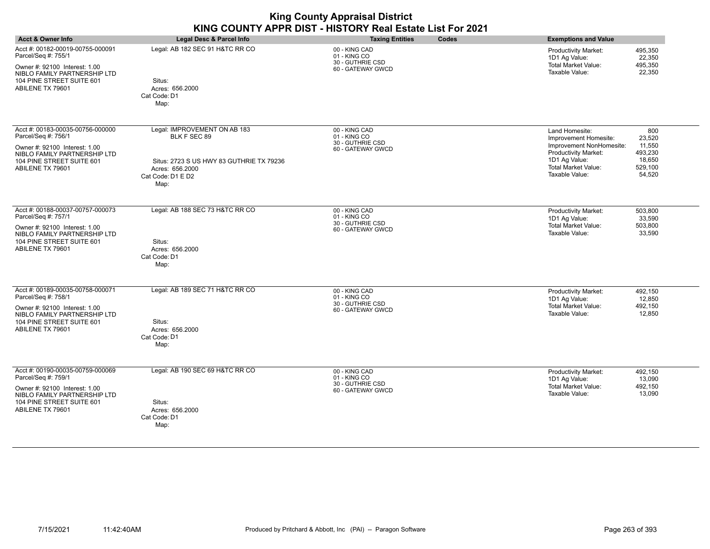| <b>Acct &amp; Owner Info</b>                                                                                                                                              | Legal Desc & Parcel Info                                                                                                                 | <b>Taxing Entities</b><br>Codes                                        | <b>Exemptions and Value</b>                                                                                                                                                                                                       |
|---------------------------------------------------------------------------------------------------------------------------------------------------------------------------|------------------------------------------------------------------------------------------------------------------------------------------|------------------------------------------------------------------------|-----------------------------------------------------------------------------------------------------------------------------------------------------------------------------------------------------------------------------------|
| Acct #: 00182-00019-00755-000091<br>Parcel/Seq #: 755/1<br>Owner #: 92100 Interest: 1.00<br>NIBLO FAMILY PARTNERSHIP LTD<br>104 PINE STREET SUITE 601<br>ABILENE TX 79601 | Legal: AB 182 SEC 91 H&TC RR CO<br>Situs:<br>Acres: 656.2000<br>Cat Code: D1<br>Map:                                                     | 00 - KING CAD<br>01 - KING CO<br>30 - GUTHRIE CSD<br>60 - GATEWAY GWCD | 495,350<br><b>Productivity Market:</b><br>22,350<br>1D1 Ag Value:<br>Total Market Value:<br>495,350<br>Taxable Value:<br>22,350                                                                                                   |
| Acct #: 00183-00035-00756-000000<br>Parcel/Seq #: 756/1<br>Owner #: 92100 Interest: 1.00<br>NIBLO FAMILY PARTNERSHIP LTD<br>104 PINE STREET SUITE 601<br>ABILENE TX 79601 | Legal: IMPROVEMENT ON AB 183<br>BLK F SEC 89<br>Situs: 2723 S US HWY 83 GUTHRIE TX 79236<br>Acres: 656.2000<br>Cat Code: D1 E D2<br>Map: | 00 - KING CAD<br>01 - KING CO<br>30 - GUTHRIE CSD<br>60 - GATEWAY GWCD | Land Homesite:<br>800<br>23,520<br>Improvement Homesite:<br>11,550<br>Improvement NonHomesite:<br><b>Productivity Market:</b><br>493,230<br>18,650<br>1D1 Ag Value:<br>Total Market Value:<br>529,100<br>Taxable Value:<br>54,520 |
| Acct #: 00188-00037-00757-000073<br>Parcel/Seq #: 757/1<br>Owner #: 92100 Interest: 1.00<br>NIBLO FAMILY PARTNERSHIP LTD<br>104 PINE STREET SUITE 601<br>ABILENE TX 79601 | Legal: AB 188 SEC 73 H&TC RR CO<br>Situs:<br>Acres: 656.2000<br>Cat Code: D1<br>Map:                                                     | 00 - KING CAD<br>01 - KING CO<br>30 - GUTHRIE CSD<br>60 - GATEWAY GWCD | 503,800<br><b>Productivity Market:</b><br>1D1 Ag Value:<br>33,590<br><b>Total Market Value:</b><br>503,800<br>Taxable Value:<br>33,590                                                                                            |
| Acct #: 00189-00035-00758-000071<br>Parcel/Seq #: 758/1<br>Owner #: 92100 Interest: 1.00<br>NIBLO FAMILY PARTNERSHIP LTD<br>104 PINE STREET SUITE 601<br>ABILENE TX 79601 | Legal: AB 189 SEC 71 H&TC RR CO<br>Situs:<br>Acres: 656.2000<br>Cat Code: D1<br>Map:                                                     | 00 - KING CAD<br>01 - KING CO<br>30 - GUTHRIE CSD<br>60 - GATEWAY GWCD | <b>Productivity Market:</b><br>492,150<br>1D1 Ag Value:<br>12,850<br>Total Market Value:<br>492,150<br>Taxable Value:<br>12,850                                                                                                   |
| Acct #: 00190-00035-00759-000069<br>Parcel/Seq #: 759/1<br>Owner #: 92100 Interest: 1.00<br>NIBLO FAMILY PARTNERSHIP LTD<br>104 PINE STREET SUITE 601<br>ABILENE TX 79601 | Legal: AB 190 SEC 69 H&TC RR CO<br>Situs:<br>Acres: 656.2000<br>Cat Code: D1<br>Map:                                                     | 00 - KING CAD<br>01 - KING CO<br>30 - GUTHRIE CSD<br>60 - GATEWAY GWCD | Productivity Market:<br>492,150<br>1D1 Ag Value:<br>13,090<br>Total Market Value:<br>492,150<br>Taxable Value:<br>13,090                                                                                                          |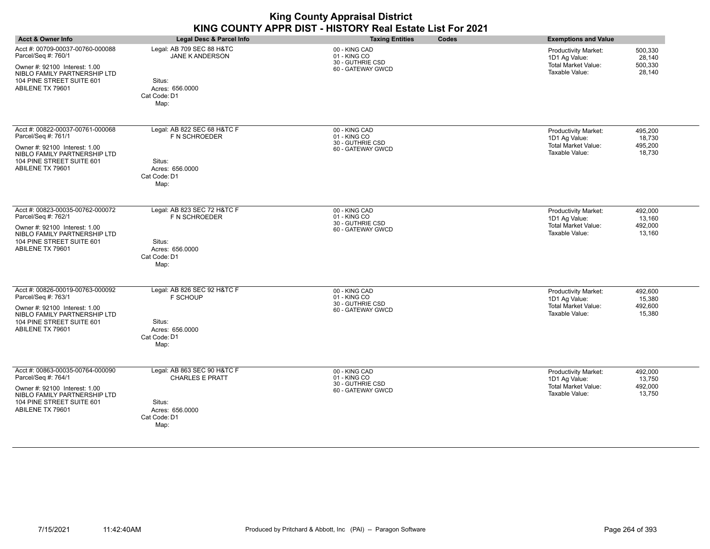|                                                                                                                                                                           |                                                                                                            | <b>King County Appraisal District</b><br>KING COUNTY APPR DIST - HISTORY Real Estate List For 2021 |                                                                                                                                        |
|---------------------------------------------------------------------------------------------------------------------------------------------------------------------------|------------------------------------------------------------------------------------------------------------|----------------------------------------------------------------------------------------------------|----------------------------------------------------------------------------------------------------------------------------------------|
| <b>Acct &amp; Owner Info</b>                                                                                                                                              | <b>Legal Desc &amp; Parcel Info</b>                                                                        | Codes<br><b>Taxing Entities</b>                                                                    | <b>Exemptions and Value</b>                                                                                                            |
| Acct #: 00709-00037-00760-000088<br>Parcel/Seq #: 760/1<br>Owner #: 92100 Interest: 1.00<br>NIBLO FAMILY PARTNERSHIP LTD<br>104 PINE STREET SUITE 601<br>ABILENE TX 79601 | Legal: AB 709 SEC 88 H&TC<br><b>JANE K ANDERSON</b><br>Situs:<br>Acres: 656.0000<br>Cat Code: D1<br>Map:   | 00 - KING CAD<br>01 - KING CO<br>30 - GUTHRIE CSD<br>60 - GATEWAY GWCD                             | <b>Productivity Market:</b><br>500.330<br>1D1 Ag Value:<br>28.140<br><b>Total Market Value:</b><br>500.330<br>Taxable Value:<br>28,140 |
| Acct #: 00822-00037-00761-000068<br>Parcel/Seq #: 761/1<br>Owner #: 92100 Interest: 1.00<br>NIBLO FAMILY PARTNERSHIP LTD<br>104 PINE STREET SUITE 601<br>ABILENE TX 79601 | Legal: AB 822 SEC 68 H&TC F<br>F N SCHROEDER<br>Situs:<br>Acres: 656.0000<br>Cat Code: D1<br>Map:          | 00 - KING CAD<br>01 - KING CO<br>30 - GUTHRIE CSD<br>60 - GATEWAY GWCD                             | <b>Productivity Market:</b><br>495,200<br>1D1 Ag Value:<br>18,730<br><b>Total Market Value:</b><br>495,200<br>Taxable Value:<br>18,730 |
| Acct #: 00823-00035-00762-000072<br>Parcel/Seq #: 762/1<br>Owner #: 92100 Interest: 1.00<br>NIBLO FAMILY PARTNERSHIP LTD<br>104 PINE STREET SUITE 601<br>ABILENE TX 79601 | Legal: AB 823 SEC 72 H&TC F<br>F N SCHROEDER<br>Situs:<br>Acres: 656.0000<br>Cat Code: D1<br>Map:          | 00 - KING CAD<br>01 - KING CO<br>30 - GUTHRIE CSD<br>60 - GATEWAY GWCD                             | <b>Productivity Market:</b><br>492.000<br>1D1 Ag Value:<br>13.160<br>Total Market Value:<br>492.000<br>Taxable Value:<br>13.160        |
| Acct #: 00826-00019-00763-000092<br>Parcel/Seq #: 763/1<br>Owner #: 92100 Interest: 1.00<br>NIBLO FAMILY PARTNERSHIP LTD<br>104 PINE STREET SUITE 601<br>ABILENE TX 79601 | Legal: AB 826 SEC 92 H&TC F<br>F SCHOUP<br>Situs:<br>Acres: 656.0000<br>Cat Code: D1<br>Map:               | 00 - KING CAD<br>01 - KING CO<br>30 - GUTHRIE CSD<br>60 - GATEWAY GWCD                             | Productivity Market:<br>492,600<br>15.380<br>1D1 Ag Value:<br>Total Market Value:<br>492,600<br>Taxable Value:<br>15,380               |
| Acct #: 00863-00035-00764-000090<br>Parcel/Seq #: 764/1<br>Owner #: 92100 Interest: 1.00<br>NIBLO FAMILY PARTNERSHIP LTD<br>104 PINE STREET SUITE 601<br>ABILENE TX 79601 | Legal: AB 863 SEC 90 H&TC F<br><b>CHARLES E PRATT</b><br>Situs:<br>Acres: 656.0000<br>Cat Code: D1<br>Map: | 00 - KING CAD<br>01 - KING CO<br>30 - GUTHRIE CSD<br>60 - GATEWAY GWCD                             | Productivity Market:<br>492.000<br>1D1 Ag Value:<br>13,750<br>Total Market Value:<br>492,000<br>Taxable Value:<br>13,750               |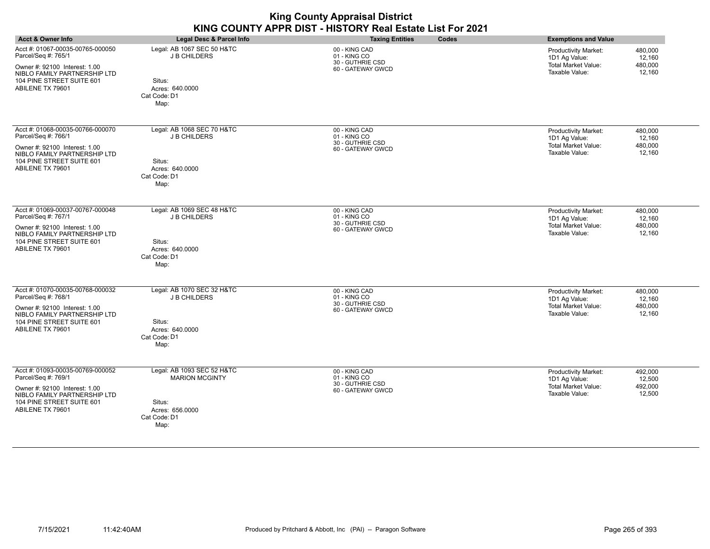| <b>King County Appraisal District</b><br>KING COUNTY APPR DIST - HISTORY Real Estate List For 2021                                                                        |                                                                                                          |                                                                        |                                                                                                                                 |  |
|---------------------------------------------------------------------------------------------------------------------------------------------------------------------------|----------------------------------------------------------------------------------------------------------|------------------------------------------------------------------------|---------------------------------------------------------------------------------------------------------------------------------|--|
| <b>Acct &amp; Owner Info</b>                                                                                                                                              | <b>Legal Desc &amp; Parcel Info</b>                                                                      | <b>Taxing Entities</b><br>Codes                                        | <b>Exemptions and Value</b>                                                                                                     |  |
| Acct #: 01067-00035-00765-000050<br>Parcel/Seq #: 765/1<br>Owner #: 92100 Interest: 1.00<br>NIBLO FAMILY PARTNERSHIP LTD<br>104 PINE STREET SUITE 601<br>ABILENE TX 79601 | Legal: AB 1067 SEC 50 H&TC<br><b>J B CHILDERS</b><br>Situs:<br>Acres: 640,0000<br>Cat Code: D1<br>Map:   | 00 - KING CAD<br>01 - KING CO<br>30 - GUTHRIE CSD<br>60 - GATEWAY GWCD | 480,000<br>Productivity Market:<br>1D1 Ag Value:<br>12.160<br><b>Total Market Value:</b><br>480.000<br>Taxable Value:<br>12,160 |  |
| Acct #: 01068-00035-00766-000070<br>Parcel/Seq #: 766/1<br>Owner #: 92100 Interest: 1.00<br>NIBLO FAMILY PARTNERSHIP LTD<br>104 PINE STREET SUITE 601<br>ABILENE TX 79601 | Legal: AB 1068 SEC 70 H&TC<br><b>J B CHILDERS</b><br>Situs:<br>Acres: 640.0000<br>Cat Code: D1<br>Map:   | 00 - KING CAD<br>01 - KING CO<br>30 - GUTHRIE CSD<br>60 - GATEWAY GWCD | Productivity Market:<br>480,000<br>1D1 Ag Value:<br>12,160<br><b>Total Market Value:</b><br>480,000<br>Taxable Value:<br>12,160 |  |
| Acct #: 01069-00037-00767-000048<br>Parcel/Seq #: 767/1<br>Owner #: 92100 Interest: 1.00<br>NIBLO FAMILY PARTNERSHIP LTD<br>104 PINE STREET SUITE 601<br>ABILENE TX 79601 | Legal: AB 1069 SEC 48 H&TC<br><b>J B CHILDERS</b><br>Situs:<br>Acres: 640.0000<br>Cat Code: D1<br>Map:   | 00 - KING CAD<br>01 - KING CO<br>30 - GUTHRIE CSD<br>60 - GATEWAY GWCD | Productivity Market:<br>480,000<br>1D1 Ag Value:<br>12,160<br><b>Total Market Value:</b><br>480.000<br>Taxable Value:<br>12.160 |  |
| Acct #: 01070-00035-00768-000032<br>Parcel/Seq #: 768/1<br>Owner #: 92100 Interest: 1.00<br>NIBLO FAMILY PARTNERSHIP LTD<br>104 PINE STREET SUITE 601<br>ABILENE TX 79601 | Legal: AB 1070 SEC 32 H&TC<br><b>J B CHILDERS</b><br>Situs:<br>Acres: 640.0000<br>Cat Code: D1<br>Map:   | 00 - KING CAD<br>01 - KING CO<br>30 - GUTHRIE CSD<br>60 - GATEWAY GWCD | <b>Productivity Market:</b><br>480,000<br>1D1 Ag Value:<br>12,160<br>Total Market Value:<br>480,000<br>Taxable Value:<br>12,160 |  |
| Acct #: 01093-00035-00769-000052<br>Parcel/Seq #: 769/1<br>Owner #: 92100 Interest: 1.00<br>NIBLO FAMILY PARTNERSHIP LTD<br>104 PINE STREET SUITE 601<br>ABILENE TX 79601 | Legal: AB 1093 SEC 52 H&TC<br><b>MARION MCGINTY</b><br>Situs:<br>Acres: 656,0000<br>Cat Code: D1<br>Map: | 00 - KING CAD<br>01 - KING CO<br>30 - GUTHRIE CSD<br>60 - GATEWAY GWCD | Productivity Market:<br>492,000<br>1D1 Ag Value:<br>12,500<br><b>Total Market Value:</b><br>492,000<br>Taxable Value:<br>12,500 |  |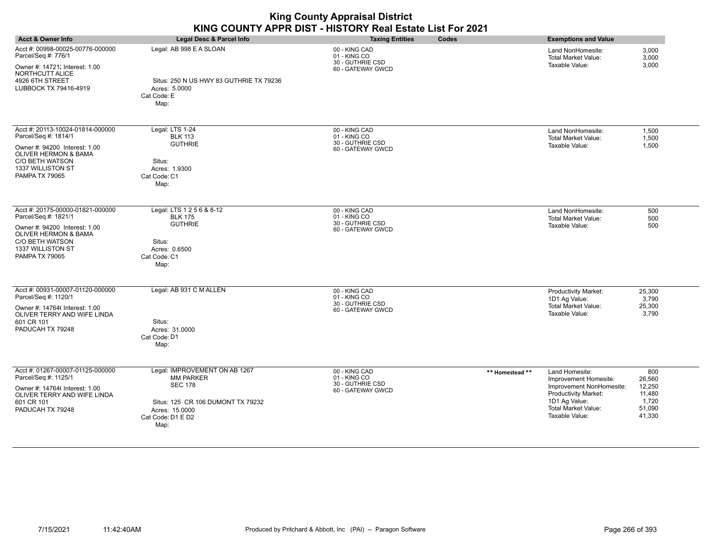| <b>Acct &amp; Owner Info</b>                                                                                                                                                                  | Legal Desc & Parcel Info                                                                                                                                | <b>Taxing Entities</b><br>Codes                                        | <b>Exemptions and Value</b>                                                                                                                                                                                                                              |
|-----------------------------------------------------------------------------------------------------------------------------------------------------------------------------------------------|---------------------------------------------------------------------------------------------------------------------------------------------------------|------------------------------------------------------------------------|----------------------------------------------------------------------------------------------------------------------------------------------------------------------------------------------------------------------------------------------------------|
| Acct #: 00998-00025-00776-000000<br>Parcel/Seq #: 776/1<br>Owner #: 14721: Interest: 1.00<br>NORTHCUTT ALICE<br>4926 6TH STREET<br>LUBBOCK TX 79416-4919                                      | Legal: AB 998 E A SLOAN<br>Situs: 250 N US HWY 83 GUTHRIE TX 79236<br>Acres: 5.0000<br>Cat Code: E<br>Map:                                              | 00 - KING CAD<br>01 - KING CO<br>30 - GUTHRIE CSD<br>60 - GATEWAY GWCD | 3,000<br>Land NonHomesite:<br>3,000<br>Total Market Value:<br>3,000<br>Taxable Value:                                                                                                                                                                    |
| Acct #: 20113-10024-01814-000000<br>Parcel/Seq #: 1814/1<br>Owner #: 94200 Interest: 1.00<br><b>OLIVER HERMON &amp; BAMA</b><br>C/O BETH WATSON<br>1337 WILLISTON ST<br><b>PAMPA TX 79065</b> | Legal: LTS 1-24<br><b>BLK 113</b><br><b>GUTHRIE</b><br>Situs:<br>Acres: 1.9300<br>Cat Code: C1<br>Map:                                                  | 00 - KING CAD<br>01 - KING CO<br>30 - GUTHRIE CSD<br>60 - GATEWAY GWCD | Land NonHomesite:<br>1,500<br>Total Market Value:<br>1,500<br>Taxable Value:<br>1,500                                                                                                                                                                    |
| Acct #: 20175-00000-01821-000000<br>Parcel/Seq #: 1821/1<br>Owner #: 94200 Interest: 1.00<br>OLIVER HERMON & BAMA<br>C/O BETH WATSON<br>1337 WILLISTON ST<br><b>PAMPA TX 79065</b>            | Legal: LTS 1 2 5 6 & 8-12<br><b>BLK 175</b><br><b>GUTHRIE</b><br>Situs:<br>Acres: 0.6500<br>Cat Code: C1<br>Map:                                        | 00 - KING CAD<br>01 - KING CO<br>30 - GUTHRIE CSD<br>60 - GATEWAY GWCD | Land NonHomesite:<br>500<br>500<br><b>Total Market Value:</b><br>500<br>Taxable Value:                                                                                                                                                                   |
| Acct #: 00931-00007-01120-000000<br>Parcel/Seq #: 1120/1<br>Owner #: 14764( Interest: 1.00<br>OLIVER TERRY AND WIFE LINDA<br>601 CR 101<br>PADUCAH TX 79248                                   | Legal: AB 931 C M ALLEN<br>Situs:<br>Acres: 31.0000<br>Cat Code: D1<br>Map:                                                                             | 00 - KING CAD<br>01 - KING CO<br>30 - GUTHRIE CSD<br>60 - GATEWAY GWCD | 25,300<br><b>Productivity Market:</b><br>1D1 Ag Value:<br>3,790<br><b>Total Market Value:</b><br>25,300<br>Taxable Value:<br>3,790                                                                                                                       |
| Acct #: 01267-00007-01125-000000<br>Parcel/Seq #: 1125/1<br>Owner #: 14764( Interest: 1.00<br>OLIVER TERRY AND WIFE LINDA<br>601 CR 101<br>PADUCAH TX 79248                                   | Legal: IMPROVEMENT ON AB 1267<br><b>MM PARKER</b><br><b>SEC 178</b><br>Situs: 125 CR 106 DUMONT TX 79232<br>Acres: 15.0000<br>Cat Code: D1 E D2<br>Map: | 00 - KING CAD<br>01 - KING CO<br>30 - GUTHRIE CSD<br>60 - GATEWAY GWCD | 800<br>Land Homesite:<br>** Homestead **<br>26,560<br>Improvement Homesite:<br>Improvement NonHomesite:<br>12,250<br><b>Productivity Market:</b><br>11,480<br>1D1 Ag Value:<br>1,720<br><b>Total Market Value:</b><br>51,090<br>41,330<br>Taxable Value: |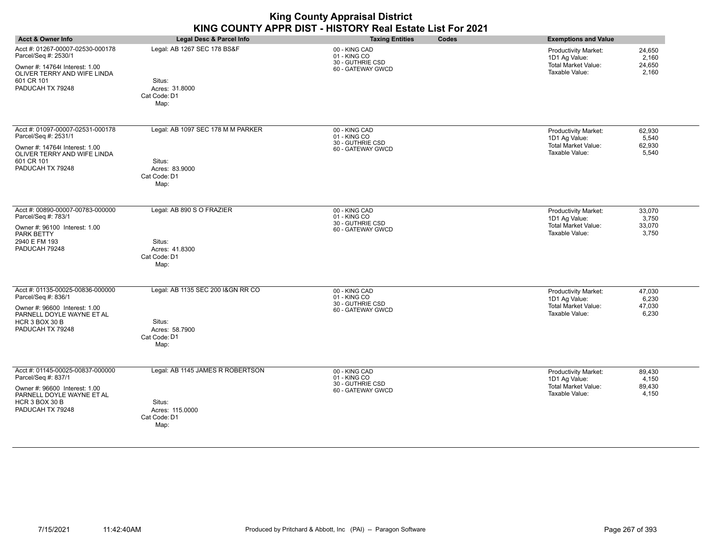| <b>Acct &amp; Owner Info</b>                                                                                                                                | Legal Desc & Parcel Info                                                              | <b>Taxing Entities</b><br>Codes                                        | <b>Exemptions and Value</b>                                                                                                 |
|-------------------------------------------------------------------------------------------------------------------------------------------------------------|---------------------------------------------------------------------------------------|------------------------------------------------------------------------|-----------------------------------------------------------------------------------------------------------------------------|
| Acct #: 01267-00007-02530-000178<br>Parcel/Seq #: 2530/1<br>Owner #: 14764(Interest: 1.00<br>OLIVER TERRY AND WIFE LINDA<br>601 CR 101<br>PADUCAH TX 79248  | Legal: AB 1267 SEC 178 BS&F<br>Situs:<br>Acres: 31.8000<br>Cat Code: D1<br>Map:       | 00 - KING CAD<br>01 - KING CO<br>30 - GUTHRIE CSD<br>60 - GATEWAY GWCD | Productivity Market:<br>24,650<br>1D1 Ag Value:<br>2,160<br><b>Total Market Value:</b><br>24,650<br>Taxable Value:<br>2,160 |
| Acct #: 01097-00007-02531-000178<br>Parcel/Seq #: 2531/1<br>Owner #: 14764( Interest: 1.00<br>OLIVER TERRY AND WIFE LINDA<br>601 CR 101<br>PADUCAH TX 79248 | Legal: AB 1097 SEC 178 M M PARKER<br>Situs:<br>Acres: 83.9000<br>Cat Code: D1<br>Map: | 00 - KING CAD<br>01 - KING CO<br>30 - GUTHRIE CSD<br>60 - GATEWAY GWCD | 62,930<br><b>Productivity Market:</b><br>1D1 Ag Value:<br>5,540<br>Total Market Value:<br>62,930<br>Taxable Value:<br>5,540 |
| Acct #: 00890-00007-00783-000000<br>Parcel/Seq #: 783/1<br>Owner #: 96100 Interest: 1.00<br>PARK BETTY<br>2940 E FM 193<br>PADUCAH 79248                    | Legal: AB 890 S O FRAZIER<br>Situs:<br>Acres: 41.8300<br>Cat Code: D1<br>Map:         | 00 - KING CAD<br>01 - KING CO<br>30 - GUTHRIE CSD<br>60 - GATEWAY GWCD | Productivity Market:<br>33,070<br>1D1 Ag Value:<br>3,750<br><b>Total Market Value:</b><br>33,070<br>Taxable Value:<br>3,750 |
| Acct #: 01135-00025-00836-000000<br>Parcel/Seq #: 836/1<br>Owner #: 96600 Interest: 1.00<br>PARNELL DOYLE WAYNE ET AL<br>HCR 3 BOX 30 B<br>PADUCAH TX 79248 | Legal: AB 1135 SEC 200 I&GN RR CO<br>Situs:<br>Acres: 58.7900<br>Cat Code: D1<br>Map: | 00 - KING CAD<br>01 - KING CO<br>30 - GUTHRIE CSD<br>60 - GATEWAY GWCD | Productivity Market:<br>47,030<br>1D1 Ag Value:<br>6,230<br><b>Total Market Value:</b><br>47,030<br>Taxable Value:<br>6,230 |
| Acct #: 01145-00025-00837-000000<br>Parcel/Seq #: 837/1<br>Owner #: 96600 Interest: 1.00<br>PARNELL DOYLE WAYNE ET AL<br>HCR 3 BOX 30 B<br>PADUCAH TX 79248 | Legal: AB 1145 JAMES R ROBERTSON<br>Situs:<br>Acres: 115.0000<br>Cat Code: D1<br>Map: | 00 - KING CAD<br>01 - KING CO<br>30 - GUTHRIE CSD<br>60 - GATEWAY GWCD | Productivity Market:<br>89,430<br>1D1 Ag Value:<br>4,150<br><b>Total Market Value:</b><br>89,430<br>Taxable Value:<br>4,150 |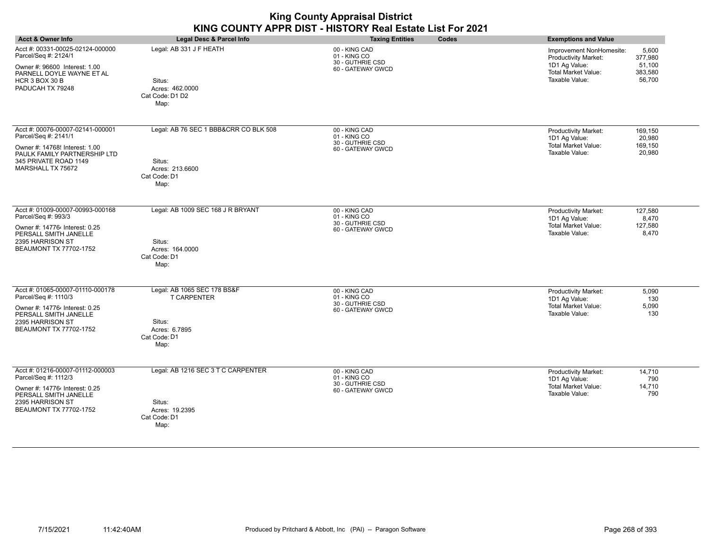|                                                                                                                                                                          |                                                                                                      | <b>King County Appraisal District</b><br>KING COUNTY APPR DIST - HISTORY Real Estate List For 2021 |       |                                                                                                                   |                                                 |
|--------------------------------------------------------------------------------------------------------------------------------------------------------------------------|------------------------------------------------------------------------------------------------------|----------------------------------------------------------------------------------------------------|-------|-------------------------------------------------------------------------------------------------------------------|-------------------------------------------------|
| Acct & Owner Info                                                                                                                                                        | <b>Legal Desc &amp; Parcel Info</b>                                                                  | <b>Taxing Entities</b>                                                                             | Codes | <b>Exemptions and Value</b>                                                                                       |                                                 |
| Acct #: 00331-00025-02124-000000<br>Parcel/Seq #: 2124/1<br>Owner #: 96600 Interest: 1.00<br>PARNELL DOYLE WAYNE ET AL<br>HCR 3 BOX 30 B<br>PADUCAH TX 79248             | Legal: AB 331 J F HEATH<br>Situs:<br>Acres: 462.0000<br>Cat Code: D1 D2<br>Map:                      | 00 - KING CAD<br>01 - KING CO<br>30 - GUTHRIE CSD<br>60 - GATEWAY GWCD                             |       | Improvement NonHomesite:<br><b>Productivity Market:</b><br>1D1 Ag Value:<br>Total Market Value:<br>Taxable Value: | 5,600<br>377.980<br>51,100<br>383,580<br>56,700 |
| Acct #: 00076-00007-02141-000001<br>Parcel/Seq #: 2141/1<br>Owner #: 14768! Interest: 1.00<br>PAULK FAMILY PARTNERSHIP LTD<br>345 PRIVATE ROAD 1149<br>MARSHALL TX 75672 | Legal: AB 76 SEC 1 BBB&CRR CO BLK 508<br>Situs:<br>Acres: 213.6600<br>Cat Code: D1<br>Map:           | 00 - KING CAD<br>01 - KING CO<br>30 - GUTHRIE CSD<br>60 - GATEWAY GWCD                             |       | Productivity Market:<br>1D1 Ag Value:<br>Total Market Value:<br>Taxable Value:                                    | 169,150<br>20,980<br>169,150<br>20,980          |
| Acct #: 01009-00007-00993-000168<br>Parcel/Seq #: 993/3<br>Owner #: 147764 Interest: 0.25<br>PERSALL SMITH JANELLE<br>2395 HARRISON ST<br>BEAUMONT TX 77702-1752         | Legal: AB 1009 SEC 168 J R BRYANT<br>Situs:<br>Acres: 164.0000<br>Cat Code: D1<br>Map:               | 00 - KING CAD<br>01 - KING CO<br>30 - GUTHRIE CSD<br>60 - GATEWAY GWCD                             |       | <b>Productivity Market:</b><br>1D1 Ag Value:<br><b>Total Market Value:</b><br>Taxable Value:                      | 127,580<br>8,470<br>127,580<br>8.470            |
| Acct #: 01065-00007-01110-000178<br>Parcel/Seq #: 1110/3<br>Owner #: 147764 Interest: 0.25<br>PERSALL SMITH JANELLE<br>2395 HARRISON ST<br>BEAUMONT TX 77702-1752        | Legal: AB 1065 SEC 178 BS&F<br><b>T CARPENTER</b><br>Situs:<br>Acres: 6.7895<br>Cat Code: D1<br>Map: | 00 - KING CAD<br>01 - KING CO<br>30 - GUTHRIE CSD<br>60 - GATEWAY GWCD                             |       | <b>Productivity Market:</b><br>1D1 Ag Value:<br><b>Total Market Value:</b><br>Taxable Value:                      | 5,090<br>130<br>5.090<br>130                    |
| Acct #: 01216-00007-01112-000003<br>Parcel/Seq #: 1112/3<br>Owner #: 147764 Interest: 0.25<br>PERSALL SMITH JANELLE<br>2395 HARRISON ST<br>BEAUMONT TX 77702-1752        | Legal: AB 1216 SEC 3 T C CARPENTER<br>Situs:<br>Acres: 19.2395<br>Cat Code: D1<br>Map:               | 00 - KING CAD<br>01 - KING CO<br>30 - GUTHRIE CSD<br>60 - GATEWAY GWCD                             |       | Productivity Market:<br>1D1 Ag Value:<br><b>Total Market Value:</b><br>Taxable Value:                             | 14,710<br>790<br>14,710<br>790                  |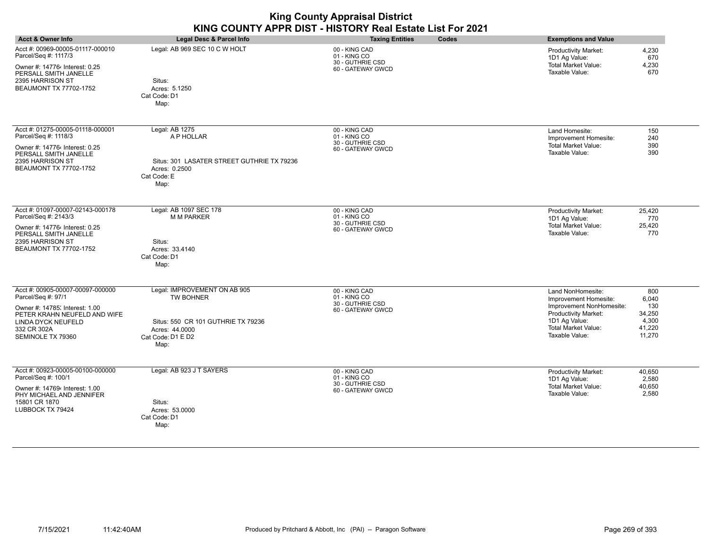|                                                                                                                                                                                           | KING COUNTY APPR DIST - HISTORY Real Estate List For 2021                                                                             | <b>King County Appraisal District</b>                                  |       |                                                                                                                                                                        |                                                            |
|-------------------------------------------------------------------------------------------------------------------------------------------------------------------------------------------|---------------------------------------------------------------------------------------------------------------------------------------|------------------------------------------------------------------------|-------|------------------------------------------------------------------------------------------------------------------------------------------------------------------------|------------------------------------------------------------|
| <b>Acct &amp; Owner Info</b>                                                                                                                                                              | <b>Legal Desc &amp; Parcel Info</b>                                                                                                   | <b>Taxing Entities</b>                                                 | Codes | <b>Exemptions and Value</b>                                                                                                                                            |                                                            |
| Acct #: 00969-00005-01117-000010<br>Parcel/Seq #: 1117/3<br>Owner #: 147764 Interest: 0.25<br>PERSALL SMITH JANELLE<br>2395 HARRISON ST<br><b>BEAUMONT TX 77702-1752</b>                  | Legal: AB 969 SEC 10 C W HOLT<br>Situs:<br>Acres: 5.1250<br>Cat Code: D1<br>Map:                                                      | 00 - KING CAD<br>01 - KING CO<br>30 - GUTHRIE CSD<br>60 - GATEWAY GWCD |       | <b>Productivity Market:</b><br>1D1 Ag Value:<br><b>Total Market Value:</b><br>Taxable Value:                                                                           | 4,230<br>670<br>4,230<br>670                               |
| Acct #: 01275-00005-01118-000001<br>Parcel/Seq #: 1118/3<br>Owner #: 147764 Interest: 0.25<br>PERSALL SMITH JANELLE<br>2395 HARRISON ST<br>BEAUMONT TX 77702-1752                         | Legal: AB 1275<br>A P HOLLAR<br>Situs: 301 LASATER STREET GUTHRIE TX 79236<br>Acres: 0.2500<br>Cat Code: E<br>Map:                    | 00 - KING CAD<br>01 - KING CO<br>30 - GUTHRIE CSD<br>60 - GATEWAY GWCD |       | Land Homesite:<br>Improvement Homesite:<br><b>Total Market Value:</b><br>Taxable Value:                                                                                | 150<br>240<br>390<br>390                                   |
| Acct #: 01097-00007-02143-000178<br>Parcel/Seq #: 2143/3<br>Owner #: 147764 Interest: 0.25<br>PERSALL SMITH JANELLE<br>2395 HARRISON ST<br>BEAUMONT TX 77702-1752                         | Legal: AB 1097 SEC 178<br><b>M M PARKER</b><br>Situs:<br>Acres: 33.4140<br>Cat Code: D1<br>Map:                                       | 00 - KING CAD<br>01 - KING CO<br>30 - GUTHRIE CSD<br>60 - GATEWAY GWCD |       | Productivity Market:<br>1D1 Ag Value:<br><b>Total Market Value:</b><br>Taxable Value:                                                                                  | 25,420<br>770<br>25,420<br>770                             |
| Acct #: 00905-00007-00097-000000<br>Parcel/Seq #: 97/1<br>Owner #: 14785; Interest: 1.00<br>PETER KRAHN NEUFELD AND WIFE<br><b>LINDA DYCK NEUFELD</b><br>332 CR 302A<br>SEMINOLE TX 79360 | Legal: IMPROVEMENT ON AB 905<br><b>TW BOHNER</b><br>Situs: 550 CR 101 GUTHRIE TX 79236<br>Acres: 44,0000<br>Cat Code: D1 E D2<br>Map: | 00 - KING CAD<br>01 - KING CO<br>30 - GUTHRIE CSD<br>60 - GATEWAY GWCD |       | Land NonHomesite:<br>Improvement Homesite:<br>Improvement NonHomesite:<br><b>Productivity Market:</b><br>1D1 Ag Value:<br><b>Total Market Value:</b><br>Taxable Value: | 800<br>6,040<br>130<br>34,250<br>4,300<br>41,220<br>11,270 |
| Acct #: 00923-00005-00100-000000<br>Parcel/Seq #: 100/1<br>Owner #: 147694 Interest: 1.00<br>PHY MICHAEL AND JENNIFER<br>15801 CR 1870<br>LUBBOCK TX 79424                                | Legal: AB 923 J T SAYERS<br>Situs:<br>Acres: 53.0000<br>Cat Code: D1<br>Map:                                                          | 00 - KING CAD<br>01 - KING CO<br>30 - GUTHRIE CSD<br>60 - GATEWAY GWCD |       | <b>Productivity Market:</b><br>1D1 Ag Value:<br><b>Total Market Value:</b><br>Taxable Value:                                                                           | 40,650<br>2.580<br>40,650<br>2,580                         |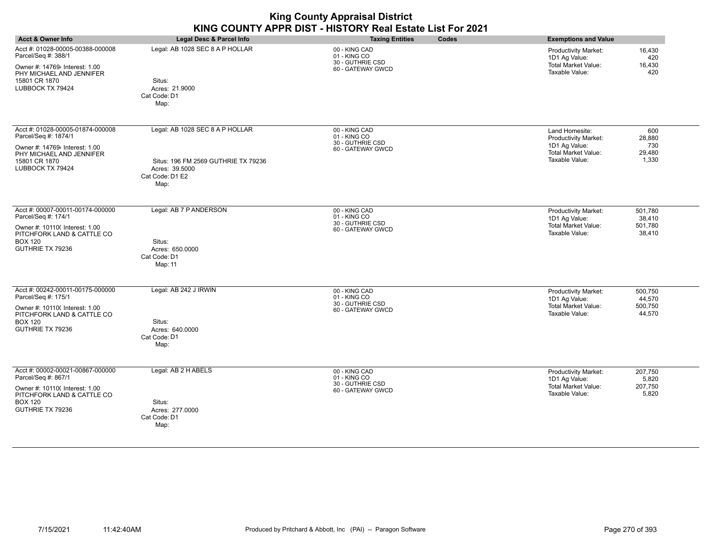| <b>Acct &amp; Owner Info</b>                                                                                                                                  | Legal Desc & Parcel Info                                                                                            | <b>Taxing Entities</b><br>Codes                                        | <b>Exemptions and Value</b>                                                                                                                               |
|---------------------------------------------------------------------------------------------------------------------------------------------------------------|---------------------------------------------------------------------------------------------------------------------|------------------------------------------------------------------------|-----------------------------------------------------------------------------------------------------------------------------------------------------------|
| Acct #: 01028-00005-00388-000008<br>Parcel/Seq #: 388/1<br>Owner #: 147694 Interest: 1.00<br>PHY MICHAEL AND JENNIFER<br>15801 CR 1870<br>LUBBOCK TX 79424    | Legal: AB 1028 SEC 8 A P HOLLAR<br>Situs:<br>Acres: 21.9000<br>Cat Code: D1<br>Map:                                 | 00 - KING CAD<br>01 - KING CO<br>30 - GUTHRIE CSD<br>60 - GATEWAY GWCD | 16,430<br><b>Productivity Market:</b><br>1D1 Ag Value:<br>420<br><b>Total Market Value:</b><br>16,430<br>Taxable Value:<br>420                            |
| Acct #: 01028-00005-01874-000008<br>Parcel/Seq #: 1874/1<br>Owner #: 147694 Interest: 1.00<br>PHY MICHAEL AND JENNIFER<br>15801 CR 1870<br>LUBBOCK TX 79424   | Legal: AB 1028 SEC 8 A P HOLLAR<br>Situs: 196 FM 2569 GUTHRIE TX 79236<br>Acres: 39.5000<br>Cat Code: D1 E2<br>Map: | 00 - KING CAD<br>01 - KING CO<br>30 - GUTHRIE CSD<br>60 - GATEWAY GWCD | Land Homesite:<br>600<br><b>Productivity Market:</b><br>28,880<br>1D1 Ag Value:<br>730<br><b>Total Market Value:</b><br>29,480<br>Taxable Value:<br>1,330 |
| Acct #: 00007-00011-00174-000000<br>Parcel/Seq #: 174/1<br>Owner #: 10110( Interest: 1.00<br>PITCHFORK LAND & CATTLE CO<br><b>BOX 120</b><br>GUTHRIE TX 79236 | Legal: AB 7 P ANDERSON<br>Situs:<br>Acres: 650.0000<br>Cat Code: D1<br>Map: 11                                      | 00 - KING CAD<br>01 - KING CO<br>30 - GUTHRIE CSD<br>60 - GATEWAY GWCD | Productivity Market:<br>501,780<br>1D1 Ag Value:<br>38,410<br><b>Total Market Value:</b><br>501,780<br>Taxable Value:<br>38,410                           |
| Acct #: 00242-00011-00175-000000<br>Parcel/Seq #: 175/1<br>Owner #: 10110( Interest: 1.00<br>PITCHFORK LAND & CATTLE CO<br><b>BOX 120</b><br>GUTHRIE TX 79236 | Legal: AB 242 J IRWIN<br>Situs:<br>Acres: 640.0000<br>Cat Code: D1<br>Map:                                          | 00 - KING CAD<br>01 - KING CO<br>30 - GUTHRIE CSD<br>60 - GATEWAY GWCD | 500,750<br>Productivity Market:<br>1D1 Ag Value:<br>44,570<br><b>Total Market Value:</b><br>500,750<br>Taxable Value:<br>44,570                           |
| Acct #: 00002-00021-00867-000000<br>Parcel/Seq #: 867/1<br>Owner #: 10110( Interest: 1.00<br>PITCHFORK LAND & CATTLE CO<br><b>BOX 120</b><br>GUTHRIE TX 79236 | Legal: AB 2 H ABELS<br>Situs:<br>Acres: 277.0000<br>Cat Code: D1<br>Map:                                            | 00 - KING CAD<br>01 - KING CO<br>30 - GUTHRIE CSD<br>60 - GATEWAY GWCD | 207,750<br>Productivity Market:<br>1D1 Ag Value:<br>5,820<br><b>Total Market Value:</b><br>207,750<br>Taxable Value:<br>5,820                             |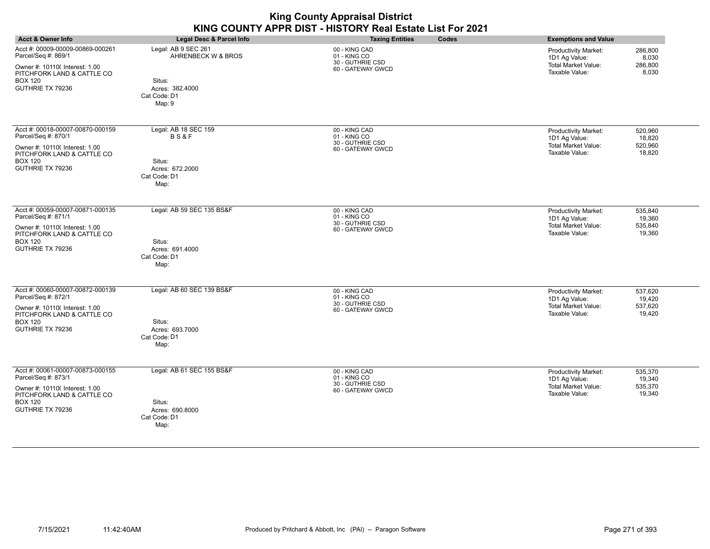| <b>Acct &amp; Owner Info</b>                                                                                                                                  | <b>Legal Desc &amp; Parcel Info</b>                                                              | <b>Taxing Entities</b><br>Codes                                        | <b>Exemptions and Value</b>                                                                                                     |
|---------------------------------------------------------------------------------------------------------------------------------------------------------------|--------------------------------------------------------------------------------------------------|------------------------------------------------------------------------|---------------------------------------------------------------------------------------------------------------------------------|
| Acct #: 00009-00009-00869-000261<br>Parcel/Seq #: 869/1<br>Owner #: 10110( Interest: 1.00<br>PITCHFORK LAND & CATTLE CO<br><b>BOX 120</b><br>GUTHRIE TX 79236 | Legal: AB 9 SEC 261<br>AHRENBECK W & BROS<br>Situs:<br>Acres: 382.4000<br>Cat Code: D1<br>Map: 9 | 00 - KING CAD<br>01 - KING CO<br>30 - GUTHRIE CSD<br>60 - GATEWAY GWCD | Productivity Market:<br>286,800<br>1D1 Ag Value:<br>8,030<br><b>Total Market Value:</b><br>286,800<br>Taxable Value:<br>8,030   |
| Acct #: 00018-00007-00870-000159<br>Parcel/Seq #: 870/1<br>Owner #: 10110( Interest: 1.00<br>PITCHFORK LAND & CATTLE CO<br><b>BOX 120</b><br>GUTHRIE TX 79236 | Legal: AB 18 SEC 159<br><b>BS&amp;F</b><br>Situs:<br>Acres: 672.2000<br>Cat Code: D1<br>Map:     | 00 - KING CAD<br>01 - KING CO<br>30 - GUTHRIE CSD<br>60 - GATEWAY GWCD | Productivity Market:<br>520,960<br>1D1 Ag Value:<br>18,820<br><b>Total Market Value:</b><br>520,960<br>Taxable Value:<br>18,820 |
| Acct #: 00059-00007-00871-000135<br>Parcel/Seq #: 871/1<br>Owner #: 10110( Interest: 1.00<br>PITCHFORK LAND & CATTLE CO<br><b>BOX 120</b><br>GUTHRIE TX 79236 | Legal: AB 59 SEC 135 BS&F<br>Situs:<br>Acres: 691.4000<br>Cat Code: D1<br>Map:                   | 00 - KING CAD<br>01 - KING CO<br>30 - GUTHRIE CSD<br>60 - GATEWAY GWCD | Productivity Market:<br>535,840<br>1D1 Ag Value:<br>19,360<br><b>Total Market Value:</b><br>535,840<br>Taxable Value:<br>19,360 |
| Acct #: 00060-00007-00872-000139<br>Parcel/Seq #: 872/1<br>Owner #: 10110( Interest: 1.00<br>PITCHFORK LAND & CATTLE CO<br><b>BOX 120</b><br>GUTHRIE TX 79236 | Legal: AB 60 SEC 139 BS&F<br>Situs:<br>Acres: 693.7000<br>Cat Code: D1<br>Map:                   | 00 - KING CAD<br>01 - KING CO<br>30 - GUTHRIE CSD<br>60 - GATEWAY GWCD | Productivity Market:<br>537.620<br>1D1 Ag Value:<br>19,420<br><b>Total Market Value:</b><br>537,620<br>Taxable Value:<br>19,420 |
| Acct #: 00061-00007-00873-000155<br>Parcel/Seq #: 873/1<br>Owner #: 10110( Interest: 1.00<br>PITCHFORK LAND & CATTLE CO<br><b>BOX 120</b><br>GUTHRIE TX 79236 | Legal: AB 61 SEC 155 BS&F<br>Situs:<br>Acres: 690,8000<br>Cat Code: D1<br>Map:                   | 00 - KING CAD<br>01 - KING CO<br>30 - GUTHRIE CSD<br>60 - GATEWAY GWCD | Productivity Market:<br>535,370<br>1D1 Ag Value:<br>19,340<br><b>Total Market Value:</b><br>535,370<br>Taxable Value:<br>19,340 |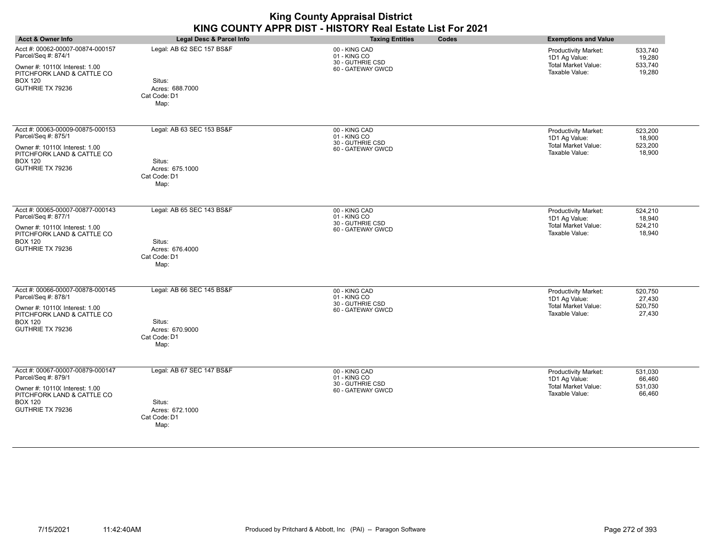| <b>King County Appraisal District</b><br>KING COUNTY APPR DIST - HISTORY Real Estate List For 2021                                                            |                                                                                |                                                                        |                                                                                                                                        |  |
|---------------------------------------------------------------------------------------------------------------------------------------------------------------|--------------------------------------------------------------------------------|------------------------------------------------------------------------|----------------------------------------------------------------------------------------------------------------------------------------|--|
| <b>Acct &amp; Owner Info</b>                                                                                                                                  | Legal Desc & Parcel Info                                                       | <b>Taxing Entities</b><br>Codes                                        | <b>Exemptions and Value</b>                                                                                                            |  |
| Acct #: 00062-00007-00874-000157<br>Parcel/Seq #: 874/1<br>Owner #: 101100 Interest: 1.00<br>PITCHFORK LAND & CATTLE CO<br><b>BOX 120</b><br>GUTHRIE TX 79236 | Legal: AB 62 SEC 157 BS&F<br>Situs:<br>Acres: 688.7000<br>Cat Code: D1<br>Map: | 00 - KING CAD<br>01 - KING CO<br>30 - GUTHRIE CSD<br>60 - GATEWAY GWCD | 533,740<br><b>Productivity Market:</b><br>1D1 Ag Value:<br>19.280<br><b>Total Market Value:</b><br>533,740<br>Taxable Value:<br>19,280 |  |
| Acct #: 00063-00009-00875-000153<br>Parcel/Seq #: 875/1<br>Owner #: 10110( Interest: 1.00<br>PITCHFORK LAND & CATTLE CO<br><b>BOX 120</b><br>GUTHRIE TX 79236 | Legal: AB 63 SEC 153 BS&F<br>Situs:<br>Acres: 675.1000<br>Cat Code: D1<br>Map: | 00 - KING CAD<br>01 - KING CO<br>30 - GUTHRIE CSD<br>60 - GATEWAY GWCD | Productivity Market:<br>523,200<br>1D1 Ag Value:<br>18,900<br><b>Total Market Value:</b><br>523,200<br>Taxable Value:<br>18,900        |  |
| Acct #: 00065-00007-00877-000143<br>Parcel/Seq #: 877/1<br>Owner #: 10110( Interest: 1.00<br>PITCHFORK LAND & CATTLE CO<br><b>BOX 120</b><br>GUTHRIE TX 79236 | Legal: AB 65 SEC 143 BS&F<br>Situs:<br>Acres: 676.4000<br>Cat Code: D1<br>Map: | 00 - KING CAD<br>01 - KING CO<br>30 - GUTHRIE CSD<br>60 - GATEWAY GWCD | <b>Productivity Market:</b><br>524,210<br>1D1 Ag Value:<br>18,940<br><b>Total Market Value:</b><br>524,210<br>Taxable Value:<br>18,940 |  |
| Acct #: 00066-00007-00878-000145<br>Parcel/Seq #: 878/1<br>Owner #: 10110( Interest: 1.00<br>PITCHFORK LAND & CATTLE CO<br><b>BOX 120</b><br>GUTHRIE TX 79236 | Legal: AB 66 SEC 145 BS&F<br>Situs:<br>Acres: 670.9000<br>Cat Code: D1<br>Map: | 00 - KING CAD<br>01 - KING CO<br>30 - GUTHRIE CSD<br>60 - GATEWAY GWCD | 520,750<br>Productivity Market:<br>1D1 Ag Value:<br>27.430<br><b>Total Market Value:</b><br>520,750<br>Taxable Value:<br>27,430        |  |
| Acct #: 00067-00007-00879-000147<br>Parcel/Seq #: 879/1<br>Owner #: 10110( Interest: 1.00<br>PITCHFORK LAND & CATTLE CO<br><b>BOX 120</b><br>GUTHRIE TX 79236 | Legal: AB 67 SEC 147 BS&F<br>Situs:<br>Acres: 672.1000<br>Cat Code: D1<br>Map: | 00 - KING CAD<br>01 - KING CO<br>30 - GUTHRIE CSD<br>60 - GATEWAY GWCD | Productivity Market:<br>531,030<br>1D1 Ag Value:<br>66,460<br><b>Total Market Value:</b><br>531,030<br>Taxable Value:<br>66.460        |  |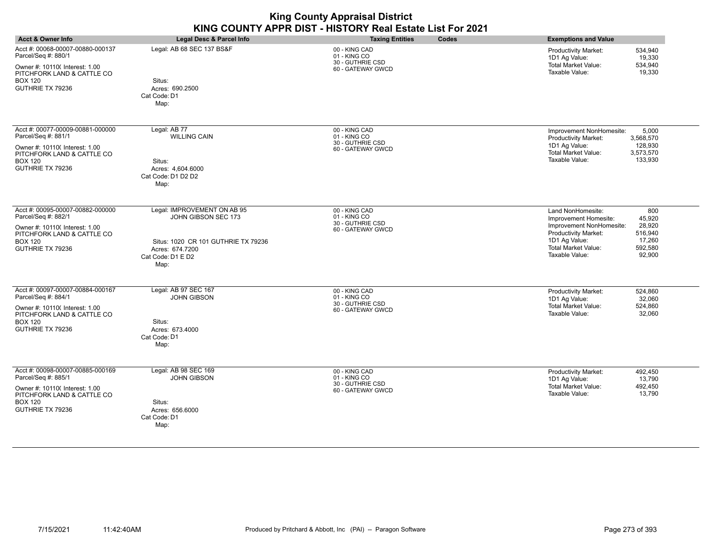| <b>King County Appraisal District</b><br>KING COUNTY APPR DIST - HISTORY Real Estate List For 2021                                                            |                                                                                                                                           |                                                                        |                                                                                                                                                                                                                                             |  |
|---------------------------------------------------------------------------------------------------------------------------------------------------------------|-------------------------------------------------------------------------------------------------------------------------------------------|------------------------------------------------------------------------|---------------------------------------------------------------------------------------------------------------------------------------------------------------------------------------------------------------------------------------------|--|
| <b>Acct &amp; Owner Info</b>                                                                                                                                  | <b>Legal Desc &amp; Parcel Info</b>                                                                                                       | Codes<br><b>Taxing Entities</b>                                        | <b>Exemptions and Value</b>                                                                                                                                                                                                                 |  |
| Acct #: 00068-00007-00880-000137<br>Parcel/Seq #: 880/1<br>Owner #: 10110( Interest: 1.00<br>PITCHFORK LAND & CATTLE CO<br><b>BOX 120</b><br>GUTHRIE TX 79236 | Legal: AB 68 SEC 137 BS&F<br>Situs:<br>Acres: 690.2500<br>Cat Code: D1<br>Map:                                                            | 00 - KING CAD<br>01 - KING CO<br>30 - GUTHRIE CSD<br>60 - GATEWAY GWCD | 534,940<br><b>Productivity Market:</b><br>1D1 Ag Value:<br>19,330<br><b>Total Market Value:</b><br>534,940<br>Taxable Value:<br>19,330                                                                                                      |  |
| Acct #: 00077-00009-00881-000000<br>Parcel/Seq #: 881/1<br>Owner #: 101100 Interest: 1.00<br>PITCHFORK LAND & CATTLE CO<br><b>BOX 120</b><br>GUTHRIE TX 79236 | Legal: AB 77<br><b>WILLING CAIN</b><br>Situs:<br>Acres: 4.604.6000<br>Cat Code: D1 D2 D2<br>Map:                                          | 00 - KING CAD<br>01 - KING CO<br>30 - GUTHRIE CSD<br>60 - GATEWAY GWCD | Improvement NonHomesite:<br>5,000<br><b>Productivity Market:</b><br>3,568,570<br>1D1 Ag Value:<br>128,930<br><b>Total Market Value:</b><br>3,573,570<br>Taxable Value:<br>133,930                                                           |  |
| Acct #: 00095-00007-00882-000000<br>Parcel/Seq #: 882/1<br>Owner #: 10110( Interest: 1.00<br>PITCHFORK LAND & CATTLE CO<br><b>BOX 120</b><br>GUTHRIE TX 79236 | Legal: IMPROVEMENT ON AB 95<br>JOHN GIBSON SEC 173<br>Situs: 1020 CR 101 GUTHRIE TX 79236<br>Acres: 674.7200<br>Cat Code: D1 E D2<br>Map: | 00 - KING CAD<br>01 - KING CO<br>30 - GUTHRIE CSD<br>60 - GATEWAY GWCD | Land NonHomesite:<br>800<br>45,920<br>Improvement Homesite:<br>Improvement NonHomesite:<br>28,920<br><b>Productivity Market:</b><br>516,940<br>1D1 Ag Value:<br>17,260<br><b>Total Market Value:</b><br>592.580<br>Taxable Value:<br>92,900 |  |
| Acct #: 00097-00007-00884-000167<br>Parcel/Seq #: 884/1<br>Owner #: 10110( Interest: 1.00<br>PITCHFORK LAND & CATTLE CO<br><b>BOX 120</b><br>GUTHRIE TX 79236 | Legal: AB 97 SEC 167<br><b>JOHN GIBSON</b><br>Situs:<br>Acres: 673.4000<br>Cat Code: D1<br>Map:                                           | 00 - KING CAD<br>01 - KING CO<br>30 - GUTHRIE CSD<br>60 - GATEWAY GWCD | Productivity Market:<br>524,860<br>32,060<br>1D1 Ag Value:<br>Total Market Value:<br>524,860<br>Taxable Value:<br>32,060                                                                                                                    |  |
| Acct #: 00098-00007-00885-000169<br>Parcel/Seq #: 885/1<br>Owner #: 101100 Interest: 1.00<br>PITCHFORK LAND & CATTLE CO<br><b>BOX 120</b><br>GUTHRIE TX 79236 | Legal: AB 98 SEC 169<br><b>JOHN GIBSON</b><br>Situs:<br>Acres: 656.6000<br>Cat Code: D1<br>Map:                                           | 00 - KING CAD<br>01 - KING CO<br>30 - GUTHRIE CSD<br>60 - GATEWAY GWCD | <b>Productivity Market:</b><br>492.450<br>1D1 Ag Value:<br>13,790<br><b>Total Market Value:</b><br>492,450<br>Taxable Value:<br>13,790                                                                                                      |  |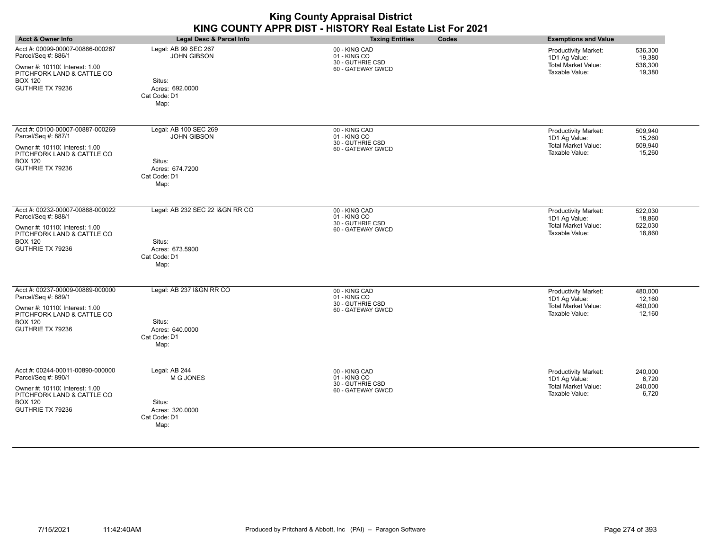| <b>King County Appraisal District</b><br>KING COUNTY APPR DIST - HISTORY Real Estate List For 2021                                                            |                                                                                                  |                                                                        |                                                                                                                                        |  |
|---------------------------------------------------------------------------------------------------------------------------------------------------------------|--------------------------------------------------------------------------------------------------|------------------------------------------------------------------------|----------------------------------------------------------------------------------------------------------------------------------------|--|
| <b>Acct &amp; Owner Info</b>                                                                                                                                  | Legal Desc & Parcel Info                                                                         | Codes<br><b>Taxing Entities</b>                                        | <b>Exemptions and Value</b>                                                                                                            |  |
| Acct #: 00099-00007-00886-000267<br>Parcel/Seq #: 886/1<br>Owner #: 10110( Interest: 1.00<br>PITCHFORK LAND & CATTLE CO<br><b>BOX 120</b><br>GUTHRIE TX 79236 | Legal: AB 99 SEC 267<br><b>JOHN GIBSON</b><br>Situs:<br>Acres: 692,0000<br>Cat Code: D1<br>Map:  | 00 - KING CAD<br>01 - KING CO<br>30 - GUTHRIE CSD<br>60 - GATEWAY GWCD | <b>Productivity Market:</b><br>536.300<br>1D1 Ag Value:<br>19,380<br><b>Total Market Value:</b><br>536,300<br>Taxable Value:<br>19,380 |  |
| Acct #: 00100-00007-00887-000269<br>Parcel/Seq #: 887/1<br>Owner #: 10110( Interest: 1.00<br>PITCHFORK LAND & CATTLE CO<br><b>BOX 120</b><br>GUTHRIE TX 79236 | Legal: AB 100 SEC 269<br><b>JOHN GIBSON</b><br>Situs:<br>Acres: 674.7200<br>Cat Code: D1<br>Map: | 00 - KING CAD<br>01 - KING CO<br>30 - GUTHRIE CSD<br>60 - GATEWAY GWCD | Productivity Market:<br>509,940<br>1D1 Ag Value:<br>15,260<br><b>Total Market Value:</b><br>509,940<br>Taxable Value:<br>15,260        |  |
| Acct #: 00232-00007-00888-000022<br>Parcel/Seq #: 888/1<br>Owner #: 10110( Interest: 1.00<br>PITCHFORK LAND & CATTLE CO<br><b>BOX 120</b><br>GUTHRIE TX 79236 | Legal: AB 232 SEC 22 I&GN RR CO<br>Situs:<br>Acres: 673.5900<br>Cat Code: D1<br>Map:             | 00 - KING CAD<br>01 - KING CO<br>30 - GUTHRIE CSD<br>60 - GATEWAY GWCD | <b>Productivity Market:</b><br>522,030<br>1D1 Ag Value:<br>18,860<br><b>Total Market Value:</b><br>522.030<br>Taxable Value:<br>18,860 |  |
| Acct #: 00237-00009-00889-000000<br>Parcel/Seq #: 889/1<br>Owner #: 10110( Interest: 1.00<br>PITCHFORK LAND & CATTLE CO<br><b>BOX 120</b><br>GUTHRIE TX 79236 | Legal: AB 237 I&GN RR CO<br>Situs:<br>Acres: 640.0000<br>Cat Code: D1<br>Map:                    | 00 - KING CAD<br>01 - KING CO<br>30 - GUTHRIE CSD<br>60 - GATEWAY GWCD | <b>Productivity Market:</b><br>480,000<br>1D1 Ag Value:<br>12,160<br>Total Market Value:<br>480,000<br>Taxable Value:<br>12,160        |  |
| Acct #: 00244-00011-00890-000000<br>Parcel/Seq #: 890/1<br>Owner #: 10110( Interest: 1.00<br>PITCHFORK LAND & CATTLE CO<br><b>BOX 120</b><br>GUTHRIE TX 79236 | Legal: AB 244<br>M G JONES<br>Situs:<br>Acres: 320.0000<br>Cat Code: D1<br>Map:                  | 00 - KING CAD<br>01 - KING CO<br>30 - GUTHRIE CSD<br>60 - GATEWAY GWCD | <b>Productivity Market:</b><br>240,000<br>1D1 Ag Value:<br>6.720<br><b>Total Market Value:</b><br>240.000<br>Taxable Value:<br>6,720   |  |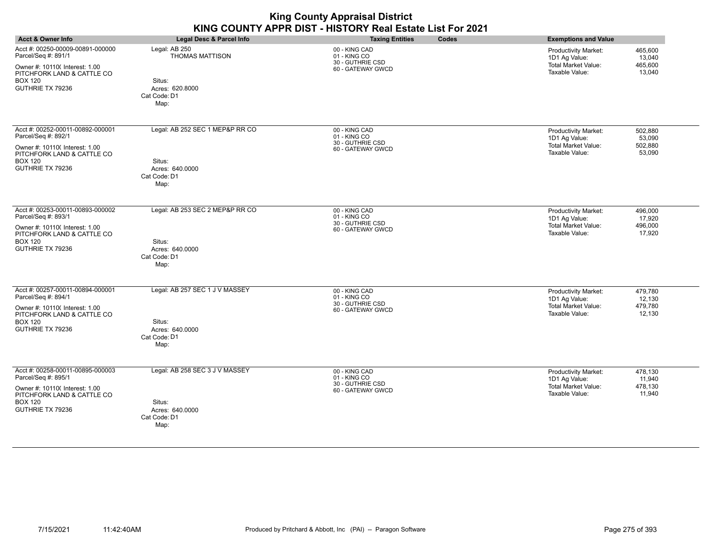| <b>King County Appraisal District</b><br>KING COUNTY APPR DIST - HISTORY Real Estate List For 2021                                                            |                                                                                              |                                                                        |                                                                                                                                        |  |
|---------------------------------------------------------------------------------------------------------------------------------------------------------------|----------------------------------------------------------------------------------------------|------------------------------------------------------------------------|----------------------------------------------------------------------------------------------------------------------------------------|--|
| <b>Acct &amp; Owner Info</b>                                                                                                                                  | Legal Desc & Parcel Info                                                                     | <b>Taxing Entities</b><br>Codes                                        | <b>Exemptions and Value</b>                                                                                                            |  |
| Acct #: 00250-00009-00891-000000<br>Parcel/Seq #: 891/1<br>Owner #: 10110( Interest: 1.00<br>PITCHFORK LAND & CATTLE CO<br><b>BOX 120</b><br>GUTHRIE TX 79236 | Legal: AB 250<br><b>THOMAS MATTISON</b><br>Situs:<br>Acres: 620.8000<br>Cat Code: D1<br>Map: | 00 - KING CAD<br>01 - KING CO<br>30 - GUTHRIE CSD<br>60 - GATEWAY GWCD | <b>Productivity Market:</b><br>465,600<br>1D1 Ag Value:<br>13,040<br><b>Total Market Value:</b><br>465.600<br>Taxable Value:<br>13,040 |  |
| Acct #: 00252-00011-00892-000001<br>Parcel/Seq #: 892/1<br>Owner #: 101100 Interest: 1.00<br>PITCHFORK LAND & CATTLE CO<br><b>BOX 120</b><br>GUTHRIE TX 79236 | Legal: AB 252 SEC 1 MEP&P RR CO<br>Situs:<br>Acres: 640,0000<br>Cat Code: D1<br>Map:         | 00 - KING CAD<br>01 - KING CO<br>30 - GUTHRIE CSD<br>60 - GATEWAY GWCD | <b>Productivity Market:</b><br>502,880<br>53.090<br>1D1 Ag Value:<br>Total Market Value:<br>502,880<br>Taxable Value:<br>53,090        |  |
| Acct #: 00253-00011-00893-000002<br>Parcel/Seq #: 893/1<br>Owner #: 10110( Interest: 1.00<br>PITCHFORK LAND & CATTLE CO<br><b>BOX 120</b><br>GUTHRIE TX 79236 | Legal: AB 253 SEC 2 MEP&P RR CO<br>Situs:<br>Acres: 640.0000<br>Cat Code: D1<br>Map:         | 00 - KING CAD<br>01 - KING CO<br>30 - GUTHRIE CSD<br>60 - GATEWAY GWCD | <b>Productivity Market:</b><br>496,000<br>1D1 Ag Value:<br>17,920<br>Total Market Value:<br>496,000<br>Taxable Value:<br>17,920        |  |
| Acct #: 00257-00011-00894-000001<br>Parcel/Seq #: 894/1<br>Owner #: 10110( Interest: 1.00<br>PITCHFORK LAND & CATTLE CO<br><b>BOX 120</b><br>GUTHRIE TX 79236 | Legal: AB 257 SEC 1 J V MASSEY<br>Situs:<br>Acres: 640.0000<br>Cat Code: D1<br>Map:          | 00 - KING CAD<br>01 - KING CO<br>30 - GUTHRIE CSD<br>60 - GATEWAY GWCD | Productivity Market:<br>479,780<br>1D1 Ag Value:<br>12,130<br><b>Total Market Value:</b><br>479,780<br>Taxable Value:<br>12,130        |  |
| Acct #: 00258-00011-00895-000003<br>Parcel/Seq #: 895/1<br>Owner #: 10110( Interest: 1.00<br>PITCHFORK LAND & CATTLE CO<br><b>BOX 120</b><br>GUTHRIE TX 79236 | Legal: AB 258 SEC 3 J V MASSEY<br>Situs:<br>Acres: 640.0000<br>Cat Code: D1<br>Map:          | 00 - KING CAD<br>01 - KING CO<br>30 - GUTHRIE CSD<br>60 - GATEWAY GWCD | Productivity Market:<br>478,130<br>1D1 Ag Value:<br>11,940<br><b>Total Market Value:</b><br>478,130<br>Taxable Value:<br>11,940        |  |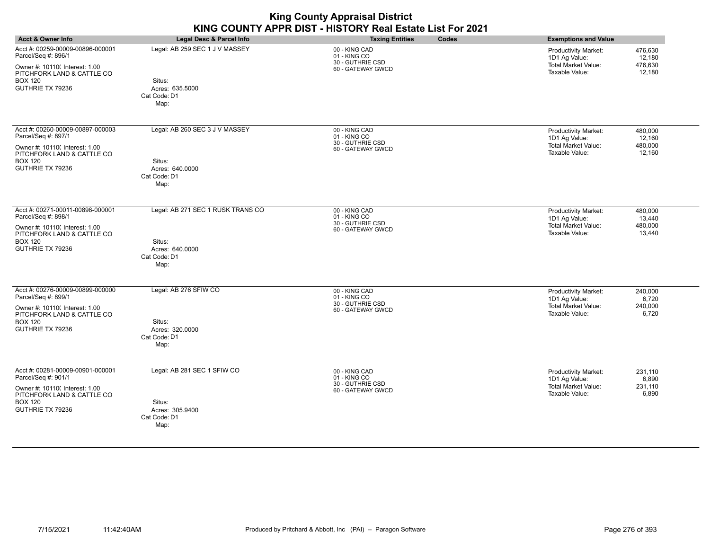| <b>King County Appraisal District</b><br>KING COUNTY APPR DIST - HISTORY Real Estate List For 2021                                                            |                                                                                        |                                                                        |                                                                                                                                        |  |
|---------------------------------------------------------------------------------------------------------------------------------------------------------------|----------------------------------------------------------------------------------------|------------------------------------------------------------------------|----------------------------------------------------------------------------------------------------------------------------------------|--|
| <b>Acct &amp; Owner Info</b>                                                                                                                                  | <b>Legal Desc &amp; Parcel Info</b>                                                    | Codes<br><b>Taxing Entities</b>                                        | <b>Exemptions and Value</b>                                                                                                            |  |
| Acct #: 00259-00009-00896-000001<br>Parcel/Seq #: 896/1<br>Owner #: 10110( Interest: 1.00<br>PITCHFORK LAND & CATTLE CO<br><b>BOX 120</b><br>GUTHRIE TX 79236 | Legal: AB 259 SEC 1 J V MASSEY<br>Situs:<br>Acres: 635.5000<br>Cat Code: D1<br>Map:    | 00 - KING CAD<br>01 - KING CO<br>30 - GUTHRIE CSD<br>60 - GATEWAY GWCD | <b>Productivity Market:</b><br>476,630<br>1D1 Ag Value:<br>12,180<br><b>Total Market Value:</b><br>476,630<br>Taxable Value:<br>12,180 |  |
| Acct #: 00260-00009-00897-000003<br>Parcel/Seq #: 897/1<br>Owner #: 10110( Interest: 1.00<br>PITCHFORK LAND & CATTLE CO<br><b>BOX 120</b><br>GUTHRIE TX 79236 | Legal: AB 260 SEC 3 J V MASSEY<br>Situs:<br>Acres: 640,0000<br>Cat Code: D1<br>Map:    | 00 - KING CAD<br>01 - KING CO<br>30 - GUTHRIE CSD<br>60 - GATEWAY GWCD | <b>Productivity Market:</b><br>480,000<br>1D1 Ag Value:<br>12,160<br><b>Total Market Value:</b><br>480,000<br>Taxable Value:<br>12,160 |  |
| Acct #: 00271-00011-00898-000001<br>Parcel/Seq #: 898/1<br>Owner #: 10110( Interest: 1.00<br>PITCHFORK LAND & CATTLE CO<br><b>BOX 120</b><br>GUTHRIE TX 79236 | Legal: AB 271 SEC 1 RUSK TRANS CO<br>Situs:<br>Acres: 640.0000<br>Cat Code: D1<br>Map: | 00 - KING CAD<br>01 - KING CO<br>30 - GUTHRIE CSD<br>60 - GATEWAY GWCD | <b>Productivity Market:</b><br>480,000<br>1D1 Ag Value:<br>13,440<br><b>Total Market Value:</b><br>480,000<br>Taxable Value:<br>13,440 |  |
| Acct #: 00276-00009-00899-000000<br>Parcel/Seq #: 899/1<br>Owner #: 10110( Interest: 1.00<br>PITCHFORK LAND & CATTLE CO<br><b>BOX 120</b><br>GUTHRIE TX 79236 | Legal: AB 276 SFIW CO<br>Situs:<br>Acres: 320.0000<br>Cat Code: D1<br>Map:             | 00 - KING CAD<br>01 - KING CO<br>30 - GUTHRIE CSD<br>60 - GATEWAY GWCD | <b>Productivity Market:</b><br>240,000<br>1D1 Ag Value:<br>6,720<br><b>Total Market Value:</b><br>240,000<br>Taxable Value:<br>6,720   |  |
| Acct #: 00281-00009-00901-000001<br>Parcel/Seq #: 901/1<br>Owner #: 10110( Interest: 1.00<br>PITCHFORK LAND & CATTLE CO<br><b>BOX 120</b><br>GUTHRIE TX 79236 | Legal: AB 281 SEC 1 SFIW CO<br>Situs:<br>Acres: 305.9400<br>Cat Code: D1<br>Map:       | 00 - KING CAD<br>01 - KING CO<br>30 - GUTHRIE CSD<br>60 - GATEWAY GWCD | <b>Productivity Market:</b><br>231,110<br>1D1 Ag Value:<br>6,890<br><b>Total Market Value:</b><br>231,110<br>Taxable Value:<br>6,890   |  |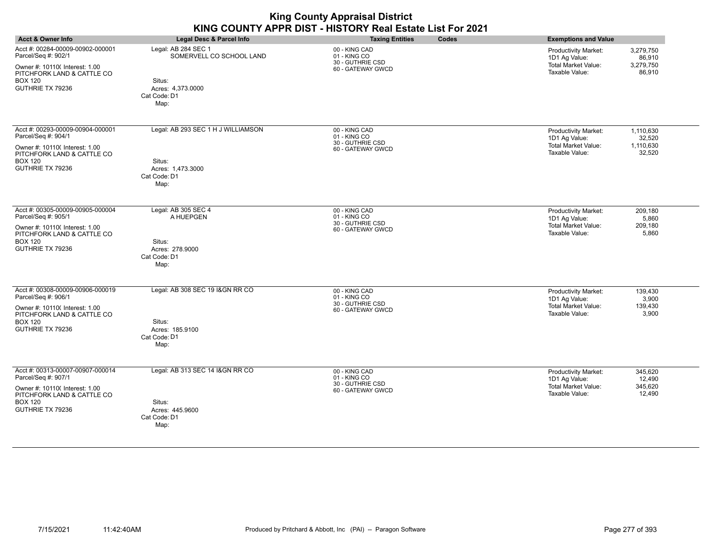| <b>Acct &amp; Owner Info</b>                                                                                                                                  | Legal Desc & Parcel Info                                                                               | <b>Taxing Entities</b><br>Codes                                        | <b>Exemptions and Value</b>                                                                                                         |
|---------------------------------------------------------------------------------------------------------------------------------------------------------------|--------------------------------------------------------------------------------------------------------|------------------------------------------------------------------------|-------------------------------------------------------------------------------------------------------------------------------------|
| Acct #: 00284-00009-00902-000001<br>Parcel/Seq #: 902/1<br>Owner #: 10110( Interest: 1.00<br>PITCHFORK LAND & CATTLE CO<br><b>BOX 120</b><br>GUTHRIE TX 79236 | Legal: AB 284 SEC 1<br>SOMERVELL CO SCHOOL LAND<br>Situs:<br>Acres: 4,373.0000<br>Cat Code: D1<br>Map: | 00 - KING CAD<br>01 - KING CO<br>30 - GUTHRIE CSD<br>60 - GATEWAY GWCD | 3,279,750<br>Productivity Market:<br>1D1 Ag Value:<br>86,910<br><b>Total Market Value:</b><br>3,279,750<br>Taxable Value:<br>86,910 |
| Acct #: 00293-00009-00904-000001<br>Parcel/Seq #: 904/1<br>Owner #: 10110( Interest: 1.00<br>PITCHFORK LAND & CATTLE CO<br><b>BOX 120</b><br>GUTHRIE TX 79236 | Legal: AB 293 SEC 1 H J WILLIAMSON<br>Situs:<br>Acres: 1,473.3000<br>Cat Code: D1<br>Map:              | 00 - KING CAD<br>01 - KING CO<br>30 - GUTHRIE CSD<br>60 - GATEWAY GWCD | Productivity Market:<br>1,110,630<br>1D1 Ag Value:<br>32,520<br>Total Market Value:<br>1,110,630<br>Taxable Value:<br>32,520        |
| Acct #: 00305-00009-00905-000004<br>Parcel/Seq #: 905/1<br>Owner #: 10110( Interest: 1.00<br>PITCHFORK LAND & CATTLE CO<br><b>BOX 120</b><br>GUTHRIE TX 79236 | Legal: AB 305 SEC 4<br>A HUEPGEN<br>Situs:<br>Acres: 278.9000<br>Cat Code: D1<br>Map:                  | 00 - KING CAD<br>01 - KING CO<br>30 - GUTHRIE CSD<br>60 - GATEWAY GWCD | 209,180<br>Productivity Market:<br>1D1 Ag Value:<br>5,860<br><b>Total Market Value:</b><br>209,180<br>Taxable Value:<br>5,860       |
| Acct #: 00308-00009-00906-000019<br>Parcel/Seq #: 906/1<br>Owner #: 10110( Interest: 1.00<br>PITCHFORK LAND & CATTLE CO<br><b>BOX 120</b><br>GUTHRIE TX 79236 | Legal: AB 308 SEC 19 I&GN RR CO<br>Situs:<br>Acres: 185.9100<br>Cat Code: D1<br>Map:                   | 00 - KING CAD<br>01 - KING CO<br>30 - GUTHRIE CSD<br>60 - GATEWAY GWCD | Productivity Market:<br>139,430<br>1D1 Ag Value:<br>3,900<br><b>Total Market Value:</b><br>139,430<br>Taxable Value:<br>3,900       |
| Acct #: 00313-00007-00907-000014<br>Parcel/Seq #: 907/1<br>Owner #: 10110( Interest: 1.00<br>PITCHFORK LAND & CATTLE CO<br><b>BOX 120</b><br>GUTHRIE TX 79236 | Legal: AB 313 SEC 14 I&GN RR CO<br>Situs:<br>Acres: 445.9600<br>Cat Code: D1<br>Map:                   | 00 - KING CAD<br>01 - KING CO<br>30 - GUTHRIE CSD<br>60 - GATEWAY GWCD | 345,620<br>Productivity Market:<br>1D1 Ag Value:<br>12,490<br>345,620<br><b>Total Market Value:</b><br>Taxable Value:<br>12,490     |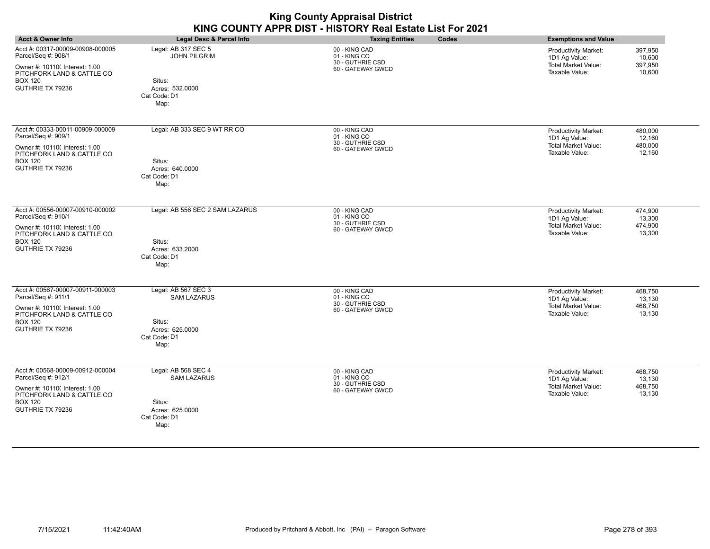| <b>King County Appraisal District</b><br>KING COUNTY APPR DIST - HISTORY Real Estate List For 2021                                                            |                                                                                                 |                                                                        |                                                                                                                                        |
|---------------------------------------------------------------------------------------------------------------------------------------------------------------|-------------------------------------------------------------------------------------------------|------------------------------------------------------------------------|----------------------------------------------------------------------------------------------------------------------------------------|
| <b>Acct &amp; Owner Info</b>                                                                                                                                  | Legal Desc & Parcel Info                                                                        | <b>Taxing Entities</b><br>Codes                                        | <b>Exemptions and Value</b>                                                                                                            |
| Acct #: 00317-00009-00908-000005<br>Parcel/Seq #: 908/1<br>Owner #: 10110( Interest: 1.00<br>PITCHFORK LAND & CATTLE CO<br><b>BOX 120</b><br>GUTHRIE TX 79236 | Legal: AB 317 SEC 5<br><b>JOHN PILGRIM</b><br>Situs:<br>Acres: 532,0000<br>Cat Code: D1<br>Map: | 00 - KING CAD<br>01 - KING CO<br>30 - GUTHRIE CSD<br>60 - GATEWAY GWCD | 397,950<br><b>Productivity Market:</b><br>1D1 Ag Value:<br>10,600<br><b>Total Market Value:</b><br>397,950<br>Taxable Value:<br>10,600 |
| Acct #: 00333-00011-00909-000009<br>Parcel/Seq #: 909/1<br>Owner #: 10110( Interest: 1.00<br>PITCHFORK LAND & CATTLE CO<br><b>BOX 120</b><br>GUTHRIE TX 79236 | Legal: AB 333 SEC 9 WT RR CO<br>Situs:<br>Acres: 640,0000<br>Cat Code: D1<br>Map:               | 00 - KING CAD<br>01 - KING CO<br>30 - GUTHRIE CSD<br>60 - GATEWAY GWCD | Productivity Market:<br>480,000<br>1D1 Ag Value:<br>12,160<br><b>Total Market Value:</b><br>480,000<br>Taxable Value:<br>12,160        |
| Acct #: 00556-00007-00910-000002<br>Parcel/Seq #: 910/1<br>Owner #: 10110( Interest: 1.00<br>PITCHFORK LAND & CATTLE CO<br><b>BOX 120</b><br>GUTHRIE TX 79236 | Legal: AB 556 SEC 2 SAM LAZARUS<br>Situs:<br>Acres: 633.2000<br>Cat Code: D1<br>Map:            | 00 - KING CAD<br>01 - KING CO<br>30 - GUTHRIE CSD<br>60 - GATEWAY GWCD | Productivity Market:<br>474,900<br>1D1 Ag Value:<br>13,300<br><b>Total Market Value:</b><br>474,900<br>Taxable Value:<br>13,300        |
| Acct #: 00567-00007-00911-000003<br>Parcel/Seq #: 911/1<br>Owner #: 10110( Interest: 1.00<br>PITCHFORK LAND & CATTLE CO<br><b>BOX 120</b><br>GUTHRIE TX 79236 | Legal: AB 567 SEC 3<br><b>SAM LAZARUS</b><br>Situs:<br>Acres: 625.0000<br>Cat Code: D1<br>Map:  | 00 - KING CAD<br>01 - KING CO<br>30 - GUTHRIE CSD<br>60 - GATEWAY GWCD | <b>Productivity Market:</b><br>468.750<br>1D1 Ag Value:<br>13,130<br><b>Total Market Value:</b><br>468.750<br>Taxable Value:<br>13,130 |
| Acct #: 00568-00009-00912-000004<br>Parcel/Seq #: 912/1<br>Owner #: 10110( Interest: 1.00<br>PITCHFORK LAND & CATTLE CO<br><b>BOX 120</b><br>GUTHRIE TX 79236 | Legal: AB 568 SEC 4<br><b>SAM LAZARUS</b><br>Situs:<br>Acres: 625,0000<br>Cat Code: D1<br>Map:  | 00 - KING CAD<br>01 - KING CO<br>30 - GUTHRIE CSD<br>60 - GATEWAY GWCD | Productivity Market:<br>468,750<br>1D1 Ag Value:<br>13,130<br>Total Market Value:<br>468,750<br>Taxable Value:<br>13,130               |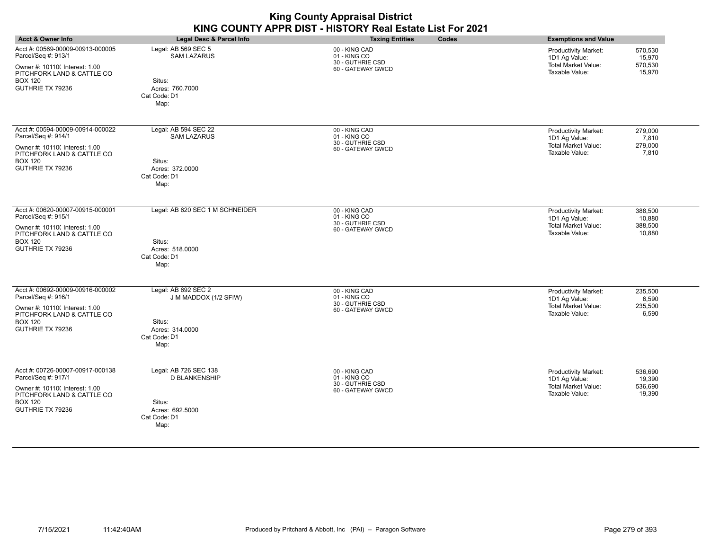| <b>King County Appraisal District</b><br>KING COUNTY APPR DIST - HISTORY Real Estate List For 2021                                                            |                                                                                                    |                                                                        |                                                                                                                                      |
|---------------------------------------------------------------------------------------------------------------------------------------------------------------|----------------------------------------------------------------------------------------------------|------------------------------------------------------------------------|--------------------------------------------------------------------------------------------------------------------------------------|
| <b>Acct &amp; Owner Info</b>                                                                                                                                  | <b>Legal Desc &amp; Parcel Info</b>                                                                | <b>Taxing Entities</b><br>Codes                                        | <b>Exemptions and Value</b>                                                                                                          |
| Acct #: 00569-00009-00913-000005<br>Parcel/Seq #: 913/1<br>Owner #: 10110( Interest: 1.00<br>PITCHFORK LAND & CATTLE CO<br><b>BOX 120</b><br>GUTHRIE TX 79236 | Legal: AB 569 SEC 5<br><b>SAM LAZARUS</b><br>Situs:<br>Acres: 760.7000<br>Cat Code: D1<br>Map:     | 00 - KING CAD<br>01 - KING CO<br>30 - GUTHRIE CSD<br>60 - GATEWAY GWCD | Productivity Market:<br>570,530<br>1D1 Ag Value:<br>15,970<br><b>Total Market Value:</b><br>570,530<br>Taxable Value:<br>15,970      |
| Acct #: 00594-00009-00914-000022<br>Parcel/Seq #: 914/1<br>Owner #: 10110( Interest: 1.00<br>PITCHFORK LAND & CATTLE CO<br><b>BOX 120</b><br>GUTHRIE TX 79236 | Legal: AB 594 SEC 22<br><b>SAM LAZARUS</b><br>Situs:<br>Acres: 372.0000<br>Cat Code: D1<br>Map:    | 00 - KING CAD<br>01 - KING CO<br>30 - GUTHRIE CSD<br>60 - GATEWAY GWCD | Productivity Market:<br>279,000<br>1D1 Ag Value:<br>7,810<br><b>Total Market Value:</b><br>279,000<br>Taxable Value:<br>7,810        |
| Acct #: 00620-00007-00915-000001<br>Parcel/Seq #: 915/1<br>Owner #: 10110( Interest: 1.00<br>PITCHFORK LAND & CATTLE CO<br><b>BOX 120</b><br>GUTHRIE TX 79236 | Legal: AB 620 SEC 1 M SCHNEIDER<br>Situs:<br>Acres: 518,0000<br>Cat Code: D1<br>Map:               | 00 - KING CAD<br>01 - KING CO<br>30 - GUTHRIE CSD<br>60 - GATEWAY GWCD | Productivity Market:<br>388,500<br>1D1 Ag Value:<br>10,880<br>Total Market Value:<br>388,500<br>Taxable Value:<br>10,880             |
| Acct #: 00692-00009-00916-000002<br>Parcel/Seq #: 916/1<br>Owner #: 10110( Interest: 1.00<br>PITCHFORK LAND & CATTLE CO<br><b>BOX 120</b><br>GUTHRIE TX 79236 | Legal: AB 692 SEC 2<br>J M MADDOX (1/2 SFIW)<br>Situs:<br>Acres: 314.0000<br>Cat Code: D1<br>Map:  | 00 - KING CAD<br>01 - KING CO<br>30 - GUTHRIE CSD<br>60 - GATEWAY GWCD | <b>Productivity Market:</b><br>235.500<br>1D1 Ag Value:<br>6,590<br><b>Total Market Value:</b><br>235,500<br>Taxable Value:<br>6,590 |
| Acct #: 00726-00007-00917-000138<br>Parcel/Seq #: 917/1<br>Owner #: 10110( Interest: 1.00<br>PITCHFORK LAND & CATTLE CO<br><b>BOX 120</b><br>GUTHRIE TX 79236 | Legal: AB 726 SEC 138<br><b>D BLANKENSHIP</b><br>Situs:<br>Acres: 692.5000<br>Cat Code: D1<br>Map: | 00 - KING CAD<br>01 - KING CO<br>30 - GUTHRIE CSD<br>60 - GATEWAY GWCD | <b>Productivity Market:</b><br>536,690<br>1D1 Ag Value:<br>19,390<br>Total Market Value:<br>536,690<br>Taxable Value:<br>19,390      |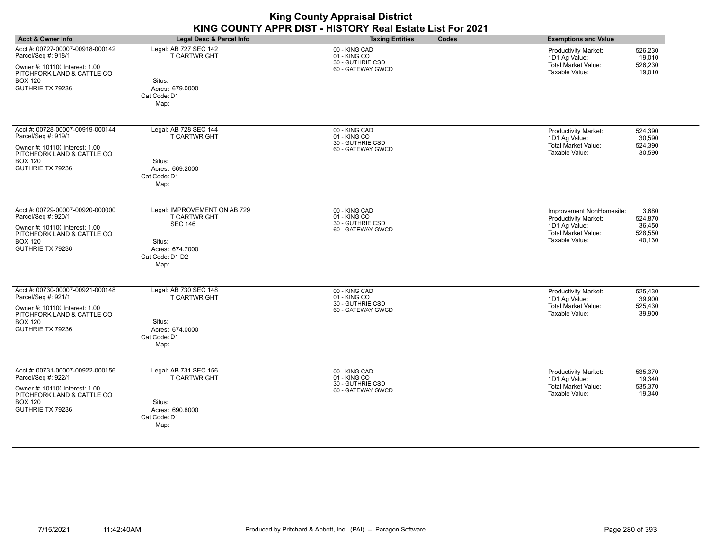| <b>King County Appraisal District</b><br>KING COUNTY APPR DIST - HISTORY Real Estate List For 2021                                                            |                                                                                                                               |                                                                        |                                                                                                                                                                             |
|---------------------------------------------------------------------------------------------------------------------------------------------------------------|-------------------------------------------------------------------------------------------------------------------------------|------------------------------------------------------------------------|-----------------------------------------------------------------------------------------------------------------------------------------------------------------------------|
| <b>Acct &amp; Owner Info</b>                                                                                                                                  | Legal Desc & Parcel Info                                                                                                      | <b>Taxing Entities</b><br>Codes                                        | <b>Exemptions and Value</b>                                                                                                                                                 |
| Acct #: 00727-00007-00918-000142<br>Parcel/Seq #: 918/1<br>Owner #: 10110( Interest: 1.00<br>PITCHFORK LAND & CATTLE CO<br><b>BOX 120</b><br>GUTHRIE TX 79236 | Legal: AB 727 SEC 142<br><b>T CARTWRIGHT</b><br>Situs:<br>Acres: 679,0000<br>Cat Code: D1<br>Map:                             | 00 - KING CAD<br>01 - KING CO<br>30 - GUTHRIE CSD<br>60 - GATEWAY GWCD | <b>Productivity Market:</b><br>526,230<br>1D1 Ag Value:<br>19,010<br><b>Total Market Value:</b><br>526,230<br>Taxable Value:<br>19,010                                      |
| Acct #: 00728-00007-00919-000144<br>Parcel/Seq #: 919/1<br>Owner #: 10110( Interest: 1.00<br>PITCHFORK LAND & CATTLE CO<br><b>BOX 120</b><br>GUTHRIE TX 79236 | Legal: AB 728 SEC 144<br><b>T CARTWRIGHT</b><br>Situs:<br>Acres: 669.2000<br>Cat Code: D1<br>Map:                             | 00 - KING CAD<br>01 - KING CO<br>30 - GUTHRIE CSD<br>60 - GATEWAY GWCD | <b>Productivity Market:</b><br>524,390<br>1D1 Ag Value:<br>30,590<br><b>Total Market Value:</b><br>524,390<br>Taxable Value:<br>30,590                                      |
| Acct #: 00729-00007-00920-000000<br>Parcel/Seq #: 920/1<br>Owner #: 10110( Interest: 1.00<br>PITCHFORK LAND & CATTLE CO<br><b>BOX 120</b><br>GUTHRIE TX 79236 | Legal: IMPROVEMENT ON AB 729<br><b>T CARTWRIGHT</b><br><b>SEC 146</b><br>Situs:<br>Acres: 674.7000<br>Cat Code: D1 D2<br>Map: | 00 - KING CAD<br>01 - KING CO<br>30 - GUTHRIE CSD<br>60 - GATEWAY GWCD | Improvement NonHomesite:<br>3,680<br><b>Productivity Market:</b><br>524,870<br>1D1 Ag Value:<br>36,450<br><b>Total Market Value:</b><br>528,550<br>Taxable Value:<br>40,130 |
| Acct #: 00730-00007-00921-000148<br>Parcel/Seq #: 921/1<br>Owner #: 10110( Interest: 1.00<br>PITCHFORK LAND & CATTLE CO<br><b>BOX 120</b><br>GUTHRIE TX 79236 | Legal: AB 730 SEC 148<br><b>T CARTWRIGHT</b><br>Situs:<br>Acres: 674.0000<br>Cat Code: D1<br>Map:                             | 00 - KING CAD<br>01 - KING CO<br>30 - GUTHRIE CSD<br>60 - GATEWAY GWCD | <b>Productivity Market:</b><br>525.430<br>1D1 Ag Value:<br>39,900<br><b>Total Market Value:</b><br>525,430<br>Taxable Value:<br>39,900                                      |
| Acct #: 00731-00007-00922-000156<br>Parcel/Seq #: 922/1<br>Owner #: 10110( Interest: 1.00<br>PITCHFORK LAND & CATTLE CO<br><b>BOX 120</b><br>GUTHRIE TX 79236 | Legal: AB 731 SEC 156<br><b>T CARTWRIGHT</b><br>Situs:<br>Acres: 690.8000<br>Cat Code: D1<br>Map:                             | 00 - KING CAD<br>01 - KING CO<br>30 - GUTHRIE CSD<br>60 - GATEWAY GWCD | <b>Productivity Market:</b><br>535,370<br>1D1 Ag Value:<br>19,340<br><b>Total Market Value:</b><br>535,370<br>Taxable Value:<br>19,340                                      |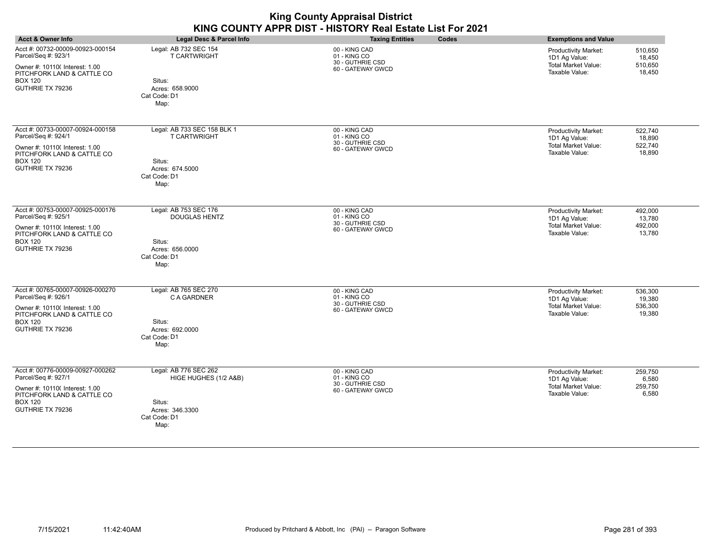| <b>King County Appraisal District</b><br>KING COUNTY APPR DIST - HISTORY Real Estate List For 2021                                                            |                                                                                                         |                                                                        |                                                                                                                                        |
|---------------------------------------------------------------------------------------------------------------------------------------------------------------|---------------------------------------------------------------------------------------------------------|------------------------------------------------------------------------|----------------------------------------------------------------------------------------------------------------------------------------|
| <b>Acct &amp; Owner Info</b>                                                                                                                                  | <b>Legal Desc &amp; Parcel Info</b>                                                                     | Codes<br><b>Taxing Entities</b>                                        | <b>Exemptions and Value</b>                                                                                                            |
| Acct #: 00732-00009-00923-000154<br>Parcel/Seq #: 923/1<br>Owner #: 10110( Interest: 1.00<br>PITCHFORK LAND & CATTLE CO<br><b>BOX 120</b><br>GUTHRIE TX 79236 | Legal: AB 732 SEC 154<br><b>T CARTWRIGHT</b><br>Situs:<br>Acres: 658.9000<br>Cat Code: D1<br>Map:       | 00 - KING CAD<br>01 - KING CO<br>30 - GUTHRIE CSD<br>60 - GATEWAY GWCD | Productivity Market:<br>510.650<br>1D1 Ag Value:<br>18,450<br><b>Total Market Value:</b><br>510,650<br>Taxable Value:<br>18,450        |
| Acct #: 00733-00007-00924-000158<br>Parcel/Seq #: 924/1<br>Owner #: 10110( Interest: 1.00<br>PITCHFORK LAND & CATTLE CO<br><b>BOX 120</b><br>GUTHRIE TX 79236 | Legal: AB 733 SEC 158 BLK 1<br><b>T CARTWRIGHT</b><br>Situs:<br>Acres: 674.5000<br>Cat Code: D1<br>Map: | 00 - KING CAD<br>01 - KING CO<br>30 - GUTHRIE CSD<br>60 - GATEWAY GWCD | 522,740<br>Productivity Market:<br>1D1 Ag Value:<br>18,890<br><b>Total Market Value:</b><br>522,740<br>Taxable Value:<br>18,890        |
| Acct #: 00753-00007-00925-000176<br>Parcel/Seq #: 925/1<br>Owner #: 10110( Interest: 1.00<br>PITCHFORK LAND & CATTLE CO<br><b>BOX 120</b><br>GUTHRIE TX 79236 | Legal: AB 753 SEC 176<br><b>DOUGLAS HENTZ</b><br>Situs:<br>Acres: 656.0000<br>Cat Code: D1<br>Map:      | 00 - KING CAD<br>01 - KING CO<br>30 - GUTHRIE CSD<br>60 - GATEWAY GWCD | <b>Productivity Market:</b><br>492,000<br>1D1 Ag Value:<br>13,780<br><b>Total Market Value:</b><br>492.000<br>Taxable Value:<br>13,780 |
| Acct #: 00765-00007-00926-000270<br>Parcel/Seq #: 926/1<br>Owner #: 10110( Interest: 1.00<br>PITCHFORK LAND & CATTLE CO<br><b>BOX 120</b><br>GUTHRIE TX 79236 | Legal: AB 765 SEC 270<br>C A GARDNER<br>Situs:<br>Acres: 692.0000<br>Cat Code: D1<br>Map:               | 00 - KING CAD<br>01 - KING CO<br>30 - GUTHRIE CSD<br>60 - GATEWAY GWCD | <b>Productivity Market:</b><br>536,300<br>1D1 Ag Value:<br>19.380<br>Total Market Value:<br>536,300<br>Taxable Value:<br>19,380        |
| Acct #: 00776-00009-00927-000262<br>Parcel/Seq #: 927/1<br>Owner #: 10110( Interest: 1.00<br>PITCHFORK LAND & CATTLE CO<br><b>BOX 120</b><br>GUTHRIE TX 79236 | Legal: AB 776 SEC 262<br>HIGE HUGHES (1/2 A&B)<br>Situs:<br>Acres: 346.3300<br>Cat Code: D1<br>Map:     | 00 - KING CAD<br>01 - KING CO<br>30 - GUTHRIE CSD<br>60 - GATEWAY GWCD | <b>Productivity Market:</b><br>259,750<br>1D1 Ag Value:<br>6.580<br><b>Total Market Value:</b><br>259.750<br>Taxable Value:<br>6,580   |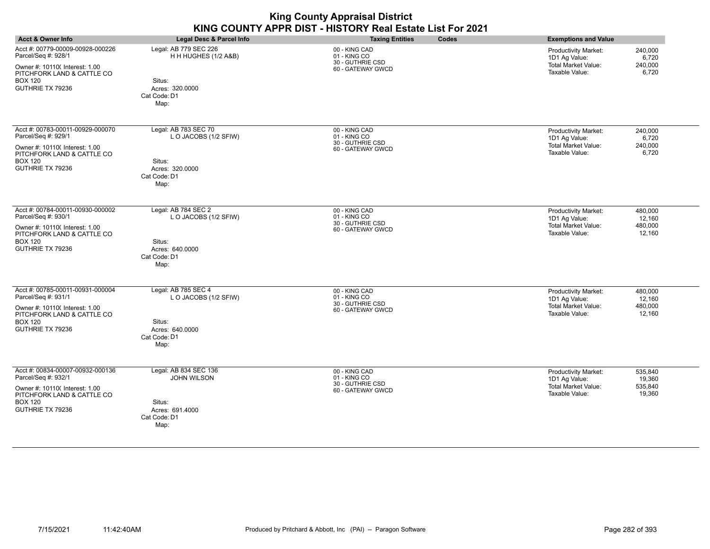| <b>King County Appraisal District</b><br>KING COUNTY APPR DIST - HISTORY Real Estate List For 2021                                                            |                                                                                                    |                                                                        |                                                                                                                                        |
|---------------------------------------------------------------------------------------------------------------------------------------------------------------|----------------------------------------------------------------------------------------------------|------------------------------------------------------------------------|----------------------------------------------------------------------------------------------------------------------------------------|
| <b>Acct &amp; Owner Info</b>                                                                                                                                  | Legal Desc & Parcel Info                                                                           | <b>Taxing Entities</b><br>Codes                                        | <b>Exemptions and Value</b>                                                                                                            |
| Acct #: 00779-00009-00928-000226<br>Parcel/Seq #: 928/1<br>Owner #: 10110( Interest: 1.00<br>PITCHFORK LAND & CATTLE CO<br><b>BOX 120</b><br>GUTHRIE TX 79236 | Legal: AB 779 SEC 226<br>H H HUGHES (1/2 A&B)<br>Situs:<br>Acres: 320,0000<br>Cat Code: D1<br>Map: | 00 - KING CAD<br>01 - KING CO<br>30 - GUTHRIE CSD<br>60 - GATEWAY GWCD | <b>Productivity Market:</b><br>240,000<br>1D1 Ag Value:<br>6,720<br><b>Total Market Value:</b><br>240,000<br>Taxable Value:<br>6,720   |
| Acct #: 00783-00011-00929-000070<br>Parcel/Seq #: 929/1<br>Owner #: 10110( Interest: 1.00<br>PITCHFORK LAND & CATTLE CO<br><b>BOX 120</b><br>GUTHRIE TX 79236 | Legal: AB 783 SEC 70<br>LO JACOBS (1/2 SFIW)<br>Situs:<br>Acres: 320,0000<br>Cat Code: D1<br>Map:  | 00 - KING CAD<br>01 - KING CO<br>30 - GUTHRIE CSD<br>60 - GATEWAY GWCD | <b>Productivity Market:</b><br>240,000<br>1D1 Ag Value:<br>6,720<br><b>Total Market Value:</b><br>240,000<br>Taxable Value:<br>6,720   |
| Acct #: 00784-00011-00930-000002<br>Parcel/Seq #: 930/1<br>Owner #: 10110( Interest: 1.00<br>PITCHFORK LAND & CATTLE CO<br><b>BOX 120</b><br>GUTHRIE TX 79236 | Legal: AB 784 SEC 2<br>L O JACOBS (1/2 SFIW)<br>Situs:<br>Acres: 640,0000<br>Cat Code: D1<br>Map:  | 00 - KING CAD<br>01 - KING CO<br>30 - GUTHRIE CSD<br>60 - GATEWAY GWCD | Productivity Market:<br>480,000<br>1D1 Ag Value:<br>12,160<br><b>Total Market Value:</b><br>480,000<br>Taxable Value:<br>12,160        |
| Acct #: 00785-00011-00931-000004<br>Parcel/Seq #: 931/1<br>Owner #: 10110( Interest: 1.00<br>PITCHFORK LAND & CATTLE CO<br><b>BOX 120</b><br>GUTHRIE TX 79236 | Legal: AB 785 SEC 4<br>LO JACOBS (1/2 SFIW)<br>Situs:<br>Acres: 640.0000<br>Cat Code: D1<br>Map:   | 00 - KING CAD<br>01 - KING CO<br>30 - GUTHRIE CSD<br>60 - GATEWAY GWCD | Productivity Market:<br>480.000<br>1D1 Ag Value:<br>12,160<br><b>Total Market Value:</b><br>480.000<br>Taxable Value:<br>12,160        |
| Acct #: 00834-00007-00932-000136<br>Parcel/Seq #: 932/1<br>Owner #: 10110( Interest: 1.00<br>PITCHFORK LAND & CATTLE CO<br><b>BOX 120</b><br>GUTHRIE TX 79236 | Legal: AB 834 SEC 136<br>JOHN WILSON<br>Situs:<br>Acres: 691.4000<br>Cat Code: D1<br>Map:          | 00 - KING CAD<br>01 - KING CO<br>30 - GUTHRIE CSD<br>60 - GATEWAY GWCD | <b>Productivity Market:</b><br>535,840<br>1D1 Ag Value:<br>19,360<br><b>Total Market Value:</b><br>535,840<br>Taxable Value:<br>19,360 |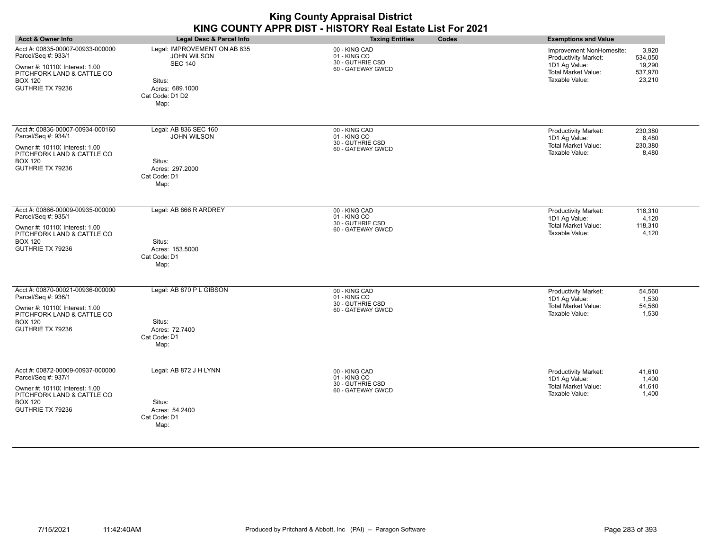|                                                                                                                                                               |                                                                                                                              | <b>King County Appraisal District</b><br>KING COUNTY APPR DIST - HISTORY Real Estate List For 2021 |                                                                                                                                                                             |
|---------------------------------------------------------------------------------------------------------------------------------------------------------------|------------------------------------------------------------------------------------------------------------------------------|----------------------------------------------------------------------------------------------------|-----------------------------------------------------------------------------------------------------------------------------------------------------------------------------|
| <b>Acct &amp; Owner Info</b>                                                                                                                                  | <b>Legal Desc &amp; Parcel Info</b>                                                                                          | Codes<br><b>Taxing Entities</b>                                                                    | <b>Exemptions and Value</b>                                                                                                                                                 |
| Acct #: 00835-00007-00933-000000<br>Parcel/Seq #: 933/1<br>Owner #: 10110( Interest: 1.00<br>PITCHFORK LAND & CATTLE CO<br><b>BOX 120</b><br>GUTHRIE TX 79236 | Legal: IMPROVEMENT ON AB 835<br><b>JOHN WILSON</b><br><b>SEC 140</b><br>Situs:<br>Acres: 689.1000<br>Cat Code: D1 D2<br>Map: | 00 - KING CAD<br>01 - KING CO<br>30 - GUTHRIE CSD<br>60 - GATEWAY GWCD                             | 3.920<br>Improvement NonHomesite:<br><b>Productivity Market:</b><br>534,050<br>1D1 Ag Value:<br>19,290<br><b>Total Market Value:</b><br>537,970<br>Taxable Value:<br>23,210 |
| Acct #: 00836-00007-00934-000160<br>Parcel/Seq #: 934/1<br>Owner #: 10110( Interest: 1.00<br>PITCHFORK LAND & CATTLE CO<br><b>BOX 120</b><br>GUTHRIE TX 79236 | Legal: AB 836 SEC 160<br>JOHN WILSON<br>Situs:<br>Acres: 297.2000<br>Cat Code: D1<br>Map:                                    | 00 - KING CAD<br>01 - KING CO<br>30 - GUTHRIE CSD<br>60 - GATEWAY GWCD                             | 230,380<br>Productivity Market:<br>1D1 Ag Value:<br>8,480<br><b>Total Market Value:</b><br>230,380<br>Taxable Value:<br>8,480                                               |
| Acct #: 00866-00009-00935-000000<br>Parcel/Seq #: 935/1<br>Owner #: 10110( Interest: 1.00<br>PITCHFORK LAND & CATTLE CO<br><b>BOX 120</b><br>GUTHRIE TX 79236 | Legal: AB 866 R ARDREY<br>Situs:<br>Acres: 153.5000<br>Cat Code: D1<br>Map:                                                  | 00 - KING CAD<br>01 - KING CO<br>30 - GUTHRIE CSD<br>60 - GATEWAY GWCD                             | <b>Productivity Market:</b><br>118,310<br>1D1 Ag Value:<br>4,120<br><b>Total Market Value:</b><br>118,310<br>Taxable Value:<br>4,120                                        |
| Acct #: 00870-00021-00936-000000<br>Parcel/Seq #: 936/1<br>Owner #: 10110( Interest: 1.00<br>PITCHFORK LAND & CATTLE CO<br><b>BOX 120</b><br>GUTHRIE TX 79236 | Legal: AB 870 P L GIBSON<br>Situs:<br>Acres: 72.7400<br>Cat Code: D1<br>Map:                                                 | 00 - KING CAD<br>01 - KING CO<br>30 - GUTHRIE CSD<br>60 - GATEWAY GWCD                             | <b>Productivity Market:</b><br>54,560<br>1D1 Ag Value:<br>1,530<br>Total Market Value:<br>54,560<br>Taxable Value:<br>1,530                                                 |
| Acct #: 00872-00009-00937-000000<br>Parcel/Seq #: 937/1<br>Owner #: 10110( Interest: 1.00<br>PITCHFORK LAND & CATTLE CO<br><b>BOX 120</b><br>GUTHRIE TX 79236 | Legal: AB 872 J H LYNN<br>Situs:<br>Acres: 54.2400<br>Cat Code: D1<br>Map:                                                   | 00 - KING CAD<br>01 - KING CO<br>30 - GUTHRIE CSD<br>60 - GATEWAY GWCD                             | <b>Productivity Market:</b><br>41,610<br>1D1 Ag Value:<br>1.400<br><b>Total Market Value:</b><br>41,610<br>Taxable Value:<br>1,400                                          |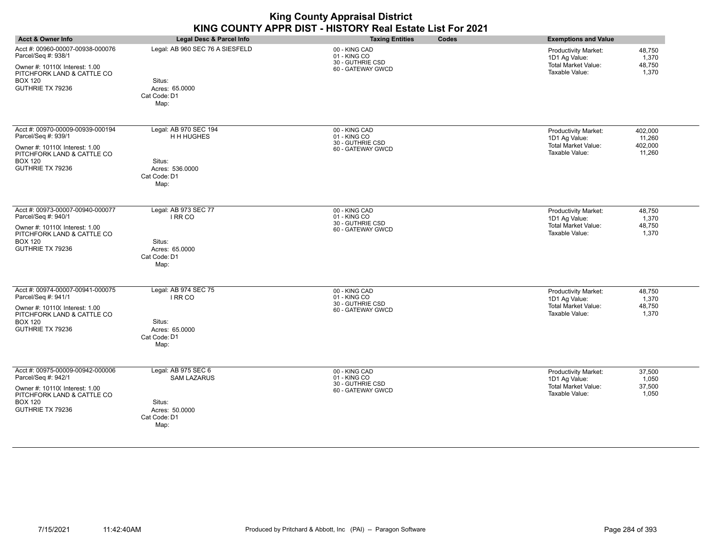|                                                                                                                                                               |                                                                                               | KING COUNTY APPR DIST - HISTORY Real Estate List For 2021              |                                                                                                                                        |
|---------------------------------------------------------------------------------------------------------------------------------------------------------------|-----------------------------------------------------------------------------------------------|------------------------------------------------------------------------|----------------------------------------------------------------------------------------------------------------------------------------|
| <b>Acct &amp; Owner Info</b>                                                                                                                                  | Legal Desc & Parcel Info                                                                      | <b>Taxing Entities</b><br>Codes                                        | <b>Exemptions and Value</b>                                                                                                            |
| Acct #: 00960-00007-00938-000076<br>Parcel/Seq #: 938/1<br>Owner #: 10110( Interest: 1.00<br>PITCHFORK LAND & CATTLE CO<br><b>BOX 120</b><br>GUTHRIE TX 79236 | Legal: AB 960 SEC 76 A SIESFELD<br>Situs:<br>Acres: 65.0000<br>Cat Code: D1<br>Map:           | 00 - KING CAD<br>01 - KING CO<br>30 - GUTHRIE CSD<br>60 - GATEWAY GWCD | <b>Productivity Market:</b><br>48,750<br>1,370<br>1D1 Ag Value:<br><b>Total Market Value:</b><br>48,750<br>Taxable Value:<br>1,370     |
| Acct #: 00970-00009-00939-000194<br>Parcel/Seq #: 939/1<br>Owner #: 10110( Interest: 1.00<br>PITCHFORK LAND & CATTLE CO<br><b>BOX 120</b><br>GUTHRIE TX 79236 | Legal: AB 970 SEC 194<br>H H HUGHES<br>Situs:<br>Acres: 536,0000<br>Cat Code: D1<br>Map:      | 00 - KING CAD<br>01 - KING CO<br>30 - GUTHRIE CSD<br>60 - GATEWAY GWCD | 402,000<br><b>Productivity Market:</b><br>1D1 Ag Value:<br>11,260<br><b>Total Market Value:</b><br>402,000<br>Taxable Value:<br>11,260 |
| Acct #: 00973-00007-00940-000077<br>Parcel/Seq #: 940/1<br>Owner #: 10110( Interest: 1.00<br>PITCHFORK LAND & CATTLE CO<br><b>BOX 120</b><br>GUTHRIE TX 79236 | Legal: AB 973 SEC 77<br>I RR CO<br>Situs:<br>Acres: 65.0000<br>Cat Code: D1<br>Map:           | 00 - KING CAD<br>01 - KING CO<br>30 - GUTHRIE CSD<br>60 - GATEWAY GWCD | <b>Productivity Market:</b><br>48,750<br>1,370<br>1D1 Ag Value:<br>Total Market Value:<br>48,750<br>Taxable Value:<br>1,370            |
| Acct #: 00974-00007-00941-000075<br>Parcel/Seq #: 941/1<br>Owner #: 10110( Interest: 1.00<br>PITCHFORK LAND & CATTLE CO<br><b>BOX 120</b><br>GUTHRIE TX 79236 | Legal: AB 974 SEC 75<br>I RR CO<br>Situs:<br>Acres: 65.0000<br>Cat Code: D1<br>Map:           | 00 - KING CAD<br>01 - KING CO<br>30 - GUTHRIE CSD<br>60 - GATEWAY GWCD | <b>Productivity Market:</b><br>48,750<br>1D1 Ag Value:<br>1,370<br><b>Total Market Value:</b><br>48,750<br>Taxable Value:<br>1,370     |
| Acct #: 00975-00009-00942-000006<br>Parcel/Seq #: 942/1<br>Owner #: 10110( Interest: 1.00<br>PITCHFORK LAND & CATTLE CO<br><b>BOX 120</b><br>GUTHRIE TX 79236 | Legal: AB 975 SEC 6<br><b>SAM LAZARUS</b><br>Situs:<br>Acres: 50.0000<br>Cat Code: D1<br>Map: | 00 - KING CAD<br>01 - KING CO<br>30 - GUTHRIE CSD<br>60 - GATEWAY GWCD | <b>Productivity Market:</b><br>37,500<br>1D1 Ag Value:<br>1,050<br>Total Market Value:<br>37,500<br>Taxable Value:<br>1,050            |

# **King County Appraisal District**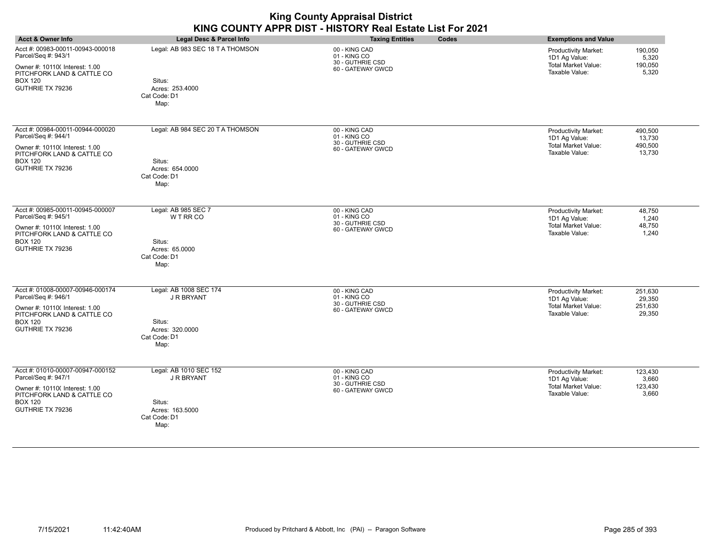| <b>Acct &amp; Owner Info</b>                                                                                                                                  | Legal Desc & Parcel Info                                                                  | <b>Taxing Entities</b><br>Codes                                        | <b>Exemptions and Value</b>                                                                                                          |
|---------------------------------------------------------------------------------------------------------------------------------------------------------------|-------------------------------------------------------------------------------------------|------------------------------------------------------------------------|--------------------------------------------------------------------------------------------------------------------------------------|
| Acct #: 00983-00011-00943-000018<br>Parcel/Seq #: 943/1<br>Owner #: 10110( Interest: 1.00<br>PITCHFORK LAND & CATTLE CO<br><b>BOX 120</b><br>GUTHRIE TX 79236 | Legal: AB 983 SEC 18 T A THOMSON<br>Situs:<br>Acres: 253.4000<br>Cat Code: D1<br>Map:     | 00 - KING CAD<br>01 - KING CO<br>30 - GUTHRIE CSD<br>60 - GATEWAY GWCD | <b>Productivity Market:</b><br>190,050<br>5,320<br>1D1 Ag Value:<br><b>Total Market Value:</b><br>190,050<br>Taxable Value:<br>5,320 |
| Acct #: 00984-00011-00944-000020<br>Parcel/Seq #: 944/1<br>Owner #: 10110( Interest: 1.00<br>PITCHFORK LAND & CATTLE CO<br><b>BOX 120</b><br>GUTHRIE TX 79236 | Legal: AB 984 SEC 20 T A THOMSON<br>Situs:<br>Acres: 654.0000<br>Cat Code: D1<br>Map:     | 00 - KING CAD<br>01 - KING CO<br>30 - GUTHRIE CSD<br>60 - GATEWAY GWCD | Productivity Market:<br>490,500<br>1D1 Ag Value:<br>13,730<br>Total Market Value:<br>490,500<br>Taxable Value:<br>13,730             |
| Acct #: 00985-00011-00945-000007<br>Parcel/Seq #: 945/1<br>Owner #: 10110( Interest: 1.00<br>PITCHFORK LAND & CATTLE CO<br><b>BOX 120</b><br>GUTHRIE TX 79236 | Legal: AB 985 SEC 7<br>W T RR CO<br>Situs:<br>Acres: 65.0000<br>Cat Code: D1<br>Map:      | 00 - KING CAD<br>01 - KING CO<br>30 - GUTHRIE CSD<br>60 - GATEWAY GWCD | <b>Productivity Market:</b><br>48,750<br>1D1 Ag Value:<br>1,240<br><b>Total Market Value:</b><br>48,750<br>Taxable Value:<br>1,240   |
| Acct #: 01008-00007-00946-000174<br>Parcel/Seq #: 946/1<br>Owner #: 10110( Interest: 1.00<br>PITCHFORK LAND & CATTLE CO<br><b>BOX 120</b><br>GUTHRIE TX 79236 | Legal: AB 1008 SEC 174<br>J R BRYANT<br>Situs:<br>Acres: 320.0000<br>Cat Code: D1<br>Map: | 00 - KING CAD<br>01 - KING CO<br>30 - GUTHRIE CSD<br>60 - GATEWAY GWCD | <b>Productivity Market:</b><br>251,630<br>1D1 Ag Value:<br>29,350<br>Total Market Value:<br>251,630<br>Taxable Value:<br>29,350      |
| Acct #: 01010-00007-00947-000152<br>Parcel/Seq #: 947/1<br>Owner #: 10110( Interest: 1.00<br>PITCHFORK LAND & CATTLE CO<br><b>BOX 120</b><br>GUTHRIE TX 79236 | Legal: AB 1010 SEC 152<br>J R BRYANT<br>Situs:<br>Acres: 163.5000<br>Cat Code: D1<br>Map: | 00 - KING CAD<br>01 - KING CO<br>30 - GUTHRIE CSD<br>60 - GATEWAY GWCD | Productivity Market:<br>123,430<br>1D1 Ag Value:<br>3,660<br><b>Total Market Value:</b><br>123,430<br>Taxable Value:<br>3,660        |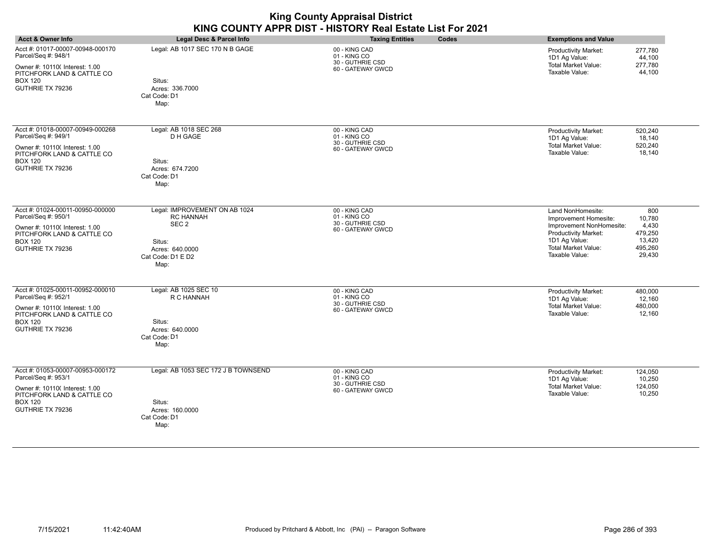|                                                                                                                                                               |                                                                                                                                 | <b>King County Appraisal District</b><br>KING COUNTY APPR DIST - HISTORY Real Estate List For 2021 |                                                                                                                                                                                                                                            |
|---------------------------------------------------------------------------------------------------------------------------------------------------------------|---------------------------------------------------------------------------------------------------------------------------------|----------------------------------------------------------------------------------------------------|--------------------------------------------------------------------------------------------------------------------------------------------------------------------------------------------------------------------------------------------|
| <b>Acct &amp; Owner Info</b>                                                                                                                                  | Legal Desc & Parcel Info                                                                                                        | <b>Taxing Entities</b><br>Codes                                                                    | <b>Exemptions and Value</b>                                                                                                                                                                                                                |
| Acct #: 01017-00007-00948-000170<br>Parcel/Seq #: 948/1<br>Owner #: 10110( Interest: 1.00<br>PITCHFORK LAND & CATTLE CO<br><b>BOX 120</b><br>GUTHRIE TX 79236 | Legal: AB 1017 SEC 170 N B GAGE<br>Situs:<br>Acres: 336.7000<br>Cat Code: D1<br>Map:                                            | 00 - KING CAD<br>01 - KING CO<br>30 - GUTHRIE CSD<br>60 - GATEWAY GWCD                             | <b>Productivity Market:</b><br>277,780<br>1D1 Ag Value:<br>44.100<br><b>Total Market Value:</b><br>277.780<br>Taxable Value:<br>44,100                                                                                                     |
| Acct #: 01018-00007-00949-000268<br>Parcel/Seq #: 949/1<br>Owner #: 10110( Interest: 1.00<br>PITCHFORK LAND & CATTLE CO<br><b>BOX 120</b><br>GUTHRIE TX 79236 | Legal: AB 1018 SEC 268<br>D H GAGE<br>Situs:<br>Acres: 674.7200<br>Cat Code: D1<br>Map:                                         | 00 - KING CAD<br>01 - KING CO<br>30 - GUTHRIE CSD<br>60 - GATEWAY GWCD                             | <b>Productivity Market:</b><br>520,240<br>1D1 Ag Value:<br>18,140<br><b>Total Market Value:</b><br>520,240<br>Taxable Value:<br>18,140                                                                                                     |
| Acct #: 01024-00011-00950-000000<br>Parcel/Seq #: 950/1<br>Owner #: 10110( Interest: 1.00<br>PITCHFORK LAND & CATTLE CO<br><b>BOX 120</b><br>GUTHRIE TX 79236 | Legal: IMPROVEMENT ON AB 1024<br><b>RC HANNAH</b><br>SEC <sub>2</sub><br>Situs:<br>Acres: 640.0000<br>Cat Code: D1 E D2<br>Map: | 00 - KING CAD<br>01 - KING CO<br>30 - GUTHRIE CSD<br>60 - GATEWAY GWCD                             | 800<br>Land NonHomesite:<br>10,780<br>Improvement Homesite:<br>Improvement NonHomesite:<br>4,430<br><b>Productivity Market:</b><br>479,250<br>1D1 Ag Value:<br>13,420<br><b>Total Market Value:</b><br>495,260<br>Taxable Value:<br>29,430 |
| Acct #: 01025-00011-00952-000010<br>Parcel/Seq #: 952/1<br>Owner #: 10110( Interest: 1.00<br>PITCHFORK LAND & CATTLE CO<br><b>BOX 120</b><br>GUTHRIE TX 79236 | Legal: AB 1025 SEC 10<br>R C HANNAH<br>Situs:<br>Acres: 640,0000<br>Cat Code: D1<br>Map:                                        | 00 - KING CAD<br>01 - KING CO<br>30 - GUTHRIE CSD<br>60 - GATEWAY GWCD                             | <b>Productivity Market:</b><br>480,000<br>1D1 Ag Value:<br>12.160<br><b>Total Market Value:</b><br>480,000<br>Taxable Value:<br>12,160                                                                                                     |
| Acct #: 01053-00007-00953-000172<br>Parcel/Seq #: 953/1<br>Owner #: 10110( Interest: 1.00<br>PITCHFORK LAND & CATTLE CO<br><b>BOX 120</b><br>GUTHRIE TX 79236 | Legal: AB 1053 SEC 172 J B TOWNSEND<br>Situs:<br>Acres: 160.0000<br>Cat Code: D1<br>Map:                                        | 00 - KING CAD<br>01 - KING CO<br>30 - GUTHRIE CSD<br>60 - GATEWAY GWCD                             | <b>Productivity Market:</b><br>124,050<br>1D1 Ag Value:<br>10,250<br><b>Total Market Value:</b><br>124,050<br>Taxable Value:<br>10,250                                                                                                     |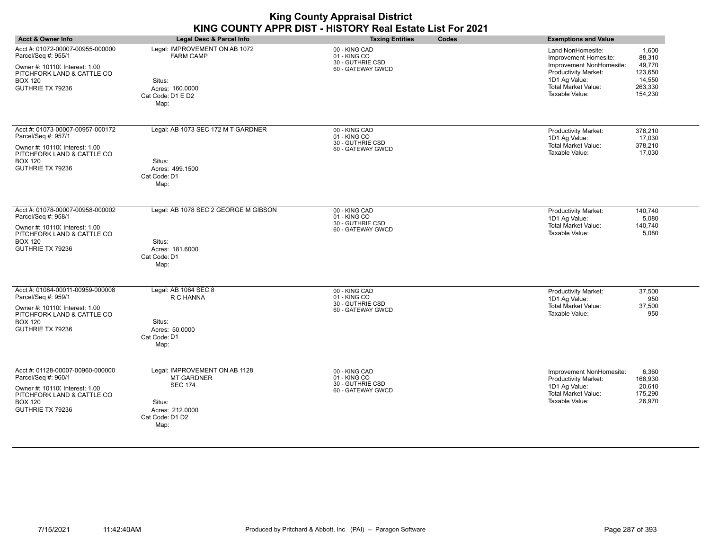| <b>Acct &amp; Owner Info</b>                                                                                                                                  | Legal Desc & Parcel Info                                                                                                     | <b>Taxing Entities</b><br>Codes                                        | <b>Exemptions and Value</b>                                                                                                                                                                                                             |
|---------------------------------------------------------------------------------------------------------------------------------------------------------------|------------------------------------------------------------------------------------------------------------------------------|------------------------------------------------------------------------|-----------------------------------------------------------------------------------------------------------------------------------------------------------------------------------------------------------------------------------------|
| Acct #: 01072-00007-00955-000000<br>Parcel/Seq #: 955/1<br>Owner #: 101100 Interest: 1.00<br>PITCHFORK LAND & CATTLE CO<br><b>BOX 120</b><br>GUTHRIE TX 79236 | Legal: IMPROVEMENT ON AB 1072<br><b>FARM CAMP</b><br>Situs:<br>Acres: 160,0000<br>Cat Code: D1 E D2<br>Map:                  | 00 - KING CAD<br>01 - KING CO<br>30 - GUTHRIE CSD<br>60 - GATEWAY GWCD | 1,600<br>Land NonHomesite:<br>88,310<br>Improvement Homesite:<br>49,770<br>Improvement NonHomesite:<br>Productivity Market:<br>123,650<br>1D1 Ag Value:<br>14,550<br><b>Total Market Value:</b><br>263,330<br>Taxable Value:<br>154,230 |
| Acct #: 01073-00007-00957-000172<br>Parcel/Seq #: 957/1<br>Owner #: 10110( Interest: 1.00<br>PITCHFORK LAND & CATTLE CO<br><b>BOX 120</b><br>GUTHRIE TX 79236 | Legal: AB 1073 SEC 172 M T GARDNER<br>Situs:<br>Acres: 499.1500<br>Cat Code: D1<br>Map:                                      | 00 - KING CAD<br>01 - KING CO<br>30 - GUTHRIE CSD<br>60 - GATEWAY GWCD | 378,210<br>Productivity Market:<br>1D1 Ag Value:<br>17,030<br><b>Total Market Value:</b><br>378,210<br>Taxable Value:<br>17,030                                                                                                         |
| Acct #: 01078-00007-00958-000002<br>Parcel/Seq #: 958/1<br>Owner #: 10110( Interest: 1.00<br>PITCHFORK LAND & CATTLE CO<br><b>BOX 120</b><br>GUTHRIE TX 79236 | Legal: AB 1078 SEC 2 GEORGE M GIBSON<br>Situs:<br>Acres: 181.6000<br>Cat Code: D1<br>Map:                                    | 00 - KING CAD<br>01 - KING CO<br>30 - GUTHRIE CSD<br>60 - GATEWAY GWCD | Productivity Market:<br>140.740<br>1D1 Ag Value:<br>5,080<br><b>Total Market Value:</b><br>140,740<br>Taxable Value:<br>5,080                                                                                                           |
| Acct #: 01084-00011-00959-000008<br>Parcel/Seq #: 959/1<br>Owner #: 10110( Interest: 1.00<br>PITCHFORK LAND & CATTLE CO<br><b>BOX 120</b><br>GUTHRIE TX 79236 | Legal: AB 1084 SEC 8<br>R C HANNA<br>Situs:<br>Acres: 50.0000<br>Cat Code: D1<br>Map:                                        | 00 - KING CAD<br>01 - KING CO<br>30 - GUTHRIE CSD<br>60 - GATEWAY GWCD | 37,500<br>Productivity Market:<br>1D1 Ag Value:<br>950<br><b>Total Market Value:</b><br>37,500<br>Taxable Value:<br>950                                                                                                                 |
| Acct #: 01128-00007-00960-000000<br>Parcel/Seq #: 960/1<br>Owner #: 10110( Interest: 1.00<br>PITCHFORK LAND & CATTLE CO<br><b>BOX 120</b><br>GUTHRIE TX 79236 | Legal: IMPROVEMENT ON AB 1128<br><b>MT GARDNER</b><br><b>SEC 174</b><br>Situs:<br>Acres: 212.0000<br>Cat Code: D1 D2<br>Map: | 00 - KING CAD<br>01 - KING CO<br>30 - GUTHRIE CSD<br>60 - GATEWAY GWCD | Improvement NonHomesite:<br>6,360<br>Productivity Market:<br>168,930<br>1D1 Ag Value:<br>20,610<br><b>Total Market Value:</b><br>175,290<br>Taxable Value:<br>26,970                                                                    |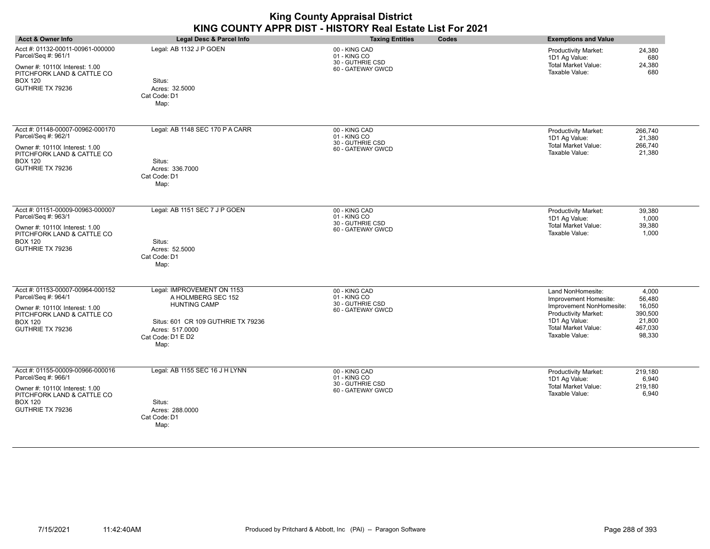| <b>King County Appraisal District</b><br>KING COUNTY APPR DIST - HISTORY Real Estate List For 2021                                                            |                                                                                                                                                               |                                                                        |                                                                                                                                                                                                                                        |
|---------------------------------------------------------------------------------------------------------------------------------------------------------------|---------------------------------------------------------------------------------------------------------------------------------------------------------------|------------------------------------------------------------------------|----------------------------------------------------------------------------------------------------------------------------------------------------------------------------------------------------------------------------------------|
| <b>Acct &amp; Owner Info</b>                                                                                                                                  | <b>Legal Desc &amp; Parcel Info</b>                                                                                                                           | <b>Taxing Entities</b><br>Codes                                        | <b>Exemptions and Value</b>                                                                                                                                                                                                            |
| Acct #: 01132-00011-00961-000000<br>Parcel/Seq #: 961/1<br>Owner #: 10110( Interest: 1.00<br>PITCHFORK LAND & CATTLE CO<br><b>BOX 120</b><br>GUTHRIE TX 79236 | Legal: AB 1132 J P GOEN<br>Situs:<br>Acres: 32.5000<br>Cat Code: D1<br>Map:                                                                                   | 00 - KING CAD<br>01 - KING CO<br>30 - GUTHRIE CSD<br>60 - GATEWAY GWCD | Productivity Market:<br>24,380<br>1D1 Ag Value:<br>680<br><b>Total Market Value:</b><br>24.380<br>680<br>Taxable Value:                                                                                                                |
| Acct #: 01148-00007-00962-000170<br>Parcel/Seq #: 962/1<br>Owner #: 101100 Interest: 1.00<br>PITCHFORK LAND & CATTLE CO<br><b>BOX 120</b><br>GUTHRIE TX 79236 | Legal: AB 1148 SEC 170 P A CARR<br>Situs:<br>Acres: 336.7000<br>Cat Code: D1<br>Map:                                                                          | 00 - KING CAD<br>01 - KING CO<br>30 - GUTHRIE CSD<br>60 - GATEWAY GWCD | Productivity Market:<br>266.740<br>1D1 Ag Value:<br>21,380<br>Total Market Value:<br>266,740<br>Taxable Value:<br>21,380                                                                                                               |
| Acct #: 01151-00009-00963-000007<br>Parcel/Seq #: 963/1<br>Owner #: 10110( Interest: 1.00<br>PITCHFORK LAND & CATTLE CO<br><b>BOX 120</b><br>GUTHRIE TX 79236 | Legal: AB 1151 SEC 7 J P GOEN<br>Situs:<br>Acres: 52.5000<br>Cat Code: D1<br>Map:                                                                             | 00 - KING CAD<br>01 - KING CO<br>30 - GUTHRIE CSD<br>60 - GATEWAY GWCD | 39,380<br>Productivity Market:<br>1D1 Ag Value:<br>1,000<br><b>Total Market Value:</b><br>39,380<br>Taxable Value:<br>1,000                                                                                                            |
| Acct #: 01153-00007-00964-000152<br>Parcel/Seq #: 964/1<br>Owner #: 10110( Interest: 1.00<br>PITCHFORK LAND & CATTLE CO<br><b>BOX 120</b><br>GUTHRIE TX 79236 | Legal: IMPROVEMENT ON 1153<br>A HOLMBERG SEC 152<br><b>HUNTING CAMP</b><br>Situs: 601 CR 109 GUTHRIE TX 79236<br>Acres: 517,0000<br>Cat Code: D1 E D2<br>Map: | 00 - KING CAD<br>01 - KING CO<br>30 - GUTHRIE CSD<br>60 - GATEWAY GWCD | Land NonHomesite:<br>4,000<br>56,480<br>Improvement Homesite:<br>16,050<br>Improvement NonHomesite:<br>Productivity Market:<br>390,500<br>1D1 Ag Value:<br>21,800<br><b>Total Market Value:</b><br>467,030<br>Taxable Value:<br>98,330 |
| Acct #: 01155-00009-00966-000016<br>Parcel/Seq #: 966/1<br>Owner #: 10110( Interest: 1.00<br>PITCHFORK LAND & CATTLE CO<br><b>BOX 120</b><br>GUTHRIE TX 79236 | Legal: AB 1155 SEC 16 J H LYNN<br>Situs:<br>Acres: 288,0000<br>Cat Code: D1<br>Map:                                                                           | 00 - KING CAD<br>01 - KING CO<br>30 - GUTHRIE CSD<br>60 - GATEWAY GWCD | Productivity Market:<br>219,180<br>1D1 Ag Value:<br>6,940<br><b>Total Market Value:</b><br>219,180<br>Taxable Value:<br>6,940                                                                                                          |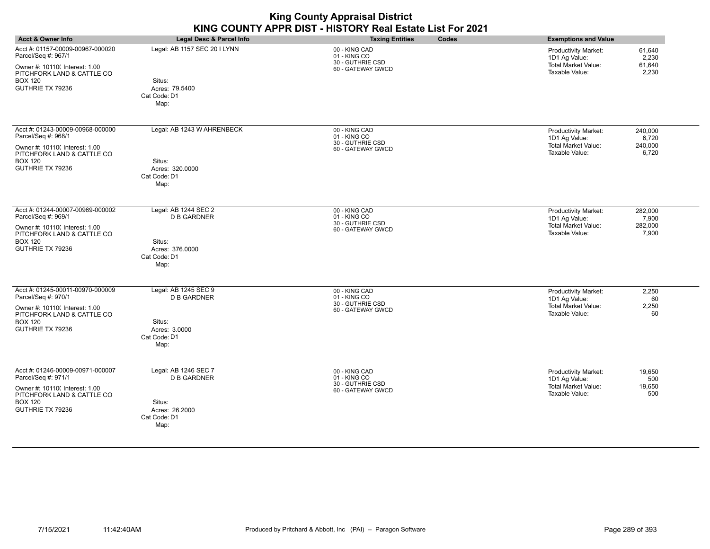|                                                                                                                                                               |                                                                                                 | $y$ county represent<br>KING COUNTY APPR DIST - HISTORY Real Estate List For 2021 |                                                                                                                                      |
|---------------------------------------------------------------------------------------------------------------------------------------------------------------|-------------------------------------------------------------------------------------------------|-----------------------------------------------------------------------------------|--------------------------------------------------------------------------------------------------------------------------------------|
| <b>Acct &amp; Owner Info</b>                                                                                                                                  | Legal Desc & Parcel Info                                                                        | Codes<br><b>Taxing Entities</b>                                                   | <b>Exemptions and Value</b>                                                                                                          |
| Acct #: 01157-00009-00967-000020<br>Parcel/Seq #: 967/1<br>Owner #: 10110( Interest: 1.00<br>PITCHFORK LAND & CATTLE CO<br><b>BOX 120</b><br>GUTHRIE TX 79236 | Legal: AB 1157 SEC 20 I LYNN<br>Situs:<br>Acres: 79.5400<br>Cat Code: D1<br>Map:                | 00 - KING CAD<br>01 - KING CO<br>30 - GUTHRIE CSD<br>60 - GATEWAY GWCD            | Productivity Market:<br>61,640<br>1D1 Ag Value:<br>2,230<br><b>Total Market Value:</b><br>61,640<br>2,230<br>Taxable Value:          |
| Acct #: 01243-00009-00968-000000<br>Parcel/Seq #: 968/1<br>Owner #: 10110( Interest: 1.00<br>PITCHFORK LAND & CATTLE CO<br><b>BOX 120</b><br>GUTHRIE TX 79236 | Legal: AB 1243 W AHRENBECK<br>Situs:<br>Acres: 320.0000<br>Cat Code: D1<br>Map:                 | 00 - KING CAD<br>01 - KING CO<br>30 - GUTHRIE CSD<br>60 - GATEWAY GWCD            | <b>Productivity Market:</b><br>240,000<br>1D1 Ag Value:<br>6,720<br><b>Total Market Value:</b><br>240,000<br>Taxable Value:<br>6,720 |
| Acct #: 01244-00007-00969-000002<br>Parcel/Seq #: 969/1<br>Owner #: 10110( Interest: 1.00<br>PITCHFORK LAND & CATTLE CO<br><b>BOX 120</b><br>GUTHRIE TX 79236 | Legal: AB 1244 SEC 2<br><b>D B GARDNER</b><br>Situs:<br>Acres: 376.0000<br>Cat Code: D1<br>Map: | 00 - KING CAD<br>01 - KING CO<br>30 - GUTHRIE CSD<br>60 - GATEWAY GWCD            | Productivity Market:<br>282,000<br>1D1 Ag Value:<br>7,900<br><b>Total Market Value:</b><br>282,000<br>Taxable Value:<br>7,900        |
| Acct #: 01245-00011-00970-000009<br>Parcel/Seq #: 970/1<br>Owner #: 10110( Interest: 1.00<br>PITCHFORK LAND & CATTLE CO<br><b>BOX 120</b><br>GUTHRIE TX 79236 | Legal: AB 1245 SEC 9<br><b>D B GARDNER</b><br>Situs:<br>Acres: 3.0000<br>Cat Code: D1<br>Map:   | 00 - KING CAD<br>01 - KING CO<br>30 - GUTHRIE CSD<br>60 - GATEWAY GWCD            | 2,250<br><b>Productivity Market:</b><br>1D1 Ag Value:<br>60<br><b>Total Market Value:</b><br>2,250<br>Taxable Value:<br>60           |
| Acct #: 01246-00009-00971-000007<br>Parcel/Seq #: 971/1<br>Owner #: 10110( Interest: 1.00<br>PITCHFORK LAND & CATTLE CO<br><b>BOX 120</b><br>GUTHRIE TX 79236 | Legal: AB 1246 SEC 7<br><b>D B GARDNER</b><br>Situs:<br>Acres: 26.2000<br>Cat Code: D1<br>Map:  | 00 - KING CAD<br>01 - KING CO<br>30 - GUTHRIE CSD<br>60 - GATEWAY GWCD            | 19,650<br><b>Productivity Market:</b><br>1D1 Ag Value:<br>500<br><b>Total Market Value:</b><br>19,650<br>Taxable Value:<br>500       |

# **King County Appraisal District**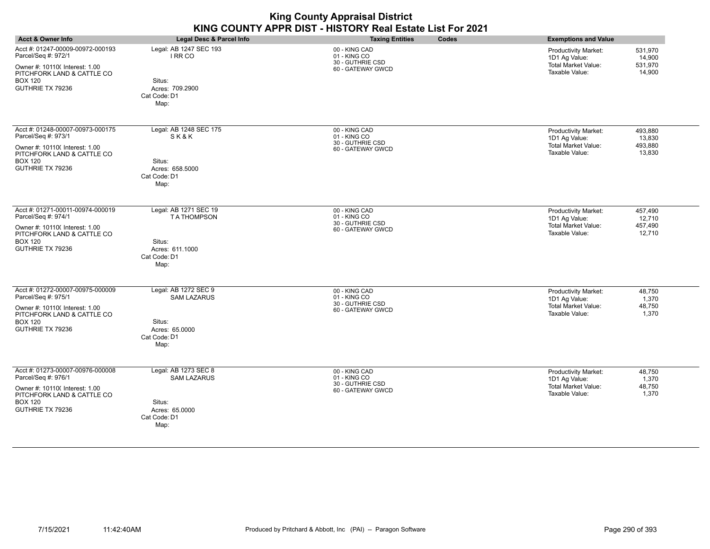|                                                                                                                                                               |                                                                                                 | <b>King County Appraisal District</b><br>KING COUNTY APPR DIST - HISTORY Real Estate List For 2021 |                                                                                                                                 |
|---------------------------------------------------------------------------------------------------------------------------------------------------------------|-------------------------------------------------------------------------------------------------|----------------------------------------------------------------------------------------------------|---------------------------------------------------------------------------------------------------------------------------------|
| <b>Acct &amp; Owner Info</b>                                                                                                                                  | <b>Legal Desc &amp; Parcel Info</b>                                                             | <b>Taxing Entities</b><br>Codes                                                                    | <b>Exemptions and Value</b>                                                                                                     |
| Acct #: 01247-00009-00972-000193<br>Parcel/Seq #: 972/1<br>Owner #: 10110( Interest: 1.00<br>PITCHFORK LAND & CATTLE CO<br><b>BOX 120</b><br>GUTHRIE TX 79236 | Legal: AB 1247 SEC 193<br>I RR CO<br>Situs:<br>Acres: 709.2900<br>Cat Code: D1<br>Map:          | 00 - KING CAD<br>01 - KING CO<br>30 - GUTHRIE CSD<br>60 - GATEWAY GWCD                             | Productivity Market:<br>531,970<br>1D1 Ag Value:<br>14.900<br><b>Total Market Value:</b><br>531,970<br>Taxable Value:<br>14,900 |
| Acct #: 01248-00007-00973-000175<br>Parcel/Seq #: 973/1<br>Owner #: 10110( Interest: 1.00<br>PITCHFORK LAND & CATTLE CO<br><b>BOX 120</b><br>GUTHRIE TX 79236 | Legal: AB 1248 SEC 175<br><b>SK&amp;K</b><br>Situs:<br>Acres: 658.5000<br>Cat Code: D1<br>Map:  | 00 - KING CAD<br>01 - KING CO<br>30 - GUTHRIE CSD<br>60 - GATEWAY GWCD                             | Productivity Market:<br>493,880<br>1D1 Ag Value:<br>13,830<br><b>Total Market Value:</b><br>493,880<br>Taxable Value:<br>13,830 |
| Acct #: 01271-00011-00974-000019<br>Parcel/Seq #: 974/1<br>Owner #: 10110( Interest: 1.00<br>PITCHFORK LAND & CATTLE CO<br><b>BOX 120</b><br>GUTHRIE TX 79236 | Legal: AB 1271 SEC 19<br><b>TATHOMPSON</b><br>Situs:<br>Acres: 611.1000<br>Cat Code: D1<br>Map: | 00 - KING CAD<br>01 - KING CO<br>30 - GUTHRIE CSD<br>60 - GATEWAY GWCD                             | 457,490<br>Productivity Market:<br>1D1 Ag Value:<br>12,710<br><b>Total Market Value:</b><br>457,490<br>Taxable Value:<br>12,710 |
| Acct #: 01272-00007-00975-000009<br>Parcel/Seq #: 975/1<br>Owner #: 10110( Interest: 1.00<br>PITCHFORK LAND & CATTLE CO<br><b>BOX 120</b><br>GUTHRIE TX 79236 | Legal: AB 1272 SEC 9<br><b>SAM LAZARUS</b><br>Situs:<br>Acres: 65,0000<br>Cat Code: D1<br>Map:  | 00 - KING CAD<br>01 - KING CO<br>30 - GUTHRIE CSD<br>60 - GATEWAY GWCD                             | Productivity Market:<br>48,750<br>1D1 Ag Value:<br>1,370<br>Total Market Value:<br>48,750<br>Taxable Value:<br>1,370            |
| Acct #: 01273-00007-00976-000008<br>Parcel/Seq #: 976/1<br>Owner #: 10110( Interest: 1.00<br>PITCHFORK LAND & CATTLE CO<br><b>BOX 120</b><br>GUTHRIE TX 79236 | Legal: AB 1273 SEC 8<br><b>SAM LAZARUS</b><br>Situs:<br>Acres: 65,0000<br>Cat Code: D1<br>Map:  | 00 - KING CAD<br>01 - KING CO<br>30 - GUTHRIE CSD<br>60 - GATEWAY GWCD                             | 48,750<br>Productivity Market:<br>1D1 Ag Value:<br>1,370<br><b>Total Market Value:</b><br>48,750<br>Taxable Value:<br>1,370     |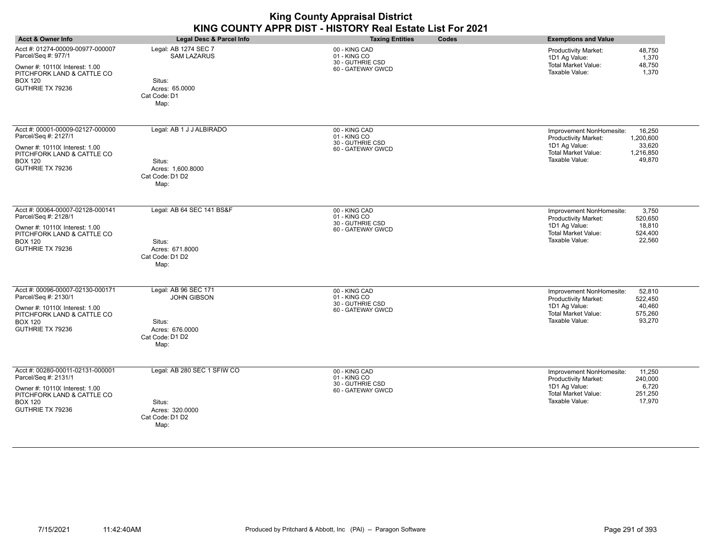|                                                                                                                                                                |                                                                                                    | <b>King County Appraisal District</b><br>KING COUNTY APPR DIST - HISTORY Real Estate List For 2021 |                                                                                                                                                                                  |
|----------------------------------------------------------------------------------------------------------------------------------------------------------------|----------------------------------------------------------------------------------------------------|----------------------------------------------------------------------------------------------------|----------------------------------------------------------------------------------------------------------------------------------------------------------------------------------|
| <b>Acct &amp; Owner Info</b>                                                                                                                                   | Legal Desc & Parcel Info                                                                           | Codes<br><b>Taxing Entities</b>                                                                    | <b>Exemptions and Value</b>                                                                                                                                                      |
| Acct #: 01274-00009-00977-000007<br>Parcel/Seq #: 977/1<br>Owner #: 10110( Interest: 1.00<br>PITCHFORK LAND & CATTLE CO<br><b>BOX 120</b><br>GUTHRIE TX 79236  | Legal: AB 1274 SEC 7<br><b>SAM LAZARUS</b><br>Situs:<br>Acres: 65,0000<br>Cat Code: D1<br>Map:     | 00 - KING CAD<br>01 - KING CO<br>30 - GUTHRIE CSD<br>60 - GATEWAY GWCD                             | <b>Productivity Market:</b><br>48,750<br>1D1 Ag Value:<br>1,370<br><b>Total Market Value:</b><br>48,750<br>Taxable Value:<br>1,370                                               |
| Acct #: 00001-00009-02127-000000<br>Parcel/Seq #: 2127/1<br>Owner #: 101100 Interest: 1.00<br>PITCHFORK LAND & CATTLE CO<br><b>BOX 120</b><br>GUTHRIE TX 79236 | Legal: AB 1 J J ALBIRADO<br>Situs:<br>Acres: 1,600.8000<br>Cat Code: D1 D2<br>Map:                 | 00 - KING CAD<br>01 - KING CO<br>30 - GUTHRIE CSD<br>60 - GATEWAY GWCD                             | Improvement NonHomesite:<br>16,250<br><b>Productivity Market:</b><br>1,200,600<br>1D1 Ag Value:<br>33,620<br><b>Total Market Value:</b><br>1,216,850<br>Taxable Value:<br>49,870 |
| Acct #: 00064-00007-02128-000141<br>Parcel/Seq #: 2128/1<br>Owner #: 10110( Interest: 1.00<br>PITCHFORK LAND & CATTLE CO<br><b>BOX 120</b><br>GUTHRIE TX 79236 | Legal: AB 64 SEC 141 BS&F<br>Situs:<br>Acres: 671.8000<br>Cat Code: D1 D2<br>Map:                  | 00 - KING CAD<br>01 - KING CO<br>30 - GUTHRIE CSD<br>60 - GATEWAY GWCD                             | 3,750<br>Improvement NonHomesite:<br><b>Productivity Market:</b><br>520,650<br>1D1 Ag Value:<br>18,810<br><b>Total Market Value:</b><br>524.400<br>Taxable Value:<br>22.560      |
| Acct #: 00096-00007-02130-000171<br>Parcel/Seq #: 2130/1<br>Owner #: 10110( Interest: 1.00<br>PITCHFORK LAND & CATTLE CO<br><b>BOX 120</b><br>GUTHRIE TX 79236 | Legal: AB 96 SEC 171<br><b>JOHN GIBSON</b><br>Situs:<br>Acres: 676.0000<br>Cat Code: D1 D2<br>Map: | 00 - KING CAD<br>01 - KING CO<br>30 - GUTHRIE CSD<br>60 - GATEWAY GWCD                             | Improvement NonHomesite:<br>52,810<br><b>Productivity Market:</b><br>522.450<br>1D1 Ag Value:<br>40,460<br><b>Total Market Value:</b><br>575,260<br>Taxable Value:<br>93,270     |
| Acct #: 00280-00011-02131-000001<br>Parcel/Seq #: 2131/1<br>Owner #: 10110( Interest: 1.00<br>PITCHFORK LAND & CATTLE CO<br><b>BOX 120</b><br>GUTHRIE TX 79236 | Legal: AB 280 SEC 1 SFIW CO<br>Situs:<br>Acres: 320.0000<br>Cat Code: D1 D2<br>Map:                | 00 - KING CAD<br>01 - KING CO<br>30 - GUTHRIE CSD<br>60 - GATEWAY GWCD                             | Improvement NonHomesite:<br>11,250<br><b>Productivity Market:</b><br>240,000<br>1D1 Ag Value:<br>6,720<br><b>Total Market Value:</b><br>251,250<br>Taxable Value:<br>17,970      |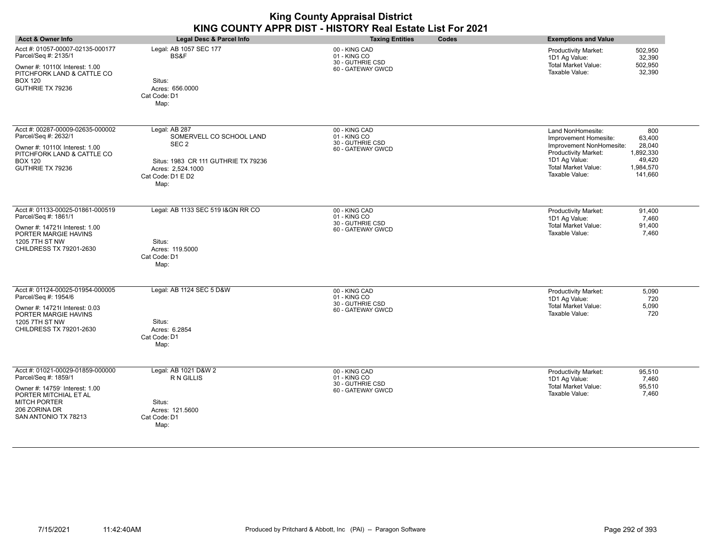|                                                                                                                                                                                     |                                                                                                                                                        | <b>King County Appraisal District</b><br>KING COUNTY APPR DIST - HISTORY Real Estate List For 2021 |       |                                                                                                                                                                 |                                                                        |
|-------------------------------------------------------------------------------------------------------------------------------------------------------------------------------------|--------------------------------------------------------------------------------------------------------------------------------------------------------|----------------------------------------------------------------------------------------------------|-------|-----------------------------------------------------------------------------------------------------------------------------------------------------------------|------------------------------------------------------------------------|
| <b>Acct &amp; Owner Info</b>                                                                                                                                                        | <b>Legal Desc &amp; Parcel Info</b>                                                                                                                    | <b>Taxing Entities</b>                                                                             | Codes | <b>Exemptions and Value</b>                                                                                                                                     |                                                                        |
| Acct #: 01057-00007-02135-000177<br>Parcel/Seq #: 2135/1<br>Owner #: 10110( Interest: 1.00<br>PITCHFORK LAND & CATTLE CO<br><b>BOX 120</b><br>GUTHRIE TX 79236                      | Legal: AB 1057 SEC 177<br>BS&F<br>Situs:<br>Acres: 656.0000<br>Cat Code: D1<br>Map:                                                                    | 00 - KING CAD<br>01 - KING CO<br>30 - GUTHRIE CSD<br>60 - GATEWAY GWCD                             |       | Productivity Market:<br>1D1 Ag Value:<br><b>Total Market Value:</b><br>Taxable Value:                                                                           | 502,950<br>32,390<br>502,950<br>32,390                                 |
| Acct #: 00287-00009-02635-000002<br>Parcel/Seq #: 2632/1<br>Owner #: 10110( Interest: 1.00<br>PITCHFORK LAND & CATTLE CO<br><b>BOX 120</b><br>GUTHRIE TX 79236                      | Legal: AB 287<br>SOMERVELL CO SCHOOL LAND<br>SEC <sub>2</sub><br>Situs: 1983 CR 111 GUTHRIE TX 79236<br>Acres: 2.524.1000<br>Cat Code: D1 E D2<br>Map: | 00 - KING CAD<br>01 - KING CO<br>30 - GUTHRIE CSD<br>60 - GATEWAY GWCD                             |       | Land NonHomesite:<br>Improvement Homesite:<br>Improvement NonHomesite:<br>Productivity Market:<br>1D1 Ag Value:<br><b>Total Market Value:</b><br>Taxable Value: | 800<br>63,400<br>28,040<br>1,892,330<br>49,420<br>1,984,570<br>141,660 |
| Acct #: 01133-00025-01861-000519<br>Parcel/Seq #: 1861/1<br>Owner #: 147216 Interest: 1.00<br>PORTER MARGIE HAVINS<br><b>1205 7TH ST NW</b><br>CHILDRESS TX 79201-2630              | Legal: AB 1133 SEC 519 I&GN RR CO<br>Situs:<br>Acres: 119.5000<br>Cat Code: D1<br>Map:                                                                 | 00 - KING CAD<br>01 - KING CO<br>30 - GUTHRIE CSD<br>60 - GATEWAY GWCD                             |       | Productivity Market:<br>1D1 Ag Value:<br><b>Total Market Value:</b><br>Taxable Value:                                                                           | 91,400<br>7,460<br>91,400<br>7,460                                     |
| Acct #: 01124-00025-01954-000005<br>Parcel/Seq #: 1954/6<br>Owner #: 14721( Interest: 0.03<br>PORTER MARGIE HAVINS<br><b>1205 7TH ST NW</b><br>CHILDRESS TX 79201-2630              | Legal: AB 1124 SEC 5 D&W<br>Situs:<br>Acres: 6.2854<br>Cat Code: D1<br>Map:                                                                            | 00 - KING CAD<br>01 - KING CO<br>30 - GUTHRIE CSD<br>60 - GATEWAY GWCD                             |       | Productivity Market:<br>1D1 Ag Value:<br><b>Total Market Value:</b><br>Taxable Value:                                                                           | 5,090<br>720<br>5,090<br>720                                           |
| Acct #: 01021-00029-01859-000000<br>Parcel/Seq #: 1859/1<br>Owner #: 14759' Interest: 1.00<br>PORTER MITCHIAL ET AL<br><b>MITCH PORTER</b><br>206 ZORINA DR<br>SAN ANTONIO TX 78213 | Legal: AB 1021 D&W 2<br>R N GILLIS<br>Situs:<br>Acres: 121.5600<br>Cat Code: D1<br>Map:                                                                | 00 - KING CAD<br>01 - KING CO<br>30 - GUTHRIE CSD<br>60 - GATEWAY GWCD                             |       | Productivity Market:<br>1D1 Ag Value:<br><b>Total Market Value:</b><br>Taxable Value:                                                                           | 95,510<br>7,460<br>95,510<br>7,460                                     |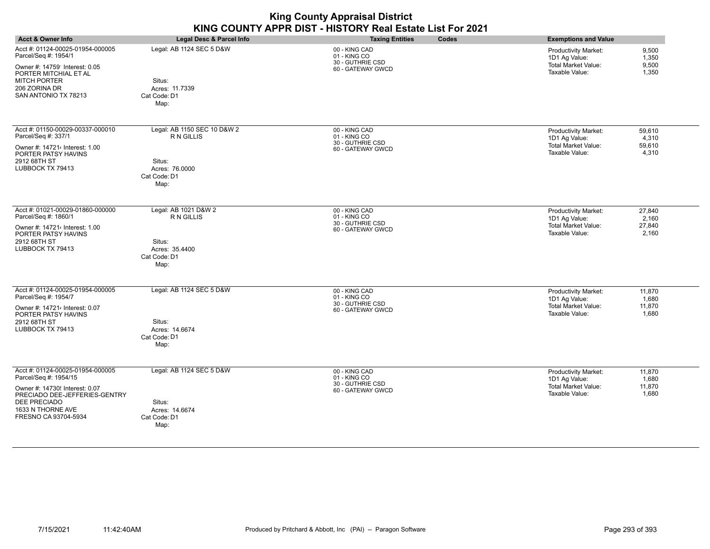| <b>Acct &amp; Owner Info</b>                                                                                                                                                              | <b>Legal Desc &amp; Parcel Info</b>                                                           | <b>Taxing Entities</b><br>Codes                                        | <b>Exemptions and Value</b>                                                                                                        |
|-------------------------------------------------------------------------------------------------------------------------------------------------------------------------------------------|-----------------------------------------------------------------------------------------------|------------------------------------------------------------------------|------------------------------------------------------------------------------------------------------------------------------------|
| Acct #: 01124-00025-01954-000005<br>Parcel/Seq #: 1954/1<br>Owner #: 14759' Interest: 0.05<br>PORTER MITCHIAL ET AL<br><b>MITCH PORTER</b><br>206 ZORINA DR<br>SAN ANTONIO TX 78213       | Legal: AB 1124 SEC 5 D&W<br>Situs:<br>Acres: 11.7339<br>Cat Code: D1<br>Map:                  | 00 - KING CAD<br>01 - KING CO<br>30 - GUTHRIE CSD<br>60 - GATEWAY GWCD | 9,500<br>Productivity Market:<br>1D1 Ag Value:<br>1,350<br><b>Total Market Value:</b><br>9,500<br>Taxable Value:<br>1,350          |
| Acct #: 01150-00029-00337-000010<br>Parcel/Seq #: 337/1<br>Owner #: 147214 Interest: 1.00<br>PORTER PATSY HAVINS<br>2912 68TH ST<br>LUBBOCK TX 79413                                      | Legal: AB 1150 SEC 10 D&W 2<br>R N GILLIS<br>Situs:<br>Acres: 76.0000<br>Cat Code: D1<br>Map: | 00 - KING CAD<br>01 - KING CO<br>30 - GUTHRIE CSD<br>60 - GATEWAY GWCD | 59,610<br><b>Productivity Market:</b><br>4,310<br>1D1 Ag Value:<br><b>Total Market Value:</b><br>59,610<br>Taxable Value:<br>4,310 |
| Acct #: 01021-00029-01860-000000<br>Parcel/Seq #: 1860/1<br>Owner #: 147214 Interest: 1.00<br>PORTER PATSY HAVINS<br>2912 68TH ST<br>LUBBOCK TX 79413                                     | Legal: AB 1021 D&W 2<br>R N GILLIS<br>Situs:<br>Acres: 35.4400<br>Cat Code: D1<br>Map:        | 00 - KING CAD<br>01 - KING CO<br>30 - GUTHRIE CSD<br>60 - GATEWAY GWCD | 27,840<br>Productivity Market:<br>1D1 Ag Value:<br>2,160<br><b>Total Market Value:</b><br>27,840<br>Taxable Value:<br>2,160        |
| Acct #: 01124-00025-01954-000005<br>Parcel/Seq #: 1954/7<br>Owner #: 147214 Interest: 0.07<br>PORTER PATSY HAVINS<br>2912 68TH ST<br>LUBBOCK TX 79413                                     | Legal: AB 1124 SEC 5 D&W<br>Situs:<br>Acres: 14.6674<br>Cat Code: D1<br>Map:                  | 00 - KING CAD<br>01 - KING CO<br>30 - GUTHRIE CSD<br>60 - GATEWAY GWCD | Productivity Market:<br>11,870<br>1D1 Ag Value:<br>1,680<br><b>Total Market Value:</b><br>11,870<br>Taxable Value:<br>1,680        |
| Acct #: 01124-00025-01954-000005<br>Parcel/Seq #: 1954/15<br>Owner #: 14730! Interest: 0.07<br>PRECIADO DEE-JEFFERIES-GENTRY<br>DEE PRECIADO<br>1633 N THORNE AVE<br>FRESNO CA 93704-5934 | Legal: AB 1124 SEC 5 D&W<br>Situs:<br>Acres: 14.6674<br>Cat Code: D1<br>Map:                  | 00 - KING CAD<br>01 - KING CO<br>30 - GUTHRIE CSD<br>60 - GATEWAY GWCD | 11,870<br>Productivity Market:<br>1D1 Ag Value:<br>1,680<br><b>Total Market Value:</b><br>11,870<br>Taxable Value:<br>1,680        |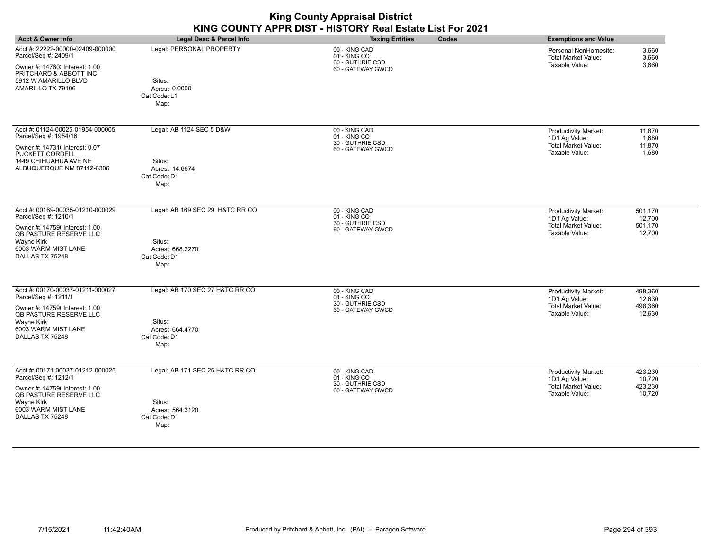| <b>Acct &amp; Owner Info</b>                                                                                                                                                 | Legal Desc & Parcel Info                                                             | <b>Taxing Entities</b><br>Codes                                        | <b>Exemptions and Value</b>                                                                                                            |
|------------------------------------------------------------------------------------------------------------------------------------------------------------------------------|--------------------------------------------------------------------------------------|------------------------------------------------------------------------|----------------------------------------------------------------------------------------------------------------------------------------|
| Acct #: 22222-00000-02409-000000<br>Parcel/Seq #: 2409/1<br>Owner #: 14760; Interest: 1.00<br>PRITCHARD & ABBOTT INC<br>5912 W AMARILLO BLVD<br>AMARILLO TX 79106            | Legal: PERSONAL PROPERTY<br>Situs:<br>Acres: 0.0000<br>Cat Code: L1<br>Map:          | 00 - KING CAD<br>01 - KING CO<br>30 - GUTHRIE CSD<br>60 - GATEWAY GWCD | 3,660<br>Personal NonHomesite:<br><b>Total Market Value:</b><br>3,660<br>Taxable Value:<br>3,660                                       |
| Acct #: 01124-00025-01954-000005<br>Parcel/Seq #: 1954/16<br>Owner #: 14731( Interest: 0.07<br>PUCKETT CORDELL<br>1449 CHIHUAHUA AVE NE<br>ALBUQUERQUE NM 87112-6306         | Legal: AB 1124 SEC 5 D&W<br>Situs:<br>Acres: 14.6674<br>Cat Code: D1<br>Map:         | 00 - KING CAD<br>01 - KING CO<br>30 - GUTHRIE CSD<br>60 - GATEWAY GWCD | Productivity Market:<br>11,870<br>1,680<br>1D1 Ag Value:<br><b>Total Market Value:</b><br>11,870<br>Taxable Value:<br>1,680            |
| Acct #: 00169-00035-01210-000029<br>Parcel/Seq #: 1210/1<br>Owner #: 14759( Interest: 1.00<br>QB PASTURE RESERVE LLC<br>Wayne Kirk<br>6003 WARM MIST LANE<br>DALLAS TX 75248 | Legal: AB 169 SEC 29 H&TC RR CO<br>Situs:<br>Acres: 668.2270<br>Cat Code: D1<br>Map: | 00 - KING CAD<br>01 - KING CO<br>30 - GUTHRIE CSD<br>60 - GATEWAY GWCD | <b>Productivity Market:</b><br>501,170<br>1D1 Ag Value:<br>12,700<br>Total Market Value:<br>501,170<br>Taxable Value:<br>12,700        |
| Acct #: 00170-00037-01211-000027<br>Parcel/Seq #: 1211/1<br>Owner #: 14759( Interest: 1.00<br>QB PASTURE RESERVE LLC<br>Wayne Kirk<br>6003 WARM MIST LANE<br>DALLAS TX 75248 | Legal: AB 170 SEC 27 H&TC RR CO<br>Situs:<br>Acres: 664.4770<br>Cat Code: D1<br>Map: | 00 - KING CAD<br>01 - KING CO<br>30 - GUTHRIE CSD<br>60 - GATEWAY GWCD | Productivity Market:<br>498,360<br>1D1 Ag Value:<br>12,630<br>Total Market Value:<br>498,360<br>Taxable Value:<br>12,630               |
| Acct #: 00171-00037-01212-000025<br>Parcel/Seq #: 1212/1<br>Owner #: 14759( Interest: 1.00<br>QB PASTURE RESERVE LLC<br>Wayne Kirk<br>6003 WARM MIST LANE<br>DALLAS TX 75248 | Legal: AB 171 SEC 25 H&TC RR CO<br>Situs:<br>Acres: 564.3120<br>Cat Code: D1<br>Map: | 00 - KING CAD<br>01 - KING CO<br>30 - GUTHRIE CSD<br>60 - GATEWAY GWCD | <b>Productivity Market:</b><br>423,230<br>1D1 Ag Value:<br>10,720<br><b>Total Market Value:</b><br>423,230<br>Taxable Value:<br>10,720 |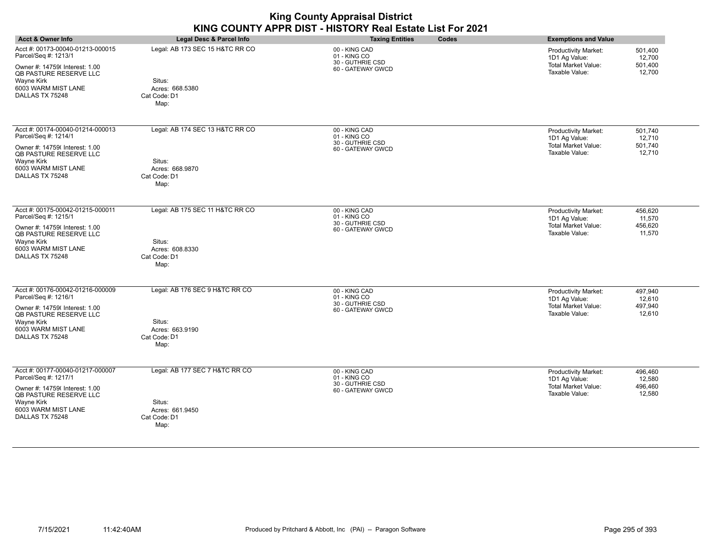| <b>King County Appraisal District</b><br>KING COUNTY APPR DIST - HISTORY Real Estate List For 2021                     |                                                   |                                       |       |                                              |                   |
|------------------------------------------------------------------------------------------------------------------------|---------------------------------------------------|---------------------------------------|-------|----------------------------------------------|-------------------|
| <b>Acct &amp; Owner Info</b>                                                                                           | Legal Desc & Parcel Info                          | <b>Taxing Entities</b>                | Codes | <b>Exemptions and Value</b>                  |                   |
| Acct #: 00173-00040-01213-000015<br>Parcel/Seq #: 1213/1                                                               | Legal: AB 173 SEC 15 H&TC RR CO                   | 00 - KING CAD<br>01 - KING CO         |       | Productivity Market:<br>1D1 Ag Value:        | 501,400<br>12,700 |
| Owner #: 14759(Interest: 1.00<br><b>QB PASTURE RESERVE LLC</b><br>Wayne Kirk<br>6003 WARM MIST LANE<br>DALLAS TX 75248 | Situs:<br>Acres: 668.5380<br>Cat Code: D1<br>Map: | 30 - GUTHRIE CSD<br>60 - GATEWAY GWCD |       | <b>Total Market Value:</b><br>Taxable Value: | 501,400<br>12.700 |
| Acct #: 00174-00040-01214-000013<br>Parcel/Seq #: 1214/1                                                               | Legal: AB 174 SEC 13 H&TC RR CO                   | 00 - KING CAD<br>01 - KING CO         |       | Productivity Market:<br>1D1 Ag Value:        | 501,740<br>12.710 |
| Owner #: 14759( Interest: 1.00<br><b>QB PASTURE RESERVE LLC</b>                                                        |                                                   | 30 - GUTHRIE CSD<br>60 - GATEWAY GWCD |       | <b>Total Market Value:</b><br>Taxable Value: | 501,740<br>12,710 |
| <b>Wayne Kirk</b><br>6003 WARM MIST LANE<br>DALLAS TX 75248                                                            | Situs:<br>Acres: 668.9870<br>Cat Code: D1<br>Map: |                                       |       |                                              |                   |
| Acct #: 00175-00042-01215-000011<br>Parcel/Seq #: 1215/1                                                               | Legal: AB 175 SEC 11 H&TC RR CO                   | 00 - KING CAD<br>01 - KING CO         |       | Productivity Market:<br>1D1 Ag Value:        | 456,620<br>11,570 |
| Owner #: 14759(Interest: 1.00<br>QB PASTURE RESERVE LLC<br><b>Wayne Kirk</b><br>6003 WARM MIST LANE<br>DALLAS TX 75248 | Situs:<br>Acres: 608.8330<br>Cat Code: D1<br>Map: | 30 - GUTHRIE CSD<br>60 - GATEWAY GWCD |       | <b>Total Market Value:</b><br>Taxable Value: | 456,620<br>11,570 |
| Acct #: 00176-00042-01216-000009<br>Parcel/Seq #: 1216/1                                                               | Legal: AB 176 SEC 9 H&TC RR CO                    | 00 - KING CAD<br>01 - KING CO         |       | Productivity Market:<br>1D1 Ag Value:        | 497,940<br>12,610 |
| Owner #: 14759( Interest: 1.00<br><b>QB PASTURE RESERVE LLC</b>                                                        |                                                   | 30 - GUTHRIE CSD<br>60 - GATEWAY GWCD |       | <b>Total Market Value:</b><br>Taxable Value: | 497,940<br>12.610 |
| Wayne Kirk<br>6003 WARM MIST LANE<br>DALLAS TX 75248                                                                   | Situs:<br>Acres: 663.9190<br>Cat Code: D1<br>Map: |                                       |       |                                              |                   |
| Acct #: 00177-00040-01217-000007<br>Parcel/Seq #: 1217/1                                                               | Legal: AB 177 SEC 7 H&TC RR CO                    | 00 - KING CAD<br>01 - KING CO         |       | Productivity Market:<br>1D1 Ag Value:        | 496,460<br>12,580 |
| Owner #: 14759( Interest: 1.00<br>QB PASTURE RESERVE LLC<br>Wayne Kirk<br>6003 WARM MIST LANE<br>DALLAS TX 75248       | Situs:<br>Acres: 661.9450<br>Cat Code: D1         | 30 - GUTHRIE CSD<br>60 - GATEWAY GWCD |       | <b>Total Market Value:</b><br>Taxable Value: | 496,460<br>12,580 |

Cat Code: D1 Map: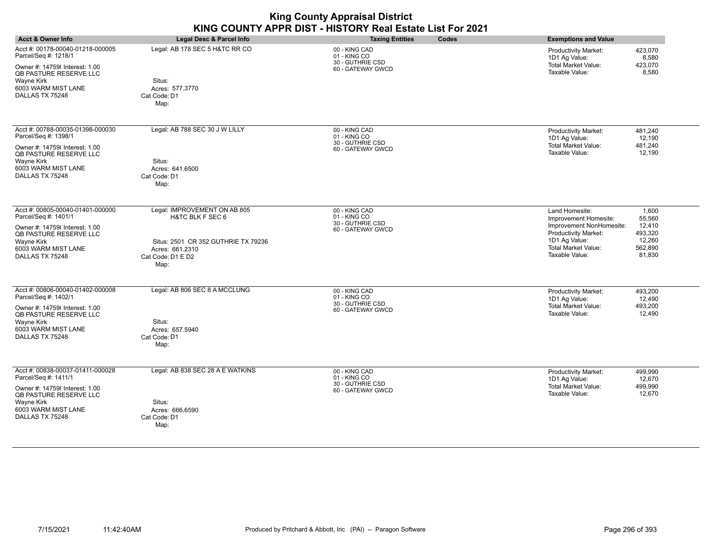| <b>Acct &amp; Owner Info</b>                                                                                                                                                               | Legal Desc & Parcel Info                                                                                                                           | <b>Taxing Entities</b><br>Codes                                        | <b>Exemptions and Value</b>                                                                                                                                                                                                         |
|--------------------------------------------------------------------------------------------------------------------------------------------------------------------------------------------|----------------------------------------------------------------------------------------------------------------------------------------------------|------------------------------------------------------------------------|-------------------------------------------------------------------------------------------------------------------------------------------------------------------------------------------------------------------------------------|
| Acct #: 00178-00040-01218-000005<br>Parcel/Seq #: 1218/1<br>Owner #: 14759(Interest: 1.00<br><b>QB PASTURE RESERVE LLC</b><br><b>Wayne Kirk</b><br>6003 WARM MIST LANE<br>DALLAS TX 75248  | Legal: AB 178 SEC 5 H&TC RR CO<br>Situs:<br>Acres: 577.3770<br>Cat Code: D1<br>Map:                                                                | 00 - KING CAD<br>01 - KING CO<br>30 - GUTHRIE CSD<br>60 - GATEWAY GWCD | <b>Productivity Market:</b><br>423,070<br>8,580<br>1D1 Ag Value:<br><b>Total Market Value:</b><br>423,070<br>Taxable Value:<br>8.580                                                                                                |
| Acct #: 00788-00035-01398-000030<br>Parcel/Seq #: 1398/1<br>Owner #: 14759( Interest: 1.00<br><b>QB PASTURE RESERVE LLC</b><br><b>Wayne Kirk</b><br>6003 WARM MIST LANE<br>DALLAS TX 75248 | Legal: AB 788 SEC 30 J W LILLY<br>Situs:<br>Acres: 641.6500<br>Cat Code: D1<br>Map:                                                                | 00 - KING CAD<br>01 - KING CO<br>30 - GUTHRIE CSD<br>60 - GATEWAY GWCD | Productivity Market:<br>481,240<br>1D1 Ag Value:<br>12,190<br><b>Total Market Value:</b><br>481,240<br>Taxable Value:<br>12,190                                                                                                     |
| Acct #: 00805-00040-01401-000000<br>Parcel/Seq #: 1401/1<br>Owner #: 14759(Interest: 1.00<br>QB PASTURE RESERVE LLC<br>Wayne Kirk<br>6003 WARM MIST LANE<br>DALLAS TX 75248                | Legal: IMPROVEMENT ON AB 805<br><b>H&amp;TC BLK F SEC 6</b><br>Situs: 2501 CR 352 GUTHRIE TX 79236<br>Acres: 661.2310<br>Cat Code: D1 E D2<br>Map: | 00 - KING CAD<br>01 - KING CO<br>30 - GUTHRIE CSD<br>60 - GATEWAY GWCD | Land Homesite:<br>1,600<br>55,560<br>Improvement Homesite:<br>Improvement NonHomesite:<br>12,410<br>Productivity Market:<br>493,320<br>1D1 Ag Value:<br>12,260<br><b>Total Market Value:</b><br>562,890<br>Taxable Value:<br>81,830 |
| Acct #: 00806-00040-01402-000008<br>Parcel/Seq #: 1402/1<br>Owner #: 14759( Interest: 1.00<br><b>QB PASTURE RESERVE LLC</b><br>Wayne Kirk<br>6003 WARM MIST LANE<br>DALLAS TX 75248        | Legal: AB 806 SEC 8 A MCCLUNG<br>Situs:<br>Acres: 657.5940<br>Cat Code: D1<br>Map:                                                                 | 00 - KING CAD<br>01 - KING CO<br>30 - GUTHRIE CSD<br>60 - GATEWAY GWCD | Productivity Market:<br>493,200<br>1D1 Ag Value:<br>12,490<br>Total Market Value:<br>493,200<br>Taxable Value:<br>12,490                                                                                                            |
| Acct #: 00838-00037-01411-000028<br>Parcel/Seq #: 1411/1<br>Owner #: 14759( Interest: 1.00<br>QB PASTURE RESERVE LLC<br>Wayne Kirk<br>6003 WARM MIST LANE<br>DALLAS TX 75248               | Legal: AB 838 SEC 28 A E WATKINS<br>Situs:<br>Acres: 666.6590<br>Cat Code: D1<br>Map:                                                              | 00 - KING CAD<br>01 - KING CO<br>30 - GUTHRIE CSD<br>60 - GATEWAY GWCD | Productivity Market:<br>499,990<br>1D1 Ag Value:<br>12,670<br><b>Total Market Value:</b><br>499,990<br>Taxable Value:<br>12,670                                                                                                     |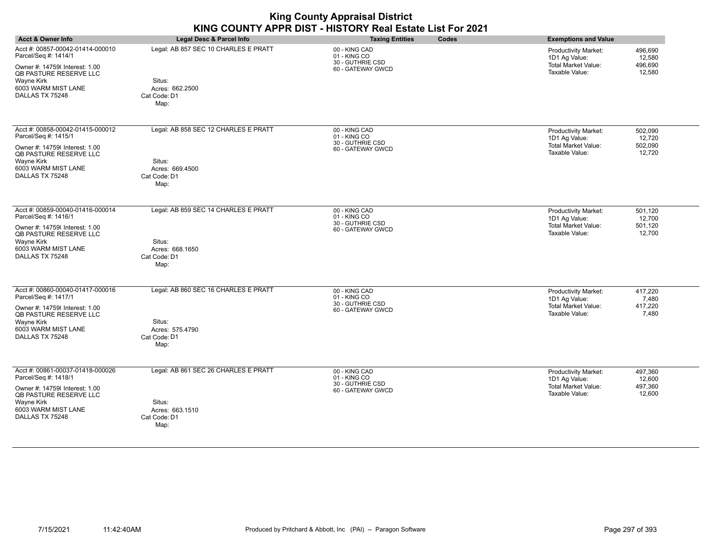| <b>Acct &amp; Owner Info</b>                                                                                                                                                               | Legal Desc & Parcel Info                                                                  | <b>Taxing Entities</b><br>Codes                                        | <b>Exemptions and Value</b>                                                                                                     |
|--------------------------------------------------------------------------------------------------------------------------------------------------------------------------------------------|-------------------------------------------------------------------------------------------|------------------------------------------------------------------------|---------------------------------------------------------------------------------------------------------------------------------|
| Acct #: 00857-00042-01414-000010<br>Parcel/Seq #: 1414/1<br>Owner #: 14759( Interest: 1.00<br>QB PASTURE RESERVE LLC<br><b>Wayne Kirk</b><br>6003 WARM MIST LANE<br>DALLAS TX 75248        | Legal: AB 857 SEC 10 CHARLES E PRATT<br>Situs:<br>Acres: 662.2500<br>Cat Code: D1<br>Map: | 00 - KING CAD<br>01 - KING CO<br>30 - GUTHRIE CSD<br>60 - GATEWAY GWCD | 496,690<br><b>Productivity Market:</b><br>1D1 Ag Value:<br>12,580<br>Total Market Value:<br>496,690<br>Taxable Value:<br>12,580 |
| Acct #: 00858-00042-01415-000012<br>Parcel/Seq #: 1415/1<br>Owner #: 14759( Interest: 1.00<br><b>QB PASTURE RESERVE LLC</b><br><b>Wayne Kirk</b><br>6003 WARM MIST LANE<br>DALLAS TX 75248 | Legal: AB 858 SEC 12 CHARLES E PRATT<br>Situs:<br>Acres: 669.4500<br>Cat Code: D1<br>Map: | 00 - KING CAD<br>01 - KING CO<br>30 - GUTHRIE CSD<br>60 - GATEWAY GWCD | 502,090<br>Productivity Market:<br>1D1 Ag Value:<br>12,720<br><b>Total Market Value:</b><br>502,090<br>Taxable Value:<br>12,720 |
| Acct #: 00859-00040-01416-000014<br>Parcel/Seq #: 1416/1<br>Owner #: 14759(Interest: 1.00<br>QB PASTURE RESERVE LLC<br><b>Wayne Kirk</b><br>6003 WARM MIST LANE<br>DALLAS TX 75248         | Legal: AB 859 SEC 14 CHARLES E PRATT<br>Situs:<br>Acres: 668.1650<br>Cat Code: D1<br>Map: | 00 - KING CAD<br>01 - KING CO<br>30 - GUTHRIE CSD<br>60 - GATEWAY GWCD | Productivity Market:<br>501,120<br>1D1 Ag Value:<br>12,700<br><b>Total Market Value:</b><br>501,120<br>Taxable Value:<br>12,700 |
| Acct #: 00860-00040-01417-000016<br>Parcel/Seq #: 1417/1<br>Owner #: 14759( Interest: 1.00<br><b>QB PASTURE RESERVE LLC</b><br>Wayne Kirk<br>6003 WARM MIST LANE<br>DALLAS TX 75248        | Legal: AB 860 SEC 16 CHARLES E PRATT<br>Situs:<br>Acres: 575.4790<br>Cat Code: D1<br>Map: | 00 - KING CAD<br>01 - KING CO<br>30 - GUTHRIE CSD<br>60 - GATEWAY GWCD | Productivity Market:<br>417.220<br>1D1 Ag Value:<br>7,480<br>Total Market Value:<br>417,220<br>Taxable Value:<br>7,480          |
| Acct #: 00861-00037-01418-000026<br>Parcel/Seq #: 1418/1<br>Owner #: 14759( Interest: 1.00<br>QB PASTURE RESERVE LLC<br><b>Wayne Kirk</b><br>6003 WARM MIST LANE<br>DALLAS TX 75248        | Legal: AB 861 SEC 26 CHARLES E PRATT<br>Situs:<br>Acres: 663.1510<br>Cat Code: D1<br>Map: | 00 - KING CAD<br>01 - KING CO<br>30 - GUTHRIE CSD<br>60 - GATEWAY GWCD | 497,360<br>Productivity Market:<br>1D1 Ag Value:<br>12,600<br><b>Total Market Value:</b><br>497,360<br>Taxable Value:<br>12,600 |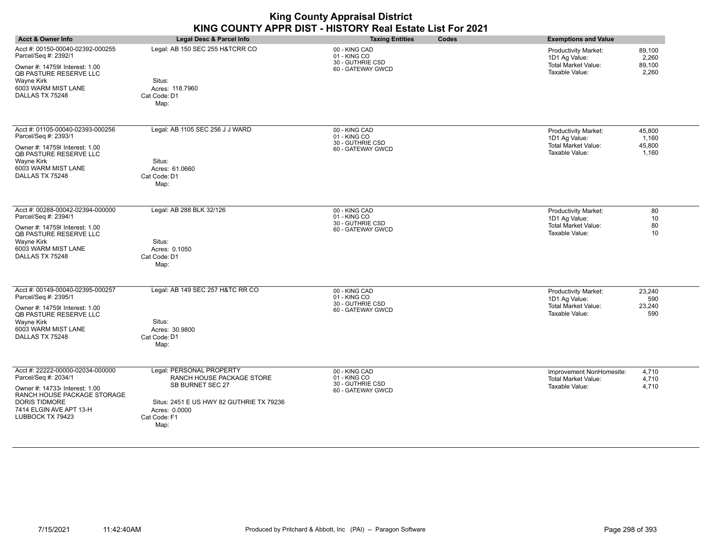| <b>Acct &amp; Owner Info</b>                                                                                                                                                                     | Legal Desc & Parcel Info                                                                                                                                       | <b>Taxing Entities</b><br>Codes                                        | <b>Exemptions and Value</b>                                                                                                        |
|--------------------------------------------------------------------------------------------------------------------------------------------------------------------------------------------------|----------------------------------------------------------------------------------------------------------------------------------------------------------------|------------------------------------------------------------------------|------------------------------------------------------------------------------------------------------------------------------------|
| Acct #: 00150-00040-02392-000255<br>Parcel/Seq #: 2392/1<br>Owner #: 14759( Interest: 1.00<br><b>QB PASTURE RESERVE LLC</b><br><b>Wavne Kirk</b><br>6003 WARM MIST LANE<br>DALLAS TX 75248       | Legal: AB 150 SEC 255 H&TCRR CO<br>Situs:<br>Acres: 118.7960<br>Cat Code: D1<br>Map:                                                                           | 00 - KING CAD<br>01 - KING CO<br>30 - GUTHRIE CSD<br>60 - GATEWAY GWCD | 89,100<br><b>Productivity Market:</b><br>1D1 Ag Value:<br>2,260<br><b>Total Market Value:</b><br>89,100<br>Taxable Value:<br>2,260 |
| Acct #: 01105-00040-02393-000256<br>Parcel/Seq #: 2393/1<br>Owner #: 14759( Interest: 1.00<br><b>QB PASTURE RESERVE LLC</b><br>Wayne Kirk<br>6003 WARM MIST LANE<br>DALLAS TX 75248              | Legal: AB 1105 SEC 256 J J WARD<br>Situs:<br>Acres: 61.0660<br>Cat Code: D1<br>Map:                                                                            | 00 - KING CAD<br>01 - KING CO<br>30 - GUTHRIE CSD<br>60 - GATEWAY GWCD | Productivity Market:<br>45,800<br>1D1 Ag Value:<br>1,160<br><b>Total Market Value:</b><br>45,800<br>Taxable Value:<br>1,160        |
| Acct #: 00288-00042-02394-000000<br>Parcel/Seq #: 2394/1<br>Owner #: 14759(Interest: 1.00<br>QB PASTURE RESERVE LLC<br>Wayne Kirk<br>6003 WARM MIST LANE<br>DALLAS TX 75248                      | Legal: AB 288 BLK 32/126<br>Situs:<br>Acres: 0.1050<br>Cat Code: D1<br>Map:                                                                                    | 00 - KING CAD<br>01 - KING CO<br>30 - GUTHRIE CSD<br>60 - GATEWAY GWCD | <b>Productivity Market:</b><br>80<br>1D1 Ag Value:<br>10<br><b>Total Market Value:</b><br>80<br>Taxable Value:<br>10               |
| Acct #: 00149-00040-02395-000257<br>Parcel/Seq #: 2395/1<br>Owner #: 14759( Interest: 1.00<br>QB PASTURE RESERVE LLC<br>Wayne Kirk<br>6003 WARM MIST LANE<br>DALLAS TX 75248                     | Legal: AB 149 SEC 257 H&TC RR CO<br>Situs:<br>Acres: 30.9800<br>Cat Code: D1<br>Map:                                                                           | 00 - KING CAD<br>01 - KING CO<br>30 - GUTHRIE CSD<br>60 - GATEWAY GWCD | 23,240<br><b>Productivity Market:</b><br>1D1 Ag Value:<br>590<br><b>Total Market Value:</b><br>23,240<br>Taxable Value:<br>590     |
| Acct #: 22222-00000-02034-000000<br>Parcel/Seq #: 2034/1<br>Owner #: 147334 Interest: 1.00<br>RANCH HOUSE PACKAGE STORAGE<br><b>DORIS TIDMORE</b><br>7414 ELGIN AVE APT 13-H<br>LUBBOCK TX 79423 | Legal: PERSONAL PROPERTY<br>RANCH HOUSE PACKAGE STORE<br>SB BURNET SEC 27<br>Situs: 2451 E US HWY 82 GUTHRIE TX 79236<br>Acres: 0.0000<br>Cat Code: F1<br>Map: | 00 - KING CAD<br>01 - KING CO<br>30 - GUTHRIE CSD<br>60 - GATEWAY GWCD | 4,710<br>Improvement NonHomesite:<br><b>Total Market Value:</b><br>4,710<br>Taxable Value:<br>4,710                                |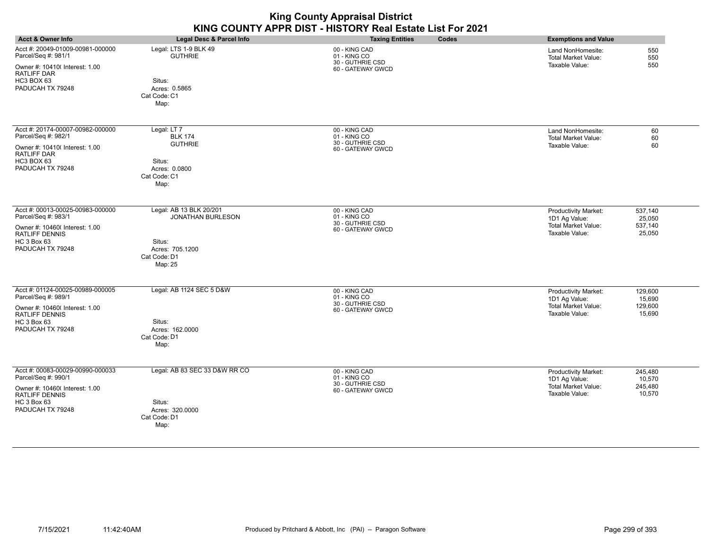|                                                                                                   |                                                      | KING COUNTY APPR DIST - HISTORY Real Estate List For 2021              |                                                                                        |
|---------------------------------------------------------------------------------------------------|------------------------------------------------------|------------------------------------------------------------------------|----------------------------------------------------------------------------------------|
| <b>Acct &amp; Owner Info</b>                                                                      | Legal Desc & Parcel Info                             | <b>Taxing Entities</b><br>Codes                                        | <b>Exemptions and Value</b>                                                            |
| Acct #: 20049-01009-00981-000000<br>Parcel/Seq #: 981/1                                           | Legal: LTS 1-9 BLK 49<br><b>GUTHRIE</b>              | 00 - KING CAD<br>01 - KING CO<br>30 - GUTHRIE CSD                      | 550<br>Land NonHomesite:<br>550<br><b>Total Market Value:</b><br>Taxable Value:<br>550 |
| Owner #: 10410( Interest: 1.00<br><b>RATLIFF DAR</b><br>HC3 BOX 63<br>PADUCAH TX 79248            | Situs:<br>Acres: 0.5865<br>Cat Code: C1<br>Map:      | 60 - GATEWAY GWCD                                                      |                                                                                        |
| Acct #: 20174-00007-00982-000000<br>Parcel/Seq #: 982/1<br>Owner #: 10410( Interest: 1.00         | Legal: LT 7<br><b>BLK 174</b><br><b>GUTHRIE</b>      | 00 - KING CAD<br>01 - KING CO<br>30 - GUTHRIE CSD<br>60 - GATEWAY GWCD | Land NonHomesite:<br>60<br>60<br><b>Total Market Value:</b><br>Taxable Value:<br>60    |
| RATLIFF DAR<br>HC3 BOX 63<br>PADUCAH TX 79248                                                     | Situs:<br>Acres: 0.0800<br>Cat Code: C1<br>Map:      |                                                                        |                                                                                        |
| Acct #: 00013-00025-00983-000000<br>Parcel/Seq #: 983/1                                           | Legal: AB 13 BLK 20/201<br><b>JONATHAN BURLESON</b>  | 00 - KING CAD<br>01 - KING CO                                          | 537,140<br>Productivity Market:<br>1D1 Ag Value:<br>25,050                             |
| Owner #: 10460( Interest: 1.00<br>RATLIFF DENNIS                                                  |                                                      | 30 - GUTHRIE CSD<br>60 - GATEWAY GWCD                                  | <b>Total Market Value:</b><br>537,140<br>Taxable Value:<br>25,050                      |
| <b>HC 3 Box 63</b><br>PADUCAH TX 79248                                                            | Situs:<br>Acres: 705.1200<br>Cat Code: D1<br>Map: 25 |                                                                        |                                                                                        |
| Acct #: 01124-00025-00989-000005<br>Parcel/Seq #: 989/1                                           | Legal: AB 1124 SEC 5 D&W                             | 00 - KING CAD<br>01 - KING CO                                          | <b>Productivity Market:</b><br>129,600<br>1D1 Ag Value:<br>15,690                      |
| Owner #: 10460( Interest: 1.00<br><b>RATLIFF DENNIS</b><br><b>HC 3 Box 63</b><br>PADUCAH TX 79248 | Situs:<br>Acres: 162.0000<br>Cat Code: D1<br>Map:    | 30 - GUTHRIE CSD<br>60 - GATEWAY GWCD                                  | <b>Total Market Value:</b><br>129,600<br>Taxable Value:<br>15,690                      |
|                                                                                                   |                                                      |                                                                        |                                                                                        |
| Acct #: 00083-00029-00990-000033<br>Parcel/Seq #: 990/1                                           | Legal: AB 83 SEC 33 D&W RR CO                        | 00 - KING CAD<br>01 - KING CO<br>30 - GUTHRIE CSD                      | Productivity Market:<br>245,480<br>1D1 Ag Value:<br>10,570                             |
| Owner #: 10460( Interest: 1.00<br>RATLIFF DENNIS                                                  |                                                      | 60 - GATEWAY GWCD                                                      | <b>Total Market Value:</b><br>245,480<br>Taxable Value:<br>10,570                      |
| <b>HC 3 Box 63</b><br>PADUCAH TX 79248                                                            | Situs:<br>Acres: 320.0000<br>Cat Code: D1<br>Map:    |                                                                        |                                                                                        |

**King County Appraisal District**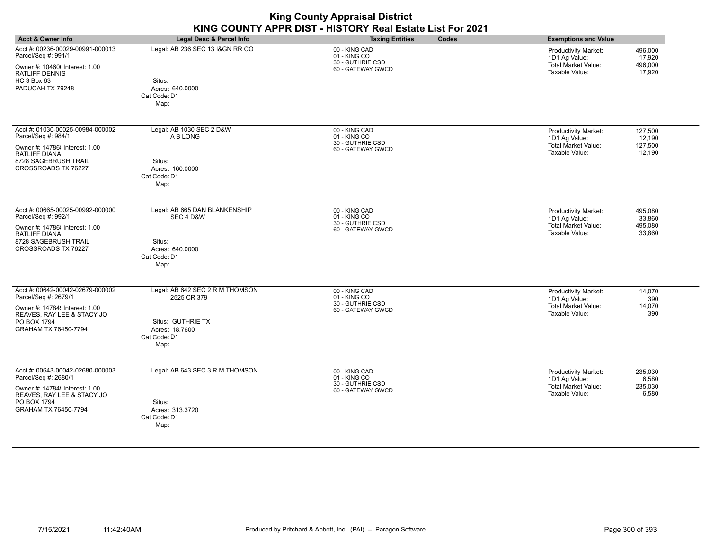| <b>Acct &amp; Owner Info</b>                                                                                                                                     | Legal Desc & Parcel Info                                                                                      | <b>Taxing Entities</b><br>Codes                                        | <b>Exemptions and Value</b>                                                                                                          |
|------------------------------------------------------------------------------------------------------------------------------------------------------------------|---------------------------------------------------------------------------------------------------------------|------------------------------------------------------------------------|--------------------------------------------------------------------------------------------------------------------------------------|
| Acct #: 00236-00029-00991-000013<br>Parcel/Seq #: 991/1<br>Owner #: 10460( Interest: 1.00<br><b>RATLIFF DENNIS</b><br><b>HC 3 Box 63</b><br>PADUCAH TX 79248     | Legal: AB 236 SEC 13 I&GN RR CO<br>Situs:<br>Acres: 640.0000<br>Cat Code: D1<br>Map:                          | 00 - KING CAD<br>01 - KING CO<br>30 - GUTHRIE CSD<br>60 - GATEWAY GWCD | 496,000<br>Productivity Market:<br>1D1 Ag Value:<br>17,920<br><b>Total Market Value:</b><br>496,000<br>Taxable Value:<br>17,920      |
| Acct #: 01030-00025-00984-000002<br>Parcel/Seq #: 984/1<br>Owner #: 147868 Interest: 1.00<br><b>RATLIFF DIANA</b><br>8728 SAGEBRUSH TRAIL<br>CROSSROADS TX 76227 | Legal: AB 1030 SEC 2 D&W<br>A B LONG<br>Situs:<br>Acres: 160,0000<br>Cat Code: D1<br>Map:                     | 00 - KING CAD<br>01 - KING CO<br>30 - GUTHRIE CSD<br>60 - GATEWAY GWCD | Productivity Market:<br>127,500<br>1D1 Ag Value:<br>12,190<br>Total Market Value:<br>127,500<br>Taxable Value:<br>12,190             |
| Acct #: 00665-00025-00992-000000<br>Parcel/Seq #: 992/1<br>Owner #: 14786 Interest: 1.00<br>RATLIFF DIANA<br>8728 SAGEBRUSH TRAIL<br>CROSSROADS TX 76227         | Legal: AB 665 DAN BLANKENSHIP<br>SEC 4 D&W<br>Situs:<br>Acres: 640.0000<br>Cat Code: D1<br>Map:               | 00 - KING CAD<br>01 - KING CO<br>30 - GUTHRIE CSD<br>60 - GATEWAY GWCD | Productivity Market:<br>495,080<br>1D1 Ag Value:<br>33.860<br>Total Market Value:<br>495,080<br>Taxable Value:<br>33,860             |
| Acct #: 00642-00042-02679-000002<br>Parcel/Seq #: 2679/1<br>Owner #: 147849 Interest: 1.00<br>REAVES, RAY LEE & STACY JO<br>PO BOX 1794<br>GRAHAM TX 76450-7794  | Legal: AB 642 SEC 2 R M THOMSON<br>2525 CR 379<br>Situs: GUTHRIE TX<br>Acres: 18.7600<br>Cat Code: D1<br>Map: | 00 - KING CAD<br>01 - KING CO<br>30 - GUTHRIE CSD<br>60 - GATEWAY GWCD | 14,070<br>Productivity Market:<br>1D1 Ag Value:<br>390<br><b>Total Market Value:</b><br>14,070<br>Taxable Value:<br>390              |
| Acct #: 00643-00042-02680-000003<br>Parcel/Seq #: 2680/1<br>Owner #: 147849 Interest: 1.00<br>REAVES, RAY LEE & STACY JO<br>PO BOX 1794<br>GRAHAM TX 76450-7794  | Legal: AB 643 SEC 3 R M THOMSON<br>Situs:<br>Acres: 313.3720<br>Cat Code: D1<br>Map:                          | 00 - KING CAD<br>01 - KING CO<br>30 - GUTHRIE CSD<br>60 - GATEWAY GWCD | 235,030<br><b>Productivity Market:</b><br>1D1 Ag Value:<br>6,580<br><b>Total Market Value:</b><br>235,030<br>6,580<br>Taxable Value: |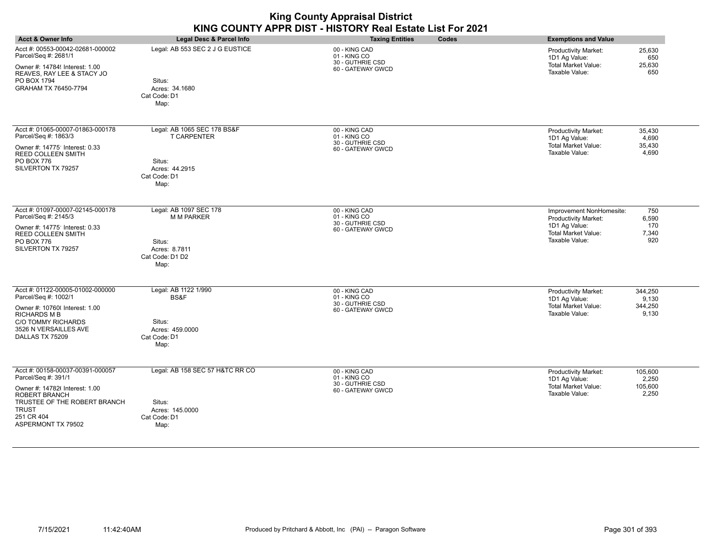|                                                                                                                                                                                                       |                                                                                                       | <b>King County Appraisal District</b><br>KING COUNTY APPR DIST - HISTORY Real Estate List For 2021 |       |                                                                                                                   |                                      |
|-------------------------------------------------------------------------------------------------------------------------------------------------------------------------------------------------------|-------------------------------------------------------------------------------------------------------|----------------------------------------------------------------------------------------------------|-------|-------------------------------------------------------------------------------------------------------------------|--------------------------------------|
| Acct & Owner Info                                                                                                                                                                                     | <b>Legal Desc &amp; Parcel Info</b>                                                                   | <b>Taxing Entities</b>                                                                             | Codes | <b>Exemptions and Value</b>                                                                                       |                                      |
| Acct #: 00553-00042-02681-000002<br>Parcel/Seq #: 2681/1<br>Owner #: 147849 Interest: 1.00<br>REAVES, RAY LEE & STACY JO<br>PO BOX 1794<br>GRAHAM TX 76450-7794                                       | Legal: AB 553 SEC 2 J G EUSTICE<br>Situs:<br>Acres: 34.1680<br>Cat Code: D1<br>Map:                   | 00 - KING CAD<br>01 - KING CO<br>30 - GUTHRIE CSD<br>60 - GATEWAY GWCD                             |       | <b>Productivity Market:</b><br>1D1 Ag Value:<br><b>Total Market Value:</b><br>Taxable Value:                      | 25,630<br>650<br>25,630<br>650       |
| Acct #: 01065-00007-01863-000178<br>Parcel/Seq #: 1863/3<br>Owner #: 14775' Interest: 0.33<br><b>REED COLLEEN SMITH</b><br><b>PO BOX 776</b><br>SILVERTON TX 79257                                    | Legal: AB 1065 SEC 178 BS&F<br><b>T CARPENTER</b><br>Situs:<br>Acres: 44.2915<br>Cat Code: D1<br>Map: | 00 - KING CAD<br>01 - KING CO<br>30 - GUTHRIE CSD<br>60 - GATEWAY GWCD                             |       | Productivity Market:<br>1D1 Ag Value:<br><b>Total Market Value:</b><br>Taxable Value:                             | 35,430<br>4,690<br>35,430<br>4,690   |
| Acct #: 01097-00007-02145-000178<br>Parcel/Seq #: 2145/3<br>Owner #: 14775' Interest: 0.33<br><b>REED COLLEEN SMITH</b><br>PO BOX 776<br>SILVERTON TX 79257                                           | Legal: AB 1097 SEC 178<br><b>M M PARKER</b><br>Situs:<br>Acres: 8.7811<br>Cat Code: D1 D2<br>Map:     | 00 - KING CAD<br>01 - KING CO<br>30 - GUTHRIE CSD<br>60 - GATEWAY GWCD                             |       | Improvement NonHomesite:<br>Productivity Market:<br>1D1 Ag Value:<br><b>Total Market Value:</b><br>Taxable Value: | 750<br>6,590<br>170<br>7,340<br>920  |
| Acct #: 01122-00005-01002-000000<br>Parcel/Seq #: 1002/1<br>Owner #: 10760( Interest: 1.00<br><b>RICHARDS M B</b><br><b>C/O TOMMY RICHARDS</b><br>3526 N VERSAILLES AVE<br>DALLAS TX 75209            | Legal: AB 1122 1/990<br>BS&F<br>Situs:<br>Acres: 459,0000<br>Cat Code: D1<br>Map:                     | 00 - KING CAD<br>01 - KING CO<br>30 - GUTHRIE CSD<br>60 - GATEWAY GWCD                             |       | Productivity Market:<br>1D1 Ag Value:<br><b>Total Market Value:</b><br>Taxable Value:                             | 344,250<br>9.130<br>344,250<br>9,130 |
| Acct #: 00158-00037-00391-000057<br>Parcel/Seq #: 391/1<br>Owner #: 147826 Interest: 1.00<br><b>ROBERT BRANCH</b><br>TRUSTEE OF THE ROBERT BRANCH<br><b>TRUST</b><br>251 CR 404<br>ASPERMONT TX 79502 | Legal: AB 158 SEC 57 H&TC RR CO<br>Situs:<br>Acres: 145.0000<br>Cat Code: D1<br>Map:                  | 00 - KING CAD<br>01 - KING CO<br>30 - GUTHRIE CSD<br>60 - GATEWAY GWCD                             |       | Productivity Market:<br>1D1 Ag Value:<br><b>Total Market Value:</b><br>Taxable Value:                             | 105,600<br>2.250<br>105,600<br>2,250 |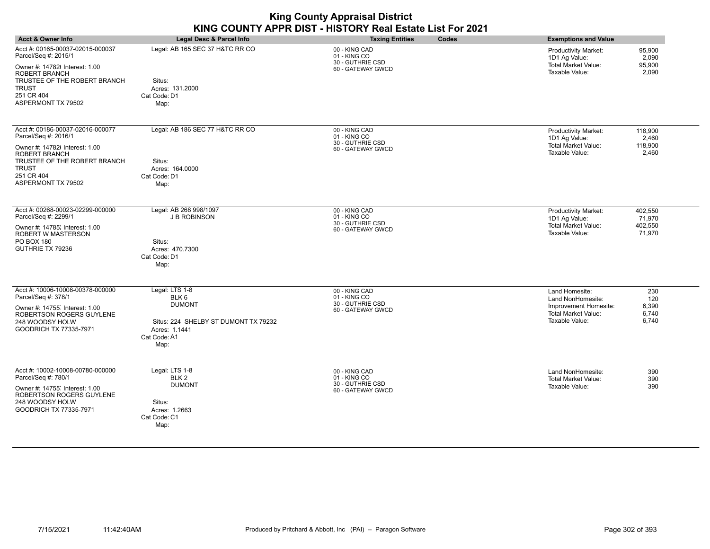| <b>Acct &amp; Owner Info</b>                                                                                                                                                                           | Legal Desc & Parcel Info                                                                                                             | <b>Taxing Entities</b><br>Codes                                        | <b>Exemptions and Value</b>                                                                                                                           |
|--------------------------------------------------------------------------------------------------------------------------------------------------------------------------------------------------------|--------------------------------------------------------------------------------------------------------------------------------------|------------------------------------------------------------------------|-------------------------------------------------------------------------------------------------------------------------------------------------------|
| Acct #: 00165-00037-02015-000037<br>Parcel/Seq #: 2015/1<br>Owner #: 14782( Interest: 1.00<br><b>ROBERT BRANCH</b><br>TRUSTEE OF THE ROBERT BRANCH<br><b>TRUST</b><br>251 CR 404<br>ASPERMONT TX 79502 | Legal: AB 165 SEC 37 H&TC RR CO<br>Situs:<br>Acres: 131.2000<br>Cat Code: D1<br>Map:                                                 | 00 - KING CAD<br>01 - KING CO<br>30 - GUTHRIE CSD<br>60 - GATEWAY GWCD | 95,900<br>Productivity Market:<br>1D1 Ag Value:<br>2,090<br><b>Total Market Value:</b><br>95,900<br>Taxable Value:<br>2,090                           |
| Acct #: 00186-00037-02016-000077<br>Parcel/Seq #: 2016/1<br>Owner #: 14782( Interest: 1.00<br>ROBERT BRANCH<br>TRUSTEE OF THE ROBERT BRANCH<br><b>TRUST</b><br>251 CR 404<br>ASPERMONT TX 79502        | Legal: AB 186 SEC 77 H&TC RR CO<br>Situs:<br>Acres: 164.0000<br>Cat Code: D1<br>Map:                                                 | 00 - KING CAD<br>01 - KING CO<br>30 - GUTHRIE CSD<br>60 - GATEWAY GWCD | <b>Productivity Market:</b><br>118,900<br>1D1 Ag Value:<br>2,460<br>Total Market Value:<br>118,900<br>Taxable Value:<br>2,460                         |
| Acct #: 00268-00023-02299-000000<br>Parcel/Seq #: 2299/1<br>Owner #: 14785; Interest: 1.00<br>ROBERT W MASTERSON<br>PO BOX 180<br>GUTHRIE TX 79236                                                     | Legal: AB 268 998/1097<br><b>J B ROBINSON</b><br>Situs:<br>Acres: 470.7300<br>Cat Code: D1<br>Map:                                   | 00 - KING CAD<br>01 - KING CO<br>30 - GUTHRIE CSD<br>60 - GATEWAY GWCD | Productivity Market:<br>402,550<br>1D1 Ag Value:<br>71,970<br>Total Market Value:<br>402,550<br>Taxable Value:<br>71,970                              |
| Acct #: 10006-10008-00378-000000<br>Parcel/Seq #: 378/1<br>Owner #: 14755 Interest: 1.00<br>ROBERTSON ROGERS GUYLENE<br>248 WOODSY HOLW<br>GOODRICH TX 77335-7971                                      | Legal: LTS 1-8<br>BLK <sub>6</sub><br><b>DUMONT</b><br>Situs: 224 SHELBY ST DUMONT TX 79232<br>Acres: 1.1441<br>Cat Code: A1<br>Map: | 00 - KING CAD<br>01 - KING CO<br>30 - GUTHRIE CSD<br>60 - GATEWAY GWCD | Land Homesite:<br>230<br>Land NonHomesite:<br>120<br>Improvement Homesite:<br>6,390<br><b>Total Market Value:</b><br>6,740<br>Taxable Value:<br>6,740 |
| Acct #: 10002-10008-00780-000000<br>Parcel/Seq #: 780/1<br>Owner #: 14755 Interest: 1.00<br>ROBERTSON ROGERS GUYLENE<br>248 WOODSY HOLW<br>GOODRICH TX 77335-7971                                      | Legal: LTS 1-8<br>BLK <sub>2</sub><br><b>DUMONT</b><br>Situs:<br>Acres: 1.2663<br>Cat Code: C1<br>Map:                               | 00 - KING CAD<br>01 - KING CO<br>30 - GUTHRIE CSD<br>60 - GATEWAY GWCD | Land NonHomesite:<br>390<br><b>Total Market Value:</b><br>390<br>Taxable Value:<br>390                                                                |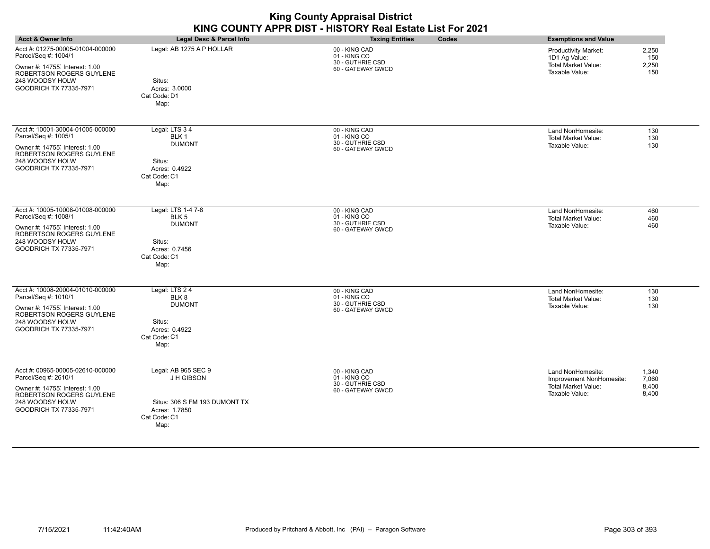| <b>Acct &amp; Owner Info</b>                                                                                                                                        | Legal Desc & Parcel Info                                                                                    | Codes<br><b>Taxing Entities</b>                                        | <b>Exemptions and Value</b>                                                                                                       |
|---------------------------------------------------------------------------------------------------------------------------------------------------------------------|-------------------------------------------------------------------------------------------------------------|------------------------------------------------------------------------|-----------------------------------------------------------------------------------------------------------------------------------|
| Acct #: 01275-00005-01004-000000<br>Parcel/Seq #: 1004/1<br>Owner #: 14755 Interest: 1.00<br>ROBERTSON ROGERS GUYLENE<br>248 WOODSY HOLW<br>GOODRICH TX 77335-7971  | Legal: AB 1275 A P HOLLAR<br>Situs:<br>Acres: 3.0000<br>Cat Code: D1<br>Map:                                | 00 - KING CAD<br>01 - KING CO<br>30 - GUTHRIE CSD<br>60 - GATEWAY GWCD | 2,250<br><b>Productivity Market:</b><br>1D1 Ag Value:<br>150<br><b>Total Market Value:</b><br>2,250<br>Taxable Value:<br>150      |
| Acct #: 10001-30004-01005-000000<br>Parcel/Seq #: 1005/1<br>Owner #: 14755 Interest: 1.00<br>ROBERTSON ROGERS GUYLENE<br>248 WOODSY HOLW<br>GOODRICH TX 77335-7971  | Legal: LTS 3 4<br>BLK 1<br><b>DUMONT</b><br>Situs:<br>Acres: 0.4922<br>Cat Code: C1<br>Map:                 | 00 - KING CAD<br>01 - KING CO<br>30 - GUTHRIE CSD<br>60 - GATEWAY GWCD | Land NonHomesite:<br>130<br><b>Total Market Value:</b><br>130<br>Taxable Value:<br>130                                            |
| Acct #: 10005-10008-01008-000000<br>Parcel/Seq #: 1008/1<br>Owner #: 14755, Interest: 1.00<br>ROBERTSON ROGERS GUYLENE<br>248 WOODSY HOLW<br>GOODRICH TX 77335-7971 | Legal: LTS 1-4 7-8<br>BLK 5<br><b>DUMONT</b><br>Situs:<br>Acres: 0.7456<br>Cat Code: C1<br>Map:             | 00 - KING CAD<br>01 - KING CO<br>30 - GUTHRIE CSD<br>60 - GATEWAY GWCD | Land NonHomesite:<br>460<br><b>Total Market Value:</b><br>460<br>Taxable Value:<br>460                                            |
| Acct #: 10008-20004-01010-000000<br>Parcel/Seq #: 1010/1<br>Owner #: 14755 Interest: 1.00<br>ROBERTSON ROGERS GUYLENE<br>248 WOODSY HOLW<br>GOODRICH TX 77335-7971  | Legal: LTS 24<br>BLK 8<br><b>DUMONT</b><br>Situs:<br>Acres: 0.4922<br>Cat Code: C1<br>Map:                  | 00 - KING CAD<br>01 - KING CO<br>30 - GUTHRIE CSD<br>60 - GATEWAY GWCD | 130<br>Land NonHomesite:<br><b>Total Market Value:</b><br>130<br>Taxable Value:<br>130                                            |
| Acct #: 00965-00005-02610-000000<br>Parcel/Seq #: 2610/1<br>Owner #: 14755 Interest: 1.00<br>ROBERTSON ROGERS GUYLENE<br>248 WOODSY HOLW<br>GOODRICH TX 77335-7971  | Legal: AB 965 SEC 9<br>J H GIBSON<br>Situs: 306 S FM 193 DUMONT TX<br>Acres: 1.7850<br>Cat Code: C1<br>Map: | 00 - KING CAD<br>01 - KING CO<br>30 - GUTHRIE CSD<br>60 - GATEWAY GWCD | Land NonHomesite:<br>1,340<br>Improvement NonHomesite:<br>7,060<br><b>Total Market Value:</b><br>8,400<br>Taxable Value:<br>8,400 |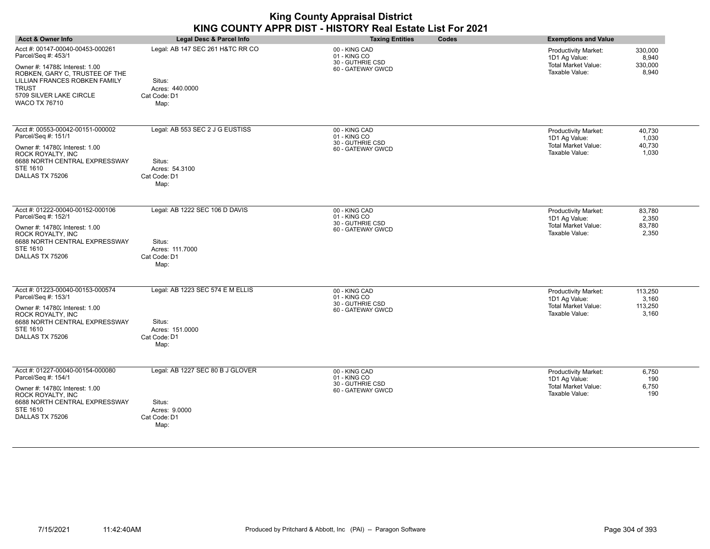| <b>Acct &amp; Owner Info</b>                                                                                                                                                                                                    | <b>Legal Desc &amp; Parcel Info</b>                                                   | <b>Taxing Entities</b><br>Codes                                        | <b>Exemptions and Value</b>                                                                                                          |
|---------------------------------------------------------------------------------------------------------------------------------------------------------------------------------------------------------------------------------|---------------------------------------------------------------------------------------|------------------------------------------------------------------------|--------------------------------------------------------------------------------------------------------------------------------------|
| Acct #: 00147-00040-00453-000261<br>Parcel/Seq #: 453/1<br>Owner #: 14788; Interest: 1.00<br>ROBKEN, GARY C, TRUSTEE OF THE<br>LILLIAN FRANCES ROBKEN FAMILY<br><b>TRUST</b><br>5709 SILVER LAKE CIRCLE<br><b>WACO TX 76710</b> | Legal: AB 147 SEC 261 H&TC RR CO<br>Situs:<br>Acres: 440.0000<br>Cat Code: D1<br>Map: | 00 - KING CAD<br>01 - KING CO<br>30 - GUTHRIE CSD<br>60 - GATEWAY GWCD | 330,000<br><b>Productivity Market:</b><br>1D1 Ag Value:<br>8,940<br><b>Total Market Value:</b><br>330,000<br>Taxable Value:<br>8,940 |
| Acct #: 00553-00042-00151-000002<br>Parcel/Seq #: 151/1<br>Owner #: 14780; Interest: 1.00<br>ROCK ROYALTY, INC<br>6688 NORTH CENTRAL EXPRESSWAY<br><b>STE 1610</b><br>DALLAS TX 75206                                           | Legal: AB 553 SEC 2 J G EUSTISS<br>Situs:<br>Acres: 54.3100<br>Cat Code: D1<br>Map:   | 00 - KING CAD<br>01 - KING CO<br>30 - GUTHRIE CSD<br>60 - GATEWAY GWCD | 40,730<br>Productivity Market:<br>1D1 Ag Value:<br>1,030<br><b>Total Market Value:</b><br>40,730<br>Taxable Value:<br>1,030          |
| Acct #: 01222-00040-00152-000106<br>Parcel/Seq #: 152/1<br>Owner #: 14780; Interest: 1.00<br>ROCK ROYALTY, INC<br>6688 NORTH CENTRAL EXPRESSWAY<br>STE 1610<br>DALLAS TX 75206                                                  | Legal: AB 1222 SEC 106 D DAVIS<br>Situs:<br>Acres: 111.7000<br>Cat Code: D1<br>Map:   | 00 - KING CAD<br>01 - KING CO<br>30 - GUTHRIE CSD<br>60 - GATEWAY GWCD | 83,780<br><b>Productivity Market:</b><br>1D1 Ag Value:<br>2,350<br>83,780<br><b>Total Market Value:</b><br>2,350<br>Taxable Value:   |
| Acct #: 01223-00040-00153-000574<br>Parcel/Seq #: 153/1<br>Owner #: 14780; Interest: 1.00<br><b>ROCK ROYALTY, INC</b><br>6688 NORTH CENTRAL EXPRESSWAY<br><b>STE 1610</b><br>DALLAS TX 75206                                    | Legal: AB 1223 SEC 574 E M ELLIS<br>Situs:<br>Acres: 151.0000<br>Cat Code: D1<br>Map: | 00 - KING CAD<br>01 - KING CO<br>30 - GUTHRIE CSD<br>60 - GATEWAY GWCD | Productivity Market:<br>113,250<br>3,160<br>1D1 Ag Value:<br><b>Total Market Value:</b><br>113,250<br>Taxable Value:<br>3,160        |
| Acct #: 01227-00040-00154-000080<br>Parcel/Seq #: 154/1<br>Owner #: 14780; Interest: 1.00<br>ROCK ROYALTY, INC<br>6688 NORTH CENTRAL EXPRESSWAY<br><b>STE 1610</b><br>DALLAS TX 75206                                           | Legal: AB 1227 SEC 80 B J GLOVER<br>Situs:<br>Acres: 9.0000<br>Cat Code: D1<br>Map:   | 00 - KING CAD<br>01 - KING CO<br>30 - GUTHRIE CSD<br>60 - GATEWAY GWCD | Productivity Market:<br>6,750<br>1D1 Ag Value:<br>190<br><b>Total Market Value:</b><br>6,750<br>190<br>Taxable Value:                |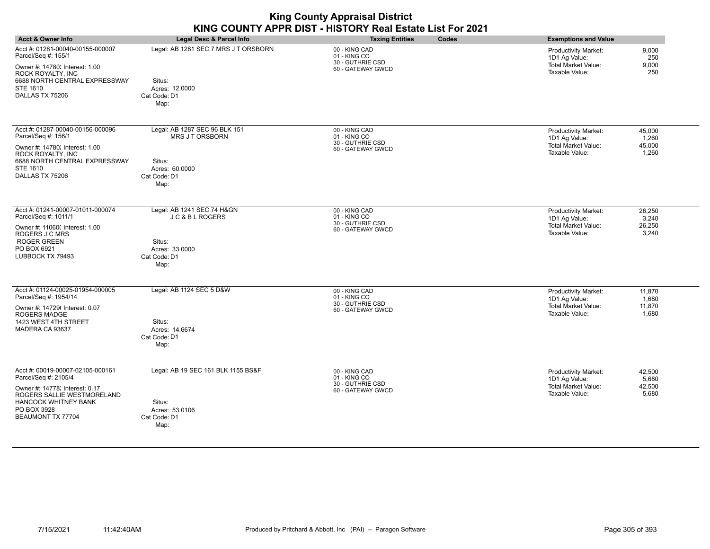| <b>Acct &amp; Owner Info</b>                                                                                                                                                                 | <b>Legal Desc &amp; Parcel Info</b>                                                                 | <b>Taxing Entities</b><br>Codes                                        | <b>Exemptions and Value</b>                                                                                                  |
|----------------------------------------------------------------------------------------------------------------------------------------------------------------------------------------------|-----------------------------------------------------------------------------------------------------|------------------------------------------------------------------------|------------------------------------------------------------------------------------------------------------------------------|
| Acct #: 01281-00040-00155-000007<br>Parcel/Seq #: 155/1<br>Owner #: 14780; Interest: 1.00<br>ROCK ROYALTY, INC<br>6688 NORTH CENTRAL EXPRESSWAY<br><b>STE 1610</b><br>DALLAS TX 75206        | Legal: AB 1281 SEC 7 MRS J T ORSBORN<br>Situs:<br>Acres: 12.0000<br>Cat Code: D1<br>Map:            | 00 - KING CAD<br>01 - KING CO<br>30 - GUTHRIE CSD<br>60 - GATEWAY GWCD | 9,000<br><b>Productivity Market:</b><br>1D1 Ag Value:<br>250<br><b>Total Market Value:</b><br>9,000<br>Taxable Value:<br>250 |
| Acct #: 01287-00040-00156-000096<br>Parcel/Seq #: 156/1<br>Owner #: 14780; Interest: 1.00<br><b>ROCK ROYALTY, INC</b><br>6688 NORTH CENTRAL EXPRESSWAY<br><b>STE 1610</b><br>DALLAS TX 75206 | Legal: AB 1287 SEC 96 BLK 151<br>MRS JT ORSBORN<br>Situs:<br>Acres: 60,0000<br>Cat Code: D1<br>Map: | 00 - KING CAD<br>01 - KING CO<br>30 - GUTHRIE CSD<br>60 - GATEWAY GWCD | 45,000<br>Productivity Market:<br>1D1 Ag Value:<br>1,260<br><b>Total Market Value:</b><br>45,000<br>Taxable Value:<br>1,260  |
| Acct #: 01241-00007-01011-000074<br>Parcel/Seq #: 1011/1<br>Owner #: 11060( Interest: 1.00<br>ROGERS J C MRS<br>ROGER GREEN<br>PO BOX 6921<br>LUBBOCK TX 79493                               | Legal: AB 1241 SEC 74 H&GN<br>JC&BLROGERS<br>Situs:<br>Acres: 33,0000<br>Cat Code: D1<br>Map:       | 00 - KING CAD<br>01 - KING CO<br>30 - GUTHRIE CSD<br>60 - GATEWAY GWCD | 26,250<br>Productivity Market:<br>3,240<br>1D1 Ag Value:<br><b>Total Market Value:</b><br>26,250<br>3,240<br>Taxable Value:  |
| Acct #: 01124-00025-01954-000005<br>Parcel/Seq #: 1954/14<br>Owner #: 147296 Interest: 0.07<br><b>ROGERS MADGE</b><br>1423 WEST 4TH STREET<br>MADERA CA 93637                                | Legal: AB 1124 SEC 5 D&W<br>Situs:<br>Acres: 14.6674<br>Cat Code: D1<br>Map:                        | 00 - KING CAD<br>01 - KING CO<br>30 - GUTHRIE CSD<br>60 - GATEWAY GWCD | Productivity Market:<br>11,870<br>1,680<br>1D1 Ag Value:<br><b>Total Market Value:</b><br>11,870<br>Taxable Value:<br>1,680  |
| Acct #: 00019-00007-02105-000161<br>Parcel/Seq #: 2105/4<br>Owner #: 14778; Interest: 0.17<br>ROGERS SALLIE WESTMORELAND<br><b>HANCOCK WHITNEY BANK</b><br>PO BOX 3928<br>BEAUMONT TX 77704  | Legal: AB 19 SEC 161 BLK 1155 BS&F<br>Situs:<br>Acres: 53.0106<br>Cat Code: D1<br>Map:              | 00 - KING CAD<br>01 - KING CO<br>30 - GUTHRIE CSD<br>60 - GATEWAY GWCD | Productivity Market:<br>42,500<br>1D1 Ag Value:<br>5,680<br><b>Total Market Value:</b><br>42,500<br>5,680<br>Taxable Value:  |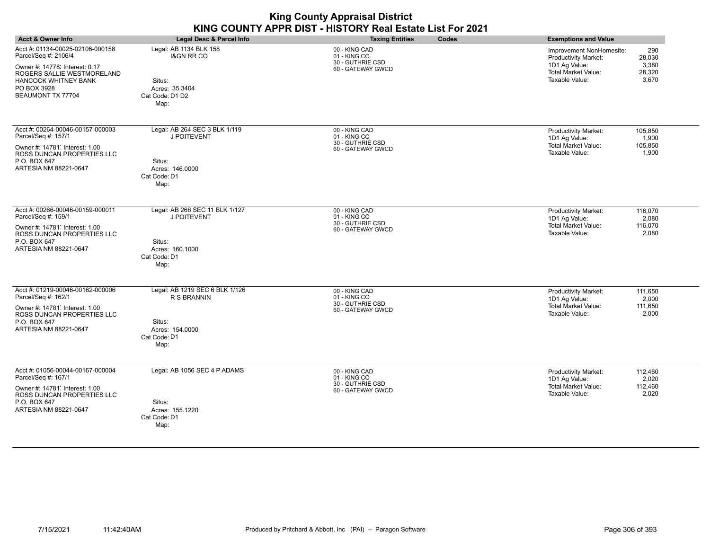|                                                                                                                                                                                      |                                                                                                        | <b>King County Appraisal District</b><br>KING COUNTY APPR DIST - HISTORY Real Estate List For 2021 |                                                                                                                                                                       |
|--------------------------------------------------------------------------------------------------------------------------------------------------------------------------------------|--------------------------------------------------------------------------------------------------------|----------------------------------------------------------------------------------------------------|-----------------------------------------------------------------------------------------------------------------------------------------------------------------------|
| <b>Acct &amp; Owner Info</b>                                                                                                                                                         | Legal Desc & Parcel Info                                                                               | <b>Taxing Entities</b><br><b>Codes</b>                                                             | <b>Exemptions and Value</b>                                                                                                                                           |
| Acct #: 01134-00025-02106-000158<br>Parcel/Seq #: 2106/4<br>Owner #: 14778; Interest: 0.17<br>ROGERS SALLIE WESTMORELAND<br>HANCOCK WHITNEY BANK<br>PO BOX 3928<br>BEAUMONT TX 77704 | Legal: AB 1134 BLK 158<br><b>I&amp;GN RR CO</b><br>Situs:<br>Acres: 35.3404<br>Cat Code: D1 D2<br>Map: | 00 - KING CAD<br>01 - KING CO<br>30 - GUTHRIE CSD<br>60 - GATEWAY GWCD                             | 290<br>Improvement NonHomesite:<br>28,030<br><b>Productivity Market:</b><br>1D1 Ag Value:<br>3,380<br><b>Total Market Value:</b><br>28,320<br>Taxable Value:<br>3,670 |
| Acct #: 00264-00046-00157-000003<br>Parcel/Seq #: 157/1<br>Owner #: 14781 Interest: 1.00<br>ROSS DUNCAN PROPERTIES LLC<br>P.O. BOX 647<br>ARTESIA NM 88221-0647                      | Legal: AB 264 SEC 3 BLK 1/119<br>J POITEVENT<br>Situs:<br>Acres: 146.0000<br>Cat Code: D1<br>Map:      | 00 - KING CAD<br>01 - KING CO<br>30 - GUTHRIE CSD<br>60 - GATEWAY GWCD                             | 105,850<br><b>Productivity Market:</b><br>1D1 Ag Value:<br>1,900<br><b>Total Market Value:</b><br>105,850<br>Taxable Value:<br>1.900                                  |
| Acct #: 00266-00046-00159-000011<br>Parcel/Seq #: 159/1<br>Owner #: 14781, Interest: 1.00<br>ROSS DUNCAN PROPERTIES LLC<br>P.O. BOX 647<br>ARTESIA NM 88221-0647                     | Legal: AB 266 SEC 11 BLK 1/127<br>J POITEVENT<br>Situs:<br>Acres: 160.1000<br>Cat Code: D1<br>Map:     | 00 - KING CAD<br>01 - KING CO<br>30 - GUTHRIE CSD<br>60 - GATEWAY GWCD                             | <b>Productivity Market:</b><br>116,070<br>1D1 Ag Value:<br>2,080<br>Total Market Value:<br>116,070<br>Taxable Value:<br>2,080                                         |
| Acct #: 01219-00046-00162-000006<br>Parcel/Seq #: 162/1<br>Owner #: 14781 Interest: 1.00<br>ROSS DUNCAN PROPERTIES LLC<br>P.O. BOX 647<br>ARTESIA NM 88221-0647                      | Legal: AB 1219 SEC 6 BLK 1/126<br>R S BRANNIN<br>Situs:<br>Acres: 154,0000<br>Cat Code: D1<br>Map:     | 00 - KING CAD<br>01 - KING CO<br>30 - GUTHRIE CSD<br>60 - GATEWAY GWCD                             | 111,650<br><b>Productivity Market:</b><br>1D1 Ag Value:<br>2.000<br><b>Total Market Value:</b><br>111,650<br>Taxable Value:<br>2.000                                  |
| Acct #: 01056-00044-00167-000004<br>Parcel/Seq #: 167/1<br>Owner #: 14781, Interest: 1.00<br>ROSS DUNCAN PROPERTIES LLC<br>P.O. BOX 647<br>ARTESIA NM 88221-0647                     | Legal: AB 1056 SEC 4 P ADAMS<br>Situs:<br>Acres: 155.1220<br>Cat Code: D1<br>Map:                      | 00 - KING CAD<br>01 - KING CO<br>30 - GUTHRIE CSD<br>60 - GATEWAY GWCD                             | <b>Productivity Market:</b><br>112,460<br>1D1 Ag Value:<br>2,020<br><b>Total Market Value:</b><br>112,460<br>Taxable Value:<br>2,020                                  |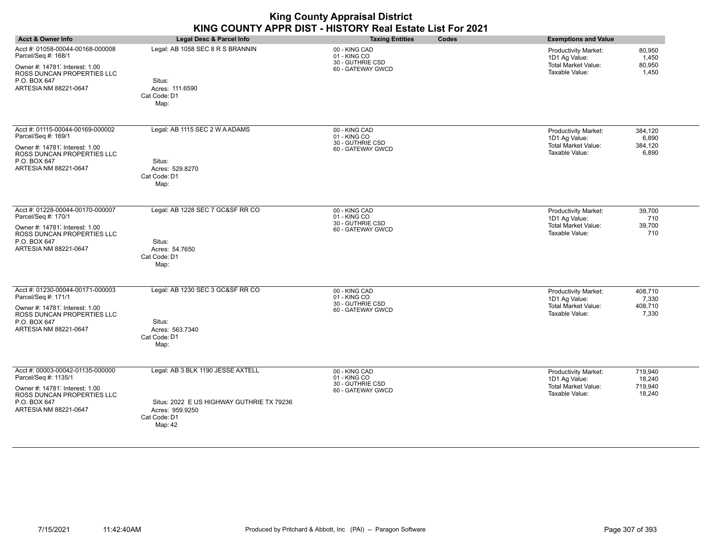| <b>Acct &amp; Owner Info</b>                                                                                                                                      | Legal Desc & Parcel Info                                                                                                     | Codes<br><b>Taxing Entities</b>                                        | <b>Exemptions and Value</b>                                                                                                            |
|-------------------------------------------------------------------------------------------------------------------------------------------------------------------|------------------------------------------------------------------------------------------------------------------------------|------------------------------------------------------------------------|----------------------------------------------------------------------------------------------------------------------------------------|
| Acct #: 01058-00044-00168-000008<br>Parcel/Seq #: 168/1<br>Owner #: 14781 Interest: 1.00<br>ROSS DUNCAN PROPERTIES LLC<br>P.O. BOX 647<br>ARTESIA NM 88221-0647   | Legal: AB 1058 SEC 8 R S BRANNIN<br>Situs:<br>Acres: 111.6590<br>Cat Code: D1<br>Map:                                        | 00 - KING CAD<br>01 - KING CO<br>30 - GUTHRIE CSD<br>60 - GATEWAY GWCD | 80,950<br>Productivity Market:<br>1D1 Ag Value:<br>1,450<br><b>Total Market Value:</b><br>80,950<br>Taxable Value:<br>1,450            |
| Acct #: 01115-00044-00169-000002<br>Parcel/Seq #: 169/1<br>Owner #: 14781 Interest: 1.00<br>ROSS DUNCAN PROPERTIES LLC<br>P.O. BOX 647<br>ARTESIA NM 88221-0647   | Legal: AB 1115 SEC 2 W A ADAMS<br>Situs:<br>Acres: 529.8270<br>Cat Code: D1<br>Map:                                          | 00 - KING CAD<br>01 - KING CO<br>30 - GUTHRIE CSD<br>60 - GATEWAY GWCD | 384,120<br>Productivity Market:<br>1D1 Ag Value:<br>6,890<br>Total Market Value:<br>384,120<br>Taxable Value:<br>6,890                 |
| Acct #: 01228-00044-00170-000007<br>Parcel/Seq #: 170/1<br>Owner #: 14781, Interest: 1.00<br>ROSS DUNCAN PROPERTIES LLC<br>P.O. BOX 647<br>ARTESIA NM 88221-0647  | Legal: AB 1228 SEC 7 GC&SF RR CO<br>Situs:<br>Acres: 54.7650<br>Cat Code: D1<br>Map:                                         | 00 - KING CAD<br>01 - KING CO<br>30 - GUTHRIE CSD<br>60 - GATEWAY GWCD | 39,700<br>Productivity Market:<br>1D1 Ag Value:<br>710<br>Total Market Value:<br>39,700<br>Taxable Value:<br>710                       |
| Acct #: 01230-00044-00171-000003<br>Parcel/Seq #: 171/1<br>Owner #: 14781, Interest: 1.00<br>ROSS DUNCAN PROPERTIES LLC<br>P.O. BOX 647<br>ARTESIA NM 88221-0647  | Legal: AB 1230 SEC 3 GC&SF RR CO<br>Situs:<br>Acres: 563.7340<br>Cat Code: D1<br>Map:                                        | 00 - KING CAD<br>01 - KING CO<br>30 - GUTHRIE CSD<br>60 - GATEWAY GWCD | 408,710<br>Productivity Market:<br>1D1 Ag Value:<br>7,330<br><b>Total Market Value:</b><br>408,710<br>Taxable Value:<br>7,330          |
| Acct #: 00003-00042-01135-000000<br>Parcel/Seq #: 1135/1<br>Owner #: 14781, Interest: 1.00<br>ROSS DUNCAN PROPERTIES LLC<br>P.O. BOX 647<br>ARTESIA NM 88221-0647 | Legal: AB 3 BLK 1190 JESSE AXTELL<br>Situs: 2022 E US HIGHWAY GUTHRIE TX 79236<br>Acres: 959.9250<br>Cat Code: D1<br>Map: 42 | 00 - KING CAD<br>01 - KING CO<br>30 - GUTHRIE CSD<br>60 - GATEWAY GWCD | 719,940<br><b>Productivity Market:</b><br>1D1 Ag Value:<br>18,240<br><b>Total Market Value:</b><br>719,940<br>18,240<br>Taxable Value: |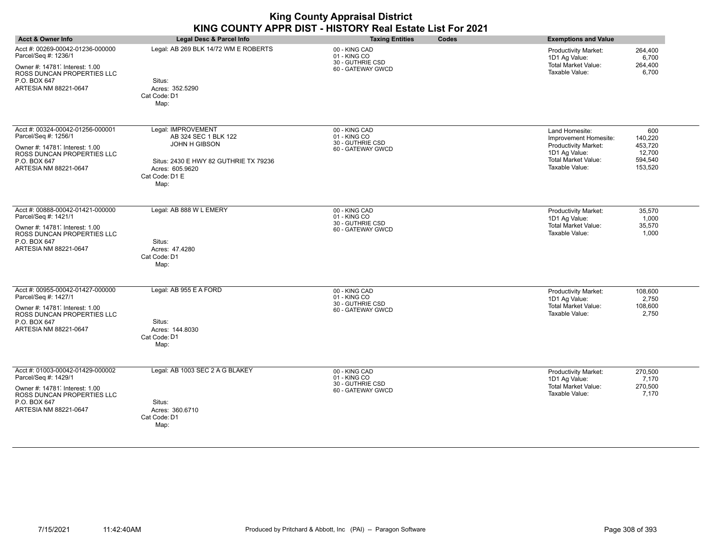| <b>Acct &amp; Owner Info</b>                                                                                                                                      | Legal Desc & Parcel Info                                                                                                                                 | <b>Taxing Entities</b><br>Codes                                        | <b>Exemptions and Value</b>                                                                                                                                                                   |
|-------------------------------------------------------------------------------------------------------------------------------------------------------------------|----------------------------------------------------------------------------------------------------------------------------------------------------------|------------------------------------------------------------------------|-----------------------------------------------------------------------------------------------------------------------------------------------------------------------------------------------|
| Acct #: 00269-00042-01236-000000<br>Parcel/Seq #: 1236/1<br>Owner #: 14781, Interest: 1.00<br>ROSS DUNCAN PROPERTIES LLC<br>P.O. BOX 647<br>ARTESIA NM 88221-0647 | Legal: AB 269 BLK 14/72 WM E ROBERTS<br>Situs:<br>Acres: 352.5290<br>Cat Code: D1<br>Map:                                                                | 00 - KING CAD<br>01 - KING CO<br>30 - GUTHRIE CSD<br>60 - GATEWAY GWCD | 264,400<br><b>Productivity Market:</b><br>1D1 Ag Value:<br>6,700<br><b>Total Market Value:</b><br>264,400<br>Taxable Value:<br>6,700                                                          |
| Acct #: 00324-00042-01256-000001<br>Parcel/Seq #: 1256/1<br>Owner #: 14781, Interest: 1.00<br>ROSS DUNCAN PROPERTIES LLC<br>P.O. BOX 647<br>ARTESIA NM 88221-0647 | Legal: IMPROVEMENT<br>AB 324 SEC 1 BLK 122<br><b>JOHN H GIBSON</b><br>Situs: 2430 E HWY 82 GUTHRIE TX 79236<br>Acres: 605.9620<br>Cat Code: D1 E<br>Map: | 00 - KING CAD<br>01 - KING CO<br>30 - GUTHRIE CSD<br>60 - GATEWAY GWCD | Land Homesite:<br>600<br>Improvement Homesite:<br>140,220<br>Productivity Market:<br>453,720<br>1D1 Ag Value:<br>12,700<br>594,540<br><b>Total Market Value:</b><br>Taxable Value:<br>153,520 |
| Acct #: 00888-00042-01421-000000<br>Parcel/Seq #: 1421/1<br>Owner #: 14781, Interest: 1.00<br>ROSS DUNCAN PROPERTIES LLC<br>P.O. BOX 647<br>ARTESIA NM 88221-0647 | Legal: AB 888 W L EMERY<br>Situs:<br>Acres: 47.4280<br>Cat Code: D1<br>Map:                                                                              | 00 - KING CAD<br>01 - KING CO<br>30 - GUTHRIE CSD<br>60 - GATEWAY GWCD | Productivity Market:<br>35,570<br>1D1 Ag Value:<br>1,000<br><b>Total Market Value:</b><br>35,570<br>Taxable Value:<br>1,000                                                                   |
| Acct #: 00955-00042-01427-000000<br>Parcel/Seq #: 1427/1<br>Owner #: 14781, Interest: 1.00<br>ROSS DUNCAN PROPERTIES LLC<br>P.O. BOX 647<br>ARTESIA NM 88221-0647 | Legal: AB 955 E A FORD<br>Situs:<br>Acres: 144.8030<br>Cat Code: D1<br>Map:                                                                              | 00 - KING CAD<br>01 - KING CO<br>30 - GUTHRIE CSD<br>60 - GATEWAY GWCD | Productivity Market:<br>108.600<br>1D1 Ag Value:<br>2,750<br>Total Market Value:<br>108,600<br>Taxable Value:<br>2,750                                                                        |
| Acct #: 01003-00042-01429-000002<br>Parcel/Seq #: 1429/1<br>Owner #: 14781, Interest: 1.00<br>ROSS DUNCAN PROPERTIES LLC<br>P.O. BOX 647<br>ARTESIA NM 88221-0647 | Legal: AB 1003 SEC 2 A G BLAKEY<br>Situs:<br>Acres: 360.6710<br>Cat Code: D1<br>Map:                                                                     | 00 - KING CAD<br>01 - KING CO<br>30 - GUTHRIE CSD<br>60 - GATEWAY GWCD | Productivity Market:<br>270,500<br>1D1 Ag Value:<br>7,170<br><b>Total Market Value:</b><br>270,500<br>Taxable Value:<br>7,170                                                                 |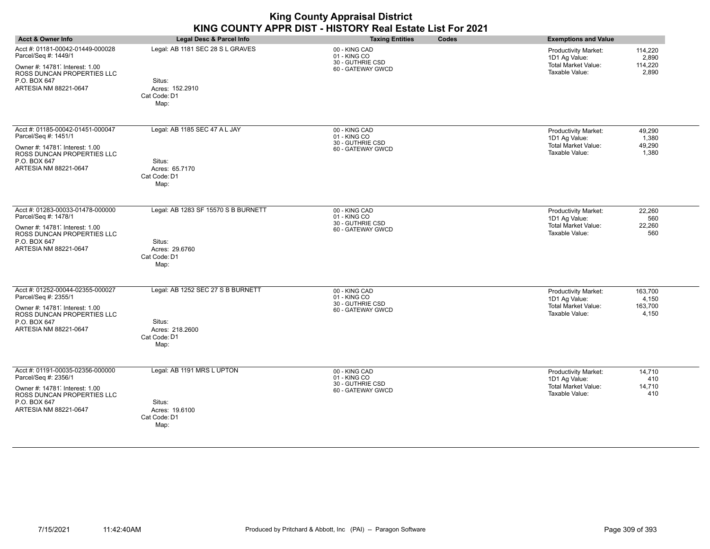|                                                                                                                                                                   |                                                                                         | <b>King County Appraisal District</b>                                                        |                                                                                                                                |
|-------------------------------------------------------------------------------------------------------------------------------------------------------------------|-----------------------------------------------------------------------------------------|----------------------------------------------------------------------------------------------|--------------------------------------------------------------------------------------------------------------------------------|
| <b>Acct &amp; Owner Info</b>                                                                                                                                      | <b>Legal Desc &amp; Parcel Info</b>                                                     | KING COUNTY APPR DIST - HISTORY Real Estate List For 2021<br><b>Taxing Entities</b><br>Codes | <b>Exemptions and Value</b>                                                                                                    |
| Acct #: 01181-00042-01449-000028<br>Parcel/Seq #: 1449/1<br>Owner #: 14781 Interest: 1.00<br>ROSS DUNCAN PROPERTIES LLC<br>P.O. BOX 647<br>ARTESIA NM 88221-0647  | Legal: AB 1181 SEC 28 S L GRAVES<br>Situs:<br>Acres: 152.2910<br>Cat Code: D1<br>Map:   | 00 - KING CAD<br>01 - KING CO<br>30 - GUTHRIE CSD<br>60 - GATEWAY GWCD                       | 114,220<br><b>Productivity Market:</b><br>2.890<br>1D1 Ag Value:<br>Total Market Value:<br>114,220<br>Taxable Value:<br>2,890  |
| Acct #: 01185-00042-01451-000047<br>Parcel/Seq #: 1451/1<br>Owner #: 14781, Interest: 1.00<br>ROSS DUNCAN PROPERTIES LLC<br>P.O. BOX 647<br>ARTESIA NM 88221-0647 | Legal: AB 1185 SEC 47 A L JAY<br>Situs:<br>Acres: 65.7170<br>Cat Code: D1<br>Map:       | 00 - KING CAD<br>01 - KING CO<br>30 - GUTHRIE CSD<br>60 - GATEWAY GWCD                       | Productivity Market:<br>49,290<br>1D1 Ag Value:<br>1,380<br><b>Total Market Value:</b><br>49,290<br>Taxable Value:<br>1,380    |
| Acct #: 01283-00033-01478-000000<br>Parcel/Seq #: 1478/1<br>Owner #: 14781 Interest: 1.00<br>ROSS DUNCAN PROPERTIES LLC<br>P.O. BOX 647<br>ARTESIA NM 88221-0647  | Legal: AB 1283 SF 15570 S B BURNETT<br>Situs:<br>Acres: 29.6760<br>Cat Code: D1<br>Map: | 00 - KING CAD<br>01 - KING CO<br>30 - GUTHRIE CSD<br>60 - GATEWAY GWCD                       | <b>Productivity Market:</b><br>22,260<br>1D1 Ag Value:<br>560<br>Total Market Value:<br>22,260<br>Taxable Value:<br>560        |
| Acct #: 01252-00044-02355-000027<br>Parcel/Seq #: 2355/1<br>Owner #: 14781, Interest: 1.00<br>ROSS DUNCAN PROPERTIES LLC<br>P.O. BOX 647<br>ARTESIA NM 88221-0647 | Legal: AB 1252 SEC 27 S B BURNETT<br>Situs:<br>Acres: 218.2600<br>Cat Code: D1<br>Map:  | 00 - KING CAD<br>01 - KING CO<br>30 - GUTHRIE CSD<br>60 - GATEWAY GWCD                       | Productivity Market:<br>163,700<br>1D1 Ag Value:<br>4,150<br><b>Total Market Value:</b><br>163,700<br>Taxable Value:<br>4,150  |
| Acct #: 01191-00035-02356-000000<br>Parcel/Seq #: 2356/1<br>Owner #: 14781, Interest: 1.00<br>ROSS DUNCAN PROPERTIES LLC<br>P.O. BOX 647<br>ARTESIA NM 88221-0647 | Legal: AB 1191 MRS L UPTON<br>Situs:<br>Acres: 19.6100<br>Cat Code: D1<br>Map:          | 00 - KING CAD<br>01 - KING CO<br>30 - GUTHRIE CSD<br>60 - GATEWAY GWCD                       | <b>Productivity Market:</b><br>14,710<br>1D1 Ag Value:<br>410<br><b>Total Market Value:</b><br>14,710<br>Taxable Value:<br>410 |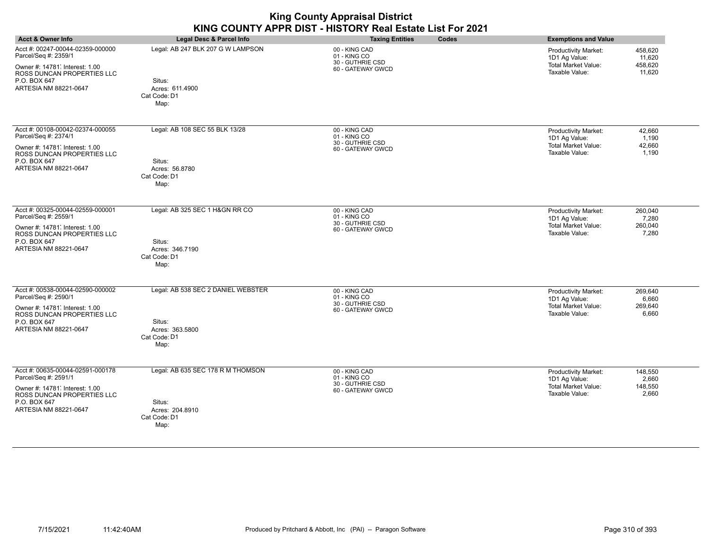| <b>Acct &amp; Owner Info</b>                                                                                                                                      | Legal Desc & Parcel Info                                                                | <b>Taxing Entities</b><br>Codes                                        | <b>Exemptions and Value</b>                                                                                                            |
|-------------------------------------------------------------------------------------------------------------------------------------------------------------------|-----------------------------------------------------------------------------------------|------------------------------------------------------------------------|----------------------------------------------------------------------------------------------------------------------------------------|
| Acct #: 00247-00044-02359-000000<br>Parcel/Seq #: 2359/1<br>Owner #: 14781 Interest: 1.00<br>ROSS DUNCAN PROPERTIES LLC<br>P.O. BOX 647<br>ARTESIA NM 88221-0647  | Legal: AB 247 BLK 207 G W LAMPSON<br>Situs:<br>Acres: 611.4900<br>Cat Code: D1<br>Map:  | 00 - KING CAD<br>01 - KING CO<br>30 - GUTHRIE CSD<br>60 - GATEWAY GWCD | 458,620<br><b>Productivity Market:</b><br>11,620<br>1D1 Ag Value:<br><b>Total Market Value:</b><br>458,620<br>Taxable Value:<br>11,620 |
| Acct #: 00108-00042-02374-000055<br>Parcel/Seq #: 2374/1<br>Owner #: 14781 Interest: 1.00<br>ROSS DUNCAN PROPERTIES LLC<br>P.O. BOX 647<br>ARTESIA NM 88221-0647  | Legal: AB 108 SEC 55 BLK 13/28<br>Situs:<br>Acres: 56.8780<br>Cat Code: D1<br>Map:      | 00 - KING CAD<br>01 - KING CO<br>30 - GUTHRIE CSD<br>60 - GATEWAY GWCD | Productivity Market:<br>42,660<br>1D1 Ag Value:<br>1,190<br><b>Total Market Value:</b><br>42,660<br>Taxable Value:<br>1,190            |
| Acct #: 00325-00044-02559-000001<br>Parcel/Seq #: 2559/1<br>Owner #: 14781, Interest: 1.00<br>ROSS DUNCAN PROPERTIES LLC<br>P.O. BOX 647<br>ARTESIA NM 88221-0647 | Legal: AB 325 SEC 1 H&GN RR CO<br>Situs:<br>Acres: 346.7190<br>Cat Code: D1<br>Map:     | 00 - KING CAD<br>01 - KING CO<br>30 - GUTHRIE CSD<br>60 - GATEWAY GWCD | Productivity Market:<br>260,040<br>1D1 Ag Value:<br>7,280<br><b>Total Market Value:</b><br>260,040<br>Taxable Value:<br>7,280          |
| Acct #: 00538-00044-02590-000002<br>Parcel/Seq #: 2590/1<br>Owner #: 14781 Interest: 1.00<br>ROSS DUNCAN PROPERTIES LLC<br>P.O. BOX 647<br>ARTESIA NM 88221-0647  | Legal: AB 538 SEC 2 DANIEL WEBSTER<br>Situs:<br>Acres: 363.5800<br>Cat Code: D1<br>Map: | 00 - KING CAD<br>01 - KING CO<br>30 - GUTHRIE CSD<br>60 - GATEWAY GWCD | 269,640<br>Productivity Market:<br>1D1 Ag Value:<br>6,660<br><b>Total Market Value:</b><br>269,640<br>Taxable Value:<br>6,660          |
| Acct #: 00635-00044-02591-000178<br>Parcel/Seq #: 2591/1<br>Owner #: 14781 Interest: 1.00<br>ROSS DUNCAN PROPERTIES LLC<br>P.O. BOX 647<br>ARTESIA NM 88221-0647  | Legal: AB 635 SEC 178 R M THOMSON<br>Situs:<br>Acres: 204.8910<br>Cat Code: D1<br>Map:  | 00 - KING CAD<br>01 - KING CO<br>30 - GUTHRIE CSD<br>60 - GATEWAY GWCD | Productivity Market:<br>148,550<br>1D1 Ag Value:<br>2,660<br><b>Total Market Value:</b><br>148,550<br>Taxable Value:<br>2,660          |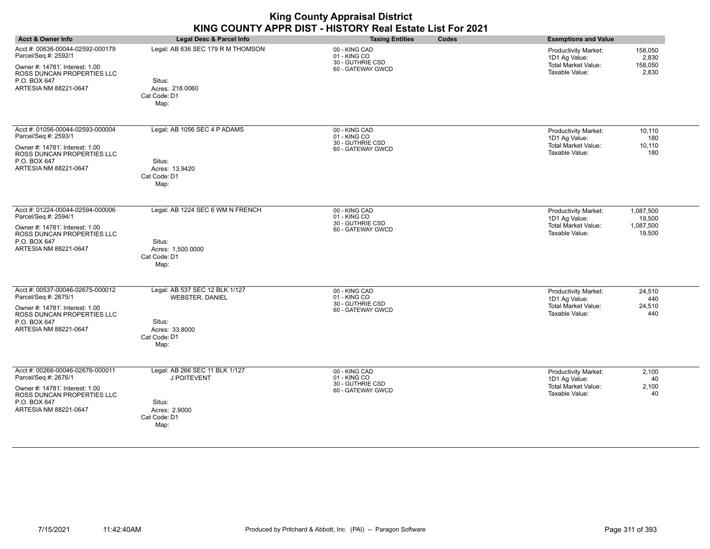| <b>Acct &amp; Owner Info</b>                                                                                                                                      | Legal Desc & Parcel Info                                                                                     | <b>Taxing Entities</b><br>Codes                                        | <b>Exemptions and Value</b>                                                                                                          |
|-------------------------------------------------------------------------------------------------------------------------------------------------------------------|--------------------------------------------------------------------------------------------------------------|------------------------------------------------------------------------|--------------------------------------------------------------------------------------------------------------------------------------|
| Acct #: 00636-00044-02592-000179<br>Parcel/Seq #: 2592/1<br>Owner #: 14781 Interest: 1.00<br>ROSS DUNCAN PROPERTIES LLC<br>P.O. BOX 647<br>ARTESIA NM 88221-0647  | Legal: AB 636 SEC 179 R M THOMSON<br>Situs:<br>Acres: 218.0060<br>Cat Code: D1<br>Map:                       | 00 - KING CAD<br>01 - KING CO<br>30 - GUTHRIE CSD<br>60 - GATEWAY GWCD | 158,050<br><b>Productivity Market:</b><br>1D1 Ag Value:<br>2,830<br><b>Total Market Value:</b><br>158,050<br>Taxable Value:<br>2,830 |
| Acct #: 01056-00044-02593-000004<br>Parcel/Seq #: 2593/1<br>Owner #: 14781 Interest: 1.00<br>ROSS DUNCAN PROPERTIES LLC<br>P.O. BOX 647<br>ARTESIA NM 88221-0647  | Legal: AB 1056 SEC 4 P ADAMS<br>Situs:<br>Acres: 13.9420<br>Cat Code: D1<br>Map:                             | 00 - KING CAD<br>01 - KING CO<br>30 - GUTHRIE CSD<br>60 - GATEWAY GWCD | <b>Productivity Market:</b><br>10,110<br>1D1 Ag Value:<br>180<br><b>Total Market Value:</b><br>10,110<br>Taxable Value:<br>180       |
| Acct #: 01224-00044-02594-000006<br>Parcel/Seq #: 2594/1<br>Owner #: 14781, Interest: 1.00<br>ROSS DUNCAN PROPERTIES LLC<br>P.O. BOX 647<br>ARTESIA NM 88221-0647 | Legal: AB 1224 SEC 6 WM N FRENCH<br>Situs:<br>Acres: 1,500.0000<br>Cat Code: D1<br>Map:                      | 00 - KING CAD<br>01 - KING CO<br>30 - GUTHRIE CSD<br>60 - GATEWAY GWCD | Productivity Market:<br>1,087,500<br>1D1 Ag Value:<br>19,500<br><b>Total Market Value:</b><br>1,087,500<br>Taxable Value:<br>19,500  |
| Acct #: 00537-00046-02675-000012<br>Parcel/Seq #: 2675/1<br>Owner #: 14781 Interest: 1.00<br>ROSS DUNCAN PROPERTIES LLC<br>P.O. BOX 647<br>ARTESIA NM 88221-0647  | Legal: AB 537 SEC 12 BLK 1/127<br><b>WEBSTER, DANIEL</b><br>Situs:<br>Acres: 33.8000<br>Cat Code: D1<br>Map: | 00 - KING CAD<br>01 - KING CO<br>30 - GUTHRIE CSD<br>60 - GATEWAY GWCD | Productivity Market:<br>24,510<br>1D1 Ag Value:<br>440<br><b>Total Market Value:</b><br>24,510<br>Taxable Value:<br>440              |
| Acct #: 00266-00046-02676-000011<br>Parcel/Seq #: 2676/1<br>Owner #: 14781 Interest: 1.00<br>ROSS DUNCAN PROPERTIES LLC<br>P.O. BOX 647<br>ARTESIA NM 88221-0647  | Legal: AB 266 SEC 11 BLK 1/127<br>J POITEVENT<br>Situs:<br>Acres: 2.9000<br>Cat Code: D1<br>Map:             | 00 - KING CAD<br>01 - KING CO<br>30 - GUTHRIE CSD<br>60 - GATEWAY GWCD | <b>Productivity Market:</b><br>2,100<br>1D1 Ag Value:<br>40<br><b>Total Market Value:</b><br>2,100<br>Taxable Value:<br>40           |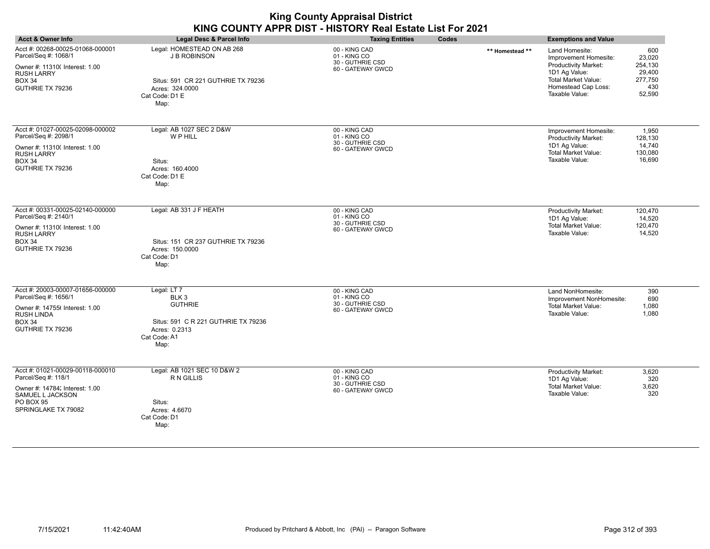| <b>Acct &amp; Owner Info</b>                                                                                                                             | Legal Desc & Parcel Info                                                                                                             | <b>Taxing Entities</b><br>Codes                                        |                 | <b>Exemptions and Value</b>                                                                                                                                    |                                                                |
|----------------------------------------------------------------------------------------------------------------------------------------------------------|--------------------------------------------------------------------------------------------------------------------------------------|------------------------------------------------------------------------|-----------------|----------------------------------------------------------------------------------------------------------------------------------------------------------------|----------------------------------------------------------------|
| Acct #: 00268-00025-01068-000001<br>Parcel/Seq #: 1068/1<br>Owner #: 11310( Interest: 1.00<br><b>RUSH LARRY</b><br><b>BOX 34</b><br>GUTHRIE TX 79236     | Legal: HOMESTEAD ON AB 268<br><b>J B ROBINSON</b><br>Situs: 591 CR 221 GUTHRIE TX 79236<br>Acres: 324,0000<br>Cat Code: D1 E<br>Map: | 00 - KING CAD<br>01 - KING CO<br>30 - GUTHRIE CSD<br>60 - GATEWAY GWCD | ** Homestead ** | Land Homesite:<br>Improvement Homesite:<br><b>Productivity Market:</b><br>1D1 Ag Value:<br><b>Total Market Value:</b><br>Homestead Cap Loss:<br>Taxable Value: | 600<br>23,020<br>254,130<br>29,400<br>277,750<br>430<br>52,590 |
| Acct #: 01027-00025-02098-000002<br>Parcel/Seq #: 2098/1<br>Owner #: 11310( Interest: 1.00<br><b>RUSH LARRY</b><br><b>BOX 34</b><br>GUTHRIE TX 79236     | Legal: AB 1027 SEC 2 D&W<br>W P HILL<br>Situs:<br>Acres: 160.4000<br>Cat Code: D1 E<br>Map:                                          | 00 - KING CAD<br>01 - KING CO<br>30 - GUTHRIE CSD<br>60 - GATEWAY GWCD |                 | Improvement Homesite:<br>Productivity Market:<br>1D1 Ag Value:<br><b>Total Market Value:</b><br>Taxable Value:                                                 | 1,950<br>128,130<br>14,740<br>130,080<br>16,690                |
| Acct #: 00331-00025-02140-000000<br>Parcel/Seq #: 2140/1<br>Owner #: 11310( Interest: 1.00<br><b>RUSH LARRY</b><br><b>BOX 34</b><br>GUTHRIE TX 79236     | Legal: AB 331 J F HEATH<br>Situs: 151 CR 237 GUTHRIE TX 79236<br>Acres: 150.0000<br>Cat Code: D1<br>Map:                             | 00 - KING CAD<br>01 - KING CO<br>30 - GUTHRIE CSD<br>60 - GATEWAY GWCD |                 | Productivity Market:<br>1D1 Ag Value:<br><b>Total Market Value:</b><br>Taxable Value:                                                                          | 120,470<br>14,520<br>120,470<br>14,520                         |
| Acct #: 20003-00007-01656-000000<br>Parcel/Seq #: 1656/1<br>Owner #: 147556 Interest: 1.00<br><b>RUSH LINDA</b><br><b>BOX 34</b><br>GUTHRIE TX 79236     | Legal: LT 7<br>BLK <sub>3</sub><br><b>GUTHRIE</b><br>Situs: 591 C R 221 GUTHRIE TX 79236<br>Acres: 0.2313<br>Cat Code: A1<br>Map:    | 00 - KING CAD<br>01 - KING CO<br>30 - GUTHRIE CSD<br>60 - GATEWAY GWCD |                 | Land NonHomesite:<br>Improvement NonHomesite:<br>Total Market Value:<br>Taxable Value:                                                                         | 390<br>690<br>1,080<br>1,080                                   |
| Acct #: 01021-00029-00118-000010<br>Parcel/Seq #: 118/1<br>Owner #: 14784; Interest: 1.00<br>SAMUEL L JACKSON<br><b>PO BOX 95</b><br>SPRINGLAKE TX 79082 | Legal: AB 1021 SEC 10 D&W 2<br>R N GILLIS<br>Situs:<br>Acres: 4.6670<br>Cat Code: D1<br>Map:                                         | 00 - KING CAD<br>01 - KING CO<br>30 - GUTHRIE CSD<br>60 - GATEWAY GWCD |                 | Productivity Market:<br>1D1 Ag Value:<br><b>Total Market Value:</b><br>Taxable Value:                                                                          | 3,620<br>320<br>3,620<br>320                                   |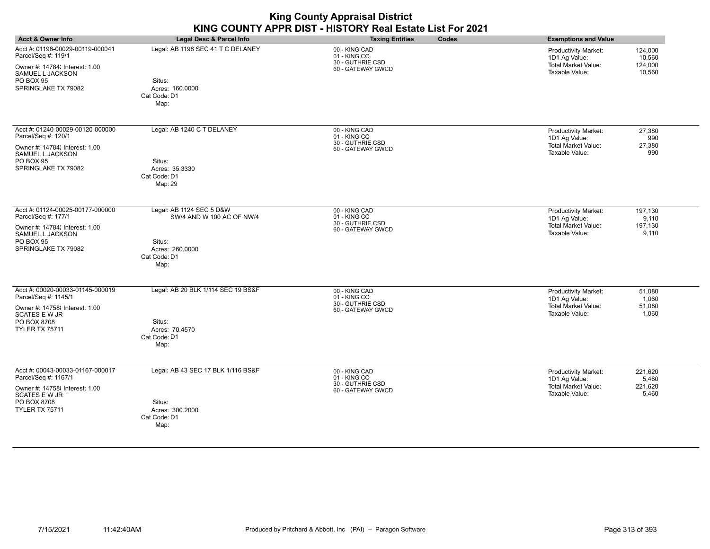| <b>King County Appraisal District</b><br>KING COUNTY APPR DIST - HISTORY Real Estate List For 2021                                                        |                                                                                                            |                                                                        |       |                                                                                              |                                        |
|-----------------------------------------------------------------------------------------------------------------------------------------------------------|------------------------------------------------------------------------------------------------------------|------------------------------------------------------------------------|-------|----------------------------------------------------------------------------------------------|----------------------------------------|
| <b>Acct &amp; Owner Info</b>                                                                                                                              | <b>Legal Desc &amp; Parcel Info</b>                                                                        | <b>Taxing Entities</b>                                                 | Codes | <b>Exemptions and Value</b>                                                                  |                                        |
| Acct #: 01198-00029-00119-000041<br>Parcel/Seq #: 119/1<br>Owner #: 14784; Interest: 1.00<br>SAMUEL L JACKSON<br>PO BOX 95<br>SPRINGLAKE TX 79082         | Legal: AB 1198 SEC 41 T C DELANEY<br>Situs:<br>Acres: 160.0000<br>Cat Code: D1<br>Map:                     | 00 - KING CAD<br>01 - KING CO<br>30 - GUTHRIE CSD<br>60 - GATEWAY GWCD |       | Productivity Market:<br>1D1 Ag Value:<br><b>Total Market Value:</b><br>Taxable Value:        | 124,000<br>10.560<br>124,000<br>10,560 |
| Acct #: 01240-00029-00120-000000<br>Parcel/Seq #: 120/1<br>Owner #: 14784; Interest: 1.00                                                                 | Legal: AB 1240 C T DELANEY                                                                                 | 00 - KING CAD<br>01 - KING CO<br>30 - GUTHRIE CSD<br>60 - GATEWAY GWCD |       | Productivity Market:<br>1D1 Ag Value:<br><b>Total Market Value:</b><br>Taxable Value:        | 27,380<br>990<br>27,380<br>990         |
| SAMUEL L JACKSON<br>PO BOX 95<br>SPRINGLAKE TX 79082                                                                                                      | Situs:<br>Acres: 35.3330<br>Cat Code: D1<br>Map: 29                                                        |                                                                        |       |                                                                                              |                                        |
| Acct #: 01124-00025-00177-000000<br>Parcel/Seq #: 177/1<br>Owner #: 14784; Interest: 1.00<br>SAMUEL L JACKSON<br>PO BOX 95<br>SPRINGLAKE TX 79082         | Legal: AB 1124 SEC 5 D&W<br>SW/4 AND W 100 AC OF NW/4<br>Situs:<br>Acres: 260.0000<br>Cat Code: D1<br>Map: | 00 - KING CAD<br>01 - KING CO<br>30 - GUTHRIE CSD<br>60 - GATEWAY GWCD |       | Productivity Market:<br>1D1 Ag Value:<br><b>Total Market Value:</b><br>Taxable Value:        | 197.130<br>9,110<br>197.130<br>9,110   |
| Acct #: 00020-00033-01145-000019<br>Parcel/Seq #: 1145/1<br>Owner #: 14758 Interest: 1.00<br><b>SCATES E W JR</b><br>PO BOX 8708<br><b>TYLER TX 75711</b> | Legal: AB 20 BLK 1/114 SEC 19 BS&F<br>Situs:<br>Acres: 70.4570<br>Cat Code: D1<br>Map:                     | 00 - KING CAD<br>01 - KING CO<br>30 - GUTHRIE CSD<br>60 - GATEWAY GWCD |       | Productivity Market:<br>1D1 Ag Value:<br>Total Market Value:<br>Taxable Value:               | 51.080<br>1,060<br>51,080<br>1,060     |
| Acct #: 00043-00033-01167-000017<br>Parcel/Seq #: 1167/1<br>Owner #: 14758 Interest: 1.00<br><b>SCATES E W JR</b><br>PO BOX 8708<br><b>TYLER TX 75711</b> | Legal: AB 43 SEC 17 BLK 1/116 BS&F<br>Situs:<br>Acres: 300.2000<br>Cat Code: D1                            | 00 - KING CAD<br>01 - KING CO<br>30 - GUTHRIE CSD<br>60 - GATEWAY GWCD |       | <b>Productivity Market:</b><br>1D1 Ag Value:<br><b>Total Market Value:</b><br>Taxable Value: | 221,620<br>5.460<br>221,620<br>5,460   |

Map: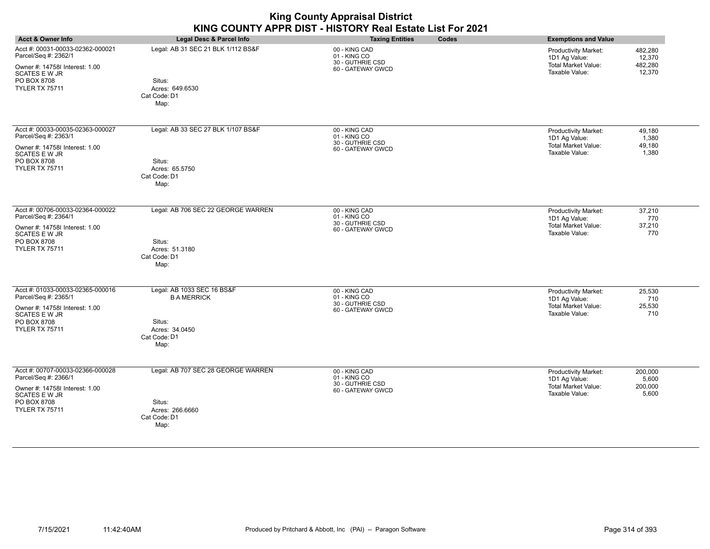| <b>Acct &amp; Owner Info</b>                                                                                                                              | Legal Desc & Parcel Info                                                                             | <b>Taxing Entities</b><br>Codes                                        | <b>Exemptions and Value</b>                                                                                                          |
|-----------------------------------------------------------------------------------------------------------------------------------------------------------|------------------------------------------------------------------------------------------------------|------------------------------------------------------------------------|--------------------------------------------------------------------------------------------------------------------------------------|
| Acct #: 00031-00033-02362-000021<br>Parcel/Seq #: 2362/1<br>Owner #: 14758 Interest: 1.00<br><b>SCATES E W JR</b><br>PO BOX 8708<br><b>TYLER TX 75711</b> | Legal: AB 31 SEC 21 BLK 1/112 BS&F<br>Situs:<br>Acres: 649.6530<br>Cat Code: D1<br>Map:              | 00 - KING CAD<br>01 - KING CO<br>30 - GUTHRIE CSD<br>60 - GATEWAY GWCD | 482,280<br><b>Productivity Market:</b><br>1D1 Ag Value:<br>12,370<br>Total Market Value:<br>482,280<br>Taxable Value:<br>12,370      |
| Acct #: 00033-00035-02363-000027<br>Parcel/Seq #: 2363/1<br>Owner #: 14758 Interest: 1.00<br><b>SCATES E W JR</b><br>PO BOX 8708<br><b>TYLER TX 75711</b> | Legal: AB 33 SEC 27 BLK 1/107 BS&F<br>Situs:<br>Acres: 65.5750<br>Cat Code: D1<br>Map:               | 00 - KING CAD<br>01 - KING CO<br>30 - GUTHRIE CSD<br>60 - GATEWAY GWCD | Productivity Market:<br>49,180<br>1D1 Ag Value:<br>1,380<br>Total Market Value:<br>49,180<br>Taxable Value:<br>1,380                 |
| Acct #: 00706-00033-02364-000022<br>Parcel/Seq #: 2364/1<br>Owner #: 14758 Interest: 1.00<br>SCATES E W JR<br>PO BOX 8708<br><b>TYLER TX 75711</b>        | Legal: AB 706 SEC 22 GEORGE WARREN<br>Situs:<br>Acres: 51.3180<br>Cat Code: D1<br>Map:               | 00 - KING CAD<br>01 - KING CO<br>30 - GUTHRIE CSD<br>60 - GATEWAY GWCD | Productivity Market:<br>37,210<br>1D1 Ag Value:<br>770<br><b>Total Market Value:</b><br>37,210<br>Taxable Value:<br>770              |
| Acct #: 01033-00033-02365-000016<br>Parcel/Seq #: 2365/1<br>Owner #: 14758 Interest: 1.00<br>SCATES E W JR<br>PO BOX 8708<br><b>TYLER TX 75711</b>        | Legal: AB 1033 SEC 16 BS&F<br><b>B A MERRICK</b><br>Situs:<br>Acres: 34.0450<br>Cat Code: D1<br>Map: | 00 - KING CAD<br>01 - KING CO<br>30 - GUTHRIE CSD<br>60 - GATEWAY GWCD | 25,530<br><b>Productivity Market:</b><br>1D1 Ag Value:<br>710<br><b>Total Market Value:</b><br>25,530<br>Taxable Value:<br>710       |
| Acct #: 00707-00033-02366-000028<br>Parcel/Seq #: 2366/1<br>Owner #: 14758 Interest: 1.00<br><b>SCATES E W JR</b><br>PO BOX 8708<br><b>TYLER TX 75711</b> | Legal: AB 707 SEC 28 GEORGE WARREN<br>Situs:<br>Acres: 266.6660<br>Cat Code: D1<br>Map:              | 00 - KING CAD<br>01 - KING CO<br>30 - GUTHRIE CSD<br>60 - GATEWAY GWCD | 200,000<br><b>Productivity Market:</b><br>1D1 Ag Value:<br>5,600<br><b>Total Market Value:</b><br>200,000<br>Taxable Value:<br>5,600 |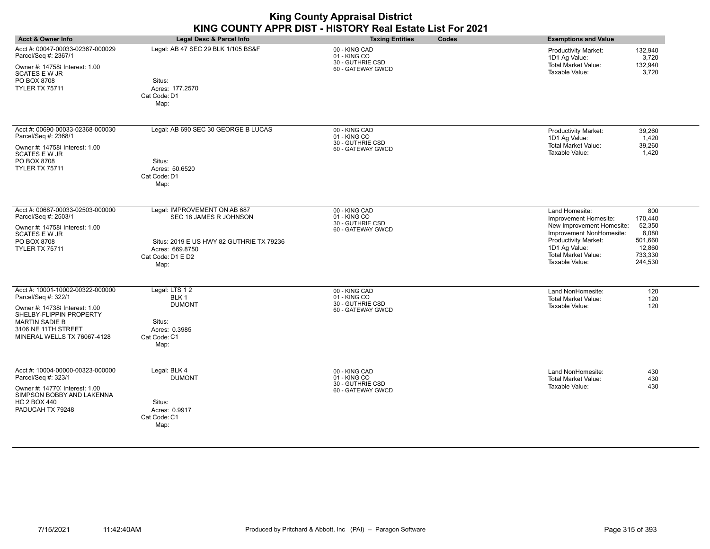| <b>Acct &amp; Owner Info</b>                                                                                                                                                                       | Legal Desc & Parcel Info                                                                                                                           | <b>Taxing Entities</b><br>Codes                                        | <b>Exemptions and Value</b>                                                                                                                                                                                                                                                      |
|----------------------------------------------------------------------------------------------------------------------------------------------------------------------------------------------------|----------------------------------------------------------------------------------------------------------------------------------------------------|------------------------------------------------------------------------|----------------------------------------------------------------------------------------------------------------------------------------------------------------------------------------------------------------------------------------------------------------------------------|
| Acct #: 00047-00033-02367-000029<br>Parcel/Seq #: 2367/1<br>Owner #: 14758 Interest: 1.00<br><b>SCATES E W JR</b><br>PO BOX 8708<br><b>TYLER TX 75711</b>                                          | Legal: AB 47 SEC 29 BLK 1/105 BS&F<br>Situs:<br>Acres: 177.2570<br>Cat Code: D1<br>Map:                                                            | 00 - KING CAD<br>01 - KING CO<br>30 - GUTHRIE CSD<br>60 - GATEWAY GWCD | 132,940<br>Productivity Market:<br>1D1 Ag Value:<br>3,720<br><b>Total Market Value:</b><br>132,940<br>Taxable Value:<br>3,720                                                                                                                                                    |
| Acct #: 00690-00033-02368-000030<br>Parcel/Seq #: 2368/1<br>Owner #: 14758 Interest: 1.00<br><b>SCATES E W JR</b><br>PO BOX 8708<br><b>TYLER TX 75711</b>                                          | Legal: AB 690 SEC 30 GEORGE B LUCAS<br>Situs:<br>Acres: 50.6520<br>Cat Code: D1<br>Map:                                                            | 00 - KING CAD<br>01 - KING CO<br>30 - GUTHRIE CSD<br>60 - GATEWAY GWCD | Productivity Market:<br>39,260<br>1D1 Ag Value:<br>1,420<br><b>Total Market Value:</b><br>39,260<br>Taxable Value:<br>1,420                                                                                                                                                      |
| Acct #: 00687-00033-02503-000000<br>Parcel/Seq #: 2503/1<br>Owner #: 14758 Interest: 1.00<br><b>SCATES E W JR</b><br>PO BOX 8708<br><b>TYLER TX 75711</b>                                          | Legal: IMPROVEMENT ON AB 687<br>SEC 18 JAMES R JOHNSON<br>Situs: 2019 E US HWY 82 GUTHRIE TX 79236<br>Acres: 669.8750<br>Cat Code: D1 E D2<br>Map: | 00 - KING CAD<br>01 - KING CO<br>30 - GUTHRIE CSD<br>60 - GATEWAY GWCD | 800<br>Land Homesite:<br>170,440<br>Improvement Homesite:<br>52,350<br>New Improvement Homesite:<br>Improvement NonHomesite:<br>8,080<br><b>Productivity Market:</b><br>501,660<br>1D1 Ag Value:<br>12,860<br><b>Total Market Value:</b><br>733,330<br>Taxable Value:<br>244,530 |
| Acct #: 10001-10002-00322-000000<br>Parcel/Seq #: 322/1<br>Owner #: 14738 Interest: 1.00<br>SHELBY-FLIPPIN PROPERTY<br><b>MARTIN SADIE B</b><br>3106 NE 11TH STREET<br>MINERAL WELLS TX 76067-4128 | Legal: LTS 12<br>BLK <sub>1</sub><br><b>DUMONT</b><br>Situs:<br>Acres: 0.3985<br>Cat Code: C1<br>Map:                                              | 00 - KING CAD<br>01 - KING CO<br>30 - GUTHRIE CSD<br>60 - GATEWAY GWCD | Land NonHomesite:<br>120<br><b>Total Market Value:</b><br>120<br>Taxable Value:<br>120                                                                                                                                                                                           |
| Acct #: 10004-00000-00323-000000<br>Parcel/Seq #: 323/1<br>Owner #: 14770, Interest: 1.00<br>SIMPSON BOBBY AND LAKENNA<br><b>HC 2 BOX 440</b><br>PADUCAH TX 79248                                  | Legal: BLK 4<br><b>DUMONT</b><br>Situs:<br>Acres: 0.9917<br>Cat Code: C1<br>Map:                                                                   | 00 - KING CAD<br>01 - KING CO<br>30 - GUTHRIE CSD<br>60 - GATEWAY GWCD | 430<br>Land NonHomesite:<br><b>Total Market Value:</b><br>430<br>Taxable Value:<br>430                                                                                                                                                                                           |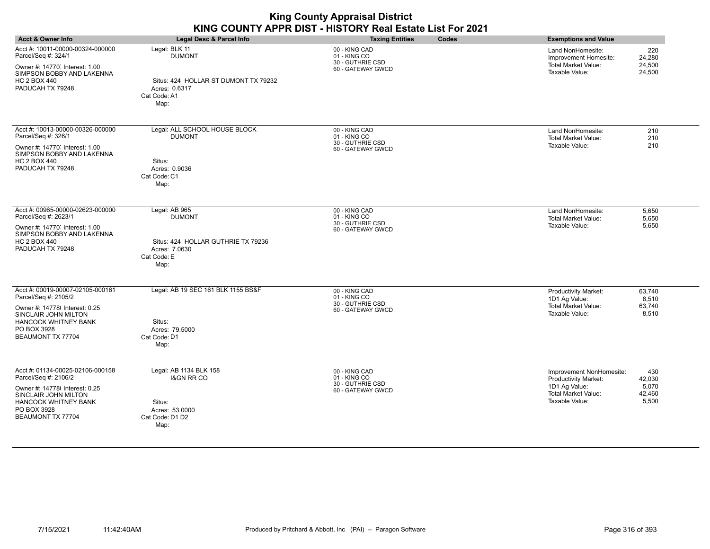| <b>Acct &amp; Owner Info</b>                                                                                                                                                          | Legal Desc & Parcel Info                                                                                        | <b>Taxing Entities</b><br>Codes                                        | <b>Exemptions and Value</b>                                                                                                                                    |
|---------------------------------------------------------------------------------------------------------------------------------------------------------------------------------------|-----------------------------------------------------------------------------------------------------------------|------------------------------------------------------------------------|----------------------------------------------------------------------------------------------------------------------------------------------------------------|
| Acct #: 10011-00000-00324-000000<br>Parcel/Seq #: 324/1<br>Owner #: 14770, Interest: 1.00<br>SIMPSON BOBBY AND LAKENNA<br><b>HC 2 BOX 440</b><br>PADUCAH TX 79248                     | Legal: BLK 11<br><b>DUMONT</b><br>Situs: 424 HOLLAR ST DUMONT TX 79232<br>Acres: 0.6317<br>Cat Code: A1<br>Map: | 00 - KING CAD<br>01 - KING CO<br>30 - GUTHRIE CSD<br>60 - GATEWAY GWCD | Land NonHomesite:<br>220<br>24,280<br>Improvement Homesite:<br><b>Total Market Value:</b><br>24,500<br>Taxable Value:<br>24,500                                |
| Acct #: 10013-00000-00326-000000<br>Parcel/Seq #: 326/1<br>Owner #: 14770, Interest: 1.00<br>SIMPSON BOBBY AND LAKENNA<br><b>HC 2 BOX 440</b><br>PADUCAH TX 79248                     | Legal: ALL SCHOOL HOUSE BLOCK<br><b>DUMONT</b><br>Situs:<br>Acres: 0.9036<br>Cat Code: C1<br>Map:               | 00 - KING CAD<br>01 - KING CO<br>30 - GUTHRIE CSD<br>60 - GATEWAY GWCD | Land NonHomesite:<br>210<br>210<br><b>Total Market Value:</b><br>Taxable Value:<br>210                                                                         |
| Acct #: 00965-00000-02623-000000<br>Parcel/Seq #: 2623/1<br>Owner #: 14770, Interest: 1.00<br>SIMPSON BOBBY AND LAKENNA<br><b>HC 2 BOX 440</b><br>PADUCAH TX 79248                    | Legal: AB 965<br><b>DUMONT</b><br>Situs: 424 HOLLAR GUTHRIE TX 79236<br>Acres: 7.0630<br>Cat Code: E<br>Map:    | 00 - KING CAD<br>01 - KING CO<br>30 - GUTHRIE CSD<br>60 - GATEWAY GWCD | Land NonHomesite:<br>5,650<br>Total Market Value:<br>5,650<br>Taxable Value:<br>5,650                                                                          |
| Acct #: 00019-00007-02105-000161<br>Parcel/Seq #: 2105/2<br>Owner #: 14778(Interest: 0.25<br>SINCLAIR JOHN MILTON<br><b>HANCOCK WHITNEY BANK</b><br>PO BOX 3928<br>BEAUMONT TX 77704  | Legal: AB 19 SEC 161 BLK 1155 BS&F<br>Situs:<br>Acres: 79.5000<br>Cat Code: D1<br>Map:                          | 00 - KING CAD<br>01 - KING CO<br>30 - GUTHRIE CSD<br>60 - GATEWAY GWCD | <b>Productivity Market:</b><br>63,740<br>1D1 Ag Value:<br>8,510<br><b>Total Market Value:</b><br>63,740<br>Taxable Value:<br>8,510                             |
| Acct #: 01134-00025-02106-000158<br>Parcel/Seq #: 2106/2<br>Owner #: 14778( Interest: 0.25<br>SINCLAIR JOHN MILTON<br><b>HANCOCK WHITNEY BANK</b><br>PO BOX 3928<br>BEAUMONT TX 77704 | Legal: AB 1134 BLK 158<br><b>I&amp;GN RR CO</b><br>Situs:<br>Acres: 53.0000<br>Cat Code: D1 D2<br>Map:          | 00 - KING CAD<br>01 - KING CO<br>30 - GUTHRIE CSD<br>60 - GATEWAY GWCD | 430<br>Improvement NonHomesite:<br>Productivity Market:<br>42,030<br>1D1 Ag Value:<br>5,070<br><b>Total Market Value:</b><br>42,460<br>Taxable Value:<br>5,500 |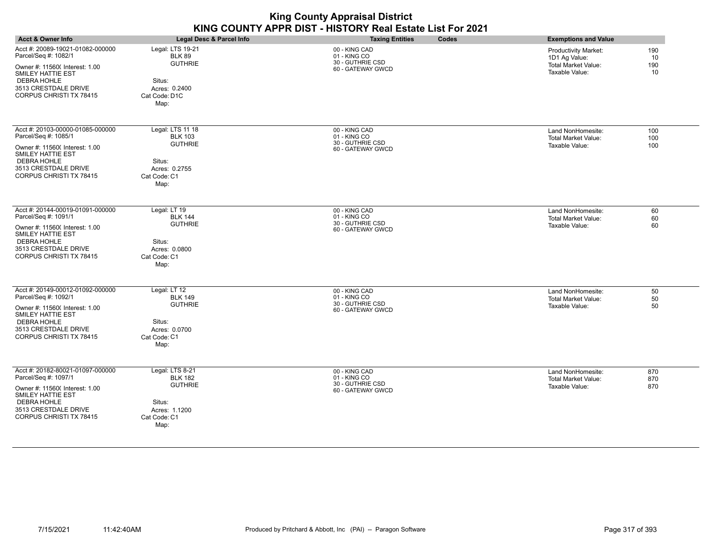| <b>Acct &amp; Owner Info</b>                                                                                                                                                                           | Legal Desc & Parcel Info                                                                                | <b>Taxing Entities</b><br>Codes                                        | <b>Exemptions and Value</b>                                                                                            |
|--------------------------------------------------------------------------------------------------------------------------------------------------------------------------------------------------------|---------------------------------------------------------------------------------------------------------|------------------------------------------------------------------------|------------------------------------------------------------------------------------------------------------------------|
| Acct #: 20089-19021-01082-000000<br>Parcel/Seq #: 1082/1<br>Owner #: 11560( Interest: 1.00<br><b>SMILEY HATTIE EST</b><br><b>DEBRA HOHLE</b><br>3513 CRESTDALE DRIVE<br><b>CORPUS CHRISTI TX 78415</b> | Legal: LTS 19-21<br><b>BLK 89</b><br><b>GUTHRIE</b><br>Situs:<br>Acres: 0.2400<br>Cat Code: D1C<br>Map: | 00 - KING CAD<br>01 - KING CO<br>30 - GUTHRIE CSD<br>60 - GATEWAY GWCD | 190<br><b>Productivity Market:</b><br>1D1 Ag Value:<br>10<br><b>Total Market Value:</b><br>190<br>Taxable Value:<br>10 |
| Acct #: 20103-00000-01085-000000<br>Parcel/Seq #: 1085/1<br>Owner #: 11560( Interest: 1.00<br>SMILEY HATTIE EST<br><b>DEBRA HOHLE</b><br>3513 CRESTDALE DRIVE<br>CORPUS CHRISTI TX 78415               | Legal: LTS 11 18<br><b>BLK 103</b><br><b>GUTHRIE</b><br>Situs:<br>Acres: 0.2755<br>Cat Code: C1<br>Map: | 00 - KING CAD<br>01 - KING CO<br>30 - GUTHRIE CSD<br>60 - GATEWAY GWCD | 100<br>Land NonHomesite:<br>100<br><b>Total Market Value:</b><br>Taxable Value:<br>100                                 |
| Acct #: 20144-00019-01091-000000<br>Parcel/Seq #: 1091/1<br>Owner #: 11560( Interest: 1.00<br>SMILEY HATTIE EST<br><b>DEBRA HOHLE</b><br>3513 CRESTDALE DRIVE<br>CORPUS CHRISTI TX 78415               | Legal: LT 19<br><b>BLK 144</b><br><b>GUTHRIE</b><br>Situs:<br>Acres: 0.0800<br>Cat Code: C1<br>Map:     | 00 - KING CAD<br>01 - KING CO<br>30 - GUTHRIE CSD<br>60 - GATEWAY GWCD | 60<br>Land NonHomesite:<br>60<br><b>Total Market Value:</b><br>Taxable Value:<br>60                                    |
| Acct #: 20149-00012-01092-000000<br>Parcel/Seq #: 1092/1<br>Owner #: 11560( Interest: 1.00<br>SMILEY HATTIE EST<br><b>DEBRA HOHLE</b><br>3513 CRESTDALE DRIVE<br>CORPUS CHRISTI TX 78415               | Legal: LT 12<br><b>BLK 149</b><br><b>GUTHRIE</b><br>Situs:<br>Acres: 0.0700<br>Cat Code: C1<br>Map:     | 00 - KING CAD<br>01 - KING CO<br>30 - GUTHRIE CSD<br>60 - GATEWAY GWCD | 50<br>Land NonHomesite:<br>50<br><b>Total Market Value:</b><br>Taxable Value:<br>50                                    |
| Acct #: 20182-80021-01097-000000<br>Parcel/Seq #: 1097/1<br>Owner #: 11560( Interest: 1.00<br>SMILEY HATTIE EST<br><b>DEBRA HOHLE</b><br>3513 CRESTDALE DRIVE<br>CORPUS CHRISTI TX 78415               | Legal: LTS 8-21<br><b>BLK 182</b><br><b>GUTHRIE</b><br>Situs:<br>Acres: 1.1200<br>Cat Code: C1<br>Map:  | 00 - KING CAD<br>01 - KING CO<br>30 - GUTHRIE CSD<br>60 - GATEWAY GWCD | Land NonHomesite:<br>870<br><b>Total Market Value:</b><br>870<br>Taxable Value:<br>870                                 |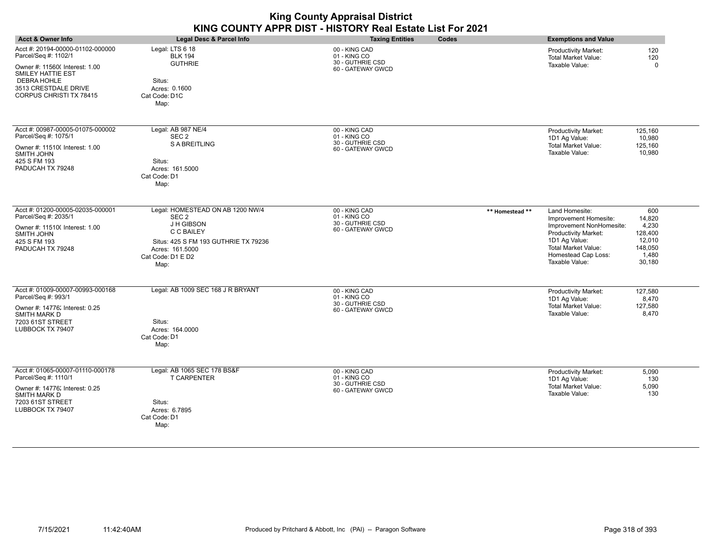| <b>King County Appraisal District</b><br>KING COUNTY APPR DIST - HISTORY Real Estate List For 2021                                                                                       |                                                                                                                                                                          |                                                                        |                 |                                                                                                                                                                                            |                                                                           |
|------------------------------------------------------------------------------------------------------------------------------------------------------------------------------------------|--------------------------------------------------------------------------------------------------------------------------------------------------------------------------|------------------------------------------------------------------------|-----------------|--------------------------------------------------------------------------------------------------------------------------------------------------------------------------------------------|---------------------------------------------------------------------------|
| <b>Acct &amp; Owner Info</b>                                                                                                                                                             | <b>Legal Desc &amp; Parcel Info</b>                                                                                                                                      | <b>Taxing Entities</b>                                                 | Codes           | <b>Exemptions and Value</b>                                                                                                                                                                |                                                                           |
| Acct #: 20194-00000-01102-000000<br>Parcel/Seq #: 1102/1<br>Owner #: 115600 Interest: 1.00<br>SMILEY HATTIE EST<br><b>DEBRA HOHLE</b><br>3513 CRESTDALE DRIVE<br>CORPUS CHRISTI TX 78415 | Legal: LTS 6 18<br><b>BLK 194</b><br><b>GUTHRIE</b><br>Situs:<br>Acres: 0.1600<br>Cat Code: D1C<br>Map:                                                                  | 00 - KING CAD<br>01 - KING CO<br>30 - GUTHRIE CSD<br>60 - GATEWAY GWCD |                 | <b>Productivity Market:</b><br><b>Total Market Value:</b><br>Taxable Value:                                                                                                                | 120<br>120<br>$\Omega$                                                    |
| Acct #: 00987-00005-01075-000002<br>Parcel/Seq #: 1075/1<br>Owner #: 11510( Interest: 1.00<br>SMITH JOHN<br>425 S FM 193<br>PADUCAH TX 79248                                             | Legal: AB 987 NE/4<br>SEC <sub>2</sub><br><b>S A BREITLING</b><br>Situs:<br>Acres: 161.5000<br>Cat Code: D1<br>Map:                                                      | 00 - KING CAD<br>01 - KING CO<br>30 - GUTHRIE CSD<br>60 - GATEWAY GWCD |                 | Productivity Market:<br>1D1 Ag Value:<br><b>Total Market Value:</b><br>Taxable Value:                                                                                                      | 125,160<br>10,980<br>125,160<br>10,980                                    |
| Acct #: 01200-00005-02035-000001<br>Parcel/Seq #: 2035/1<br>Owner #: 11510( Interest: 1.00<br><b>SMITH JOHN</b><br>425 S FM 193<br>PADUCAH TX 79248                                      | Legal: HOMESTEAD ON AB 1200 NW/4<br>SEC <sub>2</sub><br>J H GIBSON<br>C C BAILEY<br>Situs: 425 S FM 193 GUTHRIE TX 79236<br>Acres: 161.5000<br>Cat Code: D1 E D2<br>Map: | 00 - KING CAD<br>01 - KING CO<br>30 - GUTHRIE CSD<br>60 - GATEWAY GWCD | ** Homestead ** | Land Homesite:<br>Improvement Homesite:<br>Improvement NonHomesite:<br><b>Productivity Market:</b><br>1D1 Ag Value:<br><b>Total Market Value:</b><br>Homestead Cap Loss:<br>Taxable Value: | 600<br>14,820<br>4,230<br>128,400<br>12,010<br>148.050<br>1,480<br>30.180 |
| Acct #: 01009-00007-00993-000168<br>Parcel/Seq #: 993/1<br>Owner #: 14776; Interest: 0.25<br><b>SMITH MARK D</b><br>7203 61ST STREET<br>LUBBOCK TX 79407                                 | Legal: AB 1009 SEC 168 J R BRYANT<br>Situs:<br>Acres: 164,0000<br>Cat Code: D1<br>Map:                                                                                   | 00 - KING CAD<br>01 - KING CO<br>30 - GUTHRIE CSD<br>60 - GATEWAY GWCD |                 | Productivity Market:<br>1D1 Ag Value:<br>Total Market Value:<br>Taxable Value:                                                                                                             | 127,580<br>8,470<br>127,580<br>8,470                                      |
| Acct #: 01065-00007-01110-000178<br>Parcel/Seq #: 1110/1<br>Owner #: 14776; Interest: 0.25<br>SMITH MARK D<br>7203 61ST STREET<br>LUBBOCK TX 79407                                       | Legal: AB 1065 SEC 178 BS&F<br><b>T CARPENTER</b><br>Situs:<br>Acres: 6.7895<br>Cat Code: D1<br>Map:                                                                     | 00 - KING CAD<br>01 - KING CO<br>30 - GUTHRIE CSD<br>60 - GATEWAY GWCD |                 | <b>Productivity Market:</b><br>1D1 Ag Value:<br><b>Total Market Value:</b><br>Taxable Value:                                                                                               | 5,090<br>130<br>5,090<br>130                                              |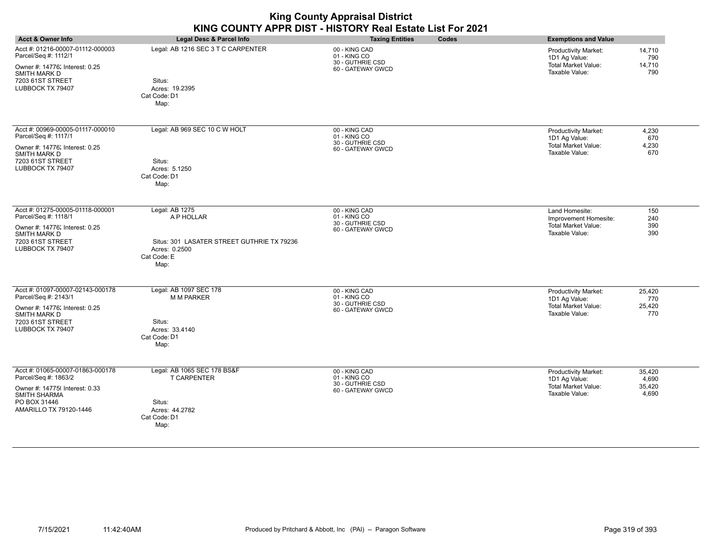| <b>Acct &amp; Owner Info</b>                                                                                                                         | Legal Desc & Parcel Info                                                                                           | <b>Taxing Entities</b><br>Codes                                        | <b>Exemptions and Value</b>                                                                                                    |
|------------------------------------------------------------------------------------------------------------------------------------------------------|--------------------------------------------------------------------------------------------------------------------|------------------------------------------------------------------------|--------------------------------------------------------------------------------------------------------------------------------|
| Acct #: 01216-00007-01112-000003<br>Parcel/Seq #: 1112/1<br>Owner #: 14776; Interest: 0.25<br>SMITH MARK D<br>7203 61ST STREET<br>LUBBOCK TX 79407   | Legal: AB 1216 SEC 3 T C CARPENTER<br>Situs:<br>Acres: 19.2395<br>Cat Code: D1<br>Map:                             | 00 - KING CAD<br>01 - KING CO<br>30 - GUTHRIE CSD<br>60 - GATEWAY GWCD | 14,710<br><b>Productivity Market:</b><br>790<br>1D1 Ag Value:<br><b>Total Market Value:</b><br>14,710<br>Taxable Value:<br>790 |
| Acct #: 00969-00005-01117-000010<br>Parcel/Seq #: 1117/1<br>Owner #: 14776; Interest: 0.25<br>SMITH MARK D<br>7203 61ST STREET<br>LUBBOCK TX 79407   | Legal: AB 969 SEC 10 C W HOLT<br>Situs:<br>Acres: 5.1250<br>Cat Code: D1<br>Map:                                   | 00 - KING CAD<br>01 - KING CO<br>30 - GUTHRIE CSD<br>60 - GATEWAY GWCD | 4,230<br>Productivity Market:<br>1D1 Ag Value:<br>670<br><b>Total Market Value:</b><br>4,230<br>Taxable Value:<br>670          |
| Acct #: 01275-00005-01118-000001<br>Parcel/Seq #: 1118/1<br>Owner #: 14776; Interest: 0.25<br>SMITH MARK D<br>7203 61ST STREET<br>LUBBOCK TX 79407   | Legal: AB 1275<br>A P HOLLAR<br>Situs: 301 LASATER STREET GUTHRIE TX 79236<br>Acres: 0.2500<br>Cat Code: E<br>Map: | 00 - KING CAD<br>01 - KING CO<br>30 - GUTHRIE CSD<br>60 - GATEWAY GWCD | Land Homesite:<br>150<br>Improvement Homesite:<br>240<br>390<br><b>Total Market Value:</b><br>Taxable Value:<br>390            |
| Acct #: 01097-00007-02143-000178<br>Parcel/Seq #: 2143/1<br>Owner #: 14776; Interest: 0.25<br>SMITH MARK D<br>7203 61ST STREET<br>LUBBOCK TX 79407   | Legal: AB 1097 SEC 178<br><b>M M PARKER</b><br>Situs:<br>Acres: 33.4140<br>Cat Code: D1<br>Map:                    | 00 - KING CAD<br>01 - KING CO<br>30 - GUTHRIE CSD<br>60 - GATEWAY GWCD | <b>Productivity Market:</b><br>25,420<br>1D1 Ag Value:<br>770<br>Total Market Value:<br>25,420<br>Taxable Value:<br>770        |
| Acct #: 01065-00007-01863-000178<br>Parcel/Seq #: 1863/2<br>Owner #: 14775( Interest: 0.33<br>SMITH SHARMA<br>PO BOX 31446<br>AMARILLO TX 79120-1446 | Legal: AB 1065 SEC 178 BS&F<br><b>T CARPENTER</b><br>Situs:<br>Acres: 44.2782<br>Cat Code: D1<br>Map:              | 00 - KING CAD<br>01 - KING CO<br>30 - GUTHRIE CSD<br>60 - GATEWAY GWCD | Productivity Market:<br>35,420<br>1D1 Ag Value:<br>4,690<br><b>Total Market Value:</b><br>35,420<br>Taxable Value:<br>4,690    |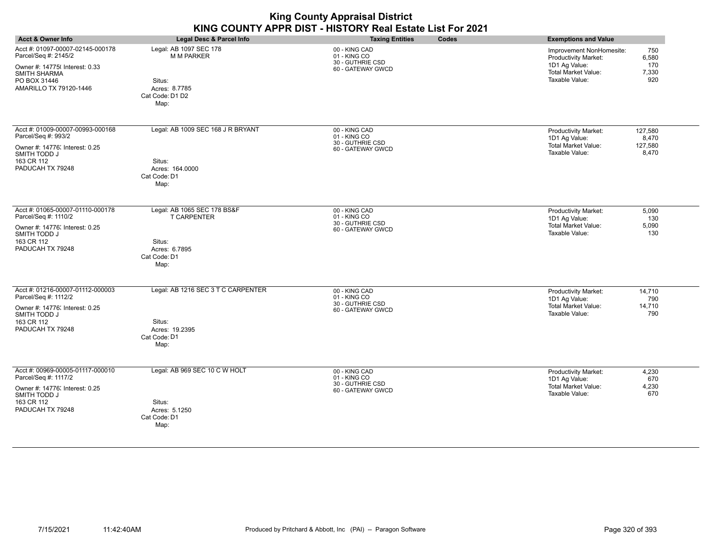| <b>King County Appraisal District</b><br>KING COUNTY APPR DIST - HISTORY Real Estate List For 2021                                                          |                                                                                                      |                                                                        |                                                                                                                                                                 |  |
|-------------------------------------------------------------------------------------------------------------------------------------------------------------|------------------------------------------------------------------------------------------------------|------------------------------------------------------------------------|-----------------------------------------------------------------------------------------------------------------------------------------------------------------|--|
| <b>Acct &amp; Owner Info</b>                                                                                                                                | <b>Legal Desc &amp; Parcel Info</b>                                                                  | Codes<br><b>Taxing Entities</b>                                        | <b>Exemptions and Value</b>                                                                                                                                     |  |
| Acct #: 01097-00007-02145-000178<br>Parcel/Seq #: 2145/2<br>Owner #: 14775( Interest: 0.33<br><b>SMITH SHARMA</b><br>PO BOX 31446<br>AMARILLO TX 79120-1446 | Legal: AB 1097 SEC 178<br><b>M M PARKER</b><br>Situs:<br>Acres: 8.7785<br>Cat Code: D1 D2<br>Map:    | 00 - KING CAD<br>01 - KING CO<br>30 - GUTHRIE CSD<br>60 - GATEWAY GWCD | 750<br>Improvement NonHomesite:<br>6.580<br><b>Productivity Market:</b><br>1D1 Ag Value:<br>170<br><b>Total Market Value:</b><br>7,330<br>Taxable Value:<br>920 |  |
| Acct #: 01009-00007-00993-000168<br>Parcel/Seq #: 993/2<br>Owner #: 14776; Interest: 0.25<br>SMITH TODD J<br>163 CR 112<br>PADUCAH TX 79248                 | Legal: AB 1009 SEC 168 J R BRYANT<br>Situs:<br>Acres: 164.0000<br>Cat Code: D1<br>Map:               | 00 - KING CAD<br>01 - KING CO<br>30 - GUTHRIE CSD<br>60 - GATEWAY GWCD | <b>Productivity Market:</b><br>127,580<br>1D1 Ag Value:<br>8,470<br><b>Total Market Value:</b><br>127,580<br>Taxable Value:<br>8,470                            |  |
| Acct #: 01065-00007-01110-000178<br>Parcel/Seq #: 1110/2<br>Owner #: 14776; Interest: 0.25<br>SMITH TODD J<br>163 CR 112<br>PADUCAH TX 79248                | Legal: AB 1065 SEC 178 BS&F<br><b>T CARPENTER</b><br>Situs:<br>Acres: 6.7895<br>Cat Code: D1<br>Map: | 00 - KING CAD<br>01 - KING CO<br>30 - GUTHRIE CSD<br>60 - GATEWAY GWCD | 5.090<br><b>Productivity Market:</b><br>1D1 Ag Value:<br>130<br>Total Market Value:<br>5.090<br>Taxable Value:<br>130                                           |  |
| Acct #: 01216-00007-01112-000003<br>Parcel/Seq #: 1112/2<br>Owner #: 14776; Interest: 0.25<br>SMITH TODD J<br>163 CR 112<br>PADUCAH TX 79248                | Legal: AB 1216 SEC 3 T C CARPENTER<br>Situs:<br>Acres: 19.2395<br>Cat Code: D1<br>Map:               | 00 - KING CAD<br>01 - KING CO<br>30 - GUTHRIE CSD<br>60 - GATEWAY GWCD | Productivity Market:<br>14,710<br>790<br>1D1 Ag Value:<br>Total Market Value:<br>14,710<br>Taxable Value:<br>790                                                |  |
| Acct #: 00969-00005-01117-000010<br>Parcel/Seq #: 1117/2<br>Owner #: 14776; Interest: 0.25<br>SMITH TODD J<br>163 CR 112<br>PADUCAH TX 79248                | Legal: AB 969 SEC 10 C W HOLT<br>Situs:<br>Acres: 5.1250<br>Cat Code: D1<br>Map:                     | 00 - KING CAD<br>01 - KING CO<br>30 - GUTHRIE CSD<br>60 - GATEWAY GWCD | Productivity Market:<br>4,230<br>1D1 Ag Value:<br>670<br>Total Market Value:<br>4,230<br>Taxable Value:<br>670                                                  |  |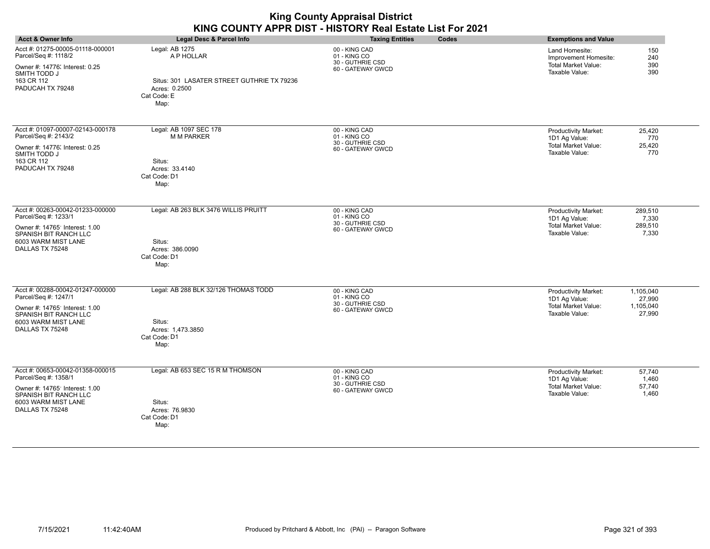| <b>Acct &amp; Owner Info</b>                                                                                                                                  | Legal Desc & Parcel Info                                                                                           | <b>Taxing Entities</b><br>Codes                                        | <b>Exemptions and Value</b>                                                                                                         |
|---------------------------------------------------------------------------------------------------------------------------------------------------------------|--------------------------------------------------------------------------------------------------------------------|------------------------------------------------------------------------|-------------------------------------------------------------------------------------------------------------------------------------|
| Acct #: 01275-00005-01118-000001<br>Parcel/Seq #: 1118/2<br>Owner #: 14776; Interest: 0.25<br>SMITH TODD J<br>163 CR 112<br>PADUCAH TX 79248                  | Legal: AB 1275<br>A P HOLLAR<br>Situs: 301 LASATER STREET GUTHRIE TX 79236<br>Acres: 0.2500<br>Cat Code: E<br>Map: | 00 - KING CAD<br>01 - KING CO<br>30 - GUTHRIE CSD<br>60 - GATEWAY GWCD | 150<br>Land Homesite:<br>Improvement Homesite:<br>240<br><b>Total Market Value:</b><br>390<br>Taxable Value:<br>390                 |
| Acct #: 01097-00007-02143-000178<br>Parcel/Seq #: 2143/2<br>Owner #: 14776; Interest: 0.25<br>SMITH TODD J<br>163 CR 112<br>PADUCAH TX 79248                  | Legal: AB 1097 SEC 178<br><b>M M PARKER</b><br>Situs:<br>Acres: 33.4140<br>Cat Code: D1<br>Map:                    | 00 - KING CAD<br>01 - KING CO<br>30 - GUTHRIE CSD<br>60 - GATEWAY GWCD | Productivity Market:<br>25,420<br>1D1 Ag Value:<br>770<br>Total Market Value:<br>25,420<br>Taxable Value:<br>770                    |
| Acct #: 00263-00042-01233-000000<br>Parcel/Seq #: 1233/1<br>Owner #: 14765' Interest: 1.00<br>SPANISH BIT RANCH LLC<br>6003 WARM MIST LANE<br>DALLAS TX 75248 | Legal: AB 263 BLK 3476 WILLIS PRUITT<br>Situs:<br>Acres: 386.0090<br>Cat Code: D1<br>Map:                          | 00 - KING CAD<br>01 - KING CO<br>30 - GUTHRIE CSD<br>60 - GATEWAY GWCD | 289,510<br>Productivity Market:<br>1D1 Ag Value:<br>7,330<br><b>Total Market Value:</b><br>289,510<br>Taxable Value:<br>7,330       |
| Acct #: 00288-00042-01247-000000<br>Parcel/Seq #: 1247/1<br>Owner #: 14765' Interest: 1.00<br>SPANISH BIT RANCH LLC<br>6003 WARM MIST LANE<br>DALLAS TX 75248 | Legal: AB 288 BLK 32/126 THOMAS TODD<br>Situs:<br>Acres: 1,473.3850<br>Cat Code: D1<br>Map:                        | 00 - KING CAD<br>01 - KING CO<br>30 - GUTHRIE CSD<br>60 - GATEWAY GWCD | Productivity Market:<br>1,105,040<br>1D1 Ag Value:<br>27,990<br><b>Total Market Value:</b><br>1,105,040<br>Taxable Value:<br>27,990 |
| Acct #: 00653-00042-01358-000015<br>Parcel/Seq #: 1358/1<br>Owner #: 14765' Interest: 1.00<br>SPANISH BIT RANCH LLC<br>6003 WARM MIST LANE<br>DALLAS TX 75248 | Legal: AB 653 SEC 15 R M THOMSON<br>Situs:<br>Acres: 76.9830<br>Cat Code: D1<br>Map:                               | 00 - KING CAD<br>01 - KING CO<br>30 - GUTHRIE CSD<br>60 - GATEWAY GWCD | 57,740<br><b>Productivity Market:</b><br>1D1 Ag Value:<br>1,460<br><b>Total Market Value:</b><br>57,740<br>Taxable Value:<br>1,460  |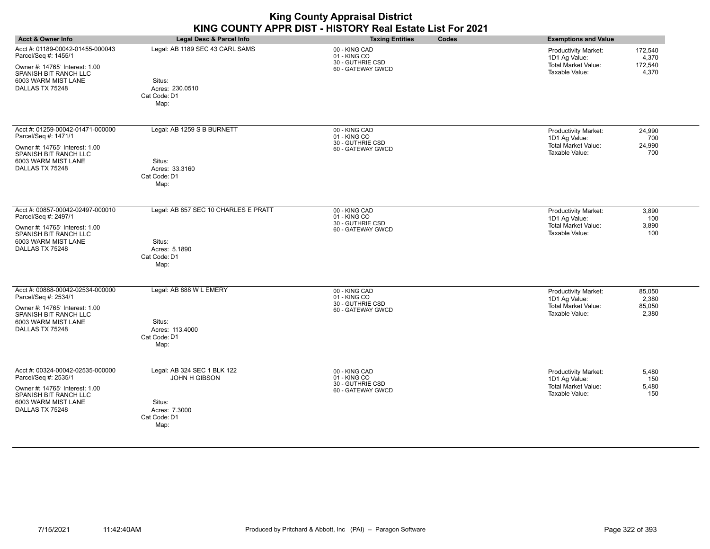| <b>King County Appraisal District</b><br>KING COUNTY APPR DIST - HISTORY Real Estate List For 2021 |                                                   |                                       |                                              |  |  |
|----------------------------------------------------------------------------------------------------|---------------------------------------------------|---------------------------------------|----------------------------------------------|--|--|
| Acct & Owner Info                                                                                  | Legal Desc & Parcel Info                          | <b>Taxing Entities</b><br>Codes       | <b>Exemptions and Value</b>                  |  |  |
| Acct #: 01189-00042-01455-000043<br>Parcel/Seq #: 1455/1                                           | Legal: AB 1189 SEC 43 CARL SAMS                   | 00 - KING CAD<br>01 - KING CO         | <b>Productivity Market:</b><br>1D1 Ag Value: |  |  |
| Owner #: 14765 Interest: 1.00<br>SPANISH BIT RANCH LLC<br>6003 WARM MIST LANE<br>DALLAS TX 75248   | Situs:<br>Acres: 230.0510<br>Cat Code: D1<br>Map: | 30 - GUTHRIE CSD<br>60 - GATEWAY GWCD | Total Market Value:<br>Taxable Value:        |  |  |
| Acct #: 01259-00042-01471-000000<br>Parcel/Seq #: 1471/1                                           | Legal: AB 1259 S B BURNETT                        | 00 - KING CAD<br>01 - KING CO         | <b>Productivity Market:</b><br>1D1 Ag Value: |  |  |

30 - GUTHRIE CSD 60 - GATEWAY GWCD

00 - KING CAD 01 - KING CO 30 - GUTHRIE CSD 60 - GATEWAY GWCD

| Parcel/Seq #: 1471/1                                    |              |
|---------------------------------------------------------|--------------|
| Owner #: 14765' Interest: 1.00<br>SPANISH BIT RANCH LLC |              |
| 6003 WARM MIST LANE                                     | Situs:       |
| DALLAS TX 75248                                         | Acres: 33    |
|                                                         | Cat Code: D1 |
|                                                         |              |

Acres: 33.3160

Acres: 5.1890 Cat Code: D1 Situs:

Map:

Map:

Owner #: 14765' Interest: 1.00 Parcel/Seq #: 2497/1 Acct #: 00857-00042-02497-000010 Legal: AB 857 SEC 10 CHARLES E PRATT

SPANISH BIT RANCH LLC 6003 WARM MIST LANE DALLAS TX 75248

| Acct #: 00888-00042-02534-000000<br>Parcel/Seq #: 2534/1                                         | Legal: AB 888 W L EMERY                           | 00 - KING CAD<br>01 - KING CO         | 85,050<br><b>Productivity Market:</b><br>1D1 Ag Value: | 2,380 |
|--------------------------------------------------------------------------------------------------|---------------------------------------------------|---------------------------------------|--------------------------------------------------------|-------|
| Owner #: 14765 Interest: 1.00<br>SPANISH BIT RANCH LLC<br>6003 WARM MIST LANE<br>DALLAS TX 75248 | Situs:<br>Acres: 113.4000<br>Cat Code: D1<br>Map: | 30 - GUTHRIE CSD<br>60 - GATEWAY GWCD | Total Market Value:<br>85,050<br>Taxable Value:        | 2,380 |
| Acct #: 00324-00042-02535-000000                                                                 | Legal: AB 324 SEC 1 BLK 122                       | 00 - KING CAD                         | <b>Productivity Market:</b>                            | 5,480 |

| Parcel/Seq #: 2535/1                                                                              | $\tilde{\phantom{a}}$<br>JOHN H GIBSON          | -- - - - - - - - -<br>01 - KING CO    | $\sim$ . . $\sim$<br>1D1 Ag Value:<br>150             |  |
|---------------------------------------------------------------------------------------------------|-------------------------------------------------|---------------------------------------|-------------------------------------------------------|--|
| Owner #: 14765' Interest: 1.00<br>SPANISH BIT RANCH LLC<br>6003 WARM MIST LANE<br>DALLAS TX 75248 | Situs:<br>Acres: 7.3000<br>Cat Code: D1<br>Map: | 30 - GUTHRIE CSD<br>60 - GATEWAY GWCD | 5,480<br>Total Market Value:<br>Taxable Value:<br>150 |  |
|                                                                                                   |                                                 |                                       |                                                       |  |

172,540 4,370 172,540 4,370

> 24,990 700 24,990 700

> > 3,890  $100$ 3,890 100

Total Market Value: Taxable Value:

Productivity Market: 1D1 Ag Value: Total Market Value: Taxable Value: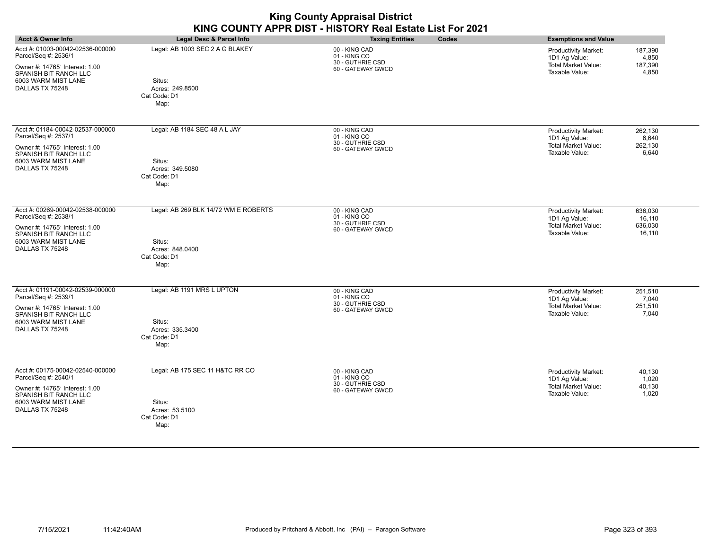| <b>King County Appraisal District</b><br>KING COUNTY APPR DIST - HISTORY Real Estate List For 2021                                                            |                                                                                           |                                                                        |                                                                                                                                      |  |  |  |
|---------------------------------------------------------------------------------------------------------------------------------------------------------------|-------------------------------------------------------------------------------------------|------------------------------------------------------------------------|--------------------------------------------------------------------------------------------------------------------------------------|--|--|--|
| <b>Acct &amp; Owner Info</b>                                                                                                                                  | Legal Desc & Parcel Info                                                                  | Codes<br><b>Taxing Entities</b>                                        | <b>Exemptions and Value</b>                                                                                                          |  |  |  |
| Acct #: 01003-00042-02536-000000<br>Parcel/Seq #: 2536/1<br>Owner #: 14765' Interest: 1.00<br>SPANISH BIT RANCH LLC<br>6003 WARM MIST LANE<br>DALLAS TX 75248 | Legal: AB 1003 SEC 2 A G BLAKEY<br>Situs:<br>Acres: 249.8500<br>Cat Code: D1<br>Map:      | 00 - KING CAD<br>01 - KING CO<br>30 - GUTHRIE CSD<br>60 - GATEWAY GWCD | <b>Productivity Market:</b><br>187,390<br>1D1 Ag Value:<br>4,850<br><b>Total Market Value:</b><br>187,390<br>Taxable Value:<br>4,850 |  |  |  |
| Acct #: 01184-00042-02537-000000<br>Parcel/Seq #: 2537/1<br>Owner #: 14765' Interest: 1.00<br>SPANISH BIT RANCH LLC<br>6003 WARM MIST LANE<br>DALLAS TX 75248 | Legal: AB 1184 SEC 48 A L JAY<br>Situs:<br>Acres: 349.5080<br>Cat Code: D1<br>Map:        | 00 - KING CAD<br>01 - KING CO<br>30 - GUTHRIE CSD<br>60 - GATEWAY GWCD | 262,130<br><b>Productivity Market:</b><br>1D1 Ag Value:<br>6,640<br><b>Total Market Value:</b><br>262,130<br>Taxable Value:<br>6,640 |  |  |  |
| Acct #: 00269-00042-02538-000000<br>Parcel/Seq #: 2538/1<br>Owner #: 14765' Interest: 1.00<br>SPANISH BIT RANCH LLC<br>6003 WARM MIST LANE<br>DALLAS TX 75248 | Legal: AB 269 BLK 14/72 WM E ROBERTS<br>Situs:<br>Acres: 848.0400<br>Cat Code: D1<br>Map: | 00 - KING CAD<br>01 - KING CO<br>30 - GUTHRIE CSD<br>60 - GATEWAY GWCD | <b>Productivity Market:</b><br>636,030<br>1D1 Ag Value:<br>16,110<br>Total Market Value:<br>636,030<br>Taxable Value:<br>16,110      |  |  |  |
| Acct #: 01191-00042-02539-000000<br>Parcel/Seq #: 2539/1<br>Owner #: 14765' Interest: 1.00<br>SPANISH BIT RANCH LLC<br>6003 WARM MIST LANE<br>DALLAS TX 75248 | Legal: AB 1191 MRS L UPTON<br>Situs:<br>Acres: 335.3400<br>Cat Code: D1<br>Map:           | 00 - KING CAD<br>01 - KING CO<br>30 - GUTHRIE CSD<br>60 - GATEWAY GWCD | <b>Productivity Market:</b><br>251,510<br>1D1 Ag Value:<br>7,040<br><b>Total Market Value:</b><br>251,510<br>Taxable Value:<br>7,040 |  |  |  |
| Acct #: 00175-00042-02540-000000<br>Parcel/Seq #: 2540/1<br>Owner #: 14765' Interest: 1.00<br>SPANISH BIT RANCH LLC<br>6003 WARM MIST LANE<br>DALLAS TX 75248 | Legal: AB 175 SEC 11 H&TC RR CO<br>Situs:<br>Acres: 53.5100<br>Cat Code: D1<br>Map:       | 00 - KING CAD<br>01 - KING CO<br>30 - GUTHRIE CSD<br>60 - GATEWAY GWCD | Productivity Market:<br>40,130<br>1,020<br>1D1 Ag Value:<br><b>Total Market Value:</b><br>40,130<br>Taxable Value:<br>1,020          |  |  |  |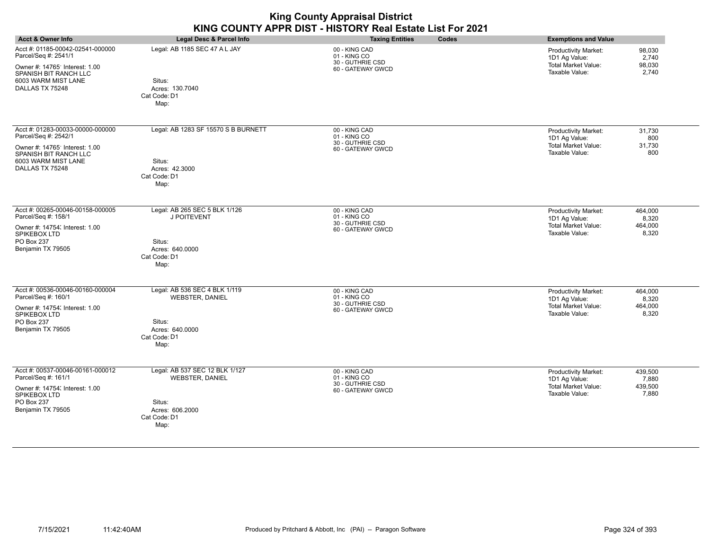| <b>King County Appraisal District</b><br>KING COUNTY APPR DIST - HISTORY Real Estate List For 2021                                                            |                                                                                                               |                                                                        |                                                                                                                               |  |  |  |  |
|---------------------------------------------------------------------------------------------------------------------------------------------------------------|---------------------------------------------------------------------------------------------------------------|------------------------------------------------------------------------|-------------------------------------------------------------------------------------------------------------------------------|--|--|--|--|
| <b>Acct &amp; Owner Info</b>                                                                                                                                  | <b>Legal Desc &amp; Parcel Info</b>                                                                           | Codes<br><b>Taxing Entities</b>                                        | <b>Exemptions and Value</b>                                                                                                   |  |  |  |  |
| Acct #: 01185-00042-02541-000000<br>Parcel/Seq #: 2541/1<br>Owner #: 14765' Interest: 1.00<br>SPANISH BIT RANCH LLC<br>6003 WARM MIST LANE<br>DALLAS TX 75248 | Legal: AB 1185 SEC 47 A L JAY<br>Situs:<br>Acres: 130.7040<br>Cat Code: D1<br>Map:                            | 00 - KING CAD<br>01 - KING CO<br>30 - GUTHRIE CSD<br>60 - GATEWAY GWCD | Productivity Market:<br>98,030<br>1D1 Ag Value:<br>2,740<br><b>Total Market Value:</b><br>98,030<br>Taxable Value:<br>2,740   |  |  |  |  |
| Acct #: 01283-00033-00000-000000<br>Parcel/Seq #: 2542/1<br>Owner #: 14765' Interest: 1.00<br>SPANISH BIT RANCH LLC<br>6003 WARM MIST LANE<br>DALLAS TX 75248 | Legal: AB 1283 SF 15570 S B BURNETT<br>Situs:<br>Acres: 42.3000<br>Cat Code: D1<br>Map:                       | 00 - KING CAD<br>01 - KING CO<br>30 - GUTHRIE CSD<br>60 - GATEWAY GWCD | 31,730<br>Productivity Market:<br>1D1 Ag Value:<br>800<br><b>Total Market Value:</b><br>31,730<br>Taxable Value:<br>800       |  |  |  |  |
| Acct #: 00265-00046-00158-000005<br>Parcel/Seq #: 158/1<br>Owner #: 14754; Interest: 1.00<br>SPIKEBOX LTD<br>PO Box 237<br>Benjamin TX 79505                  | Legal: AB 265 SEC 5 BLK 1/126<br>J POITEVENT<br>Situs:<br>Acres: 640.0000<br>Cat Code: D1<br>Map:             | 00 - KING CAD<br>01 - KING CO<br>30 - GUTHRIE CSD<br>60 - GATEWAY GWCD | Productivity Market:<br>464,000<br>1D1 Ag Value:<br>8,320<br><b>Total Market Value:</b><br>464,000<br>Taxable Value:<br>8,320 |  |  |  |  |
| Acct #: 00536-00046-00160-000004<br>Parcel/Seq #: 160/1<br>Owner #: 14754; Interest: 1.00<br>SPIKEBOX LTD<br>PO Box 237<br>Benjamin TX 79505                  | Legal: AB 536 SEC 4 BLK 1/119<br><b>WEBSTER, DANIEL</b><br>Situs:<br>Acres: 640.0000<br>Cat Code: D1<br>Map:  | 00 - KING CAD<br>01 - KING CO<br>30 - GUTHRIE CSD<br>60 - GATEWAY GWCD | Productivity Market:<br>464,000<br>8,320<br>1D1 Ag Value:<br><b>Total Market Value:</b><br>464,000<br>Taxable Value:<br>8,320 |  |  |  |  |
| Acct #: 00537-00046-00161-000012<br>Parcel/Seq #: 161/1<br>Owner #: 14754; Interest: 1.00<br>SPIKEBOX LTD<br>PO Box 237<br>Benjamin TX 79505                  | Legal: AB 537 SEC 12 BLK 1/127<br><b>WEBSTER, DANIEL</b><br>Situs:<br>Acres: 606.2000<br>Cat Code: D1<br>Map: | 00 - KING CAD<br>01 - KING CO<br>30 - GUTHRIE CSD<br>60 - GATEWAY GWCD | Productivity Market:<br>439.500<br>1D1 Ag Value:<br>7,880<br><b>Total Market Value:</b><br>439,500<br>Taxable Value:<br>7,880 |  |  |  |  |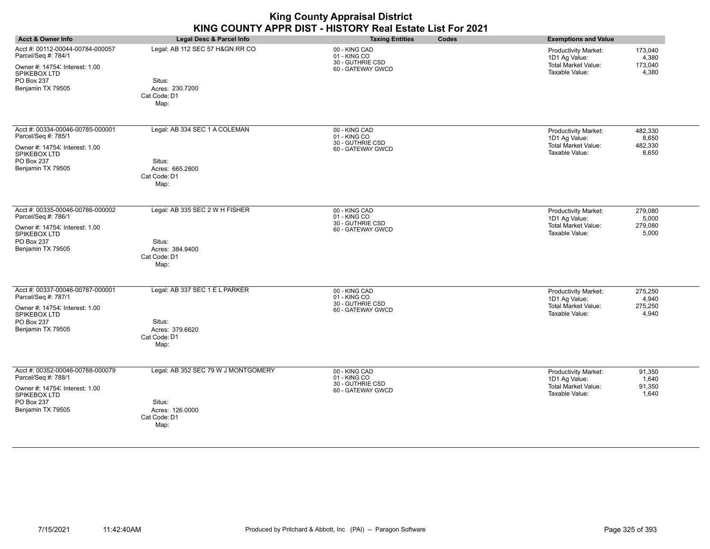| <b>Acct &amp; Owner Info</b>                                                                                                                 | Legal Desc & Parcel Info                                                                 | <b>Taxing Entities</b><br>Codes                                        | <b>Exemptions and Value</b>                                                                                                          |
|----------------------------------------------------------------------------------------------------------------------------------------------|------------------------------------------------------------------------------------------|------------------------------------------------------------------------|--------------------------------------------------------------------------------------------------------------------------------------|
| Acct #: 00112-00044-00784-000057<br>Parcel/Seq #: 784/1<br>Owner #: 14754; Interest: 1.00<br>SPIKEBOX LTD<br>PO Box 237<br>Benjamin TX 79505 | Legal: AB 112 SEC 57 H&GN RR CO<br>Situs:<br>Acres: 230.7200<br>Cat Code: D1<br>Map:     | 00 - KING CAD<br>01 - KING CO<br>30 - GUTHRIE CSD<br>60 - GATEWAY GWCD | <b>Productivity Market:</b><br>173,040<br>4,380<br>1D1 Ag Value:<br><b>Total Market Value:</b><br>173,040<br>Taxable Value:<br>4,380 |
| Acct #: 00334-00046-00785-000001<br>Parcel/Seq #: 785/1<br>Owner #: 14754; Interest: 1.00<br>SPIKEBOX LTD<br>PO Box 237<br>Benjamin TX 79505 | Legal: AB 334 SEC 1 A COLEMAN<br>Situs:<br>Acres: 665.2800<br>Cat Code: D1<br>Map:       | 00 - KING CAD<br>01 - KING CO<br>30 - GUTHRIE CSD<br>60 - GATEWAY GWCD | 482,330<br>Productivity Market:<br>1D1 Ag Value:<br>8,650<br><b>Total Market Value:</b><br>482,330<br>Taxable Value:<br>8,650        |
| Acct #: 00335-00046-00786-000002<br>Parcel/Seq #: 786/1<br>Owner #: 14754; Interest: 1.00<br>SPIKEBOX LTD<br>PO Box 237<br>Benjamin TX 79505 | Legal: AB 335 SEC 2 W H FISHER<br>Situs:<br>Acres: 384.9400<br>Cat Code: D1<br>Map:      | 00 - KING CAD<br>01 - KING CO<br>30 - GUTHRIE CSD<br>60 - GATEWAY GWCD | Productivity Market:<br>279,080<br>1D1 Ag Value:<br>5,000<br><b>Total Market Value:</b><br>279.080<br>Taxable Value:<br>5,000        |
| Acct #: 00337-00046-00787-000001<br>Parcel/Seq #: 787/1<br>Owner #: 14754; Interest: 1.00<br>SPIKEBOX LTD<br>PO Box 237<br>Benjamin TX 79505 | Legal: AB 337 SEC 1 E L PARKER<br>Situs:<br>Acres: 379.6620<br>Cat Code: D1<br>Map:      | 00 - KING CAD<br>01 - KING CO<br>30 - GUTHRIE CSD<br>60 - GATEWAY GWCD | 275,250<br>Productivity Market:<br>1D1 Ag Value:<br>4,940<br><b>Total Market Value:</b><br>275,250<br>Taxable Value:<br>4,940        |
| Acct #: 00352-00046-00788-000079<br>Parcel/Seq #: 788/1<br>Owner #: 14754; Interest: 1.00<br>SPIKEBOX LTD<br>PO Box 237<br>Benjamin TX 79505 | Legal: AB 352 SEC 79 W J MONTGOMERY<br>Situs:<br>Acres: 126.0000<br>Cat Code: D1<br>Map: | 00 - KING CAD<br>01 - KING CO<br>30 - GUTHRIE CSD<br>60 - GATEWAY GWCD | Productivity Market:<br>91,350<br>1D1 Ag Value:<br>1,640<br><b>Total Market Value:</b><br>91,350<br>Taxable Value:<br>1,640          |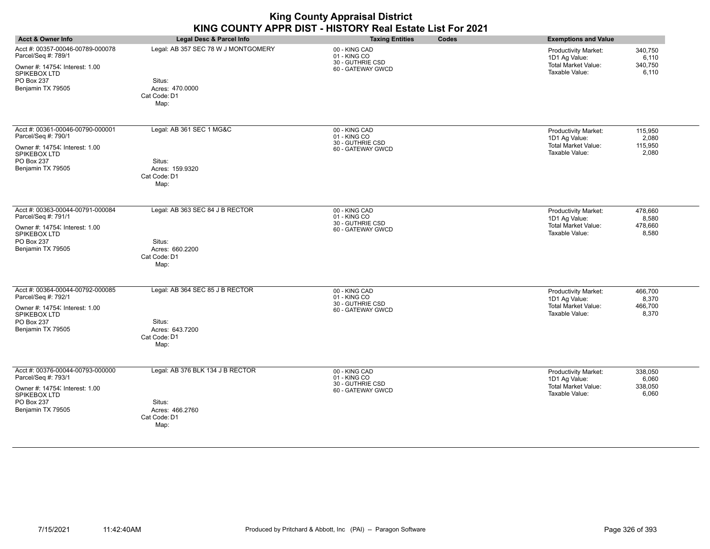| <b>Acct &amp; Owner Info</b>                                                                                                                 | Legal Desc & Parcel Info                                                                 | <b>Taxing Entities</b><br>Codes                                        | <b>Exemptions and Value</b>                                                                                                          |
|----------------------------------------------------------------------------------------------------------------------------------------------|------------------------------------------------------------------------------------------|------------------------------------------------------------------------|--------------------------------------------------------------------------------------------------------------------------------------|
| Acct #: 00357-00046-00789-000078<br>Parcel/Seq #: 789/1<br>Owner #: 14754; Interest: 1.00<br>SPIKEBOX LTD<br>PO Box 237<br>Benjamin TX 79505 | Legal: AB 357 SEC 78 W J MONTGOMERY<br>Situs:<br>Acres: 470,0000<br>Cat Code: D1<br>Map: | 00 - KING CAD<br>01 - KING CO<br>30 - GUTHRIE CSD<br>60 - GATEWAY GWCD | 340,750<br><b>Productivity Market:</b><br>1D1 Ag Value:<br>6,110<br><b>Total Market Value:</b><br>340,750<br>Taxable Value:<br>6,110 |
| Acct #: 00361-00046-00790-000001<br>Parcel/Seq #: 790/1<br>Owner #: 14754; Interest: 1.00<br>SPIKEBOX LTD<br>PO Box 237<br>Benjamin TX 79505 | Legal: AB 361 SEC 1 MG&C<br>Situs:<br>Acres: 159.9320<br>Cat Code: D1<br>Map:            | 00 - KING CAD<br>01 - KING CO<br>30 - GUTHRIE CSD<br>60 - GATEWAY GWCD | Productivity Market:<br>115,950<br>1D1 Ag Value:<br>2,080<br><b>Total Market Value:</b><br>115,950<br>Taxable Value:<br>2,080        |
| Acct #: 00363-00044-00791-000084<br>Parcel/Seq #: 791/1<br>Owner #: 14754; Interest: 1.00<br>SPIKEBOX LTD<br>PO Box 237<br>Benjamin TX 79505 | Legal: AB 363 SEC 84 J B RECTOR<br>Situs:<br>Acres: 660.2200<br>Cat Code: D1<br>Map:     | 00 - KING CAD<br>01 - KING CO<br>30 - GUTHRIE CSD<br>60 - GATEWAY GWCD | Productivity Market:<br>478,660<br>1D1 Ag Value:<br>8,580<br>Total Market Value:<br>478,660<br>Taxable Value:<br>8,580               |
| Acct #: 00364-00044-00792-000085<br>Parcel/Seq #: 792/1<br>Owner #: 14754; Interest: 1.00<br>SPIKEBOX LTD<br>PO Box 237<br>Benjamin TX 79505 | Legal: AB 364 SEC 85 J B RECTOR<br>Situs:<br>Acres: 643.7200<br>Cat Code: D1<br>Map:     | 00 - KING CAD<br>01 - KING CO<br>30 - GUTHRIE CSD<br>60 - GATEWAY GWCD | 466,700<br>Productivity Market:<br>1D1 Ag Value:<br>8,370<br><b>Total Market Value:</b><br>466,700<br>Taxable Value:<br>8,370        |
| Acct #: 00376-00044-00793-000000<br>Parcel/Seq #: 793/1<br>Owner #: 14754; Interest: 1.00<br>SPIKEBOX LTD<br>PO Box 237<br>Benjamin TX 79505 | Legal: AB 376 BLK 134 J B RECTOR<br>Situs:<br>Acres: 466.2760<br>Cat Code: D1<br>Map:    | 00 - KING CAD<br>01 - KING CO<br>30 - GUTHRIE CSD<br>60 - GATEWAY GWCD | Productivity Market:<br>338,050<br>1D1 Ag Value:<br>6,060<br><b>Total Market Value:</b><br>338,050<br>Taxable Value:<br>6,060        |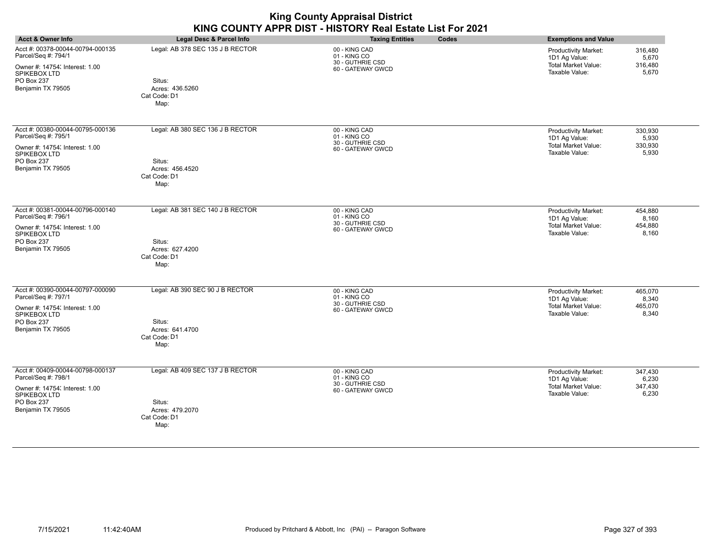| <b>Acct &amp; Owner Info</b>                                                                                                                 | <b>Legal Desc &amp; Parcel Info</b>                                                   | <b>Taxing Entities</b><br>Codes                                        | <b>Exemptions and Value</b>                                                                                                          |
|----------------------------------------------------------------------------------------------------------------------------------------------|---------------------------------------------------------------------------------------|------------------------------------------------------------------------|--------------------------------------------------------------------------------------------------------------------------------------|
| Acct #: 00378-00044-00794-000135<br>Parcel/Seq #: 794/1<br>Owner #: 14754; Interest: 1.00<br>SPIKEBOX LTD<br>PO Box 237<br>Benjamin TX 79505 | Legal: AB 378 SEC 135 J B RECTOR<br>Situs:<br>Acres: 436.5260<br>Cat Code: D1<br>Map: | 00 - KING CAD<br>01 - KING CO<br>30 - GUTHRIE CSD<br>60 - GATEWAY GWCD | 316,480<br><b>Productivity Market:</b><br>1D1 Ag Value:<br>5,670<br>Total Market Value:<br>316,480<br>Taxable Value:<br>5,670        |
| Acct #: 00380-00044-00795-000136<br>Parcel/Seq #: 795/1<br>Owner #: 14754. Interest: 1.00<br>SPIKEBOX LTD<br>PO Box 237<br>Benjamin TX 79505 | Legal: AB 380 SEC 136 J B RECTOR<br>Situs:<br>Acres: 456.4520<br>Cat Code: D1<br>Map: | 00 - KING CAD<br>01 - KING CO<br>30 - GUTHRIE CSD<br>60 - GATEWAY GWCD | <b>Productivity Market:</b><br>330,930<br>1D1 Ag Value:<br>5,930<br>330,930<br>Total Market Value:<br>Taxable Value:<br>5,930        |
| Acct #: 00381-00044-00796-000140<br>Parcel/Seq #: 796/1<br>Owner #: 14754; Interest: 1.00<br>SPIKEBOX LTD<br>PO Box 237<br>Benjamin TX 79505 | Legal: AB 381 SEC 140 J B RECTOR<br>Situs:<br>Acres: 627.4200<br>Cat Code: D1<br>Map: | 00 - KING CAD<br>01 - KING CO<br>30 - GUTHRIE CSD<br>60 - GATEWAY GWCD | 454,880<br><b>Productivity Market:</b><br>1D1 Ag Value:<br>8,160<br><b>Total Market Value:</b><br>454,880<br>Taxable Value:<br>8,160 |
| Acct #: 00390-00044-00797-000090<br>Parcel/Seq #: 797/1<br>Owner #: 14754; Interest: 1.00<br>SPIKEBOX LTD<br>PO Box 237<br>Benjamin TX 79505 | Legal: AB 390 SEC 90 J B RECTOR<br>Situs:<br>Acres: 641.4700<br>Cat Code: D1<br>Map:  | 00 - KING CAD<br>01 - KING CO<br>30 - GUTHRIE CSD<br>60 - GATEWAY GWCD | Productivity Market:<br>465,070<br>1D1 Ag Value:<br>8,340<br><b>Total Market Value:</b><br>465,070<br>Taxable Value:<br>8,340        |
| Acct #: 00409-00044-00798-000137<br>Parcel/Seq #: 798/1<br>Owner #: 14754; Interest: 1.00<br>SPIKEBOX LTD<br>PO Box 237<br>Benjamin TX 79505 | Legal: AB 409 SEC 137 J B RECTOR<br>Situs:<br>Acres: 479.2070<br>Cat Code: D1<br>Map: | 00 - KING CAD<br>01 - KING CO<br>30 - GUTHRIE CSD<br>60 - GATEWAY GWCD | Productivity Market:<br>347,430<br>1D1 Ag Value:<br>6,230<br><b>Total Market Value:</b><br>347,430<br>Taxable Value:<br>6,230        |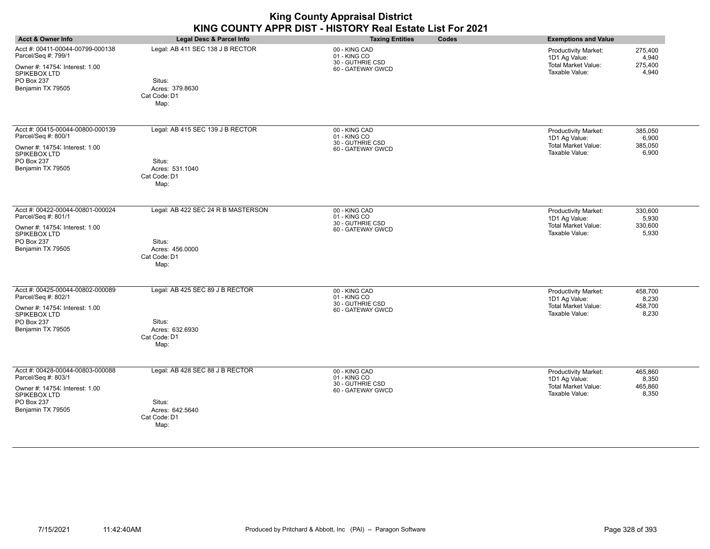| <b>Acct &amp; Owner Info</b>                                                                                                                 | Legal Desc & Parcel Info                                                                | <b>Taxing Entities</b><br>Codes                                        | <b>Exemptions and Value</b>                                                                                                          |
|----------------------------------------------------------------------------------------------------------------------------------------------|-----------------------------------------------------------------------------------------|------------------------------------------------------------------------|--------------------------------------------------------------------------------------------------------------------------------------|
| Acct #: 00411-00044-00799-000138<br>Parcel/Seq #: 799/1<br>Owner #: 14754; Interest: 1.00<br>SPIKEBOX LTD<br>PO Box 237<br>Benjamin TX 79505 | Legal: AB 411 SEC 138 J B RECTOR<br>Situs:<br>Acres: 379.8630<br>Cat Code: D1<br>Map:   | 00 - KING CAD<br>01 - KING CO<br>30 - GUTHRIE CSD<br>60 - GATEWAY GWCD | 275,400<br><b>Productivity Market:</b><br>1D1 Ag Value:<br>4,940<br><b>Total Market Value:</b><br>275,400<br>Taxable Value:<br>4,940 |
| Acct #: 00415-00044-00800-000139<br>Parcel/Seq #: 800/1<br>Owner #: 14754; Interest: 1.00<br>SPIKEBOX LTD<br>PO Box 237<br>Benjamin TX 79505 | Legal: AB 415 SEC 139 J B RECTOR<br>Situs:<br>Acres: 531.1040<br>Cat Code: D1<br>Map:   | 00 - KING CAD<br>01 - KING CO<br>30 - GUTHRIE CSD<br>60 - GATEWAY GWCD | Productivity Market:<br>385,050<br>1D1 Ag Value:<br>6,900<br><b>Total Market Value:</b><br>385,050<br>Taxable Value:<br>6,900        |
| Acct #: 00422-00044-00801-000024<br>Parcel/Seq #: 801/1<br>Owner #: 14754; Interest: 1.00<br>SPIKEBOX LTD<br>PO Box 237<br>Benjamin TX 79505 | Legal: AB 422 SEC 24 R B MASTERSON<br>Situs:<br>Acres: 456.0000<br>Cat Code: D1<br>Map: | 00 - KING CAD<br>01 - KING CO<br>30 - GUTHRIE CSD<br>60 - GATEWAY GWCD | Productivity Market:<br>330,600<br>1D1 Ag Value:<br>5,930<br><b>Total Market Value:</b><br>330,600<br>Taxable Value:<br>5,930        |
| Acct #: 00425-00044-00802-000089<br>Parcel/Seq #: 802/1<br>Owner #: 14754; Interest: 1.00<br>SPIKEBOX LTD<br>PO Box 237<br>Benjamin TX 79505 | Legal: AB 425 SEC 89 J B RECTOR<br>Situs:<br>Acres: 632.6930<br>Cat Code: D1<br>Map:    | 00 - KING CAD<br>01 - KING CO<br>30 - GUTHRIE CSD<br>60 - GATEWAY GWCD | Productivity Market:<br>458,700<br>1D1 Ag Value:<br>8,230<br><b>Total Market Value:</b><br>458,700<br>Taxable Value:<br>8,230        |
| Acct #: 00428-00044-00803-000088<br>Parcel/Seq #: 803/1<br>Owner #: 14754; Interest: 1.00<br>SPIKEBOX LTD<br>PO Box 237<br>Benjamin TX 79505 | Legal: AB 428 SEC 88 J B RECTOR<br>Situs:<br>Acres: 642.5640<br>Cat Code: D1<br>Map:    | 00 - KING CAD<br>01 - KING CO<br>30 - GUTHRIE CSD<br>60 - GATEWAY GWCD | Productivity Market:<br>465,860<br>1D1 Ag Value:<br>8,350<br><b>Total Market Value:</b><br>465,860<br>Taxable Value:<br>8,350        |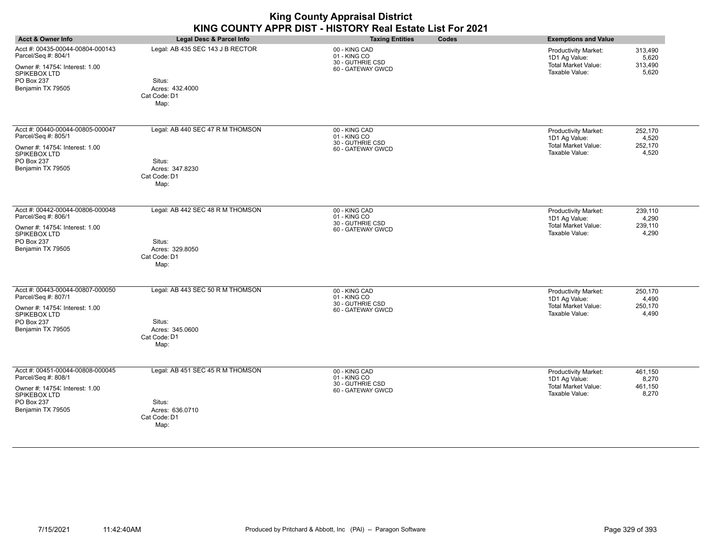| <b>Acct &amp; Owner Info</b>                                                                                                                 | Legal Desc & Parcel Info                                                              | <b>Taxing Entities</b><br>Codes                                        | <b>Exemptions and Value</b>                                                                                                   |
|----------------------------------------------------------------------------------------------------------------------------------------------|---------------------------------------------------------------------------------------|------------------------------------------------------------------------|-------------------------------------------------------------------------------------------------------------------------------|
| Acct #: 00435-00044-00804-000143<br>Parcel/Seq #: 804/1<br>Owner #: 14754; Interest: 1.00<br>SPIKEBOX LTD<br>PO Box 237<br>Benjamin TX 79505 | Legal: AB 435 SEC 143 J B RECTOR<br>Situs:<br>Acres: 432.4000<br>Cat Code: D1<br>Map: | 00 - KING CAD<br>01 - KING CO<br>30 - GUTHRIE CSD<br>60 - GATEWAY GWCD | Productivity Market:<br>313,490<br>1D1 Ag Value:<br>5,620<br><b>Total Market Value:</b><br>313,490<br>Taxable Value:<br>5,620 |
| Acct #: 00440-00044-00805-000047<br>Parcel/Seq #: 805/1<br>Owner #: 14754; Interest: 1.00<br>SPIKEBOX LTD<br>PO Box 237<br>Benjamin TX 79505 | Legal: AB 440 SEC 47 R M THOMSON<br>Situs:<br>Acres: 347.8230<br>Cat Code: D1<br>Map: | 00 - KING CAD<br>01 - KING CO<br>30 - GUTHRIE CSD<br>60 - GATEWAY GWCD | 252,170<br>Productivity Market:<br>1D1 Ag Value:<br>4,520<br><b>Total Market Value:</b><br>252,170<br>Taxable Value:<br>4,520 |
| Acct #: 00442-00044-00806-000048<br>Parcel/Seq #: 806/1<br>Owner #: 14754; Interest: 1.00<br>SPIKEBOX LTD<br>PO Box 237<br>Benjamin TX 79505 | Legal: AB 442 SEC 48 R M THOMSON<br>Situs:<br>Acres: 329.8050<br>Cat Code: D1<br>Map: | 00 - KING CAD<br>01 - KING CO<br>30 - GUTHRIE CSD<br>60 - GATEWAY GWCD | Productivity Market:<br>239,110<br>1D1 Ag Value:<br>4,290<br><b>Total Market Value:</b><br>239,110<br>Taxable Value:<br>4,290 |
| Acct #: 00443-00044-00807-000050<br>Parcel/Seq #: 807/1<br>Owner #: 14754; Interest: 1.00<br>SPIKEBOX LTD<br>PO Box 237<br>Benjamin TX 79505 | Legal: AB 443 SEC 50 R M THOMSON<br>Situs:<br>Acres: 345,0600<br>Cat Code: D1<br>Map: | 00 - KING CAD<br>01 - KING CO<br>30 - GUTHRIE CSD<br>60 - GATEWAY GWCD | Productivity Market:<br>250,170<br>1D1 Ag Value:<br>4,490<br><b>Total Market Value:</b><br>250,170<br>Taxable Value:<br>4,490 |
| Acct #: 00451-00044-00808-000045<br>Parcel/Seq #: 808/1<br>Owner #: 14754; Interest: 1.00<br>SPIKEBOX LTD<br>PO Box 237<br>Benjamin TX 79505 | Legal: AB 451 SEC 45 R M THOMSON<br>Situs:<br>Acres: 636.0710<br>Cat Code: D1<br>Map: | 00 - KING CAD<br>01 - KING CO<br>30 - GUTHRIE CSD<br>60 - GATEWAY GWCD | Productivity Market:<br>461,150<br>1D1 Ag Value:<br>8,270<br><b>Total Market Value:</b><br>461,150<br>Taxable Value:<br>8,270 |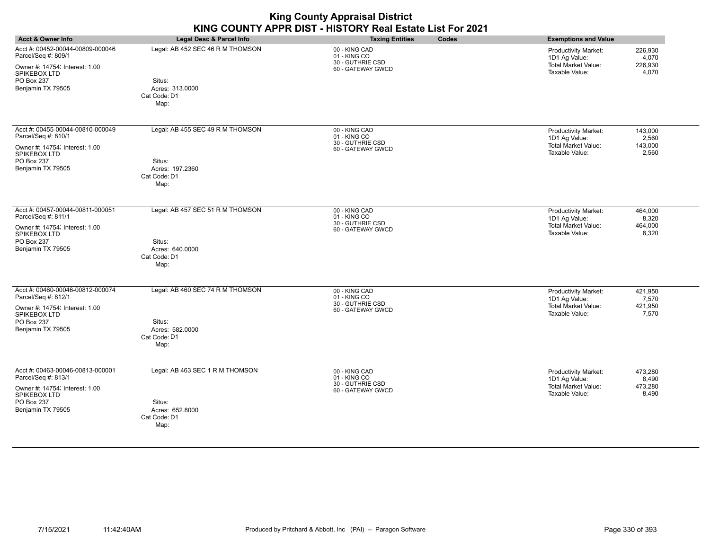| <b>Acct &amp; Owner Info</b>                                                                                                                 | Legal Desc & Parcel Info                                                              | <b>Taxing Entities</b><br>Codes                                        | <b>Exemptions and Value</b>                                                                                                          |
|----------------------------------------------------------------------------------------------------------------------------------------------|---------------------------------------------------------------------------------------|------------------------------------------------------------------------|--------------------------------------------------------------------------------------------------------------------------------------|
| Acct #: 00452-00044-00809-000046<br>Parcel/Seq #: 809/1<br>Owner #: 14754; Interest: 1.00<br>SPIKEBOX LTD<br>PO Box 237<br>Benjamin TX 79505 | Legal: AB 452 SEC 46 R M THOMSON<br>Situs:<br>Acres: 313.0000<br>Cat Code: D1<br>Map: | 00 - KING CAD<br>01 - KING CO<br>30 - GUTHRIE CSD<br>60 - GATEWAY GWCD | 226,930<br><b>Productivity Market:</b><br>1D1 Ag Value:<br>4,070<br><b>Total Market Value:</b><br>226,930<br>Taxable Value:<br>4,070 |
| Acct #: 00455-00044-00810-000049<br>Parcel/Seq #: 810/1<br>Owner #: 14754; Interest: 1.00<br>SPIKEBOX LTD<br>PO Box 237<br>Benjamin TX 79505 | Legal: AB 455 SEC 49 R M THOMSON<br>Situs:<br>Acres: 197.2360<br>Cat Code: D1<br>Map: | 00 - KING CAD<br>01 - KING CO<br>30 - GUTHRIE CSD<br>60 - GATEWAY GWCD | Productivity Market:<br>143,000<br>1D1 Ag Value:<br>2,560<br><b>Total Market Value:</b><br>143,000<br>Taxable Value:<br>2,560        |
| Acct #: 00457-00044-00811-000051<br>Parcel/Seq #: 811/1<br>Owner #: 14754; Interest: 1.00<br>SPIKEBOX LTD<br>PO Box 237<br>Benjamin TX 79505 | Legal: AB 457 SEC 51 R M THOMSON<br>Situs:<br>Acres: 640.0000<br>Cat Code: D1<br>Map: | 00 - KING CAD<br>01 - KING CO<br>30 - GUTHRIE CSD<br>60 - GATEWAY GWCD | Productivity Market:<br>464,000<br>1D1 Ag Value:<br>8,320<br><b>Total Market Value:</b><br>464,000<br>Taxable Value:<br>8,320        |
| Acct #: 00460-00046-00812-000074<br>Parcel/Seq #: 812/1<br>Owner #: 14754; Interest: 1.00<br>SPIKEBOX LTD<br>PO Box 237<br>Benjamin TX 79505 | Legal: AB 460 SEC 74 R M THOMSON<br>Situs:<br>Acres: 582.0000<br>Cat Code: D1<br>Map: | 00 - KING CAD<br>01 - KING CO<br>30 - GUTHRIE CSD<br>60 - GATEWAY GWCD | 421,950<br><b>Productivity Market:</b><br>1D1 Ag Value:<br>7,570<br><b>Total Market Value:</b><br>421,950<br>Taxable Value:<br>7,570 |
| Acct #: 00463-00046-00813-000001<br>Parcel/Seq #: 813/1<br>Owner #: 14754; Interest: 1.00<br>SPIKEBOX LTD<br>PO Box 237<br>Benjamin TX 79505 | Legal: AB 463 SEC 1 R M THOMSON<br>Situs:<br>Acres: 652.8000<br>Cat Code: D1<br>Map:  | 00 - KING CAD<br>01 - KING CO<br>30 - GUTHRIE CSD<br>60 - GATEWAY GWCD | 473,280<br>Productivity Market:<br>1D1 Ag Value:<br>8,490<br><b>Total Market Value:</b><br>473,280<br>Taxable Value:<br>8,490        |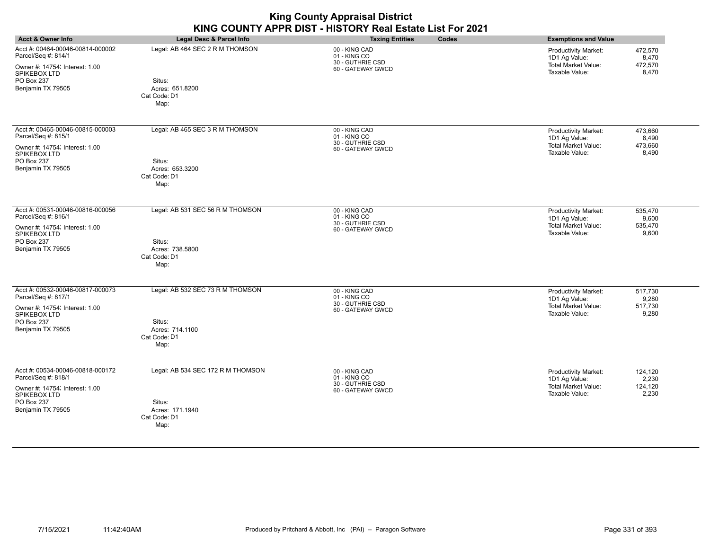| <b>Acct &amp; Owner Info</b>                                                                                                                 | Legal Desc & Parcel Info                                                               | <b>Taxing Entities</b><br>Codes                                        | <b>Exemptions and Value</b>                                                                                                          |
|----------------------------------------------------------------------------------------------------------------------------------------------|----------------------------------------------------------------------------------------|------------------------------------------------------------------------|--------------------------------------------------------------------------------------------------------------------------------------|
| Acct #: 00464-00046-00814-000002<br>Parcel/Seq #: 814/1<br>Owner #: 14754; Interest: 1.00<br>SPIKEBOX LTD<br>PO Box 237<br>Benjamin TX 79505 | Legal: AB 464 SEC 2 R M THOMSON<br>Situs:<br>Acres: 651.8200<br>Cat Code: D1<br>Map:   | 00 - KING CAD<br>01 - KING CO<br>30 - GUTHRIE CSD<br>60 - GATEWAY GWCD | 472,570<br><b>Productivity Market:</b><br>1D1 Ag Value:<br>8,470<br><b>Total Market Value:</b><br>472,570<br>Taxable Value:<br>8,470 |
| Acct #: 00465-00046-00815-000003<br>Parcel/Seq #: 815/1<br>Owner #: 14754; Interest: 1.00<br>SPIKEBOX LTD<br>PO Box 237<br>Benjamin TX 79505 | Legal: AB 465 SEC 3 R M THOMSON<br>Situs:<br>Acres: 653.3200<br>Cat Code: D1<br>Map:   | 00 - KING CAD<br>01 - KING CO<br>30 - GUTHRIE CSD<br>60 - GATEWAY GWCD | Productivity Market:<br>473,660<br>1D1 Ag Value:<br>8,490<br><b>Total Market Value:</b><br>473,660<br>Taxable Value:<br>8,490        |
| Acct #: 00531-00046-00816-000056<br>Parcel/Seq #: 816/1<br>Owner #: 14754; Interest: 1.00<br>SPIKEBOX LTD<br>PO Box 237<br>Benjamin TX 79505 | Legal: AB 531 SEC 56 R M THOMSON<br>Situs:<br>Acres: 738.5800<br>Cat Code: D1<br>Map:  | 00 - KING CAD<br>01 - KING CO<br>30 - GUTHRIE CSD<br>60 - GATEWAY GWCD | Productivity Market:<br>535,470<br>1D1 Ag Value:<br>9,600<br><b>Total Market Value:</b><br>535,470<br>Taxable Value:<br>9,600        |
| Acct #: 00532-00046-00817-000073<br>Parcel/Seq #: 817/1<br>Owner #: 14754; Interest: 1.00<br>SPIKEBOX LTD<br>PO Box 237<br>Benjamin TX 79505 | Legal: AB 532 SEC 73 R M THOMSON<br>Situs:<br>Acres: 714.1100<br>Cat Code: D1<br>Map:  | 00 - KING CAD<br>01 - KING CO<br>30 - GUTHRIE CSD<br>60 - GATEWAY GWCD | Productivity Market:<br>517,730<br>1D1 Ag Value:<br>9,280<br><b>Total Market Value:</b><br>517,730<br>Taxable Value:<br>9,280        |
| Acct #: 00534-00046-00818-000172<br>Parcel/Seq #: 818/1<br>Owner #: 14754; Interest: 1.00<br>SPIKEBOX LTD<br>PO Box 237<br>Benjamin TX 79505 | Legal: AB 534 SEC 172 R M THOMSON<br>Situs:<br>Acres: 171.1940<br>Cat Code: D1<br>Map: | 00 - KING CAD<br>01 - KING CO<br>30 - GUTHRIE CSD<br>60 - GATEWAY GWCD | 124,120<br>Productivity Market:<br>1D1 Ag Value:<br>2,230<br><b>Total Market Value:</b><br>124,120<br>2,230<br>Taxable Value:        |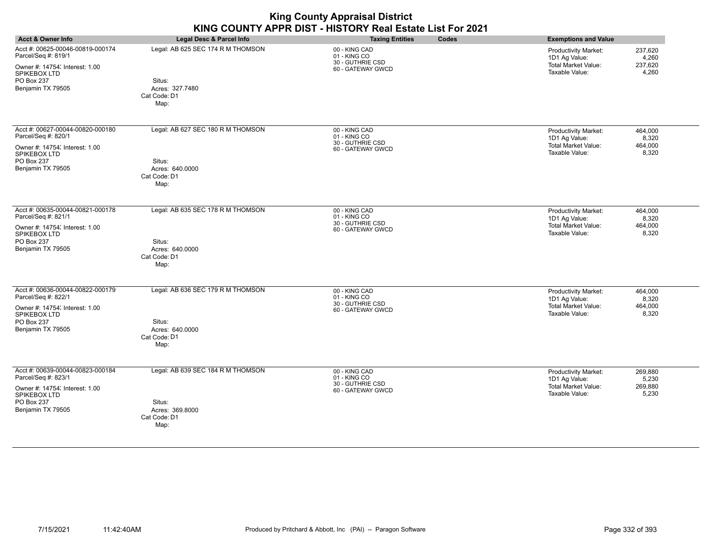| <b>Acct &amp; Owner Info</b>                                                                                                                 | Legal Desc & Parcel Info                                                               | <b>Taxing Entities</b><br>Codes                                        | <b>Exemptions and Value</b>                                                                                                          |
|----------------------------------------------------------------------------------------------------------------------------------------------|----------------------------------------------------------------------------------------|------------------------------------------------------------------------|--------------------------------------------------------------------------------------------------------------------------------------|
| Acct #: 00625-00046-00819-000174<br>Parcel/Seq #: 819/1<br>Owner #: 14754; Interest: 1.00<br>SPIKEBOX LTD<br>PO Box 237<br>Benjamin TX 79505 | Legal: AB 625 SEC 174 R M THOMSON<br>Situs:<br>Acres: 327.7480<br>Cat Code: D1<br>Map: | 00 - KING CAD<br>01 - KING CO<br>30 - GUTHRIE CSD<br>60 - GATEWAY GWCD | 237,620<br><b>Productivity Market:</b><br>1D1 Ag Value:<br>4,260<br><b>Total Market Value:</b><br>237,620<br>Taxable Value:<br>4,260 |
| Acct #: 00627-00044-00820-000180<br>Parcel/Seq #: 820/1<br>Owner #: 14754; Interest: 1.00<br>SPIKEBOX LTD<br>PO Box 237<br>Benjamin TX 79505 | Legal: AB 627 SEC 180 R M THOMSON<br>Situs:<br>Acres: 640.0000<br>Cat Code: D1<br>Map: | 00 - KING CAD<br>01 - KING CO<br>30 - GUTHRIE CSD<br>60 - GATEWAY GWCD | Productivity Market:<br>464,000<br>1D1 Ag Value:<br>8,320<br><b>Total Market Value:</b><br>464,000<br>Taxable Value:<br>8,320        |
| Acct #: 00635-00044-00821-000178<br>Parcel/Seq #: 821/1<br>Owner #: 14754; Interest: 1.00<br>SPIKEBOX LTD<br>PO Box 237<br>Benjamin TX 79505 | Legal: AB 635 SEC 178 R M THOMSON<br>Situs:<br>Acres: 640,0000<br>Cat Code: D1<br>Map: | 00 - KING CAD<br>01 - KING CO<br>30 - GUTHRIE CSD<br>60 - GATEWAY GWCD | Productivity Market:<br>464,000<br>1D1 Ag Value:<br>8,320<br><b>Total Market Value:</b><br>464,000<br>Taxable Value:<br>8,320        |
| Acct #: 00636-00044-00822-000179<br>Parcel/Seq #: 822/1<br>Owner #: 14754; Interest: 1.00<br>SPIKEBOX LTD<br>PO Box 237<br>Benjamin TX 79505 | Legal: AB 636 SEC 179 R M THOMSON<br>Situs:<br>Acres: 640.0000<br>Cat Code: D1<br>Map: | 00 - KING CAD<br>01 - KING CO<br>30 - GUTHRIE CSD<br>60 - GATEWAY GWCD | Productivity Market:<br>464,000<br>1D1 Ag Value:<br>8,320<br><b>Total Market Value:</b><br>464,000<br>Taxable Value:<br>8,320        |
| Acct #: 00639-00044-00823-000184<br>Parcel/Seq #: 823/1<br>Owner #: 14754; Interest: 1.00<br>SPIKEBOX LTD<br>PO Box 237<br>Benjamin TX 79505 | Legal: AB 639 SEC 184 R M THOMSON<br>Situs:<br>Acres: 369,8000<br>Cat Code: D1<br>Map: | 00 - KING CAD<br>01 - KING CO<br>30 - GUTHRIE CSD<br>60 - GATEWAY GWCD | 269,880<br>Productivity Market:<br>1D1 Ag Value:<br>5,230<br><b>Total Market Value:</b><br>269,880<br>Taxable Value:<br>5,230        |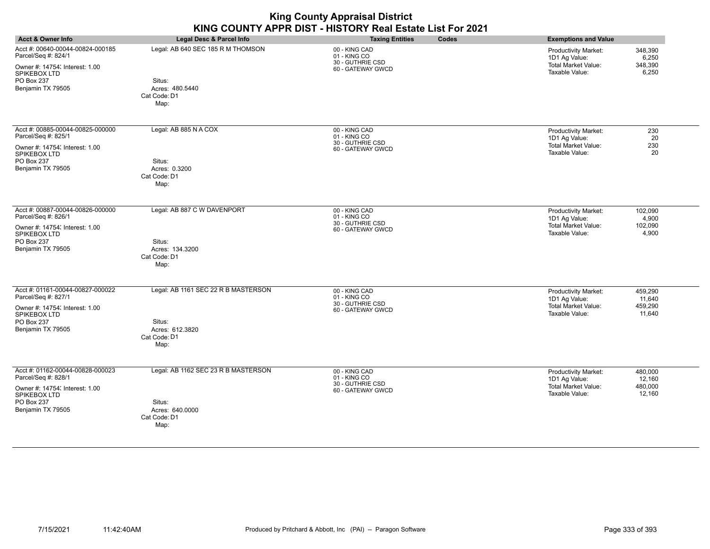| <b>Acct &amp; Owner Info</b>                                                                                                                 | <b>Legal Desc &amp; Parcel Info</b>                                                      | <b>Taxing Entities</b><br>Codes                                        | <b>Exemptions and Value</b>                                                                                                     |
|----------------------------------------------------------------------------------------------------------------------------------------------|------------------------------------------------------------------------------------------|------------------------------------------------------------------------|---------------------------------------------------------------------------------------------------------------------------------|
| Acct #: 00640-00044-00824-000185<br>Parcel/Seq #: 824/1<br>Owner #: 14754; Interest: 1.00<br>SPIKEBOX LTD<br>PO Box 237<br>Benjamin TX 79505 | Legal: AB 640 SEC 185 R M THOMSON<br>Situs:<br>Acres: 480.5440<br>Cat Code: D1<br>Map:   | 00 - KING CAD<br>01 - KING CO<br>30 - GUTHRIE CSD<br>60 - GATEWAY GWCD | 348,390<br>Productivity Market:<br>1D1 Ag Value:<br>6,250<br><b>Total Market Value:</b><br>348,390<br>Taxable Value:<br>6,250   |
| Acct #: 00885-00044-00825-000000<br>Parcel/Seq #: 825/1<br>Owner #: 14754; Interest: 1.00<br>SPIKEBOX LTD<br>PO Box 237<br>Benjamin TX 79505 | Legal: AB 885 N A COX<br>Situs:<br>Acres: 0.3200<br>Cat Code: D1<br>Map:                 | 00 - KING CAD<br>01 - KING CO<br>30 - GUTHRIE CSD<br>60 - GATEWAY GWCD | Productivity Market:<br>230<br>1D1 Ag Value:<br>20<br>Total Market Value:<br>230<br>Taxable Value:<br>20                        |
| Acct #: 00887-00044-00826-000000<br>Parcel/Seq #: 826/1<br>Owner #: 14754; Interest: 1.00<br>SPIKEBOX LTD<br>PO Box 237<br>Benjamin TX 79505 | Legal: AB 887 C W DAVENPORT<br>Situs:<br>Acres: 134.3200<br>Cat Code: D1<br>Map:         | 00 - KING CAD<br>01 - KING CO<br>30 - GUTHRIE CSD<br>60 - GATEWAY GWCD | Productivity Market:<br>102,090<br>1D1 Ag Value:<br>4,900<br><b>Total Market Value:</b><br>102,090<br>Taxable Value:<br>4,900   |
| Acct #: 01161-00044-00827-000022<br>Parcel/Seq #: 827/1<br>Owner #: 14754; Interest: 1.00<br>SPIKEBOX LTD<br>PO Box 237<br>Benjamin TX 79505 | Legal: AB 1161 SEC 22 R B MASTERSON<br>Situs:<br>Acres: 612.3820<br>Cat Code: D1<br>Map: | 00 - KING CAD<br>01 - KING CO<br>30 - GUTHRIE CSD<br>60 - GATEWAY GWCD | Productivity Market:<br>459,290<br>1D1 Ag Value:<br>11,640<br><b>Total Market Value:</b><br>459,290<br>Taxable Value:<br>11,640 |
| Acct #: 01162-00044-00828-000023<br>Parcel/Seq #: 828/1<br>Owner #: 14754; Interest: 1.00<br>SPIKEBOX LTD<br>PO Box 237<br>Benjamin TX 79505 | Legal: AB 1162 SEC 23 R B MASTERSON<br>Situs:<br>Acres: 640,0000<br>Cat Code: D1<br>Map: | 00 - KING CAD<br>01 - KING CO<br>30 - GUTHRIE CSD<br>60 - GATEWAY GWCD | Productivity Market:<br>480.000<br>1D1 Ag Value:<br>12,160<br><b>Total Market Value:</b><br>480,000<br>Taxable Value:<br>12,160 |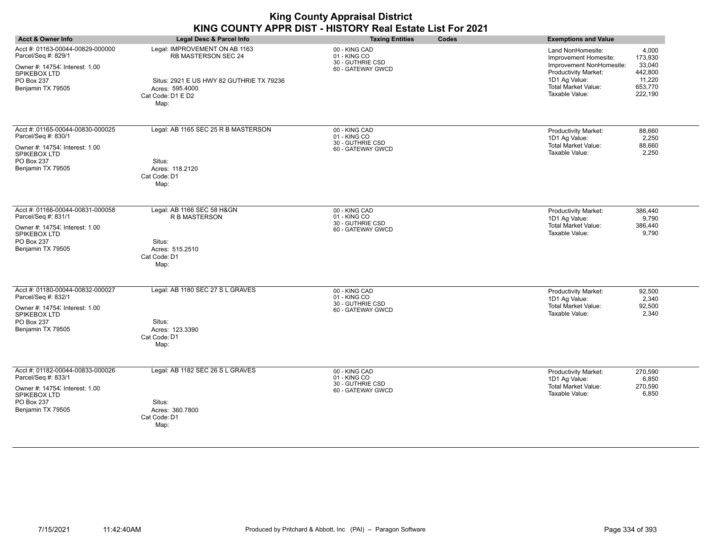| <b>Acct &amp; Owner Info</b>                                                                                                                 | Legal Desc & Parcel Info                                                                                                                                | <b>Taxing Entities</b><br>Codes                                        | <b>Exemptions and Value</b>                                                                                                                                                                                                       |
|----------------------------------------------------------------------------------------------------------------------------------------------|---------------------------------------------------------------------------------------------------------------------------------------------------------|------------------------------------------------------------------------|-----------------------------------------------------------------------------------------------------------------------------------------------------------------------------------------------------------------------------------|
| Acct #: 01163-00044-00829-000000<br>Parcel/Seq #: 829/1<br>Owner #: 14754; Interest: 1.00<br>SPIKEBOX LTD<br>PO Box 237<br>Benjamin TX 79505 | Legal: IMPROVEMENT ON AB 1163<br><b>RB MASTERSON SEC 24</b><br>Situs: 2921 E US HWY 82 GUTHRIE TX 79236<br>Acres: 595.4000<br>Cat Code: D1 E D2<br>Map: | 00 - KING CAD<br>01 - KING CO<br>30 - GUTHRIE CSD<br>60 - GATEWAY GWCD | 4,000<br>Land NonHomesite:<br>173,930<br>Improvement Homesite:<br>33,040<br>Improvement NonHomesite:<br>Productivity Market:<br>442,800<br>1D1 Ag Value:<br>11,220<br>Total Market Value:<br>653,770<br>Taxable Value:<br>222,190 |
| Acct #: 01165-00044-00830-000025<br>Parcel/Seq #: 830/1<br>Owner #: 14754; Interest: 1.00<br>SPIKEBOX LTD<br>PO Box 237<br>Benjamin TX 79505 | Legal: AB 1165 SEC 25 R B MASTERSON<br>Situs:<br>Acres: 118.2120<br>Cat Code: D1<br>Map:                                                                | 00 - KING CAD<br>01 - KING CO<br>30 - GUTHRIE CSD<br>60 - GATEWAY GWCD | <b>Productivity Market:</b><br>88,660<br>2,250<br>1D1 Ag Value:<br><b>Total Market Value:</b><br>88,660<br>Taxable Value:<br>2,250                                                                                                |
| Acct #: 01166-00044-00831-000058<br>Parcel/Seq #: 831/1<br>Owner #: 14754; Interest: 1.00<br>SPIKEBOX LTD<br>PO Box 237<br>Benjamin TX 79505 | Legal: AB 1166 SEC 58 H&GN<br><b>R B MASTERSON</b><br>Situs:<br>Acres: 515.2510<br>Cat Code: D1<br>Map:                                                 | 00 - KING CAD<br>01 - KING CO<br>30 - GUTHRIE CSD<br>60 - GATEWAY GWCD | Productivity Market:<br>386,440<br>1D1 Ag Value:<br>9,790<br>Total Market Value:<br>386,440<br>Taxable Value:<br>9,790                                                                                                            |
| Acct #: 01180-00044-00832-000027<br>Parcel/Seq #: 832/1<br>Owner #: 14754; Interest: 1.00<br>SPIKEBOX LTD<br>PO Box 237<br>Benjamin TX 79505 | Legal: AB 1180 SEC 27 S L GRAVES<br>Situs:<br>Acres: 123.3390<br>Cat Code: D1<br>Map:                                                                   | 00 - KING CAD<br>01 - KING CO<br>30 - GUTHRIE CSD<br>60 - GATEWAY GWCD | Productivity Market:<br>92.500<br>1D1 Ag Value:<br>2,340<br><b>Total Market Value:</b><br>92,500<br>Taxable Value:<br>2,340                                                                                                       |
| Acct #: 01182-00044-00833-000026<br>Parcel/Seq #: 833/1<br>Owner #: 14754; Interest: 1.00<br>SPIKEBOX LTD<br>PO Box 237<br>Benjamin TX 79505 | Legal: AB 1182 SEC 26 S L GRAVES<br>Situs:<br>Acres: 360.7800<br>Cat Code: D1<br>Map:                                                                   | 00 - KING CAD<br>01 - KING CO<br>30 - GUTHRIE CSD<br>60 - GATEWAY GWCD | 270,590<br>Productivity Market:<br>1D1 Ag Value:<br>6,850<br><b>Total Market Value:</b><br>270,590<br>Taxable Value:<br>6,850                                                                                                     |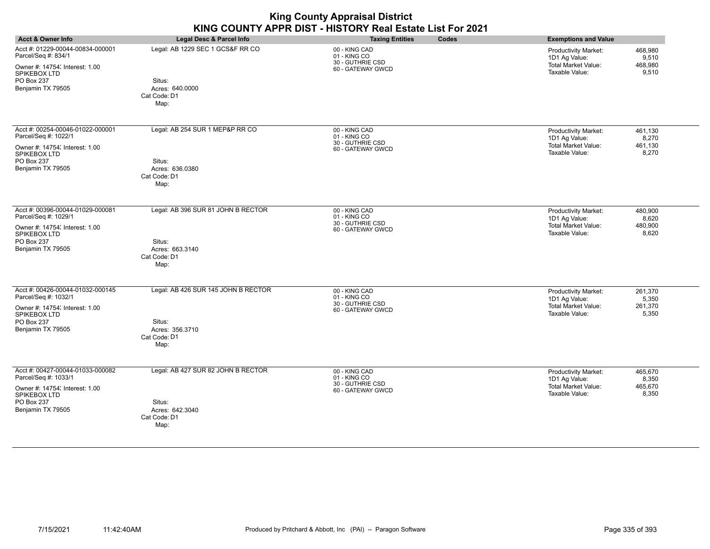| <b>Acct &amp; Owner Info</b>                                                                                                                  | Legal Desc & Parcel Info                                                                 | <b>Taxing Entities</b><br>Codes                                        | <b>Exemptions and Value</b>                                                                                                          |
|-----------------------------------------------------------------------------------------------------------------------------------------------|------------------------------------------------------------------------------------------|------------------------------------------------------------------------|--------------------------------------------------------------------------------------------------------------------------------------|
| Acct #: 01229-00044-00834-000001<br>Parcel/Seq #: 834/1<br>Owner #: 14754; Interest: 1.00<br>SPIKEBOX LTD<br>PO Box 237<br>Benjamin TX 79505  | Legal: AB 1229 SEC 1 GCS&F RR CO<br>Situs:<br>Acres: 640,0000<br>Cat Code: D1<br>Map:    | 00 - KING CAD<br>01 - KING CO<br>30 - GUTHRIE CSD<br>60 - GATEWAY GWCD | 468,980<br><b>Productivity Market:</b><br>1D1 Ag Value:<br>9,510<br><b>Total Market Value:</b><br>468,980<br>Taxable Value:<br>9,510 |
| Acct #: 00254-00046-01022-000001<br>Parcel/Seq #: 1022/1<br>Owner #: 14754; Interest: 1.00<br>SPIKEBOX LTD<br>PO Box 237<br>Benjamin TX 79505 | Legal: AB 254 SUR 1 MEP&P RR CO<br>Situs:<br>Acres: 636.0380<br>Cat Code: D1<br>Map:     | 00 - KING CAD<br>01 - KING CO<br>30 - GUTHRIE CSD<br>60 - GATEWAY GWCD | <b>Productivity Market:</b><br>461,130<br>1D1 Ag Value:<br>8,270<br><b>Total Market Value:</b><br>461,130<br>Taxable Value:<br>8,270 |
| Acct #: 00396-00044-01029-000081<br>Parcel/Seq #: 1029/1<br>Owner #: 14754; Interest: 1.00<br>SPIKEBOX LTD<br>PO Box 237<br>Benjamin TX 79505 | Legal: AB 396 SUR 81 JOHN B RECTOR<br>Situs:<br>Acres: 663.3140<br>Cat Code: D1<br>Map:  | 00 - KING CAD<br>01 - KING CO<br>30 - GUTHRIE CSD<br>60 - GATEWAY GWCD | Productivity Market:<br>480,900<br>1D1 Ag Value:<br>8,620<br><b>Total Market Value:</b><br>480,900<br>Taxable Value:<br>8,620        |
| Acct #: 00426-00044-01032-000145<br>Parcel/Seq #: 1032/1<br>Owner #: 14754; Interest: 1.00<br>SPIKEBOX LTD<br>PO Box 237<br>Benjamin TX 79505 | Legal: AB 426 SUR 145 JOHN B RECTOR<br>Situs:<br>Acres: 356.3710<br>Cat Code: D1<br>Map: | 00 - KING CAD<br>01 - KING CO<br>30 - GUTHRIE CSD<br>60 - GATEWAY GWCD | Productivity Market:<br>261,370<br>1D1 Ag Value:<br>5,350<br><b>Total Market Value:</b><br>261,370<br>Taxable Value:<br>5,350        |
| Acct #: 00427-00044-01033-000082<br>Parcel/Seq #: 1033/1<br>Owner #: 14754; Interest: 1.00<br>SPIKEBOX LTD<br>PO Box 237<br>Benjamin TX 79505 | Legal: AB 427 SUR 82 JOHN B RECTOR<br>Situs:<br>Acres: 642.3040<br>Cat Code: D1<br>Map:  | 00 - KING CAD<br>01 - KING CO<br>30 - GUTHRIE CSD<br>60 - GATEWAY GWCD | Productivity Market:<br>465,670<br>1D1 Ag Value:<br>8,350<br><b>Total Market Value:</b><br>465,670<br>Taxable Value:<br>8,350        |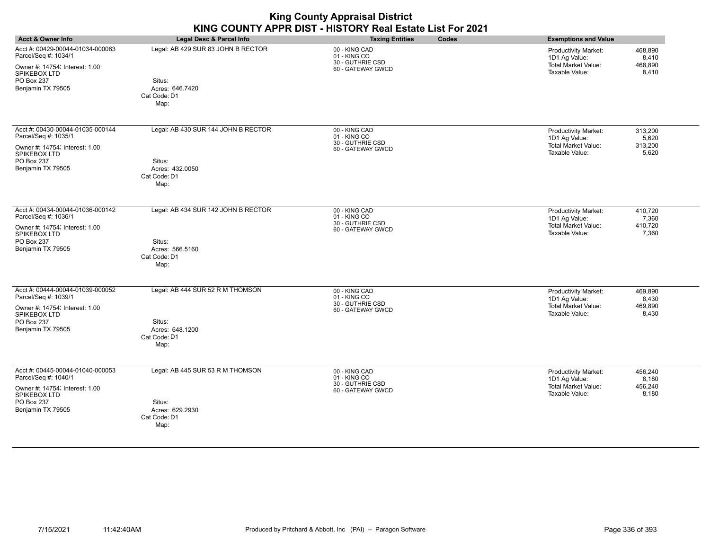| <b>Acct &amp; Owner Info</b>                                                                                                                  | Legal Desc & Parcel Info                                                                 | <b>Taxing Entities</b><br>Codes                                        | <b>Exemptions and Value</b>                                                                                                          |
|-----------------------------------------------------------------------------------------------------------------------------------------------|------------------------------------------------------------------------------------------|------------------------------------------------------------------------|--------------------------------------------------------------------------------------------------------------------------------------|
| Acct #: 00429-00044-01034-000083<br>Parcel/Seq #: 1034/1<br>Owner #: 14754; Interest: 1.00<br>SPIKEBOX LTD<br>PO Box 237<br>Benjamin TX 79505 | Legal: AB 429 SUR 83 JOHN B RECTOR<br>Situs:<br>Acres: 646.7420<br>Cat Code: D1<br>Map:  | 00 - KING CAD<br>01 - KING CO<br>30 - GUTHRIE CSD<br>60 - GATEWAY GWCD | 468,890<br><b>Productivity Market:</b><br>1D1 Ag Value:<br>8,410<br><b>Total Market Value:</b><br>468,890<br>Taxable Value:<br>8,410 |
| Acct #: 00430-00044-01035-000144<br>Parcel/Seq #: 1035/1<br>Owner #: 14754; Interest: 1.00<br>SPIKEBOX LTD<br>PO Box 237<br>Benjamin TX 79505 | Legal: AB 430 SUR 144 JOHN B RECTOR<br>Situs:<br>Acres: 432.0050<br>Cat Code: D1<br>Map: | 00 - KING CAD<br>01 - KING CO<br>30 - GUTHRIE CSD<br>60 - GATEWAY GWCD | 313,200<br>Productivity Market:<br>1D1 Ag Value:<br>5,620<br>Total Market Value:<br>313,200<br>Taxable Value:<br>5,620               |
| Acct #: 00434-00044-01036-000142<br>Parcel/Seq #: 1036/1<br>Owner #: 14754; Interest: 1.00<br>SPIKEBOX LTD<br>PO Box 237<br>Benjamin TX 79505 | Legal: AB 434 SUR 142 JOHN B RECTOR<br>Situs:<br>Acres: 566.5160<br>Cat Code: D1<br>Map: | 00 - KING CAD<br>01 - KING CO<br>30 - GUTHRIE CSD<br>60 - GATEWAY GWCD | Productivity Market:<br>410,720<br>1D1 Ag Value:<br>7,360<br>Total Market Value:<br>410,720<br>Taxable Value:<br>7,360               |
| Acct #: 00444-00044-01039-000052<br>Parcel/Seq #: 1039/1<br>Owner #: 14754; Interest: 1.00<br>SPIKEBOX LTD<br>PO Box 237<br>Benjamin TX 79505 | Legal: AB 444 SUR 52 R M THOMSON<br>Situs:<br>Acres: 648.1200<br>Cat Code: D1<br>Map:    | 00 - KING CAD<br>01 - KING CO<br>30 - GUTHRIE CSD<br>60 - GATEWAY GWCD | Productivity Market:<br>469.890<br>1D1 Ag Value:<br>8,430<br>Total Market Value:<br>469,890<br>Taxable Value:<br>8,430               |
| Acct #: 00445-00044-01040-000053<br>Parcel/Seq #: 1040/1<br>Owner #: 14754; Interest: 1.00<br>SPIKEBOX LTD<br>PO Box 237<br>Benjamin TX 79505 | Legal: AB 445 SUR 53 R M THOMSON<br>Situs:<br>Acres: 629.2930<br>Cat Code: D1<br>Map:    | 00 - KING CAD<br>01 - KING CO<br>30 - GUTHRIE CSD<br>60 - GATEWAY GWCD | 456,240<br>Productivity Market:<br>1D1 Ag Value:<br>8,180<br><b>Total Market Value:</b><br>456,240<br>Taxable Value:<br>8,180        |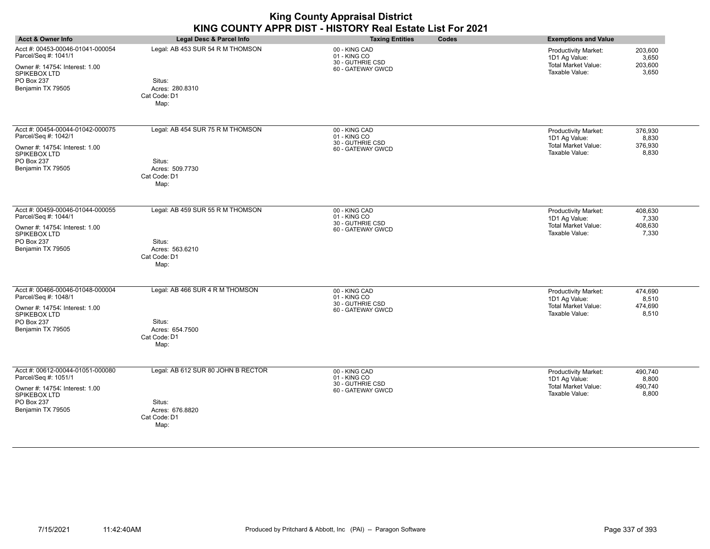| <b>Acct &amp; Owner Info</b>                                                                                                                  | Legal Desc & Parcel Info                                                                | <b>Taxing Entities</b><br>Codes                                        | <b>Exemptions and Value</b>                                                                                                          |
|-----------------------------------------------------------------------------------------------------------------------------------------------|-----------------------------------------------------------------------------------------|------------------------------------------------------------------------|--------------------------------------------------------------------------------------------------------------------------------------|
| Acct #: 00453-00046-01041-000054<br>Parcel/Seq #: 1041/1<br>Owner #: 14754; Interest: 1.00<br>SPIKEBOX LTD<br>PO Box 237<br>Benjamin TX 79505 | Legal: AB 453 SUR 54 R M THOMSON<br>Situs:<br>Acres: 280.8310<br>Cat Code: D1<br>Map:   | 00 - KING CAD<br>01 - KING CO<br>30 - GUTHRIE CSD<br>60 - GATEWAY GWCD | <b>Productivity Market:</b><br>203,600<br>3,650<br>1D1 Ag Value:<br><b>Total Market Value:</b><br>203,600<br>Taxable Value:<br>3,650 |
| Acct #: 00454-00044-01042-000075<br>Parcel/Seq #: 1042/1<br>Owner #: 14754; Interest: 1.00<br>SPIKEBOX LTD<br>PO Box 237<br>Benjamin TX 79505 | Legal: AB 454 SUR 75 R M THOMSON<br>Situs:<br>Acres: 509.7730<br>Cat Code: D1<br>Map:   | 00 - KING CAD<br>01 - KING CO<br>30 - GUTHRIE CSD<br>60 - GATEWAY GWCD | 376,930<br><b>Productivity Market:</b><br>8,830<br>1D1 Ag Value:<br>Total Market Value:<br>376,930<br>Taxable Value:<br>8,830        |
| Acct #: 00459-00046-01044-000055<br>Parcel/Seq #: 1044/1<br>Owner #: 14754; Interest: 1.00<br>SPIKEBOX LTD<br>PO Box 237<br>Benjamin TX 79505 | Legal: AB 459 SUR 55 R M THOMSON<br>Situs:<br>Acres: 563.6210<br>Cat Code: D1<br>Map:   | 00 - KING CAD<br>01 - KING CO<br>30 - GUTHRIE CSD<br>60 - GATEWAY GWCD | <b>Productivity Market:</b><br>408,630<br>1D1 Ag Value:<br>7,330<br><b>Total Market Value:</b><br>408,630<br>Taxable Value:<br>7,330 |
| Acct #: 00466-00046-01048-000004<br>Parcel/Seq #: 1048/1<br>Owner #: 14754; Interest: 1.00<br>SPIKEBOX LTD<br>PO Box 237<br>Benjamin TX 79505 | Legal: AB 466 SUR 4 R M THOMSON<br>Situs:<br>Acres: 654.7500<br>Cat Code: D1<br>Map:    | 00 - KING CAD<br>01 - KING CO<br>30 - GUTHRIE CSD<br>60 - GATEWAY GWCD | 474,690<br><b>Productivity Market:</b><br>1D1 Ag Value:<br>8,510<br><b>Total Market Value:</b><br>474,690<br>Taxable Value:<br>8,510 |
| Acct #: 00612-00044-01051-000080<br>Parcel/Seq #: 1051/1<br>Owner #: 14754; Interest: 1.00<br>SPIKEBOX LTD<br>PO Box 237<br>Benjamin TX 79505 | Legal: AB 612 SUR 80 JOHN B RECTOR<br>Situs:<br>Acres: 676.8820<br>Cat Code: D1<br>Map: | 00 - KING CAD<br>01 - KING CO<br>30 - GUTHRIE CSD<br>60 - GATEWAY GWCD | <b>Productivity Market:</b><br>490,740<br>1D1 Ag Value:<br>8,800<br>Total Market Value:<br>490,740<br>Taxable Value:<br>8,800        |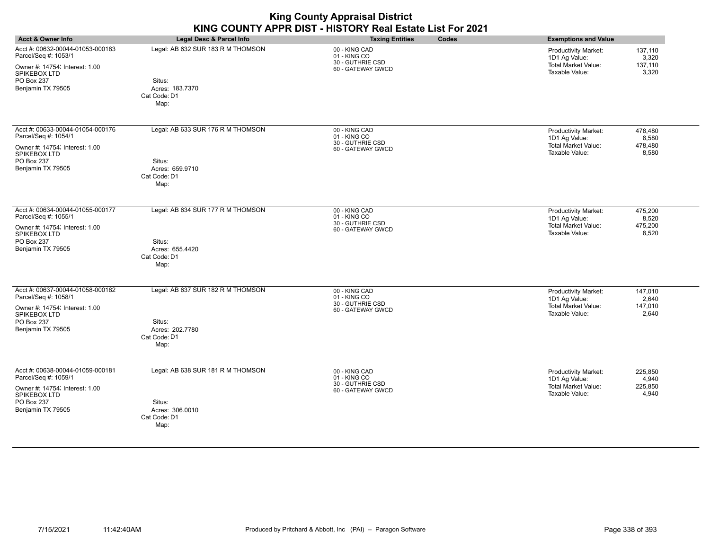| <b>Acct &amp; Owner Info</b>                                                                                                                  | Legal Desc & Parcel Info                                                               | <b>Taxing Entities</b><br>Codes                                        | <b>Exemptions and Value</b>                                                                                                          |
|-----------------------------------------------------------------------------------------------------------------------------------------------|----------------------------------------------------------------------------------------|------------------------------------------------------------------------|--------------------------------------------------------------------------------------------------------------------------------------|
| Acct #: 00632-00044-01053-000183<br>Parcel/Seq #: 1053/1<br>Owner #: 14754; Interest: 1.00<br>SPIKEBOX LTD<br>PO Box 237<br>Benjamin TX 79505 | Legal: AB 632 SUR 183 R M THOMSON<br>Situs:<br>Acres: 183.7370<br>Cat Code: D1<br>Map: | 00 - KING CAD<br>01 - KING CO<br>30 - GUTHRIE CSD<br>60 - GATEWAY GWCD | 137,110<br><b>Productivity Market:</b><br>1D1 Ag Value:<br>3,320<br><b>Total Market Value:</b><br>137,110<br>Taxable Value:<br>3,320 |
| Acct #: 00633-00044-01054-000176<br>Parcel/Seq #: 1054/1<br>Owner #: 14754; Interest: 1.00<br>SPIKEBOX LTD<br>PO Box 237<br>Benjamin TX 79505 | Legal: AB 633 SUR 176 R M THOMSON<br>Situs:<br>Acres: 659.9710<br>Cat Code: D1<br>Map: | 00 - KING CAD<br>01 - KING CO<br>30 - GUTHRIE CSD<br>60 - GATEWAY GWCD | Productivity Market:<br>478,480<br>1D1 Ag Value:<br>8,580<br><b>Total Market Value:</b><br>478,480<br>Taxable Value:<br>8,580        |
| Acct #: 00634-00044-01055-000177<br>Parcel/Seq #: 1055/1<br>Owner #: 14754; Interest: 1.00<br>SPIKEBOX LTD<br>PO Box 237<br>Benjamin TX 79505 | Legal: AB 634 SUR 177 R M THOMSON<br>Situs:<br>Acres: 655.4420<br>Cat Code: D1<br>Map: | 00 - KING CAD<br>01 - KING CO<br>30 - GUTHRIE CSD<br>60 - GATEWAY GWCD | Productivity Market:<br>475,200<br>1D1 Ag Value:<br>8,520<br><b>Total Market Value:</b><br>475,200<br>Taxable Value:<br>8,520        |
| Acct #: 00637-00044-01058-000182<br>Parcel/Seq #: 1058/1<br>Owner #: 14754; Interest: 1.00<br>SPIKEBOX LTD<br>PO Box 237<br>Benjamin TX 79505 | Legal: AB 637 SUR 182 R M THOMSON<br>Situs:<br>Acres: 202.7780<br>Cat Code: D1<br>Map: | 00 - KING CAD<br>01 - KING CO<br>30 - GUTHRIE CSD<br>60 - GATEWAY GWCD | Productivity Market:<br>147,010<br>1D1 Ag Value:<br>2,640<br><b>Total Market Value:</b><br>147,010<br>Taxable Value:<br>2,640        |
| Acct #: 00638-00044-01059-000181<br>Parcel/Seq #: 1059/1<br>Owner #: 14754; Interest: 1.00<br>SPIKEBOX LTD<br>PO Box 237<br>Benjamin TX 79505 | Legal: AB 638 SUR 181 R M THOMSON<br>Situs:<br>Acres: 306.0010<br>Cat Code: D1<br>Map: | 00 - KING CAD<br>01 - KING CO<br>30 - GUTHRIE CSD<br>60 - GATEWAY GWCD | 225,850<br>Productivity Market:<br>1D1 Ag Value:<br>4,940<br><b>Total Market Value:</b><br>225,850<br>Taxable Value:<br>4,940        |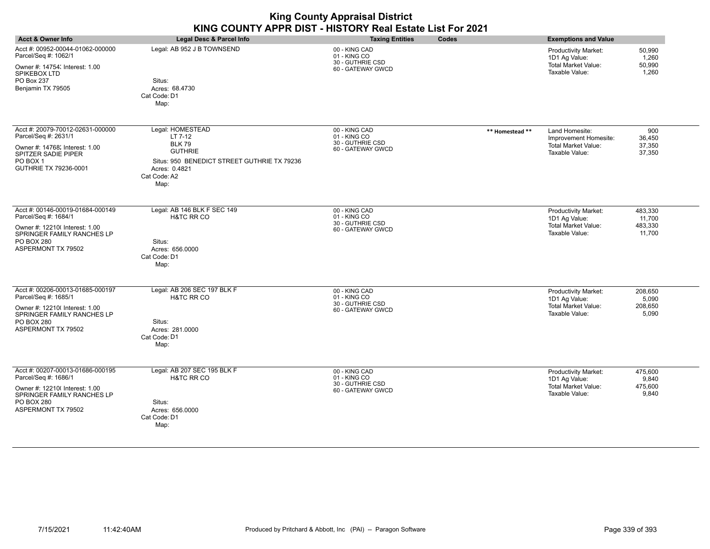| <b>Acct &amp; Owner Info</b>                                                                                                                                 | Legal Desc & Parcel Info                                                                                                                               | <b>Taxing Entities</b><br>Codes                                        |                 | <b>Exemptions and Value</b>                                                             |                                        |
|--------------------------------------------------------------------------------------------------------------------------------------------------------------|--------------------------------------------------------------------------------------------------------------------------------------------------------|------------------------------------------------------------------------|-----------------|-----------------------------------------------------------------------------------------|----------------------------------------|
| Acct #: 00952-00044-01062-000000<br>Parcel/Seq #: 1062/1<br>Owner #: 14754; Interest: 1.00<br>SPIKEBOX LTD<br>PO Box 237<br>Benjamin TX 79505                | Legal: AB 952 J B TOWNSEND<br>Situs:<br>Acres: 68.4730<br>Cat Code: D1<br>Map:                                                                         | 00 - KING CAD<br>01 - KING CO<br>30 - GUTHRIE CSD<br>60 - GATEWAY GWCD |                 | Productivity Market:<br>1D1 Ag Value:<br><b>Total Market Value:</b><br>Taxable Value:   | 50,990<br>1,260<br>50,990<br>1,260     |
| Acct #: 20079-70012-02631-000000<br>Parcel/Seq #: 2631/1<br>Owner #: 14768; Interest: 1.00<br>SPITZER SADIE PIPER<br>PO BOX 1<br>GUTHRIE TX 79236-0001       | Legal: HOMESTEAD<br>LT 7-12<br><b>BLK 79</b><br><b>GUTHRIE</b><br>Situs: 950 BENEDICT STREET GUTHRIE TX 79236<br>Acres: 0.4821<br>Cat Code: A2<br>Map: | 00 - KING CAD<br>01 - KING CO<br>30 - GUTHRIE CSD<br>60 - GATEWAY GWCD | ** Homestead ** | Land Homesite:<br>Improvement Homesite:<br><b>Total Market Value:</b><br>Taxable Value: | 900<br>36,450<br>37,350<br>37,350      |
| Acct #: 00146-00019-01684-000149<br>Parcel/Seq #: 1684/1<br>Owner #: 12210( Interest: 1.00<br>SPRINGER FAMILY RANCHES LP<br>PO BOX 280<br>ASPERMONT TX 79502 | Legal: AB 146 BLK F SEC 149<br>H&TC RR CO<br>Situs:<br>Acres: 656.0000<br>Cat Code: D1<br>Map:                                                         | 00 - KING CAD<br>01 - KING CO<br>30 - GUTHRIE CSD<br>60 - GATEWAY GWCD |                 | Productivity Market:<br>1D1 Ag Value:<br><b>Total Market Value:</b><br>Taxable Value:   | 483,330<br>11,700<br>483,330<br>11,700 |
| Acct #: 00206-00013-01685-000197<br>Parcel/Seq #: 1685/1<br>Owner #: 12210( Interest: 1.00<br>SPRINGER FAMILY RANCHES LP<br>PO BOX 280<br>ASPERMONT TX 79502 | Legal: AB 206 SEC 197 BLK F<br><b>H&amp;TC RR CO</b><br>Situs:<br>Acres: 281.0000<br>Cat Code: D1<br>Map:                                              | 00 - KING CAD<br>01 - KING CO<br>30 - GUTHRIE CSD<br>60 - GATEWAY GWCD |                 | Productivity Market:<br>1D1 Ag Value:<br><b>Total Market Value:</b><br>Taxable Value:   | 208,650<br>5,090<br>208,650<br>5,090   |
| Acct #: 00207-00013-01686-000195<br>Parcel/Seq #: 1686/1<br>Owner #: 12210( Interest: 1.00<br>SPRINGER FAMILY RANCHES LP<br>PO BOX 280<br>ASPERMONT TX 79502 | Legal: AB 207 SEC 195 BLK F<br><b>H&amp;TC RR CO</b><br>Situs:<br>Acres: 656,0000<br>Cat Code: D1<br>Map:                                              | 00 - KING CAD<br>01 - KING CO<br>30 - GUTHRIE CSD<br>60 - GATEWAY GWCD |                 | Productivity Market:<br>1D1 Ag Value:<br><b>Total Market Value:</b><br>Taxable Value:   | 475,600<br>9,840<br>475,600<br>9,840   |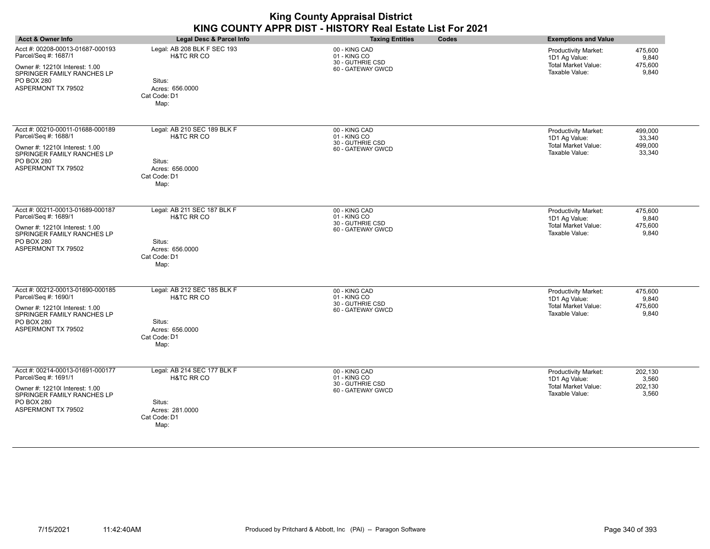|                                                                                                                                                              |                                                                                                           | <b>King County Appraisal District</b><br>KING COUNTY APPR DIST - HISTORY Real Estate List For 2021 |                                                                                                                                        |
|--------------------------------------------------------------------------------------------------------------------------------------------------------------|-----------------------------------------------------------------------------------------------------------|----------------------------------------------------------------------------------------------------|----------------------------------------------------------------------------------------------------------------------------------------|
| <b>Acct &amp; Owner Info</b>                                                                                                                                 | Legal Desc & Parcel Info                                                                                  | <b>Taxing Entities</b><br>Codes                                                                    | <b>Exemptions and Value</b>                                                                                                            |
| Acct #: 00208-00013-01687-000193<br>Parcel/Seq #: 1687/1<br>Owner #: 12210( Interest: 1.00<br>SPRINGER FAMILY RANCHES LP<br>PO BOX 280<br>ASPERMONT TX 79502 | Legal: AB 208 BLK F SEC 193<br><b>H&amp;TC RR CO</b><br>Situs:<br>Acres: 656,0000<br>Cat Code: D1<br>Map: | 00 - KING CAD<br>01 - KING CO<br>30 - GUTHRIE CSD<br>60 - GATEWAY GWCD                             | <b>Productivity Market:</b><br>475,600<br>1D1 Ag Value:<br>9,840<br><b>Total Market Value:</b><br>475,600<br>Taxable Value:<br>9,840   |
| Acct #: 00210-00011-01688-000189<br>Parcel/Seq #: 1688/1<br>Owner #: 12210( Interest: 1.00<br>SPRINGER FAMILY RANCHES LP<br>PO BOX 280<br>ASPERMONT TX 79502 | Legal: AB 210 SEC 189 BLK F<br><b>H&amp;TC RR CO</b><br>Situs:<br>Acres: 656,0000<br>Cat Code: D1<br>Map: | 00 - KING CAD<br>01 - KING CO<br>30 - GUTHRIE CSD<br>60 - GATEWAY GWCD                             | <b>Productivity Market:</b><br>499,000<br>1D1 Ag Value:<br>33,340<br><b>Total Market Value:</b><br>499,000<br>Taxable Value:<br>33,340 |
| Acct #: 00211-00013-01689-000187<br>Parcel/Seq #: 1689/1<br>Owner #: 12210( Interest: 1.00<br>SPRINGER FAMILY RANCHES LP<br>PO BOX 280<br>ASPERMONT TX 79502 | Legal: AB 211 SEC 187 BLK F<br>H&TC RR CO<br>Situs:<br>Acres: 656,0000<br>Cat Code: D1<br>Map:            | 00 - KING CAD<br>01 - KING CO<br>30 - GUTHRIE CSD<br>60 - GATEWAY GWCD                             | Productivity Market:<br>475,600<br>1D1 Ag Value:<br>9,840<br><b>Total Market Value:</b><br>475,600<br>Taxable Value:<br>9,840          |
| Acct #: 00212-00013-01690-000185<br>Parcel/Seq #: 1690/1<br>Owner #: 12210( Interest: 1.00<br>SPRINGER FAMILY RANCHES LP<br>PO BOX 280<br>ASPERMONT TX 79502 | Legal: AB 212 SEC 185 BLK F<br><b>H&amp;TC RR CO</b><br>Situs:<br>Acres: 656.0000<br>Cat Code: D1<br>Map: | 00 - KING CAD<br>01 - KING CO<br>30 - GUTHRIE CSD<br>60 - GATEWAY GWCD                             | <b>Productivity Market:</b><br>475.600<br>1D1 Ag Value:<br>9,840<br><b>Total Market Value:</b><br>475,600<br>Taxable Value:<br>9,840   |
| Acct #: 00214-00013-01691-000177<br>Parcel/Seq #: 1691/1<br>Owner #: 12210( Interest: 1.00<br>SPRINGER FAMILY RANCHES LP<br>PO BOX 280<br>ASPERMONT TX 79502 | Legal: AB 214 SEC 177 BLK F<br><b>H&amp;TC RR CO</b><br>Situs:<br>Acres: 281.0000<br>Cat Code: D1<br>Map: | 00 - KING CAD<br>01 - KING CO<br>30 - GUTHRIE CSD<br>60 - GATEWAY GWCD                             | 202,130<br><b>Productivity Market:</b><br>1D1 Ag Value:<br>3,560<br><b>Total Market Value:</b><br>202,130<br>Taxable Value:<br>3,560   |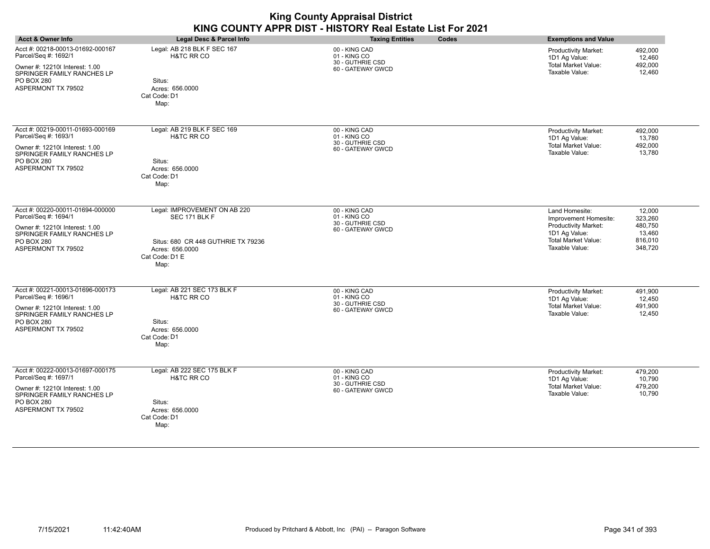|                                                                                                                                                                     |                                                                                                                                  | <b>King County Appraisal District</b><br>KING COUNTY APPR DIST - HISTORY Real Estate List For 2021 |                                                                                                                                                                                                         |
|---------------------------------------------------------------------------------------------------------------------------------------------------------------------|----------------------------------------------------------------------------------------------------------------------------------|----------------------------------------------------------------------------------------------------|---------------------------------------------------------------------------------------------------------------------------------------------------------------------------------------------------------|
| <b>Acct &amp; Owner Info</b>                                                                                                                                        | <b>Legal Desc &amp; Parcel Info</b>                                                                                              | <b>Taxing Entities</b><br>Codes                                                                    | <b>Exemptions and Value</b>                                                                                                                                                                             |
| Acct #: 00218-00013-01692-000167<br>Parcel/Seq #: 1692/1<br>Owner #: 12210( Interest: 1.00<br>SPRINGER FAMILY RANCHES LP<br>PO BOX 280<br>ASPERMONT TX 79502        | Legal: AB 218 BLK F SEC 167<br><b>H&amp;TC RR CO</b><br>Situs:<br>Acres: 656,0000<br>Cat Code: D1<br>Map:                        | 00 - KING CAD<br>01 - KING CO<br>30 - GUTHRIE CSD<br>60 - GATEWAY GWCD                             | Productivity Market:<br>492,000<br>1D1 Ag Value:<br>12,460<br><b>Total Market Value:</b><br>492,000<br>Taxable Value:<br>12,460                                                                         |
| Acct #: 00219-00011-01693-000169<br>Parcel/Seq #: 1693/1<br>Owner #: 12210( Interest: 1.00<br>SPRINGER FAMILY RANCHES LP<br>PO BOX 280<br>ASPERMONT TX 79502        | Legal: AB 219 BLK F SEC 169<br><b>H&amp;TC RR CO</b><br>Situs:<br>Acres: 656.0000<br>Cat Code: D1<br>Map:                        | 00 - KING CAD<br>01 - KING CO<br>30 - GUTHRIE CSD<br>60 - GATEWAY GWCD                             | 492.000<br><b>Productivity Market:</b><br>1D1 Ag Value:<br>13,780<br><b>Total Market Value:</b><br>492,000<br>Taxable Value:<br>13,780                                                                  |
| Acct #: 00220-00011-01694-000000<br>Parcel/Seq #: 1694/1<br>Owner #: 12210( Interest: 1.00<br>SPRINGER FAMILY RANCHES LP<br>PO BOX 280<br>ASPERMONT TX 79502        | Legal: IMPROVEMENT ON AB 220<br>SEC 171 BLK F<br>Situs: 680 CR 448 GUTHRIE TX 79236<br>Acres: 656.0000<br>Cat Code: D1 E<br>Map: | 00 - KING CAD<br>01 - KING CO<br>30 - GUTHRIE CSD<br>60 - GATEWAY GWCD                             | Land Homesite:<br>12,000<br>323,260<br>Improvement Homesite:<br>480,750<br><b>Productivity Market:</b><br>1D1 Ag Value:<br>13,460<br><b>Total Market Value:</b><br>816,010<br>Taxable Value:<br>348,720 |
| Acct #: 00221-00013-01696-000173<br>Parcel/Seq #: 1696/1<br>Owner #: 12210( Interest: 1.00<br>SPRINGER FAMILY RANCHES LP<br>PO BOX 280<br>ASPERMONT TX 79502        | Legal: AB 221 SEC 173 BLK F<br>H&TC RR CO<br>Situs:<br>Acres: 656.0000<br>Cat Code: D1<br>Map:                                   | 00 - KING CAD<br>01 - KING CO<br>30 - GUTHRIE CSD<br>60 - GATEWAY GWCD                             | Productivity Market:<br>491,900<br>1D1 Ag Value:<br>12.450<br><b>Total Market Value:</b><br>491.900<br>Taxable Value:<br>12,450                                                                         |
| Acct #: 00222-00013-01697-000175<br>Parcel/Seq #: 1697/1<br>Owner #: 12210( Interest: 1.00<br>SPRINGER FAMILY RANCHES LP<br>PO BOX 280<br><b>ASPERMONT TX 79502</b> | Legal: AB 222 SEC 175 BLK F<br><b>H&amp;TC RR CO</b><br>Situs:<br>Acres: 656.0000<br>Cat Code: D1<br>Map:                        | 00 - KING CAD<br>01 - KING CO<br>30 - GUTHRIE CSD<br>60 - GATEWAY GWCD                             | Productivity Market:<br>479,200<br>1D1 Ag Value:<br>10,790<br><b>Total Market Value:</b><br>479,200<br>Taxable Value:<br>10,790                                                                         |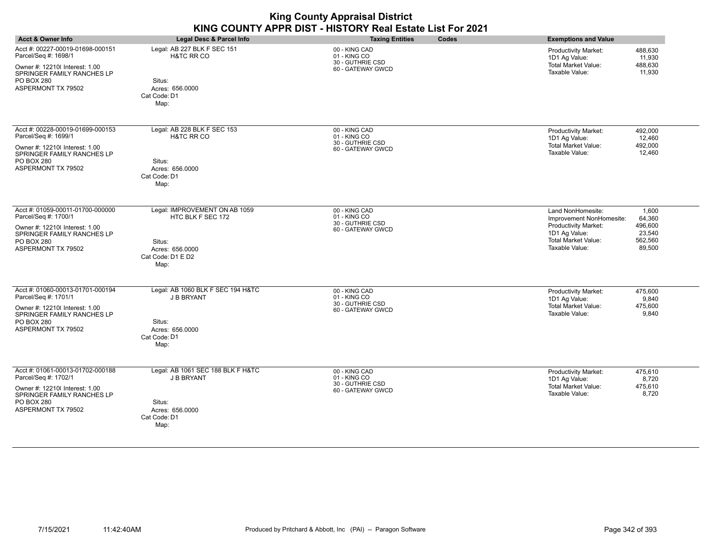|                                                                                                                                                                            |                                                                                                              | <b>King County Appraisal District</b><br>KING COUNTY APPR DIST - HISTORY Real Estate List For 2021 |                                                                                                                                                                                                            |
|----------------------------------------------------------------------------------------------------------------------------------------------------------------------------|--------------------------------------------------------------------------------------------------------------|----------------------------------------------------------------------------------------------------|------------------------------------------------------------------------------------------------------------------------------------------------------------------------------------------------------------|
| <b>Acct &amp; Owner Info</b>                                                                                                                                               | <b>Legal Desc &amp; Parcel Info</b>                                                                          | <b>Taxing Entities</b><br>Codes                                                                    | <b>Exemptions and Value</b>                                                                                                                                                                                |
| Acct #: 00227-00019-01698-000151<br>Parcel/Seq #: 1698/1<br>Owner #: 12210( Interest: 1.00<br>SPRINGER FAMILY RANCHES LP<br>PO BOX 280<br>ASPERMONT TX 79502               | Legal: AB 227 BLK F SEC 151<br>H&TC RR CO<br>Situs:<br>Acres: 656,0000<br>Cat Code: D1<br>Map:               | 00 - KING CAD<br>01 - KING CO<br>30 - GUTHRIE CSD<br>60 - GATEWAY GWCD                             | <b>Productivity Market:</b><br>488,630<br>1D1 Ag Value:<br>11,930<br><b>Total Market Value:</b><br>488,630<br>Taxable Value:<br>11,930                                                                     |
| Acct #: 00228-00019-01699-000153<br>Parcel/Seq #: 1699/1<br>Owner #: 12210( Interest: 1.00<br>SPRINGER FAMILY RANCHES LP<br>PO BOX 280<br>ASPERMONT TX 79502               | Legal: AB 228 BLK F SEC 153<br><b>H&amp;TC RR CO</b><br>Situs:<br>Acres: 656,0000<br>Cat Code: D1<br>Map:    | 00 - KING CAD<br>01 - KING CO<br>30 - GUTHRIE CSD<br>60 - GATEWAY GWCD                             | <b>Productivity Market:</b><br>492,000<br>1D1 Ag Value:<br>12,460<br><b>Total Market Value:</b><br>492,000<br>Taxable Value:<br>12,460                                                                     |
| Acct #: 01059-00011-01700-000000<br>Parcel/Seq #: 1700/1<br>Owner #: 12210( Interest: 1.00<br>SPRINGER FAMILY RANCHES LP<br>PO BOX 280<br>ASPERMONT TX 79502               | Legal: IMPROVEMENT ON AB 1059<br>HTC BLK F SEC 172<br>Situs:<br>Acres: 656,0000<br>Cat Code: D1 E D2<br>Map: | 00 - KING CAD<br>01 - KING CO<br>30 - GUTHRIE CSD<br>60 - GATEWAY GWCD                             | Land NonHomesite:<br>1,600<br>64,360<br>Improvement NonHomesite:<br><b>Productivity Market:</b><br>496,600<br>1D1 Ag Value:<br>23,540<br><b>Total Market Value:</b><br>562,560<br>Taxable Value:<br>89,500 |
| Acct #: 01060-00013-01701-000194<br>Parcel/Seq #: 1701/1<br>Owner #: 12210( Interest: 1.00<br>SPRINGER FAMILY RANCHES LP<br><b>PO BOX 280</b><br><b>ASPERMONT TX 79502</b> | Legal: AB 1060 BLK F SEC 194 H&TC<br>J B BRYANT<br>Situs:<br>Acres: 656,0000<br>Cat Code: D1<br>Map:         | 00 - KING CAD<br>01 - KING CO<br>30 - GUTHRIE CSD<br>60 - GATEWAY GWCD                             | <b>Productivity Market:</b><br>475,600<br>1D1 Ag Value:<br>9,840<br>Total Market Value:<br>475,600<br>Taxable Value:<br>9,840                                                                              |
| Acct #: 01061-00013-01702-000188<br>Parcel/Seq #: 1702/1<br>Owner #: 12210( Interest: 1.00<br>SPRINGER FAMILY RANCHES LP<br><b>PO BOX 280</b><br>ASPERMONT TX 79502        | Legal: AB 1061 SEC 188 BLK F H&TC<br>J B BRYANT<br>Situs:<br>Acres: 656.0000<br>Cat Code: D1<br>Map:         | 00 - KING CAD<br>01 - KING CO<br>30 - GUTHRIE CSD<br>60 - GATEWAY GWCD                             | <b>Productivity Market:</b><br>475,610<br>1D1 Ag Value:<br>8,720<br><b>Total Market Value:</b><br>475,610<br>Taxable Value:<br>8,720                                                                       |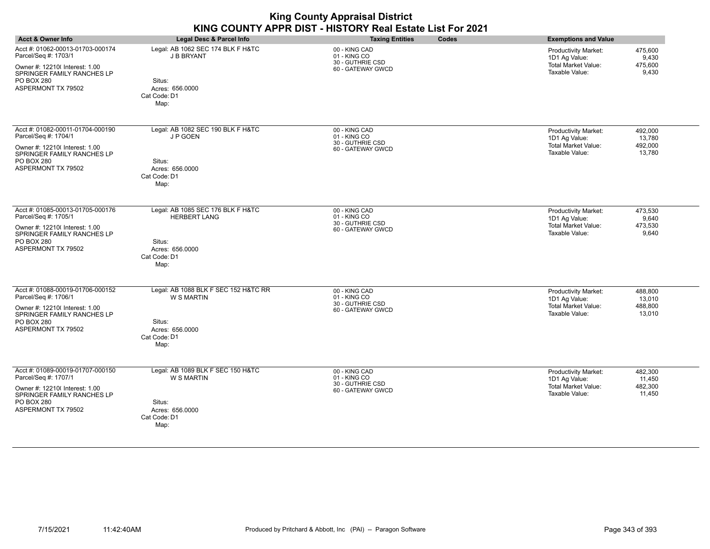| <b>King County Appraisal District</b><br>KING COUNTY APPR DIST - HISTORY Real Estate List For 2021                                                                  |                                                                                                                |                                                                        |       |                                                                                       |                                        |
|---------------------------------------------------------------------------------------------------------------------------------------------------------------------|----------------------------------------------------------------------------------------------------------------|------------------------------------------------------------------------|-------|---------------------------------------------------------------------------------------|----------------------------------------|
| <b>Acct &amp; Owner Info</b>                                                                                                                                        | Legal Desc & Parcel Info                                                                                       | <b>Taxing Entities</b>                                                 | Codes | <b>Exemptions and Value</b>                                                           |                                        |
| Acct #: 01062-00013-01703-000174<br>Parcel/Seq #: 1703/1                                                                                                            | Legal: AB 1062 SEC 174 BLK F H&TC<br>J B BRYANT                                                                | 00 - KING CAD<br>01 - KING CO<br>30 - GUTHRIE CSD                      |       | Productivity Market:<br>1D1 Ag Value:                                                 | 475,600<br>9,430                       |
| Owner #: 12210( Interest: 1.00<br>SPRINGER FAMILY RANCHES LP<br>PO BOX 280<br>ASPERMONT TX 79502                                                                    | Situs:<br>Acres: 656.0000<br>Cat Code: D1<br>Map:                                                              | 60 - GATEWAY GWCD                                                      |       | Total Market Value:<br>Taxable Value:                                                 | 475,600<br>9,430                       |
| Acct #: 01082-00011-01704-000190<br>Parcel/Seq #: 1704/1<br>Owner #: 12210( Interest: 1.00<br>SPRINGER FAMILY RANCHES LP<br>PO BOX 280                              | Legal: AB 1082 SEC 190 BLK F H&TC<br>J P GOEN<br>Situs:                                                        | 00 - KING CAD<br>01 - KING CO<br>30 - GUTHRIE CSD<br>60 - GATEWAY GWCD |       | <b>Productivity Market:</b><br>1D1 Ag Value:<br>Total Market Value:<br>Taxable Value: | 492,000<br>13,780<br>492,000<br>13,780 |
| ASPERMONT TX 79502                                                                                                                                                  | Acres: 656.0000<br>Cat Code: D1<br>Map:                                                                        |                                                                        |       |                                                                                       |                                        |
| Acct #: 01085-00013-01705-000176<br>Parcel/Seq #: 1705/1<br>Owner #: 12210( Interest: 1.00<br>SPRINGER FAMILY RANCHES LP<br><b>PO BOX 280</b><br>ASPERMONT TX 79502 | Legal: AB 1085 SEC 176 BLK F H&TC<br><b>HERBERT LANG</b><br>Situs:<br>Acres: 656.0000<br>Cat Code: D1<br>Map:  | 00 - KING CAD<br>01 - KING CO<br>30 - GUTHRIE CSD<br>60 - GATEWAY GWCD |       | Productivity Market:<br>1D1 Ag Value:<br><b>Total Market Value:</b><br>Taxable Value: | 473,530<br>9,640<br>473,530<br>9,640   |
| Acct #: 01088-00019-01706-000152<br>Parcel/Seq #: 1706/1<br>Owner #: 12210( Interest: 1.00<br>SPRINGER FAMILY RANCHES LP<br>PO BOX 280<br>ASPERMONT TX 79502        | Legal: AB 1088 BLK F SEC 152 H&TC RR<br><b>W S MARTIN</b><br>Situs:<br>Acres: 656.0000<br>Cat Code: D1<br>Map: | 00 - KING CAD<br>01 - KING CO<br>30 - GUTHRIE CSD<br>60 - GATEWAY GWCD |       | Productivity Market:<br>1D1 Ag Value:<br><b>Total Market Value:</b><br>Taxable Value: | 488,800<br>13,010<br>488,800<br>13,010 |
| Acct #: 01089-00019-01707-000150<br>Parcel/Seq #: 1707/1<br>Owner #: 12210( Interest: 1.00<br>SPRINGER FAMILY RANCHES LP<br><b>PO BOX 280</b><br>ASPERMONT TX 79502 | Legal: AB 1089 BLK F SEC 150 H&TC<br><b>W S MARTIN</b><br>Situs:<br>Acres: 656.0000                            | 00 - KING CAD<br>01 - KING CO<br>30 - GUTHRIE CSD<br>60 - GATEWAY GWCD |       | Productivity Market:<br>1D1 Ag Value:<br><b>Total Market Value:</b><br>Taxable Value: | 482,300<br>11,450<br>482,300<br>11,450 |

Acres: 656.0000 Cat Code: D1 Map: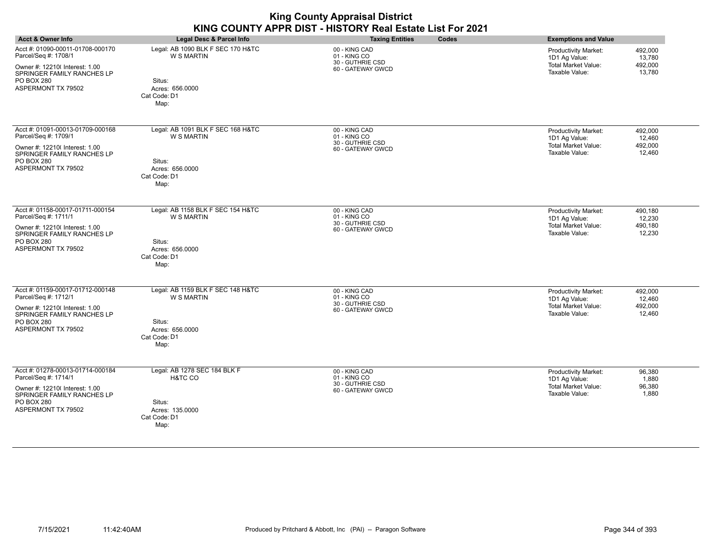|                                                                                                                                                                     |                                                                                                             | <b>King County Appraisal District</b><br>KING COUNTY APPR DIST - HISTORY Real Estate List For 2021 |                                                                                                                                        |
|---------------------------------------------------------------------------------------------------------------------------------------------------------------------|-------------------------------------------------------------------------------------------------------------|----------------------------------------------------------------------------------------------------|----------------------------------------------------------------------------------------------------------------------------------------|
| <b>Acct &amp; Owner Info</b>                                                                                                                                        | Legal Desc & Parcel Info                                                                                    | Codes<br><b>Taxing Entities</b>                                                                    | <b>Exemptions and Value</b>                                                                                                            |
| Acct #: 01090-00011-01708-000170<br>Parcel/Seq #: 1708/1<br>Owner #: 12210( Interest: 1.00<br>SPRINGER FAMILY RANCHES LP<br>PO BOX 280<br>ASPERMONT TX 79502        | Legal: AB 1090 BLK F SEC 170 H&TC<br><b>W S MARTIN</b><br>Situs:<br>Acres: 656,0000<br>Cat Code: D1<br>Map: | 00 - KING CAD<br>01 - KING CO<br>30 - GUTHRIE CSD<br>60 - GATEWAY GWCD                             | 492,000<br><b>Productivity Market:</b><br>1D1 Ag Value:<br>13,780<br><b>Total Market Value:</b><br>492,000<br>Taxable Value:<br>13,780 |
| Acct #: 01091-00013-01709-000168<br>Parcel/Seq #: 1709/1<br>Owner #: 12210( Interest: 1.00<br>SPRINGER FAMILY RANCHES LP<br>PO BOX 280<br>ASPERMONT TX 79502        | Legal: AB 1091 BLK F SEC 168 H&TC<br><b>W S MARTIN</b><br>Situs:<br>Acres: 656,0000<br>Cat Code: D1<br>Map: | 00 - KING CAD<br>01 - KING CO<br>30 - GUTHRIE CSD<br>60 - GATEWAY GWCD                             | <b>Productivity Market:</b><br>492,000<br>1D1 Ag Value:<br>12.460<br>Total Market Value:<br>492,000<br>Taxable Value:<br>12,460        |
| Acct #: 01158-00017-01711-000154<br>Parcel/Seq #: 1711/1<br>Owner #: 12210( Interest: 1.00<br>SPRINGER FAMILY RANCHES LP<br><b>PO BOX 280</b><br>ASPERMONT TX 79502 | Legal: AB 1158 BLK F SEC 154 H&TC<br><b>W S MARTIN</b><br>Situs:<br>Acres: 656.0000<br>Cat Code: D1<br>Map: | 00 - KING CAD<br>01 - KING CO<br>30 - GUTHRIE CSD<br>60 - GATEWAY GWCD                             | <b>Productivity Market:</b><br>490,180<br>1D1 Ag Value:<br>12,230<br><b>Total Market Value:</b><br>490.180<br>Taxable Value:<br>12,230 |
| Acct #: 01159-00017-01712-000148<br>Parcel/Seq #: 1712/1<br>Owner #: 12210( Interest: 1.00<br>SPRINGER FAMILY RANCHES LP<br><b>PO BOX 280</b><br>ASPERMONT TX 79502 | Legal: AB 1159 BLK F SEC 148 H&TC<br><b>W S MARTIN</b><br>Situs:<br>Acres: 656,0000<br>Cat Code: D1<br>Map: | 00 - KING CAD<br>01 - KING CO<br>30 - GUTHRIE CSD<br>60 - GATEWAY GWCD                             | Productivity Market:<br>492,000<br>12,460<br>1D1 Ag Value:<br><b>Total Market Value:</b><br>492,000<br>Taxable Value:<br>12,460        |
| Acct #: 01278-00013-01714-000184<br>Parcel/Seq #: 1714/1<br>Owner #: 12210( Interest: 1.00<br>SPRINGER FAMILY RANCHES LP<br>PO BOX 280<br>ASPERMONT TX 79502        | Legal: AB 1278 SEC 184 BLK F<br>H&TC CO<br>Situs:<br>Acres: 135.0000<br>Cat Code: D1<br>Map:                | 00 - KING CAD<br>01 - KING CO<br>30 - GUTHRIE CSD<br>60 - GATEWAY GWCD                             | <b>Productivity Market:</b><br>96,380<br>1D1 Ag Value:<br>1,880<br><b>Total Market Value:</b><br>96,380<br>Taxable Value:<br>1,880     |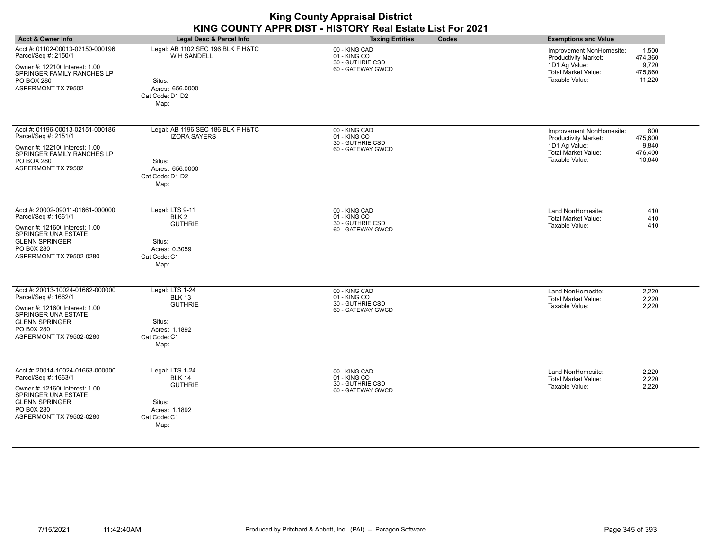| <b>Acct &amp; Owner Info</b>                                                                                                                                                        | <b>Legal Desc &amp; Parcel Info</b>                                                                              | <b>Taxing Entities</b><br>Codes                                        | <b>Exemptions and Value</b>                                                                                                                                         |
|-------------------------------------------------------------------------------------------------------------------------------------------------------------------------------------|------------------------------------------------------------------------------------------------------------------|------------------------------------------------------------------------|---------------------------------------------------------------------------------------------------------------------------------------------------------------------|
| Acct #: 01102-00013-02150-000196<br>Parcel/Seq #: 2150/1<br>Owner #: 12210( Interest: 1.00<br>SPRINGER FAMILY RANCHES LP<br>PO BOX 280<br>ASPERMONT TX 79502                        | Legal: AB 1102 SEC 196 BLK F H&TC<br>W H SANDELL<br>Situs:<br>Acres: 656.0000<br>Cat Code: D1 D2<br>Map:         | 00 - KING CAD<br>01 - KING CO<br>30 - GUTHRIE CSD<br>60 - GATEWAY GWCD | 1,500<br>Improvement NonHomesite:<br><b>Productivity Market:</b><br>474,360<br>9,720<br>1D1 Ag Value:<br>Total Market Value:<br>475,860<br>Taxable Value:<br>11,220 |
| Acct #: 01196-00013-02151-000186<br>Parcel/Seq #: 2151/1<br>Owner #: 12210( Interest: 1.00<br>SPRINGER FAMILY RANCHES LP<br><b>PO BOX 280</b><br>ASPERMONT TX 79502                 | Legal: AB 1196 SEC 186 BLK F H&TC<br><b>IZORA SAYERS</b><br>Situs:<br>Acres: 656.0000<br>Cat Code: D1 D2<br>Map: | 00 - KING CAD<br>01 - KING CO<br>30 - GUTHRIE CSD<br>60 - GATEWAY GWCD | 800<br>Improvement NonHomesite:<br>Productivity Market:<br>475,600<br>1D1 Ag Value:<br>9,840<br>Total Market Value:<br>476,400<br>Taxable Value:<br>10,640          |
| Acct #: 20002-09011-01661-000000<br>Parcel/Seq #: 1661/1<br>Owner #: 12160( Interest: 1.00<br>SPRINGER UNA ESTATE<br><b>GLENN SPRINGER</b><br>PO B0X 280<br>ASPERMONT TX 79502-0280 | Legal: LTS 9-11<br>BLK <sub>2</sub><br><b>GUTHRIE</b><br>Situs:<br>Acres: 0.3059<br>Cat Code: C1<br>Map:         | 00 - KING CAD<br>01 - KING CO<br>30 - GUTHRIE CSD<br>60 - GATEWAY GWCD | Land NonHomesite:<br>410<br><b>Total Market Value:</b><br>410<br>Taxable Value:<br>410                                                                              |
| Acct #: 20013-10024-01662-000000<br>Parcel/Seq #: 1662/1<br>Owner #: 12160( Interest: 1.00<br>SPRINGER UNA ESTATE<br><b>GLENN SPRINGER</b><br>PO B0X 280<br>ASPERMONT TX 79502-0280 | Legal: LTS 1-24<br><b>BLK 13</b><br><b>GUTHRIE</b><br>Situs:<br>Acres: 1.1892<br>Cat Code: C1<br>Map:            | 00 - KING CAD<br>01 - KING CO<br>30 - GUTHRIE CSD<br>60 - GATEWAY GWCD | 2,220<br>Land NonHomesite:<br>2,220<br><b>Total Market Value:</b><br>Taxable Value:<br>2,220                                                                        |
| Acct #: 20014-10024-01663-000000<br>Parcel/Seq #: 1663/1<br>Owner #: 12160( Interest: 1.00<br>SPRINGER UNA ESTATE<br><b>GLENN SPRINGER</b><br>PO B0X 280<br>ASPERMONT TX 79502-0280 | Legal: LTS 1-24<br><b>BLK 14</b><br><b>GUTHRIE</b><br>Situs:<br>Acres: 1.1892<br>Cat Code: C1<br>Map:            | 00 - KING CAD<br>01 - KING CO<br>30 - GUTHRIE CSD<br>60 - GATEWAY GWCD | Land NonHomesite:<br>2,220<br>2,220<br><b>Total Market Value:</b><br>Taxable Value:<br>2,220                                                                        |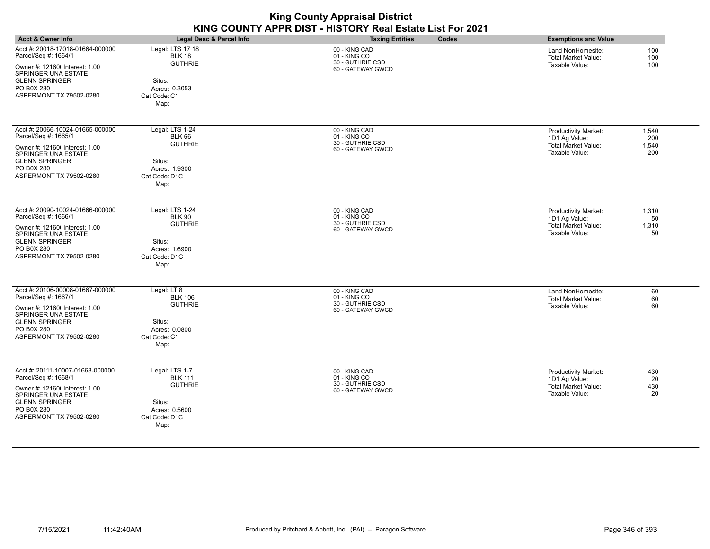|                                                                                                                                                                                     |                                                                                                        | <b>King County Appraisal District</b><br>KING COUNTY APPR DIST - HISTORY Real Estate List For 2021 |                                                                                                                       |
|-------------------------------------------------------------------------------------------------------------------------------------------------------------------------------------|--------------------------------------------------------------------------------------------------------|----------------------------------------------------------------------------------------------------|-----------------------------------------------------------------------------------------------------------------------|
| <b>Acct &amp; Owner Info</b>                                                                                                                                                        | <b>Legal Desc &amp; Parcel Info</b>                                                                    | <b>Taxing Entities</b><br>Codes                                                                    | <b>Exemptions and Value</b>                                                                                           |
| Acct #: 20018-17018-01664-000000<br>Parcel/Seq #: 1664/1<br>Owner #: 12160( Interest: 1.00<br>SPRINGER UNA ESTATE<br><b>GLENN SPRINGER</b><br>PO B0X 280<br>ASPERMONT TX 79502-0280 | Legal: LTS 17 18<br><b>BLK 18</b><br><b>GUTHRIE</b><br>Situs:<br>Acres: 0.3053<br>Cat Code: C1<br>Map: | 00 - KING CAD<br>01 - KING CO<br>30 - GUTHRIE CSD<br>60 - GATEWAY GWCD                             | Land NonHomesite:<br>100<br><b>Total Market Value:</b><br>100<br>Taxable Value:<br>100                                |
| Acct #: 20066-10024-01665-000000<br>Parcel/Seq #: 1665/1<br>Owner #: 12160(Interest: 1.00<br>SPRINGER UNA ESTATE<br><b>GLENN SPRINGER</b><br>PO B0X 280<br>ASPERMONT TX 79502-0280  | Legal: LTS 1-24<br><b>BLK 66</b><br><b>GUTHRIE</b><br>Situs:<br>Acres: 1.9300<br>Cat Code: D1C<br>Map: | 00 - KING CAD<br>01 - KING CO<br>30 - GUTHRIE CSD<br>60 - GATEWAY GWCD                             | 1,540<br>Productivity Market:<br>1D1 Ag Value:<br>200<br><b>Total Market Value:</b><br>1,540<br>Taxable Value:<br>200 |
| Acct #: 20090-10024-01666-000000<br>Parcel/Seq #: 1666/1<br>Owner #: 12160( Interest: 1.00<br>SPRINGER UNA ESTATE<br><b>GLENN SPRINGER</b><br>PO B0X 280<br>ASPERMONT TX 79502-0280 | Legal: LTS 1-24<br><b>BLK 90</b><br><b>GUTHRIE</b><br>Situs:<br>Acres: 1.6900<br>Cat Code: D1C<br>Map: | 00 - KING CAD<br>01 - KING CO<br>30 - GUTHRIE CSD<br>60 - GATEWAY GWCD                             | Productivity Market:<br>1,310<br>1D1 Ag Value:<br>50<br><b>Total Market Value:</b><br>1,310<br>Taxable Value:<br>50   |
| Acct #: 20106-00008-01667-000000<br>Parcel/Seq #: 1667/1<br>Owner #: 12160( Interest: 1.00<br>SPRINGER UNA ESTATE<br><b>GLENN SPRINGER</b><br>PO B0X 280<br>ASPERMONT TX 79502-0280 | Legal: LT 8<br><b>BLK 106</b><br><b>GUTHRIE</b><br>Situs:<br>Acres: 0.0800<br>Cat Code: C1<br>Map:     | 00 - KING CAD<br>01 - KING CO<br>30 - GUTHRIE CSD<br>60 - GATEWAY GWCD                             | Land NonHomesite:<br>60<br>Total Market Value:<br>60<br>Taxable Value:<br>60                                          |
| Acct #: 20111-10007-01668-000000<br>Parcel/Seq #: 1668/1<br>Owner #: 12160( Interest: 1.00<br>SPRINGER UNA ESTATE<br><b>GLENN SPRINGER</b><br>PO B0X 280<br>ASPERMONT TX 79502-0280 | Legal: LTS 1-7<br><b>BLK 111</b><br><b>GUTHRIE</b><br>Situs:<br>Acres: 0.5600<br>Cat Code: D1C<br>Map: | 00 - KING CAD<br>01 - KING CO<br>30 - GUTHRIE CSD<br>60 - GATEWAY GWCD                             | Productivity Market:<br>430<br>1D1 Ag Value:<br>20<br><b>Total Market Value:</b><br>430<br>Taxable Value:<br>20       |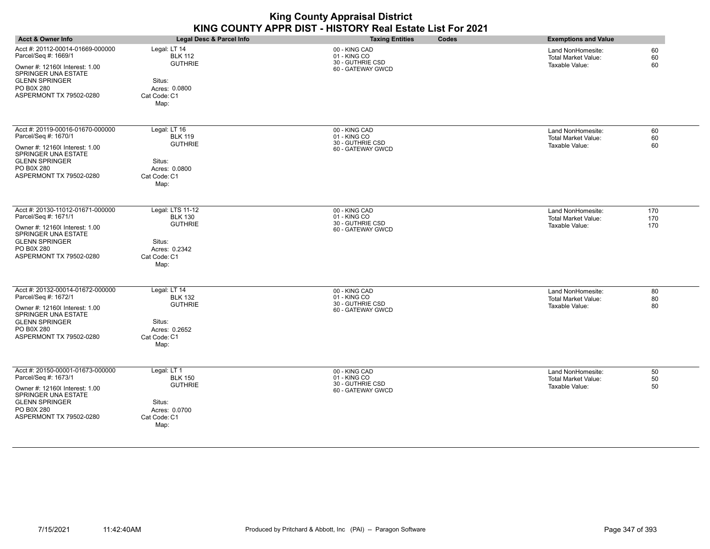|                                                                                             | KING COUNTY APPR DIST - HISTORY Real Estate List For 2021 |                                        |                                                 |            |  |  |
|---------------------------------------------------------------------------------------------|-----------------------------------------------------------|----------------------------------------|-------------------------------------------------|------------|--|--|
| <b>Acct &amp; Owner Info</b>                                                                | <b>Legal Desc &amp; Parcel Info</b>                       | <b>Taxing Entities</b><br><b>Codes</b> | <b>Exemptions and Value</b>                     |            |  |  |
| Acct #: 20112-00014-01669-000000<br>Parcel/Seq #: 1669/1                                    | Legal: LT 14<br><b>BLK 112</b>                            | 00 - KING CAD<br>01 - KING CO          | Land NonHomesite:<br><b>Total Market Value:</b> | 60<br>60   |  |  |
| Owner #: 12160( Interest: 1.00<br>SPRINGER UNA ESTATE<br><b>GLENN SPRINGER</b>              | <b>GUTHRIE</b><br>Situs:                                  | 30 - GUTHRIE CSD<br>60 - GATEWAY GWCD  | Taxable Value:                                  | 60         |  |  |
| PO B0X 280<br>ASPERMONT TX 79502-0280                                                       | Acres: 0.0800<br>Cat Code: C1<br>Map:                     |                                        |                                                 |            |  |  |
| Acct #: 20119-00016-01670-000000<br>Parcel/Seq #: 1670/1                                    | Legal: LT 16<br><b>BLK 119</b>                            | 00 - KING CAD<br>01 - KING CO          | Land NonHomesite:<br>Total Market Value:        | 60<br>60   |  |  |
| Owner #: 12160(Interest: 1.00<br>SPRINGER UNA ESTATE<br><b>GLENN SPRINGER</b><br>PO B0X 280 | <b>GUTHRIE</b><br>Situs:<br>Acres: 0.0800                 | 30 - GUTHRIE CSD<br>60 - GATEWAY GWCD  | Taxable Value:                                  | 60         |  |  |
| ASPERMONT TX 79502-0280                                                                     | Cat Code: C1<br>Map:                                      |                                        |                                                 |            |  |  |
| Acct #: 20130-11012-01671-000000<br>Parcel/Seq #: 1671/1                                    | Legal: LTS 11-12<br><b>BLK 130</b>                        | 00 - KING CAD<br>01 - KING CO          | Land NonHomesite:<br><b>Total Market Value:</b> | 170<br>170 |  |  |
| Owner #: 12160( Interest: 1.00<br><b>SPRINGER UNA ESTATE</b><br><b>GLENN SPRINGER</b>       | <b>GUTHRIE</b><br>Situs:                                  | 30 - GUTHRIE CSD<br>60 - GATEWAY GWCD  | Taxable Value:                                  | 170        |  |  |
| PO B0X 280<br>ASPERMONT TX 79502-0280                                                       | Acres: 0.2342<br>Cat Code: C1<br>Map:                     |                                        |                                                 |            |  |  |
| Acct #: 20132-00014-01672-000000<br>Parcel/Seq #: 1672/1                                    | Legal: LT 14<br><b>BLK 132</b>                            | 00 - KING CAD<br>01 - KING CO          | Land NonHomesite:<br><b>Total Market Value:</b> | 80<br>80   |  |  |
| Owner #: 12160( Interest: 1.00<br>SPRINGER UNA ESTATE<br><b>GLENN SPRINGER</b>              | <b>GUTHRIE</b><br>Situs:                                  | 30 - GUTHRIE CSD<br>60 - GATEWAY GWCD  | Taxable Value:                                  | 80         |  |  |
| PO B0X 280<br>ASPERMONT TX 79502-0280                                                       | Acres: 0.2652<br>Cat Code: C1<br>Map:                     |                                        |                                                 |            |  |  |
| Acct #: 20150-00001-01673-000000<br>Parcel/Seq #: 1673/1                                    | Legal: LT 1<br><b>BLK 150</b>                             | 00 - KING CAD<br>01 - KING CO          | Land NonHomesite:<br><b>Total Market Value:</b> | 50<br>50   |  |  |
| Owner #: 12160( Interest: 1.00<br>SPRINGER UNA ESTATE                                       | <b>GUTHRIE</b>                                            | 30 - GUTHRIE CSD<br>60 - GATEWAY GWCD  | Taxable Value:                                  | 50         |  |  |
| <b>GLENN SPRINGER</b><br>PO B0X 280<br>ASPERMONT TX 79502-0280                              | Situs:<br>Acres: 0.0700<br>Cat Code: C1                   |                                        |                                                 |            |  |  |
|                                                                                             | Map:                                                      |                                        |                                                 |            |  |  |

**King County Appraisal District**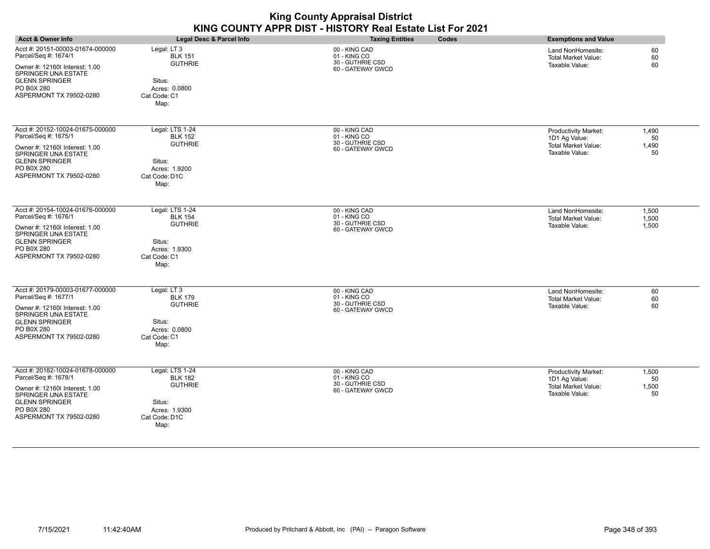| <b>King County Appraisal District</b><br>KING COUNTY APPR DIST - HISTORY Real Estate List For 2021                                                                                  |                                                                                                         |                                                                        |       |                                                                                       |                            |
|-------------------------------------------------------------------------------------------------------------------------------------------------------------------------------------|---------------------------------------------------------------------------------------------------------|------------------------------------------------------------------------|-------|---------------------------------------------------------------------------------------|----------------------------|
| <b>Acct &amp; Owner Info</b>                                                                                                                                                        | <b>Legal Desc &amp; Parcel Info</b>                                                                     | <b>Taxing Entities</b>                                                 | Codes | <b>Exemptions and Value</b>                                                           |                            |
| Acct #: 20151-00003-01674-000000<br>Parcel/Seq #: 1674/1<br>Owner #: 12160(Interest: 1.00<br>SPRINGER UNA ESTATE<br><b>GLENN SPRINGER</b><br>PO B0X 280<br>ASPERMONT TX 79502-0280  | Legal: LT 3<br><b>BLK 151</b><br><b>GUTHRIE</b><br>Situs:<br>Acres: 0.0800<br>Cat Code: C1<br>Map:      | 00 - KING CAD<br>01 - KING CO<br>30 - GUTHRIE CSD<br>60 - GATEWAY GWCD |       | Land NonHomesite:<br><b>Total Market Value:</b><br>Taxable Value:                     | 60<br>60<br>60             |
| Acct #: 20152-10024-01675-000000<br>Parcel/Seq #: 1675/1<br>Owner #: 12160( Interest: 1.00<br>SPRINGER UNA ESTATE<br><b>GLENN SPRINGER</b><br>PO B0X 280<br>ASPERMONT TX 79502-0280 | Legal: LTS 1-24<br><b>BLK 152</b><br><b>GUTHRIE</b><br>Situs:<br>Acres: 1.9200<br>Cat Code: D1C<br>Map: | 00 - KING CAD<br>01 - KING CO<br>30 - GUTHRIE CSD<br>60 - GATEWAY GWCD |       | Productivity Market:<br>1D1 Ag Value:<br><b>Total Market Value:</b><br>Taxable Value: | 1,490<br>50<br>1,490<br>50 |
| Acct #: 20154-10024-01676-000000<br>Parcel/Seq #: 1676/1<br>Owner #: 12160( Interest: 1.00<br>SPRINGER UNA ESTATE<br><b>GLENN SPRINGER</b><br>PO B0X 280<br>ASPERMONT TX 79502-0280 | Legal: LTS 1-24<br><b>BLK 154</b><br><b>GUTHRIE</b><br>Situs:<br>Acres: 1.9300<br>Cat Code: C1<br>Map:  | 00 - KING CAD<br>01 - KING CO<br>30 - GUTHRIE CSD<br>60 - GATEWAY GWCD |       | Land NonHomesite:<br><b>Total Market Value:</b><br>Taxable Value:                     | 1.500<br>1,500<br>1,500    |
| Acct #: 20179-00003-01677-000000<br>Parcel/Seq #: 1677/1<br>Owner #: 12160(Interest: 1.00<br>SPRINGER UNA ESTATE<br><b>GLENN SPRINGER</b><br>PO B0X 280<br>ASPERMONT TX 79502-0280  | Legal: LT 3<br><b>BLK 179</b><br><b>GUTHRIE</b><br>Situs:<br>Acres: 0.0800<br>Cat Code: C1<br>Map:      | 00 - KING CAD<br>01 - KING CO<br>30 - GUTHRIE CSD<br>60 - GATEWAY GWCD |       | Land NonHomesite:<br><b>Total Market Value:</b><br>Taxable Value:                     | 60<br>60<br>60             |
| Acct #: 20182-10024-01678-000000<br>Parcel/Seq #: 1678/1<br>Owner #: 12160( Interest: 1.00<br>SPRINGER UNA ESTATE<br><b>GLENN SPRINGER</b><br>PO B0X 280<br>ASPERMONT TX 79502-0280 | Legal: LTS 1-24<br><b>BLK 182</b><br><b>GUTHRIE</b><br>Situs:<br>Acres: 1.9300<br>Cat Code: D1C         | 00 - KING CAD<br>01 - KING CO<br>30 - GUTHRIE CSD<br>60 - GATEWAY GWCD |       | Productivity Market:<br>1D1 Ag Value:<br><b>Total Market Value:</b><br>Taxable Value: | 1,500<br>50<br>1,500<br>50 |

Cat Code: D1C Map: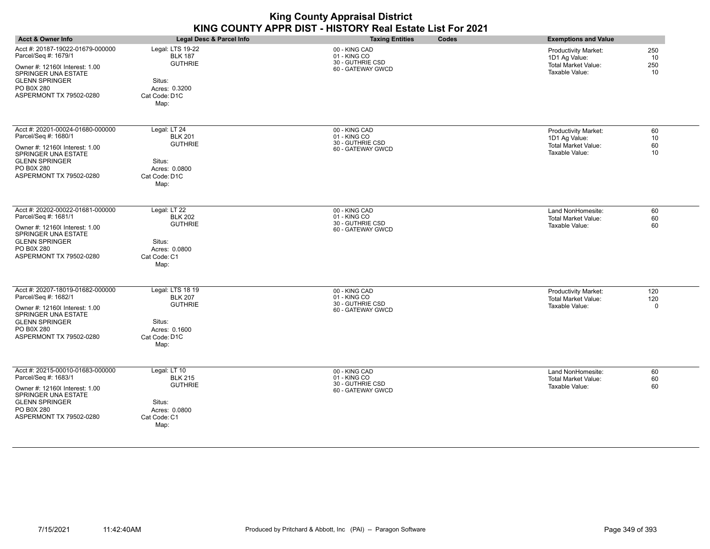| <b>Acct &amp; Owner Info</b>                                                                                                                                                        | Legal Desc & Parcel Info                                                                                 | <b>Taxing Entities</b><br>Codes                                        | <b>Exemptions and Value</b>                                                                                     |
|-------------------------------------------------------------------------------------------------------------------------------------------------------------------------------------|----------------------------------------------------------------------------------------------------------|------------------------------------------------------------------------|-----------------------------------------------------------------------------------------------------------------|
| Acct #: 20187-19022-01679-000000<br>Parcel/Seq #: 1679/1<br>Owner #: 12160( Interest: 1.00<br>SPRINGER UNA ESTATE<br><b>GLENN SPRINGER</b><br>PO B0X 280<br>ASPERMONT TX 79502-0280 | Legal: LTS 19-22<br><b>BLK 187</b><br><b>GUTHRIE</b><br>Situs:<br>Acres: 0.3200<br>Cat Code: D1C<br>Map: | 00 - KING CAD<br>01 - KING CO<br>30 - GUTHRIE CSD<br>60 - GATEWAY GWCD | <b>Productivity Market:</b><br>250<br>1D1 Ag Value:<br>10<br>Total Market Value:<br>250<br>Taxable Value:<br>10 |
| Acct #: 20201-00024-01680-000000<br>Parcel/Seq #: 1680/1<br>Owner #: 12160( Interest: 1.00<br>SPRINGER UNA ESTATE<br><b>GLENN SPRINGER</b><br>PO B0X 280<br>ASPERMONT TX 79502-0280 | Legal: LT 24<br><b>BLK 201</b><br><b>GUTHRIE</b><br>Situs:<br>Acres: 0.0800<br>Cat Code: D1C<br>Map:     | 00 - KING CAD<br>01 - KING CO<br>30 - GUTHRIE CSD<br>60 - GATEWAY GWCD | 60<br><b>Productivity Market:</b><br>1D1 Ag Value:<br>10<br>Total Market Value:<br>60<br>Taxable Value:<br>10   |
| Acct #: 20202-00022-01681-000000<br>Parcel/Seq #: 1681/1<br>Owner #: 12160( Interest: 1.00<br>SPRINGER UNA ESTATE<br><b>GLENN SPRINGER</b><br>PO B0X 280<br>ASPERMONT TX 79502-0280 | Legal: LT 22<br><b>BLK 202</b><br><b>GUTHRIE</b><br>Situs:<br>Acres: 0.0800<br>Cat Code: C1<br>Map:      | 00 - KING CAD<br>01 - KING CO<br>30 - GUTHRIE CSD<br>60 - GATEWAY GWCD | Land NonHomesite:<br>60<br>60<br><b>Total Market Value:</b><br>60<br>Taxable Value:                             |
| Acct #: 20207-18019-01682-000000<br>Parcel/Seq #: 1682/1<br>Owner #: 12160( Interest: 1.00<br>SPRINGER UNA ESTATE<br><b>GLENN SPRINGER</b><br>PO B0X 280<br>ASPERMONT TX 79502-0280 | Legal: LTS 18 19<br><b>BLK 207</b><br><b>GUTHRIE</b><br>Situs:<br>Acres: 0.1600<br>Cat Code: D1C<br>Map: | 00 - KING CAD<br>01 - KING CO<br>30 - GUTHRIE CSD<br>60 - GATEWAY GWCD | 120<br>Productivity Market:<br>Total Market Value:<br>120<br>Taxable Value:<br>0                                |
| Acct #: 20215-00010-01683-000000<br>Parcel/Seq #: 1683/1<br>Owner #: 12160( Interest: 1.00<br>SPRINGER UNA ESTATE<br><b>GLENN SPRINGER</b><br>PO B0X 280<br>ASPERMONT TX 79502-0280 | Legal: LT 10<br><b>BLK 215</b><br><b>GUTHRIE</b><br>Situs:<br>Acres: 0.0800<br>Cat Code: C1<br>Map:      | 00 - KING CAD<br>01 - KING CO<br>30 - GUTHRIE CSD<br>60 - GATEWAY GWCD | Land NonHomesite:<br>60<br><b>Total Market Value:</b><br>60<br>Taxable Value:<br>60                             |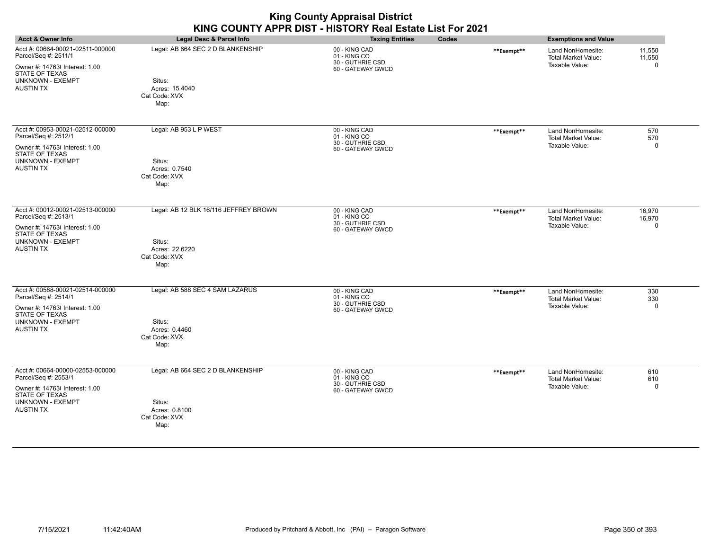| <b>Acct &amp; Owner Info</b>                                                                                                                                       | <b>Legal Desc &amp; Parcel Info</b>                                                        | <b>Taxing Entities</b><br>Codes                                        |            | <b>Exemptions and Value</b>                                                                       |
|--------------------------------------------------------------------------------------------------------------------------------------------------------------------|--------------------------------------------------------------------------------------------|------------------------------------------------------------------------|------------|---------------------------------------------------------------------------------------------------|
| Acct #: 00664-00021-02511-000000<br>Parcel/Seq #: 2511/1<br>Owner #: 14763( Interest: 1.00<br>STATE OF TEXAS<br><b>UNKNOWN - EXEMPT</b><br><b>AUSTIN TX</b>        | Legal: AB 664 SEC 2 D BLANKENSHIP<br>Situs:<br>Acres: 15.4040<br>Cat Code: XVX<br>Map:     | 00 - KING CAD<br>01 - KING CO<br>30 - GUTHRIE CSD<br>60 - GATEWAY GWCD | **Exempt** | Land NonHomesite:<br>11,550<br>11,550<br><b>Total Market Value:</b><br>Taxable Value:<br>$\Omega$ |
| Acct #: 00953-00021-02512-000000<br>Parcel/Seq #: 2512/1<br>Owner #: 14763( Interest: 1.00<br><b>STATE OF TEXAS</b><br><b>UNKNOWN - EXEMPT</b><br><b>AUSTIN TX</b> | Legal: AB 953 L P WEST<br>Situs:<br>Acres: 0.7540<br>Cat Code: XVX<br>Map:                 | 00 - KING CAD<br>01 - KING CO<br>30 - GUTHRIE CSD<br>60 - GATEWAY GWCD | **Exempt** | Land NonHomesite:<br>570<br>570<br><b>Total Market Value:</b><br>Taxable Value:<br>$\Omega$       |
| Acct #: 00012-00021-02513-000000<br>Parcel/Seq #: 2513/1<br>Owner #: 14763(Interest: 1.00<br>STATE OF TEXAS<br>UNKNOWN - EXEMPT<br><b>AUSTIN TX</b>                | Legal: AB 12 BLK 16/116 JEFFREY BROWN<br>Situs:<br>Acres: 22.6220<br>Cat Code: XVX<br>Map: | 00 - KING CAD<br>01 - KING CO<br>30 - GUTHRIE CSD<br>60 - GATEWAY GWCD | **Exempt** | 16,970<br>Land NonHomesite:<br>16,970<br><b>Total Market Value:</b><br>Taxable Value:<br>0        |
| Acct #: 00588-00021-02514-000000<br>Parcel/Seq #: 2514/1<br>Owner #: 14763( Interest: 1.00<br>STATE OF TEXAS<br><b>UNKNOWN - EXEMPT</b><br><b>AUSTIN TX</b>        | Legal: AB 588 SEC 4 SAM LAZARUS<br>Situs:<br>Acres: 0.4460<br>Cat Code: XVX<br>Map:        | 00 - KING CAD<br>01 - KING CO<br>30 - GUTHRIE CSD<br>60 - GATEWAY GWCD | **Exempt** | 330<br>Land NonHomesite:<br><b>Total Market Value:</b><br>330<br>Taxable Value:<br>$\mathbf 0$    |
| Acct #: 00664-00000-02553-000000<br>Parcel/Seq #: 2553/1<br>Owner #: 14763(Interest: 1.00<br>STATE OF TEXAS<br><b>UNKNOWN - EXEMPT</b><br><b>AUSTIN TX</b>         | Legal: AB 664 SEC 2 D BLANKENSHIP<br>Situs:<br>Acres: 0.8100<br>Cat Code: XVX<br>Map:      | 00 - KING CAD<br>01 - KING CO<br>30 - GUTHRIE CSD<br>60 - GATEWAY GWCD | **Exempt** | Land NonHomesite:<br>610<br><b>Total Market Value:</b><br>610<br>Taxable Value:<br>$\Omega$       |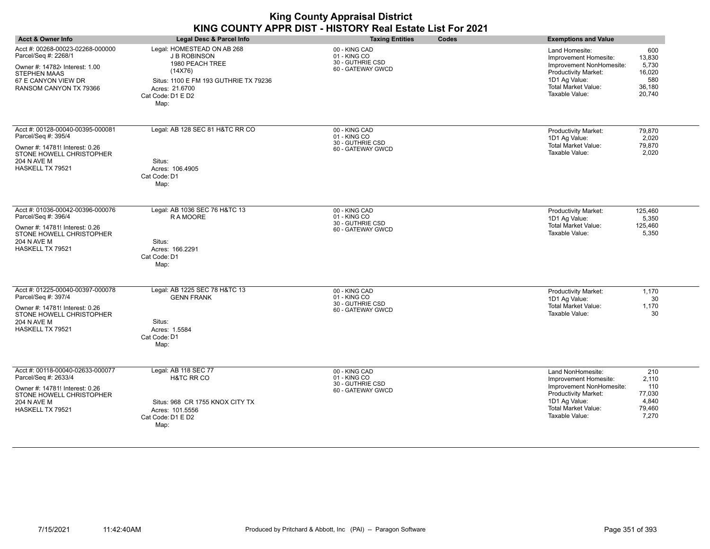| <b>Acct &amp; Owner Info</b>                                                                                                                                       | Legal Desc & Parcel Info                                                                                                                                                | <b>Taxing Entities</b>                                                 | Codes | <b>Exemptions and Value</b>                                                                                                                                            |                                                             |
|--------------------------------------------------------------------------------------------------------------------------------------------------------------------|-------------------------------------------------------------------------------------------------------------------------------------------------------------------------|------------------------------------------------------------------------|-------|------------------------------------------------------------------------------------------------------------------------------------------------------------------------|-------------------------------------------------------------|
| Acct #: 00268-00023-02268-000000<br>Parcel/Seq #: 2268/1<br>Owner #: 147824 Interest: 1.00<br><b>STEPHEN MAAS</b><br>67 E CANYON VIEW DR<br>RANSOM CANYON TX 79366 | Legal: HOMESTEAD ON AB 268<br><b>J B ROBINSON</b><br>1980 PEACH TREE<br>(14X76)<br>Situs: 1100 E FM 193 GUTHRIE TX 79236<br>Acres: 21.6700<br>Cat Code: D1 E D2<br>Map: | 00 - KING CAD<br>01 - KING CO<br>30 - GUTHRIE CSD<br>60 - GATEWAY GWCD |       | Land Homesite:<br>Improvement Homesite:<br>Improvement NonHomesite:<br>Productivity Market:<br>1D1 Ag Value:<br><b>Total Market Value:</b><br>Taxable Value:           | 600<br>13,830<br>5,730<br>16,020<br>580<br>36,180<br>20,740 |
| Acct #: 00128-00040-00395-000081<br>Parcel/Seq #: 395/4<br>Owner #: 14781! Interest: 0.26<br>STONE HOWELL CHRISTOPHER<br>204 N AVE M<br>HASKELL TX 79521           | Legal: AB 128 SEC 81 H&TC RR CO<br>Situs:<br>Acres: 106.4905<br>Cat Code: D1<br>Map:                                                                                    | 00 - KING CAD<br>01 - KING CO<br>30 - GUTHRIE CSD<br>60 - GATEWAY GWCD |       | <b>Productivity Market:</b><br>1D1 Ag Value:<br><b>Total Market Value:</b><br>Taxable Value:                                                                           | 79,870<br>2,020<br>79,870<br>2,020                          |
| Acct #: 01036-00042-00396-000076<br>Parcel/Seq #: 396/4<br>Owner #: 14781! Interest: 0.26<br>STONE HOWELL CHRISTOPHER<br>204 N AVE M<br>HASKELL TX 79521           | Legal: AB 1036 SEC 76 H&TC 13<br>R A MOORE<br>Situs:<br>Acres: 166.2291<br>Cat Code: D1<br>Map:                                                                         | 00 - KING CAD<br>01 - KING CO<br>30 - GUTHRIE CSD<br>60 - GATEWAY GWCD |       | <b>Productivity Market:</b><br>1D1 Ag Value:<br><b>Total Market Value:</b><br>Taxable Value:                                                                           | 125,460<br>5,350<br>125,460<br>5,350                        |
| Acct #: 01225-00040-00397-000078<br>Parcel/Seq #: 397/4<br>Owner #: 14781! Interest: 0.26<br>STONE HOWELL CHRISTOPHER<br>204 N AVE M<br>HASKELL TX 79521           | Legal: AB 1225 SEC 78 H&TC 13<br><b>GENN FRANK</b><br>Situs:<br>Acres: 1.5584<br>Cat Code: D1<br>Map:                                                                   | 00 - KING CAD<br>01 - KING CO<br>30 - GUTHRIE CSD<br>60 - GATEWAY GWCD |       | Productivity Market:<br>1D1 Ag Value:<br><b>Total Market Value:</b><br>Taxable Value:                                                                                  | 1,170<br>30<br>1,170<br>30                                  |
| Acct #: 00118-00040-02633-000077<br>Parcel/Seq #: 2633/4<br>Owner #: 147819 Interest: 0.26<br>STONE HOWELL CHRISTOPHER<br>204 N AVE M<br>HASKELL TX 79521          | Legal: AB 118 SEC 77<br><b>H&amp;TC RR CO</b><br>Situs: 968 CR 1755 KNOX CITY TX<br>Acres: 101.5556<br>Cat Code: D1 E D2<br>Map:                                        | 00 - KING CAD<br>01 - KING CO<br>30 - GUTHRIE CSD<br>60 - GATEWAY GWCD |       | Land NonHomesite:<br>Improvement Homesite:<br>Improvement NonHomesite:<br><b>Productivity Market:</b><br>1D1 Ag Value:<br><b>Total Market Value:</b><br>Taxable Value: | 210<br>2,110<br>110<br>77,030<br>4,840<br>79,460<br>7,270   |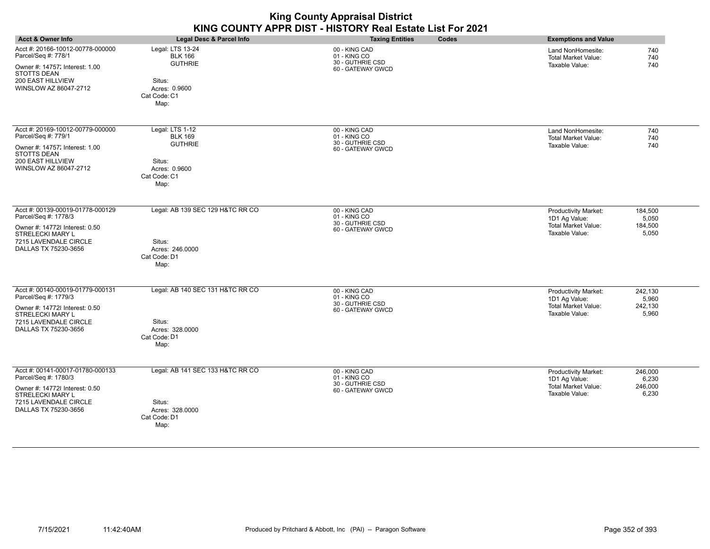|                                                                                                                                                                 |                                                                                                         | <b>King County Appraisal District</b><br>KING COUNTY APPR DIST - HISTORY Real Estate List For 2021 |                                                                                                                                      |
|-----------------------------------------------------------------------------------------------------------------------------------------------------------------|---------------------------------------------------------------------------------------------------------|----------------------------------------------------------------------------------------------------|--------------------------------------------------------------------------------------------------------------------------------------|
| <b>Acct &amp; Owner Info</b>                                                                                                                                    | Legal Desc & Parcel Info                                                                                | Codes<br><b>Taxing Entities</b>                                                                    | <b>Exemptions and Value</b>                                                                                                          |
| Acct #: 20166-10012-00778-000000<br>Parcel/Seq #: 778/1<br>Owner #: 14757; Interest: 1.00<br>STOTTS DEAN<br><b>200 EAST HILLVIEW</b><br>WINSLOW AZ 86047-2712   | Legal: LTS 13-24<br><b>BLK 166</b><br><b>GUTHRIE</b><br>Situs:<br>Acres: 0.9600<br>Cat Code: C1<br>Map: | 00 - KING CAD<br>01 - KING CO<br>30 - GUTHRIE CSD<br>60 - GATEWAY GWCD                             | Land NonHomesite:<br>740<br>740<br><b>Total Market Value:</b><br>740<br>Taxable Value:                                               |
| Acct #: 20169-10012-00779-000000<br>Parcel/Seq #: 779/1<br>Owner #: 14757; Interest: 1.00<br><b>STOTTS DEAN</b><br>200 EAST HILLVIEW<br>WINSLOW AZ 86047-2712   | Legal: LTS 1-12<br><b>BLK 169</b><br><b>GUTHRIE</b><br>Situs:<br>Acres: 0.9600<br>Cat Code: C1<br>Map:  | 00 - KING CAD<br>01 - KING CO<br>30 - GUTHRIE CSD<br>60 - GATEWAY GWCD                             | Land NonHomesite:<br>740<br>740<br><b>Total Market Value:</b><br>740<br>Taxable Value:                                               |
| Acct #: 00139-00019-01778-000129<br>Parcel/Seq #: 1778/3<br>Owner #: 147728 Interest: 0.50<br>STRELECKI MARY L<br>7215 LAVENDALE CIRCLE<br>DALLAS TX 75230-3656 | Legal: AB 139 SEC 129 H&TC RR CO<br>Situs:<br>Acres: 246.0000<br>Cat Code: D1<br>Map:                   | 00 - KING CAD<br>01 - KING CO<br>30 - GUTHRIE CSD<br>60 - GATEWAY GWCD                             | <b>Productivity Market:</b><br>184,500<br>1D1 Ag Value:<br>5,050<br><b>Total Market Value:</b><br>184,500<br>Taxable Value:<br>5,050 |
| Acct #: 00140-00019-01779-000131<br>Parcel/Seq #: 1779/3<br>Owner #: 147728 Interest: 0.50<br>STRELECKI MARY L<br>7215 LAVENDALE CIRCLE<br>DALLAS TX 75230-3656 | Legal: AB 140 SEC 131 H&TC RR CO<br>Situs:<br>Acres: 328.0000<br>Cat Code: D1<br>Map:                   | 00 - KING CAD<br>01 - KING CO<br>30 - GUTHRIE CSD<br>60 - GATEWAY GWCD                             | Productivity Market:<br>242,130<br>1D1 Ag Value:<br>5,960<br>Total Market Value:<br>242,130<br>Taxable Value:<br>5,960               |
| Acct #: 00141-00017-01780-000133<br>Parcel/Seq #: 1780/3<br>Owner #: 147728 Interest: 0.50<br>STRELECKI MARY L<br>7215 LAVENDALE CIRCLE<br>DALLAS TX 75230-3656 | Legal: AB 141 SEC 133 H&TC RR CO<br>Situs:<br>Acres: 328.0000<br>Cat Code: D1<br>Map:                   | 00 - KING CAD<br>01 - KING CO<br>30 - GUTHRIE CSD<br>60 - GATEWAY GWCD                             | <b>Productivity Market:</b><br>246,000<br>1D1 Ag Value:<br>6,230<br><b>Total Market Value:</b><br>246,000<br>Taxable Value:<br>6,230 |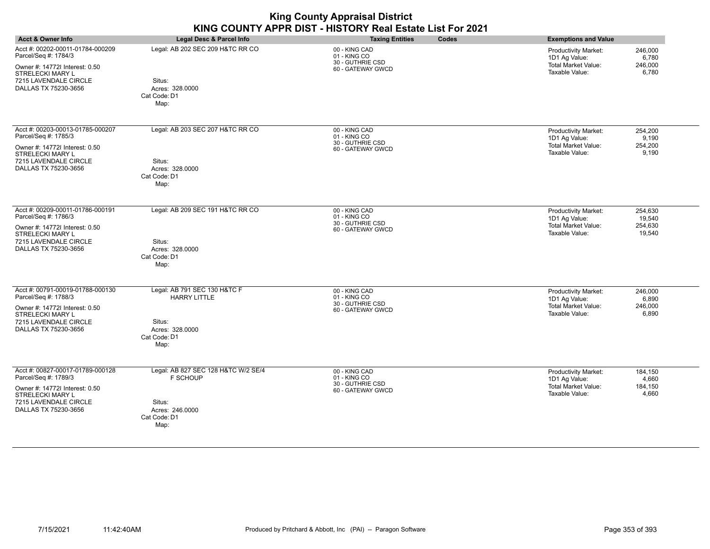| <b>Acct &amp; Owner Info</b>                                                                                                                                           | Legal Desc & Parcel Info                                                                                 | <b>Taxing Entities</b><br>Codes                                        | <b>Exemptions and Value</b>                                                                                                          |
|------------------------------------------------------------------------------------------------------------------------------------------------------------------------|----------------------------------------------------------------------------------------------------------|------------------------------------------------------------------------|--------------------------------------------------------------------------------------------------------------------------------------|
| Acct #: 00202-00011-01784-000209<br>Parcel/Seq #: 1784/3<br>Owner #: 147728 Interest: 0.50<br><b>STRELECKI MARY L</b><br>7215 LAVENDALE CIRCLE<br>DALLAS TX 75230-3656 | Legal: AB 202 SEC 209 H&TC RR CO<br>Situs:<br>Acres: 328.0000<br>Cat Code: D1<br>Map:                    | 00 - KING CAD<br>01 - KING CO<br>30 - GUTHRIE CSD<br>60 - GATEWAY GWCD | 246,000<br><b>Productivity Market:</b><br>1D1 Ag Value:<br>6,780<br><b>Total Market Value:</b><br>246,000<br>Taxable Value:<br>6,780 |
| Acct #: 00203-00013-01785-000207<br>Parcel/Seq #: 1785/3<br>Owner #: 147728 Interest: 0.50<br><b>STRELECKI MARY L</b><br>7215 LAVENDALE CIRCLE<br>DALLAS TX 75230-3656 | Legal: AB 203 SEC 207 H&TC RR CO<br>Situs:<br>Acres: 328.0000<br>Cat Code: D1<br>Map:                    | 00 - KING CAD<br>01 - KING CO<br>30 - GUTHRIE CSD<br>60 - GATEWAY GWCD | 254,200<br><b>Productivity Market:</b><br>1D1 Ag Value:<br>9,190<br>Total Market Value:<br>254,200<br>Taxable Value:<br>9,190        |
| Acct #: 00209-00011-01786-000191<br>Parcel/Seq #: 1786/3<br>Owner #: 147728 Interest: 0.50<br>STRELECKI MARY L<br>7215 LAVENDALE CIRCLE<br>DALLAS TX 75230-3656        | Legal: AB 209 SEC 191 H&TC RR CO<br>Situs:<br>Acres: 328,0000<br>Cat Code: D1<br>Map:                    | 00 - KING CAD<br>01 - KING CO<br>30 - GUTHRIE CSD<br>60 - GATEWAY GWCD | Productivity Market:<br>254,630<br>1D1 Ag Value:<br>19,540<br>Total Market Value:<br>254,630<br>Taxable Value:<br>19,540             |
| Acct #: 00791-00019-01788-000130<br>Parcel/Seq #: 1788/3<br>Owner #: 147728 Interest: 0.50<br><b>STRELECKI MARY L</b><br>7215 LAVENDALE CIRCLE<br>DALLAS TX 75230-3656 | Legal: AB 791 SEC 130 H&TC F<br><b>HARRY LITTLE</b><br>Situs:<br>Acres: 328.0000<br>Cat Code: D1<br>Map: | 00 - KING CAD<br>01 - KING CO<br>30 - GUTHRIE CSD<br>60 - GATEWAY GWCD | Productivity Market:<br>246,000<br>1D1 Ag Value:<br>6,890<br><b>Total Market Value:</b><br>246,000<br>Taxable Value:<br>6,890        |
| Acct #: 00827-00017-01789-000128<br>Parcel/Seq #: 1789/3<br>Owner #: 147728 Interest: 0.50<br>STRELECKI MARY L<br>7215 LAVENDALE CIRCLE<br>DALLAS TX 75230-3656        | Legal: AB 827 SEC 128 H&TC W/2 SE/4<br>F SCHOUP<br>Situs:<br>Acres: 246.0000<br>Cat Code: D1<br>Map:     | 00 - KING CAD<br>01 - KING CO<br>30 - GUTHRIE CSD<br>60 - GATEWAY GWCD | Productivity Market:<br>184,150<br>1D1 Ag Value:<br>4,660<br><b>Total Market Value:</b><br>184,150<br>Taxable Value:<br>4,660        |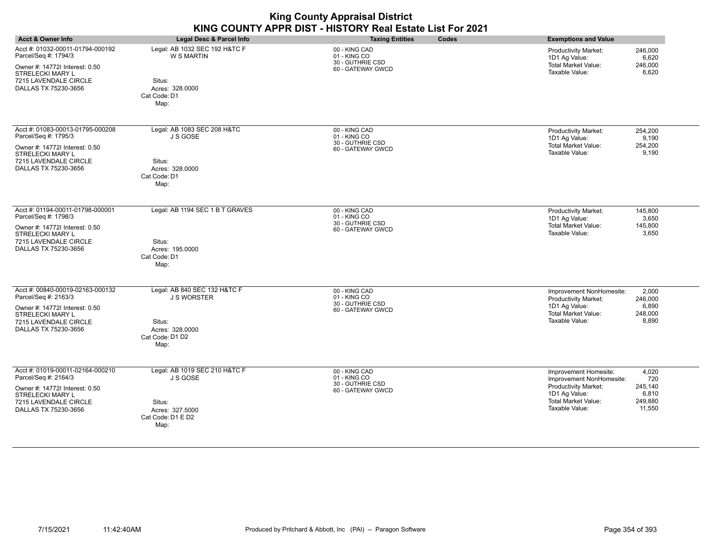|                                                                                                                                                                        |                                                                                                            | <b>King County Appraisal District</b><br>KING COUNTY APPR DIST - HISTORY Real Estate List For 2021 |                                                                                                                                                                                                            |
|------------------------------------------------------------------------------------------------------------------------------------------------------------------------|------------------------------------------------------------------------------------------------------------|----------------------------------------------------------------------------------------------------|------------------------------------------------------------------------------------------------------------------------------------------------------------------------------------------------------------|
| <b>Acct &amp; Owner Info</b>                                                                                                                                           | <b>Legal Desc &amp; Parcel Info</b>                                                                        | Codes<br><b>Taxing Entities</b>                                                                    | <b>Exemptions and Value</b>                                                                                                                                                                                |
| Acct #: 01032-00011-01794-000192<br>Parcel/Seq #: 1794/3<br>Owner #: 147728 Interest: 0.50<br>STRELECKI MARY L<br>7215 LAVENDALE CIRCLE<br>DALLAS TX 75230-3656        | Legal: AB 1032 SEC 192 H&TC F<br><b>W S MARTIN</b><br>Situs:<br>Acres: 328,0000<br>Cat Code: D1<br>Map:    | 00 - KING CAD<br>01 - KING CO<br>30 - GUTHRIE CSD<br>60 - GATEWAY GWCD                             | <b>Productivity Market:</b><br>246,000<br>1D1 Ag Value:<br>6.620<br><b>Total Market Value:</b><br>246,000<br>Taxable Value:<br>6.620                                                                       |
| Acct #: 01083-00013-01795-000208<br>Parcel/Seq #: 1795/3<br>Owner #: 147728 Interest: 0.50<br>STRELECKI MARY L<br>7215 LAVENDALE CIRCLE<br>DALLAS TX 75230-3656        | Legal: AB 1083 SEC 208 H&TC<br>J S GOSE<br>Situs:<br>Acres: 328,0000<br>Cat Code: D1<br>Map:               | 00 - KING CAD<br>01 - KING CO<br>30 - GUTHRIE CSD<br>60 - GATEWAY GWCD                             | 254,200<br>Productivity Market:<br>1D1 Ag Value:<br>9,190<br><b>Total Market Value:</b><br>254,200<br>Taxable Value:<br>9,190                                                                              |
| Acct #: 01194-00011-01798-000001<br>Parcel/Seq #: 1798/3<br>Owner #: 147728 Interest: 0.50<br>STRELECKI MARY L<br>7215 LAVENDALE CIRCLE<br>DALLAS TX 75230-3656        | Legal: AB 1194 SEC 1 B T GRAVES<br>Situs:<br>Acres: 195,0000<br>Cat Code: D1<br>Map:                       | 00 - KING CAD<br>01 - KING CO<br>30 - GUTHRIE CSD<br>60 - GATEWAY GWCD                             | 145,800<br>Productivity Market:<br>1D1 Ag Value:<br>3,650<br><b>Total Market Value:</b><br>145,800<br>Taxable Value:<br>3,650                                                                              |
| Acct #: 00840-00019-02163-000132<br>Parcel/Seq #: 2163/3<br>Owner #: 147728 Interest: 0.50<br>STRELECKI MARY L<br>7215 LAVENDALE CIRCLE<br>DALLAS TX 75230-3656        | Legal: AB 840 SEC 132 H&TC F<br><b>J S WORSTER</b><br>Situs:<br>Acres: 328.0000<br>Cat Code: D1 D2<br>Map: | 00 - KING CAD<br>01 - KING CO<br>30 - GUTHRIE CSD<br>60 - GATEWAY GWCD                             | Improvement NonHomesite:<br>2,000<br>Productivity Market:<br>246,000<br>1D1 Ag Value:<br>6,890<br><b>Total Market Value:</b><br>248,000<br>Taxable Value:<br>8,890                                         |
| Acct #: 01019-00011-02164-000210<br>Parcel/Seq #: 2164/3<br>Owner #: 147728 Interest: 0.50<br><b>STRELECKI MARY L</b><br>7215 LAVENDALE CIRCLE<br>DALLAS TX 75230-3656 | Legal: AB 1019 SEC 210 H&TC F<br>J S GOSE<br>Situs:<br>Acres: 327.5000<br>Cat Code: D1 E D2<br>Map:        | 00 - KING CAD<br>01 - KING CO<br>30 - GUTHRIE CSD<br>60 - GATEWAY GWCD                             | 4,020<br>Improvement Homesite:<br>720<br>Improvement NonHomesite:<br><b>Productivity Market:</b><br>245,140<br>1D1 Ag Value:<br>6,810<br><b>Total Market Value:</b><br>249.880<br>Taxable Value:<br>11,550 |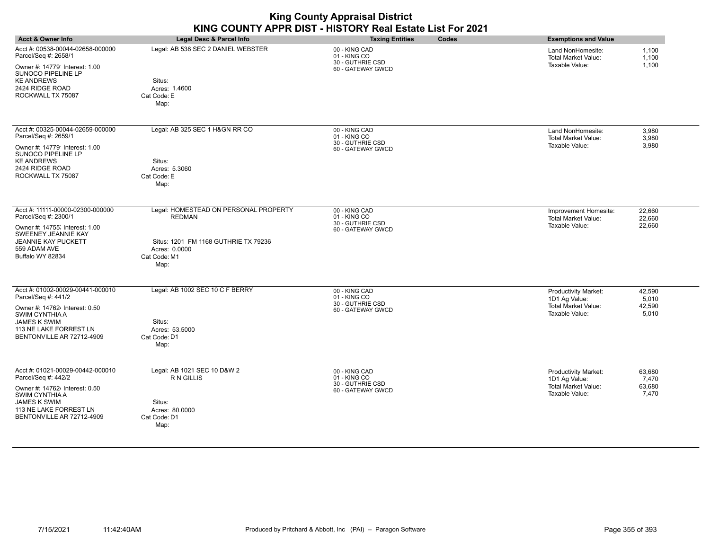| <b>Acct &amp; Owner Info</b>                                                                                                                                                             | Legal Desc & Parcel Info                                                                                                                | <b>Taxing Entities</b><br>Codes                                        | <b>Exemptions and Value</b>                                                                                                        |
|------------------------------------------------------------------------------------------------------------------------------------------------------------------------------------------|-----------------------------------------------------------------------------------------------------------------------------------------|------------------------------------------------------------------------|------------------------------------------------------------------------------------------------------------------------------------|
| Acct #: 00538-00044-02658-000000<br>Parcel/Seq #: 2658/1<br>Owner #: 14779' Interest: 1.00<br><b>SUNOCO PIPELINE LP</b><br><b>KE ANDREWS</b><br>2424 RIDGE ROAD<br>ROCKWALL TX 75087     | Legal: AB 538 SEC 2 DANIEL WEBSTER<br>Situs:<br>Acres: 1.4600<br>Cat Code: E<br>Map:                                                    | 00 - KING CAD<br>01 - KING CO<br>30 - GUTHRIE CSD<br>60 - GATEWAY GWCD | Land NonHomesite:<br>1,100<br><b>Total Market Value:</b><br>1,100<br>Taxable Value:<br>1,100                                       |
| Acct #: 00325-00044-02659-000000<br>Parcel/Seq #: 2659/1<br>Owner #: 14779' Interest: 1.00<br>SUNOCO PIPELINE LP<br><b>KE ANDREWS</b><br>2424 RIDGE ROAD<br>ROCKWALL TX 75087            | Legal: AB 325 SEC 1 H&GN RR CO<br>Situs:<br>Acres: 5.3060<br>Cat Code: E<br>Map:                                                        | 00 - KING CAD<br>01 - KING CO<br>30 - GUTHRIE CSD<br>60 - GATEWAY GWCD | Land NonHomesite:<br>3,980<br>3.980<br><b>Total Market Value:</b><br>Taxable Value:<br>3,980                                       |
| Acct #: 11111-00000-02300-000000<br>Parcel/Seq #: 2300/1<br>Owner #: 14755; Interest: 1.00<br>SWEENEY JEANNIE KAY<br><b>JEANNIE KAY PUCKETT</b><br>559 ADAM AVE<br>Buffalo WY 82834      | Legal: HOMESTEAD ON PERSONAL PROPERTY<br><b>REDMAN</b><br>Situs: 1201 FM 1168 GUTHRIE TX 79236<br>Acres: 0.0000<br>Cat Code: M1<br>Map: | 00 - KING CAD<br>01 - KING CO<br>30 - GUTHRIE CSD<br>60 - GATEWAY GWCD | Improvement Homesite:<br>22,660<br><b>Total Market Value:</b><br>22,660<br>Taxable Value:<br>22,660                                |
| Acct #: 01002-00029-00441-000010<br>Parcel/Seq #: 441/2<br>Owner #: 147624 Interest: 0.50<br>SWIM CYNTHIAA<br><b>JAMES K SWIM</b><br>113 NE LAKE FORREST LN<br>BENTONVILLE AR 72712-4909 | Legal: AB 1002 SEC 10 C F BERRY<br>Situs:<br>Acres: 53.5000<br>Cat Code: D1<br>Map:                                                     | 00 - KING CAD<br>01 - KING CO<br>30 - GUTHRIE CSD<br>60 - GATEWAY GWCD | Productivity Market:<br>42,590<br>1D1 Ag Value:<br>5,010<br><b>Total Market Value:</b><br>42,590<br>Taxable Value:<br>5,010        |
| Acct #: 01021-00029-00442-000010<br>Parcel/Seq #: 442/2<br>Owner #: 147624 Interest: 0.50<br>SWIM CYNTHIAA<br><b>JAMES K SWIM</b><br>113 NE LAKE FORREST LN<br>BENTONVILLE AR 72712-4909 | Legal: AB 1021 SEC 10 D&W 2<br>R N GILLIS<br>Situs:<br>Acres: 80.0000<br>Cat Code: D1<br>Map:                                           | 00 - KING CAD<br>01 - KING CO<br>30 - GUTHRIE CSD<br>60 - GATEWAY GWCD | <b>Productivity Market:</b><br>63,680<br>1D1 Ag Value:<br>7,470<br><b>Total Market Value:</b><br>63,680<br>Taxable Value:<br>7,470 |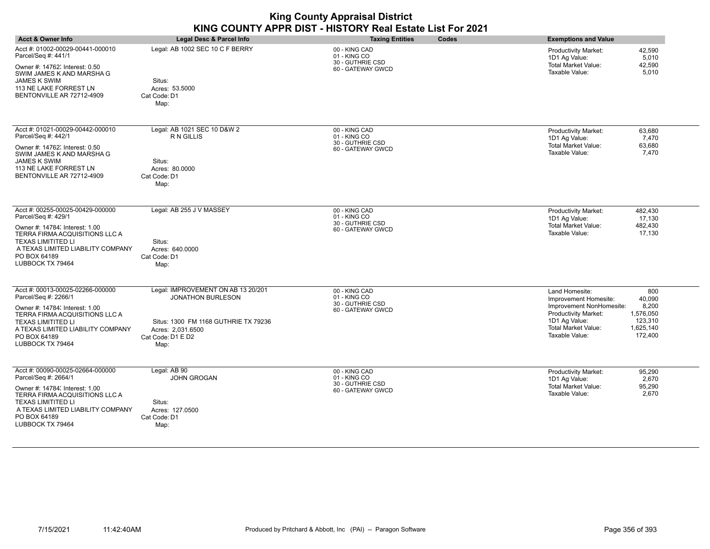| <b>Acct &amp; Owner Info</b>                                                                                                                                                                                                       | Legal Desc & Parcel Info                                                                                                                                 | <b>Taxing Entities</b><br>Codes                                        | <b>Exemptions and Value</b>                                                                                                                                                                                                            |
|------------------------------------------------------------------------------------------------------------------------------------------------------------------------------------------------------------------------------------|----------------------------------------------------------------------------------------------------------------------------------------------------------|------------------------------------------------------------------------|----------------------------------------------------------------------------------------------------------------------------------------------------------------------------------------------------------------------------------------|
| Acct #: 01002-00029-00441-000010<br>Parcel/Seq #: 441/1<br>Owner #: 14762; Interest: 0.50<br>SWIM JAMES K AND MARSHA G<br><b>JAMES K SWIM</b><br>113 NE LAKE FORREST LN<br>BENTONVILLE AR 72712-4909                               | Legal: AB 1002 SEC 10 C F BERRY<br>Situs:<br>Acres: 53.5000<br>Cat Code: D1<br>Map:                                                                      | 00 - KING CAD<br>01 - KING CO<br>30 - GUTHRIE CSD<br>60 - GATEWAY GWCD | 42,590<br>Productivity Market:<br>1D1 Ag Value:<br>5,010<br>Total Market Value:<br>42,590<br>Taxable Value:<br>5,010                                                                                                                   |
| Acct #: 01021-00029-00442-000010<br>Parcel/Seq #: 442/1<br>Owner #: 14762; Interest: 0.50<br>SWIM JAMES K AND MARSHA G<br><b>JAMES K SWIM</b><br>113 NE LAKE FORREST LN<br>BENTONVILLE AR 72712-4909                               | Legal: AB 1021 SEC 10 D&W 2<br>R N GILLIS<br>Situs:<br>Acres: 80,0000<br>Cat Code: D1<br>Map:                                                            | 00 - KING CAD<br>01 - KING CO<br>30 - GUTHRIE CSD<br>60 - GATEWAY GWCD | <b>Productivity Market:</b><br>63,680<br>1D1 Ag Value:<br>7,470<br><b>Total Market Value:</b><br>63,680<br>Taxable Value:<br>7,470                                                                                                     |
| Acct #: 00255-00025-00429-000000<br>Parcel/Seq #: 429/1<br>Owner #: 14784; Interest: 1.00<br>TERRA FIRMA ACQUISITIONS LLC A<br><b>TEXAS LIMITITED LI</b><br>A TEXAS LIMITED LIABILITY COMPANY<br>PO BOX 64189<br>LUBBOCK TX 79464  | Legal: AB 255 J V MASSEY<br>Situs:<br>Acres: 640.0000<br>Cat Code: D1<br>Map:                                                                            | 00 - KING CAD<br>01 - KING CO<br>30 - GUTHRIE CSD<br>60 - GATEWAY GWCD | Productivity Market:<br>482,430<br>1D1 Ag Value:<br>17,130<br><b>Total Market Value:</b><br>482,430<br>Taxable Value:<br>17,130                                                                                                        |
| Acct #: 00013-00025-02266-000000<br>Parcel/Seq #: 2266/1<br>Owner #: 14784; Interest: 1.00<br>TERRA FIRMA ACQUISITIONS LLC A<br><b>TEXAS LIMITITED LI</b><br>A TEXAS LIMITED LIABILITY COMPANY<br>PO BOX 64189<br>LUBBOCK TX 79464 | Legal: IMPROVEMENT ON AB 13 20/201<br><b>JONATHON BURLESON</b><br>Situs: 1300 FM 1168 GUTHRIE TX 79236<br>Acres: 2,031.6500<br>Cat Code: D1 E D2<br>Map: | 00 - KING CAD<br>01 - KING CO<br>30 - GUTHRIE CSD<br>60 - GATEWAY GWCD | Land Homesite:<br>800<br>40,090<br>Improvement Homesite:<br>8,200<br>Improvement NonHomesite:<br>Productivity Market:<br>1,576,050<br>1D1 Ag Value:<br>123,310<br><b>Total Market Value:</b><br>1,625,140<br>Taxable Value:<br>172,400 |
| Acct #: 00090-00025-02664-000000<br>Parcel/Seq #: 2664/1<br>Owner #: 14784; Interest: 1.00<br>TERRA FIRMA ACQUISITIONS LLC A<br><b>TEXAS LIMITITED LI</b><br>A TEXAS LIMITED LIABILITY COMPANY<br>PO BOX 64189<br>LUBBOCK TX 79464 | Legal: AB 90<br><b>JOHN GROGAN</b><br>Situs:<br>Acres: 127,0500<br>Cat Code: D1<br>Map:                                                                  | 00 - KING CAD<br>01 - KING CO<br>30 - GUTHRIE CSD<br>60 - GATEWAY GWCD | 95.290<br>Productivity Market:<br>1D1 Ag Value:<br>2,670<br><b>Total Market Value:</b><br>95,290<br>Taxable Value:<br>2,670                                                                                                            |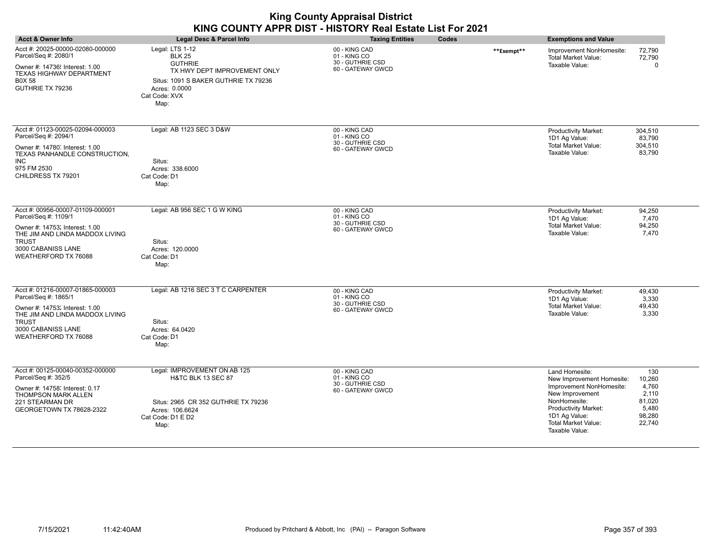| <b>Acct &amp; Owner Info</b>                                                                                                                                                                | Legal Desc & Parcel Info                                                                                                                                             | <b>Taxing Entities</b>                                                 | Codes      | <b>Exemptions and Value</b>                                                                                                                                                                         |                                                                        |
|---------------------------------------------------------------------------------------------------------------------------------------------------------------------------------------------|----------------------------------------------------------------------------------------------------------------------------------------------------------------------|------------------------------------------------------------------------|------------|-----------------------------------------------------------------------------------------------------------------------------------------------------------------------------------------------------|------------------------------------------------------------------------|
| Acct #: 20025-00000-02080-000000<br>Parcel/Seq #: 2080/1<br>Owner #: 14736! Interest: 1.00<br>TEXAS HIGHWAY DEPARTMENT<br><b>B0X 58</b><br>GUTHRIE TX 79236                                 | Legal: LTS 1-12<br><b>BLK 25</b><br><b>GUTHRIE</b><br>TX HWY DEPT IMPROVEMENT ONLY<br>Situs: 1091 S BAKER GUTHRIE TX 79236<br>Acres: 0.0000<br>Cat Code: XVX<br>Map: | 00 - KING CAD<br>01 - KING CO<br>30 - GUTHRIE CSD<br>60 - GATEWAY GWCD | **Exempt** | Improvement NonHomesite:<br><b>Total Market Value:</b><br>Taxable Value:                                                                                                                            | 72,790<br>72,790<br>$\Omega$                                           |
| Acct #: 01123-00025-02094-000003<br>Parcel/Seq #: 2094/1<br>Owner #: 14780, Interest: 1.00<br>TEXAS PANHANDLE CONSTRUCTION.<br><b>INC</b><br>975 FM 2530<br>CHILDRESS TX 79201              | Legal: AB 1123 SEC 3 D&W<br>Situs:<br>Acres: 338.6000<br>Cat Code: D1<br>Map:                                                                                        | 00 - KING CAD<br>01 - KING CO<br>30 - GUTHRIE CSD<br>60 - GATEWAY GWCD |            | Productivity Market:<br>1D1 Ag Value:<br>Total Market Value:<br>Taxable Value:                                                                                                                      | 304.510<br>83,790<br>304,510<br>83,790                                 |
| Acct #: 00956-00007-01109-000001<br>Parcel/Seq #: 1109/1<br>Owner #: 14753; Interest: 1.00<br>THE JIM AND LINDA MADDOX LIVING<br><b>TRUST</b><br>3000 CABANISS LANE<br>WEATHERFORD TX 76088 | Legal: AB 956 SEC 1 G W KING<br>Situs:<br>Acres: 120.0000<br>Cat Code: D1<br>Map:                                                                                    | 00 - KING CAD<br>01 - KING CO<br>30 - GUTHRIE CSD<br>60 - GATEWAY GWCD |            | Productivity Market:<br>1D1 Ag Value:<br><b>Total Market Value:</b><br>Taxable Value:                                                                                                               | 94,250<br>7,470<br>94,250<br>7,470                                     |
| Acct #: 01216-00007-01865-000003<br>Parcel/Seq #: 1865/1<br>Owner #: 14753; Interest: 1.00<br>THE JIM AND LINDA MADDOX LIVING<br><b>TRUST</b><br>3000 CABANISS LANE<br>WEATHERFORD TX 76088 | Legal: AB 1216 SEC 3 T C CARPENTER<br>Situs:<br>Acres: 64.0420<br>Cat Code: D1<br>Map:                                                                               | 00 - KING CAD<br>01 - KING CO<br>30 - GUTHRIE CSD<br>60 - GATEWAY GWCD |            | Productivity Market:<br>1D1 Ag Value:<br>Total Market Value:<br>Taxable Value:                                                                                                                      | 49,430<br>3.330<br>49,430<br>3,330                                     |
| Acct #: 00125-00040-00352-000000<br>Parcel/Seq #: 352/5<br>Owner #: 14758; Interest: 0.17<br>THOMPSON MARK ALLEN<br>221 STEARMAN DR<br>GEORGETOWN TX 78628-2322                             | Legal: IMPROVEMENT ON AB 125<br><b>H&amp;TC BLK 13 SEC 87</b><br>Situs: 2965 CR 352 GUTHRIE TX 79236<br>Acres: 106.6624<br>Cat Code: D1 E D2<br>Map:                 | 00 - KING CAD<br>01 - KING CO<br>30 - GUTHRIE CSD<br>60 - GATEWAY GWCD |            | Land Homesite:<br>New Improvement Homesite:<br>Improvement NonHomesite:<br>New Improvement<br>NonHomesite:<br>Productivity Market:<br>1D1 Ag Value:<br><b>Total Market Value:</b><br>Taxable Value: | 130<br>10,260<br>4,760<br>2,110<br>81,020<br>5,480<br>98,280<br>22,740 |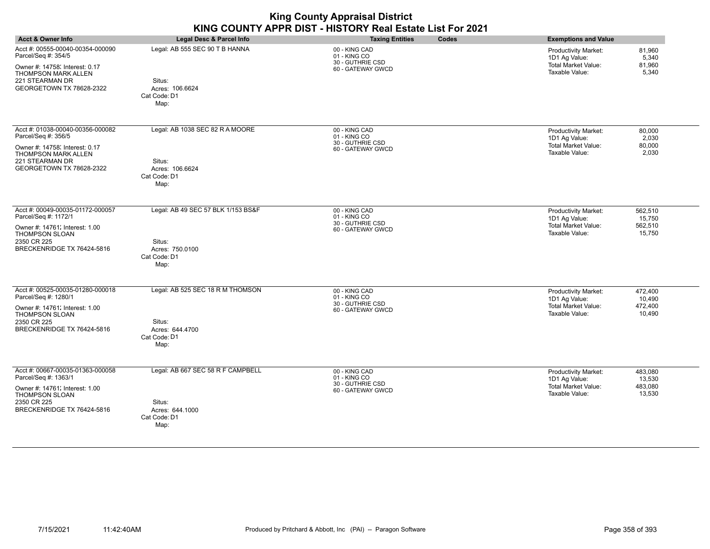| <b>Acct &amp; Owner Info</b>                                                                                                                                           | Legal Desc & Parcel Info                                                                | <b>Taxing Entities</b><br>Codes                                        | <b>Exemptions and Value</b>                                                                                                            |
|------------------------------------------------------------------------------------------------------------------------------------------------------------------------|-----------------------------------------------------------------------------------------|------------------------------------------------------------------------|----------------------------------------------------------------------------------------------------------------------------------------|
| Acct #: 00555-00040-00354-000090<br>Parcel/Seq #: 354/5<br>Owner #: 14758; Interest: 0.17<br><b>THOMPSON MARK ALLEN</b><br>221 STEARMAN DR<br>GEORGETOWN TX 78628-2322 | Legal: AB 555 SEC 90 T B HANNA<br>Situs:<br>Acres: 106.6624<br>Cat Code: D1<br>Map:     | 00 - KING CAD<br>01 - KING CO<br>30 - GUTHRIE CSD<br>60 - GATEWAY GWCD | 81,960<br><b>Productivity Market:</b><br>5,340<br>1D1 Ag Value:<br>Total Market Value:<br>81,960<br>Taxable Value:<br>5,340            |
| Acct #: 01038-00040-00356-000082<br>Parcel/Seq #: 356/5<br>Owner #: 14758; Interest: 0.17<br><b>THOMPSON MARK ALLEN</b><br>221 STEARMAN DR<br>GEORGETOWN TX 78628-2322 | Legal: AB 1038 SEC 82 R A MOORE<br>Situs:<br>Acres: 106.6624<br>Cat Code: D1<br>Map:    | 00 - KING CAD<br>01 - KING CO<br>30 - GUTHRIE CSD<br>60 - GATEWAY GWCD | <b>Productivity Market:</b><br>80,000<br>2,030<br>1D1 Ag Value:<br><b>Total Market Value:</b><br>80,000<br>Taxable Value:<br>2,030     |
| Acct #: 00049-00035-01172-000057<br>Parcel/Seq #: 1172/1<br>Owner #: 14761; Interest: 1.00<br>THOMPSON SLOAN<br>2350 CR 225<br>BRECKENRIDGE TX 76424-5816              | Legal: AB 49 SEC 57 BLK 1/153 BS&F<br>Situs:<br>Acres: 750.0100<br>Cat Code: D1<br>Map: | 00 - KING CAD<br>01 - KING CO<br>30 - GUTHRIE CSD<br>60 - GATEWAY GWCD | <b>Productivity Market:</b><br>562,510<br>1D1 Ag Value:<br>15,750<br><b>Total Market Value:</b><br>562,510<br>Taxable Value:<br>15,750 |
| Acct #: 00525-00035-01280-000018<br>Parcel/Seq #: 1280/1<br>Owner #: 14761; Interest: 1.00<br>THOMPSON SLOAN<br>2350 CR 225<br>BRECKENRIDGE TX 76424-5816              | Legal: AB 525 SEC 18 R M THOMSON<br>Situs:<br>Acres: 644.4700<br>Cat Code: D1<br>Map:   | 00 - KING CAD<br>01 - KING CO<br>30 - GUTHRIE CSD<br>60 - GATEWAY GWCD | Productivity Market:<br>472,400<br>1D1 Ag Value:<br>10,490<br>Total Market Value:<br>472,400<br>Taxable Value:<br>10,490               |
| Acct #: 00667-00035-01363-000058<br>Parcel/Seq #: 1363/1<br>Owner #: 14761; Interest: 1.00<br>THOMPSON SLOAN<br>2350 CR 225<br>BRECKENRIDGE TX 76424-5816              | Legal: AB 667 SEC 58 R F CAMPBELL<br>Situs:<br>Acres: 644.1000<br>Cat Code: D1<br>Map:  | 00 - KING CAD<br>01 - KING CO<br>30 - GUTHRIE CSD<br>60 - GATEWAY GWCD | Productivity Market:<br>483,080<br>1D1 Ag Value:<br>13,530<br><b>Total Market Value:</b><br>483,080<br>Taxable Value:<br>13,530        |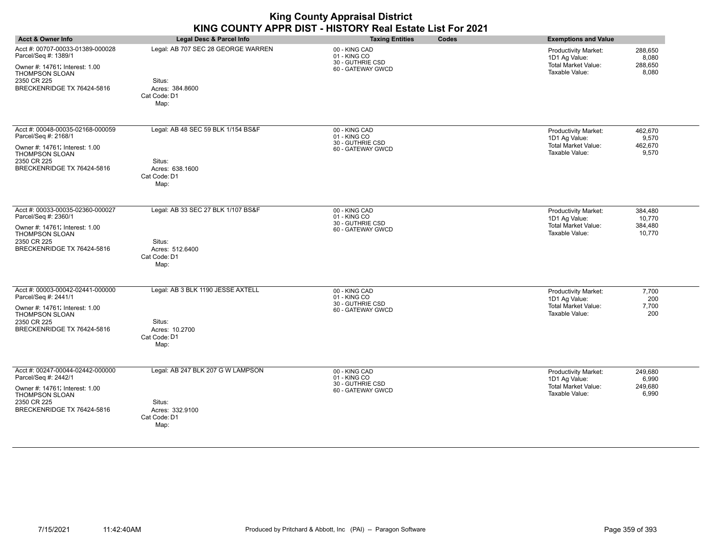| <b>Acct &amp; Owner Info</b>                                                                                                                                     | Legal Desc & Parcel Info                                                                | <b>Taxing Entities</b><br>Codes                                        | <b>Exemptions and Value</b>                                                                                                            |
|------------------------------------------------------------------------------------------------------------------------------------------------------------------|-----------------------------------------------------------------------------------------|------------------------------------------------------------------------|----------------------------------------------------------------------------------------------------------------------------------------|
| Acct #: 00707-00033-01389-000028<br>Parcel/Seq #: 1389/1<br>Owner #: 14761; Interest: 1.00<br><b>THOMPSON SLOAN</b><br>2350 CR 225<br>BRECKENRIDGE TX 76424-5816 | Legal: AB 707 SEC 28 GEORGE WARREN<br>Situs:<br>Acres: 384.8600<br>Cat Code: D1<br>Map: | 00 - KING CAD<br>01 - KING CO<br>30 - GUTHRIE CSD<br>60 - GATEWAY GWCD | 288,650<br><b>Productivity Market:</b><br>1D1 Ag Value:<br>8,080<br><b>Total Market Value:</b><br>288,650<br>Taxable Value:<br>8,080   |
| Acct #: 00048-00035-02168-000059<br>Parcel/Seq #: 2168/1<br>Owner #: 14761. Interest: 1.00<br><b>THOMPSON SLOAN</b><br>2350 CR 225<br>BRECKENRIDGE TX 76424-5816 | Legal: AB 48 SEC 59 BLK 1/154 BS&F<br>Situs:<br>Acres: 638.1600<br>Cat Code: D1<br>Map: | 00 - KING CAD<br>01 - KING CO<br>30 - GUTHRIE CSD<br>60 - GATEWAY GWCD | Productivity Market:<br>462,670<br>9,570<br>1D1 Ag Value:<br><b>Total Market Value:</b><br>462,670<br>Taxable Value:<br>9,570          |
| Acct #: 00033-00035-02360-000027<br>Parcel/Seq #: 2360/1<br>Owner #: 14761. Interest: 1.00<br>THOMPSON SLOAN<br>2350 CR 225<br>BRECKENRIDGE TX 76424-5816        | Legal: AB 33 SEC 27 BLK 1/107 BS&F<br>Situs:<br>Acres: 512.6400<br>Cat Code: D1<br>Map: | 00 - KING CAD<br>01 - KING CO<br>30 - GUTHRIE CSD<br>60 - GATEWAY GWCD | <b>Productivity Market:</b><br>384,480<br>1D1 Ag Value:<br>10,770<br><b>Total Market Value:</b><br>384,480<br>Taxable Value:<br>10,770 |
| Acct #: 00003-00042-02441-000000<br>Parcel/Seq #: 2441/1<br>Owner #: 14761; Interest: 1.00<br>THOMPSON SLOAN<br>2350 CR 225<br>BRECKENRIDGE TX 76424-5816        | Legal: AB 3 BLK 1190 JESSE AXTELL<br>Situs:<br>Acres: 10.2700<br>Cat Code: D1<br>Map:   | 00 - KING CAD<br>01 - KING CO<br>30 - GUTHRIE CSD<br>60 - GATEWAY GWCD | <b>Productivity Market:</b><br>7,700<br>1D1 Ag Value:<br>200<br>Total Market Value:<br>7,700<br>Taxable Value:<br>200                  |
| Acct #: 00247-00044-02442-000000<br>Parcel/Seq #: 2442/1<br>Owner #: 14761; Interest: 1.00<br>THOMPSON SLOAN<br>2350 CR 225<br>BRECKENRIDGE TX 76424-5816        | Legal: AB 247 BLK 207 G W LAMPSON<br>Situs:<br>Acres: 332.9100<br>Cat Code: D1<br>Map:  | 00 - KING CAD<br>01 - KING CO<br>30 - GUTHRIE CSD<br>60 - GATEWAY GWCD | <b>Productivity Market:</b><br>249,680<br>1D1 Ag Value:<br>6,990<br><b>Total Market Value:</b><br>249,680<br>Taxable Value:<br>6,990   |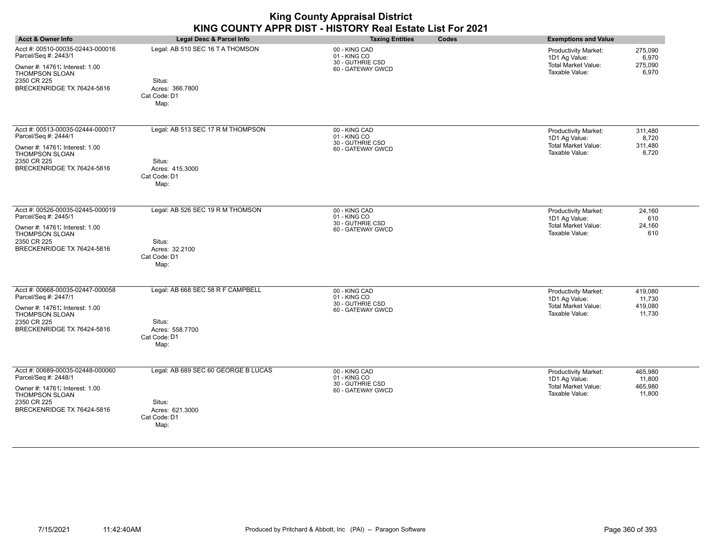| <b>Acct &amp; Owner Info</b>                                                                                                                                     | Legal Desc & Parcel Info                                                                 | Codes<br><b>Taxing Entities</b>                                        | <b>Exemptions and Value</b>                                                                                                     |
|------------------------------------------------------------------------------------------------------------------------------------------------------------------|------------------------------------------------------------------------------------------|------------------------------------------------------------------------|---------------------------------------------------------------------------------------------------------------------------------|
| Acct #: 00510-00035-02443-000016<br>Parcel/Seq #: 2443/1<br>Owner #: 14761; Interest: 1.00<br><b>THOMPSON SLOAN</b><br>2350 CR 225<br>BRECKENRIDGE TX 76424-5816 | Legal: AB 510 SEC 16 T A THOMSON<br>Situs:<br>Acres: 366.7800<br>Cat Code: D1<br>Map:    | 00 - KING CAD<br>01 - KING CO<br>30 - GUTHRIE CSD<br>60 - GATEWAY GWCD | Productivity Market:<br>275,090<br>1D1 Ag Value:<br>6,970<br><b>Total Market Value:</b><br>275,090<br>Taxable Value:<br>6,970   |
| Acct #: 00513-00035-02444-000017<br>Parcel/Seq #: 2444/1<br>Owner #: 14761; Interest: 1.00<br><b>THOMPSON SLOAN</b><br>2350 CR 225<br>BRECKENRIDGE TX 76424-5816 | Legal: AB 513 SEC 17 R M THOMPSON<br>Situs:<br>Acres: 415.3000<br>Cat Code: D1<br>Map:   | 00 - KING CAD<br>01 - KING CO<br>30 - GUTHRIE CSD<br>60 - GATEWAY GWCD | Productivity Market:<br>311,480<br>1D1 Ag Value:<br>8,720<br><b>Total Market Value:</b><br>311,480<br>Taxable Value:<br>8,720   |
| Acct #: 00526-00035-02445-000019<br>Parcel/Seq #: 2445/1<br>Owner #: 14761; Interest: 1.00<br>THOMPSON SLOAN<br>2350 CR 225<br>BRECKENRIDGE TX 76424-5816        | Legal: AB 526 SEC 19 R M THOMSON<br>Situs:<br>Acres: 32.2100<br>Cat Code: D1<br>Map:     | 00 - KING CAD<br>01 - KING CO<br>30 - GUTHRIE CSD<br>60 - GATEWAY GWCD | Productivity Market:<br>24,160<br>1D1 Ag Value:<br>610<br><b>Total Market Value:</b><br>24,160<br>Taxable Value:<br>610         |
| Acct #: 00668-00035-02447-000058<br>Parcel/Seq #: 2447/1<br>Owner #: 14761. Interest: 1.00<br>THOMPSON SLOAN<br>2350 CR 225<br>BRECKENRIDGE TX 76424-5816        | Legal: AB 668 SEC 58 R F CAMPBELL<br>Situs:<br>Acres: 558.7700<br>Cat Code: D1<br>Map:   | 00 - KING CAD<br>01 - KING CO<br>30 - GUTHRIE CSD<br>60 - GATEWAY GWCD | Productivity Market:<br>419,080<br>1D1 Ag Value:<br>11,730<br><b>Total Market Value:</b><br>419,080<br>Taxable Value:<br>11,730 |
| Acct #: 00689-00035-02448-000060<br>Parcel/Seq #: 2448/1<br>Owner #: 14761; Interest: 1.00<br>THOMPSON SLOAN<br>2350 CR 225<br>BRECKENRIDGE TX 76424-5816        | Legal: AB 689 SEC 60 GEORGE B LUCAS<br>Situs:<br>Acres: 621.3000<br>Cat Code: D1<br>Map: | 00 - KING CAD<br>01 - KING CO<br>30 - GUTHRIE CSD<br>60 - GATEWAY GWCD | Productivity Market:<br>465.980<br>1D1 Ag Value:<br>11,800<br><b>Total Market Value:</b><br>465,980<br>Taxable Value:<br>11,800 |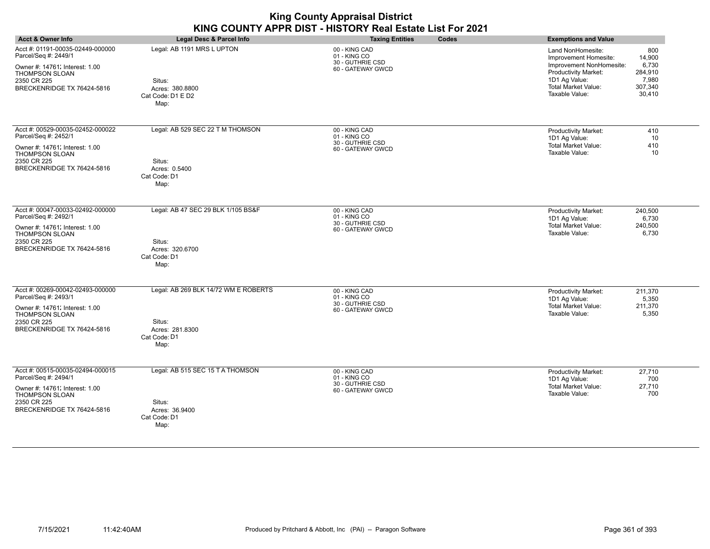| <b>Acct &amp; Owner Info</b>                                                                                                                                     | Legal Desc & Parcel Info                                                                  | <b>Taxing Entities</b><br>Codes                                        | <b>Exemptions and Value</b>                                                                                                                                                                                                 |
|------------------------------------------------------------------------------------------------------------------------------------------------------------------|-------------------------------------------------------------------------------------------|------------------------------------------------------------------------|-----------------------------------------------------------------------------------------------------------------------------------------------------------------------------------------------------------------------------|
| Acct #: 01191-00035-02449-000000<br>Parcel/Seq #: 2449/1<br>Owner #: 14761; Interest: 1.00<br>THOMPSON SLOAN<br>2350 CR 225<br>BRECKENRIDGE TX 76424-5816        | Legal: AB 1191 MRS L UPTON<br>Situs:<br>Acres: 380.8800<br>Cat Code: D1 E D2<br>Map:      | 00 - KING CAD<br>01 - KING CO<br>30 - GUTHRIE CSD<br>60 - GATEWAY GWCD | 800<br>Land NonHomesite:<br>Improvement Homesite:<br>14,900<br>6,730<br>Improvement NonHomesite:<br>Productivity Market:<br>284,910<br>1D1 Ag Value:<br>7,980<br>Total Market Value:<br>307,340<br>Taxable Value:<br>30,410 |
| Acct #: 00529-00035-02452-000022<br>Parcel/Seq #: 2452/1<br>Owner #: 14761; Interest: 1.00<br><b>THOMPSON SLOAN</b><br>2350 CR 225<br>BRECKENRIDGE TX 76424-5816 | Legal: AB 529 SEC 22 T M THOMSON<br>Situs:<br>Acres: 0.5400<br>Cat Code: D1<br>Map:       | 00 - KING CAD<br>01 - KING CO<br>30 - GUTHRIE CSD<br>60 - GATEWAY GWCD | Productivity Market:<br>410<br>1D1 Ag Value:<br>10<br>Total Market Value:<br>410<br>Taxable Value:<br>10                                                                                                                    |
| Acct #: 00047-00033-02492-000000<br>Parcel/Seq #: 2492/1<br>Owner #: 14761; Interest: 1.00<br>THOMPSON SLOAN<br>2350 CR 225<br>BRECKENRIDGE TX 76424-5816        | Legal: AB 47 SEC 29 BLK 1/105 BS&F<br>Situs:<br>Acres: 320.6700<br>Cat Code: D1<br>Map:   | 00 - KING CAD<br>01 - KING CO<br>30 - GUTHRIE CSD<br>60 - GATEWAY GWCD | Productivity Market:<br>240,500<br>1D1 Ag Value:<br>6,730<br><b>Total Market Value:</b><br>240,500<br>Taxable Value:<br>6,730                                                                                               |
| Acct #: 00269-00042-02493-000000<br>Parcel/Seq #: 2493/1<br>Owner #: 14761; Interest: 1.00<br>THOMPSON SLOAN<br>2350 CR 225<br>BRECKENRIDGE TX 76424-5816        | Legal: AB 269 BLK 14/72 WM E ROBERTS<br>Situs:<br>Acres: 281.8300<br>Cat Code: D1<br>Map: | 00 - KING CAD<br>01 - KING CO<br>30 - GUTHRIE CSD<br>60 - GATEWAY GWCD | <b>Productivity Market:</b><br>211,370<br>1D1 Ag Value:<br>5,350<br><b>Total Market Value:</b><br>211,370<br>Taxable Value:<br>5,350                                                                                        |
| Acct #: 00515-00035-02494-000015<br>Parcel/Seq #: 2494/1<br>Owner #: 14761; Interest: 1.00<br>THOMPSON SLOAN<br>2350 CR 225<br>BRECKENRIDGE TX 76424-5816        | Legal: AB 515 SEC 15 T A THOMSON<br>Situs:<br>Acres: 36.9400<br>Cat Code: D1<br>Map:      | 00 - KING CAD<br>01 - KING CO<br>30 - GUTHRIE CSD<br>60 - GATEWAY GWCD | Productivity Market:<br>27,710<br>1D1 Ag Value:<br>700<br>27,710<br><b>Total Market Value:</b><br>Taxable Value:<br>700                                                                                                     |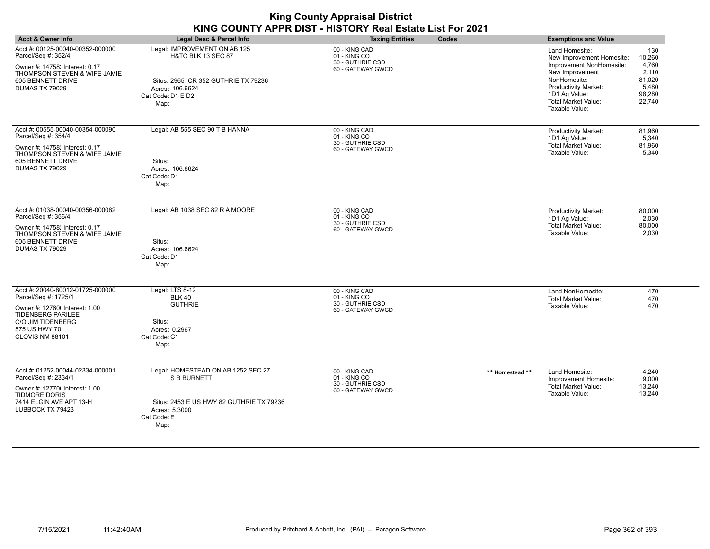| <b>Acct &amp; Owner Info</b>                                                                                                                                                    | <b>Legal Desc &amp; Parcel Info</b>                                                                                                                  | <b>Taxing Entities</b><br>Codes                                        | <b>Exemptions and Value</b>                                                                                                                                                                                |                                                                        |
|---------------------------------------------------------------------------------------------------------------------------------------------------------------------------------|------------------------------------------------------------------------------------------------------------------------------------------------------|------------------------------------------------------------------------|------------------------------------------------------------------------------------------------------------------------------------------------------------------------------------------------------------|------------------------------------------------------------------------|
| Acct #: 00125-00040-00352-000000<br>Parcel/Seq #: 352/4<br>Owner #: 14758; Interest: 0.17<br>THOMPSON STEVEN & WIFE JAMIE<br>605 BENNETT DRIVE<br>DUMAS TX 79029                | Legal: IMPROVEMENT ON AB 125<br><b>H&amp;TC BLK 13 SEC 87</b><br>Situs: 2965 CR 352 GUTHRIE TX 79236<br>Acres: 106.6624<br>Cat Code: D1 E D2<br>Map: | 00 - KING CAD<br>01 - KING CO<br>30 - GUTHRIE CSD<br>60 - GATEWAY GWCD | Land Homesite:<br>New Improvement Homesite:<br>Improvement NonHomesite:<br>New Improvement<br>NonHomesite:<br><b>Productivity Market:</b><br>1D1 Ag Value:<br><b>Total Market Value:</b><br>Taxable Value: | 130<br>10,260<br>4,760<br>2,110<br>81,020<br>5,480<br>98,280<br>22,740 |
| Acct #: 00555-00040-00354-000090<br>Parcel/Seq #: 354/4<br>Owner #: 14758; Interest: 0.17<br>THOMPSON STEVEN & WIFE JAMIE<br>605 BENNETT DRIVE<br>DUMAS TX 79029                | Legal: AB 555 SEC 90 T B HANNA<br>Situs:<br>Acres: 106.6624<br>Cat Code: D1<br>Map:                                                                  | 00 - KING CAD<br>01 - KING CO<br>30 - GUTHRIE CSD<br>60 - GATEWAY GWCD | Productivity Market:<br>1D1 Ag Value:<br><b>Total Market Value:</b><br>Taxable Value:                                                                                                                      | 81,960<br>5,340<br>81,960<br>5,340                                     |
| Acct #: 01038-00040-00356-000082<br>Parcel/Seq #: 356/4<br>Owner #: 14758; Interest: 0.17<br>THOMPSON STEVEN & WIFE JAMIE<br>605 BENNETT DRIVE<br>DUMAS TX 79029                | Legal: AB 1038 SEC 82 R A MOORE<br>Situs:<br>Acres: 106.6624<br>Cat Code: D1<br>Map:                                                                 | 00 - KING CAD<br>01 - KING CO<br>30 - GUTHRIE CSD<br>60 - GATEWAY GWCD | <b>Productivity Market:</b><br>1D1 Ag Value:<br><b>Total Market Value:</b><br>Taxable Value:                                                                                                               | 80,000<br>2,030<br>80,000<br>2,030                                     |
| Acct #: 20040-80012-01725-000000<br>Parcel/Seq #: 1725/1<br>Owner #: 12760( Interest: 1.00<br><b>TIDENBERG PARILEE</b><br>C/O JIM TIDENBERG<br>575 US HWY 70<br>CLOVIS NM 88101 | Legal: LTS 8-12<br><b>BLK 40</b><br><b>GUTHRIE</b><br>Situs:<br>Acres: 0.2967<br>Cat Code: C1<br>Map:                                                | 00 - KING CAD<br>01 - KING CO<br>30 - GUTHRIE CSD<br>60 - GATEWAY GWCD | Land NonHomesite:<br><b>Total Market Value:</b><br>Taxable Value:                                                                                                                                          | 470<br>470<br>470                                                      |
| Acct #: 01252-00044-02334-000001<br>Parcel/Seq #: 2334/1<br>Owner #: 12770( Interest: 1.00<br><b>TIDMORE DORIS</b><br>7414 ELGIN AVE APT 13-H<br>LUBBOCK TX 79423               | Legal: HOMESTEAD ON AB 1252 SEC 27<br><b>S B BURNETT</b><br>Situs: 2453 E US HWY 82 GUTHRIE TX 79236<br>Acres: 5.3000<br>Cat Code: E<br>Map:         | 00 - KING CAD<br>01 - KING CO<br>30 - GUTHRIE CSD<br>60 - GATEWAY GWCD | Land Homesite:<br>** Homestead **<br>Improvement Homesite:<br>Total Market Value:<br>Taxable Value:                                                                                                        | 4,240<br>9,000<br>13,240<br>13,240                                     |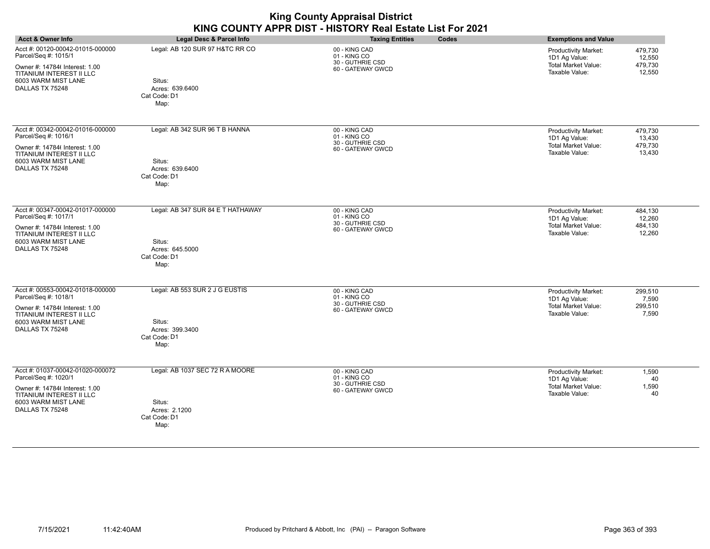|                                                                                                                                                                        |                                                                                        | <b>King County Appraisal District</b><br>KING COUNTY APPR DIST - HISTORY Real Estate List For 2021 |                                                                                                                                 |
|------------------------------------------------------------------------------------------------------------------------------------------------------------------------|----------------------------------------------------------------------------------------|----------------------------------------------------------------------------------------------------|---------------------------------------------------------------------------------------------------------------------------------|
| Acct & Owner Info                                                                                                                                                      | <b>Legal Desc &amp; Parcel Info</b>                                                    | <b>Taxing Entities</b><br>Codes                                                                    | <b>Exemptions and Value</b>                                                                                                     |
| Acct #: 00120-00042-01015-000000<br>Parcel/Seq #: 1015/1<br>Owner #: 14784( Interest: 1.00<br>TITANIUM INTEREST II LLC<br>6003 WARM MIST LANE<br>DALLAS TX 75248       | Legal: AB 120 SUR 97 H&TC RR CO<br>Situs:<br>Acres: 639.6400<br>Cat Code: D1<br>Map:   | 00 - KING CAD<br>01 - KING CO<br>30 - GUTHRIE CSD<br>60 - GATEWAY GWCD                             | 479,730<br>Productivity Market:<br>1D1 Ag Value:<br>12,550<br><b>Total Market Value:</b><br>479,730<br>Taxable Value:<br>12,550 |
| Acct #: 00342-00042-01016-000000<br>Parcel/Seq #: 1016/1<br>Owner #: 14784( Interest: 1.00<br>TITANIUM INTEREST II LLC<br>6003 WARM MIST LANE<br>DALLAS TX 75248       | Legal: AB 342 SUR 96 T B HANNA<br>Situs:<br>Acres: 639.6400<br>Cat Code: D1<br>Map:    | 00 - KING CAD<br>01 - KING CO<br>30 - GUTHRIE CSD<br>60 - GATEWAY GWCD                             | Productivity Market:<br>479,730<br>1D1 Ag Value:<br>13,430<br>Total Market Value:<br>479,730<br>Taxable Value:<br>13,430        |
| Acct #: 00347-00042-01017-000000<br>Parcel/Seq #: 1017/1<br>Owner #: 14784 Interest: 1.00<br><b>TITANIUM INTEREST II LLC</b><br>6003 WARM MIST LANE<br>DALLAS TX 75248 | Legal: AB 347 SUR 84 E T HATHAWAY<br>Situs:<br>Acres: 645.5000<br>Cat Code: D1<br>Map: | 00 - KING CAD<br>01 - KING CO<br>30 - GUTHRIE CSD<br>60 - GATEWAY GWCD                             | Productivity Market:<br>484,130<br>1D1 Ag Value:<br>12,260<br><b>Total Market Value:</b><br>484.130<br>Taxable Value:<br>12,260 |
| Acct #: 00553-00042-01018-000000<br>Parcel/Seq #: 1018/1<br>Owner #: 14784( Interest: 1.00<br>TITANIUM INTEREST II LLC<br>6003 WARM MIST LANE<br>DALLAS TX 75248       | Legal: AB 553 SUR 2 J G EUSTIS<br>Situs:<br>Acres: 399.3400<br>Cat Code: D1<br>Map:    | 00 - KING CAD<br>01 - KING CO<br>30 - GUTHRIE CSD<br>60 - GATEWAY GWCD                             | Productivity Market:<br>299,510<br>1D1 Ag Value:<br>7,590<br>Total Market Value:<br>299,510<br>Taxable Value:<br>7,590          |
| Acct #: 01037-00042-01020-000072<br>Parcel/Seq #: 1020/1<br>Owner #: 14784( Interest: 1.00<br>TITANIUM INTEREST II LLC<br>6003 WARM MIST LANE<br>DALLAS TX 75248       | Legal: AB 1037 SEC 72 R A MOORE<br>Situs:<br>Acres: 2.1200<br>Cat Code: D1<br>Map:     | 00 - KING CAD<br>01 - KING CO<br>30 - GUTHRIE CSD<br>60 - GATEWAY GWCD                             | Productivity Market:<br>1,590<br>1D1 Ag Value:<br>40<br><b>Total Market Value:</b><br>1,590<br>Taxable Value:<br>40             |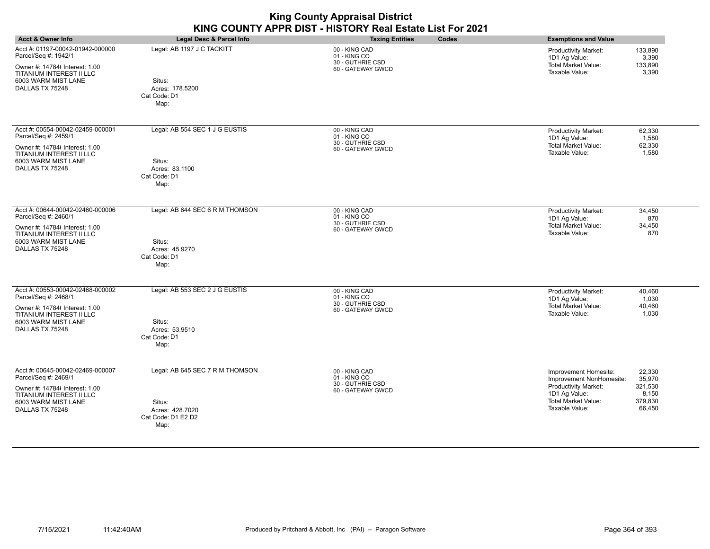| <b>King County Appraisal District</b><br>KING COUNTY APPR DIST - HISTORY Real Estate List For 2021                                                                      |                                                                                            |                                                                        |       |                                                                                                                                            |                                                           |
|-------------------------------------------------------------------------------------------------------------------------------------------------------------------------|--------------------------------------------------------------------------------------------|------------------------------------------------------------------------|-------|--------------------------------------------------------------------------------------------------------------------------------------------|-----------------------------------------------------------|
| Acct & Owner Info                                                                                                                                                       | <b>Legal Desc &amp; Parcel Info</b>                                                        | <b>Taxing Entities</b>                                                 | Codes | <b>Exemptions and Value</b>                                                                                                                |                                                           |
| Acct #: 01197-00042-01942-000000<br>Parcel/Seq #: 1942/1<br>Owner #: 147846 Interest: 1.00<br>TITANIUM INTEREST II LLC<br>6003 WARM MIST LANE<br>DALLAS TX 75248        | Legal: AB 1197 J C TACKITT<br>Situs:<br>Acres: 178.5200<br>Cat Code: D1<br>Map:            | 00 - KING CAD<br>01 - KING CO<br>30 - GUTHRIE CSD<br>60 - GATEWAY GWCD |       | <b>Productivity Market:</b><br>1D1 Ag Value:<br><b>Total Market Value:</b><br>Taxable Value:                                               | 133,890<br>3,390<br>133,890<br>3,390                      |
| Acct #: 00554-00042-02459-000001<br>Parcel/Seq #: 2459/1<br>Owner #: 14784( Interest: 1.00<br>TITANIUM INTEREST II LLC<br>6003 WARM MIST LANE<br>DALLAS TX 75248        | Legal: AB 554 SEC 1 J G EUSTIS<br>Situs:<br>Acres: 83.1100<br>Cat Code: D1<br>Map:         | 00 - KING CAD<br>01 - KING CO<br>30 - GUTHRIE CSD<br>60 - GATEWAY GWCD |       | Productivity Market:<br>1D1 Ag Value:<br><b>Total Market Value:</b><br>Taxable Value:                                                      | 62,330<br>1,580<br>62,330<br>1,580                        |
| Acct #: 00644-00042-02460-000006<br>Parcel/Seq #: 2460/1<br>Owner #: 14784( Interest: 1.00<br>TITANIUM INTEREST II LLC<br>6003 WARM MIST LANE<br>DALLAS TX 75248        | Legal: AB 644 SEC 6 R M THOMSON<br>Situs:<br>Acres: 45.9270<br>Cat Code: D1<br>Map:        | 00 - KING CAD<br>01 - KING CO<br>30 - GUTHRIE CSD<br>60 - GATEWAY GWCD |       | Productivity Market:<br>1D1 Ag Value:<br>Total Market Value:<br>Taxable Value:                                                             | 34,450<br>870<br>34,450<br>870                            |
| Acct #: 00553-00042-02468-000002<br>Parcel/Seq #: 2468/1<br>Owner #: 14784( Interest: 1.00<br>TITANIUM INTEREST II LLC<br>6003 WARM MIST LANE<br>DALLAS TX 75248        | Legal: AB 553 SEC 2 J G EUSTIS<br>Situs:<br>Acres: 53.9510<br>Cat Code: D1<br>Map:         | 00 - KING CAD<br>01 - KING CO<br>30 - GUTHRIE CSD<br>60 - GATEWAY GWCD |       | Productivity Market:<br>1D1 Ag Value:<br>Total Market Value:<br>Taxable Value:                                                             | 40,460<br>1,030<br>40,460<br>1,030                        |
| Acct #: 00645-00042-02469-000007<br>Parcel/Seq #: 2469/1<br>Owner #: 14784( Interest: 1.00<br><b>TITANIUM INTEREST II LLC</b><br>6003 WARM MIST LANE<br>DALLAS TX 75248 | Legal: AB 645 SEC 7 R M THOMSON<br>Situs:<br>Acres: 428.7020<br>Cat Code: D1 E2 D2<br>Map: | 00 - KING CAD<br>01 - KING CO<br>30 - GUTHRIE CSD<br>60 - GATEWAY GWCD |       | Improvement Homesite:<br>Improvement NonHomesite:<br>Productivity Market:<br>1D1 Ag Value:<br><b>Total Market Value:</b><br>Taxable Value: | 22,330<br>35,970<br>321,530<br>8,150<br>379,830<br>66,450 |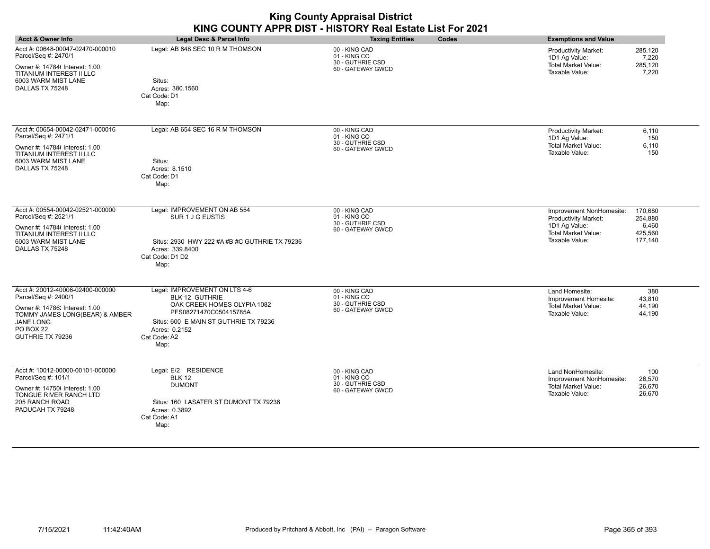| <b>Acct &amp; Owner Info</b>                                                                                           | Legal Desc & Parcel Info                                                                    | <b>Taxing Entities</b><br>Codes                                        | <b>Exemptions and Value</b>                                                                                                          |
|------------------------------------------------------------------------------------------------------------------------|---------------------------------------------------------------------------------------------|------------------------------------------------------------------------|--------------------------------------------------------------------------------------------------------------------------------------|
| Acct #: 00648-00047-02470-000010<br>Parcel/Seq #: 2470/1<br>Owner #: 14784( Interest: 1.00<br>TITANIUM INTEREST II LLC | Legal: AB 648 SEC 10 R M THOMSON                                                            | 00 - KING CAD<br>01 - KING CO<br>30 - GUTHRIE CSD<br>60 - GATEWAY GWCD | <b>Productivity Market:</b><br>285,120<br>7,220<br>1D1 Ag Value:<br><b>Total Market Value:</b><br>285,120<br>Taxable Value:<br>7,220 |
| 6003 WARM MIST LANE<br>DALLAS TX 75248                                                                                 | Situs:<br>Acres: 380.1560<br>Cat Code: D1<br>Map:                                           |                                                                        |                                                                                                                                      |
| Acct #: 00654-00042-02471-000016<br>Parcel/Seq #: 2471/1                                                               | Legal: AB 654 SEC 16 R M THOMSON                                                            | 00 - KING CAD<br>01 - KING CO<br>30 - GUTHRIE CSD                      | <b>Productivity Market:</b><br>6,110<br>1D1 Ag Value:<br>150                                                                         |
| Owner #: 14784( Interest: 1.00<br><b>TITANIUM INTEREST II LLC</b>                                                      |                                                                                             | 60 - GATEWAY GWCD                                                      | <b>Total Market Value:</b><br>6,110<br>Taxable Value:<br>150                                                                         |
| 6003 WARM MIST LANE<br>DALLAS TX 75248                                                                                 | Situs:<br>Acres: 8.1510<br>Cat Code: D1<br>Map:                                             |                                                                        |                                                                                                                                      |
| Acct #: 00554-00042-02521-000000<br>Parcel/Seq #: 2521/1                                                               | Legal: IMPROVEMENT ON AB 554<br>SUR 1 J G EUSTIS                                            | 00 - KING CAD<br>01 - KING CO                                          | 170,680<br>Improvement NonHomesite:<br><b>Productivity Market:</b><br>254,880                                                        |
| Owner #: 14784( Interest: 1.00                                                                                         |                                                                                             | 30 - GUTHRIE CSD<br>60 - GATEWAY GWCD                                  | 1D1 Ag Value:<br>6,460<br><b>Total Market Value:</b><br>425,560                                                                      |
| <b>TITANIUM INTEREST II LLC</b><br>6003 WARM MIST LANE<br>DALLAS TX 75248                                              | Situs: 2930 HWY 222 #A #B #C GUTHRIE TX 79236<br>Acres: 339.8400<br>Cat Code: D1 D2<br>Map: |                                                                        | Taxable Value:<br>177,140                                                                                                            |
| Acct #: 20012-40006-02400-000000<br>Parcel/Seq #: 2400/1                                                               | Legal: IMPROVEMENT ON LTS 4-6                                                               | 00 - KING CAD                                                          | Land Homesite:<br>380                                                                                                                |
| Owner #: 14786; Interest: 1.00<br>TOMMY JAMES LONG(BEAR) & AMBER                                                       | BLK 12 GUTHRIE<br>OAK CREEK HOMES OLYPIA 1082<br>PFS08271470C050415785A                     | 01 - KING CO<br>30 - GUTHRIE CSD<br>60 - GATEWAY GWCD                  | Improvement Homesite:<br>43,810<br><b>Total Market Value:</b><br>44,190<br>Taxable Value:<br>44,190                                  |
| <b>JANE LONG</b><br><b>PO BOX 22</b>                                                                                   | Situs: 600 E MAIN ST GUTHRIE TX 79236<br>Acres: 0.2152                                      |                                                                        |                                                                                                                                      |
| GUTHRIE TX 79236                                                                                                       | Cat Code: A2<br>Map:                                                                        |                                                                        |                                                                                                                                      |
| Acct #: 10012-00000-00101-000000<br>Parcel/Seq #: 101/1                                                                | Legal: E/2 RESIDENCE<br><b>BLK 12</b>                                                       | 00 - KING CAD<br>01 - KING CO                                          | 100<br>Land NonHomesite:<br>Improvement NonHomesite:<br>26,570                                                                       |
| Owner #: 147506 Interest: 1.00<br>TONGUE RIVER RANCH LTD                                                               | <b>DUMONT</b>                                                                               | 30 - GUTHRIE CSD<br>60 - GATEWAY GWCD                                  | <b>Total Market Value:</b><br>26,670<br>Taxable Value:<br>26,670                                                                     |
| 205 RANCH ROAD<br>PADUCAH TX 79248                                                                                     | Situs: 160 LASATER ST DUMONT TX 79236<br>Acres: 0.3892<br>Cat Code: A1                      |                                                                        |                                                                                                                                      |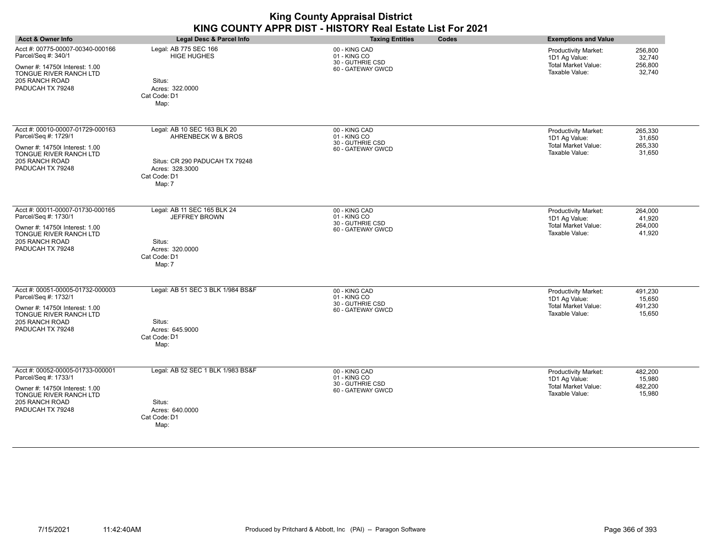| <b>King County Appraisal District</b><br>KING COUNTY APPR DIST - HISTORY Real Estate List For 2021                                                                |                                                                                                                                  |                                                                        |                                                                                                                                        |  |
|-------------------------------------------------------------------------------------------------------------------------------------------------------------------|----------------------------------------------------------------------------------------------------------------------------------|------------------------------------------------------------------------|----------------------------------------------------------------------------------------------------------------------------------------|--|
| Acct & Owner Info                                                                                                                                                 | <b>Legal Desc &amp; Parcel Info</b>                                                                                              | Codes<br><b>Taxing Entities</b>                                        | <b>Exemptions and Value</b>                                                                                                            |  |
| Acct #: 00775-00007-00340-000166<br>Parcel/Seq #: 340/1<br>Owner #: 147506 Interest: 1.00<br><b>TONGUE RIVER RANCH LTD</b><br>205 RANCH ROAD<br>PADUCAH TX 79248  | Legal: AB 775 SEC 166<br><b>HIGE HUGHES</b><br>Situs:<br>Acres: 322.0000<br>Cat Code: D1<br>Map:                                 | 00 - KING CAD<br>01 - KING CO<br>30 - GUTHRIE CSD<br>60 - GATEWAY GWCD | 256,800<br>Productivity Market:<br>1D1 Ag Value:<br>32,740<br><b>Total Market Value:</b><br>256,800<br>Taxable Value:<br>32,740        |  |
| Acct #: 00010-00007-01729-000163<br>Parcel/Seq #: 1729/1<br>Owner #: 147506 Interest: 1.00<br>TONGUE RIVER RANCH LTD<br>205 RANCH ROAD<br>PADUCAH TX 79248        | Legal: AB 10 SEC 163 BLK 20<br>AHRENBECK W & BROS<br>Situs: CR 290 PADUCAH TX 79248<br>Acres: 328.3000<br>Cat Code: D1<br>Map: 7 | 00 - KING CAD<br>01 - KING CO<br>30 - GUTHRIE CSD<br>60 - GATEWAY GWCD | Productivity Market:<br>265,330<br>1D1 Ag Value:<br>31,650<br>Total Market Value:<br>265,330<br>Taxable Value:<br>31,650               |  |
| Acct #: 00011-00007-01730-000165<br>Parcel/Seq #: 1730/1<br>Owner #: 147506 Interest: 1.00<br>TONGUE RIVER RANCH LTD<br>205 RANCH ROAD<br>PADUCAH TX 79248        | Legal: AB 11 SEC 165 BLK 24<br><b>JEFFREY BROWN</b><br>Situs:<br>Acres: 320.0000<br>Cat Code: D1<br>Map: 7                       | 00 - KING CAD<br>01 - KING CO<br>30 - GUTHRIE CSD<br>60 - GATEWAY GWCD | Productivity Market:<br>264.000<br>41,920<br>1D1 Ag Value:<br>Total Market Value:<br>264,000<br>Taxable Value:<br>41,920               |  |
| Acct #: 00051-00005-01732-000003<br>Parcel/Seq #: 1732/1<br>Owner #: 147506 Interest: 1.00<br><b>TONGUE RIVER RANCH LTD</b><br>205 RANCH ROAD<br>PADUCAH TX 79248 | Legal: AB 51 SEC 3 BLK 1/984 BS&F<br>Situs:<br>Acres: 645.9000<br>Cat Code: D1<br>Map:                                           | 00 - KING CAD<br>01 - KING CO<br>30 - GUTHRIE CSD<br>60 - GATEWAY GWCD | 491,230<br>Productivity Market:<br>1D1 Ag Value:<br>15,650<br>Total Market Value:<br>491,230<br>Taxable Value:<br>15,650               |  |
| Acct #: 00052-00005-01733-000001<br>Parcel/Seq #: 1733/1<br>Owner #: 147506 Interest: 1.00<br>TONGUE RIVER RANCH LTD<br>205 RANCH ROAD<br>PADUCAH TX 79248        | Legal: AB 52 SEC 1 BLK 1/983 BS&F<br>Situs:<br>Acres: 640.0000<br>Cat Code: D1<br>Map:                                           | 00 - KING CAD<br>01 - KING CO<br>30 - GUTHRIE CSD<br>60 - GATEWAY GWCD | <b>Productivity Market:</b><br>482,200<br>1D1 Ag Value:<br>15,980<br><b>Total Market Value:</b><br>482,200<br>Taxable Value:<br>15,980 |  |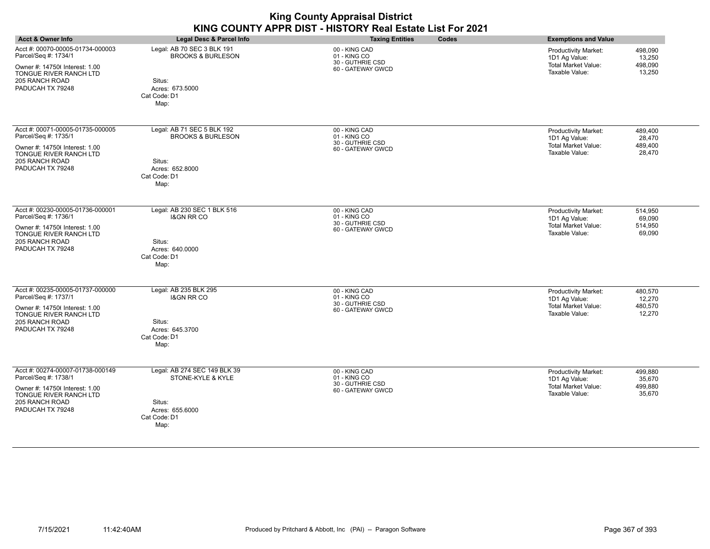| <b>King County Appraisal District</b><br>KING COUNTY APPR DIST - HISTORY Real Estate List For 2021                                                                |                                                                                                                 |                                                                        |                                                                                                                                        |  |
|-------------------------------------------------------------------------------------------------------------------------------------------------------------------|-----------------------------------------------------------------------------------------------------------------|------------------------------------------------------------------------|----------------------------------------------------------------------------------------------------------------------------------------|--|
| <b>Acct &amp; Owner Info</b>                                                                                                                                      | Legal Desc & Parcel Info                                                                                        | Codes<br><b>Taxing Entities</b>                                        | <b>Exemptions and Value</b>                                                                                                            |  |
| Acct #: 00070-00005-01734-000003<br>Parcel/Seq #: 1734/1<br>Owner #: 147506 Interest: 1.00<br>TONGUE RIVER RANCH LTD<br>205 RANCH ROAD<br>PADUCAH TX 79248        | Legal: AB 70 SEC 3 BLK 191<br><b>BROOKS &amp; BURLESON</b><br>Situs:<br>Acres: 673.5000<br>Cat Code: D1<br>Map: | 00 - KING CAD<br>01 - KING CO<br>30 - GUTHRIE CSD<br>60 - GATEWAY GWCD | Productivity Market:<br>498,090<br>1D1 Ag Value:<br>13,250<br><b>Total Market Value:</b><br>498,090<br>Taxable Value:<br>13,250        |  |
| Acct #: 00071-00005-01735-000005<br>Parcel/Seq #: 1735/1<br>Owner #: 147506 Interest: 1.00<br><b>TONGUE RIVER RANCH LTD</b><br>205 RANCH ROAD<br>PADUCAH TX 79248 | Legal: AB 71 SEC 5 BLK 192<br><b>BROOKS &amp; BURLESON</b><br>Situs:<br>Acres: 652.8000<br>Cat Code: D1<br>Map: | 00 - KING CAD<br>01 - KING CO<br>30 - GUTHRIE CSD<br>60 - GATEWAY GWCD | 489,400<br>Productivity Market:<br>1D1 Ag Value:<br>28,470<br><b>Total Market Value:</b><br>489,400<br>Taxable Value:<br>28,470        |  |
| Acct #: 00230-00005-01736-000001<br>Parcel/Seq #: 1736/1<br>Owner #: 147506 Interest: 1.00<br>TONGUE RIVER RANCH LTD<br>205 RANCH ROAD<br>PADUCAH TX 79248        | Legal: AB 230 SEC 1 BLK 516<br><b>I&amp;GN RR CO</b><br>Situs:<br>Acres: 640.0000<br>Cat Code: D1<br>Map:       | 00 - KING CAD<br>01 - KING CO<br>30 - GUTHRIE CSD<br>60 - GATEWAY GWCD | Productivity Market:<br>514,950<br>1D1 Ag Value:<br>69,090<br>Total Market Value:<br>514,950<br>Taxable Value:<br>69,090               |  |
| Acct #: 00235-00005-01737-000000<br>Parcel/Seq #: 1737/1<br>Owner #: 147506 Interest: 1.00<br><b>TONGUE RIVER RANCH LTD</b><br>205 RANCH ROAD<br>PADUCAH TX 79248 | Legal: AB 235 BLK 295<br><b>I&amp;GN RR CO</b><br>Situs:<br>Acres: 645.3700<br>Cat Code: D1<br>Map:             | 00 - KING CAD<br>01 - KING CO<br>30 - GUTHRIE CSD<br>60 - GATEWAY GWCD | Productivity Market:<br>480,570<br>1D1 Ag Value:<br>12,270<br><b>Total Market Value:</b><br>480,570<br>Taxable Value:<br>12,270        |  |
| Acct #: 00274-00007-01738-000149<br>Parcel/Seq #: 1738/1<br>Owner #: 147506 Interest: 1.00<br>TONGUE RIVER RANCH LTD<br>205 RANCH ROAD<br>PADUCAH TX 79248        | Legal: AB 274 SEC 149 BLK 39<br>STONE-KYLE & KYLE<br>Situs:<br>Acres: 655.6000<br>Cat Code: D1<br>Map:          | 00 - KING CAD<br>01 - KING CO<br>30 - GUTHRIE CSD<br>60 - GATEWAY GWCD | 499,880<br><b>Productivity Market:</b><br>35,670<br>1D1 Ag Value:<br><b>Total Market Value:</b><br>499,880<br>Taxable Value:<br>35,670 |  |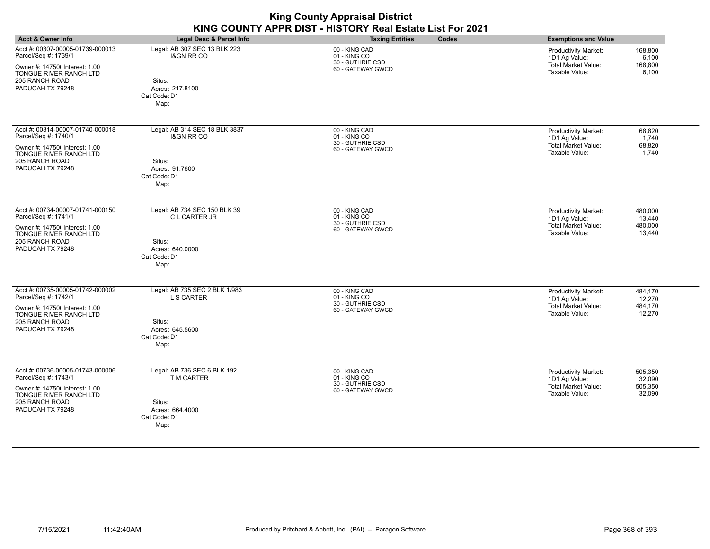|                                                                                                                                                                   |                                                                                                            | .<br>KING COUNTY APPR DIST - HISTORY Real Estate List For 2021         |                                                                                                                                        |
|-------------------------------------------------------------------------------------------------------------------------------------------------------------------|------------------------------------------------------------------------------------------------------------|------------------------------------------------------------------------|----------------------------------------------------------------------------------------------------------------------------------------|
| <b>Acct &amp; Owner Info</b>                                                                                                                                      | <b>Legal Desc &amp; Parcel Info</b>                                                                        | <b>Taxing Entities</b><br>Codes                                        | <b>Exemptions and Value</b>                                                                                                            |
| Acct #: 00307-00005-01739-000013<br>Parcel/Seq #: 1739/1<br>Owner #: 147506 Interest: 1.00<br>TONGUE RIVER RANCH LTD<br>205 RANCH ROAD<br>PADUCAH TX 79248        | Legal: AB 307 SEC 13 BLK 223<br><b>I&amp;GN RR CO</b><br>Situs:<br>Acres: 217.8100<br>Cat Code: D1<br>Map: | 00 - KING CAD<br>01 - KING CO<br>30 - GUTHRIE CSD<br>60 - GATEWAY GWCD | <b>Productivity Market:</b><br>168,800<br>1D1 Ag Value:<br>6,100<br><b>Total Market Value:</b><br>168,800<br>Taxable Value:<br>6,100   |
| Acct #: 00314-00007-01740-000018<br>Parcel/Seq #: 1740/1<br>Owner #: 147506 Interest: 1.00<br><b>TONGUE RIVER RANCH LTD</b><br>205 RANCH ROAD<br>PADUCAH TX 79248 | Legal: AB 314 SEC 18 BLK 3837<br><b>I&amp;GN RR CO</b><br>Situs:<br>Acres: 91.7600<br>Cat Code: D1<br>Map: | 00 - KING CAD<br>01 - KING CO<br>30 - GUTHRIE CSD<br>60 - GATEWAY GWCD | Productivity Market:<br>68,820<br>1D1 Ag Value:<br>1,740<br>Total Market Value:<br>68,820<br>Taxable Value:<br>1,740                   |
| Acct #: 00734-00007-01741-000150<br>Parcel/Seq #: 1741/1<br>Owner #: 147506 Interest: 1.00<br>TONGUE RIVER RANCH LTD<br>205 RANCH ROAD<br>PADUCAH TX 79248        | Legal: AB 734 SEC 150 BLK 39<br>C L CARTER JR<br>Situs:<br>Acres: 640.0000<br>Cat Code: D1<br>Map:         | 00 - KING CAD<br>01 - KING CO<br>30 - GUTHRIE CSD<br>60 - GATEWAY GWCD | Productivity Market:<br>480,000<br>1D1 Ag Value:<br>13,440<br>Total Market Value:<br>480,000<br>Taxable Value:<br>13,440               |
| Acct #: 00735-00005-01742-000002<br>Parcel/Seq #: 1742/1<br>Owner #: 147506 Interest: 1.00<br>TONGUE RIVER RANCH LTD<br>205 RANCH ROAD<br>PADUCAH TX 79248        | Legal: AB 735 SEC 2 BLK 1/983<br>L S CARTER<br>Situs:<br>Acres: 645.5600<br>Cat Code: D1<br>Map:           | 00 - KING CAD<br>01 - KING CO<br>30 - GUTHRIE CSD<br>60 - GATEWAY GWCD | <b>Productivity Market:</b><br>484,170<br>1D1 Ag Value:<br>12,270<br><b>Total Market Value:</b><br>484,170<br>Taxable Value:<br>12,270 |
| Acct #: 00736-00005-01743-000006<br>Parcel/Seq #: 1743/1<br>Owner #: 147506 Interest: 1.00<br>TONGUE RIVER RANCH LTD<br>205 RANCH ROAD<br>PADUCAH TX 79248        | Legal: AB 736 SEC 6 BLK 192<br>T M CARTER<br>Situs:<br>Acres: 664.4000<br>Cat Code: D1<br>Map:             | 00 - KING CAD<br>01 - KING CO<br>30 - GUTHRIE CSD<br>60 - GATEWAY GWCD | <b>Productivity Market:</b><br>505,350<br>1D1 Ag Value:<br>32,090<br>Total Market Value:<br>505,350<br>Taxable Value:<br>32,090        |

## **King County Appraisal District**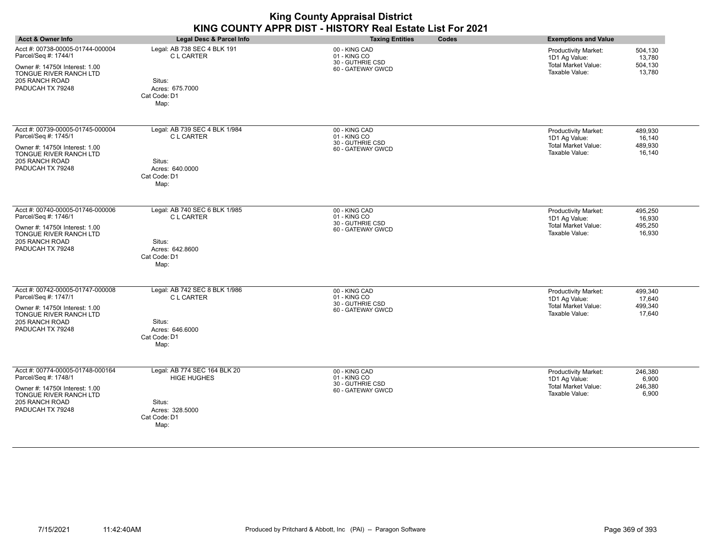| <b>King County Appraisal District</b><br>KING COUNTY APPR DIST - HISTORY Real Estate List For 2021                                                                |                                                                                                         |                                                                        |                                                                                                                                        |  |
|-------------------------------------------------------------------------------------------------------------------------------------------------------------------|---------------------------------------------------------------------------------------------------------|------------------------------------------------------------------------|----------------------------------------------------------------------------------------------------------------------------------------|--|
| <b>Acct &amp; Owner Info</b>                                                                                                                                      | <b>Legal Desc &amp; Parcel Info</b>                                                                     | <b>Taxing Entities</b><br>Codes                                        | <b>Exemptions and Value</b>                                                                                                            |  |
| Acct #: 00738-00005-01744-000004<br>Parcel/Seq #: 1744/1<br>Owner #: 147506 Interest: 1.00<br><b>TONGUE RIVER RANCH LTD</b><br>205 RANCH ROAD<br>PADUCAH TX 79248 | Legal: AB 738 SEC 4 BLK 191<br><b>CLCARTER</b><br>Situs:<br>Acres: 675.7000<br>Cat Code: D1<br>Map:     | 00 - KING CAD<br>01 - KING CO<br>30 - GUTHRIE CSD<br>60 - GATEWAY GWCD | 504,130<br>Productivity Market:<br>1D1 Ag Value:<br>13,780<br><b>Total Market Value:</b><br>504,130<br>Taxable Value:<br>13,780        |  |
| Acct #: 00739-00005-01745-000004<br>Parcel/Seq #: 1745/1<br>Owner #: 147506 Interest: 1.00<br>TONGUE RIVER RANCH LTD<br>205 RANCH ROAD<br>PADUCAH TX 79248        | Legal: AB 739 SEC 4 BLK 1/984<br><b>CLCARTER</b><br>Situs:<br>Acres: 640.0000<br>Cat Code: D1<br>Map:   | 00 - KING CAD<br>01 - KING CO<br>30 - GUTHRIE CSD<br>60 - GATEWAY GWCD | Productivity Market:<br>489,930<br>1D1 Ag Value:<br>16.140<br><b>Total Market Value:</b><br>489.930<br>Taxable Value:<br>16,140        |  |
| Acct #: 00740-00005-01746-000006<br>Parcel/Seq #: 1746/1<br>Owner #: 147506 Interest: 1.00<br><b>TONGUE RIVER RANCH LTD</b><br>205 RANCH ROAD<br>PADUCAH TX 79248 | Legal: AB 740 SEC 6 BLK 1/985<br><b>CLCARTER</b><br>Situs:<br>Acres: 642.8600<br>Cat Code: D1<br>Map:   | 00 - KING CAD<br>01 - KING CO<br>30 - GUTHRIE CSD<br>60 - GATEWAY GWCD | Productivity Market:<br>495,250<br>1D1 Ag Value:<br>16,930<br><b>Total Market Value:</b><br>495,250<br>Taxable Value:<br>16,930        |  |
| Acct #: 00742-00005-01747-000008<br>Parcel/Seq #: 1747/1<br>Owner #: 147506 Interest: 1.00<br>TONGUE RIVER RANCH LTD<br>205 RANCH ROAD<br>PADUCAH TX 79248        | Legal: AB 742 SEC 8 BLK 1/986<br><b>CLCARTER</b><br>Situs:<br>Acres: 646.6000<br>Cat Code: D1<br>Map:   | 00 - KING CAD<br>01 - KING CO<br>30 - GUTHRIE CSD<br>60 - GATEWAY GWCD | <b>Productivity Market:</b><br>499,340<br>1D1 Ag Value:<br>17,640<br><b>Total Market Value:</b><br>499,340<br>Taxable Value:<br>17,640 |  |
| Acct #: 00774-00005-01748-000164<br>Parcel/Seq #: 1748/1<br>Owner #: 147506 Interest: 1.00<br>TONGUE RIVER RANCH LTD<br>205 RANCH ROAD<br>PADUCAH TX 79248        | Legal: AB 774 SEC 164 BLK 20<br><b>HIGE HUGHES</b><br>Situs:<br>Acres: 328,5000<br>Cat Code: D1<br>Map: | 00 - KING CAD<br>01 - KING CO<br>30 - GUTHRIE CSD<br>60 - GATEWAY GWCD | Productivity Market:<br>246,380<br>1D1 Ag Value:<br>6,900<br><b>Total Market Value:</b><br>246,380<br>Taxable Value:<br>6,900          |  |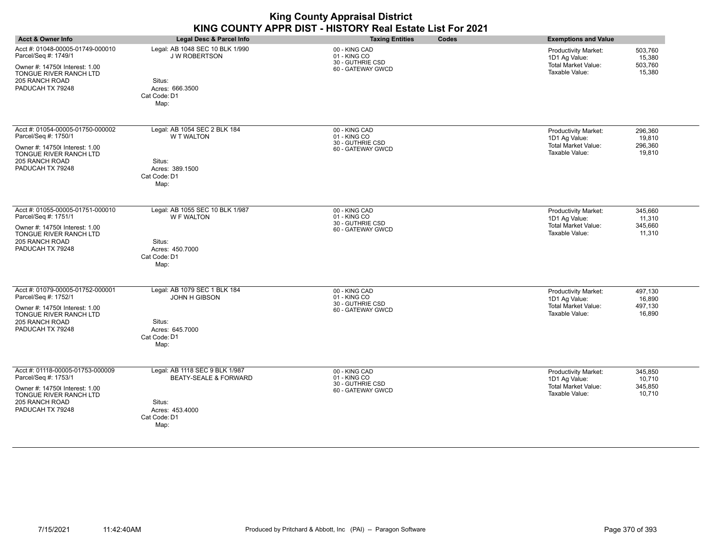| <b>King County Appraisal District</b><br>KING COUNTY APPR DIST - HISTORY Real Estate List For 2021                                                         |                                                                                                                         |                                                                        |                                                                                                                                        |  |
|------------------------------------------------------------------------------------------------------------------------------------------------------------|-------------------------------------------------------------------------------------------------------------------------|------------------------------------------------------------------------|----------------------------------------------------------------------------------------------------------------------------------------|--|
| <b>Acct &amp; Owner Info</b>                                                                                                                               | <b>Legal Desc &amp; Parcel Info</b>                                                                                     | Codes<br><b>Taxing Entities</b>                                        | <b>Exemptions and Value</b>                                                                                                            |  |
| Acct #: 01048-00005-01749-000010<br>Parcel/Seq #: 1749/1<br>Owner #: 147506 Interest: 1.00<br>TONGUE RIVER RANCH LTD<br>205 RANCH ROAD<br>PADUCAH TX 79248 | Legal: AB 1048 SEC 10 BLK 1/990<br><b>J W ROBERTSON</b><br>Situs:<br>Acres: 666.3500<br>Cat Code: D1<br>Map:            | 00 - KING CAD<br>01 - KING CO<br>30 - GUTHRIE CSD<br>60 - GATEWAY GWCD | Productivity Market:<br>503,760<br>1D1 Ag Value:<br>15,380<br><b>Total Market Value:</b><br>503,760<br>Taxable Value:<br>15,380        |  |
| Acct #: 01054-00005-01750-000002<br>Parcel/Seq #: 1750/1<br>Owner #: 147506 Interest: 1.00<br>TONGUE RIVER RANCH LTD<br>205 RANCH ROAD<br>PADUCAH TX 79248 | Legal: AB 1054 SEC 2 BLK 184<br><b>W T WALTON</b><br>Situs:<br>Acres: 389.1500<br>Cat Code: D1<br>Map:                  | 00 - KING CAD<br>01 - KING CO<br>30 - GUTHRIE CSD<br>60 - GATEWAY GWCD | Productivity Market:<br>296,360<br>1D1 Ag Value:<br>19,810<br><b>Total Market Value:</b><br>296,360<br>Taxable Value:<br>19,810        |  |
| Acct #: 01055-00005-01751-000010<br>Parcel/Seq #: 1751/1<br>Owner #: 147506 Interest: 1.00<br>TONGUE RIVER RANCH LTD<br>205 RANCH ROAD<br>PADUCAH TX 79248 | Legal: AB 1055 SEC 10 BLK 1/987<br><b>W F WALTON</b><br>Situs:<br>Acres: 450.7000<br>Cat Code: D1<br>Map:               | 00 - KING CAD<br>01 - KING CO<br>30 - GUTHRIE CSD<br>60 - GATEWAY GWCD | <b>Productivity Market:</b><br>345,660<br>1D1 Ag Value:<br>11,310<br><b>Total Market Value:</b><br>345.660<br>Taxable Value:<br>11,310 |  |
| Acct #: 01079-00005-01752-000001<br>Parcel/Seq #: 1752/1<br>Owner #: 147506 Interest: 1.00<br>TONGUE RIVER RANCH LTD<br>205 RANCH ROAD<br>PADUCAH TX 79248 | Legal: AB 1079 SEC 1 BLK 184<br><b>JOHN H GIBSON</b><br>Situs:<br>Acres: 645.7000<br>Cat Code: D1<br>Map:               | 00 - KING CAD<br>01 - KING CO<br>30 - GUTHRIE CSD<br>60 - GATEWAY GWCD | Productivity Market:<br>497,130<br>1D1 Ag Value:<br>16.890<br>Total Market Value:<br>497,130<br>Taxable Value:<br>16,890               |  |
| Acct #: 01118-00005-01753-000009<br>Parcel/Seq #: 1753/1<br>Owner #: 147506 Interest: 1.00<br>TONGUE RIVER RANCH LTD<br>205 RANCH ROAD<br>PADUCAH TX 79248 | Legal: AB 1118 SEC 9 BLK 1/987<br><b>BEATY-SEALE &amp; FORWARD</b><br>Situs:<br>Acres: 453.4000<br>Cat Code: D1<br>Map: | 00 - KING CAD<br>01 - KING CO<br>30 - GUTHRIE CSD<br>60 - GATEWAY GWCD | Productivity Market:<br>345,850<br>1D1 Ag Value:<br>10,710<br><b>Total Market Value:</b><br>345,850<br>Taxable Value:<br>10,710        |  |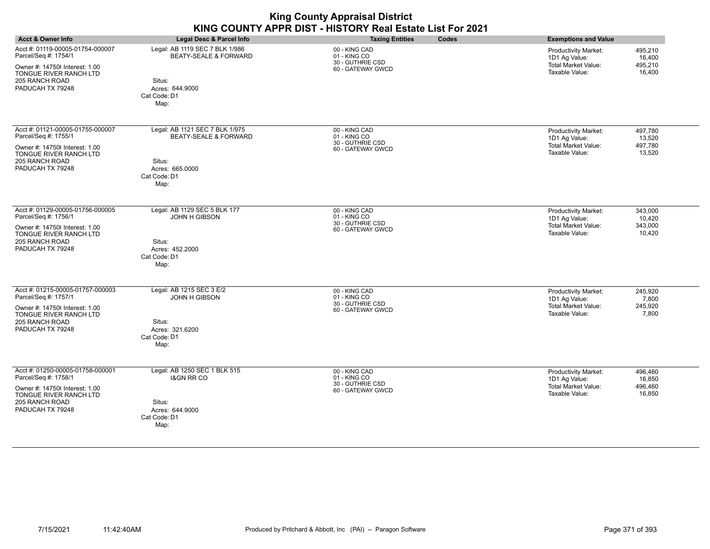| <b>Acct &amp; Owner Info</b>                                                                                                                                      | Legal Desc & Parcel Info                                                                                                | <b>Taxing Entities</b><br>Codes                                        | <b>Exemptions and Value</b>                                                                                                            |
|-------------------------------------------------------------------------------------------------------------------------------------------------------------------|-------------------------------------------------------------------------------------------------------------------------|------------------------------------------------------------------------|----------------------------------------------------------------------------------------------------------------------------------------|
| Acct #: 01119-00005-01754-000007<br>Parcel/Seq #: 1754/1<br>Owner #: 147506 Interest: 1.00<br><b>TONGUE RIVER RANCH LTD</b><br>205 RANCH ROAD<br>PADUCAH TX 79248 | Legal: AB 1119 SEC 7 BLK 1/986<br><b>BEATY-SEALE &amp; FORWARD</b><br>Situs:<br>Acres: 644.9000<br>Cat Code: D1<br>Map: | 00 - KING CAD<br>01 - KING CO<br>30 - GUTHRIE CSD<br>60 - GATEWAY GWCD | 495,210<br><b>Productivity Market:</b><br>1D1 Ag Value:<br>16,400<br>Total Market Value:<br>495,210<br>Taxable Value:<br>16,400        |
| Acct #: 01121-00005-01755-000007<br>Parcel/Seq #: 1755/1<br>Owner #: 147506 Interest: 1.00<br><b>TONGUE RIVER RANCH LTD</b><br>205 RANCH ROAD<br>PADUCAH TX 79248 | Legal: AB 1121 SEC 7 BLK 1/975<br><b>BEATY-SEALE &amp; FORWARD</b><br>Situs:<br>Acres: 665.0000<br>Cat Code: D1<br>Map: | 00 - KING CAD<br>01 - KING CO<br>30 - GUTHRIE CSD<br>60 - GATEWAY GWCD | <b>Productivity Market:</b><br>497,780<br>1D1 Ag Value:<br>13,520<br>Total Market Value:<br>497,780<br>Taxable Value:<br>13,520        |
| Acct #: 01129-00005-01756-000005<br>Parcel/Seq #: 1756/1<br>Owner #: 147506 Interest: 1.00<br>TONGUE RIVER RANCH LTD<br>205 RANCH ROAD<br>PADUCAH TX 79248        | Legal: AB 1129 SEC 5 BLK 177<br><b>JOHN H GIBSON</b><br>Situs:<br>Acres: 452.2000<br>Cat Code: D1<br>Map:               | 00 - KING CAD<br>01 - KING CO<br>30 - GUTHRIE CSD<br>60 - GATEWAY GWCD | <b>Productivity Market:</b><br>343,000<br>1D1 Ag Value:<br>10,420<br><b>Total Market Value:</b><br>343,000<br>Taxable Value:<br>10,420 |
| Acct #: 01215-00005-01757-000003<br>Parcel/Seq #: 1757/1<br>Owner #: 147506 Interest: 1.00<br><b>TONGUE RIVER RANCH LTD</b><br>205 RANCH ROAD<br>PADUCAH TX 79248 | Legal: AB 1215 SEC 3 E/2<br>JOHN H GIBSON<br>Situs:<br>Acres: 321.6200<br>Cat Code: D1<br>Map:                          | 00 - KING CAD<br>01 - KING CO<br>30 - GUTHRIE CSD<br>60 - GATEWAY GWCD | 245,920<br><b>Productivity Market:</b><br>1D1 Ag Value:<br>7,800<br><b>Total Market Value:</b><br>245,920<br>Taxable Value:<br>7,800   |
| Acct #: 01250-00005-01758-000001<br>Parcel/Seq #: 1758/1<br>Owner #: 147506 Interest: 1.00<br>TONGUE RIVER RANCH LTD<br>205 RANCH ROAD<br>PADUCAH TX 79248        | Legal: AB 1250 SEC 1 BLK 515<br><b>I&amp;GN RR CO</b><br>Situs:<br>Acres: 644.9000<br>Cat Code: D1<br>Map:              | 00 - KING CAD<br>01 - KING CO<br>30 - GUTHRIE CSD<br>60 - GATEWAY GWCD | <b>Productivity Market:</b><br>496,460<br>1D1 Ag Value:<br>16,850<br><b>Total Market Value:</b><br>496,460<br>Taxable Value:<br>16,850 |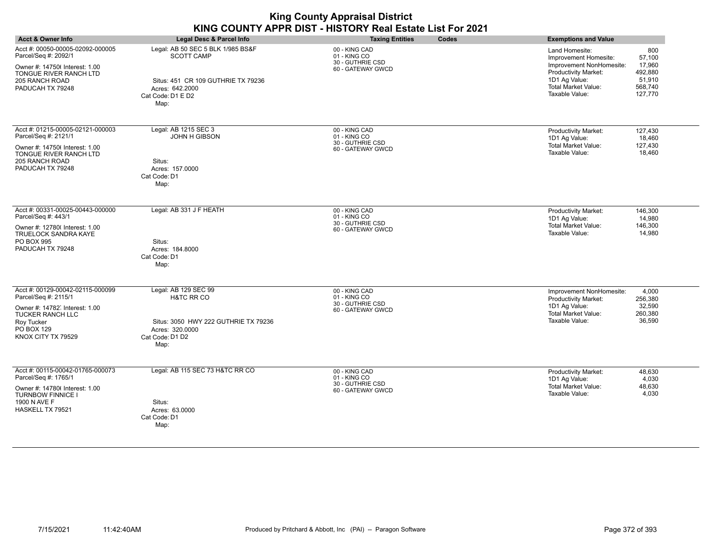| <b>Acct &amp; Owner Info</b>                                                                                                                                            | <b>Legal Desc &amp; Parcel Info</b>                                                                                                          | <b>Taxing Entities</b><br>Codes                                        | <b>Exemptions and Value</b>                                                                                                                                                                                                 |
|-------------------------------------------------------------------------------------------------------------------------------------------------------------------------|----------------------------------------------------------------------------------------------------------------------------------------------|------------------------------------------------------------------------|-----------------------------------------------------------------------------------------------------------------------------------------------------------------------------------------------------------------------------|
| Acct #: 00050-00005-02092-000005<br>Parcel/Seq #: 2092/1<br>Owner #: 147506 Interest: 1.00<br>TONGUE RIVER RANCH LTD<br>205 RANCH ROAD<br>PADUCAH TX 79248              | Legal: AB 50 SEC 5 BLK 1/985 BS&F<br><b>SCOTT CAMP</b><br>Situs: 451 CR 109 GUTHRIE TX 79236<br>Acres: 642.2000<br>Cat Code: D1 E D2<br>Map: | 00 - KING CAD<br>01 - KING CO<br>30 - GUTHRIE CSD<br>60 - GATEWAY GWCD | 800<br>Land Homesite:<br>Improvement Homesite:<br>57,100<br>17,960<br>Improvement NonHomesite:<br>Productivity Market:<br>492,880<br>1D1 Ag Value:<br>51,910<br>Total Market Value:<br>568,740<br>Taxable Value:<br>127,770 |
| Acct #: 01215-00005-02121-000003<br>Parcel/Seq #: 2121/1<br>Owner #: 147506 Interest: 1.00<br>TONGUE RIVER RANCH LTD<br>205 RANCH ROAD<br>PADUCAH TX 79248              | Legal: AB 1215 SEC 3<br>JOHN H GIBSON<br>Situs:<br>Acres: 157.0000<br>Cat Code: D1<br>Map:                                                   | 00 - KING CAD<br>01 - KING CO<br>30 - GUTHRIE CSD<br>60 - GATEWAY GWCD | Productivity Market:<br>127,430<br>1D1 Ag Value:<br>18,460<br><b>Total Market Value:</b><br>127,430<br>Taxable Value:<br>18,460                                                                                             |
| Acct #: 00331-00025-00443-000000<br>Parcel/Seq #: 443/1<br>Owner #: 12780( Interest: 1.00<br><b>TRUELOCK SANDRA KAYE</b><br>PO BOX 995<br>PADUCAH TX 79248              | Legal: AB 331 J F HEATH<br>Situs:<br>Acres: 184,8000<br>Cat Code: D1<br>Map:                                                                 | 00 - KING CAD<br>01 - KING CO<br>30 - GUTHRIE CSD<br>60 - GATEWAY GWCD | 146,300<br><b>Productivity Market:</b><br>1D1 Ag Value:<br>14,980<br><b>Total Market Value:</b><br>146,300<br>Taxable Value:<br>14,980                                                                                      |
| Acct #: 00129-00042-02115-000099<br>Parcel/Seq #: 2115/1<br>Owner #: 14782, Interest: 1.00<br><b>TUCKER RANCH LLC</b><br>Roy Tucker<br>PO BOX 129<br>KNOX CITY TX 79529 | Legal: AB 129 SEC 99<br><b>H&amp;TC RR CO</b><br>Situs: 3050 HWY 222 GUTHRIE TX 79236<br>Acres: 320.0000<br>Cat Code: D1 D2<br>Map:          | 00 - KING CAD<br>01 - KING CO<br>30 - GUTHRIE CSD<br>60 - GATEWAY GWCD | 4,000<br>Improvement NonHomesite:<br>Productivity Market:<br>256.380<br>1D1 Ag Value:<br>32,590<br><b>Total Market Value:</b><br>260,380<br>Taxable Value:<br>36,590                                                        |
| Acct #: 00115-00042-01765-000073<br>Parcel/Seq #: 1765/1<br>Owner #: 147806 Interest: 1.00<br><b>TURNBOW FINNICE I</b><br>1900 N AVE F<br>HASKELL TX 79521              | Legal: AB 115 SEC 73 H&TC RR CO<br>Situs:<br>Acres: 63.0000<br>Cat Code: D1<br>Map:                                                          | 00 - KING CAD<br>01 - KING CO<br>30 - GUTHRIE CSD<br>60 - GATEWAY GWCD | 48,630<br>Productivity Market:<br>1D1 Ag Value:<br>4,030<br><b>Total Market Value:</b><br>48,630<br>Taxable Value:<br>4,030                                                                                                 |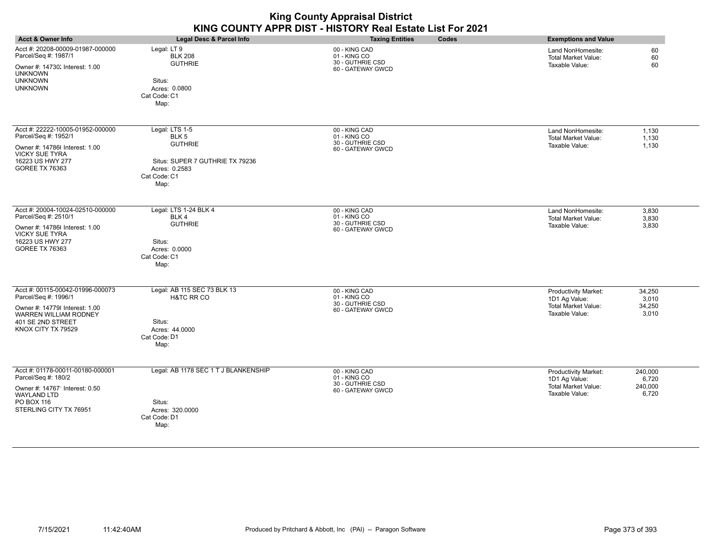|                                                                                                                                                                       |                                                                                                                                  | <b>King County Appraisal District</b><br>KING COUNTY APPR DIST - HISTORY Real Estate List For 2021 |                                                                                                                                      |
|-----------------------------------------------------------------------------------------------------------------------------------------------------------------------|----------------------------------------------------------------------------------------------------------------------------------|----------------------------------------------------------------------------------------------------|--------------------------------------------------------------------------------------------------------------------------------------|
| <b>Acct &amp; Owner Info</b>                                                                                                                                          | Legal Desc & Parcel Info                                                                                                         | Codes<br><b>Taxing Entities</b>                                                                    | <b>Exemptions and Value</b>                                                                                                          |
| Acct #: 20208-00009-01987-000000<br>Parcel/Seq #: 1987/1<br>Owner #: 14730; Interest: 1.00<br><b>UNKNOWN</b><br><b>UNKNOWN</b><br><b>UNKNOWN</b>                      | Legal: LT 9<br><b>BLK 208</b><br><b>GUTHRIE</b><br>Situs:<br>Acres: 0.0800<br>Cat Code: C1<br>Map:                               | 00 - KING CAD<br>01 - KING CO<br>30 - GUTHRIE CSD<br>60 - GATEWAY GWCD                             | Land NonHomesite:<br>60<br>60<br><b>Total Market Value:</b><br>Taxable Value:<br>60                                                  |
| Acct #: 22222-10005-01952-000000<br>Parcel/Seq #: 1952/1<br>Owner #: 14786(Interest: 1.00<br><b>VICKY SUE TYRA</b><br>16223 US HWY 277<br><b>GOREE TX 76363</b>       | Legal: LTS 1-5<br>BLK <sub>5</sub><br><b>GUTHRIE</b><br>Situs: SUPER 7 GUTHRIE TX 79236<br>Acres: 0.2583<br>Cat Code: C1<br>Map: | 00 - KING CAD<br>01 - KING CO<br>30 - GUTHRIE CSD<br>60 - GATEWAY GWCD                             | 1,130<br>Land NonHomesite:<br>Total Market Value:<br>1,130<br>1,130<br>Taxable Value:                                                |
| Acct #: 20004-10024-02510-000000<br>Parcel/Seq #: 2510/1<br>Owner #: 14786( Interest: 1.00<br><b>VICKY SUE TYRA</b><br>16223 US HWY 277<br><b>GOREE TX 76363</b>      | Legal: LTS 1-24 BLK 4<br>BLK4<br><b>GUTHRIE</b><br>Situs:<br>Acres: 0.0000<br>Cat Code: C1<br>Map:                               | 00 - KING CAD<br>01 - KING CO<br>30 - GUTHRIE CSD<br>60 - GATEWAY GWCD                             | Land NonHomesite:<br>3,830<br>3,830<br>Total Market Value:<br>Taxable Value:<br>3,830                                                |
| Acct #: 00115-00042-01996-000073<br>Parcel/Seq #: 1996/1<br>Owner #: 147798 Interest: 1.00<br><b>WARREN WILLIAM RODNEY</b><br>401 SE 2ND STREET<br>KNOX CITY TX 79529 | Legal: AB 115 SEC 73 BLK 13<br>H&TC RR CO<br>Situs:<br>Acres: 44.0000<br>Cat Code: D1<br>Map:                                    | 00 - KING CAD<br>01 - KING CO<br>30 - GUTHRIE CSD<br>60 - GATEWAY GWCD                             | Productivity Market:<br>34,250<br>1D1 Ag Value:<br>3,010<br><b>Total Market Value:</b><br>34,250<br>Taxable Value:<br>3,010          |
| Acct #: 01178-00011-00180-000001<br>Parcel/Seq #: 180/2<br>Owner #: 14767' Interest: 0.50<br><b>WAYLAND LTD</b><br>PO BOX 116<br>STERLING CITY TX 76951               | Legal: AB 1178 SEC 1 T J BLANKENSHIP<br>Situs:<br>Acres: 320.0000<br>Cat Code: D1<br>Map:                                        | 00 - KING CAD<br>01 - KING CO<br>30 - GUTHRIE CSD<br>60 - GATEWAY GWCD                             | <b>Productivity Market:</b><br>240,000<br>1D1 Ag Value:<br>6,720<br><b>Total Market Value:</b><br>240,000<br>Taxable Value:<br>6,720 |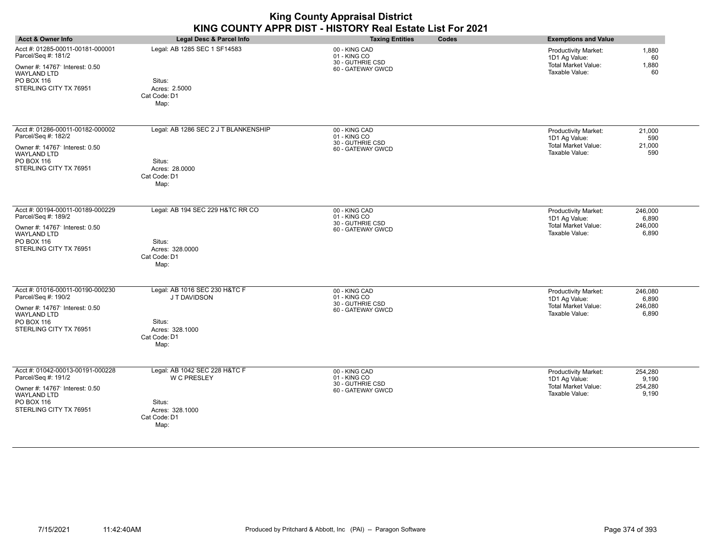| <b>Acct &amp; Owner Info</b>                                                                                                                            | Legal Desc & Parcel Info                                                                           | <b>Taxing Entities</b><br>Codes                                        | <b>Exemptions and Value</b>                                                                                                          |
|---------------------------------------------------------------------------------------------------------------------------------------------------------|----------------------------------------------------------------------------------------------------|------------------------------------------------------------------------|--------------------------------------------------------------------------------------------------------------------------------------|
| Acct #: 01285-00011-00181-000001<br>Parcel/Seq #: 181/2<br>Owner #: 14767' Interest: 0.50<br><b>WAYLAND LTD</b><br>PO BOX 116<br>STERLING CITY TX 76951 | Legal: AB 1285 SEC 1 SF14583<br>Situs:<br>Acres: 2.5000<br>Cat Code: D1<br>Map:                    | 00 - KING CAD<br>01 - KING CO<br>30 - GUTHRIE CSD<br>60 - GATEWAY GWCD | 1,880<br>Productivity Market:<br>1D1 Ag Value:<br>60<br><b>Total Market Value:</b><br>1,880<br>Taxable Value:<br>60                  |
| Acct #: 01286-00011-00182-000002<br>Parcel/Seq #: 182/2<br>Owner #: 14767' Interest: 0.50<br><b>WAYLAND LTD</b><br>PO BOX 116<br>STERLING CITY TX 76951 | Legal: AB 1286 SEC 2 J T BLANKENSHIP<br>Situs:<br>Acres: 28.0000<br>Cat Code: D1<br>Map:           | 00 - KING CAD<br>01 - KING CO<br>30 - GUTHRIE CSD<br>60 - GATEWAY GWCD | Productivity Market:<br>21,000<br>1D1 Ag Value:<br>590<br>Total Market Value:<br>21,000<br>Taxable Value:<br>590                     |
| Acct #: 00194-00011-00189-000229<br>Parcel/Seq #: 189/2<br>Owner #: 14767' Interest: 0.50<br><b>WAYLAND LTD</b><br>PO BOX 116<br>STERLING CITY TX 76951 | Legal: AB 194 SEC 229 H&TC RR CO<br>Situs:<br>Acres: 328.0000<br>Cat Code: D1<br>Map:              | 00 - KING CAD<br>01 - KING CO<br>30 - GUTHRIE CSD<br>60 - GATEWAY GWCD | <b>Productivity Market:</b><br>246,000<br>1D1 Ag Value:<br>6,890<br><b>Total Market Value:</b><br>246,000<br>6,890<br>Taxable Value: |
| Acct #: 01016-00011-00190-000230<br>Parcel/Seq #: 190/2<br>Owner #: 14767' Interest: 0.50<br><b>WAYLAND LTD</b><br>PO BOX 116<br>STERLING CITY TX 76951 | Legal: AB 1016 SEC 230 H&TC F<br>J T DAVIDSON<br>Situs:<br>Acres: 328.1000<br>Cat Code: D1<br>Map: | 00 - KING CAD<br>01 - KING CO<br>30 - GUTHRIE CSD<br>60 - GATEWAY GWCD | Productivity Market:<br>246,080<br>6,890<br>1D1 Ag Value:<br>Total Market Value:<br>246,080<br>Taxable Value:<br>6,890               |
| Acct #: 01042-00013-00191-000228<br>Parcel/Seq #: 191/2<br>Owner #: 14767' Interest: 0.50<br><b>WAYLAND LTD</b><br>PO BOX 116<br>STERLING CITY TX 76951 | Legal: AB 1042 SEC 228 H&TC F<br>W C PRESLEY<br>Situs:<br>Acres: 328.1000<br>Cat Code: D1<br>Map:  | 00 - KING CAD<br>01 - KING CO<br>30 - GUTHRIE CSD<br>60 - GATEWAY GWCD | <b>Productivity Market:</b><br>254,280<br>1D1 Ag Value:<br>9,190<br><b>Total Market Value:</b><br>254,280<br>Taxable Value:<br>9,190 |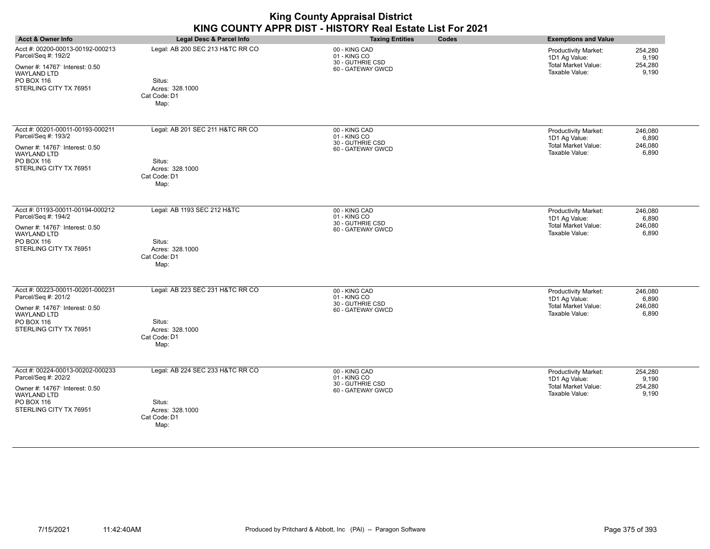| <b>Acct &amp; Owner Info</b>                                                                                                                            | Legal Desc & Parcel Info                                                              | <b>Taxing Entities</b><br>Codes                                        | <b>Exemptions and Value</b>                                                                                                   |
|---------------------------------------------------------------------------------------------------------------------------------------------------------|---------------------------------------------------------------------------------------|------------------------------------------------------------------------|-------------------------------------------------------------------------------------------------------------------------------|
| Acct #: 00200-00013-00192-000213<br>Parcel/Seq #: 192/2<br>Owner #: 14767' Interest: 0.50<br><b>WAYLAND LTD</b><br>PO BOX 116<br>STERLING CITY TX 76951 | Legal: AB 200 SEC 213 H&TC RR CO<br>Situs:<br>Acres: 328.1000<br>Cat Code: D1<br>Map: | 00 - KING CAD<br>01 - KING CO<br>30 - GUTHRIE CSD<br>60 - GATEWAY GWCD | 254,280<br>Productivity Market:<br>1D1 Ag Value:<br>9,190<br><b>Total Market Value:</b><br>254,280<br>Taxable Value:<br>9,190 |
| Acct #: 00201-00011-00193-000211<br>Parcel/Seq #: 193/2<br>Owner #: 14767' Interest: 0.50<br><b>WAYLAND LTD</b><br>PO BOX 116<br>STERLING CITY TX 76951 | Legal: AB 201 SEC 211 H&TC RR CO<br>Situs:<br>Acres: 328.1000<br>Cat Code: D1<br>Map: | 00 - KING CAD<br>01 - KING CO<br>30 - GUTHRIE CSD<br>60 - GATEWAY GWCD | Productivity Market:<br>246,080<br>1D1 Ag Value:<br>6,890<br>Total Market Value:<br>246,080<br>Taxable Value:<br>6,890        |
| Acct #: 01193-00011-00194-000212<br>Parcel/Seq #: 194/2<br>Owner #: 14767' Interest: 0.50<br><b>WAYLAND LTD</b><br>PO BOX 116<br>STERLING CITY TX 76951 | Legal: AB 1193 SEC 212 H&TC<br>Situs:<br>Acres: 328.1000<br>Cat Code: D1<br>Map:      | 00 - KING CAD<br>01 - KING CO<br>30 - GUTHRIE CSD<br>60 - GATEWAY GWCD | 246,080<br>Productivity Market:<br>1D1 Ag Value:<br>6,890<br><b>Total Market Value:</b><br>246,080<br>Taxable Value:<br>6,890 |
| Acct #: 00223-00011-00201-000231<br>Parcel/Seq #: 201/2<br>Owner #: 14767' Interest: 0.50<br><b>WAYLAND LTD</b><br>PO BOX 116<br>STERLING CITY TX 76951 | Legal: AB 223 SEC 231 H&TC RR CO<br>Situs:<br>Acres: 328.1000<br>Cat Code: D1<br>Map: | 00 - KING CAD<br>01 - KING CO<br>30 - GUTHRIE CSD<br>60 - GATEWAY GWCD | Productivity Market:<br>246,080<br>1D1 Ag Value:<br>6,890<br><b>Total Market Value:</b><br>246,080<br>Taxable Value:<br>6,890 |
| Acct #: 00224-00013-00202-000233<br>Parcel/Seq #: 202/2<br>Owner #: 14767' Interest: 0.50<br>WAYLAND LTD<br>PO BOX 116<br>STERLING CITY TX 76951        | Legal: AB 224 SEC 233 H&TC RR CO<br>Situs:<br>Acres: 328.1000<br>Cat Code: D1<br>Map: | 00 - KING CAD<br>01 - KING CO<br>30 - GUTHRIE CSD<br>60 - GATEWAY GWCD | 254,280<br>Productivity Market:<br>1D1 Ag Value:<br>9,190<br>254,280<br><b>Total Market Value:</b><br>Taxable Value:<br>9,190 |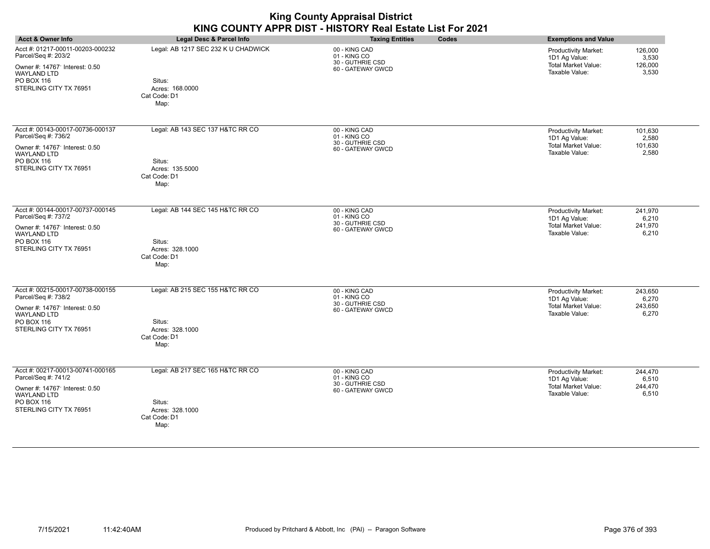| <b>Acct &amp; Owner Info</b>                                                                                                                            | Legal Desc & Parcel Info                                                                 | <b>Taxing Entities</b><br>Codes                                        | <b>Exemptions and Value</b>                                                                                                          |
|---------------------------------------------------------------------------------------------------------------------------------------------------------|------------------------------------------------------------------------------------------|------------------------------------------------------------------------|--------------------------------------------------------------------------------------------------------------------------------------|
| Acct #: 01217-00011-00203-000232<br>Parcel/Seq #: 203/2<br>Owner #: 14767' Interest: 0.50<br><b>WAYLAND LTD</b><br>PO BOX 116<br>STERLING CITY TX 76951 | Legal: AB 1217 SEC 232 K U CHADWICK<br>Situs:<br>Acres: 168,0000<br>Cat Code: D1<br>Map: | 00 - KING CAD<br>01 - KING CO<br>30 - GUTHRIE CSD<br>60 - GATEWAY GWCD | 126,000<br><b>Productivity Market:</b><br>1D1 Ag Value:<br>3,530<br><b>Total Market Value:</b><br>126,000<br>Taxable Value:<br>3,530 |
| Acct #: 00143-00017-00736-000137<br>Parcel/Seq #: 736/2<br>Owner #: 14767' Interest: 0.50<br><b>WAYLAND LTD</b><br>PO BOX 116<br>STERLING CITY TX 76951 | Legal: AB 143 SEC 137 H&TC RR CO<br>Situs:<br>Acres: 135.5000<br>Cat Code: D1<br>Map:    | 00 - KING CAD<br>01 - KING CO<br>30 - GUTHRIE CSD<br>60 - GATEWAY GWCD | 101,630<br>Productivity Market:<br>1D1 Ag Value:<br>2,580<br>Total Market Value:<br>101,630<br>Taxable Value:<br>2,580               |
| Acct #: 00144-00017-00737-000145<br>Parcel/Seq #: 737/2<br>Owner #: 14767' Interest: 0.50<br>WAYLAND LTD<br>PO BOX 116<br>STERLING CITY TX 76951        | Legal: AB 144 SEC 145 H&TC RR CO<br>Situs:<br>Acres: 328.1000<br>Cat Code: D1<br>Map:    | 00 - KING CAD<br>01 - KING CO<br>30 - GUTHRIE CSD<br>60 - GATEWAY GWCD | Productivity Market:<br>241,970<br>1D1 Ag Value:<br>6,210<br>Total Market Value:<br>241,970<br>Taxable Value:<br>6,210               |
| Acct #: 00215-00017-00738-000155<br>Parcel/Seq #: 738/2<br>Owner #: 14767' Interest: 0.50<br><b>WAYLAND LTD</b><br>PO BOX 116<br>STERLING CITY TX 76951 | Legal: AB 215 SEC 155 H&TC RR CO<br>Situs:<br>Acres: 328.1000<br>Cat Code: D1<br>Map:    | 00 - KING CAD<br>01 - KING CO<br>30 - GUTHRIE CSD<br>60 - GATEWAY GWCD | Productivity Market:<br>243.650<br>1D1 Ag Value:<br>6,270<br>Total Market Value:<br>243,650<br>Taxable Value:<br>6,270               |
| Acct #: 00217-00013-00741-000165<br>Parcel/Seq #: 741/2<br>Owner #: 14767' Interest: 0.50<br>WAYLAND LTD<br>PO BOX 116<br>STERLING CITY TX 76951        | Legal: AB 217 SEC 165 H&TC RR CO<br>Situs:<br>Acres: 328.1000<br>Cat Code: D1<br>Map:    | 00 - KING CAD<br>01 - KING CO<br>30 - GUTHRIE CSD<br>60 - GATEWAY GWCD | Productivity Market:<br>244,470<br>1D1 Ag Value:<br>6,510<br><b>Total Market Value:</b><br>244,470<br>Taxable Value:<br>6,510        |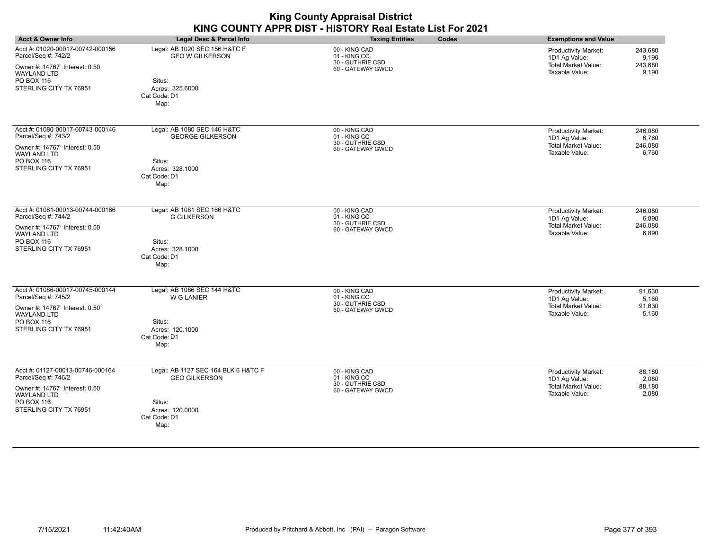|                                                                                                                                                         |                                                                                                                  | <b>King County Appraisal District</b><br>KING COUNTY APPR DIST - HISTORY Real Estate List For 2021 |                                                                                                                                    |
|---------------------------------------------------------------------------------------------------------------------------------------------------------|------------------------------------------------------------------------------------------------------------------|----------------------------------------------------------------------------------------------------|------------------------------------------------------------------------------------------------------------------------------------|
| <b>Acct &amp; Owner Info</b>                                                                                                                            | <b>Legal Desc &amp; Parcel Info</b>                                                                              | Codes<br><b>Taxing Entities</b>                                                                    | <b>Exemptions and Value</b>                                                                                                        |
| Acct #: 01020-00017-00742-000156<br>Parcel/Seq #: 742/2<br>Owner #: 14767 Interest: 0.50<br><b>WAYLAND LTD</b><br>PO BOX 116<br>STERLING CITY TX 76951  | Legal: AB 1020 SEC 156 H&TC F<br><b>GEO W GILKERSON</b><br>Situs:<br>Acres: 325,6000<br>Cat Code: D1<br>Map:     | 00 - KING CAD<br>01 - KING CO<br>30 - GUTHRIE CSD<br>60 - GATEWAY GWCD                             | Productivity Market:<br>243,680<br>1D1 Ag Value:<br>9,190<br><b>Total Market Value:</b><br>243,680<br>Taxable Value:<br>9,190      |
| Acct #: 01080-00017-00743-000146<br>Parcel/Seq #: 743/2<br>Owner #: 14767 Interest: 0.50<br><b>WAYLAND LTD</b><br>PO BOX 116<br>STERLING CITY TX 76951  | Legal: AB 1080 SEC 146 H&TC<br><b>GEORGE GILKERSON</b><br>Situs:<br>Acres: 328.1000<br>Cat Code: D1<br>Map:      | 00 - KING CAD<br>01 - KING CO<br>30 - GUTHRIE CSD<br>60 - GATEWAY GWCD                             | Productivity Market:<br>246,080<br>1D1 Ag Value:<br>6,760<br><b>Total Market Value:</b><br>246,080<br>Taxable Value:<br>6,760      |
| Acct #: 01081-00013-00744-000166<br>Parcel/Seq #: 744/2<br>Owner #: 14767' Interest: 0.50<br><b>WAYLAND LTD</b><br>PO BOX 116<br>STERLING CITY TX 76951 | Legal: AB 1081 SEC 166 H&TC<br><b>G GILKERSON</b><br>Situs:<br>Acres: 328.1000<br>Cat Code: D1<br>Map:           | 00 - KING CAD<br>01 - KING CO<br>30 - GUTHRIE CSD<br>60 - GATEWAY GWCD                             | 246,080<br>Productivity Market:<br>1D1 Ag Value:<br>6,890<br><b>Total Market Value:</b><br>246,080<br>Taxable Value:<br>6,890      |
| Acct #: 01086-00017-00745-000144<br>Parcel/Seq #: 745/2<br>Owner #: 14767' Interest: 0.50<br><b>WAYLAND LTD</b><br>PO BOX 116<br>STERLING CITY TX 76951 | Legal: AB 1086 SEC 144 H&TC<br><b>W G LANIER</b><br>Situs:<br>Acres: 120.1000<br>Cat Code: D1<br>Map:            | 00 - KING CAD<br>01 - KING CO<br>30 - GUTHRIE CSD<br>60 - GATEWAY GWCD                             | <b>Productivity Market:</b><br>91,630<br>1D1 Ag Value:<br>5,160<br><b>Total Market Value:</b><br>91,630<br>Taxable Value:<br>5,160 |
| Acct #: 01127-00013-00746-000164<br>Parcel/Seq #: 746/2<br>Owner #: 14767 Interest: 0.50<br><b>WAYLAND LTD</b><br>PO BOX 116<br>STERLING CITY TX 76951  | Legal: AB 1127 SEC 164 BLK 6 H&TC F<br><b>GEO GILKERSON</b><br>Situs:<br>Acres: 120.0000<br>Cat Code: D1<br>Map: | 00 - KING CAD<br>01 - KING CO<br>30 - GUTHRIE CSD<br>60 - GATEWAY GWCD                             | Productivity Market:<br>88,180<br>1D1 Ag Value:<br>2,080<br><b>Total Market Value:</b><br>88,180<br>Taxable Value:<br>2,080        |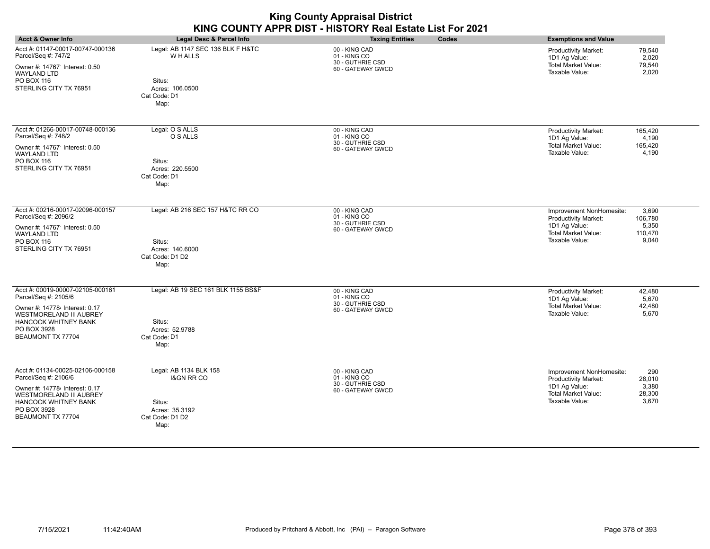| <b>Acct &amp; Owner Info</b>                                                                                                                                                                    | Legal Desc & Parcel Info                                                                                | <b>Taxing Entities</b><br>Codes                                        | <b>Exemptions and Value</b>                                                                                                                                               |
|-------------------------------------------------------------------------------------------------------------------------------------------------------------------------------------------------|---------------------------------------------------------------------------------------------------------|------------------------------------------------------------------------|---------------------------------------------------------------------------------------------------------------------------------------------------------------------------|
| Acct #: 01147-00017-00747-000136<br>Parcel/Seq #: 747/2<br>Owner #: 14767' Interest: 0.50<br><b>WAYLAND LTD</b><br>PO BOX 116<br>STERLING CITY TX 76951                                         | Legal: AB 1147 SEC 136 BLK F H&TC<br><b>WHALLS</b><br>Situs:<br>Acres: 106.0500<br>Cat Code: D1<br>Map: | 00 - KING CAD<br>01 - KING CO<br>30 - GUTHRIE CSD<br>60 - GATEWAY GWCD | Productivity Market:<br>79,540<br>2,020<br>1D1 Ag Value:<br><b>Total Market Value:</b><br>79,540<br>2,020<br>Taxable Value:                                               |
| Acct #: 01266-00017-00748-000136<br>Parcel/Seq #: 748/2<br>Owner #: 14767' Interest: 0.50<br><b>WAYLAND LTD</b><br>PO BOX 116<br>STERLING CITY TX 76951                                         | Legal: O S ALLS<br>O S ALLS<br>Situs:<br>Acres: 220.5500<br>Cat Code: D1<br>Map:                        | 00 - KING CAD<br>01 - KING CO<br>30 - GUTHRIE CSD<br>60 - GATEWAY GWCD | Productivity Market:<br>165,420<br>1D1 Ag Value:<br>4,190<br><b>Total Market Value:</b><br>165,420<br>Taxable Value:<br>4,190                                             |
| Acct #: 00216-00017-02096-000157<br>Parcel/Seq #: 2096/2<br>Owner #: 14767' Interest: 0.50<br><b>WAYLAND LTD</b><br>PO BOX 116<br>STERLING CITY TX 76951                                        | Legal: AB 216 SEC 157 H&TC RR CO<br>Situs:<br>Acres: 140,6000<br>Cat Code: D1 D2<br>Map:                | 00 - KING CAD<br>01 - KING CO<br>30 - GUTHRIE CSD<br>60 - GATEWAY GWCD | Improvement NonHomesite:<br>3,690<br>106,780<br><b>Productivity Market:</b><br>1D1 Ag Value:<br>5,350<br><b>Total Market Value:</b><br>110,470<br>Taxable Value:<br>9,040 |
| Acct #: 00019-00007-02105-000161<br>Parcel/Seq #: 2105/6<br>Owner #: 147784 Interest: 0.17<br><b>WESTMORELAND III AUBREY</b><br><b>HANCOCK WHITNEY BANK</b><br>PO BOX 3928<br>BEAUMONT TX 77704 | Legal: AB 19 SEC 161 BLK 1155 BS&F<br>Situs:<br>Acres: 52.9788<br>Cat Code: D1<br>Map:                  | 00 - KING CAD<br>01 - KING CO<br>30 - GUTHRIE CSD<br>60 - GATEWAY GWCD | 42,480<br>Productivity Market:<br>1D1 Ag Value:<br>5,670<br><b>Total Market Value:</b><br>42,480<br>Taxable Value:<br>5,670                                               |
| Acct #: 01134-00025-02106-000158<br>Parcel/Seq #: 2106/6<br>Owner #: 147784 Interest: 0.17<br><b>WESTMORELAND III AUBREY</b><br><b>HANCOCK WHITNEY BANK</b><br>PO BOX 3928<br>BEAUMONT TX 77704 | Legal: AB 1134 BLK 158<br><b>I&amp;GN RR CO</b><br>Situs:<br>Acres: 35.3192<br>Cat Code: D1 D2<br>Map:  | 00 - KING CAD<br>01 - KING CO<br>30 - GUTHRIE CSD<br>60 - GATEWAY GWCD | 290<br>Improvement NonHomesite:<br>28,010<br>Productivity Market:<br>1D1 Ag Value:<br>3,380<br><b>Total Market Value:</b><br>28,300<br>Taxable Value:<br>3,670            |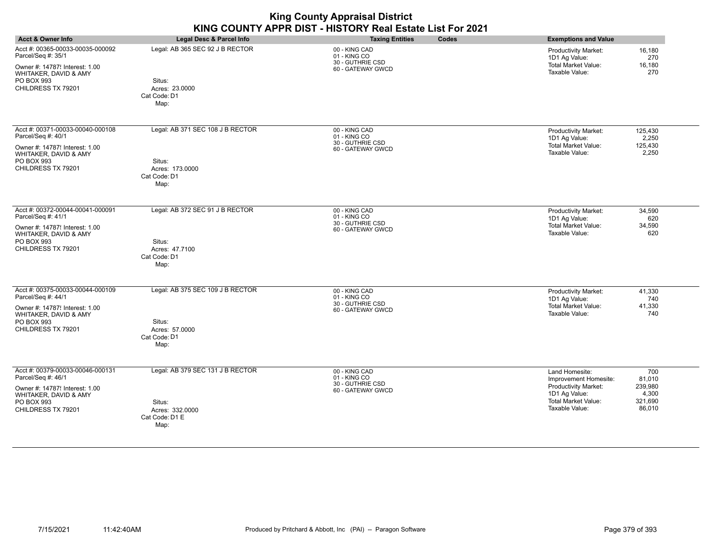| <b>King County Appraisal District</b><br>KING COUNTY APPR DIST - HISTORY Real Estate List For 2021                                                    |                                                                                         |                                                                        |                                                                                                                                                                                                   |  |
|-------------------------------------------------------------------------------------------------------------------------------------------------------|-----------------------------------------------------------------------------------------|------------------------------------------------------------------------|---------------------------------------------------------------------------------------------------------------------------------------------------------------------------------------------------|--|
| <b>Acct &amp; Owner Info</b>                                                                                                                          | Legal Desc & Parcel Info                                                                | Codes<br><b>Taxing Entities</b>                                        | <b>Exemptions and Value</b>                                                                                                                                                                       |  |
| Acct #: 00365-00033-00035-000092<br>Parcel/Seq #: 35/1<br>Owner #: 14787! Interest: 1.00<br>WHITAKER, DAVID & AMY<br>PO BOX 993<br>CHILDRESS TX 79201 | Legal: AB 365 SEC 92 J B RECTOR<br>Situs:<br>Acres: 23,0000<br>Cat Code: D1<br>Map:     | 00 - KING CAD<br>01 - KING CO<br>30 - GUTHRIE CSD<br>60 - GATEWAY GWCD | <b>Productivity Market:</b><br>16,180<br>1D1 Ag Value:<br>270<br><b>Total Market Value:</b><br>16,180<br>Taxable Value:<br>270                                                                    |  |
| Acct #: 00371-00033-00040-000108<br>Parcel/Seq #: 40/1<br>Owner #: 14787! Interest: 1.00<br>WHITAKER, DAVID & AMY<br>PO BOX 993<br>CHILDRESS TX 79201 | Legal: AB 371 SEC 108 J B RECTOR<br>Situs:<br>Acres: 173.0000<br>Cat Code: D1<br>Map:   | 00 - KING CAD<br>01 - KING CO<br>30 - GUTHRIE CSD<br>60 - GATEWAY GWCD | 125,430<br><b>Productivity Market:</b><br>1D1 Ag Value:<br>2,250<br><b>Total Market Value:</b><br>125,430<br>Taxable Value:<br>2,250                                                              |  |
| Acct #: 00372-00044-00041-000091<br>Parcel/Seq #: 41/1<br>Owner #: 14787! Interest: 1.00<br>WHITAKER, DAVID & AMY<br>PO BOX 993<br>CHILDRESS TX 79201 | Legal: AB 372 SEC 91 J B RECTOR<br>Situs:<br>Acres: 47.7100<br>Cat Code: D1<br>Map:     | 00 - KING CAD<br>01 - KING CO<br>30 - GUTHRIE CSD<br>60 - GATEWAY GWCD | <b>Productivity Market:</b><br>34,590<br>620<br>1D1 Ag Value:<br>Total Market Value:<br>34,590<br>Taxable Value:<br>620                                                                           |  |
| Acct #: 00375-00033-00044-000109<br>Parcel/Seq #: 44/1<br>Owner #: 14787! Interest: 1.00<br>WHITAKER, DAVID & AMY<br>PO BOX 993<br>CHILDRESS TX 79201 | Legal: AB 375 SEC 109 J B RECTOR<br>Situs:<br>Acres: 57.0000<br>Cat Code: D1<br>Map:    | 00 - KING CAD<br>01 - KING CO<br>30 - GUTHRIE CSD<br>60 - GATEWAY GWCD | <b>Productivity Market:</b><br>41,330<br>1D1 Ag Value:<br>740<br><b>Total Market Value:</b><br>41,330<br>Taxable Value:<br>740                                                                    |  |
| Acct #: 00379-00033-00046-000131<br>Parcel/Seq #: 46/1<br>Owner #: 14787! Interest: 1.00<br>WHITAKER, DAVID & AMY<br>PO BOX 993<br>CHILDRESS TX 79201 | Legal: AB 379 SEC 131 J B RECTOR<br>Situs:<br>Acres: 332.0000<br>Cat Code: D1 E<br>Map: | 00 - KING CAD<br>01 - KING CO<br>30 - GUTHRIE CSD<br>60 - GATEWAY GWCD | Land Homesite:<br>700<br>81,010<br>Improvement Homesite:<br><b>Productivity Market:</b><br>239,980<br>1D1 Ag Value:<br>4,300<br><b>Total Market Value:</b><br>321,690<br>Taxable Value:<br>86,010 |  |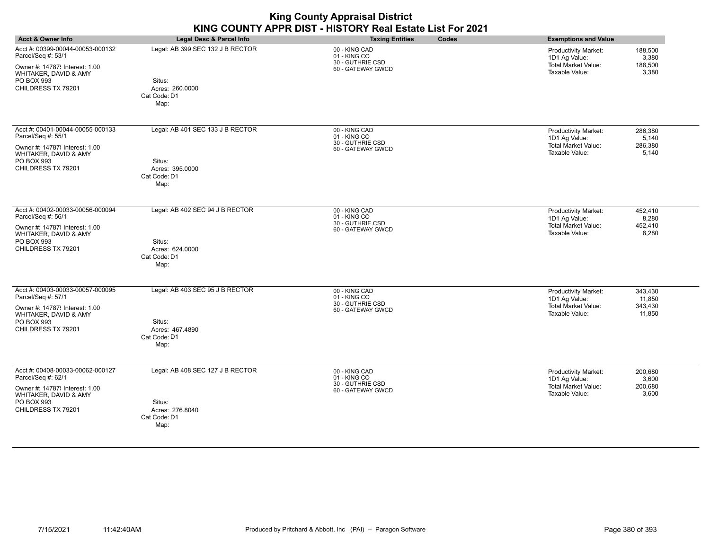| <b>King County Appraisal District</b><br>KING COUNTY APPR DIST - HISTORY Real Estate List For 2021                                                    |                                                                                       |                                                                        |  |                                                                                              |                                        |
|-------------------------------------------------------------------------------------------------------------------------------------------------------|---------------------------------------------------------------------------------------|------------------------------------------------------------------------|--|----------------------------------------------------------------------------------------------|----------------------------------------|
| <b>Acct &amp; Owner Info</b>                                                                                                                          | Legal Desc & Parcel Info                                                              | Codes<br><b>Taxing Entities</b>                                        |  | <b>Exemptions and Value</b>                                                                  |                                        |
| Acct #: 00399-00044-00053-000132<br>Parcel/Seq #: 53/1<br>Owner #: 14787! Interest: 1.00<br>WHITAKER, DAVID & AMY<br>PO BOX 993<br>CHILDRESS TX 79201 | Legal: AB 399 SEC 132 J B RECTOR<br>Situs:<br>Acres: 260,0000<br>Cat Code: D1<br>Map: | 00 - KING CAD<br>01 - KING CO<br>30 - GUTHRIE CSD<br>60 - GATEWAY GWCD |  | <b>Productivity Market:</b><br>1D1 Ag Value:<br><b>Total Market Value:</b><br>Taxable Value: | 188,500<br>3,380<br>188,500<br>3,380   |
| Acct #: 00401-00044-00055-000133<br>Parcel/Seq #: 55/1<br>Owner #: 14787! Interest: 1.00<br>WHITAKER, DAVID & AMY<br>PO BOX 993<br>CHILDRESS TX 79201 | Legal: AB 401 SEC 133 J B RECTOR<br>Situs:<br>Acres: 395.0000<br>Cat Code: D1<br>Map: | 00 - KING CAD<br>01 - KING CO<br>30 - GUTHRIE CSD<br>60 - GATEWAY GWCD |  | <b>Productivity Market:</b><br>1D1 Ag Value:<br><b>Total Market Value:</b><br>Taxable Value: | 286,380<br>5,140<br>286,380<br>5,140   |
| Acct #: 00402-00033-00056-000094<br>Parcel/Seq #: 56/1<br>Owner #: 14787! Interest: 1.00<br>WHITAKER, DAVID & AMY<br>PO BOX 993<br>CHILDRESS TX 79201 | Legal: AB 402 SEC 94 J B RECTOR<br>Situs:<br>Acres: 624,0000<br>Cat Code: D1<br>Map:  | 00 - KING CAD<br>01 - KING CO<br>30 - GUTHRIE CSD<br>60 - GATEWAY GWCD |  | <b>Productivity Market:</b><br>1D1 Ag Value:<br><b>Total Market Value:</b><br>Taxable Value: | 452,410<br>8,280<br>452,410<br>8,280   |
| Acct #: 00403-00033-00057-000095<br>Parcel/Seq #: 57/1<br>Owner #: 14787! Interest: 1.00<br>WHITAKER, DAVID & AMY<br>PO BOX 993<br>CHILDRESS TX 79201 | Legal: AB 403 SEC 95 J B RECTOR<br>Situs:<br>Acres: 467.4890<br>Cat Code: D1<br>Map:  | 00 - KING CAD<br>01 - KING CO<br>30 - GUTHRIE CSD<br>60 - GATEWAY GWCD |  | <b>Productivity Market:</b><br>1D1 Ag Value:<br>Total Market Value:<br>Taxable Value:        | 343,430<br>11,850<br>343,430<br>11,850 |
| Acct #: 00408-00033-00062-000127<br>Parcel/Seq #: 62/1<br>Owner #: 14787! Interest: 1.00<br>WHITAKER, DAVID & AMY<br>PO BOX 993<br>CHILDRESS TX 79201 | Legal: AB 408 SEC 127 J B RECTOR<br>Situs:<br>Acres: 276.8040<br>Cat Code: D1<br>Map: | 00 - KING CAD<br>01 - KING CO<br>30 - GUTHRIE CSD<br>60 - GATEWAY GWCD |  | <b>Productivity Market:</b><br>1D1 Ag Value:<br><b>Total Market Value:</b><br>Taxable Value: | 200.680<br>3,600<br>200,680<br>3,600   |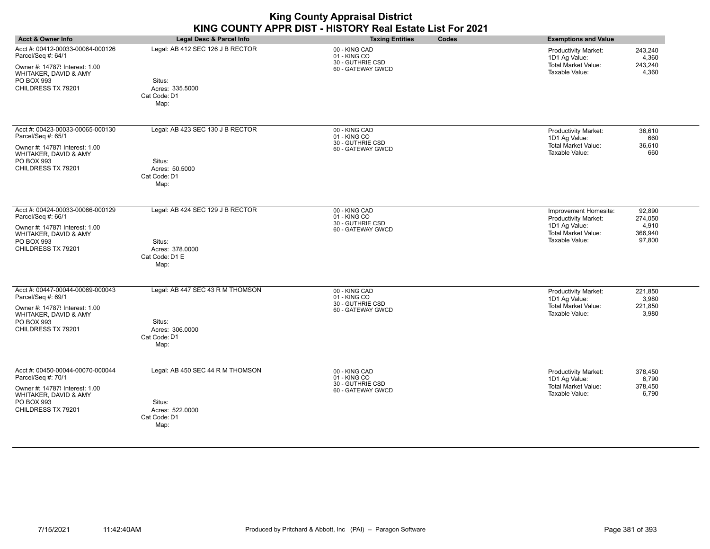| <b>King County Appraisal District</b><br>KING COUNTY APPR DIST - HISTORY Real Estate List For 2021                                                    |                                                                                         |                                                                        |       |                                                                                                                |                                                 |
|-------------------------------------------------------------------------------------------------------------------------------------------------------|-----------------------------------------------------------------------------------------|------------------------------------------------------------------------|-------|----------------------------------------------------------------------------------------------------------------|-------------------------------------------------|
| <b>Acct &amp; Owner Info</b>                                                                                                                          | Legal Desc & Parcel Info                                                                | <b>Taxing Entities</b>                                                 | Codes | <b>Exemptions and Value</b>                                                                                    |                                                 |
| Acct #: 00412-00033-00064-000126<br>Parcel/Seq #: 64/1<br>Owner #: 14787! Interest: 1.00<br>WHITAKER, DAVID & AMY<br>PO BOX 993<br>CHILDRESS TX 79201 | Legal: AB 412 SEC 126 J B RECTOR<br>Situs:<br>Acres: 335.5000<br>Cat Code: D1<br>Map:   | 00 - KING CAD<br>01 - KING CO<br>30 - GUTHRIE CSD<br>60 - GATEWAY GWCD |       | <b>Productivity Market:</b><br>1D1 Ag Value:<br><b>Total Market Value:</b><br>Taxable Value:                   | 243.240<br>4.360<br>243.240<br>4,360            |
| Acct #: 00423-00033-00065-000130<br>Parcel/Seq #: 65/1<br>Owner #: 14787! Interest: 1.00<br>WHITAKER, DAVID & AMY<br>PO BOX 993<br>CHILDRESS TX 79201 | Legal: AB 423 SEC 130 J B RECTOR<br>Situs:<br>Acres: 50.5000<br>Cat Code: D1<br>Map:    | 00 - KING CAD<br>01 - KING CO<br>30 - GUTHRIE CSD<br>60 - GATEWAY GWCD |       | <b>Productivity Market:</b><br>1D1 Ag Value:<br><b>Total Market Value:</b><br>Taxable Value:                   | 36,610<br>660<br>36,610<br>660                  |
| Acct #: 00424-00033-00066-000129<br>Parcel/Seq #: 66/1<br>Owner #: 14787! Interest: 1.00<br>WHITAKER, DAVID & AMY<br>PO BOX 993<br>CHILDRESS TX 79201 | Legal: AB 424 SEC 129 J B RECTOR<br>Situs:<br>Acres: 378.0000<br>Cat Code: D1 E<br>Map: | 00 - KING CAD<br>01 - KING CO<br>30 - GUTHRIE CSD<br>60 - GATEWAY GWCD |       | Improvement Homesite:<br>Productivity Market:<br>1D1 Ag Value:<br><b>Total Market Value:</b><br>Taxable Value: | 92,890<br>274,050<br>4,910<br>366,940<br>97,800 |
| Acct #: 00447-00044-00069-000043<br>Parcel/Seq #: 69/1<br>Owner #: 14787! Interest: 1.00<br>WHITAKER, DAVID & AMY<br>PO BOX 993<br>CHILDRESS TX 79201 | Legal: AB 447 SEC 43 R M THOMSON<br>Situs:<br>Acres: 306,0000<br>Cat Code: D1<br>Map:   | 00 - KING CAD<br>01 - KING CO<br>30 - GUTHRIE CSD<br>60 - GATEWAY GWCD |       | Productivity Market:<br>1D1 Ag Value:<br><b>Total Market Value:</b><br>Taxable Value:                          | 221,850<br>3.980<br>221,850<br>3,980            |
| Acct #: 00450-00044-00070-000044<br>Parcel/Seq #: 70/1<br>Owner #: 14787! Interest: 1.00<br>WHITAKER, DAVID & AMY<br>PO BOX 993<br>CHILDRESS TX 79201 | Legal: AB 450 SEC 44 R M THOMSON<br>Situs:<br>Acres: 522.0000<br>Cat Code: D1<br>Map:   | 00 - KING CAD<br>01 - KING CO<br>30 - GUTHRIE CSD<br>60 - GATEWAY GWCD |       | Productivity Market:<br>1D1 Ag Value:<br><b>Total Market Value:</b><br>Taxable Value:                          | 378,450<br>6,790<br>378,450<br>6.790            |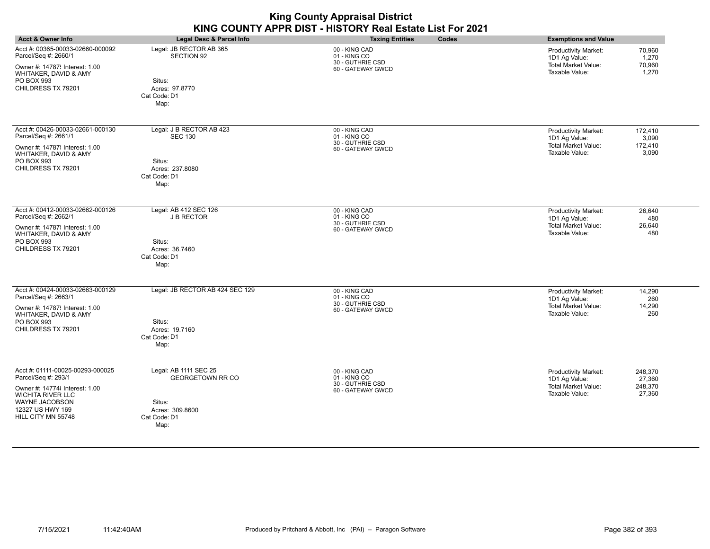|                                                                                                                                                                                   |                                                                                                       | KING COUNTY APPR DIST - HISTORY Real Estate List For 2021              |                                                                                                                                        |
|-----------------------------------------------------------------------------------------------------------------------------------------------------------------------------------|-------------------------------------------------------------------------------------------------------|------------------------------------------------------------------------|----------------------------------------------------------------------------------------------------------------------------------------|
| <b>Acct &amp; Owner Info</b>                                                                                                                                                      | Legal Desc & Parcel Info                                                                              | Codes<br><b>Taxing Entities</b>                                        | <b>Exemptions and Value</b>                                                                                                            |
| Acct #: 00365-00033-02660-000092<br>Parcel/Seq #: 2660/1<br>Owner #: 14787! Interest: 1.00<br>WHITAKER, DAVID & AMY<br>PO BOX 993<br>CHILDRESS TX 79201                           | Legal: JB RECTOR AB 365<br><b>SECTION 92</b><br>Situs:<br>Acres: 97.8770<br>Cat Code: D1<br>Map:      | 00 - KING CAD<br>01 - KING CO<br>30 - GUTHRIE CSD<br>60 - GATEWAY GWCD | Productivity Market:<br>70,960<br>1D1 Ag Value:<br>1,270<br><b>Total Market Value:</b><br>70,960<br>Taxable Value:<br>1,270            |
| Acct #: 00426-00033-02661-000130<br>Parcel/Seq #: 2661/1<br>Owner #: 14787! Interest: 1.00<br>WHITAKER, DAVID & AMY<br>PO BOX 993<br>CHILDRESS TX 79201                           | Legal: J B RECTOR AB 423<br><b>SEC 130</b><br>Situs:<br>Acres: 237.8080<br>Cat Code: D1<br>Map:       | 00 - KING CAD<br>01 - KING CO<br>30 - GUTHRIE CSD<br>60 - GATEWAY GWCD | <b>Productivity Market:</b><br>172,410<br>1D1 Ag Value:<br>3,090<br><b>Total Market Value:</b><br>172,410<br>Taxable Value:<br>3,090   |
| Acct #: 00412-00033-02662-000126<br>Parcel/Seq #: 2662/1<br>Owner #: 14787! Interest: 1.00<br>WHITAKER, DAVID & AMY<br><b>PO BOX 993</b><br>CHILDRESS TX 79201                    | Legal: AB 412 SEC 126<br><b>J B RECTOR</b><br>Situs:<br>Acres: 36.7460<br>Cat Code: D1<br>Map:        | 00 - KING CAD<br>01 - KING CO<br>30 - GUTHRIE CSD<br>60 - GATEWAY GWCD | <b>Productivity Market:</b><br>26,640<br>1D1 Ag Value:<br>480<br><b>Total Market Value:</b><br>26,640<br>Taxable Value:<br>480         |
| Acct #: 00424-00033-02663-000129<br>Parcel/Seq #: 2663/1<br>Owner #: 14787! Interest: 1.00<br>WHITAKER, DAVID & AMY<br>PO BOX 993<br>CHILDRESS TX 79201                           | Legal: JB RECTOR AB 424 SEC 129<br>Situs:<br>Acres: 19.7160<br>Cat Code: D1<br>Map:                   | 00 - KING CAD<br>01 - KING CO<br>30 - GUTHRIE CSD<br>60 - GATEWAY GWCD | <b>Productivity Market:</b><br>14,290<br>1D1 Ag Value:<br>260<br><b>Total Market Value:</b><br>14,290<br>Taxable Value:<br>260         |
| Acct #: 01111-00025-00293-000025<br>Parcel/Seq #: 293/1<br>Owner #: 147748 Interest: 1.00<br><b>WICHITA RIVER LLC</b><br>WAYNE JACOBSON<br>12327 US HWY 169<br>HILL CITY MN 55748 | Legal: AB 1111 SEC 25<br><b>GEORGETOWN RR CO</b><br>Situs:<br>Acres: 309.8600<br>Cat Code: D1<br>Map: | 00 - KING CAD<br>01 - KING CO<br>30 - GUTHRIE CSD<br>60 - GATEWAY GWCD | <b>Productivity Market:</b><br>248,370<br>1D1 Ag Value:<br>27,360<br><b>Total Market Value:</b><br>248,370<br>Taxable Value:<br>27,360 |

# **King County Appraisal District**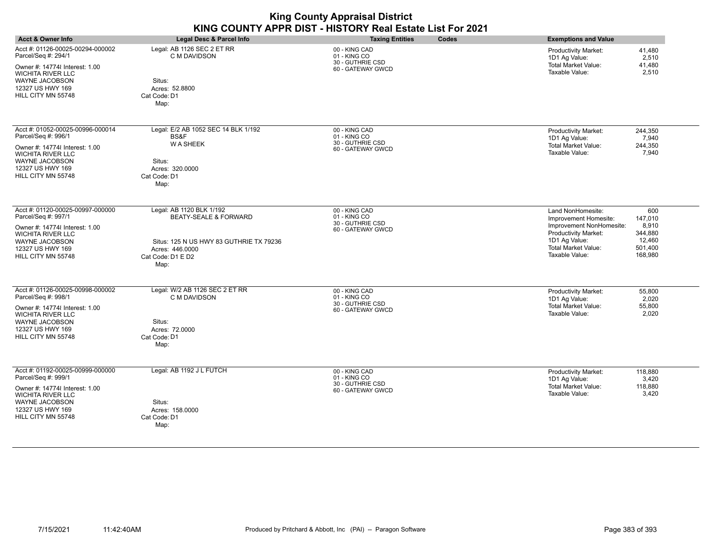|                                                                                                                                                                                          |                                                                                                                                                         | <b>King County Appraisal District</b><br>KING COUNTY APPR DIST - HISTORY Real Estate List For 2021 |                                                                                                                                                                                                                                              |
|------------------------------------------------------------------------------------------------------------------------------------------------------------------------------------------|---------------------------------------------------------------------------------------------------------------------------------------------------------|----------------------------------------------------------------------------------------------------|----------------------------------------------------------------------------------------------------------------------------------------------------------------------------------------------------------------------------------------------|
| <b>Acct &amp; Owner Info</b>                                                                                                                                                             | Legal Desc & Parcel Info                                                                                                                                | Codes<br><b>Taxing Entities</b>                                                                    | <b>Exemptions and Value</b>                                                                                                                                                                                                                  |
| Acct #: 01126-00025-00294-000002<br>Parcel/Seq #: 294/1<br>Owner #: 147748 Interest: 1.00<br><b>WICHITA RIVER LLC</b><br><b>WAYNE JACOBSON</b><br>12327 US HWY 169<br>HILL CITY MN 55748 | Legal: AB 1126 SEC 2 ET RR<br>C M DAVIDSON<br>Situs:<br>Acres: 52,8800<br>Cat Code: D1<br>Map:                                                          | 00 - KING CAD<br>01 - KING CO<br>30 - GUTHRIE CSD<br>60 - GATEWAY GWCD                             | Productivity Market:<br>41,480<br>1D1 Ag Value:<br>2,510<br><b>Total Market Value:</b><br>41,480<br>Taxable Value:<br>2,510                                                                                                                  |
| Acct #: 01052-00025-00996-000014<br>Parcel/Seq #: 996/1<br>Owner #: 147748 Interest: 1.00<br><b>WICHITA RIVER LLC</b><br><b>WAYNE JACOBSON</b><br>12327 US HWY 169<br>HILL CITY MN 55748 | Legal: E/2 AB 1052 SEC 14 BLK 1/192<br>BS&F<br><b>WA SHEEK</b><br>Situs:<br>Acres: 320,0000<br>Cat Code: D1<br>Map:                                     | 00 - KING CAD<br>01 - KING CO<br>30 - GUTHRIE CSD<br>60 - GATEWAY GWCD                             | Productivity Market:<br>244,350<br>1D1 Ag Value:<br>7,940<br><b>Total Market Value:</b><br>244,350<br>Taxable Value:<br>7,940                                                                                                                |
| Acct #: 01120-00025-00997-000000<br>Parcel/Seq #: 997/1<br>Owner #: 147748 Interest: 1.00<br><b>WICHITA RIVER LLC</b><br><b>WAYNE JACOBSON</b><br>12327 US HWY 169<br>HILL CITY MN 55748 | Legal: AB 1120 BLK 1/192<br><b>BEATY-SEALE &amp; FORWARD</b><br>Situs: 125 N US HWY 83 GUTHRIE TX 79236<br>Acres: 446.0000<br>Cat Code: D1 E D2<br>Map: | 00 - KING CAD<br>01 - KING CO<br>30 - GUTHRIE CSD<br>60 - GATEWAY GWCD                             | 600<br>Land NonHomesite:<br>147,010<br>Improvement Homesite:<br>8,910<br>Improvement NonHomesite:<br><b>Productivity Market:</b><br>344,880<br>1D1 Ag Value:<br>12,460<br><b>Total Market Value:</b><br>501,400<br>Taxable Value:<br>168,980 |
| Acct #: 01126-00025-00998-000002<br>Parcel/Seq #: 998/1<br>Owner #: 147748 Interest: 1.00<br><b>WICHITA RIVER LLC</b><br><b>WAYNE JACOBSON</b><br>12327 US HWY 169<br>HILL CITY MN 55748 | Legal: W/2 AB 1126 SEC 2 ET RR<br>C M DAVIDSON<br>Situs:<br>Acres: 72.0000<br>Cat Code: D1<br>Map:                                                      | 00 - KING CAD<br>01 - KING CO<br>30 - GUTHRIE CSD<br>60 - GATEWAY GWCD                             | 55,800<br><b>Productivity Market:</b><br>1D1 Ag Value:<br>2,020<br><b>Total Market Value:</b><br>55,800<br>Taxable Value:<br>2,020                                                                                                           |
| Acct #: 01192-00025-00999-000000<br>Parcel/Seq #: 999/1<br>Owner #: 147748 Interest: 1.00<br><b>WICHITA RIVER LLC</b><br>WAYNE JACOBSON<br>12327 US HWY 169<br>HILL CITY MN 55748        | Legal: AB 1192 J L FUTCH<br>Situs:<br>Acres: 158.0000<br>Cat Code: D1<br>Map:                                                                           | 00 - KING CAD<br>01 - KING CO<br>30 - GUTHRIE CSD<br>60 - GATEWAY GWCD                             | 118,880<br>Productivity Market:<br>1D1 Ag Value:<br>3,420<br><b>Total Market Value:</b><br>118,880<br>Taxable Value:<br>3,420                                                                                                                |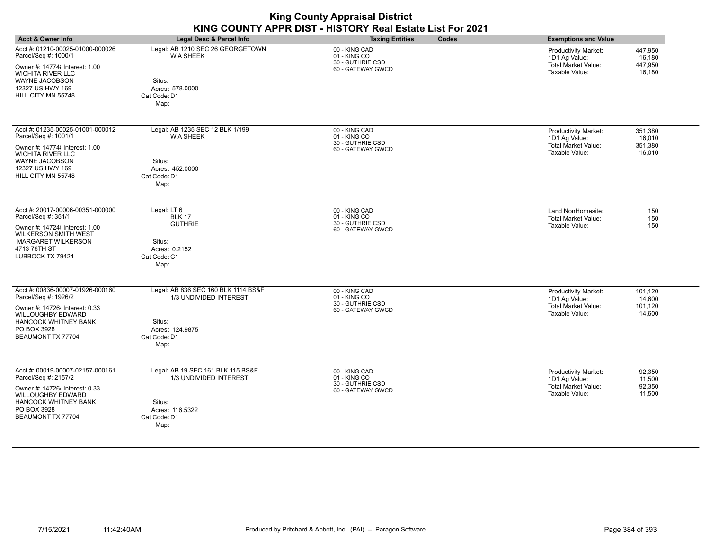| <b>Acct &amp; Owner Info</b>                                                                                                                                                              | Legal Desc & Parcel Info                                                                                           | <b>Taxing Entities</b><br>Codes                                        | <b>Exemptions and Value</b>                                                                                                            |
|-------------------------------------------------------------------------------------------------------------------------------------------------------------------------------------------|--------------------------------------------------------------------------------------------------------------------|------------------------------------------------------------------------|----------------------------------------------------------------------------------------------------------------------------------------|
| Acct #: 01210-00025-01000-000026<br>Parcel/Seq #: 1000/1<br>Owner #: 147748 Interest: 1.00<br>WICHITA RIVER LLC<br>WAYNE JACOBSON<br>12327 US HWY 169<br>HILL CITY MN 55748               | Legal: AB 1210 SEC 26 GEORGETOWN<br><b>WA SHEEK</b><br>Situs:<br>Acres: 578.0000<br>Cat Code: D1<br>Map:           | 00 - KING CAD<br>01 - KING CO<br>30 - GUTHRIE CSD<br>60 - GATEWAY GWCD | 447,950<br><b>Productivity Market:</b><br>1D1 Ag Value:<br>16,180<br><b>Total Market Value:</b><br>447,950<br>Taxable Value:<br>16,180 |
| Acct #: 01235-00025-01001-000012<br>Parcel/Seq #: 1001/1<br>Owner #: 147748 Interest: 1.00<br><b>WICHITA RIVER LLC</b><br>WAYNE JACOBSON<br>12327 US HWY 169<br>HILL CITY MN 55748        | Legal: AB 1235 SEC 12 BLK 1/199<br><b>WA SHEEK</b><br>Situs:<br>Acres: 452.0000<br>Cat Code: D1<br>Map:            | 00 - KING CAD<br>01 - KING CO<br>30 - GUTHRIE CSD<br>60 - GATEWAY GWCD | Productivity Market:<br>351,380<br>1D1 Ag Value:<br>16,010<br><b>Total Market Value:</b><br>351,380<br>Taxable Value:<br>16,010        |
| Acct #: 20017-00006-00351-000000<br>Parcel/Seq #: 351/1<br>Owner #: 14724! Interest: 1.00<br><b>WILKERSON SMITH WEST</b><br><b>MARGARET WILKERSON</b><br>4713 76TH ST<br>LUBBOCK TX 79424 | Legal: LT 6<br><b>BLK 17</b><br><b>GUTHRIE</b><br>Situs:<br>Acres: 0.2152<br>Cat Code: C1<br>Map:                  | 00 - KING CAD<br>01 - KING CO<br>30 - GUTHRIE CSD<br>60 - GATEWAY GWCD | Land NonHomesite:<br>150<br><b>Total Market Value:</b><br>150<br>Taxable Value:<br>150                                                 |
| Acct #: 00836-00007-01926-000160<br>Parcel/Seq #: 1926/2<br>Owner #: 147264 Interest: 0.33<br>WILLOUGHBY EDWARD<br><b>HANCOCK WHITNEY BANK</b><br>PO BOX 3928<br>BEAUMONT TX 77704        | Legal: AB 836 SEC 160 BLK 1114 BS&F<br>1/3 UNDIVIDED INTEREST<br>Situs:<br>Acres: 124.9875<br>Cat Code: D1<br>Map: | 00 - KING CAD<br>01 - KING CO<br>30 - GUTHRIE CSD<br>60 - GATEWAY GWCD | <b>Productivity Market:</b><br>101,120<br>1D1 Ag Value:<br>14,600<br>Total Market Value:<br>101,120<br>Taxable Value:<br>14,600        |
| Acct #: 00019-00007-02157-000161<br>Parcel/Seq #: 2157/2<br>Owner #: 147264 Interest: 0.33<br>WILLOUGHBY EDWARD<br><b>HANCOCK WHITNEY BANK</b><br>PO BOX 3928<br>BEAUMONT TX 77704        | Legal: AB 19 SEC 161 BLK 115 BS&F<br>1/3 UNDIVIDED INTEREST<br>Situs:<br>Acres: 116.5322<br>Cat Code: D1<br>Map:   | 00 - KING CAD<br>01 - KING CO<br>30 - GUTHRIE CSD<br>60 - GATEWAY GWCD | <b>Productivity Market:</b><br>92,350<br>1D1 Ag Value:<br>11,500<br><b>Total Market Value:</b><br>92,350<br>Taxable Value:<br>11,500   |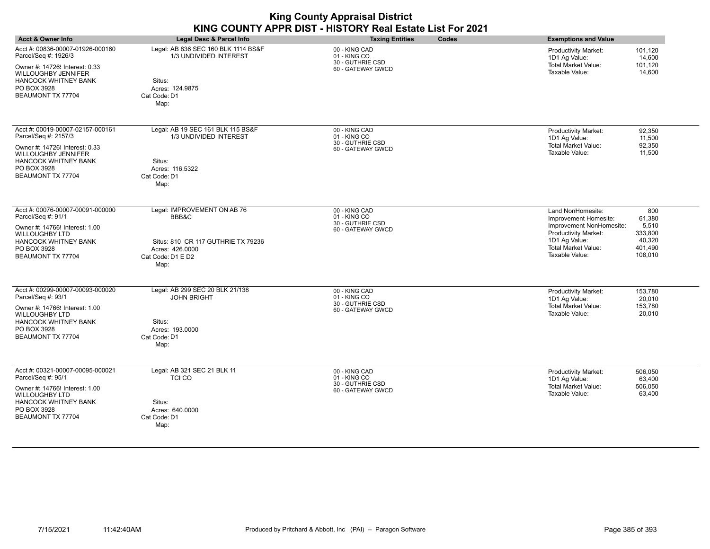| <b>Acct &amp; Owner Info</b>                                                                                                                                                                       | <b>Legal Desc &amp; Parcel Info</b>                                                                                        | <b>Taxing Entities</b><br>Codes                                        | <b>Exemptions and Value</b>                                                                                                                                                                                                          |
|----------------------------------------------------------------------------------------------------------------------------------------------------------------------------------------------------|----------------------------------------------------------------------------------------------------------------------------|------------------------------------------------------------------------|--------------------------------------------------------------------------------------------------------------------------------------------------------------------------------------------------------------------------------------|
| Acct #: 00836-00007-01926-000160<br>Parcel/Seq #: 1926/3<br>Owner #: 14726! Interest: 0.33<br><b>WILLOUGHBY JENNIFER</b><br><b>HANCOCK WHITNEY BANK</b><br>PO BOX 3928<br><b>BEAUMONT TX 77704</b> | Legal: AB 836 SEC 160 BLK 1114 BS&F<br>1/3 UNDIVIDED INTEREST<br>Situs:<br>Acres: 124.9875<br>Cat Code: D1<br>Map:         | 00 - KING CAD<br>01 - KING CO<br>30 - GUTHRIE CSD<br>60 - GATEWAY GWCD | 101,120<br><b>Productivity Market:</b><br>14,600<br>1D1 Ag Value:<br><b>Total Market Value:</b><br>101,120<br>Taxable Value:<br>14,600                                                                                               |
| Acct #: 00019-00007-02157-000161<br>Parcel/Seq #: 2157/3<br>Owner #: 14726! Interest: 0.33<br>WILLOUGHBY JENNIFER<br><b>HANCOCK WHITNEY BANK</b><br>PO BOX 3928<br>BEAUMONT TX 77704               | Legal: AB 19 SEC 161 BLK 115 BS&F<br>1/3 UNDIVIDED INTEREST<br>Situs:<br>Acres: 116.5322<br>Cat Code: D1<br>Map:           | 00 - KING CAD<br>01 - KING CO<br>30 - GUTHRIE CSD<br>60 - GATEWAY GWCD | <b>Productivity Market:</b><br>92,350<br>1D1 Ag Value:<br>11,500<br><b>Total Market Value:</b><br>92,350<br>Taxable Value:<br>11,500                                                                                                 |
| Acct #: 00076-00007-00091-000000<br>Parcel/Seq #: 91/1<br>Owner #: 14766! Interest: 1.00<br><b>WILLOUGHBY LTD</b><br><b>HANCOCK WHITNEY BANK</b><br>PO BOX 3928<br><b>BEAUMONT TX 77704</b>        | Legal: IMPROVEMENT ON AB 76<br>BBB&C<br>Situs: 810 CR 117 GUTHRIE TX 79236<br>Acres: 426,0000<br>Cat Code: D1 E D2<br>Map: | 00 - KING CAD<br>01 - KING CO<br>30 - GUTHRIE CSD<br>60 - GATEWAY GWCD | 800<br>Land NonHomesite:<br>61,380<br>Improvement Homesite:<br>Improvement NonHomesite:<br>5,510<br>333,800<br>Productivity Market:<br>40,320<br>1D1 Ag Value:<br><b>Total Market Value:</b><br>401,490<br>Taxable Value:<br>108,010 |
| Acct #: 00299-00007-00093-000020<br>Parcel/Seq #: 93/1<br>Owner #: 14766! Interest: 1.00<br><b>WILLOUGHBY LTD</b><br><b>HANCOCK WHITNEY BANK</b><br>PO BOX 3928<br>BEAUMONT TX 77704               | Legal: AB 299 SEC 20 BLK 21/138<br><b>JOHN BRIGHT</b><br>Situs:<br>Acres: 193.0000<br>Cat Code: D1<br>Map:                 | 00 - KING CAD<br>01 - KING CO<br>30 - GUTHRIE CSD<br>60 - GATEWAY GWCD | 153,780<br>Productivity Market:<br>1D1 Ag Value:<br>20,010<br><b>Total Market Value:</b><br>153,780<br>Taxable Value:<br>20,010                                                                                                      |
| Acct #: 00321-00007-00095-000021<br>Parcel/Seq #: 95/1<br>Owner #: 14766! Interest: 1.00<br><b>WILLOUGHBY LTD</b><br>HANCOCK WHITNEY BANK<br>PO BOX 3928<br><b>BEAUMONT TX 77704</b>               | Legal: AB 321 SEC 21 BLK 11<br><b>TCI CO</b><br>Situs:<br>Acres: 640.0000<br>Cat Code: D1<br>Map:                          | 00 - KING CAD<br>01 - KING CO<br>30 - GUTHRIE CSD<br>60 - GATEWAY GWCD | 506,050<br><b>Productivity Market:</b><br>63,400<br>1D1 Ag Value:<br><b>Total Market Value:</b><br>506,050<br>Taxable Value:<br>63,400                                                                                               |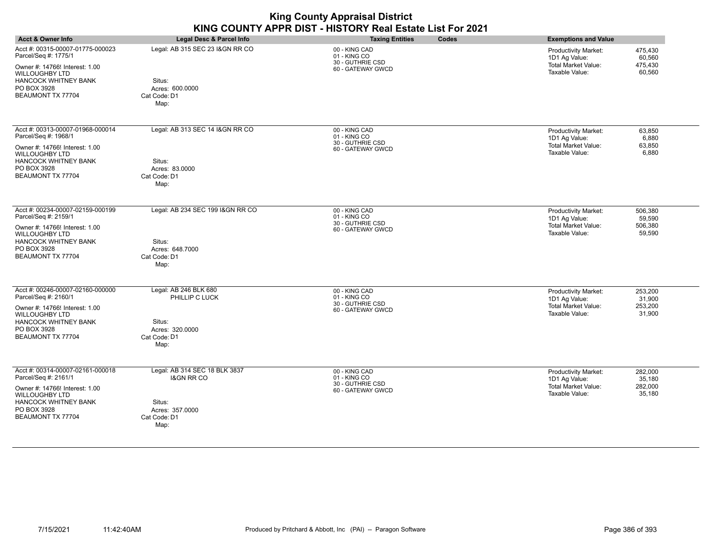| <b>Acct &amp; Owner Info</b>                                                                                                                                                           | Legal Desc & Parcel Info                                                                                    | <b>Taxing Entities</b><br>Codes                                        | <b>Exemptions and Value</b>                                                                                                            |
|----------------------------------------------------------------------------------------------------------------------------------------------------------------------------------------|-------------------------------------------------------------------------------------------------------------|------------------------------------------------------------------------|----------------------------------------------------------------------------------------------------------------------------------------|
| Acct #: 00315-00007-01775-000023<br>Parcel/Seq #: 1775/1<br>Owner #: 14766! Interest: 1.00<br><b>WILLOUGHBY LTD</b><br><b>HANCOCK WHITNEY BANK</b><br>PO BOX 3928<br>BEAUMONT TX 77704 | Legal: AB 315 SEC 23 I&GN RR CO<br>Situs:<br>Acres: 600.0000<br>Cat Code: D1<br>Map:                        | 00 - KING CAD<br>01 - KING CO<br>30 - GUTHRIE CSD<br>60 - GATEWAY GWCD | 475,430<br>Productivity Market:<br>1D1 Ag Value:<br>60,560<br><b>Total Market Value:</b><br>475,430<br>60,560<br>Taxable Value:        |
| Acct #: 00313-00007-01968-000014<br>Parcel/Seq #: 1968/1<br>Owner #: 14766! Interest: 1.00<br><b>WILLOUGHBY LTD</b><br><b>HANCOCK WHITNEY BANK</b><br>PO BOX 3928<br>BEAUMONT TX 77704 | Legal: AB 313 SEC 14 I&GN RR CO<br>Situs:<br>Acres: 83.0000<br>Cat Code: D1<br>Map:                         | 00 - KING CAD<br>01 - KING CO<br>30 - GUTHRIE CSD<br>60 - GATEWAY GWCD | Productivity Market:<br>63,850<br>1D1 Ag Value:<br>6,880<br>Total Market Value:<br>63,850<br>Taxable Value:<br>6,880                   |
| Acct #: 00234-00007-02159-000199<br>Parcel/Seq #: 2159/1<br>Owner #: 14766! Interest: 1.00<br>WILLOUGHBY LTD<br><b>HANCOCK WHITNEY BANK</b><br>PO BOX 3928<br>BEAUMONT TX 77704        | Legal: AB 234 SEC 199 I&GN RR CO<br>Situs:<br>Acres: 648.7000<br>Cat Code: D1<br>Map:                       | 00 - KING CAD<br>01 - KING CO<br>30 - GUTHRIE CSD<br>60 - GATEWAY GWCD | 506,380<br><b>Productivity Market:</b><br>1D1 Ag Value:<br>59,590<br>506,380<br><b>Total Market Value:</b><br>Taxable Value:<br>59,590 |
| Acct #: 00246-00007-02160-000000<br>Parcel/Seq #: 2160/1<br>Owner #: 14766! Interest: 1.00<br><b>WILLOUGHBY LTD</b><br><b>HANCOCK WHITNEY BANK</b><br>PO BOX 3928<br>BEAUMONT TX 77704 | Legal: AB 246 BLK 680<br>PHILLIP C LUCK<br>Situs:<br>Acres: 320.0000<br>Cat Code: D1<br>Map:                | 00 - KING CAD<br>01 - KING CO<br>30 - GUTHRIE CSD<br>60 - GATEWAY GWCD | Productivity Market:<br>253,200<br>31,900<br>1D1 Ag Value:<br><b>Total Market Value:</b><br>253,200<br>Taxable Value:<br>31,900        |
| Acct #: 00314-00007-02161-000018<br>Parcel/Seq #: 2161/1<br>Owner #: 14766! Interest: 1.00<br><b>WILLOUGHBY LTD</b><br><b>HANCOCK WHITNEY BANK</b><br>PO BOX 3928<br>BEAUMONT TX 77704 | Legal: AB 314 SEC 18 BLK 3837<br><b>I&amp;GN RR CO</b><br>Situs:<br>Acres: 357.0000<br>Cat Code: D1<br>Map: | 00 - KING CAD<br>01 - KING CO<br>30 - GUTHRIE CSD<br>60 - GATEWAY GWCD | 282,000<br>Productivity Market:<br>35,180<br>1D1 Ag Value:<br>Total Market Value:<br>282,000<br>Taxable Value:<br>35,180               |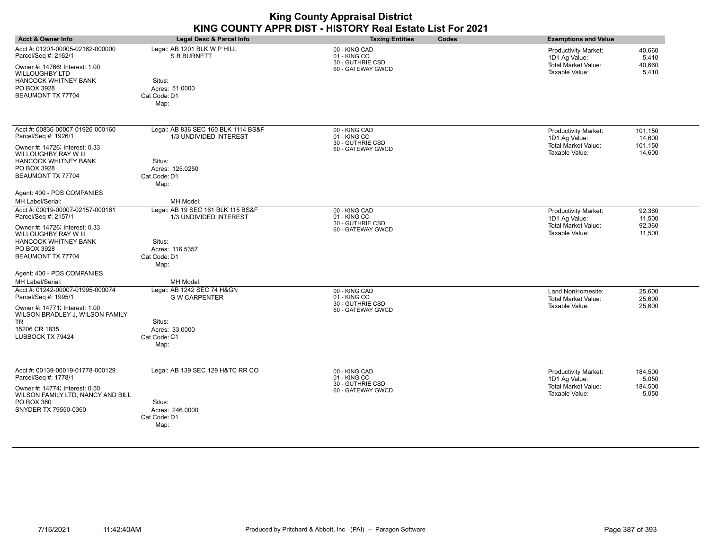#### **King County Appraisal District KING COUNTY APPR DIST - HISTORY Real Estate List For 2021 Acct & Owner Info Legal Desc & Parcel Info Taxing Entities Codes Exemptions and Value** Legal: AB 1201 BLK W P HILL S B BURNETT Acct #: 01201-00005-02162-000000 00 - KING CAD 01 - KING CO 30 - GUTHRIE CSD 60 - GATEWAY GWCD Productivity Market: 1D1 Ag Value: Total Market Value: Taxable Value:

| Owner #: 14766! Interest: 1.00<br><b>WILLOUGHBY LTD</b><br><b>HANCOCK WHITNEY BANK</b><br>PO BOX 3928<br>BEAUMONT TX 77704                                                                                                              | Situs:<br>Acres: 51,0000<br>Cat Code: D1<br>Map:                                                                                | 60 - GATEWAY GWCD                                                      | Total Market Value:<br>40,000<br>Taxable Value:<br>5,410                                                                             |
|-----------------------------------------------------------------------------------------------------------------------------------------------------------------------------------------------------------------------------------------|---------------------------------------------------------------------------------------------------------------------------------|------------------------------------------------------------------------|--------------------------------------------------------------------------------------------------------------------------------------|
| Acct #: 00836-00007-01926-000160<br>Parcel/Seq #: 1926/1<br>Owner #: 14726; Interest: 0.33<br>WILLOUGHBY RAY W III<br><b>HANCOCK WHITNEY BANK</b><br>PO BOX 3928<br>BEAUMONT TX 77704<br>Agent: 400 - PDS COMPANIES<br>MH Label/Serial: | Legal: AB 836 SEC 160 BLK 1114 BS&F<br>1/3 UNDIVIDED INTEREST<br>Situs:<br>Acres: 125.0250<br>Cat Code: D1<br>Map:<br>MH Model: | 00 - KING CAD<br>01 - KING CO<br>30 - GUTHRIE CSD<br>60 - GATEWAY GWCD | <b>Productivity Market:</b><br>101,150<br>1D1 Ag Value:<br>14,600<br>Total Market Value:<br>101,150<br>Taxable Value:<br>14,600      |
| Acct #: 00019-00007-02157-000161<br>Parcel/Seq #: 2157/1<br>Owner #: 14726; Interest: 0.33<br>WILLOUGHBY RAY W III<br><b>HANCOCK WHITNEY BANK</b><br>PO BOX 3928<br>BEAUMONT TX 77704<br>Agent: 400 - PDS COMPANIES<br>MH Label/Serial: | Legal: AB 19 SEC 161 BLK 115 BS&F<br>1/3 UNDIVIDED INTEREST<br>Situs:<br>Acres: 116.5357<br>Cat Code: D1<br>Map:<br>MH Model:   | 00 - KING CAD<br>01 - KING CO<br>30 - GUTHRIE CSD<br>60 - GATEWAY GWCD | <b>Productivity Market:</b><br>92,360<br>1D1 Ag Value:<br>11,500<br>Total Market Value:<br>92,360<br>Taxable Value:<br>11,500        |
| Acct #: 01242-00007-01995-000074<br>Parcel/Seq #: 1995/1<br>Owner #: 14771; Interest: 1.00<br>WILSON BRADLEY J, WILSON FAMILY<br><b>TR</b><br>15206 CR 1835<br>LUBBOCK TX 79424                                                         | Legal: AB 1242 SEC 74 H&GN<br><b>G W CARPENTER</b><br>Situs:<br>Acres: 33.0000<br>Cat Code: C1<br>Map:                          | 00 - KING CAD<br>01 - KING CO<br>30 - GUTHRIE CSD<br>60 - GATEWAY GWCD | Land NonHomesite:<br>25,600<br><b>Total Market Value:</b><br>25,600<br>25,600<br>Taxable Value:                                      |
| Acct #: 00139-00019-01778-000129<br>Parcel/Seq #: 1778/1<br>Owner #: 14774; Interest: 0.50<br>WILSON FAMILY LTD, NANCY AND BILL<br>PO BOX 360<br>SNYDER TX 79550-0360                                                                   | Legal: AB 139 SEC 129 H&TC RR CO<br>Situs:<br>Acres: 246,0000<br>Cat Code: D1<br>Map:                                           | 00 - KING CAD<br>01 - KING CO<br>30 - GUTHRIE CSD<br>60 - GATEWAY GWCD | <b>Productivity Market:</b><br>184,500<br>1D1 Ag Value:<br>5,050<br><b>Total Market Value:</b><br>184,500<br>Taxable Value:<br>5,050 |

Parcel/Seq #: 2162/1

40,660 5,410 40,660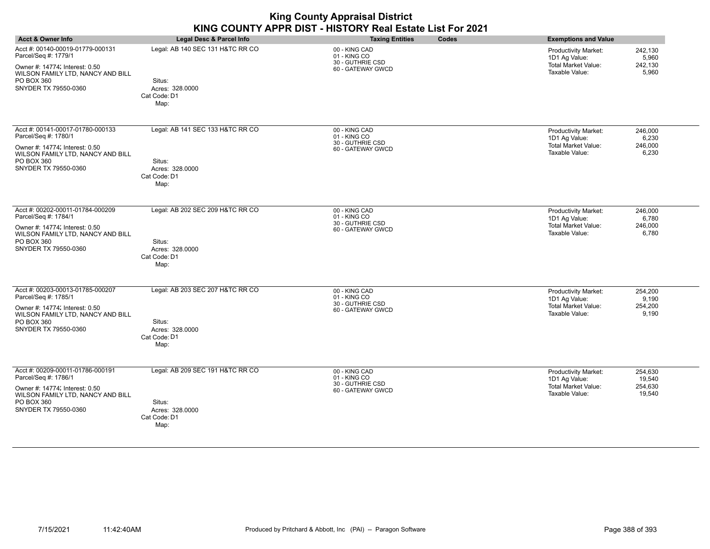| <b>King County Appraisal District</b><br>KING COUNTY APPR DIST - HISTORY Real Estate List For 2021                                                                    |                                                                                       |                                                                        |                                                                                                                                        |  |  |  |
|-----------------------------------------------------------------------------------------------------------------------------------------------------------------------|---------------------------------------------------------------------------------------|------------------------------------------------------------------------|----------------------------------------------------------------------------------------------------------------------------------------|--|--|--|
| <b>Acct &amp; Owner Info</b>                                                                                                                                          | Legal Desc & Parcel Info                                                              | Codes<br><b>Taxing Entities</b>                                        | <b>Exemptions and Value</b>                                                                                                            |  |  |  |
| Acct #: 00140-00019-01779-000131<br>Parcel/Seq #: 1779/1<br>Owner #: 14774; Interest: 0.50<br>WILSON FAMILY LTD. NANCY AND BILL<br>PO BOX 360<br>SNYDER TX 79550-0360 | Legal: AB 140 SEC 131 H&TC RR CO<br>Situs:<br>Acres: 328,0000<br>Cat Code: D1<br>Map: | 00 - KING CAD<br>01 - KING CO<br>30 - GUTHRIE CSD<br>60 - GATEWAY GWCD | <b>Productivity Market:</b><br>242,130<br>1D1 Ag Value:<br>5,960<br><b>Total Market Value:</b><br>242,130<br>Taxable Value:<br>5,960   |  |  |  |
| Acct #: 00141-00017-01780-000133<br>Parcel/Seq #: 1780/1<br>Owner #: 14774; Interest: 0.50<br>WILSON FAMILY LTD, NANCY AND BILL<br>PO BOX 360<br>SNYDER TX 79550-0360 | Legal: AB 141 SEC 133 H&TC RR CO<br>Situs:<br>Acres: 328.0000<br>Cat Code: D1<br>Map: | 00 - KING CAD<br>01 - KING CO<br>30 - GUTHRIE CSD<br>60 - GATEWAY GWCD | <b>Productivity Market:</b><br>246.000<br>6,230<br>1D1 Ag Value:<br><b>Total Market Value:</b><br>246,000<br>Taxable Value:<br>6,230   |  |  |  |
| Acct #: 00202-00011-01784-000209<br>Parcel/Seq #: 1784/1<br>Owner #: 14774; Interest: 0.50<br>WILSON FAMILY LTD, NANCY AND BILL<br>PO BOX 360<br>SNYDER TX 79550-0360 | Legal: AB 202 SEC 209 H&TC RR CO<br>Situs:<br>Acres: 328,0000<br>Cat Code: D1<br>Map: | 00 - KING CAD<br>01 - KING CO<br>30 - GUTHRIE CSD<br>60 - GATEWAY GWCD | Productivity Market:<br>246,000<br>1D1 Ag Value:<br>6,780<br><b>Total Market Value:</b><br>246,000<br>Taxable Value:<br>6,780          |  |  |  |
| Acct #: 00203-00013-01785-000207<br>Parcel/Seq #: 1785/1<br>Owner #: 14774; Interest: 0.50<br>WILSON FAMILY LTD, NANCY AND BILL<br>PO BOX 360<br>SNYDER TX 79550-0360 | Legal: AB 203 SEC 207 H&TC RR CO<br>Situs:<br>Acres: 328.0000<br>Cat Code: D1<br>Map: | 00 - KING CAD<br>01 - KING CO<br>30 - GUTHRIE CSD<br>60 - GATEWAY GWCD | Productivity Market:<br>254,200<br>1D1 Ag Value:<br>9.190<br><b>Total Market Value:</b><br>254,200<br>Taxable Value:<br>9,190          |  |  |  |
| Acct #: 00209-00011-01786-000191<br>Parcel/Seq #: 1786/1<br>Owner #: 14774; Interest: 0.50<br>WILSON FAMILY LTD, NANCY AND BILL<br>PO BOX 360<br>SNYDER TX 79550-0360 | Legal: AB 209 SEC 191 H&TC RR CO<br>Situs:<br>Acres: 328,0000<br>Cat Code: D1<br>Map: | 00 - KING CAD<br>01 - KING CO<br>30 - GUTHRIE CSD<br>60 - GATEWAY GWCD | 254,630<br><b>Productivity Market:</b><br>1D1 Ag Value:<br>19,540<br><b>Total Market Value:</b><br>254,630<br>Taxable Value:<br>19,540 |  |  |  |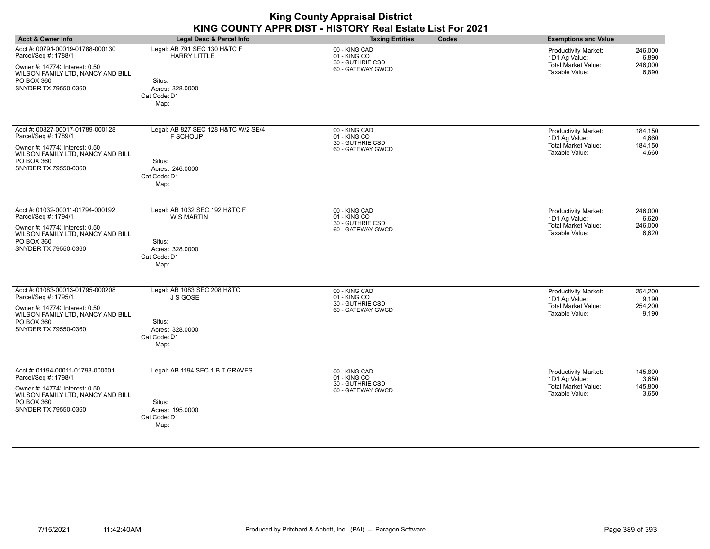| <b>King County Appraisal District</b><br>KING COUNTY APPR DIST - HISTORY Real Estate List For 2021                                                                    |                                                                                                          |                                                                        |       |                                                                                       |                                      |  |
|-----------------------------------------------------------------------------------------------------------------------------------------------------------------------|----------------------------------------------------------------------------------------------------------|------------------------------------------------------------------------|-------|---------------------------------------------------------------------------------------|--------------------------------------|--|
| Acct & Owner Info                                                                                                                                                     | <b>Legal Desc &amp; Parcel Info</b>                                                                      | <b>Taxing Entities</b>                                                 | Codes | <b>Exemptions and Value</b>                                                           |                                      |  |
| Acct #: 00791-00019-01788-000130<br>Parcel/Seq #: 1788/1<br>Owner #: 14774; Interest: 0.50<br>WILSON FAMILY LTD, NANCY AND BILL<br>PO BOX 360<br>SNYDER TX 79550-0360 | Legal: AB 791 SEC 130 H&TC F<br><b>HARRY LITTLE</b><br>Situs:<br>Acres: 328.0000<br>Cat Code: D1<br>Map: | 00 - KING CAD<br>01 - KING CO<br>30 - GUTHRIE CSD<br>60 - GATEWAY GWCD |       | <b>Productivity Market:</b><br>1D1 Ag Value:<br>Total Market Value:<br>Taxable Value: | 246,000<br>6,890<br>246,000<br>6,890 |  |
| Acct #: 00827-00017-01789-000128<br>Parcel/Seq #: 1789/1<br>Owner #: 14774; Interest: 0.50<br>WILSON FAMILY LTD, NANCY AND BILL<br>PO BOX 360<br>SNYDER TX 79550-0360 | Legal: AB 827 SEC 128 H&TC W/2 SE/4<br>F SCHOUP<br>Situs:<br>Acres: 246.0000<br>Cat Code: D1<br>Map:     | 00 - KING CAD<br>01 - KING CO<br>30 - GUTHRIE CSD<br>60 - GATEWAY GWCD |       | Productivity Market:<br>1D1 Ag Value:<br><b>Total Market Value:</b><br>Taxable Value: | 184,150<br>4,660<br>184,150<br>4,660 |  |
| Acct #: 01032-00011-01794-000192<br>Parcel/Seq #: 1794/1<br>Owner #: 14774; Interest: 0.50<br>WILSON FAMILY LTD, NANCY AND BILL<br>PO BOX 360<br>SNYDER TX 79550-0360 | Legal: AB 1032 SEC 192 H&TC F<br><b>W S MARTIN</b><br>Situs:<br>Acres: 328,0000<br>Cat Code: D1<br>Map:  | 00 - KING CAD<br>01 - KING CO<br>30 - GUTHRIE CSD<br>60 - GATEWAY GWCD |       | Productivity Market:<br>1D1 Ag Value:<br><b>Total Market Value:</b><br>Taxable Value: | 246,000<br>6,620<br>246,000<br>6,620 |  |
| Acct #: 01083-00013-01795-000208<br>Parcel/Seq #: 1795/1<br>Owner #: 14774; Interest: 0.50<br>WILSON FAMILY LTD, NANCY AND BILL<br>PO BOX 360<br>SNYDER TX 79550-0360 | Legal: AB 1083 SEC 208 H&TC<br>J S GOSE<br>Situs:<br>Acres: 328,0000<br>Cat Code: D1<br>Map:             | 00 - KING CAD<br>01 - KING CO<br>30 - GUTHRIE CSD<br>60 - GATEWAY GWCD |       | Productivity Market:<br>1D1 Ag Value:<br><b>Total Market Value:</b><br>Taxable Value: | 254,200<br>9.190<br>254,200<br>9,190 |  |
| Acct #: 01194-00011-01798-000001<br>Parcel/Seq #: 1798/1<br>Owner #: 14774; Interest: 0.50<br>WILSON FAMILY LTD. NANCY AND BILL<br>PO BOX 360<br>SNYDER TX 79550-0360 | Legal: AB 1194 SEC 1 B T GRAVES<br>Situs:<br>Acres: 195.0000<br>Cat Code: D1<br>Map:                     | 00 - KING CAD<br>01 - KING CO<br>30 - GUTHRIE CSD<br>60 - GATEWAY GWCD |       | Productivity Market:<br>1D1 Ag Value:<br><b>Total Market Value:</b><br>Taxable Value: | 145,800<br>3.650<br>145,800<br>3,650 |  |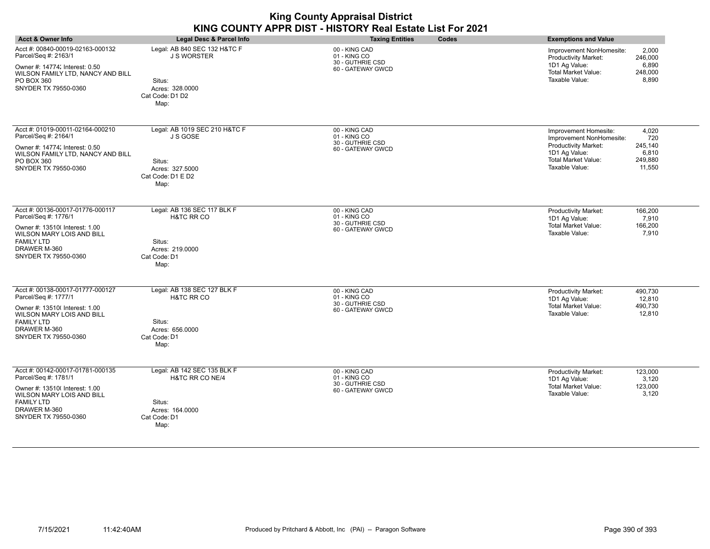| <b>King County Appraisal District</b><br>KING COUNTY APPR DIST - HISTORY Real Estate List For 2021                                                                                          |                                                                                                            |                                                                        |                                                                                                                                                                                                            |  |  |
|---------------------------------------------------------------------------------------------------------------------------------------------------------------------------------------------|------------------------------------------------------------------------------------------------------------|------------------------------------------------------------------------|------------------------------------------------------------------------------------------------------------------------------------------------------------------------------------------------------------|--|--|
| <b>Acct &amp; Owner Info</b>                                                                                                                                                                | <b>Legal Desc &amp; Parcel Info</b>                                                                        | <b>Taxing Entities</b><br>Codes                                        | <b>Exemptions and Value</b>                                                                                                                                                                                |  |  |
| Acct #: 00840-00019-02163-000132<br>Parcel/Seq #: 2163/1<br>Owner #: 14774; Interest: 0.50<br>WILSON FAMILY LTD, NANCY AND BILL<br>PO BOX 360<br>SNYDER TX 79550-0360                       | Legal: AB 840 SEC 132 H&TC F<br><b>J S WORSTER</b><br>Situs:<br>Acres: 328.0000<br>Cat Code: D1 D2<br>Map: | 00 - KING CAD<br>01 - KING CO<br>30 - GUTHRIE CSD<br>60 - GATEWAY GWCD | 2,000<br>Improvement NonHomesite:<br>Productivity Market:<br>246,000<br>1D1 Ag Value:<br>6,890<br><b>Total Market Value:</b><br>248,000<br>Taxable Value:<br>8,890                                         |  |  |
| Acct #: 01019-00011-02164-000210<br>Parcel/Seq #: 2164/1<br>Owner #: 14774; Interest: 0.50<br>WILSON FAMILY LTD, NANCY AND BILL<br>PO BOX 360<br>SNYDER TX 79550-0360                       | Legal: AB 1019 SEC 210 H&TC F<br>J S GOSE<br>Situs:<br>Acres: 327.5000<br>Cat Code: D1 E D2<br>Map:        | 00 - KING CAD<br>01 - KING CO<br>30 - GUTHRIE CSD<br>60 - GATEWAY GWCD | 4,020<br>Improvement Homesite:<br>Improvement NonHomesite:<br>720<br><b>Productivity Market:</b><br>245,140<br>1D1 Ag Value:<br>6,810<br><b>Total Market Value:</b><br>249.880<br>Taxable Value:<br>11.550 |  |  |
| Acct #: 00136-00017-01776-000117<br>Parcel/Seq #: 1776/1<br>Owner #: 13510( Interest: 1.00<br>WILSON MARY LOIS AND BILL<br><b>FAMILY LTD</b><br>DRAWER M-360<br>SNYDER TX 79550-0360        | Legal: AB 136 SEC 117 BLK F<br>H&TC RR CO<br>Situs:<br>Acres: 219,0000<br>Cat Code: D1<br>Map:             | 00 - KING CAD<br>01 - KING CO<br>30 - GUTHRIE CSD<br>60 - GATEWAY GWCD | 166,200<br>Productivity Market:<br>1D1 Ag Value:<br>7,910<br><b>Total Market Value:</b><br>166,200<br>Taxable Value:<br>7,910                                                                              |  |  |
| Acct #: 00138-00017-01777-000127<br>Parcel/Seq #: 1777/1<br>Owner #: 13510( Interest: 1.00<br>WILSON MARY LOIS AND BILL<br><b>FAMILY LTD</b><br>DRAWER M-360<br>SNYDER TX 79550-0360        | Legal: AB 138 SEC 127 BLK F<br><b>H&amp;TC RR CO</b><br>Situs:<br>Acres: 656.0000<br>Cat Code: D1<br>Map:  | 00 - KING CAD<br>01 - KING CO<br>30 - GUTHRIE CSD<br>60 - GATEWAY GWCD | <b>Productivity Market:</b><br>490.730<br>1D1 Ag Value:<br>12,810<br><b>Total Market Value:</b><br>490.730<br>Taxable Value:<br>12,810                                                                     |  |  |
| Acct #: 00142-00017-01781-000135<br>Parcel/Seq #: 1781/1<br>Owner #: 13510( Interest: 1.00<br><b>WILSON MARY LOIS AND BILL</b><br><b>FAMILY LTD</b><br>DRAWER M-360<br>SNYDER TX 79550-0360 | Legal: AB 142 SEC 135 BLK F<br>H&TC RR CO NE/4<br>Situs:<br>Acres: 164,0000<br>Cat Code: D1<br>Map:        | 00 - KING CAD<br>01 - KING CO<br>30 - GUTHRIE CSD<br>60 - GATEWAY GWCD | 123,000<br><b>Productivity Market:</b><br>3,120<br>1D1 Ag Value:<br>Total Market Value:<br>123,000<br>Taxable Value:<br>3,120                                                                              |  |  |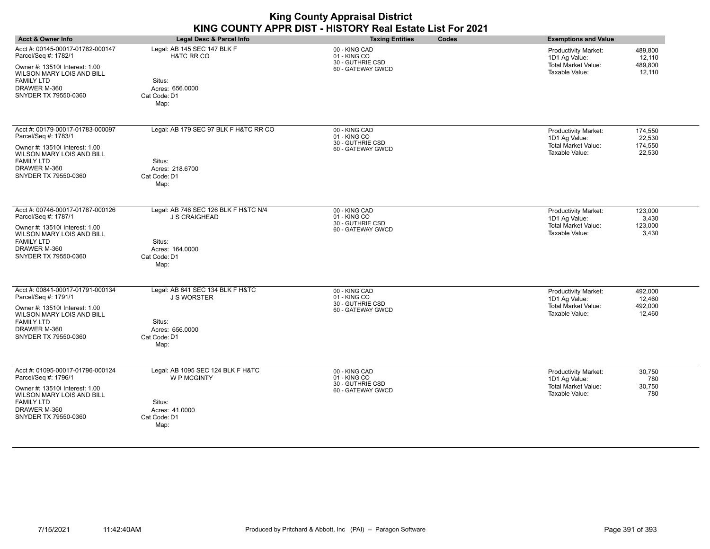| <b>King County Appraisal District</b><br>KING COUNTY APPR DIST - HISTORY Real Estate List For 2021                                                                                          |                                                                                                             |                                                                        |                                                                                                                                        |  |  |  |
|---------------------------------------------------------------------------------------------------------------------------------------------------------------------------------------------|-------------------------------------------------------------------------------------------------------------|------------------------------------------------------------------------|----------------------------------------------------------------------------------------------------------------------------------------|--|--|--|
| <b>Acct &amp; Owner Info</b>                                                                                                                                                                | Legal Desc & Parcel Info                                                                                    | Codes<br><b>Taxing Entities</b>                                        | <b>Exemptions and Value</b>                                                                                                            |  |  |  |
| Acct #: 00145-00017-01782-000147<br>Parcel/Seq #: 1782/1<br>Owner #: 13510( Interest: 1.00<br><b>WILSON MARY LOIS AND BILL</b><br><b>FAMILY LTD</b><br>DRAWER M-360<br>SNYDER TX 79550-0360 | Legal: AB 145 SEC 147 BLK F<br>H&TC RR CO<br>Situs:<br>Acres: 656,0000<br>Cat Code: D1<br>Map:              | 00 - KING CAD<br>01 - KING CO<br>30 - GUTHRIE CSD<br>60 - GATEWAY GWCD | <b>Productivity Market:</b><br>489,800<br>1D1 Ag Value:<br>12,110<br><b>Total Market Value:</b><br>489,800<br>Taxable Value:<br>12,110 |  |  |  |
| Acct #: 00179-00017-01783-000097<br>Parcel/Seq #: 1783/1<br>Owner #: 13510( Interest: 1.00<br><b>WILSON MARY LOIS AND BILL</b><br><b>FAMILY LTD</b><br>DRAWER M-360<br>SNYDER TX 79550-0360 | Legal: AB 179 SEC 97 BLK F H&TC RR CO<br>Situs:<br>Acres: 218.6700<br>Cat Code: D1<br>Map:                  | 00 - KING CAD<br>01 - KING CO<br>30 - GUTHRIE CSD<br>60 - GATEWAY GWCD | Productivity Market:<br>174,550<br>1D1 Ag Value:<br>22,530<br><b>Total Market Value:</b><br>174,550<br>Taxable Value:<br>22,530        |  |  |  |
| Acct #: 00746-00017-01787-000126<br>Parcel/Seq #: 1787/1<br>Owner #: 13510( Interest: 1.00<br><b>WILSON MARY LOIS AND BILL</b><br><b>FAMILY LTD</b><br>DRAWER M-360<br>SNYDER TX 79550-0360 | Legal: AB 746 SEC 126 BLK F H&TC N/4<br>J S CRAIGHEAD<br>Situs:<br>Acres: 164.0000<br>Cat Code: D1<br>Map:  | 00 - KING CAD<br>01 - KING CO<br>30 - GUTHRIE CSD<br>60 - GATEWAY GWCD | <b>Productivity Market:</b><br>123,000<br>1D1 Ag Value:<br>3,430<br><b>Total Market Value:</b><br>123,000<br>Taxable Value:<br>3,430   |  |  |  |
| Acct #: 00841-00017-01791-000134<br>Parcel/Seq #: 1791/1<br>Owner #: 13510( Interest: 1.00<br><b>WILSON MARY LOIS AND BILL</b><br><b>FAMILY LTD</b><br>DRAWER M-360<br>SNYDER TX 79550-0360 | Legal: AB 841 SEC 134 BLK F H&TC<br><b>J S WORSTER</b><br>Situs:<br>Acres: 656.0000<br>Cat Code: D1<br>Map: | 00 - KING CAD<br>01 - KING CO<br>30 - GUTHRIE CSD<br>60 - GATEWAY GWCD | <b>Productivity Market:</b><br>492,000<br>1D1 Ag Value:<br>12,460<br><b>Total Market Value:</b><br>492,000<br>Taxable Value:<br>12,460 |  |  |  |
| Acct #: 01095-00017-01796-000124<br>Parcel/Seq #: 1796/1<br>Owner #: 13510( Interest: 1.00<br>WILSON MARY LOIS AND BILL<br><b>FAMILY LTD</b><br>DRAWER M-360<br>SNYDER TX 79550-0360        | Legal: AB 1095 SEC 124 BLK F H&TC<br>W P MCGINTY<br>Situs:<br>Acres: 41.0000<br>Cat Code: D1<br>Map:        | 00 - KING CAD<br>01 - KING CO<br>30 - GUTHRIE CSD<br>60 - GATEWAY GWCD | 30,750<br>Productivity Market:<br>1D1 Ag Value:<br>780<br><b>Total Market Value:</b><br>30,750<br>Taxable Value:<br>780                |  |  |  |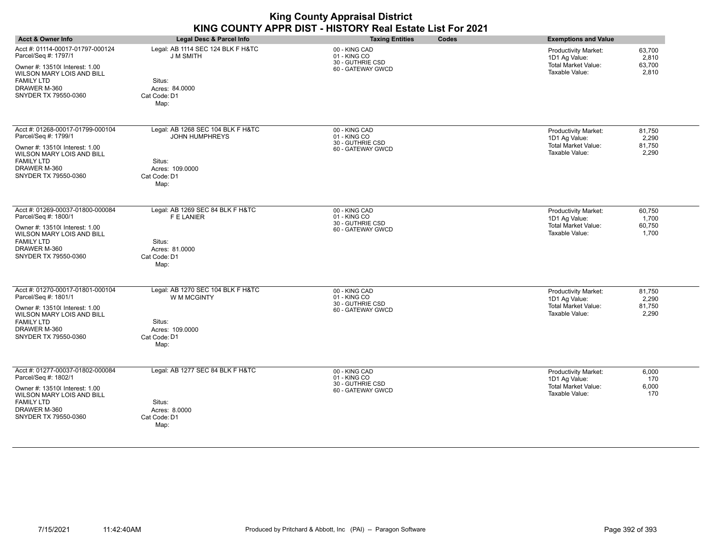| <b>Acct &amp; Owner Info</b>                                                                                                                                                         | <b>Legal Desc &amp; Parcel Info</b>                                                                             | <b>Taxing Entities</b><br>Codes                                        | <b>Exemptions and Value</b>                                                                                                        |
|--------------------------------------------------------------------------------------------------------------------------------------------------------------------------------------|-----------------------------------------------------------------------------------------------------------------|------------------------------------------------------------------------|------------------------------------------------------------------------------------------------------------------------------------|
| Acct #: 01114-00017-01797-000124<br>Parcel/Seq #: 1797/1<br>Owner #: 13510( Interest: 1.00<br>WILSON MARY LOIS AND BILL<br><b>FAMILY LTD</b><br>DRAWER M-360<br>SNYDER TX 79550-0360 | Legal: AB 1114 SEC 124 BLK F H&TC<br>J M SMITH<br>Situs:<br>Acres: 84.0000<br>Cat Code: D1<br>Map:              | 00 - KING CAD<br>01 - KING CO<br>30 - GUTHRIE CSD<br>60 - GATEWAY GWCD | <b>Productivity Market:</b><br>63,700<br>1D1 Ag Value:<br>2,810<br><b>Total Market Value:</b><br>63,700<br>Taxable Value:<br>2,810 |
| Acct #: 01268-00017-01799-000104<br>Parcel/Seq #: 1799/1<br>Owner #: 13510( Interest: 1.00<br>WILSON MARY LOIS AND BILL<br><b>FAMILY LTD</b><br>DRAWER M-360<br>SNYDER TX 79550-0360 | Legal: AB 1268 SEC 104 BLK F H&TC<br><b>JOHN HUMPHREYS</b><br>Situs:<br>Acres: 109.0000<br>Cat Code: D1<br>Map: | 00 - KING CAD<br>01 - KING CO<br>30 - GUTHRIE CSD<br>60 - GATEWAY GWCD | 81,750<br>Productivity Market:<br>1D1 Ag Value:<br>2,290<br><b>Total Market Value:</b><br>81,750<br>Taxable Value:<br>2,290        |
| Acct #: 01269-00037-01800-000084<br>Parcel/Seq #: 1800/1<br>Owner #: 13510( Interest: 1.00<br>WILSON MARY LOIS AND BILL<br><b>FAMILY LTD</b><br>DRAWER M-360<br>SNYDER TX 79550-0360 | Legal: AB 1269 SEC 84 BLK F H&TC<br>F E LANIER<br>Situs:<br>Acres: 81.0000<br>Cat Code: D1<br>Map:              | 00 - KING CAD<br>01 - KING CO<br>30 - GUTHRIE CSD<br>60 - GATEWAY GWCD | Productivity Market:<br>60,750<br>1D1 Ag Value:<br>1,700<br><b>Total Market Value:</b><br>60,750<br>Taxable Value:<br>1,700        |
| Acct #: 01270-00017-01801-000104<br>Parcel/Seq #: 1801/1<br>Owner #: 13510( Interest: 1.00<br>WILSON MARY LOIS AND BILL<br><b>FAMILY LTD</b><br>DRAWER M-360<br>SNYDER TX 79550-0360 | Legal: AB 1270 SEC 104 BLK F H&TC<br>W M MCGINTY<br>Situs:<br>Acres: 109.0000<br>Cat Code: D1<br>Map:           | 00 - KING CAD<br>01 - KING CO<br>30 - GUTHRIE CSD<br>60 - GATEWAY GWCD | Productivity Market:<br>81,750<br>1D1 Ag Value:<br>2,290<br><b>Total Market Value:</b><br>81,750<br>Taxable Value:<br>2,290        |
| Acct #: 01277-00037-01802-000084<br>Parcel/Seq #: 1802/1<br>Owner #: 13510( Interest: 1.00<br>WILSON MARY LOIS AND BILL<br><b>FAMILY LTD</b><br>DRAWER M-360<br>SNYDER TX 79550-0360 | Legal: AB 1277 SEC 84 BLK F H&TC<br>Situs:<br>Acres: 8.0000<br>Cat Code: D1<br>Map:                             | 00 - KING CAD<br>01 - KING CO<br>30 - GUTHRIE CSD<br>60 - GATEWAY GWCD | Productivity Market:<br>6,000<br>1D1 Ag Value:<br>170<br><b>Total Market Value:</b><br>6,000<br>Taxable Value:<br>170              |